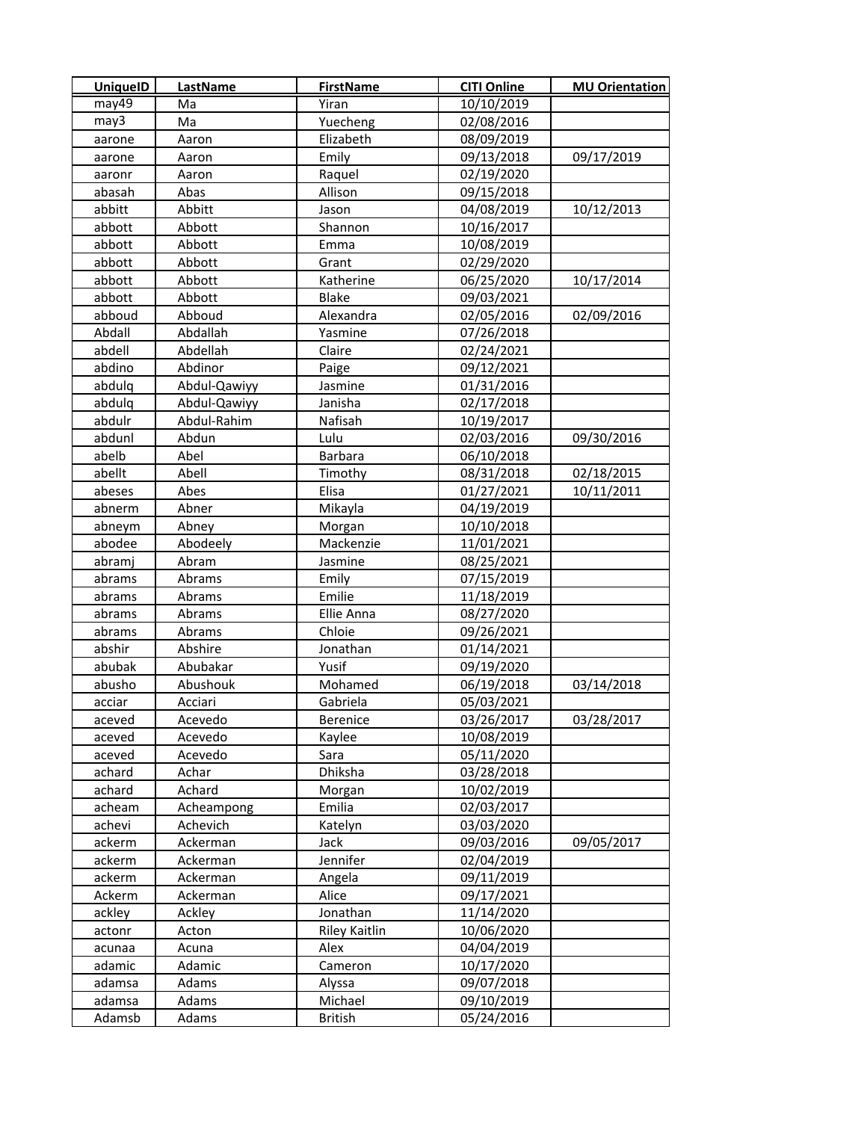| <b>UniquelD</b> | LastName     | <b>FirstName</b>     | <b>CITI Online</b> | <b>MU Orientation</b> |
|-----------------|--------------|----------------------|--------------------|-----------------------|
| may49           | Ma           | Yiran                | 10/10/2019         |                       |
| may3            | Ma           | Yuecheng             | 02/08/2016         |                       |
| aarone          | Aaron        | Elizabeth            | 08/09/2019         |                       |
| aarone          | Aaron        | Emily                | 09/13/2018         | 09/17/2019            |
| aaronr          | Aaron        | Raquel               | 02/19/2020         |                       |
| abasah          | Abas         | Allison              | 09/15/2018         |                       |
| abbitt          | Abbitt       | Jason                | 04/08/2019         | 10/12/2013            |
| abbott          | Abbott       | Shannon              | 10/16/2017         |                       |
| abbott          | Abbott       | Emma                 | 10/08/2019         |                       |
| abbott          | Abbott       | Grant                | 02/29/2020         |                       |
| abbott          | Abbott       | Katherine            | 06/25/2020         | 10/17/2014            |
| abbott          | Abbott       | <b>Blake</b>         | 09/03/2021         |                       |
| abboud          | Abboud       | Alexandra            | 02/05/2016         | 02/09/2016            |
| Abdall          | Abdallah     | Yasmine              | 07/26/2018         |                       |
| abdell          | Abdellah     | Claire               | 02/24/2021         |                       |
| abdino          | Abdinor      | Paige                | 09/12/2021         |                       |
| abdulq          | Abdul-Qawiyy | Jasmine              | 01/31/2016         |                       |
| abdulq          | Abdul-Qawiyy | Janisha              | 02/17/2018         |                       |
| abdulr          | Abdul-Rahim  | Nafisah              | 10/19/2017         |                       |
| abdunl          | Abdun        | Lulu                 | 02/03/2016         | 09/30/2016            |
| abelb           | Abel         | <b>Barbara</b>       | 06/10/2018         |                       |
| abellt          | Abell        | Timothy              | 08/31/2018         | 02/18/2015            |
| abeses          | Abes         | Elisa                | 01/27/2021         | 10/11/2011            |
| abnerm          | Abner        | Mikayla              | 04/19/2019         |                       |
| abneym          | Abney        | Morgan               | 10/10/2018         |                       |
| abodee          | Abodeely     | Mackenzie            | 11/01/2021         |                       |
| abramj          | Abram        | Jasmine              | 08/25/2021         |                       |
| abrams          | Abrams       | Emily                | 07/15/2019         |                       |
| abrams          | Abrams       | Emilie               | 11/18/2019         |                       |
| abrams          | Abrams       | Ellie Anna           | 08/27/2020         |                       |
| abrams          | Abrams       | Chloie               | 09/26/2021         |                       |
| abshir          | Abshire      | Jonathan             | 01/14/2021         |                       |
| abubak          | Abubakar     | Yusif                | 09/19/2020         |                       |
| abusho          | Abushouk     | Mohamed              | 06/19/2018         | 03/14/2018            |
| acciar          | Acciari      | Gabriela             | 05/03/2021         |                       |
| aceved          | Acevedo      | Berenice             | 03/26/2017         | 03/28/2017            |
| aceved          | Acevedo      | Kaylee               | 10/08/2019         |                       |
| aceved          | Acevedo      | Sara                 | 05/11/2020         |                       |
| achard          | Achar        | Dhiksha              | 03/28/2018         |                       |
| achard          | Achard       | Morgan               | 10/02/2019         |                       |
| acheam          | Acheampong   | Emilia               | 02/03/2017         |                       |
| achevi          | Achevich     | Katelyn              | 03/03/2020         |                       |
| ackerm          | Ackerman     | Jack                 | 09/03/2016         | 09/05/2017            |
| ackerm          | Ackerman     | Jennifer             | 02/04/2019         |                       |
| ackerm          | Ackerman     | Angela               | 09/11/2019         |                       |
| Ackerm          | Ackerman     | Alice                | 09/17/2021         |                       |
| ackley          | Ackley       | Jonathan             | 11/14/2020         |                       |
| actonr          | Acton        | <b>Riley Kaitlin</b> | 10/06/2020         |                       |
| acunaa          | Acuna        | Alex                 | 04/04/2019         |                       |
| adamic          | Adamic       | Cameron              | 10/17/2020         |                       |
| adamsa          | Adams        | Alyssa               | 09/07/2018         |                       |
| adamsa          | Adams        | Michael              | 09/10/2019         |                       |
| Adamsb          | Adams        | <b>British</b>       | 05/24/2016         |                       |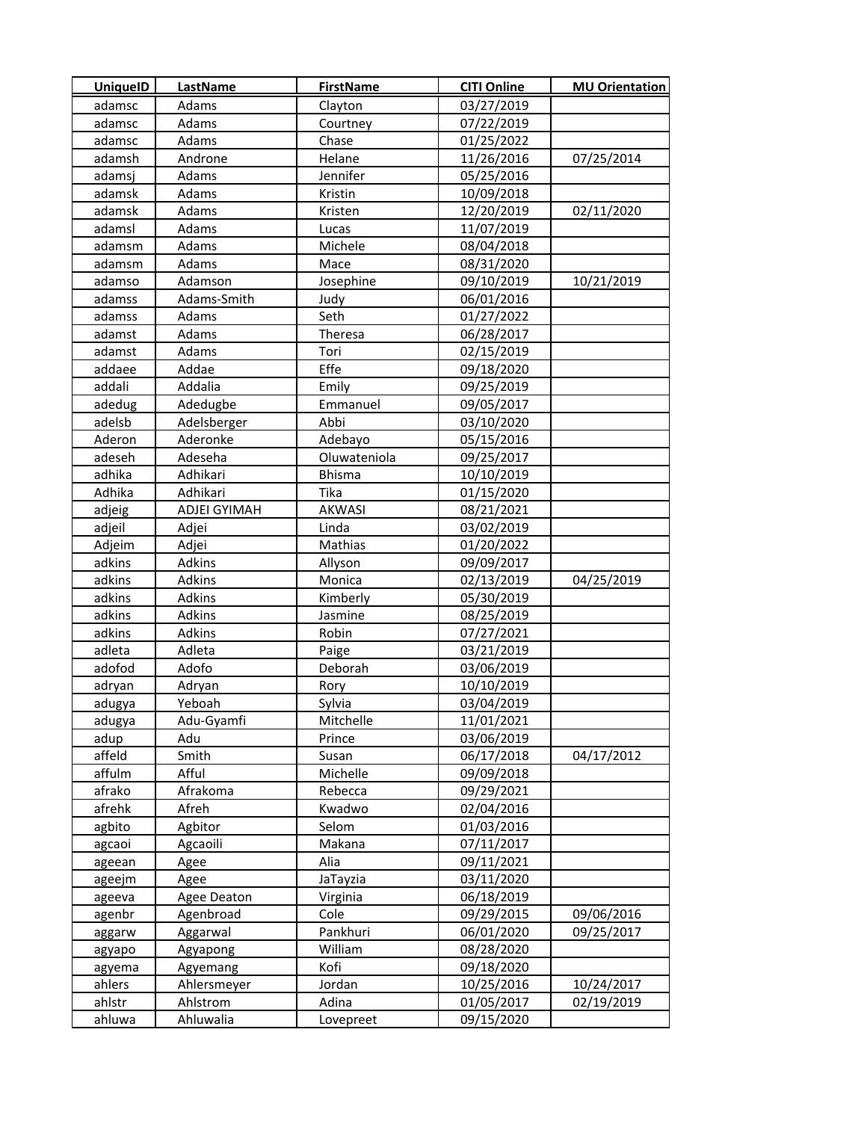| <b>UniquelD</b>  | LastName                | <b>FirstName</b> | <b>CITI Online</b>       | <b>MU Orientation</b> |
|------------------|-------------------------|------------------|--------------------------|-----------------------|
| adamsc           | Adams                   | Clayton          | 03/27/2019               |                       |
| adamsc           | Adams                   | Courtney         | 07/22/2019               |                       |
| adamsc           | Adams                   | Chase            | 01/25/2022               |                       |
| adamsh           | Androne                 | Helane           | 11/26/2016               | 07/25/2014            |
| adamsj           | Adams                   | Jennifer         | 05/25/2016               |                       |
| adamsk           | Adams                   | Kristin          | 10/09/2018               |                       |
| adamsk           | Adams                   | Kristen          | 12/20/2019               | 02/11/2020            |
| adamsl           | Adams                   | Lucas            | 11/07/2019               |                       |
| adamsm           | Adams                   | Michele          | 08/04/2018               |                       |
| adamsm           | Adams                   | Mace             | 08/31/2020               |                       |
| adamso           | Adamson                 | Josephine        | 09/10/2019               | 10/21/2019            |
| adamss           | Adams-Smith             | Judy             | 06/01/2016               |                       |
| adamss           | Adams                   | Seth             | 01/27/2022               |                       |
| adamst           | Adams                   | Theresa          | 06/28/2017               |                       |
| adamst           | Adams                   | Tori             | 02/15/2019               |                       |
| addaee           | Addae                   | Effe             | 09/18/2020               |                       |
| addali           | Addalia                 | Emily            | 09/25/2019               |                       |
| adedug           | Adedugbe                | Emmanuel         | 09/05/2017               |                       |
| adelsb           | Adelsberger             | Abbi             | 03/10/2020               |                       |
| Aderon           | Aderonke                | Adebayo          | 05/15/2016               |                       |
| adeseh           | Adeseha                 | Oluwateniola     | 09/25/2017               |                       |
| adhika           | Adhikari                | <b>Bhisma</b>    | 10/10/2019               |                       |
| Adhika           | Adhikari                | Tika             | 01/15/2020               |                       |
| adjeig           | ADJEI GYIMAH            | <b>AKWASI</b>    | 08/21/2021               |                       |
| adjeil           | Adjei                   | Linda            | 03/02/2019               |                       |
| Adjeim           | Adjei                   | Mathias          | 01/20/2022               |                       |
| adkins           | Adkins                  | Allyson          | 09/09/2017               |                       |
| adkins           | Adkins                  | Monica           | 02/13/2019               | 04/25/2019            |
| adkins           | Adkins                  | Kimberly         | 05/30/2019               |                       |
| adkins           | Adkins                  | Jasmine          | 08/25/2019               |                       |
| adkins           | Adkins                  | Robin            | 07/27/2021               |                       |
| adleta           | Adleta                  | Paige            | 03/21/2019               |                       |
| adofod           | Adofo                   | Deborah          | 03/06/2019               |                       |
| adryan           | Adryan                  | Rory             | 10/10/2019               |                       |
| adugya           | Yeboah                  | Sylvia           | 03/04/2019               |                       |
| adugya           | Adu-Gyamfi              | Mitchelle        | 11/01/2021               |                       |
| adup             | Adu                     | Prince           | 03/06/2019               |                       |
| affeld           | Smith                   | Susan            | 06/17/2018               | 04/17/2012            |
| affulm           | Afful                   | Michelle         | 09/09/2018               |                       |
| afrako           | Afrakoma                | Rebecca          | 09/29/2021               |                       |
| afrehk           | Afreh                   | Kwadwo           | 02/04/2016               |                       |
| agbito           | Agbitor                 | Selom            | 01/03/2016               |                       |
| agcaoi           | Agcaoili                | Makana           | 07/11/2017               |                       |
| ageean           | Agee                    | Alia             | 09/11/2021               |                       |
| ageejm           | Agee                    | JaTayzia         | 03/11/2020               |                       |
| ageeva           | Agee Deaton             | Virginia         | 06/18/2019               |                       |
| agenbr           | Agenbroad               | Cole             | 09/29/2015               | 09/06/2016            |
| aggarw           | Aggarwal                | Pankhuri         | 06/01/2020               | 09/25/2017            |
| agyapo           | Agyapong                | William<br>Kofi  | 08/28/2020<br>09/18/2020 |                       |
| agyema<br>ahlers | Agyemang<br>Ahlersmeyer | Jordan           | 10/25/2016               | 10/24/2017            |
| ahlstr           | Ahlstrom                | Adina            | 01/05/2017               | 02/19/2019            |
| ahluwa           | Ahluwalia               | Lovepreet        | 09/15/2020               |                       |
|                  |                         |                  |                          |                       |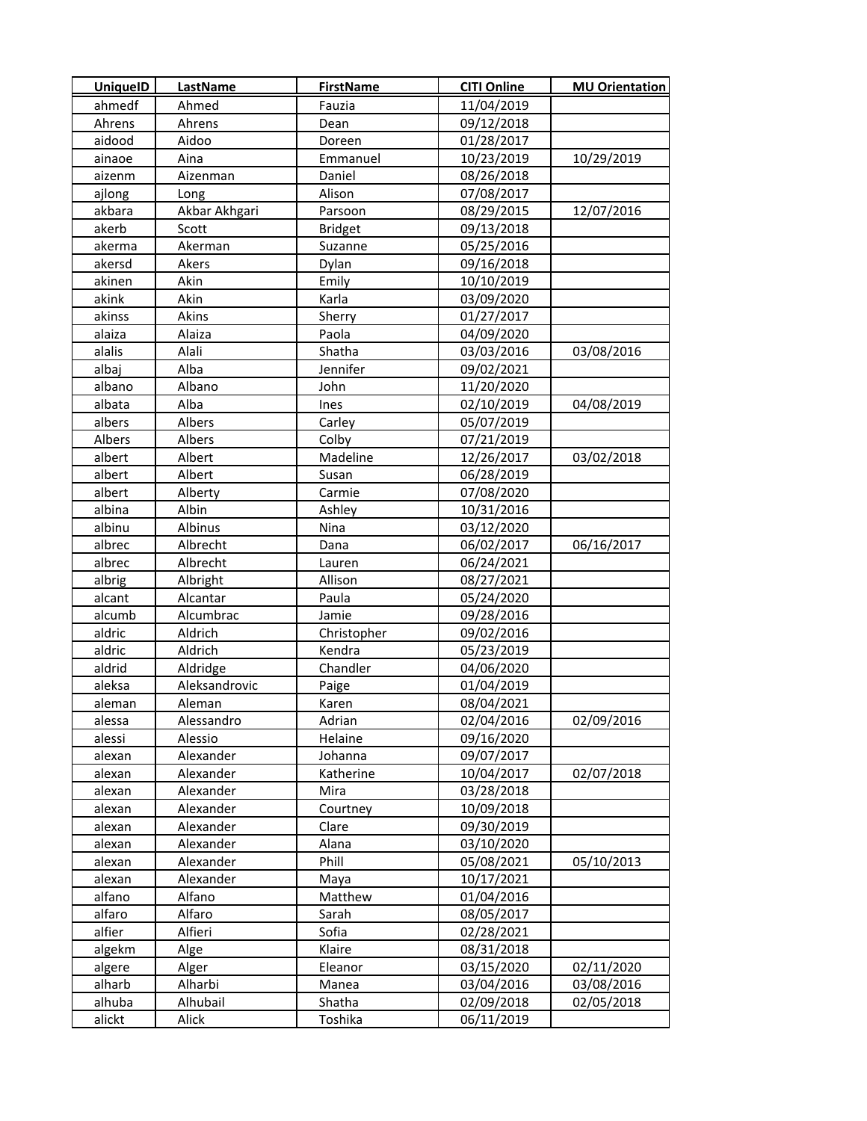| <b>UniquelD</b> | LastName      | <b>FirstName</b> | <b>CITI Online</b> | <b>MU Orientation</b> |
|-----------------|---------------|------------------|--------------------|-----------------------|
| ahmedf          | Ahmed         | Fauzia           | 11/04/2019         |                       |
| Ahrens          | Ahrens        | Dean             | 09/12/2018         |                       |
| aidood          | Aidoo         | Doreen           | 01/28/2017         |                       |
| ainaoe          | Aina          | Emmanuel         | 10/23/2019         | 10/29/2019            |
| aizenm          | Aizenman      | Daniel           | 08/26/2018         |                       |
| ajlong          | Long          | Alison           | 07/08/2017         |                       |
| akbara          | Akbar Akhgari | Parsoon          | 08/29/2015         | 12/07/2016            |
| akerb           | Scott         | <b>Bridget</b>   | 09/13/2018         |                       |
| akerma          | Akerman       | Suzanne          | 05/25/2016         |                       |
| akersd          | Akers         | Dylan            | 09/16/2018         |                       |
| akinen          | Akin          | Emily            | 10/10/2019         |                       |
| akink           | Akin          | Karla            | 03/09/2020         |                       |
| akinss          | Akins         | Sherry           | 01/27/2017         |                       |
| alaiza          | Alaiza        | Paola            | 04/09/2020         |                       |
| alalis          | Alali         | Shatha           | 03/03/2016         | 03/08/2016            |
| albaj           | Alba          | Jennifer         | 09/02/2021         |                       |
| albano          | Albano        | John             | 11/20/2020         |                       |
| albata          | Alba          | Ines             | 02/10/2019         | 04/08/2019            |
| albers          | Albers        | Carley           | 05/07/2019         |                       |
| Albers          | Albers        | Colby            | 07/21/2019         |                       |
| albert          | Albert        | Madeline         | 12/26/2017         | 03/02/2018            |
| albert          | Albert        | Susan            | 06/28/2019         |                       |
| albert          | Alberty       | Carmie           | 07/08/2020         |                       |
| albina          | Albin         | Ashley           | 10/31/2016         |                       |
| albinu          | Albinus       | Nina             | 03/12/2020         |                       |
| albrec          | Albrecht      | Dana             | 06/02/2017         | 06/16/2017            |
| albrec          | Albrecht      | Lauren           | 06/24/2021         |                       |
| albrig          | Albright      | Allison          | 08/27/2021         |                       |
| alcant          | Alcantar      | Paula            | 05/24/2020         |                       |
| alcumb          | Alcumbrac     | Jamie            | 09/28/2016         |                       |
| aldric          | Aldrich       | Christopher      | 09/02/2016         |                       |
| aldric          | Aldrich       | Kendra           | 05/23/2019         |                       |
| aldrid          | Aldridge      | Chandler         | 04/06/2020         |                       |
| aleksa          | Aleksandrovic | Paige            | 01/04/2019         |                       |
| aleman          | Aleman        | Karen            | 08/04/2021         |                       |
| alessa          | Alessandro    | Adrian           | 02/04/2016         | 02/09/2016            |
| alessi          | Alessio       | Helaine          | 09/16/2020         |                       |
| alexan          | Alexander     | Johanna          | 09/07/2017         |                       |
| alexan          | Alexander     | Katherine        | 10/04/2017         | 02/07/2018            |
| alexan          | Alexander     | Mira             | 03/28/2018         |                       |
| alexan          | Alexander     | Courtney         | 10/09/2018         |                       |
| alexan          | Alexander     | Clare            | 09/30/2019         |                       |
| alexan          | Alexander     | Alana            | 03/10/2020         |                       |
| alexan          | Alexander     | Phill            | 05/08/2021         | 05/10/2013            |
| alexan          | Alexander     | Maya             | 10/17/2021         |                       |
| alfano          | Alfano        | Matthew          | 01/04/2016         |                       |
| alfaro          | Alfaro        | Sarah            | 08/05/2017         |                       |
| alfier          | Alfieri       | Sofia            | 02/28/2021         |                       |
| algekm          | Alge          | Klaire           | 08/31/2018         |                       |
| algere          | Alger         | Eleanor          | 03/15/2020         | 02/11/2020            |
| alharb          | Alharbi       | Manea            | 03/04/2016         | 03/08/2016            |
| alhuba          | Alhubail      | Shatha           | 02/09/2018         | 02/05/2018            |
| alickt          | Alick         | Toshika          | 06/11/2019         |                       |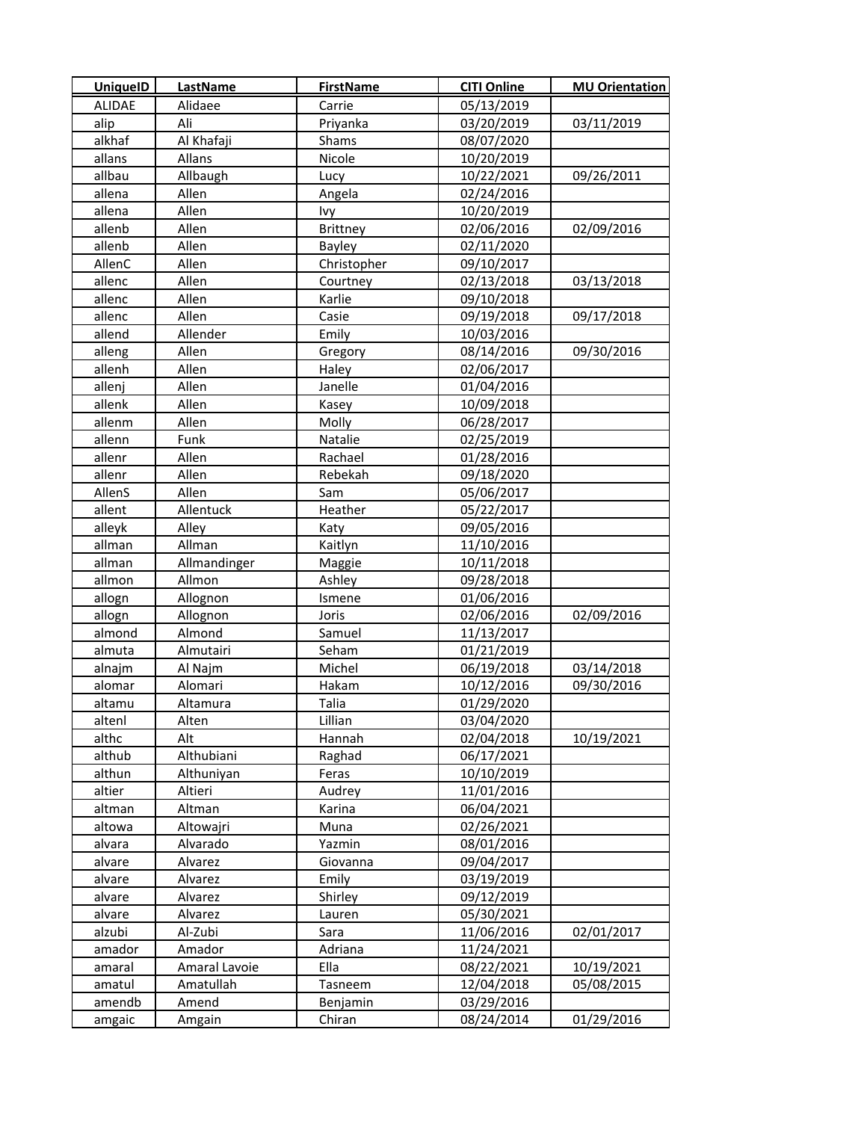| <b>UniquelD</b> | LastName      | <b>FirstName</b> | <b>CITI Online</b> | <b>MU Orientation</b> |
|-----------------|---------------|------------------|--------------------|-----------------------|
| <b>ALIDAE</b>   | Alidaee       | Carrie           | 05/13/2019         |                       |
| alip            | Ali           | Priyanka         | 03/20/2019         | 03/11/2019            |
| alkhaf          | Al Khafaji    | Shams            | 08/07/2020         |                       |
| allans          | Allans        | Nicole           | 10/20/2019         |                       |
| allbau          | Allbaugh      | Lucy             | 10/22/2021         | 09/26/2011            |
| allena          | Allen         | Angela           | 02/24/2016         |                       |
| allena          | Allen         | Ivy              | 10/20/2019         |                       |
| allenb          | Allen         | <b>Brittney</b>  | 02/06/2016         | 02/09/2016            |
| allenb          | Allen         | Bayley           | 02/11/2020         |                       |
| AllenC          | Allen         | Christopher      | 09/10/2017         |                       |
| allenc          | Allen         | Courtney         | 02/13/2018         | 03/13/2018            |
| allenc          | Allen         | Karlie           | 09/10/2018         |                       |
| allenc          | Allen         | Casie            | 09/19/2018         | 09/17/2018            |
| allend          | Allender      | Emily            | 10/03/2016         |                       |
| alleng          | Allen         | Gregory          | 08/14/2016         | 09/30/2016            |
| allenh          | Allen         | Haley            | 02/06/2017         |                       |
| allenj          | Allen         | Janelle          | 01/04/2016         |                       |
| allenk          | Allen         | Kasey            | 10/09/2018         |                       |
| allenm          | Allen         | Molly            | 06/28/2017         |                       |
| allenn          | Funk          | Natalie          | 02/25/2019         |                       |
| allenr          | Allen         | Rachael          | 01/28/2016         |                       |
| allenr          | Allen         | Rebekah          | 09/18/2020         |                       |
| AllenS          | Allen         | Sam              | 05/06/2017         |                       |
| allent          | Allentuck     | Heather          | 05/22/2017         |                       |
| alleyk          | Alley         | Katy             | 09/05/2016         |                       |
| allman          | Allman        | Kaitlyn          | 11/10/2016         |                       |
| allman          | Allmandinger  | Maggie           | 10/11/2018         |                       |
| allmon          | Allmon        | Ashley           | 09/28/2018         |                       |
| allogn          | Allognon      | Ismene           | 01/06/2016         |                       |
| allogn          | Allognon      | Joris            | 02/06/2016         | 02/09/2016            |
| almond          | Almond        | Samuel           | 11/13/2017         |                       |
| almuta          | Almutairi     | Seham            | 01/21/2019         |                       |
| alnajm          | Al Najm       | Michel           | 06/19/2018         | 03/14/2018            |
| alomar          | Alomari       | Hakam            | 10/12/2016         | 09/30/2016            |
| altamu          | Altamura      | Talia            | 01/29/2020         |                       |
| altenl          | Alten         | Lillian          | 03/04/2020         |                       |
| althc           | Alt           | Hannah           | 02/04/2018         | 10/19/2021            |
| althub          | Althubiani    | Raghad           | 06/17/2021         |                       |
| althun          | Althuniyan    | Feras            | 10/10/2019         |                       |
| altier          | Altieri       | Audrey           | 11/01/2016         |                       |
| altman          | Altman        | Karina           | 06/04/2021         |                       |
| altowa          | Altowajri     | Muna             | 02/26/2021         |                       |
| alvara          | Alvarado      | Yazmin           | 08/01/2016         |                       |
| alvare          | Alvarez       | Giovanna         | 09/04/2017         |                       |
| alvare          | Alvarez       | Emily            | 03/19/2019         |                       |
| alvare          | Alvarez       | Shirley          | 09/12/2019         |                       |
| alvare          | Alvarez       | Lauren           | 05/30/2021         |                       |
| alzubi          | Al-Zubi       | Sara             | 11/06/2016         | 02/01/2017            |
| amador          | Amador        | Adriana          | 11/24/2021         |                       |
| amaral          | Amaral Lavoie | Ella             | 08/22/2021         | 10/19/2021            |
| amatul          | Amatullah     | Tasneem          | 12/04/2018         | 05/08/2015            |
| amendb          | Amend         | Benjamin         | 03/29/2016         |                       |
| amgaic          | Amgain        | Chiran           | 08/24/2014         | 01/29/2016            |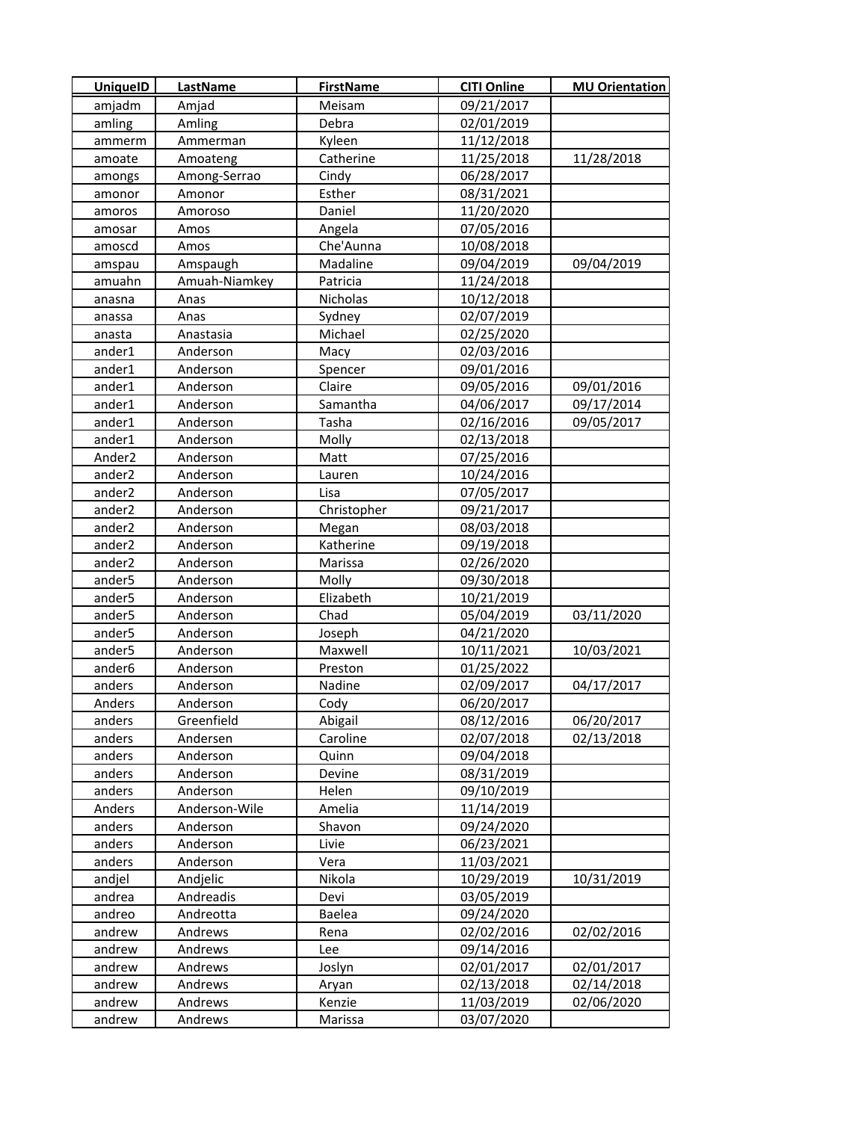| <b>UniquelD</b>    | LastName      | <b>FirstName</b> | <b>CITI Online</b> | <b>MU Orientation</b> |
|--------------------|---------------|------------------|--------------------|-----------------------|
| amjadm             | Amjad         | Meisam           | 09/21/2017         |                       |
| amling             | Amling        | Debra            | 02/01/2019         |                       |
| ammerm             | Ammerman      | Kyleen           | 11/12/2018         |                       |
| amoate             | Amoateng      | Catherine        | 11/25/2018         | 11/28/2018            |
| amongs             | Among-Serrao  | Cindy            | 06/28/2017         |                       |
| amonor             | Amonor        | Esther           | 08/31/2021         |                       |
| amoros             | Amoroso       | Daniel           | 11/20/2020         |                       |
| amosar             | Amos          | Angela           | 07/05/2016         |                       |
| amoscd             | Amos          | Che'Aunna        | 10/08/2018         |                       |
| amspau             | Amspaugh      | Madaline         | 09/04/2019         | 09/04/2019            |
| amuahn             | Amuah-Niamkey | Patricia         | 11/24/2018         |                       |
| anasna             | Anas          | Nicholas         | 10/12/2018         |                       |
| anassa             | Anas          | Sydney           | 02/07/2019         |                       |
| anasta             | Anastasia     | Michael          | 02/25/2020         |                       |
| ander1             | Anderson      | Macy             | 02/03/2016         |                       |
| ander1             | Anderson      | Spencer          | 09/01/2016         |                       |
| ander1             | Anderson      | Claire           | 09/05/2016         | 09/01/2016            |
| ander1             | Anderson      | Samantha         | 04/06/2017         | 09/17/2014            |
| ander1             | Anderson      | Tasha            | 02/16/2016         | 09/05/2017            |
| ander1             | Anderson      | Molly            | 02/13/2018         |                       |
| Ander <sub>2</sub> | Anderson      | Matt             | 07/25/2016         |                       |
| ander <sub>2</sub> | Anderson      | Lauren           | 10/24/2016         |                       |
| ander <sub>2</sub> | Anderson      | Lisa             | 07/05/2017         |                       |
| ander <sub>2</sub> | Anderson      | Christopher      | 09/21/2017         |                       |
| ander <sub>2</sub> | Anderson      | Megan            | 08/03/2018         |                       |
| ander <sub>2</sub> | Anderson      | Katherine        | 09/19/2018         |                       |
| ander <sub>2</sub> | Anderson      | Marissa          | 02/26/2020         |                       |
| ander5             | Anderson      | Molly            | 09/30/2018         |                       |
| ander5             | Anderson      | Elizabeth        | 10/21/2019         |                       |
| ander <sub>5</sub> | Anderson      | Chad             | 05/04/2019         | 03/11/2020            |
| ander5             | Anderson      | Joseph           | 04/21/2020         |                       |
| ander5             | Anderson      | Maxwell          | 10/11/2021         | 10/03/2021            |
| ander6             | Anderson      | Preston          | 01/25/2022         |                       |
| anders             | Anderson      | Nadine           | 02/09/2017         | 04/17/2017            |
| Anders             | Anderson      | Cody             | 06/20/2017         |                       |
| anders             | Greenfield    | Abigail          | 08/12/2016         | 06/20/2017            |
| anders             | Andersen      | Caroline         | 02/07/2018         | 02/13/2018            |
| anders             | Anderson      | Quinn            | 09/04/2018         |                       |
| anders             | Anderson      | Devine           | 08/31/2019         |                       |
| anders             | Anderson      | Helen            | 09/10/2019         |                       |
| Anders             | Anderson-Wile | Amelia           | 11/14/2019         |                       |
| anders             | Anderson      | Shavon           | 09/24/2020         |                       |
| anders             | Anderson      | Livie            | 06/23/2021         |                       |
| anders             | Anderson      | Vera             | 11/03/2021         |                       |
| andjel             | Andjelic      | Nikola           | 10/29/2019         | 10/31/2019            |
| andrea             | Andreadis     | Devi             | 03/05/2019         |                       |
| andreo             | Andreotta     | Baelea           | 09/24/2020         |                       |
| andrew             | Andrews       | Rena             | 02/02/2016         | 02/02/2016            |
| andrew             | Andrews       | Lee              | 09/14/2016         |                       |
| andrew             | Andrews       | Joslyn           | 02/01/2017         | 02/01/2017            |
| andrew             | Andrews       | Aryan            | 02/13/2018         | 02/14/2018            |
| andrew             | Andrews       | Kenzie           | 11/03/2019         | 02/06/2020            |
| andrew             | Andrews       | Marissa          | 03/07/2020         |                       |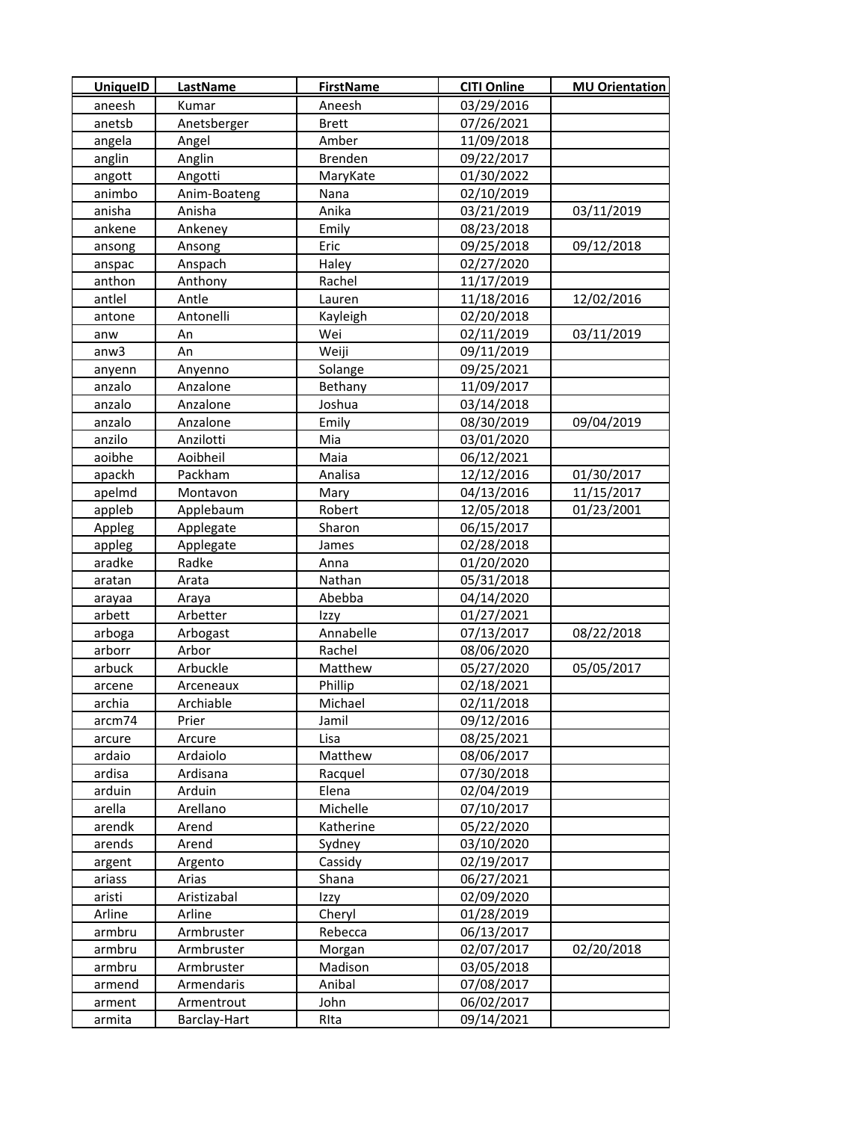| <b>UniquelD</b> | <b>LastName</b> | <b>FirstName</b> | <b>CITI Online</b> | <b>MU Orientation</b> |
|-----------------|-----------------|------------------|--------------------|-----------------------|
| aneesh          | Kumar           | Aneesh           | 03/29/2016         |                       |
| anetsb          | Anetsberger     | <b>Brett</b>     | 07/26/2021         |                       |
| angela          | Angel           | Amber            | 11/09/2018         |                       |
| anglin          | Anglin          | <b>Brenden</b>   | 09/22/2017         |                       |
| angott          | Angotti         | MaryKate         | 01/30/2022         |                       |
| animbo          | Anim-Boateng    | Nana             | 02/10/2019         |                       |
| anisha          | Anisha          | Anika            | 03/21/2019         | 03/11/2019            |
| ankene          | Ankeney         | Emily            | 08/23/2018         |                       |
| ansong          | Ansong          | Eric             | 09/25/2018         | 09/12/2018            |
| anspac          | Anspach         | Haley            | 02/27/2020         |                       |
| anthon          | Anthony         | Rachel           | 11/17/2019         |                       |
| antlel          | Antle           | Lauren           | 11/18/2016         | 12/02/2016            |
| antone          | Antonelli       | Kayleigh         | 02/20/2018         |                       |
| anw             | An              | Wei              | 02/11/2019         | 03/11/2019            |
| anw3            | An              | Weiji            | 09/11/2019         |                       |
| anyenn          | Anyenno         | Solange          | 09/25/2021         |                       |
| anzalo          | Anzalone        | Bethany          | 11/09/2017         |                       |
| anzalo          | Anzalone        | Joshua           | 03/14/2018         |                       |
| anzalo          | Anzalone        | Emily            | 08/30/2019         | 09/04/2019            |
| anzilo          | Anzilotti       | Mia              | 03/01/2020         |                       |
| aoibhe          | Aoibheil        | Maia             | 06/12/2021         |                       |
| apackh          | Packham         | Analisa          | 12/12/2016         | 01/30/2017            |
| apelmd          | Montavon        | Mary             | 04/13/2016         | 11/15/2017            |
| appleb          | Applebaum       | Robert           | 12/05/2018         | 01/23/2001            |
| Appleg          | Applegate       | Sharon           | 06/15/2017         |                       |
| appleg          | Applegate       | James            | 02/28/2018         |                       |
| aradke          | Radke           | Anna             | 01/20/2020         |                       |
| aratan          | Arata           | Nathan           | 05/31/2018         |                       |
| arayaa          | Araya           | Abebba           | 04/14/2020         |                       |
| arbett          | Arbetter        | Izzy             | 01/27/2021         |                       |
| arboga          | Arbogast        | Annabelle        | 07/13/2017         | 08/22/2018            |
| arborr          | Arbor           | Rachel           | 08/06/2020         |                       |
| arbuck          | Arbuckle        | Matthew          | 05/27/2020         | 05/05/2017            |
| arcene          | Arceneaux       | Phillip          | 02/18/2021         |                       |
| archia          | Archiable       | Michael          | 02/11/2018         |                       |
| arcm74          | Prier           | Jamil            | 09/12/2016         |                       |
| arcure          | Arcure          | Lisa             | 08/25/2021         |                       |
| ardaio          | Ardaiolo        | Matthew          | 08/06/2017         |                       |
| ardisa          | Ardisana        | Racquel          | 07/30/2018         |                       |
| arduin          | Arduin          | Elena            | 02/04/2019         |                       |
| arella          | Arellano        | Michelle         | 07/10/2017         |                       |
| arendk          | Arend           | Katherine        | 05/22/2020         |                       |
| arends          | Arend           | Sydney           | 03/10/2020         |                       |
| argent          | Argento         | Cassidy          | 02/19/2017         |                       |
| ariass          | Arias           | Shana            | 06/27/2021         |                       |
| aristi          | Aristizabal     | Izzy             | 02/09/2020         |                       |
| Arline          | Arline          | Cheryl           | 01/28/2019         |                       |
| armbru          | Armbruster      | Rebecca          | 06/13/2017         |                       |
| armbru          | Armbruster      | Morgan           | 02/07/2017         | 02/20/2018            |
| armbru          | Armbruster      | Madison          | 03/05/2018         |                       |
| armend          | Armendaris      | Anibal           | 07/08/2017         |                       |
| arment          | Armentrout      | John             | 06/02/2017         |                       |
| armita          | Barclay-Hart    | RIta             | 09/14/2021         |                       |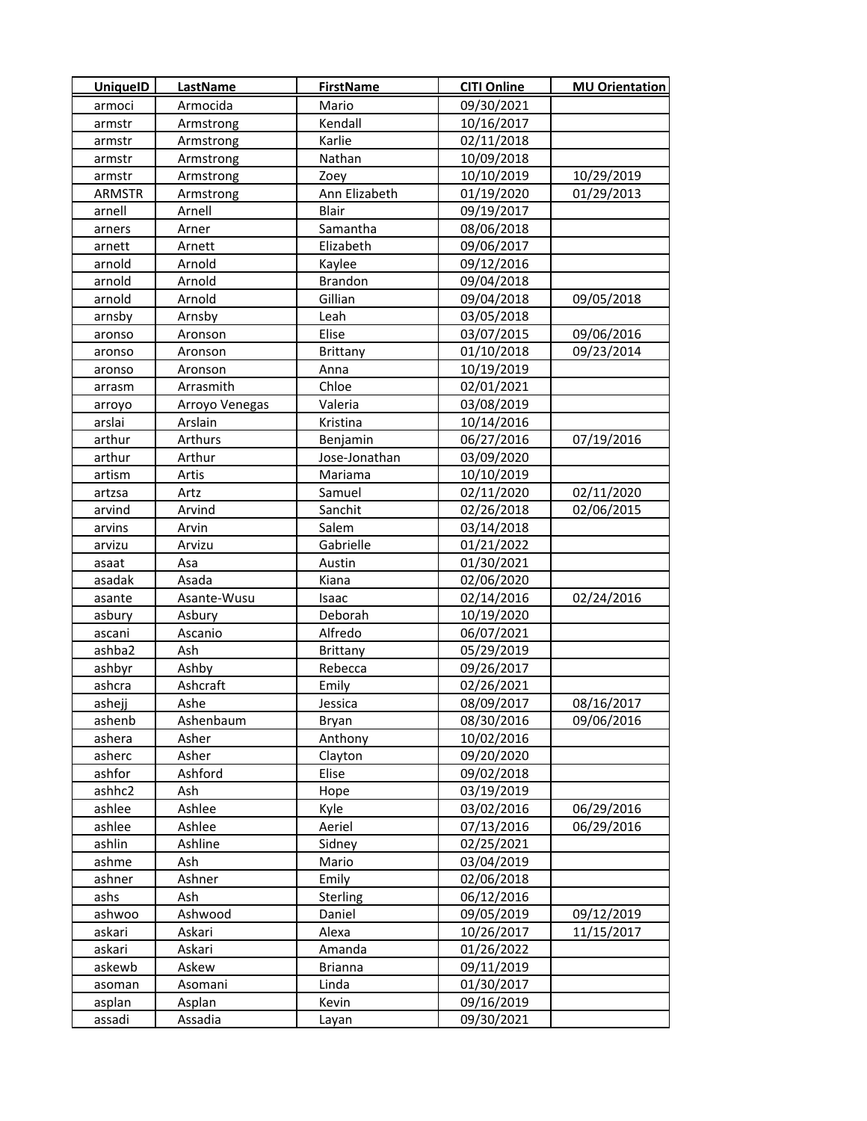| <b>UniquelD</b>  | <b>LastName</b>  | <b>FirstName</b>        | <b>CITI Online</b>       | <b>MU Orientation</b> |
|------------------|------------------|-------------------------|--------------------------|-----------------------|
| armoci           | Armocida         | Mario                   | 09/30/2021               |                       |
| armstr           | Armstrong        | Kendall                 | 10/16/2017               |                       |
| armstr           | Armstrong        | Karlie                  | 02/11/2018               |                       |
| armstr           | Armstrong        | Nathan                  | 10/09/2018               |                       |
| armstr           | Armstrong        | Zoey                    | 10/10/2019               | 10/29/2019            |
| <b>ARMSTR</b>    | Armstrong        | Ann Elizabeth           | 01/19/2020               | 01/29/2013            |
| arnell           | Arnell           | Blair                   | 09/19/2017               |                       |
| arners           | Arner            | Samantha                | 08/06/2018               |                       |
| arnett           | Arnett           | Elizabeth               | 09/06/2017               |                       |
| arnold           | Arnold           | Kaylee                  | 09/12/2016               |                       |
| arnold           | Arnold           | <b>Brandon</b>          | 09/04/2018               |                       |
| arnold           | Arnold           | Gillian                 | 09/04/2018               | 09/05/2018            |
| arnsby           | Arnsby           | Leah                    | 03/05/2018               |                       |
| aronso           | Aronson          | Elise                   | 03/07/2015               | 09/06/2016            |
| aronso           | Aronson          | <b>Brittany</b>         | 01/10/2018               | 09/23/2014            |
| aronso           | Aronson          | Anna                    | 10/19/2019               |                       |
| arrasm           | Arrasmith        | Chloe                   | 02/01/2021               |                       |
| arroyo           | Arroyo Venegas   | Valeria                 | 03/08/2019               |                       |
| arslai           | Arslain          | Kristina                | 10/14/2016               |                       |
| arthur           | Arthurs          | Benjamin                | 06/27/2016               | 07/19/2016            |
| arthur           | Arthur           | Jose-Jonathan           | 03/09/2020               |                       |
| artism           | Artis            | Mariama                 | 10/10/2019               |                       |
| artzsa           | Artz             | Samuel                  | 02/11/2020               | 02/11/2020            |
| arvind           | Arvind           | Sanchit                 | 02/26/2018               | 02/06/2015            |
| arvins           | Arvin            | Salem                   | 03/14/2018               |                       |
| arvizu           | Arvizu           | Gabrielle               | 01/21/2022               |                       |
| asaat            | Asa              | Austin                  | 01/30/2021               |                       |
| asadak           | Asada            | Kiana                   | 02/06/2020               |                       |
| asante           | Asante-Wusu      | Isaac                   | 02/14/2016               | 02/24/2016            |
| asbury           | Asbury           | Deborah                 | 10/19/2020               |                       |
| ascani           | Ascanio          | Alfredo                 | 06/07/2021               |                       |
| ashba2           | Ash              | <b>Brittany</b>         | 05/29/2019               |                       |
| ashbyr           | Ashby            | Rebecca                 | 09/26/2017               |                       |
| ashcra           | Ashcraft         | Emily                   | 02/26/2021               |                       |
| ashejj           | Ashe             | Jessica                 | 08/09/2017               | 08/16/2017            |
| ashenb           | Ashenbaum        | Bryan                   | 08/30/2016               | 09/06/2016            |
| ashera           | Asher            | Anthony                 | 10/02/2016               |                       |
| asherc           | Asher            | Clayton                 | 09/20/2020               |                       |
| ashfor           | Ashford          | Elise                   | 09/02/2018               |                       |
| ashhc2           | Ash              | Hope                    | 03/19/2019               |                       |
| ashlee           | Ashlee           | Kyle                    | 03/02/2016               | 06/29/2016            |
| ashlee           | Ashlee           | Aeriel                  | 07/13/2016               | 06/29/2016            |
| ashlin           | Ashline          | Sidney                  | 02/25/2021               |                       |
| ashme            | Ash              | Mario                   | 03/04/2019               |                       |
| ashner           | Ashner           | Emily                   | 02/06/2018               |                       |
| ashs             | Ash              | Sterling                | 06/12/2016               |                       |
| ashwoo           | Ashwood          | Daniel                  | 09/05/2019               | 09/12/2019            |
| askari           | Askari           | Alexa                   | 10/26/2017               | 11/15/2017            |
| askari           | Askari           | Amanda                  | 01/26/2022               |                       |
| askewb           | Askew<br>Asomani | <b>Brianna</b><br>Linda | 09/11/2019<br>01/30/2017 |                       |
| asoman<br>asplan | Asplan           | Kevin                   | 09/16/2019               |                       |
| assadi           | Assadia          | Layan                   | 09/30/2021               |                       |
|                  |                  |                         |                          |                       |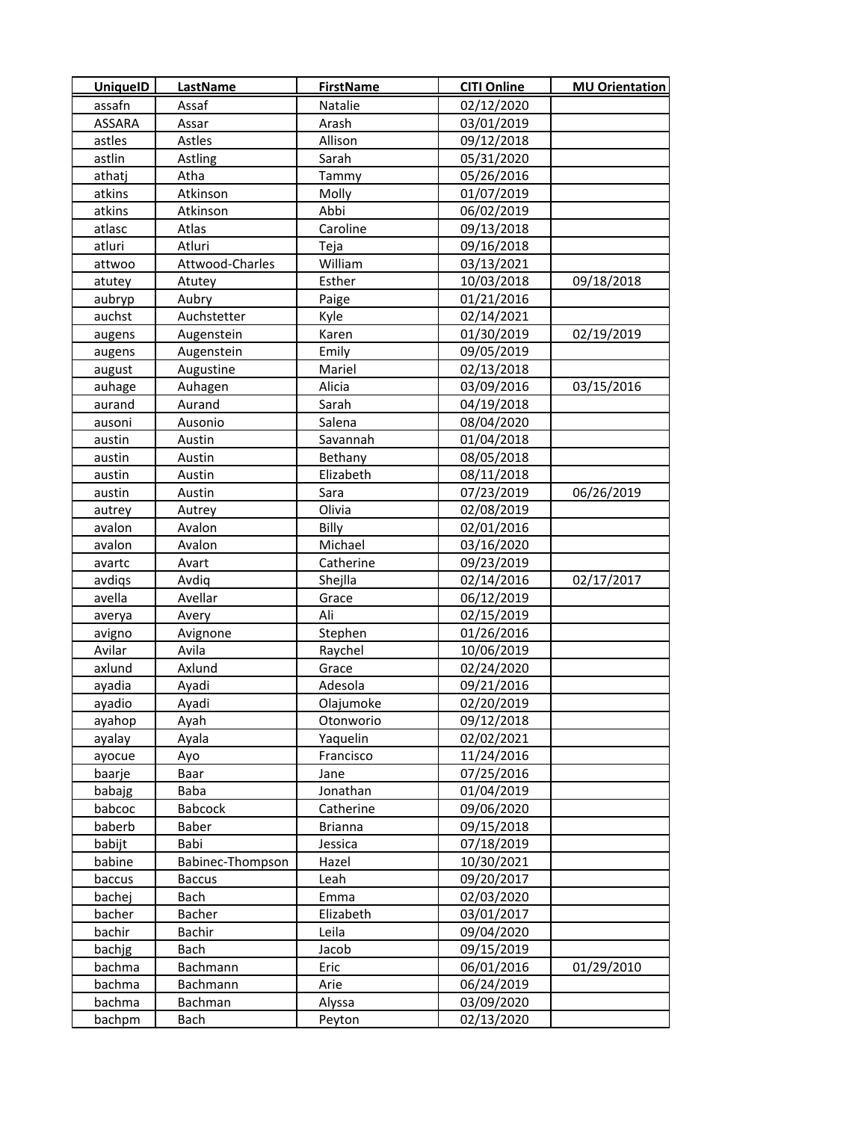| <b>UniquelD</b> | LastName         | <b>FirstName</b> | <b>CITI Online</b> | <b>MU Orientation</b> |
|-----------------|------------------|------------------|--------------------|-----------------------|
| assafn          | Assaf            | Natalie          | 02/12/2020         |                       |
| <b>ASSARA</b>   | Assar            | Arash            | 03/01/2019         |                       |
| astles          | Astles           | Allison          | 09/12/2018         |                       |
| astlin          | Astling          | Sarah            | 05/31/2020         |                       |
| athatj          | Atha             | Tammy            | 05/26/2016         |                       |
| atkins          | Atkinson         | Molly            | 01/07/2019         |                       |
| atkins          | Atkinson         | Abbi             | 06/02/2019         |                       |
| atlasc          | Atlas            | Caroline         | 09/13/2018         |                       |
| atluri          | Atluri           | Teja             | 09/16/2018         |                       |
| attwoo          | Attwood-Charles  | William          | 03/13/2021         |                       |
| atutey          | Atutey           | Esther           | 10/03/2018         | 09/18/2018            |
| aubryp          | Aubry            | Paige            | 01/21/2016         |                       |
| auchst          | Auchstetter      | Kyle             | 02/14/2021         |                       |
| augens          | Augenstein       | Karen            | 01/30/2019         | 02/19/2019            |
| augens          | Augenstein       | Emily            | 09/05/2019         |                       |
| august          | Augustine        | Mariel           | 02/13/2018         |                       |
| auhage          | Auhagen          | Alicia           | 03/09/2016         | 03/15/2016            |
| aurand          | Aurand           | Sarah            | 04/19/2018         |                       |
| ausoni          | Ausonio          | Salena           | 08/04/2020         |                       |
| austin          | Austin           | Savannah         | 01/04/2018         |                       |
| austin          | Austin           | Bethany          | 08/05/2018         |                       |
| austin          | Austin           | Elizabeth        | 08/11/2018         |                       |
| austin          | Austin           | Sara             | 07/23/2019         | 06/26/2019            |
| autrey          | Autrey           | Olivia           | 02/08/2019         |                       |
| avalon          | Avalon           | Billy            | 02/01/2016         |                       |
| avalon          | Avalon           | Michael          | 03/16/2020         |                       |
| avartc          | Avart            | Catherine        | 09/23/2019         |                       |
| avdiqs          | Avdiq            | Shejlla          | 02/14/2016         | 02/17/2017            |
| avella          | Avellar          | Grace            | 06/12/2019         |                       |
| averya          | Avery            | Ali              | 02/15/2019         |                       |
| avigno          | Avignone         | Stephen          | 01/26/2016         |                       |
| Avilar          | Avila            | Raychel          | 10/06/2019         |                       |
| axlund          | Axlund           | Grace            | 02/24/2020         |                       |
| ayadia          | Ayadi            | Adesola          | 09/21/2016         |                       |
| ayadio          | Ayadi            | Olajumoke        | 02/20/2019         |                       |
| ayahop          | Ayah             | Otonworio        | 09/12/2018         |                       |
| ayalay          | Ayala            | Yaquelin         | 02/02/2021         |                       |
| ayocue          | Ayo              | Francisco        | 11/24/2016         |                       |
| baarje          | Baar             | Jane             | 07/25/2016         |                       |
| babajg          | <b>Baba</b>      | Jonathan         | 01/04/2019         |                       |
| babcoc          | <b>Babcock</b>   | Catherine        | 09/06/2020         |                       |
| baberb          | Baber            | <b>Brianna</b>   | 09/15/2018         |                       |
| babijt          | Babi             | Jessica          | 07/18/2019         |                       |
| babine          | Babinec-Thompson | Hazel            | 10/30/2021         |                       |
| baccus          | <b>Baccus</b>    | Leah             | 09/20/2017         |                       |
| bachej          | Bach             | Emma             | 02/03/2020         |                       |
| bacher          | Bacher           | Elizabeth        | 03/01/2017         |                       |
| bachir          | Bachir           | Leila            | 09/04/2020         |                       |
| bachjg          | Bach             | Jacob            | 09/15/2019         |                       |
| bachma          | Bachmann         | Eric             | 06/01/2016         | 01/29/2010            |
| bachma          | Bachmann         | Arie             | 06/24/2019         |                       |
| bachma          | Bachman          | Alyssa           | 03/09/2020         |                       |
| bachpm          | Bach             | Peyton           | 02/13/2020         |                       |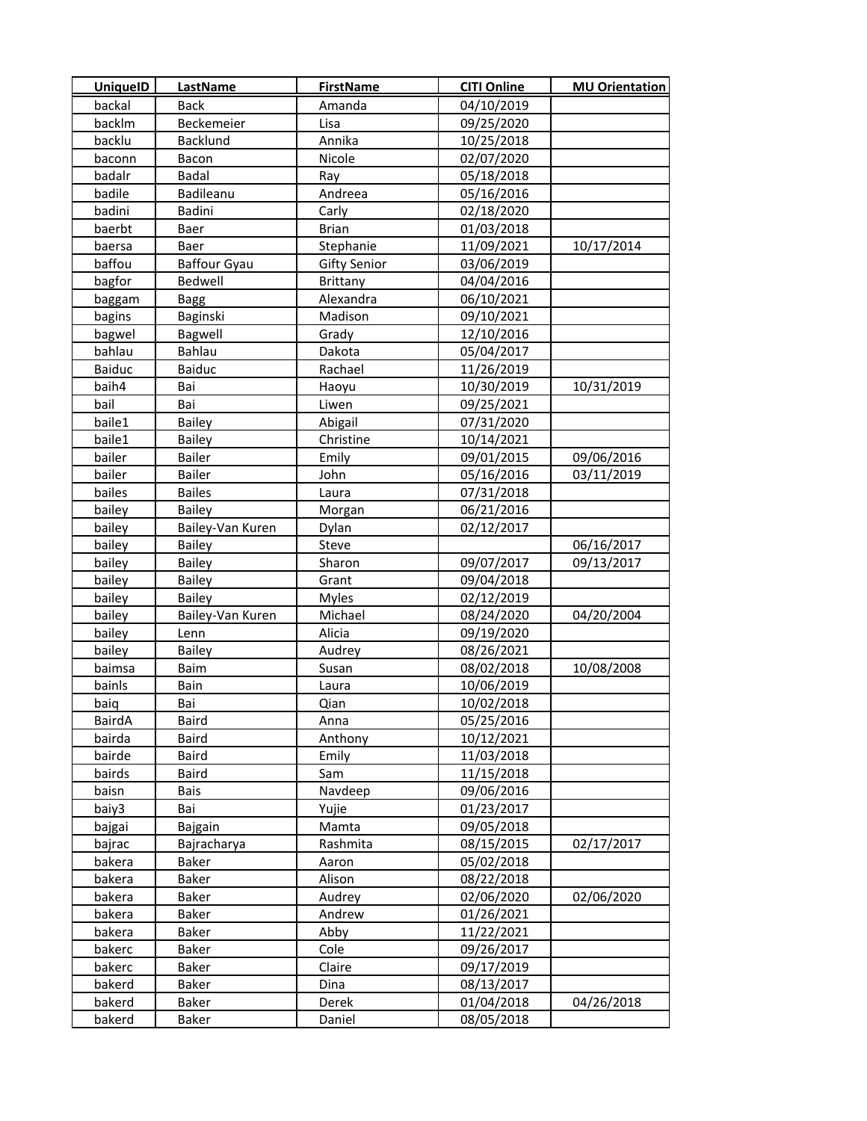| <b>UniquelD</b> | <b>LastName</b>     | <b>FirstName</b>    | <b>CITI Online</b> | <b>MU Orientation</b> |
|-----------------|---------------------|---------------------|--------------------|-----------------------|
| backal          | <b>Back</b>         | Amanda              | 04/10/2019         |                       |
| backlm          | Beckemeier          | Lisa                | 09/25/2020         |                       |
| backlu          | Backlund            | Annika              | 10/25/2018         |                       |
| baconn          | Bacon               | Nicole              | 02/07/2020         |                       |
| badalr          | <b>Badal</b>        | Ray                 | 05/18/2018         |                       |
| badile          | Badileanu           | Andreea             | 05/16/2016         |                       |
| badini          | Badini              | Carly               | 02/18/2020         |                       |
| baerbt          | Baer                | <b>Brian</b>        | 01/03/2018         |                       |
| baersa          | Baer                | Stephanie           | 11/09/2021         | 10/17/2014            |
| baffou          | <b>Baffour Gyau</b> | <b>Gifty Senior</b> | 03/06/2019         |                       |
| bagfor          | Bedwell             | Brittany            | 04/04/2016         |                       |
| baggam          | <b>Bagg</b>         | Alexandra           | 06/10/2021         |                       |
| bagins          | Baginski            | Madison             | 09/10/2021         |                       |
| bagwel          | Bagwell             | Grady               | 12/10/2016         |                       |
| bahlau          | Bahlau              | Dakota              | 05/04/2017         |                       |
| <b>Baiduc</b>   | Baiduc              | Rachael             | 11/26/2019         |                       |
| baih4           | Bai                 | Haoyu               | 10/30/2019         | 10/31/2019            |
| bail            | Bai                 | Liwen               | 09/25/2021         |                       |
| baile1          | <b>Bailey</b>       | Abigail             | 07/31/2020         |                       |
| baile1          | <b>Bailey</b>       | Christine           | 10/14/2021         |                       |
| bailer          | <b>Bailer</b>       | Emily               | 09/01/2015         | 09/06/2016            |
| bailer          | <b>Bailer</b>       | John                | 05/16/2016         | 03/11/2019            |
| bailes          | <b>Bailes</b>       | Laura               | 07/31/2018         |                       |
| bailey          | Bailey              | Morgan              | 06/21/2016         |                       |
| bailey          | Bailey-Van Kuren    | Dylan               | 02/12/2017         |                       |
| bailey          | <b>Bailey</b>       | Steve               |                    | 06/16/2017            |
| bailey          | <b>Bailey</b>       | Sharon              | 09/07/2017         | 09/13/2017            |
| bailey          | <b>Bailey</b>       | Grant               | 09/04/2018         |                       |
| bailey          | <b>Bailey</b>       | <b>Myles</b>        | 02/12/2019         |                       |
| bailey          | Bailey-Van Kuren    | Michael             | 08/24/2020         | 04/20/2004            |
| bailey          | Lenn                | Alicia              | 09/19/2020         |                       |
| bailey          | <b>Bailey</b>       | Audrey              | 08/26/2021         |                       |
| baimsa          | Baim                | Susan               | 08/02/2018         | 10/08/2008            |
| bainls          | Bain                | Laura               | 10/06/2019         |                       |
| baiq            | Bai                 | Qian                | 10/02/2018         |                       |
| BairdA          | Baird               | Anna                | 05/25/2016         |                       |
| bairda          | <b>Baird</b>        | Anthony             | 10/12/2021         |                       |
| bairde          | <b>Baird</b>        | Emily               | 11/03/2018         |                       |
| bairds          | <b>Baird</b>        | Sam                 | 11/15/2018         |                       |
| baisn           | Bais                | Navdeep             | 09/06/2016         |                       |
| baiy3           | Bai                 | Yujie               | 01/23/2017         |                       |
| bajgai          | <b>Bajgain</b>      | Mamta               | 09/05/2018         |                       |
| bajrac          | Bajracharya         | Rashmita            | 08/15/2015         | 02/17/2017            |
| bakera          | Baker               | Aaron               | 05/02/2018         |                       |
| bakera          | Baker               | Alison              | 08/22/2018         |                       |
| bakera          | Baker               | Audrey              | 02/06/2020         | 02/06/2020            |
| bakera          | Baker               | Andrew              | 01/26/2021         |                       |
| bakera          | Baker               | Abby                | 11/22/2021         |                       |
| bakerc          | Baker               | Cole                | 09/26/2017         |                       |
| bakerc          | Baker               | Claire              | 09/17/2019         |                       |
| bakerd          | Baker               | Dina                | 08/13/2017         |                       |
| bakerd          | Baker               | Derek               | 01/04/2018         | 04/26/2018            |
| bakerd          | Baker               | Daniel              | 08/05/2018         |                       |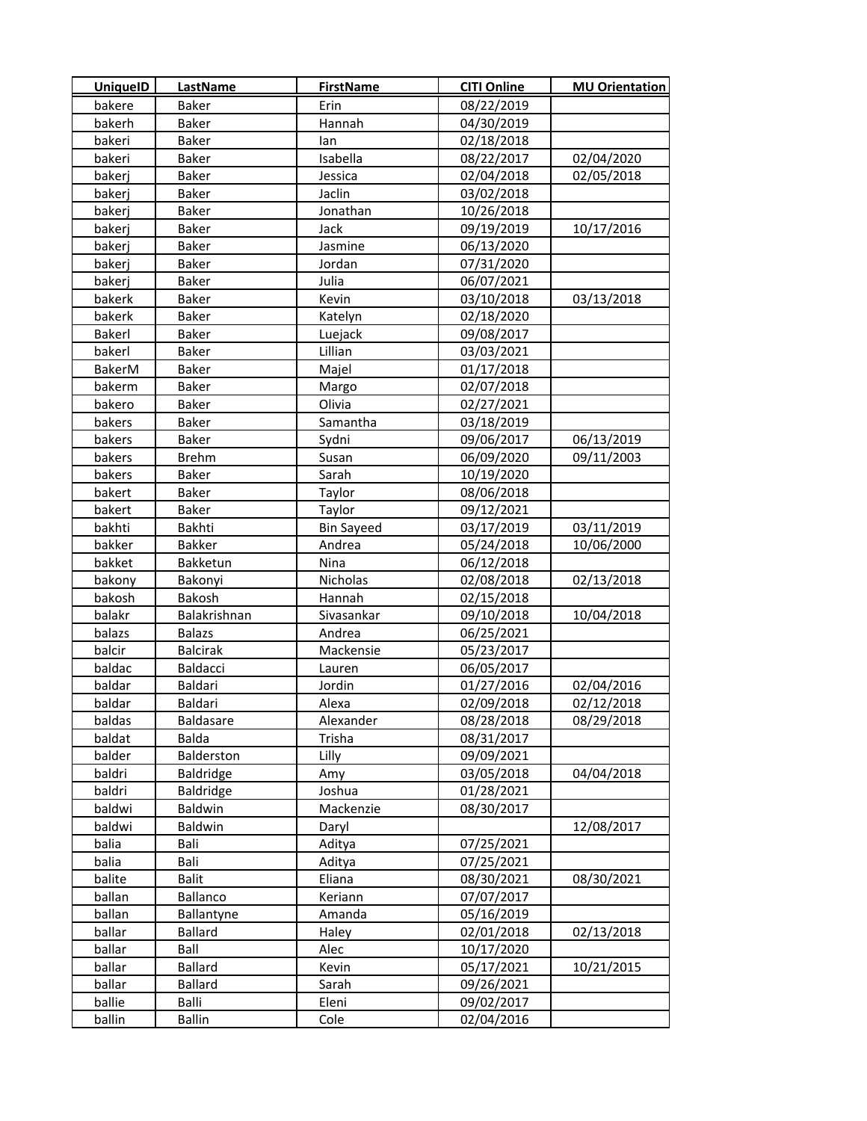| <b>UniquelD</b> | LastName        | <b>FirstName</b>  | <b>CITI Online</b> | <b>MU Orientation</b> |
|-----------------|-----------------|-------------------|--------------------|-----------------------|
| bakere          | Baker           | Erin              | 08/22/2019         |                       |
| bakerh          | Baker           | Hannah            | 04/30/2019         |                       |
| bakeri          | Baker           | lan               | 02/18/2018         |                       |
| bakeri          | Baker           | Isabella          | 08/22/2017         | 02/04/2020            |
| bakerj          | Baker           | Jessica           | 02/04/2018         | 02/05/2018            |
| bakerj          | Baker           | Jaclin            | 03/02/2018         |                       |
| bakerj          | <b>Baker</b>    | Jonathan          | 10/26/2018         |                       |
| bakerj          | Baker           | Jack              | 09/19/2019         | 10/17/2016            |
| bakerj          | Baker           | Jasmine           | 06/13/2020         |                       |
| bakerj          | Baker           | Jordan            | 07/31/2020         |                       |
| bakerj          | Baker           | Julia             | 06/07/2021         |                       |
| bakerk          | Baker           | Kevin             | 03/10/2018         | 03/13/2018            |
| bakerk          | Baker           | Katelyn           | 02/18/2020         |                       |
| Bakerl          | Baker           | Luejack           | 09/08/2017         |                       |
| bakerl          | Baker           | Lillian           | 03/03/2021         |                       |
| BakerM          | Baker           | Majel             | 01/17/2018         |                       |
| bakerm          | Baker           | Margo             | 02/07/2018         |                       |
| bakero          | Baker           | Olivia            | 02/27/2021         |                       |
| bakers          | Baker           | Samantha          | 03/18/2019         |                       |
| bakers          | <b>Baker</b>    | Sydni             | 09/06/2017         | 06/13/2019            |
| bakers          | Brehm           | Susan             | 06/09/2020         | 09/11/2003            |
| bakers          | Baker           | Sarah             | 10/19/2020         |                       |
| bakert          | Baker           | Taylor            | 08/06/2018         |                       |
| bakert          | Baker           | Taylor            | 09/12/2021         |                       |
| bakhti          | Bakhti          | <b>Bin Sayeed</b> | 03/17/2019         | 03/11/2019            |
| bakker          | Bakker          | Andrea            | 05/24/2018         | 10/06/2000            |
| bakket          | Bakketun        | Nina              | 06/12/2018         |                       |
| bakony          | Bakonyi         | Nicholas          | 02/08/2018         | 02/13/2018            |
| bakosh          | Bakosh          | Hannah            | 02/15/2018         |                       |
| balakr          | Balakrishnan    | Sivasankar        | 09/10/2018         | 10/04/2018            |
| balazs          | <b>Balazs</b>   | Andrea            | 06/25/2021         |                       |
| balcir          | <b>Balcirak</b> | Mackensie         | 05/23/2017         |                       |
| baldac          | Baldacci        | Lauren            | 06/05/2017         |                       |
| baldar          | Baldari         | Jordin            | 01/27/2016         | 02/04/2016            |
| baldar          | Baldari         | Alexa             | 02/09/2018         | 02/12/2018            |
| baldas          | Baldasare       | Alexander         | 08/28/2018         | 08/29/2018            |
| baldat          | Balda           | Trisha            | 08/31/2017         |                       |
| balder          | Balderston      | Lilly             | 09/09/2021         |                       |
| baldri          | Baldridge       | Amy               | 03/05/2018         | 04/04/2018            |
| baldri          | Baldridge       | Joshua            | 01/28/2021         |                       |
| baldwi          | <b>Baldwin</b>  | Mackenzie         | 08/30/2017         |                       |
| baldwi          | <b>Baldwin</b>  | Daryl             |                    | 12/08/2017            |
| balia           | Bali            | Aditya            | 07/25/2021         |                       |
| balia           | Bali            | Aditya            | 07/25/2021         |                       |
| balite          | <b>Balit</b>    | Eliana            | 08/30/2021         | 08/30/2021            |
| ballan          | Ballanco        | Keriann           | 07/07/2017         |                       |
| ballan          | Ballantyne      | Amanda            | 05/16/2019         |                       |
| ballar          | Ballard         | Haley             | 02/01/2018         | 02/13/2018            |
| ballar          | Ball            | Alec              | 10/17/2020         |                       |
| ballar          | Ballard         | Kevin             | 05/17/2021         | 10/21/2015            |
| ballar          | Ballard         | Sarah             | 09/26/2021         |                       |
| ballie          | Balli           | Eleni             | 09/02/2017         |                       |
| ballin          | Ballin          | Cole              | 02/04/2016         |                       |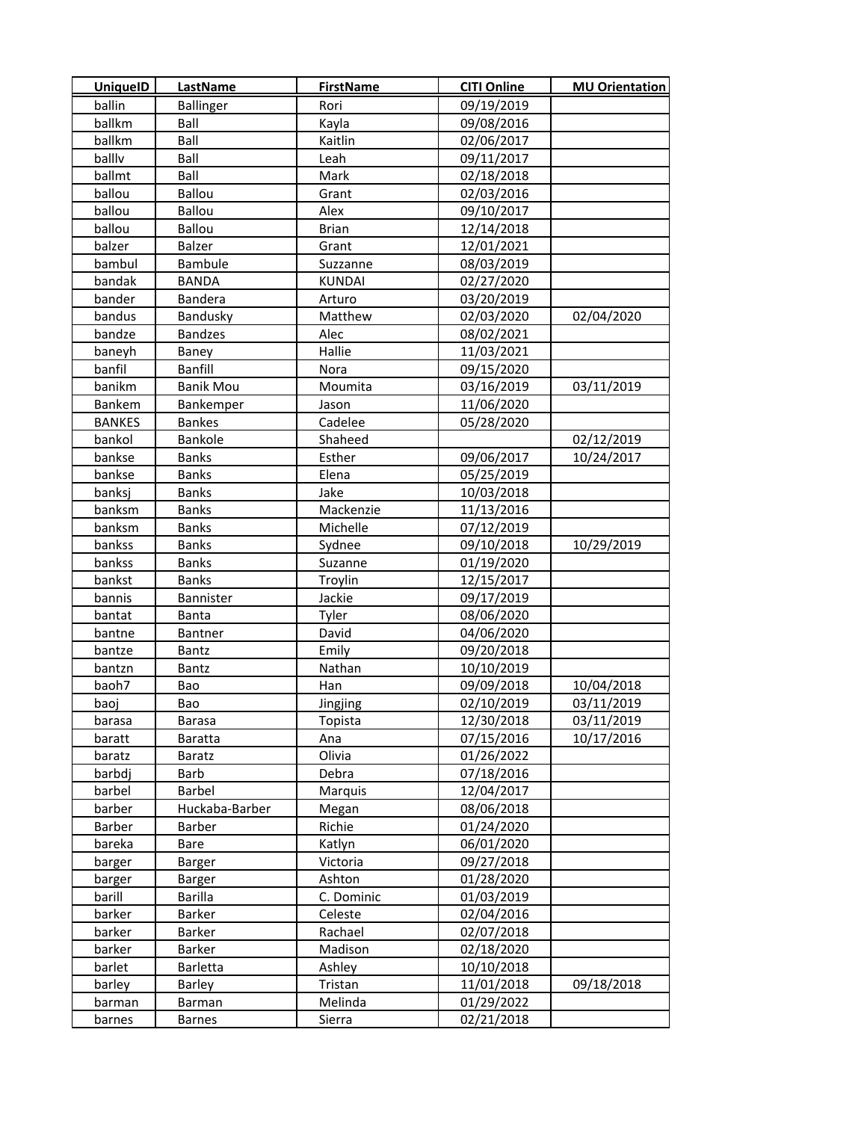| <b>UniquelD</b> | <b>LastName</b>  | <b>FirstName</b> | <b>CITI Online</b> | <b>MU Orientation</b> |
|-----------------|------------------|------------------|--------------------|-----------------------|
| ballin          | <b>Ballinger</b> | Rori             | 09/19/2019         |                       |
| ballkm          | Ball             | Kayla            | 09/08/2016         |                       |
| ballkm          | Ball             | Kaitlin          | 02/06/2017         |                       |
| ballly          | Ball             | Leah             | 09/11/2017         |                       |
| ballmt          | Ball             | Mark             | 02/18/2018         |                       |
| ballou          | Ballou           | Grant            | 02/03/2016         |                       |
| ballou          | Ballou           | Alex             | 09/10/2017         |                       |
| ballou          | <b>Ballou</b>    | <b>Brian</b>     | 12/14/2018         |                       |
| balzer          | Balzer           | Grant            | 12/01/2021         |                       |
| bambul          | Bambule          | Suzzanne         | 08/03/2019         |                       |
| bandak          | BANDA            | <b>KUNDAI</b>    | 02/27/2020         |                       |
| bander          | <b>Bandera</b>   | Arturo           | 03/20/2019         |                       |
| bandus          | Bandusky         | Matthew          | 02/03/2020         | 02/04/2020            |
| bandze          | <b>Bandzes</b>   | Alec             | 08/02/2021         |                       |
| baneyh          | Baney            | Hallie           | 11/03/2021         |                       |
| banfil          | Banfill          | <b>Nora</b>      | 09/15/2020         |                       |
| banikm          | <b>Banik Mou</b> | Moumita          | 03/16/2019         | 03/11/2019            |
| Bankem          | Bankemper        | Jason            | 11/06/2020         |                       |
| <b>BANKES</b>   | <b>Bankes</b>    | Cadelee          | 05/28/2020         |                       |
| bankol          | <b>Bankole</b>   | Shaheed          |                    | 02/12/2019            |
| bankse          | <b>Banks</b>     | Esther           | 09/06/2017         | 10/24/2017            |
| bankse          | <b>Banks</b>     | Elena            | 05/25/2019         |                       |
| banksj          | <b>Banks</b>     | Jake             | 10/03/2018         |                       |
| banksm          | <b>Banks</b>     | Mackenzie        | 11/13/2016         |                       |
| banksm          | <b>Banks</b>     | Michelle         | 07/12/2019         |                       |
| bankss          | <b>Banks</b>     | Sydnee           | 09/10/2018         | 10/29/2019            |
| bankss          | <b>Banks</b>     | Suzanne          | 01/19/2020         |                       |
| bankst          | <b>Banks</b>     | Troylin          | 12/15/2017         |                       |
| bannis          | Bannister        | Jackie           | 09/17/2019         |                       |
| bantat          | <b>Banta</b>     | Tyler            | 08/06/2020         |                       |
| bantne          | <b>Bantner</b>   | David            | 04/06/2020         |                       |
| bantze          | Bantz            | Emily            | 09/20/2018         |                       |
| bantzn          | Bantz            | Nathan           | 10/10/2019         |                       |
| baoh7           | Bao              | Han              | 09/09/2018         | 10/04/2018            |
| baoj            | Bao              | Jingjing         | 02/10/2019         | 03/11/2019            |
| barasa          | <b>Barasa</b>    | Topista          | 12/30/2018         | 03/11/2019            |
| baratt          | Baratta          | Ana              | 07/15/2016         | 10/17/2016            |
| baratz          | <b>Baratz</b>    | Olivia           | 01/26/2022         |                       |
| barbdj          | Barb             | Debra            | 07/18/2016         |                       |
| barbel          | Barbel           | Marquis          | 12/04/2017         |                       |
| barber          | Huckaba-Barber   | Megan            | 08/06/2018         |                       |
| Barber          | Barber           | Richie           | 01/24/2020         |                       |
| bareka          | Bare             | Katlyn           | 06/01/2020         |                       |
| barger          | Barger           | Victoria         | 09/27/2018         |                       |
| barger          | Barger           | Ashton           | 01/28/2020         |                       |
| barill          | Barilla          | C. Dominic       | 01/03/2019         |                       |
| barker          | Barker           | Celeste          | 02/04/2016         |                       |
| barker          | Barker           | Rachael          | 02/07/2018         |                       |
| barker          | Barker           | Madison          | 02/18/2020         |                       |
| barlet          | Barletta         | Ashley           | 10/10/2018         |                       |
| barley          | Barley           | Tristan          | 11/01/2018         | 09/18/2018            |
| barman          | Barman           | Melinda          | 01/29/2022         |                       |
| barnes          | <b>Barnes</b>    | Sierra           | 02/21/2018         |                       |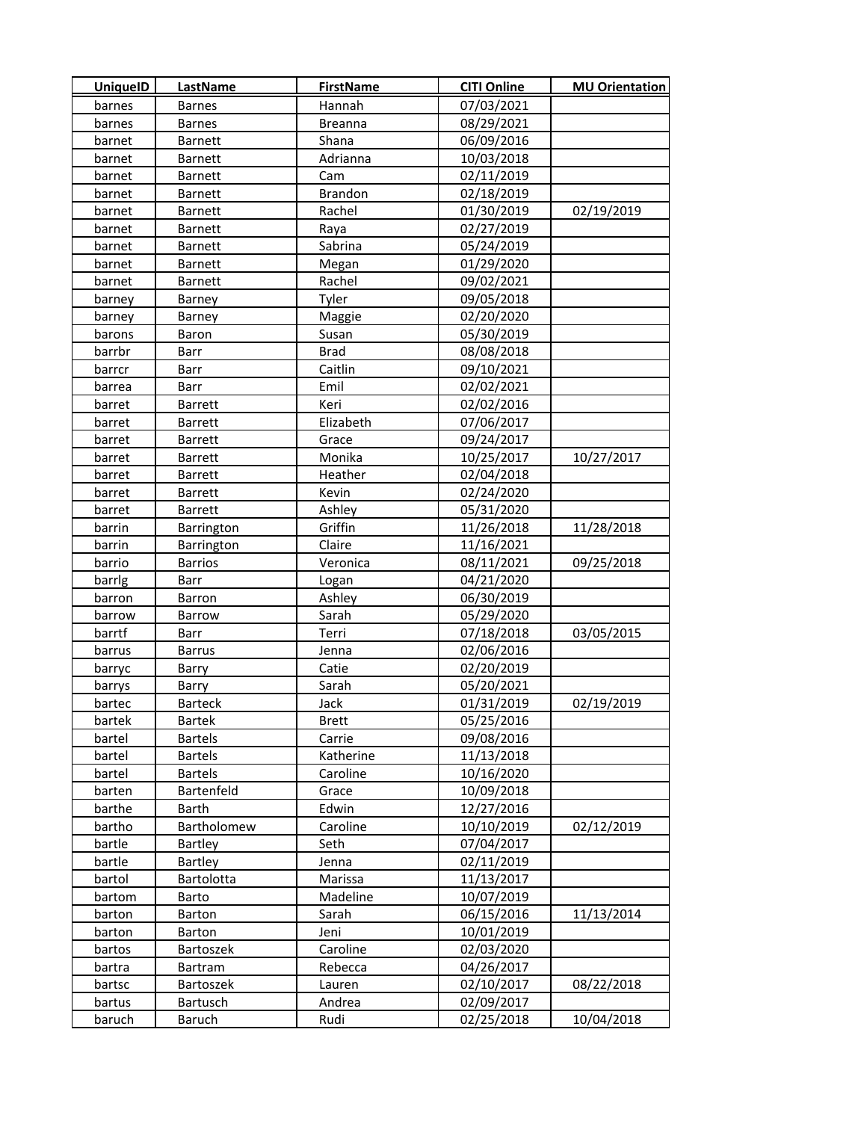| <b>UniquelD</b> | LastName       | <b>FirstName</b> | <b>CITI Online</b> | <b>MU Orientation</b> |
|-----------------|----------------|------------------|--------------------|-----------------------|
| barnes          | <b>Barnes</b>  | Hannah           | 07/03/2021         |                       |
| barnes          | <b>Barnes</b>  | <b>Breanna</b>   | 08/29/2021         |                       |
| barnet          | <b>Barnett</b> | Shana            | 06/09/2016         |                       |
| barnet          | <b>Barnett</b> | Adrianna         | 10/03/2018         |                       |
| barnet          | <b>Barnett</b> | Cam              | 02/11/2019         |                       |
| barnet          | <b>Barnett</b> | <b>Brandon</b>   | 02/18/2019         |                       |
| barnet          | <b>Barnett</b> | Rachel           | 01/30/2019         | 02/19/2019            |
| barnet          | <b>Barnett</b> | Raya             | 02/27/2019         |                       |
| barnet          | <b>Barnett</b> | Sabrina          | 05/24/2019         |                       |
| barnet          | <b>Barnett</b> | Megan            | 01/29/2020         |                       |
| barnet          | <b>Barnett</b> | Rachel           | 09/02/2021         |                       |
| barney          | Barney         | Tyler            | 09/05/2018         |                       |
| barney          | Barney         | Maggie           | 02/20/2020         |                       |
| barons          | Baron          | Susan            | 05/30/2019         |                       |
| barrbr          | Barr           | <b>Brad</b>      | 08/08/2018         |                       |
| barrcr          | Barr           | Caitlin          | 09/10/2021         |                       |
| barrea          | Barr           | Emil             | 02/02/2021         |                       |
| barret          | <b>Barrett</b> | Keri             | 02/02/2016         |                       |
| barret          | Barrett        | Elizabeth        | 07/06/2017         |                       |
| barret          | <b>Barrett</b> | Grace            | 09/24/2017         |                       |
| barret          | <b>Barrett</b> | Monika           | 10/25/2017         | 10/27/2017            |
| barret          | <b>Barrett</b> | Heather          | 02/04/2018         |                       |
| barret          | <b>Barrett</b> | Kevin            | 02/24/2020         |                       |
| barret          | <b>Barrett</b> | Ashley           | 05/31/2020         |                       |
| barrin          | Barrington     | Griffin          | 11/26/2018         | 11/28/2018            |
| barrin          | Barrington     | Claire           | 11/16/2021         |                       |
| barrio          | <b>Barrios</b> | Veronica         | 08/11/2021         | 09/25/2018            |
| barrlg          | Barr           | Logan            | 04/21/2020         |                       |
| barron          | Barron         | Ashley           | 06/30/2019         |                       |
| barrow          | <b>Barrow</b>  | Sarah            | 05/29/2020         |                       |
| barrtf          | Barr           | Terri            | 07/18/2018         | 03/05/2015            |
| barrus          | <b>Barrus</b>  | Jenna            | 02/06/2016         |                       |
| barryc          | Barry          | Catie            | 02/20/2019         |                       |
| barrys          | Barry          | Sarah            | 05/20/2021         |                       |
| bartec          | <b>Barteck</b> | Jack             | 01/31/2019         | 02/19/2019            |
| bartek          | <b>Bartek</b>  | <b>Brett</b>     | 05/25/2016         |                       |
| bartel          | <b>Bartels</b> | Carrie           | 09/08/2016         |                       |
| bartel          | <b>Bartels</b> | Katherine        | 11/13/2018         |                       |
| bartel          | <b>Bartels</b> | Caroline         | 10/16/2020         |                       |
| barten          | Bartenfeld     | Grace            | 10/09/2018         |                       |
| barthe          | Barth          | Edwin            | 12/27/2016         |                       |
| bartho          | Bartholomew    | Caroline         | 10/10/2019         | 02/12/2019            |
| bartle          | Bartley        | Seth             | 07/04/2017         |                       |
| bartle          | <b>Bartley</b> | Jenna            | 02/11/2019         |                       |
| bartol          | Bartolotta     | Marissa          | 11/13/2017         |                       |
| bartom          | Barto          | Madeline         | 10/07/2019         |                       |
| barton          | <b>Barton</b>  | Sarah            | 06/15/2016         | 11/13/2014            |
| barton          | <b>Barton</b>  | Jeni             | 10/01/2019         |                       |
| bartos          | Bartoszek      | Caroline         | 02/03/2020         |                       |
| bartra          | Bartram        | Rebecca          | 04/26/2017         |                       |
| bartsc          | Bartoszek      | Lauren           | 02/10/2017         | 08/22/2018            |
| bartus          | Bartusch       | Andrea           | 02/09/2017         |                       |
| baruch          | <b>Baruch</b>  | Rudi             | 02/25/2018         | 10/04/2018            |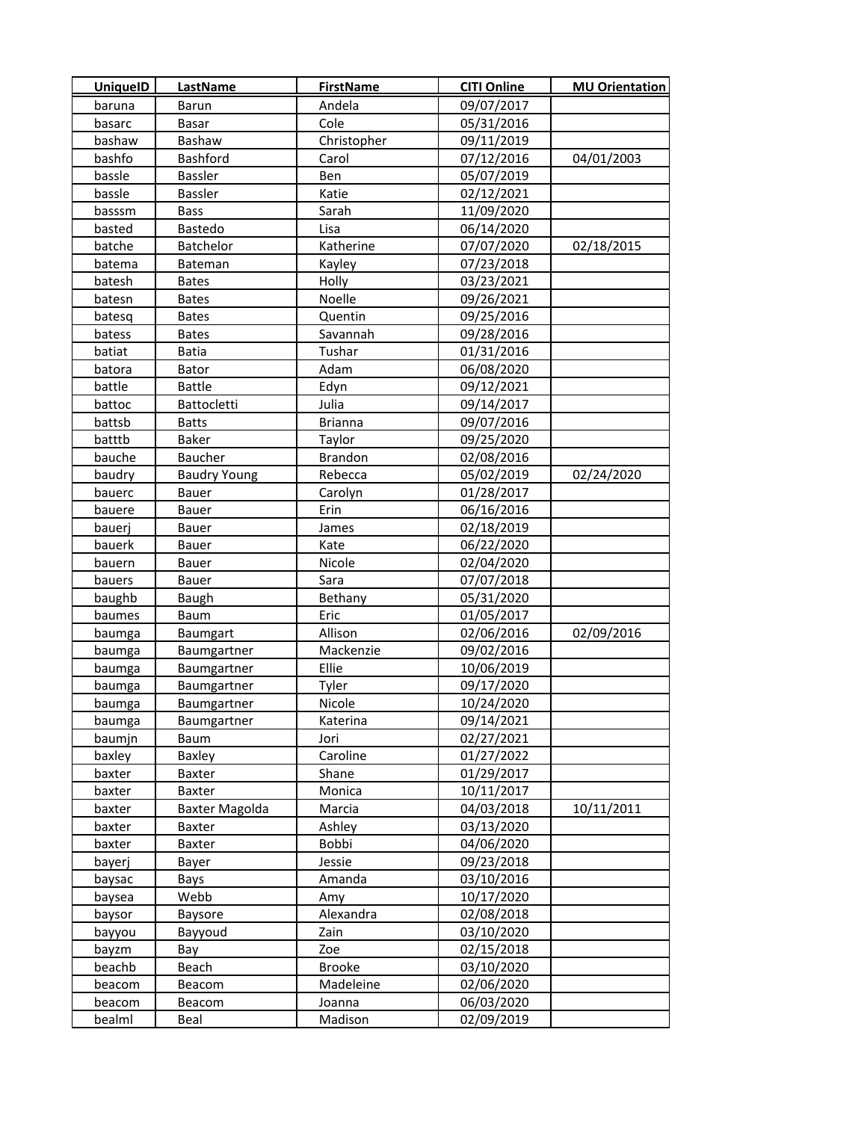| <b>UniquelD</b> | <b>LastName</b>     | <b>FirstName</b> | <b>CITI Online</b> | <b>MU Orientation</b> |
|-----------------|---------------------|------------------|--------------------|-----------------------|
| baruna          | <b>Barun</b>        | Andela           | 09/07/2017         |                       |
| basarc          | Basar               | Cole             | 05/31/2016         |                       |
| bashaw          | Bashaw              | Christopher      | 09/11/2019         |                       |
| bashfo          | Bashford            | Carol            | 07/12/2016         | 04/01/2003            |
| bassle          | Bassler             | Ben              | 05/07/2019         |                       |
| bassle          | Bassler             | Katie            | 02/12/2021         |                       |
| basssm          | <b>Bass</b>         | Sarah            | 11/09/2020         |                       |
| basted          | <b>Bastedo</b>      | Lisa             | 06/14/2020         |                       |
| batche          | Batchelor           | Katherine        | 07/07/2020         | 02/18/2015            |
| batema          | Bateman             | Kayley           | 07/23/2018         |                       |
| batesh          | <b>Bates</b>        | Holly            | 03/23/2021         |                       |
| batesn          | <b>Bates</b>        | Noelle           | 09/26/2021         |                       |
| batesq          | <b>Bates</b>        | Quentin          | 09/25/2016         |                       |
| batess          | <b>Bates</b>        | Savannah         | 09/28/2016         |                       |
| batiat          | Batia               | Tushar           | 01/31/2016         |                       |
| batora          | Bator               | Adam             | 06/08/2020         |                       |
| battle          | <b>Battle</b>       | Edyn             | 09/12/2021         |                       |
| battoc          | <b>Battocletti</b>  | Julia            | 09/14/2017         |                       |
| battsb          | <b>Batts</b>        | <b>Brianna</b>   | 09/07/2016         |                       |
| batttb          | Baker               | Taylor           | 09/25/2020         |                       |
| bauche          | Baucher             | <b>Brandon</b>   | 02/08/2016         |                       |
| baudry          | <b>Baudry Young</b> | Rebecca          | 05/02/2019         | 02/24/2020            |
| bauerc          | <b>Bauer</b>        | Carolyn          | 01/28/2017         |                       |
| bauere          | Bauer               | Erin             | 06/16/2016         |                       |
| bauerj          | Bauer               | James            | 02/18/2019         |                       |
| bauerk          | Bauer               | Kate             | 06/22/2020         |                       |
| bauern          | Bauer               | Nicole           | 02/04/2020         |                       |
| bauers          | Bauer               | Sara             | 07/07/2018         |                       |
| baughb          | <b>Baugh</b>        | Bethany          | 05/31/2020         |                       |
| baumes          | Baum                | Eric             | 01/05/2017         |                       |
| baumga          | Baumgart            | Allison          | 02/06/2016         | 02/09/2016            |
| baumga          | Baumgartner         | Mackenzie        | 09/02/2016         |                       |
| baumga          | Baumgartner         | Ellie            | 10/06/2019         |                       |
| baumga          | Baumgartner         | Tyler            | 09/17/2020         |                       |
| baumga          | Baumgartner         | Nicole           | 10/24/2020         |                       |
| baumga          | Baumgartner         | Katerina         | 09/14/2021         |                       |
| baumjn          | Baum                | Jori             | 02/27/2021         |                       |
| baxley          | Baxley              | Caroline         | 01/27/2022         |                       |
| baxter          | Baxter              | Shane            | 01/29/2017         |                       |
| baxter          | Baxter              | Monica           | 10/11/2017         |                       |
| baxter          | Baxter Magolda      | Marcia           | 04/03/2018         | 10/11/2011            |
| baxter          | Baxter              | Ashley           | 03/13/2020         |                       |
| baxter          | Baxter              | Bobbi            | 04/06/2020         |                       |
| bayerj          | Bayer               | Jessie           | 09/23/2018         |                       |
| baysac          | Bays                | Amanda           | 03/10/2016         |                       |
| baysea          | Webb                | Amy              | 10/17/2020         |                       |
| baysor          | <b>Baysore</b>      | Alexandra        | 02/08/2018         |                       |
| bayyou          | Bayyoud             | Zain             | 03/10/2020         |                       |
| bayzm           | Bay                 | Zoe              | 02/15/2018         |                       |
| beachb          | Beach               | <b>Brooke</b>    | 03/10/2020         |                       |
| beacom          | Beacom              | Madeleine        | 02/06/2020         |                       |
| beacom          | Beacom              | Joanna           | 06/03/2020         |                       |
| bealml          | Beal                | Madison          | 02/09/2019         |                       |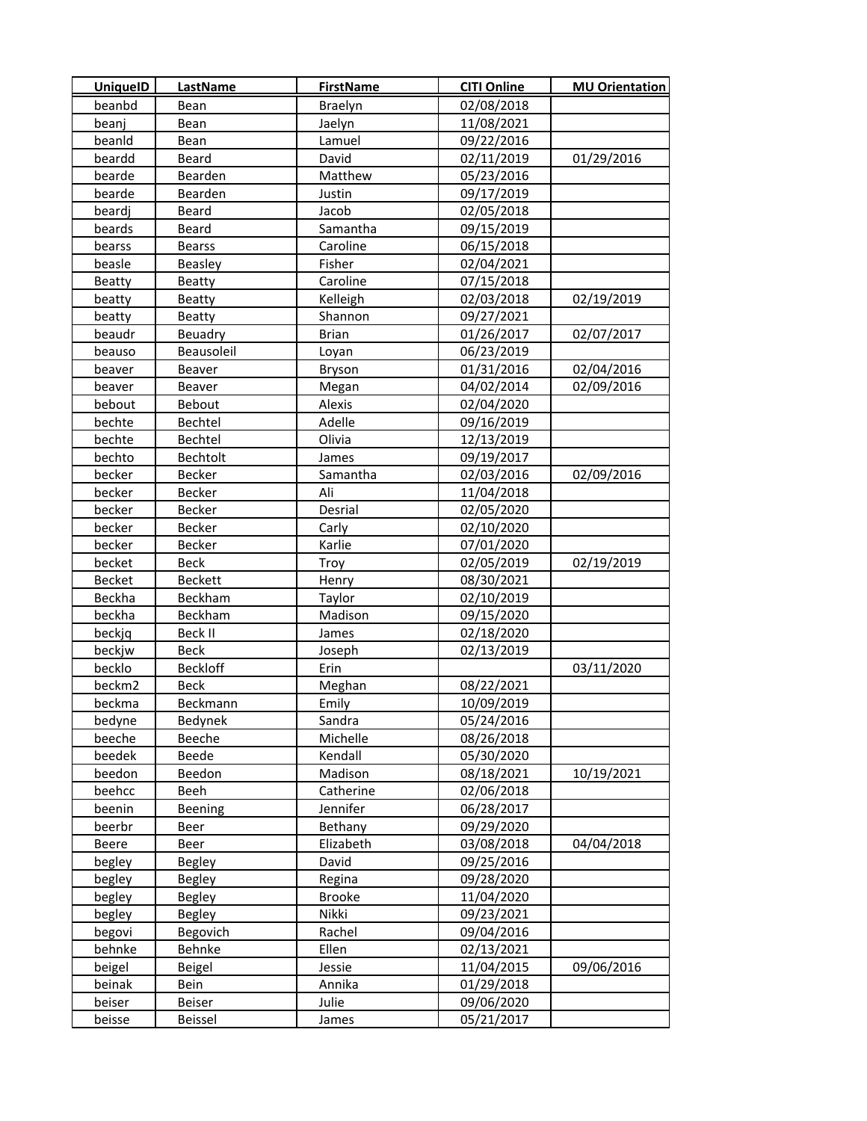| <b>UniquelD</b> | <b>LastName</b> | <b>FirstName</b> | <b>CITI Online</b> | <b>MU Orientation</b> |
|-----------------|-----------------|------------------|--------------------|-----------------------|
| beanbd          | Bean            | Braelyn          | 02/08/2018         |                       |
| beanj           | Bean            | Jaelyn           | 11/08/2021         |                       |
| beanld          | Bean            | Lamuel           | 09/22/2016         |                       |
| beardd          | Beard           | David            | 02/11/2019         | 01/29/2016            |
| bearde          | Bearden         | Matthew          | 05/23/2016         |                       |
| bearde          | Bearden         | Justin           | 09/17/2019         |                       |
| beardj          | Beard           | Jacob            | 02/05/2018         |                       |
| beards          | Beard           | Samantha         | 09/15/2019         |                       |
| bearss          | <b>Bearss</b>   | Caroline         | 06/15/2018         |                       |
| beasle          | Beasley         | Fisher           | 02/04/2021         |                       |
| <b>Beatty</b>   | Beatty          | Caroline         | 07/15/2018         |                       |
| beatty          | Beatty          | Kelleigh         | 02/03/2018         | 02/19/2019            |
| beatty          | <b>Beatty</b>   | Shannon          | 09/27/2021         |                       |
| beaudr          | Beuadry         | <b>Brian</b>     | 01/26/2017         | 02/07/2017            |
| beauso          | Beausoleil      | Loyan            | 06/23/2019         |                       |
| beaver          | Beaver          | Bryson           | 01/31/2016         | 02/04/2016            |
| beaver          | Beaver          | Megan            | 04/02/2014         | 02/09/2016            |
| bebout          | Bebout          | Alexis           | 02/04/2020         |                       |
| bechte          | Bechtel         | Adelle           | 09/16/2019         |                       |
| bechte          | Bechtel         | Olivia           | 12/13/2019         |                       |
| bechto          | Bechtolt        | James            | 09/19/2017         |                       |
| becker          | Becker          | Samantha         | 02/03/2016         | 02/09/2016            |
| becker          | Becker          | Ali              | 11/04/2018         |                       |
| becker          | Becker          | Desrial          | 02/05/2020         |                       |
| becker          | Becker          | Carly            | 02/10/2020         |                       |
| becker          | Becker          | Karlie           | 07/01/2020         |                       |
| becket          | Beck            | Troy             | 02/05/2019         | 02/19/2019            |
| <b>Becket</b>   | <b>Beckett</b>  | Henry            | 08/30/2021         |                       |
| Beckha          | Beckham         | Taylor           | 02/10/2019         |                       |
| beckha          | Beckham         | Madison          | 09/15/2020         |                       |
| beckjq          | Beck II         | James            | 02/18/2020         |                       |
| beckjw          | <b>Beck</b>     | Joseph           | 02/13/2019         |                       |
| becklo          | <b>Beckloff</b> | Erin             |                    | 03/11/2020            |
| beckm2          | Beck            | Meghan           | 08/22/2021         |                       |
| beckma          | Beckmann        | Emily            | 10/09/2019         |                       |
| bedyne          | Bedynek         | Sandra           | 05/24/2016         |                       |
| beeche          | Beeche          | Michelle         | 08/26/2018         |                       |
| beedek          | Beede           | Kendall          | 05/30/2020         |                       |
| beedon          | Beedon          | Madison          | 08/18/2021         | 10/19/2021            |
| beehcc          | Beeh            | Catherine        | 02/06/2018         |                       |
| beenin          | Beening         | Jennifer         | 06/28/2017         |                       |
| beerbr          | Beer            | Bethany          | 09/29/2020         |                       |
| Beere           | Beer            | Elizabeth        | 03/08/2018         | 04/04/2018            |
| begley          | <b>Begley</b>   | David            | 09/25/2016         |                       |
| begley          | Begley          | Regina           | 09/28/2020         |                       |
| begley          | <b>Begley</b>   | <b>Brooke</b>    | 11/04/2020         |                       |
| begley          | <b>Begley</b>   | Nikki            | 09/23/2021         |                       |
| begovi          | Begovich        | Rachel           | 09/04/2016         |                       |
| behnke          | Behnke          | Ellen            | 02/13/2021         |                       |
| beigel          | Beigel          | Jessie           | 11/04/2015         | 09/06/2016            |
| beinak          | Bein            | Annika           | 01/29/2018         |                       |
| beiser          | Beiser          | Julie            | 09/06/2020         |                       |
| beisse          | Beissel         | James            | 05/21/2017         |                       |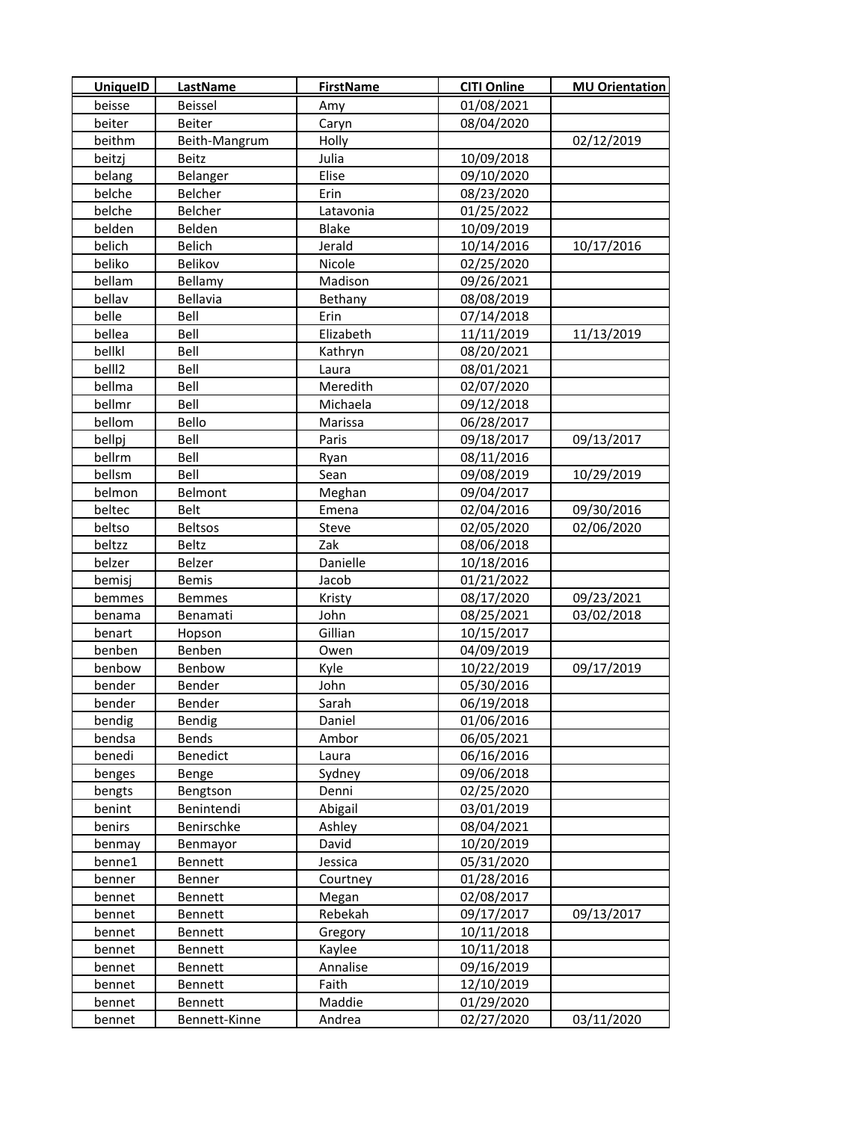| <b>UniquelD</b> | <b>LastName</b> | <b>FirstName</b> | <b>CITI Online</b> | <b>MU Orientation</b> |
|-----------------|-----------------|------------------|--------------------|-----------------------|
| beisse          | Beissel         | Amy              | 01/08/2021         |                       |
| beiter          | Beiter          | Caryn            | 08/04/2020         |                       |
| beithm          | Beith-Mangrum   | Holly            |                    | 02/12/2019            |
| beitzj          | Beitz           | Julia            | 10/09/2018         |                       |
| belang          | Belanger        | Elise            | 09/10/2020         |                       |
| belche          | Belcher         | Erin             | 08/23/2020         |                       |
| belche          | Belcher         | Latavonia        | 01/25/2022         |                       |
| belden          | Belden          | Blake            | 10/09/2019         |                       |
| belich          | Belich          | Jerald           | 10/14/2016         | 10/17/2016            |
| beliko          | Belikov         | Nicole           | 02/25/2020         |                       |
| bellam          | Bellamy         | Madison          | 09/26/2021         |                       |
| bellav          | Bellavia        | Bethany          | 08/08/2019         |                       |
| belle           | Bell            | Erin             | 07/14/2018         |                       |
| bellea          | Bell            | Elizabeth        | 11/11/2019         | 11/13/2019            |
| bellkl          | Bell            | Kathryn          | 08/20/2021         |                       |
| bell12          | Bell            | Laura            | 08/01/2021         |                       |
| bellma          | Bell            | Meredith         | 02/07/2020         |                       |
| bellmr          | Bell            | Michaela         | 09/12/2018         |                       |
| bellom          | Bello           | Marissa          | 06/28/2017         |                       |
| bellpj          | Bell            | Paris            | 09/18/2017         | 09/13/2017            |
| bellrm          | Bell            | Ryan             | 08/11/2016         |                       |
| bellsm          | Bell            | Sean             | 09/08/2019         | 10/29/2019            |
| belmon          | Belmont         | Meghan           | 09/04/2017         |                       |
| beltec          | <b>Belt</b>     | Emena            | 02/04/2016         | 09/30/2016            |
| beltso          | <b>Beltsos</b>  | Steve            | 02/05/2020         | 02/06/2020            |
| beltzz          | Beltz           | Zak              | 08/06/2018         |                       |
| belzer          | Belzer          | Danielle         | 10/18/2016         |                       |
| bemisj          | <b>Bemis</b>    | Jacob            | 01/21/2022         |                       |
| bemmes          | <b>Bemmes</b>   | Kristy           | 08/17/2020         | 09/23/2021            |
| benama          | Benamati        | John             | 08/25/2021         | 03/02/2018            |
| benart          | Hopson          | Gillian          | 10/15/2017         |                       |
| benben          | Benben          | Owen             | 04/09/2019         |                       |
| benbow          | Benbow          | Kyle             | 10/22/2019         | 09/17/2019            |
| bender          | Bender          | John             | 05/30/2016         |                       |
| bender          | Bender          | Sarah            | 06/19/2018         |                       |
| bendig          | Bendig          | Daniel           | 01/06/2016         |                       |
| bendsa          | Bends           | Ambor            | 06/05/2021         |                       |
| benedi          | Benedict        | Laura            | 06/16/2016         |                       |
| benges          | Benge           | Sydney           | 09/06/2018         |                       |
| bengts          | Bengtson        | Denni            | 02/25/2020         |                       |
| benint          | Benintendi      | Abigail          | 03/01/2019         |                       |
| benirs          | Benirschke      | Ashley           | 08/04/2021         |                       |
| benmay          | Benmayor        | David            | 10/20/2019         |                       |
| benne1          | <b>Bennett</b>  | Jessica          | 05/31/2020         |                       |
| benner          | Benner          | Courtney         | 01/28/2016         |                       |
| bennet          | Bennett         | Megan            | 02/08/2017         |                       |
| bennet          | Bennett         | Rebekah          | 09/17/2017         | 09/13/2017            |
| bennet          | Bennett         | Gregory          | 10/11/2018         |                       |
| bennet          | Bennett         | Kaylee           | 10/11/2018         |                       |
| bennet          | Bennett         | Annalise         | 09/16/2019         |                       |
| bennet          | <b>Bennett</b>  | Faith            | 12/10/2019         |                       |
| bennet          | Bennett         | Maddie           | 01/29/2020         |                       |
| bennet          | Bennett-Kinne   | Andrea           | 02/27/2020         | 03/11/2020            |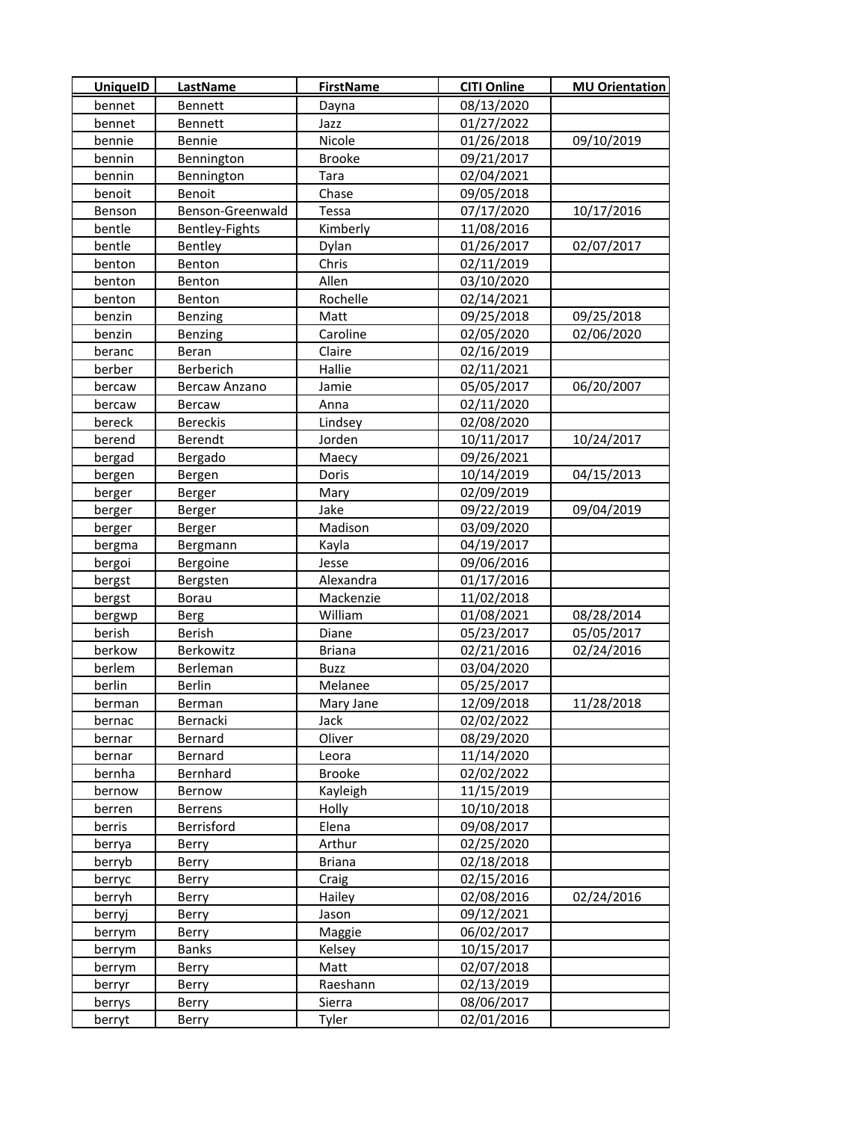| UniquelD | <b>LastName</b>  | <b>FirstName</b> | <b>CITI Online</b> | <b>MU Orientation</b> |
|----------|------------------|------------------|--------------------|-----------------------|
| bennet   | <b>Bennett</b>   | Dayna            | 08/13/2020         |                       |
| bennet   | Bennett          | Jazz             | 01/27/2022         |                       |
| bennie   | Bennie           | Nicole           | 01/26/2018         | 09/10/2019            |
| bennin   | Bennington       | <b>Brooke</b>    | 09/21/2017         |                       |
| bennin   | Bennington       | Tara             | 02/04/2021         |                       |
| benoit   | <b>Benoit</b>    | Chase            | 09/05/2018         |                       |
| Benson   | Benson-Greenwald | Tessa            | 07/17/2020         | 10/17/2016            |
| bentle   | Bentley-Fights   | Kimberly         | 11/08/2016         |                       |
| bentle   | Bentley          | Dylan            | 01/26/2017         | 02/07/2017            |
| benton   | Benton           | Chris            | 02/11/2019         |                       |
| benton   | Benton           | Allen            | 03/10/2020         |                       |
| benton   | Benton           | Rochelle         | 02/14/2021         |                       |
| benzin   | Benzing          | Matt             | 09/25/2018         | 09/25/2018            |
| benzin   | Benzing          | Caroline         | 02/05/2020         | 02/06/2020            |
| beranc   | Beran            | Claire           | 02/16/2019         |                       |
| berber   | Berberich        | Hallie           | 02/11/2021         |                       |
| bercaw   | Bercaw Anzano    | Jamie            | 05/05/2017         | 06/20/2007            |
| bercaw   | Bercaw           | Anna             | 02/11/2020         |                       |
| bereck   | <b>Bereckis</b>  | Lindsey          | 02/08/2020         |                       |
| berend   | Berendt          | Jorden           | 10/11/2017         | 10/24/2017            |
| bergad   | Bergado          | Maecy            | 09/26/2021         |                       |
| bergen   | Bergen           | Doris            | 10/14/2019         | 04/15/2013            |
| berger   | Berger           | Mary             | 02/09/2019         |                       |
| berger   | Berger           | Jake             | 09/22/2019         | 09/04/2019            |
| berger   | Berger           | Madison          | 03/09/2020         |                       |
| bergma   | <b>Bergmann</b>  | Kayla            | 04/19/2017         |                       |
| bergoi   | Bergoine         | Jesse            | 09/06/2016         |                       |
| bergst   | Bergsten         | Alexandra        | 01/17/2016         |                       |
| bergst   | Borau            | Mackenzie        | 11/02/2018         |                       |
| bergwp   | <b>Berg</b>      | William          | 01/08/2021         | 08/28/2014            |
| berish   | Berish           | Diane            | 05/23/2017         | 05/05/2017            |
| berkow   | Berkowitz        | <b>Briana</b>    | 02/21/2016         | 02/24/2016            |
| berlem   | Berleman         | <b>Buzz</b>      | 03/04/2020         |                       |
| berlin   | Berlin           | Melanee          | 05/25/2017         |                       |
| berman   | Berman           | Mary Jane        | 12/09/2018         | 11/28/2018            |
| bernac   | Bernacki         | Jack             | 02/02/2022         |                       |
| bernar   | Bernard          | Oliver           | 08/29/2020         |                       |
| bernar   | Bernard          | Leora            | 11/14/2020         |                       |
| bernha   | Bernhard         | Brooke           | 02/02/2022         |                       |
| bernow   | Bernow           | Kayleigh         | 11/15/2019         |                       |
| berren   | <b>Berrens</b>   | Holly            | 10/10/2018         |                       |
| berris   | Berrisford       | Elena            | 09/08/2017         |                       |
| berrya   | Berry            | Arthur           | 02/25/2020         |                       |
| berryb   | Berry            | <b>Briana</b>    | 02/18/2018         |                       |
| berryc   | Berry            | Craig            | 02/15/2016         |                       |
| berryh   | <b>Berry</b>     | Hailey           | 02/08/2016         | 02/24/2016            |
| berryj   | Berry            | Jason            | 09/12/2021         |                       |
| berrym   | Berry            | Maggie           | 06/02/2017         |                       |
| berrym   | <b>Banks</b>     | Kelsey           | 10/15/2017         |                       |
| berrym   | Berry            | Matt             | 02/07/2018         |                       |
| berryr   | Berry            | Raeshann         | 02/13/2019         |                       |
| berrys   | Berry            | Sierra           | 08/06/2017         |                       |
| berryt   | Berry            | Tyler            | 02/01/2016         |                       |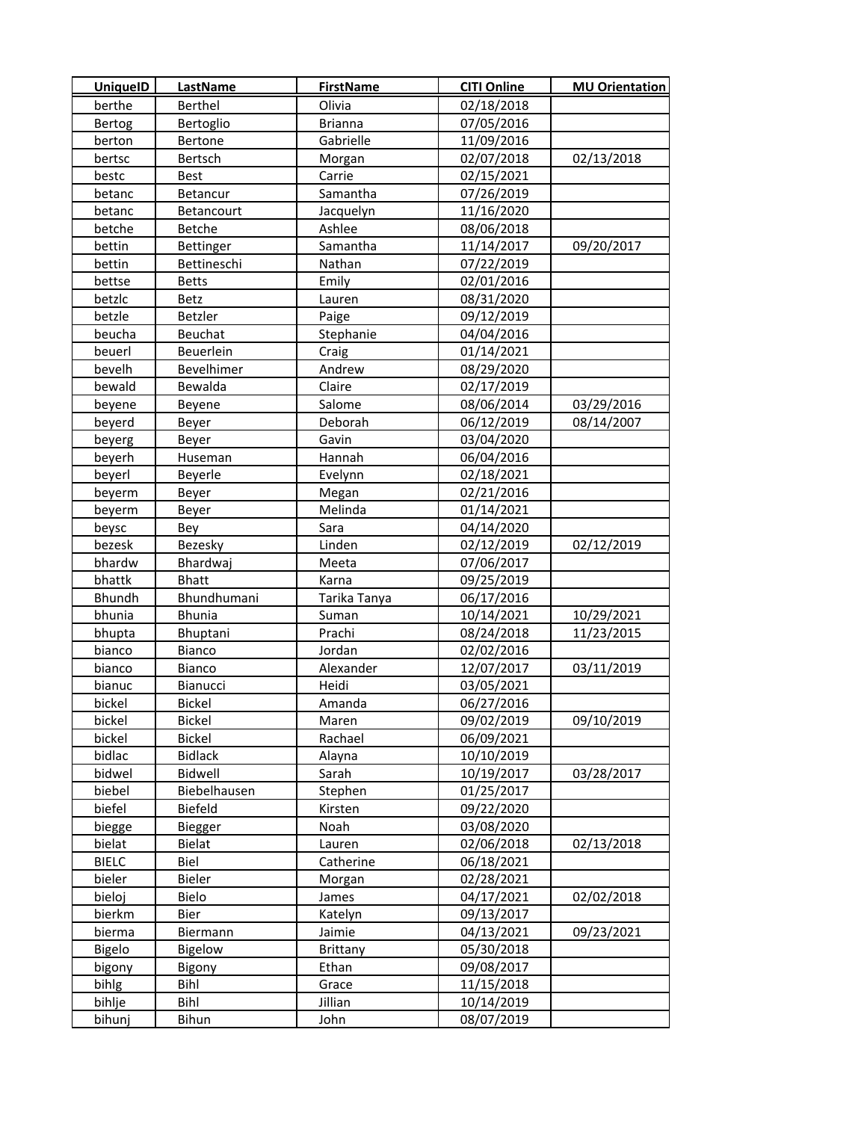| <b>UniquelD</b> | <b>LastName</b> | <b>FirstName</b> | <b>CITI Online</b> | <b>MU Orientation</b> |
|-----------------|-----------------|------------------|--------------------|-----------------------|
| berthe          | <b>Berthel</b>  | Olivia           | 02/18/2018         |                       |
| Bertog          | Bertoglio       | <b>Brianna</b>   | 07/05/2016         |                       |
| berton          | Bertone         | Gabrielle        | 11/09/2016         |                       |
| bertsc          | Bertsch         | Morgan           | 02/07/2018         | 02/13/2018            |
| bestc           | <b>Best</b>     | Carrie           | 02/15/2021         |                       |
| betanc          | Betancur        | Samantha         | 07/26/2019         |                       |
| betanc          | Betancourt      | Jacquelyn        | 11/16/2020         |                       |
| betche          | Betche          | Ashlee           | 08/06/2018         |                       |
| bettin          | Bettinger       | Samantha         | 11/14/2017         | 09/20/2017            |
| bettin          | Bettineschi     | Nathan           | 07/22/2019         |                       |
| bettse          | <b>Betts</b>    | Emily            | 02/01/2016         |                       |
| betzlc          | Betz            | Lauren           | 08/31/2020         |                       |
| betzle          | Betzler         | Paige            | 09/12/2019         |                       |
| beucha          | Beuchat         | Stephanie        | 04/04/2016         |                       |
| beuerl          | Beuerlein       | Craig            | 01/14/2021         |                       |
| bevelh          | Bevelhimer      | Andrew           | 08/29/2020         |                       |
| bewald          | Bewalda         | Claire           | 02/17/2019         |                       |
| beyene          | Beyene          | Salome           | 08/06/2014         | 03/29/2016            |
| beyerd          | Beyer           | Deborah          | 06/12/2019         | 08/14/2007            |
| beyerg          | Beyer           | Gavin            | 03/04/2020         |                       |
| beyerh          | Huseman         | Hannah           | 06/04/2016         |                       |
| beyerl          | Beyerle         | Evelynn          | 02/18/2021         |                       |
| beyerm          | Beyer           | Megan            | 02/21/2016         |                       |
| beyerm          | Beyer           | Melinda          | 01/14/2021         |                       |
| beysc           | Bey             | Sara             | 04/14/2020         |                       |
| bezesk          | Bezesky         | Linden           | 02/12/2019         | 02/12/2019            |
| bhardw          | Bhardwaj        | Meeta            | 07/06/2017         |                       |
| bhattk          | <b>Bhatt</b>    | Karna            | 09/25/2019         |                       |
| Bhundh          | Bhundhumani     | Tarika Tanya     | 06/17/2016         |                       |
| bhunia          | <b>Bhunia</b>   | Suman            | 10/14/2021         | 10/29/2021            |
| bhupta          | Bhuptani        | Prachi           | 08/24/2018         | 11/23/2015            |
| bianco          | Bianco          | Jordan           | 02/02/2016         |                       |
| bianco          | Bianco          | Alexander        | 12/07/2017         | 03/11/2019            |
| bianuc          | Bianucci        | Heidi            | 03/05/2021         |                       |
| bickel          | <b>Bickel</b>   | Amanda           | 06/27/2016         |                       |
| bickel          | <b>Bickel</b>   | Maren            | 09/02/2019         | 09/10/2019            |
| bickel          | <b>Bickel</b>   | Rachael          | 06/09/2021         |                       |
| bidlac          | <b>Bidlack</b>  | Alayna           | 10/10/2019         |                       |
| bidwel          | Bidwell         | Sarah            | 10/19/2017         | 03/28/2017            |
| biebel          | Biebelhausen    | Stephen          | 01/25/2017         |                       |
| biefel          | Biefeld         | Kirsten          | 09/22/2020         |                       |
| biegge          | Biegger         | Noah             | 03/08/2020         |                       |
| bielat          | <b>Bielat</b>   | Lauren           | 02/06/2018         | 02/13/2018            |
| <b>BIELC</b>    | Biel            | Catherine        | 06/18/2021         |                       |
| bieler          | Bieler          | Morgan           | 02/28/2021         |                       |
| bieloj          | Bielo           | James            | 04/17/2021         | 02/02/2018            |
| bierkm          | Bier            | Katelyn          | 09/13/2017         |                       |
| bierma          | Biermann        | Jaimie           | 04/13/2021         | 09/23/2021            |
| <b>Bigelo</b>   | Bigelow         | Brittany         | 05/30/2018         |                       |
| bigony          | Bigony          | Ethan            | 09/08/2017         |                       |
| bihlg           | Bihl            | Grace            | 11/15/2018         |                       |
| bihlje          | Bihl            | <b>Jillian</b>   | 10/14/2019         |                       |
| bihunj          | Bihun           | John             | 08/07/2019         |                       |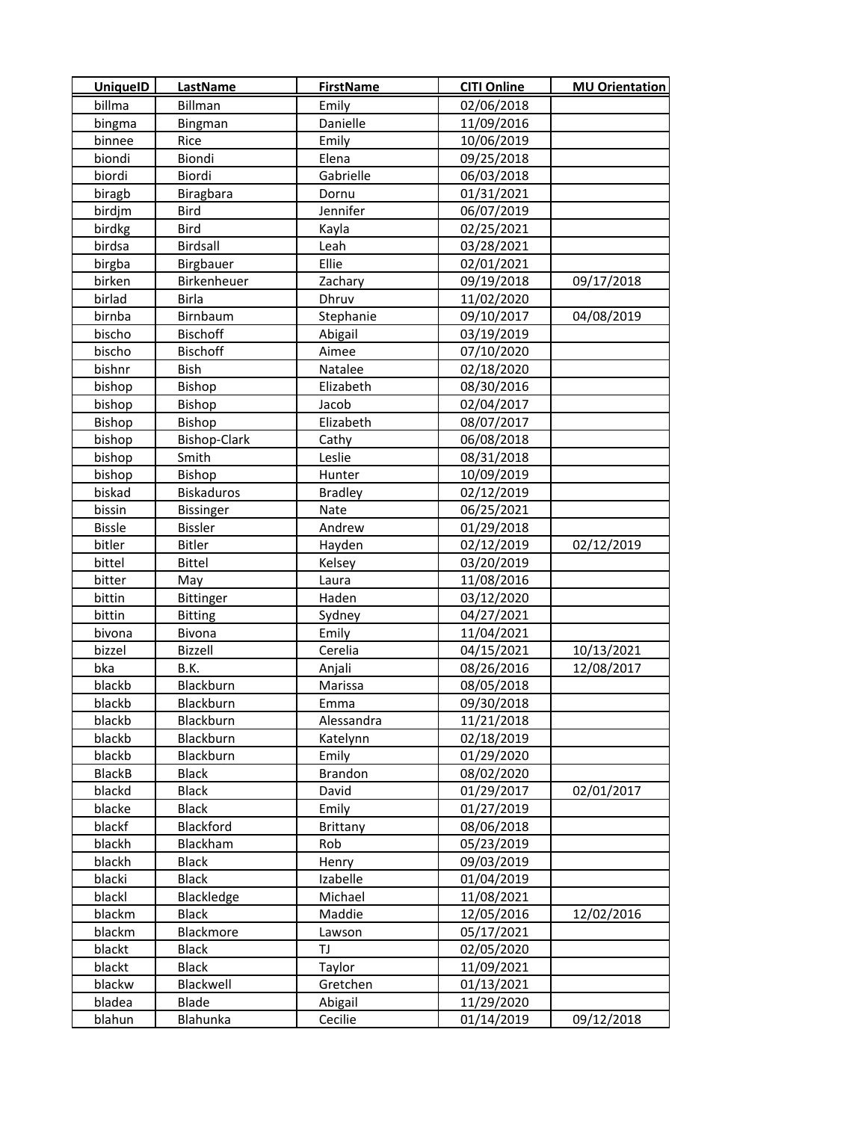| <b>UniquelD</b> | LastName            | <b>FirstName</b> | <b>CITI Online</b> | <b>MU Orientation</b> |
|-----------------|---------------------|------------------|--------------------|-----------------------|
| billma          | <b>Billman</b>      | Emily            | 02/06/2018         |                       |
| bingma          | Bingman             | Danielle         | 11/09/2016         |                       |
| binnee          | Rice                | Emily            | 10/06/2019         |                       |
| biondi          | Biondi              | Elena            | 09/25/2018         |                       |
| biordi          | Biordi              | Gabrielle        | 06/03/2018         |                       |
| biragb          | Biragbara           | Dornu            | 01/31/2021         |                       |
| birdjm          | <b>Bird</b>         | Jennifer         | 06/07/2019         |                       |
| birdkg          | Bird                | Kayla            | 02/25/2021         |                       |
| birdsa          | Birdsall            | Leah             | 03/28/2021         |                       |
| birgba          | Birgbauer           | Ellie            | 02/01/2021         |                       |
| birken          | Birkenheuer         | Zachary          | 09/19/2018         | 09/17/2018            |
| birlad          | Birla               | Dhruv            | 11/02/2020         |                       |
| birnba          | Birnbaum            | Stephanie        | 09/10/2017         | 04/08/2019            |
| bischo          | <b>Bischoff</b>     | Abigail          | 03/19/2019         |                       |
| bischo          | <b>Bischoff</b>     | Aimee            | 07/10/2020         |                       |
| bishnr          | Bish                | Natalee          | 02/18/2020         |                       |
| bishop          | <b>Bishop</b>       | Elizabeth        | 08/30/2016         |                       |
| bishop          | Bishop              | Jacob            | 02/04/2017         |                       |
| Bishop          | Bishop              | Elizabeth        | 08/07/2017         |                       |
| bishop          | <b>Bishop-Clark</b> | Cathy            | 06/08/2018         |                       |
| bishop          | Smith               | Leslie           | 08/31/2018         |                       |
| bishop          | Bishop              | Hunter           | 10/09/2019         |                       |
| biskad          | <b>Biskaduros</b>   | <b>Bradley</b>   | 02/12/2019         |                       |
| bissin          | <b>Bissinger</b>    | Nate             | 06/25/2021         |                       |
| <b>Bissle</b>   | <b>Bissler</b>      | Andrew           | 01/29/2018         |                       |
| bitler          | <b>Bitler</b>       | Hayden           | 02/12/2019         | 02/12/2019            |
| bittel          | <b>Bittel</b>       | Kelsey           | 03/20/2019         |                       |
| bitter          | May                 | Laura            | 11/08/2016         |                       |
| bittin          | <b>Bittinger</b>    | Haden            | 03/12/2020         |                       |
| bittin          | <b>Bitting</b>      | Sydney           | 04/27/2021         |                       |
| bivona          | Bivona              | Emily            | 11/04/2021         |                       |
| bizzel          | Bizzell             | Cerelia          | 04/15/2021         | 10/13/2021            |
| bka             | B.K.                | Anjali           | 08/26/2016         | 12/08/2017            |
| blackb          | Blackburn           | Marissa          | 08/05/2018         |                       |
| blackb          | Blackburn           | Emma             | 09/30/2018         |                       |
| blackb          | Blackburn           | Alessandra       | 11/21/2018         |                       |
| blackb          | Blackburn           | Katelynn         | 02/18/2019         |                       |
| blackb          | Blackburn           | Emily            | 01/29/2020         |                       |
| <b>BlackB</b>   | <b>Black</b>        | <b>Brandon</b>   | 08/02/2020         |                       |
| blackd          | <b>Black</b>        | David            | 01/29/2017         | 02/01/2017            |
| blacke          | <b>Black</b>        | Emily            | 01/27/2019         |                       |
| blackf          | Blackford           | <b>Brittany</b>  | 08/06/2018         |                       |
| blackh          | Blackham            | Rob              | 05/23/2019         |                       |
| blackh          | <b>Black</b>        | Henry            | 09/03/2019         |                       |
| blacki          | <b>Black</b>        | Izabelle         | 01/04/2019         |                       |
| blackl          | Blackledge          | Michael          | 11/08/2021         |                       |
| blackm          | <b>Black</b>        | Maddie           | 12/05/2016         | 12/02/2016            |
| blackm          | Blackmore           | Lawson           | 05/17/2021         |                       |
| blackt          | Black               | TJ               | 02/05/2020         |                       |
| blackt          | <b>Black</b>        | Taylor           | 11/09/2021         |                       |
| blackw          | Blackwell           | Gretchen         | 01/13/2021         |                       |
| bladea          | Blade               | Abigail          | 11/29/2020         |                       |
| blahun          | Blahunka            | Cecilie          | 01/14/2019         | 09/12/2018            |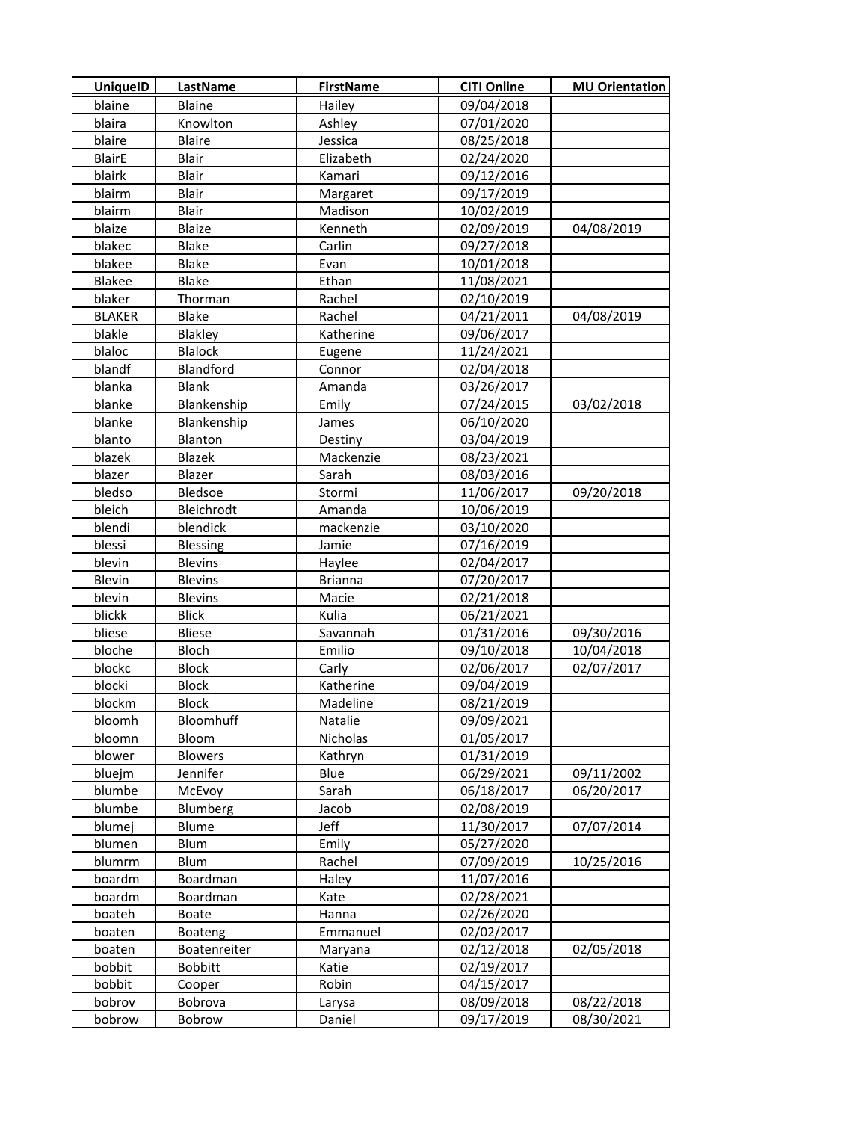| <b>UniquelD</b>  | <b>LastName</b>   | <b>FirstName</b> | <b>CITI Online</b> | <b>MU Orientation</b> |
|------------------|-------------------|------------------|--------------------|-----------------------|
| blaine           | <b>Blaine</b>     | Hailey           | 09/04/2018         |                       |
| blaira           | Knowlton          | Ashley           | 07/01/2020         |                       |
| blaire           | <b>Blaire</b>     | Jessica          | 08/25/2018         |                       |
| <b>BlairE</b>    | Blair             | Elizabeth        | 02/24/2020         |                       |
| blairk           | Blair             | Kamari           | 09/12/2016         |                       |
| blairm           | Blair             | Margaret         | 09/17/2019         |                       |
| blairm           | Blair             | Madison          | 10/02/2019         |                       |
| blaize           | Blaize            | Kenneth          | 02/09/2019         | 04/08/2019            |
| blakec           | <b>Blake</b>      | Carlin           | 09/27/2018         |                       |
| blakee           | <b>Blake</b>      | Evan             | 10/01/2018         |                       |
| <b>Blakee</b>    | <b>Blake</b>      | Ethan            | 11/08/2021         |                       |
| blaker           | Thorman           | Rachel           | 02/10/2019         |                       |
| <b>BLAKER</b>    | <b>Blake</b>      | Rachel           | 04/21/2011         | 04/08/2019            |
| blakle           | Blakley           | Katherine        | 09/06/2017         |                       |
| blaloc           | <b>Blalock</b>    | Eugene           | 11/24/2021         |                       |
| blandf           | Blandford         | Connor           | 02/04/2018         |                       |
| blanka           | <b>Blank</b>      | Amanda           | 03/26/2017         |                       |
| blanke           | Blankenship       | Emily            | 07/24/2015         | 03/02/2018            |
| blanke           | Blankenship       | James            | 06/10/2020         |                       |
| blanto           | Blanton           | Destiny          | 03/04/2019         |                       |
| blazek           | Blazek            | Mackenzie        | 08/23/2021         |                       |
| blazer           | Blazer            | Sarah            | 08/03/2016         |                       |
| bledso           | Bledsoe           | Stormi           | 11/06/2017         | 09/20/2018            |
| bleich           | Bleichrodt        | Amanda           | 10/06/2019         |                       |
| blendi           | blendick          | mackenzie        | 03/10/2020         |                       |
| blessi           | Blessing          | Jamie            | 07/16/2019         |                       |
| blevin           | <b>Blevins</b>    | Haylee           | 02/04/2017         |                       |
| Blevin           | <b>Blevins</b>    | <b>Brianna</b>   | 07/20/2017         |                       |
| blevin           | <b>Blevins</b>    | Macie            | 02/21/2018         |                       |
| blickk           | <b>Blick</b>      | Kulia            | 06/21/2021         |                       |
| bliese           | Bliese            | Savannah         | 01/31/2016         | 09/30/2016            |
| bloche           | Bloch             | Emilio           | 09/10/2018         | 10/04/2018            |
| blockc           | <b>Block</b>      | Carly            | 02/06/2017         | 02/07/2017            |
| blocki           | <b>Block</b>      | Katherine        | 09/04/2019         |                       |
| blockm           | <b>Block</b>      | Madeline         | 08/21/2019         |                       |
| bloomh           | Bloomhuff         | Natalie          | 09/09/2021         |                       |
| bloomn           | Bloom             | Nicholas         | 01/05/2017         |                       |
| blower           | <b>Blowers</b>    | Kathryn          | 01/31/2019         |                       |
| bluejm           | Jennifer          | Blue             | 06/29/2021         | 09/11/2002            |
| blumbe           | McEvoy            | Sarah            | 06/18/2017         | 06/20/2017            |
| blumbe           | Blumberg          | Jacob            | 02/08/2019         |                       |
| blumej           | Blume             | Jeff             | 11/30/2017         | 07/07/2014            |
| blumen           | Blum              | Emily            | 05/27/2020         |                       |
| blumrm           | Blum              | Rachel           | 07/09/2019         | 10/25/2016            |
| boardm           | Boardman          | Haley            | 11/07/2016         |                       |
| boardm           | Boardman          | Kate             | 02/28/2021         |                       |
| boateh           | Boate             | Hanna            | 02/26/2020         |                       |
| boaten           | Boateng           | Emmanuel         | 02/02/2017         |                       |
| boaten           | Boatenreiter      | Maryana          | 02/12/2018         | 02/05/2018            |
| bobbit           | <b>Bobbitt</b>    | Katie            | 02/19/2017         |                       |
| bobbit<br>bobrov | Cooper<br>Bobrova | Robin            | 04/15/2017         |                       |
|                  |                   | Larysa           | 08/09/2018         | 08/22/2018            |
| bobrow           | Bobrow            | Daniel           | 09/17/2019         | 08/30/2021            |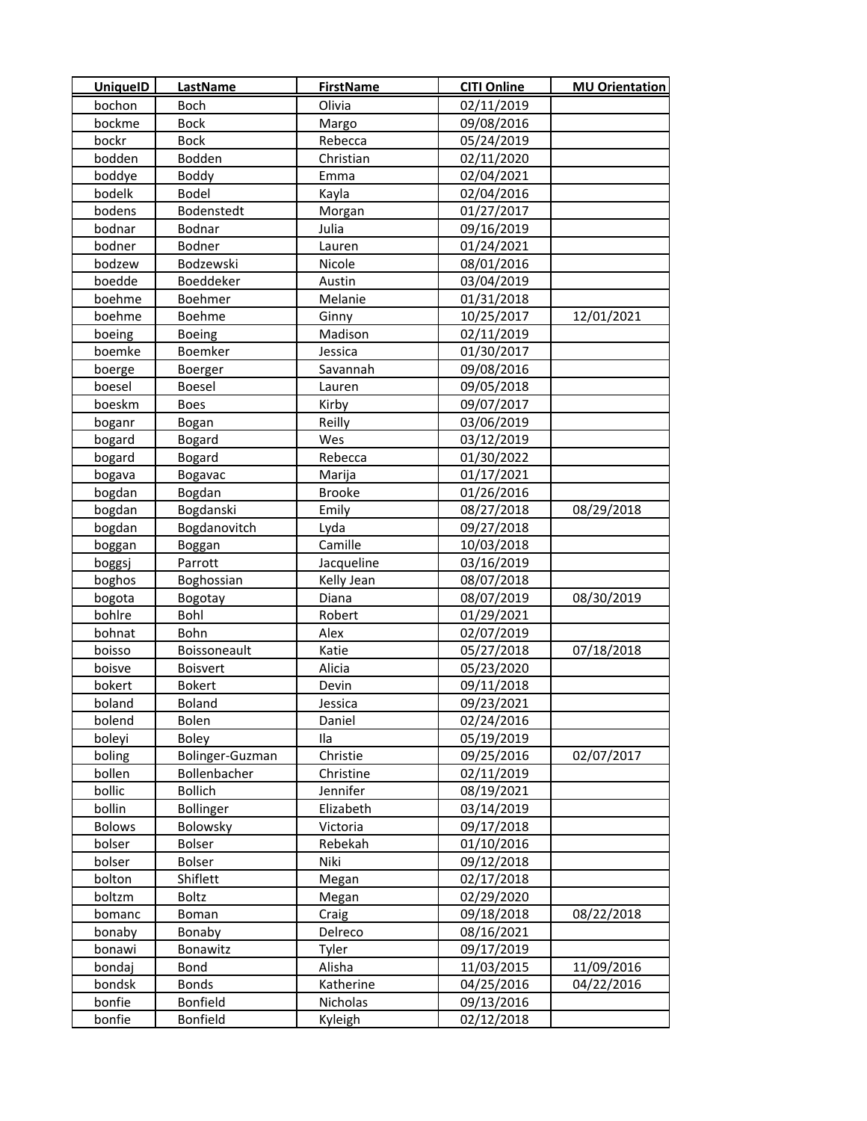| <b>UniquelD</b>  | <b>LastName</b>          | <b>FirstName</b>      | <b>CITI Online</b> | <b>MU Orientation</b> |
|------------------|--------------------------|-----------------------|--------------------|-----------------------|
| bochon           | <b>Boch</b>              | Olivia                | 02/11/2019         |                       |
| bockme           | Bock                     | Margo                 | 09/08/2016         |                       |
| bockr            | <b>Bock</b>              | Rebecca               | 05/24/2019         |                       |
| bodden           | Bodden                   | Christian             | 02/11/2020         |                       |
| boddye           | Boddy                    | Emma                  | 02/04/2021         |                       |
| bodelk           | Bodel                    | Kayla                 | 02/04/2016         |                       |
| bodens           | Bodenstedt               | Morgan                | 01/27/2017         |                       |
| bodnar           | Bodnar                   | Julia                 | 09/16/2019         |                       |
| bodner           | Bodner                   | Lauren                | 01/24/2021         |                       |
| bodzew           | Bodzewski                | Nicole                | 08/01/2016         |                       |
| boedde           | Boeddeker                | Austin                | 03/04/2019         |                       |
| boehme           | Boehmer                  | Melanie               | 01/31/2018         |                       |
| boehme           | Boehme                   | Ginny                 | 10/25/2017         | 12/01/2021            |
| boeing           | <b>Boeing</b>            | Madison               | 02/11/2019         |                       |
| boemke           | Boemker                  | Jessica               | 01/30/2017         |                       |
| boerge           | Boerger                  | Savannah              | 09/08/2016         |                       |
| boesel           | Boesel                   | Lauren                | 09/05/2018         |                       |
| boeskm           | <b>Boes</b>              | Kirby                 | 09/07/2017         |                       |
| boganr           | Bogan                    | Reilly                | 03/06/2019         |                       |
| bogard           | Bogard                   | Wes                   | 03/12/2019         |                       |
| bogard           | <b>Bogard</b>            | Rebecca               | 01/30/2022         |                       |
| bogava           | Bogavac                  | Marija                | 01/17/2021         |                       |
| bogdan           | Bogdan                   | <b>Brooke</b>         | 01/26/2016         |                       |
| bogdan           | Bogdanski                | Emily                 | 08/27/2018         | 08/29/2018            |
| bogdan           | Bogdanovitch             | Lyda                  | 09/27/2018         |                       |
| boggan           | Boggan                   | Camille               | 10/03/2018         |                       |
| boggsj           | Parrott                  | Jacqueline            | 03/16/2019         |                       |
| boghos           | Boghossian               | Kelly Jean            | 08/07/2018         |                       |
| bogota           | Bogotay                  | Diana                 | 08/07/2019         | 08/30/2019            |
| bohlre           | Bohl                     | Robert                | 01/29/2021         |                       |
| bohnat           | Bohn                     | Alex                  | 02/07/2019         |                       |
| boisso           | Boissoneault             | Katie                 | 05/27/2018         | 07/18/2018            |
| boisve           | <b>Boisvert</b>          | Alicia                | 05/23/2020         |                       |
| bokert           | <b>Bokert</b>            | Devin                 | 09/11/2018         |                       |
| boland           | <b>Boland</b>            | Jessica               | 09/23/2021         |                       |
| bolend           | Bolen                    | Daniel                | 02/24/2016         |                       |
| boleyi           | <b>Boley</b>             | Ila                   | 05/19/2019         |                       |
| boling           | Bolinger-Guzman          | Christie              | 09/25/2016         | 02/07/2017            |
| bollen           | Bollenbacher             | Christine             | 02/11/2019         |                       |
| bollic           | <b>Bollich</b>           | Jennifer              | 08/19/2021         |                       |
| bollin           | <b>Bollinger</b>         | Elizabeth             | 03/14/2019         |                       |
| <b>Bolows</b>    | Bolowsky                 | Victoria              | 09/17/2018         |                       |
| bolser           | Bolser                   | Rebekah               | 01/10/2016         |                       |
| bolser           | <b>Bolser</b>            | Niki                  | 09/12/2018         |                       |
| bolton           |                          |                       | 02/17/2018         |                       |
| boltzm           | Shiflett<br>Boltz        | Megan                 | 02/29/2020         |                       |
|                  |                          | Megan                 | 09/18/2018         | 08/22/2018            |
| bomanc           | Boman                    | Craig                 |                    |                       |
| bonaby           | Bonaby                   | Delreco               | 08/16/2021         |                       |
| bonawi           | Bonawitz                 | Tyler<br>Alisha       | 09/17/2019         |                       |
| bondaj           | Bond                     |                       | 11/03/2015         | 11/09/2016            |
| bondsk<br>bonfie | <b>Bonds</b><br>Bonfield | Katherine<br>Nicholas | 04/25/2016         | 04/22/2016            |
| bonfie           | Bonfield                 |                       | 09/13/2016         |                       |
|                  |                          | Kyleigh               | 02/12/2018         |                       |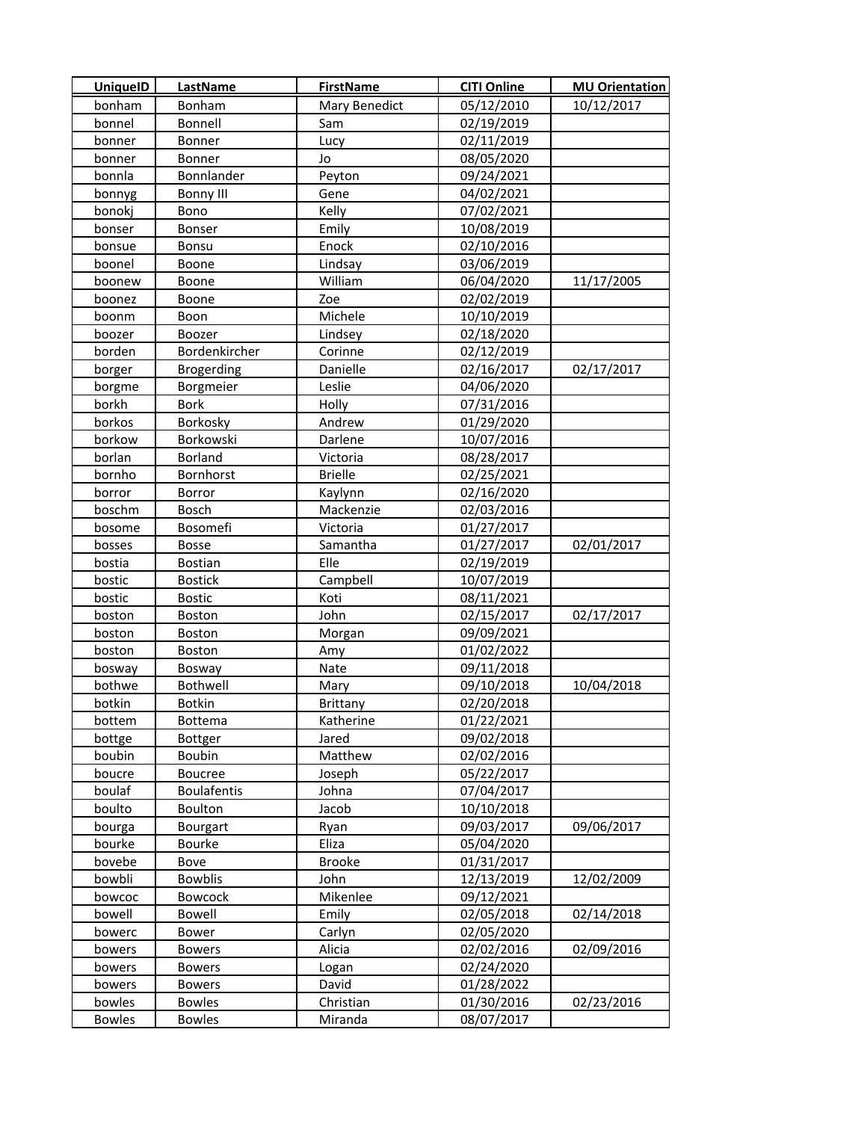| <b>UniquelD</b>  | LastName                  | <b>FirstName</b> | <b>CITI Online</b> | <b>MU Orientation</b> |
|------------------|---------------------------|------------------|--------------------|-----------------------|
| bonham           | Bonham                    | Mary Benedict    | 05/12/2010         | 10/12/2017            |
| bonnel           | Bonnell                   | Sam              | 02/19/2019         |                       |
| bonner           | Bonner                    | Lucy             | 02/11/2019         |                       |
| bonner           | Bonner                    | Jo               | 08/05/2020         |                       |
| bonnla           | Bonnlander                | Peyton           | 09/24/2021         |                       |
| bonnyg           | <b>Bonny III</b>          | Gene             | 04/02/2021         |                       |
| bonokj           | Bono                      | Kelly            | 07/02/2021         |                       |
| bonser           | Bonser                    | Emily            | 10/08/2019         |                       |
| bonsue           | Bonsu                     | Enock            | 02/10/2016         |                       |
| boonel           | Boone                     | Lindsay          | 03/06/2019         |                       |
| boonew           | Boone                     | William          | 06/04/2020         | 11/17/2005            |
| boonez           | Boone                     | Zoe              | 02/02/2019         |                       |
| boonm            | Boon                      | Michele          | 10/10/2019         |                       |
| boozer           | Boozer                    | Lindsey          | 02/18/2020         |                       |
| borden           | Bordenkircher             | Corinne          | 02/12/2019         |                       |
| borger           | <b>Brogerding</b>         | Danielle         | 02/16/2017         | 02/17/2017            |
| borgme           | Borgmeier                 | Leslie           | 04/06/2020         |                       |
| borkh            | <b>Bork</b>               | Holly            | 07/31/2016         |                       |
| borkos           | Borkosky                  | Andrew           | 01/29/2020         |                       |
| borkow           | Borkowski                 | Darlene          | 10/07/2016         |                       |
| borlan           | <b>Borland</b>            | Victoria         | 08/28/2017         |                       |
| bornho           | Bornhorst                 | <b>Brielle</b>   | 02/25/2021         |                       |
| borror           | Borror                    | Kaylynn          | 02/16/2020         |                       |
| boschm           | Bosch                     | Mackenzie        | 02/03/2016         |                       |
| bosome           | Bosomefi                  | Victoria         | 01/27/2017         |                       |
| bosses           | <b>Bosse</b>              | Samantha         | 01/27/2017         | 02/01/2017            |
| bostia           | <b>Bostian</b>            | Elle             | 02/19/2019         |                       |
| bostic           | <b>Bostick</b>            | Campbell         | 10/07/2019         |                       |
| bostic           | <b>Bostic</b>             | Koti             | 08/11/2021         |                       |
| boston           | Boston                    | John             | 02/15/2017         | 02/17/2017            |
| boston           | <b>Boston</b>             | Morgan           | 09/09/2021         |                       |
| boston           | Boston                    | Amy              | 01/02/2022         |                       |
| bosway           | Bosway                    | Nate             | 09/11/2018         |                       |
| bothwe           | Bothwell                  | Mary             | 09/10/2018         | 10/04/2018            |
| botkin           | <b>Botkin</b>             | Brittany         | 02/20/2018         |                       |
| bottem           | Bottema                   | Katherine        | 01/22/2021         |                       |
| bottge           | Bottger                   | Jared            | 09/02/2018         |                       |
| boubin           | Boubin                    | Matthew          | 02/02/2016         |                       |
| boucre           | <b>Boucree</b>            | Joseph           | 05/22/2017         |                       |
| boulaf           | <b>Boulafentis</b>        | Johna            | 07/04/2017         |                       |
| boulto           | Boulton                   | Jacob            | 10/10/2018         |                       |
|                  | Bourgart                  |                  | 09/03/2017         | 09/06/2017            |
| bourga<br>bourke | <b>Bourke</b>             | Ryan<br>Eliza    | 05/04/2020         |                       |
| bovebe           |                           | <b>Brooke</b>    | 01/31/2017         |                       |
|                  | Bove                      |                  |                    |                       |
| bowbli<br>bowcoc | <b>Bowblis</b><br>Bowcock | John<br>Mikenlee | 12/13/2019         | 12/02/2009            |
|                  | Bowell                    |                  | 09/12/2021         | 02/14/2018            |
| bowell           |                           | Emily            | 02/05/2018         |                       |
| bowerc           | Bower                     | Carlyn           | 02/05/2020         |                       |
| bowers           | <b>Bowers</b>             | Alicia           | 02/02/2016         | 02/09/2016            |
| bowers           | <b>Bowers</b>             | Logan            | 02/24/2020         |                       |
| bowers           | <b>Bowers</b>             | David            | 01/28/2022         |                       |
| bowles           | <b>Bowles</b>             | Christian        | 01/30/2016         | 02/23/2016            |
| <b>Bowles</b>    | <b>Bowles</b>             | Miranda          | 08/07/2017         |                       |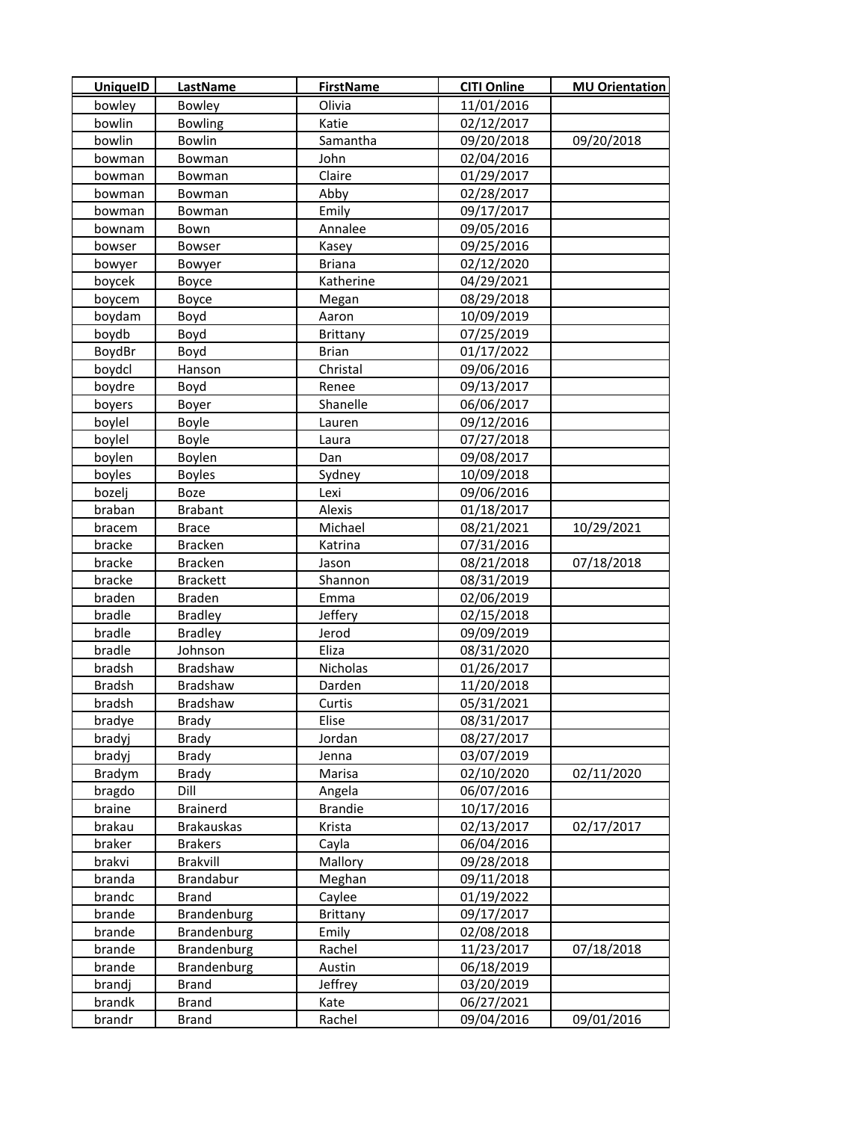| <b>UniquelD</b> | <b>LastName</b>   | <b>FirstName</b> | <b>CITI Online</b> | <b>MU Orientation</b> |
|-----------------|-------------------|------------------|--------------------|-----------------------|
| bowley          | Bowley            | Olivia           | 11/01/2016         |                       |
| bowlin          | <b>Bowling</b>    | Katie            | 02/12/2017         |                       |
| bowlin          | Bowlin            | Samantha         | 09/20/2018         | 09/20/2018            |
| bowman          | Bowman            | John             | 02/04/2016         |                       |
| bowman          | Bowman            | Claire           | 01/29/2017         |                       |
| bowman          | Bowman            | Abby             | 02/28/2017         |                       |
| bowman          | <b>Bowman</b>     | Emily            | 09/17/2017         |                       |
| bownam          | Bown              | Annalee          | 09/05/2016         |                       |
| bowser          | Bowser            | Kasey            | 09/25/2016         |                       |
| bowyer          | Bowyer            | <b>Briana</b>    | 02/12/2020         |                       |
| boycek          | Boyce             | Katherine        | 04/29/2021         |                       |
| boycem          | Boyce             | Megan            | 08/29/2018         |                       |
| boydam          | Boyd              | Aaron            | 10/09/2019         |                       |
| boydb           | Boyd              | <b>Brittany</b>  | 07/25/2019         |                       |
| BoydBr          | Boyd              | <b>Brian</b>     | 01/17/2022         |                       |
| boydcl          | Hanson            | Christal         | 09/06/2016         |                       |
| boydre          | Boyd              | Renee            | 09/13/2017         |                       |
| boyers          | Boyer             | Shanelle         | 06/06/2017         |                       |
| boylel          | Boyle             | Lauren           | 09/12/2016         |                       |
| boylel          | Boyle             | Laura            | 07/27/2018         |                       |
| boylen          | Boylen            | Dan              | 09/08/2017         |                       |
| boyles          | <b>Boyles</b>     | Sydney           | 10/09/2018         |                       |
| bozelj          | <b>Boze</b>       | Lexi             | 09/06/2016         |                       |
| braban          | <b>Brabant</b>    | Alexis           | 01/18/2017         |                       |
| bracem          | <b>Brace</b>      | Michael          | 08/21/2021         | 10/29/2021            |
| bracke          | <b>Bracken</b>    | Katrina          | 07/31/2016         |                       |
| bracke          | <b>Bracken</b>    | Jason            | 08/21/2018         | 07/18/2018            |
| bracke          | <b>Brackett</b>   | Shannon          | 08/31/2019         |                       |
| braden          | Braden            | Emma             | 02/06/2019         |                       |
| bradle          | <b>Bradley</b>    | Jeffery          | 02/15/2018         |                       |
| bradle          | <b>Bradley</b>    | Jerod            | 09/09/2019         |                       |
| bradle          | Johnson           | Eliza            | 08/31/2020         |                       |
| bradsh          | Bradshaw          | Nicholas         | 01/26/2017         |                       |
| Bradsh          | Bradshaw          | Darden           | 11/20/2018         |                       |
| bradsh          | Bradshaw          | Curtis           | 05/31/2021         |                       |
| bradye          | <b>Brady</b>      | Elise            | 08/31/2017         |                       |
| bradyj          | <b>Brady</b>      | Jordan           | 08/27/2017         |                       |
| bradyj          | <b>Brady</b>      | Jenna            | 03/07/2019         |                       |
| Bradym          | <b>Brady</b>      | Marisa           | 02/10/2020         | 02/11/2020            |
| bragdo          | Dill              | Angela           | 06/07/2016         |                       |
| braine          | <b>Brainerd</b>   | <b>Brandie</b>   | 10/17/2016         |                       |
| brakau          | <b>Brakauskas</b> | Krista           | 02/13/2017         | 02/17/2017            |
| braker          | <b>Brakers</b>    | Cayla            | 06/04/2016         |                       |
| brakvi          | <b>Brakvill</b>   | Mallory          | 09/28/2018         |                       |
| branda          | <b>Brandabur</b>  | Meghan           | 09/11/2018         |                       |
| brandc          | <b>Brand</b>      | Caylee           | 01/19/2022         |                       |
| brande          | Brandenburg       | Brittany         | 09/17/2017         |                       |
| brande          | Brandenburg       | Emily            | 02/08/2018         |                       |
| brande          | Brandenburg       | Rachel           | 11/23/2017         | 07/18/2018            |
| brande          | Brandenburg       | Austin           | 06/18/2019         |                       |
| brandj          | <b>Brand</b>      | Jeffrey          | 03/20/2019         |                       |
| brandk          | <b>Brand</b>      | Kate             | 06/27/2021         |                       |
| brandr          | <b>Brand</b>      | Rachel           | 09/04/2016         | 09/01/2016            |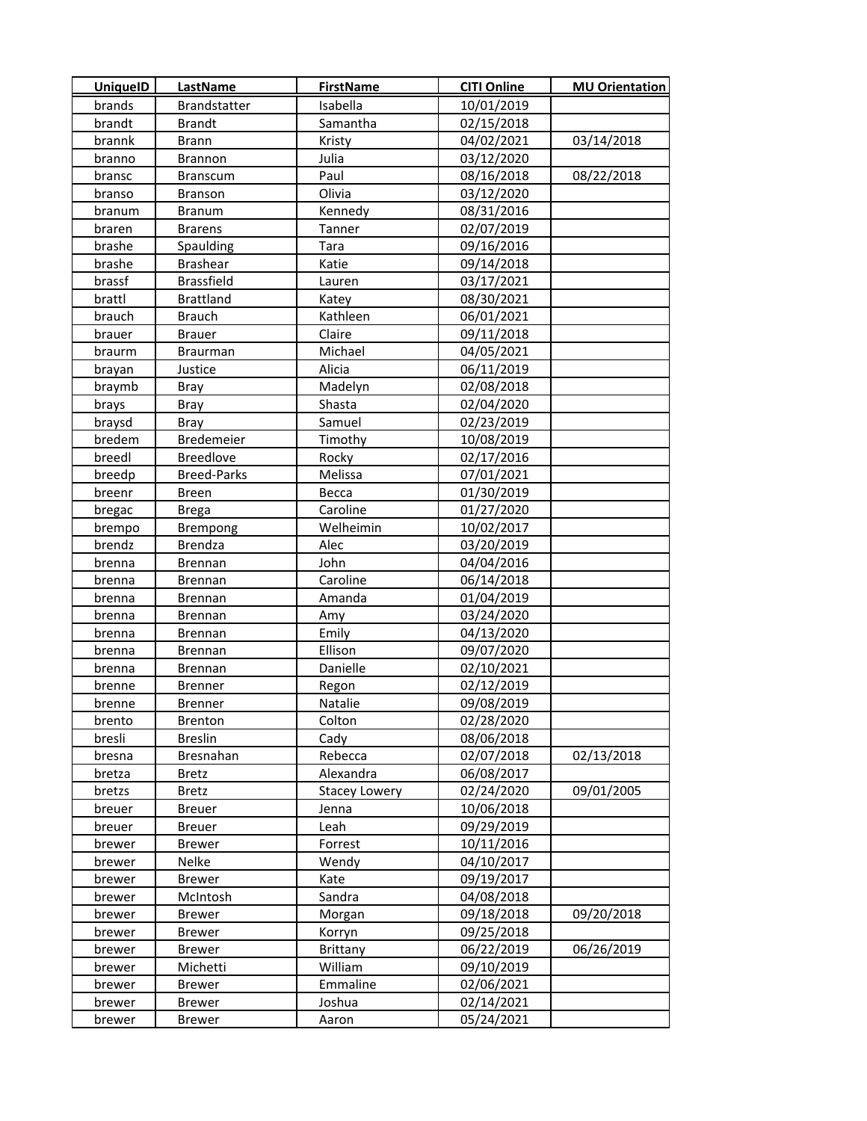| <b>UniquelD</b> | <b>LastName</b>     | <b>FirstName</b>     | <b>CITI Online</b> | <b>MU Orientation</b> |
|-----------------|---------------------|----------------------|--------------------|-----------------------|
| brands          | <b>Brandstatter</b> | Isabella             | 10/01/2019         |                       |
| brandt          | <b>Brandt</b>       | Samantha             | 02/15/2018         |                       |
| brannk          | <b>Brann</b>        | Kristy               | 04/02/2021         | 03/14/2018            |
| branno          | Brannon             | Julia                | 03/12/2020         |                       |
| bransc          | <b>Branscum</b>     | Paul                 | 08/16/2018         | 08/22/2018            |
| branso          | Branson             | Olivia               | 03/12/2020         |                       |
| branum          | <b>Branum</b>       | Kennedy              | 08/31/2016         |                       |
| braren          | <b>Brarens</b>      | Tanner               | 02/07/2019         |                       |
| brashe          | Spaulding           | Tara                 | 09/16/2016         |                       |
| brashe          | <b>Brashear</b>     | Katie                | 09/14/2018         |                       |
| brassf          | <b>Brassfield</b>   | Lauren               | 03/17/2021         |                       |
| brattl          | <b>Brattland</b>    | Katey                | 08/30/2021         |                       |
| brauch          | <b>Brauch</b>       | Kathleen             | 06/01/2021         |                       |
| brauer          | <b>Brauer</b>       | Claire               | 09/11/2018         |                       |
| braurm          | Braurman            | Michael              | 04/05/2021         |                       |
| brayan          | Justice             | Alicia               | 06/11/2019         |                       |
| braymb          | Bray                | Madelyn              | 02/08/2018         |                       |
| brays           | <b>Bray</b>         | Shasta               | 02/04/2020         |                       |
| braysd          | Bray                | Samuel               | 02/23/2019         |                       |
| bredem          | Bredemeier          | Timothy              | 10/08/2019         |                       |
| breedl          | <b>Breedlove</b>    | Rocky                | 02/17/2016         |                       |
| breedp          | <b>Breed-Parks</b>  | Melissa              | 07/01/2021         |                       |
| breenr          | <b>Breen</b>        | Becca                | 01/30/2019         |                       |
| bregac          | <b>Brega</b>        | Caroline             | 01/27/2020         |                       |
| brempo          | Brempong            | Welheimin            | 10/02/2017         |                       |
| brendz          | <b>Brendza</b>      | Alec                 | 03/20/2019         |                       |
| brenna          | Brennan             | John                 | 04/04/2016         |                       |
| brenna          | Brennan             | Caroline             | 06/14/2018         |                       |
| brenna          | Brennan             | Amanda               | 01/04/2019         |                       |
| brenna          | Brennan             | Amy                  | 03/24/2020         |                       |
| brenna          | Brennan             | Emily                | 04/13/2020         |                       |
| brenna          | Brennan             | Ellison              | 09/07/2020         |                       |
| brenna          | Brennan             | Danielle             | 02/10/2021         |                       |
| brenne          | <b>Brenner</b>      | Regon                | 02/12/2019         |                       |
| brenne          | <b>Brenner</b>      | Natalie              | 09/08/2019         |                       |
| brento          | <b>Brenton</b>      | Colton               | 02/28/2020         |                       |
| bresli          | <b>Breslin</b>      | Cady                 | 08/06/2018         |                       |
| bresna          | Bresnahan           | Rebecca              | 02/07/2018         | 02/13/2018            |
| bretza          | <b>Bretz</b>        | Alexandra            | 06/08/2017         |                       |
| bretzs          | <b>Bretz</b>        | <b>Stacey Lowery</b> | 02/24/2020         | 09/01/2005            |
| breuer          | <b>Breuer</b>       | Jenna                | 10/06/2018         |                       |
| breuer          | <b>Breuer</b>       | Leah                 | 09/29/2019         |                       |
| brewer          | <b>Brewer</b>       | Forrest              | 10/11/2016         |                       |
| brewer          | Nelke               | Wendy                | 04/10/2017         |                       |
| brewer          | <b>Brewer</b>       | Kate                 | 09/19/2017         |                       |
| brewer          | McIntosh            | Sandra               | 04/08/2018         |                       |
| brewer          | <b>Brewer</b>       | Morgan               | 09/18/2018         | 09/20/2018            |
| brewer          | <b>Brewer</b>       | Korryn               | 09/25/2018         |                       |
| brewer          | Brewer              | Brittany             | 06/22/2019         | 06/26/2019            |
| brewer          | Michetti            | William              | 09/10/2019         |                       |
| brewer          | <b>Brewer</b>       | Emmaline             | 02/06/2021         |                       |
| brewer          | <b>Brewer</b>       | Joshua               | 02/14/2021         |                       |
| brewer          | Brewer              | Aaron                | 05/24/2021         |                       |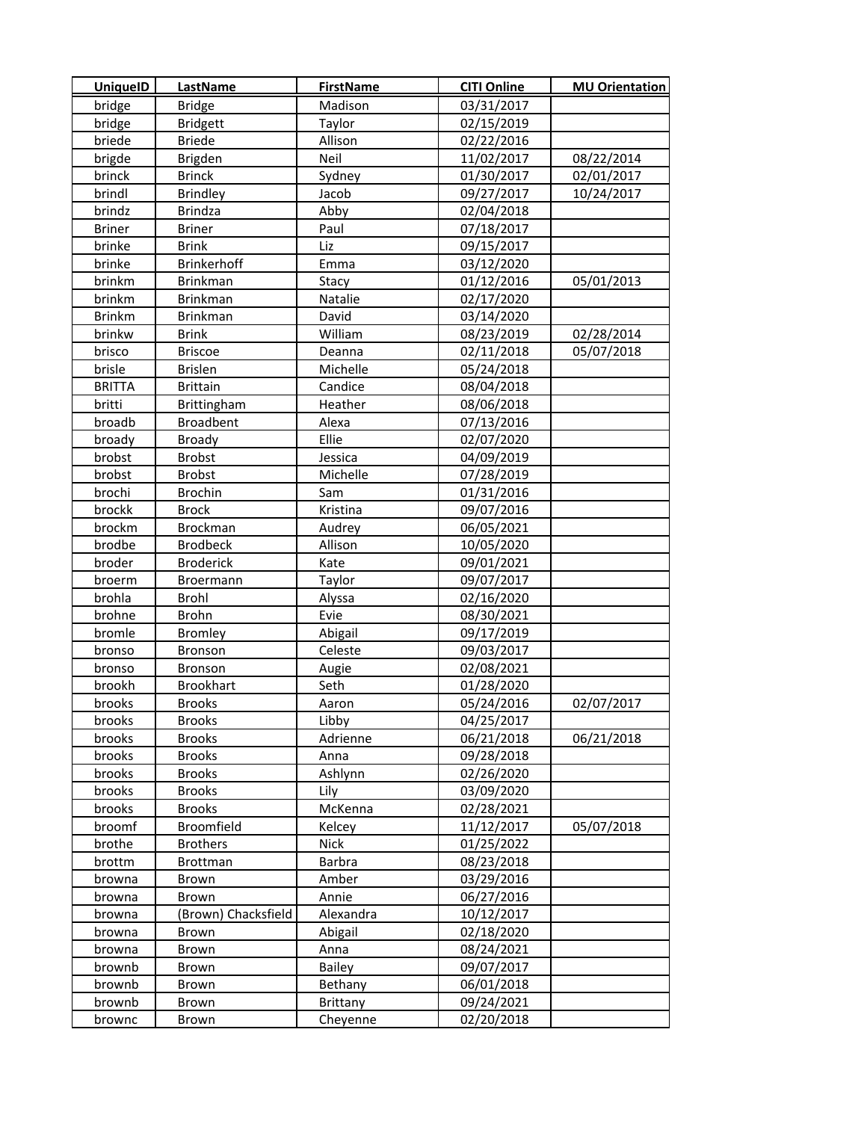| <b>UniquelD</b> | LastName            | <b>FirstName</b> | <b>CITI Online</b> | <b>MU Orientation</b> |
|-----------------|---------------------|------------------|--------------------|-----------------------|
| bridge          | <b>Bridge</b>       | Madison          | 03/31/2017         |                       |
| bridge          | <b>Bridgett</b>     | Taylor           | 02/15/2019         |                       |
| briede          | <b>Briede</b>       | Allison          | 02/22/2016         |                       |
| brigde          | Brigden             | Neil             | 11/02/2017         | 08/22/2014            |
| brinck          | <b>Brinck</b>       | Sydney           | 01/30/2017         | 02/01/2017            |
| brindl          | <b>Brindley</b>     | Jacob            | 09/27/2017         | 10/24/2017            |
| brindz          | Brindza             | Abby             | 02/04/2018         |                       |
| <b>Briner</b>   | <b>Briner</b>       | Paul             | 07/18/2017         |                       |
| brinke          | <b>Brink</b>        | Liz              | 09/15/2017         |                       |
| brinke          | Brinkerhoff         | Emma             | 03/12/2020         |                       |
| brinkm          | <b>Brinkman</b>     | Stacy            | 01/12/2016         | 05/01/2013            |
| brinkm          | <b>Brinkman</b>     | Natalie          | 02/17/2020         |                       |
| <b>Brinkm</b>   | <b>Brinkman</b>     | David            | 03/14/2020         |                       |
| brinkw          | Brink               | William          | 08/23/2019         | 02/28/2014            |
| brisco          | <b>Briscoe</b>      | Deanna           | 02/11/2018         | 05/07/2018            |
| brisle          | <b>Brislen</b>      | Michelle         | 05/24/2018         |                       |
| <b>BRITTA</b>   | <b>Brittain</b>     | Candice          | 08/04/2018         |                       |
| britti          | Brittingham         | Heather          | 08/06/2018         |                       |
| broadb          | <b>Broadbent</b>    | Alexa            | 07/13/2016         |                       |
| broady          | Broady              | Ellie            | 02/07/2020         |                       |
| brobst          | <b>Brobst</b>       | Jessica          | 04/09/2019         |                       |
| brobst          | <b>Brobst</b>       | Michelle         | 07/28/2019         |                       |
| brochi          | <b>Brochin</b>      | Sam              | 01/31/2016         |                       |
| brockk          | <b>Brock</b>        | Kristina         | 09/07/2016         |                       |
| brockm          | <b>Brockman</b>     | Audrey           | 06/05/2021         |                       |
| brodbe          | <b>Brodbeck</b>     | Allison          | 10/05/2020         |                       |
| broder          | <b>Broderick</b>    | Kate             | 09/01/2021         |                       |
| broerm          | Broermann           | Taylor           | 09/07/2017         |                       |
| brohla          | Brohl               | Alyssa           | 02/16/2020         |                       |
| brohne          | <b>Brohn</b>        | Evie             | 08/30/2021         |                       |
| bromle          | <b>Bromley</b>      | Abigail          | 09/17/2019         |                       |
| bronso          | Bronson             | Celeste          | 09/03/2017         |                       |
| bronso          | Bronson             | Augie            | 02/08/2021         |                       |
| brookh          | Brookhart           | Seth             | 01/28/2020         |                       |
| brooks          | <b>Brooks</b>       | Aaron            | 05/24/2016         | 02/07/2017            |
| brooks          | <b>Brooks</b>       | Libby            | 04/25/2017         |                       |
| brooks          | <b>Brooks</b>       | Adrienne         | 06/21/2018         | 06/21/2018            |
| brooks          | <b>Brooks</b>       | Anna             | 09/28/2018         |                       |
| brooks          | <b>Brooks</b>       | Ashlynn          | 02/26/2020         |                       |
| brooks          | <b>Brooks</b>       | Lily             | 03/09/2020         |                       |
| brooks          | <b>Brooks</b>       | McKenna          | 02/28/2021         |                       |
| broomf          | Broomfield          | Kelcey           | 11/12/2017         | 05/07/2018            |
| brothe          | <b>Brothers</b>     | <b>Nick</b>      | 01/25/2022         |                       |
| brottm          | Brottman            | Barbra           | 08/23/2018         |                       |
| browna          | Brown               | Amber            | 03/29/2016         |                       |
| browna          | Brown               | Annie            | 06/27/2016         |                       |
| browna          | (Brown) Chacksfield | Alexandra        | 10/12/2017         |                       |
| browna          | Brown               | Abigail          | 02/18/2020         |                       |
| browna          | Brown               | Anna             | 08/24/2021         |                       |
| brownb          | Brown               | <b>Bailey</b>    | 09/07/2017         |                       |
| brownb          | Brown               | Bethany          | 06/01/2018         |                       |
| brownb          | Brown               | <b>Brittany</b>  | 09/24/2021         |                       |
| brownc          | Brown               | Cheyenne         | 02/20/2018         |                       |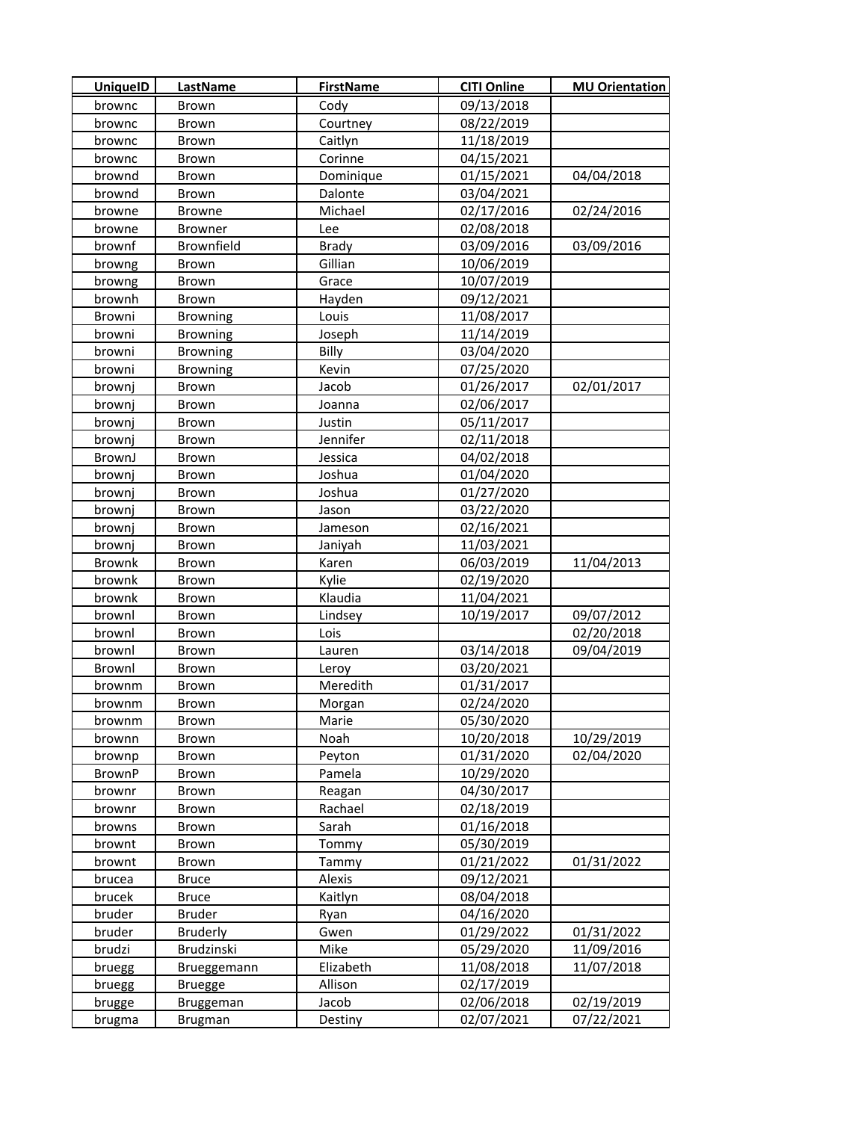| <b>UniquelD</b> | LastName        | <b>FirstName</b> | <b>CITI Online</b> | <b>MU Orientation</b> |
|-----------------|-----------------|------------------|--------------------|-----------------------|
| brownc          | Brown           | Cody             | 09/13/2018         |                       |
| brownc          | Brown           | Courtney         | 08/22/2019         |                       |
| brownc          | Brown           | Caitlyn          | 11/18/2019         |                       |
| brownc          | Brown           | Corinne          | 04/15/2021         |                       |
| brownd          | Brown           | Dominique        | 01/15/2021         | 04/04/2018            |
| brownd          | Brown           | Dalonte          | 03/04/2021         |                       |
| browne          | <b>Browne</b>   | Michael          | 02/17/2016         | 02/24/2016            |
| browne          | Browner         | Lee              | 02/08/2018         |                       |
| brownf          | Brownfield      | <b>Brady</b>     | 03/09/2016         | 03/09/2016            |
| browng          | Brown           | Gillian          | 10/06/2019         |                       |
| browng          | Brown           | Grace            | 10/07/2019         |                       |
| brownh          | Brown           | Hayden           | 09/12/2021         |                       |
| Browni          | <b>Browning</b> | Louis            | 11/08/2017         |                       |
| browni          | <b>Browning</b> | Joseph           | 11/14/2019         |                       |
| browni          | <b>Browning</b> | Billy            | 03/04/2020         |                       |
| browni          | <b>Browning</b> | Kevin            | 07/25/2020         |                       |
| brownj          | <b>Brown</b>    | Jacob            | 01/26/2017         | 02/01/2017            |
| brownj          | Brown           | Joanna           | 02/06/2017         |                       |
| brownj          | Brown           | Justin           | 05/11/2017         |                       |
| brownj          | Brown           | Jennifer         | 02/11/2018         |                       |
| BrownJ          | Brown           | Jessica          | 04/02/2018         |                       |
| brownj          | Brown           | Joshua           | 01/04/2020         |                       |
| brownj          | Brown           | Joshua           | 01/27/2020         |                       |
| brownj          | Brown           | Jason            | 03/22/2020         |                       |
| brownj          | Brown           | Jameson          | 02/16/2021         |                       |
| brownj          | Brown           | Janiyah          | 11/03/2021         |                       |
| Brownk          | Brown           | Karen            | 06/03/2019         | 11/04/2013            |
| brownk          | Brown           | Kylie            | 02/19/2020         |                       |
| brownk          | Brown           | Klaudia          | 11/04/2021         |                       |
| brownl          | Brown           | Lindsey          | 10/19/2017         | 09/07/2012            |
| brownl          | Brown           | Lois             |                    | 02/20/2018            |
| brownl          | Brown           | Lauren           | 03/14/2018         | 09/04/2019            |
| Brownl          | Brown           | Leroy            | 03/20/2021         |                       |
| brownm          | Brown           | Meredith         | 01/31/2017         |                       |
| brownm          | Brown           | Morgan           | 02/24/2020         |                       |
| brownm          | Brown           | Marie            | 05/30/2020         |                       |
| brownn          | Brown           | Noah             | 10/20/2018         | 10/29/2019            |
| brownp          | Brown           | Peyton           | 01/31/2020         | 02/04/2020            |
| <b>BrownP</b>   | Brown           | Pamela           | 10/29/2020         |                       |
| brownr          | Brown           | Reagan           | 04/30/2017         |                       |
| brownr          | Brown           | Rachael          | 02/18/2019         |                       |
| browns          | Brown           | Sarah            | 01/16/2018         |                       |
| brownt          | Brown           | Tommy            | 05/30/2019         |                       |
| brownt          | Brown           | Tammy            | 01/21/2022         | 01/31/2022            |
| brucea          | <b>Bruce</b>    | Alexis           | 09/12/2021         |                       |
| brucek          | <b>Bruce</b>    | Kaitlyn          | 08/04/2018         |                       |
| bruder          | Bruder          | Ryan             | 04/16/2020         |                       |
| bruder          | <b>Bruderly</b> | Gwen             | 01/29/2022         | 01/31/2022            |
| brudzi          | Brudzinski      | Mike             | 05/29/2020         | 11/09/2016            |
| bruegg          | Brueggemann     | Elizabeth        | 11/08/2018         | 11/07/2018            |
| bruegg          | <b>Bruegge</b>  | Allison          | 02/17/2019         |                       |
| brugge          | Bruggeman       | Jacob            | 02/06/2018         | 02/19/2019            |
| brugma          | <b>Brugman</b>  | Destiny          | 02/07/2021         | 07/22/2021            |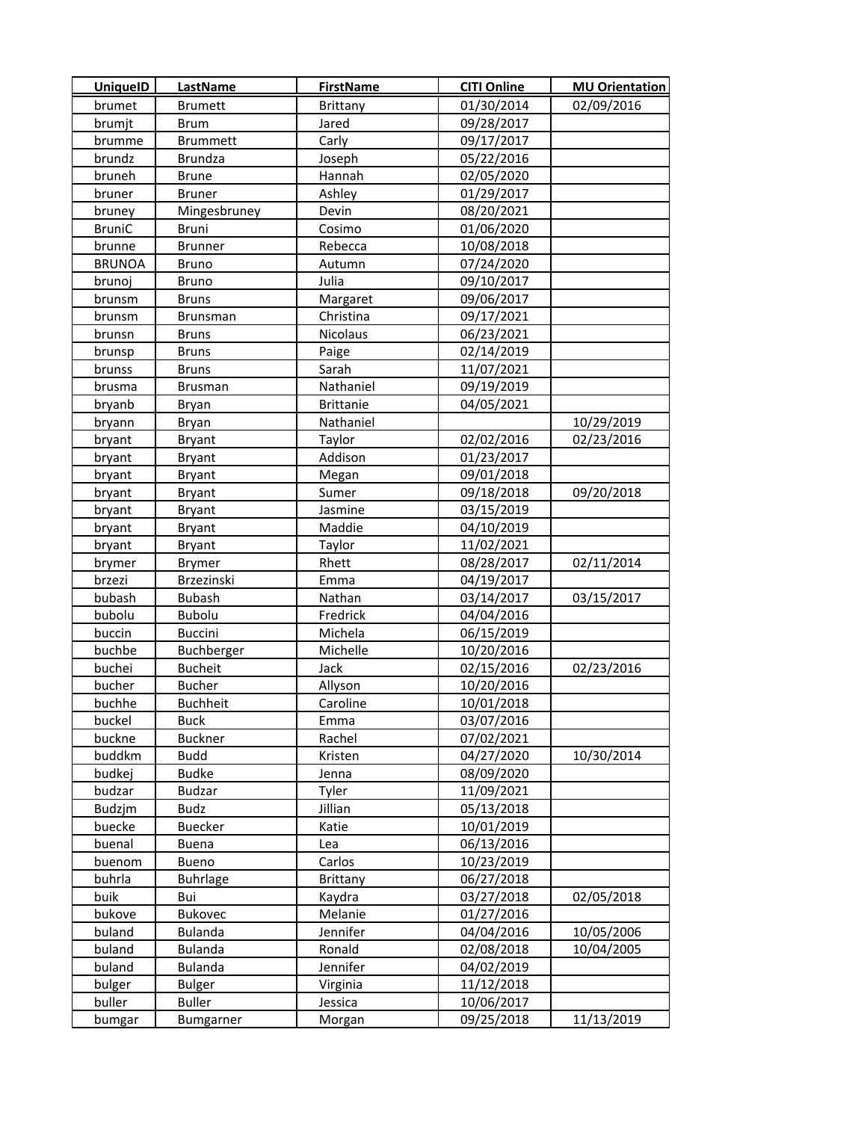| <b>UniquelD</b> | <b>LastName</b> | <b>FirstName</b> | <b>CITI Online</b> | <b>MU Orientation</b> |
|-----------------|-----------------|------------------|--------------------|-----------------------|
| brumet          | <b>Brumett</b>  | <b>Brittany</b>  | 01/30/2014         | 02/09/2016            |
| brumjt          | <b>Brum</b>     | Jared            | 09/28/2017         |                       |
| brumme          | <b>Brummett</b> | Carly            | 09/17/2017         |                       |
| brundz          | <b>Brundza</b>  | Joseph           | 05/22/2016         |                       |
| bruneh          | <b>Brune</b>    | Hannah           | 02/05/2020         |                       |
| bruner          | <b>Bruner</b>   | Ashley           | 01/29/2017         |                       |
| bruney          | Mingesbruney    | Devin            | 08/20/2021         |                       |
| <b>BruniC</b>   | <b>Bruni</b>    | Cosimo           | 01/06/2020         |                       |
| brunne          | <b>Brunner</b>  | Rebecca          | 10/08/2018         |                       |
| <b>BRUNOA</b>   | <b>Bruno</b>    | Autumn           | 07/24/2020         |                       |
| brunoj          | <b>Bruno</b>    | Julia            | 09/10/2017         |                       |
| brunsm          | <b>Bruns</b>    | Margaret         | 09/06/2017         |                       |
| brunsm          | <b>Brunsman</b> | Christina        | 09/17/2021         |                       |
| brunsn          | <b>Bruns</b>    | Nicolaus         | 06/23/2021         |                       |
| brunsp          | <b>Bruns</b>    | Paige            | 02/14/2019         |                       |
| brunss          | <b>Bruns</b>    | Sarah            | 11/07/2021         |                       |
| brusma          | <b>Brusman</b>  | Nathaniel        | 09/19/2019         |                       |
| bryanb          | Bryan           | <b>Brittanie</b> | 04/05/2021         |                       |
| bryann          | Bryan           | Nathaniel        |                    | 10/29/2019            |
| bryant          | <b>Bryant</b>   | Taylor           | 02/02/2016         | 02/23/2016            |
| bryant          | <b>Bryant</b>   | Addison          | 01/23/2017         |                       |
| bryant          | <b>Bryant</b>   | Megan            | 09/01/2018         |                       |
| bryant          | <b>Bryant</b>   | Sumer            | 09/18/2018         | 09/20/2018            |
| bryant          | <b>Bryant</b>   | Jasmine          | 03/15/2019         |                       |
| bryant          | <b>Bryant</b>   | Maddie           | 04/10/2019         |                       |
| bryant          | <b>Bryant</b>   | Taylor           | 11/02/2021         |                       |
| brymer          | Brymer          | Rhett            | 08/28/2017         | 02/11/2014            |
| brzezi          | Brzezinski      | Emma             | 04/19/2017         |                       |
| bubash          | <b>Bubash</b>   | Nathan           | 03/14/2017         | 03/15/2017            |
| bubolu          | Bubolu          | Fredrick         | 04/04/2016         |                       |
| buccin          | Buccini         | Michela          | 06/15/2019         |                       |
| buchbe          | Buchberger      | Michelle         | 10/20/2016         |                       |
| buchei          | <b>Bucheit</b>  | Jack             | 02/15/2016         | 02/23/2016            |
| bucher          | Bucher          | Allyson          | 10/20/2016         |                       |
| buchhe          | <b>Buchheit</b> | Caroline         | 10/01/2018         |                       |
| buckel          | <b>Buck</b>     | Emma             | 03/07/2016         |                       |
| buckne          | <b>Buckner</b>  | Rachel           | 07/02/2021         |                       |
| buddkm          | <b>Budd</b>     | Kristen          | 04/27/2020         | 10/30/2014            |
| budkej          | <b>Budke</b>    | Jenna            | 08/09/2020         |                       |
| budzar          | <b>Budzar</b>   | Tyler            | 11/09/2021         |                       |
| Budzjm          | Budz            | Jillian          | 05/13/2018         |                       |
| buecke          | <b>Buecker</b>  | Katie            | 10/01/2019         |                       |
| buenal          | <b>Buena</b>    | Lea              | 06/13/2016         |                       |
| buenom          | <b>Bueno</b>    | Carlos           | 10/23/2019         |                       |
| buhrla          | <b>Buhrlage</b> | <b>Brittany</b>  | 06/27/2018         |                       |
| buik            | Bui             | Kaydra           | 03/27/2018         | 02/05/2018            |
| bukove          | <b>Bukovec</b>  | Melanie          | 01/27/2016         |                       |
| buland          | <b>Bulanda</b>  | Jennifer         | 04/04/2016         | 10/05/2006            |
| buland          | Bulanda         | Ronald           | 02/08/2018         | 10/04/2005            |
| buland          | <b>Bulanda</b>  | Jennifer         | 04/02/2019         |                       |
| bulger          | <b>Bulger</b>   | Virginia         | 11/12/2018         |                       |
| buller          | <b>Buller</b>   | Jessica          | 10/06/2017         |                       |
| bumgar          | Bumgarner       | Morgan           | 09/25/2018         | 11/13/2019            |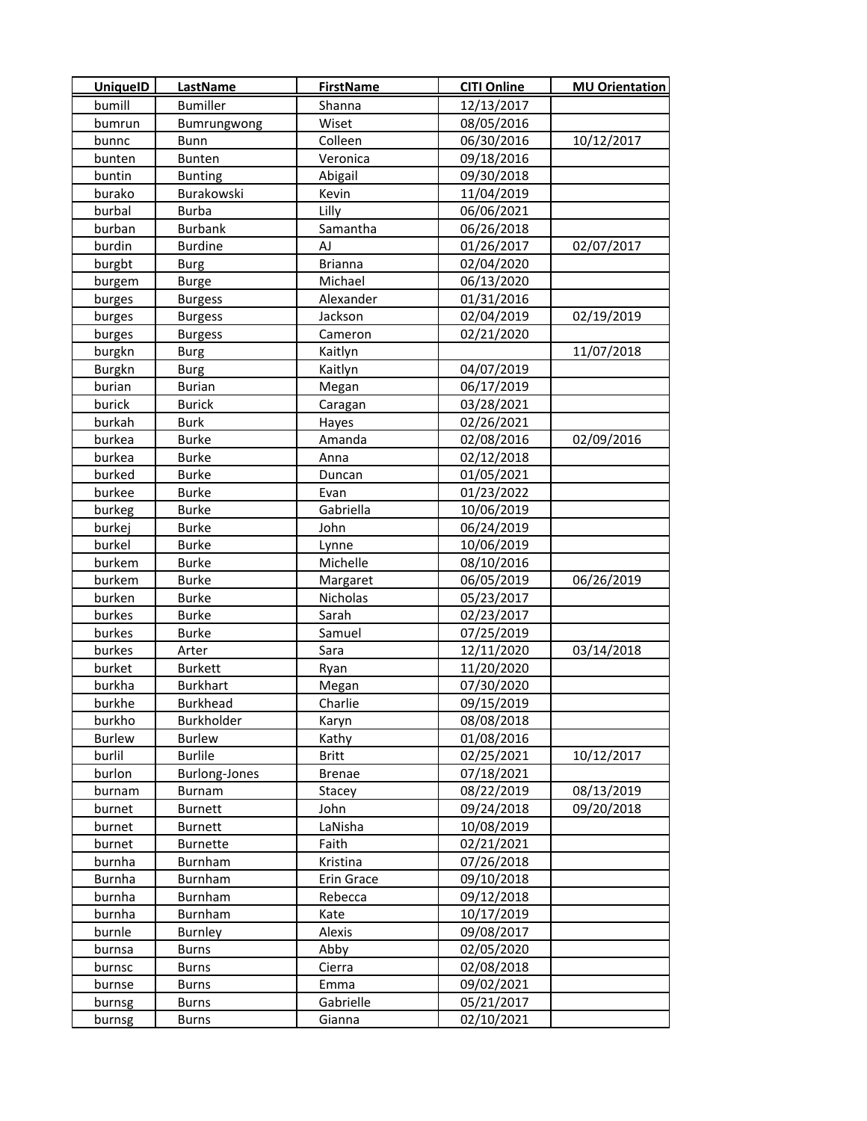| <b>UniquelD</b> | <b>LastName</b>      | <b>FirstName</b> | <b>CITI Online</b> | <b>MU Orientation</b> |
|-----------------|----------------------|------------------|--------------------|-----------------------|
| bumill          | <b>Bumiller</b>      | Shanna           | 12/13/2017         |                       |
| bumrun          | Bumrungwong          | Wiset            | 08/05/2016         |                       |
| bunnc           | <b>Bunn</b>          | Colleen          | 06/30/2016         | 10/12/2017            |
| bunten          | Bunten               | Veronica         | 09/18/2016         |                       |
| buntin          | <b>Bunting</b>       | Abigail          | 09/30/2018         |                       |
| burako          | Burakowski           | Kevin            | 11/04/2019         |                       |
| burbal          | <b>Burba</b>         | Lilly            | 06/06/2021         |                       |
| burban          | <b>Burbank</b>       | Samantha         | 06/26/2018         |                       |
| burdin          | <b>Burdine</b>       | AJ               | 01/26/2017         | 02/07/2017            |
| burgbt          | <b>Burg</b>          | <b>Brianna</b>   | 02/04/2020         |                       |
| burgem          | <b>Burge</b>         | Michael          | 06/13/2020         |                       |
| burges          | <b>Burgess</b>       | Alexander        | 01/31/2016         |                       |
| burges          | <b>Burgess</b>       | Jackson          | 02/04/2019         | 02/19/2019            |
| burges          | <b>Burgess</b>       | Cameron          | 02/21/2020         |                       |
| burgkn          | <b>Burg</b>          | Kaitlyn          |                    | 11/07/2018            |
| <b>Burgkn</b>   | <b>Burg</b>          | Kaitlyn          | 04/07/2019         |                       |
| burian          | <b>Burian</b>        | Megan            | 06/17/2019         |                       |
| burick          | <b>Burick</b>        | Caragan          | 03/28/2021         |                       |
| burkah          | <b>Burk</b>          | Hayes            | 02/26/2021         |                       |
| burkea          | <b>Burke</b>         | Amanda           | 02/08/2016         | 02/09/2016            |
| burkea          | <b>Burke</b>         | Anna             | 02/12/2018         |                       |
| burked          | <b>Burke</b>         | Duncan           | 01/05/2021         |                       |
| burkee          | <b>Burke</b>         | Evan             | 01/23/2022         |                       |
| burkeg          | <b>Burke</b>         | Gabriella        | 10/06/2019         |                       |
| burkej          | <b>Burke</b>         | John             | 06/24/2019         |                       |
| burkel          | <b>Burke</b>         | Lynne            | 10/06/2019         |                       |
| burkem          | Burke                | Michelle         | 08/10/2016         |                       |
| burkem          | <b>Burke</b>         | Margaret         | 06/05/2019         | 06/26/2019            |
| burken          | Burke                | Nicholas         | 05/23/2017         |                       |
| burkes          | Burke                | Sarah            | 02/23/2017         |                       |
| burkes          | <b>Burke</b>         | Samuel           | 07/25/2019         |                       |
| burkes          | Arter                | Sara             | 12/11/2020         | 03/14/2018            |
| burket          | <b>Burkett</b>       | Ryan             | 11/20/2020         |                       |
| burkha          | <b>Burkhart</b>      | Megan            | 07/30/2020         |                       |
| burkhe          | Burkhead             | Charlie          | 09/15/2019         |                       |
| burkho          | Burkholder           | Karyn            | 08/08/2018         |                       |
| <b>Burlew</b>   | <b>Burlew</b>        | Kathy            | 01/08/2016         |                       |
| burlil          | <b>Burlile</b>       | <b>Britt</b>     | 02/25/2021         | 10/12/2017            |
| burlon          | <b>Burlong-Jones</b> | <b>Brenae</b>    | 07/18/2021         |                       |
| burnam          | Burnam               | Stacey           | 08/22/2019         | 08/13/2019            |
| burnet          | <b>Burnett</b>       | John             | 09/24/2018         | 09/20/2018            |
| burnet          | <b>Burnett</b>       | LaNisha          | 10/08/2019         |                       |
| burnet          | <b>Burnette</b>      | Faith            | 02/21/2021         |                       |
| burnha          | Burnham              | Kristina         | 07/26/2018         |                       |
| Burnha          | Burnham              | Erin Grace       | 09/10/2018         |                       |
| burnha          | Burnham              | Rebecca          | 09/12/2018         |                       |
| burnha          | Burnham              | Kate             | 10/17/2019         |                       |
| burnle          | Burnley              | Alexis           | 09/08/2017         |                       |
| burnsa          | Burns                | Abby             | 02/05/2020         |                       |
| burnsc          | <b>Burns</b>         | Cierra           | 02/08/2018         |                       |
| burnse          | Burns                | Emma             | 09/02/2021         |                       |
| burnsg          | Burns                | Gabrielle        | 05/21/2017         |                       |
| burnsg          | <b>Burns</b>         | Gianna           | 02/10/2021         |                       |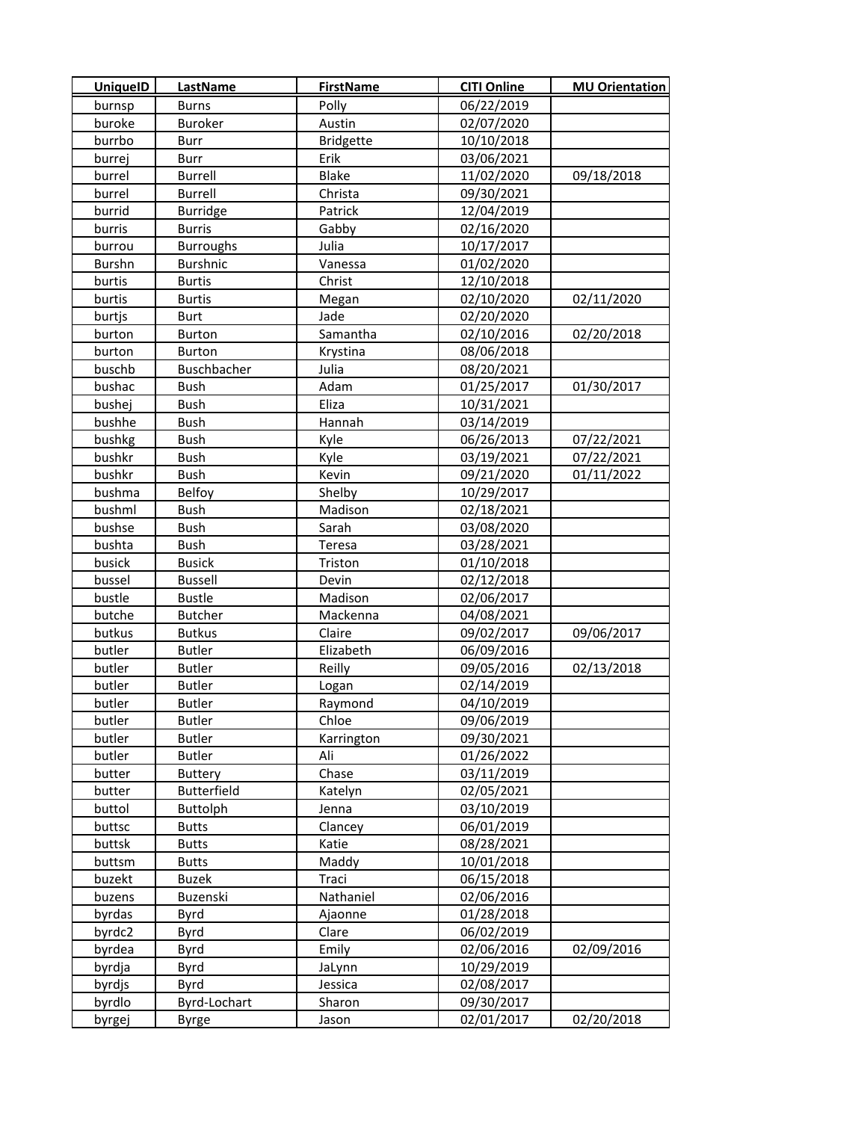| <b>UniquelD</b> | <b>LastName</b>    | <b>FirstName</b> | <b>CITI Online</b> | <b>MU Orientation</b> |
|-----------------|--------------------|------------------|--------------------|-----------------------|
| burnsp          | <b>Burns</b>       | Polly            | 06/22/2019         |                       |
| buroke          | <b>Buroker</b>     | Austin           | 02/07/2020         |                       |
| burrbo          | Burr               | <b>Bridgette</b> | 10/10/2018         |                       |
| burrej          | Burr               | Erik             | 03/06/2021         |                       |
| burrel          | <b>Burrell</b>     | Blake            | 11/02/2020         | 09/18/2018            |
| burrel          | Burrell            | Christa          | 09/30/2021         |                       |
| burrid          | <b>Burridge</b>    | Patrick          | 12/04/2019         |                       |
| burris          | <b>Burris</b>      | Gabby            | 02/16/2020         |                       |
| burrou          | <b>Burroughs</b>   | Julia            | 10/17/2017         |                       |
| <b>Burshn</b>   | <b>Burshnic</b>    | Vanessa          | 01/02/2020         |                       |
| burtis          | <b>Burtis</b>      | Christ           | 12/10/2018         |                       |
| burtis          | <b>Burtis</b>      | Megan            | 02/10/2020         | 02/11/2020            |
| burtjs          | Burt               | Jade             | 02/20/2020         |                       |
| burton          | Burton             | Samantha         | 02/10/2016         | 02/20/2018            |
| burton          | <b>Burton</b>      | Krystina         | 08/06/2018         |                       |
| buschb          | Buschbacher        | Julia            | 08/20/2021         |                       |
| bushac          | <b>Bush</b>        | Adam             | 01/25/2017         | 01/30/2017            |
| bushej          | <b>Bush</b>        | Eliza            | 10/31/2021         |                       |
| bushhe          | <b>Bush</b>        | Hannah           | 03/14/2019         |                       |
| bushkg          | Bush               | Kyle             | 06/26/2013         | 07/22/2021            |
| bushkr          | Bush               | Kyle             | 03/19/2021         | 07/22/2021            |
| bushkr          | <b>Bush</b>        | Kevin            | 09/21/2020         | 01/11/2022            |
| bushma          | Belfoy             | Shelby           | 10/29/2017         |                       |
| bushml          | <b>Bush</b>        | Madison          | 02/18/2021         |                       |
| bushse          | <b>Bush</b>        | Sarah            | 03/08/2020         |                       |
| bushta          | <b>Bush</b>        | Teresa           | 03/28/2021         |                       |
| busick          | <b>Busick</b>      | Triston          | 01/10/2018         |                       |
| bussel          | <b>Bussell</b>     | Devin            | 02/12/2018         |                       |
| bustle          | <b>Bustle</b>      | Madison          | 02/06/2017         |                       |
| butche          | <b>Butcher</b>     | Mackenna         | 04/08/2021         |                       |
| butkus          | <b>Butkus</b>      | Claire           | 09/02/2017         | 09/06/2017            |
| butler          | <b>Butler</b>      | Elizabeth        | 06/09/2016         |                       |
| butler          | <b>Butler</b>      | Reilly           | 09/05/2016         | 02/13/2018            |
| butler          | Butler             | Logan            | 02/14/2019         |                       |
| butler          | <b>Butler</b>      | Raymond          | 04/10/2019         |                       |
| butler          | <b>Butler</b>      | Chloe            | 09/06/2019         |                       |
| butler          | <b>Butler</b>      | Karrington       | 09/30/2021         |                       |
| butler          | <b>Butler</b>      | Ali              | 01/26/2022         |                       |
| butter          | <b>Buttery</b>     | Chase            | 03/11/2019         |                       |
| butter          | <b>Butterfield</b> | Katelyn          | 02/05/2021         |                       |
| buttol          | Buttolph           | Jenna            | 03/10/2019         |                       |
| buttsc          | <b>Butts</b>       | Clancey          | 06/01/2019         |                       |
| buttsk          | <b>Butts</b>       | Katie            | 08/28/2021         |                       |
| buttsm          | <b>Butts</b>       | Maddy            | 10/01/2018         |                       |
| buzekt          | Buzek              | Traci            | 06/15/2018         |                       |
| buzens          | Buzenski           | Nathaniel        | 02/06/2016         |                       |
| byrdas          | Byrd               | Ajaonne          | 01/28/2018         |                       |
| byrdc2          | Byrd               | Clare            | 06/02/2019         |                       |
| byrdea          | Byrd               | Emily            | 02/06/2016         | 02/09/2016            |
| byrdja          | Byrd               | JaLynn           | 10/29/2019         |                       |
| byrdjs          | Byrd               | Jessica          | 02/08/2017         |                       |
| byrdlo          | Byrd-Lochart       | Sharon           | 09/30/2017         |                       |
| byrgej          | <b>Byrge</b>       | Jason            | 02/01/2017         | 02/20/2018            |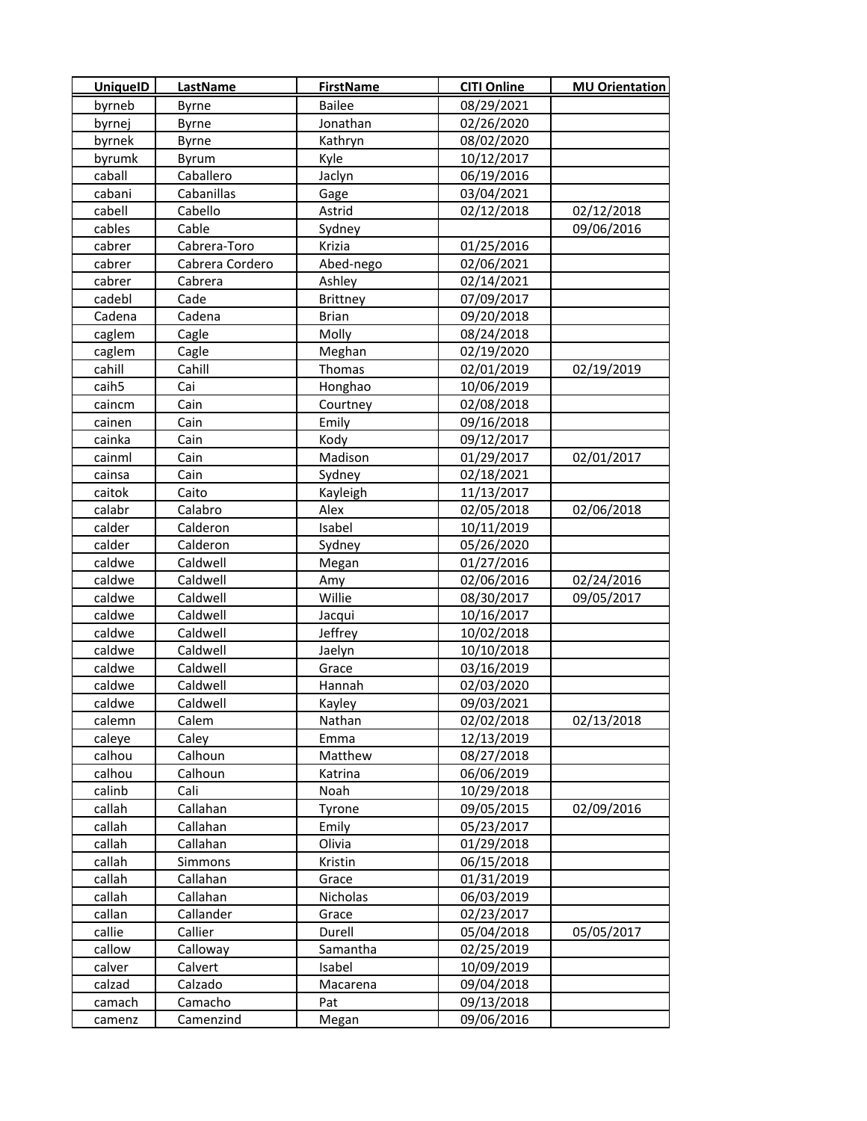| <b>UniquelD</b>   | LastName        | <b>FirstName</b> | <b>CITI Online</b> | <b>MU Orientation</b> |
|-------------------|-----------------|------------------|--------------------|-----------------------|
| byrneb            | Byrne           | <b>Bailee</b>    | 08/29/2021         |                       |
| byrnej            | Byrne           | Jonathan         | 02/26/2020         |                       |
| byrnek            | Byrne           | Kathryn          | 08/02/2020         |                       |
| byrumk            | Byrum           | Kyle             | 10/12/2017         |                       |
| caball            | Caballero       | Jaclyn           | 06/19/2016         |                       |
| cabani            | Cabanillas      | Gage             | 03/04/2021         |                       |
| cabell            | Cabello         | Astrid           | 02/12/2018         | 02/12/2018            |
| cables            | Cable           | Sydney           |                    | 09/06/2016            |
| cabrer            | Cabrera-Toro    | Krizia           | 01/25/2016         |                       |
| cabrer            | Cabrera Cordero | Abed-nego        | 02/06/2021         |                       |
| cabrer            | Cabrera         | Ashley           | 02/14/2021         |                       |
| cadebl            | Cade            | <b>Brittney</b>  | 07/09/2017         |                       |
| Cadena            | Cadena          | <b>Brian</b>     | 09/20/2018         |                       |
| caglem            | Cagle           | Molly            | 08/24/2018         |                       |
| caglem            | Cagle           | Meghan           | 02/19/2020         |                       |
| cahill            | Cahill          | Thomas           | 02/01/2019         | 02/19/2019            |
| caih <sub>5</sub> | Cai             | Honghao          | 10/06/2019         |                       |
| caincm            | Cain            | Courtney         | 02/08/2018         |                       |
| cainen            | Cain            | Emily            | 09/16/2018         |                       |
| cainka            | Cain            | Kody             | 09/12/2017         |                       |
| cainml            | Cain            | Madison          | 01/29/2017         | 02/01/2017            |
| cainsa            | Cain            | Sydney           | 02/18/2021         |                       |
| caitok            | Caito           | Kayleigh         | 11/13/2017         |                       |
| calabr            | Calabro         | Alex             | 02/05/2018         | 02/06/2018            |
| calder            | Calderon        | Isabel           | 10/11/2019         |                       |
| calder            | Calderon        | Sydney           | 05/26/2020         |                       |
| caldwe            | Caldwell        | Megan            | 01/27/2016         |                       |
| caldwe            | Caldwell        | Amy              | 02/06/2016         | 02/24/2016            |
| caldwe            | Caldwell        | Willie           | 08/30/2017         | 09/05/2017            |
| caldwe            | Caldwell        | Jacqui           | 10/16/2017         |                       |
| caldwe            | Caldwell        | Jeffrey          | 10/02/2018         |                       |
| caldwe            | Caldwell        | Jaelyn           | 10/10/2018         |                       |
| caldwe            | Caldwell        | Grace            | 03/16/2019         |                       |
| caldwe            | Caldwell        | Hannah           | 02/03/2020         |                       |
| caldwe            | Caldwell        | Kayley           | 09/03/2021         |                       |
| calemn            | Calem           | Nathan           | 02/02/2018         | 02/13/2018            |
| caleye            | Caley           | Emma             | 12/13/2019         |                       |
| calhou            | Calhoun         | Matthew          | 08/27/2018         |                       |
| calhou            | Calhoun         | Katrina          | 06/06/2019         |                       |
| calinb            | Cali            | Noah             | 10/29/2018         |                       |
| callah            | Callahan        | Tyrone           | 09/05/2015         | 02/09/2016            |
| callah            | Callahan        | Emily            | 05/23/2017         |                       |
| callah            | Callahan        | Olivia           | 01/29/2018         |                       |
| callah            | Simmons         | Kristin          | 06/15/2018         |                       |
| callah            | Callahan        | Grace            | 01/31/2019         |                       |
| callah            | Callahan        | Nicholas         | 06/03/2019         |                       |
| callan            | Callander       | Grace            | 02/23/2017         |                       |
| callie            | Callier         | Durell           | 05/04/2018         | 05/05/2017            |
| callow            | Calloway        | Samantha         | 02/25/2019         |                       |
| calver            | Calvert         | Isabel           | 10/09/2019         |                       |
| calzad            | Calzado         | Macarena         | 09/04/2018         |                       |
| camach            | Camacho         | Pat              | 09/13/2018         |                       |
| camenz            | Camenzind       | Megan            | 09/06/2016         |                       |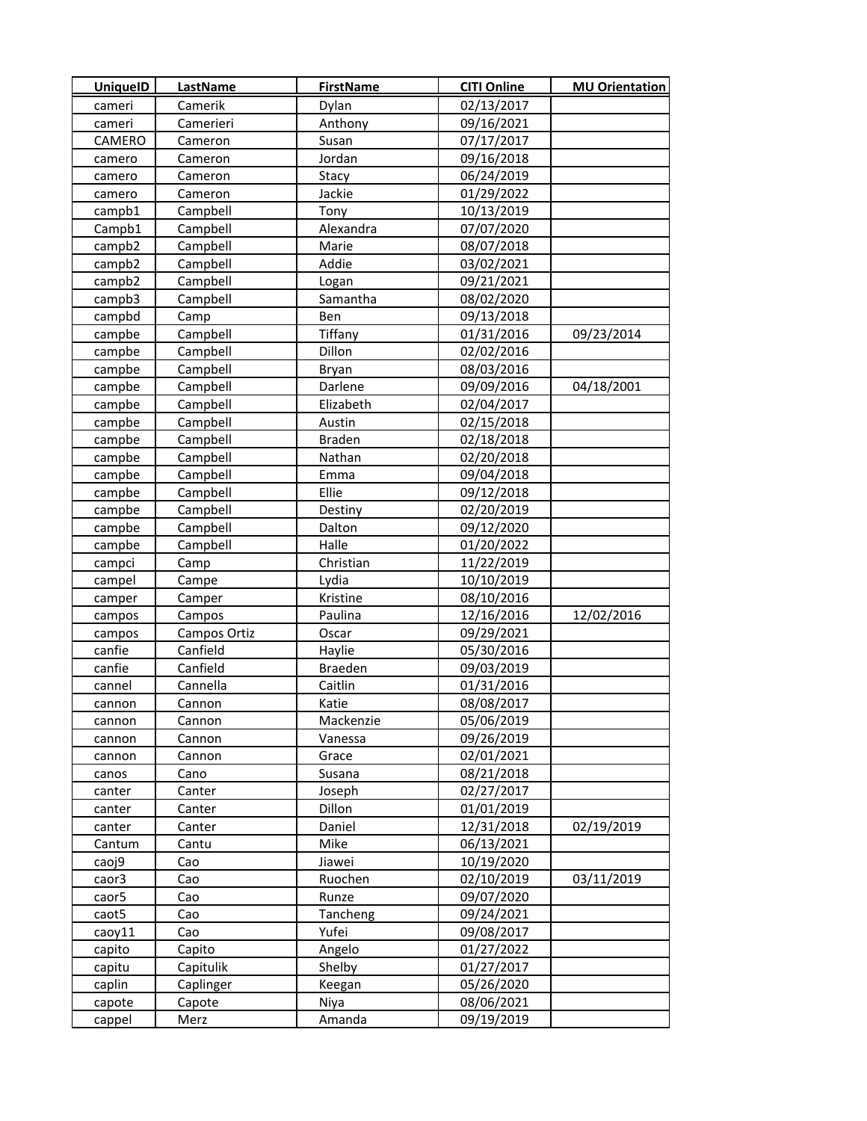| <b>UniquelD</b> | LastName     | <b>FirstName</b> | <b>CITI Online</b> | <b>MU Orientation</b> |
|-----------------|--------------|------------------|--------------------|-----------------------|
| cameri          | Camerik      | Dylan            | 02/13/2017         |                       |
| cameri          | Camerieri    | Anthony          | 09/16/2021         |                       |
| CAMERO          | Cameron      | Susan            | 07/17/2017         |                       |
| camero          | Cameron      | Jordan           | 09/16/2018         |                       |
| camero          | Cameron      | Stacy            | 06/24/2019         |                       |
| camero          | Cameron      | Jackie           | 01/29/2022         |                       |
| campb1          | Campbell     | Tony             | 10/13/2019         |                       |
| Campb1          | Campbell     | Alexandra        | 07/07/2020         |                       |
| campb2          | Campbell     | Marie            | 08/07/2018         |                       |
| campb2          | Campbell     | Addie            | 03/02/2021         |                       |
| campb2          | Campbell     | Logan            | 09/21/2021         |                       |
| campb3          | Campbell     | Samantha         | 08/02/2020         |                       |
| campbd          | Camp         | Ben              | 09/13/2018         |                       |
| campbe          | Campbell     | Tiffany          | 01/31/2016         | 09/23/2014            |
| campbe          | Campbell     | Dillon           | 02/02/2016         |                       |
| campbe          | Campbell     | Bryan            | 08/03/2016         |                       |
| campbe          | Campbell     | Darlene          | 09/09/2016         | 04/18/2001            |
| campbe          | Campbell     | Elizabeth        | 02/04/2017         |                       |
| campbe          | Campbell     | Austin           | 02/15/2018         |                       |
| campbe          | Campbell     | <b>Braden</b>    | 02/18/2018         |                       |
| campbe          | Campbell     | Nathan           | 02/20/2018         |                       |
| campbe          | Campbell     | Emma             | 09/04/2018         |                       |
| campbe          | Campbell     | Ellie            | 09/12/2018         |                       |
| campbe          | Campbell     | Destiny          | 02/20/2019         |                       |
| campbe          | Campbell     | Dalton           | 09/12/2020         |                       |
| campbe          | Campbell     | Halle            | 01/20/2022         |                       |
| campci          | Camp         | Christian        | 11/22/2019         |                       |
| campel          | Campe        | Lydia            | 10/10/2019         |                       |
| camper          | Camper       | Kristine         | 08/10/2016         |                       |
| campos          | Campos       | Paulina          | 12/16/2016         | 12/02/2016            |
| campos          | Campos Ortiz | Oscar            | 09/29/2021         |                       |
| canfie          | Canfield     | Haylie           | 05/30/2016         |                       |
| canfie          | Canfield     | Braeden          | 09/03/2019         |                       |
| cannel          | Cannella     | Caitlin          | 01/31/2016         |                       |
| cannon          | Cannon       | Katie            | 08/08/2017         |                       |
| cannon          | Cannon       | Mackenzie        | 05/06/2019         |                       |
| cannon          | Cannon       | Vanessa          | 09/26/2019         |                       |
| cannon          | Cannon       | Grace            | 02/01/2021         |                       |
| canos           | Cano         | Susana           | 08/21/2018         |                       |
| canter          | Canter       | Joseph           | 02/27/2017         |                       |
| canter          | Canter       | Dillon           | 01/01/2019         |                       |
| canter          | Canter       | Daniel           | 12/31/2018         | 02/19/2019            |
| Cantum          | Cantu        | Mike             | 06/13/2021         |                       |
| caoj9           | Cao          | Jiawei           | 10/19/2020         |                       |
| caor3           | Cao          | Ruochen          | 02/10/2019         | 03/11/2019            |
| caor5           | Cao          | Runze            | 09/07/2020         |                       |
| caot5           | Cao          | Tancheng         | 09/24/2021         |                       |
| caoy11          | Cao          | Yufei            | 09/08/2017         |                       |
| capito          | Capito       | Angelo           | 01/27/2022         |                       |
| capitu          | Capitulik    | Shelby           | 01/27/2017         |                       |
| caplin          | Caplinger    | Keegan           | 05/26/2020         |                       |
| capote          | Capote       | Niya             | 08/06/2021         |                       |
| cappel          | Merz         | Amanda           | 09/19/2019         |                       |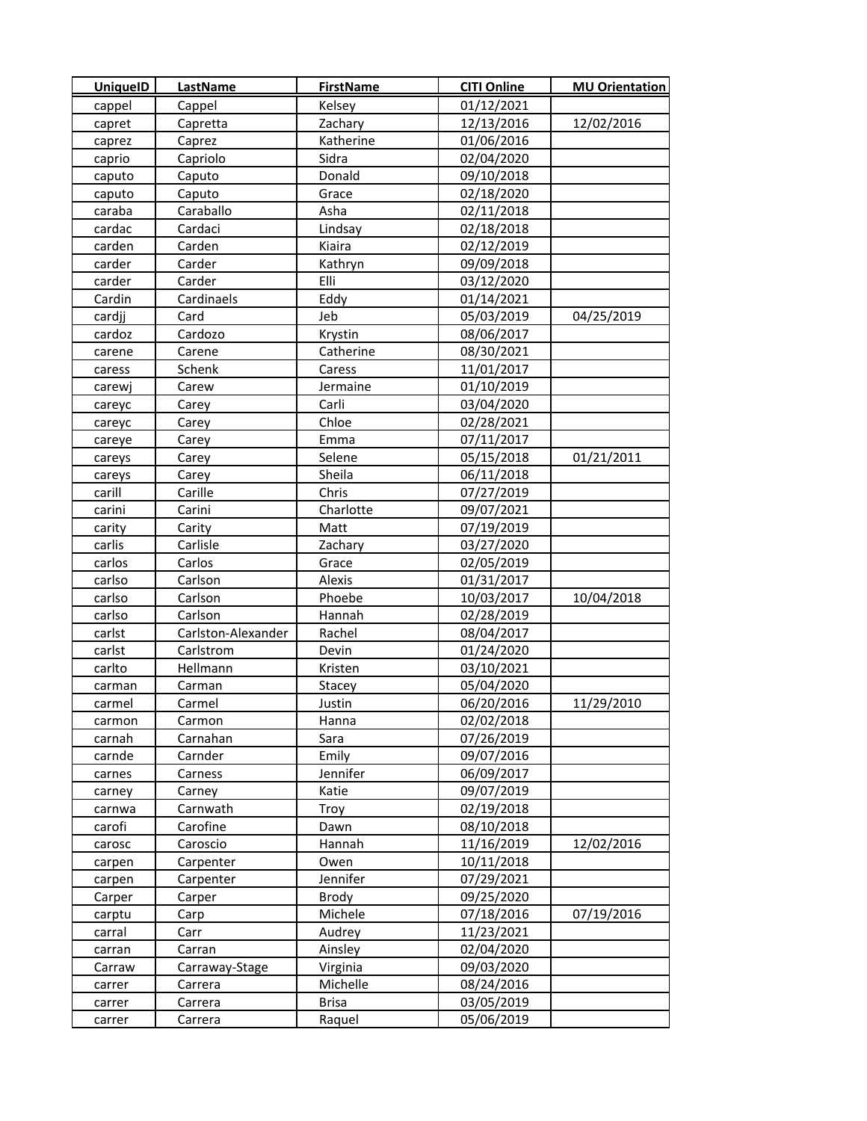| <b>UniquelD</b> | LastName           | <b>FirstName</b> | <b>CITI Online</b> | <b>MU Orientation</b> |
|-----------------|--------------------|------------------|--------------------|-----------------------|
| cappel          | Cappel             | Kelsey           | 01/12/2021         |                       |
| capret          | Capretta           | Zachary          | 12/13/2016         | 12/02/2016            |
| caprez          | Caprez             | Katherine        | 01/06/2016         |                       |
| caprio          | Capriolo           | Sidra            | 02/04/2020         |                       |
| caputo          | Caputo             | Donald           | 09/10/2018         |                       |
| caputo          | Caputo             | Grace            | 02/18/2020         |                       |
| caraba          | Caraballo          | Asha             | 02/11/2018         |                       |
| cardac          | Cardaci            | Lindsay          | 02/18/2018         |                       |
| carden          | Carden             | Kiaira           | 02/12/2019         |                       |
| carder          | Carder             | Kathryn          | 09/09/2018         |                       |
| carder          | Carder             | Elli             | 03/12/2020         |                       |
| Cardin          | Cardinaels         | Eddy             | 01/14/2021         |                       |
| cardjj          | Card               | Jeb              | 05/03/2019         | 04/25/2019            |
| cardoz          | Cardozo            | Krystin          | 08/06/2017         |                       |
| carene          | Carene             | Catherine        | 08/30/2021         |                       |
| caress          | Schenk             | Caress           | 11/01/2017         |                       |
| carewj          | Carew              | Jermaine         | 01/10/2019         |                       |
| careyc          | Carey              | Carli            | 03/04/2020         |                       |
| careyc          | Carey              | Chloe            | 02/28/2021         |                       |
| careye          | Carey              | Emma             | 07/11/2017         |                       |
| careys          | Carey              | Selene           | 05/15/2018         | 01/21/2011            |
| careys          | Carey              | Sheila           | 06/11/2018         |                       |
| carill          | Carille            | Chris            | 07/27/2019         |                       |
| carini          | Carini             | Charlotte        | 09/07/2021         |                       |
| carity          | Carity             | Matt             | 07/19/2019         |                       |
| carlis          | Carlisle           | Zachary          | 03/27/2020         |                       |
| carlos          | Carlos             | Grace            | 02/05/2019         |                       |
| carlso          | Carlson            | Alexis           | 01/31/2017         |                       |
| carlso          | Carlson            | Phoebe           | 10/03/2017         | 10/04/2018            |
| carlso          | Carlson            | Hannah           | 02/28/2019         |                       |
| carlst          | Carlston-Alexander | Rachel           | 08/04/2017         |                       |
| carlst          | Carlstrom          | Devin            | 01/24/2020         |                       |
| carlto          | Hellmann           | Kristen          | 03/10/2021         |                       |
| carman          | Carman             | Stacey           | 05/04/2020         |                       |
| carmel          | Carmel             | Justin           | 06/20/2016         | 11/29/2010            |
| carmon          | Carmon             | Hanna            | 02/02/2018         |                       |
| carnah          | Carnahan           | Sara             | 07/26/2019         |                       |
| carnde          | Carnder            | Emily            | 09/07/2016         |                       |
| carnes          | Carness            | Jennifer         | 06/09/2017         |                       |
| carney          | Carney             | Katie            | 09/07/2019         |                       |
| carnwa          | Carnwath           | Troy             | 02/19/2018         |                       |
| carofi          | Carofine           | Dawn             | 08/10/2018         |                       |
| carosc          | Caroscio           | Hannah           | 11/16/2019         | 12/02/2016            |
| carpen          | Carpenter          | Owen             | 10/11/2018         |                       |
| carpen          | Carpenter          | Jennifer         | 07/29/2021         |                       |
| Carper          | Carper             | Brody            | 09/25/2020         |                       |
| carptu          | Carp               | Michele          | 07/18/2016         | 07/19/2016            |
| carral          | Carr               | Audrey           | 11/23/2021         |                       |
| carran          | <b>Carran</b>      | Ainsley          | 02/04/2020         |                       |
| Carraw          | Carraway-Stage     | Virginia         | 09/03/2020         |                       |
| carrer          | Carrera            | Michelle         | 08/24/2016         |                       |
| carrer          | Carrera            | <b>Brisa</b>     | 03/05/2019         |                       |
| carrer          | Carrera            | Raquel           | 05/06/2019         |                       |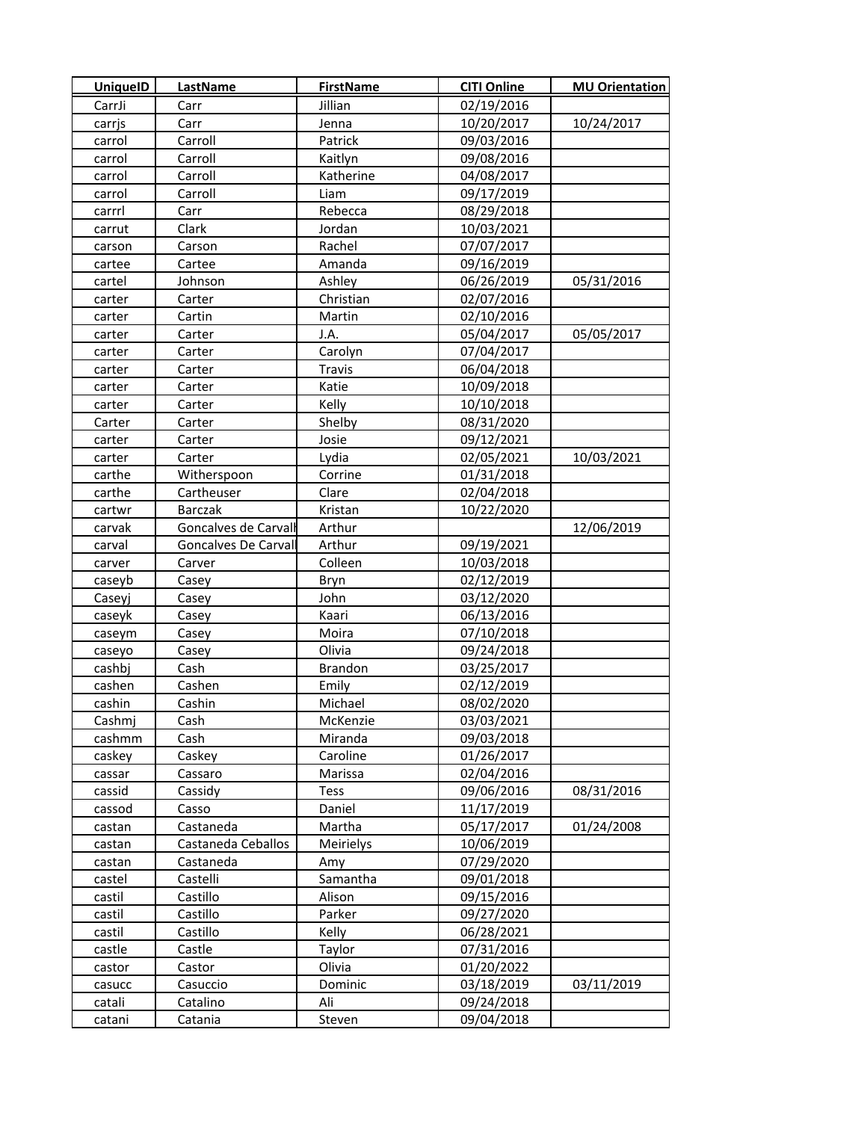| <b>UniquelD</b> | LastName             | <b>FirstName</b> | <b>CITI Online</b> | <b>MU Orientation</b> |
|-----------------|----------------------|------------------|--------------------|-----------------------|
| CarrJi          | Carr                 | Jillian          | 02/19/2016         |                       |
| carrjs          | Carr                 | Jenna            | 10/20/2017         | 10/24/2017            |
| carrol          | Carroll              | Patrick          | 09/03/2016         |                       |
| carrol          | Carroll              | Kaitlyn          | 09/08/2016         |                       |
| carrol          | Carroll              | Katherine        | 04/08/2017         |                       |
| carrol          | Carroll              | Liam             | 09/17/2019         |                       |
| carrrl          | Carr                 | Rebecca          | 08/29/2018         |                       |
| carrut          | Clark                | Jordan           | 10/03/2021         |                       |
| carson          | Carson               | Rachel           | 07/07/2017         |                       |
| cartee          | Cartee               | Amanda           | 09/16/2019         |                       |
| cartel          | Johnson              | Ashley           | 06/26/2019         | 05/31/2016            |
| carter          | Carter               | Christian        | 02/07/2016         |                       |
| carter          | Cartin               | Martin           | 02/10/2016         |                       |
| carter          | Carter               | J.A.             | 05/04/2017         | 05/05/2017            |
| carter          | Carter               | Carolyn          | 07/04/2017         |                       |
| carter          | Carter               | <b>Travis</b>    | 06/04/2018         |                       |
| carter          | Carter               | Katie            | 10/09/2018         |                       |
| carter          | Carter               | Kelly            | 10/10/2018         |                       |
| Carter          | Carter               | Shelby           | 08/31/2020         |                       |
| carter          | Carter               | Josie            | 09/12/2021         |                       |
| carter          | Carter               | Lydia            | 02/05/2021         | 10/03/2021            |
| carthe          | Witherspoon          | Corrine          | 01/31/2018         |                       |
| carthe          | Cartheuser           | Clare            | 02/04/2018         |                       |
| cartwr          | <b>Barczak</b>       | Kristan          | 10/22/2020         |                       |
| carvak          | Goncalves de Carvall | Arthur           |                    | 12/06/2019            |
| carval          | Goncalves De Carvall | Arthur           | 09/19/2021         |                       |
| carver          | Carver               | Colleen          | 10/03/2018         |                       |
| caseyb          | Casey                | Bryn             | 02/12/2019         |                       |
| Caseyj          | Casey                | John             | 03/12/2020         |                       |
| caseyk          | Casey                | Kaari            | 06/13/2016         |                       |
| caseym          | Casey                | Moira            | 07/10/2018         |                       |
| caseyo          | Casey                | Olivia           | 09/24/2018         |                       |
| cashbj          | Cash                 | <b>Brandon</b>   | 03/25/2017         |                       |
| cashen          | Cashen               | Emily            | 02/12/2019         |                       |
| cashin          | Cashin               | Michael          | 08/02/2020         |                       |
| Cashmj          | Cash                 | McKenzie         | 03/03/2021         |                       |
| cashmm          | Cash                 | Miranda          | 09/03/2018         |                       |
| caskey          | Caskey               | Caroline         | 01/26/2017         |                       |
| cassar          | Cassaro              | Marissa          | 02/04/2016         |                       |
| cassid          | Cassidy              | <b>Tess</b>      | 09/06/2016         | 08/31/2016            |
| cassod          | Casso                | Daniel           | 11/17/2019         |                       |
| castan          | Castaneda            | Martha           | 05/17/2017         | 01/24/2008            |
| castan          | Castaneda Ceballos   | Meirielys        | 10/06/2019         |                       |
| castan          | Castaneda            | Amy              | 07/29/2020         |                       |
| castel          | Castelli             | Samantha         | 09/01/2018         |                       |
| castil          | Castillo             | Alison           | 09/15/2016         |                       |
| castil          | Castillo             | Parker           | 09/27/2020         |                       |
| castil          | Castillo             | Kelly            | 06/28/2021         |                       |
| castle          | Castle               | Taylor           | 07/31/2016         |                       |
| castor          | Castor               | Olivia           | 01/20/2022         |                       |
| casucc          | Casuccio             | Dominic          | 03/18/2019         | 03/11/2019            |
| catali          | Catalino             | Ali              | 09/24/2018         |                       |
| catani          | Catania              | Steven           | 09/04/2018         |                       |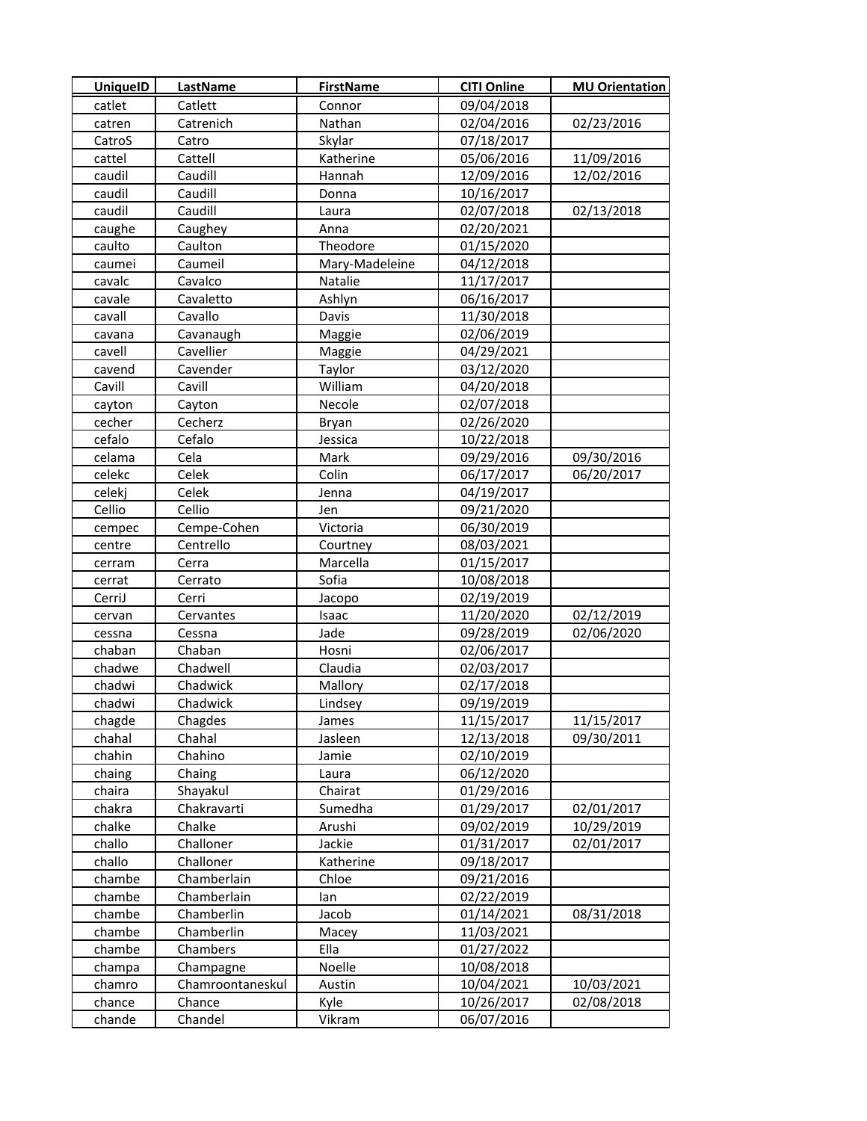| <b>UniquelD</b> | <b>LastName</b>  | <b>FirstName</b> | <b>CITI Online</b> | <b>MU Orientation</b> |
|-----------------|------------------|------------------|--------------------|-----------------------|
| catlet          | Catlett          | Connor           | 09/04/2018         |                       |
| catren          | Catrenich        | Nathan           | 02/04/2016         | 02/23/2016            |
| CatroS          | Catro            | Skylar           | 07/18/2017         |                       |
| cattel          | Cattell          | Katherine        | 05/06/2016         | 11/09/2016            |
| caudil          | Caudill          | Hannah           | 12/09/2016         | 12/02/2016            |
| caudil          | Caudill          | Donna            | 10/16/2017         |                       |
| caudil          | Caudill          | Laura            | 02/07/2018         | 02/13/2018            |
| caughe          | Caughey          | Anna             | 02/20/2021         |                       |
| caulto          | Caulton          | Theodore         | 01/15/2020         |                       |
| caumei          | Caumeil          | Mary-Madeleine   | 04/12/2018         |                       |
| cavalc          | Cavalco          | Natalie          | 11/17/2017         |                       |
| cavale          | Cavaletto        | Ashlyn           | 06/16/2017         |                       |
| cavall          | Cavallo          | Davis            | 11/30/2018         |                       |
| cavana          | Cavanaugh        | Maggie           | 02/06/2019         |                       |
| cavell          | Cavellier        | Maggie           | 04/29/2021         |                       |
| cavend          | Cavender         | Taylor           | 03/12/2020         |                       |
| Cavill          | Cavill           | William          | 04/20/2018         |                       |
| cayton          | Cayton           | Necole           | 02/07/2018         |                       |
| cecher          | Cecherz          | Bryan            | 02/26/2020         |                       |
| cefalo          | Cefalo           | Jessica          | 10/22/2018         |                       |
| celama          | Cela             | Mark             | 09/29/2016         | 09/30/2016            |
| celekc          | Celek            | Colin            | 06/17/2017         | 06/20/2017            |
| celekj          | Celek            | Jenna            | 04/19/2017         |                       |
| Cellio          | Cellio           | Jen              | 09/21/2020         |                       |
| cempec          | Cempe-Cohen      | Victoria         | 06/30/2019         |                       |
| centre          | Centrello        | Courtney         | 08/03/2021         |                       |
| cerram          | Cerra            | Marcella         | 01/15/2017         |                       |
| cerrat          | Cerrato          | Sofia            | 10/08/2018         |                       |
| CerriJ          | Cerri            | Jacopo           | 02/19/2019         |                       |
| cervan          | Cervantes        | Isaac            | 11/20/2020         | 02/12/2019            |
| cessna          | Cessna           | Jade             | 09/28/2019         | 02/06/2020            |
| chaban          | Chaban           | Hosni            | 02/06/2017         |                       |
| chadwe          | Chadwell         | Claudia          | 02/03/2017         |                       |
| chadwi          | Chadwick         | Mallory          | 02/17/2018         |                       |
| chadwi          | Chadwick         | Lindsey          | 09/19/2019         |                       |
| chagde          | Chagdes          | James            | 11/15/2017         | 11/15/2017            |
| chahal          | Chahal           | Jasleen          | 12/13/2018         | 09/30/2011            |
| chahin          | Chahino          | Jamie            | 02/10/2019         |                       |
| chaing          | Chaing           | Laura            | 06/12/2020         |                       |
| chaira          | Shayakul         | Chairat          | 01/29/2016         |                       |
| chakra          | Chakravarti      | Sumedha          | 01/29/2017         | 02/01/2017            |
| chalke          | Chalke           | Arushi           | 09/02/2019         | 10/29/2019            |
| challo          | Challoner        | Jackie           | 01/31/2017         | 02/01/2017            |
| challo          | Challoner        | Katherine        | 09/18/2017         |                       |
| chambe          | Chamberlain      | Chloe            | 09/21/2016         |                       |
| chambe          | Chamberlain      | lan              | 02/22/2019         |                       |
| chambe          | Chamberlin       | Jacob            | 01/14/2021         | 08/31/2018            |
| chambe          | Chamberlin       | Macey            | 11/03/2021         |                       |
| chambe          | Chambers         | Ella             | 01/27/2022         |                       |
| champa          | Champagne        | Noelle           | 10/08/2018         |                       |
| chamro          | Chamroontaneskul | Austin           | 10/04/2021         | 10/03/2021            |
| chance          | Chance           | Kyle             | 10/26/2017         | 02/08/2018            |
| chande          | Chandel          | Vikram           | 06/07/2016         |                       |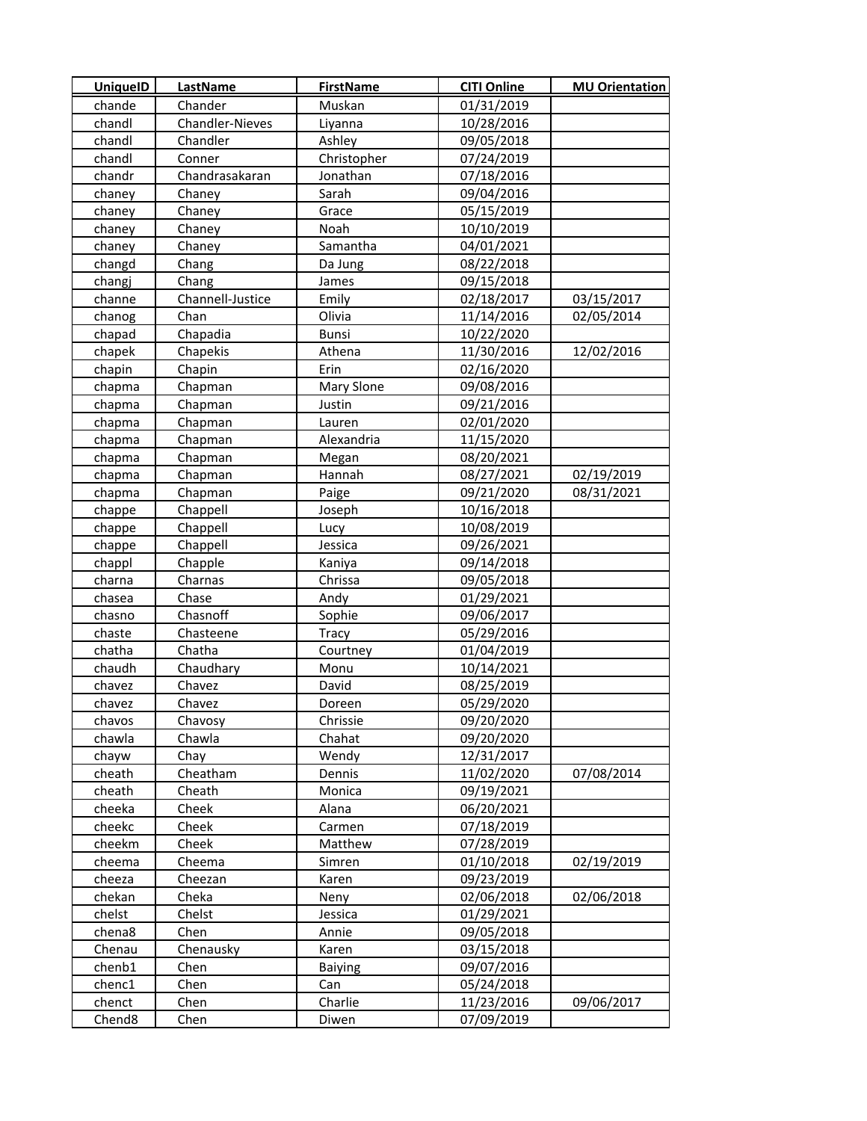| <b>UniquelD</b> | LastName         | <b>FirstName</b> | <b>CITI Online</b> | <b>MU Orientation</b> |
|-----------------|------------------|------------------|--------------------|-----------------------|
| chande          | Chander          | Muskan           | 01/31/2019         |                       |
| chandl          | Chandler-Nieves  | Liyanna          | 10/28/2016         |                       |
| chandl          | Chandler         | Ashley           | 09/05/2018         |                       |
| chandl          | Conner           | Christopher      | 07/24/2019         |                       |
| chandr          | Chandrasakaran   | Jonathan         | 07/18/2016         |                       |
| chaney          | Chaney           | Sarah            | 09/04/2016         |                       |
| chaney          | Chaney           | Grace            | 05/15/2019         |                       |
| chaney          | Chaney           | Noah             | 10/10/2019         |                       |
| chaney          | Chaney           | Samantha         | 04/01/2021         |                       |
| changd          | Chang            | Da Jung          | 08/22/2018         |                       |
| changj          | Chang            | James            | 09/15/2018         |                       |
| channe          | Channell-Justice | Emily            | 02/18/2017         | 03/15/2017            |
| chanog          | Chan             | Olivia           | 11/14/2016         | 02/05/2014            |
| chapad          | Chapadia         | <b>Bunsi</b>     | 10/22/2020         |                       |
| chapek          | Chapekis         | Athena           | 11/30/2016         | 12/02/2016            |
| chapin          | Chapin           | Erin             | 02/16/2020         |                       |
| chapma          | Chapman          | Mary Slone       | 09/08/2016         |                       |
| chapma          | Chapman          | Justin           | 09/21/2016         |                       |
| chapma          | Chapman          | Lauren           | 02/01/2020         |                       |
| chapma          | Chapman          | Alexandria       | 11/15/2020         |                       |
| chapma          | Chapman          | Megan            | 08/20/2021         |                       |
| chapma          | Chapman          | Hannah           | 08/27/2021         | 02/19/2019            |
| chapma          | Chapman          | Paige            | 09/21/2020         | 08/31/2021            |
| chappe          | Chappell         | Joseph           | 10/16/2018         |                       |
| chappe          | Chappell         | Lucy             | 10/08/2019         |                       |
| chappe          | Chappell         | Jessica          | 09/26/2021         |                       |
| chappl          | Chapple          | Kaniya           | 09/14/2018         |                       |
| charna          | Charnas          | Chrissa          | 09/05/2018         |                       |
| chasea          | Chase            | Andy             | 01/29/2021         |                       |
| chasno          | Chasnoff         | Sophie           | 09/06/2017         |                       |
| chaste          | Chasteene        | <b>Tracy</b>     | 05/29/2016         |                       |
| chatha          | Chatha           | Courtney         | 01/04/2019         |                       |
| chaudh          | Chaudhary        | Monu             | 10/14/2021         |                       |
| chavez          | Chavez           | David            | 08/25/2019         |                       |
| chavez          | Chavez           | Doreen           | 05/29/2020         |                       |
| chavos          | Chavosy          | Chrissie         | 09/20/2020         |                       |
| chawla          | Chawla           | Chahat           | 09/20/2020         |                       |
| chayw           | Chay             | Wendy            | 12/31/2017         |                       |
| cheath          | Cheatham         | Dennis           | 11/02/2020         | 07/08/2014            |
| cheath          | Cheath           | Monica           | 09/19/2021         |                       |
| cheeka          | Cheek            | Alana            | 06/20/2021         |                       |
| cheekc          | Cheek            | Carmen           | 07/18/2019         |                       |
| cheekm          | Cheek            | Matthew          | 07/28/2019         |                       |
| cheema          | Cheema           | Simren           | 01/10/2018         | 02/19/2019            |
| cheeza          | Cheezan          | Karen            | 09/23/2019         |                       |
| chekan          | Cheka            | Neny             | 02/06/2018         | 02/06/2018            |
| chelst          | Chelst           | Jessica          | 01/29/2021         |                       |
| chena8          | Chen             | Annie            | 09/05/2018         |                       |
| Chenau          | Chenausky        | Karen            | 03/15/2018         |                       |
| chenb1          | Chen             | <b>Baiying</b>   | 09/07/2016         |                       |
| chenc1          | Chen             | Can              | 05/24/2018         |                       |
| chenct          | Chen             | Charlie          | 11/23/2016         | 09/06/2017            |
| Chend8          | Chen             | Diwen            | 07/09/2019         |                       |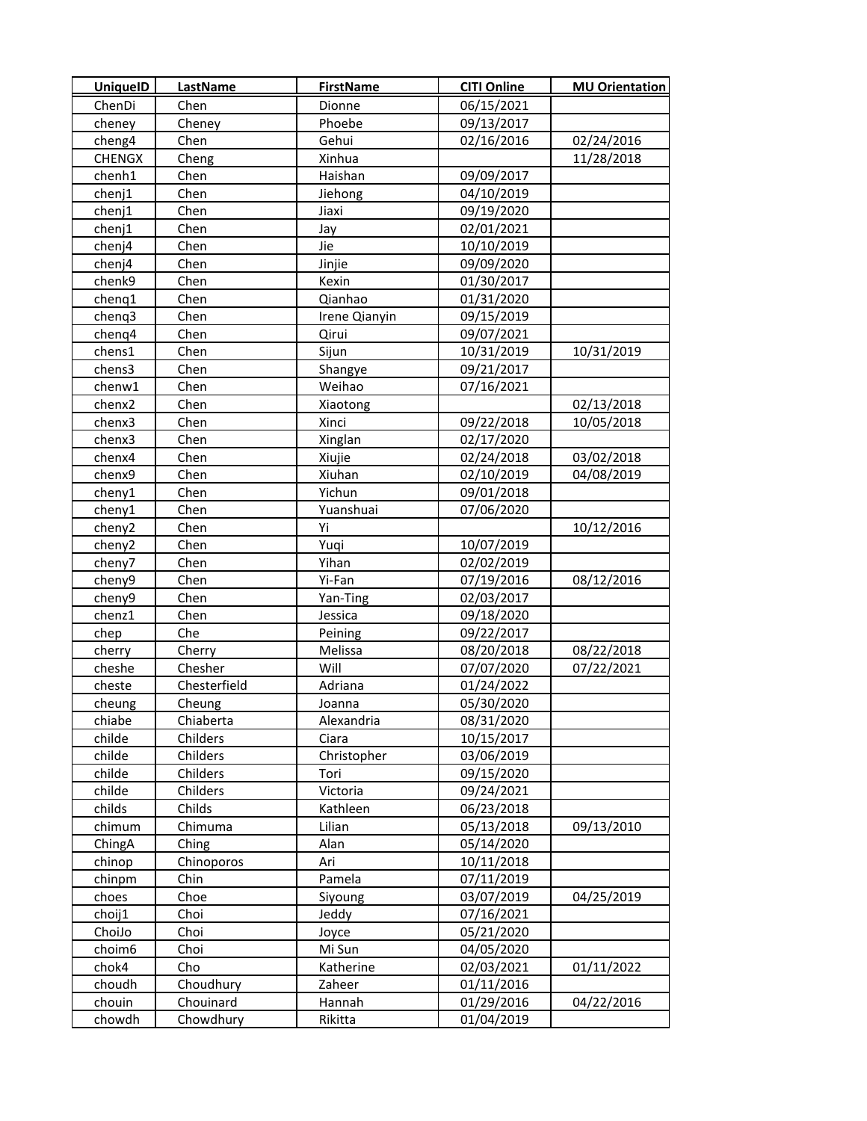| <b>UniquelD</b> | <b>LastName</b> | <b>FirstName</b> | <b>CITI Online</b> | <b>MU Orientation</b> |
|-----------------|-----------------|------------------|--------------------|-----------------------|
| ChenDi          | Chen            | Dionne           | 06/15/2021         |                       |
| cheney          | Cheney          | Phoebe           | 09/13/2017         |                       |
| cheng4          | Chen            | Gehui            | 02/16/2016         | 02/24/2016            |
| <b>CHENGX</b>   | Cheng           | Xinhua           |                    | 11/28/2018            |
| chenh1          | Chen            | Haishan          | 09/09/2017         |                       |
| chenj1          | Chen            | Jiehong          | 04/10/2019         |                       |
| chenj1          | Chen            | Jiaxi            | 09/19/2020         |                       |
| chenj1          | Chen            | Jay              | 02/01/2021         |                       |
| chenj4          | Chen            | Jie              | 10/10/2019         |                       |
| chenj4          | Chen            | Jinjie           | 09/09/2020         |                       |
| chenk9          | Chen            | Kexin            | 01/30/2017         |                       |
| chenq1          | Chen            | Qianhao          | 01/31/2020         |                       |
| chenq3          | Chen            | Irene Qianyin    | 09/15/2019         |                       |
| chenq4          | Chen            | Qirui            | 09/07/2021         |                       |
| chens1          | Chen            | Sijun            | 10/31/2019         | 10/31/2019            |
| chens3          | Chen            | Shangye          | 09/21/2017         |                       |
| chenw1          | Chen            | Weihao           | 07/16/2021         |                       |
| chenx2          | Chen            | Xiaotong         |                    | 02/13/2018            |
| chenx3          | Chen            | Xinci            | 09/22/2018         | 10/05/2018            |
| chenx3          | Chen            | Xinglan          | 02/17/2020         |                       |
| chenx4          | Chen            | Xiujie           | 02/24/2018         | 03/02/2018            |
| chenx9          | Chen            | Xiuhan           | 02/10/2019         | 04/08/2019            |
| cheny1          | Chen            | Yichun           | 09/01/2018         |                       |
| cheny1          | Chen            | Yuanshuai        | 07/06/2020         |                       |
| cheny2          | Chen            | Yi               |                    | 10/12/2016            |
| cheny2          | Chen            | Yuqi             | 10/07/2019         |                       |
| cheny7          | Chen            | Yihan            | 02/02/2019         |                       |
| cheny9          | Chen            | Yi-Fan           | 07/19/2016         | 08/12/2016            |
| cheny9          | Chen            | Yan-Ting         | 02/03/2017         |                       |
| chenz1          | Chen            | Jessica          | 09/18/2020         |                       |
| chep            | Che             | Peining          | 09/22/2017         |                       |
| cherry          | Cherry          | Melissa          | 08/20/2018         | 08/22/2018            |
| cheshe          | Chesher         | Will             | 07/07/2020         | 07/22/2021            |
| cheste          | Chesterfield    | Adriana          | 01/24/2022         |                       |
| cheung          | Cheung          | Joanna           | 05/30/2020         |                       |
| chiabe          | Chiaberta       | Alexandria       | 08/31/2020         |                       |
| childe          | Childers        | Ciara            | 10/15/2017         |                       |
| childe          | Childers        | Christopher      | 03/06/2019         |                       |
| childe          | Childers        | Tori             | 09/15/2020         |                       |
| childe          | Childers        | Victoria         | 09/24/2021         |                       |
| childs          | Childs          | Kathleen         | 06/23/2018         |                       |
| chimum          | Chimuma         | Lilian           | 05/13/2018         | 09/13/2010            |
| ChingA          | Ching           | Alan             | 05/14/2020         |                       |
| chinop          | Chinoporos      | Ari              | 10/11/2018         |                       |
| chinpm          | Chin            | Pamela           | 07/11/2019         |                       |
| choes           | Choe            | Siyoung          | 03/07/2019         | 04/25/2019            |
| choij1          | Choi            | Jeddy            | 07/16/2021         |                       |
| ChoiJo          | Choi            | Joyce            | 05/21/2020         |                       |
| choim6          | Choi            | Mi Sun           | 04/05/2020         |                       |
| chok4           | Cho             | Katherine        | 02/03/2021         | 01/11/2022            |
| choudh          | Choudhury       | Zaheer           | 01/11/2016         |                       |
| chouin          | Chouinard       | Hannah           | 01/29/2016         | 04/22/2016            |
| chowdh          | Chowdhury       | Rikitta          | 01/04/2019         |                       |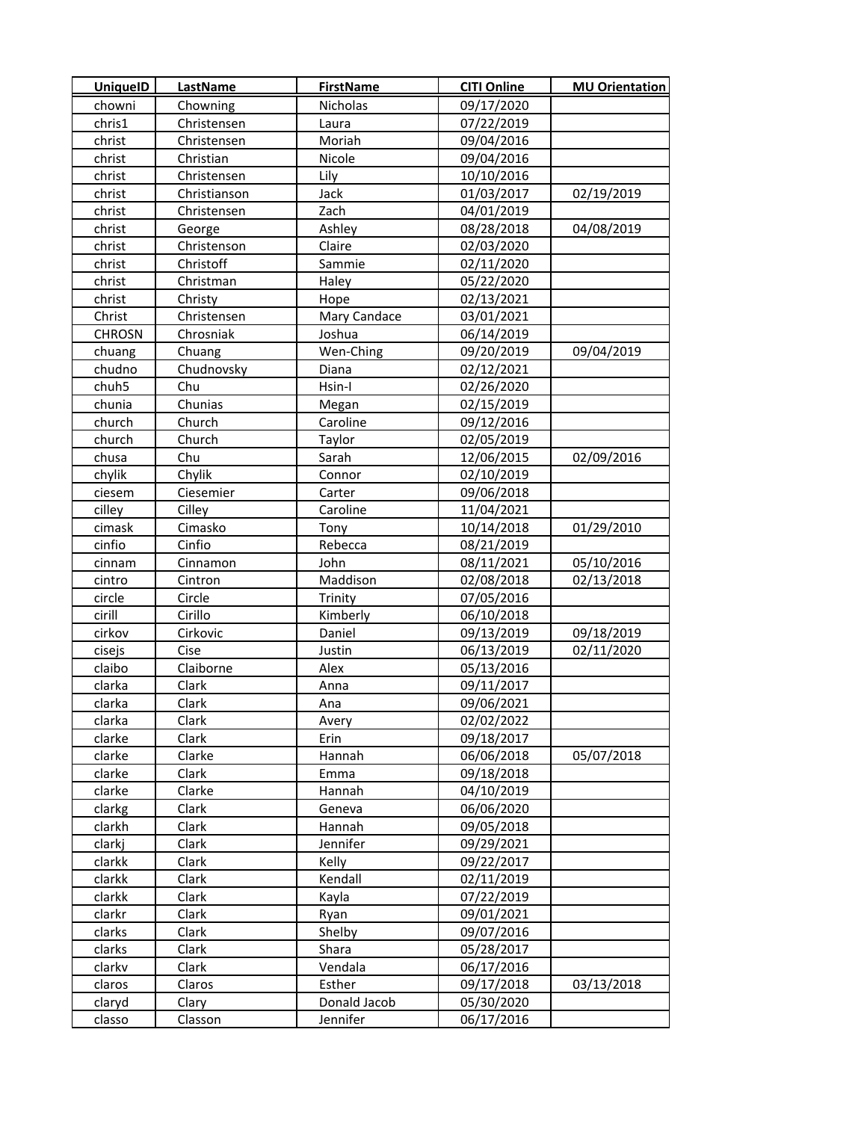| <b>UniquelD</b> | LastName     | <b>FirstName</b> | <b>CITI Online</b> | <b>MU Orientation</b> |
|-----------------|--------------|------------------|--------------------|-----------------------|
| chowni          | Chowning     | Nicholas         | 09/17/2020         |                       |
| chris1          | Christensen  | Laura            | 07/22/2019         |                       |
| christ          | Christensen  | Moriah           | 09/04/2016         |                       |
| christ          | Christian    | Nicole           | 09/04/2016         |                       |
| christ          | Christensen  | Lily             | 10/10/2016         |                       |
| christ          | Christianson | Jack             | 01/03/2017         | 02/19/2019            |
| christ          | Christensen  | Zach             | 04/01/2019         |                       |
| christ          | George       | Ashley           | 08/28/2018         | 04/08/2019            |
| christ          | Christenson  | Claire           | 02/03/2020         |                       |
| christ          | Christoff    | Sammie           | 02/11/2020         |                       |
| christ          | Christman    | Haley            | 05/22/2020         |                       |
| christ          | Christy      | Hope             | 02/13/2021         |                       |
| Christ          | Christensen  | Mary Candace     | 03/01/2021         |                       |
| <b>CHROSN</b>   | Chrosniak    | Joshua           | 06/14/2019         |                       |
| chuang          | Chuang       | Wen-Ching        | 09/20/2019         | 09/04/2019            |
| chudno          | Chudnovsky   | Diana            | 02/12/2021         |                       |
| chuh5           | Chu          | Hsin-I           | 02/26/2020         |                       |
| chunia          | Chunias      | Megan            | 02/15/2019         |                       |
| church          | Church       | Caroline         | 09/12/2016         |                       |
| church          | Church       | Taylor           | 02/05/2019         |                       |
| chusa           | Chu          | Sarah            | 12/06/2015         | 02/09/2016            |
| chylik          | Chylik       | Connor           | 02/10/2019         |                       |
| ciesem          | Ciesemier    | Carter           | 09/06/2018         |                       |
| cilley          | Cilley       | Caroline         | 11/04/2021         |                       |
| cimask          | Cimasko      | Tony             | 10/14/2018         | 01/29/2010            |
| cinfio          | Cinfio       | Rebecca          | 08/21/2019         |                       |
| cinnam          | Cinnamon     | John             | 08/11/2021         | 05/10/2016            |
| cintro          | Cintron      | Maddison         | 02/08/2018         | 02/13/2018            |
| circle          | Circle       | Trinity          | 07/05/2016         |                       |
| cirill          | Cirillo      | Kimberly         | 06/10/2018         |                       |
| cirkov          | Cirkovic     | Daniel           | 09/13/2019         | 09/18/2019            |
| cisejs          | Cise         | Justin           | 06/13/2019         | 02/11/2020            |
| claibo          | Claiborne    | Alex             | 05/13/2016         |                       |
| clarka          | Clark        | Anna             | 09/11/2017         |                       |
| clarka          | Clark        | Ana              | 09/06/2021         |                       |
| clarka          | Clark        | Avery            | 02/02/2022         |                       |
| clarke          | Clark        | Erin             | 09/18/2017         |                       |
| clarke          | Clarke       | Hannah           | 06/06/2018         | 05/07/2018            |
| clarke          | Clark        | Emma             | 09/18/2018         |                       |
| clarke          | Clarke       | Hannah           | 04/10/2019         |                       |
| clarkg          | Clark        | Geneva           | 06/06/2020         |                       |
| clarkh          | Clark        | Hannah           | 09/05/2018         |                       |
| clarkj          | Clark        | Jennifer         | 09/29/2021         |                       |
| clarkk          | Clark        | Kelly            | 09/22/2017         |                       |
| clarkk          | Clark        | Kendall          | 02/11/2019         |                       |
| clarkk          | Clark        | Kayla            | 07/22/2019         |                       |
| clarkr          | Clark        | Ryan             | 09/01/2021         |                       |
| clarks          | Clark        | Shelby           | 09/07/2016         |                       |
| clarks          | Clark        | Shara            | 05/28/2017         |                       |
| clarkv          | Clark        | Vendala          | 06/17/2016         |                       |
| claros          | Claros       | Esther           | 09/17/2018         | 03/13/2018            |
| claryd          | Clary        | Donald Jacob     | 05/30/2020         |                       |
| classo          | Classon      | Jennifer         | 06/17/2016         |                       |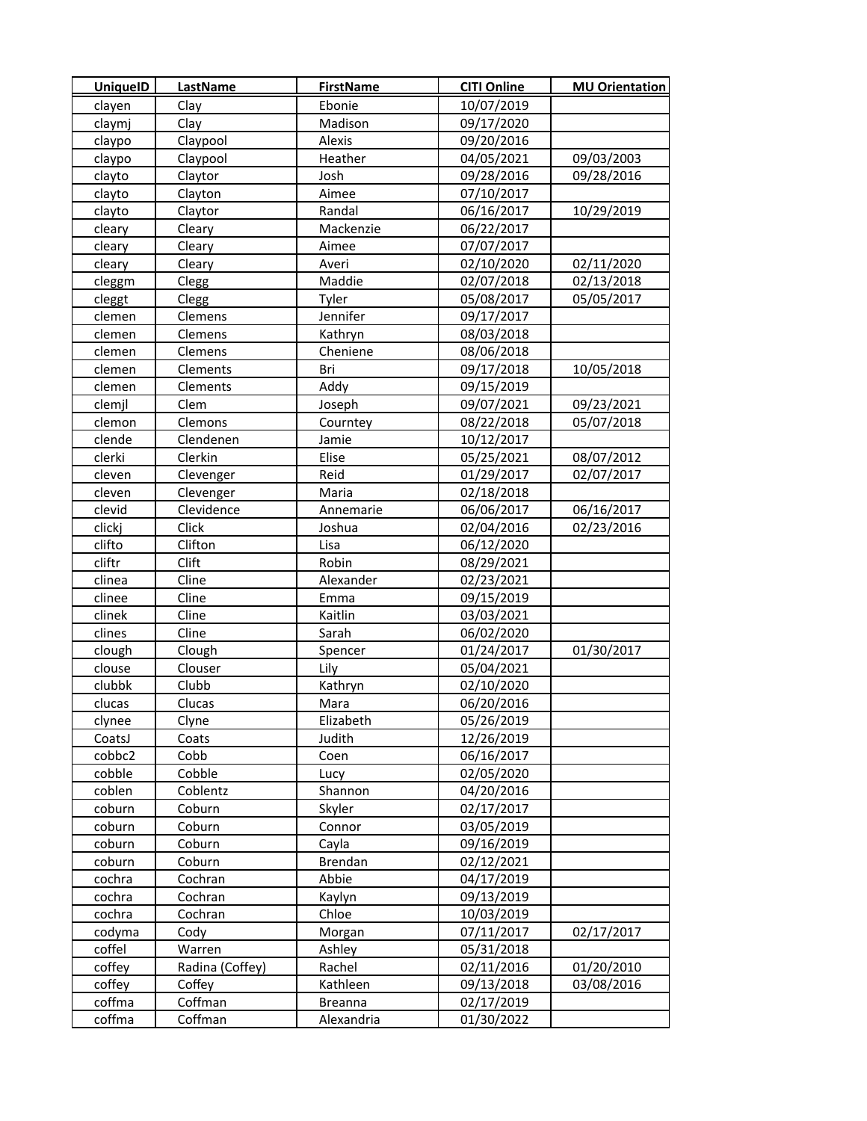| UniquelD | <b>LastName</b> | <b>FirstName</b> | <b>CITI Online</b> | <b>MU Orientation</b> |
|----------|-----------------|------------------|--------------------|-----------------------|
| clayen   | Clay            | Ebonie           | 10/07/2019         |                       |
| claymj   | Clay            | Madison          | 09/17/2020         |                       |
| claypo   | Claypool        | Alexis           | 09/20/2016         |                       |
| claypo   | Claypool        | Heather          | 04/05/2021         | 09/03/2003            |
| clayto   | Claytor         | Josh             | 09/28/2016         | 09/28/2016            |
| clayto   | Clayton         | Aimee            | 07/10/2017         |                       |
| clayto   | Claytor         | Randal           | 06/16/2017         | 10/29/2019            |
| cleary   | Cleary          | Mackenzie        | 06/22/2017         |                       |
| cleary   | Cleary          | Aimee            | 07/07/2017         |                       |
| cleary   | Cleary          | Averi            | 02/10/2020         | 02/11/2020            |
| cleggm   | Clegg           | Maddie           | 02/07/2018         | 02/13/2018            |
| cleggt   | Clegg           | Tyler            | 05/08/2017         | 05/05/2017            |
| clemen   | Clemens         | Jennifer         | 09/17/2017         |                       |
| clemen   | Clemens         | Kathryn          | 08/03/2018         |                       |
| clemen   | Clemens         | Cheniene         | 08/06/2018         |                       |
| clemen   | Clements        | Bri              | 09/17/2018         | 10/05/2018            |
| clemen   | Clements        | Addy             | 09/15/2019         |                       |
| clemjl   | Clem            | Joseph           | 09/07/2021         | 09/23/2021            |
| clemon   | Clemons         | Courntey         | 08/22/2018         | 05/07/2018            |
| clende   | Clendenen       | Jamie            | 10/12/2017         |                       |
| clerki   | Clerkin         | Elise            | 05/25/2021         | 08/07/2012            |
| cleven   | Clevenger       | Reid             | 01/29/2017         | 02/07/2017            |
| cleven   | Clevenger       | Maria            | 02/18/2018         |                       |
| clevid   | Clevidence      | Annemarie        | 06/06/2017         | 06/16/2017            |
| clickj   | Click           | Joshua           | 02/04/2016         | 02/23/2016            |
| clifto   | Clifton         | Lisa             | 06/12/2020         |                       |
| cliftr   | Clift           | Robin            | 08/29/2021         |                       |
| clinea   | Cline           | Alexander        | 02/23/2021         |                       |
| clinee   | Cline           | Emma             | 09/15/2019         |                       |
| clinek   | Cline           | Kaitlin          | 03/03/2021         |                       |
| clines   | Cline           | Sarah            | 06/02/2020         |                       |
| clough   | Clough          | Spencer          | 01/24/2017         | 01/30/2017            |
| clouse   | Clouser         | Lily             | 05/04/2021         |                       |
| clubbk   | Clubb           | Kathryn          | 02/10/2020         |                       |
| clucas   | Clucas          | Mara             | 06/20/2016         |                       |
| clynee   | Clyne           | Elizabeth        | 05/26/2019         |                       |
| CoatsJ   | Coats           | Judith           | 12/26/2019         |                       |
| cobbc2   | Cobb            | Coen             | 06/16/2017         |                       |
| cobble   | Cobble          | Lucy             | 02/05/2020         |                       |
| coblen   | Coblentz        | Shannon          | 04/20/2016         |                       |
| coburn   | Coburn          | Skyler           | 02/17/2017         |                       |
| coburn   | Coburn          | Connor           | 03/05/2019         |                       |
| coburn   | Coburn          | Cayla            | 09/16/2019         |                       |
| coburn   | Coburn          | Brendan          | 02/12/2021         |                       |
| cochra   | Cochran         | Abbie            | 04/17/2019         |                       |
| cochra   | Cochran         | Kaylyn           | 09/13/2019         |                       |
| cochra   | Cochran         | Chloe            | 10/03/2019         |                       |
| codyma   | Cody            | Morgan           | 07/11/2017         | 02/17/2017            |
| coffel   | Warren          | Ashley           | 05/31/2018         |                       |
| coffey   | Radina (Coffey) | Rachel           | 02/11/2016         | 01/20/2010            |
| coffey   | Coffey          | Kathleen         | 09/13/2018         | 03/08/2016            |
| coffma   | Coffman         | <b>Breanna</b>   | 02/17/2019         |                       |
| coffma   | Coffman         | Alexandria       | 01/30/2022         |                       |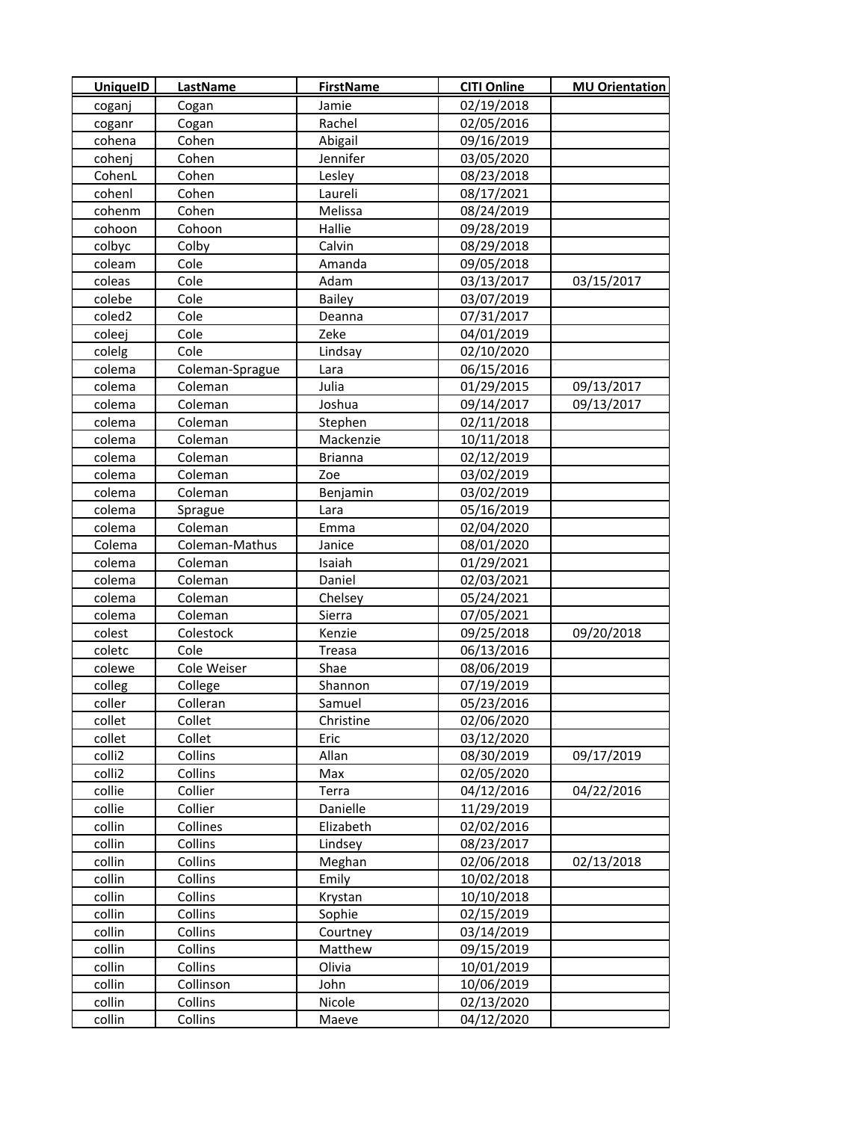| <b>UniquelD</b> | LastName        | <b>FirstName</b> | <b>CITI Online</b> | <b>MU Orientation</b> |
|-----------------|-----------------|------------------|--------------------|-----------------------|
| coganj          | Cogan           | Jamie            | 02/19/2018         |                       |
| coganr          | Cogan           | Rachel           | 02/05/2016         |                       |
| cohena          | Cohen           | Abigail          | 09/16/2019         |                       |
| cohenj          | Cohen           | Jennifer         | 03/05/2020         |                       |
| CohenL          | Cohen           | Lesley           | 08/23/2018         |                       |
| cohenl          | Cohen           | Laureli          | 08/17/2021         |                       |
| cohenm          | Cohen           | Melissa          | 08/24/2019         |                       |
| cohoon          | Cohoon          | Hallie           | 09/28/2019         |                       |
| colbyc          | Colby           | Calvin           | 08/29/2018         |                       |
| coleam          | Cole            | Amanda           | 09/05/2018         |                       |
| coleas          | Cole            | Adam             | 03/13/2017         | 03/15/2017            |
| colebe          | Cole            | Bailey           | 03/07/2019         |                       |
| coled2          | Cole            | Deanna           | 07/31/2017         |                       |
| coleej          | Cole            | Zeke             | 04/01/2019         |                       |
| colelg          | Cole            | Lindsay          | 02/10/2020         |                       |
| colema          | Coleman-Sprague | Lara             | 06/15/2016         |                       |
| colema          | Coleman         | Julia            | 01/29/2015         | 09/13/2017            |
| colema          | Coleman         | Joshua           | 09/14/2017         | 09/13/2017            |
| colema          | Coleman         | Stephen          | 02/11/2018         |                       |
| colema          | Coleman         | Mackenzie        | 10/11/2018         |                       |
| colema          | Coleman         | <b>Brianna</b>   | 02/12/2019         |                       |
| colema          | Coleman         | Zoe              | 03/02/2019         |                       |
| colema          | Coleman         | Benjamin         | 03/02/2019         |                       |
| colema          | Sprague         | Lara             | 05/16/2019         |                       |
| colema          | Coleman         | Emma             | 02/04/2020         |                       |
| Colema          | Coleman-Mathus  | Janice           | 08/01/2020         |                       |
| colema          | Coleman         | Isaiah           | 01/29/2021         |                       |
| colema          | Coleman         | Daniel           | 02/03/2021         |                       |
| colema          | Coleman         | Chelsey          | 05/24/2021         |                       |
| colema          | Coleman         | Sierra           | 07/05/2021         |                       |
| colest          | Colestock       | Kenzie           | 09/25/2018         | 09/20/2018            |
| coletc          | Cole            | Treasa           | 06/13/2016         |                       |
| colewe          | Cole Weiser     | Shae             | 08/06/2019         |                       |
| colleg          | College         | Shannon          | 07/19/2019         |                       |
| coller          | Colleran        | Samuel           | 05/23/2016         |                       |
| collet          | Collet          | Christine        | 02/06/2020         |                       |
| collet          | Collet          | Eric             | 03/12/2020         |                       |
| colli2          | Collins         | Allan            | 08/30/2019         | 09/17/2019            |
| colli2          | Collins         | Max              | 02/05/2020         |                       |
| collie          | Collier         | Terra            | 04/12/2016         | 04/22/2016            |
| collie          | Collier         | Danielle         | 11/29/2019         |                       |
| collin          | Collines        | Elizabeth        | 02/02/2016         |                       |
| collin          | Collins         | Lindsey          | 08/23/2017         |                       |
| collin          | Collins         | Meghan           | 02/06/2018         | 02/13/2018            |
| collin          | Collins         | Emily            | 10/02/2018         |                       |
| collin          | Collins         | Krystan          | 10/10/2018         |                       |
| collin          | Collins         | Sophie           | 02/15/2019         |                       |
| collin          | Collins         | Courtney         | 03/14/2019         |                       |
| collin          | Collins         | Matthew          | 09/15/2019         |                       |
| collin          | Collins         | Olivia           | 10/01/2019         |                       |
| collin          | Collinson       | John             | 10/06/2019         |                       |
| collin          | Collins         | Nicole           | 02/13/2020         |                       |
| collin          | Collins         | Maeve            | 04/12/2020         |                       |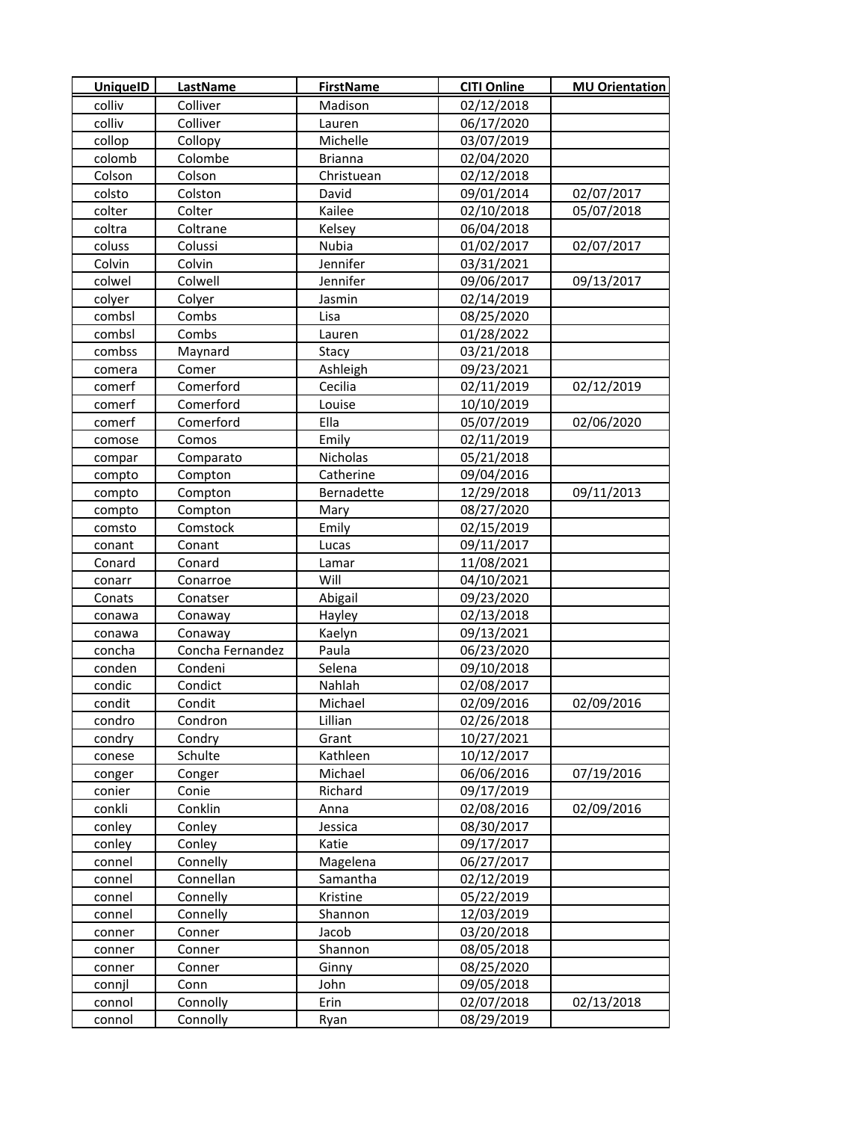| <b>UniquelD</b> | <b>LastName</b>  | <b>FirstName</b> | <b>CITI Online</b> | <b>MU Orientation</b> |
|-----------------|------------------|------------------|--------------------|-----------------------|
| colliv          | Colliver         | Madison          | 02/12/2018         |                       |
| colliv          | Colliver         | Lauren           | 06/17/2020         |                       |
| collop          | Collopy          | Michelle         | 03/07/2019         |                       |
| colomb          | Colombe          | <b>Brianna</b>   | 02/04/2020         |                       |
| Colson          | Colson           | Christuean       | 02/12/2018         |                       |
| colsto          | Colston          | David            | 09/01/2014         | 02/07/2017            |
| colter          | Colter           | Kailee           | 02/10/2018         | 05/07/2018            |
| coltra          | Coltrane         | Kelsey           | 06/04/2018         |                       |
| coluss          | Colussi          | Nubia            | 01/02/2017         | 02/07/2017            |
| Colvin          | Colvin           | Jennifer         | 03/31/2021         |                       |
| colwel          | Colwell          | Jennifer         | 09/06/2017         | 09/13/2017            |
| colyer          | Colyer           | Jasmin           | 02/14/2019         |                       |
| combsl          | Combs            | Lisa             | 08/25/2020         |                       |
| combsl          | Combs            | Lauren           | 01/28/2022         |                       |
| combss          | Maynard          | Stacy            | 03/21/2018         |                       |
| comera          | Comer            | Ashleigh         | 09/23/2021         |                       |
| comerf          | Comerford        | Cecilia          | 02/11/2019         | 02/12/2019            |
| comerf          | Comerford        | Louise           | 10/10/2019         |                       |
| comerf          | Comerford        | Ella             | 05/07/2019         | 02/06/2020            |
| comose          | Comos            | Emily            | 02/11/2019         |                       |
| compar          | Comparato        | Nicholas         | 05/21/2018         |                       |
| compto          | Compton          | Catherine        | 09/04/2016         |                       |
| compto          | Compton          | Bernadette       | 12/29/2018         | 09/11/2013            |
| compto          | Compton          | Mary             | 08/27/2020         |                       |
| comsto          | Comstock         | Emily            | 02/15/2019         |                       |
| conant          | Conant           | Lucas            | 09/11/2017         |                       |
| Conard          | Conard           | Lamar            | 11/08/2021         |                       |
| conarr          | Conarroe         | Will             | 04/10/2021         |                       |
| Conats          | Conatser         | Abigail          | 09/23/2020         |                       |
| conawa          | Conaway          | Hayley           | 02/13/2018         |                       |
| conawa          | Conaway          | Kaelyn           | 09/13/2021         |                       |
| concha          | Concha Fernandez | Paula            | 06/23/2020         |                       |
| conden          | Condeni          | Selena           | 09/10/2018         |                       |
| condic          | Condict          | Nahlah           | 02/08/2017         |                       |
| condit          | Condit           | Michael          | 02/09/2016         | 02/09/2016            |
| condro          | Condron          | Lillian          | 02/26/2018         |                       |
| condry          | Condry           | Grant            | 10/27/2021         |                       |
| conese          | Schulte          | Kathleen         | 10/12/2017         |                       |
| conger          | Conger           | Michael          | 06/06/2016         | 07/19/2016            |
| conier          | Conie            | Richard          | 09/17/2019         |                       |
| conkli          | Conklin          | Anna             | 02/08/2016         | 02/09/2016            |
| conley          | Conley           | Jessica          | 08/30/2017         |                       |
| conley          | Conley           | Katie            | 09/17/2017         |                       |
| connel          | Connelly         | Magelena         | 06/27/2017         |                       |
| connel          | Connellan        | Samantha         | 02/12/2019         |                       |
| connel          | Connelly         | Kristine         | 05/22/2019         |                       |
| connel          | Connelly         | Shannon          | 12/03/2019         |                       |
| conner          | Conner           | Jacob            | 03/20/2018         |                       |
| conner          | <b>Conner</b>    | Shannon          | 08/05/2018         |                       |
| conner          | Conner           | Ginny            | 08/25/2020         |                       |
| connjl          | Conn             | John             | 09/05/2018         |                       |
| connol          | Connolly         | Erin             | 02/07/2018         | 02/13/2018            |
| connol          | Connolly         | Ryan             | 08/29/2019         |                       |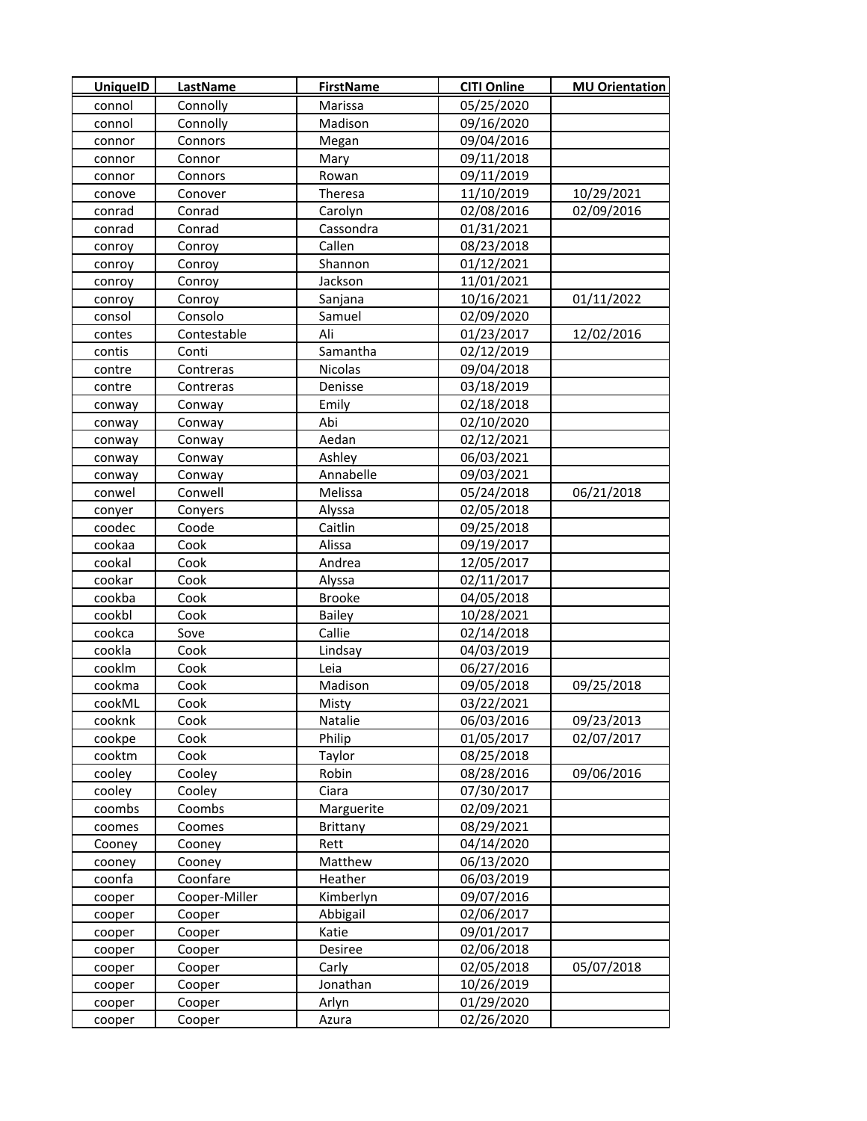| <b>UniquelD</b>  | <b>LastName</b>  | <b>FirstName</b>     | <b>CITI Online</b>       | <b>MU Orientation</b> |
|------------------|------------------|----------------------|--------------------------|-----------------------|
| connol           | Connolly         | Marissa              | 05/25/2020               |                       |
| connol           | Connolly         | Madison              | 09/16/2020               |                       |
| connor           | Connors          | Megan                | 09/04/2016               |                       |
| connor           | Connor           | Mary                 | 09/11/2018               |                       |
| connor           | Connors          | Rowan                | 09/11/2019               |                       |
| conove           | Conover          | Theresa              | 11/10/2019               | 10/29/2021            |
| conrad           | Conrad           | Carolyn              | 02/08/2016               | 02/09/2016            |
| conrad           | Conrad           | Cassondra            | 01/31/2021               |                       |
| conroy           | Conroy           | Callen               | 08/23/2018               |                       |
| conroy           | Conroy           | Shannon              | 01/12/2021               |                       |
| conroy           | Conroy           | Jackson              | 11/01/2021               |                       |
| conroy           | Conroy           | Sanjana              | 10/16/2021               | 01/11/2022            |
| consol           | Consolo          | Samuel               | 02/09/2020               |                       |
| contes           | Contestable      | Ali                  | 01/23/2017               | 12/02/2016            |
| contis           | Conti            | Samantha             | 02/12/2019               |                       |
| contre           | Contreras        | Nicolas              | 09/04/2018               |                       |
| contre           | Contreras        | Denisse              | 03/18/2019               |                       |
| conway           | Conway           | Emily                | 02/18/2018               |                       |
| conway           | Conway           | Abi                  | 02/10/2020               |                       |
| conway           | Conway           | Aedan                | 02/12/2021               |                       |
| conway           | Conway           | Ashley               | 06/03/2021               |                       |
| conway           | Conway           | Annabelle            | 09/03/2021               |                       |
| conwel           | Conwell          | Melissa              | 05/24/2018               | 06/21/2018            |
| conyer           | Conyers          | Alyssa               | 02/05/2018               |                       |
| coodec           | Coode            | Caitlin              | 09/25/2018               |                       |
| cookaa           | Cook             | Alissa               | 09/19/2017               |                       |
| cookal           | Cook             | Andrea               | 12/05/2017               |                       |
| cookar           | Cook             | Alyssa               | 02/11/2017               |                       |
| cookba           | Cook             | <b>Brooke</b>        | 04/05/2018               |                       |
| cookbl           | Cook             | <b>Bailey</b>        | 10/28/2021               |                       |
| cookca           | Sove             | Callie               | 02/14/2018               |                       |
| cookla           | Cook             | Lindsay              | 04/03/2019               |                       |
| cooklm           | Cook             | Leia                 | 06/27/2016               |                       |
| cookma           | Cook             | Madison              | 09/05/2018               | 09/25/2018            |
| cookML           | Cook             | Misty                | 03/22/2021               |                       |
| cooknk           | Cook             | Natalie              | 06/03/2016               | 09/23/2013            |
| cookpe           | Cook             | Philip               | 01/05/2017               | 02/07/2017            |
| cooktm           | Cook             | Taylor               | 08/25/2018               |                       |
| cooley           | Cooley           | Robin                | 08/28/2016               | 09/06/2016            |
| cooley           | Cooley           | Ciara                | 07/30/2017               |                       |
| coombs           | Coombs           | Marguerite           | 02/09/2021               |                       |
| coomes           | Coomes           | <b>Brittany</b>      | 08/29/2021               |                       |
| Cooney           | Cooney           | Rett                 | 04/14/2020               |                       |
| cooney           | Cooney           | Matthew              | 06/13/2020               |                       |
| coonfa           | Coonfare         | Heather<br>Kimberlyn | 06/03/2019               |                       |
| cooper           | Cooper-Miller    |                      | 09/07/2016               |                       |
| cooper           | Cooper           | Abbigail             | 02/06/2017               |                       |
| cooper           | Cooper           | Katie                | 09/01/2017<br>02/06/2018 |                       |
| cooper           | Cooper<br>Cooper | Desiree<br>Carly     | 02/05/2018               | 05/07/2018            |
| cooper<br>cooper | Cooper           | Jonathan             | 10/26/2019               |                       |
| cooper           | Cooper           | Arlyn                | 01/29/2020               |                       |
| cooper           | Cooper           | Azura                | 02/26/2020               |                       |
|                  |                  |                      |                          |                       |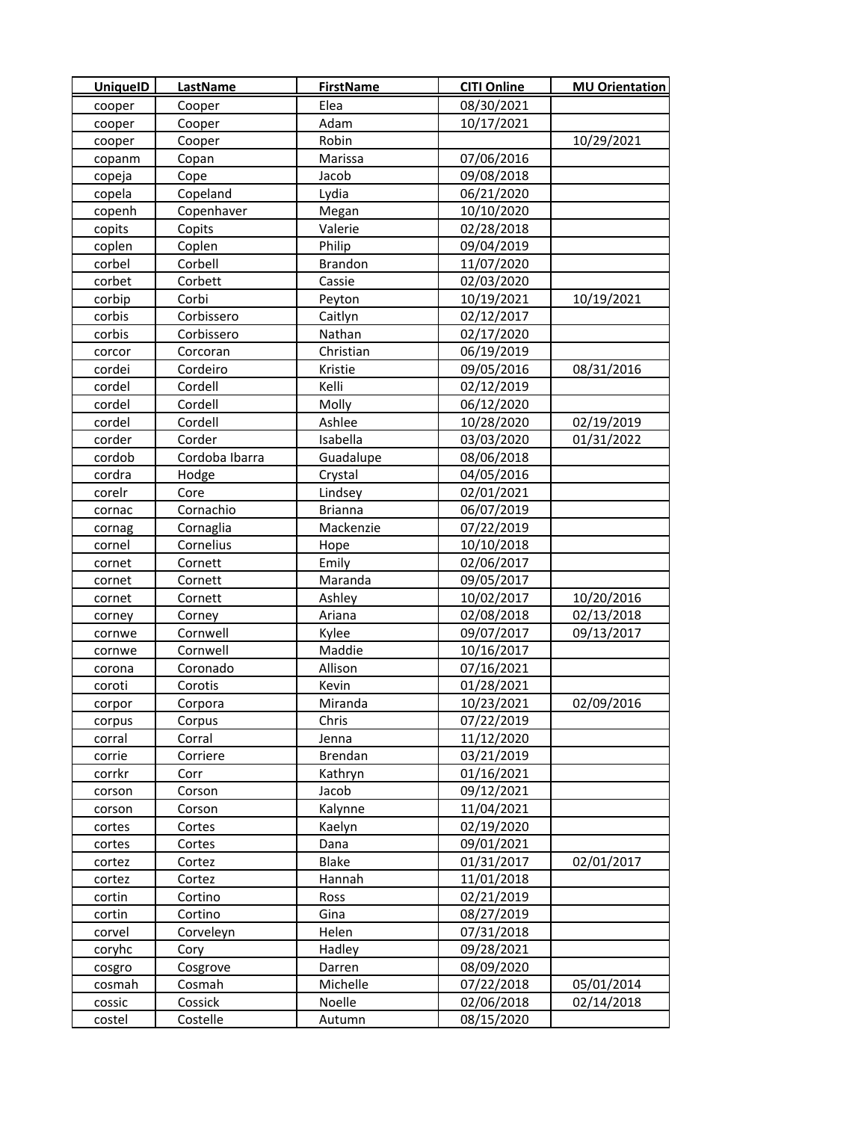| <b>UniquelD</b> | LastName       | <b>FirstName</b> | <b>CITI Online</b> | <b>MU Orientation</b> |
|-----------------|----------------|------------------|--------------------|-----------------------|
| cooper          | Cooper         | Elea             | 08/30/2021         |                       |
| cooper          | Cooper         | Adam             | 10/17/2021         |                       |
| cooper          | Cooper         | Robin            |                    | 10/29/2021            |
| copanm          | Copan          | Marissa          | 07/06/2016         |                       |
| copeja          | Cope           | Jacob            | 09/08/2018         |                       |
| copela          | Copeland       | Lydia            | 06/21/2020         |                       |
| copenh          | Copenhaver     | Megan            | 10/10/2020         |                       |
| copits          | Copits         | Valerie          | 02/28/2018         |                       |
| coplen          | Coplen         | Philip           | 09/04/2019         |                       |
| corbel          | Corbell        | <b>Brandon</b>   | 11/07/2020         |                       |
| corbet          | Corbett        | Cassie           | 02/03/2020         |                       |
| corbip          | Corbi          | Peyton           | 10/19/2021         | 10/19/2021            |
| corbis          | Corbissero     | Caitlyn          | 02/12/2017         |                       |
| corbis          | Corbissero     | Nathan           | 02/17/2020         |                       |
| corcor          | Corcoran       | Christian        | 06/19/2019         |                       |
| cordei          | Cordeiro       | Kristie          | 09/05/2016         | 08/31/2016            |
| cordel          | Cordell        | Kelli            | 02/12/2019         |                       |
| cordel          | Cordell        | Molly            | 06/12/2020         |                       |
| cordel          | Cordell        | Ashlee           | 10/28/2020         | 02/19/2019            |
| corder          | Corder         | Isabella         | 03/03/2020         | 01/31/2022            |
| cordob          | Cordoba Ibarra | Guadalupe        | 08/06/2018         |                       |
| cordra          | Hodge          | Crystal          | 04/05/2016         |                       |
| corelr          | Core           | Lindsey          | 02/01/2021         |                       |
| cornac          | Cornachio      | <b>Brianna</b>   | 06/07/2019         |                       |
| cornag          | Cornaglia      | Mackenzie        | 07/22/2019         |                       |
| cornel          | Cornelius      | Hope             | 10/10/2018         |                       |
| cornet          | Cornett        | Emily            | 02/06/2017         |                       |
| cornet          | Cornett        | Maranda          | 09/05/2017         |                       |
| cornet          | Cornett        | Ashley           | 10/02/2017         | 10/20/2016            |
| corney          | Corney         | Ariana           | 02/08/2018         | 02/13/2018            |
| cornwe          | Cornwell       | Kylee            | 09/07/2017         | 09/13/2017            |
| cornwe          | Cornwell       | Maddie           | 10/16/2017         |                       |
| corona          | Coronado       | Allison          | 07/16/2021         |                       |
| coroti          | Corotis        | Kevin            | 01/28/2021         |                       |
| corpor          | Corpora        | Miranda          | 10/23/2021         | 02/09/2016            |
| corpus          | Corpus         | Chris            | 07/22/2019         |                       |
| corral          | Corral         | Jenna            | 11/12/2020         |                       |
| corrie          | Corriere       | <b>Brendan</b>   | 03/21/2019         |                       |
| corrkr          | Corr           | Kathryn          | 01/16/2021         |                       |
| corson          | Corson         | Jacob            | 09/12/2021         |                       |
| corson          | Corson         | Kalynne          | 11/04/2021         |                       |
| cortes          | Cortes         | Kaelyn           | 02/19/2020         |                       |
| cortes          | Cortes         | Dana             | 09/01/2021         |                       |
| cortez          | Cortez         | <b>Blake</b>     | 01/31/2017         | 02/01/2017            |
| cortez          | Cortez         | Hannah           | 11/01/2018         |                       |
| cortin          | Cortino        | Ross             | 02/21/2019         |                       |
| cortin          | Cortino        | Gina             | 08/27/2019         |                       |
| corvel          | Corveleyn      | Helen            | 07/31/2018         |                       |
| coryhc          | Cory           | Hadley           | 09/28/2021         |                       |
| cosgro          | Cosgrove       | Darren           | 08/09/2020         |                       |
| cosmah          | Cosmah         | Michelle         | 07/22/2018         | 05/01/2014            |
| cossic          | Cossick        | Noelle           | 02/06/2018         | 02/14/2018            |
| costel          | Costelle       | Autumn           | 08/15/2020         |                       |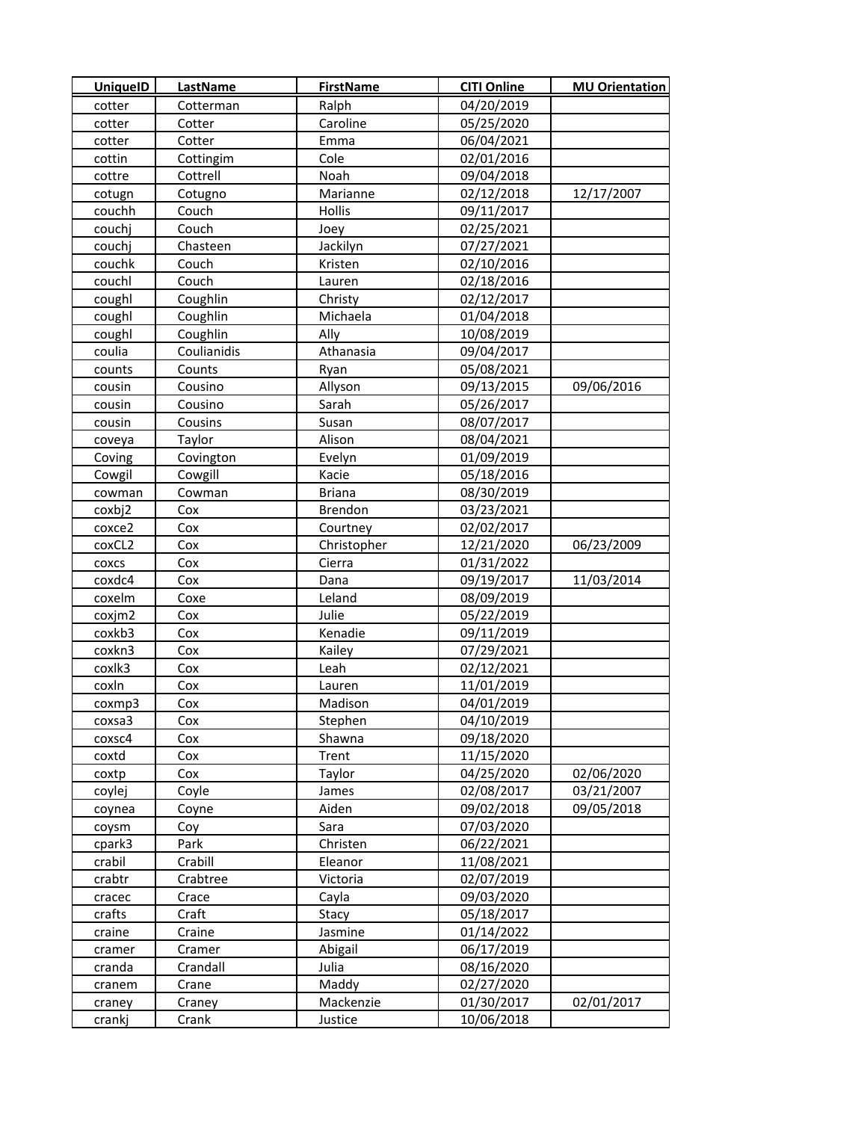| <b>UniquelD</b> | <b>LastName</b> | <b>FirstName</b> | <b>CITI Online</b> | <b>MU Orientation</b> |
|-----------------|-----------------|------------------|--------------------|-----------------------|
| cotter          | Cotterman       | Ralph            | 04/20/2019         |                       |
| cotter          | Cotter          | Caroline         | 05/25/2020         |                       |
| cotter          | Cotter          | Emma             | 06/04/2021         |                       |
| cottin          | Cottingim       | Cole             | 02/01/2016         |                       |
| cottre          | Cottrell        | Noah             | 09/04/2018         |                       |
| cotugn          | Cotugno         | Marianne         | 02/12/2018         | 12/17/2007            |
| couchh          | Couch           | Hollis           | 09/11/2017         |                       |
| couchj          | Couch           | Joey             | 02/25/2021         |                       |
| couchj          | Chasteen        | Jackilyn         | 07/27/2021         |                       |
| couchk          | Couch           | Kristen          | 02/10/2016         |                       |
| couchl          | Couch           | Lauren           | 02/18/2016         |                       |
| coughl          | Coughlin        | Christy          | 02/12/2017         |                       |
| coughl          | Coughlin        | Michaela         | 01/04/2018         |                       |
| coughl          | Coughlin        | Ally             | 10/08/2019         |                       |
| coulia          | Coulianidis     | Athanasia        | 09/04/2017         |                       |
| counts          | Counts          | Ryan             | 05/08/2021         |                       |
| cousin          | Cousino         | Allyson          | 09/13/2015         | 09/06/2016            |
| cousin          | Cousino         | Sarah            | 05/26/2017         |                       |
| cousin          | Cousins         | Susan            | 08/07/2017         |                       |
| coveya          | Taylor          | Alison           | 08/04/2021         |                       |
| Coving          | Covington       | Evelyn           | 01/09/2019         |                       |
| Cowgil          | Cowgill         | Kacie            | 05/18/2016         |                       |
| cowman          | Cowman          | <b>Briana</b>    | 08/30/2019         |                       |
| coxbj2          | Cox             | Brendon          | 03/23/2021         |                       |
| coxce2          | Cox             | Courtney         | 02/02/2017         |                       |
| coxCL2          | Cox             | Christopher      | 12/21/2020         | 06/23/2009            |
| COXCS           | Cox             | Cierra           | 01/31/2022         |                       |
| coxdc4          | Cox             | Dana             | 09/19/2017         | 11/03/2014            |
| coxelm          | Coxe            | Leland           | 08/09/2019         |                       |
| coxjm2          | Cox             | Julie            | 05/22/2019         |                       |
| coxkb3          | Cox             | Kenadie          | 09/11/2019         |                       |
| coxkn3          | Cox             | Kailey           | 07/29/2021         |                       |
| coxlk3          | Cox             | Leah             | 02/12/2021         |                       |
| coxln           | Cox             | Lauren           | 11/01/2019         |                       |
| coxmp3          | Cox             | Madison          | 04/01/2019         |                       |
| coxsa3          | Cox             | Stephen          | 04/10/2019         |                       |
| coxsc4          | Cox             | Shawna           | 09/18/2020         |                       |
| coxtd           | Cox             | Trent            | 11/15/2020         |                       |
| coxtp           | Cox             | Taylor           | 04/25/2020         | 02/06/2020            |
| coylej          | Coyle           | James            | 02/08/2017         | 03/21/2007            |
| coynea          | Coyne           | Aiden            | 09/02/2018         | 09/05/2018            |
| coysm           | Coy             | Sara             | 07/03/2020         |                       |
| cpark3          | Park            | Christen         | 06/22/2021         |                       |
| crabil          | Crabill         | Eleanor          | 11/08/2021         |                       |
| crabtr          | Crabtree        | Victoria         | 02/07/2019         |                       |
| cracec          | Crace           | Cayla            | 09/03/2020         |                       |
| crafts          | Craft           | Stacy            | 05/18/2017         |                       |
| craine          | Craine          | Jasmine          | 01/14/2022         |                       |
| cramer          | Cramer          | Abigail          | 06/17/2019         |                       |
| cranda          | Crandall        | Julia            | 08/16/2020         |                       |
| cranem          | Crane           | Maddy            | 02/27/2020         |                       |
| craney          | Craney          | Mackenzie        | 01/30/2017         | 02/01/2017            |
| crankj          | Crank           | Justice          | 10/06/2018         |                       |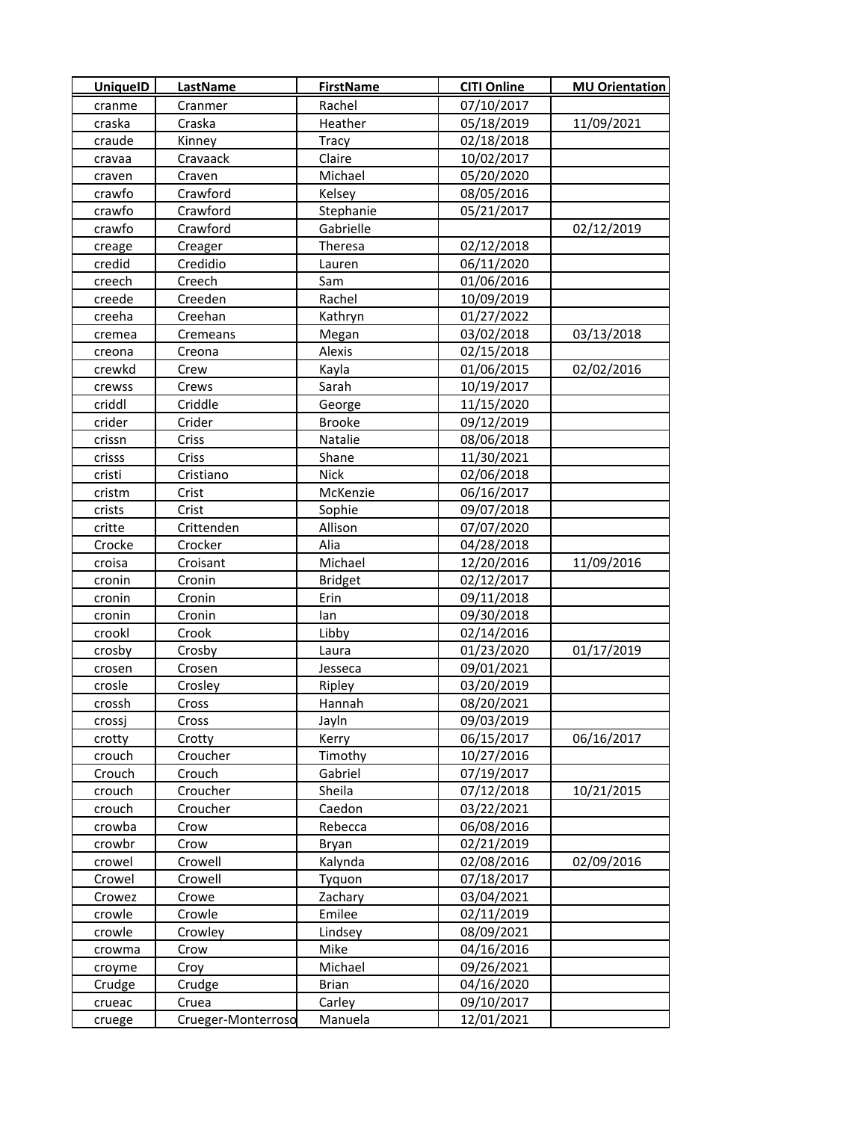| <b>UniquelD</b> | LastName           | <b>FirstName</b> | <b>CITI Online</b> | <b>MU Orientation</b> |
|-----------------|--------------------|------------------|--------------------|-----------------------|
| cranme          | Cranmer            | Rachel           | 07/10/2017         |                       |
| craska          | Craska             | Heather          | 05/18/2019         | 11/09/2021            |
| craude          | Kinney             | Tracy            | 02/18/2018         |                       |
| cravaa          | Cravaack           | Claire           | 10/02/2017         |                       |
| craven          | Craven             | Michael          | 05/20/2020         |                       |
| crawfo          | Crawford           | Kelsey           | 08/05/2016         |                       |
| crawfo          | Crawford           | Stephanie        | 05/21/2017         |                       |
| crawfo          | Crawford           | Gabrielle        |                    | 02/12/2019            |
| creage          | Creager            | Theresa          | 02/12/2018         |                       |
| credid          | Credidio           | Lauren           | 06/11/2020         |                       |
| creech          | Creech             | Sam              | 01/06/2016         |                       |
| creede          | Creeden            | Rachel           | 10/09/2019         |                       |
| creeha          | Creehan            | Kathryn          | 01/27/2022         |                       |
| cremea          | Cremeans           | Megan            | 03/02/2018         | 03/13/2018            |
| creona          | Creona             | Alexis           | 02/15/2018         |                       |
| crewkd          | Crew               | Kayla            | 01/06/2015         | 02/02/2016            |
| crewss          | Crews              | Sarah            | 10/19/2017         |                       |
| criddl          | Criddle            | George           | 11/15/2020         |                       |
| crider          | Crider             | <b>Brooke</b>    | 09/12/2019         |                       |
| crissn          | Criss              | Natalie          | 08/06/2018         |                       |
| crisss          | Criss              | Shane            | 11/30/2021         |                       |
| cristi          | Cristiano          | <b>Nick</b>      | 02/06/2018         |                       |
| cristm          | Crist              | McKenzie         | 06/16/2017         |                       |
| crists          | Crist              | Sophie           | 09/07/2018         |                       |
| critte          | Crittenden         | Allison          | 07/07/2020         |                       |
| Crocke          | Crocker            | Alia             | 04/28/2018         |                       |
| croisa          | Croisant           | Michael          | 12/20/2016         | 11/09/2016            |
| cronin          | Cronin             | <b>Bridget</b>   | 02/12/2017         |                       |
| cronin          | Cronin             | Erin             | 09/11/2018         |                       |
| cronin          | Cronin             | lan              | 09/30/2018         |                       |
| crookl          | Crook              | Libby            | 02/14/2016         |                       |
| crosby          | Crosby             | Laura            | 01/23/2020         | 01/17/2019            |
| crosen          | Crosen             | Jesseca          | 09/01/2021         |                       |
| crosle          | Crosley            | Ripley           | 03/20/2019         |                       |
| crossh          | Cross              | Hannah           | 08/20/2021         |                       |
| crossj          | Cross              | Jayln            | 09/03/2019         |                       |
| crotty          | Crotty             | Kerry            | 06/15/2017         | 06/16/2017            |
| crouch          | Croucher           | Timothy          | 10/27/2016         |                       |
| Crouch          | Crouch             | Gabriel          | 07/19/2017         |                       |
| crouch          | Croucher           | Sheila           | 07/12/2018         | 10/21/2015            |
| crouch          | Croucher           | Caedon           | 03/22/2021         |                       |
| crowba          | Crow               | Rebecca          | 06/08/2016         |                       |
| crowbr          | Crow               | Bryan            | 02/21/2019         |                       |
| crowel          | Crowell            | Kalynda          | 02/08/2016         | 02/09/2016            |
| Crowel          | Crowell            | Tyquon           | 07/18/2017         |                       |
| Crowez          | Crowe              | Zachary          | 03/04/2021         |                       |
| crowle          | Crowle             | Emilee           | 02/11/2019         |                       |
| crowle          | Crowley            | Lindsey          | 08/09/2021         |                       |
| crowma          | Crow               | Mike             | 04/16/2016         |                       |
| croyme          | Croy               | Michael          | 09/26/2021         |                       |
| Crudge          | Crudge             | <b>Brian</b>     | 04/16/2020         |                       |
| crueac          | Cruea              | Carley           | 09/10/2017         |                       |
| cruege          | Crueger-Monterroso | Manuela          | 12/01/2021         |                       |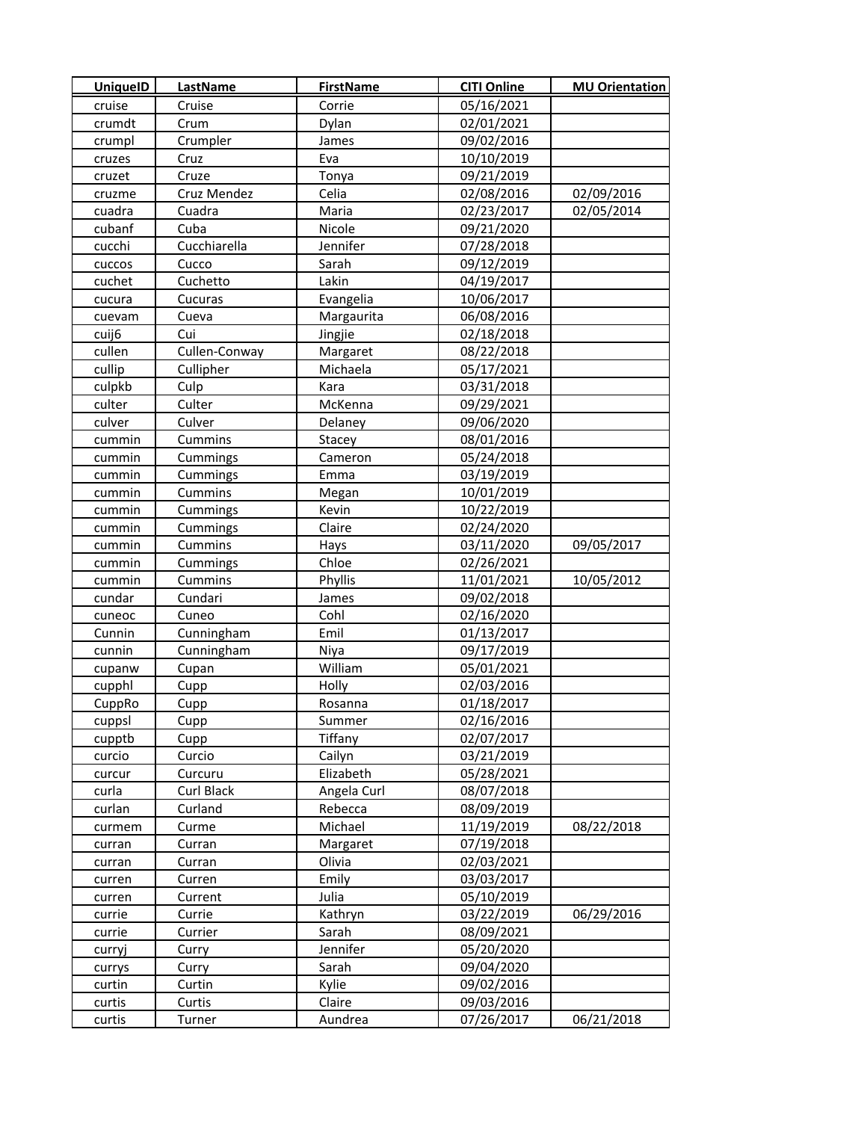| <b>UniquelD</b> | LastName      | <b>FirstName</b> | <b>CITI Online</b> | <b>MU Orientation</b> |
|-----------------|---------------|------------------|--------------------|-----------------------|
| cruise          | Cruise        | Corrie           | 05/16/2021         |                       |
| crumdt          | Crum          | Dylan            | 02/01/2021         |                       |
| crumpl          | Crumpler      | James            | 09/02/2016         |                       |
| cruzes          | Cruz          | Eva              | 10/10/2019         |                       |
| cruzet          | Cruze         | Tonya            | 09/21/2019         |                       |
| cruzme          | Cruz Mendez   | Celia            | 02/08/2016         | 02/09/2016            |
| cuadra          | Cuadra        | Maria            | 02/23/2017         | 02/05/2014            |
| cubanf          | Cuba          | Nicole           | 09/21/2020         |                       |
| cucchi          | Cucchiarella  | Jennifer         | 07/28/2018         |                       |
| cuccos          | Cucco         | Sarah            | 09/12/2019         |                       |
| cuchet          | Cuchetto      | Lakin            | 04/19/2017         |                       |
| cucura          | Cucuras       | Evangelia        | 10/06/2017         |                       |
| cuevam          | Cueva         | Margaurita       | 06/08/2016         |                       |
| cuij6           | Cui           | Jingjie          | 02/18/2018         |                       |
| cullen          | Cullen-Conway | Margaret         | 08/22/2018         |                       |
| cullip          | Cullipher     | Michaela         | 05/17/2021         |                       |
| culpkb          | Culp          | Kara             | 03/31/2018         |                       |
| culter          | Culter        | McKenna          | 09/29/2021         |                       |
| culver          | Culver        | Delaney          | 09/06/2020         |                       |
| cummin          | Cummins       | Stacey           | 08/01/2016         |                       |
| cummin          | Cummings      | Cameron          | 05/24/2018         |                       |
| cummin          | Cummings      | Emma             | 03/19/2019         |                       |
| cummin          | Cummins       | Megan            | 10/01/2019         |                       |
| cummin          | Cummings      | Kevin            | 10/22/2019         |                       |
| cummin          | Cummings      | Claire           | 02/24/2020         |                       |
| cummin          | Cummins       | Hays             | 03/11/2020         | 09/05/2017            |
| cummin          | Cummings      | Chloe            | 02/26/2021         |                       |
| cummin          | Cummins       | Phyllis          | 11/01/2021         | 10/05/2012            |
| cundar          | Cundari       | James            | 09/02/2018         |                       |
| cuneoc          | Cuneo         | Cohl             | 02/16/2020         |                       |
| Cunnin          | Cunningham    | Emil             | 01/13/2017         |                       |
| cunnin          | Cunningham    | Niya             | 09/17/2019         |                       |
| cupanw          | Cupan         | William          | 05/01/2021         |                       |
| cupphl          | Cupp          | Holly            | 02/03/2016         |                       |
| CuppRo          | Cupp          | Rosanna          | 01/18/2017         |                       |
| cuppsl          | Cupp          | Summer           | 02/16/2016         |                       |
| cupptb          | Cupp          | Tiffany          | 02/07/2017         |                       |
| curcio          | Curcio        | Cailyn           | 03/21/2019         |                       |
| curcur          | Curcuru       | Elizabeth        | 05/28/2021         |                       |
| curla           | Curl Black    | Angela Curl      | 08/07/2018         |                       |
| curlan          | Curland       | Rebecca          | 08/09/2019         |                       |
| curmem          | Curme         | Michael          | 11/19/2019         | 08/22/2018            |
| curran          | Curran        | Margaret         | 07/19/2018         |                       |
| curran          | Curran        | Olivia           | 02/03/2021         |                       |
| curren          | Curren        | Emily            | 03/03/2017         |                       |
| curren          | Current       | Julia            | 05/10/2019         |                       |
| currie          | Currie        | Kathryn          | 03/22/2019         | 06/29/2016            |
| currie          | Currier       | Sarah            | 08/09/2021         |                       |
| curryj          | Curry         | Jennifer         | 05/20/2020         |                       |
| currys          | Curry         | Sarah            | 09/04/2020         |                       |
| curtin          | Curtin        | Kylie            | 09/02/2016         |                       |
| curtis          | Curtis        | Claire           | 09/03/2016         |                       |
| curtis          | Turner        | Aundrea          | 07/26/2017         | 06/21/2018            |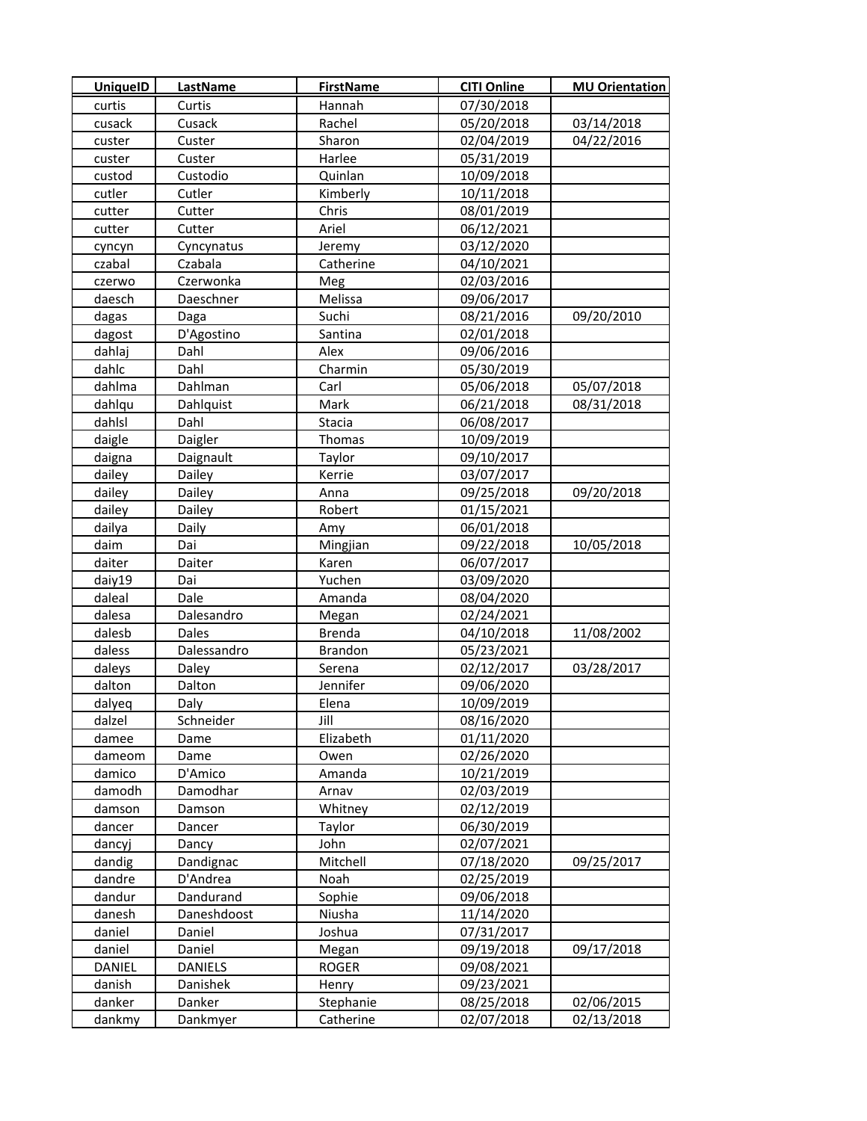| <b>UniquelD</b> | <b>LastName</b> | <b>FirstName</b> | <b>CITI Online</b> | <b>MU Orientation</b> |
|-----------------|-----------------|------------------|--------------------|-----------------------|
| curtis          | Curtis          | Hannah           | 07/30/2018         |                       |
| cusack          | Cusack          | Rachel           | 05/20/2018         | 03/14/2018            |
| custer          | Custer          | Sharon           | 02/04/2019         | 04/22/2016            |
| custer          | Custer          | Harlee           | 05/31/2019         |                       |
| custod          | Custodio        | Quinlan          | 10/09/2018         |                       |
| cutler          | Cutler          | Kimberly         | 10/11/2018         |                       |
| cutter          | Cutter          | Chris            | 08/01/2019         |                       |
| cutter          | Cutter          | Ariel            | 06/12/2021         |                       |
| cyncyn          | Cyncynatus      | Jeremy           | 03/12/2020         |                       |
| czabal          | Czabala         | Catherine        | 04/10/2021         |                       |
| czerwo          | Czerwonka       | Meg              | 02/03/2016         |                       |
| daesch          | Daeschner       | Melissa          | 09/06/2017         |                       |
| dagas           | Daga            | Suchi            | 08/21/2016         | 09/20/2010            |
| dagost          | D'Agostino      | Santina          | 02/01/2018         |                       |
| dahlaj          | Dahl            | Alex             | 09/06/2016         |                       |
| dahlc           | Dahl            | Charmin          | 05/30/2019         |                       |
| dahlma          | Dahlman         | Carl             | 05/06/2018         | 05/07/2018            |
| dahlqu          | Dahlquist       | Mark             | 06/21/2018         | 08/31/2018            |
| dahlsl          | Dahl            | Stacia           | 06/08/2017         |                       |
| daigle          | Daigler         | Thomas           | 10/09/2019         |                       |
| daigna          | Daignault       | Taylor           | 09/10/2017         |                       |
| dailey          | Dailey          | Kerrie           | 03/07/2017         |                       |
| dailey          | Dailey          | Anna             | 09/25/2018         | 09/20/2018            |
| dailey          | Dailey          | Robert           | 01/15/2021         |                       |
| dailya          | Daily           | Amy              | 06/01/2018         |                       |
| daim            | Dai             | Mingjian         | 09/22/2018         | 10/05/2018            |
| daiter          | Daiter          | Karen            | 06/07/2017         |                       |
| daiy19          | Dai             | Yuchen           | 03/09/2020         |                       |
| daleal          | Dale            | Amanda           | 08/04/2020         |                       |
| dalesa          | Dalesandro      | Megan            | 02/24/2021         |                       |
| dalesb          | Dales           | <b>Brenda</b>    | 04/10/2018         | 11/08/2002            |
| daless          | Dalessandro     | <b>Brandon</b>   | 05/23/2021         |                       |
| daleys          | Daley           | Serena           | 02/12/2017         | 03/28/2017            |
| dalton          | Dalton          | Jennifer         | 09/06/2020         |                       |
| dalyeq          | Daly            | Elena            | 10/09/2019         |                       |
| dalzel          | Schneider       | Jill             | 08/16/2020         |                       |
| damee           | Dame            | Elizabeth        | 01/11/2020         |                       |
| dameom          | Dame            | Owen             | 02/26/2020         |                       |
| damico          | D'Amico         | Amanda           | 10/21/2019         |                       |
| damodh          | Damodhar        | Arnav            | 02/03/2019         |                       |
| damson          | Damson          | Whitney          | 02/12/2019         |                       |
| dancer          | Dancer          | Taylor           | 06/30/2019         |                       |
| dancyj          | Dancy           | John             | 02/07/2021         |                       |
| dandig          | Dandignac       | Mitchell         | 07/18/2020         | 09/25/2017            |
| dandre          | D'Andrea        | Noah             | 02/25/2019         |                       |
| dandur          | Dandurand       | Sophie           | 09/06/2018         |                       |
| danesh          | Daneshdoost     | Niusha           | 11/14/2020         |                       |
| daniel          | Daniel          | Joshua           | 07/31/2017         |                       |
| daniel          | Daniel          | Megan            | 09/19/2018         | 09/17/2018            |
| DANIEL          | <b>DANIELS</b>  | ROGER            | 09/08/2021         |                       |
| danish          | Danishek        | Henry            | 09/23/2021         |                       |
| danker          | Danker          | Stephanie        | 08/25/2018         | 02/06/2015            |
| dankmy          | Dankmyer        | Catherine        | 02/07/2018         | 02/13/2018            |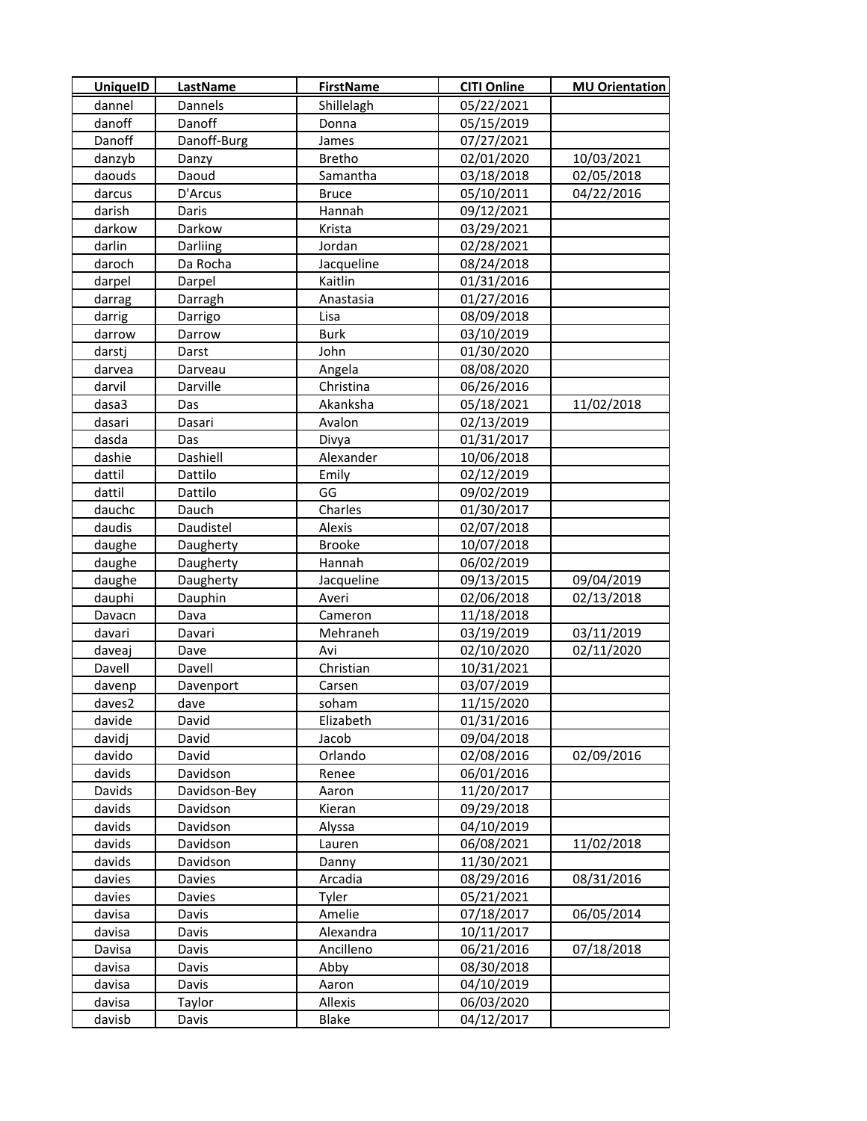| dannel<br>05/22/2021<br>Dannels<br>Shillelagh<br>Danoff<br>danoff<br>Donna<br>05/15/2019<br>Danoff<br>Danoff-Burg<br>07/27/2021<br>James<br>10/03/2021<br>danzyb<br><b>Bretho</b><br>02/01/2020<br>Danzy<br>Daoud<br>02/05/2018<br>daouds<br>03/18/2018<br>Samantha<br>04/22/2016<br>D'Arcus<br>05/10/2011<br>darcus<br><b>Bruce</b><br>darish<br>Hannah<br>09/12/2021<br>Daris<br>darkow<br>Darkow<br>Krista<br>03/29/2021<br>darlin<br>Darliing<br>Jordan<br>02/28/2021<br>daroch<br>08/24/2018<br>Da Rocha<br>Jacqueline<br>darpel<br>Darpel<br>Kaitlin<br>01/31/2016<br>01/27/2016<br>darrag<br>Darragh<br>Anastasia<br>08/09/2018<br>darrig<br>Darrigo<br>Lisa<br>darrow<br><b>Burk</b><br>03/10/2019<br>Darrow<br>darstj<br>John<br>01/30/2020<br>Darst<br>darvea<br>Darveau<br>08/08/2020<br>Angela<br>Darville<br>darvil<br>Christina<br>06/26/2016<br>11/02/2018<br>dasa3<br>Akanksha<br>05/18/2021<br>Das<br>02/13/2019<br>dasari<br>Dasari<br>Avalon<br>dasda<br>01/31/2017<br>Das<br>Divya<br>Dashiell<br>Alexander<br>10/06/2018<br>dashie<br>dattil<br>Dattilo<br>Emily<br>02/12/2019<br>GG<br>dattil<br>Dattilo<br>09/02/2019<br>Charles<br>dauchc<br>Dauch<br>01/30/2017<br>daudis<br>Daudistel<br>Alexis<br>02/07/2018<br><b>Brooke</b><br>daughe<br>10/07/2018<br>Daugherty<br>Hannah<br>daughe<br>Daugherty<br>06/02/2019<br>daughe<br>Daugherty<br>Jacqueline<br>09/13/2015<br>09/04/2019<br>dauphi<br>Dauphin<br>Averi<br>02/06/2018<br>02/13/2018<br>Davacn<br>Dava<br>Cameron<br>11/18/2018<br>davari<br>Davari<br>Mehraneh<br>03/19/2019<br>03/11/2019<br>02/10/2020<br>02/11/2020<br>daveaj<br>Dave<br>Avi<br>Davell<br>Davell<br>10/31/2021<br>Christian<br>03/07/2019<br>davenp<br>Davenport<br>Carsen<br>11/15/2020<br>daves2<br>dave<br>soham<br>01/31/2016<br>davide<br>David<br>Elizabeth<br>davidj<br>David<br>09/04/2018<br>Jacob<br>davido<br>David<br>Orlando<br>02/08/2016<br>02/09/2016<br>davids<br>Davidson<br>06/01/2016<br>Renee<br>Davids<br>11/20/2017<br>Davidson-Bey<br>Aaron<br>davids<br>09/29/2018<br>Davidson<br>Kieran<br>davids<br>Davidson<br>04/10/2019<br>Alyssa<br>davids<br>06/08/2021<br>Davidson<br>Lauren<br>11/02/2018<br>davids<br>Davidson<br>Danny<br>11/30/2021<br>davies<br>08/31/2016<br>Davies<br>Arcadia<br>08/29/2016<br>davies<br>Tyler<br>05/21/2021<br>Davies<br>Amelie<br>06/05/2014<br>davisa<br>07/18/2017<br>Davis<br>Alexandra<br>10/11/2017<br>davisa<br>Davis<br>Ancilleno<br>06/21/2016<br>07/18/2018<br>Davisa<br>Davis<br>Abby<br>08/30/2018<br>davisa<br>Davis<br>davisa<br>Davis<br>Aaron<br>04/10/2019<br>Allexis<br>06/03/2020<br>davisa<br>Taylor | <b>UniquelD</b> | <b>LastName</b> | <b>FirstName</b> | <b>CITI Online</b> | <b>MU Orientation</b> |
|------------------------------------------------------------------------------------------------------------------------------------------------------------------------------------------------------------------------------------------------------------------------------------------------------------------------------------------------------------------------------------------------------------------------------------------------------------------------------------------------------------------------------------------------------------------------------------------------------------------------------------------------------------------------------------------------------------------------------------------------------------------------------------------------------------------------------------------------------------------------------------------------------------------------------------------------------------------------------------------------------------------------------------------------------------------------------------------------------------------------------------------------------------------------------------------------------------------------------------------------------------------------------------------------------------------------------------------------------------------------------------------------------------------------------------------------------------------------------------------------------------------------------------------------------------------------------------------------------------------------------------------------------------------------------------------------------------------------------------------------------------------------------------------------------------------------------------------------------------------------------------------------------------------------------------------------------------------------------------------------------------------------------------------------------------------------------------------------------------------------------------------------------------------------------------------------------------------------------------------------------------------------------------------------------------------------------------------------------------------------------------------------------------------------------------------------------------------------------------------------------------------------------------------------------------------------------------------------------------------------------------------|-----------------|-----------------|------------------|--------------------|-----------------------|
|                                                                                                                                                                                                                                                                                                                                                                                                                                                                                                                                                                                                                                                                                                                                                                                                                                                                                                                                                                                                                                                                                                                                                                                                                                                                                                                                                                                                                                                                                                                                                                                                                                                                                                                                                                                                                                                                                                                                                                                                                                                                                                                                                                                                                                                                                                                                                                                                                                                                                                                                                                                                                                          |                 |                 |                  |                    |                       |
|                                                                                                                                                                                                                                                                                                                                                                                                                                                                                                                                                                                                                                                                                                                                                                                                                                                                                                                                                                                                                                                                                                                                                                                                                                                                                                                                                                                                                                                                                                                                                                                                                                                                                                                                                                                                                                                                                                                                                                                                                                                                                                                                                                                                                                                                                                                                                                                                                                                                                                                                                                                                                                          |                 |                 |                  |                    |                       |
|                                                                                                                                                                                                                                                                                                                                                                                                                                                                                                                                                                                                                                                                                                                                                                                                                                                                                                                                                                                                                                                                                                                                                                                                                                                                                                                                                                                                                                                                                                                                                                                                                                                                                                                                                                                                                                                                                                                                                                                                                                                                                                                                                                                                                                                                                                                                                                                                                                                                                                                                                                                                                                          |                 |                 |                  |                    |                       |
|                                                                                                                                                                                                                                                                                                                                                                                                                                                                                                                                                                                                                                                                                                                                                                                                                                                                                                                                                                                                                                                                                                                                                                                                                                                                                                                                                                                                                                                                                                                                                                                                                                                                                                                                                                                                                                                                                                                                                                                                                                                                                                                                                                                                                                                                                                                                                                                                                                                                                                                                                                                                                                          |                 |                 |                  |                    |                       |
|                                                                                                                                                                                                                                                                                                                                                                                                                                                                                                                                                                                                                                                                                                                                                                                                                                                                                                                                                                                                                                                                                                                                                                                                                                                                                                                                                                                                                                                                                                                                                                                                                                                                                                                                                                                                                                                                                                                                                                                                                                                                                                                                                                                                                                                                                                                                                                                                                                                                                                                                                                                                                                          |                 |                 |                  |                    |                       |
|                                                                                                                                                                                                                                                                                                                                                                                                                                                                                                                                                                                                                                                                                                                                                                                                                                                                                                                                                                                                                                                                                                                                                                                                                                                                                                                                                                                                                                                                                                                                                                                                                                                                                                                                                                                                                                                                                                                                                                                                                                                                                                                                                                                                                                                                                                                                                                                                                                                                                                                                                                                                                                          |                 |                 |                  |                    |                       |
|                                                                                                                                                                                                                                                                                                                                                                                                                                                                                                                                                                                                                                                                                                                                                                                                                                                                                                                                                                                                                                                                                                                                                                                                                                                                                                                                                                                                                                                                                                                                                                                                                                                                                                                                                                                                                                                                                                                                                                                                                                                                                                                                                                                                                                                                                                                                                                                                                                                                                                                                                                                                                                          |                 |                 |                  |                    |                       |
|                                                                                                                                                                                                                                                                                                                                                                                                                                                                                                                                                                                                                                                                                                                                                                                                                                                                                                                                                                                                                                                                                                                                                                                                                                                                                                                                                                                                                                                                                                                                                                                                                                                                                                                                                                                                                                                                                                                                                                                                                                                                                                                                                                                                                                                                                                                                                                                                                                                                                                                                                                                                                                          |                 |                 |                  |                    |                       |
|                                                                                                                                                                                                                                                                                                                                                                                                                                                                                                                                                                                                                                                                                                                                                                                                                                                                                                                                                                                                                                                                                                                                                                                                                                                                                                                                                                                                                                                                                                                                                                                                                                                                                                                                                                                                                                                                                                                                                                                                                                                                                                                                                                                                                                                                                                                                                                                                                                                                                                                                                                                                                                          |                 |                 |                  |                    |                       |
|                                                                                                                                                                                                                                                                                                                                                                                                                                                                                                                                                                                                                                                                                                                                                                                                                                                                                                                                                                                                                                                                                                                                                                                                                                                                                                                                                                                                                                                                                                                                                                                                                                                                                                                                                                                                                                                                                                                                                                                                                                                                                                                                                                                                                                                                                                                                                                                                                                                                                                                                                                                                                                          |                 |                 |                  |                    |                       |
|                                                                                                                                                                                                                                                                                                                                                                                                                                                                                                                                                                                                                                                                                                                                                                                                                                                                                                                                                                                                                                                                                                                                                                                                                                                                                                                                                                                                                                                                                                                                                                                                                                                                                                                                                                                                                                                                                                                                                                                                                                                                                                                                                                                                                                                                                                                                                                                                                                                                                                                                                                                                                                          |                 |                 |                  |                    |                       |
|                                                                                                                                                                                                                                                                                                                                                                                                                                                                                                                                                                                                                                                                                                                                                                                                                                                                                                                                                                                                                                                                                                                                                                                                                                                                                                                                                                                                                                                                                                                                                                                                                                                                                                                                                                                                                                                                                                                                                                                                                                                                                                                                                                                                                                                                                                                                                                                                                                                                                                                                                                                                                                          |                 |                 |                  |                    |                       |
|                                                                                                                                                                                                                                                                                                                                                                                                                                                                                                                                                                                                                                                                                                                                                                                                                                                                                                                                                                                                                                                                                                                                                                                                                                                                                                                                                                                                                                                                                                                                                                                                                                                                                                                                                                                                                                                                                                                                                                                                                                                                                                                                                                                                                                                                                                                                                                                                                                                                                                                                                                                                                                          |                 |                 |                  |                    |                       |
|                                                                                                                                                                                                                                                                                                                                                                                                                                                                                                                                                                                                                                                                                                                                                                                                                                                                                                                                                                                                                                                                                                                                                                                                                                                                                                                                                                                                                                                                                                                                                                                                                                                                                                                                                                                                                                                                                                                                                                                                                                                                                                                                                                                                                                                                                                                                                                                                                                                                                                                                                                                                                                          |                 |                 |                  |                    |                       |
|                                                                                                                                                                                                                                                                                                                                                                                                                                                                                                                                                                                                                                                                                                                                                                                                                                                                                                                                                                                                                                                                                                                                                                                                                                                                                                                                                                                                                                                                                                                                                                                                                                                                                                                                                                                                                                                                                                                                                                                                                                                                                                                                                                                                                                                                                                                                                                                                                                                                                                                                                                                                                                          |                 |                 |                  |                    |                       |
|                                                                                                                                                                                                                                                                                                                                                                                                                                                                                                                                                                                                                                                                                                                                                                                                                                                                                                                                                                                                                                                                                                                                                                                                                                                                                                                                                                                                                                                                                                                                                                                                                                                                                                                                                                                                                                                                                                                                                                                                                                                                                                                                                                                                                                                                                                                                                                                                                                                                                                                                                                                                                                          |                 |                 |                  |                    |                       |
|                                                                                                                                                                                                                                                                                                                                                                                                                                                                                                                                                                                                                                                                                                                                                                                                                                                                                                                                                                                                                                                                                                                                                                                                                                                                                                                                                                                                                                                                                                                                                                                                                                                                                                                                                                                                                                                                                                                                                                                                                                                                                                                                                                                                                                                                                                                                                                                                                                                                                                                                                                                                                                          |                 |                 |                  |                    |                       |
|                                                                                                                                                                                                                                                                                                                                                                                                                                                                                                                                                                                                                                                                                                                                                                                                                                                                                                                                                                                                                                                                                                                                                                                                                                                                                                                                                                                                                                                                                                                                                                                                                                                                                                                                                                                                                                                                                                                                                                                                                                                                                                                                                                                                                                                                                                                                                                                                                                                                                                                                                                                                                                          |                 |                 |                  |                    |                       |
|                                                                                                                                                                                                                                                                                                                                                                                                                                                                                                                                                                                                                                                                                                                                                                                                                                                                                                                                                                                                                                                                                                                                                                                                                                                                                                                                                                                                                                                                                                                                                                                                                                                                                                                                                                                                                                                                                                                                                                                                                                                                                                                                                                                                                                                                                                                                                                                                                                                                                                                                                                                                                                          |                 |                 |                  |                    |                       |
|                                                                                                                                                                                                                                                                                                                                                                                                                                                                                                                                                                                                                                                                                                                                                                                                                                                                                                                                                                                                                                                                                                                                                                                                                                                                                                                                                                                                                                                                                                                                                                                                                                                                                                                                                                                                                                                                                                                                                                                                                                                                                                                                                                                                                                                                                                                                                                                                                                                                                                                                                                                                                                          |                 |                 |                  |                    |                       |
|                                                                                                                                                                                                                                                                                                                                                                                                                                                                                                                                                                                                                                                                                                                                                                                                                                                                                                                                                                                                                                                                                                                                                                                                                                                                                                                                                                                                                                                                                                                                                                                                                                                                                                                                                                                                                                                                                                                                                                                                                                                                                                                                                                                                                                                                                                                                                                                                                                                                                                                                                                                                                                          |                 |                 |                  |                    |                       |
|                                                                                                                                                                                                                                                                                                                                                                                                                                                                                                                                                                                                                                                                                                                                                                                                                                                                                                                                                                                                                                                                                                                                                                                                                                                                                                                                                                                                                                                                                                                                                                                                                                                                                                                                                                                                                                                                                                                                                                                                                                                                                                                                                                                                                                                                                                                                                                                                                                                                                                                                                                                                                                          |                 |                 |                  |                    |                       |
|                                                                                                                                                                                                                                                                                                                                                                                                                                                                                                                                                                                                                                                                                                                                                                                                                                                                                                                                                                                                                                                                                                                                                                                                                                                                                                                                                                                                                                                                                                                                                                                                                                                                                                                                                                                                                                                                                                                                                                                                                                                                                                                                                                                                                                                                                                                                                                                                                                                                                                                                                                                                                                          |                 |                 |                  |                    |                       |
|                                                                                                                                                                                                                                                                                                                                                                                                                                                                                                                                                                                                                                                                                                                                                                                                                                                                                                                                                                                                                                                                                                                                                                                                                                                                                                                                                                                                                                                                                                                                                                                                                                                                                                                                                                                                                                                                                                                                                                                                                                                                                                                                                                                                                                                                                                                                                                                                                                                                                                                                                                                                                                          |                 |                 |                  |                    |                       |
|                                                                                                                                                                                                                                                                                                                                                                                                                                                                                                                                                                                                                                                                                                                                                                                                                                                                                                                                                                                                                                                                                                                                                                                                                                                                                                                                                                                                                                                                                                                                                                                                                                                                                                                                                                                                                                                                                                                                                                                                                                                                                                                                                                                                                                                                                                                                                                                                                                                                                                                                                                                                                                          |                 |                 |                  |                    |                       |
|                                                                                                                                                                                                                                                                                                                                                                                                                                                                                                                                                                                                                                                                                                                                                                                                                                                                                                                                                                                                                                                                                                                                                                                                                                                                                                                                                                                                                                                                                                                                                                                                                                                                                                                                                                                                                                                                                                                                                                                                                                                                                                                                                                                                                                                                                                                                                                                                                                                                                                                                                                                                                                          |                 |                 |                  |                    |                       |
|                                                                                                                                                                                                                                                                                                                                                                                                                                                                                                                                                                                                                                                                                                                                                                                                                                                                                                                                                                                                                                                                                                                                                                                                                                                                                                                                                                                                                                                                                                                                                                                                                                                                                                                                                                                                                                                                                                                                                                                                                                                                                                                                                                                                                                                                                                                                                                                                                                                                                                                                                                                                                                          |                 |                 |                  |                    |                       |
|                                                                                                                                                                                                                                                                                                                                                                                                                                                                                                                                                                                                                                                                                                                                                                                                                                                                                                                                                                                                                                                                                                                                                                                                                                                                                                                                                                                                                                                                                                                                                                                                                                                                                                                                                                                                                                                                                                                                                                                                                                                                                                                                                                                                                                                                                                                                                                                                                                                                                                                                                                                                                                          |                 |                 |                  |                    |                       |
|                                                                                                                                                                                                                                                                                                                                                                                                                                                                                                                                                                                                                                                                                                                                                                                                                                                                                                                                                                                                                                                                                                                                                                                                                                                                                                                                                                                                                                                                                                                                                                                                                                                                                                                                                                                                                                                                                                                                                                                                                                                                                                                                                                                                                                                                                                                                                                                                                                                                                                                                                                                                                                          |                 |                 |                  |                    |                       |
|                                                                                                                                                                                                                                                                                                                                                                                                                                                                                                                                                                                                                                                                                                                                                                                                                                                                                                                                                                                                                                                                                                                                                                                                                                                                                                                                                                                                                                                                                                                                                                                                                                                                                                                                                                                                                                                                                                                                                                                                                                                                                                                                                                                                                                                                                                                                                                                                                                                                                                                                                                                                                                          |                 |                 |                  |                    |                       |
|                                                                                                                                                                                                                                                                                                                                                                                                                                                                                                                                                                                                                                                                                                                                                                                                                                                                                                                                                                                                                                                                                                                                                                                                                                                                                                                                                                                                                                                                                                                                                                                                                                                                                                                                                                                                                                                                                                                                                                                                                                                                                                                                                                                                                                                                                                                                                                                                                                                                                                                                                                                                                                          |                 |                 |                  |                    |                       |
|                                                                                                                                                                                                                                                                                                                                                                                                                                                                                                                                                                                                                                                                                                                                                                                                                                                                                                                                                                                                                                                                                                                                                                                                                                                                                                                                                                                                                                                                                                                                                                                                                                                                                                                                                                                                                                                                                                                                                                                                                                                                                                                                                                                                                                                                                                                                                                                                                                                                                                                                                                                                                                          |                 |                 |                  |                    |                       |
|                                                                                                                                                                                                                                                                                                                                                                                                                                                                                                                                                                                                                                                                                                                                                                                                                                                                                                                                                                                                                                                                                                                                                                                                                                                                                                                                                                                                                                                                                                                                                                                                                                                                                                                                                                                                                                                                                                                                                                                                                                                                                                                                                                                                                                                                                                                                                                                                                                                                                                                                                                                                                                          |                 |                 |                  |                    |                       |
|                                                                                                                                                                                                                                                                                                                                                                                                                                                                                                                                                                                                                                                                                                                                                                                                                                                                                                                                                                                                                                                                                                                                                                                                                                                                                                                                                                                                                                                                                                                                                                                                                                                                                                                                                                                                                                                                                                                                                                                                                                                                                                                                                                                                                                                                                                                                                                                                                                                                                                                                                                                                                                          |                 |                 |                  |                    |                       |
|                                                                                                                                                                                                                                                                                                                                                                                                                                                                                                                                                                                                                                                                                                                                                                                                                                                                                                                                                                                                                                                                                                                                                                                                                                                                                                                                                                                                                                                                                                                                                                                                                                                                                                                                                                                                                                                                                                                                                                                                                                                                                                                                                                                                                                                                                                                                                                                                                                                                                                                                                                                                                                          |                 |                 |                  |                    |                       |
|                                                                                                                                                                                                                                                                                                                                                                                                                                                                                                                                                                                                                                                                                                                                                                                                                                                                                                                                                                                                                                                                                                                                                                                                                                                                                                                                                                                                                                                                                                                                                                                                                                                                                                                                                                                                                                                                                                                                                                                                                                                                                                                                                                                                                                                                                                                                                                                                                                                                                                                                                                                                                                          |                 |                 |                  |                    |                       |
|                                                                                                                                                                                                                                                                                                                                                                                                                                                                                                                                                                                                                                                                                                                                                                                                                                                                                                                                                                                                                                                                                                                                                                                                                                                                                                                                                                                                                                                                                                                                                                                                                                                                                                                                                                                                                                                                                                                                                                                                                                                                                                                                                                                                                                                                                                                                                                                                                                                                                                                                                                                                                                          |                 |                 |                  |                    |                       |
|                                                                                                                                                                                                                                                                                                                                                                                                                                                                                                                                                                                                                                                                                                                                                                                                                                                                                                                                                                                                                                                                                                                                                                                                                                                                                                                                                                                                                                                                                                                                                                                                                                                                                                                                                                                                                                                                                                                                                                                                                                                                                                                                                                                                                                                                                                                                                                                                                                                                                                                                                                                                                                          |                 |                 |                  |                    |                       |
|                                                                                                                                                                                                                                                                                                                                                                                                                                                                                                                                                                                                                                                                                                                                                                                                                                                                                                                                                                                                                                                                                                                                                                                                                                                                                                                                                                                                                                                                                                                                                                                                                                                                                                                                                                                                                                                                                                                                                                                                                                                                                                                                                                                                                                                                                                                                                                                                                                                                                                                                                                                                                                          |                 |                 |                  |                    |                       |
|                                                                                                                                                                                                                                                                                                                                                                                                                                                                                                                                                                                                                                                                                                                                                                                                                                                                                                                                                                                                                                                                                                                                                                                                                                                                                                                                                                                                                                                                                                                                                                                                                                                                                                                                                                                                                                                                                                                                                                                                                                                                                                                                                                                                                                                                                                                                                                                                                                                                                                                                                                                                                                          |                 |                 |                  |                    |                       |
|                                                                                                                                                                                                                                                                                                                                                                                                                                                                                                                                                                                                                                                                                                                                                                                                                                                                                                                                                                                                                                                                                                                                                                                                                                                                                                                                                                                                                                                                                                                                                                                                                                                                                                                                                                                                                                                                                                                                                                                                                                                                                                                                                                                                                                                                                                                                                                                                                                                                                                                                                                                                                                          |                 |                 |                  |                    |                       |
|                                                                                                                                                                                                                                                                                                                                                                                                                                                                                                                                                                                                                                                                                                                                                                                                                                                                                                                                                                                                                                                                                                                                                                                                                                                                                                                                                                                                                                                                                                                                                                                                                                                                                                                                                                                                                                                                                                                                                                                                                                                                                                                                                                                                                                                                                                                                                                                                                                                                                                                                                                                                                                          |                 |                 |                  |                    |                       |
|                                                                                                                                                                                                                                                                                                                                                                                                                                                                                                                                                                                                                                                                                                                                                                                                                                                                                                                                                                                                                                                                                                                                                                                                                                                                                                                                                                                                                                                                                                                                                                                                                                                                                                                                                                                                                                                                                                                                                                                                                                                                                                                                                                                                                                                                                                                                                                                                                                                                                                                                                                                                                                          |                 |                 |                  |                    |                       |
|                                                                                                                                                                                                                                                                                                                                                                                                                                                                                                                                                                                                                                                                                                                                                                                                                                                                                                                                                                                                                                                                                                                                                                                                                                                                                                                                                                                                                                                                                                                                                                                                                                                                                                                                                                                                                                                                                                                                                                                                                                                                                                                                                                                                                                                                                                                                                                                                                                                                                                                                                                                                                                          |                 |                 |                  |                    |                       |
|                                                                                                                                                                                                                                                                                                                                                                                                                                                                                                                                                                                                                                                                                                                                                                                                                                                                                                                                                                                                                                                                                                                                                                                                                                                                                                                                                                                                                                                                                                                                                                                                                                                                                                                                                                                                                                                                                                                                                                                                                                                                                                                                                                                                                                                                                                                                                                                                                                                                                                                                                                                                                                          |                 |                 |                  |                    |                       |
|                                                                                                                                                                                                                                                                                                                                                                                                                                                                                                                                                                                                                                                                                                                                                                                                                                                                                                                                                                                                                                                                                                                                                                                                                                                                                                                                                                                                                                                                                                                                                                                                                                                                                                                                                                                                                                                                                                                                                                                                                                                                                                                                                                                                                                                                                                                                                                                                                                                                                                                                                                                                                                          |                 |                 |                  |                    |                       |
|                                                                                                                                                                                                                                                                                                                                                                                                                                                                                                                                                                                                                                                                                                                                                                                                                                                                                                                                                                                                                                                                                                                                                                                                                                                                                                                                                                                                                                                                                                                                                                                                                                                                                                                                                                                                                                                                                                                                                                                                                                                                                                                                                                                                                                                                                                                                                                                                                                                                                                                                                                                                                                          |                 |                 |                  |                    |                       |
|                                                                                                                                                                                                                                                                                                                                                                                                                                                                                                                                                                                                                                                                                                                                                                                                                                                                                                                                                                                                                                                                                                                                                                                                                                                                                                                                                                                                                                                                                                                                                                                                                                                                                                                                                                                                                                                                                                                                                                                                                                                                                                                                                                                                                                                                                                                                                                                                                                                                                                                                                                                                                                          |                 |                 |                  |                    |                       |
|                                                                                                                                                                                                                                                                                                                                                                                                                                                                                                                                                                                                                                                                                                                                                                                                                                                                                                                                                                                                                                                                                                                                                                                                                                                                                                                                                                                                                                                                                                                                                                                                                                                                                                                                                                                                                                                                                                                                                                                                                                                                                                                                                                                                                                                                                                                                                                                                                                                                                                                                                                                                                                          |                 |                 |                  |                    |                       |
|                                                                                                                                                                                                                                                                                                                                                                                                                                                                                                                                                                                                                                                                                                                                                                                                                                                                                                                                                                                                                                                                                                                                                                                                                                                                                                                                                                                                                                                                                                                                                                                                                                                                                                                                                                                                                                                                                                                                                                                                                                                                                                                                                                                                                                                                                                                                                                                                                                                                                                                                                                                                                                          |                 |                 |                  |                    |                       |
|                                                                                                                                                                                                                                                                                                                                                                                                                                                                                                                                                                                                                                                                                                                                                                                                                                                                                                                                                                                                                                                                                                                                                                                                                                                                                                                                                                                                                                                                                                                                                                                                                                                                                                                                                                                                                                                                                                                                                                                                                                                                                                                                                                                                                                                                                                                                                                                                                                                                                                                                                                                                                                          |                 |                 |                  |                    |                       |
|                                                                                                                                                                                                                                                                                                                                                                                                                                                                                                                                                                                                                                                                                                                                                                                                                                                                                                                                                                                                                                                                                                                                                                                                                                                                                                                                                                                                                                                                                                                                                                                                                                                                                                                                                                                                                                                                                                                                                                                                                                                                                                                                                                                                                                                                                                                                                                                                                                                                                                                                                                                                                                          | davisb          | Davis           | Blake            | 04/12/2017         |                       |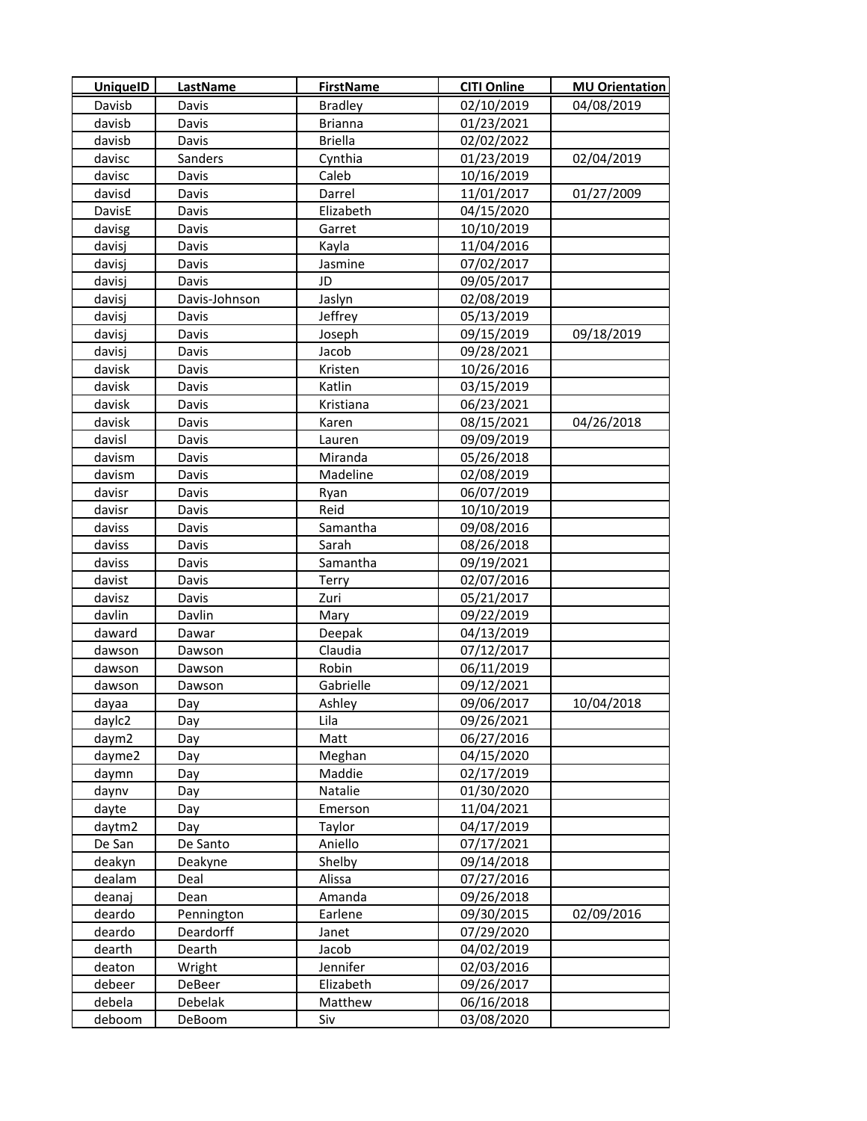| <b>UniquelD</b> | LastName      | <b>FirstName</b> | <b>CITI Online</b> | <b>MU Orientation</b> |
|-----------------|---------------|------------------|--------------------|-----------------------|
| Davisb          | Davis         | <b>Bradley</b>   | 02/10/2019         | 04/08/2019            |
| davisb          | Davis         | <b>Brianna</b>   | 01/23/2021         |                       |
| davisb          | Davis         | <b>Briella</b>   | 02/02/2022         |                       |
| davisc          | Sanders       | Cynthia          | 01/23/2019         | 02/04/2019            |
| davisc          | Davis         | Caleb            | 10/16/2019         |                       |
| davisd          | Davis         | Darrel           | 11/01/2017         | 01/27/2009            |
| DavisE          | Davis         | Elizabeth        | 04/15/2020         |                       |
| davisg          | Davis         | Garret           | 10/10/2019         |                       |
| davisj          | Davis         | Kayla            | 11/04/2016         |                       |
| davisj          | Davis         | Jasmine          | 07/02/2017         |                       |
| davisj          | Davis         | JD               | 09/05/2017         |                       |
| davisj          | Davis-Johnson | Jaslyn           | 02/08/2019         |                       |
| davisj          | Davis         | Jeffrey          | 05/13/2019         |                       |
| davisj          | Davis         | Joseph           | 09/15/2019         | 09/18/2019            |
| davisj          | Davis         | Jacob            | 09/28/2021         |                       |
| davisk          | Davis         | Kristen          | 10/26/2016         |                       |
| davisk          | Davis         | Katlin           | 03/15/2019         |                       |
| davisk          | Davis         | Kristiana        | 06/23/2021         |                       |
| davisk          | Davis         | Karen            | 08/15/2021         | 04/26/2018            |
| davisl          | Davis         | Lauren           | 09/09/2019         |                       |
| davism          | Davis         | Miranda          | 05/26/2018         |                       |
| davism          | Davis         | Madeline         | 02/08/2019         |                       |
| davisr          | Davis         | Ryan             | 06/07/2019         |                       |
| davisr          | Davis         | Reid             | 10/10/2019         |                       |
| daviss          | Davis         | Samantha         | 09/08/2016         |                       |
| daviss          | Davis         | Sarah            | 08/26/2018         |                       |
| daviss          | Davis         | Samantha         | 09/19/2021         |                       |
| davist          | Davis         | Terry            | 02/07/2016         |                       |
| davisz          | Davis         | Zuri             | 05/21/2017         |                       |
| davlin          | Davlin        | Mary             | 09/22/2019         |                       |
| daward          | Dawar         | Deepak           | 04/13/2019         |                       |
| dawson          | Dawson        | Claudia          | 07/12/2017         |                       |
| dawson          | Dawson        | Robin            | 06/11/2019         |                       |
| dawson          | Dawson        | Gabrielle        | 09/12/2021         |                       |
| dayaa           | Day           | Ashley           | 09/06/2017         | 10/04/2018            |
| daylc2          | Day           | Lila             | 09/26/2021         |                       |
| daym2           | Day           | Matt             | 06/27/2016         |                       |
| dayme2          | Day           | Meghan           | 04/15/2020         |                       |
| daymn           | Day           | Maddie           | 02/17/2019         |                       |
| daynv           | Day           | Natalie          | 01/30/2020         |                       |
| dayte           | Day           | Emerson          | 11/04/2021         |                       |
| daytm2          | Day           | Taylor           | 04/17/2019         |                       |
| De San          | De Santo      | Aniello          | 07/17/2021         |                       |
| deakyn          | Deakyne       | Shelby           | 09/14/2018         |                       |
| dealam          | Deal          | Alissa           | 07/27/2016         |                       |
| deanaj          | Dean          | Amanda           | 09/26/2018         |                       |
| deardo          | Pennington    | Earlene          | 09/30/2015         | 02/09/2016            |
| deardo          | Deardorff     | Janet            | 07/29/2020         |                       |
| <b>dearth</b>   | Dearth        | Jacob            | 04/02/2019         |                       |
| deaton          | Wright        | Jennifer         | 02/03/2016         |                       |
| debeer          | DeBeer        | Elizabeth        | 09/26/2017         |                       |
| debela          | Debelak       | Matthew          | 06/16/2018         |                       |
| deboom          | DeBoom        | Siv              | 03/08/2020         |                       |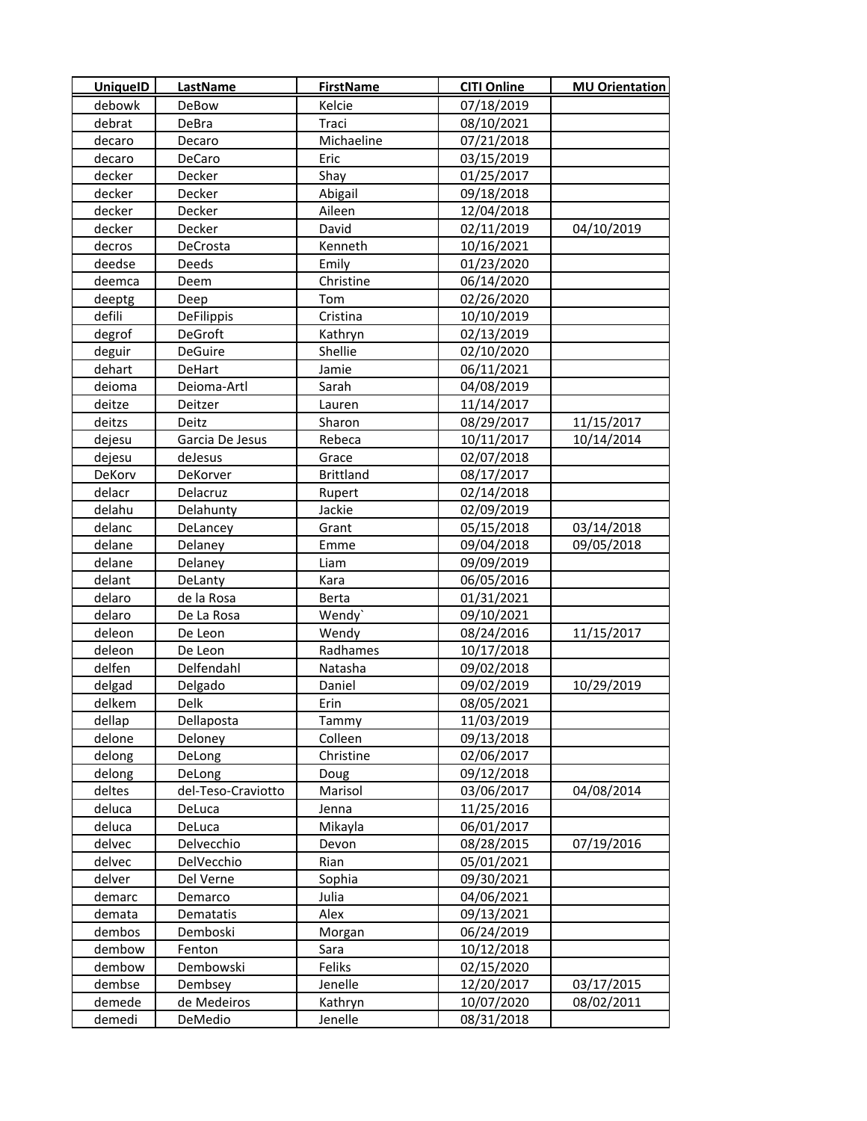| <b>UniquelD</b> | LastName           | <b>FirstName</b> | <b>CITI Online</b> | <b>MU Orientation</b> |
|-----------------|--------------------|------------------|--------------------|-----------------------|
| debowk          | <b>DeBow</b>       | Kelcie           | 07/18/2019         |                       |
| debrat          | DeBra              | Traci            | 08/10/2021         |                       |
| decaro          | Decaro             | Michaeline       | 07/21/2018         |                       |
| decaro          | DeCaro             | Eric             | 03/15/2019         |                       |
| decker          | Decker             | Shay             | 01/25/2017         |                       |
| decker          | Decker             | Abigail          | 09/18/2018         |                       |
| decker          | Decker             | Aileen           | 12/04/2018         |                       |
| decker          | Decker             | David            | 02/11/2019         | 04/10/2019            |
| decros          | DeCrosta           | Kenneth          | 10/16/2021         |                       |
| deedse          | Deeds              | Emily            | 01/23/2020         |                       |
| deemca          | Deem               | Christine        | 06/14/2020         |                       |
| deeptg          | Deep               | Tom              | 02/26/2020         |                       |
| defili          | DeFilippis         | Cristina         | 10/10/2019         |                       |
| degrof          | DeGroft            | Kathryn          | 02/13/2019         |                       |
| deguir          | DeGuire            | Shellie          | 02/10/2020         |                       |
| dehart          | <b>DeHart</b>      | Jamie            | 06/11/2021         |                       |
| deioma          | Deioma-Artl        | Sarah            | 04/08/2019         |                       |
| deitze          | Deitzer            | Lauren           | 11/14/2017         |                       |
| deitzs          | Deitz              | Sharon           | 08/29/2017         | 11/15/2017            |
| dejesu          | Garcia De Jesus    | Rebeca           | 10/11/2017         | 10/14/2014            |
| dejesu          | deJesus            | Grace            | 02/07/2018         |                       |
| DeKorv          | DeKorver           | <b>Brittland</b> | 08/17/2017         |                       |
| delacr          | Delacruz           | Rupert           | 02/14/2018         |                       |
| delahu          | Delahunty          | Jackie           | 02/09/2019         |                       |
| delanc          | DeLancey           | Grant            | 05/15/2018         | 03/14/2018            |
| delane          | Delaney            | Emme             | 09/04/2018         | 09/05/2018            |
| delane          | Delaney            | Liam             | 09/09/2019         |                       |
| delant          | DeLanty            | Kara             | 06/05/2016         |                       |
| delaro          | de la Rosa         | Berta            | 01/31/2021         |                       |
| delaro          | De La Rosa         | Wendy`           | 09/10/2021         |                       |
| deleon          | De Leon            | Wendy            | 08/24/2016         | 11/15/2017            |
| deleon          | De Leon            | Radhames         | 10/17/2018         |                       |
| delfen          | Delfendahl         | Natasha          | 09/02/2018         |                       |
| delgad          | Delgado            | Daniel           | 09/02/2019         | 10/29/2019            |
| delkem          | Delk               | Erin             | 08/05/2021         |                       |
| dellap          | Dellaposta         | Tammy            | 11/03/2019         |                       |
| delone          | Deloney            | Colleen          | 09/13/2018         |                       |
| delong          | DeLong             | Christine        | 02/06/2017         |                       |
| delong          | DeLong             | Doug             | 09/12/2018         |                       |
| deltes          | del-Teso-Craviotto | Marisol          | 03/06/2017         | 04/08/2014            |
| deluca          | DeLuca             | Jenna            | 11/25/2016         |                       |
| deluca          | DeLuca             | Mikayla          | 06/01/2017         |                       |
| delvec          | Delvecchio         | Devon            | 08/28/2015         | 07/19/2016            |
| delvec          | DelVecchio         | Rian             | 05/01/2021         |                       |
| delver          | Del Verne          | Sophia           | 09/30/2021         |                       |
| demarc          | Demarco            | Julia            | 04/06/2021         |                       |
| demata          | Dematatis          | Alex             | 09/13/2021         |                       |
| dembos          | Demboski           | Morgan           | 06/24/2019         |                       |
| dembow          | Fenton             | Sara             | 10/12/2018         |                       |
| dembow          | Dembowski          | Feliks           | 02/15/2020         |                       |
| dembse          | Dembsey            | Jenelle          | 12/20/2017         | 03/17/2015            |
| demede          | de Medeiros        | Kathryn          | 10/07/2020         | 08/02/2011            |
| demedi          | DeMedio            | Jenelle          | 08/31/2018         |                       |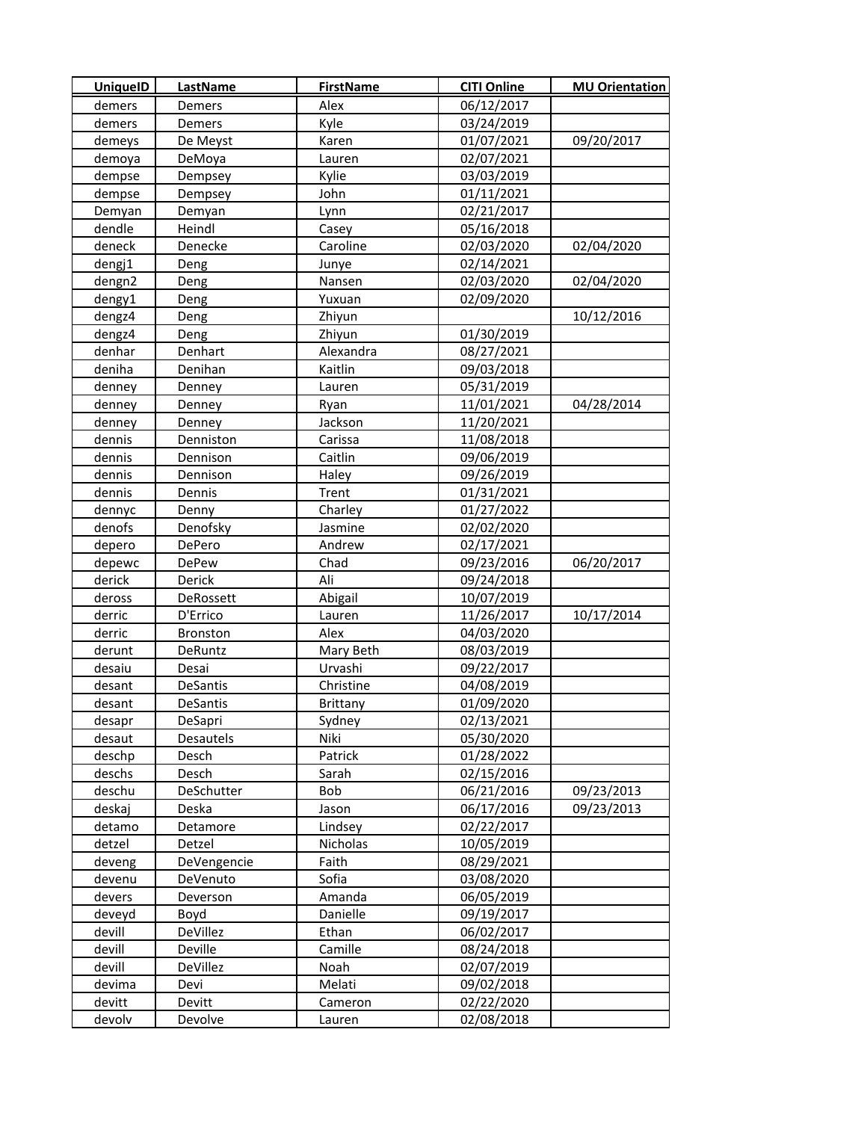| <b>UniquelD</b> | <b>LastName</b> | <b>FirstName</b> | <b>CITI Online</b> | <b>MU Orientation</b> |
|-----------------|-----------------|------------------|--------------------|-----------------------|
| demers          | Demers          | Alex             | 06/12/2017         |                       |
| demers          | Demers          | Kyle             | 03/24/2019         |                       |
| demeys          | De Meyst        | Karen            | 01/07/2021         | 09/20/2017            |
| demoya          | DeMoya          | Lauren           | 02/07/2021         |                       |
| dempse          | Dempsey         | Kylie            | 03/03/2019         |                       |
| dempse          | Dempsey         | John             | 01/11/2021         |                       |
| Demyan          | Demyan          | Lynn             | 02/21/2017         |                       |
| dendle          | Heindl          | Casey            | 05/16/2018         |                       |
| deneck          | Denecke         | Caroline         | 02/03/2020         | 02/04/2020            |
| dengj1          | Deng            | Junye            | 02/14/2021         |                       |
| dengn2          | Deng            | Nansen           | 02/03/2020         | 02/04/2020            |
| dengy1          | Deng            | Yuxuan           | 02/09/2020         |                       |
| dengz4          | Deng            | Zhiyun           |                    | 10/12/2016            |
| dengz4          | Deng            | Zhiyun           | 01/30/2019         |                       |
| denhar          | Denhart         | Alexandra        | 08/27/2021         |                       |
| deniha          | Denihan         | Kaitlin          | 09/03/2018         |                       |
| denney          | Denney          | Lauren           | 05/31/2019         |                       |
| denney          | Denney          | Ryan             | 11/01/2021         | 04/28/2014            |
| denney          | Denney          | Jackson          | 11/20/2021         |                       |
| dennis          | Denniston       | Carissa          | 11/08/2018         |                       |
| dennis          | Dennison        | Caitlin          | 09/06/2019         |                       |
| dennis          | Dennison        | Haley            | 09/26/2019         |                       |
| dennis          | Dennis          | Trent            | 01/31/2021         |                       |
| dennyc          | Denny           | Charley          | 01/27/2022         |                       |
| denofs          | Denofsky        | Jasmine          | 02/02/2020         |                       |
| depero          | DePero          | Andrew           | 02/17/2021         |                       |
| depewc          | DePew           | Chad             | 09/23/2016         | 06/20/2017            |
| derick          | Derick          | Ali              | 09/24/2018         |                       |
| deross          | DeRossett       | Abigail          | 10/07/2019         |                       |
| derric          | D'Errico        | Lauren           | 11/26/2017         | 10/17/2014            |
| derric          | <b>Bronston</b> | Alex             | 04/03/2020         |                       |
| derunt          | <b>DeRuntz</b>  | Mary Beth        | 08/03/2019         |                       |
| desaiu          | Desai           | Urvashi          | 09/22/2017         |                       |
| desant          | DeSantis        | Christine        | 04/08/2019         |                       |
| desant          | DeSantis        | Brittany         | 01/09/2020         |                       |
| desapr          | DeSapri         | Sydney           | 02/13/2021         |                       |
| desaut          | Desautels       | Niki             | 05/30/2020         |                       |
| deschp          | Desch           | Patrick          | 01/28/2022         |                       |
| deschs          | Desch           | Sarah            | 02/15/2016         |                       |
| deschu          | DeSchutter      | Bob              | 06/21/2016         | 09/23/2013            |
| deskaj          | Deska           | Jason            | 06/17/2016         | 09/23/2013            |
| detamo          | Detamore        | Lindsey          | 02/22/2017         |                       |
| detzel          | Detzel          | Nicholas         | 10/05/2019         |                       |
| deveng          | DeVengencie     | Faith            | 08/29/2021         |                       |
| devenu          | DeVenuto        | Sofia            | 03/08/2020         |                       |
| devers          | Deverson        | Amanda           | 06/05/2019         |                       |
| deveyd          | Boyd            | Danielle         | 09/19/2017         |                       |
| devill          | DeVillez        | Ethan            | 06/02/2017         |                       |
| devill          | Deville         | Camille          | 08/24/2018         |                       |
| devill          | DeVillez        | Noah             | 02/07/2019         |                       |
| devima          | Devi            | Melati           | 09/02/2018         |                       |
| devitt          | Devitt          | Cameron          | 02/22/2020         |                       |
| devolv          | Devolve         | Lauren           | 02/08/2018         |                       |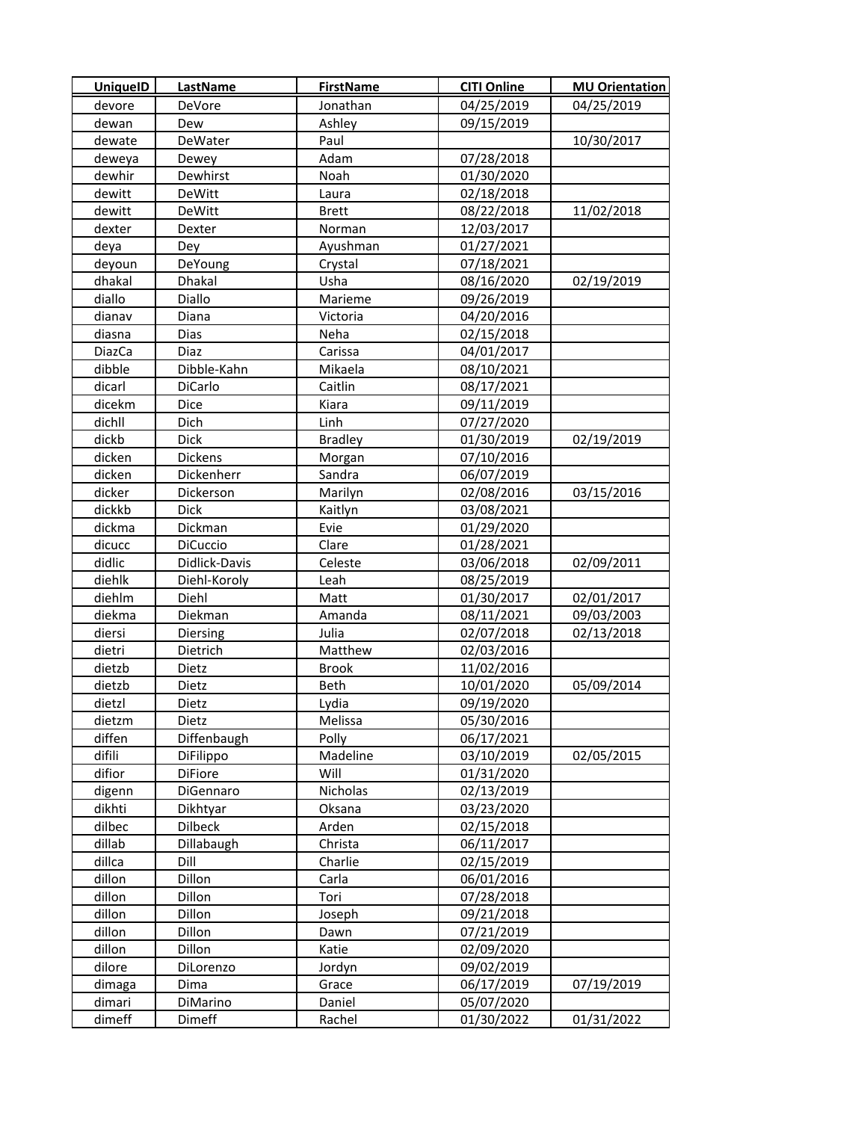| <b>UniquelD</b> | <b>LastName</b> | <b>FirstName</b> | <b>CITI Online</b> | <b>MU Orientation</b> |
|-----------------|-----------------|------------------|--------------------|-----------------------|
| devore          | DeVore          | Jonathan         | 04/25/2019         | 04/25/2019            |
| dewan           | Dew             | Ashley           | 09/15/2019         |                       |
| dewate          | DeWater         | Paul             |                    | 10/30/2017            |
| deweya          | Dewey           | Adam             | 07/28/2018         |                       |
| dewhir          | Dewhirst        | Noah             | 01/30/2020         |                       |
| dewitt          | DeWitt          | Laura            | 02/18/2018         |                       |
| dewitt          | DeWitt          | <b>Brett</b>     | 08/22/2018         | 11/02/2018            |
| dexter          | Dexter          | Norman           | 12/03/2017         |                       |
| deya            | Dey             | Ayushman         | 01/27/2021         |                       |
| deyoun          | DeYoung         | Crystal          | 07/18/2021         |                       |
| dhakal          | Dhakal          | Usha             | 08/16/2020         | 02/19/2019            |
| diallo          | Diallo          | Marieme          | 09/26/2019         |                       |
| dianav          | Diana           | Victoria         | 04/20/2016         |                       |
| diasna          | Dias            | Neha             | 02/15/2018         |                       |
| DiazCa          | Diaz            | Carissa          | 04/01/2017         |                       |
| dibble          | Dibble-Kahn     | Mikaela          | 08/10/2021         |                       |
| dicarl          | DiCarlo         | Caitlin          | 08/17/2021         |                       |
| dicekm          | Dice            | Kiara            | 09/11/2019         |                       |
| dichll          | Dich            | Linh             | 07/27/2020         |                       |
| dickb           | Dick            | <b>Bradley</b>   | 01/30/2019         | 02/19/2019            |
| dicken          | Dickens         | Morgan           | 07/10/2016         |                       |
| dicken          | Dickenherr      | Sandra           | 06/07/2019         |                       |
| dicker          | Dickerson       | Marilyn          | 02/08/2016         | 03/15/2016            |
| dickkb          | <b>Dick</b>     | Kaitlyn          | 03/08/2021         |                       |
| dickma          | Dickman         | Evie             | 01/29/2020         |                       |
| dicucc          | <b>DiCuccio</b> | Clare            | 01/28/2021         |                       |
| didlic          | Didlick-Davis   | Celeste          | 03/06/2018         | 02/09/2011            |
| diehlk          | Diehl-Koroly    | Leah             | 08/25/2019         |                       |
| diehlm          | Diehl           | Matt             | 01/30/2017         | 02/01/2017            |
| diekma          | Diekman         | Amanda           | 08/11/2021         | 09/03/2003            |
| diersi          | <b>Diersing</b> | Julia            | 02/07/2018         | 02/13/2018            |
| dietri          | Dietrich        | Matthew          | 02/03/2016         |                       |
| dietzb          | Dietz           | <b>Brook</b>     | 11/02/2016         |                       |
| dietzb          | Dietz           | Beth             | 10/01/2020         | 05/09/2014            |
| dietzl          | Dietz           | Lydia            | 09/19/2020         |                       |
| dietzm          | Dietz           | Melissa          | 05/30/2016         |                       |
| diffen          | Diffenbaugh     | Polly            | 06/17/2021         |                       |
| difili          | DiFilippo       | Madeline         | 03/10/2019         | 02/05/2015            |
| difior          | DiFiore         | Will             | 01/31/2020         |                       |
| digenn          | DiGennaro       | Nicholas         | 02/13/2019         |                       |
| dikhti          | Dikhtyar        | Oksana           | 03/23/2020         |                       |
| dilbec          | Dilbeck         | Arden            | 02/15/2018         |                       |
| dillab          | Dillabaugh      | Christa          | 06/11/2017         |                       |
| dillca          | Dill            | Charlie          | 02/15/2019         |                       |
| dillon          | Dillon          | Carla            | 06/01/2016         |                       |
| dillon          | Dillon          | Tori             | 07/28/2018         |                       |
| dillon          | Dillon          | Joseph           | 09/21/2018         |                       |
| dillon          | Dillon          | Dawn             | 07/21/2019         |                       |
| dillon          | Dillon          | Katie            | 02/09/2020         |                       |
| dilore          | DiLorenzo       | Jordyn           | 09/02/2019         |                       |
| dimaga          | Dima            | Grace            | 06/17/2019         | 07/19/2019            |
| dimari          | DiMarino        | Daniel           | 05/07/2020         |                       |
| dimeff          | Dimeff          | Rachel           | 01/30/2022         | 01/31/2022            |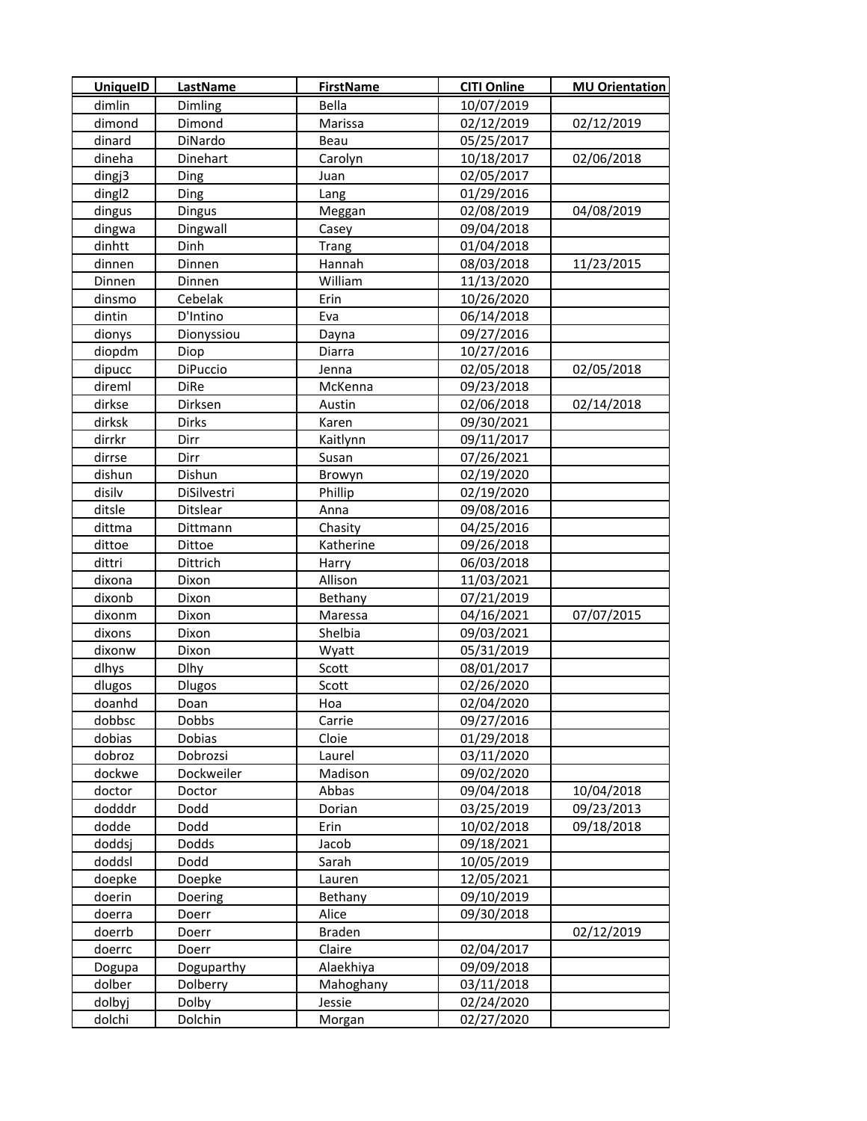| <b>UniquelD</b>    | <b>LastName</b> | <b>FirstName</b> | <b>CITI Online</b> | <b>MU Orientation</b> |
|--------------------|-----------------|------------------|--------------------|-----------------------|
| dimlin             | Dimling         | Bella            | 10/07/2019         |                       |
| dimond             | Dimond          | Marissa          | 02/12/2019         | 02/12/2019            |
| dinard             | DiNardo         | Beau             | 05/25/2017         |                       |
| dineha             | Dinehart        | Carolyn          | 10/18/2017         | 02/06/2018            |
| dingj3             | Ding            | Juan             | 02/05/2017         |                       |
| ding <sub>12</sub> | Ding            | Lang             | 01/29/2016         |                       |
| dingus             | Dingus          | Meggan           | 02/08/2019         | 04/08/2019            |
| dingwa             | Dingwall        | Casey            | 09/04/2018         |                       |
| dinhtt             | Dinh            | Trang            | 01/04/2018         |                       |
| dinnen             | Dinnen          | Hannah           | 08/03/2018         | 11/23/2015            |
| Dinnen             | Dinnen          | William          | 11/13/2020         |                       |
| dinsmo             | Cebelak         | Erin             | 10/26/2020         |                       |
| dintin             | D'Intino        | Eva              | 06/14/2018         |                       |
| dionys             | Dionyssiou      | Dayna            | 09/27/2016         |                       |
| diopdm             | Diop            | Diarra           | 10/27/2016         |                       |
| dipucc             | DiPuccio        | Jenna            | 02/05/2018         | 02/05/2018            |
| direml             | <b>DiRe</b>     | McKenna          | 09/23/2018         |                       |
| dirkse             | Dirksen         | Austin           | 02/06/2018         | 02/14/2018            |
| dirksk             | <b>Dirks</b>    | Karen            | 09/30/2021         |                       |
| dirrkr             | Dirr            | Kaitlynn         | 09/11/2017         |                       |
| dirrse             | Dirr            | Susan            | 07/26/2021         |                       |
| dishun             | Dishun          | Browyn           | 02/19/2020         |                       |
| disilv             | DiSilvestri     | Phillip          | 02/19/2020         |                       |
| ditsle             | Ditslear        | Anna             | 09/08/2016         |                       |
| dittma             | Dittmann        | Chasity          | 04/25/2016         |                       |
| dittoe             | Dittoe          | Katherine        | 09/26/2018         |                       |
| dittri             | Dittrich        | Harry            | 06/03/2018         |                       |
| dixona             | Dixon           | Allison          | 11/03/2021         |                       |
| dixonb             | Dixon           | Bethany          | 07/21/2019         |                       |
| dixonm             | Dixon           | Maressa          | 04/16/2021         | 07/07/2015            |
| dixons             | Dixon           | Shelbia          | 09/03/2021         |                       |
| dixonw             | Dixon           | Wyatt            | 05/31/2019         |                       |
| dlhys              | <b>Dlhy</b>     | Scott            | 08/01/2017         |                       |
| dlugos             | <b>Dlugos</b>   | Scott            | 02/26/2020         |                       |
| doanhd             | Doan            | Hoa              | 02/04/2020         |                       |
| dobbsc             | Dobbs           | Carrie           | 09/27/2016         |                       |
| dobias             | Dobias          | Cloie            | 01/29/2018         |                       |
| dobroz             | Dobrozsi        | Laurel           | 03/11/2020         |                       |
| dockwe             | Dockweiler      | Madison          | 09/02/2020         |                       |
| doctor             | Doctor          | Abbas            | 09/04/2018         | 10/04/2018            |
| dodddr             | Dodd            | Dorian           | 03/25/2019         | 09/23/2013            |
| dodde              | Dodd            | Erin             | 10/02/2018         | 09/18/2018            |
| doddsj             | Dodds           | Jacob            | 09/18/2021         |                       |
| doddsl             | Dodd            | Sarah            | 10/05/2019         |                       |
| doepke             | Doepke          | Lauren           | 12/05/2021         |                       |
| doerin             | Doering         | Bethany          | 09/10/2019         |                       |
| doerra             | Doerr           | Alice            | 09/30/2018         |                       |
| doerrb             | Doerr           | Braden           |                    | 02/12/2019            |
| doerrc             | Doerr           | Claire           | 02/04/2017         |                       |
| Dogupa             | Doguparthy      | Alaekhiya        | 09/09/2018         |                       |
| dolber             | Dolberry        | Mahoghany        | 03/11/2018         |                       |
| dolbyj             | Dolby           | Jessie           | 02/24/2020         |                       |
| dolchi             | Dolchin         | Morgan           | 02/27/2020         |                       |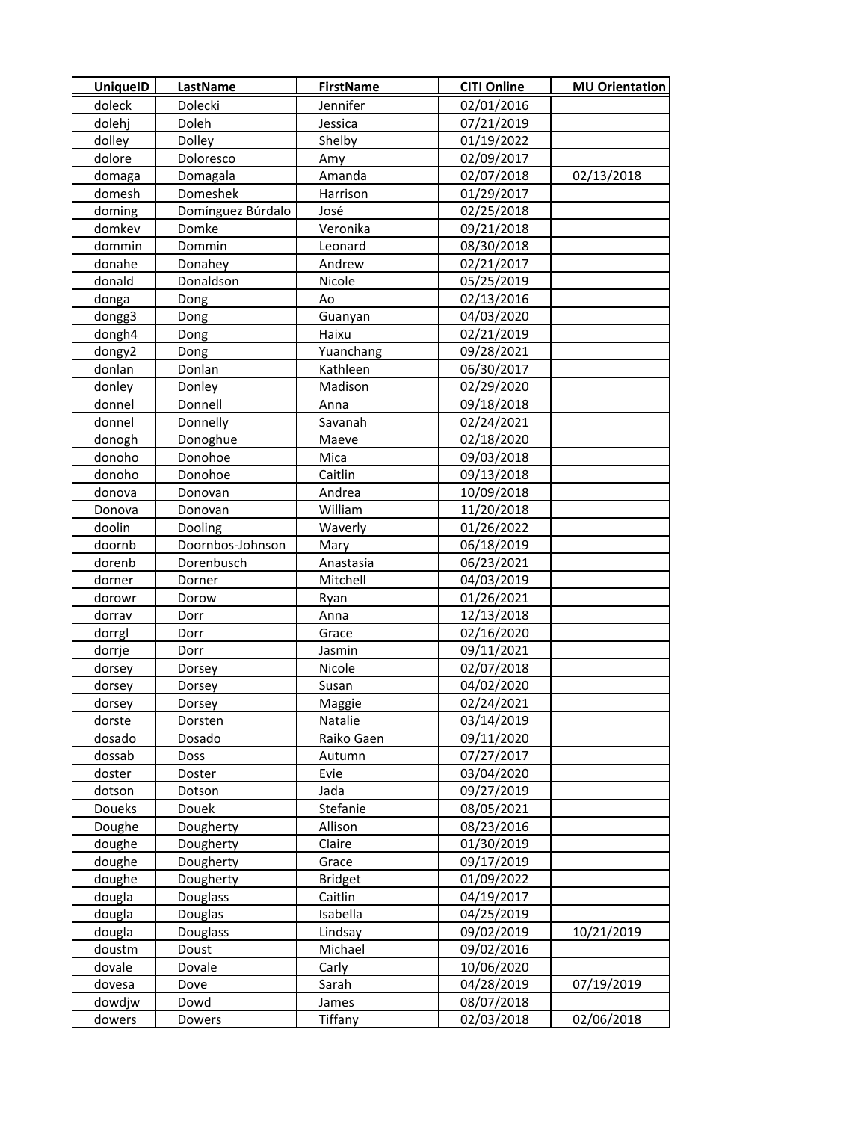| <b>UniquelD</b> | LastName          | <b>FirstName</b> | <b>CITI Online</b> | <b>MU Orientation</b> |
|-----------------|-------------------|------------------|--------------------|-----------------------|
| doleck          | Dolecki           | Jennifer         | 02/01/2016         |                       |
| dolehj          | Doleh             | Jessica          | 07/21/2019         |                       |
| dolley          | Dolley            | Shelby           | 01/19/2022         |                       |
| dolore          | Doloresco         | Amy              | 02/09/2017         |                       |
| domaga          | Domagala          | Amanda           | 02/07/2018         | 02/13/2018            |
| domesh          | Domeshek          | Harrison         | 01/29/2017         |                       |
| doming          | Domínguez Búrdalo | José             | 02/25/2018         |                       |
| domkev          | Domke             | Veronika         | 09/21/2018         |                       |
| dommin          | Dommin            | Leonard          | 08/30/2018         |                       |
| donahe          | Donahey           | Andrew           | 02/21/2017         |                       |
| donald          | Donaldson         | Nicole           | 05/25/2019         |                       |
| donga           | Dong              | Ao               | 02/13/2016         |                       |
| dongg3          | Dong              | Guanyan          | 04/03/2020         |                       |
| dongh4          | Dong              | Haixu            | 02/21/2019         |                       |
| dongy2          | Dong              | Yuanchang        | 09/28/2021         |                       |
| donlan          | Donlan            | Kathleen         | 06/30/2017         |                       |
| donley          | Donley            | Madison          | 02/29/2020         |                       |
| donnel          | Donnell           | Anna             | 09/18/2018         |                       |
| donnel          | Donnelly          | Savanah          | 02/24/2021         |                       |
| donogh          | Donoghue          | Maeve            | 02/18/2020         |                       |
| donoho          | Donohoe           | Mica             | 09/03/2018         |                       |
| donoho          | Donohoe           | Caitlin          | 09/13/2018         |                       |
| donova          | Donovan           | Andrea           | 10/09/2018         |                       |
| Donova          | Donovan           | William          | 11/20/2018         |                       |
| doolin          | Dooling           | Waverly          | 01/26/2022         |                       |
| doornb          | Doornbos-Johnson  | Mary             | 06/18/2019         |                       |
| dorenb          | Dorenbusch        | Anastasia        | 06/23/2021         |                       |
| dorner          | Dorner            | Mitchell         | 04/03/2019         |                       |
| dorowr          | Dorow             | Ryan             | 01/26/2021         |                       |
| dorrav          | Dorr              | Anna             | 12/13/2018         |                       |
| dorrgl          | Dorr              | Grace            | 02/16/2020         |                       |
| dorrje          | Dorr              | Jasmin           | 09/11/2021         |                       |
| dorsey          | Dorsey            | Nicole           | 02/07/2018         |                       |
| dorsey          | Dorsey            | Susan            | 04/02/2020         |                       |
| dorsey          | Dorsey            | Maggie           | 02/24/2021         |                       |
| dorste          | Dorsten           | Natalie          | 03/14/2019         |                       |
| dosado          | Dosado            | Raiko Gaen       | 09/11/2020         |                       |
| dossab          | Doss              | Autumn           | 07/27/2017         |                       |
| doster          | Doster            | Evie             | 03/04/2020         |                       |
| dotson          | Dotson            | Jada             | 09/27/2019         |                       |
| Doueks          | Douek             | Stefanie         | 08/05/2021         |                       |
| Doughe          | Dougherty         | Allison          | 08/23/2016         |                       |
| doughe          | Dougherty         | Claire           | 01/30/2019         |                       |
| doughe          | Dougherty         | Grace            | 09/17/2019         |                       |
| doughe          | Dougherty         | <b>Bridget</b>   | 01/09/2022         |                       |
| dougla          | Douglass          | Caitlin          | 04/19/2017         |                       |
| dougla          | Douglas           | Isabella         | 04/25/2019         |                       |
| dougla          | Douglass          | Lindsay          | 09/02/2019         | 10/21/2019            |
| doustm          | Doust             | Michael          | 09/02/2016         |                       |
| dovale          | Dovale            | Carly            | 10/06/2020         |                       |
| dovesa          | Dove              | Sarah            | 04/28/2019         | 07/19/2019            |
| dowdjw          | Dowd              | James            | 08/07/2018         |                       |
| dowers          | Dowers            | <b>Tiffany</b>   | 02/03/2018         | 02/06/2018            |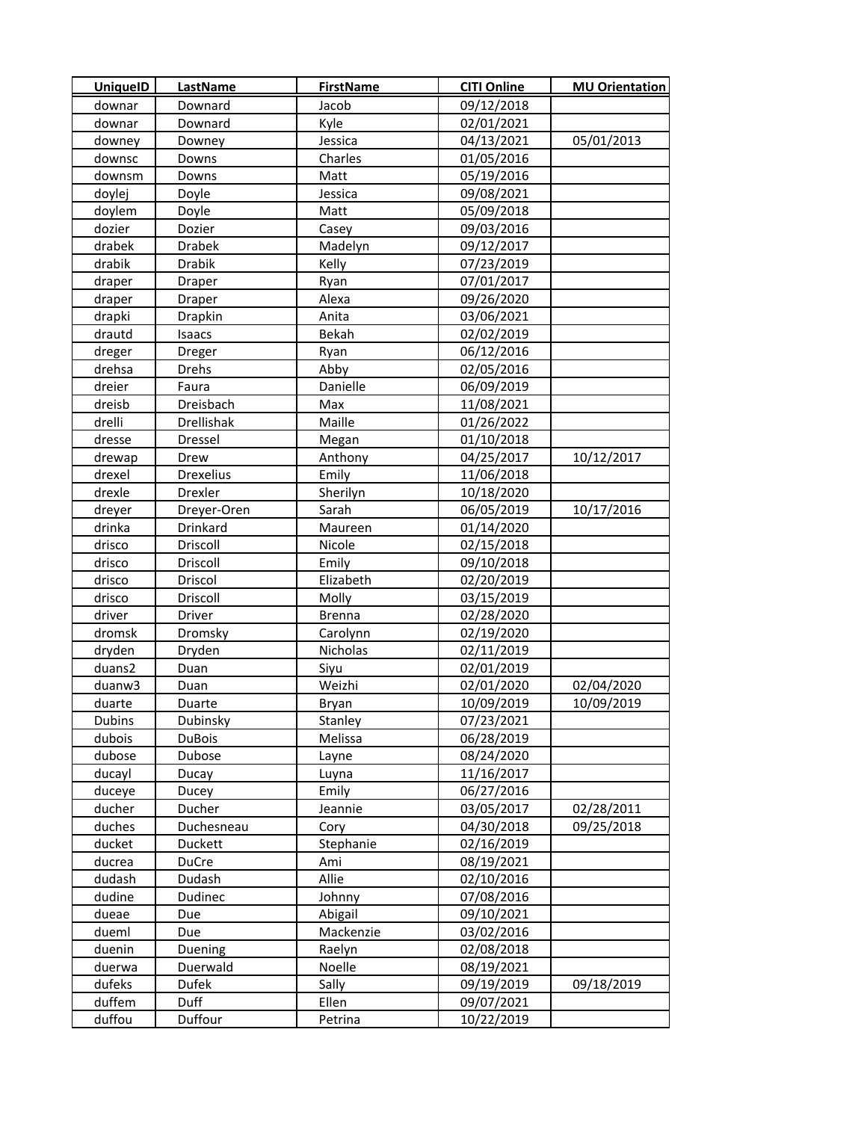| <b>UniquelD</b> | LastName         | <b>FirstName</b> | <b>CITI Online</b> | <b>MU Orientation</b> |
|-----------------|------------------|------------------|--------------------|-----------------------|
| downar          | Downard          | Jacob            | 09/12/2018         |                       |
| downar          | Downard          | Kyle             | 02/01/2021         |                       |
| downey          | Downey           | Jessica          | 04/13/2021         | 05/01/2013            |
| downsc          | Downs            | Charles          | 01/05/2016         |                       |
| downsm          | Downs            | Matt             | 05/19/2016         |                       |
| doylej          | Doyle            | Jessica          | 09/08/2021         |                       |
| doylem          | Doyle            | Matt             | 05/09/2018         |                       |
| dozier          | Dozier           | Casey            | 09/03/2016         |                       |
| drabek          | <b>Drabek</b>    | Madelyn          | 09/12/2017         |                       |
| drabik          | Drabik           | Kelly            | 07/23/2019         |                       |
| draper          | Draper           | Ryan             | 07/01/2017         |                       |
| draper          | Draper           | Alexa            | 09/26/2020         |                       |
| drapki          | Drapkin          | Anita            | 03/06/2021         |                       |
| drautd          | Isaacs           | Bekah            | 02/02/2019         |                       |
| dreger          | Dreger           | Ryan             | 06/12/2016         |                       |
| drehsa          | Drehs            | Abby             | 02/05/2016         |                       |
| dreier          | Faura            | Danielle         | 06/09/2019         |                       |
| dreisb          | Dreisbach        | Max              | 11/08/2021         |                       |
| drelli          | Drellishak       | Maille           | 01/26/2022         |                       |
| dresse          | Dressel          | Megan            | 01/10/2018         |                       |
| drewap          | Drew             | Anthony          | 04/25/2017         | 10/12/2017            |
| drexel          | <b>Drexelius</b> | Emily            | 11/06/2018         |                       |
| drexle          | Drexler          | Sherilyn         | 10/18/2020         |                       |
| dreyer          | Dreyer-Oren      | Sarah            | 06/05/2019         | 10/17/2016            |
| drinka          | Drinkard         | Maureen          | 01/14/2020         |                       |
| drisco          | Driscoll         | Nicole           | 02/15/2018         |                       |
| drisco          | Driscoll         | Emily            | 09/10/2018         |                       |
| drisco          | Driscol          | Elizabeth        | 02/20/2019         |                       |
| drisco          | Driscoll         | Molly            | 03/15/2019         |                       |
| driver          | Driver           | <b>Brenna</b>    | 02/28/2020         |                       |
| dromsk          | Dromsky          | Carolynn         | 02/19/2020         |                       |
| dryden          | Dryden           | Nicholas         | 02/11/2019         |                       |
| duans2          | Duan             | Siyu             | 02/01/2019         |                       |
| duanw3          | Duan             | Weizhi           | 02/01/2020         | 02/04/2020            |
| duarte          | Duarte           | Bryan            | 10/09/2019         | 10/09/2019            |
| Dubins          | Dubinsky         | Stanley          | 07/23/2021         |                       |
| dubois          | <b>DuBois</b>    | Melissa          | 06/28/2019         |                       |
| dubose          | Dubose           | Layne            | 08/24/2020         |                       |
| ducayl          | Ducay            | Luyna            | 11/16/2017         |                       |
| duceye          | Ducey            | Emily            | 06/27/2016         |                       |
| ducher          | Ducher           | Jeannie          | 03/05/2017         | 02/28/2011            |
| duches          | Duchesneau       | Cory             | 04/30/2018         | 09/25/2018            |
| ducket          | Duckett          | Stephanie        | 02/16/2019         |                       |
| ducrea          | DuCre            | Ami              | 08/19/2021         |                       |
| dudash          | Dudash           | Allie            | 02/10/2016         |                       |
| dudine          | Dudinec          | Johnny           | 07/08/2016         |                       |
| dueae           | Due              | Abigail          | 09/10/2021         |                       |
| dueml           | Due              | Mackenzie        | 03/02/2016         |                       |
| duenin          | Duening          | Raelyn           | 02/08/2018         |                       |
| duerwa          | Duerwald         | Noelle           | 08/19/2021         |                       |
| dufeks          | Dufek            | Sally            | 09/19/2019         | 09/18/2019            |
| duffem          | Duff             | Ellen            | 09/07/2021         |                       |
| duffou          | Duffour          | Petrina          | 10/22/2019         |                       |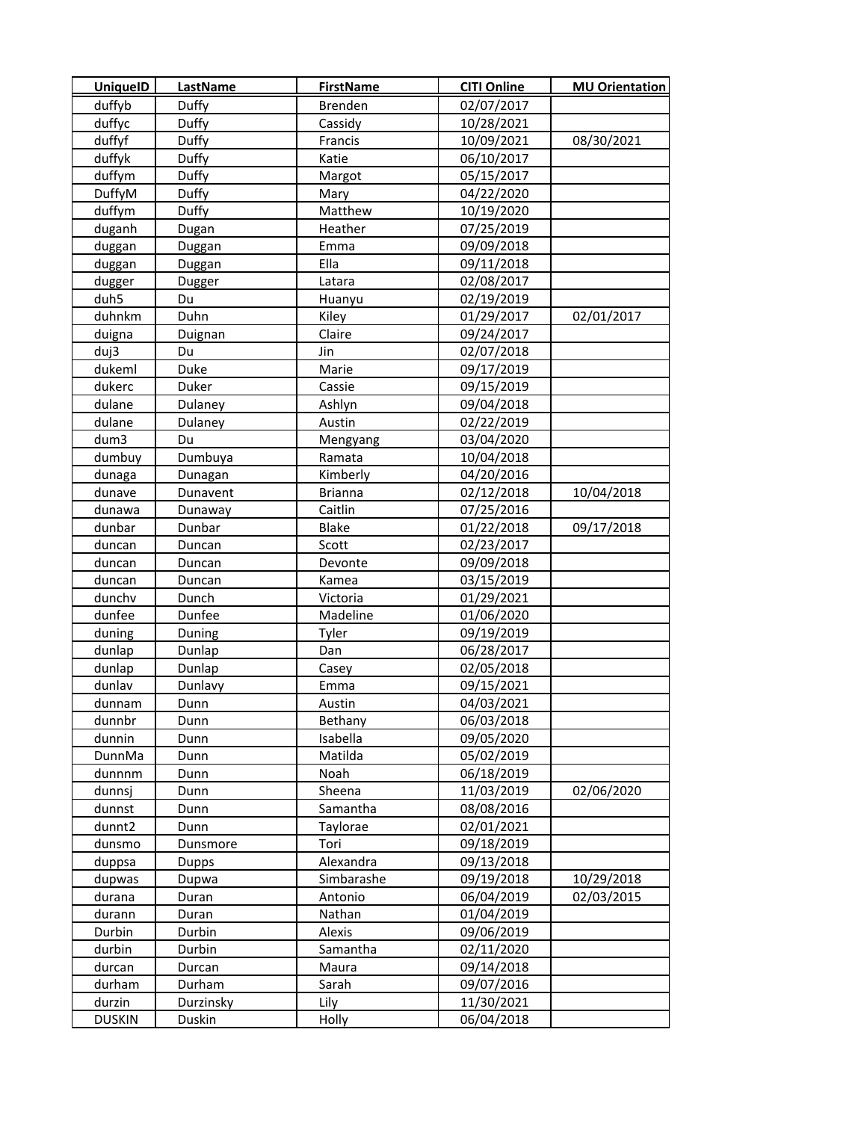| UniquelD      | <b>LastName</b> | <b>FirstName</b> | <b>CITI Online</b> | <b>MU Orientation</b> |
|---------------|-----------------|------------------|--------------------|-----------------------|
| duffyb        | Duffy           | Brenden          | 02/07/2017         |                       |
| duffyc        | Duffy           | Cassidy          | 10/28/2021         |                       |
| duffyf        | Duffy           | Francis          | 10/09/2021         | 08/30/2021            |
| duffyk        | Duffy           | Katie            | 06/10/2017         |                       |
| duffym        | Duffy           | Margot           | 05/15/2017         |                       |
| DuffyM        | Duffy           | Mary             | 04/22/2020         |                       |
| duffym        | Duffy           | Matthew          | 10/19/2020         |                       |
| duganh        | Dugan           | Heather          | 07/25/2019         |                       |
| duggan        | Duggan          | Emma             | 09/09/2018         |                       |
| duggan        | Duggan          | Ella             | 09/11/2018         |                       |
| dugger        | Dugger          | Latara           | 02/08/2017         |                       |
| duh5          | Du              | Huanyu           | 02/19/2019         |                       |
| duhnkm        | Duhn            | Kiley            | 01/29/2017         | 02/01/2017            |
| duigna        | Duignan         | Claire           | 09/24/2017         |                       |
| duj3          | Du              | Jin              | 02/07/2018         |                       |
| dukeml        | Duke            | Marie            | 09/17/2019         |                       |
| dukerc        | Duker           | Cassie           | 09/15/2019         |                       |
| dulane        | Dulaney         | Ashlyn           | 09/04/2018         |                       |
| dulane        | Dulaney         | Austin           | 02/22/2019         |                       |
| dum3          | Du              | Mengyang         | 03/04/2020         |                       |
| dumbuy        | Dumbuya         | Ramata           | 10/04/2018         |                       |
| dunaga        | Dunagan         | Kimberly         | 04/20/2016         |                       |
| dunave        | Dunavent        | <b>Brianna</b>   | 02/12/2018         | 10/04/2018            |
| dunawa        | Dunaway         | Caitlin          | 07/25/2016         |                       |
| dunbar        | Dunbar          | <b>Blake</b>     | 01/22/2018         | 09/17/2018            |
| duncan        | Duncan          | Scott            | 02/23/2017         |                       |
| duncan        | Duncan          | Devonte          | 09/09/2018         |                       |
| duncan        | Duncan          | Kamea            | 03/15/2019         |                       |
| dunchv        | Dunch           | Victoria         | 01/29/2021         |                       |
| dunfee        | Dunfee          | Madeline         | 01/06/2020         |                       |
| duning        | Duning          | Tyler            | 09/19/2019         |                       |
| dunlap        | Dunlap          | Dan              | 06/28/2017         |                       |
| dunlap        | Dunlap          | Casey            | 02/05/2018         |                       |
| dunlav        | Dunlavy         | Emma             | 09/15/2021         |                       |
| dunnam        | Dunn            | Austin           | 04/03/2021         |                       |
| dunnbr        | Dunn            | Bethany          | 06/03/2018         |                       |
| dunnin        | Dunn            | Isabella         | 09/05/2020         |                       |
| DunnMa        | Dunn            | Matilda          | 05/02/2019         |                       |
| dunnnm        | Dunn            | Noah             | 06/18/2019         |                       |
| dunnsj        | Dunn            | Sheena           | 11/03/2019         | 02/06/2020            |
| dunnst        | Dunn            | Samantha         | 08/08/2016         |                       |
| dunnt2        | Dunn            | Taylorae         | 02/01/2021         |                       |
| dunsmo        | Dunsmore        | Tori             | 09/18/2019         |                       |
| duppsa        | Dupps           | Alexandra        | 09/13/2018         |                       |
| dupwas        | Dupwa           | Simbarashe       | 09/19/2018         | 10/29/2018            |
| durana        | Duran           | Antonio          | 06/04/2019         | 02/03/2015            |
| durann        | Duran           | Nathan           | 01/04/2019         |                       |
| Durbin        | Durbin          | Alexis           | 09/06/2019         |                       |
| durbin        | Durbin          | Samantha         | 02/11/2020         |                       |
| durcan        | Durcan          | Maura            | 09/14/2018         |                       |
| durham        | Durham          | Sarah            | 09/07/2016         |                       |
| durzin        | Durzinsky       | Lily             | 11/30/2021         |                       |
| <b>DUSKIN</b> | Duskin          | Holly            | 06/04/2018         |                       |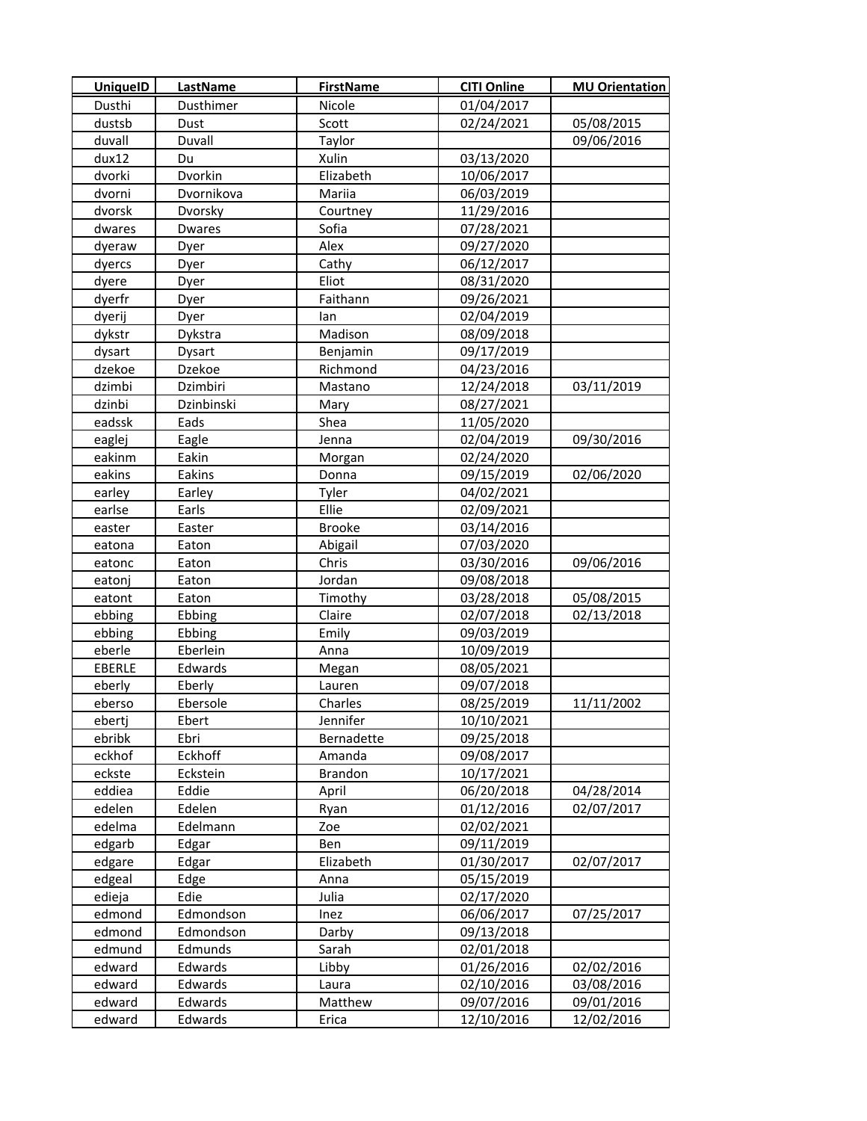| <b>UniquelD</b> | <b>LastName</b> | <b>FirstName</b> | <b>CITI Online</b> | <b>MU Orientation</b> |
|-----------------|-----------------|------------------|--------------------|-----------------------|
| Dusthi          | Dusthimer       | Nicole           | 01/04/2017         |                       |
| dustsb          | Dust            | Scott            | 02/24/2021         | 05/08/2015            |
| duvall          | Duvall          | Taylor           |                    | 09/06/2016            |
| dux12           | Du              | Xulin            | 03/13/2020         |                       |
| dvorki          | Dvorkin         | Elizabeth        | 10/06/2017         |                       |
| dvorni          | Dvornikova      | Mariia           | 06/03/2019         |                       |
| dvorsk          | Dvorsky         | Courtney         | 11/29/2016         |                       |
| dwares          | <b>Dwares</b>   | Sofia            | 07/28/2021         |                       |
| dyeraw          | Dyer            | Alex             | 09/27/2020         |                       |
| dyercs          | Dyer            | Cathy            | 06/12/2017         |                       |
| dyere           | Dyer            | Eliot            | 08/31/2020         |                       |
| dyerfr          | Dyer            | Faithann         | 09/26/2021         |                       |
| dyerij          | Dyer            | lan              | 02/04/2019         |                       |
| dykstr          | Dykstra         | Madison          | 08/09/2018         |                       |
| dysart          | Dysart          | Benjamin         | 09/17/2019         |                       |
| dzekoe          | Dzekoe          | Richmond         | 04/23/2016         |                       |
| dzimbi          | Dzimbiri        | Mastano          | 12/24/2018         | 03/11/2019            |
| dzinbi          | Dzinbinski      | Mary             | 08/27/2021         |                       |
| eadssk          | Eads            | Shea             | 11/05/2020         |                       |
| eaglej          | Eagle           | Jenna            | 02/04/2019         | 09/30/2016            |
| eakinm          | Eakin           | Morgan           | 02/24/2020         |                       |
| eakins          | Eakins          | Donna            | 09/15/2019         | 02/06/2020            |
| earley          | Earley          | Tyler            | 04/02/2021         |                       |
| earlse          | Earls           | Ellie            | 02/09/2021         |                       |
| easter          | Easter          | <b>Brooke</b>    | 03/14/2016         |                       |
| eatona          | Eaton           | Abigail          | 07/03/2020         |                       |
| eatonc          | Eaton           | Chris            | 03/30/2016         | 09/06/2016            |
| eatonj          | Eaton           | Jordan           | 09/08/2018         |                       |
| eatont          | Eaton           | Timothy          | 03/28/2018         | 05/08/2015            |
| ebbing          | Ebbing          | Claire           | 02/07/2018         | 02/13/2018            |
| ebbing          | Ebbing          | Emily            | 09/03/2019         |                       |
| eberle          | Eberlein        | Anna             | 10/09/2019         |                       |
| EBERLE          | Edwards         | Megan            | 08/05/2021         |                       |
| eberly          | Eberly          | Lauren           | 09/07/2018         |                       |
| eberso          | Ebersole        | Charles          | 08/25/2019         | 11/11/2002            |
| ebertj          | Ebert           | Jennifer         | 10/10/2021         |                       |
| ebribk          | Ebri            | Bernadette       | 09/25/2018         |                       |
| eckhof          | Eckhoff         | Amanda           | 09/08/2017         |                       |
| eckste          | Eckstein        | <b>Brandon</b>   | 10/17/2021         |                       |
| eddiea          | Eddie           | April            | 06/20/2018         | 04/28/2014            |
| edelen          | Edelen          | Ryan             | 01/12/2016         | 02/07/2017            |
| edelma          | Edelmann        | Zoe              | 02/02/2021         |                       |
| edgarb          | Edgar           | Ben              | 09/11/2019         |                       |
| edgare          | Edgar           | Elizabeth        | 01/30/2017         | 02/07/2017            |
| edgeal          | Edge            | Anna             | 05/15/2019         |                       |
| edieja          | Edie            | Julia            | 02/17/2020         |                       |
| edmond          | Edmondson       | Inez             | 06/06/2017         | 07/25/2017            |
| edmond          | Edmondson       | Darby            | 09/13/2018         |                       |
| edmund          | Edmunds         | Sarah            | 02/01/2018         |                       |
| edward          | Edwards         | Libby            | 01/26/2016         | 02/02/2016            |
| edward          | Edwards         | Laura            | 02/10/2016         | 03/08/2016            |
| edward          | Edwards         | Matthew          | 09/07/2016         | 09/01/2016            |
| edward          | Edwards         | Erica            | 12/10/2016         | 12/02/2016            |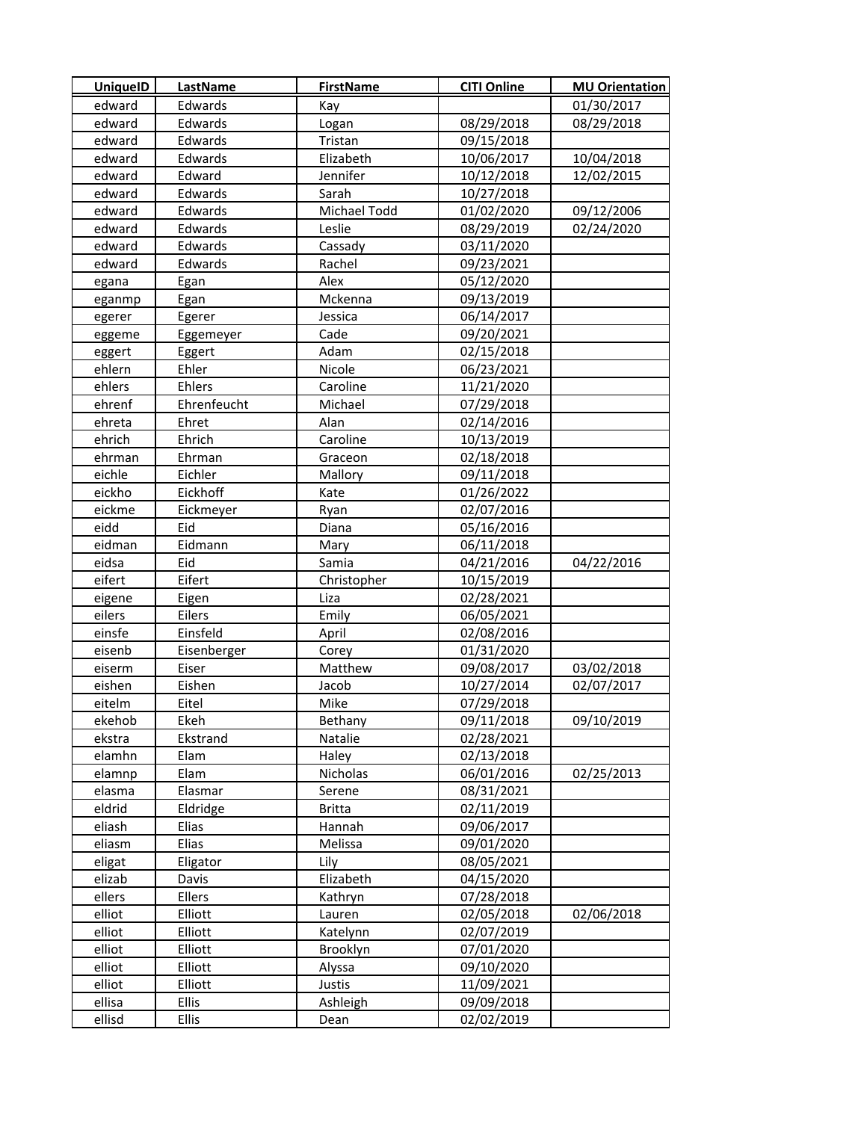|                                                                              | <b>MU Orientation</b> |
|------------------------------------------------------------------------------|-----------------------|
| edward<br>Edwards<br>Kay                                                     | 01/30/2017            |
| Edwards<br>edward<br>08/29/2018<br>Logan                                     | 08/29/2018            |
| Edwards<br>edward<br>Tristan<br>09/15/2018                                   |                       |
| Edwards<br>Elizabeth<br>10/06/2017<br>edward                                 | 10/04/2018            |
| edward<br>Edward<br>Jennifer<br>10/12/2018                                   | 12/02/2015            |
| Edwards<br>Sarah<br>10/27/2018<br>edward                                     |                       |
| Michael Todd<br>edward<br>Edwards<br>01/02/2020                              | 09/12/2006            |
| edward<br>08/29/2019<br>Edwards<br>Leslie                                    | 02/24/2020            |
| edward<br>Edwards<br>03/11/2020<br>Cassady                                   |                       |
| edward<br>Edwards<br>Rachel<br>09/23/2021                                    |                       |
| Alex<br>05/12/2020<br>Egan<br>egana                                          |                       |
| 09/13/2019<br>Egan<br>Mckenna<br>eganmp                                      |                       |
| 06/14/2017<br>Egerer<br>Jessica<br>egerer                                    |                       |
| Cade<br>09/20/2021<br><b>Eggemeyer</b><br>eggeme                             |                       |
| Adam<br>02/15/2018<br>Eggert<br>eggert                                       |                       |
| ehlern<br>Ehler<br>Nicole<br>06/23/2021                                      |                       |
| ehlers<br>Ehlers<br>Caroline<br>11/21/2020                                   |                       |
| ehrenf<br>Ehrenfeucht<br>Michael<br>07/29/2018                               |                       |
| Ehret<br>Alan<br>02/14/2016<br>ehreta                                        |                       |
| 10/13/2019<br>ehrich<br>Ehrich<br>Caroline                                   |                       |
| 02/18/2018<br>ehrman<br>Ehrman<br>Graceon                                    |                       |
| eichle<br>Eichler<br>09/11/2018<br>Mallory                                   |                       |
| eickho<br>Eickhoff<br>Kate<br>01/26/2022                                     |                       |
| eickme<br>02/07/2016<br>Eickmeyer<br>Ryan                                    |                       |
| eidd<br>Eid<br>Diana<br>05/16/2016                                           |                       |
| eidman<br>Eidmann<br>06/11/2018<br>Mary                                      |                       |
| eidsa<br>Eid<br>Samia<br>04/21/2016                                          | 04/22/2016            |
| eifert<br>Eifert<br>Christopher<br>10/15/2019                                |                       |
| Liza<br>02/28/2021<br>eigene<br>Eigen                                        |                       |
| eilers<br>Eilers<br>Emily<br>06/05/2021                                      |                       |
| Einsfeld<br>einsfe<br>April<br>02/08/2016                                    |                       |
| eisenb<br>Eisenberger<br>01/31/2020<br>Corey                                 |                       |
| 09/08/2017<br>Eiser<br>Matthew<br>eiserm                                     | 03/02/2018            |
| Eishen<br>10/27/2014<br>eishen<br>Jacob                                      | 02/07/2017            |
| 07/29/2018<br>Eitel<br>eitelm<br>Mike                                        |                       |
| ekehob<br>Ekeh<br>09/11/2018<br>Bethany                                      | 09/10/2019            |
| Natalie<br>02/28/2021<br>ekstra<br>Ekstrand                                  |                       |
| elamhn<br>Elam<br>02/13/2018<br>Haley                                        |                       |
| Nicholas<br>Elam<br>06/01/2016<br>elamnp                                     | 02/25/2013            |
| elasma<br>Elasmar<br>08/31/2021<br>Serene                                    |                       |
| eldrid<br><b>Britta</b><br>02/11/2019<br>Eldridge                            |                       |
| Hannah<br>eliash<br>09/06/2017<br>Elias                                      |                       |
| eliasm<br>Elias<br>09/01/2020<br>Melissa                                     |                       |
| eligat<br>08/05/2021<br>Eligator<br>Lily                                     |                       |
| Elizabeth<br>elizab<br>04/15/2020<br>Davis<br>ellers<br>Ellers<br>07/28/2018 |                       |
| Kathryn<br>elliot<br>Elliott<br>Lauren<br>02/05/2018                         | 02/06/2018            |
| elliot<br>Elliott<br>02/07/2019<br>Katelynn                                  |                       |
| 07/01/2020<br>elliot<br>Elliott<br>Brooklyn                                  |                       |
| elliot<br>09/10/2020<br>Elliott<br>Alyssa                                    |                       |
| elliot<br>Justis<br>Elliott<br>11/09/2021                                    |                       |
| ellisa<br><b>Ellis</b><br>Ashleigh<br>09/09/2018                             |                       |
| ellisd<br>Ellis<br>02/02/2019<br>Dean                                        |                       |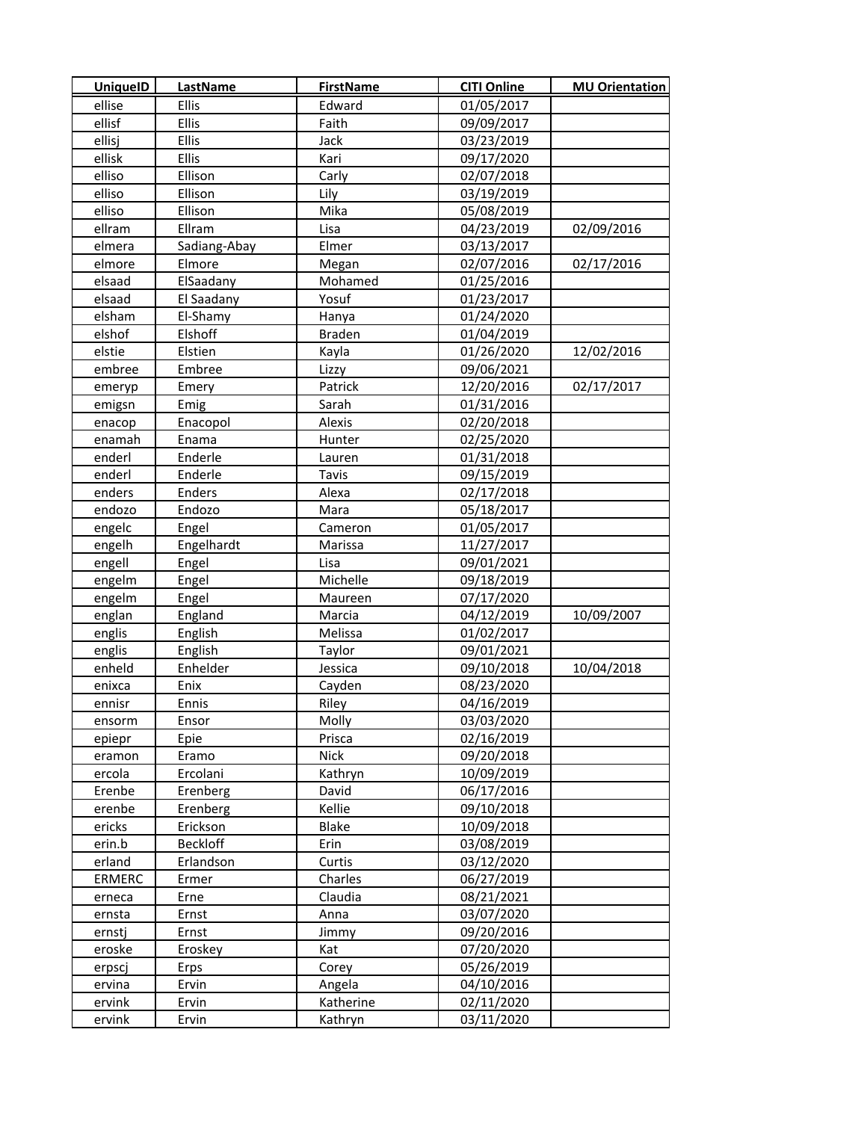| <b>UniquelD</b> | <b>LastName</b> | <b>FirstName</b> | <b>CITI Online</b> | <b>MU Orientation</b> |
|-----------------|-----------------|------------------|--------------------|-----------------------|
| ellise          | Ellis           | Edward           | 01/05/2017         |                       |
| ellisf          | Ellis           | Faith            | 09/09/2017         |                       |
| ellisj          | <b>Ellis</b>    | Jack             | 03/23/2019         |                       |
| ellisk          | Ellis           | Kari             | 09/17/2020         |                       |
| elliso          | Ellison         | Carly            | 02/07/2018         |                       |
| elliso          | Ellison         | Lily             | 03/19/2019         |                       |
| elliso          | Ellison         | Mika             | 05/08/2019         |                       |
| ellram          | Ellram          | Lisa             | 04/23/2019         | 02/09/2016            |
| elmera          | Sadiang-Abay    | Elmer            | 03/13/2017         |                       |
| elmore          | Elmore          | Megan            | 02/07/2016         | 02/17/2016            |
| elsaad          | ElSaadany       | Mohamed          | 01/25/2016         |                       |
| elsaad          | El Saadany      | Yosuf            | 01/23/2017         |                       |
| elsham          | El-Shamy        | Hanya            | 01/24/2020         |                       |
| elshof          | Elshoff         | Braden           | 01/04/2019         |                       |
| elstie          | Elstien         | Kayla            | 01/26/2020         | 12/02/2016            |
| embree          | Embree          | Lizzy            | 09/06/2021         |                       |
| emeryp          | Emery           | Patrick          | 12/20/2016         | 02/17/2017            |
| emigsn          | Emig            | Sarah            | 01/31/2016         |                       |
| enacop          | Enacopol        | Alexis           | 02/20/2018         |                       |
| enamah          | Enama           | Hunter           | 02/25/2020         |                       |
| enderl          | Enderle         | Lauren           | 01/31/2018         |                       |
| enderl          | Enderle         | Tavis            | 09/15/2019         |                       |
| enders          | Enders          | Alexa            | 02/17/2018         |                       |
| endozo          | Endozo          | Mara             | 05/18/2017         |                       |
| engelc          | Engel           | Cameron          | 01/05/2017         |                       |
| engelh          | Engelhardt      | Marissa          | 11/27/2017         |                       |
| engell          | Engel           | Lisa             | 09/01/2021         |                       |
| engelm          | Engel           | Michelle         | 09/18/2019         |                       |
| engelm          | Engel           | Maureen          | 07/17/2020         |                       |
| englan          | England         | Marcia           | 04/12/2019         | 10/09/2007            |
| englis          | English         | Melissa          | 01/02/2017         |                       |
| englis          | English         | Taylor           | 09/01/2021         |                       |
| enheld          | Enhelder        | Jessica          | 09/10/2018         | 10/04/2018            |
| enixca          | Enix            | Cayden           | 08/23/2020         |                       |
| ennisr          | Ennis           | Riley            | 04/16/2019         |                       |
| ensorm          | Ensor           | Molly            | 03/03/2020         |                       |
| epiepr          | Epie            | Prisca           | 02/16/2019         |                       |
| eramon          | Eramo           | <b>Nick</b>      | 09/20/2018         |                       |
| ercola          | Ercolani        | Kathryn          | 10/09/2019         |                       |
| Erenbe          | Erenberg        | David            | 06/17/2016         |                       |
| erenbe          | Erenberg        | Kellie           | 09/10/2018         |                       |
| ericks          | Erickson        | Blake            | 10/09/2018         |                       |
| erin.b          | <b>Beckloff</b> | Erin             | 03/08/2019         |                       |
| erland          | Erlandson       | Curtis           | 03/12/2020         |                       |
| <b>ERMERC</b>   | Ermer           | Charles          | 06/27/2019         |                       |
| erneca          | Erne            | Claudia          | 08/21/2021         |                       |
| ernsta          | Ernst           | Anna             | 03/07/2020         |                       |
| ernstj          | Ernst           | Jimmy            | 09/20/2016         |                       |
| eroske          | Eroskey         | Kat              | 07/20/2020         |                       |
| erpscj          | Erps            | Corey            | 05/26/2019         |                       |
| ervina          | Ervin           | Angela           | 04/10/2016         |                       |
| ervink          | Ervin           | Katherine        | 02/11/2020         |                       |
| ervink          | Ervin           | Kathryn          | 03/11/2020         |                       |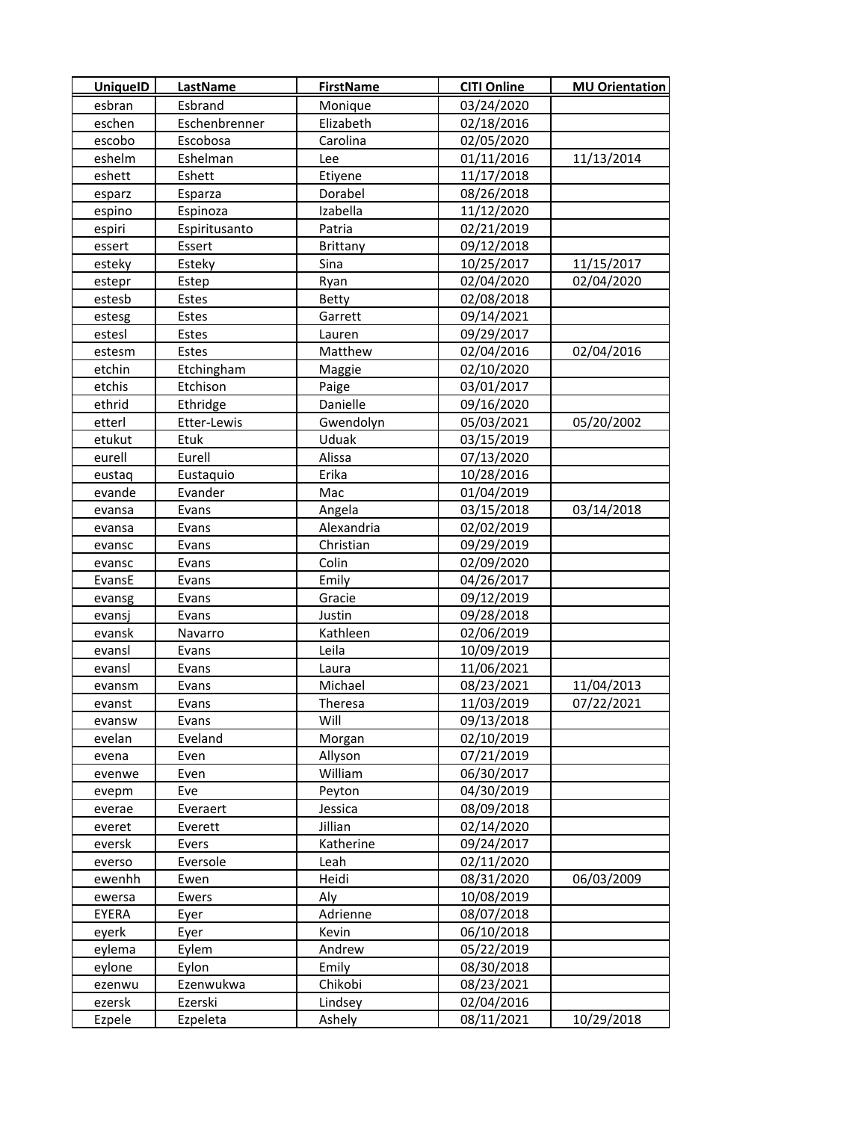| <b>UniquelD</b> | <b>LastName</b> | <b>FirstName</b> | <b>CITI Online</b> | <b>MU Orientation</b> |
|-----------------|-----------------|------------------|--------------------|-----------------------|
| esbran          | Esbrand         | Monique          | 03/24/2020         |                       |
| eschen          | Eschenbrenner   | Elizabeth        | 02/18/2016         |                       |
| escobo          | Escobosa        | Carolina         | 02/05/2020         |                       |
| eshelm          | Eshelman        | Lee              | 01/11/2016         | 11/13/2014            |
| eshett          | Eshett          | Etiyene          | 11/17/2018         |                       |
| esparz          | Esparza         | Dorabel          | 08/26/2018         |                       |
| espino          | Espinoza        | Izabella         | 11/12/2020         |                       |
| espiri          | Espiritusanto   | Patria           | 02/21/2019         |                       |
| essert          | Essert          | <b>Brittany</b>  | 09/12/2018         |                       |
| esteky          | Esteky          | Sina             | 10/25/2017         | 11/15/2017            |
| estepr          | Estep           | Ryan             | 02/04/2020         | 02/04/2020            |
| estesb          | Estes           | Betty            | 02/08/2018         |                       |
| estesg          | Estes           | Garrett          | 09/14/2021         |                       |
| estesl          | Estes           | Lauren           | 09/29/2017         |                       |
| estesm          | Estes           | Matthew          | 02/04/2016         | 02/04/2016            |
| etchin          | Etchingham      | Maggie           | 02/10/2020         |                       |
| etchis          | Etchison        | Paige            | 03/01/2017         |                       |
| ethrid          | Ethridge        | Danielle         | 09/16/2020         |                       |
| etterl          | Etter-Lewis     | Gwendolyn        | 05/03/2021         | 05/20/2002            |
| etukut          | Etuk            | Uduak            | 03/15/2019         |                       |
| eurell          | Eurell          | Alissa           | 07/13/2020         |                       |
| eustaq          | Eustaquio       | Erika            | 10/28/2016         |                       |
| evande          | Evander         | Mac              | 01/04/2019         |                       |
| evansa          | Evans           | Angela           | 03/15/2018         | 03/14/2018            |
| evansa          | Evans           | Alexandria       | 02/02/2019         |                       |
| evansc          | Evans           | Christian        | 09/29/2019         |                       |
| evansc          | Evans           | Colin            | 02/09/2020         |                       |
| EvansE          | Evans           | Emily            | 04/26/2017         |                       |
| evansg          | Evans           | Gracie           | 09/12/2019         |                       |
| evansj          | Evans           | Justin           | 09/28/2018         |                       |
| evansk          | Navarro         | Kathleen         | 02/06/2019         |                       |
| evansl          | Evans           | Leila            | 10/09/2019         |                       |
| evansl          | Evans           | Laura            | 11/06/2021         |                       |
| evansm          | Evans           | Michael          | 08/23/2021         | 11/04/2013            |
| evanst          | Evans           | Theresa          | 11/03/2019         | 07/22/2021            |
| evansw          | Evans           | Will             | 09/13/2018         |                       |
| evelan          | Eveland         | Morgan           | 02/10/2019         |                       |
| evena           | Even            | Allyson          | 07/21/2019         |                       |
| evenwe          | Even            | William          | 06/30/2017         |                       |
| evepm           | Eve             | Peyton           | 04/30/2019         |                       |
| everae          | Everaert        | Jessica          | 08/09/2018         |                       |
| everet          | Everett         | Jillian          | 02/14/2020         |                       |
| eversk          | Evers           | Katherine        | 09/24/2017         |                       |
| everso          | Eversole        | Leah             | 02/11/2020         |                       |
| ewenhh          | Ewen            | Heidi            | 08/31/2020         | 06/03/2009            |
| ewersa          | Ewers           | Aly              | 10/08/2019         |                       |
| EYERA           | Eyer            | Adrienne         | 08/07/2018         |                       |
| eyerk           | Eyer            | Kevin            | 06/10/2018         |                       |
| eylema          | Eylem           | Andrew           | 05/22/2019         |                       |
| eylone          | Eylon           | Emily            | 08/30/2018         |                       |
| ezenwu          | Ezenwukwa       | Chikobi          | 08/23/2021         |                       |
| ezersk          | Ezerski         | Lindsey          | 02/04/2016         |                       |
| Ezpele          | Ezpeleta        | Ashely           | 08/11/2021         | 10/29/2018            |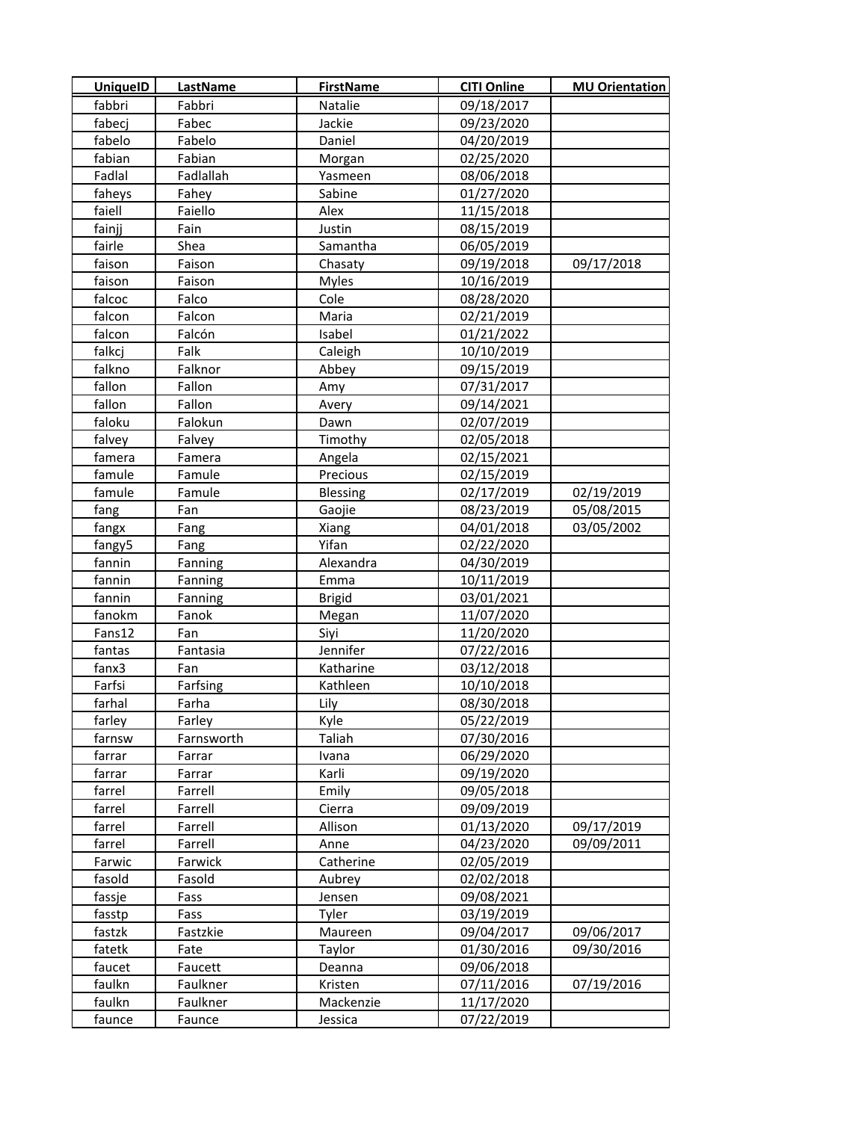| <b>UniquelD</b> | <b>LastName</b> | <b>FirstName</b> | <b>CITI Online</b> | <b>MU Orientation</b> |
|-----------------|-----------------|------------------|--------------------|-----------------------|
| fabbri          | Fabbri          | Natalie          | 09/18/2017         |                       |
| fabecj          | Fabec           | Jackie           | 09/23/2020         |                       |
| fabelo          | Fabelo          | Daniel           | 04/20/2019         |                       |
| fabian          | Fabian          | Morgan           | 02/25/2020         |                       |
| Fadlal          | Fadlallah       | Yasmeen          | 08/06/2018         |                       |
| faheys          | Fahey           | Sabine           | 01/27/2020         |                       |
| faiell          | Faiello         | Alex             | 11/15/2018         |                       |
| fainjj          | Fain            | Justin           | 08/15/2019         |                       |
| fairle          | Shea            | Samantha         | 06/05/2019         |                       |
| faison          | Faison          | Chasaty          | 09/19/2018         | 09/17/2018            |
| faison          | Faison          | <b>Myles</b>     | 10/16/2019         |                       |
| falcoc          | Falco           | Cole             | 08/28/2020         |                       |
| falcon          | Falcon          | Maria            | 02/21/2019         |                       |
| falcon          | Falcón          | Isabel           | 01/21/2022         |                       |
| falkcj          | Falk            | Caleigh          | 10/10/2019         |                       |
| falkno          | Falknor         | Abbey            | 09/15/2019         |                       |
| fallon          | Fallon          | Amy              | 07/31/2017         |                       |
| fallon          | Fallon          | Avery            | 09/14/2021         |                       |
| faloku          | Falokun         | Dawn             | 02/07/2019         |                       |
| falvey          | Falvey          | Timothy          | 02/05/2018         |                       |
| famera          | Famera          | Angela           | 02/15/2021         |                       |
| famule          | Famule          | Precious         | 02/15/2019         |                       |
| famule          | Famule          | Blessing         | 02/17/2019         | 02/19/2019            |
| fang            | Fan             | Gaojie           | 08/23/2019         | 05/08/2015            |
| fangx           | Fang            | Xiang            | 04/01/2018         | 03/05/2002            |
| fangy5          | Fang            | Yifan            | 02/22/2020         |                       |
| fannin          | Fanning         | Alexandra        | 04/30/2019         |                       |
| fannin          | Fanning         | Emma             | 10/11/2019         |                       |
| fannin          | Fanning         | <b>Brigid</b>    | 03/01/2021         |                       |
| fanokm          | Fanok           | Megan            | 11/07/2020         |                       |
| Fans12          | Fan             | Siyi             | 11/20/2020         |                       |
| fantas          | Fantasia        | Jennifer         | 07/22/2016         |                       |
| fanx3           | Fan             | Katharine        | 03/12/2018         |                       |
| Farfsi          | Farfsing        | Kathleen         | 10/10/2018         |                       |
| farhal          | Farha           | Lily             | 08/30/2018         |                       |
| farley          | Farley          | Kyle             | 05/22/2019         |                       |
| farnsw          | Farnsworth      | Taliah           | 07/30/2016         |                       |
| farrar          | Farrar          | Ivana            | 06/29/2020         |                       |
| farrar          | Farrar          | Karli            | 09/19/2020         |                       |
| farrel          | Farrell         | Emily            | 09/05/2018         |                       |
| farrel          | Farrell         | Cierra           | 09/09/2019         |                       |
| farrel          | Farrell         | Allison          | 01/13/2020         | 09/17/2019            |
| farrel          | Farrell         | Anne             | 04/23/2020         | 09/09/2011            |
| Farwic          | Farwick         | Catherine        | 02/05/2019         |                       |
| fasold          | Fasold          | Aubrey           | 02/02/2018         |                       |
| fassje          | Fass            | Jensen           | 09/08/2021         |                       |
| fasstp          | Fass            | Tyler            | 03/19/2019         |                       |
| fastzk          | Fastzkie        | Maureen          | 09/04/2017         | 09/06/2017            |
| fatetk          | Fate            | Taylor           | 01/30/2016         | 09/30/2016            |
| faucet          | Faucett         | Deanna           | 09/06/2018         |                       |
| faulkn          | Faulkner        | Kristen          | 07/11/2016         | 07/19/2016            |
| faulkn          | Faulkner        | Mackenzie        | 11/17/2020         |                       |
| faunce          | Faunce          | Jessica          | 07/22/2019         |                       |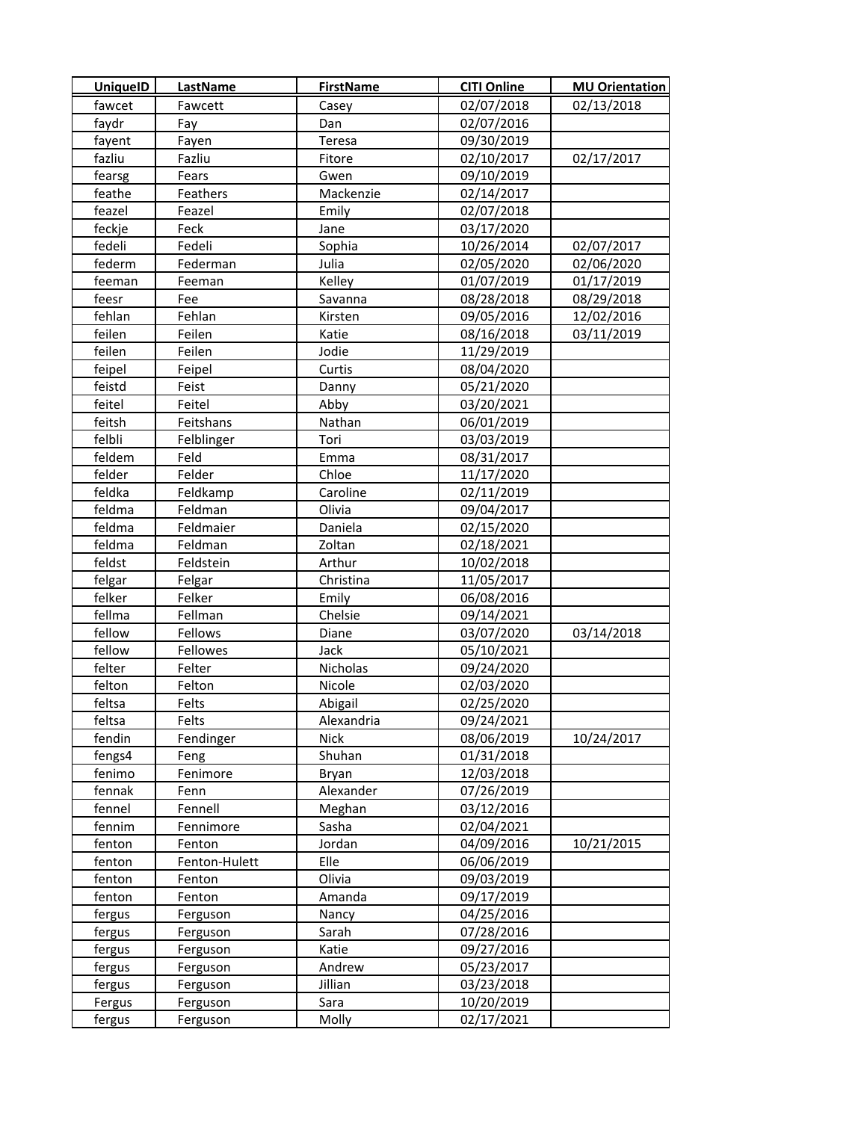| <b>UniquelD</b> | <b>LastName</b> | <b>FirstName</b> | <b>CITI Online</b> | <b>MU Orientation</b> |
|-----------------|-----------------|------------------|--------------------|-----------------------|
| fawcet          | Fawcett         | Casey            | 02/07/2018         | 02/13/2018            |
| faydr           | Fay             | Dan              | 02/07/2016         |                       |
| fayent          | Fayen           | Teresa           | 09/30/2019         |                       |
| fazliu          | Fazliu          | Fitore           | 02/10/2017         | 02/17/2017            |
| fearsg          | Fears           | Gwen             | 09/10/2019         |                       |
| feathe          | Feathers        | Mackenzie        | 02/14/2017         |                       |
| feazel          | Feazel          | Emily            | 02/07/2018         |                       |
| feckje          | Feck            | Jane             | 03/17/2020         |                       |
| fedeli          | Fedeli          | Sophia           | 10/26/2014         | 02/07/2017            |
| federm          | Federman        | Julia            | 02/05/2020         | 02/06/2020            |
| feeman          | Feeman          | Kelley           | 01/07/2019         | 01/17/2019            |
| feesr           | Fee             | Savanna          | 08/28/2018         | 08/29/2018            |
| fehlan          | Fehlan          | Kirsten          | 09/05/2016         | 12/02/2016            |
| feilen          | Feilen          | Katie            | 08/16/2018         | 03/11/2019            |
| feilen          | Feilen          | Jodie            | 11/29/2019         |                       |
| feipel          | Feipel          | Curtis           | 08/04/2020         |                       |
| feistd          | Feist           | Danny            | 05/21/2020         |                       |
| feitel          | Feitel          | Abby             | 03/20/2021         |                       |
| feitsh          | Feitshans       | Nathan           | 06/01/2019         |                       |
| felbli          | Felblinger      | Tori             | 03/03/2019         |                       |
| feldem          | Feld            | Emma             | 08/31/2017         |                       |
| felder          | Felder          | Chloe            | 11/17/2020         |                       |
| feldka          | Feldkamp        | Caroline         | 02/11/2019         |                       |
| feldma          | Feldman         | Olivia           | 09/04/2017         |                       |
| feldma          | Feldmaier       | Daniela          | 02/15/2020         |                       |
| feldma          | Feldman         | Zoltan           | 02/18/2021         |                       |
| feldst          | Feldstein       | Arthur           | 10/02/2018         |                       |
| felgar          | Felgar          | Christina        | 11/05/2017         |                       |
| felker          | Felker          | Emily            | 06/08/2016         |                       |
| fellma          | Fellman         | Chelsie          | 09/14/2021         |                       |
| fellow          | Fellows         | Diane            | 03/07/2020         | 03/14/2018            |
| fellow          | Fellowes        | Jack             | 05/10/2021         |                       |
| felter          | Felter          | Nicholas         | 09/24/2020         |                       |
| felton          | Felton          | Nicole           | 02/03/2020         |                       |
| feltsa          | Felts           | Abigail          | 02/25/2020         |                       |
| feltsa          | Felts           | Alexandria       | 09/24/2021         |                       |
| fendin          | Fendinger       | <b>Nick</b>      | 08/06/2019         | 10/24/2017            |
| fengs4          | Feng            | Shuhan           | 01/31/2018         |                       |
| fenimo          | Fenimore        | Bryan            | 12/03/2018         |                       |
| fennak          | Fenn            | Alexander        | 07/26/2019         |                       |
| fennel          | Fennell         | Meghan           | 03/12/2016         |                       |
| fennim          | Fennimore       | Sasha            | 02/04/2021         |                       |
| fenton          | Fenton          | Jordan           | 04/09/2016         | 10/21/2015            |
| fenton          | Fenton-Hulett   | Elle             | 06/06/2019         |                       |
| fenton          | Fenton          | Olivia           | 09/03/2019         |                       |
| fenton          | Fenton          | Amanda           | 09/17/2019         |                       |
| fergus          | Ferguson        | Nancy            | 04/25/2016         |                       |
| fergus          | Ferguson        | Sarah            | 07/28/2016         |                       |
| fergus          | Ferguson        | Katie            | 09/27/2016         |                       |
| fergus          | Ferguson        | Andrew           | 05/23/2017         |                       |
| fergus          | Ferguson        | Jillian          | 03/23/2018         |                       |
| Fergus          | Ferguson        | Sara             | 10/20/2019         |                       |
| fergus          | Ferguson        | Molly            | 02/17/2021         |                       |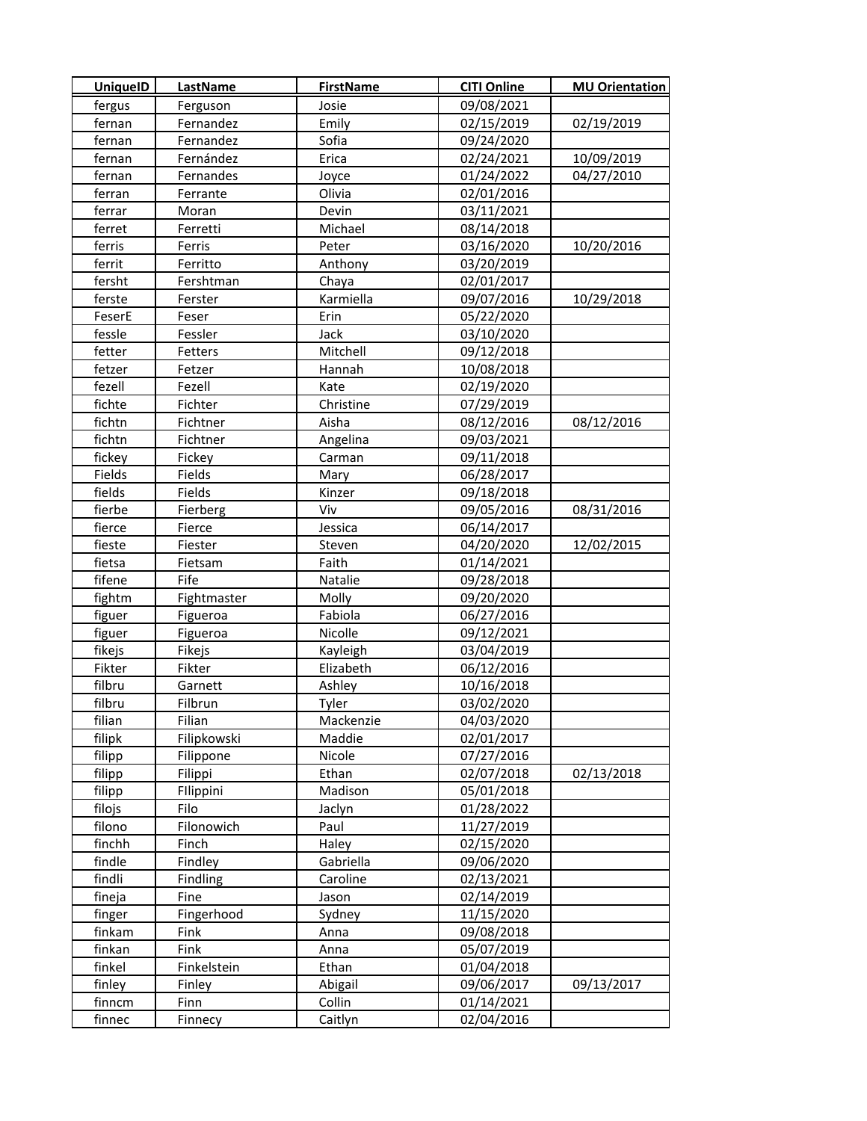| <b>UniquelD</b> | <b>LastName</b> | <b>FirstName</b> | <b>CITI Online</b> | <b>MU Orientation</b> |
|-----------------|-----------------|------------------|--------------------|-----------------------|
| fergus          | Ferguson        | Josie            | 09/08/2021         |                       |
| fernan          | Fernandez       | Emily            | 02/15/2019         | 02/19/2019            |
| fernan          | Fernandez       | Sofia            | 09/24/2020         |                       |
| fernan          | Fernández       | Erica            | 02/24/2021         | 10/09/2019            |
| fernan          | Fernandes       | Joyce            | 01/24/2022         | 04/27/2010            |
| ferran          | Ferrante        | Olivia           | 02/01/2016         |                       |
| ferrar          | Moran           | Devin            | 03/11/2021         |                       |
| ferret          | Ferretti        | Michael          | 08/14/2018         |                       |
| ferris          | Ferris          | Peter            | 03/16/2020         | 10/20/2016            |
| ferrit          | Ferritto        | Anthony          | 03/20/2019         |                       |
| fersht          | Fershtman       | Chaya            | 02/01/2017         |                       |
| ferste          | Ferster         | Karmiella        | 09/07/2016         | 10/29/2018            |
| FeserE          | Feser           | Erin             | 05/22/2020         |                       |
| fessle          | Fessler         | Jack             | 03/10/2020         |                       |
| fetter          | Fetters         | Mitchell         | 09/12/2018         |                       |
| fetzer          | Fetzer          | Hannah           | 10/08/2018         |                       |
| fezell          | Fezell          | Kate             | 02/19/2020         |                       |
| fichte          | Fichter         | Christine        | 07/29/2019         |                       |
| fichtn          | Fichtner        | Aisha            | 08/12/2016         | 08/12/2016            |
| fichtn          | Fichtner        | Angelina         | 09/03/2021         |                       |
| fickey          | Fickey          | Carman           | 09/11/2018         |                       |
| Fields          | Fields          | Mary             | 06/28/2017         |                       |
| fields          | Fields          | Kinzer           | 09/18/2018         |                       |
| fierbe          | Fierberg        | Viv              | 09/05/2016         | 08/31/2016            |
| fierce          | Fierce          | Jessica          | 06/14/2017         |                       |
| fieste          | Fiester         | Steven           | 04/20/2020         | 12/02/2015            |
| fietsa          | Fietsam         | Faith            | 01/14/2021         |                       |
| fifene          | Fife            | Natalie          | 09/28/2018         |                       |
| fightm          | Fightmaster     | Molly            | 09/20/2020         |                       |
| figuer          | Figueroa        | Fabiola          | 06/27/2016         |                       |
| figuer          | Figueroa        | Nicolle          | 09/12/2021         |                       |
| fikejs          | Fikejs          | Kayleigh         | 03/04/2019         |                       |
| Fikter          | Fikter          | Elizabeth        | 06/12/2016         |                       |
| filbru          | Garnett         | Ashley           | 10/16/2018         |                       |
| filbru          | Filbrun         | Tyler            | 03/02/2020         |                       |
| filian          | Filian          | Mackenzie        | 04/03/2020         |                       |
| filipk          | Filipkowski     | Maddie           | 02/01/2017         |                       |
| filipp          | Filippone       | Nicole           | 07/27/2016         |                       |
| filipp          | Filippi         | Ethan            | 02/07/2018         | 02/13/2018            |
| filipp          | Fllippini       | Madison          | 05/01/2018         |                       |
| filojs          | Filo            | Jaclyn           | 01/28/2022         |                       |
| filono          | Filonowich      | Paul             | 11/27/2019         |                       |
| finchh          | Finch           | Haley            | 02/15/2020         |                       |
| findle          | Findley         | Gabriella        | 09/06/2020         |                       |
| findli          | Findling        | Caroline         | 02/13/2021         |                       |
| fineja          | Fine            | Jason            | 02/14/2019         |                       |
| finger          | Fingerhood      | Sydney           | 11/15/2020         |                       |
| finkam          | Fink            | Anna             | 09/08/2018         |                       |
| finkan          | Fink            | Anna             | 05/07/2019         |                       |
| finkel          | Finkelstein     | Ethan            | 01/04/2018         |                       |
| finley          | Finley          | Abigail          | 09/06/2017         | 09/13/2017            |
| finncm          | Finn            | Collin           | 01/14/2021         |                       |
| finnec          | Finnecy         | Caitlyn          | 02/04/2016         |                       |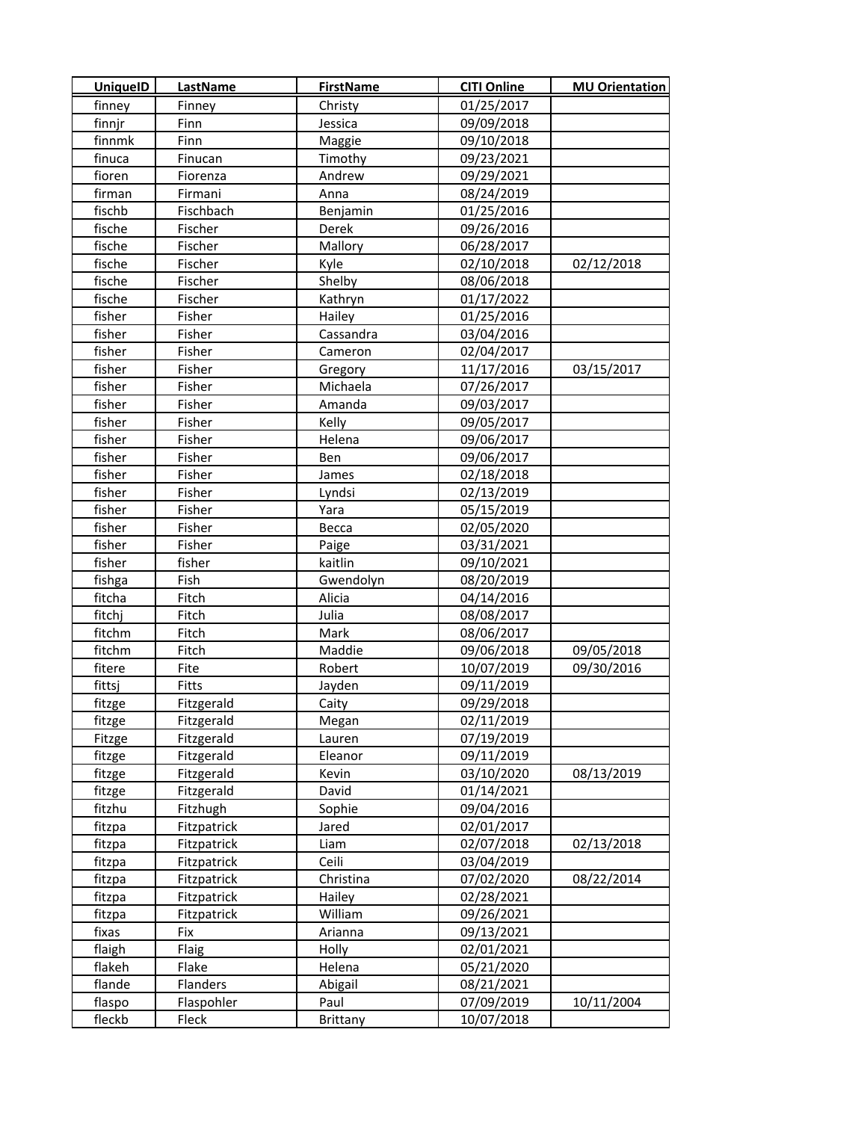| <b>UniquelD</b> | <b>LastName</b>    | <b>FirstName</b> | <b>CITI Online</b> | <b>MU Orientation</b> |
|-----------------|--------------------|------------------|--------------------|-----------------------|
| finney          | Finney             | Christy          | 01/25/2017         |                       |
| finnjr          | Finn               | Jessica          | 09/09/2018         |                       |
| finnmk          | Finn               | Maggie           | 09/10/2018         |                       |
| finuca          | Finucan            | Timothy          | 09/23/2021         |                       |
| fioren          | Fiorenza           | Andrew           | 09/29/2021         |                       |
| firman          | Firmani            | Anna             | 08/24/2019         |                       |
| fischb          | Fischbach          | Benjamin         | 01/25/2016         |                       |
| fische          | Fischer            | Derek            | 09/26/2016         |                       |
| fische          | Fischer            | Mallory          | 06/28/2017         |                       |
| fische          | Fischer            | Kyle             | 02/10/2018         | 02/12/2018            |
| fische          | Fischer            | Shelby           | 08/06/2018         |                       |
| fische          | Fischer            | Kathryn          | 01/17/2022         |                       |
| fisher          | Fisher             | Hailey           | 01/25/2016         |                       |
| fisher          | Fisher             | Cassandra        | 03/04/2016         |                       |
| fisher          | Fisher             | Cameron          | 02/04/2017         |                       |
| fisher          | Fisher             | Gregory          | 11/17/2016         | 03/15/2017            |
| fisher          | Fisher             | Michaela         | 07/26/2017         |                       |
| fisher          | Fisher             | Amanda           | 09/03/2017         |                       |
| fisher          | Fisher             | Kelly            | 09/05/2017         |                       |
| fisher          | Fisher             | Helena           | 09/06/2017         |                       |
| fisher          | Fisher             | Ben              | 09/06/2017         |                       |
| fisher          | Fisher             | James            | 02/18/2018         |                       |
| fisher          | Fisher             | Lyndsi           | 02/13/2019         |                       |
| fisher          | Fisher             | Yara             | 05/15/2019         |                       |
| fisher          | Fisher             | Becca            | 02/05/2020         |                       |
| fisher          | Fisher             | Paige            | 03/31/2021         |                       |
| fisher          | fisher             | kaitlin          | 09/10/2021         |                       |
| fishga          | Fish               | Gwendolyn        | 08/20/2019         |                       |
| fitcha          | Fitch              | Alicia           | 04/14/2016         |                       |
| fitchj          | Fitch              | Julia            | 08/08/2017         |                       |
| fitchm          | Fitch              | Mark             | 08/06/2017         |                       |
| fitchm          | Fitch              | Maddie           | 09/06/2018         | 09/05/2018            |
| fitere          | Fite               | Robert           | 10/07/2019         | 09/30/2016            |
| fittsj          | Fitts              | Jayden           | 09/11/2019         |                       |
| fitzge          | Fitzgerald         | Caity            | 09/29/2018         |                       |
| fitzge          | Fitzgerald         | Megan            | 02/11/2019         |                       |
| Fitzge          | Fitzgerald         | Lauren           | 07/19/2019         |                       |
| fitzge          | Fitzgerald         | Eleanor          | 09/11/2019         |                       |
| fitzge          | Fitzgerald         | Kevin            | 03/10/2020         | 08/13/2019            |
| fitzge          | Fitzgerald         | David            | 01/14/2021         |                       |
| fitzhu          | Fitzhugh           | Sophie           | 09/04/2016         |                       |
| fitzpa          | <b>Fitzpatrick</b> | Jared            | 02/01/2017         |                       |
| fitzpa          | Fitzpatrick        | Liam             | 02/07/2018         | 02/13/2018            |
| fitzpa          | Fitzpatrick        | Ceili            | 03/04/2019         |                       |
| fitzpa          | Fitzpatrick        | Christina        | 07/02/2020         | 08/22/2014            |
| fitzpa          | Fitzpatrick        | Hailey           | 02/28/2021         |                       |
| fitzpa          | Fitzpatrick        | William          | 09/26/2021         |                       |
| fixas           | Fix                | Arianna          | 09/13/2021         |                       |
| flaigh          | Flaig              | Holly            | 02/01/2021         |                       |
| flakeh          | Flake              | Helena           | 05/21/2020         |                       |
| flande          | Flanders           | Abigail          | 08/21/2021         |                       |
| flaspo          | Flaspohler         | Paul             | 07/09/2019         | 10/11/2004            |
| fleckb          | Fleck              | Brittany         | 10/07/2018         |                       |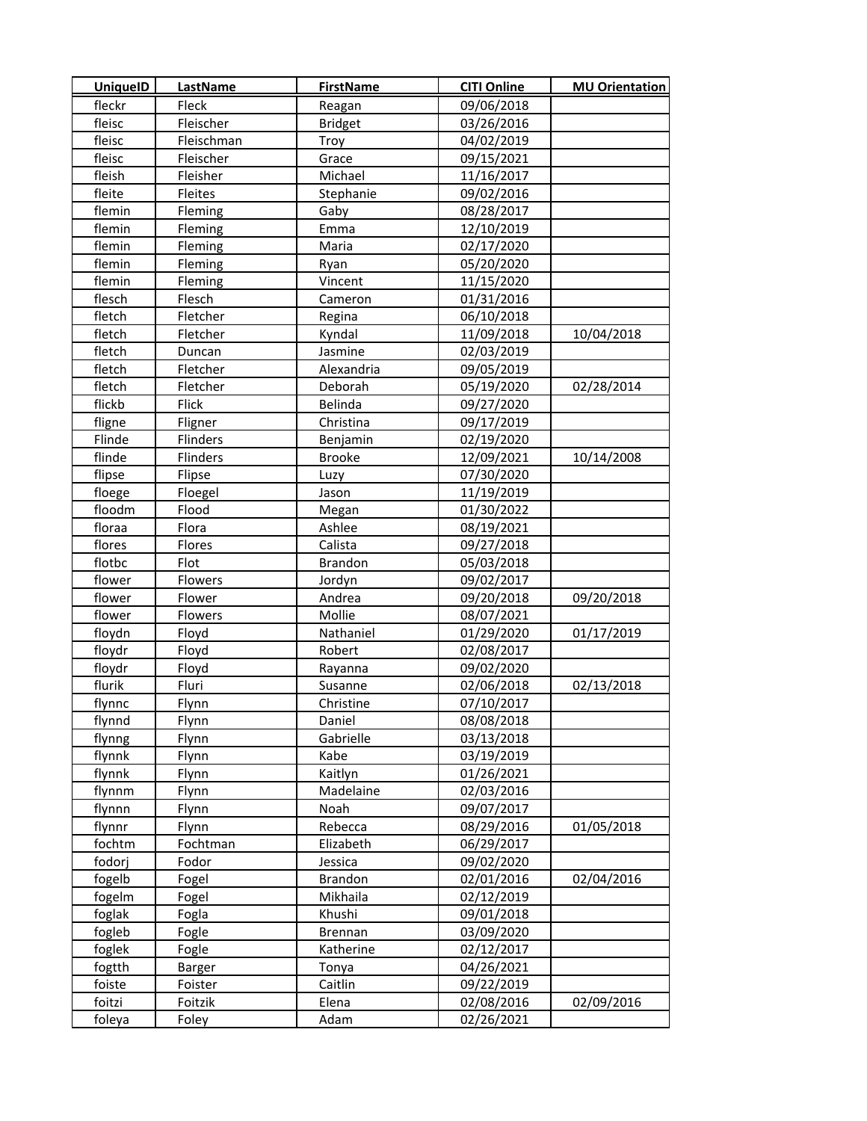| <b>UniquelD</b> | <b>LastName</b> | <b>FirstName</b> | <b>CITI Online</b> | <b>MU Orientation</b> |
|-----------------|-----------------|------------------|--------------------|-----------------------|
| fleckr          | Fleck           | Reagan           | 09/06/2018         |                       |
| fleisc          | Fleischer       | <b>Bridget</b>   | 03/26/2016         |                       |
| fleisc          | Fleischman      | Troy             | 04/02/2019         |                       |
| fleisc          | Fleischer       | Grace            | 09/15/2021         |                       |
| fleish          | Fleisher        | Michael          | 11/16/2017         |                       |
| fleite          | Fleites         | Stephanie        | 09/02/2016         |                       |
| flemin          | Fleming         | Gaby             | 08/28/2017         |                       |
| flemin          | Fleming         | Emma             | 12/10/2019         |                       |
| flemin          | Fleming         | Maria            | 02/17/2020         |                       |
| flemin          | Fleming         | Ryan             | 05/20/2020         |                       |
| flemin          | Fleming         | Vincent          | 11/15/2020         |                       |
| flesch          | Flesch          | Cameron          | 01/31/2016         |                       |
| fletch          | Fletcher        | Regina           | 06/10/2018         |                       |
| fletch          | Fletcher        | Kyndal           | 11/09/2018         | 10/04/2018            |
| fletch          | Duncan          | Jasmine          | 02/03/2019         |                       |
| fletch          | Fletcher        | Alexandria       | 09/05/2019         |                       |
| fletch          | Fletcher        | Deborah          | 05/19/2020         | 02/28/2014            |
| flickb          | Flick           | Belinda          | 09/27/2020         |                       |
| fligne          | Fligner         | Christina        | 09/17/2019         |                       |
| Flinde          | Flinders        | Benjamin         | 02/19/2020         |                       |
| flinde          | Flinders        | <b>Brooke</b>    | 12/09/2021         | 10/14/2008            |
| flipse          | Flipse          | Luzy             | 07/30/2020         |                       |
| floege          | Floegel         | Jason            | 11/19/2019         |                       |
| floodm          | Flood           | Megan            | 01/30/2022         |                       |
| floraa          | Flora           | Ashlee           | 08/19/2021         |                       |
| flores          | Flores          | Calista          | 09/27/2018         |                       |
| flotbc          | Flot            | <b>Brandon</b>   | 05/03/2018         |                       |
| flower          | Flowers         | Jordyn           | 09/02/2017         |                       |
| flower          | Flower          | Andrea           | 09/20/2018         | 09/20/2018            |
| flower          | Flowers         | Mollie           | 08/07/2021         |                       |
| floydn          | Floyd           | Nathaniel        | 01/29/2020         | 01/17/2019            |
| floydr          | Floyd           | Robert           | 02/08/2017         |                       |
| floydr          | Floyd           | Rayanna          | 09/02/2020         |                       |
| flurik          | Fluri           | Susanne          | 02/06/2018         | 02/13/2018            |
| flynnc          | Flynn           | Christine        | 07/10/2017         |                       |
| flynnd          | Flynn           | Daniel           | 08/08/2018         |                       |
| flynng          | Flynn           | Gabrielle        | 03/13/2018         |                       |
| flynnk          | Flynn           | Kabe             | 03/19/2019         |                       |
| flynnk          | Flynn           | Kaitlyn          | 01/26/2021         |                       |
| flynnm          | Flynn           | Madelaine        | 02/03/2016         |                       |
| flynnn          | Flynn           | Noah             | 09/07/2017         |                       |
| flynnr          | Flynn           | Rebecca          | 08/29/2016         | 01/05/2018            |
| fochtm          | Fochtman        | Elizabeth        | 06/29/2017         |                       |
| fodorj          | Fodor           | Jessica          | 09/02/2020         |                       |
| fogelb          | Fogel           | <b>Brandon</b>   | 02/01/2016         | 02/04/2016            |
| fogelm          | Fogel           | Mikhaila         | 02/12/2019         |                       |
| foglak          | Fogla           | Khushi           | 09/01/2018         |                       |
| fogleb          | Fogle           | <b>Brennan</b>   | 03/09/2020         |                       |
| foglek          | Fogle           | Katherine        | 02/12/2017         |                       |
| fogtth          | Barger          | Tonya            | 04/26/2021         |                       |
| foiste          | Foister         | Caitlin          | 09/22/2019         |                       |
| foitzi          | Foitzik         | Elena            | 02/08/2016         | 02/09/2016            |
| foleya          | Foley           | Adam             | 02/26/2021         |                       |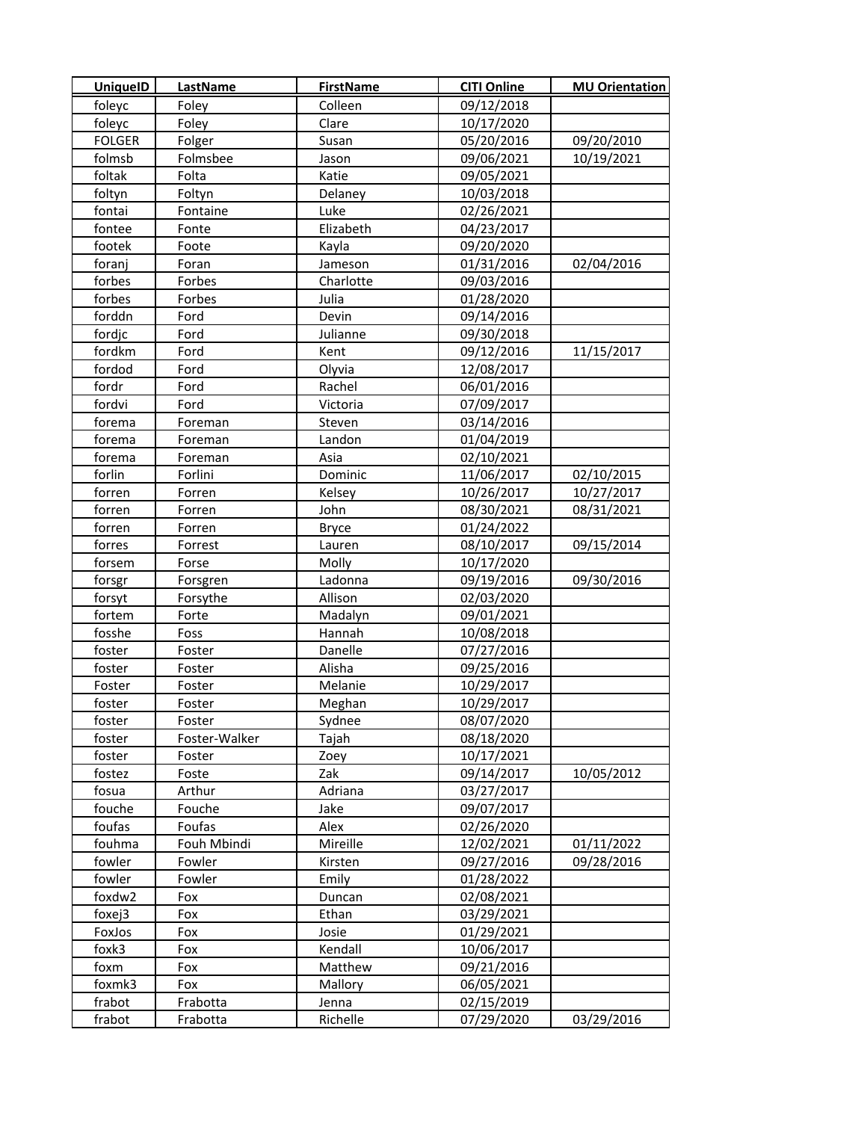| <b>UniquelD</b> | <b>LastName</b> | <b>FirstName</b> | <b>CITI Online</b> | <b>MU Orientation</b> |
|-----------------|-----------------|------------------|--------------------|-----------------------|
| foleyc          | Foley           | Colleen          | 09/12/2018         |                       |
| foleyc          | Foley           | Clare            | 10/17/2020         |                       |
| <b>FOLGER</b>   | Folger          | Susan            | 05/20/2016         | 09/20/2010            |
| folmsb          | Folmsbee        | Jason            | 09/06/2021         | 10/19/2021            |
| foltak          | Folta           | Katie            | 09/05/2021         |                       |
| foltyn          | Foltyn          | Delaney          | 10/03/2018         |                       |
| fontai          | Fontaine        | Luke             | 02/26/2021         |                       |
| fontee          | Fonte           | Elizabeth        | 04/23/2017         |                       |
| footek          | Foote           | Kayla            | 09/20/2020         |                       |
| foranj          | Foran           | Jameson          | 01/31/2016         | 02/04/2016            |
| forbes          | Forbes          | Charlotte        | 09/03/2016         |                       |
| forbes          | Forbes          | Julia            | 01/28/2020         |                       |
| forddn          | Ford            | Devin            | 09/14/2016         |                       |
| fordjc          | Ford            | Julianne         | 09/30/2018         |                       |
| fordkm          | Ford            | Kent             | 09/12/2016         | 11/15/2017            |
| fordod          | Ford            | Olyvia           | 12/08/2017         |                       |
| fordr           | Ford            | Rachel           | 06/01/2016         |                       |
| fordvi          | Ford            | Victoria         | 07/09/2017         |                       |
| forema          | Foreman         | Steven           | 03/14/2016         |                       |
| forema          | Foreman         | Landon           | 01/04/2019         |                       |
| forema          | Foreman         | Asia             | 02/10/2021         |                       |
| forlin          | Forlini         | Dominic          | 11/06/2017         | 02/10/2015            |
| forren          | Forren          | Kelsey           | 10/26/2017         | 10/27/2017            |
| forren          | Forren          | John             | 08/30/2021         | 08/31/2021            |
| forren          | Forren          | <b>Bryce</b>     | 01/24/2022         |                       |
| forres          | Forrest         | Lauren           | 08/10/2017         | 09/15/2014            |
| forsem          | Forse           | Molly            | 10/17/2020         |                       |
| forsgr          | Forsgren        | Ladonna          | 09/19/2016         | 09/30/2016            |
| forsyt          | Forsythe        | Allison          | 02/03/2020         |                       |
| fortem          | Forte           | Madalyn          | 09/01/2021         |                       |
| fosshe          | Foss            | Hannah           | 10/08/2018         |                       |
| foster          | Foster          | Danelle          | 07/27/2016         |                       |
| foster          | Foster          | Alisha           | 09/25/2016         |                       |
| Foster          | Foster          | Melanie          | 10/29/2017         |                       |
| foster          | Foster          | Meghan           | 10/29/2017         |                       |
| foster          | Foster          | Sydnee           | 08/07/2020         |                       |
| foster          | Foster-Walker   | Tajah            | 08/18/2020         |                       |
| foster          | Foster          | Zoey             | 10/17/2021         |                       |
| fostez          | Foste           | Zak              | 09/14/2017         | 10/05/2012            |
| fosua           | Arthur          | Adriana          | 03/27/2017         |                       |
| fouche          | Fouche          | Jake             | 09/07/2017         |                       |
| foufas          | Foufas          | Alex             | 02/26/2020         |                       |
| fouhma          | Fouh Mbindi     | Mireille         | 12/02/2021         | 01/11/2022            |
| fowler          | Fowler          | Kirsten          | 09/27/2016         | 09/28/2016            |
| fowler          | Fowler          | Emily            | 01/28/2022         |                       |
| foxdw2          | Fox             | Duncan           | 02/08/2021         |                       |
| foxej3          | Fox             | Ethan            | 03/29/2021         |                       |
| FoxJos          | Fox             | Josie            | 01/29/2021         |                       |
| foxk3           | Fox             | Kendall          | 10/06/2017         |                       |
| foxm            | Fox             | Matthew          | 09/21/2016         |                       |
| foxmk3          | Fox             | Mallory          | 06/05/2021         |                       |
| frabot          | Frabotta        | Jenna            | 02/15/2019         |                       |
| frabot          | Frabotta        | Richelle         | 07/29/2020         | 03/29/2016            |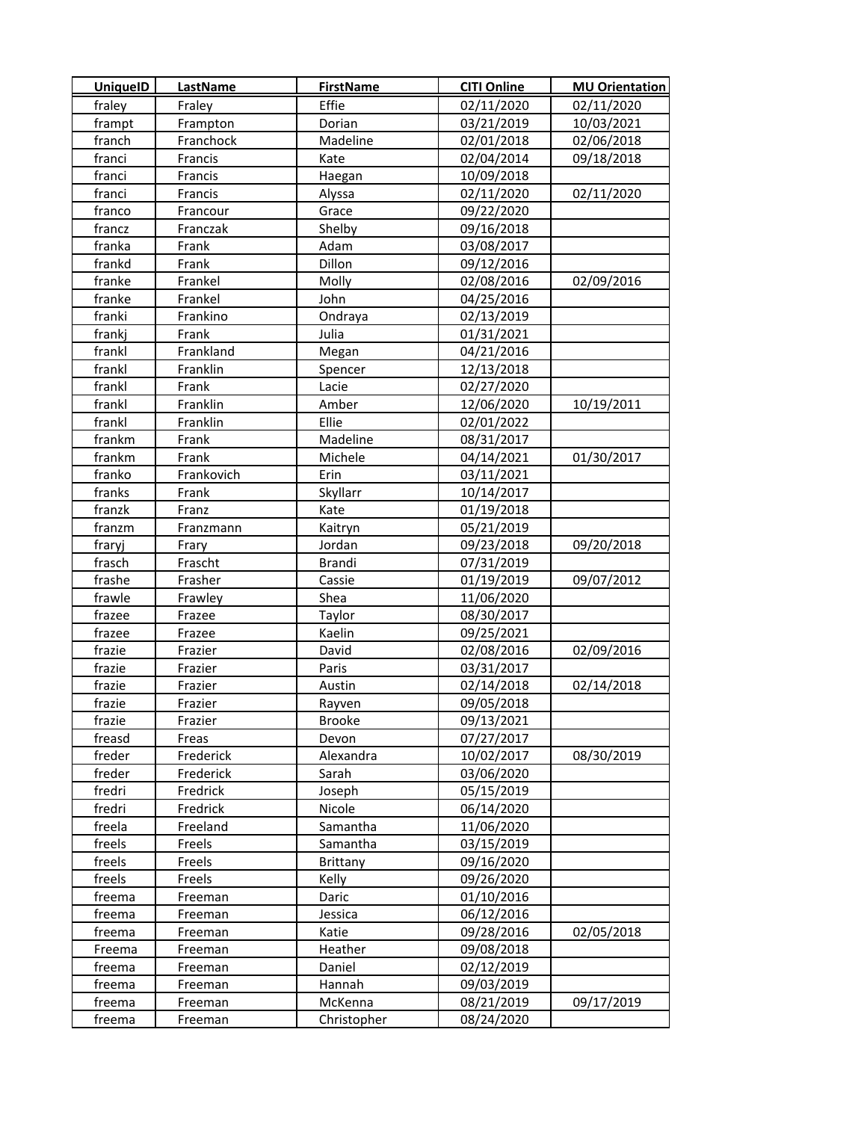| <b>UniquelD</b> | <b>LastName</b> | <b>FirstName</b> | <b>CITI Online</b> | <b>MU Orientation</b> |
|-----------------|-----------------|------------------|--------------------|-----------------------|
| fraley          | Fraley          | Effie            | 02/11/2020         | 02/11/2020            |
| frampt          | Frampton        | Dorian           | 03/21/2019         | 10/03/2021            |
| franch          | Franchock       | Madeline         | 02/01/2018         | 02/06/2018            |
| franci          | Francis         | Kate             | 02/04/2014         | 09/18/2018            |
| franci          | Francis         | Haegan           | 10/09/2018         |                       |
| franci          | Francis         | Alyssa           | 02/11/2020         | 02/11/2020            |
| franco          | Francour        | Grace            | 09/22/2020         |                       |
| francz          | Franczak        | Shelby           | 09/16/2018         |                       |
| franka          | Frank           | Adam             | 03/08/2017         |                       |
| frankd          | Frank           | Dillon           | 09/12/2016         |                       |
| franke          | Frankel         | Molly            | 02/08/2016         | 02/09/2016            |
| franke          | Frankel         | John             | 04/25/2016         |                       |
| franki          | Frankino        | Ondraya          | 02/13/2019         |                       |
| frankj          | Frank           | Julia            | 01/31/2021         |                       |
| frankl          | Frankland       | Megan            | 04/21/2016         |                       |
| frankl          | Franklin        | Spencer          | 12/13/2018         |                       |
| frankl          | Frank           | Lacie            | 02/27/2020         |                       |
| frankl          | Franklin        | Amber            | 12/06/2020         | 10/19/2011            |
| frankl          | Franklin        | Ellie            | 02/01/2022         |                       |
| frankm          | Frank           | Madeline         | 08/31/2017         |                       |
| frankm          | Frank           | Michele          | 04/14/2021         | 01/30/2017            |
| franko          | Frankovich      | Erin             | 03/11/2021         |                       |
| franks          | Frank           | Skyllarr         | 10/14/2017         |                       |
| franzk          | Franz           | Kate             | 01/19/2018         |                       |
| franzm          | Franzmann       | Kaitryn          | 05/21/2019         |                       |
| fraryj          | Frary           | Jordan           | 09/23/2018         | 09/20/2018            |
| frasch          | Frascht         | <b>Brandi</b>    | 07/31/2019         |                       |
| frashe          | Frasher         | Cassie           | 01/19/2019         | 09/07/2012            |
| frawle          | Frawley         | Shea             | 11/06/2020         |                       |
| frazee          | Frazee          | Taylor           | 08/30/2017         |                       |
| frazee          | Frazee          | Kaelin           | 09/25/2021         |                       |
| frazie          | Frazier         | David            | 02/08/2016         | 02/09/2016            |
| frazie          | Frazier         | Paris            | 03/31/2017         |                       |
| frazie          | Frazier         | Austin           | 02/14/2018         | 02/14/2018            |
| frazie          | Frazier         | Rayven           | 09/05/2018         |                       |
| frazie          | Frazier         | Brooke           | 09/13/2021         |                       |
| freasd          | Freas           | Devon            | 07/27/2017         |                       |
| freder          | Frederick       | Alexandra        | 10/02/2017         | 08/30/2019            |
| freder          | Frederick       | Sarah            | 03/06/2020         |                       |
| fredri          | Fredrick        | Joseph           | 05/15/2019         |                       |
| fredri          | Fredrick        | Nicole           | 06/14/2020         |                       |
| freela          | Freeland        | Samantha         | 11/06/2020         |                       |
| freels          | Freels          | Samantha         | 03/15/2019         |                       |
| freels          | Freels          | Brittany         | 09/16/2020         |                       |
| freels          | Freels          | Kelly            | 09/26/2020         |                       |
| freema          | Freeman         | Daric            | 01/10/2016         |                       |
| freema          | Freeman         | Jessica          | 06/12/2016         |                       |
| freema          | Freeman         | Katie            | 09/28/2016         | 02/05/2018            |
| Freema          | Freeman         | Heather          | 09/08/2018         |                       |
| freema          | Freeman         | Daniel           | 02/12/2019         |                       |
| freema          | Freeman         | Hannah           | 09/03/2019         |                       |
| freema          | Freeman         | McKenna          | 08/21/2019         | 09/17/2019            |
| freema          | Freeman         | Christopher      | 08/24/2020         |                       |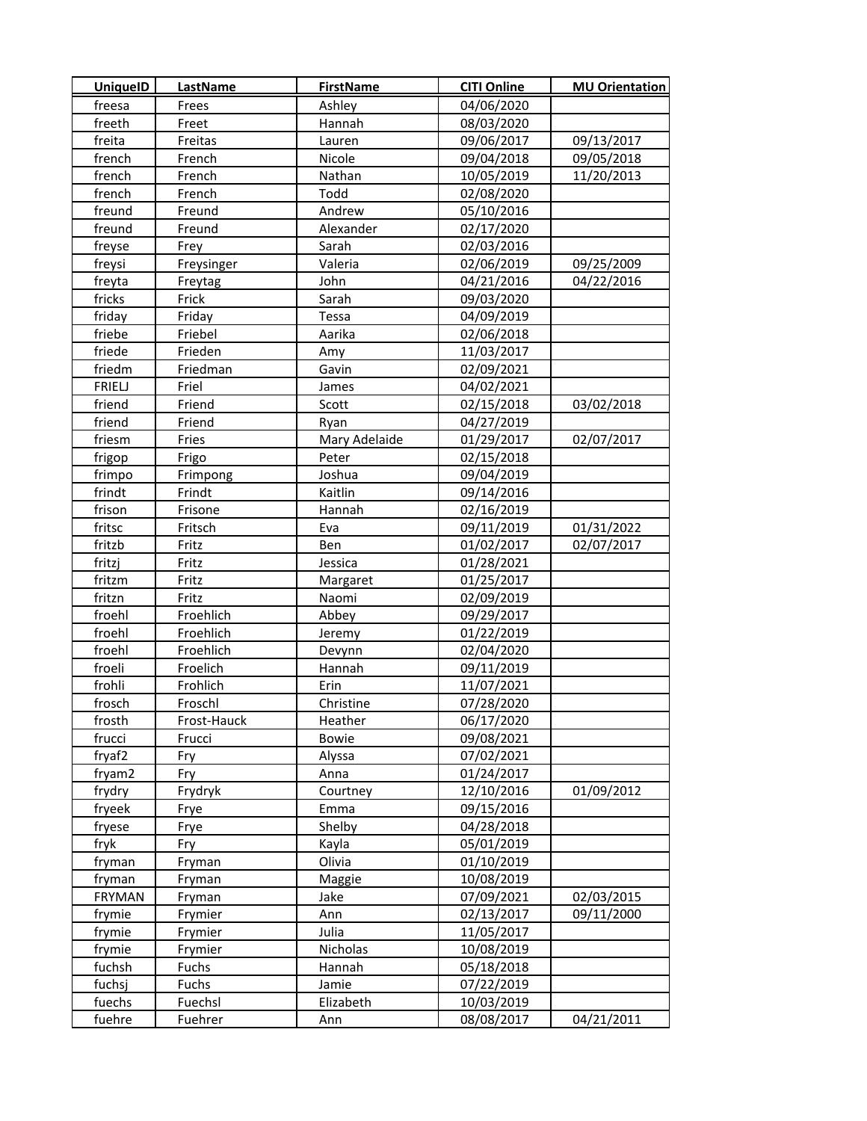| <b>UniquelD</b> | <b>LastName</b> | <b>FirstName</b> | <b>CITI Online</b> | <b>MU Orientation</b> |
|-----------------|-----------------|------------------|--------------------|-----------------------|
| freesa          | Frees           | Ashley           | 04/06/2020         |                       |
| freeth          | Freet           | Hannah           | 08/03/2020         |                       |
| freita          | Freitas         | Lauren           | 09/06/2017         | 09/13/2017            |
| french          | French          | Nicole           | 09/04/2018         | 09/05/2018            |
| french          | French          | Nathan           | 10/05/2019         | 11/20/2013            |
| french          | French          | Todd             | 02/08/2020         |                       |
| freund          | Freund          | Andrew           | 05/10/2016         |                       |
| freund          | Freund          | Alexander        | 02/17/2020         |                       |
| freyse          | Frey            | Sarah            | 02/03/2016         |                       |
| freysi          | Freysinger      | Valeria          | 02/06/2019         | 09/25/2009            |
| freyta          | Freytag         | John             | 04/21/2016         | 04/22/2016            |
| fricks          | Frick           | Sarah            | 09/03/2020         |                       |
| friday          | Friday          | Tessa            | 04/09/2019         |                       |
| friebe          | Friebel         | Aarika           | 02/06/2018         |                       |
| friede          | Frieden         | Amy              | 11/03/2017         |                       |
| friedm          | Friedman        | Gavin            | 02/09/2021         |                       |
| <b>FRIELJ</b>   | Friel           | James            | 04/02/2021         |                       |
| friend          | Friend          | Scott            | 02/15/2018         | 03/02/2018            |
| friend          | Friend          | Ryan             | 04/27/2019         |                       |
| friesm          | Fries           | Mary Adelaide    | 01/29/2017         | 02/07/2017            |
| frigop          | Frigo           | Peter            | 02/15/2018         |                       |
| frimpo          | Frimpong        | Joshua           | 09/04/2019         |                       |
| frindt          | Frindt          | Kaitlin          | 09/14/2016         |                       |
| frison          | Frisone         | Hannah           | 02/16/2019         |                       |
| fritsc          | Fritsch         | Eva              | 09/11/2019         | 01/31/2022            |
| fritzb          | Fritz           | Ben              | 01/02/2017         | 02/07/2017            |
| fritzj          | Fritz           | Jessica          | 01/28/2021         |                       |
| fritzm          | Fritz           | Margaret         | 01/25/2017         |                       |
| fritzn          | Fritz           | Naomi            | 02/09/2019         |                       |
| froehl          | Froehlich       | Abbey            | 09/29/2017         |                       |
| froehl          | Froehlich       | Jeremy           | 01/22/2019         |                       |
| froehl          | Froehlich       | Devynn           | 02/04/2020         |                       |
| froeli          | Froelich        | Hannah           | 09/11/2019         |                       |
| frohli          | Frohlich        | Erin             | 11/07/2021         |                       |
| frosch          | Froschl         | Christine        | 07/28/2020         |                       |
| frosth          | Frost-Hauck     | Heather          | 06/17/2020         |                       |
| frucci          | Frucci          | <b>Bowie</b>     | 09/08/2021         |                       |
| fryaf2          | Fry             | Alyssa           | 07/02/2021         |                       |
| fryam2          | Fry             | Anna             | 01/24/2017         |                       |
| frydry          | Frydryk         | Courtney         | 12/10/2016         | 01/09/2012            |
| fryeek          | Frye            | Emma             | 09/15/2016         |                       |
| fryese          | Frye            | Shelby           | 04/28/2018         |                       |
| fryk            | Fry             | Kayla            | 05/01/2019         |                       |
| fryman          | Fryman          | Olivia           | 01/10/2019         |                       |
| fryman          | Fryman          | Maggie           | 10/08/2019         |                       |
| <b>FRYMAN</b>   | Fryman          | Jake             | 07/09/2021         | 02/03/2015            |
| frymie          | Frymier         | Ann              | 02/13/2017         | 09/11/2000            |
| frymie          | Frymier         | Julia            | 11/05/2017         |                       |
| frymie          | Frymier         | Nicholas         | 10/08/2019         |                       |
| fuchsh          | Fuchs           | Hannah           | 05/18/2018         |                       |
| fuchsj          | Fuchs           | Jamie            | 07/22/2019         |                       |
| fuechs          | Fuechsl         | Elizabeth        | 10/03/2019         |                       |
| fuehre          | Fuehrer         | Ann              | 08/08/2017         | 04/21/2011            |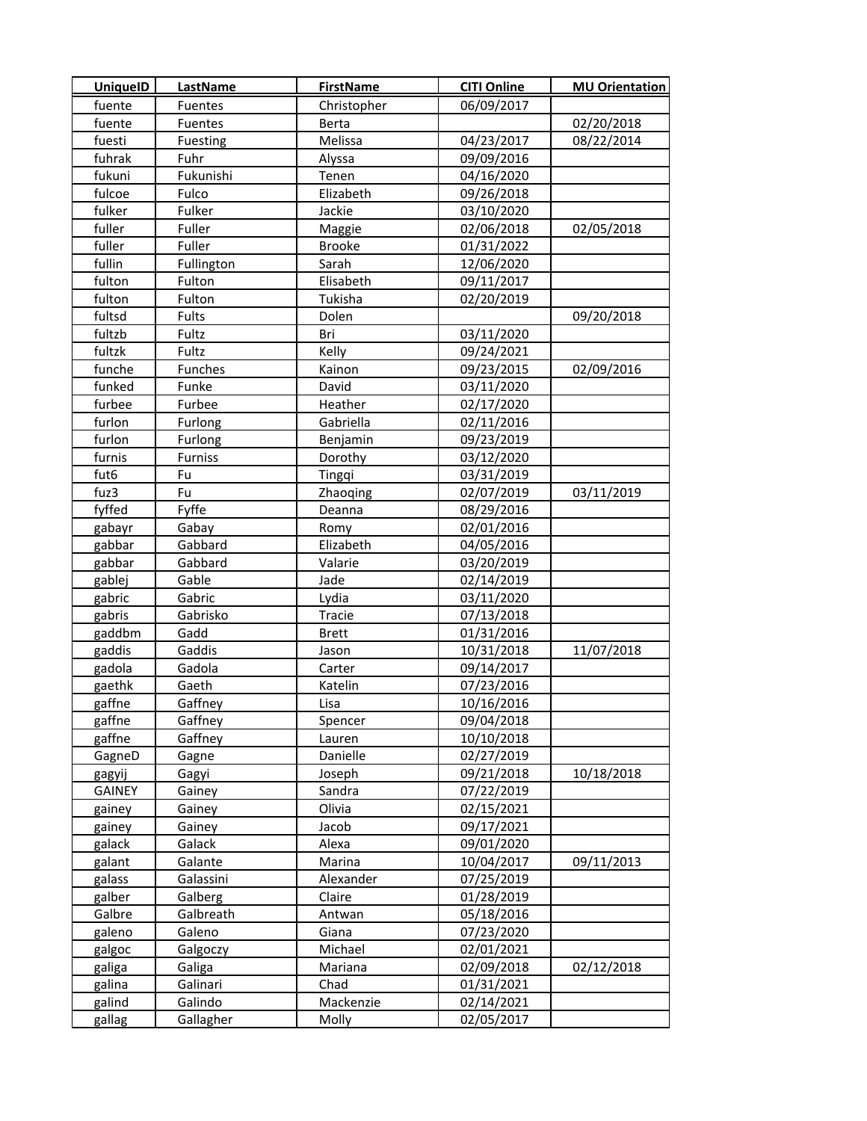| <b>UniquelD</b> | <b>LastName</b> | <b>FirstName</b> | <b>CITI Online</b> | <b>MU Orientation</b> |
|-----------------|-----------------|------------------|--------------------|-----------------------|
| fuente          | Fuentes         | Christopher      | 06/09/2017         |                       |
| fuente          | Fuentes         | <b>Berta</b>     |                    | 02/20/2018            |
| fuesti          | Fuesting        | Melissa          | 04/23/2017         | 08/22/2014            |
| fuhrak          | Fuhr            | Alyssa           | 09/09/2016         |                       |
| fukuni          | Fukunishi       | Tenen            | 04/16/2020         |                       |
| fulcoe          | Fulco           | Elizabeth        | 09/26/2018         |                       |
| fulker          | Fulker          | Jackie           | 03/10/2020         |                       |
| fuller          | Fuller          | Maggie           | 02/06/2018         | 02/05/2018            |
| fuller          | Fuller          | <b>Brooke</b>    | 01/31/2022         |                       |
| fullin          | Fullington      | Sarah            | 12/06/2020         |                       |
| fulton          | Fulton          | Elisabeth        | 09/11/2017         |                       |
| fulton          | Fulton          | Tukisha          | 02/20/2019         |                       |
| fultsd          | Fults           | Dolen            |                    | 09/20/2018            |
| fultzb          | Fultz           | Bri              | 03/11/2020         |                       |
| fultzk          | Fultz           | Kelly            | 09/24/2021         |                       |
| funche          | Funches         | Kainon           | 09/23/2015         | 02/09/2016            |
| funked          | Funke           | David            | 03/11/2020         |                       |
| furbee          | Furbee          | Heather          | 02/17/2020         |                       |
| furlon          | Furlong         | Gabriella        | 02/11/2016         |                       |
| furlon          | Furlong         | Benjamin         | 09/23/2019         |                       |
| furnis          | <b>Furniss</b>  | Dorothy          | 03/12/2020         |                       |
| fut6            | Fu              | Tingqi           | 03/31/2019         |                       |
| fuz3            | Fu              | Zhaoqing         | 02/07/2019         | 03/11/2019            |
| fyffed          | Fyffe           | Deanna           | 08/29/2016         |                       |
| gabayr          | Gabay           | Romy             | 02/01/2016         |                       |
| gabbar          | Gabbard         | Elizabeth        | 04/05/2016         |                       |
| gabbar          | Gabbard         | Valarie          | 03/20/2019         |                       |
| gablej          | Gable           | Jade             | 02/14/2019         |                       |
| gabric          | Gabric          | Lydia            | 03/11/2020         |                       |
| gabris          | Gabrisko        | Tracie           | 07/13/2018         |                       |
| gaddbm          | Gadd            | <b>Brett</b>     | 01/31/2016         |                       |
| gaddis          | Gaddis          | Jason            | 10/31/2018         | 11/07/2018            |
| gadola          | Gadola          | Carter           | 09/14/2017         |                       |
| gaethk          | Gaeth           | Katelin          | 07/23/2016         |                       |
| gaffne          | Gaffney         | Lisa             | 10/16/2016         |                       |
| gaffne          | Gaffney         | Spencer          | 09/04/2018         |                       |
| gaffne          | Gaffney         | Lauren           | 10/10/2018         |                       |
| GagneD          | Gagne           | Danielle         | 02/27/2019         |                       |
| gagyij          | Gagyi           | Joseph           | 09/21/2018         | 10/18/2018            |
| <b>GAINEY</b>   | Gainey          | Sandra           | 07/22/2019         |                       |
| gainey          | Gainey          | Olivia           | 02/15/2021         |                       |
| gainey          | Gainey          | Jacob            | 09/17/2021         |                       |
| galack          | Galack          | Alexa            | 09/01/2020         |                       |
| galant          | Galante         | Marina           | 10/04/2017         | 09/11/2013            |
| galass          | Galassini       | Alexander        | 07/25/2019         |                       |
| galber          | Galberg         | Claire           | 01/28/2019         |                       |
| Galbre          | Galbreath       | Antwan           | 05/18/2016         |                       |
| galeno          | Galeno          | Giana            | 07/23/2020         |                       |
| galgoc          | Galgoczy        | Michael          | 02/01/2021         |                       |
| galiga          | Galiga          | Mariana          | 02/09/2018         | 02/12/2018            |
| galina          | Galinari        | Chad             | 01/31/2021         |                       |
| galind          | Galindo         | Mackenzie        | 02/14/2021         |                       |
| gallag          | Gallagher       | Molly            | 02/05/2017         |                       |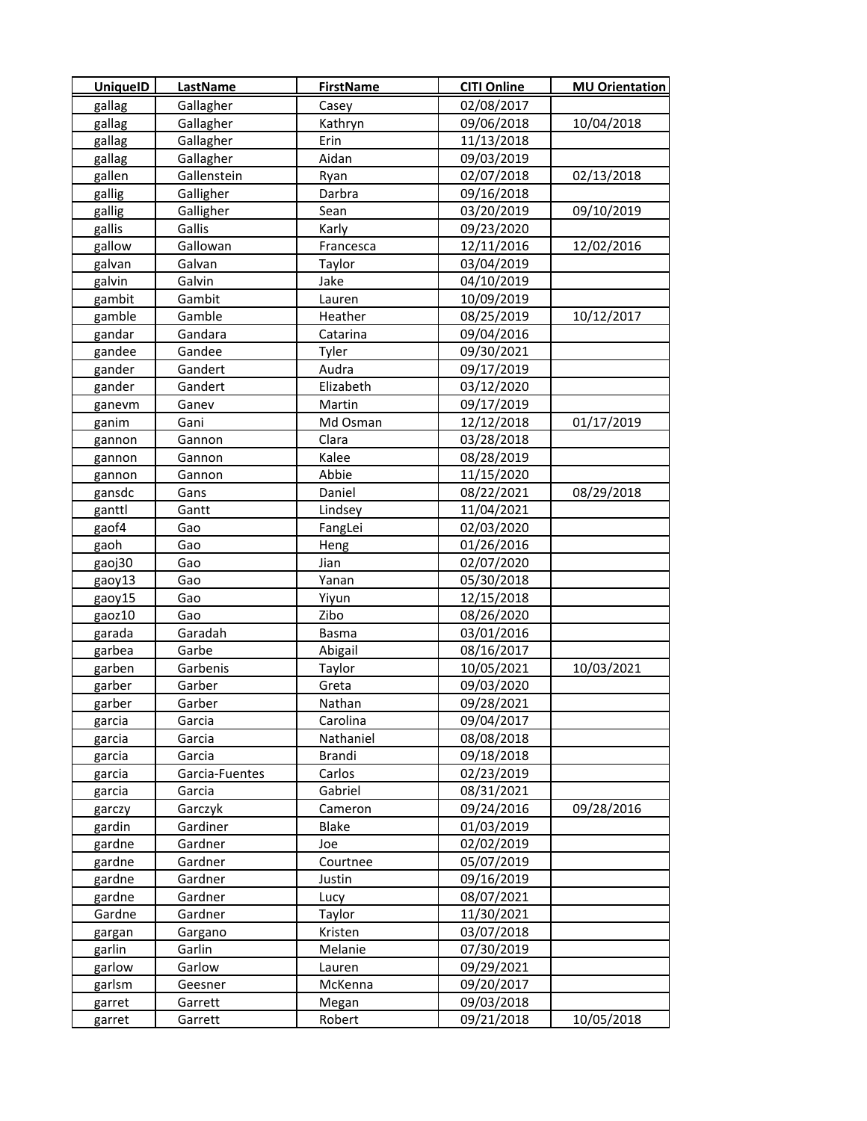| <b>UniquelD</b>  | <b>LastName</b>    | <b>FirstName</b>  | <b>CITI Online</b>       | <b>MU Orientation</b> |
|------------------|--------------------|-------------------|--------------------------|-----------------------|
| gallag           | Gallagher          | Casey             | 02/08/2017               |                       |
| gallag           | Gallagher          | Kathryn           | 09/06/2018               | 10/04/2018            |
| gallag           | Gallagher          | Erin              | 11/13/2018               |                       |
| gallag           | Gallagher          | Aidan             | 09/03/2019               |                       |
| gallen           | Gallenstein        | Ryan              | 02/07/2018               | 02/13/2018            |
| gallig           | Galligher          | Darbra            | 09/16/2018               |                       |
| gallig           | Galligher          | Sean              | 03/20/2019               | 09/10/2019            |
| gallis           | Gallis             | Karly             | 09/23/2020               |                       |
| gallow           | Gallowan           | Francesca         | 12/11/2016               | 12/02/2016            |
| galvan           | Galvan             | Taylor            | 03/04/2019               |                       |
| galvin           | Galvin             | Jake              | 04/10/2019               |                       |
| gambit           | Gambit             | Lauren            | 10/09/2019               |                       |
| gamble           | Gamble             | Heather           | 08/25/2019               | 10/12/2017            |
| gandar           | Gandara            | Catarina          | 09/04/2016               |                       |
| gandee           | Gandee             | Tyler             | 09/30/2021               |                       |
| gander           | Gandert            | Audra             | 09/17/2019               |                       |
| gander           | Gandert            | Elizabeth         | 03/12/2020               |                       |
| ganevm           | Ganev              | Martin            | 09/17/2019               |                       |
| ganim            | Gani               | Md Osman          | 12/12/2018               | 01/17/2019            |
| gannon           | Gannon             | Clara             | 03/28/2018               |                       |
| gannon           | Gannon             | Kalee             | 08/28/2019               |                       |
| gannon           | Gannon             | Abbie             | 11/15/2020               |                       |
| gansdc           | Gans               | Daniel            | 08/22/2021               | 08/29/2018            |
| ganttl           | Gantt              | Lindsey           | 11/04/2021               |                       |
| gaof4            | Gao                | FangLei           | 02/03/2020               |                       |
| gaoh             | Gao                | Heng              | 01/26/2016               |                       |
| gaoj30           | Gao                | Jian              | 02/07/2020               |                       |
| gaoy13           | Gao                | Yanan             | 05/30/2018               |                       |
| gaoy15           | Gao                | Yiyun             | 12/15/2018               |                       |
| gaoz10           | Gao                | Zibo              | 08/26/2020               |                       |
| garada           | Garadah            | <b>Basma</b>      | 03/01/2016               |                       |
| garbea           | Garbe              | Abigail           | 08/16/2017               |                       |
| garben           | Garbenis           | Taylor            | 10/05/2021               | 10/03/2021            |
| garber           | Garber             | Greta             | 09/03/2020               |                       |
| garber           | Garber             | Nathan            | 09/28/2021               |                       |
| garcia           | Garcia             | Carolina          | 09/04/2017               |                       |
| garcia           | Garcia             | Nathaniel         | 08/08/2018               |                       |
| garcia           | Garcia             | <b>Brandi</b>     | 09/18/2018               |                       |
| garcia           | Garcia-Fuentes     | Carlos            | 02/23/2019               |                       |
| garcia           | Garcia             | Gabriel           | 08/31/2021               |                       |
| garczy           | Garczyk            | Cameron           | 09/24/2016               | 09/28/2016            |
| gardin           | Gardiner           | Blake             | 01/03/2019               |                       |
| gardne           | Gardner            | Joe               | 02/02/2019               |                       |
| gardne           | Gardner            | Courtnee          | 05/07/2019               |                       |
| gardne           | Gardner            | Justin            | 09/16/2019               |                       |
| gardne           | Gardner            | Lucy              | 08/07/2021               |                       |
| Gardne           | Gardner            | Taylor            | 11/30/2021               |                       |
| gargan           | Gargano            | Kristen           | 03/07/2018               |                       |
| garlin           | Garlin             | Melanie           | 07/30/2019<br>09/29/2021 |                       |
| garlow<br>garlsm | Garlow             | Lauren<br>McKenna | 09/20/2017               |                       |
| garret           | Geesner<br>Garrett | Megan             | 09/03/2018               |                       |
| garret           | Garrett            | Robert            | 09/21/2018               | 10/05/2018            |
|                  |                    |                   |                          |                       |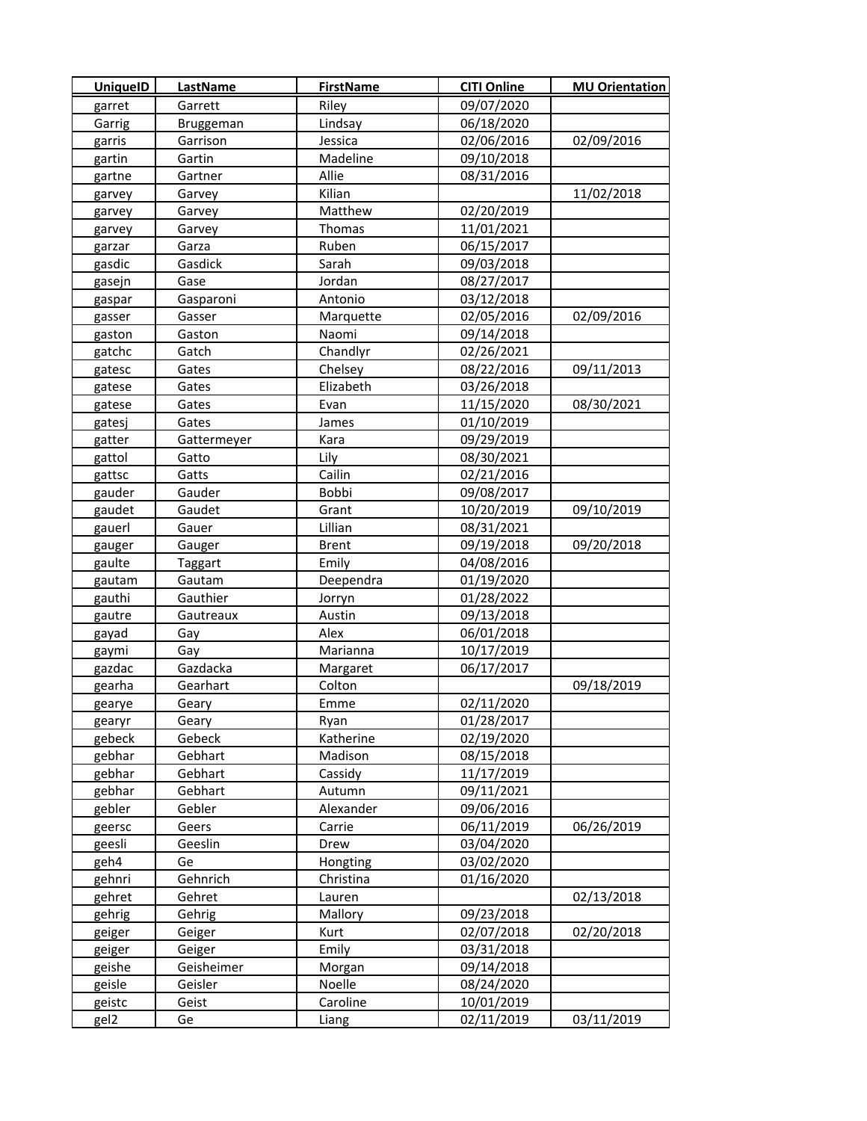| <b>UniquelD</b> | <b>LastName</b> | <b>FirstName</b> | <b>CITI Online</b> | <b>MU Orientation</b> |
|-----------------|-----------------|------------------|--------------------|-----------------------|
| garret          | Garrett         | Riley            | 09/07/2020         |                       |
| Garrig          | Bruggeman       | Lindsay          | 06/18/2020         |                       |
| garris          | Garrison        | Jessica          | 02/06/2016         | 02/09/2016            |
| gartin          | Gartin          | Madeline         | 09/10/2018         |                       |
| gartne          | Gartner         | Allie            | 08/31/2016         |                       |
| garvey          | Garvey          | Kilian           |                    | 11/02/2018            |
| garvey          | Garvey          | Matthew          | 02/20/2019         |                       |
| garvey          | Garvey          | Thomas           | 11/01/2021         |                       |
| garzar          | Garza           | Ruben            | 06/15/2017         |                       |
| gasdic          | Gasdick         | Sarah            | 09/03/2018         |                       |
| gasejn          | Gase            | Jordan           | 08/27/2017         |                       |
| gaspar          | Gasparoni       | Antonio          | 03/12/2018         |                       |
| gasser          | Gasser          | Marquette        | 02/05/2016         | 02/09/2016            |
| gaston          | Gaston          | Naomi            | 09/14/2018         |                       |
| gatchc          | Gatch           | Chandlyr         | 02/26/2021         |                       |
| gatesc          | Gates           | Chelsey          | 08/22/2016         | 09/11/2013            |
| gatese          | Gates           | Elizabeth        | 03/26/2018         |                       |
| gatese          | Gates           | Evan             | 11/15/2020         | 08/30/2021            |
| gatesj          | Gates           | James            | 01/10/2019         |                       |
| gatter          | Gattermeyer     | Kara             | 09/29/2019         |                       |
| gattol          | Gatto           | Lily             | 08/30/2021         |                       |
| gattsc          | Gatts           | Cailin           | 02/21/2016         |                       |
| gauder          | Gauder          | Bobbi            | 09/08/2017         |                       |
| gaudet          | Gaudet          | Grant            | 10/20/2019         | 09/10/2019            |
| gauerl          | Gauer           | Lillian          | 08/31/2021         |                       |
| gauger          | Gauger          | <b>Brent</b>     | 09/19/2018         | 09/20/2018            |
| gaulte          | Taggart         | Emily            | 04/08/2016         |                       |
| gautam          | Gautam          | Deependra        | 01/19/2020         |                       |
| gauthi          | Gauthier        | Jorryn           | 01/28/2022         |                       |
| gautre          | Gautreaux       | Austin           | 09/13/2018         |                       |
| gayad           | Gay             | Alex             | 06/01/2018         |                       |
| gaymi           | Gay             | Marianna         | 10/17/2019         |                       |
| gazdac          | Gazdacka        | Margaret         | 06/17/2017         |                       |
| gearha          | Gearhart        | Colton           |                    | 09/18/2019            |
| gearye          | Geary           | Emme             | 02/11/2020         |                       |
| gearyr          | Geary           | Ryan             | 01/28/2017         |                       |
| gebeck          | Gebeck          | Katherine        | 02/19/2020         |                       |
| gebhar          | Gebhart         | Madison          | 08/15/2018         |                       |
| gebhar          | Gebhart         | Cassidy          | 11/17/2019         |                       |
| gebhar          | Gebhart         | Autumn           | 09/11/2021         |                       |
| gebler          | Gebler          | Alexander        | 09/06/2016         |                       |
| geersc          | Geers           | Carrie           | 06/11/2019         | 06/26/2019            |
| geesli          | Geeslin         | Drew             | 03/04/2020         |                       |
| geh4            | Ge              | Hongting         | 03/02/2020         |                       |
| gehnri          | Gehnrich        | Christina        | 01/16/2020         |                       |
| gehret          | Gehret          | Lauren           |                    | 02/13/2018            |
| gehrig          | Gehrig          | Mallory          | 09/23/2018         |                       |
| geiger          | Geiger          | Kurt             | 02/07/2018         | 02/20/2018            |
| geiger          | Geiger          | Emily            | 03/31/2018         |                       |
| geishe          | Geisheimer      | Morgan           | 09/14/2018         |                       |
| geisle          | Geisler         | Noelle           | 08/24/2020         |                       |
| geistc          | Geist           | Caroline         | 10/01/2019         |                       |
| gel2            | Ge              | Liang            | 02/11/2019         | 03/11/2019            |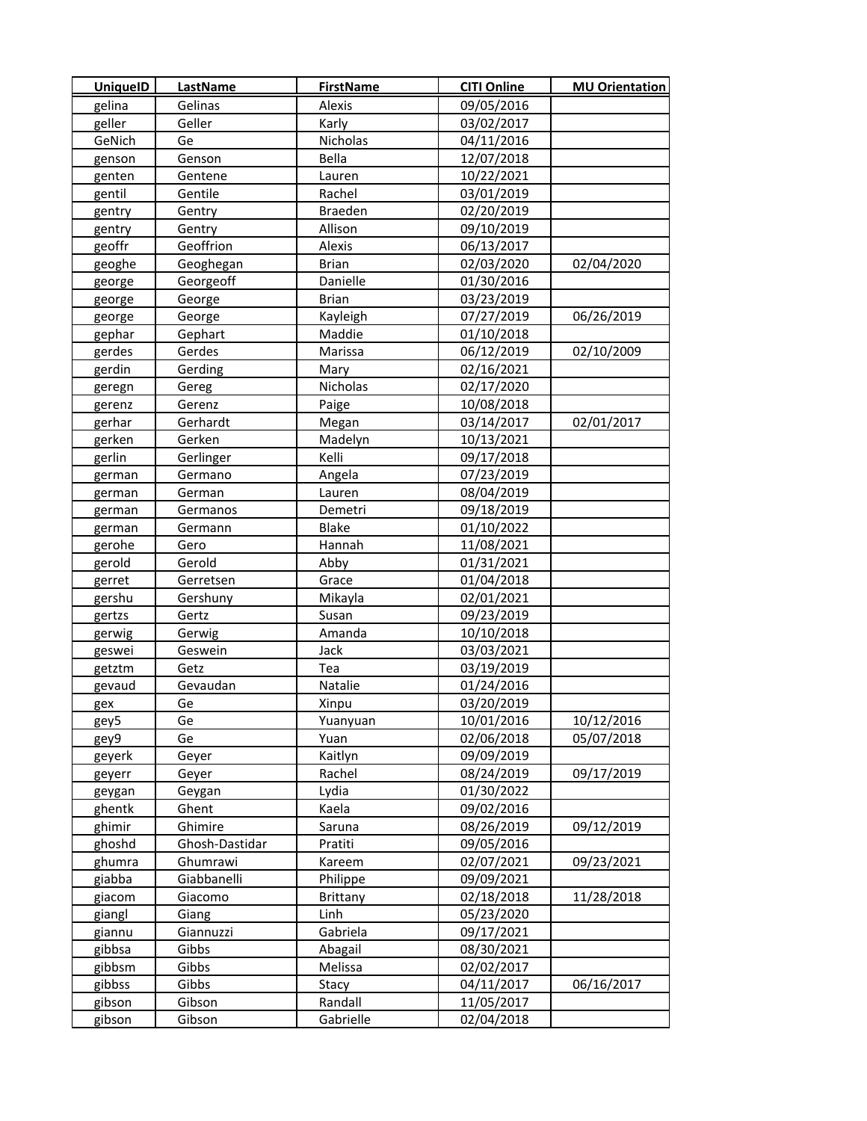| <b>UniquelD</b> | LastName       | <b>FirstName</b> | <b>CITI Online</b> | <b>MU Orientation</b> |
|-----------------|----------------|------------------|--------------------|-----------------------|
| gelina          | Gelinas        | Alexis           | 09/05/2016         |                       |
| geller          | Geller         | Karly            | 03/02/2017         |                       |
| GeNich          | Ge             | Nicholas         | 04/11/2016         |                       |
| genson          | Genson         | Bella            | 12/07/2018         |                       |
| genten          | Gentene        | Lauren           | 10/22/2021         |                       |
| gentil          | Gentile        | Rachel           | 03/01/2019         |                       |
| gentry          | Gentry         | <b>Braeden</b>   | 02/20/2019         |                       |
| gentry          | Gentry         | Allison          | 09/10/2019         |                       |
| geoffr          | Geoffrion      | Alexis           | 06/13/2017         |                       |
| geoghe          | Geoghegan      | <b>Brian</b>     | 02/03/2020         | 02/04/2020            |
| george          | Georgeoff      | Danielle         | 01/30/2016         |                       |
| george          | George         | <b>Brian</b>     | 03/23/2019         |                       |
| george          | George         | Kayleigh         | 07/27/2019         | 06/26/2019            |
| gephar          | Gephart        | Maddie           | 01/10/2018         |                       |
| gerdes          | Gerdes         | Marissa          | 06/12/2019         | 02/10/2009            |
| gerdin          | Gerding        | Mary             | 02/16/2021         |                       |
| geregn          | Gereg          | Nicholas         | 02/17/2020         |                       |
| gerenz          | Gerenz         | Paige            | 10/08/2018         |                       |
| gerhar          | Gerhardt       | Megan            | 03/14/2017         | 02/01/2017            |
| gerken          | Gerken         | Madelyn          | 10/13/2021         |                       |
| gerlin          | Gerlinger      | Kelli            | 09/17/2018         |                       |
| german          | Germano        | Angela           | 07/23/2019         |                       |
| german          | German         | Lauren           | 08/04/2019         |                       |
| german          | Germanos       | Demetri          | 09/18/2019         |                       |
| german          | Germann        | <b>Blake</b>     | 01/10/2022         |                       |
| gerohe          | Gero           | Hannah           | 11/08/2021         |                       |
| gerold          | Gerold         | Abby             | 01/31/2021         |                       |
| gerret          | Gerretsen      | Grace            | 01/04/2018         |                       |
| gershu          | Gershuny       | Mikayla          | 02/01/2021         |                       |
| gertzs          | Gertz          | Susan            | 09/23/2019         |                       |
| gerwig          | Gerwig         | Amanda           | 10/10/2018         |                       |
| geswei          | Geswein        | Jack             | 03/03/2021         |                       |
| getztm          | Getz           | Tea              | 03/19/2019         |                       |
| gevaud          | Gevaudan       | Natalie          | 01/24/2016         |                       |
| gex             | Ge             | Xinpu            | 03/20/2019         |                       |
| gey5            | Ge             | Yuanyuan         | 10/01/2016         | 10/12/2016            |
| gey9            | Ge             | Yuan             | 02/06/2018         | 05/07/2018            |
| geyerk          | Geyer          | Kaitlyn          | 09/09/2019         |                       |
| geyerr          | Geyer          | Rachel           | 08/24/2019         | 09/17/2019            |
| geygan          | Geygan         | Lydia            | 01/30/2022         |                       |
| ghentk          | Ghent          | Kaela            | 09/02/2016         |                       |
| ghimir          | Ghimire        | Saruna           | 08/26/2019         | 09/12/2019            |
| ghoshd          | Ghosh-Dastidar | Pratiti          | 09/05/2016         |                       |
| ghumra          | Ghumrawi       | Kareem           | 02/07/2021         | 09/23/2021            |
| giabba          | Giabbanelli    | Philippe         | 09/09/2021         |                       |
| giacom          | Giacomo        | <b>Brittany</b>  | 02/18/2018         | 11/28/2018            |
| giangl          | Giang          | Linh             | 05/23/2020         |                       |
| giannu          | Giannuzzi      | Gabriela         | 09/17/2021         |                       |
| gibbsa          | Gibbs          | Abagail          | 08/30/2021         |                       |
| gibbsm          | Gibbs          | Melissa          | 02/02/2017         |                       |
| gibbss          | Gibbs          | Stacy            | 04/11/2017         | 06/16/2017            |
| gibson          | Gibson         | Randall          | 11/05/2017         |                       |
| gibson          | Gibson         | Gabrielle        | 02/04/2018         |                       |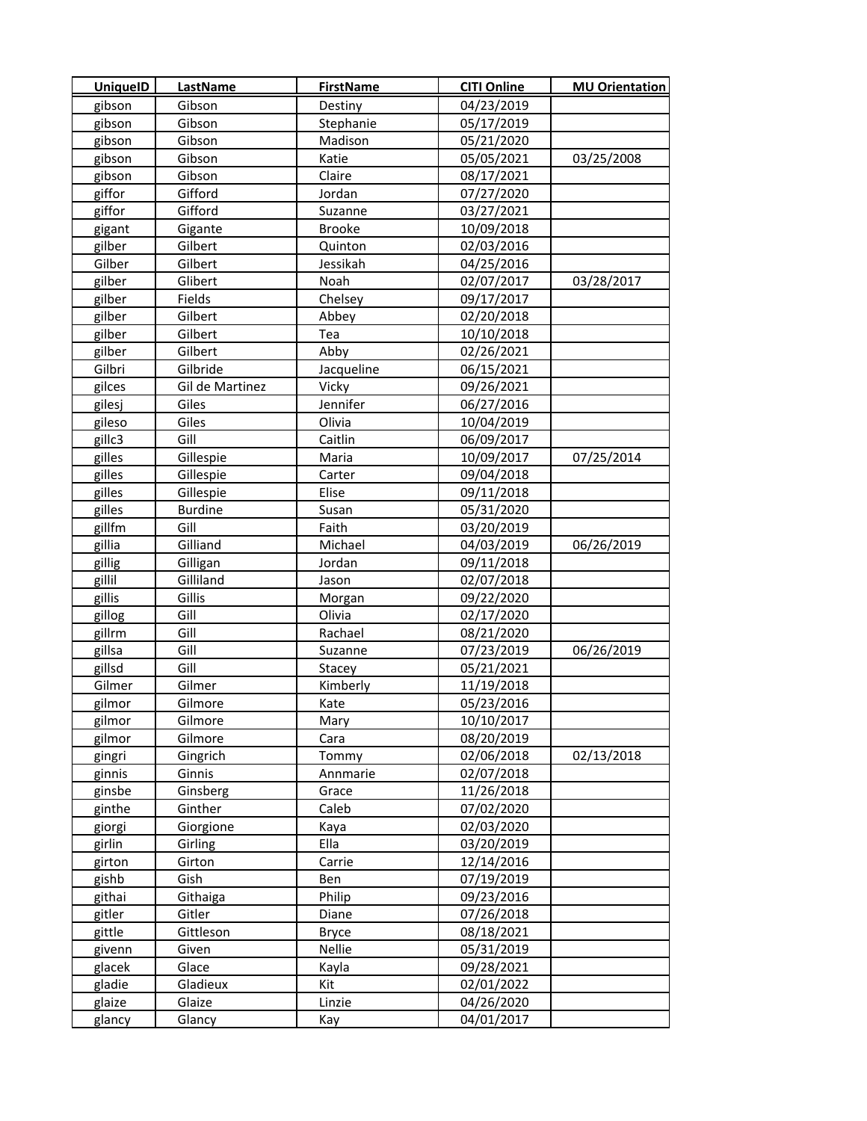| <b>UniquelD</b> | <b>LastName</b> | <b>FirstName</b> | <b>CITI Online</b> | <b>MU Orientation</b> |
|-----------------|-----------------|------------------|--------------------|-----------------------|
| gibson          | Gibson          | Destiny          | 04/23/2019         |                       |
| gibson          | Gibson          | Stephanie        | 05/17/2019         |                       |
| gibson          | Gibson          | Madison          | 05/21/2020         |                       |
| gibson          | Gibson          | Katie            | 05/05/2021         | 03/25/2008            |
| gibson          | Gibson          | Claire           | 08/17/2021         |                       |
| giffor          | Gifford         | Jordan           | 07/27/2020         |                       |
| giffor          | Gifford         | Suzanne          | 03/27/2021         |                       |
| gigant          | Gigante         | <b>Brooke</b>    | 10/09/2018         |                       |
| gilber          | Gilbert         | Quinton          | 02/03/2016         |                       |
| Gilber          | Gilbert         | Jessikah         | 04/25/2016         |                       |
| gilber          | Glibert         | Noah             | 02/07/2017         | 03/28/2017            |
| gilber          | Fields          | Chelsey          | 09/17/2017         |                       |
| gilber          | Gilbert         | Abbey            | 02/20/2018         |                       |
| gilber          | Gilbert         | Tea              | 10/10/2018         |                       |
| gilber          | Gilbert         | Abby             | 02/26/2021         |                       |
| Gilbri          | Gilbride        | Jacqueline       | 06/15/2021         |                       |
| gilces          | Gil de Martinez | Vicky            | 09/26/2021         |                       |
| gilesj          | Giles           | Jennifer         | 06/27/2016         |                       |
| gileso          | Giles           | Olivia           | 10/04/2019         |                       |
| gillc3          | Gill            | Caitlin          | 06/09/2017         |                       |
| gilles          | Gillespie       | Maria            | 10/09/2017         | 07/25/2014            |
| gilles          | Gillespie       | Carter           | 09/04/2018         |                       |
| gilles          | Gillespie       | Elise            | 09/11/2018         |                       |
| gilles          | <b>Burdine</b>  | Susan            | 05/31/2020         |                       |
| gillfm          | Gill            | Faith            | 03/20/2019         |                       |
| gillia          | Gilliand        | Michael          | 04/03/2019         | 06/26/2019            |
| gillig          | Gilligan        | Jordan           | 09/11/2018         |                       |
| gillil          | Gilliland       | Jason            | 02/07/2018         |                       |
| gillis          | Gillis          | Morgan           | 09/22/2020         |                       |
| gillog          | Gill            | Olivia           | 02/17/2020         |                       |
| gillrm          | Gill            | Rachael          | 08/21/2020         |                       |
| gillsa          | Gill            | Suzanne          | 07/23/2019         | 06/26/2019            |
| gillsd          | Gill            | Stacey           | 05/21/2021         |                       |
| Gilmer          | Gilmer          | Kimberly         | 11/19/2018         |                       |
| gilmor          | Gilmore         | Kate             | 05/23/2016         |                       |
| gilmor          | Gilmore         | Mary             | 10/10/2017         |                       |
| gilmor          | Gilmore         | Cara             | 08/20/2019         |                       |
| gingri          | Gingrich        | Tommy            | 02/06/2018         | 02/13/2018            |
| ginnis          | Ginnis          | Annmarie         | 02/07/2018         |                       |
| ginsbe          | Ginsberg        | Grace            | 11/26/2018         |                       |
| ginthe          | Ginther         | Caleb            | 07/02/2020         |                       |
| giorgi          | Giorgione       | Kaya             | 02/03/2020         |                       |
| girlin          | Girling         | Ella             | 03/20/2019         |                       |
| girton          | Girton          | Carrie           | 12/14/2016         |                       |
| gishb           | Gish            | Ben              | 07/19/2019         |                       |
| githai          | Githaiga        | Philip           | 09/23/2016         |                       |
| gitler          | Gitler          | Diane            | 07/26/2018         |                       |
| gittle          | Gittleson       | <b>Bryce</b>     | 08/18/2021         |                       |
| givenn          | Given           | Nellie           | 05/31/2019         |                       |
| glacek          | Glace           | Kayla            | 09/28/2021         |                       |
| gladie          | Gladieux        | Kit              | 02/01/2022         |                       |
| glaize          | Glaize          | Linzie           | 04/26/2020         |                       |
| glancy          | Glancy          | Kay              | 04/01/2017         |                       |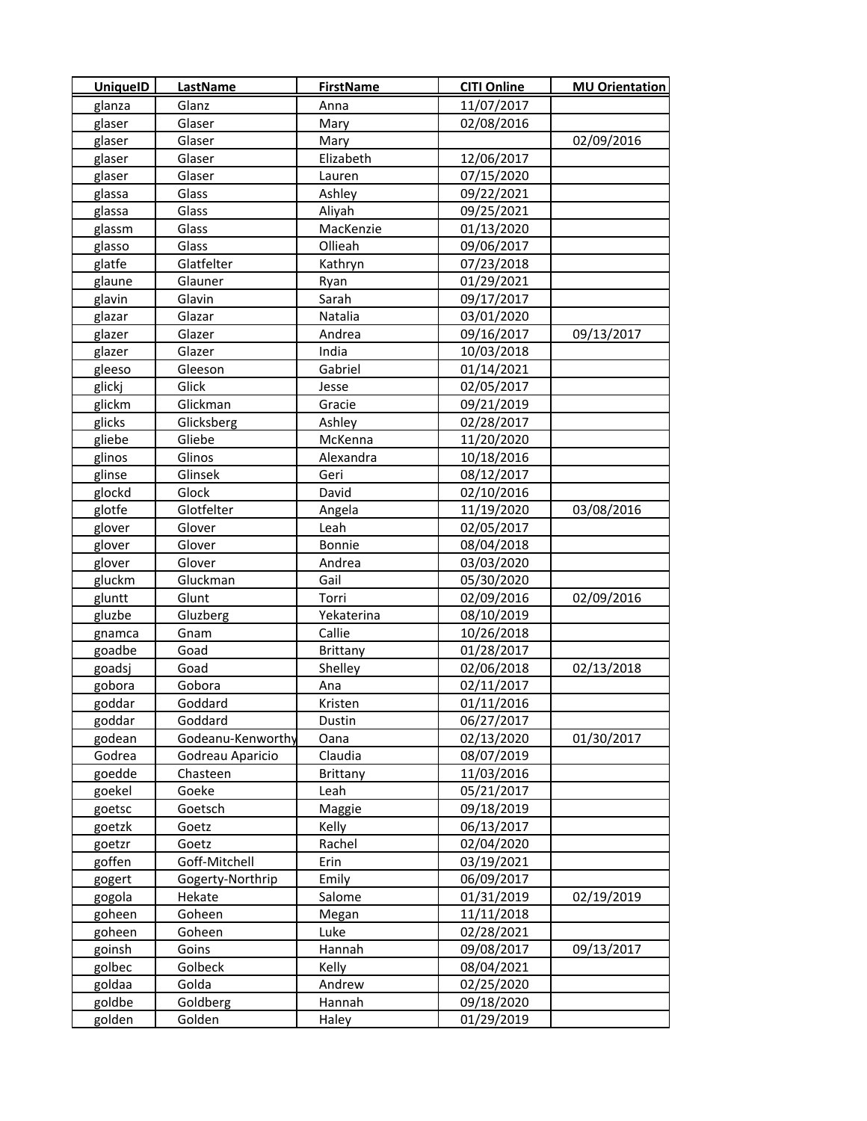| <b>UniquelD</b> | LastName          | <b>FirstName</b> | <b>CITI Online</b> | <b>MU Orientation</b> |
|-----------------|-------------------|------------------|--------------------|-----------------------|
| glanza          | Glanz             | Anna             | 11/07/2017         |                       |
| glaser          | Glaser            | Mary             | 02/08/2016         |                       |
| glaser          | Glaser            | Mary             |                    | 02/09/2016            |
| glaser          | Glaser            | Elizabeth        | 12/06/2017         |                       |
| glaser          | Glaser            | Lauren           | 07/15/2020         |                       |
| glassa          | Glass             | Ashley           | 09/22/2021         |                       |
| glassa          | Glass             | Aliyah           | 09/25/2021         |                       |
| glassm          | Glass             | MacKenzie        | 01/13/2020         |                       |
| glasso          | Glass             | Ollieah          | 09/06/2017         |                       |
| glatfe          | Glatfelter        | Kathryn          | 07/23/2018         |                       |
| glaune          | Glauner           | Ryan             | 01/29/2021         |                       |
| glavin          | Glavin            | Sarah            | 09/17/2017         |                       |
| glazar          | Glazar            | Natalia          | 03/01/2020         |                       |
| glazer          | Glazer            | Andrea           | 09/16/2017         | 09/13/2017            |
| glazer          | Glazer            | India            | 10/03/2018         |                       |
| gleeso          | Gleeson           | Gabriel          | 01/14/2021         |                       |
| glickj          | Glick             | Jesse            | 02/05/2017         |                       |
| glickm          | Glickman          | Gracie           | 09/21/2019         |                       |
| glicks          | Glicksberg        | Ashley           | 02/28/2017         |                       |
| gliebe          | Gliebe            | McKenna          | 11/20/2020         |                       |
| glinos          | Glinos            | Alexandra        | 10/18/2016         |                       |
| glinse          | Glinsek           | Geri             | 08/12/2017         |                       |
| glockd          | Glock             | David            | 02/10/2016         |                       |
| glotfe          | Glotfelter        | Angela           | 11/19/2020         | 03/08/2016            |
| glover          | Glover            | Leah             | 02/05/2017         |                       |
| glover          | Glover            | Bonnie           | 08/04/2018         |                       |
| glover          | Glover            | Andrea           | 03/03/2020         |                       |
| gluckm          | Gluckman          | Gail             | 05/30/2020         |                       |
| gluntt          | Glunt             | Torri            | 02/09/2016         | 02/09/2016            |
| gluzbe          | Gluzberg          | Yekaterina       | 08/10/2019         |                       |
| gnamca          | Gnam              | Callie           | 10/26/2018         |                       |
| goadbe          | Goad              | <b>Brittany</b>  | 01/28/2017         |                       |
| goadsj          | Goad              | Shelley          | 02/06/2018         | 02/13/2018            |
| gobora          | Gobora            | Ana              | 02/11/2017         |                       |
| goddar          | Goddard           | Kristen          | 01/11/2016         |                       |
| goddar          | Goddard           | Dustin           | 06/27/2017         |                       |
| godean          | Godeanu-Kenworthy | Oana             | 02/13/2020         | 01/30/2017            |
| Godrea          | Godreau Aparicio  | Claudia          | 08/07/2019         |                       |
| goedde          | Chasteen          | Brittany         | 11/03/2016         |                       |
| goekel          | Goeke             | Leah             | 05/21/2017         |                       |
| goetsc          | Goetsch           | Maggie           | 09/18/2019         |                       |
| goetzk          | Goetz             | Kelly            | 06/13/2017         |                       |
| goetzr          | Goetz             | Rachel           | 02/04/2020         |                       |
| goffen          | Goff-Mitchell     | Erin             | 03/19/2021         |                       |
| gogert          | Gogerty-Northrip  | Emily            | 06/09/2017         |                       |
| gogola          | Hekate            | Salome           | 01/31/2019         | 02/19/2019            |
| goheen          | Goheen            | Megan            | 11/11/2018         |                       |
| goheen          | Goheen            | Luke             | 02/28/2021         |                       |
| goinsh          | Goins             | Hannah           | 09/08/2017         | 09/13/2017            |
| golbec          | Golbeck           | Kelly            | 08/04/2021         |                       |
| goldaa          | Golda             | Andrew           | 02/25/2020         |                       |
| goldbe          | Goldberg          | Hannah           | 09/18/2020         |                       |
| golden          | Golden            | Haley            | 01/29/2019         |                       |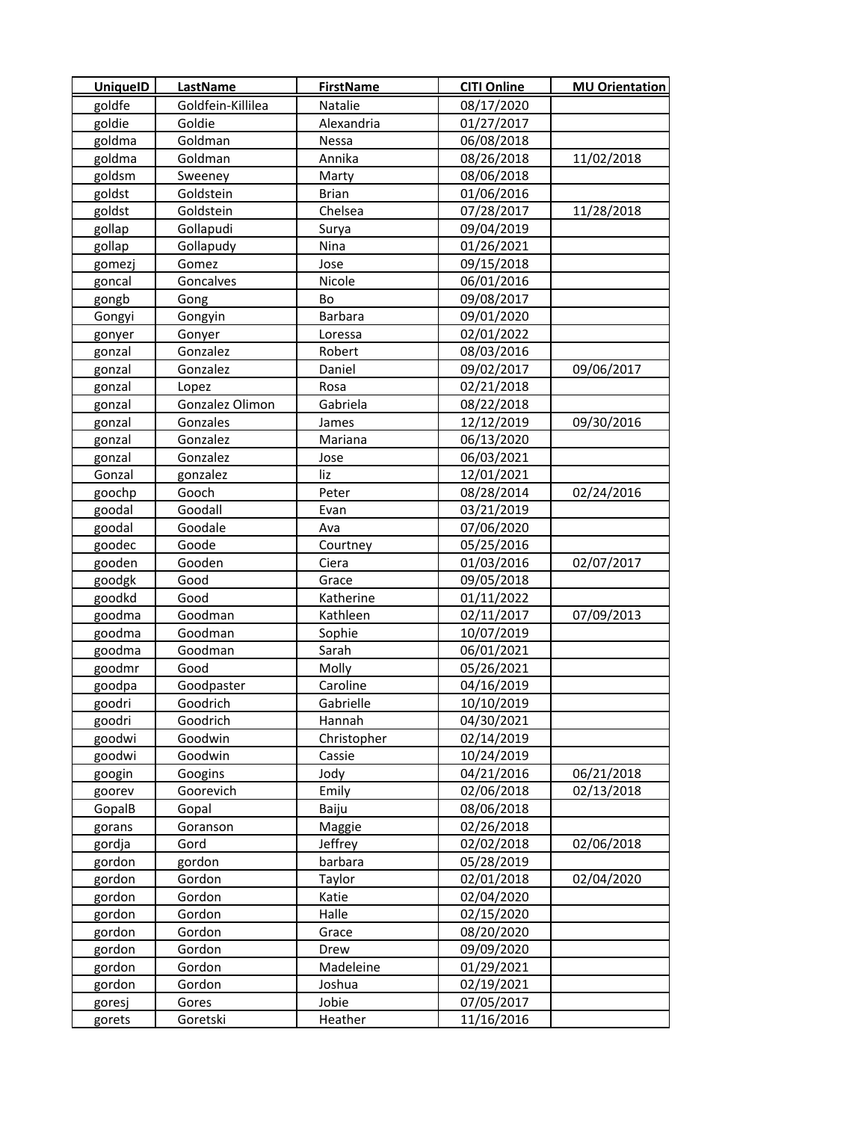| <b>UniquelD</b> | LastName          | <b>FirstName</b> | <b>CITI Online</b> | <b>MU Orientation</b> |
|-----------------|-------------------|------------------|--------------------|-----------------------|
| goldfe          | Goldfein-Killilea | Natalie          | 08/17/2020         |                       |
| goldie          | Goldie            | Alexandria       | 01/27/2017         |                       |
| goldma          | Goldman           | Nessa            | 06/08/2018         |                       |
| goldma          | Goldman           | Annika           | 08/26/2018         | 11/02/2018            |
| goldsm          | Sweeney           | Marty            | 08/06/2018         |                       |
| goldst          | Goldstein         | <b>Brian</b>     | 01/06/2016         |                       |
| goldst          | Goldstein         | Chelsea          | 07/28/2017         | 11/28/2018            |
| gollap          | Gollapudi         | Surya            | 09/04/2019         |                       |
| gollap          | Gollapudy         | Nina             | 01/26/2021         |                       |
| gomezj          | Gomez             | Jose             | 09/15/2018         |                       |
| goncal          | Goncalves         | Nicole           | 06/01/2016         |                       |
| gongb           | Gong              | Bo               | 09/08/2017         |                       |
| Gongyi          | Gongyin           | <b>Barbara</b>   | 09/01/2020         |                       |
| gonyer          | Gonyer            | Loressa          | 02/01/2022         |                       |
| gonzal          | Gonzalez          | Robert           | 08/03/2016         |                       |
| gonzal          | Gonzalez          | Daniel           | 09/02/2017         | 09/06/2017            |
| gonzal          | Lopez             | Rosa             | 02/21/2018         |                       |
| gonzal          | Gonzalez Olimon   | Gabriela         | 08/22/2018         |                       |
| gonzal          | Gonzales          | James            | 12/12/2019         | 09/30/2016            |
| gonzal          | Gonzalez          | Mariana          | 06/13/2020         |                       |
| gonzal          | Gonzalez          | Jose             | 06/03/2021         |                       |
| Gonzal          | gonzalez          | liz              | 12/01/2021         |                       |
| goochp          | Gooch             | Peter            | 08/28/2014         | 02/24/2016            |
| goodal          | Goodall           | Evan             | 03/21/2019         |                       |
| goodal          | Goodale           | Ava              | 07/06/2020         |                       |
| goodec          | Goode             | Courtney         | 05/25/2016         |                       |
| gooden          | Gooden            | Ciera            | 01/03/2016         | 02/07/2017            |
| goodgk          | Good              | Grace            | 09/05/2018         |                       |
| goodkd          | Good              | Katherine        | 01/11/2022         |                       |
| goodma          | Goodman           | Kathleen         | 02/11/2017         | 07/09/2013            |
| goodma          | Goodman           | Sophie           | 10/07/2019         |                       |
| goodma          | Goodman           | Sarah            | 06/01/2021         |                       |
| goodmr          | Good              | Molly            | 05/26/2021         |                       |
| goodpa          | Goodpaster        | Caroline         | 04/16/2019         |                       |
| goodri          | Goodrich          | Gabrielle        | 10/10/2019         |                       |
| goodri          | Goodrich          | Hannah           | 04/30/2021         |                       |
| goodwi          | Goodwin           | Christopher      | 02/14/2019         |                       |
| goodwi          | Goodwin           | Cassie           | 10/24/2019         |                       |
| googin          | Googins           | Jody             | 04/21/2016         | 06/21/2018            |
| goorev          | Goorevich         | Emily            | 02/06/2018         | 02/13/2018            |
| GopalB          | Gopal             | Baiju            | 08/06/2018         |                       |
| gorans          | Goranson          | Maggie           | 02/26/2018         |                       |
| gordja          | Gord              | Jeffrey          | 02/02/2018         | 02/06/2018            |
| gordon          | gordon            | barbara          | 05/28/2019         |                       |
| gordon          | Gordon            | Taylor           | 02/01/2018         | 02/04/2020            |
| gordon          | Gordon            | Katie            | 02/04/2020         |                       |
| gordon          | Gordon            | Halle            | 02/15/2020         |                       |
| gordon          | Gordon            | Grace            | 08/20/2020         |                       |
| gordon          | Gordon            | Drew             | 09/09/2020         |                       |
| gordon          | Gordon            | Madeleine        | 01/29/2021         |                       |
| gordon          | Gordon            | Joshua           | 02/19/2021         |                       |
| goresj          | Gores             | Jobie            | 07/05/2017         |                       |
| gorets          | Goretski          | Heather          | 11/16/2016         |                       |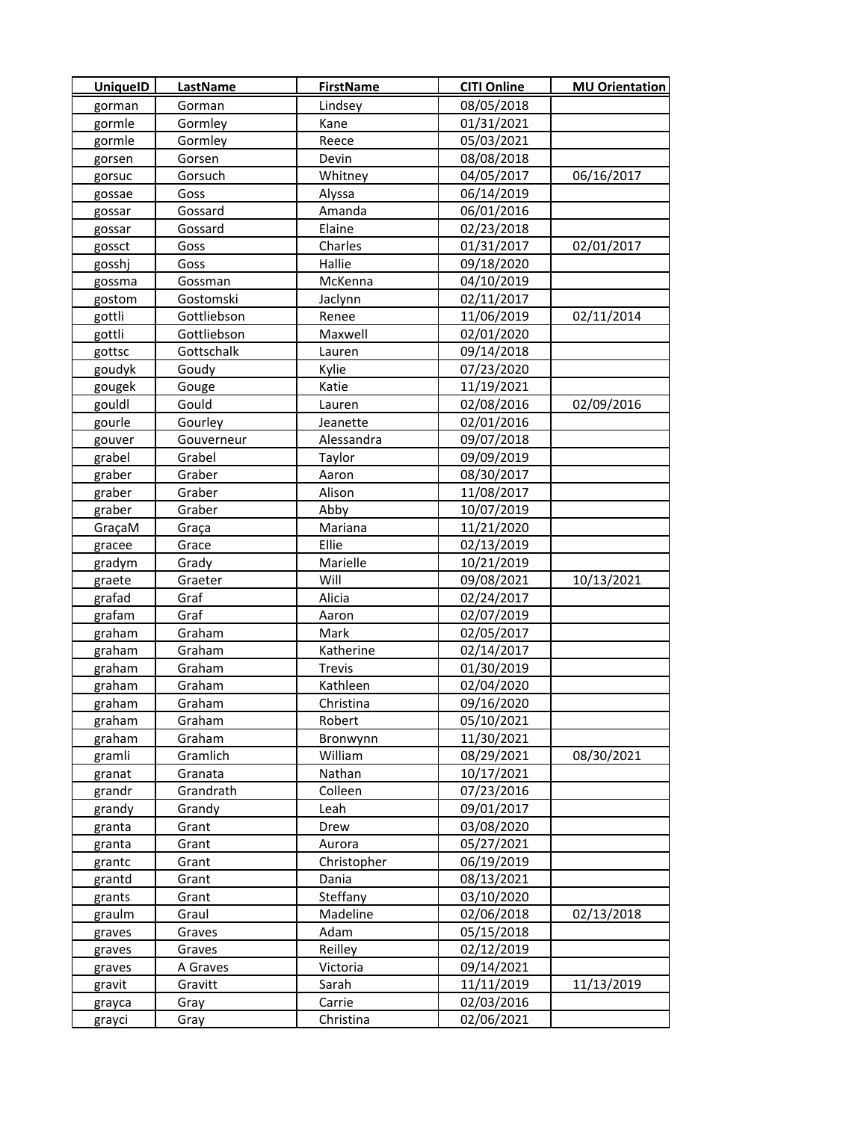| <b>UniquelD</b>  | LastName            | <b>FirstName</b>  | <b>CITI Online</b>       | <b>MU Orientation</b> |
|------------------|---------------------|-------------------|--------------------------|-----------------------|
| gorman           | Gorman              | Lindsey           | 08/05/2018               |                       |
| gormle           | Gormley             | Kane              | 01/31/2021               |                       |
| gormle           | Gormley             | Reece             | 05/03/2021               |                       |
| gorsen           | Gorsen              | Devin             | 08/08/2018               |                       |
| gorsuc           | Gorsuch             | Whitney           | 04/05/2017               | 06/16/2017            |
| gossae           | Goss                | Alyssa            | 06/14/2019               |                       |
| gossar           | Gossard             | Amanda            | 06/01/2016               |                       |
| gossar           | Gossard             | Elaine            | 02/23/2018               |                       |
| gossct           | Goss                | Charles           | 01/31/2017               | 02/01/2017            |
| gosshj           | Goss                | Hallie            | 09/18/2020               |                       |
| gossma           | Gossman             | McKenna           | 04/10/2019               |                       |
| gostom           | Gostomski           | Jaclynn           | 02/11/2017               |                       |
| gottli           | Gottliebson         | Renee             | 11/06/2019               | 02/11/2014            |
| gottli           | Gottliebson         | Maxwell           | 02/01/2020               |                       |
| gottsc           | Gottschalk          | Lauren            | 09/14/2018               |                       |
| goudyk           | Goudy               | Kylie             | 07/23/2020               |                       |
| gougek           | Gouge               | Katie             | 11/19/2021               |                       |
| gouldl           | Gould               | Lauren            | 02/08/2016               | 02/09/2016            |
| gourle           | Gourley             | Jeanette          | 02/01/2016               |                       |
| gouver           | Gouverneur          | Alessandra        | 09/07/2018               |                       |
| grabel           | Grabel              | Taylor            | 09/09/2019               |                       |
| graber           | Graber              | Aaron             | 08/30/2017               |                       |
| graber           | Graber              | Alison            | 11/08/2017               |                       |
| graber           | Graber              | Abby              | 10/07/2019               |                       |
| GraçaM           | Graça               | Mariana           | 11/21/2020               |                       |
| gracee           | Grace               | Ellie             | 02/13/2019               |                       |
| gradym           | Grady               | Marielle          | 10/21/2019               |                       |
| graete           | Graeter             | Will              | 09/08/2021               | 10/13/2021            |
| grafad           | Graf                | Alicia            | 02/24/2017               |                       |
| grafam           | Graf                | Aaron             | 02/07/2019               |                       |
| graham           | Graham              | Mark              | 02/05/2017               |                       |
| graham           | Graham              | Katherine         | 02/14/2017               |                       |
| graham           | Graham              | Trevis            | 01/30/2019               |                       |
| graham           | Graham              | Kathleen          | 02/04/2020               |                       |
| graham           | Graham              | Christina         | 09/16/2020               |                       |
| graham           | Graham              | Robert            | 05/10/2021               |                       |
| graham           | Graham              | Bronwynn          | 11/30/2021               |                       |
| gramli           | Gramlich            | William           | 08/29/2021               | 08/30/2021            |
| granat           | Granata             | Nathan            | 10/17/2021               |                       |
| grandr           | Grandrath           | Colleen           | 07/23/2016               |                       |
| grandy           | Grandy              | Leah              | 09/01/2017               |                       |
| granta           | Grant               | Drew              | 03/08/2020               |                       |
| granta           | Grant               | Aurora            | 05/27/2021               |                       |
| grantc           | Grant               | Christopher       | 06/19/2019               |                       |
| grantd           | Grant               | Dania             | 08/13/2021               |                       |
| grants           | Grant               | Steffany          | 03/10/2020               |                       |
| graulm           | Graul               | Madeline          | 02/06/2018               | 02/13/2018            |
| graves           | Graves              | Adam              | 05/15/2018               |                       |
| graves           | Graves              | Reilley           | 02/12/2019<br>09/14/2021 |                       |
| graves<br>gravit | A Graves<br>Gravitt | Victoria<br>Sarah | 11/11/2019               | 11/13/2019            |
| grayca           | Gray                | Carrie            | 02/03/2016               |                       |
| grayci           | Gray                | Christina         | 02/06/2021               |                       |
|                  |                     |                   |                          |                       |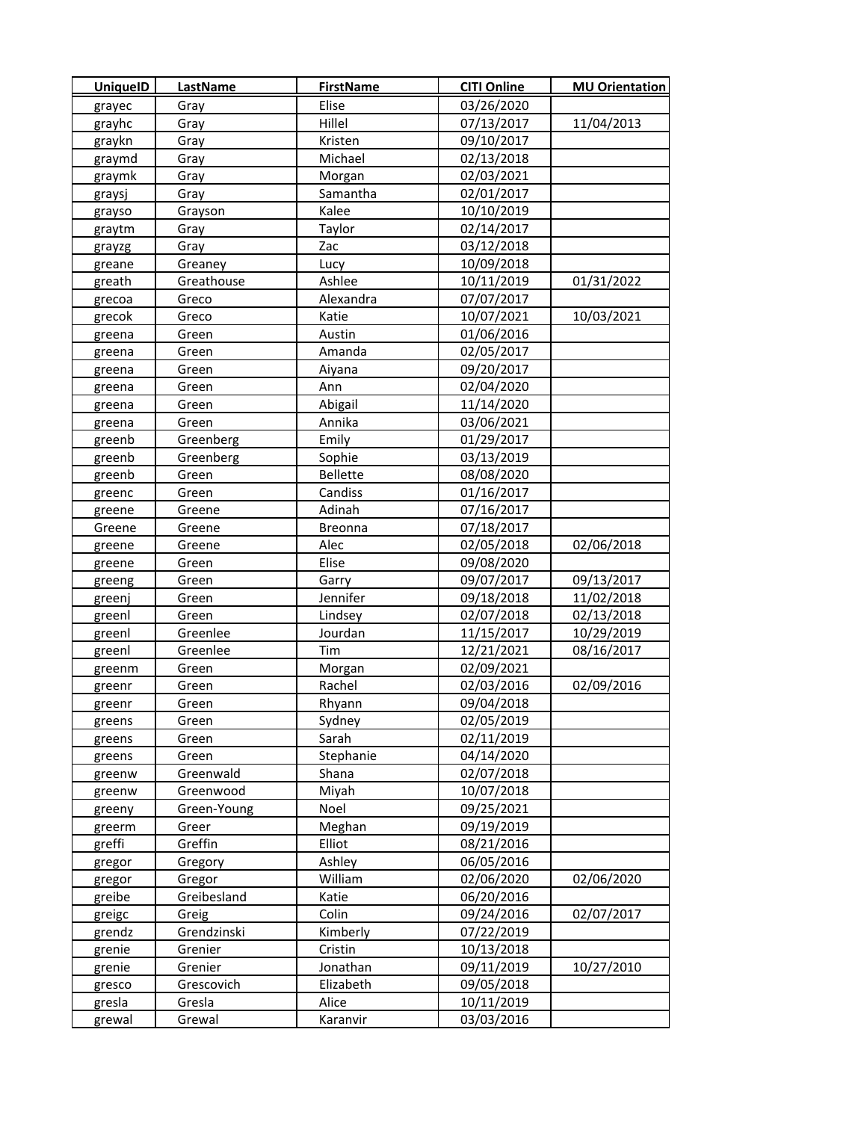| <b>UniquelD</b> | <b>LastName</b> | <b>FirstName</b> | <b>CITI Online</b> | <b>MU Orientation</b> |
|-----------------|-----------------|------------------|--------------------|-----------------------|
| grayec          | Gray            | Elise            | 03/26/2020         |                       |
| grayhc          | Gray            | Hillel           | 07/13/2017         | 11/04/2013            |
| graykn          | Gray            | Kristen          | 09/10/2017         |                       |
| graymd          | Gray            | Michael          | 02/13/2018         |                       |
| graymk          | Gray            | Morgan           | 02/03/2021         |                       |
| graysj          | Gray            | Samantha         | 02/01/2017         |                       |
| grayso          | Grayson         | Kalee            | 10/10/2019         |                       |
| graytm          | Gray            | Taylor           | 02/14/2017         |                       |
| grayzg          | Gray            | Zac              | 03/12/2018         |                       |
| greane          | Greaney         | Lucy             | 10/09/2018         |                       |
| greath          | Greathouse      | Ashlee           | 10/11/2019         | 01/31/2022            |
| grecoa          | Greco           | Alexandra        | 07/07/2017         |                       |
| grecok          | Greco           | Katie            | 10/07/2021         | 10/03/2021            |
| greena          | Green           | Austin           | 01/06/2016         |                       |
| greena          | Green           | Amanda           | 02/05/2017         |                       |
| greena          | Green           | Aiyana           | 09/20/2017         |                       |
| greena          | Green           | Ann              | 02/04/2020         |                       |
| greena          | Green           | Abigail          | 11/14/2020         |                       |
| greena          | Green           | Annika           | 03/06/2021         |                       |
| greenb          | Greenberg       | Emily            | 01/29/2017         |                       |
| greenb          | Greenberg       | Sophie           | 03/13/2019         |                       |
| greenb          | Green           | <b>Bellette</b>  | 08/08/2020         |                       |
| greenc          | Green           | Candiss          | 01/16/2017         |                       |
| greene          | Greene          | Adinah           | 07/16/2017         |                       |
| Greene          | Greene          | Breonna          | 07/18/2017         |                       |
| greene          | Greene          | Alec             | 02/05/2018         | 02/06/2018            |
| greene          | Green           | Elise            | 09/08/2020         |                       |
| greeng          | Green           | Garry            | 09/07/2017         | 09/13/2017            |
| greenj          | Green           | Jennifer         | 09/18/2018         | 11/02/2018            |
| greenl          | Green           | Lindsey          | 02/07/2018         | 02/13/2018            |
| greenl          | Greenlee        | Jourdan          | 11/15/2017         | 10/29/2019            |
| greenl          | Greenlee        | Tim              | 12/21/2021         | 08/16/2017            |
| greenm          | Green           | Morgan           | 02/09/2021         |                       |
| greenr          | Green           | Rachel           | 02/03/2016         | 02/09/2016            |
| greenr          | Green           | Rhyann           | 09/04/2018         |                       |
| greens          | Green           | Sydney           | 02/05/2019         |                       |
| greens          | Green           | Sarah            | 02/11/2019         |                       |
| greens          | Green           | Stephanie        | 04/14/2020         |                       |
| greenw          | Greenwald       | Shana            | 02/07/2018         |                       |
| greenw          | Greenwood       | Miyah            | 10/07/2018         |                       |
| greeny          | Green-Young     | Noel             | 09/25/2021         |                       |
| greerm          | Greer           | Meghan           | 09/19/2019         |                       |
| greffi          | Greffin         | Elliot           | 08/21/2016         |                       |
| gregor          | Gregory         | Ashley           | 06/05/2016         |                       |
| gregor          | Gregor          | William          | 02/06/2020         | 02/06/2020            |
| greibe          | Greibesland     | Katie            | 06/20/2016         |                       |
| greigc          | Greig           | Colin            | 09/24/2016         | 02/07/2017            |
| grendz          | Grendzinski     | Kimberly         | 07/22/2019         |                       |
| grenie          | Grenier         | Cristin          | 10/13/2018         |                       |
| grenie          | Grenier         | Jonathan         | 09/11/2019         | 10/27/2010            |
| gresco          | Grescovich      | Elizabeth        | 09/05/2018         |                       |
| gresla          | Gresla          | Alice            | 10/11/2019         |                       |
| grewal          | Grewal          | Karanvir         | 03/03/2016         |                       |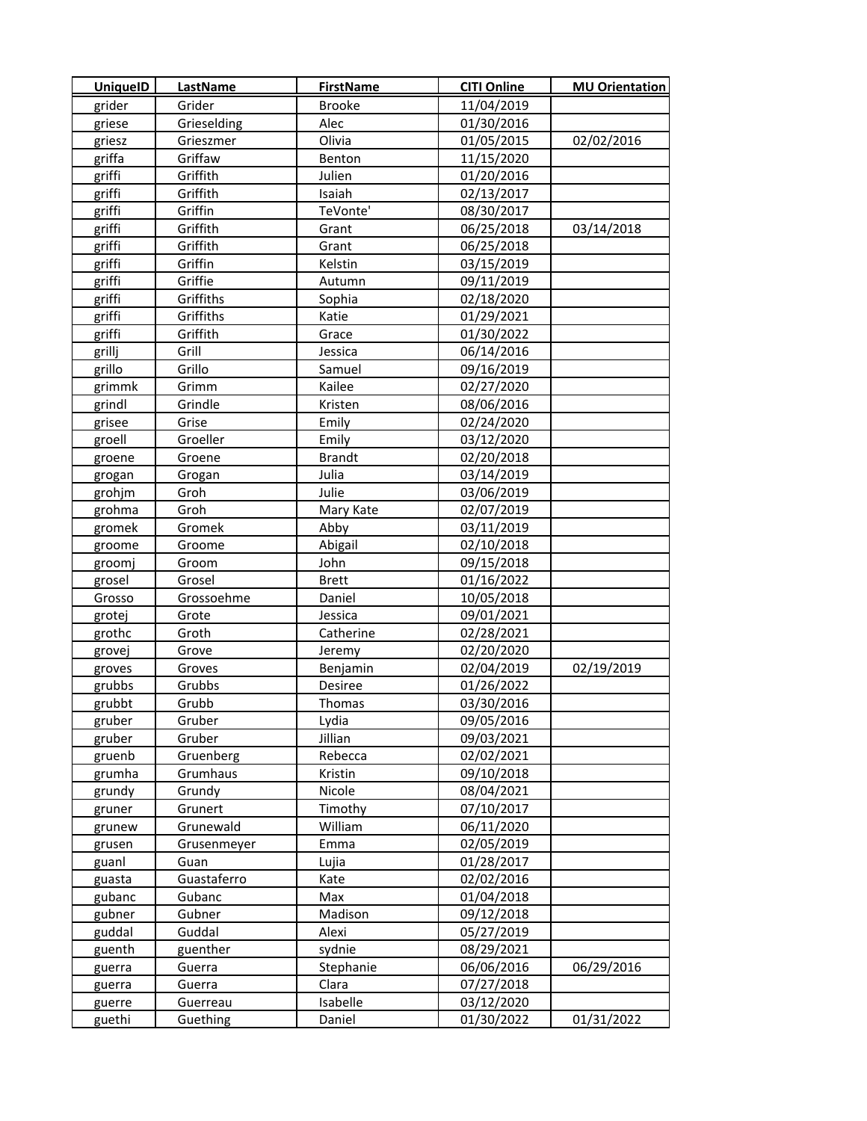| <b>UniquelD</b> | LastName    | <b>FirstName</b> | <b>CITI Online</b> | <b>MU Orientation</b> |
|-----------------|-------------|------------------|--------------------|-----------------------|
| grider          | Grider      | <b>Brooke</b>    | 11/04/2019         |                       |
| griese          | Grieselding | Alec             | 01/30/2016         |                       |
| griesz          | Grieszmer   | Olivia           | 01/05/2015         | 02/02/2016            |
| griffa          | Griffaw     | Benton           | 11/15/2020         |                       |
| griffi          | Griffith    | Julien           | 01/20/2016         |                       |
| griffi          | Griffith    | Isaiah           | 02/13/2017         |                       |
| griffi          | Griffin     | TeVonte'         | 08/30/2017         |                       |
| griffi          | Griffith    | Grant            | 06/25/2018         | 03/14/2018            |
| griffi          | Griffith    | Grant            | 06/25/2018         |                       |
| griffi          | Griffin     | Kelstin          | 03/15/2019         |                       |
| griffi          | Griffie     | Autumn           | 09/11/2019         |                       |
| griffi          | Griffiths   | Sophia           | 02/18/2020         |                       |
| griffi          | Griffiths   | Katie            | 01/29/2021         |                       |
| griffi          | Griffith    | Grace            | 01/30/2022         |                       |
| grillj          | Grill       | Jessica          | 06/14/2016         |                       |
| grillo          | Grillo      | Samuel           | 09/16/2019         |                       |
| grimmk          | Grimm       | Kailee           | 02/27/2020         |                       |
| grindl          | Grindle     | Kristen          | 08/06/2016         |                       |
| grisee          | Grise       | Emily            | 02/24/2020         |                       |
| groell          | Groeller    | Emily            | 03/12/2020         |                       |
| groene          | Groene      | <b>Brandt</b>    | 02/20/2018         |                       |
| grogan          | Grogan      | Julia            | 03/14/2019         |                       |
| grohjm          | Groh        | Julie            | 03/06/2019         |                       |
| grohma          | Groh        | Mary Kate        | 02/07/2019         |                       |
| gromek          | Gromek      | Abby             | 03/11/2019         |                       |
| groome          | Groome      | Abigail          | 02/10/2018         |                       |
| groomj          | Groom       | John             | 09/15/2018         |                       |
| grosel          | Grosel      | <b>Brett</b>     | 01/16/2022         |                       |
| Grosso          | Grossoehme  | Daniel           | 10/05/2018         |                       |
| grotej          | Grote       | Jessica          | 09/01/2021         |                       |
| grothc          | Groth       | Catherine        | 02/28/2021         |                       |
| grovej          | Grove       | Jeremy           | 02/20/2020         |                       |
| groves          | Groves      | Benjamin         | 02/04/2019         | 02/19/2019            |
| grubbs          | Grubbs      | Desiree          | 01/26/2022         |                       |
| grubbt          | Grubb       | Thomas           | 03/30/2016         |                       |
| gruber          | Gruber      | Lydia            | 09/05/2016         |                       |
| gruber          | Gruber      | Jillian          | 09/03/2021         |                       |
| gruenb          | Gruenberg   | Rebecca          | 02/02/2021         |                       |
| grumha          | Grumhaus    | Kristin          | 09/10/2018         |                       |
| grundy          | Grundy      | Nicole           | 08/04/2021         |                       |
| gruner          | Grunert     | Timothy          | 07/10/2017         |                       |
| grunew          | Grunewald   | William          | 06/11/2020         |                       |
| grusen          | Grusenmeyer | Emma             | 02/05/2019         |                       |
| guanl           | Guan        | Lujia            | 01/28/2017         |                       |
| guasta          | Guastaferro | Kate             | 02/02/2016         |                       |
| gubanc          | Gubanc      | Max              | 01/04/2018         |                       |
| gubner          | Gubner      | Madison          | 09/12/2018         |                       |
| guddal          | Guddal      | Alexi            | 05/27/2019         |                       |
| guenth          | guenther    | sydnie           | 08/29/2021         |                       |
| guerra          | Guerra      | Stephanie        | 06/06/2016         | 06/29/2016            |
| guerra          | Guerra      | Clara            | 07/27/2018         |                       |
| guerre          | Guerreau    | Isabelle         | 03/12/2020         |                       |
| guethi          | Guething    | Daniel           | 01/30/2022         | 01/31/2022            |
|                 |             |                  |                    |                       |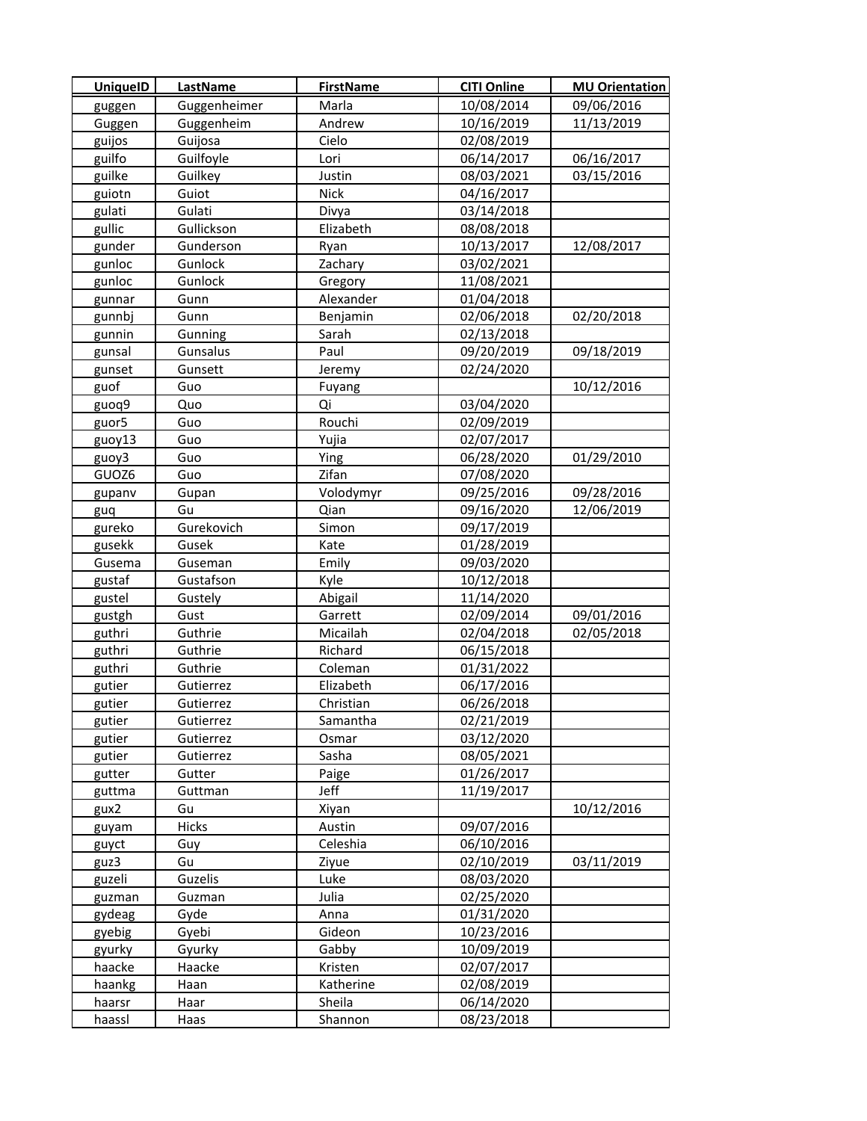| <b>UniquelD</b> | <b>LastName</b> | <b>FirstName</b> | <b>CITI Online</b> | <b>MU Orientation</b> |
|-----------------|-----------------|------------------|--------------------|-----------------------|
| guggen          | Guggenheimer    | Marla            | 10/08/2014         | 09/06/2016            |
| Guggen          | Guggenheim      | Andrew           | 10/16/2019         | 11/13/2019            |
| guijos          | Guijosa         | Cielo            | 02/08/2019         |                       |
| guilfo          | Guilfoyle       | Lori             | 06/14/2017         | 06/16/2017            |
| guilke          | Guilkey         | Justin           | 08/03/2021         | 03/15/2016            |
| guiotn          | Guiot           | <b>Nick</b>      | 04/16/2017         |                       |
| gulati          | Gulati          | Divya            | 03/14/2018         |                       |
| gullic          | Gullickson      | Elizabeth        | 08/08/2018         |                       |
| gunder          | Gunderson       | Ryan             | 10/13/2017         | 12/08/2017            |
| gunloc          | Gunlock         | Zachary          | 03/02/2021         |                       |
| gunloc          | Gunlock         | Gregory          | 11/08/2021         |                       |
| gunnar          | Gunn            | Alexander        | 01/04/2018         |                       |
| gunnbj          | Gunn            | Benjamin         | 02/06/2018         | 02/20/2018            |
| gunnin          | Gunning         | Sarah            | 02/13/2018         |                       |
| gunsal          | Gunsalus        | Paul             | 09/20/2019         | 09/18/2019            |
| gunset          | Gunsett         | Jeremy           | 02/24/2020         |                       |
| guof            | Guo             | Fuyang           |                    | 10/12/2016            |
| guoq9           | Quo             | Qi               | 03/04/2020         |                       |
| guor5           | Guo             | Rouchi           | 02/09/2019         |                       |
| guoy13          | Guo             | Yujia            | 02/07/2017         |                       |
| guoy3           | Guo             | Ying             | 06/28/2020         | 01/29/2010            |
| GUOZ6           | Guo             | Zifan            | 07/08/2020         |                       |
| gupanv          | Gupan           | Volodymyr        | 09/25/2016         | 09/28/2016            |
| guq             | Gu              | Qian             | 09/16/2020         | 12/06/2019            |
| gureko          | Gurekovich      | Simon            | 09/17/2019         |                       |
| gusekk          | Gusek           | Kate             | 01/28/2019         |                       |
| Gusema          | Guseman         | Emily            | 09/03/2020         |                       |
| gustaf          | Gustafson       | Kyle             | 10/12/2018         |                       |
| gustel          | Gustely         | Abigail          | 11/14/2020         |                       |
| gustgh          | Gust            | Garrett          | 02/09/2014         | 09/01/2016            |
| guthri          | Guthrie         | Micailah         | 02/04/2018         | 02/05/2018            |
| guthri          | Guthrie         | Richard          | 06/15/2018         |                       |
| guthri          | Guthrie         | Coleman          | 01/31/2022         |                       |
| gutier          | Gutierrez       | Elizabeth        | 06/17/2016         |                       |
| gutier          | Gutierrez       | Christian        | 06/26/2018         |                       |
| gutier          | Gutierrez       | Samantha         | 02/21/2019         |                       |
| gutier          | Gutierrez       | Osmar            | 03/12/2020         |                       |
| gutier          | Gutierrez       | Sasha            | 08/05/2021         |                       |
| gutter          | Gutter          | Paige            | 01/26/2017         |                       |
| guttma          | Guttman         | Jeff             | 11/19/2017         |                       |
| gux2            | Gu              | Xiyan            |                    | 10/12/2016            |
| guyam           | Hicks           | Austin           | 09/07/2016         |                       |
| guyct           | Guy             | Celeshia         | 06/10/2016         |                       |
| guz3            | Gu              | Ziyue            | 02/10/2019         | 03/11/2019            |
| guzeli          | Guzelis         | Luke             | 08/03/2020         |                       |
| guzman          | Guzman          | Julia            | 02/25/2020         |                       |
| gydeag          | Gyde            | Anna             | 01/31/2020         |                       |
| gyebig          | Gyebi           | Gideon           | 10/23/2016         |                       |
| gyurky          | Gyurky          | Gabby            | 10/09/2019         |                       |
| haacke          | Haacke          | Kristen          | 02/07/2017         |                       |
| haankg          | Haan            | Katherine        | 02/08/2019         |                       |
| haarsr          | Haar            | Sheila           | 06/14/2020         |                       |
| haassl          | Haas            | Shannon          | 08/23/2018         |                       |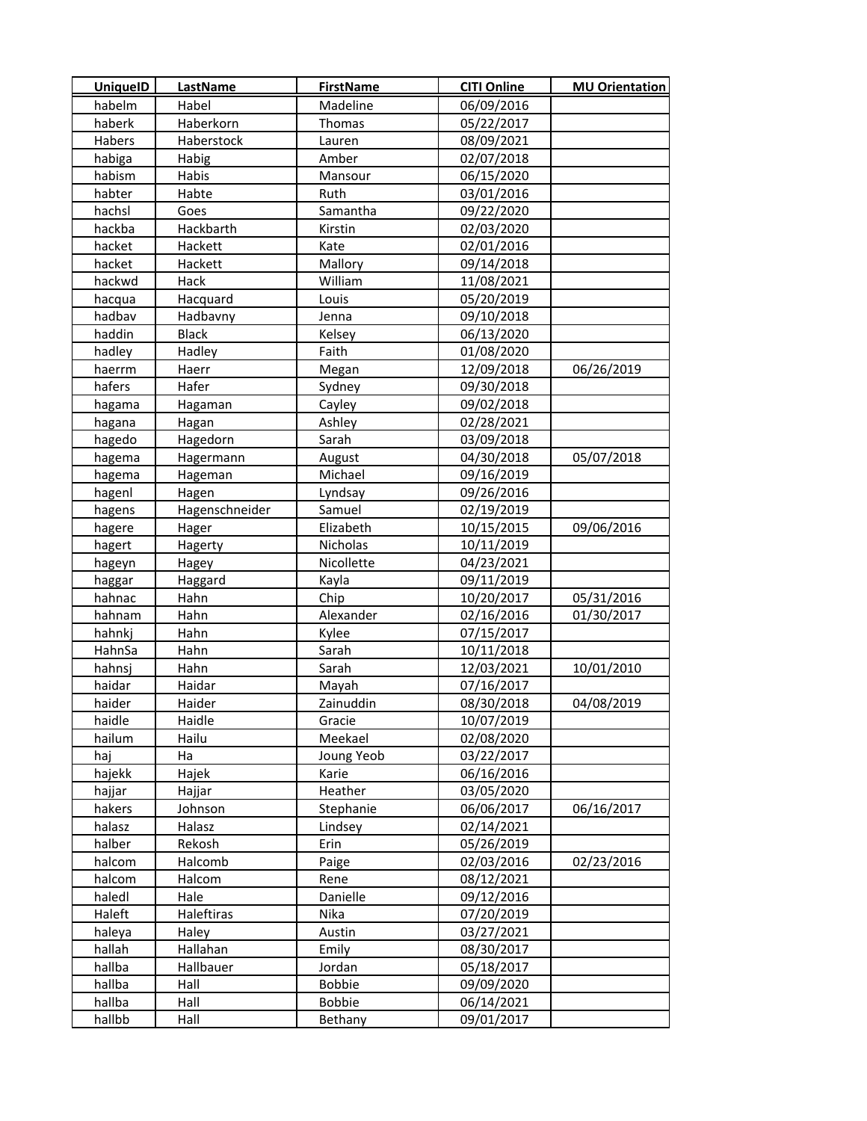| <b>UniquelD</b> | <b>LastName</b> | <b>FirstName</b> | <b>CITI Online</b> | <b>MU Orientation</b> |
|-----------------|-----------------|------------------|--------------------|-----------------------|
| habelm          | Habel           | Madeline         | 06/09/2016         |                       |
| haberk          | Haberkorn       | Thomas           | 05/22/2017         |                       |
| Habers          | Haberstock      | Lauren           | 08/09/2021         |                       |
| habiga          | Habig           | Amber            | 02/07/2018         |                       |
| habism          | Habis           | Mansour          | 06/15/2020         |                       |
| habter          | Habte           | Ruth             | 03/01/2016         |                       |
| hachsl          | Goes            | Samantha         | 09/22/2020         |                       |
| hackba          | Hackbarth       | Kirstin          | 02/03/2020         |                       |
| hacket          | Hackett         | Kate             | 02/01/2016         |                       |
| hacket          | Hackett         | Mallory          | 09/14/2018         |                       |
| hackwd          | Hack            | William          | 11/08/2021         |                       |
| hacqua          | Hacquard        | Louis            | 05/20/2019         |                       |
| hadbav          | Hadbavny        | Jenna            | 09/10/2018         |                       |
| haddin          | <b>Black</b>    | Kelsey           | 06/13/2020         |                       |
| hadley          | Hadley          | Faith            | 01/08/2020         |                       |
| haerrm          | Haerr           | Megan            | 12/09/2018         | 06/26/2019            |
| hafers          | Hafer           | Sydney           | 09/30/2018         |                       |
| hagama          | Hagaman         | Cayley           | 09/02/2018         |                       |
| hagana          | Hagan           | Ashley           | 02/28/2021         |                       |
| hagedo          | Hagedorn        | Sarah            | 03/09/2018         |                       |
| hagema          | Hagermann       | August           | 04/30/2018         | 05/07/2018            |
| hagema          | Hageman         | Michael          | 09/16/2019         |                       |
| hagenl          | Hagen           | Lyndsay          | 09/26/2016         |                       |
| hagens          | Hagenschneider  | Samuel           | 02/19/2019         |                       |
| hagere          | Hager           | Elizabeth        | 10/15/2015         | 09/06/2016            |
| hagert          | Hagerty         | Nicholas         | 10/11/2019         |                       |
| hageyn          | Hagey           | Nicollette       | 04/23/2021         |                       |
| haggar          | Haggard         | Kayla            | 09/11/2019         |                       |
| hahnac          | Hahn            | Chip             | 10/20/2017         | 05/31/2016            |
| hahnam          | Hahn            | Alexander        | 02/16/2016         | 01/30/2017            |
| hahnkj          | Hahn            | Kylee            | 07/15/2017         |                       |
| HahnSa          | Hahn            | Sarah            | 10/11/2018         |                       |
| hahnsj          | Hahn            | Sarah            | 12/03/2021         | 10/01/2010            |
| haidar          | Haidar          | Mayah            | 07/16/2017         |                       |
| haider          | Haider          | Zainuddin        | 08/30/2018         | 04/08/2019            |
| haidle          | Haidle          | Gracie           | 10/07/2019         |                       |
| hailum          | Hailu           | Meekael          | 02/08/2020         |                       |
| haj             | Ha              | Joung Yeob       | 03/22/2017         |                       |
| hajekk          | Hajek           | Karie            | 06/16/2016         |                       |
| hajjar          | Hajjar          | Heather          | 03/05/2020         |                       |
| hakers          | Johnson         | Stephanie        | 06/06/2017         | 06/16/2017            |
| halasz          | Halasz          | Lindsey          | 02/14/2021         |                       |
| halber          | Rekosh          | Erin             | 05/26/2019         |                       |
| halcom          | Halcomb         | Paige            | 02/03/2016         | 02/23/2016            |
| halcom          | Halcom          | Rene             | 08/12/2021         |                       |
| haledl          | Hale            | Danielle         | 09/12/2016         |                       |
| Haleft          | Haleftiras      | Nika             | 07/20/2019         |                       |
| haleya          | Haley           | Austin           | 03/27/2021         |                       |
| hallah          | Hallahan        | Emily            | 08/30/2017         |                       |
| hallba          | Hallbauer       | Jordan           | 05/18/2017         |                       |
| hallba          | Hall            | <b>Bobbie</b>    | 09/09/2020         |                       |
| hallba          | Hall            | Bobbie           | 06/14/2021         |                       |
| hallbb          | Hall            | Bethany          | 09/01/2017         |                       |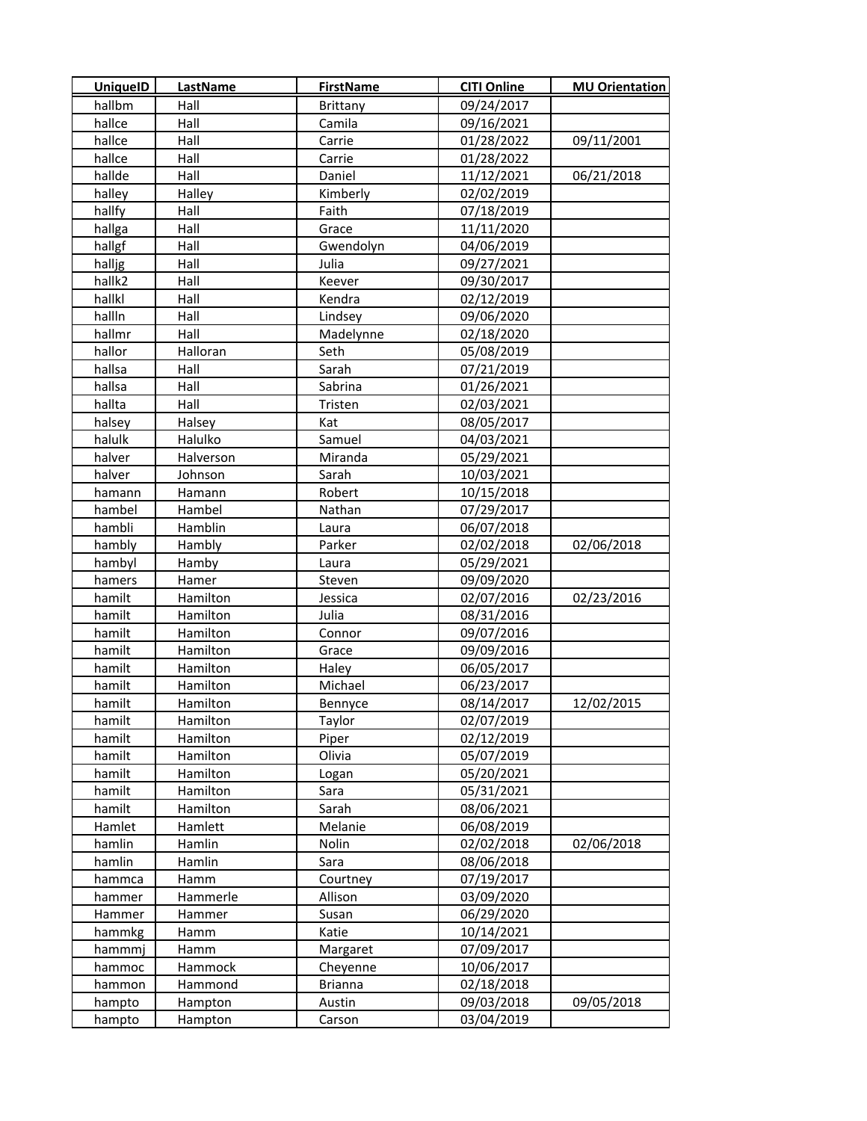| <b>UniquelD</b> | <b>LastName</b> | <b>FirstName</b> | <b>CITI Online</b> | <b>MU Orientation</b> |
|-----------------|-----------------|------------------|--------------------|-----------------------|
| hallbm          | Hall            | <b>Brittany</b>  | 09/24/2017         |                       |
| hallce          | Hall            | Camila           | 09/16/2021         |                       |
| hallce          | Hall            | Carrie           | 01/28/2022         | 09/11/2001            |
| hallce          | Hall            | Carrie           | 01/28/2022         |                       |
| hallde          | Hall            | Daniel           | 11/12/2021         | 06/21/2018            |
| halley          | Halley          | Kimberly         | 02/02/2019         |                       |
| hallfy          | Hall            | Faith            | 07/18/2019         |                       |
| hallga          | Hall            | Grace            | 11/11/2020         |                       |
| hallgf          | Hall            | Gwendolyn        | 04/06/2019         |                       |
| halljg          | Hall            | Julia            | 09/27/2021         |                       |
| hallk2          | Hall            | Keever           | 09/30/2017         |                       |
| hallkl          | Hall            | Kendra           | 02/12/2019         |                       |
| hallln          | Hall            | Lindsey          | 09/06/2020         |                       |
| hallmr          | Hall            | Madelynne        | 02/18/2020         |                       |
| hallor          | Halloran        | Seth             | 05/08/2019         |                       |
| hallsa          | Hall            | Sarah            | 07/21/2019         |                       |
| hallsa          | Hall            | Sabrina          | 01/26/2021         |                       |
| hallta          | Hall            | Tristen          | 02/03/2021         |                       |
| halsey          | Halsey          | Kat              | 08/05/2017         |                       |
| halulk          | Halulko         | Samuel           | 04/03/2021         |                       |
| halver          | Halverson       | Miranda          | 05/29/2021         |                       |
| halver          | Johnson         | Sarah            | 10/03/2021         |                       |
| hamann          | Hamann          | Robert           | 10/15/2018         |                       |
| hambel          | Hambel          | Nathan           | 07/29/2017         |                       |
| hambli          | Hamblin         | Laura            | 06/07/2018         |                       |
| hambly          | Hambly          | Parker           | 02/02/2018         | 02/06/2018            |
| hambyl          | Hamby           | Laura            | 05/29/2021         |                       |
| hamers          | Hamer           | Steven           | 09/09/2020         |                       |
| hamilt          | Hamilton        | Jessica          | 02/07/2016         | 02/23/2016            |
| hamilt          | Hamilton        | Julia            | 08/31/2016         |                       |
| hamilt          | Hamilton        | Connor           | 09/07/2016         |                       |
| hamilt          | Hamilton        | Grace            | 09/09/2016         |                       |
| hamilt          | Hamilton        | Haley            | 06/05/2017         |                       |
| hamilt          | Hamilton        | Michael          | 06/23/2017         |                       |
| hamilt          | Hamilton        | Bennyce          | 08/14/2017         | 12/02/2015            |
| hamilt          | Hamilton        | Taylor           | 02/07/2019         |                       |
| hamilt          | Hamilton        | Piper            | 02/12/2019         |                       |
| hamilt          | Hamilton        | Olivia           | 05/07/2019         |                       |
| hamilt          | Hamilton        | Logan            | 05/20/2021         |                       |
| hamilt          | Hamilton        | Sara             | 05/31/2021         |                       |
| hamilt          | Hamilton        | Sarah            | 08/06/2021         |                       |
| Hamlet          | Hamlett         | Melanie          | 06/08/2019         |                       |
| hamlin          | Hamlin          | Nolin            | 02/02/2018         | 02/06/2018            |
| hamlin          | Hamlin          | Sara             | 08/06/2018         |                       |
| hammca          | Hamm            | Courtney         | 07/19/2017         |                       |
| hammer          | Hammerle        | Allison          | 03/09/2020         |                       |
| Hammer          | Hammer          | Susan            | 06/29/2020         |                       |
| hammkg          | Hamm            | Katie            | 10/14/2021         |                       |
| hammmj          | Hamm            | Margaret         | 07/09/2017         |                       |
| hammoc          | Hammock         | Cheyenne         | 10/06/2017         |                       |
| hammon          | Hammond         | <b>Brianna</b>   | 02/18/2018         |                       |
| hampto          | Hampton         | Austin           | 09/03/2018         | 09/05/2018            |
| hampto          | Hampton         | Carson           | 03/04/2019         |                       |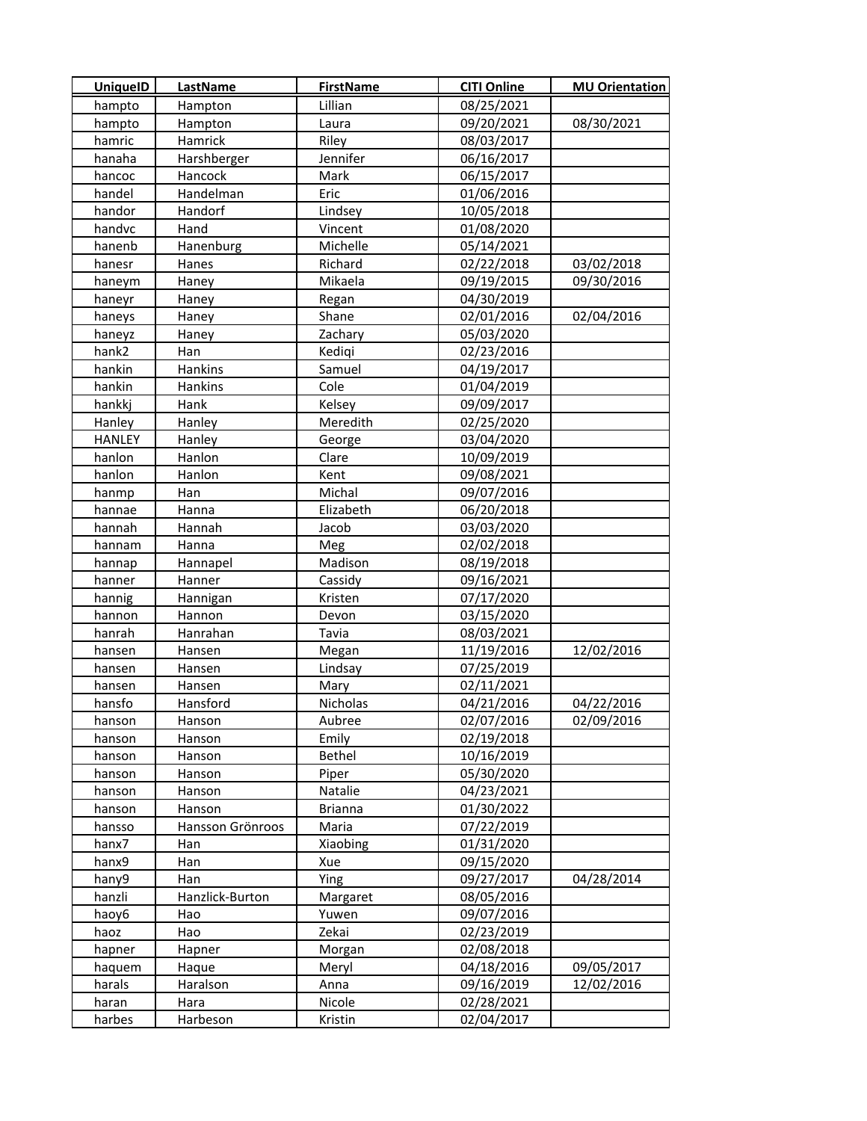| <b>UniquelD</b> | <b>LastName</b>  | <b>FirstName</b> | <b>CITI Online</b> | <b>MU Orientation</b> |
|-----------------|------------------|------------------|--------------------|-----------------------|
| hampto          | Hampton          | Lillian          | 08/25/2021         |                       |
| hampto          | Hampton          | Laura            | 09/20/2021         | 08/30/2021            |
| hamric          | Hamrick          | Riley            | 08/03/2017         |                       |
| hanaha          | Harshberger      | Jennifer         | 06/16/2017         |                       |
| hancoc          | Hancock          | Mark             | 06/15/2017         |                       |
| handel          | Handelman        | Eric             | 01/06/2016         |                       |
| handor          | Handorf          | Lindsey          | 10/05/2018         |                       |
| handvc          | Hand             | Vincent          | 01/08/2020         |                       |
| hanenb          | Hanenburg        | Michelle         | 05/14/2021         |                       |
| hanesr          | Hanes            | Richard          | 02/22/2018         | 03/02/2018            |
| haneym          | Haney            | Mikaela          | 09/19/2015         | 09/30/2016            |
| haneyr          | Haney            | Regan            | 04/30/2019         |                       |
| haneys          | Haney            | Shane            | 02/01/2016         | 02/04/2016            |
| haneyz          | Haney            | Zachary          | 05/03/2020         |                       |
| hank2           | Han              | Kedigi           | 02/23/2016         |                       |
| hankin          | Hankins          | Samuel           | 04/19/2017         |                       |
| hankin          | Hankins          | Cole             | 01/04/2019         |                       |
| hankkj          | Hank             | Kelsey           | 09/09/2017         |                       |
| Hanley          | Hanley           | Meredith         | 02/25/2020         |                       |
| <b>HANLEY</b>   | Hanley           | George           | 03/04/2020         |                       |
| hanlon          | Hanlon           | Clare            | 10/09/2019         |                       |
| hanlon          | Hanlon           | Kent             | 09/08/2021         |                       |
| hanmp           | Han              | Michal           | 09/07/2016         |                       |
| hannae          | Hanna            | Elizabeth        | 06/20/2018         |                       |
| hannah          | Hannah           | Jacob            | 03/03/2020         |                       |
| hannam          | Hanna            | Meg              | 02/02/2018         |                       |
| hannap          | Hannapel         | Madison          | 08/19/2018         |                       |
| hanner          | Hanner           | Cassidy          | 09/16/2021         |                       |
| hannig          | Hannigan         | Kristen          | 07/17/2020         |                       |
| hannon          | Hannon           | Devon            | 03/15/2020         |                       |
| hanrah          | Hanrahan         | Tavia            | 08/03/2021         |                       |
| hansen          | Hansen           | Megan            | 11/19/2016         | 12/02/2016            |
| hansen          | Hansen           | Lindsay          | 07/25/2019         |                       |
| hansen          | Hansen           | Mary             | 02/11/2021         |                       |
| hansfo          | Hansford         | Nicholas         | 04/21/2016         | 04/22/2016            |
| hanson          | Hanson           | Aubree           | 02/07/2016         | 02/09/2016            |
| hanson          | Hanson           | Emily            | 02/19/2018         |                       |
| hanson          | Hanson           | <b>Bethel</b>    | 10/16/2019         |                       |
| hanson          | Hanson           | Piper            | 05/30/2020         |                       |
| hanson          | Hanson           | Natalie          | 04/23/2021         |                       |
| hanson          | Hanson           | <b>Brianna</b>   | 01/30/2022         |                       |
| hansso          | Hansson Grönroos | Maria            | 07/22/2019         |                       |
| hanx7           | Han              | Xiaobing         | 01/31/2020         |                       |
| hanx9           | Han              | Xue              | 09/15/2020         |                       |
| hany9           | Han              | Ying             | 09/27/2017         | 04/28/2014            |
| hanzli          | Hanzlick-Burton  | Margaret         | 08/05/2016         |                       |
| haoy6           | Hao              | Yuwen            | 09/07/2016         |                       |
| haoz            | Hao              | Zekai            | 02/23/2019         |                       |
| hapner          | Hapner           | Morgan           | 02/08/2018         |                       |
| haquem          | Haque            | Meryl            | 04/18/2016         | 09/05/2017            |
| harals          | Haralson         | Anna             | 09/16/2019         | 12/02/2016            |
| haran           | Hara             | Nicole           | 02/28/2021         |                       |
| harbes          | Harbeson         | Kristin          | 02/04/2017         |                       |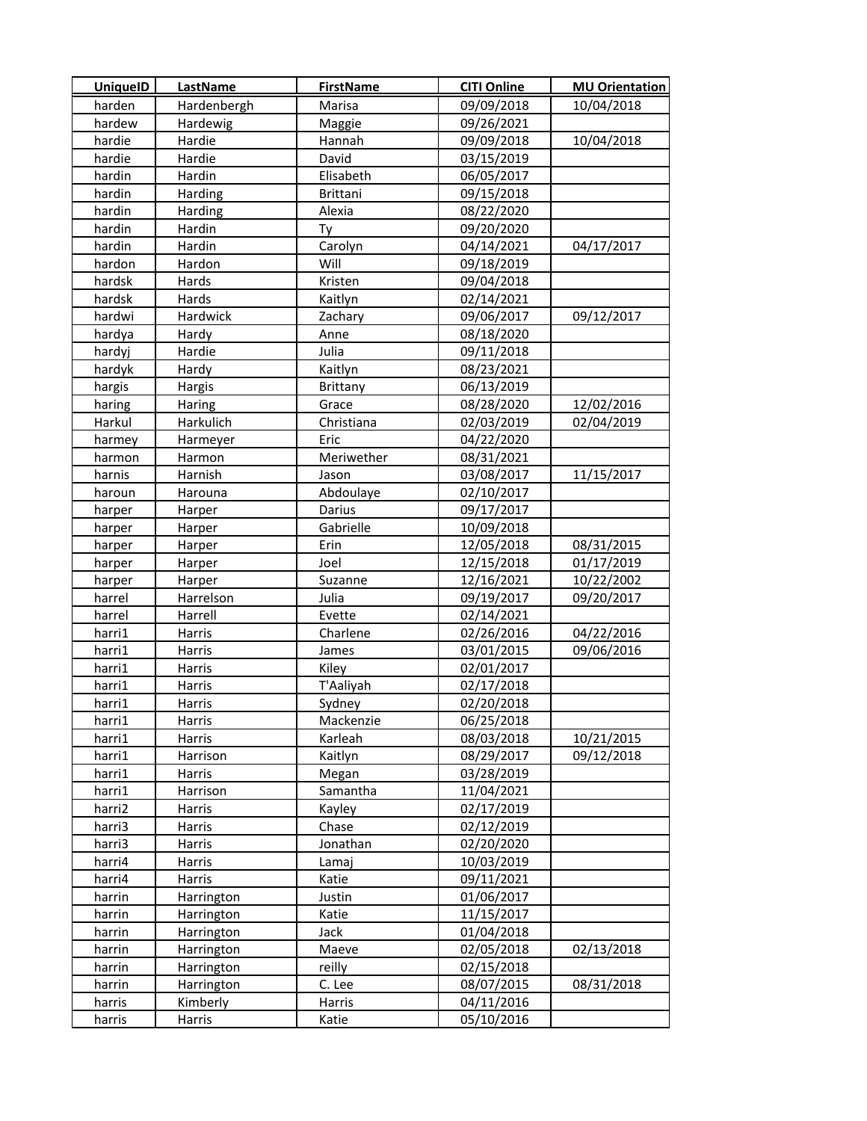| <b>UniquelD</b> | <b>LastName</b>   | <b>FirstName</b> | <b>CITI Online</b> | <b>MU Orientation</b> |
|-----------------|-------------------|------------------|--------------------|-----------------------|
| harden          | Hardenbergh       | Marisa           | 09/09/2018         | 10/04/2018            |
| hardew          | Hardewig          | Maggie           | 09/26/2021         |                       |
| hardie          | Hardie            | Hannah           | 09/09/2018         | 10/04/2018            |
| hardie          | Hardie            | David            | 03/15/2019         |                       |
| hardin          | Hardin            | Elisabeth        | 06/05/2017         |                       |
| hardin          | Harding           | <b>Brittani</b>  | 09/15/2018         |                       |
| hardin          | Harding           | Alexia           | 08/22/2020         |                       |
| hardin          | Hardin            | Ty               | 09/20/2020         |                       |
| hardin          | Hardin            | Carolyn          | 04/14/2021         | 04/17/2017            |
| hardon          | Hardon            | Will             | 09/18/2019         |                       |
| hardsk          | Hards             | Kristen          | 09/04/2018         |                       |
| hardsk          | Hards             | Kaitlyn          | 02/14/2021         |                       |
| hardwi          | Hardwick          | Zachary          | 09/06/2017         | 09/12/2017            |
| hardya          | Hardy             | Anne             | 08/18/2020         |                       |
| hardyj          | Hardie            | Julia            | 09/11/2018         |                       |
| hardyk          | Hardy             | Kaitlyn          | 08/23/2021         |                       |
| hargis          | Hargis            | Brittany         | 06/13/2019         |                       |
| haring          | Haring            | Grace            | 08/28/2020         | 12/02/2016            |
| Harkul          | Harkulich         | Christiana       | 02/03/2019         | 02/04/2019            |
| harmey          | Harmeyer          | Eric             | 04/22/2020         |                       |
| harmon          | Harmon            | Meriwether       | 08/31/2021         |                       |
| harnis          | Harnish           | Jason            | 03/08/2017         | 11/15/2017            |
| haroun          | Harouna           | Abdoulaye        | 02/10/2017         |                       |
| harper          | Harper            | Darius           | 09/17/2017         |                       |
| harper          | Harper            | Gabrielle        | 10/09/2018         |                       |
| harper          | Harper            | Erin             | 12/05/2018         | 08/31/2015            |
| harper          | Harper            | Joel             | 12/15/2018         | 01/17/2019            |
| harper          | Harper            | Suzanne          | 12/16/2021         | 10/22/2002            |
| harrel          | Harrelson         | Julia            | 09/19/2017         | 09/20/2017            |
| harrel          | Harrell           | Evette           | 02/14/2021         |                       |
| harri1          | Harris            | Charlene         | 02/26/2016         | 04/22/2016            |
| harri1          | Harris            | James            | 03/01/2015         | 09/06/2016            |
| harri1          | Harris            | Kiley            | 02/01/2017         |                       |
| harri1          | Harris            | T'Aaliyah        | 02/17/2018         |                       |
| harri1          | Harris            | Sydney           | 02/20/2018         |                       |
| harri1          | Harris            | Mackenzie        | 06/25/2018         |                       |
| harri1          | Harris            | Karleah          | 08/03/2018         | 10/21/2015            |
| harri1          | Harrison          | Kaitlyn          | 08/29/2017         | 09/12/2018            |
| harri1          | Harris            | Megan            | 03/28/2019         |                       |
| harri1          | Harrison          | Samantha         | 11/04/2021         |                       |
| harri2          | Harris            | Kayley           | 02/17/2019         |                       |
| harri3          | Harris            | Chase            | 02/12/2019         |                       |
| harri3          | Harris            | Jonathan         | 02/20/2020         |                       |
| harri4          | Harris            | Lamaj            | 10/03/2019         |                       |
| harri4          | Harris            | Katie            | 09/11/2021         |                       |
| harrin          | Harrington        | Justin           | 01/06/2017         |                       |
| harrin          | Harrington        | Katie            | 11/15/2017         |                       |
| harrin          | <b>Harrington</b> | Jack             | 01/04/2018         |                       |
| harrin          | Harrington        | Maeve            | 02/05/2018         | 02/13/2018            |
| harrin          | Harrington        | reilly           | 02/15/2018         |                       |
| harrin          | Harrington        | C. Lee           | 08/07/2015         | 08/31/2018            |
| harris          | Kimberly          | Harris           | 04/11/2016         |                       |
| harris          | Harris            | Katie            | 05/10/2016         |                       |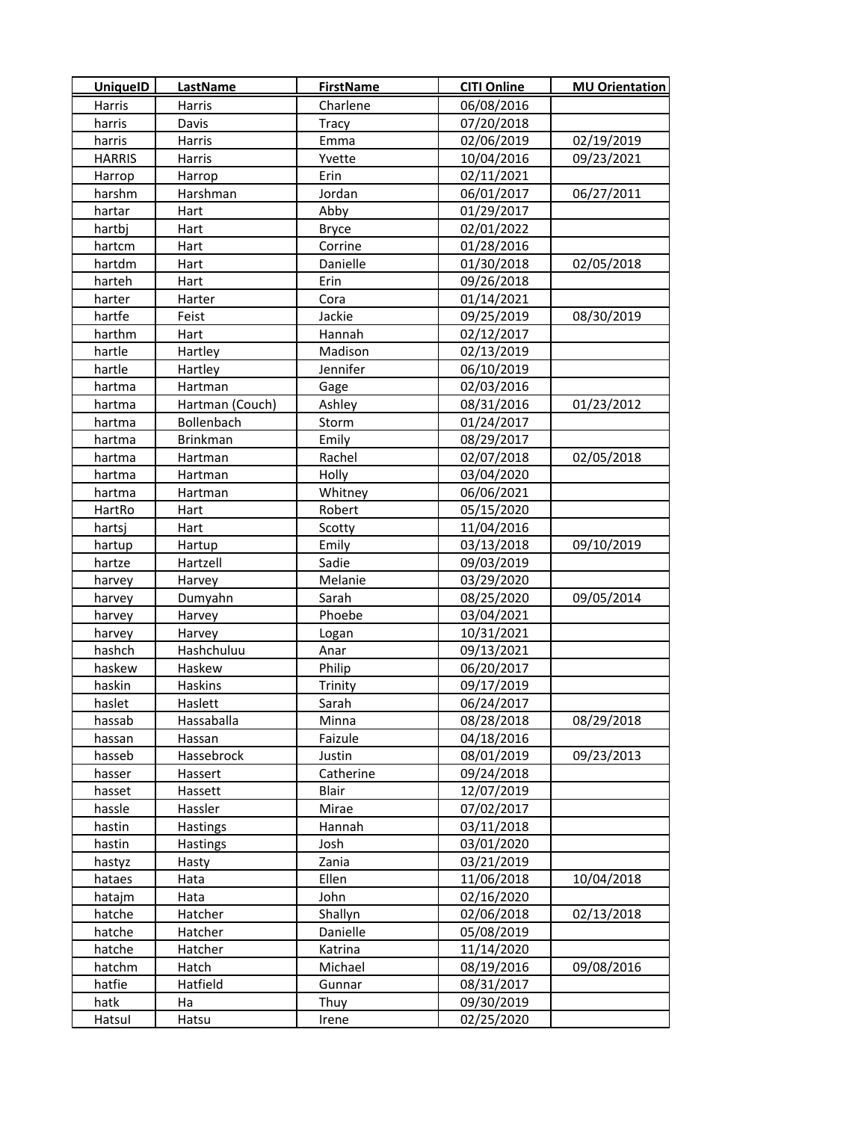| <b>UniquelD</b>  | LastName          | <b>FirstName</b> | <b>CITI Online</b>       | <b>MU Orientation</b> |
|------------------|-------------------|------------------|--------------------------|-----------------------|
| Harris           | Harris            | Charlene         | 06/08/2016               |                       |
| harris           | Davis             | Tracy            | 07/20/2018               |                       |
| harris           | Harris            | Emma             | 02/06/2019               | 02/19/2019            |
| <b>HARRIS</b>    | Harris            | Yvette           | 10/04/2016               | 09/23/2021            |
| Harrop           | Harrop            | Erin             | 02/11/2021               |                       |
| harshm           | Harshman          | Jordan           | 06/01/2017               | 06/27/2011            |
| hartar           | Hart              | Abby             | 01/29/2017               |                       |
| hartbj           | Hart              | <b>Bryce</b>     | 02/01/2022               |                       |
| hartcm           | Hart              | Corrine          | 01/28/2016               |                       |
| hartdm           | Hart              | Danielle         | 01/30/2018               | 02/05/2018            |
| harteh           | Hart              | Erin             | 09/26/2018               |                       |
| harter           | Harter            | Cora             | 01/14/2021               |                       |
| hartfe           | Feist             | Jackie           | 09/25/2019               | 08/30/2019            |
| harthm           | Hart              | Hannah           | 02/12/2017               |                       |
| hartle           | Hartley           | Madison          | 02/13/2019               |                       |
| hartle           | Hartley           | Jennifer         | 06/10/2019               |                       |
| hartma           | Hartman           | Gage             | 02/03/2016               |                       |
| hartma           | Hartman (Couch)   | Ashley           | 08/31/2016               | 01/23/2012            |
| hartma           | <b>Bollenbach</b> | Storm            | 01/24/2017               |                       |
| hartma           | <b>Brinkman</b>   | Emily            | 08/29/2017               |                       |
| hartma           | Hartman           | Rachel           | 02/07/2018               | 02/05/2018            |
| hartma           | Hartman           | Holly            | 03/04/2020               |                       |
| hartma           | Hartman           | Whitney          | 06/06/2021               |                       |
| HartRo           | Hart              | Robert           | 05/15/2020               |                       |
| hartsj           | Hart              | Scotty           | 11/04/2016               |                       |
| hartup           | Hartup            | Emily            | 03/13/2018               | 09/10/2019            |
| hartze           | Hartzell          | Sadie            | 09/03/2019               |                       |
| harvey           | Harvey            | Melanie          | 03/29/2020               |                       |
| harvey           | Dumyahn           | Sarah            | 08/25/2020               | 09/05/2014            |
| harvey           | Harvey            | Phoebe           | 03/04/2021               |                       |
| harvey           | Harvey            | Logan            | 10/31/2021               |                       |
| hashch           | Hashchuluu        | Anar             | 09/13/2021               |                       |
| haskew           | Haskew            | Philip           | 06/20/2017               |                       |
| haskin           | Haskins           | Trinity          | 09/17/2019               |                       |
| haslet           | Haslett           | Sarah            | 06/24/2017               |                       |
| hassab           | Hassaballa        | Minna            | 08/28/2018               | 08/29/2018            |
| hassan           | Hassan            | Faizule          | 04/18/2016               |                       |
| hasseb           | Hassebrock        | Justin           | 08/01/2019               | 09/23/2013            |
| hasser           | Hassert           | Catherine        | 09/24/2018               |                       |
| hasset           | Hassett           | Blair            | 12/07/2019               |                       |
| hassle           | Hassler           | Mirae            | 07/02/2017               |                       |
| hastin           | <b>Hastings</b>   | Hannah           | 03/11/2018               |                       |
| hastin           | <b>Hastings</b>   | Josh             | 03/01/2020               |                       |
| hastyz           | Hasty             | Zania            | 03/21/2019               |                       |
| hataes           | Hata              | Ellen            | 11/06/2018               | 10/04/2018            |
| hatajm           | Hata              | John             | 02/16/2020               |                       |
| hatche           | Hatcher           | Shallyn          | 02/06/2018               | 02/13/2018            |
| hatche           | Hatcher           | Danielle         | 05/08/2019               |                       |
| hatche           | Hatcher           | Katrina          | 11/14/2020               |                       |
| hatchm<br>hatfie | Hatch<br>Hatfield | Michael          | 08/19/2016               | 09/08/2016            |
| hatk             | Ha                | Gunnar<br>Thuy   | 08/31/2017<br>09/30/2019 |                       |
| Hatsul           | Hatsu             | Irene            | 02/25/2020               |                       |
|                  |                   |                  |                          |                       |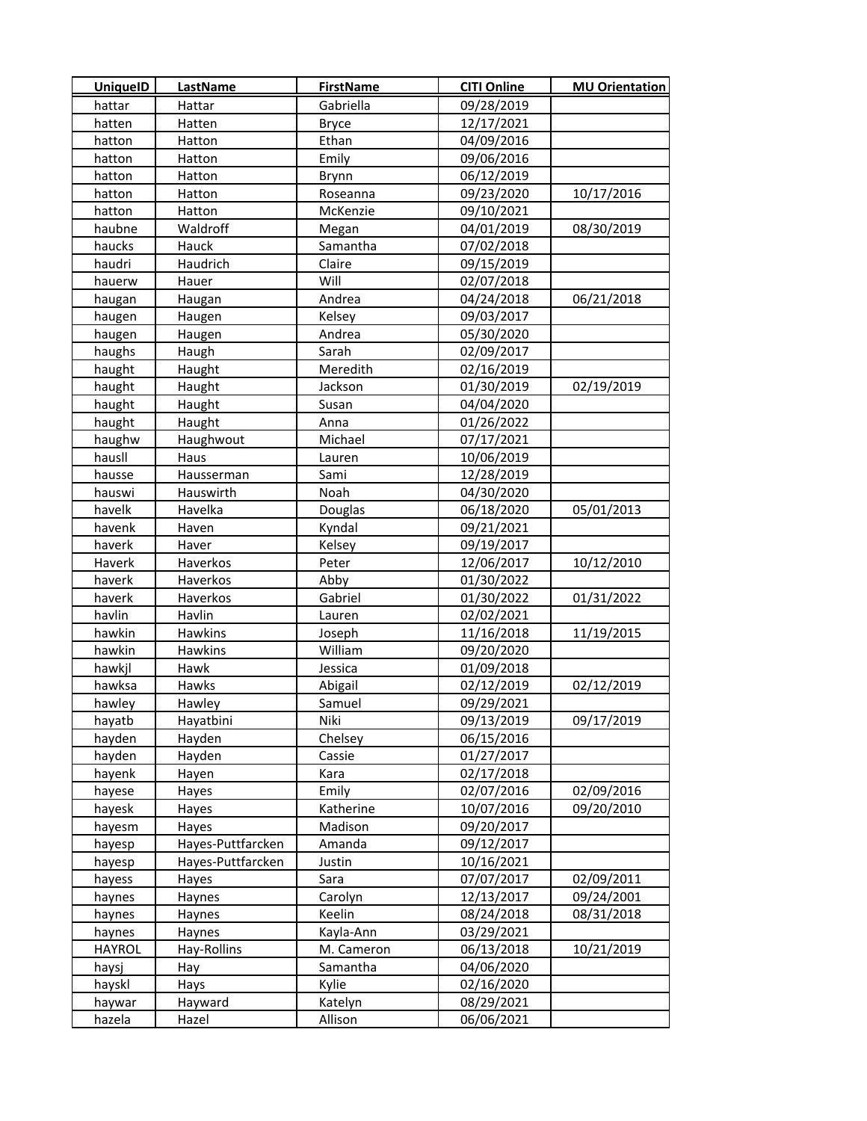| <b>UniquelD</b> | LastName          | <b>FirstName</b> | <b>CITI Online</b> | <b>MU Orientation</b> |
|-----------------|-------------------|------------------|--------------------|-----------------------|
| hattar          | Hattar            | Gabriella        | 09/28/2019         |                       |
| hatten          | Hatten            | <b>Bryce</b>     | 12/17/2021         |                       |
| hatton          | Hatton            | Ethan            | 04/09/2016         |                       |
| hatton          | Hatton            | Emily            | 09/06/2016         |                       |
| hatton          | Hatton            | Brynn            | 06/12/2019         |                       |
| hatton          | Hatton            | Roseanna         | 09/23/2020         | 10/17/2016            |
| hatton          | Hatton            | McKenzie         | 09/10/2021         |                       |
| haubne          | Waldroff          | Megan            | 04/01/2019         | 08/30/2019            |
| haucks          | Hauck             | Samantha         | 07/02/2018         |                       |
| haudri          | Haudrich          | Claire           | 09/15/2019         |                       |
| hauerw          | Hauer             | Will             | 02/07/2018         |                       |
| haugan          | Haugan            | Andrea           | 04/24/2018         | 06/21/2018            |
| haugen          | Haugen            | Kelsey           | 09/03/2017         |                       |
| haugen          | Haugen            | Andrea           | 05/30/2020         |                       |
| haughs          | Haugh             | Sarah            | 02/09/2017         |                       |
| haught          | Haught            | Meredith         | 02/16/2019         |                       |
| haught          | Haught            | Jackson          | 01/30/2019         | 02/19/2019            |
| haught          | Haught            | Susan            | 04/04/2020         |                       |
| haught          | Haught            | Anna             | 01/26/2022         |                       |
| haughw          | Haughwout         | Michael          | 07/17/2021         |                       |
| hausll          | Haus              | Lauren           | 10/06/2019         |                       |
| hausse          | Hausserman        | Sami             | 12/28/2019         |                       |
| hauswi          | Hauswirth         | Noah             | 04/30/2020         |                       |
| havelk          | Havelka           | Douglas          | 06/18/2020         | 05/01/2013            |
| havenk          | Haven             | Kyndal           | 09/21/2021         |                       |
| haverk          | Haver             | Kelsey           | 09/19/2017         |                       |
| Haverk          | Haverkos          | Peter            | 12/06/2017         | 10/12/2010            |
| haverk          | Haverkos          | Abby             | 01/30/2022         |                       |
| haverk          | Haverkos          | Gabriel          | 01/30/2022         | 01/31/2022            |
| havlin          | Havlin            | Lauren           | 02/02/2021         |                       |
| hawkin          | Hawkins           | Joseph           | 11/16/2018         | 11/19/2015            |
| hawkin          | Hawkins           | William          | 09/20/2020         |                       |
| hawkjl          | Hawk              | Jessica          | 01/09/2018         |                       |
| hawksa          | Hawks             | Abigail          | 02/12/2019         | 02/12/2019            |
| hawley          | Hawley            | Samuel           | 09/29/2021         |                       |
| hayatb          | Hayatbini         | Niki             | 09/13/2019         | 09/17/2019            |
| hayden          | Hayden            | Chelsey          | 06/15/2016         |                       |
| hayden          | Hayden            | Cassie           | 01/27/2017         |                       |
| hayenk          | Hayen             | Kara             | 02/17/2018         |                       |
| hayese          | Hayes             | Emily            | 02/07/2016         | 02/09/2016            |
| hayesk          | Hayes             | Katherine        | 10/07/2016         | 09/20/2010            |
| hayesm          | Hayes             | Madison          | 09/20/2017         |                       |
| hayesp          | Hayes-Puttfarcken | Amanda           | 09/12/2017         |                       |
| hayesp          | Hayes-Puttfarcken | Justin           | 10/16/2021         |                       |
| hayess          | Hayes             | Sara             | 07/07/2017         | 02/09/2011            |
| haynes          | Haynes            | Carolyn          | 12/13/2017         | 09/24/2001            |
| haynes          | Haynes            | Keelin           | 08/24/2018         | 08/31/2018            |
| haynes          | Haynes            | Kayla-Ann        | 03/29/2021         |                       |
| <b>HAYROL</b>   | Hay-Rollins       | M. Cameron       | 06/13/2018         | 10/21/2019            |
| haysj           | Hay               | Samantha         | 04/06/2020         |                       |
| hayskl          | Hays              | Kylie            | 02/16/2020         |                       |
| haywar          | Hayward           | Katelyn          | 08/29/2021         |                       |
| hazela          | Hazel             | Allison          | 06/06/2021         |                       |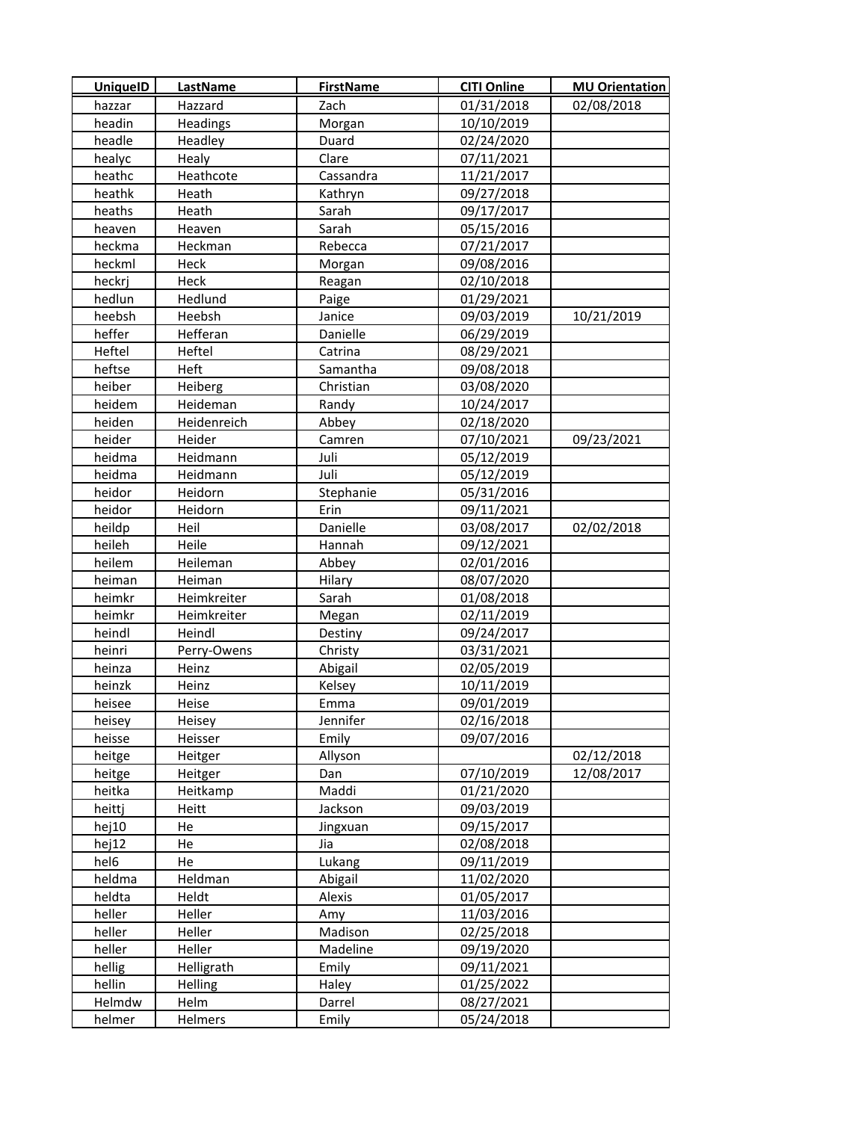| <b>UniquelD</b> | LastName    | <b>FirstName</b> | <b>CITI Online</b> | <b>MU Orientation</b> |
|-----------------|-------------|------------------|--------------------|-----------------------|
| hazzar          | Hazzard     | Zach             | 01/31/2018         | 02/08/2018            |
| headin          | Headings    | Morgan           | 10/10/2019         |                       |
| headle          | Headley     | Duard            | 02/24/2020         |                       |
| healyc          | Healy       | Clare            | 07/11/2021         |                       |
| heathc          | Heathcote   | Cassandra        | 11/21/2017         |                       |
| heathk          | Heath       | Kathryn          | 09/27/2018         |                       |
| heaths          | Heath       | Sarah            | 09/17/2017         |                       |
| heaven          | Heaven      | Sarah            | 05/15/2016         |                       |
| heckma          | Heckman     | Rebecca          | 07/21/2017         |                       |
| heckml          | Heck        | Morgan           | 09/08/2016         |                       |
| heckri          | Heck        | Reagan           | 02/10/2018         |                       |
| hedlun          | Hedlund     | Paige            | 01/29/2021         |                       |
| heebsh          | Heebsh      | Janice           | 09/03/2019         | 10/21/2019            |
| heffer          | Hefferan    | Danielle         | 06/29/2019         |                       |
| Heftel          | Heftel      | Catrina          | 08/29/2021         |                       |
| heftse          | Heft        | Samantha         | 09/08/2018         |                       |
| heiber          | Heiberg     | Christian        | 03/08/2020         |                       |
| heidem          | Heideman    | Randy            | 10/24/2017         |                       |
| heiden          | Heidenreich | Abbey            | 02/18/2020         |                       |
| heider          | Heider      | Camren           | 07/10/2021         | 09/23/2021            |
| heidma          | Heidmann    | Juli             | 05/12/2019         |                       |
| heidma          | Heidmann    | Juli             | 05/12/2019         |                       |
| heidor          | Heidorn     | Stephanie        | 05/31/2016         |                       |
| heidor          | Heidorn     | Erin             | 09/11/2021         |                       |
| heildp          | Heil        | Danielle         | 03/08/2017         | 02/02/2018            |
| heileh          | Heile       | Hannah           | 09/12/2021         |                       |
| heilem          | Heileman    | Abbey            | 02/01/2016         |                       |
| heiman          | Heiman      | Hilary           | 08/07/2020         |                       |
| heimkr          | Heimkreiter | Sarah            | 01/08/2018         |                       |
| heimkr          | Heimkreiter | Megan            | 02/11/2019         |                       |
| heindl          | Heindl      | Destiny          | 09/24/2017         |                       |
| heinri          | Perry-Owens | Christy          | 03/31/2021         |                       |
| heinza          | Heinz       | Abigail          | 02/05/2019         |                       |
| heinzk          | Heinz       | Kelsey           | 10/11/2019         |                       |
| heisee          | Heise       | Emma             | 09/01/2019         |                       |
| heisey          | Heisey      | Jennifer         | 02/16/2018         |                       |
| heisse          | Heisser     | Emily            | 09/07/2016         |                       |
| heitge          | Heitger     | Allyson          |                    | 02/12/2018            |
| heitge          | Heitger     | Dan              | 07/10/2019         | 12/08/2017            |
| heitka          | Heitkamp    | Maddi            | 01/21/2020         |                       |
| heittj          | Heitt       | Jackson          | 09/03/2019         |                       |
| hej10           | He          | Jingxuan         | 09/15/2017         |                       |
| hej12           | He          | Jia              | 02/08/2018         |                       |
| hel6            | He          | Lukang           | 09/11/2019         |                       |
| heldma          | Heldman     | Abigail          | 11/02/2020         |                       |
| heldta          | Heldt       | Alexis           | 01/05/2017         |                       |
| heller          | Heller      | Amy              | 11/03/2016         |                       |
| heller          | Heller      | Madison          | 02/25/2018         |                       |
| heller          | Heller      | Madeline         | 09/19/2020         |                       |
| hellig          | Helligrath  | Emily            | 09/11/2021         |                       |
| hellin          | Helling     | Haley            | 01/25/2022         |                       |
| Helmdw          | Helm        | Darrel           | 08/27/2021         |                       |
| helmer          | Helmers     | Emily            | 05/24/2018         |                       |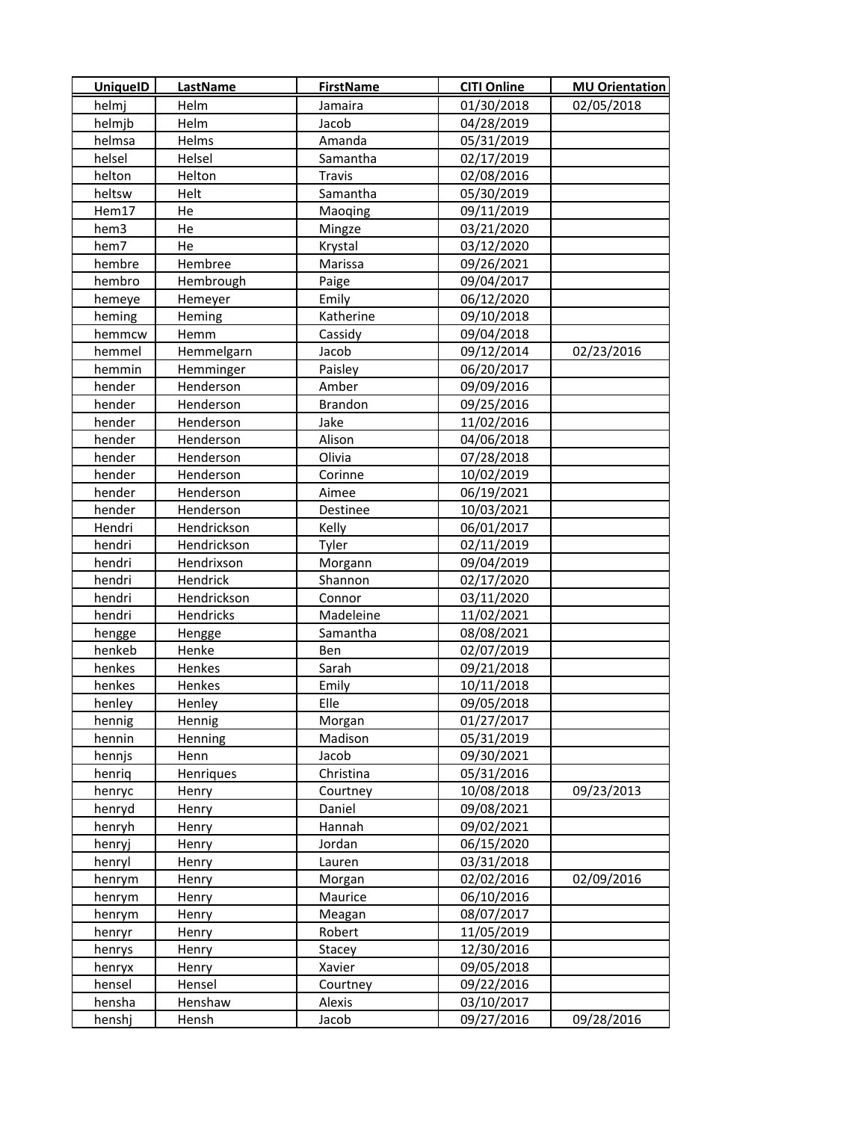| <b>UniquelD</b>  | <b>LastName</b> | <b>FirstName</b> | <b>CITI Online</b> | <b>MU Orientation</b> |
|------------------|-----------------|------------------|--------------------|-----------------------|
| helmj            | Helm            | Jamaira          | 01/30/2018         | 02/05/2018            |
| helmjb           | Helm            | Jacob            | 04/28/2019         |                       |
| helmsa           | Helms           | Amanda           | 05/31/2019         |                       |
| helsel           | Helsel          | Samantha         | 02/17/2019         |                       |
| helton           | Helton          | <b>Travis</b>    | 02/08/2016         |                       |
| heltsw           | Helt            | Samantha         | 05/30/2019         |                       |
| Hem17            | He              | Maoqing          | 09/11/2019         |                       |
| hem3             | He              | Mingze           | 03/21/2020         |                       |
| hem7             | He              | Krystal          | 03/12/2020         |                       |
| hembre           | Hembree         | Marissa          | 09/26/2021         |                       |
| hembro           | Hembrough       | Paige            | 09/04/2017         |                       |
| hemeye           | Hemeyer         | Emily            | 06/12/2020         |                       |
| heming           | Heming          | Katherine        | 09/10/2018         |                       |
| hemmcw           | Hemm            | Cassidy          | 09/04/2018         |                       |
| hemmel           | Hemmelgarn      | Jacob            | 09/12/2014         | 02/23/2016            |
| hemmin           | Hemminger       | Paisley          | 06/20/2017         |                       |
| hender           | Henderson       | Amber            | 09/09/2016         |                       |
| hender           | Henderson       | <b>Brandon</b>   | 09/25/2016         |                       |
| hender           | Henderson       | Jake             | 11/02/2016         |                       |
| hender           | Henderson       | Alison           | 04/06/2018         |                       |
| hender           | Henderson       | Olivia           | 07/28/2018         |                       |
| hender           | Henderson       | Corinne          | 10/02/2019         |                       |
| hender           | Henderson       | Aimee            | 06/19/2021         |                       |
| hender           | Henderson       | Destinee         | 10/03/2021         |                       |
| Hendri           | Hendrickson     | Kelly            | 06/01/2017         |                       |
| hendri           | Hendrickson     | Tyler            | 02/11/2019         |                       |
| hendri           | Hendrixson      | Morgann          | 09/04/2019         |                       |
| hendri           | Hendrick        | Shannon          | 02/17/2020         |                       |
| hendri           | Hendrickson     | Connor           | 03/11/2020         |                       |
| hendri           | Hendricks       | Madeleine        | 11/02/2021         |                       |
| hengge           | Hengge          | Samantha         | 08/08/2021         |                       |
| henkeb           | Henke           | Ben              | 02/07/2019         |                       |
| henkes           | Henkes          | Sarah            | 09/21/2018         |                       |
| henkes           | Henkes          | Emily            | 10/11/2018         |                       |
| henley           | Henley          | Elle             | 09/05/2018         |                       |
| hennig           | Hennig          | Morgan           | 01/27/2017         |                       |
| hennin           | Henning         | Madison          | 05/31/2019         |                       |
| hennjs           | Henn            | Jacob            | 09/30/2021         |                       |
| henriq           | Henriques       | Christina        | 05/31/2016         |                       |
| henryc           | Henry           | Courtney         | 10/08/2018         | 09/23/2013            |
| henryd           | Henry           | Daniel           | 09/08/2021         |                       |
| henryh           | Henry           | Hannah           | 09/02/2021         |                       |
| henryj           | Henry           | Jordan           | 06/15/2020         |                       |
| henryl           | Henry           | Lauren           | 03/31/2018         |                       |
|                  | Henry           | Morgan           | 02/02/2016         | 02/09/2016            |
| henrym<br>henrym | Henry           | Maurice          | 06/10/2016         |                       |
| henrym           | Henry           | Meagan           | 08/07/2017         |                       |
|                  |                 | Robert           |                    |                       |
| henryr           | Henry           |                  | 11/05/2019         |                       |
| henrys           | Henry           | Stacey           | 12/30/2016         |                       |
| henryx           | Henry           | Xavier           | 09/05/2018         |                       |
| hensel           | Hensel          | Courtney         | 09/22/2016         |                       |
| hensha           | Henshaw         | Alexis           | 03/10/2017         |                       |
| henshj           | Hensh           | Jacob            | 09/27/2016         | 09/28/2016            |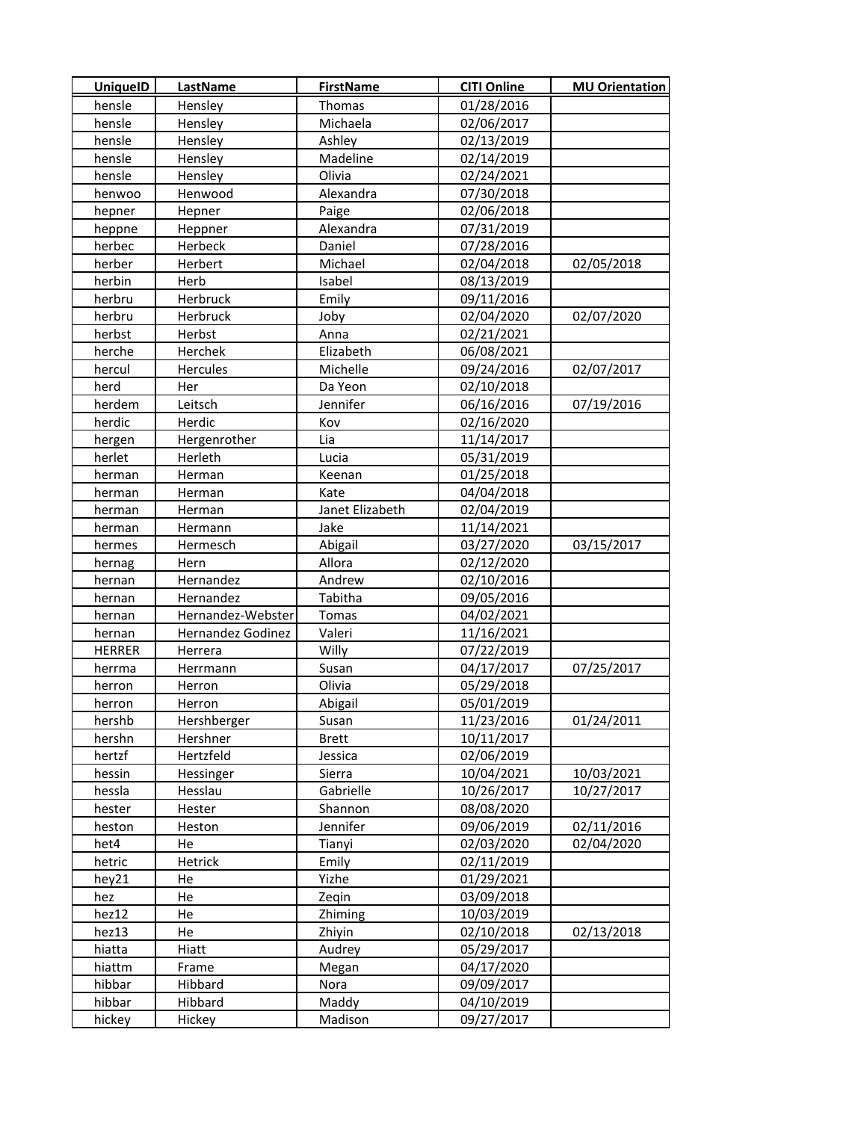| <b>UniquelD</b>  | LastName          | <b>FirstName</b> | <b>CITI Online</b>       | <b>MU Orientation</b> |
|------------------|-------------------|------------------|--------------------------|-----------------------|
| hensle           | Hensley           | Thomas           | 01/28/2016               |                       |
| hensle           | Hensley           | Michaela         | 02/06/2017               |                       |
| hensle           | Hensley           | Ashley           | 02/13/2019               |                       |
| hensle           | Hensley           | Madeline         | 02/14/2019               |                       |
| hensle           | Hensley           | Olivia           | 02/24/2021               |                       |
| henwoo           | Henwood           | Alexandra        | 07/30/2018               |                       |
| hepner           | Hepner            | Paige            | 02/06/2018               |                       |
| heppne           | Heppner           | Alexandra        | 07/31/2019               |                       |
| herbec           | Herbeck           | Daniel           | 07/28/2016               |                       |
| herber           | Herbert           | Michael          | 02/04/2018               | 02/05/2018            |
| herbin           | Herb              | Isabel           | 08/13/2019               |                       |
| herbru           | Herbruck          | Emily            | 09/11/2016               |                       |
| herbru           | Herbruck          | Joby             | 02/04/2020               | 02/07/2020            |
| herbst           | Herbst            | Anna             | 02/21/2021               |                       |
| herche           | Herchek           | Elizabeth        | 06/08/2021               |                       |
| hercul           | Hercules          | Michelle         | 09/24/2016               | 02/07/2017            |
| herd             | Her               | Da Yeon          | 02/10/2018               |                       |
| herdem           | Leitsch           | Jennifer         | 06/16/2016               | 07/19/2016            |
| herdic           | Herdic            | Kov              | 02/16/2020               |                       |
| hergen           | Hergenrother      | Lia              | 11/14/2017               |                       |
| herlet           | Herleth           | Lucia            | 05/31/2019               |                       |
| herman           | Herman            | Keenan           | 01/25/2018               |                       |
| herman           | Herman            | Kate             | 04/04/2018               |                       |
| herman           | Herman            | Janet Elizabeth  | 02/04/2019               |                       |
| herman           | Hermann           | Jake             | 11/14/2021               |                       |
| hermes           | Hermesch          | Abigail          | 03/27/2020               | 03/15/2017            |
| hernag           | Hern              | Allora           | 02/12/2020               |                       |
| hernan           | Hernandez         | Andrew           | 02/10/2016               |                       |
| hernan           | Hernandez         | Tabitha          | 09/05/2016               |                       |
| hernan           | Hernandez-Webster | Tomas            | 04/02/2021               |                       |
| hernan           | Hernandez Godinez | Valeri           | 11/16/2021               |                       |
| <b>HERRER</b>    | Herrera           | Willy            | 07/22/2019               |                       |
| herrma           | Herrmann          | Susan            | 04/17/2017               | 07/25/2017            |
| herron           | Herron            | Olivia           | 05/29/2018               |                       |
| herron           | Herron            | Abigail          | 05/01/2019               |                       |
| hershb           | Hershberger       | Susan            | 11/23/2016               | 01/24/2011            |
| hershn           | Hershner          | <b>Brett</b>     | 10/11/2017               |                       |
| hertzf           | Hertzfeld         | Jessica          | 02/06/2019               |                       |
| hessin           | Hessinger         | Sierra           | 10/04/2021               | 10/03/2021            |
| hessla           | Hesslau           | Gabrielle        | 10/26/2017               | 10/27/2017            |
| hester           | Hester            | Shannon          | 08/08/2020               |                       |
| heston           | Heston            | Jennifer         | 09/06/2019               | 02/11/2016            |
| het4             | He                | Tianyi           | 02/03/2020               | 02/04/2020            |
| hetric           | Hetrick           | Emily            | 02/11/2019               |                       |
| hey21            | He                | Yizhe            | 01/29/2021               |                       |
| hez              | He                | Zeqin            | 03/09/2018               |                       |
| hez12            | He                | Zhiming          | 10/03/2019               |                       |
| hez13            | He                | Zhiyin           | 02/10/2018               | 02/13/2018            |
| hiatta           | Hiatt             | Audrey           | 05/29/2017<br>04/17/2020 |                       |
| hiattm<br>hibbar | Frame<br>Hibbard  | Megan<br>Nora    | 09/09/2017               |                       |
| hibbar           | Hibbard           | Maddy            | 04/10/2019               |                       |
| hickey           | Hickey            | Madison          | 09/27/2017               |                       |
|                  |                   |                  |                          |                       |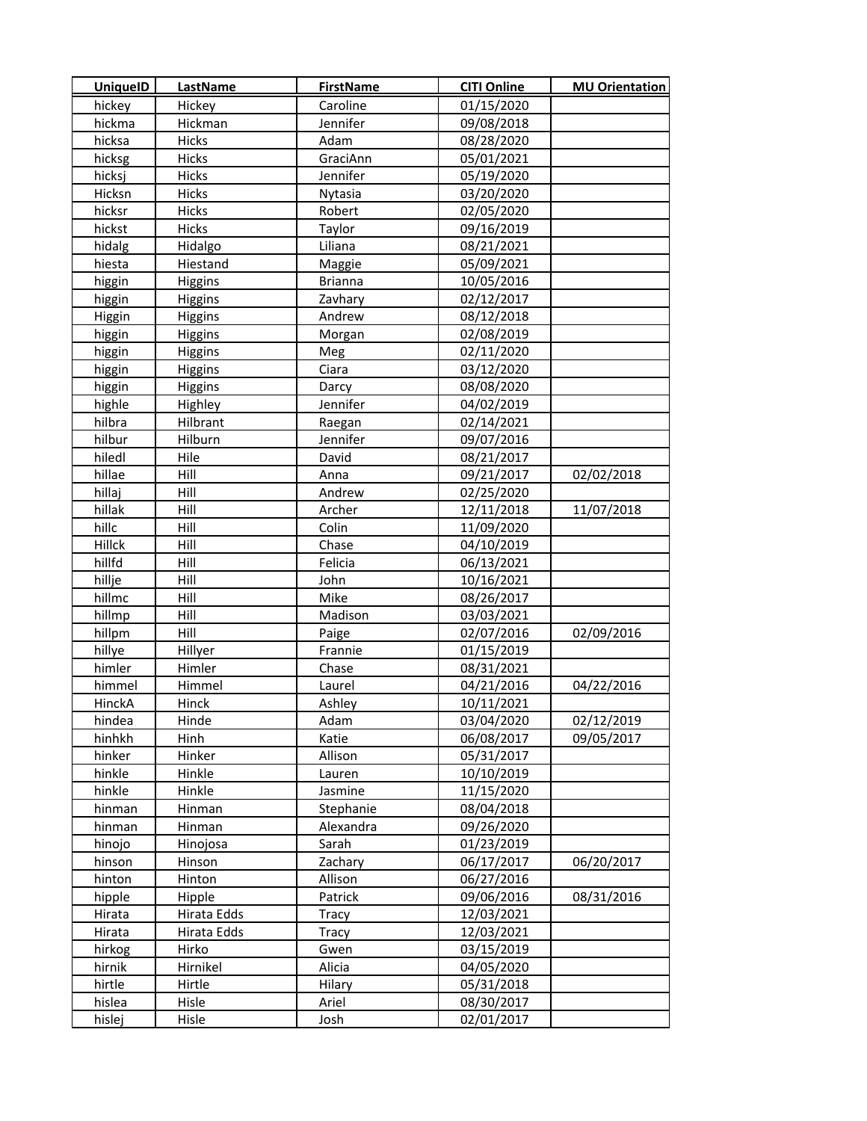| 01/15/2020<br>Caroline<br>hickey<br>Hickey<br>Jennifer<br>hickma<br>Hickman<br>09/08/2018<br>hicksa<br>Hicks<br>Adam<br>08/28/2020<br><b>Hicks</b><br>GraciAnn<br>05/01/2021<br>hicksg<br>Hicks<br>Jennifer<br>05/19/2020<br>hicksj<br>Hicks<br>03/20/2020<br>Hicksn<br>Nytasia<br>Robert<br>02/05/2020<br>hicksr<br>Hicks<br>09/16/2019<br>hickst<br><b>Hicks</b><br>Taylor<br>Liliana<br>hidalg<br>08/21/2021<br>Hidalgo<br>hiesta<br>Hiestand<br>05/09/2021<br>Maggie<br>10/05/2016<br>higgin<br><b>Brianna</b><br>Higgins<br>higgin<br>Higgins<br>02/12/2017<br>Zavhary<br>Andrew<br>08/12/2018<br>Higgin<br>Higgins<br>02/08/2019<br>higgin<br>Higgins<br>Morgan<br>02/11/2020<br>higgin<br>Higgins<br>Meg<br>Ciara<br>higgin<br>Higgins<br>03/12/2020<br>higgin<br>Higgins<br>08/08/2020<br>Darcy<br>Jennifer<br>04/02/2019<br>highle<br>Highley<br>hilbra<br>Hilbrant<br>02/14/2021<br>Raegan<br>hilbur<br>Hilburn<br>Jennifer<br>09/07/2016<br>hiledl<br>Hile<br>08/21/2017<br>David<br>hillae<br>Hill<br>09/21/2017<br>02/02/2018<br>Anna<br>hillaj<br>Hill<br>02/25/2020<br>Andrew<br>hillak<br>Hill<br>Archer<br>12/11/2018<br>11/07/2018<br>hillc<br>Hill<br>Colin<br>11/09/2020<br>Hillck<br>Hill<br>Chase<br>04/10/2019<br>hillfd<br>Hill<br>Felicia<br>06/13/2021<br>hillje<br>Hill<br>John<br>10/16/2021<br>hillmc<br>Hill<br>Mike<br>08/26/2017<br>hillmp<br>Hill<br>Madison<br>03/03/2021<br>hillpm<br>Hill<br>Paige<br>02/07/2016<br>02/09/2016<br>Frannie<br>hillye<br>Hillyer<br>01/15/2019<br>himler<br>Himler<br>Chase<br>08/31/2021<br>Himmel<br>Laurel<br>04/21/2016<br>04/22/2016<br>himmel<br>10/11/2021<br>HinckA<br>Hinck<br>Ashley<br>02/12/2019<br>hindea<br>Hinde<br>Adam<br>03/04/2020<br>hinhkh<br>Katie<br>06/08/2017<br>Hinh<br>09/05/2017<br>hinker<br>Hinker<br>Allison<br>05/31/2017<br>hinkle<br>Hinkle<br>10/10/2019<br>Lauren<br>hinkle<br>Hinkle<br>Jasmine<br>11/15/2020<br>hinman<br>Hinman<br>08/04/2018<br>Stephanie<br>hinman<br>Alexandra<br>09/26/2020<br>Hinman<br>hinojo<br>Sarah<br>01/23/2019<br>Hinojosa<br>hinson<br>06/17/2017<br>Hinson<br>Zachary<br>06/20/2017<br>Allison<br>hinton<br>Hinton<br>06/27/2016<br>Patrick<br>09/06/2016<br>08/31/2016<br>hipple<br>Hipple<br>Hirata<br>Hirata Edds<br>12/03/2021<br>Tracy<br>12/03/2021<br>Hirata<br>Hirata Edds<br><b>Tracy</b><br>03/15/2019<br>hirkog<br>Hirko<br>Gwen<br>hirnik<br>Hirnikel<br>04/05/2020<br>Alicia<br>hirtle<br>Hirtle<br>Hilary<br>05/31/2018<br>hislea<br>Hisle<br>Ariel<br>08/30/2017 | <b>UniquelD</b> | <b>LastName</b> | <b>FirstName</b> | <b>CITI Online</b> | <b>MU Orientation</b> |
|------------------------------------------------------------------------------------------------------------------------------------------------------------------------------------------------------------------------------------------------------------------------------------------------------------------------------------------------------------------------------------------------------------------------------------------------------------------------------------------------------------------------------------------------------------------------------------------------------------------------------------------------------------------------------------------------------------------------------------------------------------------------------------------------------------------------------------------------------------------------------------------------------------------------------------------------------------------------------------------------------------------------------------------------------------------------------------------------------------------------------------------------------------------------------------------------------------------------------------------------------------------------------------------------------------------------------------------------------------------------------------------------------------------------------------------------------------------------------------------------------------------------------------------------------------------------------------------------------------------------------------------------------------------------------------------------------------------------------------------------------------------------------------------------------------------------------------------------------------------------------------------------------------------------------------------------------------------------------------------------------------------------------------------------------------------------------------------------------------------------------------------------------------------------------------------------------------------------------------------------------------------------------------------------------------------------------------------------------------------------------------------------------------------------------------------------------------------------------------------------------------------------|-----------------|-----------------|------------------|--------------------|-----------------------|
|                                                                                                                                                                                                                                                                                                                                                                                                                                                                                                                                                                                                                                                                                                                                                                                                                                                                                                                                                                                                                                                                                                                                                                                                                                                                                                                                                                                                                                                                                                                                                                                                                                                                                                                                                                                                                                                                                                                                                                                                                                                                                                                                                                                                                                                                                                                                                                                                                                                                                                                        |                 |                 |                  |                    |                       |
|                                                                                                                                                                                                                                                                                                                                                                                                                                                                                                                                                                                                                                                                                                                                                                                                                                                                                                                                                                                                                                                                                                                                                                                                                                                                                                                                                                                                                                                                                                                                                                                                                                                                                                                                                                                                                                                                                                                                                                                                                                                                                                                                                                                                                                                                                                                                                                                                                                                                                                                        |                 |                 |                  |                    |                       |
|                                                                                                                                                                                                                                                                                                                                                                                                                                                                                                                                                                                                                                                                                                                                                                                                                                                                                                                                                                                                                                                                                                                                                                                                                                                                                                                                                                                                                                                                                                                                                                                                                                                                                                                                                                                                                                                                                                                                                                                                                                                                                                                                                                                                                                                                                                                                                                                                                                                                                                                        |                 |                 |                  |                    |                       |
|                                                                                                                                                                                                                                                                                                                                                                                                                                                                                                                                                                                                                                                                                                                                                                                                                                                                                                                                                                                                                                                                                                                                                                                                                                                                                                                                                                                                                                                                                                                                                                                                                                                                                                                                                                                                                                                                                                                                                                                                                                                                                                                                                                                                                                                                                                                                                                                                                                                                                                                        |                 |                 |                  |                    |                       |
|                                                                                                                                                                                                                                                                                                                                                                                                                                                                                                                                                                                                                                                                                                                                                                                                                                                                                                                                                                                                                                                                                                                                                                                                                                                                                                                                                                                                                                                                                                                                                                                                                                                                                                                                                                                                                                                                                                                                                                                                                                                                                                                                                                                                                                                                                                                                                                                                                                                                                                                        |                 |                 |                  |                    |                       |
|                                                                                                                                                                                                                                                                                                                                                                                                                                                                                                                                                                                                                                                                                                                                                                                                                                                                                                                                                                                                                                                                                                                                                                                                                                                                                                                                                                                                                                                                                                                                                                                                                                                                                                                                                                                                                                                                                                                                                                                                                                                                                                                                                                                                                                                                                                                                                                                                                                                                                                                        |                 |                 |                  |                    |                       |
|                                                                                                                                                                                                                                                                                                                                                                                                                                                                                                                                                                                                                                                                                                                                                                                                                                                                                                                                                                                                                                                                                                                                                                                                                                                                                                                                                                                                                                                                                                                                                                                                                                                                                                                                                                                                                                                                                                                                                                                                                                                                                                                                                                                                                                                                                                                                                                                                                                                                                                                        |                 |                 |                  |                    |                       |
|                                                                                                                                                                                                                                                                                                                                                                                                                                                                                                                                                                                                                                                                                                                                                                                                                                                                                                                                                                                                                                                                                                                                                                                                                                                                                                                                                                                                                                                                                                                                                                                                                                                                                                                                                                                                                                                                                                                                                                                                                                                                                                                                                                                                                                                                                                                                                                                                                                                                                                                        |                 |                 |                  |                    |                       |
|                                                                                                                                                                                                                                                                                                                                                                                                                                                                                                                                                                                                                                                                                                                                                                                                                                                                                                                                                                                                                                                                                                                                                                                                                                                                                                                                                                                                                                                                                                                                                                                                                                                                                                                                                                                                                                                                                                                                                                                                                                                                                                                                                                                                                                                                                                                                                                                                                                                                                                                        |                 |                 |                  |                    |                       |
|                                                                                                                                                                                                                                                                                                                                                                                                                                                                                                                                                                                                                                                                                                                                                                                                                                                                                                                                                                                                                                                                                                                                                                                                                                                                                                                                                                                                                                                                                                                                                                                                                                                                                                                                                                                                                                                                                                                                                                                                                                                                                                                                                                                                                                                                                                                                                                                                                                                                                                                        |                 |                 |                  |                    |                       |
|                                                                                                                                                                                                                                                                                                                                                                                                                                                                                                                                                                                                                                                                                                                                                                                                                                                                                                                                                                                                                                                                                                                                                                                                                                                                                                                                                                                                                                                                                                                                                                                                                                                                                                                                                                                                                                                                                                                                                                                                                                                                                                                                                                                                                                                                                                                                                                                                                                                                                                                        |                 |                 |                  |                    |                       |
|                                                                                                                                                                                                                                                                                                                                                                                                                                                                                                                                                                                                                                                                                                                                                                                                                                                                                                                                                                                                                                                                                                                                                                                                                                                                                                                                                                                                                                                                                                                                                                                                                                                                                                                                                                                                                                                                                                                                                                                                                                                                                                                                                                                                                                                                                                                                                                                                                                                                                                                        |                 |                 |                  |                    |                       |
|                                                                                                                                                                                                                                                                                                                                                                                                                                                                                                                                                                                                                                                                                                                                                                                                                                                                                                                                                                                                                                                                                                                                                                                                                                                                                                                                                                                                                                                                                                                                                                                                                                                                                                                                                                                                                                                                                                                                                                                                                                                                                                                                                                                                                                                                                                                                                                                                                                                                                                                        |                 |                 |                  |                    |                       |
|                                                                                                                                                                                                                                                                                                                                                                                                                                                                                                                                                                                                                                                                                                                                                                                                                                                                                                                                                                                                                                                                                                                                                                                                                                                                                                                                                                                                                                                                                                                                                                                                                                                                                                                                                                                                                                                                                                                                                                                                                                                                                                                                                                                                                                                                                                                                                                                                                                                                                                                        |                 |                 |                  |                    |                       |
|                                                                                                                                                                                                                                                                                                                                                                                                                                                                                                                                                                                                                                                                                                                                                                                                                                                                                                                                                                                                                                                                                                                                                                                                                                                                                                                                                                                                                                                                                                                                                                                                                                                                                                                                                                                                                                                                                                                                                                                                                                                                                                                                                                                                                                                                                                                                                                                                                                                                                                                        |                 |                 |                  |                    |                       |
|                                                                                                                                                                                                                                                                                                                                                                                                                                                                                                                                                                                                                                                                                                                                                                                                                                                                                                                                                                                                                                                                                                                                                                                                                                                                                                                                                                                                                                                                                                                                                                                                                                                                                                                                                                                                                                                                                                                                                                                                                                                                                                                                                                                                                                                                                                                                                                                                                                                                                                                        |                 |                 |                  |                    |                       |
|                                                                                                                                                                                                                                                                                                                                                                                                                                                                                                                                                                                                                                                                                                                                                                                                                                                                                                                                                                                                                                                                                                                                                                                                                                                                                                                                                                                                                                                                                                                                                                                                                                                                                                                                                                                                                                                                                                                                                                                                                                                                                                                                                                                                                                                                                                                                                                                                                                                                                                                        |                 |                 |                  |                    |                       |
|                                                                                                                                                                                                                                                                                                                                                                                                                                                                                                                                                                                                                                                                                                                                                                                                                                                                                                                                                                                                                                                                                                                                                                                                                                                                                                                                                                                                                                                                                                                                                                                                                                                                                                                                                                                                                                                                                                                                                                                                                                                                                                                                                                                                                                                                                                                                                                                                                                                                                                                        |                 |                 |                  |                    |                       |
|                                                                                                                                                                                                                                                                                                                                                                                                                                                                                                                                                                                                                                                                                                                                                                                                                                                                                                                                                                                                                                                                                                                                                                                                                                                                                                                                                                                                                                                                                                                                                                                                                                                                                                                                                                                                                                                                                                                                                                                                                                                                                                                                                                                                                                                                                                                                                                                                                                                                                                                        |                 |                 |                  |                    |                       |
|                                                                                                                                                                                                                                                                                                                                                                                                                                                                                                                                                                                                                                                                                                                                                                                                                                                                                                                                                                                                                                                                                                                                                                                                                                                                                                                                                                                                                                                                                                                                                                                                                                                                                                                                                                                                                                                                                                                                                                                                                                                                                                                                                                                                                                                                                                                                                                                                                                                                                                                        |                 |                 |                  |                    |                       |
|                                                                                                                                                                                                                                                                                                                                                                                                                                                                                                                                                                                                                                                                                                                                                                                                                                                                                                                                                                                                                                                                                                                                                                                                                                                                                                                                                                                                                                                                                                                                                                                                                                                                                                                                                                                                                                                                                                                                                                                                                                                                                                                                                                                                                                                                                                                                                                                                                                                                                                                        |                 |                 |                  |                    |                       |
|                                                                                                                                                                                                                                                                                                                                                                                                                                                                                                                                                                                                                                                                                                                                                                                                                                                                                                                                                                                                                                                                                                                                                                                                                                                                                                                                                                                                                                                                                                                                                                                                                                                                                                                                                                                                                                                                                                                                                                                                                                                                                                                                                                                                                                                                                                                                                                                                                                                                                                                        |                 |                 |                  |                    |                       |
|                                                                                                                                                                                                                                                                                                                                                                                                                                                                                                                                                                                                                                                                                                                                                                                                                                                                                                                                                                                                                                                                                                                                                                                                                                                                                                                                                                                                                                                                                                                                                                                                                                                                                                                                                                                                                                                                                                                                                                                                                                                                                                                                                                                                                                                                                                                                                                                                                                                                                                                        |                 |                 |                  |                    |                       |
|                                                                                                                                                                                                                                                                                                                                                                                                                                                                                                                                                                                                                                                                                                                                                                                                                                                                                                                                                                                                                                                                                                                                                                                                                                                                                                                                                                                                                                                                                                                                                                                                                                                                                                                                                                                                                                                                                                                                                                                                                                                                                                                                                                                                                                                                                                                                                                                                                                                                                                                        |                 |                 |                  |                    |                       |
|                                                                                                                                                                                                                                                                                                                                                                                                                                                                                                                                                                                                                                                                                                                                                                                                                                                                                                                                                                                                                                                                                                                                                                                                                                                                                                                                                                                                                                                                                                                                                                                                                                                                                                                                                                                                                                                                                                                                                                                                                                                                                                                                                                                                                                                                                                                                                                                                                                                                                                                        |                 |                 |                  |                    |                       |
|                                                                                                                                                                                                                                                                                                                                                                                                                                                                                                                                                                                                                                                                                                                                                                                                                                                                                                                                                                                                                                                                                                                                                                                                                                                                                                                                                                                                                                                                                                                                                                                                                                                                                                                                                                                                                                                                                                                                                                                                                                                                                                                                                                                                                                                                                                                                                                                                                                                                                                                        |                 |                 |                  |                    |                       |
|                                                                                                                                                                                                                                                                                                                                                                                                                                                                                                                                                                                                                                                                                                                                                                                                                                                                                                                                                                                                                                                                                                                                                                                                                                                                                                                                                                                                                                                                                                                                                                                                                                                                                                                                                                                                                                                                                                                                                                                                                                                                                                                                                                                                                                                                                                                                                                                                                                                                                                                        |                 |                 |                  |                    |                       |
|                                                                                                                                                                                                                                                                                                                                                                                                                                                                                                                                                                                                                                                                                                                                                                                                                                                                                                                                                                                                                                                                                                                                                                                                                                                                                                                                                                                                                                                                                                                                                                                                                                                                                                                                                                                                                                                                                                                                                                                                                                                                                                                                                                                                                                                                                                                                                                                                                                                                                                                        |                 |                 |                  |                    |                       |
|                                                                                                                                                                                                                                                                                                                                                                                                                                                                                                                                                                                                                                                                                                                                                                                                                                                                                                                                                                                                                                                                                                                                                                                                                                                                                                                                                                                                                                                                                                                                                                                                                                                                                                                                                                                                                                                                                                                                                                                                                                                                                                                                                                                                                                                                                                                                                                                                                                                                                                                        |                 |                 |                  |                    |                       |
|                                                                                                                                                                                                                                                                                                                                                                                                                                                                                                                                                                                                                                                                                                                                                                                                                                                                                                                                                                                                                                                                                                                                                                                                                                                                                                                                                                                                                                                                                                                                                                                                                                                                                                                                                                                                                                                                                                                                                                                                                                                                                                                                                                                                                                                                                                                                                                                                                                                                                                                        |                 |                 |                  |                    |                       |
|                                                                                                                                                                                                                                                                                                                                                                                                                                                                                                                                                                                                                                                                                                                                                                                                                                                                                                                                                                                                                                                                                                                                                                                                                                                                                                                                                                                                                                                                                                                                                                                                                                                                                                                                                                                                                                                                                                                                                                                                                                                                                                                                                                                                                                                                                                                                                                                                                                                                                                                        |                 |                 |                  |                    |                       |
|                                                                                                                                                                                                                                                                                                                                                                                                                                                                                                                                                                                                                                                                                                                                                                                                                                                                                                                                                                                                                                                                                                                                                                                                                                                                                                                                                                                                                                                                                                                                                                                                                                                                                                                                                                                                                                                                                                                                                                                                                                                                                                                                                                                                                                                                                                                                                                                                                                                                                                                        |                 |                 |                  |                    |                       |
|                                                                                                                                                                                                                                                                                                                                                                                                                                                                                                                                                                                                                                                                                                                                                                                                                                                                                                                                                                                                                                                                                                                                                                                                                                                                                                                                                                                                                                                                                                                                                                                                                                                                                                                                                                                                                                                                                                                                                                                                                                                                                                                                                                                                                                                                                                                                                                                                                                                                                                                        |                 |                 |                  |                    |                       |
|                                                                                                                                                                                                                                                                                                                                                                                                                                                                                                                                                                                                                                                                                                                                                                                                                                                                                                                                                                                                                                                                                                                                                                                                                                                                                                                                                                                                                                                                                                                                                                                                                                                                                                                                                                                                                                                                                                                                                                                                                                                                                                                                                                                                                                                                                                                                                                                                                                                                                                                        |                 |                 |                  |                    |                       |
|                                                                                                                                                                                                                                                                                                                                                                                                                                                                                                                                                                                                                                                                                                                                                                                                                                                                                                                                                                                                                                                                                                                                                                                                                                                                                                                                                                                                                                                                                                                                                                                                                                                                                                                                                                                                                                                                                                                                                                                                                                                                                                                                                                                                                                                                                                                                                                                                                                                                                                                        |                 |                 |                  |                    |                       |
|                                                                                                                                                                                                                                                                                                                                                                                                                                                                                                                                                                                                                                                                                                                                                                                                                                                                                                                                                                                                                                                                                                                                                                                                                                                                                                                                                                                                                                                                                                                                                                                                                                                                                                                                                                                                                                                                                                                                                                                                                                                                                                                                                                                                                                                                                                                                                                                                                                                                                                                        |                 |                 |                  |                    |                       |
|                                                                                                                                                                                                                                                                                                                                                                                                                                                                                                                                                                                                                                                                                                                                                                                                                                                                                                                                                                                                                                                                                                                                                                                                                                                                                                                                                                                                                                                                                                                                                                                                                                                                                                                                                                                                                                                                                                                                                                                                                                                                                                                                                                                                                                                                                                                                                                                                                                                                                                                        |                 |                 |                  |                    |                       |
|                                                                                                                                                                                                                                                                                                                                                                                                                                                                                                                                                                                                                                                                                                                                                                                                                                                                                                                                                                                                                                                                                                                                                                                                                                                                                                                                                                                                                                                                                                                                                                                                                                                                                                                                                                                                                                                                                                                                                                                                                                                                                                                                                                                                                                                                                                                                                                                                                                                                                                                        |                 |                 |                  |                    |                       |
|                                                                                                                                                                                                                                                                                                                                                                                                                                                                                                                                                                                                                                                                                                                                                                                                                                                                                                                                                                                                                                                                                                                                                                                                                                                                                                                                                                                                                                                                                                                                                                                                                                                                                                                                                                                                                                                                                                                                                                                                                                                                                                                                                                                                                                                                                                                                                                                                                                                                                                                        |                 |                 |                  |                    |                       |
|                                                                                                                                                                                                                                                                                                                                                                                                                                                                                                                                                                                                                                                                                                                                                                                                                                                                                                                                                                                                                                                                                                                                                                                                                                                                                                                                                                                                                                                                                                                                                                                                                                                                                                                                                                                                                                                                                                                                                                                                                                                                                                                                                                                                                                                                                                                                                                                                                                                                                                                        |                 |                 |                  |                    |                       |
|                                                                                                                                                                                                                                                                                                                                                                                                                                                                                                                                                                                                                                                                                                                                                                                                                                                                                                                                                                                                                                                                                                                                                                                                                                                                                                                                                                                                                                                                                                                                                                                                                                                                                                                                                                                                                                                                                                                                                                                                                                                                                                                                                                                                                                                                                                                                                                                                                                                                                                                        |                 |                 |                  |                    |                       |
|                                                                                                                                                                                                                                                                                                                                                                                                                                                                                                                                                                                                                                                                                                                                                                                                                                                                                                                                                                                                                                                                                                                                                                                                                                                                                                                                                                                                                                                                                                                                                                                                                                                                                                                                                                                                                                                                                                                                                                                                                                                                                                                                                                                                                                                                                                                                                                                                                                                                                                                        |                 |                 |                  |                    |                       |
|                                                                                                                                                                                                                                                                                                                                                                                                                                                                                                                                                                                                                                                                                                                                                                                                                                                                                                                                                                                                                                                                                                                                                                                                                                                                                                                                                                                                                                                                                                                                                                                                                                                                                                                                                                                                                                                                                                                                                                                                                                                                                                                                                                                                                                                                                                                                                                                                                                                                                                                        |                 |                 |                  |                    |                       |
|                                                                                                                                                                                                                                                                                                                                                                                                                                                                                                                                                                                                                                                                                                                                                                                                                                                                                                                                                                                                                                                                                                                                                                                                                                                                                                                                                                                                                                                                                                                                                                                                                                                                                                                                                                                                                                                                                                                                                                                                                                                                                                                                                                                                                                                                                                                                                                                                                                                                                                                        |                 |                 |                  |                    |                       |
|                                                                                                                                                                                                                                                                                                                                                                                                                                                                                                                                                                                                                                                                                                                                                                                                                                                                                                                                                                                                                                                                                                                                                                                                                                                                                                                                                                                                                                                                                                                                                                                                                                                                                                                                                                                                                                                                                                                                                                                                                                                                                                                                                                                                                                                                                                                                                                                                                                                                                                                        |                 |                 |                  |                    |                       |
|                                                                                                                                                                                                                                                                                                                                                                                                                                                                                                                                                                                                                                                                                                                                                                                                                                                                                                                                                                                                                                                                                                                                                                                                                                                                                                                                                                                                                                                                                                                                                                                                                                                                                                                                                                                                                                                                                                                                                                                                                                                                                                                                                                                                                                                                                                                                                                                                                                                                                                                        |                 |                 |                  |                    |                       |
|                                                                                                                                                                                                                                                                                                                                                                                                                                                                                                                                                                                                                                                                                                                                                                                                                                                                                                                                                                                                                                                                                                                                                                                                                                                                                                                                                                                                                                                                                                                                                                                                                                                                                                                                                                                                                                                                                                                                                                                                                                                                                                                                                                                                                                                                                                                                                                                                                                                                                                                        |                 |                 |                  |                    |                       |
|                                                                                                                                                                                                                                                                                                                                                                                                                                                                                                                                                                                                                                                                                                                                                                                                                                                                                                                                                                                                                                                                                                                                                                                                                                                                                                                                                                                                                                                                                                                                                                                                                                                                                                                                                                                                                                                                                                                                                                                                                                                                                                                                                                                                                                                                                                                                                                                                                                                                                                                        |                 |                 |                  |                    |                       |
|                                                                                                                                                                                                                                                                                                                                                                                                                                                                                                                                                                                                                                                                                                                                                                                                                                                                                                                                                                                                                                                                                                                                                                                                                                                                                                                                                                                                                                                                                                                                                                                                                                                                                                                                                                                                                                                                                                                                                                                                                                                                                                                                                                                                                                                                                                                                                                                                                                                                                                                        |                 |                 |                  |                    |                       |
|                                                                                                                                                                                                                                                                                                                                                                                                                                                                                                                                                                                                                                                                                                                                                                                                                                                                                                                                                                                                                                                                                                                                                                                                                                                                                                                                                                                                                                                                                                                                                                                                                                                                                                                                                                                                                                                                                                                                                                                                                                                                                                                                                                                                                                                                                                                                                                                                                                                                                                                        |                 |                 |                  |                    |                       |
|                                                                                                                                                                                                                                                                                                                                                                                                                                                                                                                                                                                                                                                                                                                                                                                                                                                                                                                                                                                                                                                                                                                                                                                                                                                                                                                                                                                                                                                                                                                                                                                                                                                                                                                                                                                                                                                                                                                                                                                                                                                                                                                                                                                                                                                                                                                                                                                                                                                                                                                        |                 |                 |                  |                    |                       |
| hislej<br>Hisle<br>Josh<br>02/01/2017                                                                                                                                                                                                                                                                                                                                                                                                                                                                                                                                                                                                                                                                                                                                                                                                                                                                                                                                                                                                                                                                                                                                                                                                                                                                                                                                                                                                                                                                                                                                                                                                                                                                                                                                                                                                                                                                                                                                                                                                                                                                                                                                                                                                                                                                                                                                                                                                                                                                                  |                 |                 |                  |                    |                       |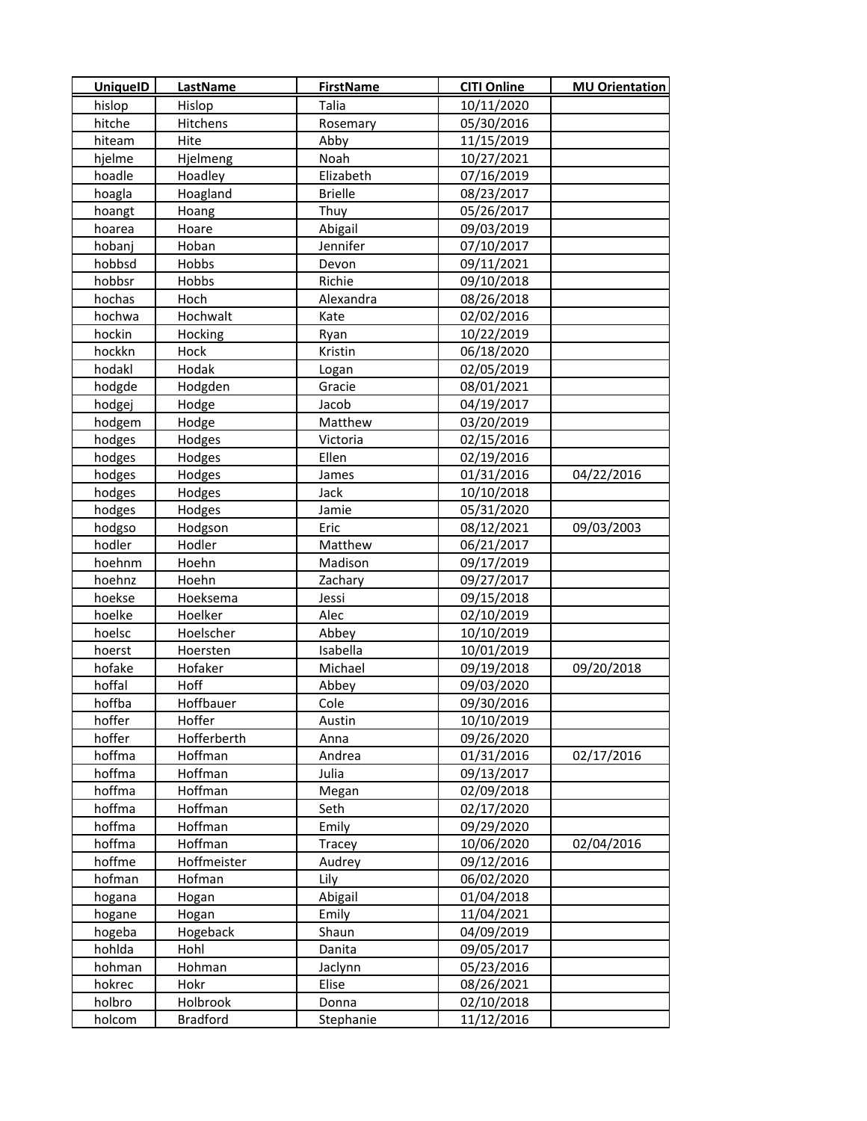| UniquelD | <b>LastName</b> | <b>FirstName</b> | <b>CITI Online</b> | <b>MU Orientation</b> |
|----------|-----------------|------------------|--------------------|-----------------------|
| hislop   | Hislop          | Talia            | 10/11/2020         |                       |
| hitche   | Hitchens        | Rosemary         | 05/30/2016         |                       |
| hiteam   | Hite            | Abby             | 11/15/2019         |                       |
| hjelme   | Hjelmeng        | Noah             | 10/27/2021         |                       |
| hoadle   | Hoadley         | Elizabeth        | 07/16/2019         |                       |
| hoagla   | Hoagland        | <b>Brielle</b>   | 08/23/2017         |                       |
| hoangt   | Hoang           | Thuy             | 05/26/2017         |                       |
| hoarea   | Hoare           | Abigail          | 09/03/2019         |                       |
| hobanj   | Hoban           | Jennifer         | 07/10/2017         |                       |
| hobbsd   | Hobbs           | Devon            | 09/11/2021         |                       |
| hobbsr   | Hobbs           | Richie           | 09/10/2018         |                       |
| hochas   | Hoch            | Alexandra        | 08/26/2018         |                       |
| hochwa   | Hochwalt        | Kate             | 02/02/2016         |                       |
| hockin   | Hocking         | Ryan             | 10/22/2019         |                       |
| hockkn   | Hock            | Kristin          | 06/18/2020         |                       |
| hodakl   | Hodak           | Logan            | 02/05/2019         |                       |
| hodgde   | Hodgden         | Gracie           | 08/01/2021         |                       |
| hodgej   | Hodge           | Jacob            | 04/19/2017         |                       |
| hodgem   | Hodge           | Matthew          | 03/20/2019         |                       |
| hodges   | Hodges          | Victoria         | 02/15/2016         |                       |
| hodges   | Hodges          | Ellen            | 02/19/2016         |                       |
| hodges   | Hodges          | James            | 01/31/2016         | 04/22/2016            |
| hodges   | Hodges          | Jack             | 10/10/2018         |                       |
| hodges   | Hodges          | Jamie            | 05/31/2020         |                       |
| hodgso   | Hodgson         | Eric             | 08/12/2021         | 09/03/2003            |
| hodler   | Hodler          | Matthew          | 06/21/2017         |                       |
| hoehnm   | Hoehn           | Madison          | 09/17/2019         |                       |
| hoehnz   | Hoehn           | Zachary          | 09/27/2017         |                       |
| hoekse   | Hoeksema        | Jessi            | 09/15/2018         |                       |
| hoelke   | Hoelker         | Alec             | 02/10/2019         |                       |
| hoelsc   | Hoelscher       | Abbey            | 10/10/2019         |                       |
| hoerst   | Hoersten        | Isabella         | 10/01/2019         |                       |
| hofake   | Hofaker         | Michael          | 09/19/2018         | 09/20/2018            |
| hoffal   | Hoff            | Abbey            | 09/03/2020         |                       |
| hoffba   | Hoffbauer       | Cole             | 09/30/2016         |                       |
| hoffer   | Hoffer          | Austin           | 10/10/2019         |                       |
| hoffer   | Hofferberth     | Anna             | 09/26/2020         |                       |
| hoffma   | Hoffman         | Andrea           | 01/31/2016         | 02/17/2016            |
| hoffma   | Hoffman         | Julia            | 09/13/2017         |                       |
| hoffma   | Hoffman         | Megan            | 02/09/2018         |                       |
| hoffma   | Hoffman         | Seth             | 02/17/2020         |                       |
| hoffma   | Hoffman         | Emily            | 09/29/2020         |                       |
| hoffma   | Hoffman         | Tracey           | 10/06/2020         | 02/04/2016            |
| hoffme   | Hoffmeister     | Audrey           | 09/12/2016         |                       |
| hofman   | Hofman          | Lily             | 06/02/2020         |                       |
| hogana   | Hogan           | Abigail          | 01/04/2018         |                       |
| hogane   | Hogan           | Emily            | 11/04/2021         |                       |
| hogeba   | Hogeback        | Shaun            | 04/09/2019         |                       |
| hohlda   | Hohl            | Danita           | 09/05/2017         |                       |
| hohman   | Hohman          | Jaclynn          | 05/23/2016         |                       |
| hokrec   | Hokr            | Elise            | 08/26/2021         |                       |
| holbro   | Holbrook        | Donna            | 02/10/2018         |                       |
| holcom   | <b>Bradford</b> | Stephanie        | 11/12/2016         |                       |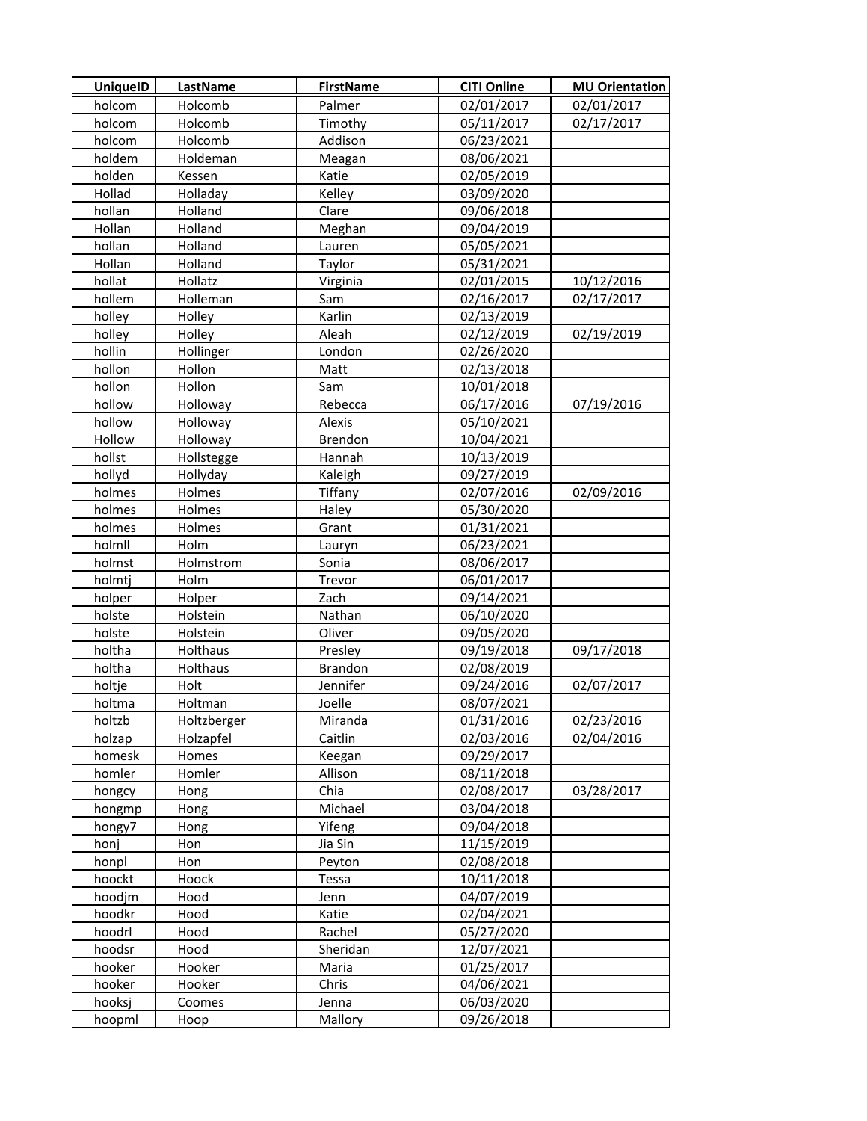| <b>UniquelD</b> | <b>LastName</b>      | <b>FirstName</b> | <b>CITI Online</b>       | <b>MU Orientation</b> |
|-----------------|----------------------|------------------|--------------------------|-----------------------|
| holcom          | Holcomb              | Palmer           | 02/01/2017               | 02/01/2017            |
| holcom          | Holcomb              | Timothy          | 05/11/2017               | 02/17/2017            |
| holcom          | Holcomb              | Addison          | 06/23/2021               |                       |
| holdem          | Holdeman             | Meagan           | 08/06/2021               |                       |
| holden          | Kessen               | Katie            | 02/05/2019               |                       |
| Hollad          | Holladay             | Kelley           | 03/09/2020               |                       |
| hollan          | Holland              | Clare            | 09/06/2018               |                       |
| Hollan          | Holland              | Meghan           | 09/04/2019               |                       |
| hollan          | Holland              | Lauren           | 05/05/2021               |                       |
| Hollan          | Holland              | Taylor           | 05/31/2021               |                       |
| hollat          | Hollatz              | Virginia         | 02/01/2015               | 10/12/2016            |
| hollem          | Holleman             | Sam              | 02/16/2017               | 02/17/2017            |
| holley          | Holley               | Karlin           | 02/13/2019               |                       |
| holley          | Holley               | Aleah            | 02/12/2019               | 02/19/2019            |
| hollin          | Hollinger            | London           | 02/26/2020               |                       |
| hollon          | Hollon               | Matt             | 02/13/2018               |                       |
| hollon          | Hollon               | Sam              | 10/01/2018               |                       |
| hollow          | Holloway             | Rebecca          | 06/17/2016               | 07/19/2016            |
| hollow          | Holloway             | <b>Alexis</b>    | 05/10/2021               |                       |
| Hollow          | Holloway             | <b>Brendon</b>   | 10/04/2021               |                       |
| hollst          | Hollstegge           | Hannah           | 10/13/2019               |                       |
| hollyd          | Hollyday             | Kaleigh          | 09/27/2019               |                       |
| holmes          | Holmes               | Tiffany          | 02/07/2016               | 02/09/2016            |
| holmes          | Holmes               | Haley            | 05/30/2020               |                       |
| holmes          | Holmes               | Grant            | 01/31/2021               |                       |
| holmll          | Holm                 | Lauryn           | 06/23/2021               |                       |
| holmst          | Holmstrom            | Sonia            | 08/06/2017               |                       |
| holmtj          | Holm                 | Trevor           | 06/01/2017               |                       |
| holper          | Holper               | Zach             | 09/14/2021               |                       |
|                 |                      | Nathan           |                          |                       |
| holste          | Holstein<br>Holstein | Oliver           | 06/10/2020<br>09/05/2020 |                       |
| holste          |                      |                  |                          |                       |
| holtha          | Holthaus             | Presley          | 09/19/2018               | 09/17/2018            |
| holtha          | Holthaus             | <b>Brandon</b>   | 02/08/2019               |                       |
| holtje          | Holt                 | Jennifer         | 09/24/2016               | 02/07/2017            |
| holtma          | Holtman              | Joelle           | 08/07/2021               |                       |
| holtzb          | Holtzberger          | Miranda          | 01/31/2016               | 02/23/2016            |
| holzap          | Holzapfel            | Caitlin          | 02/03/2016               | 02/04/2016            |
| homesk          | Homes                | Keegan           | 09/29/2017               |                       |
| homler          | Homler               | Allison          | 08/11/2018               |                       |
| hongcy          | Hong                 | Chia             | 02/08/2017               | 03/28/2017            |
| hongmp          | Hong                 | Michael          | 03/04/2018               |                       |
| hongy7          | Hong                 | Yifeng           | 09/04/2018               |                       |
| honj            | Hon                  | Jia Sin          | 11/15/2019               |                       |
| honpl           | Hon                  | Peyton           | 02/08/2018               |                       |
| hoockt          | Hoock                | Tessa            | 10/11/2018               |                       |
| hoodjm          | Hood                 | Jenn             | 04/07/2019               |                       |
| hoodkr          | Hood                 | Katie            | 02/04/2021               |                       |
| hoodrl          | Hood                 | Rachel           | 05/27/2020               |                       |
| hoodsr          | Hood                 | Sheridan         | 12/07/2021               |                       |
| hooker          | Hooker               | Maria            | 01/25/2017               |                       |
| hooker          | Hooker               | Chris            | 04/06/2021               |                       |
| hooksj          | Coomes               | Jenna            | 06/03/2020               |                       |
| hoopml          | Hoop                 | Mallory          | 09/26/2018               |                       |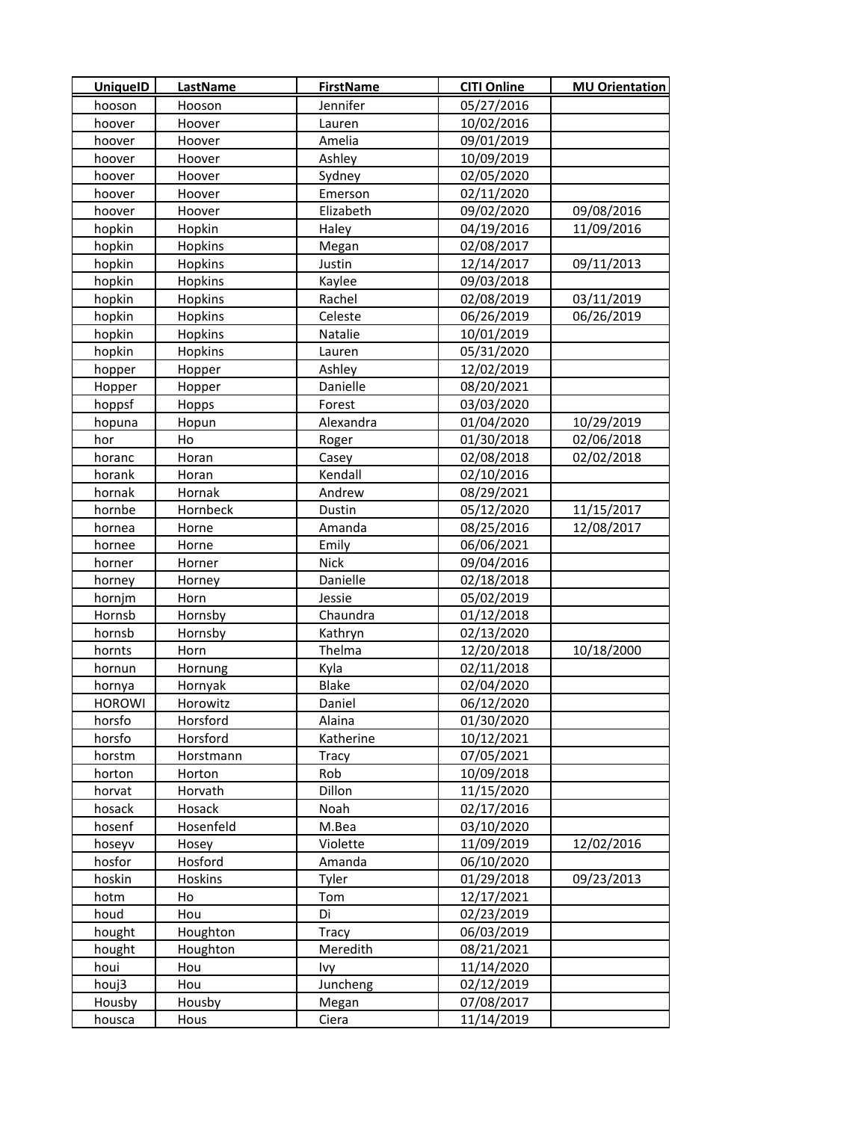| <b>UniquelD</b> | LastName  | <b>FirstName</b> | <b>CITI Online</b> | <b>MU Orientation</b> |
|-----------------|-----------|------------------|--------------------|-----------------------|
| hooson          | Hooson    | Jennifer         | 05/27/2016         |                       |
| hoover          | Hoover    | Lauren           | 10/02/2016         |                       |
| hoover          | Hoover    | Amelia           | 09/01/2019         |                       |
| hoover          | Hoover    | Ashley           | 10/09/2019         |                       |
| hoover          | Hoover    | Sydney           | 02/05/2020         |                       |
| hoover          | Hoover    | Emerson          | 02/11/2020         |                       |
| hoover          | Hoover    | Elizabeth        | 09/02/2020         | 09/08/2016            |
| hopkin          | Hopkin    | Haley            | 04/19/2016         | 11/09/2016            |
| hopkin          | Hopkins   | Megan            | 02/08/2017         |                       |
| hopkin          | Hopkins   | Justin           | 12/14/2017         | 09/11/2013            |
| hopkin          | Hopkins   | Kaylee           | 09/03/2018         |                       |
| hopkin          | Hopkins   | Rachel           | 02/08/2019         | 03/11/2019            |
| hopkin          | Hopkins   | Celeste          | 06/26/2019         | 06/26/2019            |
| hopkin          | Hopkins   | Natalie          | 10/01/2019         |                       |
| hopkin          | Hopkins   | Lauren           | 05/31/2020         |                       |
| hopper          | Hopper    | Ashley           | 12/02/2019         |                       |
| Hopper          | Hopper    | Danielle         | 08/20/2021         |                       |
| hoppsf          | Hopps     | Forest           | 03/03/2020         |                       |
| hopuna          | Hopun     | Alexandra        | 01/04/2020         | 10/29/2019            |
| hor             | Ho        | Roger            | 01/30/2018         | 02/06/2018            |
| horanc          | Horan     | Casey            | 02/08/2018         | 02/02/2018            |
| horank          | Horan     | Kendall          | 02/10/2016         |                       |
| hornak          | Hornak    | Andrew           | 08/29/2021         |                       |
| hornbe          | Hornbeck  | Dustin           | 05/12/2020         | 11/15/2017            |
| hornea          | Horne     | Amanda           | 08/25/2016         | 12/08/2017            |
| hornee          | Horne     | Emily            | 06/06/2021         |                       |
| horner          | Horner    | <b>Nick</b>      | 09/04/2016         |                       |
| horney          | Horney    | Danielle         | 02/18/2018         |                       |
| hornjm          | Horn      | Jessie           | 05/02/2019         |                       |
| Hornsb          | Hornsby   | Chaundra         | 01/12/2018         |                       |
| hornsb          | Hornsby   | Kathryn          | 02/13/2020         |                       |
| hornts          | Horn      | Thelma           | 12/20/2018         | 10/18/2000            |
| hornun          | Hornung   | Kyla             | 02/11/2018         |                       |
| hornya          | Hornyak   | Blake            | 02/04/2020         |                       |
| <b>HOROWI</b>   | Horowitz  | Daniel           | 06/12/2020         |                       |
| horsfo          | Horsford  | Alaina           | 01/30/2020         |                       |
| horsfo          | Horsford  | Katherine        | 10/12/2021         |                       |
| horstm          | Horstmann | Tracy            | 07/05/2021         |                       |
| horton          | Horton    | Rob              | 10/09/2018         |                       |
| horvat          | Horvath   | Dillon           | 11/15/2020         |                       |
| hosack          | Hosack    | Noah             | 02/17/2016         |                       |
| hosenf          | Hosenfeld | M.Bea            | 03/10/2020         |                       |
| hoseyv          | Hosey     | Violette         | 11/09/2019         | 12/02/2016            |
| hosfor          | Hosford   | Amanda           | 06/10/2020         |                       |
| hoskin          | Hoskins   | Tyler            | 01/29/2018         | 09/23/2013            |
| hotm            | Ho        | Tom              | 12/17/2021         |                       |
| houd            | Hou       | Di               | 02/23/2019         |                       |
| hought          | Houghton  | Tracy            | 06/03/2019         |                       |
| hought          | Houghton  | Meredith         | 08/21/2021         |                       |
| houi            | Hou       | Ivy              | 11/14/2020         |                       |
| houj3           | Hou       | Juncheng         | 02/12/2019         |                       |
| Housby          | Housby    | Megan            | 07/08/2017         |                       |
| housca          | Hous      | Ciera            | 11/14/2019         |                       |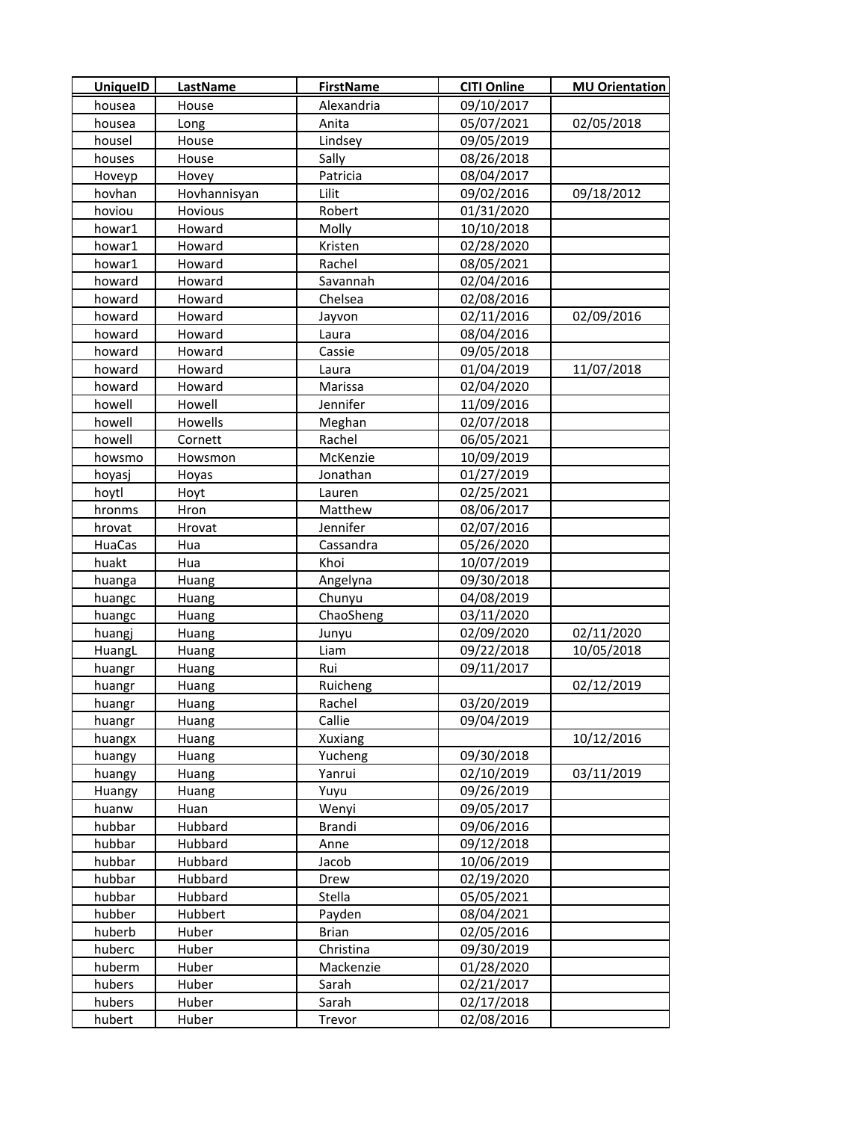| <b>UniquelD</b> | <b>LastName</b> | <b>FirstName</b> | <b>CITI Online</b> | <b>MU Orientation</b> |
|-----------------|-----------------|------------------|--------------------|-----------------------|
| housea          | House           | Alexandria       | 09/10/2017         |                       |
| housea          | Long            | Anita            | 05/07/2021         | 02/05/2018            |
| housel          | House           | Lindsey          | 09/05/2019         |                       |
| houses          | House           | Sally            | 08/26/2018         |                       |
| Hoveyp          | Hovey           | Patricia         | 08/04/2017         |                       |
| hovhan          | Hovhannisyan    | Lilit            | 09/02/2016         | 09/18/2012            |
| hoviou          | Hovious         | Robert           | 01/31/2020         |                       |
| howar1          | Howard          | Molly            | 10/10/2018         |                       |
| howar1          | Howard          | Kristen          | 02/28/2020         |                       |
| howar1          | Howard          | Rachel           | 08/05/2021         |                       |
| howard          | Howard          | Savannah         | 02/04/2016         |                       |
| howard          | Howard          | Chelsea          | 02/08/2016         |                       |
| howard          | Howard          | Jayvon           | 02/11/2016         | 02/09/2016            |
| howard          | Howard          | Laura            | 08/04/2016         |                       |
| howard          | Howard          | Cassie           | 09/05/2018         |                       |
| howard          | Howard          | Laura            | 01/04/2019         | 11/07/2018            |
| howard          | Howard          | Marissa          | 02/04/2020         |                       |
| howell          | Howell          | Jennifer         | 11/09/2016         |                       |
| howell          | Howells         | Meghan           | 02/07/2018         |                       |
| howell          | Cornett         | Rachel           | 06/05/2021         |                       |
| howsmo          | Howsmon         | McKenzie         | 10/09/2019         |                       |
| hoyasj          | Hoyas           | Jonathan         | 01/27/2019         |                       |
| hoytl           | Hoyt            | Lauren           | 02/25/2021         |                       |
| hronms          | Hron            | Matthew          | 08/06/2017         |                       |
| hrovat          | Hrovat          | Jennifer         | 02/07/2016         |                       |
| HuaCas          | Hua             | Cassandra        | 05/26/2020         |                       |
| huakt           | Hua             | Khoi             | 10/07/2019         |                       |
| huanga          | Huang           | Angelyna         | 09/30/2018         |                       |
| huangc          | Huang           | Chunyu           | 04/08/2019         |                       |
| huangc          | Huang           | ChaoSheng        | 03/11/2020         |                       |
| huangj          | Huang           | Junyu            | 02/09/2020         | 02/11/2020            |
| HuangL          | Huang           | Liam             | 09/22/2018         | 10/05/2018            |
| huangr          | <b>Huang</b>    | Rui              | 09/11/2017         |                       |
| huangr          | Huang           | Ruicheng         |                    | 02/12/2019            |
| huangr          | Huang           | Rachel           | 03/20/2019         |                       |
| huangr          | Huang           | Callie           | 09/04/2019         |                       |
| huangx          | Huang           | Xuxiang          |                    | 10/12/2016            |
| huangy          | Huang           | Yucheng          | 09/30/2018         |                       |
| huangy          | Huang           | Yanrui           | 02/10/2019         | 03/11/2019            |
| Huangy          | Huang           | Yuyu             | 09/26/2019         |                       |
| huanw           | Huan            | Wenyi            | 09/05/2017         |                       |
| hubbar          | Hubbard         | <b>Brandi</b>    | 09/06/2016         |                       |
| hubbar          | Hubbard         | Anne             | 09/12/2018         |                       |
| hubbar          | Hubbard         | Jacob            | 10/06/2019         |                       |
| hubbar          | Hubbard         | Drew             | 02/19/2020         |                       |
| hubbar          | Hubbard         | Stella           | 05/05/2021         |                       |
| hubber          | Hubbert         | Payden           | 08/04/2021         |                       |
| huberb          | Huber           | <b>Brian</b>     | 02/05/2016         |                       |
| huberc          | Huber           | Christina        | 09/30/2019         |                       |
| huberm          | Huber           | Mackenzie        | 01/28/2020         |                       |
| hubers          | Huber           | Sarah            | 02/21/2017         |                       |
| hubers          | Huber           | Sarah            | 02/17/2018         |                       |
| hubert          | Huber           | Trevor           | 02/08/2016         |                       |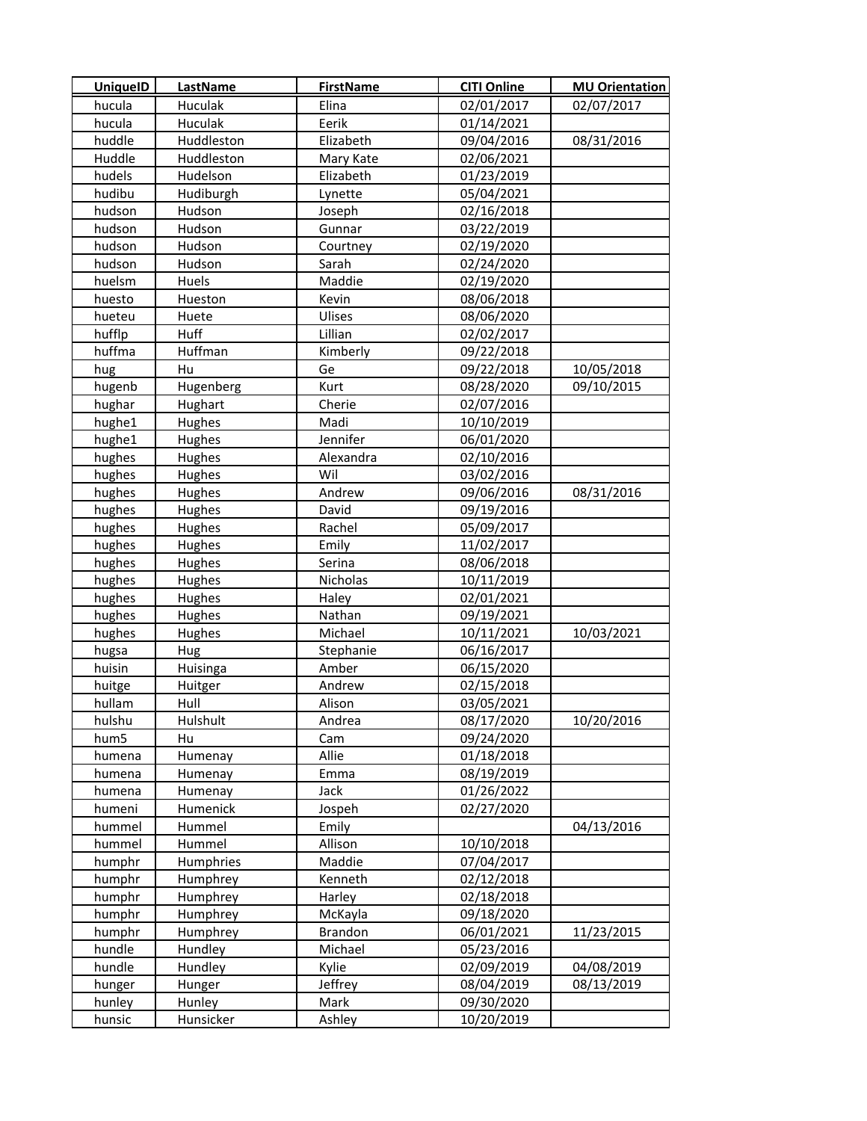| <b>UniquelD</b>  | <b>LastName</b>  | <b>FirstName</b> | <b>CITI Online</b>       | <b>MU Orientation</b> |
|------------------|------------------|------------------|--------------------------|-----------------------|
| hucula           | Huculak          | Elina            | 02/01/2017               | 02/07/2017            |
| hucula           | Huculak          | Eerik            | 01/14/2021               |                       |
| huddle           | Huddleston       | Elizabeth        | 09/04/2016               | 08/31/2016            |
| Huddle           | Huddleston       | Mary Kate        | 02/06/2021               |                       |
| hudels           | Hudelson         | Elizabeth        | 01/23/2019               |                       |
| hudibu           | Hudiburgh        | Lynette          | 05/04/2021               |                       |
| hudson           | Hudson           | Joseph           | 02/16/2018               |                       |
| hudson           | Hudson           | Gunnar           | 03/22/2019               |                       |
| hudson           | Hudson           | Courtney         | 02/19/2020               |                       |
| hudson           | Hudson           | Sarah            | 02/24/2020               |                       |
| huelsm           | Huels            | Maddie           | 02/19/2020               |                       |
| huesto           | Hueston          | Kevin            | 08/06/2018               |                       |
| hueteu           | Huete            | Ulises           | 08/06/2020               |                       |
| hufflp           | Huff             | Lillian          | 02/02/2017               |                       |
| huffma           | Huffman          | Kimberly         | 09/22/2018               |                       |
| hug              | Hu               | Ge               | 09/22/2018               | 10/05/2018            |
| hugenb           | Hugenberg        | Kurt             | 08/28/2020               | 09/10/2015            |
| hughar           | Hughart          | Cherie           | 02/07/2016               |                       |
| hughe1           | Hughes           | Madi             | 10/10/2019               |                       |
| hughe1           | Hughes           | Jennifer         | 06/01/2020               |                       |
| hughes           | Hughes           | Alexandra        | 02/10/2016               |                       |
| hughes           | Hughes           | Wil              | 03/02/2016               |                       |
| hughes           | Hughes           | Andrew           | 09/06/2016               | 08/31/2016            |
| hughes           | Hughes           | David            | 09/19/2016               |                       |
| hughes           | Hughes           | Rachel           | 05/09/2017               |                       |
| hughes           | Hughes           | Emily            | 11/02/2017               |                       |
| hughes           | Hughes           | Serina           | 08/06/2018               |                       |
| hughes           | Hughes           | Nicholas         | 10/11/2019               |                       |
| hughes           | Hughes           | Haley            | 02/01/2021               |                       |
| hughes           | Hughes           | Nathan           | 09/19/2021               |                       |
| hughes           | Hughes           | Michael          | 10/11/2021               | 10/03/2021            |
| hugsa            | Hug              | Stephanie        | 06/16/2017               |                       |
| huisin           | Huisinga         | Amber            | 06/15/2020               |                       |
| huitge           | Huitger          | Andrew           | 02/15/2018               |                       |
| hullam           | Hull             | Alison           | 03/05/2021               |                       |
| hulshu           | Hulshult         | Andrea           | 08/17/2020               | 10/20/2016            |
| hum5             | Hu               | Cam              | 09/24/2020               |                       |
| humena           | Humenay          | Allie            | 01/18/2018               |                       |
| humena           | Humenay          | Emma             | 08/19/2019               |                       |
| humena           | Humenay          | Jack             | 01/26/2022               |                       |
| humeni           | Humenick         | Jospeh           | 02/27/2020               |                       |
| hummel           | Hummel           | Emily            |                          | 04/13/2016            |
| hummel           | Hummel           | Allison          | 10/10/2018               |                       |
| humphr           | Humphries        | Maddie           | 07/04/2017               |                       |
| humphr           | Humphrey         | Kenneth          | 02/12/2018               |                       |
| humphr           | Humphrey         | Harley           | 02/18/2018               |                       |
| humphr           | Humphrey         | McKayla          | 09/18/2020               |                       |
| humphr           | Humphrey         | Brandon          | 06/01/2021               | 11/23/2015            |
| hundle           | Hundley          | Michael          | 05/23/2016               |                       |
| hundle           | Hundley          | Kylie            | 02/09/2019               | 04/08/2019            |
| hunger<br>hunley | Hunger<br>Hunley | Jeffrey<br>Mark  | 08/04/2019               | 08/13/2019            |
| hunsic           | Hunsicker        | Ashley           | 09/30/2020<br>10/20/2019 |                       |
|                  |                  |                  |                          |                       |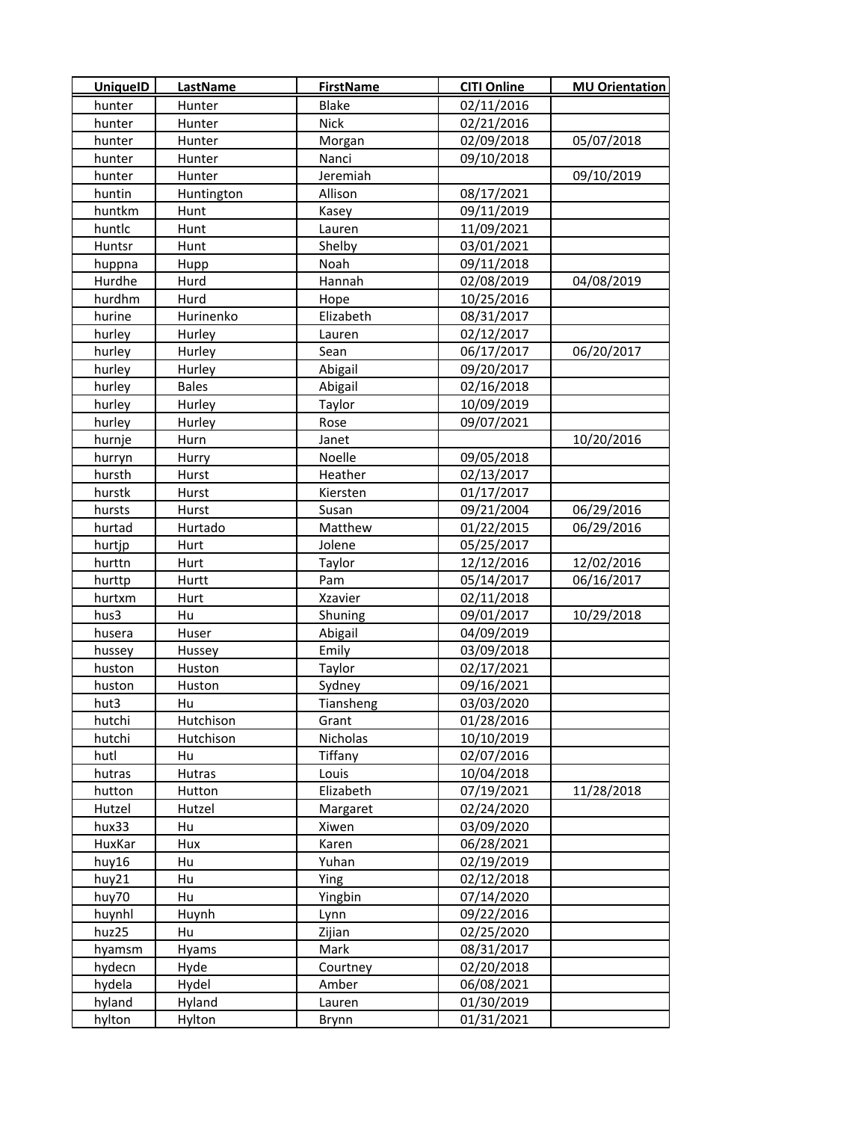| <b>UniquelD</b> | <b>LastName</b> | <b>FirstName</b> | <b>CITI Online</b> | <b>MU Orientation</b> |
|-----------------|-----------------|------------------|--------------------|-----------------------|
| hunter          | Hunter          | Blake            | 02/11/2016         |                       |
| hunter          | Hunter          | <b>Nick</b>      | 02/21/2016         |                       |
| hunter          | Hunter          | Morgan           | 02/09/2018         | 05/07/2018            |
| hunter          | Hunter          | Nanci            | 09/10/2018         |                       |
| hunter          | Hunter          | Jeremiah         |                    | 09/10/2019            |
| huntin          | Huntington      | Allison          | 08/17/2021         |                       |
| huntkm          | Hunt            | Kasey            | 09/11/2019         |                       |
| huntlc          | Hunt            | Lauren           | 11/09/2021         |                       |
| Huntsr          | Hunt            | Shelby           | 03/01/2021         |                       |
| huppna          | Hupp            | Noah             | 09/11/2018         |                       |
| Hurdhe          | Hurd            | Hannah           | 02/08/2019         | 04/08/2019            |
| hurdhm          | Hurd            | Hope             | 10/25/2016         |                       |
| hurine          | Hurinenko       | Elizabeth        | 08/31/2017         |                       |
| hurley          | <b>Hurley</b>   | Lauren           | 02/12/2017         |                       |
| hurley          | Hurley          | Sean             | 06/17/2017         | 06/20/2017            |
| hurley          | Hurley          | Abigail          | 09/20/2017         |                       |
| hurley          | <b>Bales</b>    | Abigail          | 02/16/2018         |                       |
| hurley          | Hurley          | Taylor           | 10/09/2019         |                       |
| hurley          | Hurley          | Rose             | 09/07/2021         |                       |
| hurnje          | Hurn            | Janet            |                    | 10/20/2016            |
| hurryn          | Hurry           | Noelle           | 09/05/2018         |                       |
| hursth          | Hurst           | Heather          | 02/13/2017         |                       |
| hurstk          | Hurst           | Kiersten         | 01/17/2017         |                       |
| hursts          | Hurst           | Susan            | 09/21/2004         | 06/29/2016            |
| hurtad          | Hurtado         | Matthew          | 01/22/2015         | 06/29/2016            |
| hurtjp          | Hurt            | Jolene           | 05/25/2017         |                       |
| hurttn          | Hurt            | Taylor           | 12/12/2016         | 12/02/2016            |
| hurttp          | Hurtt           | Pam              | 05/14/2017         | 06/16/2017            |
| hurtxm          | Hurt            | Xzavier          | 02/11/2018         |                       |
| hus3            | Hu              | Shuning          | 09/01/2017         | 10/29/2018            |
| husera          | Huser           | Abigail          | 04/09/2019         |                       |
| hussey          | Hussey          | Emily            | 03/09/2018         |                       |
| huston          | Huston          | Taylor           | 02/17/2021         |                       |
| huston          | Huston          | Sydney           | 09/16/2021         |                       |
| hut3            | Hu              | Tiansheng        | 03/03/2020         |                       |
| hutchi          | Hutchison       | Grant            | 01/28/2016         |                       |
| hutchi          | Hutchison       | Nicholas         | 10/10/2019         |                       |
| hutl            | Hu              | Tiffany          | 02/07/2016         |                       |
| hutras          | Hutras          | Louis            | 10/04/2018         |                       |
| hutton          | Hutton          | Elizabeth        | 07/19/2021         | 11/28/2018            |
| Hutzel          | Hutzel          | Margaret         | 02/24/2020         |                       |
| hux33           | Hu              | Xiwen            | 03/09/2020         |                       |
| HuxKar          | Hux             | Karen            | 06/28/2021         |                       |
| huy16           | Hu              | Yuhan            | 02/19/2019         |                       |
| huy21           | Hu              | Ying             | 02/12/2018         |                       |
| huy70           | Hu              | Yingbin          | 07/14/2020         |                       |
| huynhl          | Huynh           | Lynn             | 09/22/2016         |                       |
| huz25           | Hu              | Zijian           | 02/25/2020         |                       |
| hyamsm          | <b>Hyams</b>    | Mark             | 08/31/2017         |                       |
| hydecn          | Hyde            | Courtney         | 02/20/2018         |                       |
| hydela          | Hydel           | Amber            | 06/08/2021         |                       |
| hyland          | Hyland          | Lauren           | 01/30/2019         |                       |
| hylton          | Hylton          | Brynn            | 01/31/2021         |                       |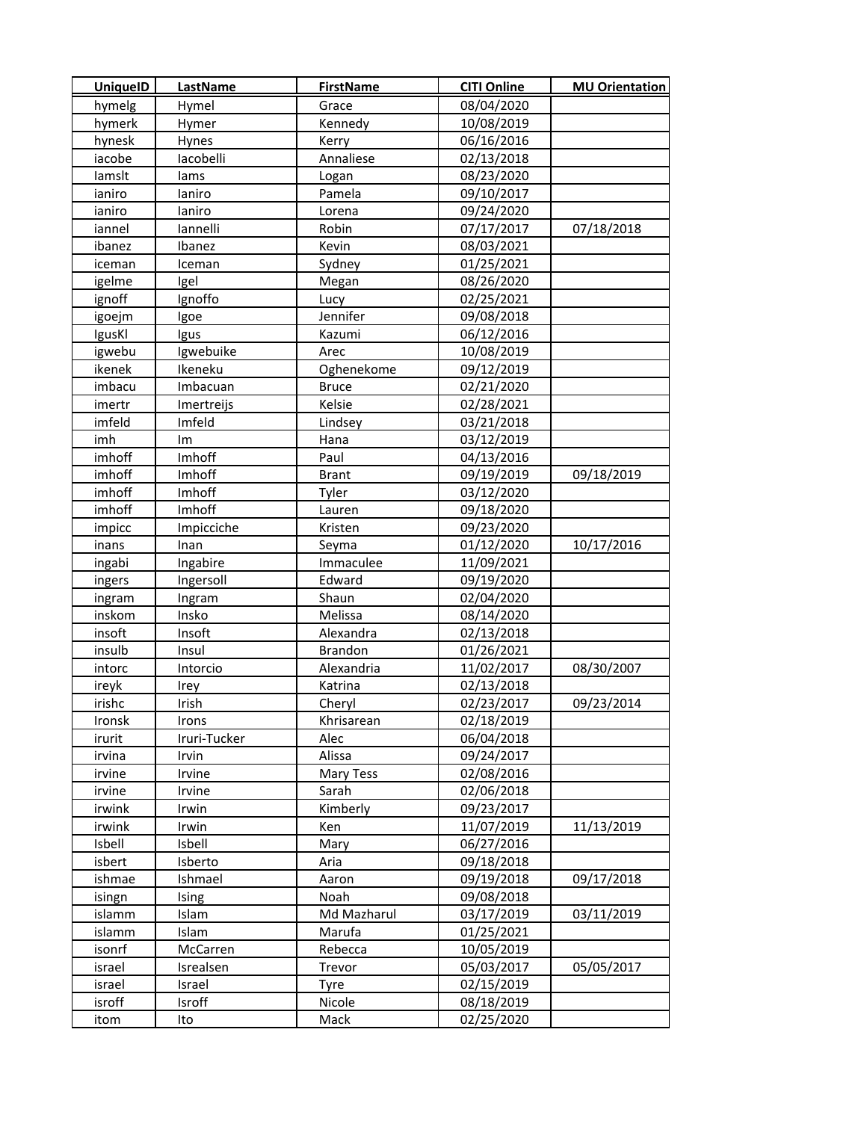| <b>UniquelD</b> | <b>LastName</b> | <b>FirstName</b> | <b>CITI Online</b> | <b>MU Orientation</b> |
|-----------------|-----------------|------------------|--------------------|-----------------------|
| hymelg          | Hymel           | Grace            | 08/04/2020         |                       |
| hymerk          | Hymer           | Kennedy          | 10/08/2019         |                       |
| hynesk          | Hynes           | Kerry            | 06/16/2016         |                       |
| iacobe          | lacobelli       | Annaliese        | 02/13/2018         |                       |
| lamslt          | lams            | Logan            | 08/23/2020         |                       |
| ianiro          | laniro          | Pamela           | 09/10/2017         |                       |
| ianiro          | laniro          | Lorena           | 09/24/2020         |                       |
| iannel          | lannelli        | Robin            | 07/17/2017         | 07/18/2018            |
| ibanez          | Ibanez          | Kevin            | 08/03/2021         |                       |
| iceman          | Iceman          | Sydney           | 01/25/2021         |                       |
| igelme          | Igel            | Megan            | 08/26/2020         |                       |
| ignoff          | Ignoffo         | Lucy             | 02/25/2021         |                       |
| igoejm          | Igoe            | Jennifer         | 09/08/2018         |                       |
| IgusKl          | Igus            | Kazumi           | 06/12/2016         |                       |
| igwebu          | Igwebuike       | Arec             | 10/08/2019         |                       |
| ikenek          | Ikeneku         | Oghenekome       | 09/12/2019         |                       |
| imbacu          | Imbacuan        | <b>Bruce</b>     | 02/21/2020         |                       |
| imertr          | Imertreijs      | Kelsie           | 02/28/2021         |                       |
| imfeld          | Imfeld          | Lindsey          | 03/21/2018         |                       |
| imh             | Im              | Hana             | 03/12/2019         |                       |
| imhoff          | Imhoff          | Paul             | 04/13/2016         |                       |
| imhoff          | Imhoff          | <b>Brant</b>     | 09/19/2019         | 09/18/2019            |
| imhoff          | Imhoff          | Tyler            | 03/12/2020         |                       |
| imhoff          | Imhoff          | Lauren           | 09/18/2020         |                       |
| impicc          | Impicciche      | Kristen          | 09/23/2020         |                       |
| inans           | Inan            | Seyma            | 01/12/2020         | 10/17/2016            |
| ingabi          | Ingabire        | Immaculee        | 11/09/2021         |                       |
| ingers          | Ingersoll       | Edward           | 09/19/2020         |                       |
| ingram          | Ingram          | Shaun            | 02/04/2020         |                       |
| inskom          | Insko           | Melissa          | 08/14/2020         |                       |
| insoft          | Insoft          | Alexandra        | 02/13/2018         |                       |
| insulb          | Insul           | <b>Brandon</b>   | 01/26/2021         |                       |
| intorc          | Intorcio        | Alexandria       | 11/02/2017         | 08/30/2007            |
| ireyk           | Irey            | Katrina          | 02/13/2018         |                       |
| irishc          | Irish           | Cheryl           | 02/23/2017         | 09/23/2014            |
| Ironsk          | Irons           | Khrisarean       | 02/18/2019         |                       |
| irurit          | Iruri-Tucker    | Alec             | 06/04/2018         |                       |
| irvina          | Irvin           | Alissa           | 09/24/2017         |                       |
| irvine          | Irvine          | Mary Tess        | 02/08/2016         |                       |
| irvine          | Irvine          | Sarah            | 02/06/2018         |                       |
| irwink          | Irwin           | Kimberly         | 09/23/2017         |                       |
| irwink          | Irwin           | Ken              | 11/07/2019         | 11/13/2019            |
| Isbell          | Isbell          | Mary             | 06/27/2016         |                       |
| isbert          | Isberto         | Aria             | 09/18/2018         |                       |
| ishmae          | Ishmael         | Aaron            | 09/19/2018         | 09/17/2018            |
| isingn          | Ising           | Noah             | 09/08/2018         |                       |
| islamm          | Islam           | Md Mazharul      | 03/17/2019         | 03/11/2019            |
| islamm          | Islam           | Marufa           | 01/25/2021         |                       |
| isonrf          | <b>McCarren</b> | Rebecca          | 10/05/2019         |                       |
| israel          | Isrealsen       | Trevor           | 05/03/2017         | 05/05/2017            |
| israel          | Israel          | <b>Tyre</b>      | 02/15/2019         |                       |
| isroff          | Isroff          | Nicole           | 08/18/2019         |                       |
| itom            | Ito             | Mack             | 02/25/2020         |                       |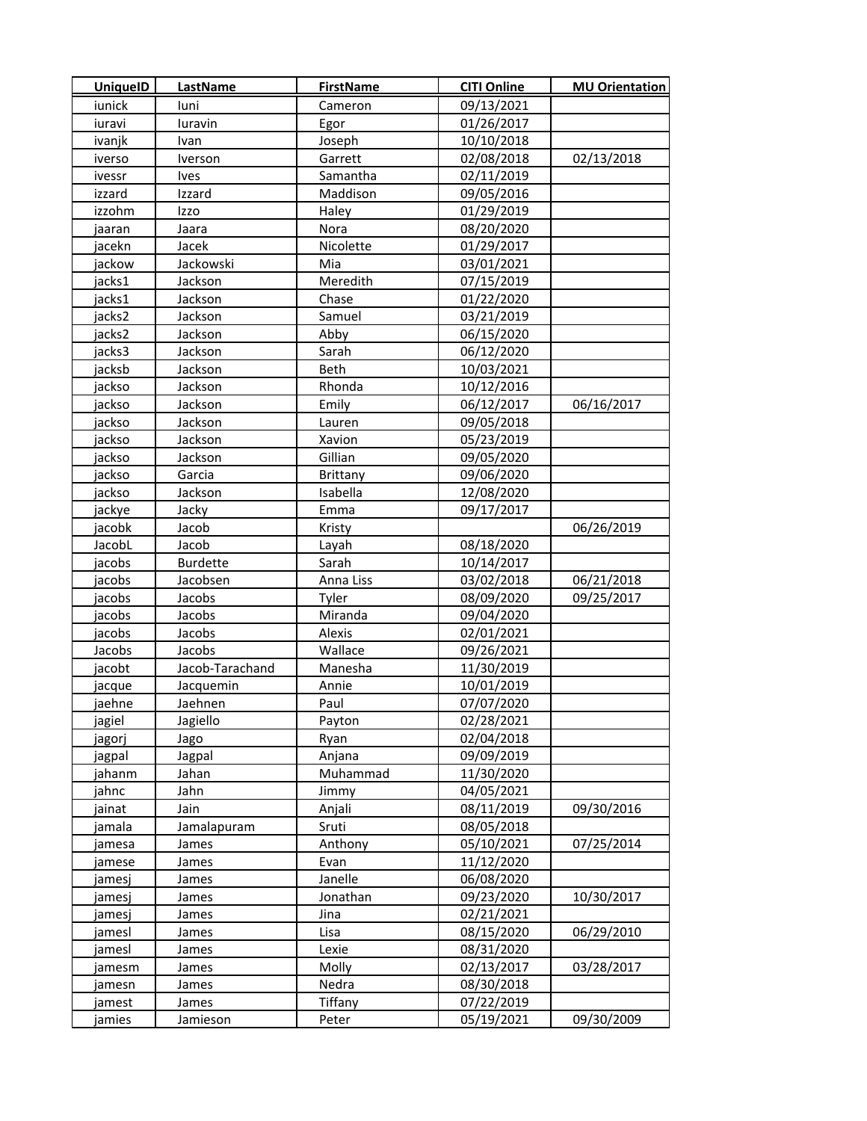| <b>UniquelD</b>  | LastName        | <b>FirstName</b> | <b>CITI Online</b>       | <b>MU Orientation</b> |
|------------------|-----------------|------------------|--------------------------|-----------------------|
| iunick           | luni            | Cameron          | 09/13/2021               |                       |
| iuravi           | luravin         | Egor             | 01/26/2017               |                       |
| ivanjk           | Ivan            | Joseph           | 10/10/2018               |                       |
| iverso           | Iverson         | Garrett          | 02/08/2018               | 02/13/2018            |
| ivessr           | <b>Ives</b>     | Samantha         | 02/11/2019               |                       |
| izzard           | Izzard          | Maddison         | 09/05/2016               |                       |
| izzohm           | Izzo            | Haley            | 01/29/2019               |                       |
| jaaran           | Jaara           | Nora             | 08/20/2020               |                       |
| jacekn           | Jacek           | Nicolette        | 01/29/2017               |                       |
| jackow           | Jackowski       | Mia              | 03/01/2021               |                       |
| jacks1           | Jackson         | Meredith         | 07/15/2019               |                       |
| jacks1           | Jackson         | Chase            | 01/22/2020               |                       |
| jacks2           | Jackson         | Samuel           | 03/21/2019               |                       |
| jacks2           | Jackson         | Abby             | 06/15/2020               |                       |
| jacks3           | Jackson         | Sarah            | 06/12/2020               |                       |
| jacksb           | Jackson         | Beth             | 10/03/2021               |                       |
| jackso           | Jackson         | Rhonda           | 10/12/2016               |                       |
| jackso           | Jackson         | Emily            | 06/12/2017               | 06/16/2017            |
| jackso           | Jackson         | Lauren           | 09/05/2018               |                       |
| jackso           | Jackson         | Xavion           | 05/23/2019               |                       |
| jackso           | Jackson         | Gillian          | 09/05/2020               |                       |
| jackso           | Garcia          | <b>Brittany</b>  | 09/06/2020               |                       |
| jackso           | Jackson         | Isabella         | 12/08/2020               |                       |
| jackye           | Jacky           | Emma             | 09/17/2017               |                       |
| jacobk           | Jacob           | Kristy           |                          | 06/26/2019            |
| JacobL           | Jacob           | Layah            | 08/18/2020               |                       |
| jacobs           | <b>Burdette</b> | Sarah            | 10/14/2017               |                       |
| jacobs           | Jacobsen        | Anna Liss        | 03/02/2018               | 06/21/2018            |
| jacobs           | Jacobs          | Tyler            | 08/09/2020               | 09/25/2017            |
| jacobs           | Jacobs          | Miranda          | 09/04/2020               |                       |
| jacobs           | Jacobs          | Alexis           | 02/01/2021               |                       |
| Jacobs           | Jacobs          | Wallace          | 09/26/2021               |                       |
| jacobt           | Jacob-Tarachand | Manesha          | 11/30/2019               |                       |
| jacque           | Jacquemin       | Annie            | 10/01/2019               |                       |
| jaehne           | Jaehnen         | Paul             | 07/07/2020               |                       |
| jagiel           | Jagiello        | Payton           | 02/28/2021               |                       |
| jagorj           | Jago            | Ryan             | 02/04/2018               |                       |
| jagpal           | Jagpal          | Anjana           | 09/09/2019               |                       |
| jahanm           | Jahan           | Muhammad         | 11/30/2020               |                       |
| jahnc            | Jahn            | Jimmy            | 04/05/2021               |                       |
| jainat           | Jain            | Anjali           | 08/11/2019               | 09/30/2016            |
| jamala           | Jamalapuram     | Sruti<br>Anthony | 08/05/2018<br>05/10/2021 |                       |
| jamesa           | James           | Evan             | 11/12/2020               | 07/25/2014            |
| jamese<br>jamesj | James<br>James  | Janelle          | 06/08/2020               |                       |
|                  |                 | Jonathan         | 09/23/2020               | 10/30/2017            |
| jamesj<br>jamesj | James<br>James  | Jina             | 02/21/2021               |                       |
| jamesl           | James           | Lisa             | 08/15/2020               | 06/29/2010            |
| jamesl           | James           | Lexie            | 08/31/2020               |                       |
| jamesm           | James           | Molly            | 02/13/2017               | 03/28/2017            |
| jamesn           | James           | Nedra            | 08/30/2018               |                       |
| jamest           | James           | Tiffany          | 07/22/2019               |                       |
| jamies           | Jamieson        | Peter            | 05/19/2021               | 09/30/2009            |
|                  |                 |                  |                          |                       |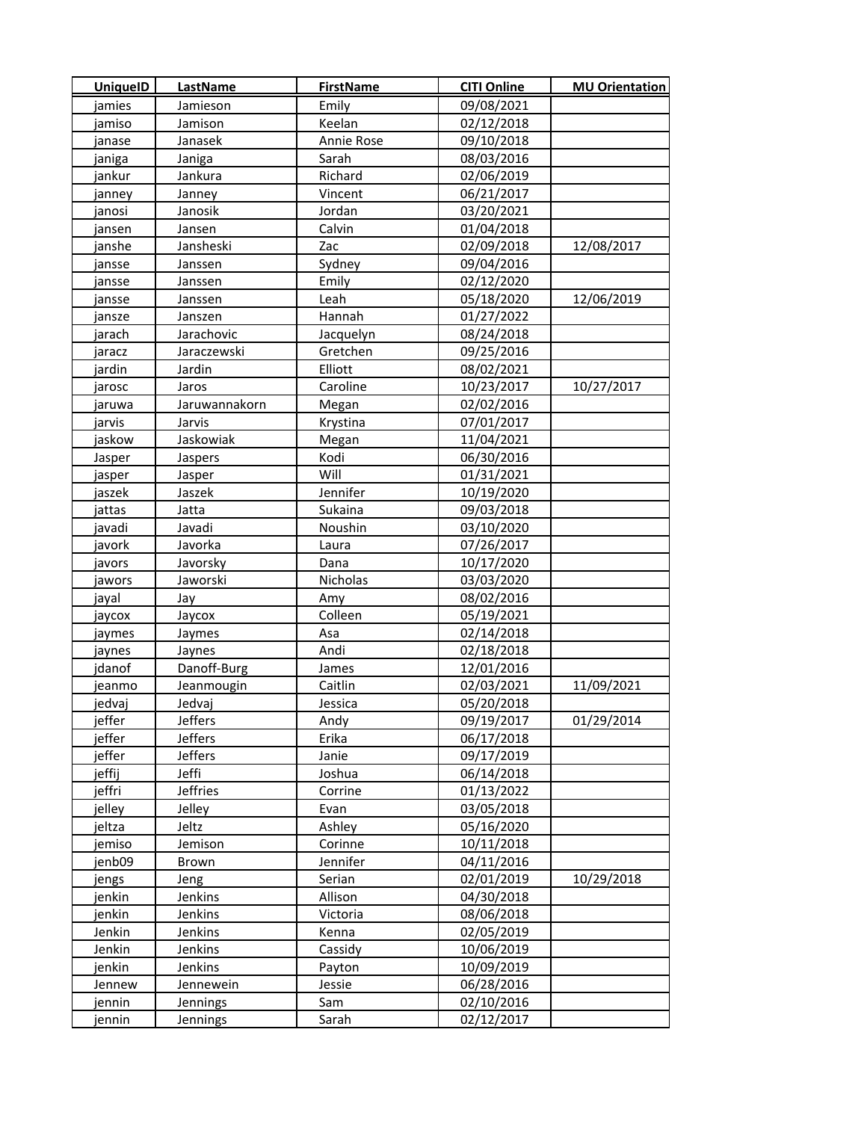| <b>UniquelD</b> | <b>LastName</b> | <b>FirstName</b> | <b>CITI Online</b> | <b>MU Orientation</b> |
|-----------------|-----------------|------------------|--------------------|-----------------------|
| jamies          | Jamieson        | Emily            | 09/08/2021         |                       |
| jamiso          | Jamison         | Keelan           | 02/12/2018         |                       |
| janase          | Janasek         | Annie Rose       | 09/10/2018         |                       |
| janiga          | Janiga          | Sarah            | 08/03/2016         |                       |
| jankur          | Jankura         | Richard          | 02/06/2019         |                       |
| janney          | Janney          | Vincent          | 06/21/2017         |                       |
| janosi          | Janosik         | Jordan           | 03/20/2021         |                       |
| jansen          | Jansen          | Calvin           | 01/04/2018         |                       |
| janshe          | Jansheski       | Zac              | 02/09/2018         | 12/08/2017            |
| jansse          | Janssen         | Sydney           | 09/04/2016         |                       |
| jansse          | Janssen         | Emily            | 02/12/2020         |                       |
| jansse          | Janssen         | Leah             | 05/18/2020         | 12/06/2019            |
| jansze          | Janszen         | Hannah           | 01/27/2022         |                       |
| jarach          | Jarachovic      | Jacquelyn        | 08/24/2018         |                       |
| jaracz          | Jaraczewski     | Gretchen         | 09/25/2016         |                       |
| jardin          | Jardin          | Elliott          | 08/02/2021         |                       |
| jarosc          | Jaros           | Caroline         | 10/23/2017         | 10/27/2017            |
| jaruwa          | Jaruwannakorn   | Megan            | 02/02/2016         |                       |
| jarvis          | Jarvis          | Krystina         | 07/01/2017         |                       |
| jaskow          | Jaskowiak       | Megan            | 11/04/2021         |                       |
| Jasper          | Jaspers         | Kodi             | 06/30/2016         |                       |
| jasper          | Jasper          | Will             | 01/31/2021         |                       |
| jaszek          | Jaszek          | Jennifer         | 10/19/2020         |                       |
| jattas          | Jatta           | Sukaina          | 09/03/2018         |                       |
| javadi          | Javadi          | Noushin          | 03/10/2020         |                       |
| javork          | Javorka         | Laura            | 07/26/2017         |                       |
| javors          | Javorsky        | Dana             | 10/17/2020         |                       |
| jawors          | Jaworski        | Nicholas         | 03/03/2020         |                       |
| jayal           | Jay             | Amy              | 08/02/2016         |                       |
| јаусох          | Jaycox          | Colleen          | 05/19/2021         |                       |
| jaymes          | Jaymes          | Asa              | 02/14/2018         |                       |
| jaynes          | Jaynes          | Andi             | 02/18/2018         |                       |
| jdanof          | Danoff-Burg     | James            | 12/01/2016         |                       |
| ieanmo          | Jeanmougin      | Caitlin          | 02/03/2021         | 11/09/2021            |
| jedvaj          | Jedvaj          | Jessica          | 05/20/2018         |                       |
| jeffer          | Jeffers         | Andy             | 09/19/2017         | 01/29/2014            |
| jeffer          | <b>Jeffers</b>  | Erika            | 06/17/2018         |                       |
| jeffer          | <b>Jeffers</b>  | Janie            | 09/17/2019         |                       |
| jeffij          | Jeffi           | Joshua           | 06/14/2018         |                       |
| jeffri          | <b>Jeffries</b> | Corrine          | 01/13/2022         |                       |
| jelley          | Jelley          | Evan             | 03/05/2018         |                       |
| jeltza          | Jeltz           | Ashley           | 05/16/2020         |                       |
| jemiso          | Jemison         | Corinne          | 10/11/2018         |                       |
| jenb09          | Brown           | Jennifer         | 04/11/2016         |                       |
| jengs           | Jeng            | Serian           | 02/01/2019         | 10/29/2018            |
| jenkin          | Jenkins         | Allison          | 04/30/2018         |                       |
| jenkin          | Jenkins         | Victoria         | 08/06/2018         |                       |
| Jenkin          | Jenkins         | Kenna            | 02/05/2019         |                       |
| Jenkin          | Jenkins         | Cassidy          | 10/06/2019         |                       |
| jenkin          | Jenkins         | Payton           | 10/09/2019         |                       |
| Jennew          | Jennewein       | Jessie           | 06/28/2016         |                       |
| jennin          | Jennings        | Sam              | 02/10/2016         |                       |
| jennin          | Jennings        | Sarah            | 02/12/2017         |                       |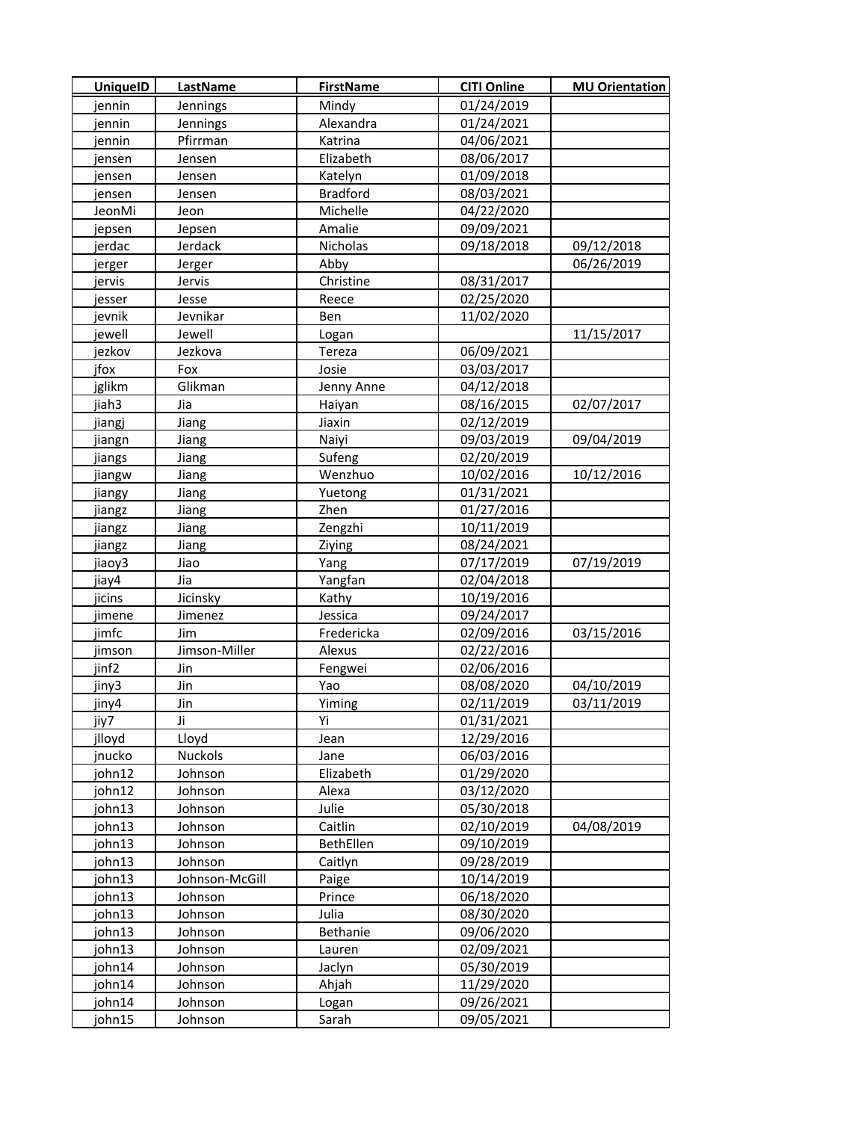| <b>UniquelD</b> | <b>LastName</b> | <b>FirstName</b> | <b>CITI Online</b> | <b>MU Orientation</b> |
|-----------------|-----------------|------------------|--------------------|-----------------------|
| jennin          | Jennings        | Mindy            | 01/24/2019         |                       |
| jennin          | Jennings        | Alexandra        | 01/24/2021         |                       |
| jennin          | Pfirrman        | Katrina          | 04/06/2021         |                       |
| jensen          | Jensen          | Elizabeth        | 08/06/2017         |                       |
| jensen          | Jensen          | Katelyn          | 01/09/2018         |                       |
| jensen          | Jensen          | <b>Bradford</b>  | 08/03/2021         |                       |
| JeonMi          | Jeon            | Michelle         | 04/22/2020         |                       |
| jepsen          | Jepsen          | Amalie           | 09/09/2021         |                       |
| jerdac          | Jerdack         | Nicholas         | 09/18/2018         | 09/12/2018            |
| jerger          | Jerger          | Abby             |                    | 06/26/2019            |
| jervis          | Jervis          | Christine        | 08/31/2017         |                       |
| jesser          | Jesse           | Reece            | 02/25/2020         |                       |
| jevnik          | Jevnikar        | Ben              | 11/02/2020         |                       |
| jewell          | Jewell          | Logan            |                    | 11/15/2017            |
| jezkov          | Jezkova         | Tereza           | 06/09/2021         |                       |
| jfox            | Fox             | Josie            | 03/03/2017         |                       |
| jglikm          | Glikman         | Jenny Anne       | 04/12/2018         |                       |
| jiah3           | Jia             | Haiyan           | 08/16/2015         | 02/07/2017            |
| jiangj          | Jiang           | Jiaxin           | 02/12/2019         |                       |
| jiangn          | Jiang           | Naiyi            | 09/03/2019         | 09/04/2019            |
| jiangs          | Jiang           | Sufeng           | 02/20/2019         |                       |
| jiangw          | Jiang           | Wenzhuo          | 10/02/2016         | 10/12/2016            |
| jiangy          | Jiang           | Yuetong          | 01/31/2021         |                       |
| jiangz          | Jiang           | Zhen             | 01/27/2016         |                       |
| jiangz          | Jiang           | Zengzhi          | 10/11/2019         |                       |
| jiangz          | Jiang           | Ziying           | 08/24/2021         |                       |
| jiaoy3          | Jiao            | Yang             | 07/17/2019         | 07/19/2019            |
| jiay4           | Jia             | Yangfan          | 02/04/2018         |                       |
| jicins          | Jicinsky        | Kathy            | 10/19/2016         |                       |
| jimene          | Jimenez         | Jessica          | 09/24/2017         |                       |
| jimfc           | Jim             | Fredericka       | 02/09/2016         | 03/15/2016            |
| jimson          | Jimson-Miller   | Alexus           | 02/22/2016         |                       |
| jinf2           | Jin             | Fengwei          | 02/06/2016         |                       |
| jiny3           | Jin             | Yao              | 08/08/2020         | 04/10/2019            |
| jiny4           | Jin             | Yiming           | 02/11/2019         | 03/11/2019            |
| jiy7            | Ji              | Yi               | 01/31/2021         |                       |
| jlloyd          | Lloyd           | Jean             | 12/29/2016         |                       |
| jnucko          | <b>Nuckols</b>  | Jane             | 06/03/2016         |                       |
| john12          | Johnson         | Elizabeth        | 01/29/2020         |                       |
| john12          | Johnson         | Alexa            | 03/12/2020         |                       |
| john13          | Johnson         | Julie            | 05/30/2018         |                       |
| john13          | Johnson         | Caitlin          | 02/10/2019         | 04/08/2019            |
| john13          | Johnson         | BethEllen        | 09/10/2019         |                       |
| john13          | Johnson         | Caitlyn          | 09/28/2019         |                       |
| john13          | Johnson-McGill  | Paige            | 10/14/2019         |                       |
| john13          | Johnson         | Prince           | 06/18/2020         |                       |
| john13          | Johnson         | Julia            | 08/30/2020         |                       |
| john13          | Johnson         | <b>Bethanie</b>  | 09/06/2020         |                       |
| john13          | Johnson         | Lauren           | 02/09/2021         |                       |
| john14          | Johnson         | Jaclyn           | 05/30/2019         |                       |
| john14          | Johnson         | Ahjah            | 11/29/2020         |                       |
| john14          | Johnson         | Logan            | 09/26/2021         |                       |
| john15          | Johnson         | Sarah            | 09/05/2021         |                       |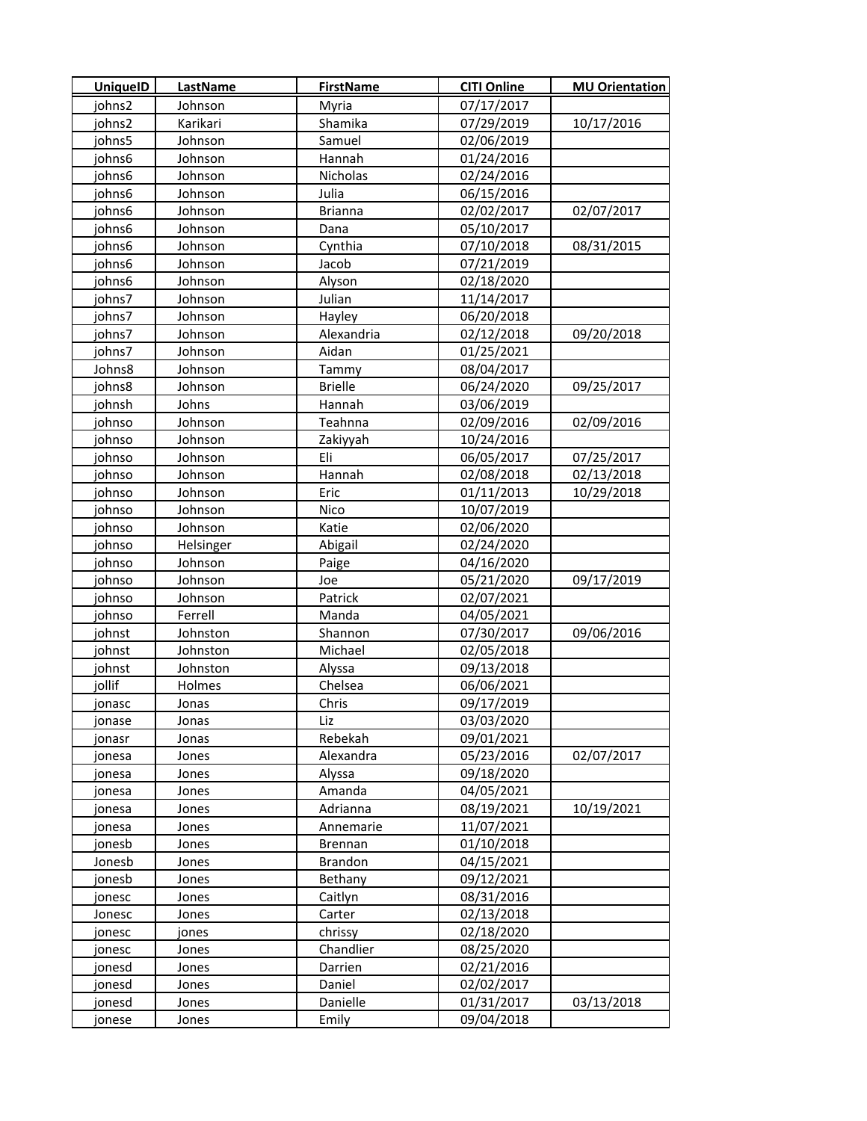| <b>UniquelD</b> | <b>LastName</b> | <b>FirstName</b> | <b>CITI Online</b> | <b>MU Orientation</b> |
|-----------------|-----------------|------------------|--------------------|-----------------------|
| johns2          | Johnson         | Myria            | 07/17/2017         |                       |
| johns2          | Karikari        | Shamika          | 07/29/2019         | 10/17/2016            |
| johns5          | Johnson         | Samuel           | 02/06/2019         |                       |
| johns6          | Johnson         | Hannah           | 01/24/2016         |                       |
| johns6          | Johnson         | Nicholas         | 02/24/2016         |                       |
| johns6          | Johnson         | Julia            | 06/15/2016         |                       |
| johns6          | Johnson         | <b>Brianna</b>   | 02/02/2017         | 02/07/2017            |
| johns6          | Johnson         | Dana             | 05/10/2017         |                       |
| johns6          | Johnson         | Cynthia          | 07/10/2018         | 08/31/2015            |
| ohns6           | Johnson         | Jacob            | 07/21/2019         |                       |
| johns6          | Johnson         | Alyson           | 02/18/2020         |                       |
| johns7          | Johnson         | Julian           | 11/14/2017         |                       |
| johns7          | Johnson         | Hayley           | 06/20/2018         |                       |
| johns7          | Johnson         | Alexandria       | 02/12/2018         | 09/20/2018            |
| johns7          | Johnson         | Aidan            | 01/25/2021         |                       |
| Johns8          | Johnson         | Tammy            | 08/04/2017         |                       |
| johns8          | Johnson         | <b>Brielle</b>   | 06/24/2020         | 09/25/2017            |
| johnsh          | Johns           | Hannah           | 03/06/2019         |                       |
| johnso          | Johnson         | Teahnna          | 02/09/2016         | 02/09/2016            |
| johnso          | Johnson         | Zakiyyah         | 10/24/2016         |                       |
| johnso          | Johnson         | Eli              | 06/05/2017         | 07/25/2017            |
| johnso          | Johnson         | Hannah           | 02/08/2018         | 02/13/2018            |
| johnso          | Johnson         | Eric             | 01/11/2013         | 10/29/2018            |
| johnso          | Johnson         | Nico             | 10/07/2019         |                       |
| johnso          | Johnson         | Katie            | 02/06/2020         |                       |
| johnso          | Helsinger       | Abigail          | 02/24/2020         |                       |
| johnso          | Johnson         | Paige            | 04/16/2020         |                       |
| johnso          | Johnson         | Joe              | 05/21/2020         | 09/17/2019            |
| johnso          | Johnson         | Patrick          | 02/07/2021         |                       |
| johnso          | Ferrell         | Manda            | 04/05/2021         |                       |
| johnst          | Johnston        | Shannon          | 07/30/2017         | 09/06/2016            |
| johnst          | Johnston        | Michael          | 02/05/2018         |                       |
| johnst          | Johnston        | Alyssa           | 09/13/2018         |                       |
| jollif          | Holmes          | Chelsea          | 06/06/2021         |                       |
| jonasc          | Jonas           | Chris            | 09/17/2019         |                       |
| jonase          | Jonas           | Liz              | 03/03/2020         |                       |
| jonasr          | Jonas           | Rebekah          | 09/01/2021         |                       |
| jonesa          | Jones           | Alexandra        | 05/23/2016         | 02/07/2017            |
| onesa           | Jones           | Alyssa           | 09/18/2020         |                       |
| jonesa          | Jones           | Amanda           | 04/05/2021         |                       |
| jonesa          | Jones           | Adrianna         | 08/19/2021         | 10/19/2021            |
| jonesa          | Jones           | Annemarie        | 11/07/2021         |                       |
| jonesb          | Jones           | Brennan          | 01/10/2018         |                       |
| Jonesb          | Jones           | <b>Brandon</b>   | 04/15/2021         |                       |
| jonesb          | Jones           | Bethany          | 09/12/2021         |                       |
| jonesc          | Jones           | Caitlyn          | 08/31/2016         |                       |
| Jonesc          | Jones           | Carter           | 02/13/2018         |                       |
| jonesc          | jones           | chrissy          | 02/18/2020         |                       |
| jonesc          | Jones           | Chandlier        | 08/25/2020         |                       |
| jonesd          | Jones           | Darrien          | 02/21/2016         |                       |
| jonesd          | Jones           | Daniel           | 02/02/2017         |                       |
| jonesd          | Jones           | Danielle         | 01/31/2017         | 03/13/2018            |
| jonese          | Jones           | Emily            | 09/04/2018         |                       |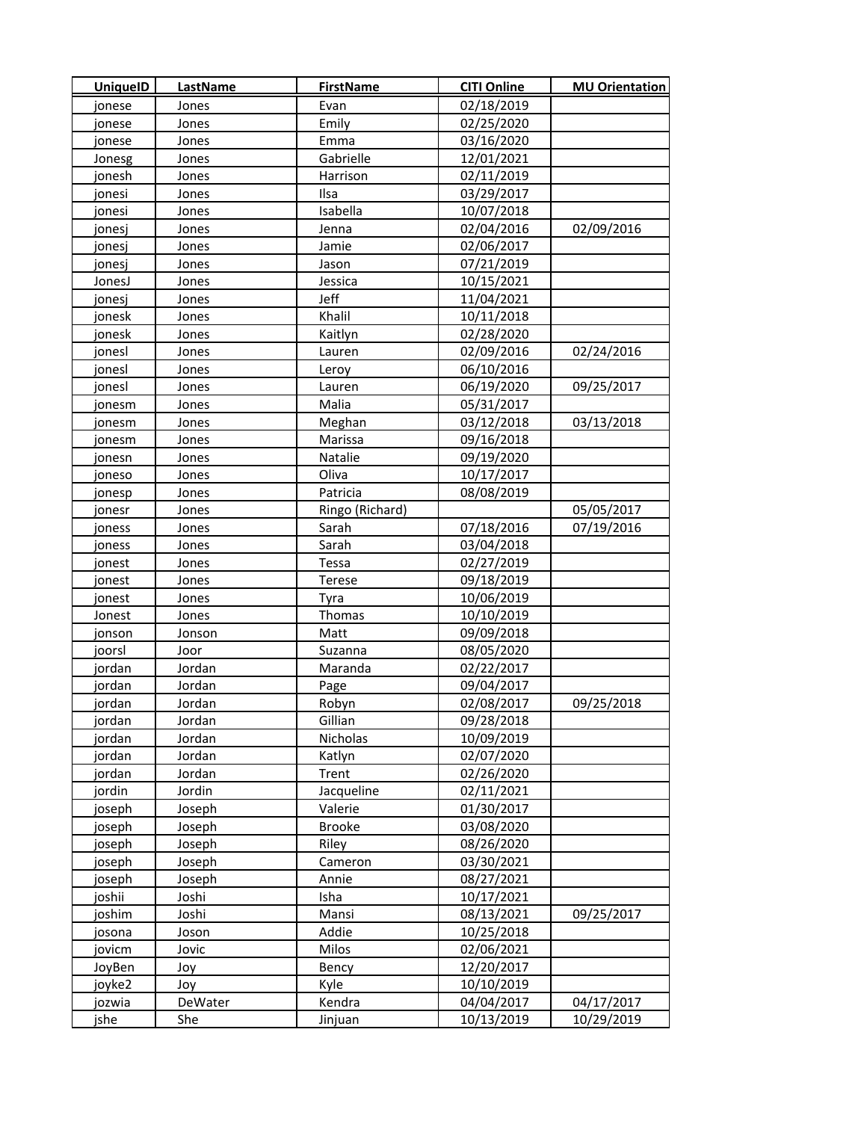| <b>UniquelD</b> | LastName | <b>FirstName</b> | <b>CITI Online</b> | <b>MU Orientation</b> |
|-----------------|----------|------------------|--------------------|-----------------------|
| jonese          | Jones    | Evan             | 02/18/2019         |                       |
| jonese          | Jones    | Emily            | 02/25/2020         |                       |
| jonese          | Jones    | Emma             | 03/16/2020         |                       |
| Jonesg          | Jones    | Gabrielle        | 12/01/2021         |                       |
| jonesh          | Jones    | Harrison         | 02/11/2019         |                       |
| jonesi          | Jones    | Ilsa             | 03/29/2017         |                       |
| jonesi          | Jones    | Isabella         | 10/07/2018         |                       |
| jonesj          | Jones    | Jenna            | 02/04/2016         | 02/09/2016            |
| jonesj          | Jones    | Jamie            | 02/06/2017         |                       |
| jonesj          | Jones    | Jason            | 07/21/2019         |                       |
| JonesJ          | Jones    | Jessica          | 10/15/2021         |                       |
| jonesj          | Jones    | Jeff             | 11/04/2021         |                       |
| jonesk          | Jones    | Khalil           | 10/11/2018         |                       |
| jonesk          | Jones    | Kaitlyn          | 02/28/2020         |                       |
| jonesl          | Jones    | Lauren           | 02/09/2016         | 02/24/2016            |
| jonesl          | Jones    | Leroy            | 06/10/2016         |                       |
| jonesl          | Jones    | Lauren           | 06/19/2020         | 09/25/2017            |
| jonesm          | Jones    | Malia            | 05/31/2017         |                       |
| jonesm          | Jones    | Meghan           | 03/12/2018         | 03/13/2018            |
| jonesm          | Jones    | Marissa          | 09/16/2018         |                       |
| jonesn          | Jones    | Natalie          | 09/19/2020         |                       |
| joneso          | Jones    | Oliva            | 10/17/2017         |                       |
| jonesp          | Jones    | Patricia         | 08/08/2019         |                       |
| jonesr          | Jones    | Ringo (Richard)  |                    | 05/05/2017            |
| joness          | Jones    | Sarah            | 07/18/2016         | 07/19/2016            |
| joness          | Jones    | Sarah            | 03/04/2018         |                       |
| jonest          | Jones    | Tessa            | 02/27/2019         |                       |
| jonest          | Jones    | Terese           | 09/18/2019         |                       |
| jonest          | Jones    | Tyra             | 10/06/2019         |                       |
| Jonest          | Jones    | Thomas           | 10/10/2019         |                       |
| jonson          | Jonson   | Matt             | 09/09/2018         |                       |
| joorsl          | Joor     | Suzanna          | 08/05/2020         |                       |
| jordan          | Jordan   | Maranda          | 02/22/2017         |                       |
| jordan          | Jordan   | Page             | 09/04/2017         |                       |
| jordan          | Jordan   | Robyn            | 02/08/2017         | 09/25/2018            |
| jordan          | Jordan   | Gillian          | 09/28/2018         |                       |
| jordan          | Jordan   | Nicholas         | 10/09/2019         |                       |
| jordan          | Jordan   | Katlyn           | 02/07/2020         |                       |
| jordan          | Jordan   | Trent            | 02/26/2020         |                       |
| jordin          | Jordin   | Jacqueline       | 02/11/2021         |                       |
| joseph          | Joseph   | Valerie          | 01/30/2017         |                       |
| joseph          | Joseph   | <b>Brooke</b>    | 03/08/2020         |                       |
| joseph          | Joseph   | Riley            | 08/26/2020         |                       |
| joseph          | Joseph   | Cameron          | 03/30/2021         |                       |
| joseph          | Joseph   | Annie            | 08/27/2021         |                       |
| joshii          | Joshi    | Isha             | 10/17/2021         |                       |
| joshim          | Joshi    | Mansi            | 08/13/2021         | 09/25/2017            |
| josona          | Joson    | Addie            | 10/25/2018         |                       |
| jovicm          | Jovic    | Milos            | 02/06/2021         |                       |
| JoyBen          | Joy      | Bency            | 12/20/2017         |                       |
| joyke2          | Joy      | Kyle             | 10/10/2019         |                       |
| jozwia          | DeWater  | Kendra           | 04/04/2017         | 04/17/2017            |
| jshe            | She      | Jinjuan          | 10/13/2019         | 10/29/2019            |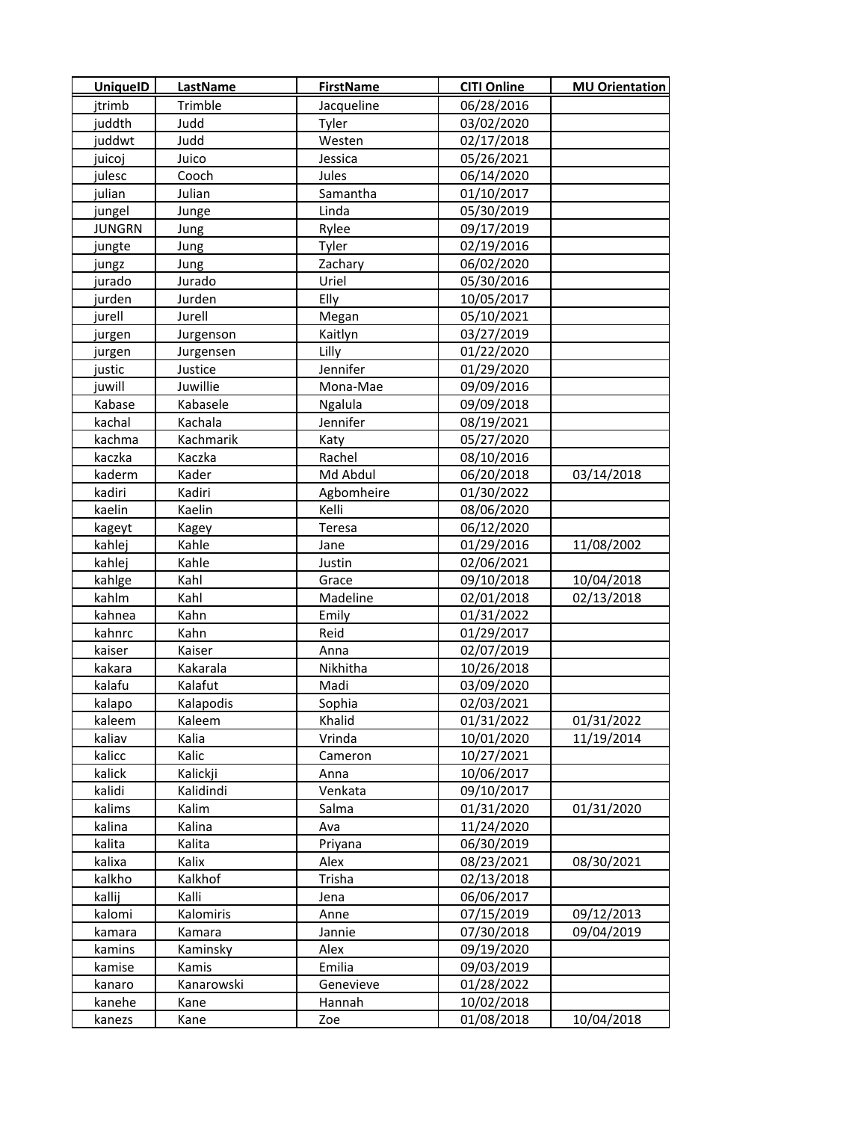| <b>UniquelD</b> | <b>LastName</b> | <b>FirstName</b> | <b>CITI Online</b> | <b>MU Orientation</b> |
|-----------------|-----------------|------------------|--------------------|-----------------------|
| itrimb          | Trimble         | Jacqueline       | 06/28/2016         |                       |
| juddth          | Judd            | Tyler            | 03/02/2020         |                       |
| juddwt          | Judd            | Westen           | 02/17/2018         |                       |
| juicoj          | Juico           | Jessica          | 05/26/2021         |                       |
| julesc          | Cooch           | Jules            | 06/14/2020         |                       |
| julian          | Julian          | Samantha         | 01/10/2017         |                       |
| jungel          | Junge           | Linda            | 05/30/2019         |                       |
| <b>JUNGRN</b>   | Jung            | Rylee            | 09/17/2019         |                       |
| jungte          | Jung            | Tyler            | 02/19/2016         |                       |
| jungz           | Jung            | Zachary          | 06/02/2020         |                       |
| jurado          | Jurado          | Uriel            | 05/30/2016         |                       |
| jurden          | Jurden          | Elly             | 10/05/2017         |                       |
| jurell          | Jurell          | Megan            | 05/10/2021         |                       |
| jurgen          | Jurgenson       | Kaitlyn          | 03/27/2019         |                       |
| jurgen          | Jurgensen       | Lilly            | 01/22/2020         |                       |
| justic          | Justice         | Jennifer         | 01/29/2020         |                       |
| juwill          | Juwillie        | Mona-Mae         | 09/09/2016         |                       |
| Kabase          | Kabasele        | Ngalula          | 09/09/2018         |                       |
| kachal          | Kachala         | Jennifer         | 08/19/2021         |                       |
| kachma          | Kachmarik       | Katy             | 05/27/2020         |                       |
| kaczka          | Kaczka          | Rachel           | 08/10/2016         |                       |
| kaderm          | Kader           | Md Abdul         | 06/20/2018         | 03/14/2018            |
| kadiri          | Kadiri          | Agbomheire       | 01/30/2022         |                       |
| kaelin          | Kaelin          | Kelli            | 08/06/2020         |                       |
| kageyt          | Kagey           | Teresa           | 06/12/2020         |                       |
| kahlej          | Kahle           | Jane             | 01/29/2016         | 11/08/2002            |
| kahlej          | Kahle           | Justin           | 02/06/2021         |                       |
| kahlge          | Kahl            | Grace            | 09/10/2018         | 10/04/2018            |
| kahlm           | Kahl            | Madeline         | 02/01/2018         | 02/13/2018            |
| kahnea          | Kahn            | Emily            | 01/31/2022         |                       |
| kahnrc          | Kahn            | Reid             | 01/29/2017         |                       |
| kaiser          | Kaiser          | Anna             | 02/07/2019         |                       |
| kakara          | Kakarala        | Nikhitha         | 10/26/2018         |                       |
| kalafu          | Kalafut         | Madi             | 03/09/2020         |                       |
| kalapo          | Kalapodis       | Sophia           | 02/03/2021         |                       |
| kaleem          | Kaleem          | Khalid           | 01/31/2022         | 01/31/2022            |
| kaliav          | Kalia           | Vrinda           | 10/01/2020         | 11/19/2014            |
| kalicc          | Kalic           | Cameron          | 10/27/2021         |                       |
| kalick          | Kalickji        | Anna             | 10/06/2017         |                       |
| kalidi          | Kalidindi       | Venkata          | 09/10/2017         |                       |
| kalims          | Kalim           | Salma            | 01/31/2020         | 01/31/2020            |
| kalina          | Kalina          | Ava              | 11/24/2020         |                       |
| kalita          | Kalita          | Priyana          | 06/30/2019         |                       |
| kalixa          | Kalix           | Alex             | 08/23/2021         | 08/30/2021            |
| kalkho          | Kalkhof         | Trisha           | 02/13/2018         |                       |
| kallij          | Kalli           | Jena             | 06/06/2017         |                       |
| kalomi          | Kalomiris       | Anne             | 07/15/2019         | 09/12/2013            |
| kamara          | Kamara          | Jannie           | 07/30/2018         | 09/04/2019            |
| kamins          | Kaminsky        | Alex             | 09/19/2020         |                       |
| kamise          | Kamis           | Emilia           | 09/03/2019         |                       |
| kanaro          | Kanarowski      | Genevieve        | 01/28/2022         |                       |
| kanehe          | Kane            | Hannah           | 10/02/2018         |                       |
| kanezs          | Kane            | Zoe              | 01/08/2018         | 10/04/2018            |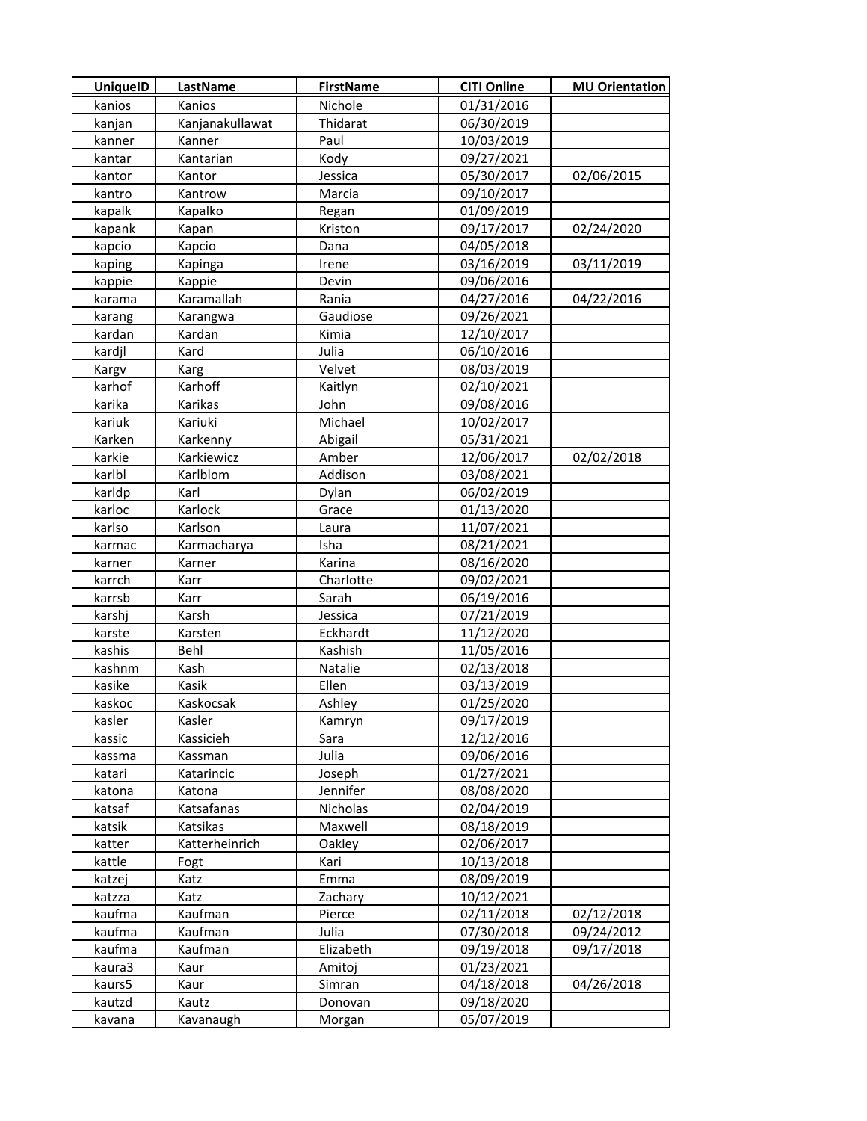| <b>UniquelD</b>  | LastName        | <b>FirstName</b>    | <b>CITI Online</b>       | <b>MU Orientation</b> |
|------------------|-----------------|---------------------|--------------------------|-----------------------|
| kanios           | Kanios          | Nichole             | 01/31/2016               |                       |
| kanjan           | Kanjanakullawat | Thidarat            | 06/30/2019               |                       |
| kanner           | Kanner          | Paul                | 10/03/2019               |                       |
| kantar           | Kantarian       | Kody                | 09/27/2021               |                       |
| kantor           | Kantor          | Jessica             | 05/30/2017               | 02/06/2015            |
| kantro           | Kantrow         | Marcia              | 09/10/2017               |                       |
| kapalk           | Kapalko         | Regan               | 01/09/2019               |                       |
| kapank           | Kapan           | Kriston             | 09/17/2017               | 02/24/2020            |
| kapcio           | Kapcio          | Dana                | 04/05/2018               |                       |
| kaping           | Kapinga         | Irene               | 03/16/2019               | 03/11/2019            |
| kappie           | Kappie          | Devin               | 09/06/2016               |                       |
| karama           | Karamallah      | Rania               | 04/27/2016               | 04/22/2016            |
| karang           | Karangwa        | Gaudiose            | 09/26/2021               |                       |
| kardan           | Kardan          | Kimia               | 12/10/2017               |                       |
| kardjl           | Kard            | Julia               | 06/10/2016               |                       |
| Kargv            | Karg            | Velvet              | 08/03/2019               |                       |
| karhof           | Karhoff         | Kaitlyn             | 02/10/2021               |                       |
| karika           | Karikas         | John                | 09/08/2016               |                       |
| kariuk           | Kariuki         | Michael             | 10/02/2017               |                       |
| Karken           | Karkenny        | Abigail             | 05/31/2021               |                       |
| karkie           | Karkiewicz      | Amber               | 12/06/2017               | 02/02/2018            |
| karlbl           | Karlblom        | Addison             | 03/08/2021               |                       |
| karldp           | Karl            | Dylan               | 06/02/2019               |                       |
| karloc           | Karlock         | Grace               | 01/13/2020               |                       |
| karlso           | Karlson         | Laura               | 11/07/2021               |                       |
| karmac           | Karmacharya     | Isha                | 08/21/2021               |                       |
| karner           | Karner          | Karina              | 08/16/2020               |                       |
| karrch           | Karr            | Charlotte           | 09/02/2021               |                       |
| karrsb           | Karr            | Sarah               | 06/19/2016               |                       |
| karshj           | Karsh           | Jessica             | 07/21/2019               |                       |
| karste           | Karsten         | Eckhardt            | 11/12/2020               |                       |
| kashis           | Behl            | Kashish             | 11/05/2016               |                       |
| kashnm           | Kash            | Natalie             | 02/13/2018               |                       |
| kasike           | Kasik           | Ellen               | 03/13/2019               |                       |
| kaskoc           | Kaskocsak       | Ashley              | 01/25/2020               |                       |
| kasler           | Kasler          | Kamryn              | 09/17/2019               |                       |
| kassic           | Kassicieh       | Sara                | 12/12/2016               |                       |
| kassma           | Kassman         | Julia               | 09/06/2016               |                       |
| katari           | Katarincic      | Joseph              | 01/27/2021               |                       |
| katona           | Katona          | Jennifer            | 08/08/2020               |                       |
| katsaf           | Katsafanas      | Nicholas            | 02/04/2019               |                       |
| katsik           | Katsikas        | Maxwell             | 08/18/2019               |                       |
| katter           | Katterheinrich  | Oakley              | 02/06/2017               |                       |
| kattle           | Fogt            | Kari                | 10/13/2018               |                       |
| katzej           | Katz            | Emma                | 08/09/2019               |                       |
| katzza           | Katz            | Zachary             | 10/12/2021               |                       |
| kaufma           | Kaufman         | Pierce              | 02/11/2018               | 02/12/2018            |
| kaufma           | Kaufman         | Julia               | 07/30/2018<br>09/19/2018 | 09/24/2012            |
| kaufma<br>kaura3 | Kaufman<br>Kaur | Elizabeth<br>Amitoj | 01/23/2021               | 09/17/2018            |
| kaurs5           | Kaur            | Simran              | 04/18/2018               | 04/26/2018            |
| kautzd           | Kautz           | Donovan             | 09/18/2020               |                       |
| kavana           | Kavanaugh       | Morgan              | 05/07/2019               |                       |
|                  |                 |                     |                          |                       |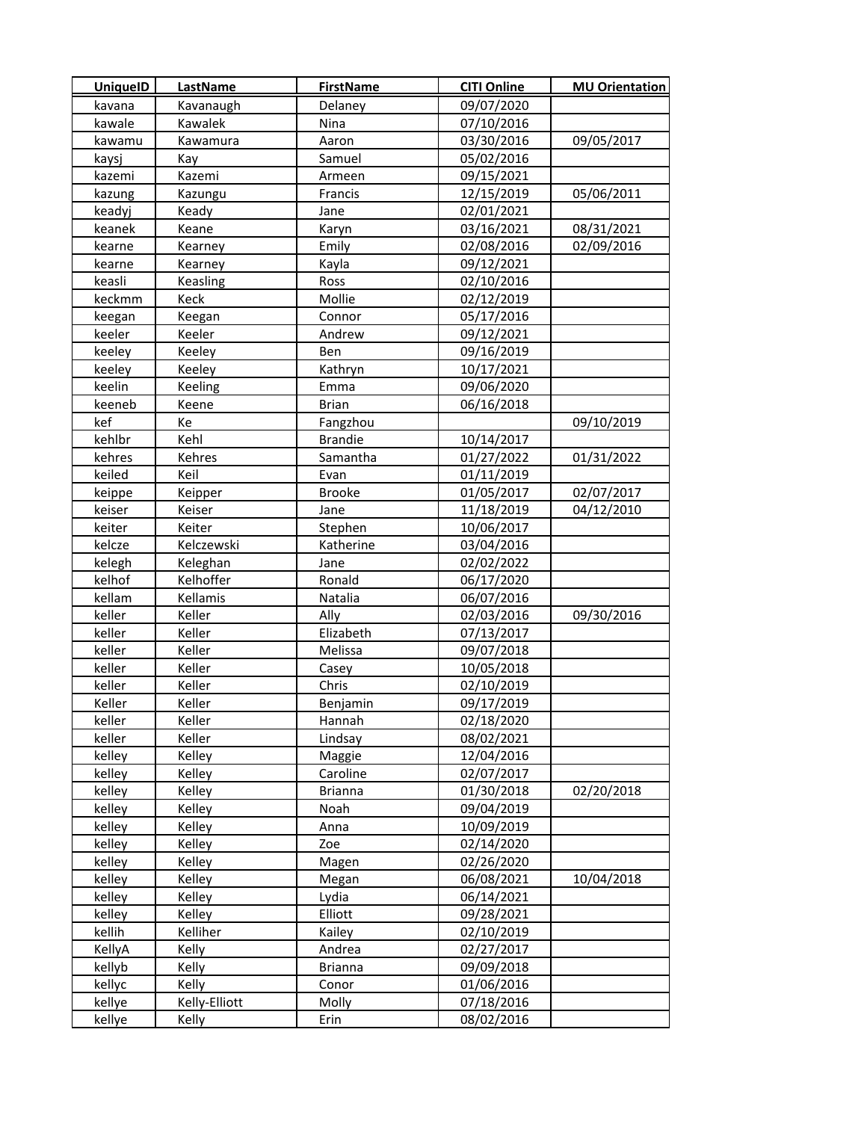| <b>UniquelD</b> | LastName      | <b>FirstName</b> | <b>CITI Online</b> | <b>MU Orientation</b> |
|-----------------|---------------|------------------|--------------------|-----------------------|
| kavana          | Kavanaugh     | Delaney          | 09/07/2020         |                       |
| kawale          | Kawalek       | Nina             | 07/10/2016         |                       |
| kawamu          | Kawamura      | Aaron            | 03/30/2016         | 09/05/2017            |
| kaysj           | Kay           | Samuel           | 05/02/2016         |                       |
| kazemi          | Kazemi        | Armeen           | 09/15/2021         |                       |
| kazung          | Kazungu       | Francis          | 12/15/2019         | 05/06/2011            |
| keadyj          | Keady         | Jane             | 02/01/2021         |                       |
| keanek          | Keane         | Karyn            | 03/16/2021         | 08/31/2021            |
| kearne          | Kearney       | Emily            | 02/08/2016         | 02/09/2016            |
| kearne          | Kearney       | Kayla            | 09/12/2021         |                       |
| keasli          | Keasling      | Ross             | 02/10/2016         |                       |
| keckmm          | Keck          | Mollie           | 02/12/2019         |                       |
| keegan          | Keegan        | Connor           | 05/17/2016         |                       |
| keeler          | Keeler        | Andrew           | 09/12/2021         |                       |
| keeley          | Keeley        | Ben              | 09/16/2019         |                       |
| keeley          | Keeley        | Kathryn          | 10/17/2021         |                       |
| keelin          | Keeling       | Emma             | 09/06/2020         |                       |
| keeneb          | Keene         | <b>Brian</b>     | 06/16/2018         |                       |
| kef             | Кe            | Fangzhou         |                    | 09/10/2019            |
| kehlbr          | Kehl          | <b>Brandie</b>   | 10/14/2017         |                       |
| kehres          | Kehres        | Samantha         | 01/27/2022         | 01/31/2022            |
| keiled          | Keil          | Evan             | 01/11/2019         |                       |
| keippe          | Keipper       | <b>Brooke</b>    | 01/05/2017         | 02/07/2017            |
| keiser          | Keiser        | Jane             | 11/18/2019         | 04/12/2010            |
| keiter          | Keiter        | Stephen          | 10/06/2017         |                       |
| kelcze          | Kelczewski    | Katherine        | 03/04/2016         |                       |
| kelegh          | Keleghan      | Jane             | 02/02/2022         |                       |
| kelhof          | Kelhoffer     | Ronald           | 06/17/2020         |                       |
| kellam          | Kellamis      | Natalia          | 06/07/2016         |                       |
| keller          | Keller        | Ally             | 02/03/2016         | 09/30/2016            |
| keller          | Keller        | Elizabeth        | 07/13/2017         |                       |
| keller          | Keller        | Melissa          | 09/07/2018         |                       |
| keller          | Keller        | Casey            | 10/05/2018         |                       |
| keller          | Keller        | Chris            | 02/10/2019         |                       |
| Keller          | Keller        | Benjamin         | 09/17/2019         |                       |
| keller          | Keller        | Hannah           | 02/18/2020         |                       |
| keller          | Keller        | Lindsay          | 08/02/2021         |                       |
| kelley          | Kelley        | Maggie           | 12/04/2016         |                       |
| kelley          | Kelley        | Caroline         | 02/07/2017         |                       |
| kelley          | Kelley        | <b>Brianna</b>   | 01/30/2018         | 02/20/2018            |
| kelley          | Kelley        | Noah             | 09/04/2019         |                       |
| kelley          | Kelley        | Anna             | 10/09/2019         |                       |
| kelley          | Kelley        | Zoe              | 02/14/2020         |                       |
| kelley          | Kelley        | Magen            | 02/26/2020         |                       |
| kelley          | Kelley        | Megan            | 06/08/2021         | 10/04/2018            |
| kelley          | Kelley        | Lydia            | 06/14/2021         |                       |
| kelley          | Kelley        | Elliott          | 09/28/2021         |                       |
| kellih          | Kelliher      | Kailey           | 02/10/2019         |                       |
| KellyA          | Kelly         | Andrea           | 02/27/2017         |                       |
| kellyb          | Kelly         | <b>Brianna</b>   | 09/09/2018         |                       |
| kellyc          | Kelly         | Conor            | 01/06/2016         |                       |
| kellye          | Kelly-Elliott | Molly            | 07/18/2016         |                       |
| kellye          | Kelly         | Erin             | 08/02/2016         |                       |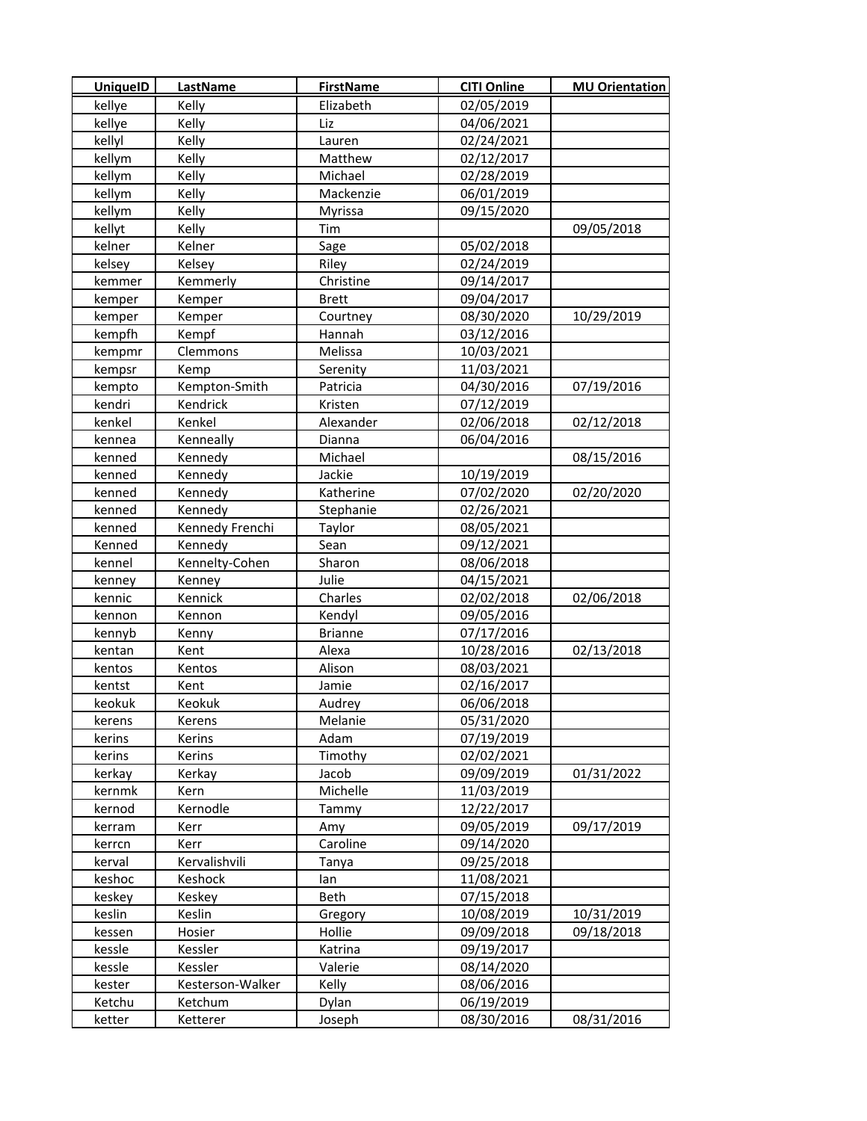| <b>UniquelD</b> | LastName         | <b>FirstName</b> | <b>CITI Online</b> | <b>MU Orientation</b> |
|-----------------|------------------|------------------|--------------------|-----------------------|
| kellye          | Kelly            | Elizabeth        | 02/05/2019         |                       |
| kellye          | Kelly            | Liz              | 04/06/2021         |                       |
| kellyl          | Kelly            | Lauren           | 02/24/2021         |                       |
| kellym          | Kelly            | Matthew          | 02/12/2017         |                       |
| kellym          | Kelly            | Michael          | 02/28/2019         |                       |
| kellym          | Kelly            | Mackenzie        | 06/01/2019         |                       |
| kellym          | Kelly            | Myrissa          | 09/15/2020         |                       |
| kellyt          | Kelly            | Tim              |                    | 09/05/2018            |
| kelner          | Kelner           | Sage             | 05/02/2018         |                       |
| kelsey          | Kelsey           | Riley            | 02/24/2019         |                       |
| kemmer          | Kemmerly         | Christine        | 09/14/2017         |                       |
| kemper          | Kemper           | <b>Brett</b>     | 09/04/2017         |                       |
| kemper          | Kemper           | Courtney         | 08/30/2020         | 10/29/2019            |
| kempfh          | Kempf            | Hannah           | 03/12/2016         |                       |
| kempmr          | Clemmons         | Melissa          | 10/03/2021         |                       |
| kempsr          | Kemp             | Serenity         | 11/03/2021         |                       |
| kempto          | Kempton-Smith    | Patricia         | 04/30/2016         | 07/19/2016            |
| kendri          | Kendrick         | Kristen          | 07/12/2019         |                       |
| kenkel          | Kenkel           | Alexander        | 02/06/2018         | 02/12/2018            |
| kennea          | Kenneally        | Dianna           | 06/04/2016         |                       |
| kenned          | Kennedy          | Michael          |                    | 08/15/2016            |
| kenned          | Kennedy          | Jackie           | 10/19/2019         |                       |
| kenned          | Kennedy          | Katherine        | 07/02/2020         | 02/20/2020            |
| kenned          | Kennedy          | Stephanie        | 02/26/2021         |                       |
| kenned          | Kennedy Frenchi  | Taylor           | 08/05/2021         |                       |
| Kenned          | Kennedy          | Sean             | 09/12/2021         |                       |
| kennel          | Kennelty-Cohen   | Sharon           | 08/06/2018         |                       |
| kenney          | Kenney           | Julie            | 04/15/2021         |                       |
| kennic          | Kennick          | Charles          | 02/02/2018         | 02/06/2018            |
| kennon          | Kennon           | Kendyl           | 09/05/2016         |                       |
| kennyb          | Kenny            | <b>Brianne</b>   | 07/17/2016         |                       |
| kentan          | Kent             | Alexa            | 10/28/2016         | 02/13/2018            |
| kentos          | Kentos           | Alison           | 08/03/2021         |                       |
| kentst          | Kent             | Jamie            | 02/16/2017         |                       |
| keokuk          | Keokuk           | Audrey           | 06/06/2018         |                       |
| kerens          | Kerens           | Melanie          | 05/31/2020         |                       |
| kerins          | Kerins           | Adam             | 07/19/2019         |                       |
| kerins          | Kerins           | Timothy          | 02/02/2021         |                       |
| kerkay          | Kerkay           | Jacob            | 09/09/2019         | 01/31/2022            |
| kernmk          | Kern             | Michelle         | 11/03/2019         |                       |
| kernod          | Kernodle         | Tammy            | 12/22/2017         |                       |
| kerram          | Kerr             | Amy              | 09/05/2019         | 09/17/2019            |
| kerrcn          | Kerr             | Caroline         | 09/14/2020         |                       |
| kerval          | Kervalishvili    | Tanya            | 09/25/2018         |                       |
| keshoc          | Keshock          | lan              | 11/08/2021         |                       |
| keskey          | Keskey           | Beth             | 07/15/2018         |                       |
| keslin          | Keslin           | Gregory          | 10/08/2019         | 10/31/2019            |
| kessen          | Hosier           | Hollie           | 09/09/2018         | 09/18/2018            |
| kessle          | Kessler          | Katrina          | 09/19/2017         |                       |
| kessle          | Kessler          | Valerie          | 08/14/2020         |                       |
| kester          | Kesterson-Walker | Kelly            | 08/06/2016         |                       |
| Ketchu          | Ketchum          | Dylan            | 06/19/2019         |                       |
| ketter          | Ketterer         | Joseph           | 08/30/2016         | 08/31/2016            |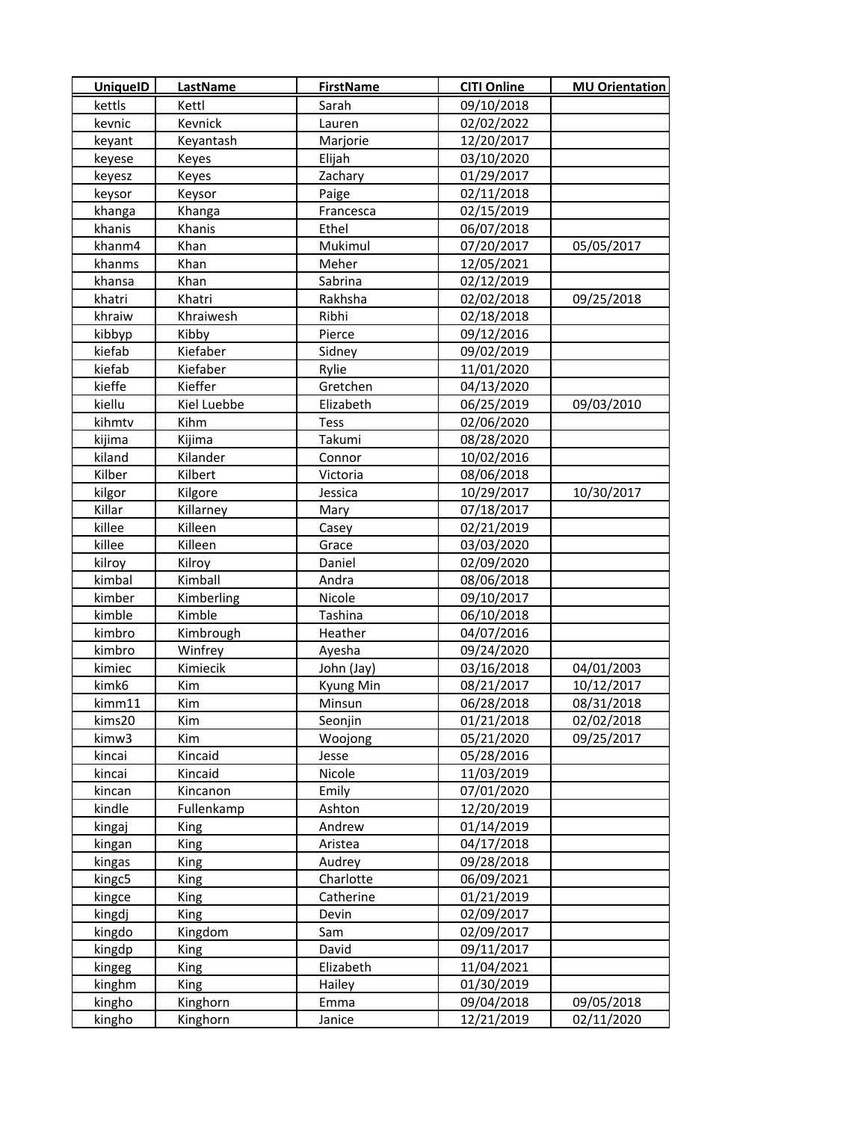| <b>UniquelD</b> | <b>LastName</b> | <b>FirstName</b> | <b>CITI Online</b> | <b>MU Orientation</b> |
|-----------------|-----------------|------------------|--------------------|-----------------------|
| kettls          | Kettl           | Sarah            | 09/10/2018         |                       |
| kevnic          | Kevnick         | Lauren           | 02/02/2022         |                       |
| keyant          | Keyantash       | Marjorie         | 12/20/2017         |                       |
| keyese          | Keyes           | Elijah           | 03/10/2020         |                       |
| keyesz          | Keyes           | Zachary          | 01/29/2017         |                       |
| keysor          | Keysor          | Paige            | 02/11/2018         |                       |
| khanga          | Khanga          | Francesca        | 02/15/2019         |                       |
| khanis          | Khanis          | Ethel            | 06/07/2018         |                       |
| khanm4          | Khan            | Mukimul          | 07/20/2017         | 05/05/2017            |
| khanms          | Khan            | Meher            | 12/05/2021         |                       |
| khansa          | Khan            | Sabrina          | 02/12/2019         |                       |
| khatri          | Khatri          | Rakhsha          | 02/02/2018         | 09/25/2018            |
| khraiw          | Khraiwesh       | Ribhi            | 02/18/2018         |                       |
| kibbyp          | Kibby           | Pierce           | 09/12/2016         |                       |
| kiefab          | Kiefaber        | Sidney           | 09/02/2019         |                       |
| kiefab          | Kiefaber        | Rylie            | 11/01/2020         |                       |
| kieffe          | Kieffer         | Gretchen         | 04/13/2020         |                       |
| kiellu          | Kiel Luebbe     | Elizabeth        | 06/25/2019         | 09/03/2010            |
| kihmtv          | Kihm            | <b>Tess</b>      | 02/06/2020         |                       |
| kijima          | Kijima          | Takumi           | 08/28/2020         |                       |
| kiland          | Kilander        | Connor           | 10/02/2016         |                       |
| Kilber          | Kilbert         | Victoria         | 08/06/2018         |                       |
| kilgor          | Kilgore         | Jessica          | 10/29/2017         | 10/30/2017            |
| Killar          | Killarney       | Mary             | 07/18/2017         |                       |
| killee          | Killeen         | Casey            | 02/21/2019         |                       |
| killee          | Killeen         | Grace            | 03/03/2020         |                       |
| kilroy          | Kilroy          | Daniel           | 02/09/2020         |                       |
| kimbal          | Kimball         | Andra            | 08/06/2018         |                       |
| kimber          | Kimberling      | Nicole           | 09/10/2017         |                       |
| kimble          | Kimble          | Tashina          | 06/10/2018         |                       |
| kimbro          | Kimbrough       | Heather          | 04/07/2016         |                       |
| kimbro          | Winfrey         | Ayesha           | 09/24/2020         |                       |
| kimiec          | Kimiecik        | John (Jay)       | 03/16/2018         | 04/01/2003            |
| kimk6           | Kim             | Kyung Min        | 08/21/2017         | 10/12/2017            |
| kimm11          | Kim             | Minsun           | 06/28/2018         | 08/31/2018            |
| kims20          | Kim             | Seonjin          | 01/21/2018         | 02/02/2018            |
| kimw3           | Kim             | Woojong          | 05/21/2020         | 09/25/2017            |
| kincai          | Kincaid         | Jesse            | 05/28/2016         |                       |
| kincai          | Kincaid         | Nicole           | 11/03/2019         |                       |
| kincan          | Kincanon        | Emily            | 07/01/2020         |                       |
| kindle          | Fullenkamp      | Ashton           | 12/20/2019         |                       |
| kingaj          | <b>King</b>     | Andrew           | 01/14/2019         |                       |
| kingan          | King            | Aristea          | 04/17/2018         |                       |
| kingas          | King            | Audrey           | 09/28/2018         |                       |
| kingc5          | King            | Charlotte        | 06/09/2021         |                       |
| kingce          | King            | Catherine        | 01/21/2019         |                       |
| kingdj          | King            | Devin            | 02/09/2017         |                       |
| kingdo          | Kingdom         | Sam              | 02/09/2017         |                       |
| kingdp          | King            | David            | 09/11/2017         |                       |
| kingeg          | King            | Elizabeth        | 11/04/2021         |                       |
| kinghm          | King            | Hailey           | 01/30/2019         |                       |
| kingho          | Kinghorn        | Emma             | 09/04/2018         | 09/05/2018            |
| kingho          | Kinghorn        | Janice           | 12/21/2019         | 02/11/2020            |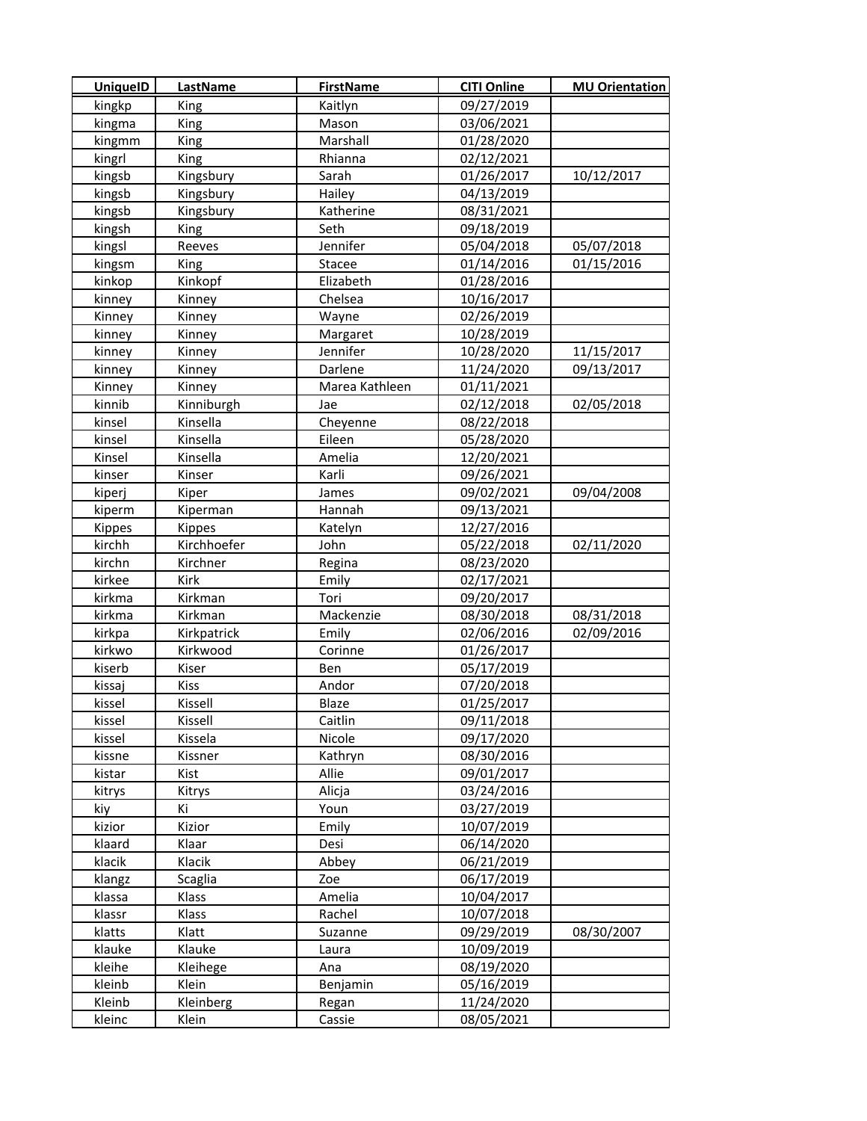| <b>UniquelD</b> | <b>LastName</b> | <b>FirstName</b> | <b>CITI Online</b> | <b>MU Orientation</b> |
|-----------------|-----------------|------------------|--------------------|-----------------------|
| kingkp          | King            | Kaitlyn          | 09/27/2019         |                       |
| kingma          | <b>King</b>     | Mason            | 03/06/2021         |                       |
| kingmm          | King            | Marshall         | 01/28/2020         |                       |
| kingrl          | King            | Rhianna          | 02/12/2021         |                       |
| kingsb          | Kingsbury       | Sarah            | 01/26/2017         | 10/12/2017            |
| kingsb          | Kingsbury       | Hailey           | 04/13/2019         |                       |
| kingsb          | Kingsbury       | Katherine        | 08/31/2021         |                       |
| kingsh          | <b>King</b>     | Seth             | 09/18/2019         |                       |
| kingsl          | Reeves          | Jennifer         | 05/04/2018         | 05/07/2018            |
| kingsm          | King            | Stacee           | 01/14/2016         | 01/15/2016            |
| kinkop          | Kinkopf         | Elizabeth        | 01/28/2016         |                       |
| kinney          | Kinney          | Chelsea          | 10/16/2017         |                       |
| Kinney          | Kinney          | Wayne            | 02/26/2019         |                       |
| kinney          | Kinney          | Margaret         | 10/28/2019         |                       |
| kinney          | Kinney          | Jennifer         | 10/28/2020         | 11/15/2017            |
| kinney          | Kinney          | Darlene          | 11/24/2020         | 09/13/2017            |
| Kinney          | Kinney          | Marea Kathleen   | 01/11/2021         |                       |
| kinnib          | Kinniburgh      | Jae              | 02/12/2018         | 02/05/2018            |
| kinsel          | Kinsella        | Cheyenne         | 08/22/2018         |                       |
| kinsel          | Kinsella        | Eileen           | 05/28/2020         |                       |
| Kinsel          | Kinsella        | Amelia           | 12/20/2021         |                       |
| kinser          | Kinser          | Karli            | 09/26/2021         |                       |
| kiperj          | Kiper           | James            | 09/02/2021         | 09/04/2008            |
| kiperm          | Kiperman        | Hannah           | 09/13/2021         |                       |
| <b>Kippes</b>   | <b>Kippes</b>   | Katelyn          | 12/27/2016         |                       |
| kirchh          | Kirchhoefer     | John             | 05/22/2018         | 02/11/2020            |
| kirchn          | Kirchner        | Regina           | 08/23/2020         |                       |
| kirkee          | Kirk            | Emily            | 02/17/2021         |                       |
| kirkma          | Kirkman         | Tori             | 09/20/2017         |                       |
| kirkma          | Kirkman         | Mackenzie        | 08/30/2018         | 08/31/2018            |
| kirkpa          | Kirkpatrick     | Emily            | 02/06/2016         | 02/09/2016            |
| kirkwo          | Kirkwood        | Corinne          | 01/26/2017         |                       |
| kiserb          | Kiser           | Ben              | 05/17/2019         |                       |
| kissaj          | Kiss            | Andor            | 07/20/2018         |                       |
| kissel          | Kissell         | Blaze            | 01/25/2017         |                       |
| kissel          | Kissell         | Caitlin          | 09/11/2018         |                       |
| kissel          | Kissela         | Nicole           | 09/17/2020         |                       |
| kissne          | Kissner         | Kathryn          | 08/30/2016         |                       |
| kistar          | Kist            | Allie            | 09/01/2017         |                       |
| kitrys          | Kitrys          | Alicja           | 03/24/2016         |                       |
| kiy             | Κi              | Youn             | 03/27/2019         |                       |
| kizior          | Kizior          | Emily            | 10/07/2019         |                       |
| klaard          | Klaar           | Desi             | 06/14/2020         |                       |
| klacik          | Klacik          | Abbey            | 06/21/2019         |                       |
| klangz          | Scaglia         | Zoe              | 06/17/2019         |                       |
| klassa          | Klass           | Amelia           | 10/04/2017         |                       |
| klassr          | Klass           | Rachel           | 10/07/2018         |                       |
| klatts          | Klatt           | Suzanne          | 09/29/2019         | 08/30/2007            |
| klauke          | Klauke          | Laura            | 10/09/2019         |                       |
| kleihe          | Kleihege        | Ana              | 08/19/2020         |                       |
| kleinb          | Klein           | Benjamin         | 05/16/2019         |                       |
| Kleinb          | Kleinberg       | Regan            | 11/24/2020         |                       |
| kleinc          | Klein           | Cassie           | 08/05/2021         |                       |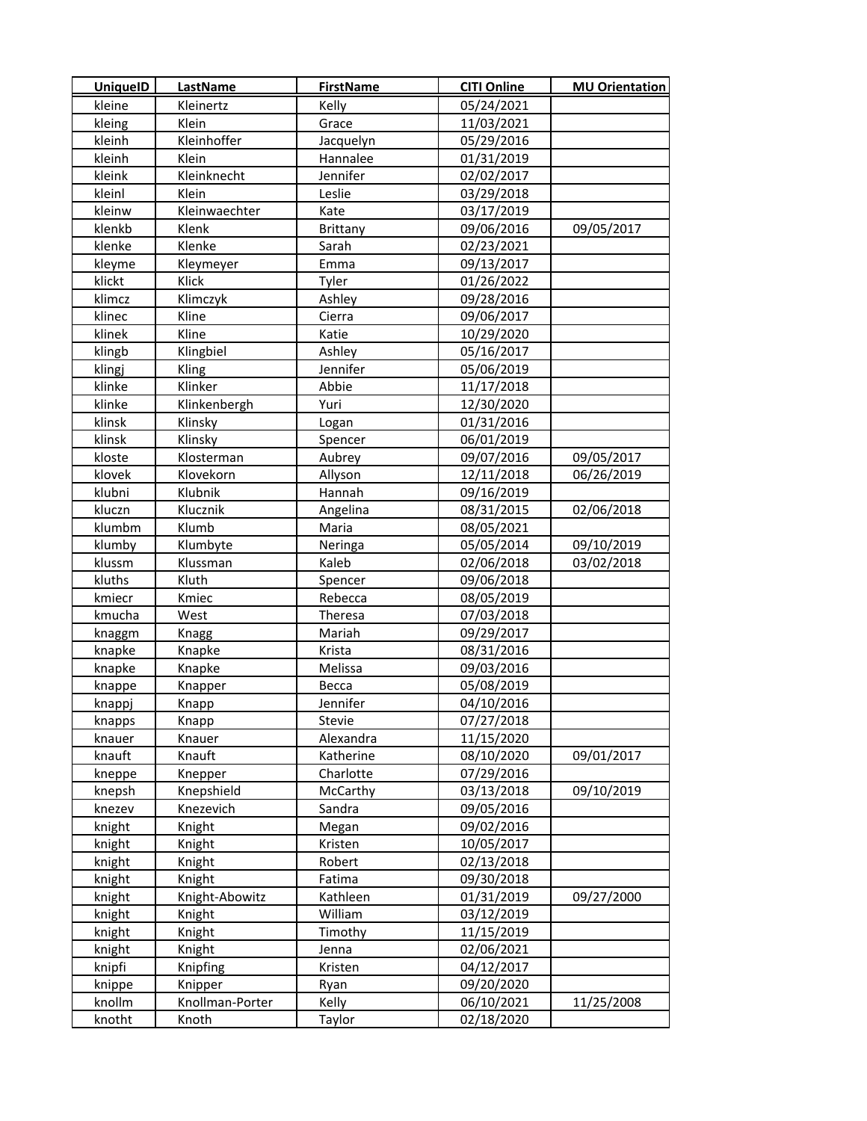| <b>UniquelD</b> | <b>LastName</b> | <b>FirstName</b> | <b>CITI Online</b> | <b>MU Orientation</b> |
|-----------------|-----------------|------------------|--------------------|-----------------------|
| kleine          | Kleinertz       | Kelly            | 05/24/2021         |                       |
| kleing          | Klein           | Grace            | 11/03/2021         |                       |
| kleinh          | Kleinhoffer     | Jacquelyn        | 05/29/2016         |                       |
| kleinh          | Klein           | Hannalee         | 01/31/2019         |                       |
| kleink          | Kleinknecht     | Jennifer         | 02/02/2017         |                       |
| kleinl          | Klein           | Leslie           | 03/29/2018         |                       |
| kleinw          | Kleinwaechter   | Kate             | 03/17/2019         |                       |
| klenkb          | Klenk           | <b>Brittany</b>  | 09/06/2016         | 09/05/2017            |
| klenke          | Klenke          | Sarah            | 02/23/2021         |                       |
| kleyme          | Kleymeyer       | Emma             | 09/13/2017         |                       |
| klickt          | Klick           | Tyler            | 01/26/2022         |                       |
| klimcz          | Klimczyk        | Ashley           | 09/28/2016         |                       |
| klinec          | Kline           | Cierra           | 09/06/2017         |                       |
| klinek          | Kline           | Katie            | 10/29/2020         |                       |
| klingb          | Klingbiel       | Ashley           | 05/16/2017         |                       |
| klingj          | Kling           | Jennifer         | 05/06/2019         |                       |
| klinke          | Klinker         | Abbie            | 11/17/2018         |                       |
| klinke          | Klinkenbergh    | Yuri             | 12/30/2020         |                       |
| klinsk          | Klinsky         | Logan            | 01/31/2016         |                       |
| klinsk          | Klinsky         | Spencer          | 06/01/2019         |                       |
| kloste          | Klosterman      | Aubrey           | 09/07/2016         | 09/05/2017            |
| klovek          | Klovekorn       | Allyson          | 12/11/2018         | 06/26/2019            |
| klubni          | Klubnik         | Hannah           | 09/16/2019         |                       |
| kluczn          | Klucznik        | Angelina         | 08/31/2015         | 02/06/2018            |
| klumbm          | Klumb           | Maria            | 08/05/2021         |                       |
| klumby          | Klumbyte        | Neringa          | 05/05/2014         | 09/10/2019            |
| klussm          | Klussman        | Kaleb            | 02/06/2018         | 03/02/2018            |
| kluths          | Kluth           | Spencer          | 09/06/2018         |                       |
| kmiecr          | Kmiec           | Rebecca          | 08/05/2019         |                       |
| kmucha          | West            | Theresa          | 07/03/2018         |                       |
| knaggm          | Knagg           | Mariah           | 09/29/2017         |                       |
| knapke          | Knapke          | Krista           | 08/31/2016         |                       |
| knapke          | Knapke          | Melissa          | 09/03/2016         |                       |
| knappe          | Knapper         | Becca            | 05/08/2019         |                       |
| knappj          | Knapp           | Jennifer         | 04/10/2016         |                       |
| knapps          | Knapp           | Stevie           | 07/27/2018         |                       |
| knauer          | Knauer          | Alexandra        | 11/15/2020         |                       |
| knauft          | Knauft          | Katherine        | 08/10/2020         | 09/01/2017            |
| kneppe          | Knepper         | Charlotte        | 07/29/2016         |                       |
| knepsh          | Knepshield      | McCarthy         | 03/13/2018         | 09/10/2019            |
| knezev          | Knezevich       | Sandra           | 09/05/2016         |                       |
| knight          | Knight          | Megan            | 09/02/2016         |                       |
| knight          | Knight          | Kristen          | 10/05/2017         |                       |
| knight          | Knight          | Robert           | 02/13/2018         |                       |
| knight          | Knight          | Fatima           | 09/30/2018         |                       |
| knight          | Knight-Abowitz  | Kathleen         | 01/31/2019         | 09/27/2000            |
| knight          | Knight          | William          | 03/12/2019         |                       |
| knight          | Knight          | Timothy          | 11/15/2019         |                       |
| knight          | Knight          | Jenna            | 02/06/2021         |                       |
| knipfi          | Knipfing        | Kristen          | 04/12/2017         |                       |
| knippe          | Knipper         | Ryan             | 09/20/2020         |                       |
| knollm          | Knollman-Porter | Kelly            | 06/10/2021         | 11/25/2008            |
| knotht          | Knoth           | Taylor           | 02/18/2020         |                       |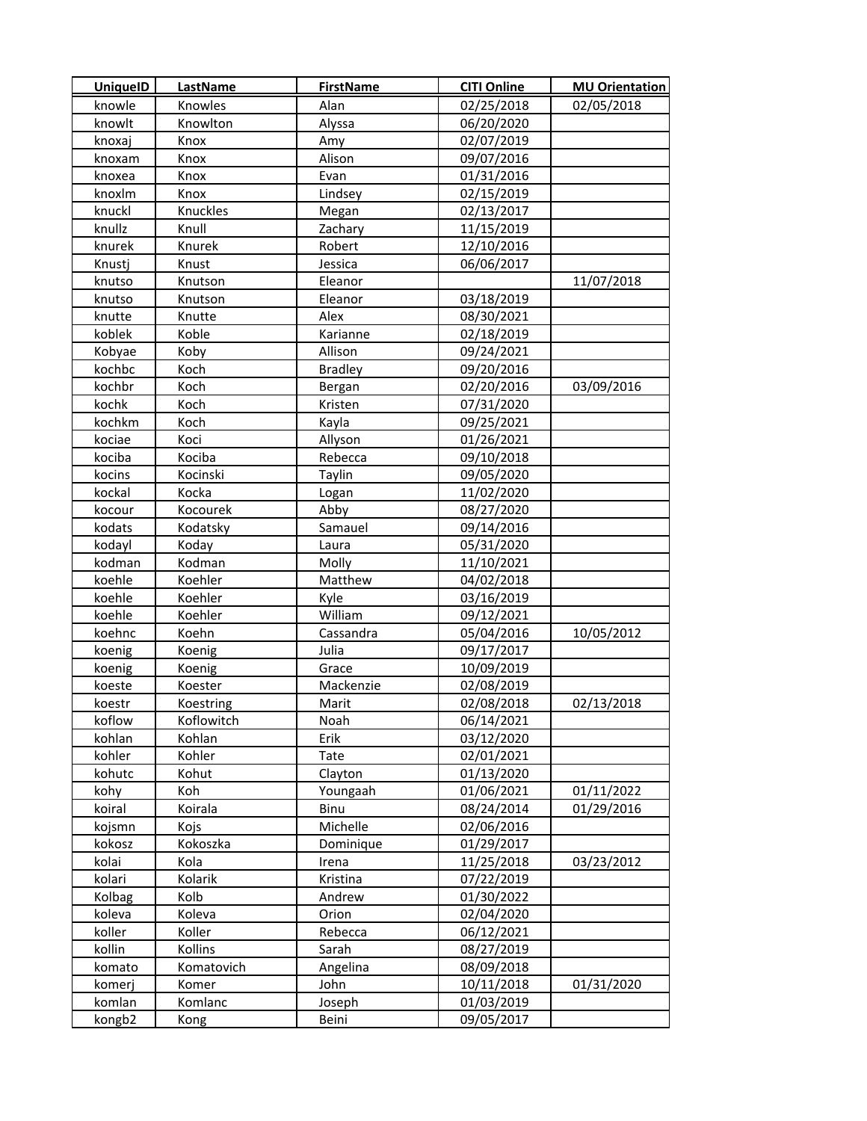| <b>UniquelD</b> | LastName   | <b>FirstName</b> | <b>CITI Online</b> | <b>MU Orientation</b> |
|-----------------|------------|------------------|--------------------|-----------------------|
| knowle          | Knowles    | Alan             | 02/25/2018         | 02/05/2018            |
| knowlt          | Knowlton   | Alyssa           | 06/20/2020         |                       |
| knoxaj          | Knox       | Amy              | 02/07/2019         |                       |
| knoxam          | Knox       | Alison           | 09/07/2016         |                       |
| knoxea          | Knox       | Evan             | 01/31/2016         |                       |
| knoxlm          | Knox       | Lindsey          | 02/15/2019         |                       |
| knuckl          | Knuckles   | Megan            | 02/13/2017         |                       |
| knullz          | Knull      | Zachary          | 11/15/2019         |                       |
| knurek          | Knurek     | Robert           | 12/10/2016         |                       |
| Knustj          | Knust      | Jessica          | 06/06/2017         |                       |
| knutso          | Knutson    | Eleanor          |                    | 11/07/2018            |
| knutso          | Knutson    | Eleanor          | 03/18/2019         |                       |
| knutte          | Knutte     | Alex             | 08/30/2021         |                       |
| koblek          | Koble      | Karianne         | 02/18/2019         |                       |
| Kobyae          | Koby       | Allison          | 09/24/2021         |                       |
| kochbc          | Koch       | <b>Bradley</b>   | 09/20/2016         |                       |
| kochbr          | Koch       | Bergan           | 02/20/2016         | 03/09/2016            |
| kochk           | Koch       | Kristen          | 07/31/2020         |                       |
| kochkm          | Koch       | Kayla            | 09/25/2021         |                       |
| kociae          | Koci       | Allyson          | 01/26/2021         |                       |
| kociba          | Kociba     | Rebecca          | 09/10/2018         |                       |
| kocins          | Kocinski   | Taylin           | 09/05/2020         |                       |
| kockal          | Kocka      | Logan            | 11/02/2020         |                       |
| kocour          | Kocourek   | Abby             | 08/27/2020         |                       |
| kodats          | Kodatsky   | Samauel          | 09/14/2016         |                       |
| kodayl          | Koday      | Laura            | 05/31/2020         |                       |
| kodman          | Kodman     | Molly            | 11/10/2021         |                       |
| koehle          | Koehler    | Matthew          | 04/02/2018         |                       |
| koehle          | Koehler    | Kyle             | 03/16/2019         |                       |
| koehle          | Koehler    | William          | 09/12/2021         |                       |
| koehnc          | Koehn      | Cassandra        | 05/04/2016         | 10/05/2012            |
| koenig          | Koenig     | Julia            | 09/17/2017         |                       |
| koenig          | Koenig     | Grace            | 10/09/2019         |                       |
| koeste          | Koester    | Mackenzie        | 02/08/2019         |                       |
| koestr          | Koestring  | Marit            | 02/08/2018         | 02/13/2018            |
| koflow          | Koflowitch | Noah             | 06/14/2021         |                       |
| kohlan          | Kohlan     | Erik             | 03/12/2020         |                       |
| kohler          | Kohler     | Tate             | 02/01/2021         |                       |
| kohutc          | Kohut      | Clayton          | 01/13/2020         |                       |
| kohy            | Koh        | Youngaah         | 01/06/2021         | 01/11/2022            |
| koiral          | Koirala    | Binu             | 08/24/2014         | 01/29/2016            |
| kojsmn          | Kojs       | Michelle         | 02/06/2016         |                       |
| kokosz          | Kokoszka   | Dominique        | 01/29/2017         |                       |
| kolai           | Kola       | Irena            | 11/25/2018         | 03/23/2012            |
| kolari          | Kolarik    | Kristina         | 07/22/2019         |                       |
| Kolbag          | Kolb       | Andrew           | 01/30/2022         |                       |
| koleva          | Koleva     | Orion            | 02/04/2020         |                       |
| koller          | Koller     | Rebecca          | 06/12/2021         |                       |
| kollin          | Kollins    | Sarah            | 08/27/2019         |                       |
| komato          | Komatovich | Angelina         | 08/09/2018         |                       |
| komerj          | Komer      | John             | 10/11/2018         | 01/31/2020            |
| komlan          | Komlanc    | Joseph           | 01/03/2019         |                       |
| kongb2          | Kong       | Beini            | 09/05/2017         |                       |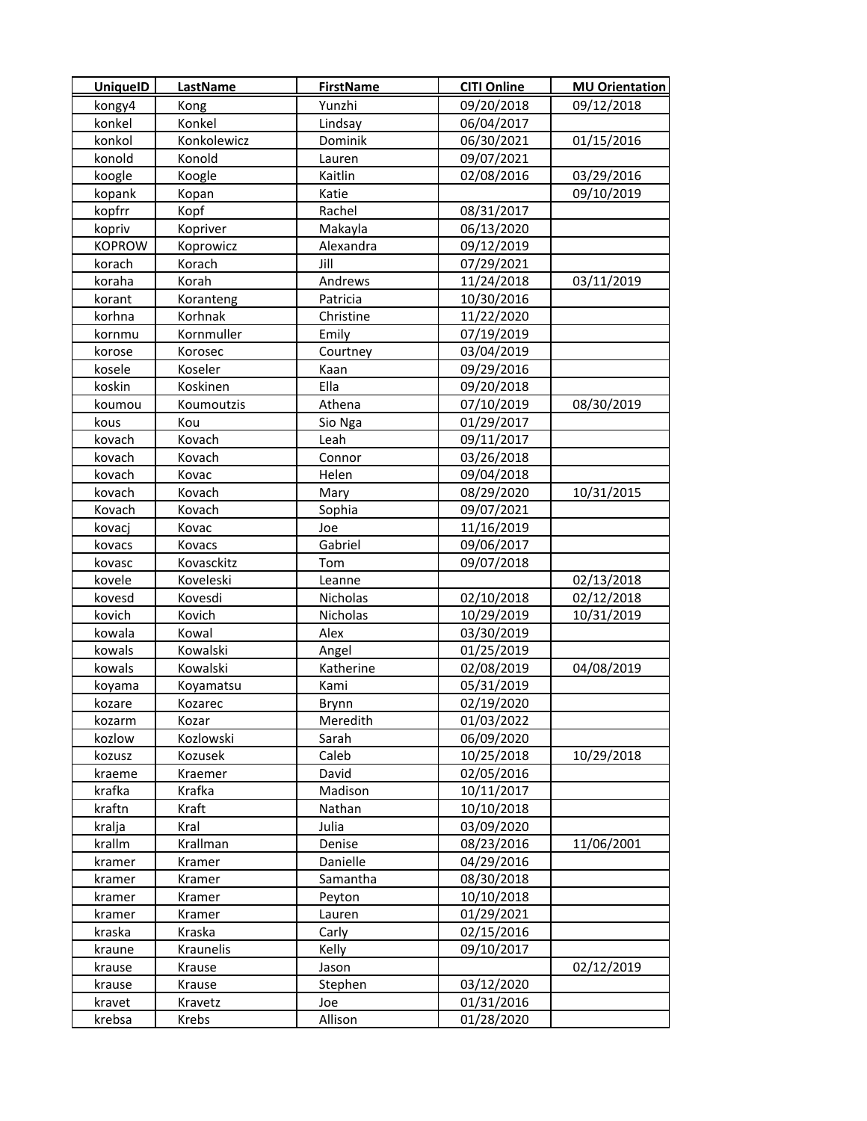| UniquelD      | <b>LastName</b> | <b>FirstName</b> | <b>CITI Online</b> | <b>MU Orientation</b> |
|---------------|-----------------|------------------|--------------------|-----------------------|
| kongy4        | Kong            | Yunzhi           | 09/20/2018         | 09/12/2018            |
| konkel        | Konkel          | Lindsay          | 06/04/2017         |                       |
| konkol        | Konkolewicz     | Dominik          | 06/30/2021         | 01/15/2016            |
| konold        | Konold          | Lauren           | 09/07/2021         |                       |
| koogle        | Koogle          | Kaitlin          | 02/08/2016         | 03/29/2016            |
| kopank        | Kopan           | Katie            |                    | 09/10/2019            |
| kopfrr        | Kopf            | Rachel           | 08/31/2017         |                       |
| kopriv        | Kopriver        | Makayla          | 06/13/2020         |                       |
| <b>KOPROW</b> | Koprowicz       | Alexandra        | 09/12/2019         |                       |
| korach        | Korach          | Jill             | 07/29/2021         |                       |
| koraha        | Korah           | Andrews          | 11/24/2018         | 03/11/2019            |
| korant        | Koranteng       | Patricia         | 10/30/2016         |                       |
| korhna        | Korhnak         | Christine        | 11/22/2020         |                       |
| kornmu        | Kornmuller      | Emily            | 07/19/2019         |                       |
| korose        | Korosec         | Courtney         | 03/04/2019         |                       |
| kosele        | Koseler         | Kaan             | 09/29/2016         |                       |
| koskin        | Koskinen        | Ella             | 09/20/2018         |                       |
| koumou        | Koumoutzis      | Athena           | 07/10/2019         | 08/30/2019            |
| kous          | Kou             | Sio Nga          | 01/29/2017         |                       |
| kovach        | Kovach          | Leah             | 09/11/2017         |                       |
| kovach        | Kovach          | Connor           | 03/26/2018         |                       |
| kovach        | Kovac           | Helen            | 09/04/2018         |                       |
| kovach        | Kovach          | Mary             | 08/29/2020         | 10/31/2015            |
| Kovach        | Kovach          | Sophia           | 09/07/2021         |                       |
| kovacj        | Kovac           | Joe              | 11/16/2019         |                       |
| kovacs        | Kovacs          | Gabriel          | 09/06/2017         |                       |
| kovasc        | Kovasckitz      | Tom              | 09/07/2018         |                       |
| kovele        | Koveleski       | Leanne           |                    | 02/13/2018            |
| kovesd        | Kovesdi         | Nicholas         | 02/10/2018         | 02/12/2018            |
| kovich        | Kovich          | Nicholas         | 10/29/2019         | 10/31/2019            |
| kowala        | Kowal           | Alex             | 03/30/2019         |                       |
| kowals        | Kowalski        | Angel            | 01/25/2019         |                       |
| kowals        | Kowalski        | Katherine        | 02/08/2019         | 04/08/2019            |
| koyama        | Koyamatsu       | Kami             | 05/31/2019         |                       |
| kozare        | Kozarec         | Brynn            | 02/19/2020         |                       |
| kozarm        | Kozar           | Meredith         | 01/03/2022         |                       |
| kozlow        | Kozlowski       | Sarah            | 06/09/2020         |                       |
| kozusz        | Kozusek         | Caleb            | 10/25/2018         | 10/29/2018            |
| kraeme        | Kraemer         | David            | 02/05/2016         |                       |
| krafka        | Krafka          | Madison          | 10/11/2017         |                       |
| kraftn        | Kraft           | Nathan           | 10/10/2018         |                       |
| kralja        | Kral            | Julia            | 03/09/2020         |                       |
| krallm        | Krallman        | Denise           | 08/23/2016         | 11/06/2001            |
| kramer        | Kramer          | Danielle         | 04/29/2016         |                       |
| kramer        | Kramer          | Samantha         | 08/30/2018         |                       |
| kramer        | Kramer          | Peyton           | 10/10/2018         |                       |
| kramer        | Kramer          | Lauren           | 01/29/2021         |                       |
| kraska        | Kraska          | Carly            | 02/15/2016         |                       |
| kraune        | Kraunelis       | Kelly            | 09/10/2017         |                       |
| krause        | Krause          | Jason            |                    | 02/12/2019            |
| krause        | Krause          | Stephen          | 03/12/2020         |                       |
| kravet        | Kravetz         | Joe              | 01/31/2016         |                       |
| krebsa        | Krebs           | Allison          | 01/28/2020         |                       |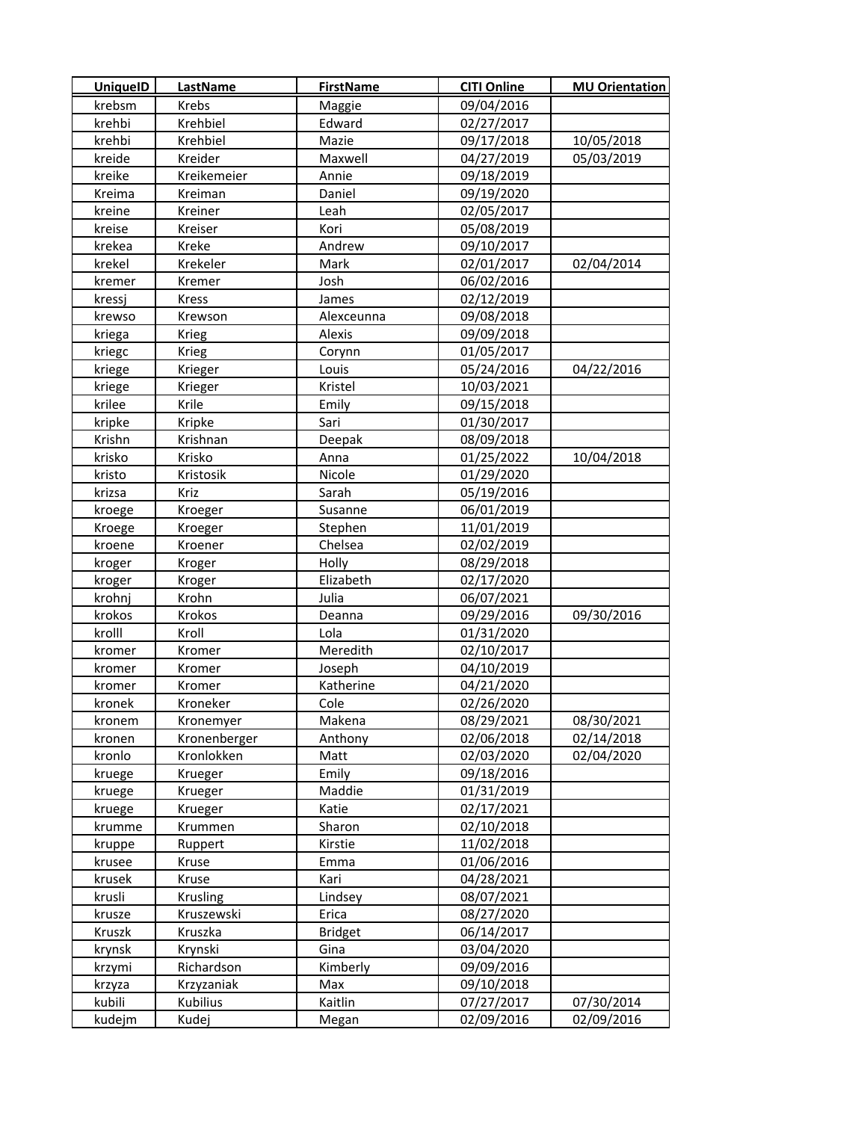| UniquelD | LastName     | <b>FirstName</b> | <b>CITI Online</b> | <b>MU Orientation</b> |
|----------|--------------|------------------|--------------------|-----------------------|
| krebsm   | Krebs        | Maggie           | 09/04/2016         |                       |
| krehbi   | Krehbiel     | Edward           | 02/27/2017         |                       |
| krehbi   | Krehbiel     | Mazie            | 09/17/2018         | 10/05/2018            |
| kreide   | Kreider      | Maxwell          | 04/27/2019         | 05/03/2019            |
| kreike   | Kreikemeier  | Annie            | 09/18/2019         |                       |
| Kreima   | Kreiman      | Daniel           | 09/19/2020         |                       |
| kreine   | Kreiner      | Leah             | 02/05/2017         |                       |
| kreise   | Kreiser      | Kori             | 05/08/2019         |                       |
| krekea   | Kreke        | Andrew           | 09/10/2017         |                       |
| krekel   | Krekeler     | Mark             | 02/01/2017         | 02/04/2014            |
| kremer   | Kremer       | Josh             | 06/02/2016         |                       |
| kressj   | <b>Kress</b> | James            | 02/12/2019         |                       |
| krewso   | Krewson      | Alexceunna       | 09/08/2018         |                       |
| kriega   | Krieg        | Alexis           | 09/09/2018         |                       |
| kriegc   | <b>Krieg</b> | Corynn           | 01/05/2017         |                       |
| kriege   | Krieger      | Louis            | 05/24/2016         | 04/22/2016            |
| kriege   | Krieger      | Kristel          | 10/03/2021         |                       |
| krilee   | Krile        | Emily            | 09/15/2018         |                       |
| kripke   | Kripke       | Sari             | 01/30/2017         |                       |
| Krishn   | Krishnan     | Deepak           | 08/09/2018         |                       |
| krisko   | Krisko       | Anna             | 01/25/2022         | 10/04/2018            |
| kristo   | Kristosik    | Nicole           | 01/29/2020         |                       |
| krizsa   | Kriz         | Sarah            | 05/19/2016         |                       |
| kroege   | Kroeger      | Susanne          | 06/01/2019         |                       |
| Kroege   | Kroeger      | Stephen          | 11/01/2019         |                       |
| kroene   | Kroener      | Chelsea          | 02/02/2019         |                       |
| kroger   | Kroger       | Holly            | 08/29/2018         |                       |
| kroger   | Kroger       | Elizabeth        | 02/17/2020         |                       |
| krohnj   | Krohn        | Julia            | 06/07/2021         |                       |
| krokos   | Krokos       | Deanna           | 09/29/2016         | 09/30/2016            |
| krolll   | Kroll        | Lola             | 01/31/2020         |                       |
| kromer   | Kromer       | Meredith         | 02/10/2017         |                       |
| kromer   | Kromer       | Joseph           | 04/10/2019         |                       |
| kromer   | Kromer       | Katherine        | 04/21/2020         |                       |
| kronek   | Kroneker     | Cole             | 02/26/2020         |                       |
| kronem   | Kronemyer    | Makena           | 08/29/2021         | 08/30/2021            |
| kronen   | Kronenberger | Anthony          | 02/06/2018         | 02/14/2018            |
| kronlo   | Kronlokken   | Matt             | 02/03/2020         | 02/04/2020            |
| kruege   | Krueger      | Emily            | 09/18/2016         |                       |
| kruege   | Krueger      | Maddie           | 01/31/2019         |                       |
| kruege   | Krueger      | Katie            | 02/17/2021         |                       |
| krumme   | Krummen      | Sharon           | 02/10/2018         |                       |
| kruppe   | Ruppert      | Kirstie          | 11/02/2018         |                       |
| krusee   | Kruse        | Emma             | 01/06/2016         |                       |
| krusek   | Kruse        | Kari             | 04/28/2021         |                       |
| krusli   | Krusling     | Lindsey          | 08/07/2021         |                       |
| krusze   | Kruszewski   | Erica            | 08/27/2020         |                       |
| Kruszk   | Kruszka      | <b>Bridget</b>   | 06/14/2017         |                       |
| krynsk   | Krynski      | Gina             | 03/04/2020         |                       |
| krzymi   | Richardson   | Kimberly         | 09/09/2016         |                       |
| krzyza   | Krzyzaniak   | Max              | 09/10/2018         |                       |
| kubili   | Kubilius     | Kaitlin          | 07/27/2017         | 07/30/2014            |
| kudejm   | Kudej        | Megan            | 02/09/2016         | 02/09/2016            |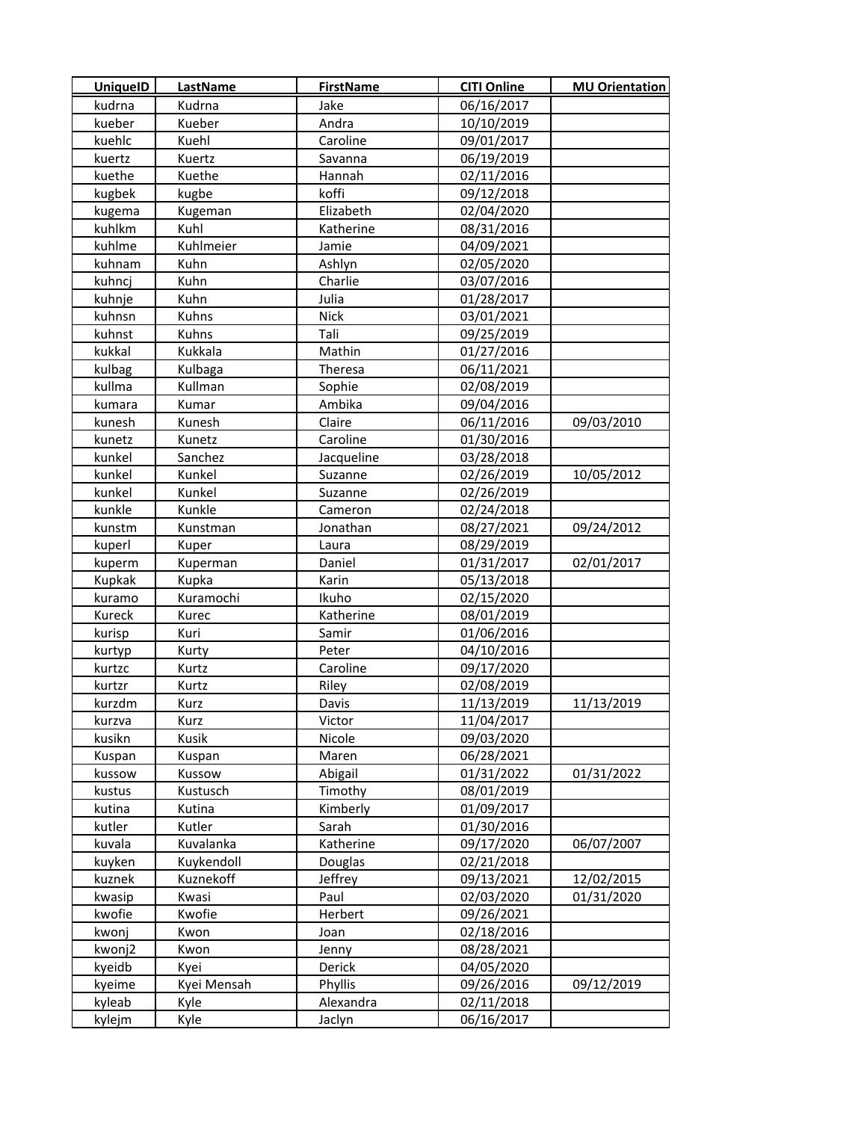| <b>UniquelD</b> | <b>LastName</b> | <b>FirstName</b> | <b>CITI Online</b> | <b>MU Orientation</b> |
|-----------------|-----------------|------------------|--------------------|-----------------------|
| kudrna          | Kudrna          | Jake             | 06/16/2017         |                       |
| kueber          | Kueber          | Andra            | 10/10/2019         |                       |
| kuehlc          | Kuehl           | Caroline         | 09/01/2017         |                       |
| kuertz          | Kuertz          | Savanna          | 06/19/2019         |                       |
| kuethe          | Kuethe          | Hannah           | 02/11/2016         |                       |
| kugbek          | kugbe           | koffi            | 09/12/2018         |                       |
| kugema          | Kugeman         | Elizabeth        | 02/04/2020         |                       |
| kuhlkm          | Kuhl            | Katherine        | 08/31/2016         |                       |
| kuhlme          | Kuhlmeier       | Jamie            | 04/09/2021         |                       |
| kuhnam          | Kuhn            | Ashlyn           | 02/05/2020         |                       |
| kuhncj          | Kuhn            | Charlie          | 03/07/2016         |                       |
| kuhnje          | Kuhn            | Julia            | 01/28/2017         |                       |
| kuhnsn          | Kuhns           | <b>Nick</b>      | 03/01/2021         |                       |
| kuhnst          | Kuhns           | Tali             | 09/25/2019         |                       |
| kukkal          | Kukkala         | Mathin           | 01/27/2016         |                       |
| kulbag          | Kulbaga         | Theresa          | 06/11/2021         |                       |
| kullma          | Kullman         | Sophie           | 02/08/2019         |                       |
| kumara          | Kumar           | Ambika           | 09/04/2016         |                       |
| kunesh          | Kunesh          | Claire           | 06/11/2016         | 09/03/2010            |
| kunetz          | Kunetz          | Caroline         | 01/30/2016         |                       |
| kunkel          | Sanchez         | Jacqueline       | 03/28/2018         |                       |
| kunkel          | Kunkel          | Suzanne          | 02/26/2019         | 10/05/2012            |
| kunkel          | Kunkel          | Suzanne          | 02/26/2019         |                       |
| kunkle          | Kunkle          | Cameron          | 02/24/2018         |                       |
| kunstm          | Kunstman        | Jonathan         | 08/27/2021         | 09/24/2012            |
| kuperl          | Kuper           | Laura            | 08/29/2019         |                       |
| kuperm          | Kuperman        | Daniel           | 01/31/2017         | 02/01/2017            |
| Kupkak          | Kupka           | Karin            | 05/13/2018         |                       |
| kuramo          | Kuramochi       | Ikuho            | 02/15/2020         |                       |
| Kureck          | Kurec           | Katherine        | 08/01/2019         |                       |
| kurisp          | Kuri            | Samir            | 01/06/2016         |                       |
| kurtyp          | Kurty           | Peter            | 04/10/2016         |                       |
| kurtzc          | Kurtz           | Caroline         | 09/17/2020         |                       |
| kurtzr          | Kurtz           | Riley            | 02/08/2019         |                       |
| kurzdm          | Kurz            | Davis            | 11/13/2019         | 11/13/2019            |
| kurzva          | Kurz            | Victor           | 11/04/2017         |                       |
| kusikn          | <b>Kusik</b>    | Nicole           | 09/03/2020         |                       |
| Kuspan          | Kuspan          | Maren            | 06/28/2021         |                       |
| kussow          | Kussow          | Abigail          | 01/31/2022         | 01/31/2022            |
| kustus          | Kustusch        | Timothy          | 08/01/2019         |                       |
| kutina          | Kutina          | Kimberly         | 01/09/2017         |                       |
| kutler          | Kutler          | Sarah            | 01/30/2016         |                       |
| kuvala          | Kuvalanka       | Katherine        | 09/17/2020         | 06/07/2007            |
| kuyken          | Kuykendoll      | Douglas          | 02/21/2018         |                       |
| kuznek          | Kuznekoff       | Jeffrey          | 09/13/2021         | 12/02/2015            |
| kwasip          | Kwasi           | Paul             | 02/03/2020         | 01/31/2020            |
| kwofie          | Kwofie          | Herbert          | 09/26/2021         |                       |
| kwonj           | Kwon            | Joan             | 02/18/2016         |                       |
| kwonj2          | Kwon            | Jenny            | 08/28/2021         |                       |
| kyeidb          | Kyei            | Derick           | 04/05/2020         |                       |
| kyeime          | Kyei Mensah     | Phyllis          | 09/26/2016         | 09/12/2019            |
| kyleab          | Kyle            | Alexandra        | 02/11/2018         |                       |
| kylejm          | Kyle            | Jaclyn           | 06/16/2017         |                       |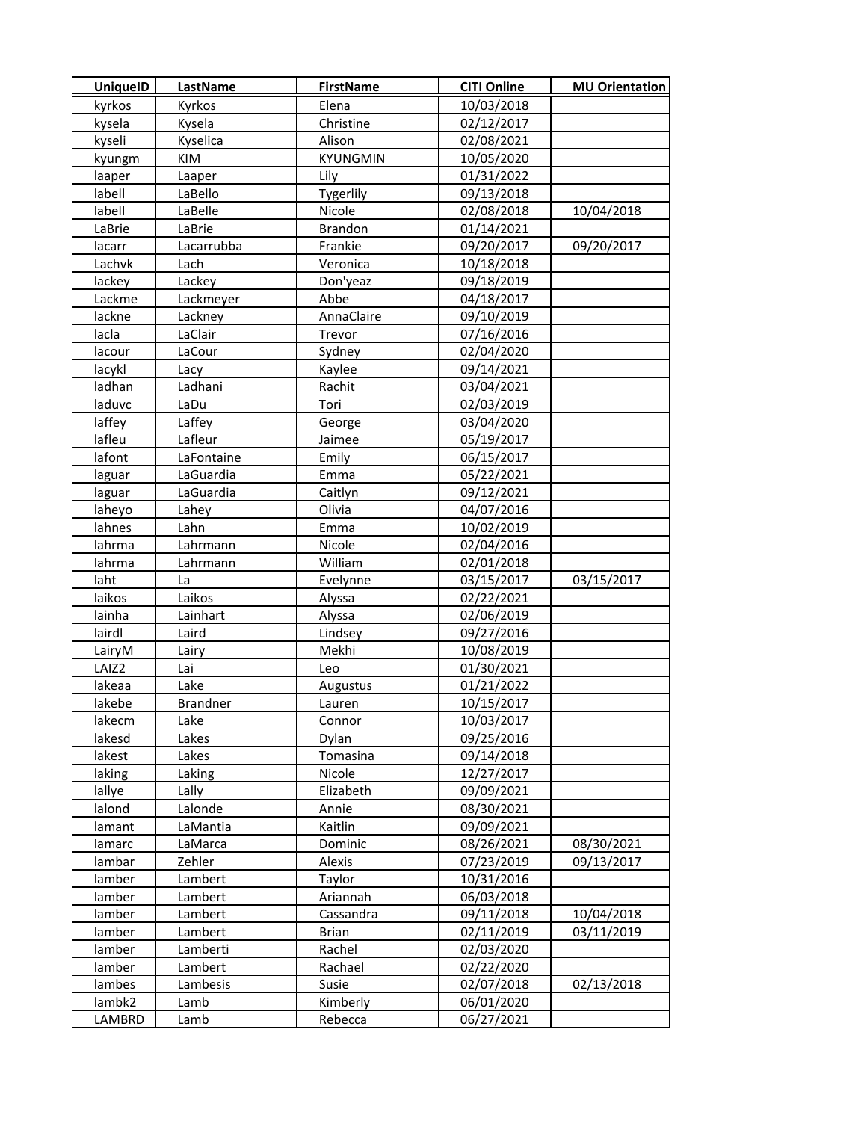| <b>UniquelD</b> | <b>LastName</b> | <b>FirstName</b> | <b>CITI Online</b> | <b>MU Orientation</b> |
|-----------------|-----------------|------------------|--------------------|-----------------------|
| kyrkos          | Kyrkos          | Elena            | 10/03/2018         |                       |
| kysela          | Kysela          | Christine        | 02/12/2017         |                       |
| kyseli          | Kyselica        | Alison           | 02/08/2021         |                       |
| kyungm          | KIM             | <b>KYUNGMIN</b>  | 10/05/2020         |                       |
| laaper          | Laaper          | Lily             | 01/31/2022         |                       |
| labell          | LaBello         | Tygerlily        | 09/13/2018         |                       |
| labell          | LaBelle         | Nicole           | 02/08/2018         | 10/04/2018            |
| LaBrie          | LaBrie          | <b>Brandon</b>   | 01/14/2021         |                       |
| lacarr          | Lacarrubba      | Frankie          | 09/20/2017         | 09/20/2017            |
| Lachvk          | Lach            | Veronica         | 10/18/2018         |                       |
| lackey          | Lackey          | Don'yeaz         | 09/18/2019         |                       |
| Lackme          | Lackmeyer       | Abbe             | 04/18/2017         |                       |
| lackne          | Lackney         | AnnaClaire       | 09/10/2019         |                       |
| lacla           | LaClair         | Trevor           | 07/16/2016         |                       |
| lacour          | LaCour          | Sydney           | 02/04/2020         |                       |
| lacykl          | Lacy            | Kaylee           | 09/14/2021         |                       |
| ladhan          | Ladhani         | Rachit           | 03/04/2021         |                       |
| laduvc          | LaDu            | Tori             | 02/03/2019         |                       |
| laffey          | Laffey          | George           | 03/04/2020         |                       |
| lafleu          | Lafleur         | Jaimee           | 05/19/2017         |                       |
| lafont          | LaFontaine      | Emily            | 06/15/2017         |                       |
| laguar          | LaGuardia       | Emma             | 05/22/2021         |                       |
| laguar          | LaGuardia       | Caitlyn          | 09/12/2021         |                       |
| laheyo          | Lahey           | Olivia           | 04/07/2016         |                       |
| lahnes          | Lahn            | Emma             | 10/02/2019         |                       |
| lahrma          | Lahrmann        | Nicole           | 02/04/2016         |                       |
| lahrma          | Lahrmann        | William          | 02/01/2018         |                       |
| laht            | La              | Evelynne         | 03/15/2017         | 03/15/2017            |
| laikos          | Laikos          | Alyssa           | 02/22/2021         |                       |
| lainha          | Lainhart        | Alyssa           | 02/06/2019         |                       |
| lairdl          | Laird           | Lindsey          | 09/27/2016         |                       |
| LairyM          | Lairy           | Mekhi            | 10/08/2019         |                       |
| LAIZ2           | Lai             | Leo              | 01/30/2021         |                       |
| lakeaa          | Lake            | Augustus         | 01/21/2022         |                       |
| lakebe          | <b>Brandner</b> | Lauren           | 10/15/2017         |                       |
| lakecm          | Lake            | Connor           | 10/03/2017         |                       |
| lakesd          | Lakes           | Dylan            | 09/25/2016         |                       |
| lakest          | Lakes           | Tomasina         | 09/14/2018         |                       |
| laking          | Laking          | Nicole           | 12/27/2017         |                       |
| lallye          | Lally           | Elizabeth        | 09/09/2021         |                       |
| lalond          | Lalonde         | Annie            | 08/30/2021         |                       |
| lamant          | LaMantia        | Kaitlin          | 09/09/2021         |                       |
| lamarc          | LaMarca         | Dominic          | 08/26/2021         | 08/30/2021            |
| lambar          | Zehler          | Alexis           | 07/23/2019         | 09/13/2017            |
| lamber          | Lambert         | Taylor           | 10/31/2016         |                       |
| lamber          | Lambert         | Ariannah         | 06/03/2018         |                       |
| lamber          | Lambert         | Cassandra        | 09/11/2018         | 10/04/2018            |
| lamber          | Lambert         | <b>Brian</b>     | 02/11/2019         | 03/11/2019            |
| lamber          | Lamberti        | Rachel           | 02/03/2020         |                       |
| lamber          | Lambert         | Rachael          | 02/22/2020         |                       |
| lambes          | Lambesis        | Susie            | 02/07/2018         | 02/13/2018            |
| lambk2          | Lamb            | Kimberly         | 06/01/2020         |                       |
| LAMBRD          | Lamb            | Rebecca          | 06/27/2021         |                       |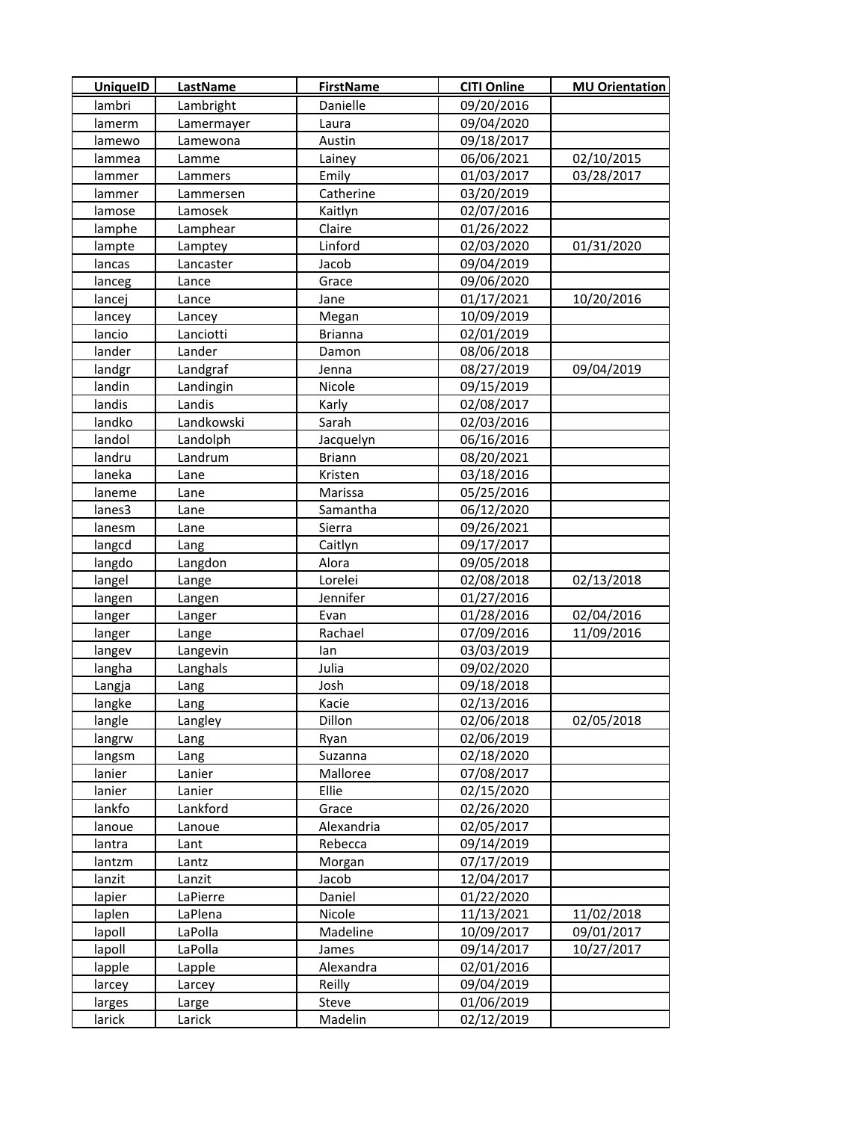| <b>UniquelD</b> | LastName   | <b>FirstName</b> | <b>CITI Online</b> | <b>MU Orientation</b> |
|-----------------|------------|------------------|--------------------|-----------------------|
| lambri          | Lambright  | Danielle         | 09/20/2016         |                       |
| lamerm          | Lamermayer | Laura            | 09/04/2020         |                       |
| lamewo          | Lamewona   | Austin           | 09/18/2017         |                       |
| lammea          | Lamme      | Lainey           | 06/06/2021         | 02/10/2015            |
| lammer          | Lammers    | Emily            | 01/03/2017         | 03/28/2017            |
| lammer          | Lammersen  | Catherine        | 03/20/2019         |                       |
| lamose          | Lamosek    | Kaitlyn          | 02/07/2016         |                       |
| lamphe          | Lamphear   | Claire           | 01/26/2022         |                       |
| lampte          | Lamptey    | Linford          | 02/03/2020         | 01/31/2020            |
| lancas          | Lancaster  | Jacob            | 09/04/2019         |                       |
| lanceg          | Lance      | Grace            | 09/06/2020         |                       |
| lancej          | Lance      | Jane             | 01/17/2021         | 10/20/2016            |
| lancey          | Lancey     | Megan            | 10/09/2019         |                       |
| lancio          | Lanciotti  | <b>Brianna</b>   | 02/01/2019         |                       |
| lander          | Lander     | Damon            | 08/06/2018         |                       |
| landgr          | Landgraf   | Jenna            | 08/27/2019         | 09/04/2019            |
| landin          | Landingin  | Nicole           | 09/15/2019         |                       |
| landis          | Landis     | Karly            | 02/08/2017         |                       |
| landko          | Landkowski | Sarah            | 02/03/2016         |                       |
| landol          | Landolph   | Jacquelyn        | 06/16/2016         |                       |
| landru          | Landrum    | <b>Briann</b>    | 08/20/2021         |                       |
| laneka          | Lane       | Kristen          | 03/18/2016         |                       |
| laneme          | Lane       | Marissa          | 05/25/2016         |                       |
| lanes3          | Lane       | Samantha         | 06/12/2020         |                       |
| lanesm          | Lane       | Sierra           | 09/26/2021         |                       |
| langcd          | Lang       | Caitlyn          | 09/17/2017         |                       |
| langdo          | Langdon    | Alora            | 09/05/2018         |                       |
| langel          | Lange      | Lorelei          | 02/08/2018         | 02/13/2018            |
| langen          | Langen     | Jennifer         | 01/27/2016         |                       |
| langer          | Langer     | Evan             | 01/28/2016         | 02/04/2016            |
| langer          | Lange      | Rachael          | 07/09/2016         | 11/09/2016            |
| langev          | Langevin   | lan              | 03/03/2019         |                       |
| langha          | Langhals   | Julia            | 09/02/2020         |                       |
| Langja          | Lang       | Josh             | 09/18/2018         |                       |
| langke          | Lang       | Kacie            | 02/13/2016         |                       |
| langle          | Langley    | Dillon           | 02/06/2018         | 02/05/2018            |
| langrw          | Lang       | Ryan             | 02/06/2019         |                       |
| langsm          | Lang       | Suzanna          | 02/18/2020         |                       |
| lanier          | Lanier     | Malloree         | 07/08/2017         |                       |
| lanier          | Lanier     | Ellie            | 02/15/2020         |                       |
| lankfo          | Lankford   | Grace            | 02/26/2020         |                       |
| lanoue          | Lanoue     | Alexandria       | 02/05/2017         |                       |
| lantra          | Lant       | Rebecca          | 09/14/2019         |                       |
| lantzm          | Lantz      | Morgan           | 07/17/2019         |                       |
| lanzit          | Lanzit     | Jacob            | 12/04/2017         |                       |
| lapier          | LaPierre   | Daniel           | 01/22/2020         |                       |
| laplen          | LaPlena    | Nicole           | 11/13/2021         | 11/02/2018            |
| lapoll          | LaPolla    | Madeline         | 10/09/2017         | 09/01/2017            |
| lapoll          | LaPolla    | James            | 09/14/2017         | 10/27/2017            |
| lapple          | Lapple     | Alexandra        | 02/01/2016         |                       |
| larcey          | Larcey     | Reilly           | 09/04/2019         |                       |
| larges          | Large      | Steve            | 01/06/2019         |                       |
| larick          | Larick     | Madelin          | 02/12/2019         |                       |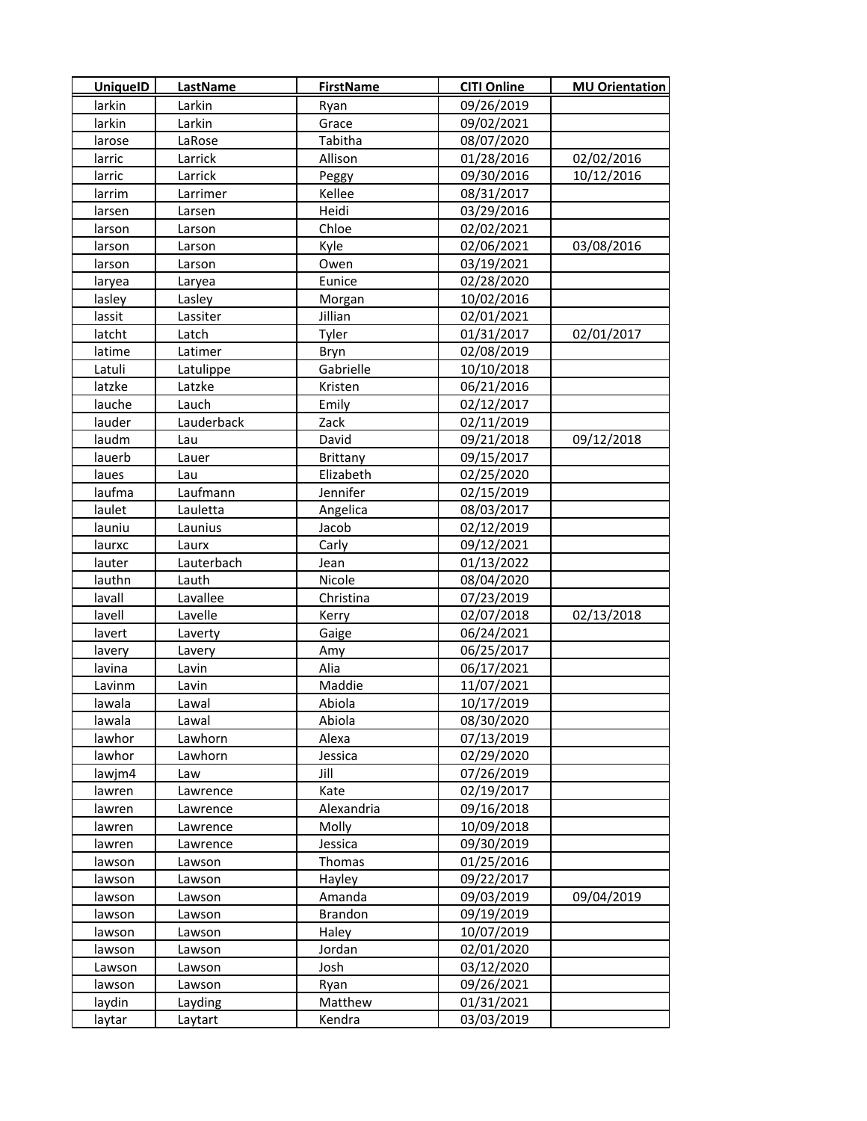| <b>UniquelD</b> | <b>LastName</b> | <b>FirstName</b> | <b>CITI Online</b> | <b>MU Orientation</b> |
|-----------------|-----------------|------------------|--------------------|-----------------------|
| larkin          | Larkin          | Ryan             | 09/26/2019         |                       |
| larkin          | Larkin          | Grace            | 09/02/2021         |                       |
| larose          | LaRose          | Tabitha          | 08/07/2020         |                       |
| larric          | Larrick         | Allison          | 01/28/2016         | 02/02/2016            |
| larric          | Larrick         | Peggy            | 09/30/2016         | 10/12/2016            |
| larrim          | Larrimer        | Kellee           | 08/31/2017         |                       |
| larsen          | Larsen          | Heidi            | 03/29/2016         |                       |
| larson          | Larson          | Chloe            | 02/02/2021         |                       |
| larson          | Larson          | Kyle             | 02/06/2021         | 03/08/2016            |
| larson          | Larson          | Owen             | 03/19/2021         |                       |
| laryea          | Laryea          | Eunice           | 02/28/2020         |                       |
| lasley          | Lasley          | Morgan           | 10/02/2016         |                       |
| lassit          | Lassiter        | Jillian          | 02/01/2021         |                       |
| latcht          | Latch           | Tyler            | 01/31/2017         | 02/01/2017            |
| latime          | Latimer         | Bryn             | 02/08/2019         |                       |
| Latuli          | Latulippe       | Gabrielle        | 10/10/2018         |                       |
| latzke          | Latzke          | Kristen          | 06/21/2016         |                       |
| lauche          | Lauch           | Emily            | 02/12/2017         |                       |
| lauder          | Lauderback      | Zack             | 02/11/2019         |                       |
| laudm           | Lau             | David            | 09/21/2018         | 09/12/2018            |
| lauerb          | Lauer           | Brittany         | 09/15/2017         |                       |
| laues           | Lau             | Elizabeth        | 02/25/2020         |                       |
| laufma          | Laufmann        | Jennifer         | 02/15/2019         |                       |
| laulet          | Lauletta        | Angelica         | 08/03/2017         |                       |
| launiu          | Launius         | Jacob            | 02/12/2019         |                       |
| laurxc          | Laurx           | Carly            | 09/12/2021         |                       |
| lauter          | Lauterbach      | Jean             | 01/13/2022         |                       |
| lauthn          | Lauth           | Nicole           | 08/04/2020         |                       |
| lavall          | Lavallee        | Christina        | 07/23/2019         |                       |
| lavell          | Lavelle         | Kerry            | 02/07/2018         | 02/13/2018            |
| lavert          | Laverty         | Gaige            | 06/24/2021         |                       |
| lavery          | Lavery          | Amy              | 06/25/2017         |                       |
| lavina          | Lavin           | Alia             | 06/17/2021         |                       |
| Lavinm          | Lavin           | Maddie           | 11/07/2021         |                       |
| lawala          | Lawal           | Abiola           | 10/17/2019         |                       |
| lawala          | Lawal           | Abiola           | 08/30/2020         |                       |
| lawhor          | Lawhorn         | Alexa            | 07/13/2019         |                       |
| lawhor          | Lawhorn         | Jessica          | 02/29/2020         |                       |
| lawjm4          | Law             | Jill             | 07/26/2019         |                       |
| lawren          | Lawrence        | Kate             | 02/19/2017         |                       |
| lawren          | Lawrence        | Alexandria       | 09/16/2018         |                       |
| lawren          | Lawrence        | Molly            | 10/09/2018         |                       |
| lawren          | Lawrence        | Jessica          | 09/30/2019         |                       |
| lawson          | Lawson          | Thomas           | 01/25/2016         |                       |
| lawson          | Lawson          | Hayley           | 09/22/2017         |                       |
| lawson          | Lawson          | Amanda           | 09/03/2019         | 09/04/2019            |
| lawson          | Lawson          | Brandon          | 09/19/2019         |                       |
| lawson          | Lawson          | Haley            | 10/07/2019         |                       |
| lawson          | Lawson          | Jordan           | 02/01/2020         |                       |
| Lawson          | Lawson          | Josh             | 03/12/2020         |                       |
| lawson          | Lawson          | Ryan             | 09/26/2021         |                       |
| laydin          | Layding         | Matthew          | 01/31/2021         |                       |
| laytar          | Laytart         | Kendra           | 03/03/2019         |                       |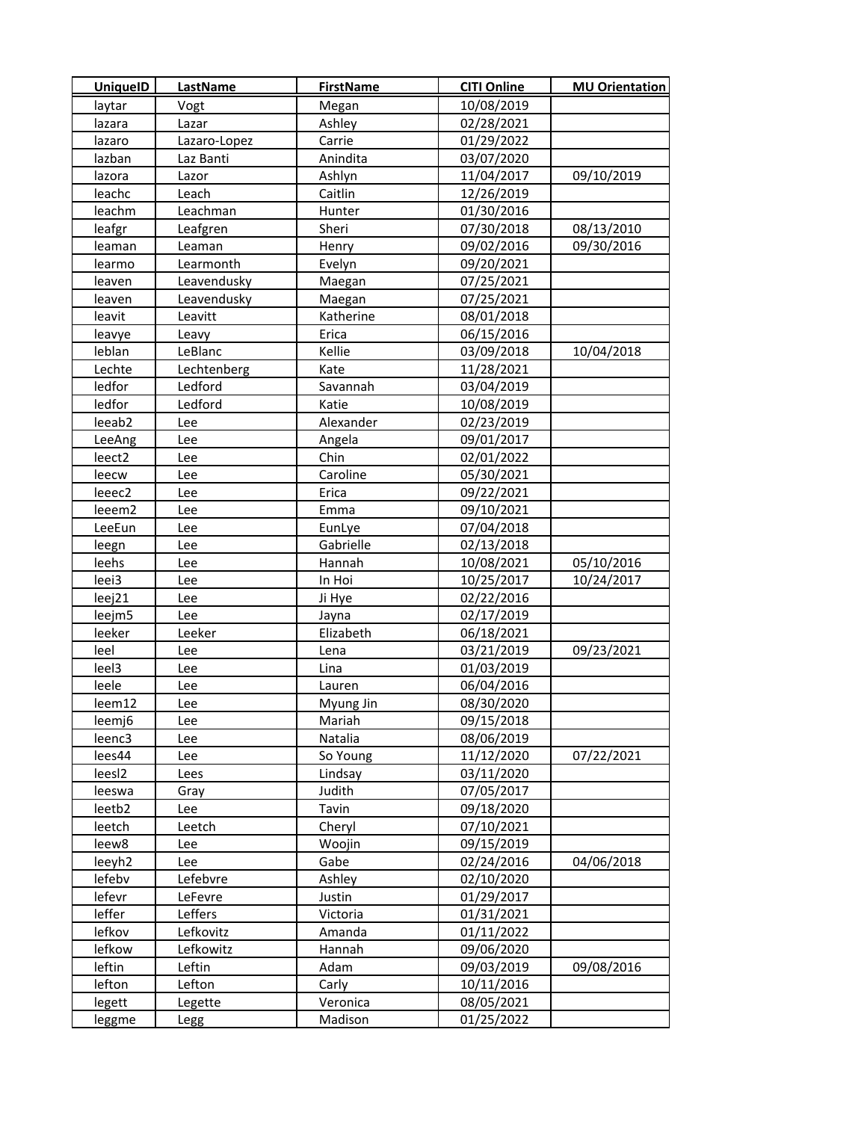| <b>UniquelD</b>    | <b>LastName</b> | <b>FirstName</b>  | <b>CITI Online</b> | <b>MU Orientation</b> |
|--------------------|-----------------|-------------------|--------------------|-----------------------|
| laytar             | Vogt            | Megan             | 10/08/2019         |                       |
| lazara             | Lazar           | Ashley            | 02/28/2021         |                       |
| lazaro             | Lazaro-Lopez    | Carrie            | 01/29/2022         |                       |
| lazban             | Laz Banti       | Anindita          | 03/07/2020         |                       |
| lazora             | Lazor           | Ashlyn            | 11/04/2017         | 09/10/2019            |
| leachc             | Leach           | Caitlin           | 12/26/2019         |                       |
| leachm             | Leachman        | Hunter            | 01/30/2016         |                       |
| leafgr             | Leafgren        | Sheri             | 07/30/2018         | 08/13/2010            |
| leaman             | Leaman          | Henry             | 09/02/2016         | 09/30/2016            |
| learmo             | Learmonth       | Evelyn            | 09/20/2021         |                       |
| leaven             | Leavendusky     | Maegan            | 07/25/2021         |                       |
| leaven             | Leavendusky     | Maegan            | 07/25/2021         |                       |
| leavit             | Leavitt         | Katherine         | 08/01/2018         |                       |
| leavye             | Leavy           | Erica             | 06/15/2016         |                       |
| leblan             | LeBlanc         | Kellie            | 03/09/2018         | 10/04/2018            |
| Lechte             | Lechtenberg     | Kate              | 11/28/2021         |                       |
| ledfor             | Ledford         | Savannah          | 03/04/2019         |                       |
| ledfor             | Ledford         | Katie             | 10/08/2019         |                       |
| leeab <sub>2</sub> | Lee             | Alexander         | 02/23/2019         |                       |
| LeeAng             | Lee             | Angela            | 09/01/2017         |                       |
| leect2             | Lee             | Chin              | 02/01/2022         |                       |
| leecw              | Lee             | Caroline          | 05/30/2021         |                       |
| leeec2             | Lee             | Erica             | 09/22/2021         |                       |
| leeem2             | Lee             | Emma              | 09/10/2021         |                       |
| LeeEun             | Lee             | EunLye            | 07/04/2018         |                       |
| leegn              | Lee             | Gabrielle         | 02/13/2018         |                       |
| leehs              | Lee             | Hannah            | 10/08/2021         | 05/10/2016            |
| leei3              | Lee             | In Hoi            | 10/25/2017         | 10/24/2017            |
| leej21             | Lee             | Ji Hye            | 02/22/2016         |                       |
| leejm5             | Lee             | Jayna             | 02/17/2019         |                       |
| leeker             | Leeker          | Elizabeth         | 06/18/2021         |                       |
| leel               | Lee             | Lena              | 03/21/2019         | 09/23/2021            |
| leel3              | Lee             | Lina              | 01/03/2019         |                       |
| leele              | Lee             | Lauren            | 06/04/2016         |                       |
| leem12             | Lee             | Myung Jin         | 08/30/2020         |                       |
| leemj6             | Lee             | Mariah            | 09/15/2018         |                       |
| leenc3             | Lee             | Natalia           | 08/06/2019         |                       |
| lees44             | Lee             | So Young          | 11/12/2020         | 07/22/2021            |
| lees <sub>12</sub> | Lees            | Lindsay           | 03/11/2020         |                       |
| leeswa             | Gray            | Judith            | 07/05/2017         |                       |
| leetb2             | Lee             | Tavin             | 09/18/2020         |                       |
| leetch             | Leetch          | Cheryl            | 07/10/2021         |                       |
| leew8              | Lee             | Woojin            | 09/15/2019         |                       |
| leeyh2             | Lee             | Gabe              | 02/24/2016         | 04/06/2018            |
| lefebv             | Lefebvre        | Ashley            | 02/10/2020         |                       |
| lefevr             | LeFevre         | Justin            | 01/29/2017         |                       |
| leffer             | Leffers         | Victoria          | 01/31/2021         |                       |
| lefkov             | Lefkovitz       | Amanda            | 01/11/2022         |                       |
| lefkow             | Lefkowitz       | Hannah            | 09/06/2020         |                       |
| leftin             | Leftin          | Adam              | 09/03/2019         | 09/08/2016            |
| lefton             | Lefton          | Carly<br>Veronica | 10/11/2016         |                       |
| legett             | Legette         |                   | 08/05/2021         |                       |
| leggme             | Legg            | Madison           | 01/25/2022         |                       |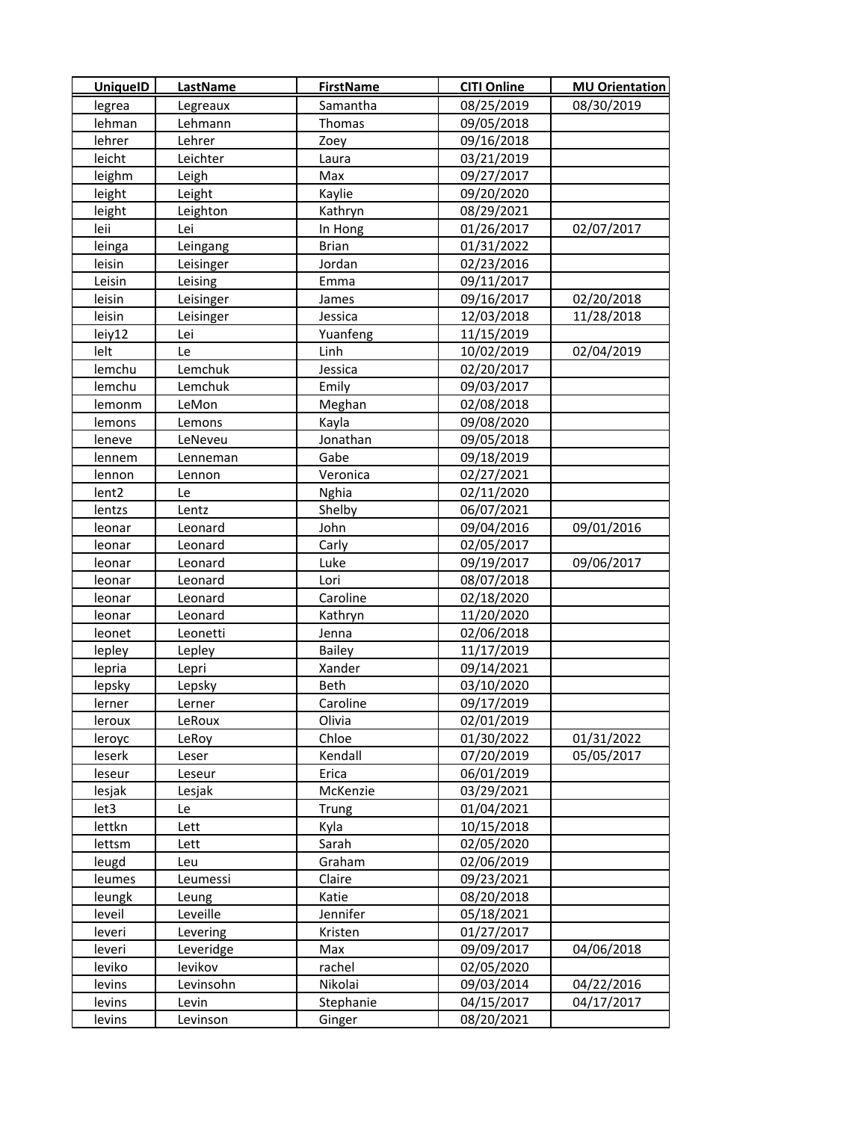| <b>UniquelD</b>   | LastName  | <b>FirstName</b> | <b>CITI Online</b> | <b>MU Orientation</b> |
|-------------------|-----------|------------------|--------------------|-----------------------|
| legrea            | Legreaux  | Samantha         | 08/25/2019         | 08/30/2019            |
| lehman            | Lehmann   | Thomas           | 09/05/2018         |                       |
| lehrer            | Lehrer    | Zoey             | 09/16/2018         |                       |
| leicht            | Leichter  | Laura            | 03/21/2019         |                       |
| leighm            | Leigh     | Max              | 09/27/2017         |                       |
| leight            | Leight    | Kaylie           | 09/20/2020         |                       |
| leight            | Leighton  | Kathryn          | 08/29/2021         |                       |
| leii              | Lei       | In Hong          | 01/26/2017         | 02/07/2017            |
| leinga            | Leingang  | <b>Brian</b>     | 01/31/2022         |                       |
| leisin            | Leisinger | Jordan           | 02/23/2016         |                       |
| Leisin            | Leising   | Emma             | 09/11/2017         |                       |
| leisin            | Leisinger | James            | 09/16/2017         | 02/20/2018            |
| leisin            | Leisinger | Jessica          | 12/03/2018         | 11/28/2018            |
| leiy12            | Lei       | Yuanfeng         | 11/15/2019         |                       |
| lelt              | Le        | Linh             | 10/02/2019         | 02/04/2019            |
| lemchu            | Lemchuk   | Jessica          | 02/20/2017         |                       |
| lemchu            | Lemchuk   | Emily            | 09/03/2017         |                       |
| lemonm            | LeMon     | Meghan           | 02/08/2018         |                       |
| lemons            | Lemons    | Kayla            | 09/08/2020         |                       |
| leneve            | LeNeveu   | Jonathan         | 09/05/2018         |                       |
| lennem            | Lenneman  | Gabe             | 09/18/2019         |                       |
| lennon            | Lennon    | Veronica         | 02/27/2021         |                       |
| lent <sub>2</sub> | Le        | <b>Nghia</b>     | 02/11/2020         |                       |
| lentzs            | Lentz     | Shelby           | 06/07/2021         |                       |
| leonar            | Leonard   | John             | 09/04/2016         | 09/01/2016            |
| leonar            | Leonard   | Carly            | 02/05/2017         |                       |
| leonar            | Leonard   | Luke             | 09/19/2017         | 09/06/2017            |
| leonar            | Leonard   | Lori             | 08/07/2018         |                       |
| leonar            | Leonard   | Caroline         | 02/18/2020         |                       |
| leonar            | Leonard   | Kathryn          | 11/20/2020         |                       |
| leonet            | Leonetti  | Jenna            | 02/06/2018         |                       |
| lepley            | Lepley    | <b>Bailey</b>    | 11/17/2019         |                       |
| lepria            | Lepri     | Xander           | 09/14/2021         |                       |
| lepsky            | Lepsky    | Beth             | 03/10/2020         |                       |
| lerner            | Lerner    | Caroline         | 09/17/2019         |                       |
| leroux            | LeRoux    | Olivia           | 02/01/2019         |                       |
| leroyc            | LeRoy     | Chloe            | 01/30/2022         | 01/31/2022            |
| leserk            | Leser     | Kendall          | 07/20/2019         | 05/05/2017            |
| leseur            | Leseur    | Erica            | 06/01/2019         |                       |
| lesjak            | Lesjak    | McKenzie         | 03/29/2021         |                       |
| let3              | Le        | Trung            | 01/04/2021         |                       |
| lettkn            | Lett      | Kyla             | 10/15/2018         |                       |
| lettsm            | Lett      | Sarah            | 02/05/2020         |                       |
| leugd             | Leu       | Graham           | 02/06/2019         |                       |
| leumes            | Leumessi  | Claire           | 09/23/2021         |                       |
| leungk            | Leung     | Katie            | 08/20/2018         |                       |
| leveil            | Leveille  | Jennifer         | 05/18/2021         |                       |
| leveri            | Levering  | Kristen          | 01/27/2017         |                       |
| leveri            | Leveridge | Max              | 09/09/2017         | 04/06/2018            |
| leviko            | levikov   | rachel           | 02/05/2020         |                       |
| levins            | Levinsohn | Nikolai          | 09/03/2014         | 04/22/2016            |
| levins            | Levin     | Stephanie        | 04/15/2017         | 04/17/2017            |
| levins            | Levinson  | Ginger           | 08/20/2021         |                       |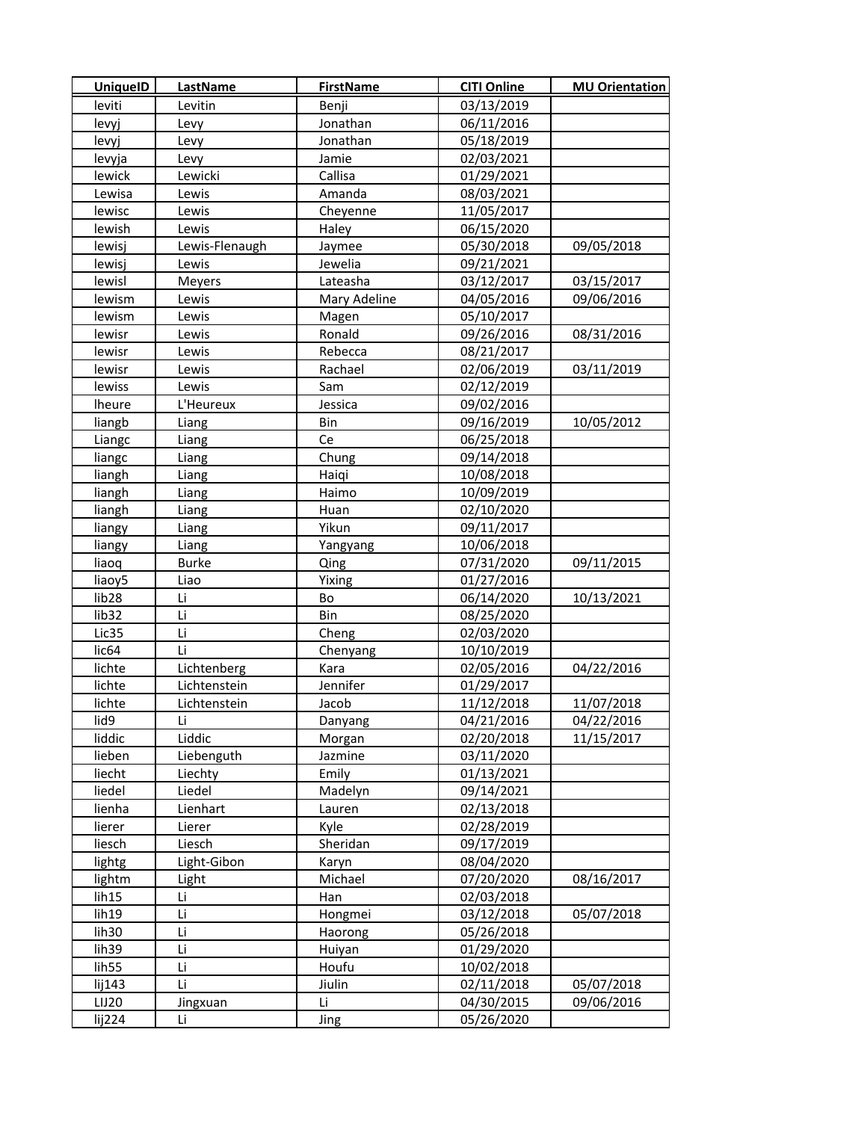| <b>UniquelD</b>   | <b>LastName</b> | <b>FirstName</b> | <b>CITI Online</b> | <b>MU Orientation</b> |
|-------------------|-----------------|------------------|--------------------|-----------------------|
| leviti            | Levitin         | Benji            | 03/13/2019         |                       |
| levyj             | Levy            | Jonathan         | 06/11/2016         |                       |
| levyj             | Levy            | Jonathan         | 05/18/2019         |                       |
| levyja            | Levy            | Jamie            | 02/03/2021         |                       |
| lewick            | Lewicki         | Callisa          | 01/29/2021         |                       |
| Lewisa            | Lewis           | Amanda           | 08/03/2021         |                       |
| lewisc            | Lewis           | Cheyenne         | 11/05/2017         |                       |
| lewish            | Lewis           | Haley            | 06/15/2020         |                       |
| lewisj            | Lewis-Flenaugh  | Jaymee           | 05/30/2018         | 09/05/2018            |
| lewisj            | Lewis           | Jewelia          | 09/21/2021         |                       |
| lewisl            | Meyers          | Lateasha         | 03/12/2017         | 03/15/2017            |
| lewism            | Lewis           | Mary Adeline     | 04/05/2016         | 09/06/2016            |
| lewism            | Lewis           | Magen            | 05/10/2017         |                       |
| lewisr            | Lewis           | Ronald           | 09/26/2016         | 08/31/2016            |
| lewisr            | Lewis           | Rebecca          | 08/21/2017         |                       |
| lewisr            | Lewis           | Rachael          | 02/06/2019         | 03/11/2019            |
| lewiss            | Lewis           | Sam              | 02/12/2019         |                       |
| <b>Iheure</b>     | L'Heureux       | Jessica          | 09/02/2016         |                       |
| liangb            | Liang           | Bin              | 09/16/2019         | 10/05/2012            |
| Liangc            | Liang           | Ce               | 06/25/2018         |                       |
| liangc            | Liang           | Chung            | 09/14/2018         |                       |
| liangh            | Liang           | Haiqi            | 10/08/2018         |                       |
| liangh            | Liang           | Haimo            | 10/09/2019         |                       |
| liangh            | Liang           | Huan             | 02/10/2020         |                       |
| liangy            | Liang           | Yikun            | 09/11/2017         |                       |
| liangy            | Liang           | Yangyang         | 10/06/2018         |                       |
| liaoq             | <b>Burke</b>    | Qing             | 07/31/2020         | 09/11/2015            |
| liaoy5            | Liao            | Yixing           | 01/27/2016         |                       |
| lib <sub>28</sub> | Li              | Bo               | 06/14/2020         | 10/13/2021            |
| lib <sub>32</sub> | Li              | Bin              | 08/25/2020         |                       |
| Lic35             | Li              | Cheng            | 02/03/2020         |                       |
| lic <sub>64</sub> | Li              | Chenyang         | 10/10/2019         |                       |
| lichte            | Lichtenberg     | Kara             | 02/05/2016         | 04/22/2016            |
| lichte            | Lichtenstein    | Jennifer         | 01/29/2017         |                       |
| lichte            | Lichtenstein    | Jacob            | 11/12/2018         | 11/07/2018            |
| lid9              | Li              | Danyang          | 04/21/2016         | 04/22/2016            |
| liddic            | Liddic          | Morgan           | 02/20/2018         | 11/15/2017            |
| lieben            | Liebenguth      | Jazmine          | 03/11/2020         |                       |
| liecht            | Liechty         | Emily            | 01/13/2021         |                       |
| liedel            | Liedel          | Madelyn          | 09/14/2021         |                       |
| lienha            | Lienhart        | Lauren           | 02/13/2018         |                       |
| lierer            | Lierer          | Kyle             | 02/28/2019         |                       |
| liesch            | Liesch          | Sheridan         | 09/17/2019         |                       |
| lightg            | Light-Gibon     | Karyn            | 08/04/2020         |                       |
| lightm            | Light           | Michael          | 07/20/2020         | 08/16/2017            |
| lih15             | Li              | Han              | 02/03/2018         |                       |
| lih19             | Li              | Hongmei          | 03/12/2018         | 05/07/2018            |
| lih <sub>30</sub> | Li              | Haorong          | 05/26/2018         |                       |
| lih39             | Li              | Huiyan           | 01/29/2020         |                       |
| lih <sub>55</sub> | Li              | Houfu            | 10/02/2018         |                       |
| lij143            | Li              | Jiulin           | 02/11/2018         | 05/07/2018            |
| LIJ20             | Jingxuan        | Li               | 04/30/2015         | 09/06/2016            |
| lij224            | Li              | Jing             | 05/26/2020         |                       |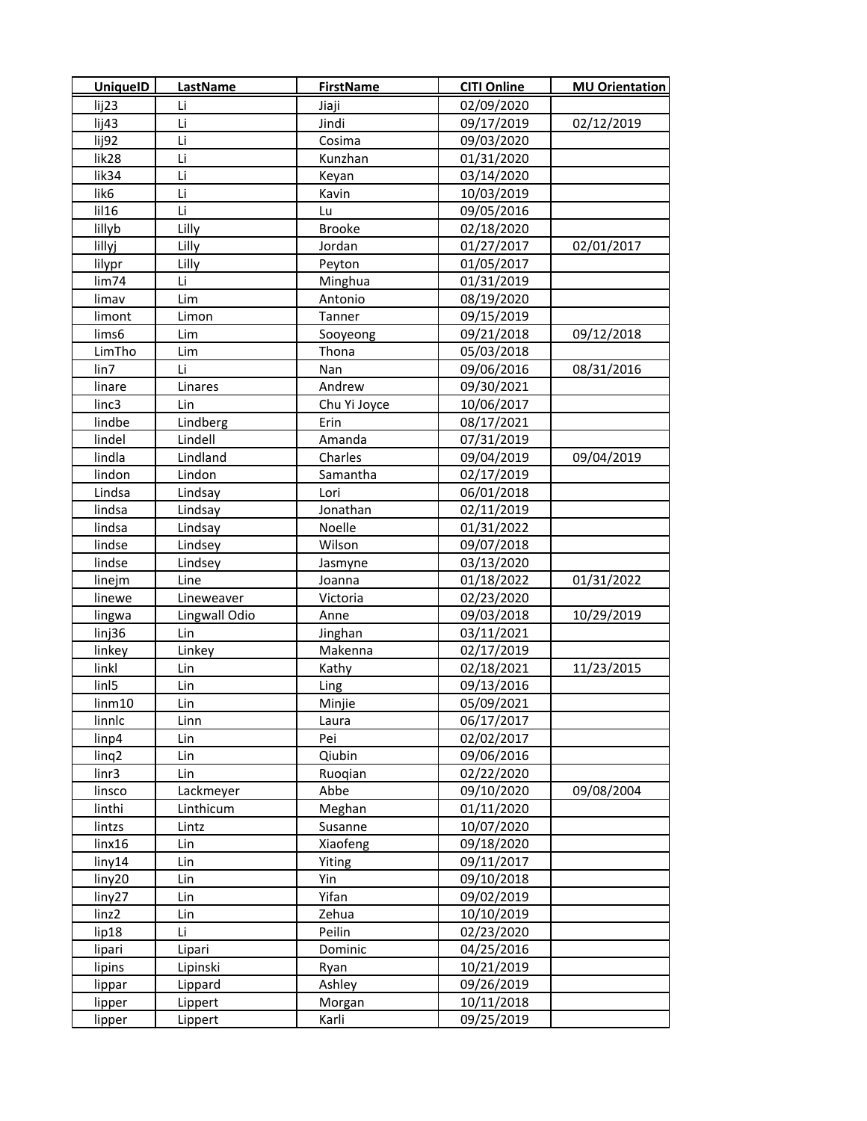| <b>UniquelD</b>    | <b>LastName</b> | <b>FirstName</b> | <b>CITI Online</b> | <b>MU Orientation</b> |
|--------------------|-----------------|------------------|--------------------|-----------------------|
| lij23              | Li              | Jiaji            | 02/09/2020         |                       |
| lij43              | Li              | Jindi            | 09/17/2019         | 02/12/2019            |
| lij92              | Li              | Cosima           | 09/03/2020         |                       |
| lik28              | Li              | Kunzhan          | 01/31/2020         |                       |
| lik34              | Li              | Keyan            | 03/14/2020         |                       |
| lik6               | Li              | Kavin            | 10/03/2019         |                       |
| $I$ il 16          | Li              | Lu               | 09/05/2016         |                       |
| lillyb             | Lilly           | Brooke           | 02/18/2020         |                       |
| lillyj             | Lilly           | Jordan           | 01/27/2017         | 02/01/2017            |
| lilypr             | Lilly           | Peyton           | 01/05/2017         |                       |
| lim74              | Li              | Minghua          | 01/31/2019         |                       |
| limav              | Lim             | Antonio          | 08/19/2020         |                       |
| limont             | Limon           | Tanner           | 09/15/2019         |                       |
| lims6              | Lim             | Sooyeong         | 09/21/2018         | 09/12/2018            |
| LimTho             | Lim             | Thona            | 05/03/2018         |                       |
| lin7               | Li              | Nan              | 09/06/2016         | 08/31/2016            |
| linare             | Linares         | Andrew           | 09/30/2021         |                       |
| linc3              | Lin             | Chu Yi Joyce     | 10/06/2017         |                       |
| lindbe             | Lindberg        | Erin             | 08/17/2021         |                       |
| lindel             | Lindell         | Amanda           | 07/31/2019         |                       |
| lindla             | Lindland        | Charles          | 09/04/2019         | 09/04/2019            |
| lindon             | Lindon          | Samantha         | 02/17/2019         |                       |
| Lindsa             | Lindsay         | Lori             | 06/01/2018         |                       |
| lindsa             | Lindsay         | Jonathan         | 02/11/2019         |                       |
| lindsa             | Lindsay         | Noelle           | 01/31/2022         |                       |
| lindse             | Lindsey         | Wilson           | 09/07/2018         |                       |
| lindse             | Lindsey         | Jasmyne          | 03/13/2020         |                       |
| linejm             | Line            | Joanna           | 01/18/2022         | 01/31/2022            |
| linewe             | Lineweaver      | Victoria         | 02/23/2020         |                       |
| lingwa             | Lingwall Odio   | Anne             | 09/03/2018         | 10/29/2019            |
| linj36             | Lin             | Jinghan          | 03/11/2021         |                       |
| linkey             | Linkey          | Makenna          | 02/17/2019         |                       |
| linkl              | Lin             | Kathy            | 02/18/2021         | 11/23/2015            |
| linl <sub>5</sub>  | Lin             | Ling             | 09/13/2016         |                       |
| lim <sub>m10</sub> | Lin             | Minjie           | 05/09/2021         |                       |
| linnlc             | Linn            | Laura            | 06/17/2017         |                       |
| linp4              | Lin             | Pei              | 02/02/2017         |                       |
| ling <sub>2</sub>  | Lin             | Qiubin           | 09/06/2016         |                       |
| $\lim$ 3           | Lin             | Ruogian          | 02/22/2020         |                       |
| linsco             | Lackmeyer       | Abbe             | 09/10/2020         | 09/08/2004            |
| linthi             | Linthicum       | Meghan           | 01/11/2020         |                       |
| lintzs             | Lintz           | Susanne          | 10/07/2020         |                       |
| linx16             | Lin             | Xiaofeng         | 09/18/2020         |                       |
| liny14             | Lin             | Yiting           | 09/11/2017         |                       |
| liny20             | Lin             | Yin              | 09/10/2018         |                       |
| liny27             | Lin             | Yifan            | 09/02/2019         |                       |
| linz2              | Lin             | Zehua            | 10/10/2019         |                       |
| lip18              | Li              | Peilin           | 02/23/2020         |                       |
| lipari             | Lipari          | Dominic          | 04/25/2016         |                       |
| lipins             | Lipinski        | Ryan             | 10/21/2019         |                       |
| lippar             | Lippard         | Ashley           | 09/26/2019         |                       |
| lipper             | Lippert         | Morgan           | 10/11/2018         |                       |
| lipper             | Lippert         | Karli            | 09/25/2019         |                       |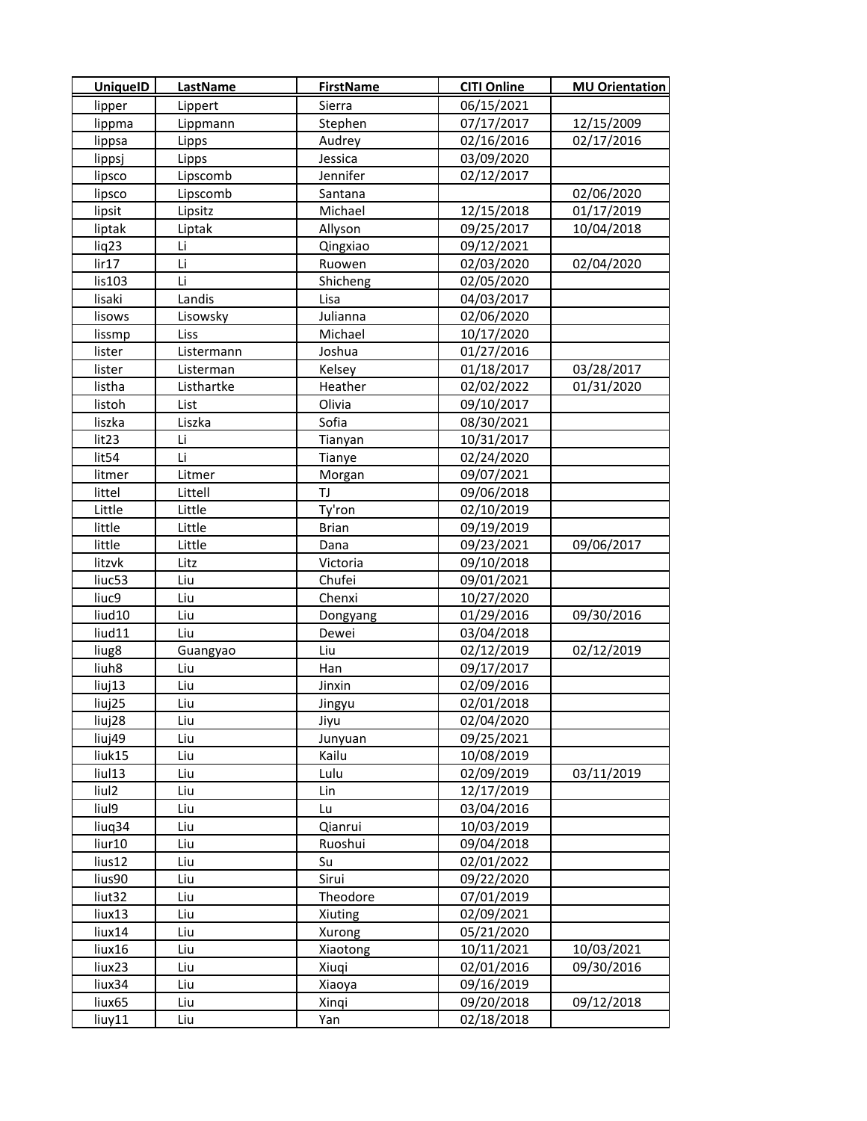| <b>UniquelD</b>   | <b>LastName</b> | <b>FirstName</b> | <b>CITI Online</b> | <b>MU Orientation</b> |
|-------------------|-----------------|------------------|--------------------|-----------------------|
| lipper            | Lippert         | Sierra           | 06/15/2021         |                       |
| lippma            | Lippmann        | Stephen          | 07/17/2017         | 12/15/2009            |
| lippsa            | Lipps           | Audrey           | 02/16/2016         | 02/17/2016            |
| lippsj            | Lipps           | Jessica          | 03/09/2020         |                       |
| lipsco            | Lipscomb        | Jennifer         | 02/12/2017         |                       |
| lipsco            | Lipscomb        | Santana          |                    | 02/06/2020            |
| lipsit            | Lipsitz         | Michael          | 12/15/2018         | 01/17/2019            |
| liptak            | Liptak          | Allyson          | 09/25/2017         | 10/04/2018            |
| liq23             | Li              | Qingxiao         | 09/12/2021         |                       |
| lir17             | Li              | Ruowen           | 02/03/2020         | 02/04/2020            |
| lis103            | Li              | Shicheng         | 02/05/2020         |                       |
| lisaki            | Landis          | Lisa             | 04/03/2017         |                       |
| lisows            | Lisowsky        | Julianna         | 02/06/2020         |                       |
| lissmp            | Liss            | Michael          | 10/17/2020         |                       |
| lister            | Listermann      | Joshua           | 01/27/2016         |                       |
| lister            | Listerman       | Kelsey           | 01/18/2017         | 03/28/2017            |
| listha            | Listhartke      | Heather          | 02/02/2022         | 01/31/2020            |
| listoh            | List            | Olivia           | 09/10/2017         |                       |
| liszka            | Liszka          | Sofia            | 08/30/2021         |                       |
| lit23             | Li              | Tianyan          | 10/31/2017         |                       |
| lit54             | Li              | Tianye           | 02/24/2020         |                       |
| litmer            | Litmer          | Morgan           | 09/07/2021         |                       |
| littel            | Littell         | TJ               | 09/06/2018         |                       |
| Little            | Little          | Ty'ron           | 02/10/2019         |                       |
| little            | Little          | <b>Brian</b>     | 09/19/2019         |                       |
| little            | Little          | Dana             | 09/23/2021         | 09/06/2017            |
| litzvk            | Litz            | Victoria         | 09/10/2018         |                       |
| liuc53            | Liu             | Chufei           | 09/01/2021         |                       |
| liuc9             | Liu             | Chenxi           | 10/27/2020         |                       |
| liud10            | Liu             | Dongyang         | 01/29/2016         | 09/30/2016            |
| liud11            | Liu             | Dewei            | 03/04/2018         |                       |
| liug8             | Guangyao        | Liu              | 02/12/2019         | 02/12/2019            |
| liuh8             | Liu             | Han              | 09/17/2017         |                       |
| liuj13            | Liu             | Jinxin           | 02/09/2016         |                       |
| liuj25            | Liu             | Jingyu           | 02/01/2018         |                       |
| liuj28            | Liu             | Jiyu             | 02/04/2020         |                       |
| liuj49            | Liu             | Junyuan          | 09/25/2021         |                       |
| liuk15            | Liu             | Kailu            | 10/08/2019         |                       |
| liul13            | Liu             | Lulu             | 02/09/2019         | 03/11/2019            |
| liul <sub>2</sub> | Liu             | Lin              | 12/17/2019         |                       |
| liul9             | Liu             | Lu               | 03/04/2016         |                       |
| liuq34            | Liu             | Qianrui          | 10/03/2019         |                       |
| liur10            | Liu             | Ruoshui          | 09/04/2018         |                       |
| lius12            | Liu             | Su               | 02/01/2022         |                       |
| lius90            | Liu             | Sirui            | 09/22/2020         |                       |
| liut32            | Liu             | Theodore         | 07/01/2019         |                       |
| liux13            | Liu             | Xiuting          | 02/09/2021         |                       |
| liux14            | Liu             | Xurong           | 05/21/2020         |                       |
| liux16            | Liu             | Xiaotong         | 10/11/2021         | 10/03/2021            |
| liux23            | Liu             | Xiuqi            | 02/01/2016         | 09/30/2016            |
| liux34            | Liu             | Xiaoya           | 09/16/2019         |                       |
| liux65            | Liu             | Xinqi            | 09/20/2018         | 09/12/2018            |
| liuy11            | Liu             | Yan              | 02/18/2018         |                       |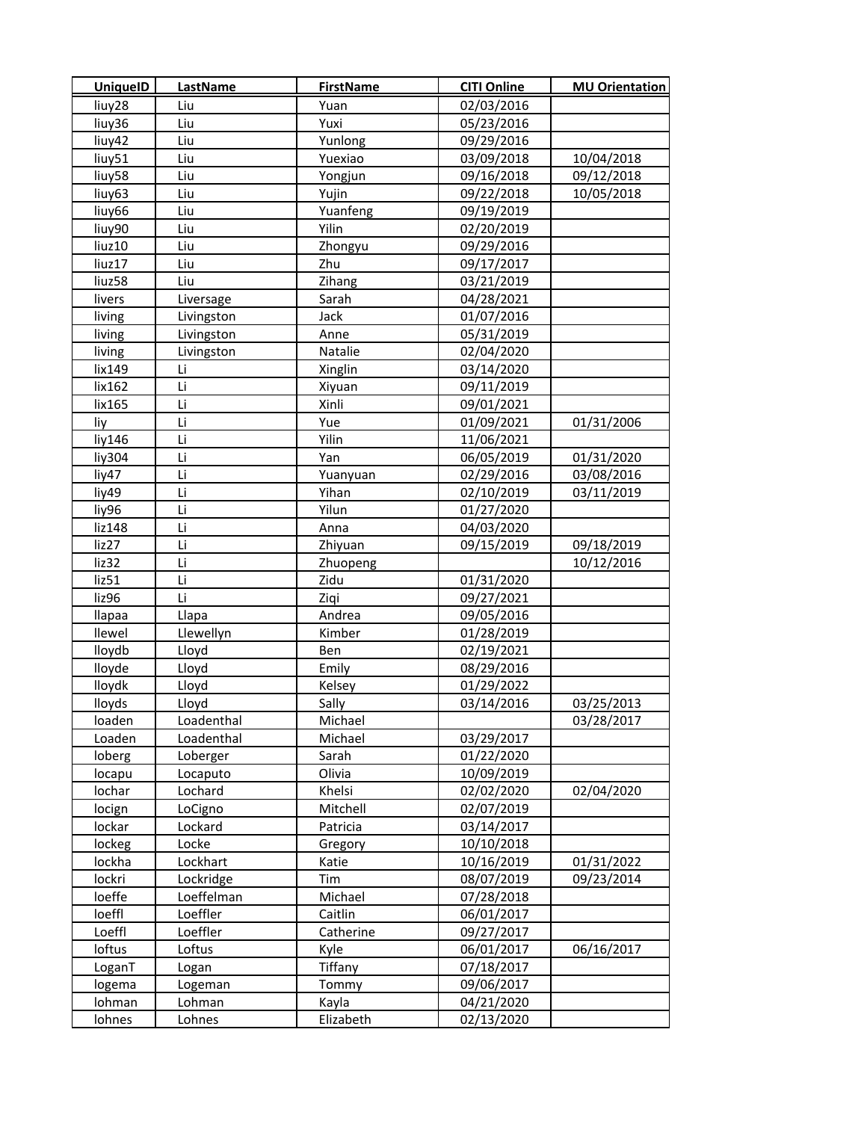| <b>UniquelD</b>    | <b>LastName</b> | <b>FirstName</b> | <b>CITI Online</b> | <b>MU Orientation</b> |
|--------------------|-----------------|------------------|--------------------|-----------------------|
| liuy28             | Liu             | Yuan             | 02/03/2016         |                       |
| liuy36             | Liu             | Yuxi             | 05/23/2016         |                       |
| liuy42             | Liu             | Yunlong          | 09/29/2016         |                       |
| liuy51             | Liu             | Yuexiao          | 03/09/2018         | 10/04/2018            |
| liuy58             | Liu             | Yongjun          | 09/16/2018         | 09/12/2018            |
| liuy63             | Liu             | Yujin            | 09/22/2018         | 10/05/2018            |
| liuy66             | Liu             | Yuanfeng         | 09/19/2019         |                       |
| liuy90             | Liu             | Yilin            | 02/20/2019         |                       |
| liuz10             | Liu             | Zhongyu          | 09/29/2016         |                       |
| liuz17             | Liu             | Zhu              | 09/17/2017         |                       |
| liuz <sub>58</sub> | Liu             | Zihang           | 03/21/2019         |                       |
| livers             | Liversage       | Sarah            | 04/28/2021         |                       |
| living             | Livingston      | Jack             | 01/07/2016         |                       |
| living             | Livingston      | Anne             | 05/31/2019         |                       |
| living             | Livingston      | Natalie          | 02/04/2020         |                       |
| lix149             | Li              | Xinglin          | 03/14/2020         |                       |
| lix162             | Li              | Xiyuan           | 09/11/2019         |                       |
| lix165             | Li              | Xinli            | 09/01/2021         |                       |
| liy                | Li              | Yue              | 01/09/2021         | 01/31/2006            |
| liy146             | Li              | Yilin            | 11/06/2021         |                       |
| liy304             | Li              | Yan              | 06/05/2019         | 01/31/2020            |
| liy47              | Li              | Yuanyuan         | 02/29/2016         | 03/08/2016            |
| liy49              | Li              | Yihan            | 02/10/2019         | 03/11/2019            |
| liy96              | Li              | Yilun            | 01/27/2020         |                       |
| liz148             | Li              | Anna             | 04/03/2020         |                       |
| liz27              | Li              | Zhiyuan          | 09/15/2019         | 09/18/2019            |
| liz32              | Li              | Zhuopeng         |                    | 10/12/2016            |
| liz51              | Li              | Zidu             | 01/31/2020         |                       |
| liz96              | Li              | Ziqi             | 09/27/2021         |                       |
| llapaa             | Llapa           | Andrea           | 09/05/2016         |                       |
| llewel             | Llewellyn       | Kimber           | 01/28/2019         |                       |
| lloydb             | Lloyd           | Ben              | 02/19/2021         |                       |
| lloyde             | Lloyd           | Emily            | 08/29/2016         |                       |
| lloydk             | Lloyd           | Kelsey           | 01/29/2022         |                       |
| lloyds             | Lloyd           | Sally            | 03/14/2016         | 03/25/2013            |
| loaden             | Loadenthal      | Michael          |                    | 03/28/2017            |
| Loaden             | Loadenthal      | Michael          | 03/29/2017         |                       |
| loberg             | Loberger        | Sarah            | 01/22/2020         |                       |
| locapu             | Locaputo        | Olivia           | 10/09/2019         |                       |
| lochar             | Lochard         | Khelsi           | 02/02/2020         | 02/04/2020            |
| locign             | LoCigno         | Mitchell         | 02/07/2019         |                       |
| lockar             | Lockard         | Patricia         | 03/14/2017         |                       |
| lockeg             | Locke           | Gregory          | 10/10/2018         |                       |
| lockha             | Lockhart        | Katie            | 10/16/2019         | 01/31/2022            |
| lockri             | Lockridge       | Tim              | 08/07/2019         | 09/23/2014            |
| loeffe             | Loeffelman      | Michael          | 07/28/2018         |                       |
| loeffl             | Loeffler        | Caitlin          | 06/01/2017         |                       |
| Loeffl             | Loeffler        | Catherine        | 09/27/2017         |                       |
| loftus             | Loftus          | Kyle             | 06/01/2017         | 06/16/2017            |
| LoganT             | Logan           | Tiffany          | 07/18/2017         |                       |
| logema             | Logeman         | Tommy            | 09/06/2017         |                       |
| lohman             | Lohman          | Kayla            | 04/21/2020         |                       |
| lohnes             | Lohnes          | Elizabeth        | 02/13/2020         |                       |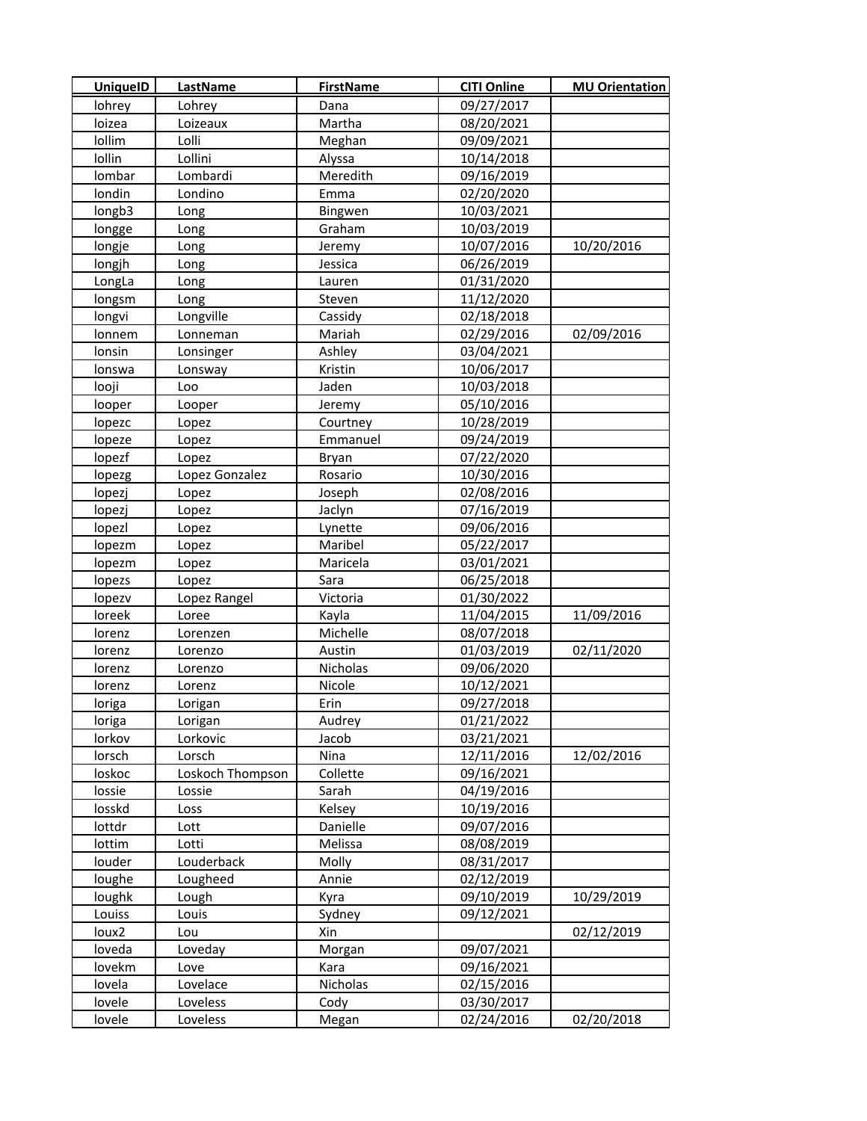| <b>UniquelD</b> | <b>LastName</b>  | <b>FirstName</b> | <b>CITI Online</b> | <b>MU Orientation</b> |
|-----------------|------------------|------------------|--------------------|-----------------------|
| lohrey          | Lohrey           | Dana             | 09/27/2017         |                       |
| loizea          | Loizeaux         | Martha           | 08/20/2021         |                       |
| lollim          | Lolli            | Meghan           | 09/09/2021         |                       |
| lollin          | Lollini          | Alyssa           | 10/14/2018         |                       |
| lombar          | Lombardi         | Meredith         | 09/16/2019         |                       |
| londin          | Londino          | Emma             | 02/20/2020         |                       |
| longb3          | Long             | Bingwen          | 10/03/2021         |                       |
| longge          | Long             | Graham           | 10/03/2019         |                       |
| longje          | Long             | Jeremy           | 10/07/2016         | 10/20/2016            |
| longjh          | Long             | Jessica          | 06/26/2019         |                       |
| LongLa          | Long             | Lauren           | 01/31/2020         |                       |
| longsm          | Long             | Steven           | 11/12/2020         |                       |
| longvi          | Longville        | Cassidy          | 02/18/2018         |                       |
| lonnem          | Lonneman         | Mariah           | 02/29/2016         | 02/09/2016            |
| lonsin          | Lonsinger        | Ashley           | 03/04/2021         |                       |
| lonswa          | Lonsway          | Kristin          | 10/06/2017         |                       |
| looji           | Loo              | Jaden            | 10/03/2018         |                       |
| looper          | Looper           | Jeremy           | 05/10/2016         |                       |
| lopezc          | Lopez            | Courtney         | 10/28/2019         |                       |
| lopeze          | Lopez            | Emmanuel         | 09/24/2019         |                       |
| lopezf          | Lopez            | Bryan            | 07/22/2020         |                       |
| lopezg          | Lopez Gonzalez   | Rosario          | 10/30/2016         |                       |
| lopezj          | Lopez            | Joseph           | 02/08/2016         |                       |
| lopezj          | Lopez            | Jaclyn           | 07/16/2019         |                       |
| lopezl          | Lopez            | Lynette          | 09/06/2016         |                       |
| lopezm          | Lopez            | Maribel          | 05/22/2017         |                       |
| lopezm          | Lopez            | Maricela         | 03/01/2021         |                       |
| lopezs          | Lopez            | Sara             | 06/25/2018         |                       |
| lopezv          | Lopez Rangel     | Victoria         | 01/30/2022         |                       |
| loreek          | Loree            | Kayla            | 11/04/2015         | 11/09/2016            |
| lorenz          | Lorenzen         | Michelle         | 08/07/2018         |                       |
| lorenz          | Lorenzo          | Austin           | 01/03/2019         | 02/11/2020            |
| lorenz          | Lorenzo          | Nicholas         | 09/06/2020         |                       |
| lorenz          | Lorenz           | Nicole           | 10/12/2021         |                       |
| loriga          | Lorigan          | Erin             | 09/27/2018         |                       |
| loriga          | Lorigan          | Audrey           | 01/21/2022         |                       |
| lorkov          | Lorkovic         | Jacob            | 03/21/2021         |                       |
| lorsch          | Lorsch           | Nina             | 12/11/2016         | 12/02/2016            |
| loskoc          | Loskoch Thompson | Collette         | 09/16/2021         |                       |
| lossie          | Lossie           | Sarah            | 04/19/2016         |                       |
| losskd          | Loss             | Kelsey           | 10/19/2016         |                       |
| lottdr          | Lott             | Danielle         | 09/07/2016         |                       |
| lottim          | Lotti            | Melissa          | 08/08/2019         |                       |
| louder          | Louderback       | Molly            | 08/31/2017         |                       |
| loughe          | Lougheed         | Annie            | 02/12/2019         |                       |
| loughk          | Lough            | Kyra             | 09/10/2019         | 10/29/2019            |
| Louiss          | Louis            | Sydney           | 09/12/2021         |                       |
| loux2           | Lou              | Xin              |                    | 02/12/2019            |
| loveda          | Loveday          | Morgan           | 09/07/2021         |                       |
| lovekm          | Love             | Kara             | 09/16/2021         |                       |
| lovela          | Lovelace         | Nicholas         | 02/15/2016         |                       |
| lovele          | Loveless         | Cody             | 03/30/2017         |                       |
| lovele          | Loveless         | Megan            | 02/24/2016         | 02/20/2018            |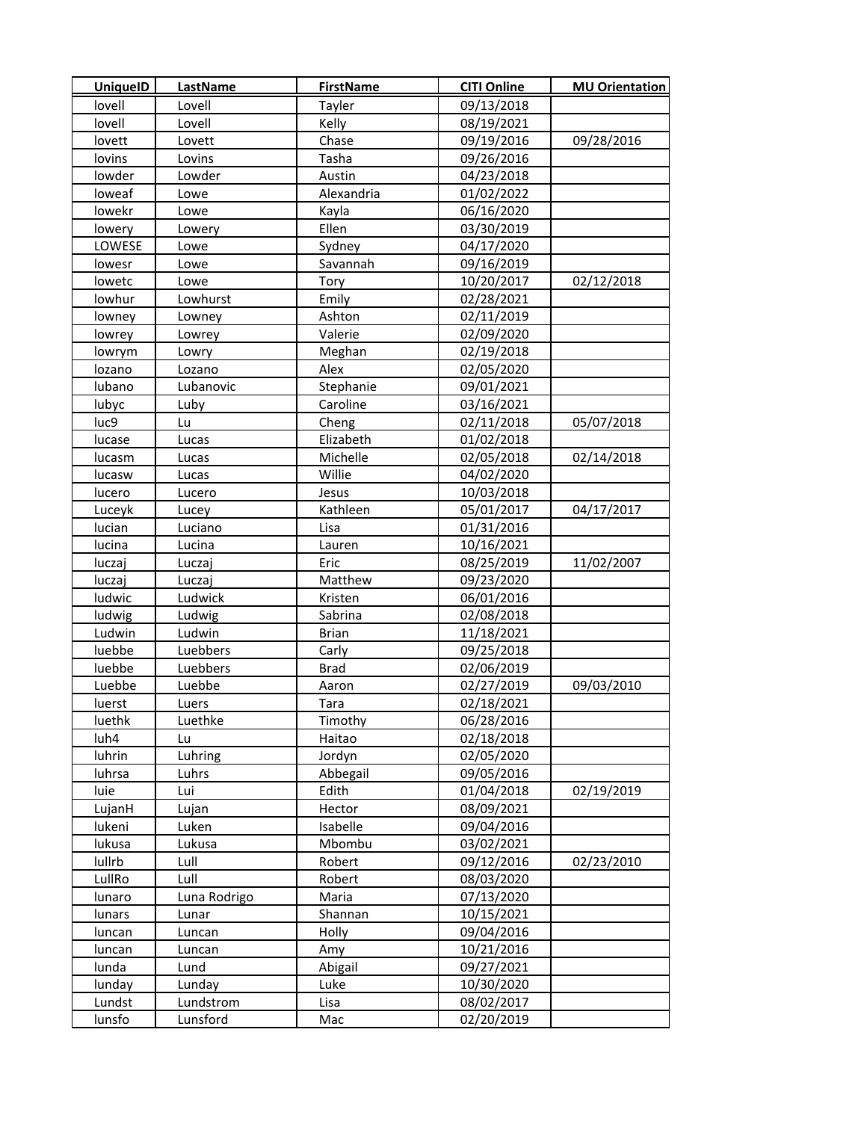| <b>UniquelD</b> | LastName     | <b>FirstName</b> | <b>CITI Online</b> | <b>MU Orientation</b> |
|-----------------|--------------|------------------|--------------------|-----------------------|
| lovell          | Lovell       | Tayler           | 09/13/2018         |                       |
| lovell          | Lovell       | Kelly            | 08/19/2021         |                       |
| lovett          | Lovett       | Chase            | 09/19/2016         | 09/28/2016            |
| lovins          | Lovins       | Tasha            | 09/26/2016         |                       |
| lowder          | Lowder       | Austin           | 04/23/2018         |                       |
| loweaf          | Lowe         | Alexandria       | 01/02/2022         |                       |
| lowekr          | Lowe         | Kayla            | 06/16/2020         |                       |
| lowery          | Lowery       | Ellen            | 03/30/2019         |                       |
| LOWESE          | Lowe         | Sydney           | 04/17/2020         |                       |
| lowesr          | Lowe         | Savannah         | 09/16/2019         |                       |
| lowetc          | Lowe         | Tory             | 10/20/2017         | 02/12/2018            |
| lowhur          | Lowhurst     | Emily            | 02/28/2021         |                       |
| lowney          | Lowney       | Ashton           | 02/11/2019         |                       |
| lowrey          | Lowrey       | Valerie          | 02/09/2020         |                       |
| lowrym          | Lowry        | Meghan           | 02/19/2018         |                       |
| lozano          | Lozano       | Alex             | 02/05/2020         |                       |
| lubano          | Lubanovic    | Stephanie        | 09/01/2021         |                       |
| lubyc           | Luby         | Caroline         | 03/16/2021         |                       |
| luc9            | Lu           | Cheng            | 02/11/2018         | 05/07/2018            |
| lucase          | Lucas        | Elizabeth        | 01/02/2018         |                       |
| lucasm          | Lucas        | Michelle         | 02/05/2018         | 02/14/2018            |
| lucasw          | Lucas        | Willie           | 04/02/2020         |                       |
| lucero          | Lucero       | Jesus            | 10/03/2018         |                       |
| Luceyk          | Lucey        | Kathleen         | 05/01/2017         | 04/17/2017            |
| lucian          | Luciano      | Lisa             | 01/31/2016         |                       |
| lucina          | Lucina       | Lauren           | 10/16/2021         |                       |
| luczaj          | Luczaj       | Eric             | 08/25/2019         | 11/02/2007            |
| luczaj          | Luczaj       | Matthew          | 09/23/2020         |                       |
| ludwic          | Ludwick      | Kristen          | 06/01/2016         |                       |
| ludwig          | Ludwig       | Sabrina          | 02/08/2018         |                       |
| Ludwin          | Ludwin       | <b>Brian</b>     | 11/18/2021         |                       |
| luebbe          | Luebbers     | Carly            | 09/25/2018         |                       |
| luebbe          | Luebbers     | <b>Brad</b>      | 02/06/2019         |                       |
| Luebbe          | Luebbe       | Aaron            | 02/27/2019         | 09/03/2010            |
| luerst          | Luers        | Tara             | 02/18/2021         |                       |
| luethk          | Luethke      | Timothy          | 06/28/2016         |                       |
| luh4            | Lu           | Haitao           | 02/18/2018         |                       |
| luhrin          | Luhring      | Jordyn           | 02/05/2020         |                       |
| luhrsa          | Luhrs        | Abbegail         | 09/05/2016         |                       |
| luie            | Lui          | Edith            | 01/04/2018         | 02/19/2019            |
| LujanH          | Lujan        | Hector           | 08/09/2021         |                       |
| lukeni          | Luken        | Isabelle         | 09/04/2016         |                       |
| lukusa          | Lukusa       | Mbombu           | 03/02/2021         |                       |
| lullrb          | Lull         | Robert           | 09/12/2016         | 02/23/2010            |
| LullRo          | Lull         | Robert           | 08/03/2020         |                       |
| lunaro          | Luna Rodrigo | Maria            | 07/13/2020         |                       |
| lunars          | Lunar        | Shannan          | 10/15/2021         |                       |
| luncan          | Luncan       | Holly            | 09/04/2016         |                       |
| luncan          | Luncan       | Amy              | 10/21/2016         |                       |
| lunda           | Lund         | Abigail          | 09/27/2021         |                       |
| lunday          | Lunday       | Luke             | 10/30/2020         |                       |
| Lundst          | Lundstrom    | Lisa             | 08/02/2017         |                       |
| lunsfo          | Lunsford     | Mac              | 02/20/2019         |                       |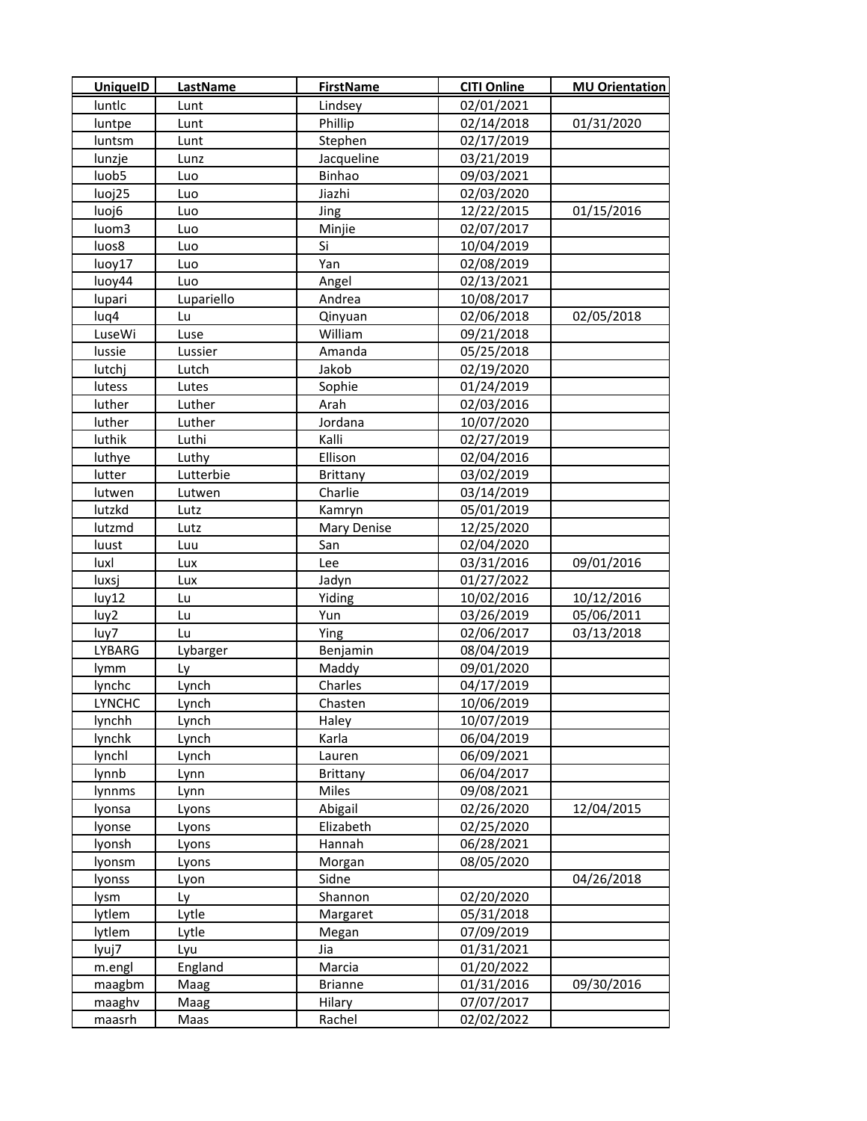| <b>UniquelD</b> | <b>LastName</b> | <b>FirstName</b> | <b>CITI Online</b> | <b>MU Orientation</b> |
|-----------------|-----------------|------------------|--------------------|-----------------------|
| luntlc          | Lunt            | Lindsey          | 02/01/2021         |                       |
| luntpe          | Lunt            | Phillip          | 02/14/2018         | 01/31/2020            |
| luntsm          | Lunt            | Stephen          | 02/17/2019         |                       |
| lunzje          | Lunz            | Jacqueline       | 03/21/2019         |                       |
| luob5           | Luo             | Binhao           | 09/03/2021         |                       |
| luoj25          | Luo             | Jiazhi           | 02/03/2020         |                       |
| luoj6           | Luo             | Jing             | 12/22/2015         | 01/15/2016            |
| luom3           | Luo             | Minjie           | 02/07/2017         |                       |
| luos8           | Luo             | Si               | 10/04/2019         |                       |
| luoy17          | Luo             | Yan              | 02/08/2019         |                       |
| luoy44          | Luo             | Angel            | 02/13/2021         |                       |
| lupari          | Lupariello      | Andrea           | 10/08/2017         |                       |
| luq4            | Lu              | Qinyuan          | 02/06/2018         | 02/05/2018            |
| LuseWi          | Luse            | William          | 09/21/2018         |                       |
| lussie          | Lussier         | Amanda           | 05/25/2018         |                       |
| lutchj          | Lutch           | Jakob            | 02/19/2020         |                       |
| lutess          | Lutes           | Sophie           | 01/24/2019         |                       |
| luther          | Luther          | Arah             | 02/03/2016         |                       |
| luther          | Luther          | Jordana          | 10/07/2020         |                       |
| luthik          | Luthi           | Kalli            | 02/27/2019         |                       |
| luthye          | Luthy           | Ellison          | 02/04/2016         |                       |
| lutter          | Lutterbie       | <b>Brittany</b>  | 03/02/2019         |                       |
| lutwen          | Lutwen          | Charlie          | 03/14/2019         |                       |
| lutzkd          | Lutz            | Kamryn           | 05/01/2019         |                       |
| lutzmd          | Lutz            | Mary Denise      | 12/25/2020         |                       |
| luust           | Luu             | San              | 02/04/2020         |                       |
| luxl            | Lux             | Lee              | 03/31/2016         | 09/01/2016            |
| luxsj           | Lux             | Jadyn            | 01/27/2022         |                       |
| luy12           | Lu              | <b>Yiding</b>    | 10/02/2016         | 10/12/2016            |
| luy2            | Lu              | Yun              | 03/26/2019         | 05/06/2011            |
| luy7            | Lu              | Ying             | 02/06/2017         | 03/13/2018            |
| LYBARG          | Lybarger        | Benjamin         | 08/04/2019         |                       |
| lymm            | Ly              | Maddy            | 09/01/2020         |                       |
| lynchc          | Lynch           | Charles          | 04/17/2019         |                       |
| <b>LYNCHC</b>   | Lynch           | Chasten          | 10/06/2019         |                       |
| lynchh          | Lynch           | Haley            | 10/07/2019         |                       |
| lynchk          | Lynch           | Karla            | 06/04/2019         |                       |
| lynchl          | Lynch           | Lauren           | 06/09/2021         |                       |
| lynnb           | Lynn            | <b>Brittany</b>  | 06/04/2017         |                       |
| lynnms          | Lynn            | Miles            | 09/08/2021         |                       |
| lyonsa          | Lyons           | Abigail          | 02/26/2020         | 12/04/2015            |
| lyonse          | Lyons           | Elizabeth        | 02/25/2020         |                       |
| lyonsh          | Lyons           | Hannah           | 06/28/2021         |                       |
| lyonsm          | Lyons           | Morgan           | 08/05/2020         |                       |
| lyonss          | Lyon            | Sidne            |                    | 04/26/2018            |
| lysm            | Ly              | Shannon          | 02/20/2020         |                       |
| lytlem          | Lytle           | Margaret         | 05/31/2018         |                       |
| lytlem          | Lytle           | Megan            | 07/09/2019         |                       |
| lyuj7           | Lyu             | Jia              | 01/31/2021         |                       |
| m.engl          | England         | Marcia           | 01/20/2022         |                       |
| maagbm          | Maag            | <b>Brianne</b>   | 01/31/2016         | 09/30/2016            |
| maaghv          | Maag            | Hilary           | 07/07/2017         |                       |
| maasrh          | Maas            | Rachel           | 02/02/2022         |                       |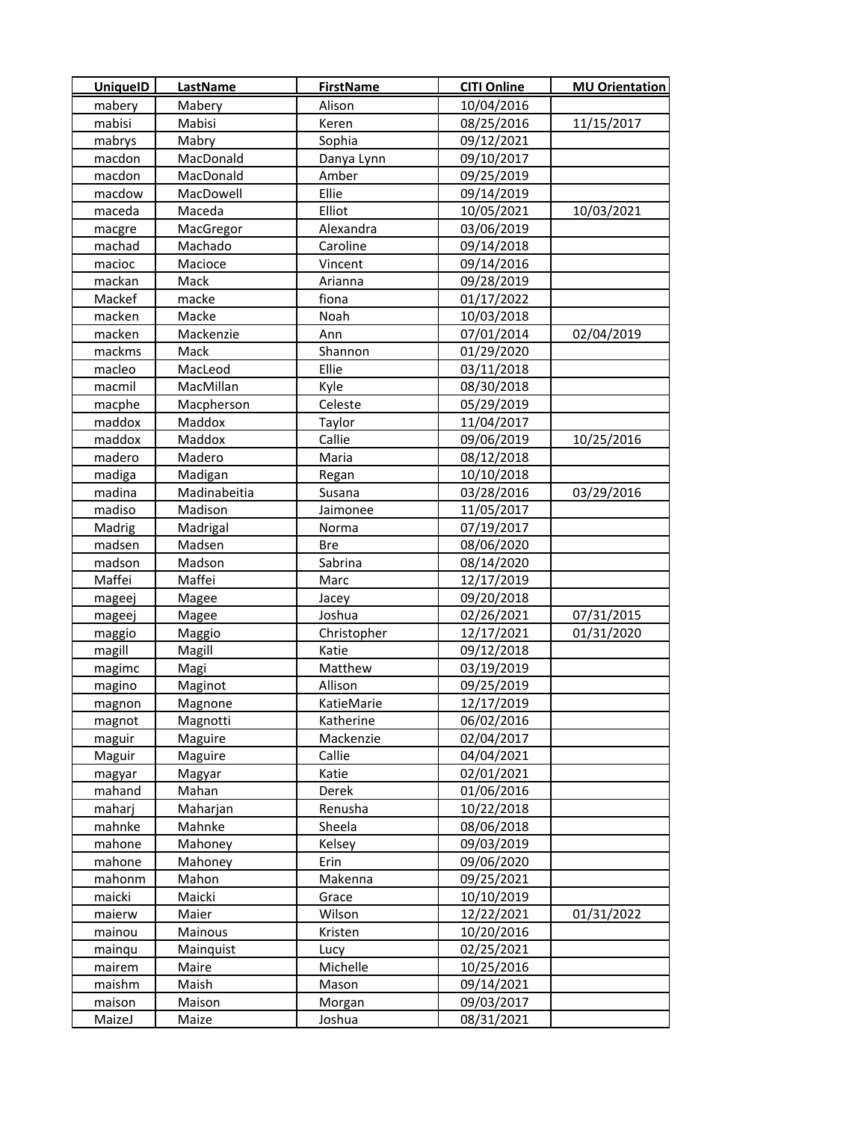| <b>UniquelD</b> | <b>LastName</b> | <b>FirstName</b> | <b>CITI Online</b> | <b>MU Orientation</b> |
|-----------------|-----------------|------------------|--------------------|-----------------------|
| mabery          | Mabery          | Alison           | 10/04/2016         |                       |
| mabisi          | Mabisi          | Keren            | 08/25/2016         | 11/15/2017            |
| mabrys          | Mabry           | Sophia           | 09/12/2021         |                       |
| macdon          | MacDonald       | Danya Lynn       | 09/10/2017         |                       |
| macdon          | MacDonald       | Amber            | 09/25/2019         |                       |
| macdow          | MacDowell       | Ellie            | 09/14/2019         |                       |
| maceda          | Maceda          | Elliot           | 10/05/2021         | 10/03/2021            |
| macgre          | MacGregor       | Alexandra        | 03/06/2019         |                       |
| machad          | Machado         | Caroline         | 09/14/2018         |                       |
| macioc          | Macioce         | Vincent          | 09/14/2016         |                       |
| mackan          | Mack            | Arianna          | 09/28/2019         |                       |
| Mackef          | macke           | fiona            | 01/17/2022         |                       |
| macken          | Macke           | Noah             | 10/03/2018         |                       |
| macken          | Mackenzie       | Ann              | 07/01/2014         | 02/04/2019            |
| mackms          | Mack            | Shannon          | 01/29/2020         |                       |
| macleo          | MacLeod         | Ellie            | 03/11/2018         |                       |
| macmil          | MacMillan       | Kyle             | 08/30/2018         |                       |
| macphe          | Macpherson      | Celeste          | 05/29/2019         |                       |
| maddox          | Maddox          | Taylor           | 11/04/2017         |                       |
| maddox          | Maddox          | Callie           | 09/06/2019         | 10/25/2016            |
| madero          | Madero          | Maria            | 08/12/2018         |                       |
| madiga          | Madigan         | Regan            | 10/10/2018         |                       |
| madina          | Madinabeitia    | Susana           | 03/28/2016         | 03/29/2016            |
| madiso          | Madison         | Jaimonee         | 11/05/2017         |                       |
| Madrig          | Madrigal        | Norma            | 07/19/2017         |                       |
| madsen          | Madsen          | <b>Bre</b>       | 08/06/2020         |                       |
| madson          | Madson          | Sabrina          | 08/14/2020         |                       |
| Maffei          | Maffei          | Marc             | 12/17/2019         |                       |
| mageej          | Magee           | Jacey            | 09/20/2018         |                       |
| mageej          | Magee           | Joshua           | 02/26/2021         | 07/31/2015            |
| maggio          | Maggio          | Christopher      | 12/17/2021         | 01/31/2020            |
| magill          | Magill          | Katie            | 09/12/2018         |                       |
| magimc          | Magi            | Matthew          | 03/19/2019         |                       |
| magino          | Maginot         | Allison          | 09/25/2019         |                       |
| magnon          | Magnone         | KatieMarie       | 12/17/2019         |                       |
| magnot          | Magnotti        | Katherine        | 06/02/2016         |                       |
| maguir          | Maguire         | Mackenzie        | 02/04/2017         |                       |
| Maguir          | Maguire         | Callie           | 04/04/2021         |                       |
| magyar          | Magyar          | Katie            | 02/01/2021         |                       |
| mahand          | Mahan           | Derek            | 01/06/2016         |                       |
| maharj          | Maharjan        | Renusha          | 10/22/2018         |                       |
| mahnke          | Mahnke          | Sheela           | 08/06/2018         |                       |
| mahone          | Mahoney         | Kelsey           | 09/03/2019         |                       |
| mahone          | Mahoney         | Erin             | 09/06/2020         |                       |
| mahonm          | Mahon           | Makenna          | 09/25/2021         |                       |
| maicki          | Maicki          | Grace            | 10/10/2019         |                       |
| maierw          | Maier           | Wilson           | 12/22/2021         | 01/31/2022            |
| mainou          | Mainous         | Kristen          | 10/20/2016         |                       |
| mainqu          | Mainquist       | Lucy             | 02/25/2021         |                       |
| mairem          | Maire           | Michelle         | 10/25/2016         |                       |
| maishm          | Maish           | Mason            | 09/14/2021         |                       |
| maison          | Maison          | Morgan           | 09/03/2017         |                       |
| MaizeJ          | Maize           | Joshua           | 08/31/2021         |                       |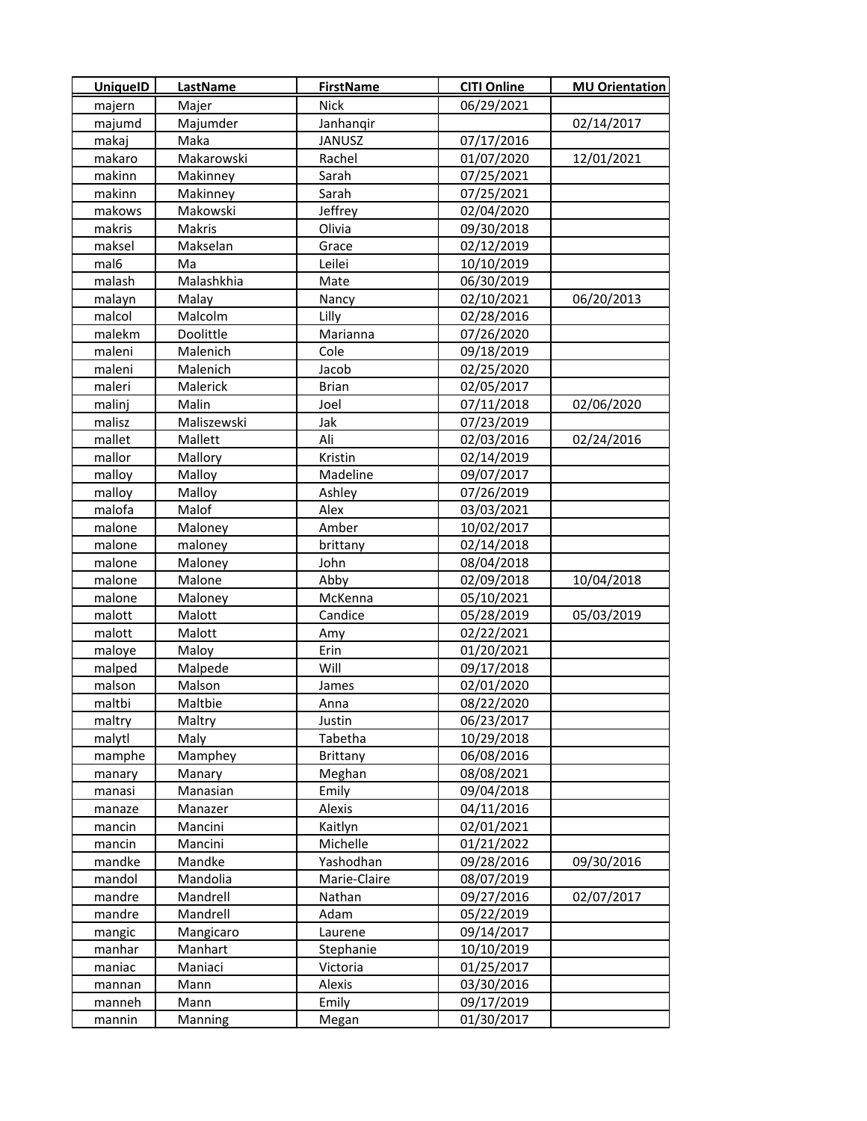| <b>UniquelD</b> | LastName    | <b>FirstName</b> | <b>CITI Online</b> | <b>MU Orientation</b> |
|-----------------|-------------|------------------|--------------------|-----------------------|
| majern          | Majer       | <b>Nick</b>      | 06/29/2021         |                       |
| majumd          | Majumder    | Janhangir        |                    | 02/14/2017            |
| makaj           | Maka        | JANUSZ           | 07/17/2016         |                       |
| makaro          | Makarowski  | Rachel           | 01/07/2020         | 12/01/2021            |
| makinn          | Makinney    | Sarah            | 07/25/2021         |                       |
| makinn          | Makinney    | Sarah            | 07/25/2021         |                       |
| makows          | Makowski    | Jeffrey          | 02/04/2020         |                       |
| makris          | Makris      | Olivia           | 09/30/2018         |                       |
| maksel          | Makselan    | Grace            | 02/12/2019         |                       |
| mal6            | Ma          | Leilei           | 10/10/2019         |                       |
| malash          | Malashkhia  | Mate             | 06/30/2019         |                       |
| malayn          | Malay       | Nancy            | 02/10/2021         | 06/20/2013            |
| malcol          | Malcolm     | Lilly            | 02/28/2016         |                       |
| malekm          | Doolittle   | Marianna         | 07/26/2020         |                       |
| maleni          | Malenich    | Cole             | 09/18/2019         |                       |
| maleni          | Malenich    | Jacob            | 02/25/2020         |                       |
| maleri          | Malerick    | <b>Brian</b>     | 02/05/2017         |                       |
| malinj          | Malin       | Joel             | 07/11/2018         | 02/06/2020            |
| malisz          | Maliszewski | Jak              | 07/23/2019         |                       |
| mallet          | Mallett     | Ali              | 02/03/2016         | 02/24/2016            |
| mallor          | Mallory     | Kristin          | 02/14/2019         |                       |
| malloy          | Malloy      | Madeline         | 09/07/2017         |                       |
| malloy          | Malloy      | Ashley           | 07/26/2019         |                       |
| malofa          | Malof       | Alex             | 03/03/2021         |                       |
| malone          | Maloney     | Amber            | 10/02/2017         |                       |
| malone          | maloney     | brittany         | 02/14/2018         |                       |
| malone          | Maloney     | John             | 08/04/2018         |                       |
| malone          | Malone      | Abby             | 02/09/2018         | 10/04/2018            |
| malone          | Maloney     | McKenna          | 05/10/2021         |                       |
| malott          | Malott      | Candice          | 05/28/2019         | 05/03/2019            |
| malott          | Malott      | Amy              | 02/22/2021         |                       |
| maloye          | Maloy       | Erin             | 01/20/2021         |                       |
| malped          | Malpede     | Will             | 09/17/2018         |                       |
| malson          | Malson      | James            | 02/01/2020         |                       |
| maltbi          | Maltbie     | Anna             | 08/22/2020         |                       |
| maltry          | Maltry      | Justin           | 06/23/2017         |                       |
| malytl          | Maly        | Tabetha          | 10/29/2018         |                       |
| mamphe          | Mamphey     | Brittany         | 06/08/2016         |                       |
| manary          | Manary      | Meghan           | 08/08/2021         |                       |
| manasi          | Manasian    | Emily            | 09/04/2018         |                       |
| manaze          | Manazer     | Alexis           | 04/11/2016         |                       |
| mancin          | Mancini     | Kaitlyn          | 02/01/2021         |                       |
| mancin          | Mancini     | Michelle         | 01/21/2022         |                       |
| mandke          | Mandke      | Yashodhan        | 09/28/2016         | 09/30/2016            |
| mandol          | Mandolia    | Marie-Claire     | 08/07/2019         |                       |
| mandre          | Mandrell    | Nathan           | 09/27/2016         | 02/07/2017            |
| mandre          | Mandrell    | Adam             | 05/22/2019         |                       |
| mangic          | Mangicaro   | Laurene          | 09/14/2017         |                       |
| manhar          | Manhart     | Stephanie        | 10/10/2019         |                       |
| maniac          | Maniaci     | Victoria         | 01/25/2017         |                       |
| mannan          | Mann        | Alexis           | 03/30/2016         |                       |
| manneh          | Mann        | Emily            | 09/17/2019         |                       |
| mannin          | Manning     | Megan            | 01/30/2017         |                       |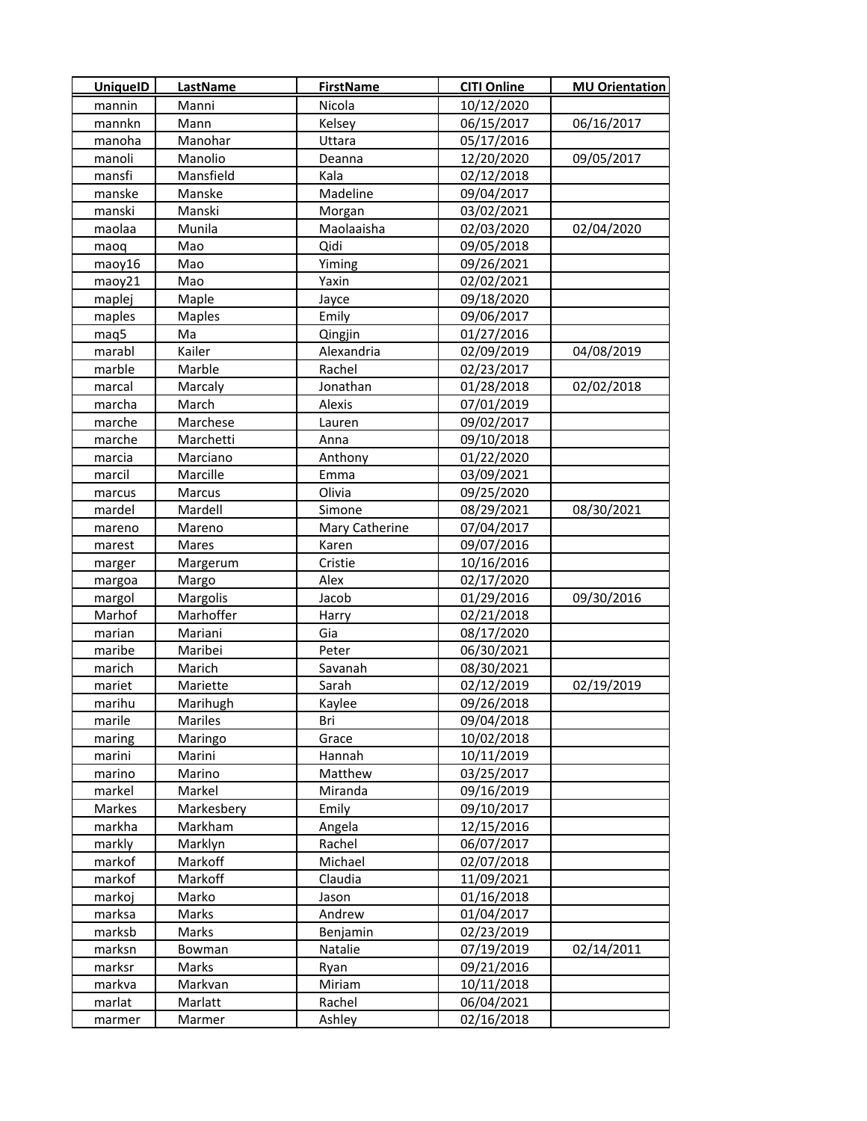| <b>UniquelD</b> | <b>LastName</b>    | <b>FirstName</b> | <b>CITI Online</b> | <b>MU Orientation</b> |
|-----------------|--------------------|------------------|--------------------|-----------------------|
| mannin          | Manni              | Nicola           | 10/12/2020         |                       |
| mannkn          | Mann               | Kelsey           | 06/15/2017         | 06/16/2017            |
| manoha          | Manohar            | Uttara           | 05/17/2016         |                       |
| manoli          | Manolio            | Deanna           | 12/20/2020         | 09/05/2017            |
| mansfi          | Mansfield          | Kala             | 02/12/2018         |                       |
| manske          | Manske             | Madeline         | 09/04/2017         |                       |
| manski          | Manski             | Morgan           | 03/02/2021         |                       |
| maolaa          | Munila             | Maolaaisha       | 02/03/2020         | 02/04/2020            |
| maoq            | Mao                | Qidi             | 09/05/2018         |                       |
| maoy16          | Mao                | Yiming           | 09/26/2021         |                       |
| maoy21          | Mao                | Yaxin            | 02/02/2021         |                       |
| maplej          | Maple              | Jayce            | 09/18/2020         |                       |
| maples          | <b>Maples</b>      | Emily            | 09/06/2017         |                       |
| maq5            | Ma                 | Qingjin          | 01/27/2016         |                       |
| marabl          | Kailer             | Alexandria       | 02/09/2019         | 04/08/2019            |
| marble          | Marble             | Rachel           | 02/23/2017         |                       |
| marcal          | Marcaly            | Jonathan         | 01/28/2018         | 02/02/2018            |
| marcha          | March              | Alexis           | 07/01/2019         |                       |
| marche          | Marchese           | Lauren           | 09/02/2017         |                       |
| marche          | Marchetti          | Anna             | 09/10/2018         |                       |
| marcia          | Marciano           | Anthony          | 01/22/2020         |                       |
| marcil          | Marcille           | Emma             | 03/09/2021         |                       |
| marcus          | Marcus             | Olivia           | 09/25/2020         |                       |
| mardel          | Mardell            | Simone           | 08/29/2021         | 08/30/2021            |
| mareno          | Mareno             | Mary Catherine   | 07/04/2017         |                       |
| marest          | Mares              | Karen            | 09/07/2016         |                       |
| marger          | Margerum           | Cristie          | 10/16/2016         |                       |
| margoa          | Margo              | Alex             | 02/17/2020         |                       |
| margol          | Margolis           | Jacob            | 01/29/2016         | 09/30/2016            |
| Marhof          | Marhoffer          | Harry            | 02/21/2018         |                       |
| marian          | Mariani            | Gia              | 08/17/2020         |                       |
| maribe          | Maribei            | Peter            | 06/30/2021         |                       |
| marich          | Marich             | Savanah          | 08/30/2021         |                       |
| mariet          | Mariette           | Sarah            | 02/12/2019         | 02/19/2019            |
| marihu          | Marihugh           | Kaylee           | 09/26/2018         |                       |
| marile          | Mariles            | Bri              | 09/04/2018         |                       |
| maring          | Maringo            | Grace            | 10/02/2018         |                       |
| marini          | Marini             | Hannah           | 10/11/2019         |                       |
| marino          | Marino             | Matthew          | 03/25/2017         |                       |
| markel          | Markel             | Miranda          | 09/16/2019         |                       |
| Markes          | Markesbery         | Emily            | 09/10/2017         |                       |
| markha          | Markham            | Angela           | 12/15/2016         |                       |
| markly          | Marklyn            | Rachel           | 06/07/2017         |                       |
| markof          | Markoff            | Michael          | 02/07/2018         |                       |
| markof          | Markoff            | Claudia          | 11/09/2021         |                       |
| markoj          | Marko              | Jason            | 01/16/2018         |                       |
| marksa          | Marks              | Andrew           | 01/04/2017         |                       |
| marksb          | Marks              | Benjamin         | 02/23/2019         |                       |
| marksn          | <b>Bowman</b>      | Natalie          | 07/19/2019         | 02/14/2011            |
| marksr          | Marks              | Ryan             | 09/21/2016         |                       |
| markva          | Markvan<br>Marlatt | Miriam           | 10/11/2018         |                       |
| marlat          |                    | Rachel           | 06/04/2021         |                       |
| marmer          | Marmer             | Ashley           | 02/16/2018         |                       |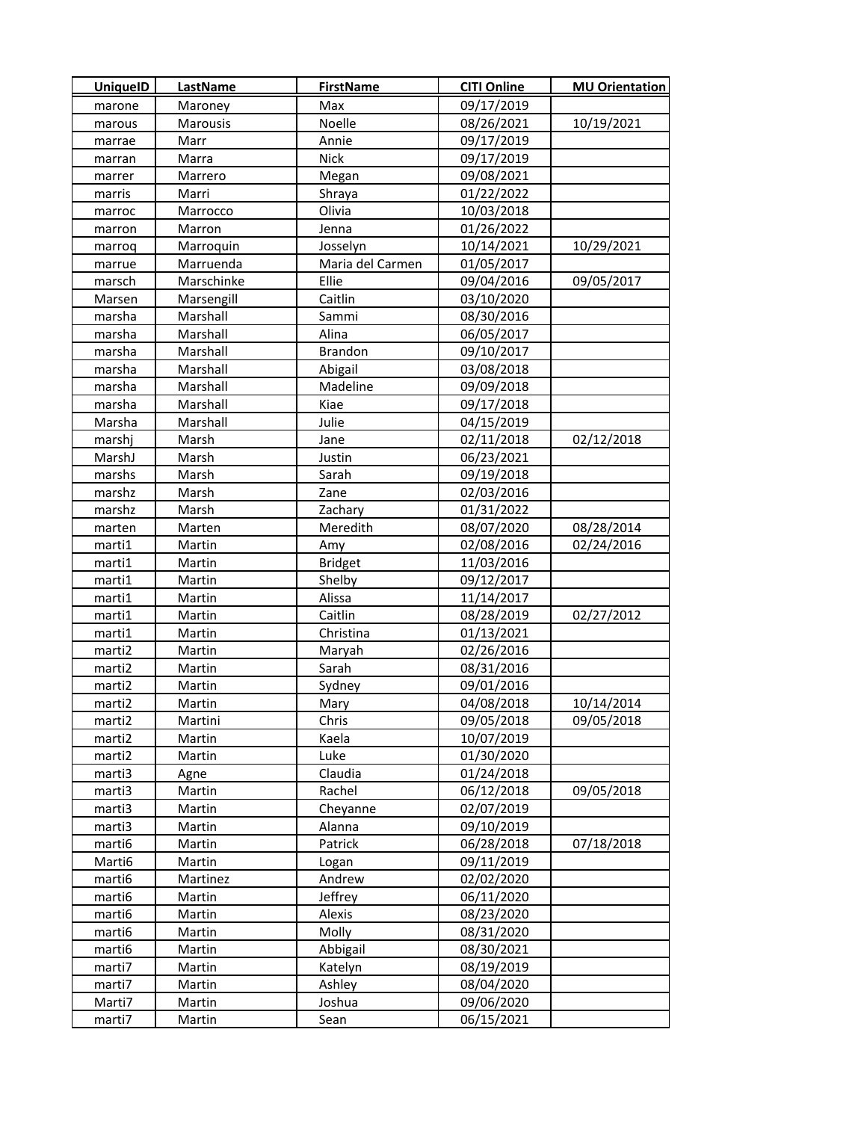| <b>UniquelD</b> | LastName   | <b>FirstName</b> | <b>CITI Online</b> | <b>MU Orientation</b> |
|-----------------|------------|------------------|--------------------|-----------------------|
| marone          | Maroney    | Max              | 09/17/2019         |                       |
| marous          | Marousis   | Noelle           | 08/26/2021         | 10/19/2021            |
| marrae          | Marr       | Annie            | 09/17/2019         |                       |
| marran          | Marra      | <b>Nick</b>      | 09/17/2019         |                       |
| marrer          | Marrero    | Megan            | 09/08/2021         |                       |
| marris          | Marri      | Shraya           | 01/22/2022         |                       |
| marroc          | Marrocco   | Olivia           | 10/03/2018         |                       |
| marron          | Marron     | Jenna            | 01/26/2022         |                       |
| marroq          | Marroquin  | Josselyn         | 10/14/2021         | 10/29/2021            |
| marrue          | Marruenda  | Maria del Carmen | 01/05/2017         |                       |
| marsch          | Marschinke | Ellie            | 09/04/2016         | 09/05/2017            |
| Marsen          | Marsengill | Caitlin          | 03/10/2020         |                       |
| marsha          | Marshall   | Sammi            | 08/30/2016         |                       |
| marsha          | Marshall   | Alina            | 06/05/2017         |                       |
| marsha          | Marshall   | <b>Brandon</b>   | 09/10/2017         |                       |
| marsha          | Marshall   | Abigail          | 03/08/2018         |                       |
| marsha          | Marshall   | Madeline         | 09/09/2018         |                       |
| marsha          | Marshall   | Kiae             | 09/17/2018         |                       |
| Marsha          | Marshall   | Julie            | 04/15/2019         |                       |
| marshj          | Marsh      | Jane             | 02/11/2018         | 02/12/2018            |
| MarshJ          | Marsh      | Justin           | 06/23/2021         |                       |
| marshs          | Marsh      | Sarah            | 09/19/2018         |                       |
| marshz          | Marsh      | Zane             | 02/03/2016         |                       |
| marshz          | Marsh      | Zachary          | 01/31/2022         |                       |
| marten          | Marten     | Meredith         | 08/07/2020         | 08/28/2014            |
| marti1          | Martin     | Amy              | 02/08/2016         | 02/24/2016            |
| marti1          | Martin     | <b>Bridget</b>   | 11/03/2016         |                       |
| marti1          | Martin     | Shelby           | 09/12/2017         |                       |
| marti1          | Martin     | Alissa           | 11/14/2017         |                       |
| marti1          | Martin     | Caitlin          | 08/28/2019         | 02/27/2012            |
| marti1          | Martin     | Christina        | 01/13/2021         |                       |
| marti2          | Martin     | Maryah           | 02/26/2016         |                       |
| marti2          | Martin     | Sarah            | 08/31/2016         |                       |
| marti2          | Martin     | Sydney           | 09/01/2016         |                       |
| marti2          | Martin     | Mary             | 04/08/2018         | 10/14/2014            |
| marti2          | Martini    | Chris            | 09/05/2018         | 09/05/2018            |
| marti2          | Martin     | Kaela            | 10/07/2019         |                       |
| marti2          | Martin     | Luke             | 01/30/2020         |                       |
| marti3          | Agne       | Claudia          | 01/24/2018         |                       |
| marti3          | Martin     | Rachel           | 06/12/2018         | 09/05/2018            |
| marti3          | Martin     | Cheyanne         | 02/07/2019         |                       |
| marti3          | Martin     | Alanna           | 09/10/2019         |                       |
| marti6          | Martin     | Patrick          | 06/28/2018         | 07/18/2018            |
| Marti6          | Martin     | Logan            | 09/11/2019         |                       |
| marti6          | Martinez   | Andrew           | 02/02/2020         |                       |
| marti6          | Martin     | Jeffrey          | 06/11/2020         |                       |
| marti6          | Martin     | Alexis           | 08/23/2020         |                       |
| marti6          | Martin     | Molly            | 08/31/2020         |                       |
| marti6          | Martin     | Abbigail         | 08/30/2021         |                       |
| marti7          | Martin     | Katelyn          | 08/19/2019         |                       |
| marti7          | Martin     | Ashley           | 08/04/2020         |                       |
| Marti7          | Martin     | Joshua           | 09/06/2020         |                       |
| marti7          | Martin     | Sean             | 06/15/2021         |                       |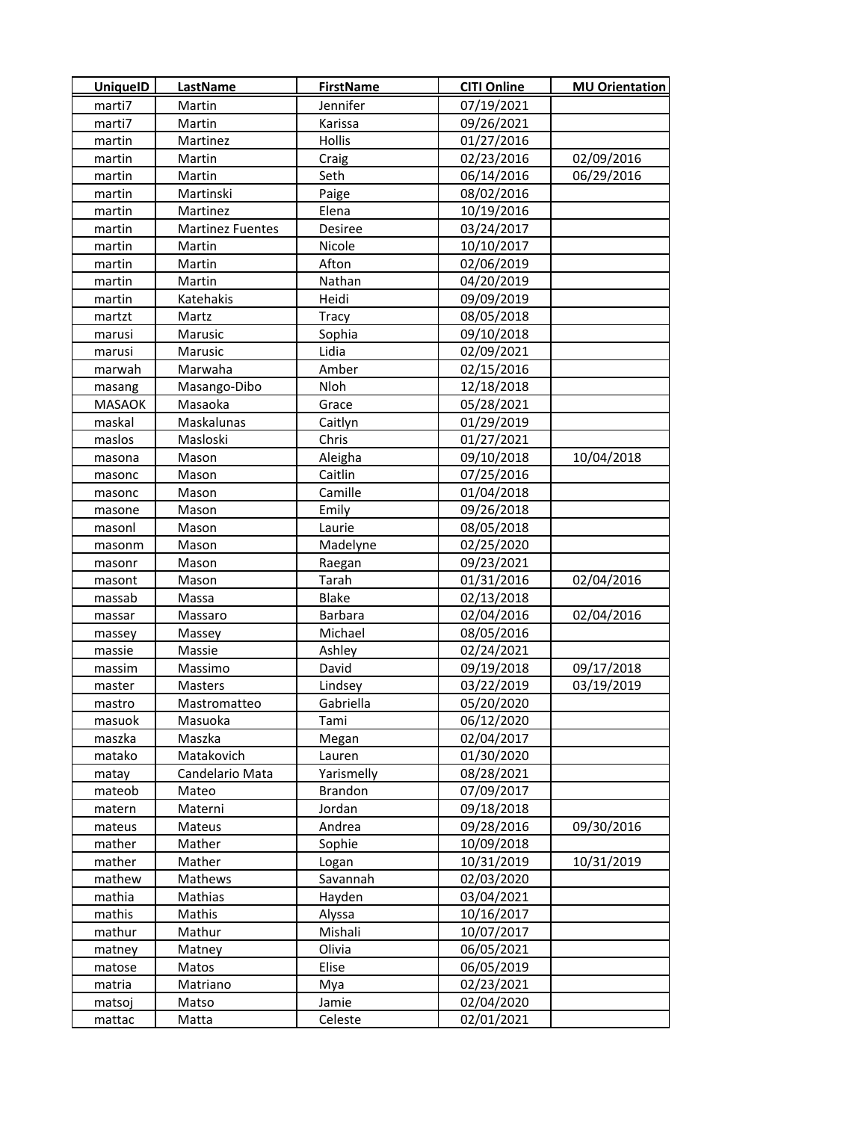| <b>UniquelD</b> | LastName                | <b>FirstName</b> | <b>CITI Online</b> | <b>MU Orientation</b> |
|-----------------|-------------------------|------------------|--------------------|-----------------------|
| marti7          | Martin                  | Jennifer         | 07/19/2021         |                       |
| marti7          | Martin                  | Karissa          | 09/26/2021         |                       |
| martin          | Martinez                | Hollis           | 01/27/2016         |                       |
| martin          | Martin                  | Craig            | 02/23/2016         | 02/09/2016            |
| martin          | Martin                  | Seth             | 06/14/2016         | 06/29/2016            |
| martin          | Martinski               | Paige            | 08/02/2016         |                       |
| martin          | Martinez                | Elena            | 10/19/2016         |                       |
| martin          | <b>Martinez Fuentes</b> | Desiree          | 03/24/2017         |                       |
| martin          | Martin                  | Nicole           | 10/10/2017         |                       |
| martin          | Martin                  | Afton            | 02/06/2019         |                       |
| martin          | Martin                  | Nathan           | 04/20/2019         |                       |
| martin          | Katehakis               | Heidi            | 09/09/2019         |                       |
| martzt          | Martz                   | Tracy            | 08/05/2018         |                       |
| marusi          | Marusic                 | Sophia           | 09/10/2018         |                       |
| marusi          | Marusic                 | Lidia            | 02/09/2021         |                       |
| marwah          | Marwaha                 | Amber            | 02/15/2016         |                       |
| masang          | Masango-Dibo            | Nloh             | 12/18/2018         |                       |
| <b>MASAOK</b>   | Masaoka                 | Grace            | 05/28/2021         |                       |
| maskal          | Maskalunas              | Caitlyn          | 01/29/2019         |                       |
| maslos          | Masloski                | Chris            | 01/27/2021         |                       |
| masona          | Mason                   | Aleigha          | 09/10/2018         | 10/04/2018            |
| masonc          | Mason                   | Caitlin          | 07/25/2016         |                       |
| masonc          | Mason                   | Camille          | 01/04/2018         |                       |
| masone          | Mason                   | Emily            | 09/26/2018         |                       |
| masonl          | Mason                   | Laurie           | 08/05/2018         |                       |
| masonm          | Mason                   | Madelyne         | 02/25/2020         |                       |
| masonr          | Mason                   | Raegan           | 09/23/2021         |                       |
| masont          | Mason                   | Tarah            | 01/31/2016         | 02/04/2016            |
| massab          | Massa                   | <b>Blake</b>     | 02/13/2018         |                       |
| massar          | Massaro                 | <b>Barbara</b>   | 02/04/2016         | 02/04/2016            |
| massey          | Massey                  | Michael          | 08/05/2016         |                       |
| massie          | Massie                  | Ashley           | 02/24/2021         |                       |
| massim          | Massimo                 | David            | 09/19/2018         | 09/17/2018            |
| master          | Masters                 | Lindsey          | 03/22/2019         | 03/19/2019            |
| mastro          | Mastromatteo            | Gabriella        | 05/20/2020         |                       |
| masuok          | Masuoka                 | Tami             | 06/12/2020         |                       |
| maszka          | Maszka                  | Megan            | 02/04/2017         |                       |
| matako          | Matakovich              | Lauren           | 01/30/2020         |                       |
| matay           | Candelario Mata         | Yarismelly       | 08/28/2021         |                       |
| mateob          | Mateo                   | <b>Brandon</b>   | 07/09/2017         |                       |
| matern          | Materni                 | Jordan           | 09/18/2018         |                       |
| mateus          | Mateus                  | Andrea           | 09/28/2016         | 09/30/2016            |
| mather          | Mather                  | Sophie           | 10/09/2018         |                       |
| mather          | Mather                  | Logan            | 10/31/2019         | 10/31/2019            |
| mathew          | Mathews                 | Savannah         | 02/03/2020         |                       |
| mathia          | Mathias                 | Hayden           | 03/04/2021         |                       |
| mathis          | Mathis                  | Alyssa           | 10/16/2017         |                       |
| mathur          | Mathur                  | Mishali          | 10/07/2017         |                       |
| matney          | Matney                  | Olivia           | 06/05/2021         |                       |
| matose          | Matos                   | Elise            | 06/05/2019         |                       |
| matria          | Matriano                | Mya              | 02/23/2021         |                       |
| matsoj          | Matso                   | Jamie            | 02/04/2020         |                       |
| mattac          | Matta                   | Celeste          | 02/01/2021         |                       |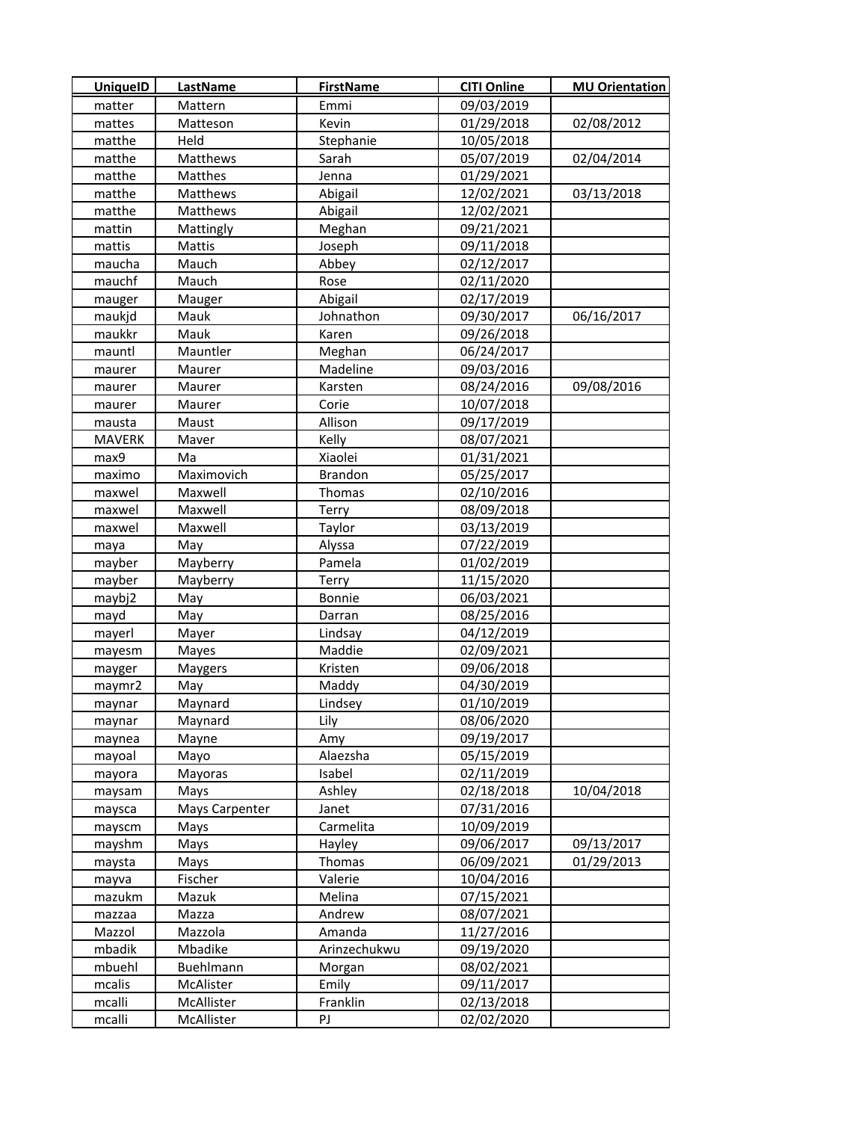| <b>UniquelD</b> | <b>LastName</b> | <b>FirstName</b> | <b>CITI Online</b> | <b>MU Orientation</b> |
|-----------------|-----------------|------------------|--------------------|-----------------------|
| matter          | Mattern         | Emmi             | 09/03/2019         |                       |
| mattes          | Matteson        | Kevin            | 01/29/2018         | 02/08/2012            |
| matthe          | Held            | Stephanie        | 10/05/2018         |                       |
| matthe          | Matthews        | Sarah            | 05/07/2019         | 02/04/2014            |
| matthe          | Matthes         | Jenna            | 01/29/2021         |                       |
| matthe          | Matthews        | Abigail          | 12/02/2021         | 03/13/2018            |
| matthe          | Matthews        | Abigail          | 12/02/2021         |                       |
| mattin          | Mattingly       | Meghan           | 09/21/2021         |                       |
| mattis          | Mattis          | Joseph           | 09/11/2018         |                       |
| maucha          | Mauch           | Abbey            | 02/12/2017         |                       |
| mauchf          | Mauch           | Rose             | 02/11/2020         |                       |
| mauger          | Mauger          | Abigail          | 02/17/2019         |                       |
| maukjd          | Mauk            | Johnathon        | 09/30/2017         | 06/16/2017            |
| maukkr          | Mauk            | Karen            | 09/26/2018         |                       |
| mauntl          | Mauntler        | Meghan           | 06/24/2017         |                       |
| maurer          | Maurer          | Madeline         | 09/03/2016         |                       |
| maurer          | Maurer          | Karsten          | 08/24/2016         | 09/08/2016            |
| maurer          | Maurer          | Corie            | 10/07/2018         |                       |
| mausta          | Maust           | Allison          | 09/17/2019         |                       |
| <b>MAVERK</b>   | Maver           | Kelly            | 08/07/2021         |                       |
| max9            | Ma              | Xiaolei          | 01/31/2021         |                       |
| maximo          | Maximovich      | <b>Brandon</b>   | 05/25/2017         |                       |
| maxwel          | Maxwell         | Thomas           | 02/10/2016         |                       |
| maxwel          | Maxwell         | Terry            | 08/09/2018         |                       |
| maxwel          | Maxwell         | Taylor           | 03/13/2019         |                       |
| maya            | May             | Alyssa           | 07/22/2019         |                       |
| mayber          | Mayberry        | Pamela           | 01/02/2019         |                       |
| mayber          | Mayberry        | Terry            | 11/15/2020         |                       |
| maybj2          | May             | Bonnie           | 06/03/2021         |                       |
| mayd            | May             | Darran           | 08/25/2016         |                       |
| mayerl          | Mayer           | Lindsay          | 04/12/2019         |                       |
| mayesm          | Mayes           | Maddie           | 02/09/2021         |                       |
| mayger          | Maygers         | Kristen          | 09/06/2018         |                       |
| maymr2          | May             | Maddy            | 04/30/2019         |                       |
| maynar          | Maynard         | Lindsey          | 01/10/2019         |                       |
| maynar          | Maynard         | Lily             | 08/06/2020         |                       |
| maynea          | Mayne           | Amy              | 09/19/2017         |                       |
| mayoal          | Mayo            | Alaezsha         | 05/15/2019         |                       |
| mayora          | Mayoras         | Isabel           | 02/11/2019         |                       |
| maysam          | Mays            | Ashley           | 02/18/2018         | 10/04/2018            |
| maysca          | Mays Carpenter  | Janet            | 07/31/2016         |                       |
| mayscm          | Mays            | Carmelita        | 10/09/2019         |                       |
| mayshm          | Mays            | Hayley           | 09/06/2017         | 09/13/2017            |
| maysta          | Mays            | Thomas           | 06/09/2021         | 01/29/2013            |
| mayva           | Fischer         | Valerie          | 10/04/2016         |                       |
| mazukm          | Mazuk           | Melina           | 07/15/2021         |                       |
| mazzaa          | Mazza           | Andrew           | 08/07/2021         |                       |
| Mazzol          | Mazzola         | Amanda           | 11/27/2016         |                       |
| mbadik          | Mbadike         | Arinzechukwu     | 09/19/2020         |                       |
| mbuehl          | Buehlmann       | Morgan           | 08/02/2021         |                       |
| mcalis          | McAlister       | Emily            | 09/11/2017         |                       |
| mcalli          | McAllister      | Franklin         | 02/13/2018         |                       |
| mcalli          | McAllister      | PJ               | 02/02/2020         |                       |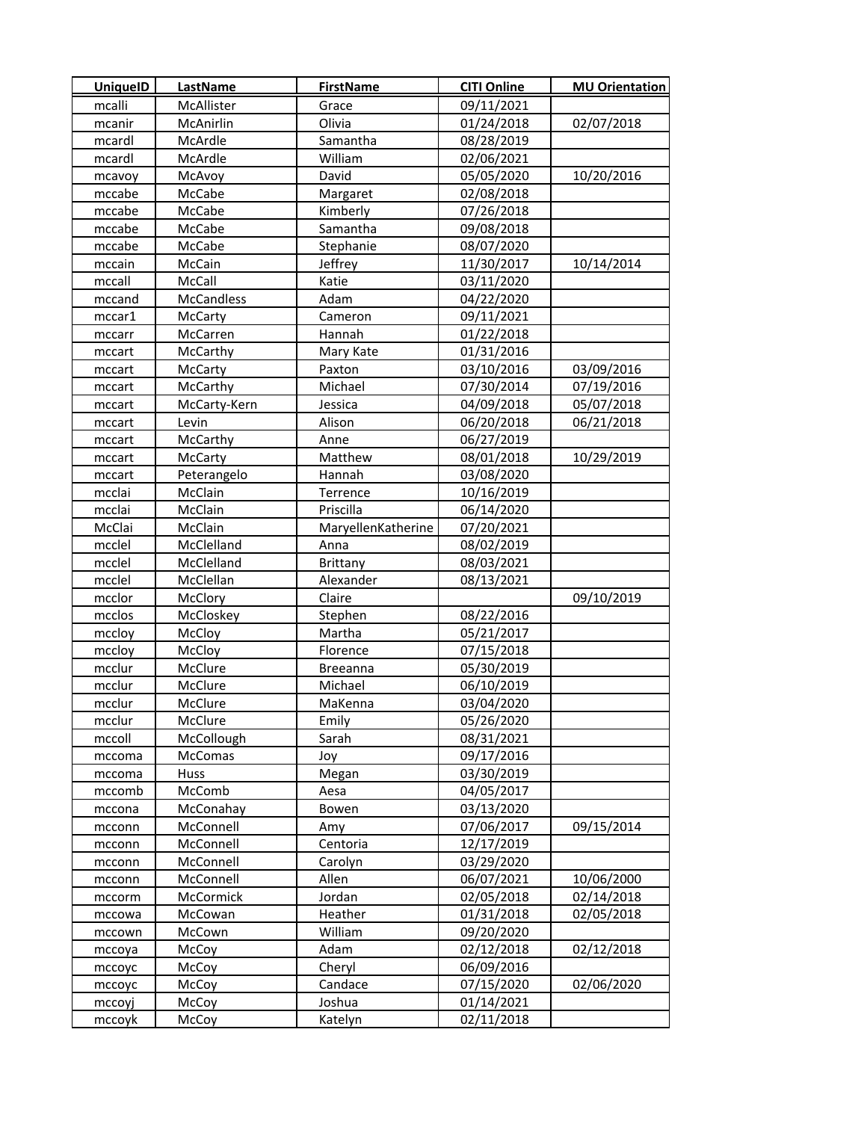| <b>UniquelD</b>  | LastName               | <b>FirstName</b>   | <b>CITI Online</b>       | <b>MU Orientation</b> |
|------------------|------------------------|--------------------|--------------------------|-----------------------|
| mcalli           | McAllister             | Grace              | 09/11/2021               |                       |
| mcanir           | McAnirlin              | Olivia             | 01/24/2018               | 02/07/2018            |
| mcardl           | McArdle                | Samantha           | 08/28/2019               |                       |
| mcardl           | McArdle                | William            | 02/06/2021               |                       |
| mcavoy           | McAvoy                 | David              | 05/05/2020               | 10/20/2016            |
| mccabe           | McCabe                 | Margaret           | 02/08/2018               |                       |
| mccabe           | McCabe                 | Kimberly           | 07/26/2018               |                       |
| mccabe           | McCabe                 | Samantha           | 09/08/2018               |                       |
| mccabe           | McCabe                 | Stephanie          | 08/07/2020               |                       |
| mccain           | McCain                 | Jeffrey            | 11/30/2017               | 10/14/2014            |
| mccall           | McCall                 | Katie              | 03/11/2020               |                       |
| mccand           | <b>McCandless</b>      | Adam               | 04/22/2020               |                       |
| mccar1           | McCarty                | Cameron            | 09/11/2021               |                       |
| mccarr           | McCarren               | Hannah             | 01/22/2018               |                       |
| mccart           | <b>McCarthy</b>        | Mary Kate          | 01/31/2016               |                       |
| mccart           | McCarty                | Paxton             | 03/10/2016               | 03/09/2016            |
| mccart           | McCarthy               | Michael            | 07/30/2014               | 07/19/2016            |
| mccart           | McCarty-Kern           | Jessica            | 04/09/2018               | 05/07/2018            |
| mccart           | Levin                  | Alison             | 06/20/2018               | 06/21/2018            |
| mccart           | McCarthy               | Anne               | 06/27/2019               |                       |
| mccart           | McCarty                | Matthew            | 08/01/2018               | 10/29/2019            |
| mccart           | Peterangelo            | Hannah             | 03/08/2020               |                       |
| mcclai           | McClain                | Terrence           | 10/16/2019               |                       |
| mcclai           | McClain                | Priscilla          | 06/14/2020               |                       |
| McClai           | McClain                | MaryellenKatherine | 07/20/2021               |                       |
| mcclel           | McClelland             | Anna               | 08/02/2019               |                       |
| mcclel           | McClelland             | Brittany           | 08/03/2021               |                       |
| mcclel           | McClellan              | Alexander          | 08/13/2021               |                       |
| mcclor           | McClory                | Claire             |                          | 09/10/2019            |
| mcclos           | McCloskey              | Stephen            | 08/22/2016               |                       |
| mccloy           | McCloy                 | Martha             | 05/21/2017               |                       |
| mccloy           | McCloy                 | Florence           | 07/15/2018               |                       |
| mcclur           | McClure                | <b>Breeanna</b>    | 05/30/2019               |                       |
| mcclur           | McClure                | Michael            | 06/10/2019               |                       |
| mcclur           | McClure                | MaKenna            | 03/04/2020               |                       |
| mcclur           | McClure                | Emily              | 05/26/2020               |                       |
| mccoll           | McCollough             | Sarah              | 08/31/2021               |                       |
| mccoma           | McComas                | Joy                | 09/17/2016               |                       |
| mccoma           | Huss                   | Megan              | 03/30/2019               |                       |
| mccomb           | McComb                 | Aesa               | 04/05/2017               |                       |
| mccona           | McConahay<br>McConnell | Bowen              | 03/13/2020<br>07/06/2017 | 09/15/2014            |
| mcconn<br>mcconn | McConnell              | Amy<br>Centoria    | 12/17/2019               |                       |
| mcconn           | McConnell              | Carolyn            | 03/29/2020               |                       |
| mcconn           | McConnell              | Allen              | 06/07/2021               | 10/06/2000            |
| mccorm           | McCormick              | Jordan             | 02/05/2018               | 02/14/2018            |
| mccowa           | McCowan                | Heather            | 01/31/2018               | 02/05/2018            |
| mccown           | McCown                 | William            | 09/20/2020               |                       |
| mccoya           | McCoy                  | Adam               | 02/12/2018               | 02/12/2018            |
| mccoyc           | McCoy                  | Cheryl             | 06/09/2016               |                       |
| mccoyc           | McCoy                  | Candace            | 07/15/2020               | 02/06/2020            |
| mccoyj           | McCoy                  | Joshua             | 01/14/2021               |                       |
| mccoyk           | McCoy                  | Katelyn            | 02/11/2018               |                       |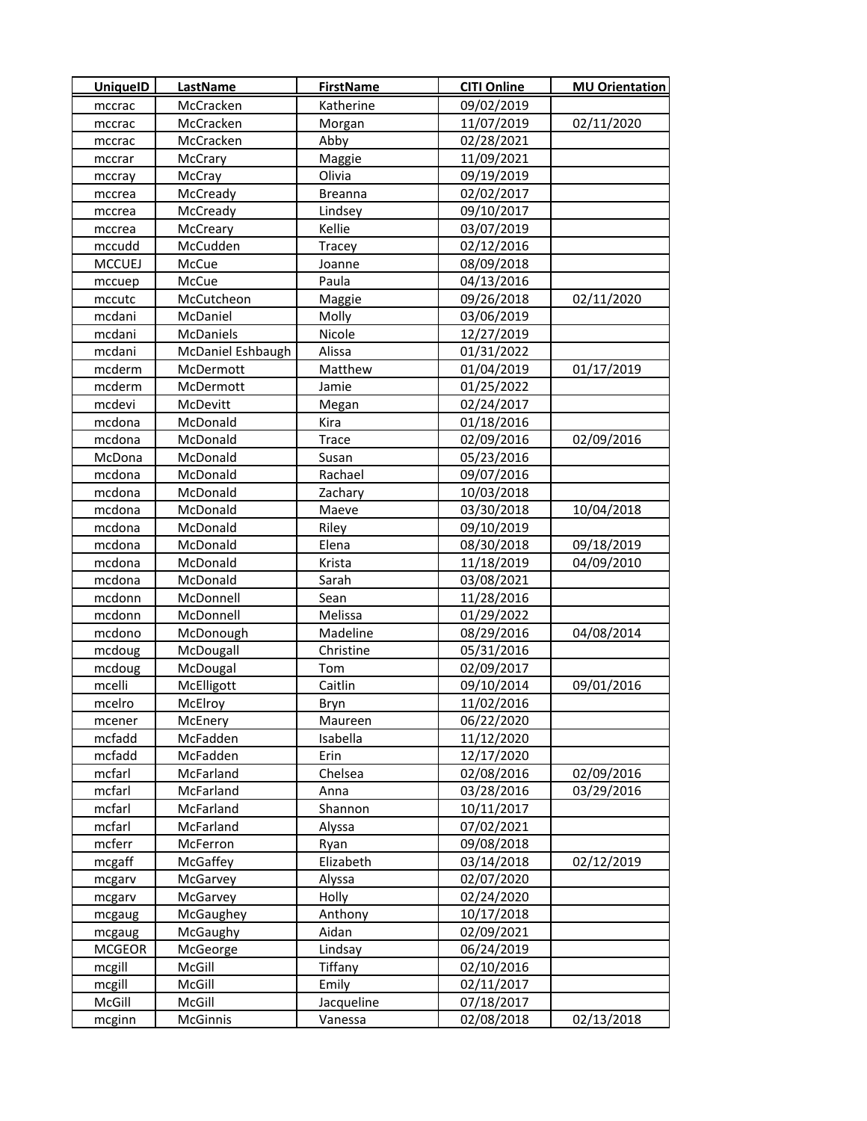| <b>UniquelD</b> | LastName          | <b>FirstName</b> | <b>CITI Online</b> | <b>MU Orientation</b> |
|-----------------|-------------------|------------------|--------------------|-----------------------|
| mccrac          | McCracken         | Katherine        | 09/02/2019         |                       |
| mccrac          | McCracken         | Morgan           | 11/07/2019         | 02/11/2020            |
| mccrac          | McCracken         | Abby             | 02/28/2021         |                       |
| mccrar          | McCrary           | Maggie           | 11/09/2021         |                       |
| mccray          | McCray            | Olivia           | 09/19/2019         |                       |
| mccrea          | McCready          | <b>Breanna</b>   | 02/02/2017         |                       |
| mccrea          | McCready          | Lindsey          | 09/10/2017         |                       |
| mccrea          | McCreary          | Kellie           | 03/07/2019         |                       |
| mccudd          | McCudden          | Tracey           | 02/12/2016         |                       |
| <b>MCCUEJ</b>   | McCue             | Joanne           | 08/09/2018         |                       |
| mccuep          | McCue             | Paula            | 04/13/2016         |                       |
| mccutc          | McCutcheon        | Maggie           | 09/26/2018         | 02/11/2020            |
| mcdani          | McDaniel          | Molly            | 03/06/2019         |                       |
| mcdani          | McDaniels         | Nicole           | 12/27/2019         |                       |
| mcdani          | McDaniel Eshbaugh | Alissa           | 01/31/2022         |                       |
| mcderm          | McDermott         | Matthew          | 01/04/2019         | 01/17/2019            |
| mcderm          | McDermott         | Jamie            | 01/25/2022         |                       |
| mcdevi          | McDevitt          | Megan            | 02/24/2017         |                       |
| mcdona          | McDonald          | Kira             | 01/18/2016         |                       |
| mcdona          | McDonald          | Trace            | 02/09/2016         | 02/09/2016            |
| McDona          | McDonald          | Susan            | 05/23/2016         |                       |
| mcdona          | McDonald          | Rachael          | 09/07/2016         |                       |
| mcdona          | McDonald          | Zachary          | 10/03/2018         |                       |
| mcdona          | McDonald          | Maeve            | 03/30/2018         | 10/04/2018            |
| mcdona          | McDonald          | Riley            | 09/10/2019         |                       |
| mcdona          | McDonald          | Elena            | 08/30/2018         | 09/18/2019            |
| mcdona          | McDonald          | Krista           | 11/18/2019         | 04/09/2010            |
| mcdona          | McDonald          | Sarah            | 03/08/2021         |                       |
| mcdonn          | McDonnell         | Sean             | 11/28/2016         |                       |
| mcdonn          | McDonnell         | Melissa          | 01/29/2022         |                       |
| mcdono          | McDonough         | Madeline         | 08/29/2016         | 04/08/2014            |
| mcdoug          | McDougall         | Christine        | 05/31/2016         |                       |
| mcdoug          | McDougal          | Tom              | 02/09/2017         |                       |
| mcelli          | McElligott        | Caitlin          | 09/10/2014         | 09/01/2016            |
| mcelro          | McElroy           | Bryn             | 11/02/2016         |                       |
| mcener          | McEnery           | Maureen          | 06/22/2020         |                       |
| mcfadd          | McFadden          | Isabella         | 11/12/2020         |                       |
| mcfadd          | McFadden          | Erin             | 12/17/2020         |                       |
| mcfarl          | McFarland         | Chelsea          | 02/08/2016         | 02/09/2016            |
| mcfarl          | McFarland         | Anna             | 03/28/2016         | 03/29/2016            |
| mcfarl          | McFarland         | Shannon          | 10/11/2017         |                       |
| mcfarl          | McFarland         | Alyssa           | 07/02/2021         |                       |
| mcferr          | McFerron          | Ryan             | 09/08/2018         |                       |
| mcgaff          | McGaffey          | Elizabeth        | 03/14/2018         | 02/12/2019            |
| mcgarv          | McGarvey          | Alyssa           | 02/07/2020         |                       |
| mcgarv          | McGarvey          | Holly            | 02/24/2020         |                       |
| mcgaug          | McGaughey         | Anthony          | 10/17/2018         |                       |
| mcgaug          | McGaughy          | Aidan            | 02/09/2021         |                       |
| <b>MCGEOR</b>   | McGeorge          | Lindsay          | 06/24/2019         |                       |
| mcgill          | McGill            | Tiffany          | 02/10/2016         |                       |
| mcgill          | McGill            | Emily            | 02/11/2017         |                       |
| McGill          | McGill            | Jacqueline       | 07/18/2017         |                       |
| mcginn          | McGinnis          | Vanessa          | 02/08/2018         | 02/13/2018            |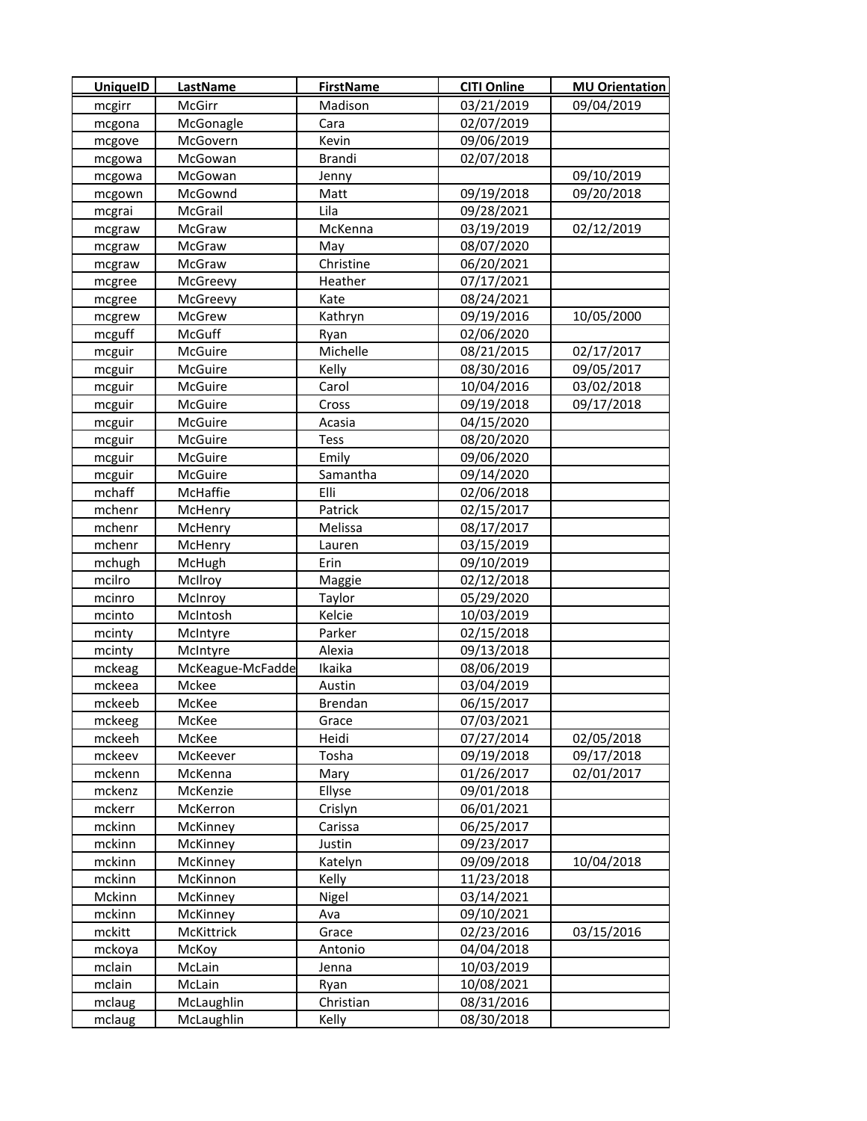| <b>UniquelD</b>  | LastName         | <b>FirstName</b> | <b>CITI Online</b>       | <b>MU Orientation</b> |
|------------------|------------------|------------------|--------------------------|-----------------------|
| mcgirr           | McGirr           | Madison          | 03/21/2019               | 09/04/2019            |
| mcgona           | McGonagle        | Cara             | 02/07/2019               |                       |
| mcgove           | McGovern         | Kevin            | 09/06/2019               |                       |
| mcgowa           | McGowan          | Brandi           | 02/07/2018               |                       |
| mcgowa           | McGowan          | Jenny            |                          | 09/10/2019            |
| mcgown           | McGownd          | Matt             | 09/19/2018               | 09/20/2018            |
| mcgrai           | McGrail          | Lila             | 09/28/2021               |                       |
| mcgraw           | McGraw           | McKenna          | 03/19/2019               | 02/12/2019            |
| mcgraw           | McGraw           | May              | 08/07/2020               |                       |
| mcgraw           | McGraw           | Christine        | 06/20/2021               |                       |
| mcgree           | McGreevy         | Heather          | 07/17/2021               |                       |
| mcgree           | McGreevy         | Kate             | 08/24/2021               |                       |
| mcgrew           | McGrew           | Kathryn          | 09/19/2016               | 10/05/2000            |
| mcguff           | McGuff           | Ryan             | 02/06/2020               |                       |
| mcguir           | McGuire          | Michelle         | 08/21/2015               | 02/17/2017            |
| mcguir           | McGuire          | Kelly            | 08/30/2016               | 09/05/2017            |
| mcguir           | McGuire          | Carol            | 10/04/2016               | 03/02/2018            |
| mcguir           | McGuire          | Cross            | 09/19/2018               | 09/17/2018            |
| mcguir           | McGuire          | Acasia           | 04/15/2020               |                       |
| mcguir           | McGuire          | <b>Tess</b>      | 08/20/2020               |                       |
| mcguir           | McGuire          | Emily            | 09/06/2020               |                       |
| mcguir           | McGuire          | Samantha         | 09/14/2020               |                       |
| mchaff           | McHaffie         | Elli             | 02/06/2018               |                       |
| mchenr           | McHenry          | Patrick          | 02/15/2017               |                       |
| mchenr           | McHenry          | Melissa          | 08/17/2017               |                       |
| mchenr           | McHenry          | Lauren           | 03/15/2019               |                       |
| mchugh           | McHugh           | Erin             | 09/10/2019               |                       |
| mcilro           | McIlroy          | Maggie           | 02/12/2018               |                       |
| mcinro           | McInroy          | Taylor           | 05/29/2020               |                       |
| mcinto           | McIntosh         | Kelcie           | 10/03/2019               |                       |
| mcinty           | McIntyre         | Parker           | 02/15/2018               |                       |
| mcinty           | McIntyre         | Alexia           | 09/13/2018               |                       |
| mckeag           | McKeague-McFadde | Ikaika           | 08/06/2019               |                       |
| mckeea           | Mckee            | Austin           | 03/04/2019               |                       |
| mckeeb           | McKee            | Brendan          | 06/15/2017               |                       |
| mckeeg           | McKee            | Grace            | 07/03/2021               |                       |
| mckeeh           | McKee            | Heidi            | 07/27/2014               | 02/05/2018            |
| mckeev           | McKeever         | Tosha            | 09/19/2018               | 09/17/2018            |
| mckenn           | McKenna          | Mary             | 01/26/2017               | 02/01/2017            |
| mckenz           | McKenzie         | Ellyse           | 09/01/2018               |                       |
| mckerr           | McKerron         | Crislyn          | 06/01/2021               |                       |
| mckinn           | <b>McKinney</b>  | Carissa          | 06/25/2017               |                       |
| mckinn           | McKinney         | Justin           | 09/23/2017               |                       |
| mckinn           | McKinney         | Katelyn          | 09/09/2018               | 10/04/2018            |
| mckinn           | McKinnon         | Kelly            | 11/23/2018               |                       |
| Mckinn           | McKinney         | Nigel            | 03/14/2021               |                       |
| mckinn           | McKinney         | Ava              | 09/10/2021               |                       |
| mckitt           | McKittrick       | Grace            | 02/23/2016               | 03/15/2016            |
| mckoya<br>mclain | McKoy<br>McLain  | Antonio<br>Jenna | 04/04/2018<br>10/03/2019 |                       |
| mclain           | McLain           | Ryan             | 10/08/2021               |                       |
| mclaug           | McLaughlin       | Christian        | 08/31/2016               |                       |
| mclaug           | McLaughlin       | Kelly            | 08/30/2018               |                       |
|                  |                  |                  |                          |                       |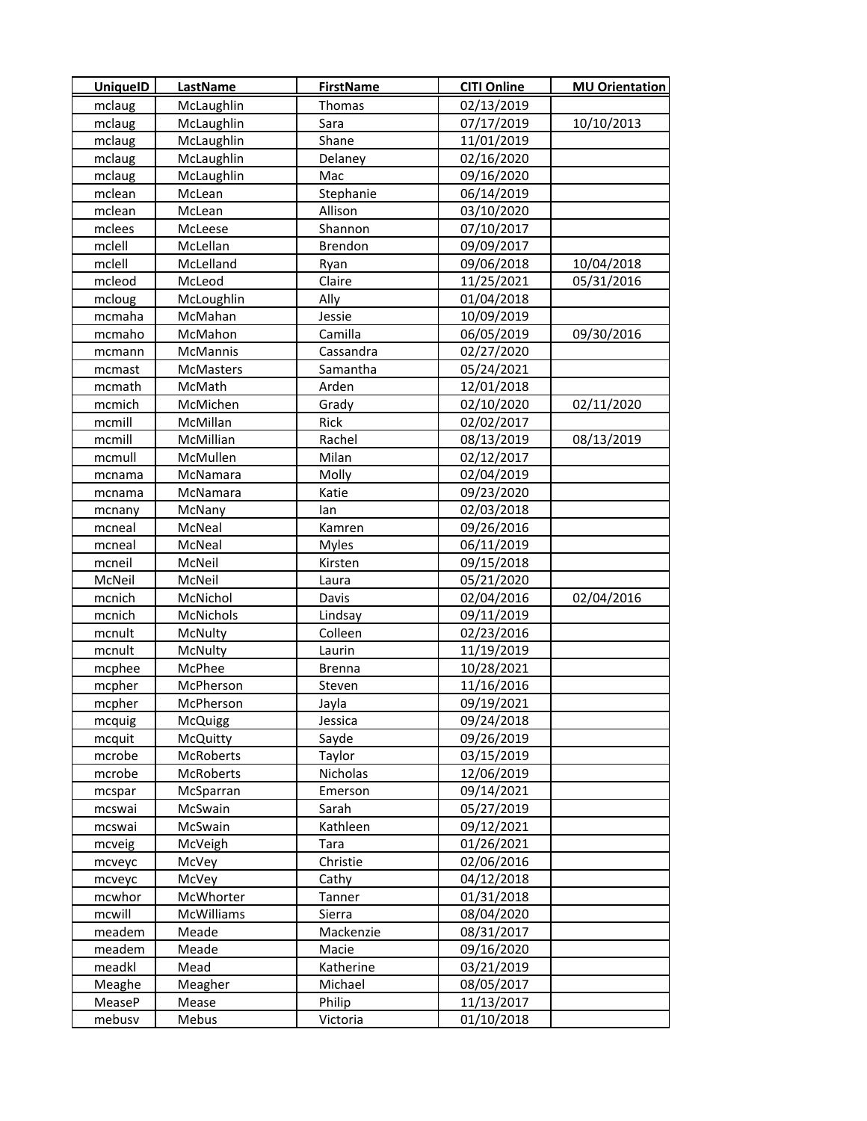| <b>UniquelD</b>  | <b>LastName</b>  | <b>FirstName</b>     | <b>CITI Online</b>       | <b>MU Orientation</b> |
|------------------|------------------|----------------------|--------------------------|-----------------------|
| mclaug           | McLaughlin       | Thomas               | 02/13/2019               |                       |
| mclaug           | McLaughlin       | Sara                 | 07/17/2019               | 10/10/2013            |
| mclaug           | McLaughlin       | Shane                | 11/01/2019               |                       |
| mclaug           | McLaughlin       | Delaney              | 02/16/2020               |                       |
| mclaug           | McLaughlin       | Mac                  | 09/16/2020               |                       |
| mclean           | McLean           | Stephanie            | 06/14/2019               |                       |
| mclean           | McLean           | Allison              | 03/10/2020               |                       |
| mclees           | McLeese          | Shannon              | 07/10/2017               |                       |
| mclell           | McLellan         | Brendon              | 09/09/2017               |                       |
| mclell           | McLelland        | Ryan                 | 09/06/2018               | 10/04/2018            |
| mcleod           | McLeod           | Claire               | 11/25/2021               | 05/31/2016            |
| mcloug           | McLoughlin       | Ally                 | 01/04/2018               |                       |
| mcmaha           | McMahan          | Jessie               | 10/09/2019               |                       |
| mcmaho           | McMahon          | Camilla              | 06/05/2019               | 09/30/2016            |
| mcmann           | McMannis         | Cassandra            | 02/27/2020               |                       |
| mcmast           | <b>McMasters</b> | Samantha             | 05/24/2021               |                       |
| mcmath           | McMath           | Arden                | 12/01/2018               |                       |
| mcmich           | McMichen         | Grady                | 02/10/2020               | 02/11/2020            |
| mcmill           | McMillan         | Rick                 | 02/02/2017               |                       |
| mcmill           | McMillian        | Rachel               | 08/13/2019               | 08/13/2019            |
| mcmull           | McMullen         | Milan                | 02/12/2017               |                       |
| mcnama           | McNamara         | Molly                | 02/04/2019               |                       |
| mcnama           | McNamara         | Katie                | 09/23/2020               |                       |
| mcnany           | McNany           | lan                  | 02/03/2018               |                       |
| mcneal           | McNeal           | Kamren               | 09/26/2016               |                       |
| mcneal           | McNeal           | <b>Myles</b>         | 06/11/2019               |                       |
| mcneil           | McNeil           | Kirsten              | 09/15/2018               |                       |
| McNeil           | McNeil           | Laura                | 05/21/2020               |                       |
| mcnich           | McNichol         | Davis                | 02/04/2016               | 02/04/2016            |
| mcnich           | McNichols        | Lindsay              | 09/11/2019               |                       |
| mcnult           | McNulty          | Colleen              | 02/23/2016               |                       |
| mcnult           | McNulty          | Laurin               | 11/19/2019               |                       |
| mcphee           | McPhee           | <b>Brenna</b>        | 10/28/2021               |                       |
| mcpher           | McPherson        | Steven               | 11/16/2016               |                       |
| mcpher           | McPherson        | Jayla                | 09/19/2021               |                       |
| mcquig           | <b>McQuigg</b>   | Jessica              | 09/24/2018               |                       |
| mcquit           | McQuitty         | Sayde                | 09/26/2019               |                       |
| mcrobe           | McRoberts        | Taylor               | 03/15/2019               |                       |
| mcrobe           | McRoberts        | Nicholas             | 12/06/2019               |                       |
| mcspar           | McSparran        | Emerson              | 09/14/2021               |                       |
| mcswai           | McSwain          | Sarah                | 05/27/2019               |                       |
| mcswai           | McSwain          | Kathleen             | 09/12/2021               |                       |
| mcveig           | McVeigh          | Tara                 | 01/26/2021               |                       |
| mcveyc           | McVey            | Christie             | 02/06/2016               |                       |
| mcveyc           | McVey            | Cathy                | 04/12/2018               |                       |
| mcwhor           | McWhorter        | Tanner               | 01/31/2018               |                       |
| mcwill           | McWilliams       | Sierra               | 08/04/2020               |                       |
| meadem           | Meade            | Mackenzie            | 08/31/2017               |                       |
| meadem           | Meade            | Macie                | 09/16/2020               |                       |
| meadkl           | Mead             | Katherine<br>Michael | 03/21/2019<br>08/05/2017 |                       |
| Meaghe<br>MeaseP | Meagher<br>Mease | Philip               | 11/13/2017               |                       |
| mebusv           | Mebus            | Victoria             | 01/10/2018               |                       |
|                  |                  |                      |                          |                       |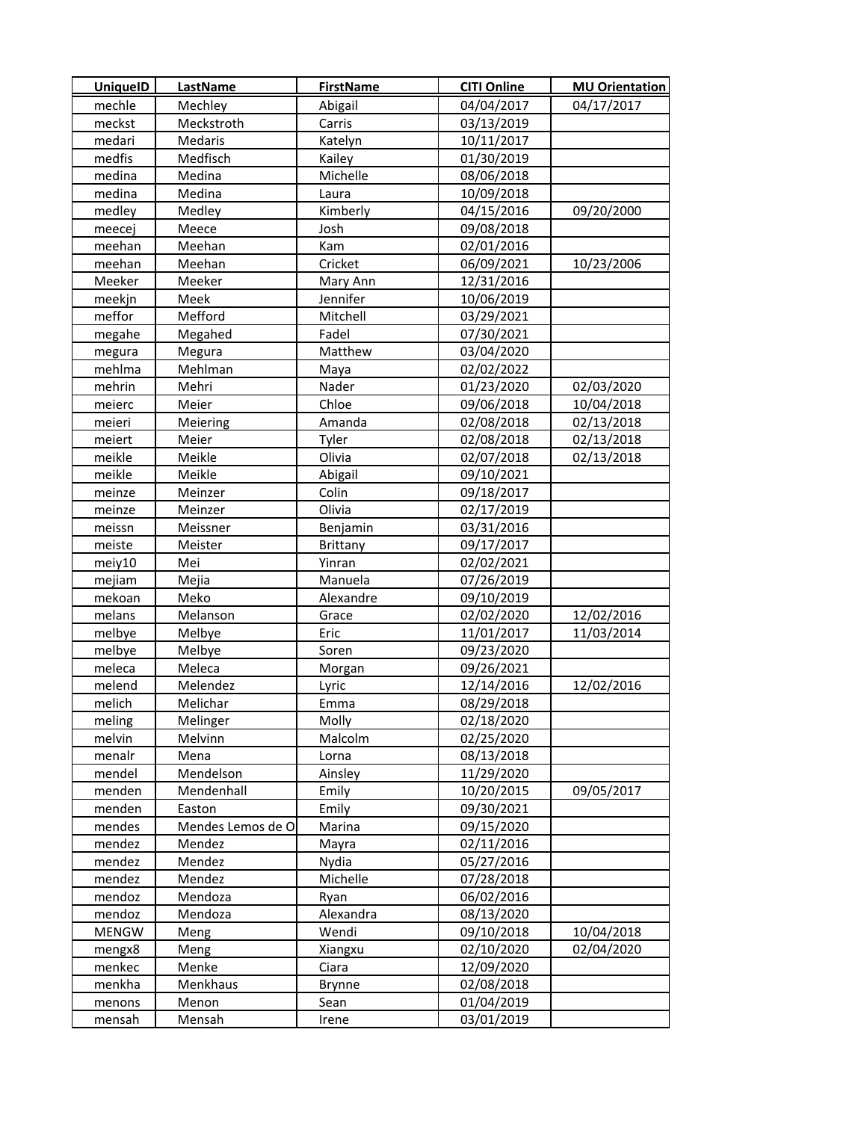| <b>UniquelD</b> | <b>LastName</b>   | <b>FirstName</b> | <b>CITI Online</b> | <b>MU Orientation</b> |
|-----------------|-------------------|------------------|--------------------|-----------------------|
| mechle          | Mechley           | Abigail          | 04/04/2017         | 04/17/2017            |
| meckst          | Meckstroth        | Carris           | 03/13/2019         |                       |
| medari          | Medaris           | Katelyn          | 10/11/2017         |                       |
| medfis          | Medfisch          | Kailey           | 01/30/2019         |                       |
| medina          | Medina            | Michelle         | 08/06/2018         |                       |
| medina          | Medina            | Laura            | 10/09/2018         |                       |
| medley          | Medley            | Kimberly         | 04/15/2016         | 09/20/2000            |
| meecej          | Meece             | Josh             | 09/08/2018         |                       |
| meehan          | Meehan            | Kam              | 02/01/2016         |                       |
| meehan          | Meehan            | Cricket          | 06/09/2021         | 10/23/2006            |
| Meeker          | Meeker            | Mary Ann         | 12/31/2016         |                       |
| meekjn          | Meek              | Jennifer         | 10/06/2019         |                       |
| meffor          | Mefford           | Mitchell         | 03/29/2021         |                       |
| megahe          | Megahed           | Fadel            | 07/30/2021         |                       |
| megura          | Megura            | Matthew          | 03/04/2020         |                       |
| mehlma          | Mehlman           | Maya             | 02/02/2022         |                       |
| mehrin          | Mehri             | Nader            | 01/23/2020         | 02/03/2020            |
| meierc          | Meier             | Chloe            | 09/06/2018         | 10/04/2018            |
| meieri          | Meiering          | Amanda           | 02/08/2018         | 02/13/2018            |
| meiert          | Meier             | Tyler            | 02/08/2018         | 02/13/2018            |
| meikle          | Meikle            | Olivia           | 02/07/2018         | 02/13/2018            |
| meikle          | Meikle            | Abigail          | 09/10/2021         |                       |
| meinze          | Meinzer           | Colin            | 09/18/2017         |                       |
| meinze          | Meinzer           | Olivia           | 02/17/2019         |                       |
| meissn          | Meissner          | Benjamin         | 03/31/2016         |                       |
| meiste          | Meister           | <b>Brittany</b>  | 09/17/2017         |                       |
| meiy10          | Mei               | Yinran           | 02/02/2021         |                       |
| mejiam          | Mejia             | Manuela          | 07/26/2019         |                       |
| mekoan          | Meko              | Alexandre        | 09/10/2019         |                       |
| melans          | Melanson          | Grace            | 02/02/2020         | 12/02/2016            |
| melbye          | Melbye            | Eric             | 11/01/2017         | 11/03/2014            |
| melbye          | Melbye            | Soren            | 09/23/2020         |                       |
| meleca          | Meleca            | Morgan           | 09/26/2021         |                       |
| melend          | Melendez          | Lyric            | 12/14/2016         | 12/02/2016            |
| melich          | Melichar          | Emma             | 08/29/2018         |                       |
| meling          | Melinger          | Molly            | 02/18/2020         |                       |
| melvin          | Melvinn           | Malcolm          | 02/25/2020         |                       |
| menalr          | Mena              | Lorna            | 08/13/2018         |                       |
| mendel          | Mendelson         | Ainsley          | 11/29/2020         |                       |
| menden          | Mendenhall        | Emily            | 10/20/2015         | 09/05/2017            |
| menden          | Easton            | Emily            | 09/30/2021         |                       |
| mendes          | Mendes Lemos de O | Marina           | 09/15/2020         |                       |
| mendez          | Mendez            | Mayra            | 02/11/2016         |                       |
| mendez          | Mendez            | Nydia            | 05/27/2016         |                       |
| mendez          | Mendez            | Michelle         | 07/28/2018         |                       |
| mendoz          | Mendoza           | Ryan             | 06/02/2016         |                       |
| mendoz          | Mendoza           | Alexandra        | 08/13/2020         |                       |
| <b>MENGW</b>    | Meng              | Wendi            | 09/10/2018         | 10/04/2018            |
| mengx8          | Meng              | Xiangxu          | 02/10/2020         | 02/04/2020            |
| menkec          | Menke             | Ciara            | 12/09/2020         |                       |
| menkha          | Menkhaus          | <b>Brynne</b>    | 02/08/2018         |                       |
| menons          | Menon             | Sean             | 01/04/2019         |                       |
| mensah          | Mensah            | Irene            | 03/01/2019         |                       |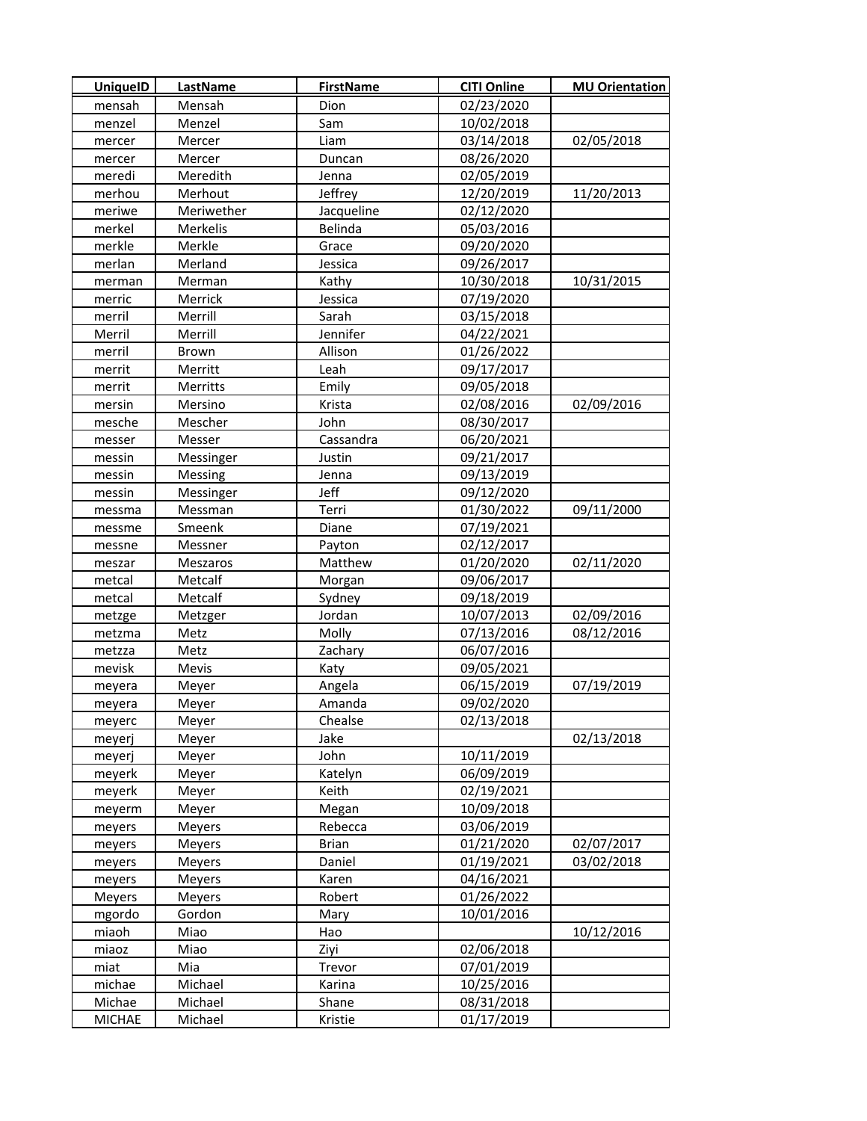| <b>UniquelD</b> | LastName       | <b>FirstName</b> | <b>CITI Online</b> | <b>MU Orientation</b> |
|-----------------|----------------|------------------|--------------------|-----------------------|
| mensah          | Mensah         | Dion             | 02/23/2020         |                       |
| menzel          | Menzel         | Sam              | 10/02/2018         |                       |
| mercer          | Mercer         | Liam             | 03/14/2018         | 02/05/2018            |
| mercer          | Mercer         | Duncan           | 08/26/2020         |                       |
| meredi          | Meredith       | Jenna            | 02/05/2019         |                       |
| merhou          | Merhout        | Jeffrey          | 12/20/2019         | 11/20/2013            |
| meriwe          | Meriwether     | Jacqueline       | 02/12/2020         |                       |
| merkel          | Merkelis       | Belinda          | 05/03/2016         |                       |
| merkle          | Merkle         | Grace            | 09/20/2020         |                       |
| merlan          | Merland        | Jessica          | 09/26/2017         |                       |
| merman          | Merman         | Kathy            | 10/30/2018         | 10/31/2015            |
| merric          | Merrick        | Jessica          | 07/19/2020         |                       |
| merril          | Merrill        | Sarah            | 03/15/2018         |                       |
| Merril          | Merrill        | Jennifer         | 04/22/2021         |                       |
| merril          | Brown          | Allison          | 01/26/2022         |                       |
| merrit          | Merritt        | Leah             | 09/17/2017         |                       |
| merrit          | Merritts       | Emily            | 09/05/2018         |                       |
| mersin          | Mersino        | Krista           | 02/08/2016         | 02/09/2016            |
| mesche          | Mescher        | John             | 08/30/2017         |                       |
| messer          | Messer         | Cassandra        | 06/20/2021         |                       |
| messin          | Messinger      | Justin           | 09/21/2017         |                       |
| messin          | <b>Messing</b> | Jenna            | 09/13/2019         |                       |
| messin          | Messinger      | Jeff             | 09/12/2020         |                       |
| messma          | Messman        | Terri            | 01/30/2022         | 09/11/2000            |
| messme          | Smeenk         | Diane            | 07/19/2021         |                       |
| messne          | Messner        | Payton           | 02/12/2017         |                       |
| meszar          | Meszaros       | Matthew          | 01/20/2020         | 02/11/2020            |
| metcal          | Metcalf        | Morgan           | 09/06/2017         |                       |
| metcal          | Metcalf        | Sydney           | 09/18/2019         |                       |
| metzge          | Metzger        | Jordan           | 10/07/2013         | 02/09/2016            |
| metzma          | Metz           | Molly            | 07/13/2016         | 08/12/2016            |
| metzza          | Metz           | Zachary          | 06/07/2016         |                       |
| mevisk          | Mevis          | Katy             | 09/05/2021         |                       |
| meyera          | Meyer          | Angela           | 06/15/2019         | 07/19/2019            |
| meyera          | Meyer          | Amanda           | 09/02/2020         |                       |
| meyerc          | Meyer          | Chealse          | 02/13/2018         |                       |
| meyerj          | Meyer          | Jake             |                    | 02/13/2018            |
| meyerj          | Meyer          | John             | 10/11/2019         |                       |
| meyerk          | Meyer          | Katelyn          | 06/09/2019         |                       |
| meyerk          | Meyer          | Keith            | 02/19/2021         |                       |
| meyerm          | Meyer          | Megan            | 10/09/2018         |                       |
| meyers          | Meyers         | Rebecca          | 03/06/2019         |                       |
| meyers          | Meyers         | <b>Brian</b>     | 01/21/2020         | 02/07/2017            |
| meyers          | Meyers         | Daniel           | 01/19/2021         | 03/02/2018            |
| meyers          | Meyers         | Karen            | 04/16/2021         |                       |
| Meyers          | Meyers         | Robert           | 01/26/2022         |                       |
| mgordo          | Gordon         | Mary             | 10/01/2016         |                       |
| miaoh           | Miao           | Hao              |                    | 10/12/2016            |
| miaoz           | Miao           | Ziyi             | 02/06/2018         |                       |
| miat            | Mia            | Trevor           | 07/01/2019         |                       |
| michae          | Michael        | Karina           | 10/25/2016         |                       |
| Michae          | Michael        | Shane            | 08/31/2018         |                       |
| <b>MICHAE</b>   | Michael        | Kristie          | 01/17/2019         |                       |
|                 |                |                  |                    |                       |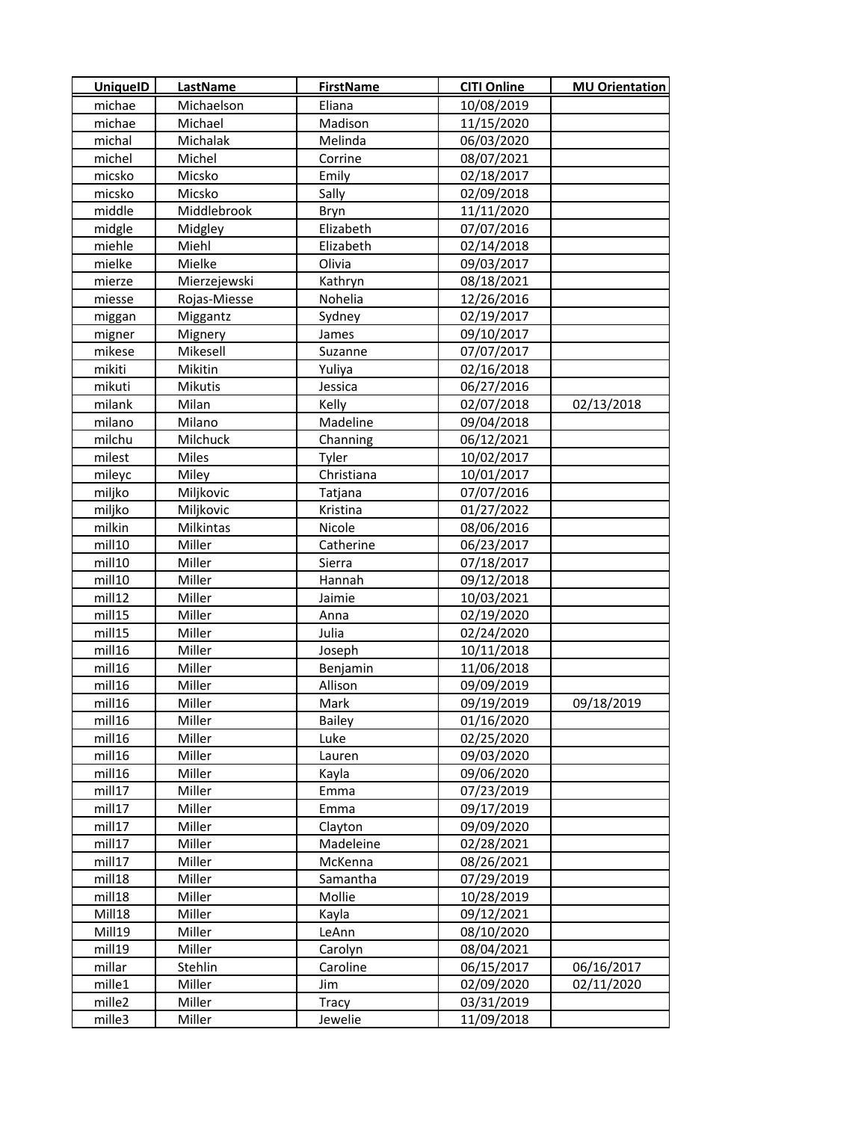| <b>UniquelD</b> | LastName     | <b>FirstName</b> | <b>CITI Online</b> | <b>MU Orientation</b> |
|-----------------|--------------|------------------|--------------------|-----------------------|
| michae          | Michaelson   | Eliana           | 10/08/2019         |                       |
| michae          | Michael      | Madison          | 11/15/2020         |                       |
| michal          | Michalak     | Melinda          | 06/03/2020         |                       |
| michel          | Michel       | Corrine          | 08/07/2021         |                       |
| micsko          | Micsko       | Emily            | 02/18/2017         |                       |
| micsko          | Micsko       | Sally            | 02/09/2018         |                       |
| middle          | Middlebrook  | Bryn             | 11/11/2020         |                       |
| midgle          | Midgley      | Elizabeth        | 07/07/2016         |                       |
| miehle          | Miehl        | Elizabeth        | 02/14/2018         |                       |
| mielke          | Mielke       | Olivia           | 09/03/2017         |                       |
| mierze          | Mierzejewski | Kathryn          | 08/18/2021         |                       |
| miesse          | Rojas-Miesse | Nohelia          | 12/26/2016         |                       |
| miggan          | Miggantz     | Sydney           | 02/19/2017         |                       |
| migner          | Mignery      | James            | 09/10/2017         |                       |
| mikese          | Mikesell     | Suzanne          | 07/07/2017         |                       |
| mikiti          | Mikitin      | Yuliya           | 02/16/2018         |                       |
| mikuti          | Mikutis      | Jessica          | 06/27/2016         |                       |
| milank          | Milan        | Kelly            | 02/07/2018         | 02/13/2018            |
| milano          | Milano       | Madeline         | 09/04/2018         |                       |
| milchu          | Milchuck     | Channing         | 06/12/2021         |                       |
| milest          | Miles        | Tyler            | 10/02/2017         |                       |
| mileyc          | Miley        | Christiana       | 10/01/2017         |                       |
| miljko          | Miljkovic    | Tatjana          | 07/07/2016         |                       |
| miljko          | Miljkovic    | Kristina         | 01/27/2022         |                       |
| milkin          | Milkintas    | Nicole           | 08/06/2016         |                       |
| mill10          | Miller       | Catherine        | 06/23/2017         |                       |
| mill10          | Miller       | Sierra           | 07/18/2017         |                       |
| mill10          | Miller       | Hannah           | 09/12/2018         |                       |
| mill12          | Miller       | Jaimie           | 10/03/2021         |                       |
| mill15          | Miller       | Anna             | 02/19/2020         |                       |
| mill15          | Miller       | Julia            | 02/24/2020         |                       |
| mill16          | Miller       | Joseph           | 10/11/2018         |                       |
| mill16          | Miller       | Benjamin         | 11/06/2018         |                       |
| mill16          | Miller       | Allison          | 09/09/2019         |                       |
| mill16          | Miller       | Mark             | 09/19/2019         | 09/18/2019            |
| mill16          | Miller       | <b>Bailey</b>    | 01/16/2020         |                       |
| mill16          | Miller       | Luke             | 02/25/2020         |                       |
| mill16          | Miller       | Lauren           | 09/03/2020         |                       |
| mill16          | Miller       | Kayla            | 09/06/2020         |                       |
| mill17          | Miller       | Emma             | 07/23/2019         |                       |
| mill17          | Miller       | Emma             | 09/17/2019         |                       |
| mill17          | Miller       | Clayton          | 09/09/2020         |                       |
| mill17          | Miller       | Madeleine        | 02/28/2021         |                       |
| mill17          | Miller       | McKenna          | 08/26/2021         |                       |
| mill18          | Miller       | Samantha         | 07/29/2019         |                       |
| mill18          | Miller       | Mollie           | 10/28/2019         |                       |
| Mill18          | Miller       | Kayla            | 09/12/2021         |                       |
| Mill19          | Miller       | LeAnn            | 08/10/2020         |                       |
| mill19          | Miller       | Carolyn          | 08/04/2021         |                       |
| millar          | Stehlin      | Caroline         | 06/15/2017         | 06/16/2017            |
| mille1          | Miller       | Jim              | 02/09/2020         | 02/11/2020            |
| mille2          | Miller       | Tracy            | 03/31/2019         |                       |
| mille3          | Miller       | Jewelie          | 11/09/2018         |                       |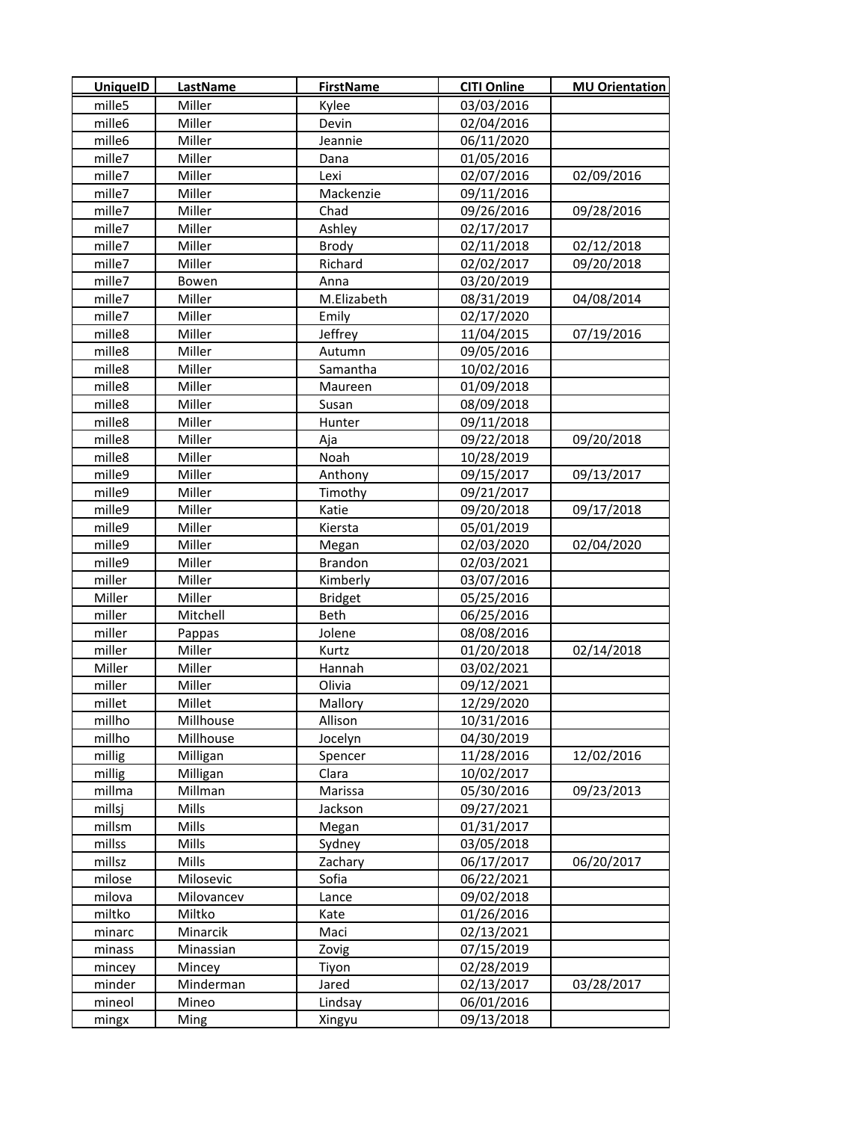| UniquelD | <b>LastName</b> | <b>FirstName</b> | <b>CITI Online</b> | <b>MU Orientation</b> |
|----------|-----------------|------------------|--------------------|-----------------------|
| mille5   | Miller          | Kylee            | 03/03/2016         |                       |
| mille6   | Miller          | Devin            | 02/04/2016         |                       |
| mille6   | Miller          | Jeannie          | 06/11/2020         |                       |
| mille7   | Miller          | Dana             | 01/05/2016         |                       |
| mille7   | Miller          | Lexi             | 02/07/2016         | 02/09/2016            |
| mille7   | Miller          | Mackenzie        | 09/11/2016         |                       |
| mille7   | Miller          | Chad             | 09/26/2016         | 09/28/2016            |
| mille7   | Miller          | Ashley           | 02/17/2017         |                       |
| mille7   | Miller          | Brody            | 02/11/2018         | 02/12/2018            |
| mille7   | Miller          | Richard          | 02/02/2017         | 09/20/2018            |
| mille7   | Bowen           | Anna             | 03/20/2019         |                       |
| mille7   | Miller          | M.Elizabeth      | 08/31/2019         | 04/08/2014            |
| mille7   | Miller          | Emily            | 02/17/2020         |                       |
| mille8   | Miller          | Jeffrey          | 11/04/2015         | 07/19/2016            |
| mille8   | Miller          | Autumn           | 09/05/2016         |                       |
| mille8   | Miller          | Samantha         | 10/02/2016         |                       |
| mille8   | Miller          | Maureen          | 01/09/2018         |                       |
| mille8   | Miller          | Susan            | 08/09/2018         |                       |
| mille8   | Miller          | Hunter           | 09/11/2018         |                       |
| mille8   | Miller          | Aja              | 09/22/2018         | 09/20/2018            |
| mille8   | Miller          | Noah             | 10/28/2019         |                       |
| mille9   | Miller          | Anthony          | 09/15/2017         | 09/13/2017            |
| mille9   | Miller          | Timothy          | 09/21/2017         |                       |
| mille9   | Miller          | Katie            | 09/20/2018         | 09/17/2018            |
| mille9   | Miller          | Kiersta          | 05/01/2019         |                       |
| mille9   | Miller          | Megan            | 02/03/2020         | 02/04/2020            |
| mille9   | Miller          | Brandon          | 02/03/2021         |                       |
| miller   | Miller          | Kimberly         | 03/07/2016         |                       |
| Miller   | Miller          | <b>Bridget</b>   | 05/25/2016         |                       |
| miller   | Mitchell        | Beth             | 06/25/2016         |                       |
| miller   | Pappas          | Jolene           | 08/08/2016         |                       |
| miller   | Miller          | Kurtz            | 01/20/2018         | 02/14/2018            |
| Miller   | Miller          | Hannah           | 03/02/2021         |                       |
| miller   | Miller          | Olivia           | 09/12/2021         |                       |
| millet   | Millet          | Mallory          | 12/29/2020         |                       |
| millho   | Millhouse       | Allison          | 10/31/2016         |                       |
| millho   | Millhouse       | Jocelyn          | 04/30/2019         |                       |
| millig   | Milligan        | Spencer          | 11/28/2016         | 12/02/2016            |
| millig   | Milligan        | Clara            | 10/02/2017         |                       |
| millma   | Millman         | Marissa          | 05/30/2016         | 09/23/2013            |
| millsj   | Mills           | Jackson          | 09/27/2021         |                       |
| millsm   | Mills           | Megan            | 01/31/2017         |                       |
| millss   | Mills           | Sydney           | 03/05/2018         |                       |
| millsz   | Mills           | Zachary          | 06/17/2017         | 06/20/2017            |
| milose   | Milosevic       | Sofia            | 06/22/2021         |                       |
| milova   | Milovancev      | Lance            | 09/02/2018         |                       |
| miltko   | Miltko          | Kate             | 01/26/2016         |                       |
| minarc   | Minarcik        | Maci             | 02/13/2021         |                       |
| minass   | Minassian       | Zovig            | 07/15/2019         |                       |
| mincey   | Mincey          | Tiyon            | 02/28/2019         |                       |
| minder   | Minderman       | Jared            | 02/13/2017         | 03/28/2017            |
| mineol   | Mineo           | Lindsay          | 06/01/2016         |                       |
| mingx    | Ming            | Xingyu           | 09/13/2018         |                       |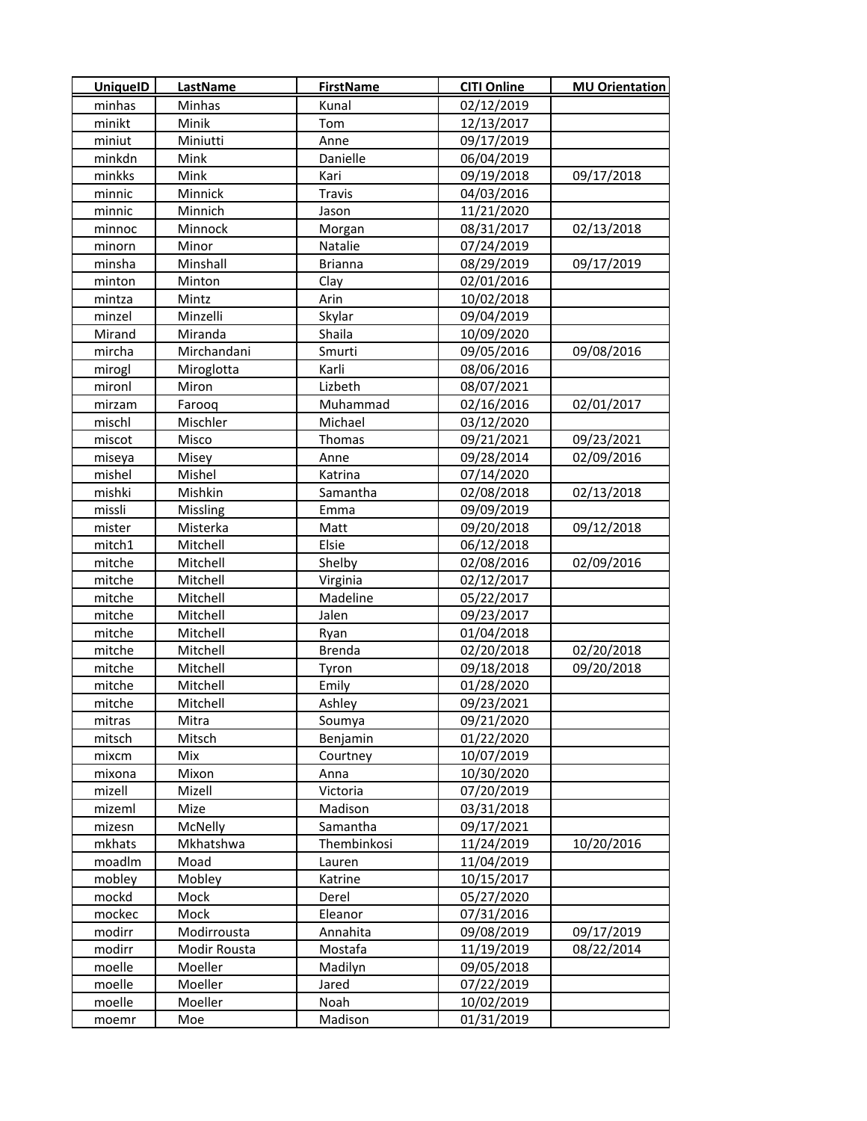| <b>UniquelD</b> | LastName     | <b>FirstName</b> | <b>CITI Online</b> | <b>MU Orientation</b> |
|-----------------|--------------|------------------|--------------------|-----------------------|
| minhas          | Minhas       | Kunal            | 02/12/2019         |                       |
| minikt          | Minik        | Tom              | 12/13/2017         |                       |
| miniut          | Miniutti     | Anne             | 09/17/2019         |                       |
| minkdn          | Mink         | Danielle         | 06/04/2019         |                       |
| minkks          | Mink         | Kari             | 09/19/2018         | 09/17/2018            |
| minnic          | Minnick      | Travis           | 04/03/2016         |                       |
| minnic          | Minnich      | Jason            | 11/21/2020         |                       |
| minnoc          | Minnock      | Morgan           | 08/31/2017         | 02/13/2018            |
| minorn          | Minor        | Natalie          | 07/24/2019         |                       |
| minsha          | Minshall     | <b>Brianna</b>   | 08/29/2019         | 09/17/2019            |
| minton          | Minton       | Clay             | 02/01/2016         |                       |
| mintza          | Mintz        | Arin             | 10/02/2018         |                       |
| minzel          | Minzelli     | Skylar           | 09/04/2019         |                       |
| Mirand          | Miranda      | Shaila           | 10/09/2020         |                       |
| mircha          | Mirchandani  | Smurti           | 09/05/2016         | 09/08/2016            |
| mirogl          | Miroglotta   | Karli            | 08/06/2016         |                       |
| mironl          | Miron        | Lizbeth          | 08/07/2021         |                       |
| mirzam          | Farooq       | Muhammad         | 02/16/2016         | 02/01/2017            |
| mischl          | Mischler     | Michael          | 03/12/2020         |                       |
| miscot          | Misco        | Thomas           | 09/21/2021         | 09/23/2021            |
| miseya          | Misey        | Anne             | 09/28/2014         | 02/09/2016            |
| mishel          | Mishel       | Katrina          | 07/14/2020         |                       |
| mishki          | Mishkin      | Samantha         | 02/08/2018         | 02/13/2018            |
| missli          | Missling     | Emma             | 09/09/2019         |                       |
| mister          | Misterka     | Matt             | 09/20/2018         | 09/12/2018            |
| mitch1          | Mitchell     | Elsie            | 06/12/2018         |                       |
| mitche          | Mitchell     | Shelby           | 02/08/2016         | 02/09/2016            |
| mitche          | Mitchell     | Virginia         | 02/12/2017         |                       |
| mitche          | Mitchell     | Madeline         | 05/22/2017         |                       |
| mitche          | Mitchell     | Jalen            | 09/23/2017         |                       |
| mitche          | Mitchell     | Ryan             | 01/04/2018         |                       |
| mitche          | Mitchell     | <b>Brenda</b>    | 02/20/2018         | 02/20/2018            |
| mitche          | Mitchell     | Tyron            | 09/18/2018         | 09/20/2018            |
| mitche          | Mitchell     | Emily            | 01/28/2020         |                       |
| mitche          | Mitchell     | Ashley           | 09/23/2021         |                       |
| mitras          | Mitra        | Soumya           | 09/21/2020         |                       |
| mitsch          | Mitsch       | Benjamin         | 01/22/2020         |                       |
| mixcm           | Mix          | Courtney         | 10/07/2019         |                       |
| mixona          | Mixon        | Anna             | 10/30/2020         |                       |
| mizell          | Mizell       | Victoria         | 07/20/2019         |                       |
| mizeml          | Mize         | Madison          | 03/31/2018         |                       |
| mizesn          | McNelly      | Samantha         | 09/17/2021         |                       |
| mkhats          | Mkhatshwa    | Thembinkosi      | 11/24/2019         | 10/20/2016            |
| moadlm          | Moad         | Lauren           | 11/04/2019         |                       |
| mobley          | Mobley       | Katrine          | 10/15/2017         |                       |
| mockd           | Mock         | Derel            | 05/27/2020         |                       |
| mockec          | Mock         | Eleanor          | 07/31/2016         |                       |
| modirr          | Modirrousta  | Annahita         | 09/08/2019         | 09/17/2019            |
| modirr          | Modir Rousta | Mostafa          | 11/19/2019         | 08/22/2014            |
| moelle          | Moeller      | Madilyn          | 09/05/2018         |                       |
| moelle          | Moeller      | Jared            | 07/22/2019         |                       |
| moelle          | Moeller      | Noah             | 10/02/2019         |                       |
| moemr           | Moe          | Madison          | 01/31/2019         |                       |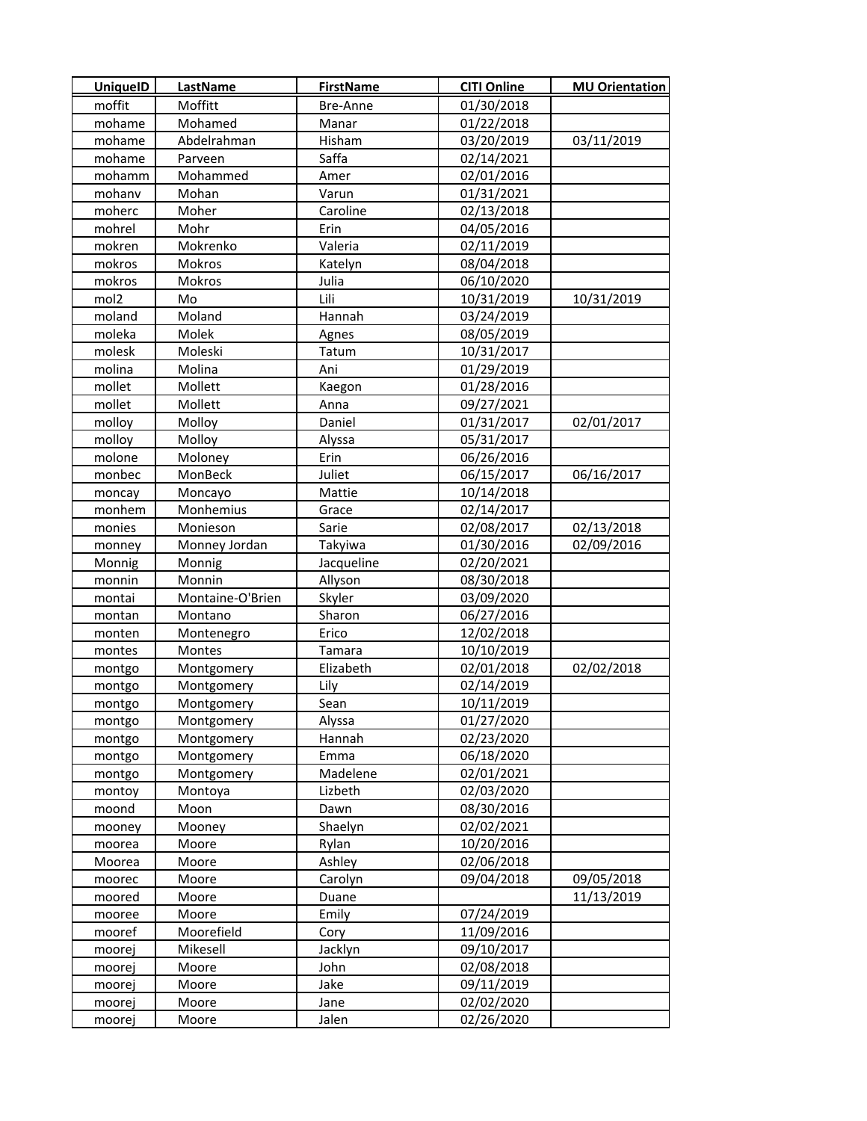| <b>UniquelD</b>  | <b>LastName</b>  | <b>FirstName</b> | <b>CITI Online</b> | <b>MU Orientation</b> |
|------------------|------------------|------------------|--------------------|-----------------------|
| moffit           | Moffitt          | Bre-Anne         | 01/30/2018         |                       |
| mohame           | Mohamed          | Manar            | 01/22/2018         |                       |
| mohame           | Abdelrahman      | Hisham           | 03/20/2019         | 03/11/2019            |
| mohame           | Parveen          | Saffa            | 02/14/2021         |                       |
| mohamm           | Mohammed         | Amer             | 02/01/2016         |                       |
| mohanv           | Mohan            | Varun            | 01/31/2021         |                       |
| moherc           | Moher            | Caroline         | 02/13/2018         |                       |
| mohrel           | Mohr             | Erin             | 04/05/2016         |                       |
| mokren           | Mokrenko         | Valeria          | 02/11/2019         |                       |
| mokros           | Mokros           | Katelyn          | 08/04/2018         |                       |
| mokros           | <b>Mokros</b>    | Julia            | 06/10/2020         |                       |
| mol <sub>2</sub> | Mo               | Lili             | 10/31/2019         | 10/31/2019            |
| moland           | Moland           | Hannah           | 03/24/2019         |                       |
| moleka           | Molek            | Agnes            | 08/05/2019         |                       |
| molesk           | Moleski          | Tatum            | 10/31/2017         |                       |
| molina           | Molina           | Ani              | 01/29/2019         |                       |
| mollet           | Mollett          | Kaegon           | 01/28/2016         |                       |
| mollet           | Mollett          | Anna             | 09/27/2021         |                       |
| molloy           | Molloy           | Daniel           | 01/31/2017         | 02/01/2017            |
| molloy           | Molloy           | Alyssa           | 05/31/2017         |                       |
| molone           | Moloney          | Erin             | 06/26/2016         |                       |
| monbec           | MonBeck          | Juliet           | 06/15/2017         | 06/16/2017            |
| moncay           | Moncayo          | Mattie           | 10/14/2018         |                       |
| monhem           | Monhemius        | Grace            | 02/14/2017         |                       |
| monies           | Monieson         | Sarie            | 02/08/2017         | 02/13/2018            |
| monney           | Monney Jordan    | Takyiwa          | 01/30/2016         | 02/09/2016            |
| Monnig           | Monnig           | Jacqueline       | 02/20/2021         |                       |
| monnin           | Monnin           | Allyson          | 08/30/2018         |                       |
| montai           | Montaine-O'Brien | Skyler           | 03/09/2020         |                       |
| montan           | Montano          | Sharon           | 06/27/2016         |                       |
| monten           | Montenegro       | Erico            | 12/02/2018         |                       |
| montes           | Montes           | Tamara           | 10/10/2019         |                       |
| montgo           | Montgomery       | Elizabeth        | 02/01/2018         | 02/02/2018            |
| montgo           | Montgomery       | Lily             | 02/14/2019         |                       |
| montgo           | Montgomery       | Sean             | 10/11/2019         |                       |
| montgo           | Montgomery       | Alyssa           | 01/27/2020         |                       |
| montgo           | Montgomery       | Hannah           | 02/23/2020         |                       |
| montgo           | Montgomery       | Emma             | 06/18/2020         |                       |
| montgo           | Montgomery       | Madelene         | 02/01/2021         |                       |
| montoy           | Montoya          | Lizbeth          | 02/03/2020         |                       |
| moond            | Moon             | Dawn             | 08/30/2016         |                       |
| mooney           | Mooney           | Shaelyn          | 02/02/2021         |                       |
| moorea           | Moore            | Rylan            | 10/20/2016         |                       |
| Moorea           | Moore            | Ashley           | 02/06/2018         |                       |
| moorec           | Moore            | Carolyn          | 09/04/2018         | 09/05/2018            |
| moored           | Moore            | Duane            |                    | 11/13/2019            |
| mooree           | Moore            | Emily            | 07/24/2019         |                       |
| mooref           | Moorefield       | Cory             | 11/09/2016         |                       |
| moorej           | Mikesell         | Jacklyn          | 09/10/2017         |                       |
| moorej           | Moore            | John             | 02/08/2018         |                       |
| moorej           | Moore            | Jake             | 09/11/2019         |                       |
| moorej           | Moore            | Jane             | 02/02/2020         |                       |
| moorej           | Moore            | Jalen            | 02/26/2020         |                       |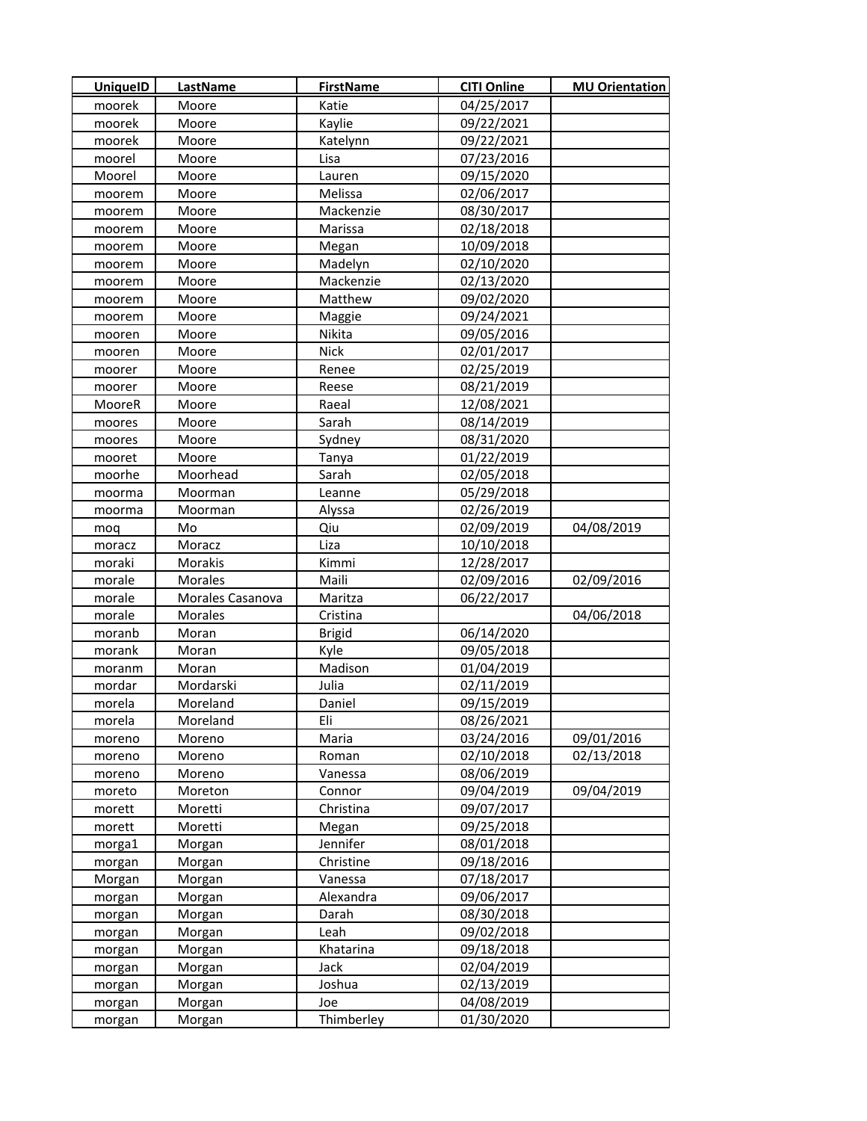| <b>UniquelD</b> | LastName         | <b>FirstName</b>  | <b>CITI Online</b>       | <b>MU Orientation</b> |
|-----------------|------------------|-------------------|--------------------------|-----------------------|
| moorek          | Moore            | Katie             | 04/25/2017               |                       |
| moorek          | Moore            | Kaylie            | 09/22/2021               |                       |
| moorek          | Moore            | Katelynn          | 09/22/2021               |                       |
| moorel          | Moore            | Lisa              | 07/23/2016               |                       |
| Moorel          | Moore            | Lauren            | 09/15/2020               |                       |
| moorem          | Moore            | Melissa           | 02/06/2017               |                       |
| moorem          | Moore            | Mackenzie         | 08/30/2017               |                       |
| moorem          | Moore            | Marissa           | 02/18/2018               |                       |
| moorem          | Moore            | Megan             | 10/09/2018               |                       |
| moorem          | Moore            | Madelyn           | 02/10/2020               |                       |
| moorem          | Moore            | Mackenzie         | 02/13/2020               |                       |
| moorem          | Moore            | Matthew           | 09/02/2020               |                       |
| moorem          | Moore            | Maggie            | 09/24/2021               |                       |
| mooren          | Moore            | Nikita            | 09/05/2016               |                       |
| mooren          | Moore            | <b>Nick</b>       | 02/01/2017               |                       |
| moorer          | Moore            | Renee             | 02/25/2019               |                       |
| moorer          | Moore            | Reese             | 08/21/2019               |                       |
| MooreR          | Moore            | Raeal             | 12/08/2021               |                       |
| moores          | Moore            | Sarah             | 08/14/2019               |                       |
| moores          | Moore            | Sydney            | 08/31/2020               |                       |
| mooret          | Moore            | Tanya             | 01/22/2019               |                       |
| moorhe          | Moorhead         | Sarah             | 02/05/2018               |                       |
| moorma          | Moorman          | Leanne            | 05/29/2018               |                       |
| moorma          | Moorman          | Alyssa            | 02/26/2019               |                       |
| mog             | Mo               | Qiu               | 02/09/2019               | 04/08/2019            |
| moracz          | Moracz           | Liza              | 10/10/2018               |                       |
| moraki          | Morakis          | Kimmi             | 12/28/2017               |                       |
| morale          | <b>Morales</b>   | Maili             | 02/09/2016               | 02/09/2016            |
| morale          | Morales Casanova | Maritza           | 06/22/2017               |                       |
| morale          | Morales          | Cristina          |                          | 04/06/2018            |
| moranb          | Moran            | <b>Brigid</b>     | 06/14/2020               |                       |
| morank          | Moran            | Kyle              | 09/05/2018               |                       |
| moranm          | Moran            | Madison           | 01/04/2019               |                       |
| mordar          | Mordarski        | Julia             | 02/11/2019               |                       |
| morela          | Moreland         | Daniel            | 09/15/2019               |                       |
| morela          | Moreland         | Eli               | 08/26/2021               |                       |
| moreno          | Moreno           | Maria             | 03/24/2016               | 09/01/2016            |
| moreno          | Moreno           | Roman             | 02/10/2018               | 02/13/2018            |
| moreno          | Moreno           | Vanessa           | 08/06/2019               |                       |
| moreto          | Moreton          | Connor            | 09/04/2019               | 09/04/2019            |
| morett          | Moretti          | Christina         | 09/07/2017               |                       |
| morett          | Moretti          | Megan             | 09/25/2018               |                       |
| morga1          | Morgan           | Jennifer          | 08/01/2018               |                       |
| morgan          | Morgan           | Christine         | 09/18/2016               |                       |
| Morgan          | Morgan           | Vanessa           | 07/18/2017               |                       |
| morgan          | Morgan           | Alexandra         | 09/06/2017               |                       |
| morgan          | Morgan           | Darah             | 08/30/2018               |                       |
| morgan          | Morgan           | Leah              | 09/02/2018               |                       |
| morgan          | Morgan           | Khatarina         | 09/18/2018               |                       |
| morgan          | Morgan           | Jack              | 02/04/2019               |                       |
| morgan          | Morgan           | Joshua            | 02/13/2019               |                       |
| morgan          | Morgan           | Joe<br>Thimberley | 04/08/2019<br>01/30/2020 |                       |
| morgan          | Morgan           |                   |                          |                       |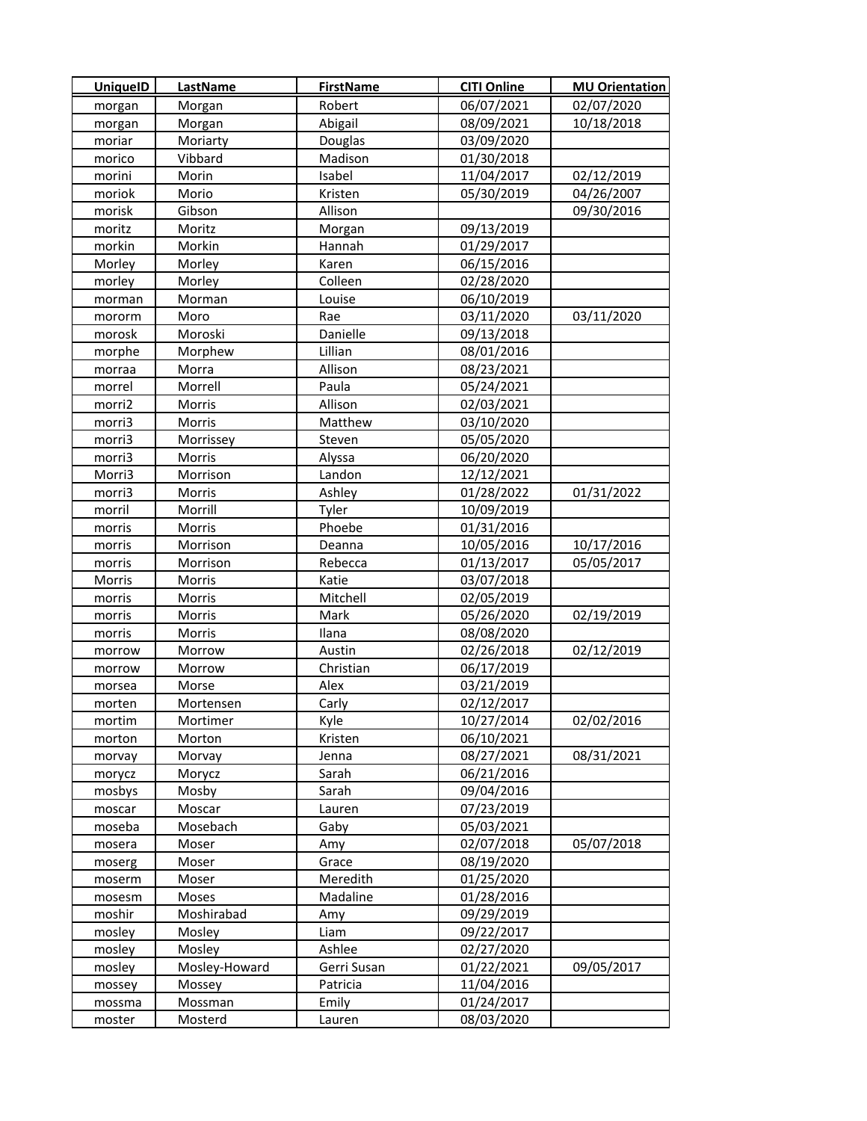| <b>UniquelD</b> | LastName      | <b>FirstName</b> | <b>CITI Online</b> | <b>MU Orientation</b> |
|-----------------|---------------|------------------|--------------------|-----------------------|
| morgan          | Morgan        | Robert           | 06/07/2021         | 02/07/2020            |
| morgan          | Morgan        | Abigail          | 08/09/2021         | 10/18/2018            |
| moriar          | Moriarty      | Douglas          | 03/09/2020         |                       |
| morico          | Vibbard       | Madison          | 01/30/2018         |                       |
| morini          | Morin         | Isabel           | 11/04/2017         | 02/12/2019            |
| moriok          | Morio         | Kristen          | 05/30/2019         | 04/26/2007            |
| morisk          | Gibson        | Allison          |                    | 09/30/2016            |
| moritz          | Moritz        | Morgan           | 09/13/2019         |                       |
| morkin          | Morkin        | Hannah           | 01/29/2017         |                       |
| Morley          | Morley        | Karen            | 06/15/2016         |                       |
| morley          | Morley        | Colleen          | 02/28/2020         |                       |
| morman          | Morman        | Louise           | 06/10/2019         |                       |
| mororm          | Moro          | Rae              | 03/11/2020         | 03/11/2020            |
| morosk          | Moroski       | Danielle         | 09/13/2018         |                       |
| morphe          | Morphew       | Lillian          | 08/01/2016         |                       |
| morraa          | Morra         | Allison          | 08/23/2021         |                       |
| morrel          | Morrell       | Paula            | 05/24/2021         |                       |
| morri2          | Morris        | Allison          | 02/03/2021         |                       |
| morri3          | Morris        | Matthew          | 03/10/2020         |                       |
| morri3          | Morrissey     | Steven           | 05/05/2020         |                       |
| morri3          | Morris        | Alyssa           | 06/20/2020         |                       |
| Morri3          | Morrison      | Landon           | 12/12/2021         |                       |
| morri3          | Morris        | Ashley           | 01/28/2022         | 01/31/2022            |
| morril          | Morrill       | Tyler            | 10/09/2019         |                       |
| morris          | Morris        | Phoebe           | 01/31/2016         |                       |
| morris          | Morrison      | Deanna           | 10/05/2016         | 10/17/2016            |
| morris          | Morrison      | Rebecca          | 01/13/2017         | 05/05/2017            |
| Morris          | Morris        | Katie            | 03/07/2018         |                       |
| morris          | Morris        | Mitchell         | 02/05/2019         |                       |
| morris          | Morris        | Mark             | 05/26/2020         | 02/19/2019            |
| morris          | Morris        | Ilana            | 08/08/2020         |                       |
| morrow          | Morrow        | Austin           | 02/26/2018         | 02/12/2019            |
| morrow          | Morrow        | Christian        | 06/17/2019         |                       |
| morsea          | Morse         | Alex             | 03/21/2019         |                       |
| morten          | Mortensen     | Carly            | 02/12/2017         |                       |
| mortim          | Mortimer      | Kyle             | 10/27/2014         | 02/02/2016            |
| morton          | Morton        | Kristen          | 06/10/2021         |                       |
| morvay          | Morvay        | Jenna            | 08/27/2021         | 08/31/2021            |
| morycz          | Morycz        | Sarah            | 06/21/2016         |                       |
| mosbys          | Mosby         | Sarah            | 09/04/2016         |                       |
| moscar          | Moscar        | Lauren           | 07/23/2019         |                       |
| moseba          | Mosebach      | Gaby             | 05/03/2021         |                       |
| mosera          | Moser         | Amy              | 02/07/2018         | 05/07/2018            |
| moserg          | Moser         | Grace            | 08/19/2020         |                       |
| moserm          | Moser         | Meredith         | 01/25/2020         |                       |
| mosesm          | Moses         | Madaline         | 01/28/2016         |                       |
| moshir          | Moshirabad    | Amy              | 09/29/2019         |                       |
| mosley          | Mosley        | Liam             | 09/22/2017         |                       |
| mosley          | Mosley        | Ashlee           | 02/27/2020         |                       |
| mosley          | Mosley-Howard | Gerri Susan      | 01/22/2021         | 09/05/2017            |
| mossey          | Mossey        | Patricia         | 11/04/2016         |                       |
| mossma          | Mossman       | Emily            | 01/24/2017         |                       |
| moster          | Mosterd       | Lauren           | 08/03/2020         |                       |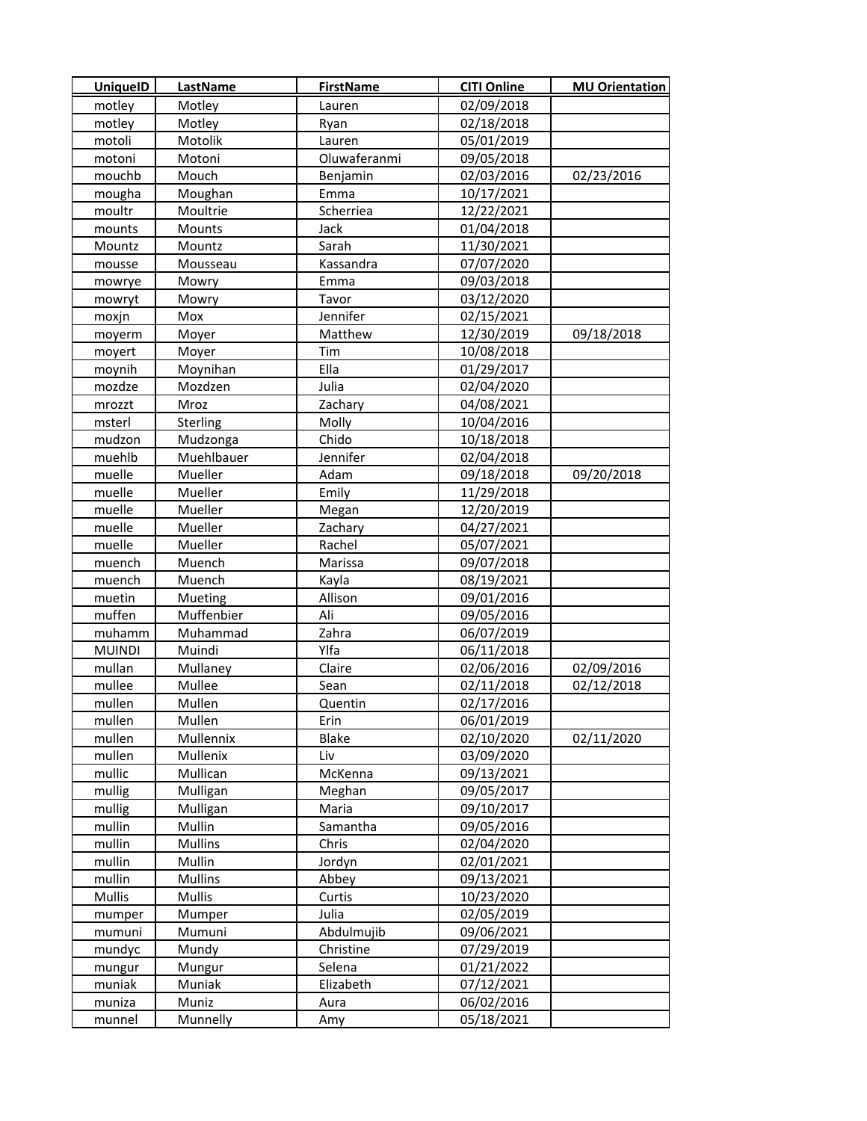| <b>UniquelD</b> | <b>LastName</b> | <b>FirstName</b> | <b>CITI Online</b> | <b>MU Orientation</b> |
|-----------------|-----------------|------------------|--------------------|-----------------------|
| motley          | Motley          | Lauren           | 02/09/2018         |                       |
| motley          | Motley          | Ryan             | 02/18/2018         |                       |
| motoli          | Motolik         | Lauren           | 05/01/2019         |                       |
| motoni          | Motoni          | Oluwaferanmi     | 09/05/2018         |                       |
| mouchb          | Mouch           | Benjamin         | 02/03/2016         | 02/23/2016            |
| mougha          | Moughan         | Emma             | 10/17/2021         |                       |
| moultr          | Moultrie        | Scherriea        | 12/22/2021         |                       |
| mounts          | Mounts          | Jack             | 01/04/2018         |                       |
| Mountz          | Mountz          | Sarah            | 11/30/2021         |                       |
| mousse          | Mousseau        | Kassandra        | 07/07/2020         |                       |
| mowrye          | Mowry           | Emma             | 09/03/2018         |                       |
| mowryt          | Mowry           | Tavor            | 03/12/2020         |                       |
| moxjn           | Mox             | Jennifer         | 02/15/2021         |                       |
| moyerm          | Moyer           | Matthew          | 12/30/2019         | 09/18/2018            |
| moyert          | Moyer           | Tim              | 10/08/2018         |                       |
| moynih          | Moynihan        | Ella             | 01/29/2017         |                       |
| mozdze          | Mozdzen         | Julia            | 02/04/2020         |                       |
| mrozzt          | Mroz            | Zachary          | 04/08/2021         |                       |
| msterl          | Sterling        | Molly            | 10/04/2016         |                       |
| mudzon          | Mudzonga        | Chido            | 10/18/2018         |                       |
| muehlb          | Muehlbauer      | Jennifer         | 02/04/2018         |                       |
| muelle          | Mueller         | Adam             | 09/18/2018         | 09/20/2018            |
| muelle          | Mueller         | Emily            | 11/29/2018         |                       |
| muelle          | Mueller         | Megan            | 12/20/2019         |                       |
| muelle          | Mueller         | Zachary          | 04/27/2021         |                       |
| muelle          | Mueller         | Rachel           | 05/07/2021         |                       |
| muench          | Muench          | Marissa          | 09/07/2018         |                       |
| muench          | Muench          | Kayla            | 08/19/2021         |                       |
| muetin          | Mueting         | Allison          | 09/01/2016         |                       |
| muffen          | Muffenbier      | Ali              | 09/05/2016         |                       |
| muhamm          | Muhammad        | Zahra            | 06/07/2019         |                       |
| <b>MUINDI</b>   | Muindi          | Ylfa             | 06/11/2018         |                       |
| mullan          | Mullaney        | Claire           | 02/06/2016         | 02/09/2016            |
| mullee          | Mullee          | Sean             | 02/11/2018         | 02/12/2018            |
| mullen          | Mullen          | Quentin          | 02/17/2016         |                       |
| mullen          | Mullen          | Erin             | 06/01/2019         |                       |
| mullen          | Mullennix       | <b>Blake</b>     | 02/10/2020         | 02/11/2020            |
| mullen          | Mullenix        | Liv              | 03/09/2020         |                       |
| mullic          | Mullican        | McKenna          | 09/13/2021         |                       |
| mullig          | Mulligan        | Meghan           | 09/05/2017         |                       |
| mullig          | Mulligan        | Maria            | 09/10/2017         |                       |
| mullin          | Mullin          | Samantha         | 09/05/2016         |                       |
| mullin          | <b>Mullins</b>  | Chris            | 02/04/2020         |                       |
| mullin          | Mullin          | Jordyn           | 02/01/2021         |                       |
| mullin          | <b>Mullins</b>  | Abbey            | 09/13/2021         |                       |
| Mullis          | Mullis          | Curtis           | 10/23/2020         |                       |
| mumper          | Mumper          | Julia            | 02/05/2019         |                       |
| mumuni          | Mumuni          | Abdulmujib       | 09/06/2021         |                       |
| mundyc          | Mundy           | Christine        | 07/29/2019         |                       |
| mungur          | Mungur          | Selena           | 01/21/2022         |                       |
| muniak          | Muniak          | Elizabeth        | 07/12/2021         |                       |
| muniza          | Muniz           | Aura             | 06/02/2016         |                       |
| munnel          | Munnelly        | Amy              | 05/18/2021         |                       |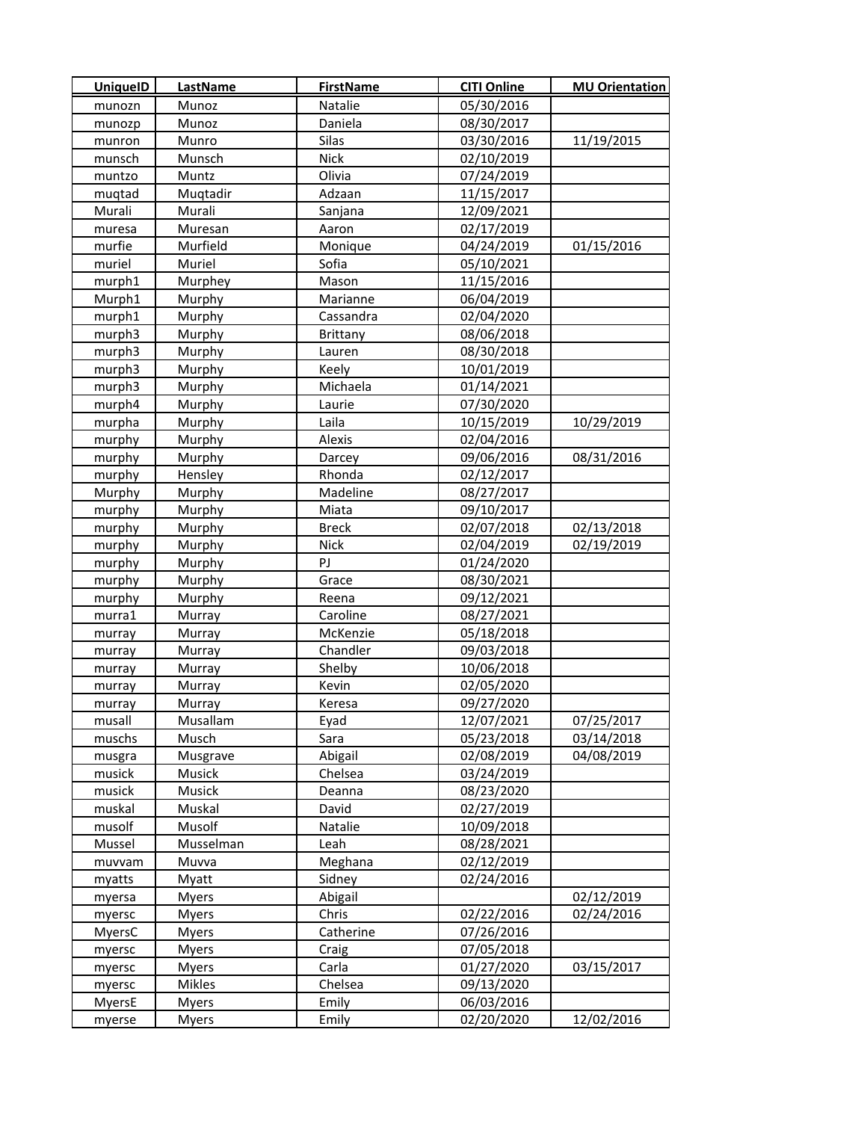| <b>UniquelD</b> | <b>LastName</b> | <b>FirstName</b> | <b>CITI Online</b> | <b>MU Orientation</b> |
|-----------------|-----------------|------------------|--------------------|-----------------------|
| munozn          | Munoz           | Natalie          | 05/30/2016         |                       |
| munozp          | Munoz           | Daniela          | 08/30/2017         |                       |
| munron          | Munro           | Silas            | 03/30/2016         | 11/19/2015            |
| munsch          | Munsch          | <b>Nick</b>      | 02/10/2019         |                       |
| muntzo          | Muntz           | Olivia           | 07/24/2019         |                       |
| muqtad          | Muqtadir        | Adzaan           | 11/15/2017         |                       |
| Murali          | Murali          | Sanjana          | 12/09/2021         |                       |
| muresa          | Muresan         | Aaron            | 02/17/2019         |                       |
| murfie          | Murfield        | Monique          | 04/24/2019         | 01/15/2016            |
| muriel          | Muriel          | Sofia            | 05/10/2021         |                       |
| murph1          | Murphey         | Mason            | 11/15/2016         |                       |
| Murph1          | Murphy          | Marianne         | 06/04/2019         |                       |
| murph1          | Murphy          | Cassandra        | 02/04/2020         |                       |
| murph3          | Murphy          | <b>Brittany</b>  | 08/06/2018         |                       |
| murph3          | Murphy          | Lauren           | 08/30/2018         |                       |
| murph3          | Murphy          | Keely            | 10/01/2019         |                       |
| murph3          | Murphy          | Michaela         | 01/14/2021         |                       |
| murph4          | Murphy          | Laurie           | 07/30/2020         |                       |
| murpha          | Murphy          | Laila            | 10/15/2019         | 10/29/2019            |
| murphy          | Murphy          | Alexis           | 02/04/2016         |                       |
| murphy          | Murphy          | Darcey           | 09/06/2016         | 08/31/2016            |
| murphy          | Hensley         | Rhonda           | 02/12/2017         |                       |
| Murphy          | Murphy          | Madeline         | 08/27/2017         |                       |
| murphy          | Murphy          | Miata            | 09/10/2017         |                       |
| murphy          | Murphy          | <b>Breck</b>     | 02/07/2018         | 02/13/2018            |
| murphy          | Murphy          | <b>Nick</b>      | 02/04/2019         | 02/19/2019            |
| murphy          | Murphy          | PJ               | 01/24/2020         |                       |
| murphy          | Murphy          | Grace            | 08/30/2021         |                       |
| murphy          | Murphy          | Reena            | 09/12/2021         |                       |
| murra1          | Murray          | Caroline         | 08/27/2021         |                       |
| murray          | Murray          | McKenzie         | 05/18/2018         |                       |
| murray          | Murray          | Chandler         | 09/03/2018         |                       |
| murray          | Murray          | Shelby           | 10/06/2018         |                       |
| murray          | Murray          | Kevin            | 02/05/2020         |                       |
| murray          | Murray          | Keresa           | 09/27/2020         |                       |
| musall          | Musallam        | Eyad             | 12/07/2021         | 07/25/2017            |
| muschs          | Musch           | Sara             | 05/23/2018         | 03/14/2018            |
| musgra          | Musgrave        | Abigail          | 02/08/2019         | 04/08/2019            |
| musick          | Musick          | Chelsea          | 03/24/2019         |                       |
| musick          | Musick          | Deanna           | 08/23/2020         |                       |
| muskal          | Muskal          | David            | 02/27/2019         |                       |
| musolf          | Musolf          | Natalie          | 10/09/2018         |                       |
| Mussel          | Musselman       | Leah             | 08/28/2021         |                       |
| muvvam          | Muvva           | Meghana          | 02/12/2019         |                       |
| myatts          | Myatt           | Sidney           | 02/24/2016         |                       |
| myersa          | <b>Myers</b>    | Abigail          |                    | 02/12/2019            |
| myersc          | <b>Myers</b>    | Chris            | 02/22/2016         | 02/24/2016            |
| MyersC          | <b>Myers</b>    | Catherine        | 07/26/2016         |                       |
| myersc          | Myers           | Craig            | 07/05/2018         |                       |
| myersc          | <b>Myers</b>    | Carla            | 01/27/2020         | 03/15/2017            |
| myersc          | Mikles          | Chelsea          | 09/13/2020         |                       |
| MyersE          | <b>Myers</b>    | Emily            | 06/03/2016         |                       |
| myerse          | <b>Myers</b>    | Emily            | 02/20/2020         | 12/02/2016            |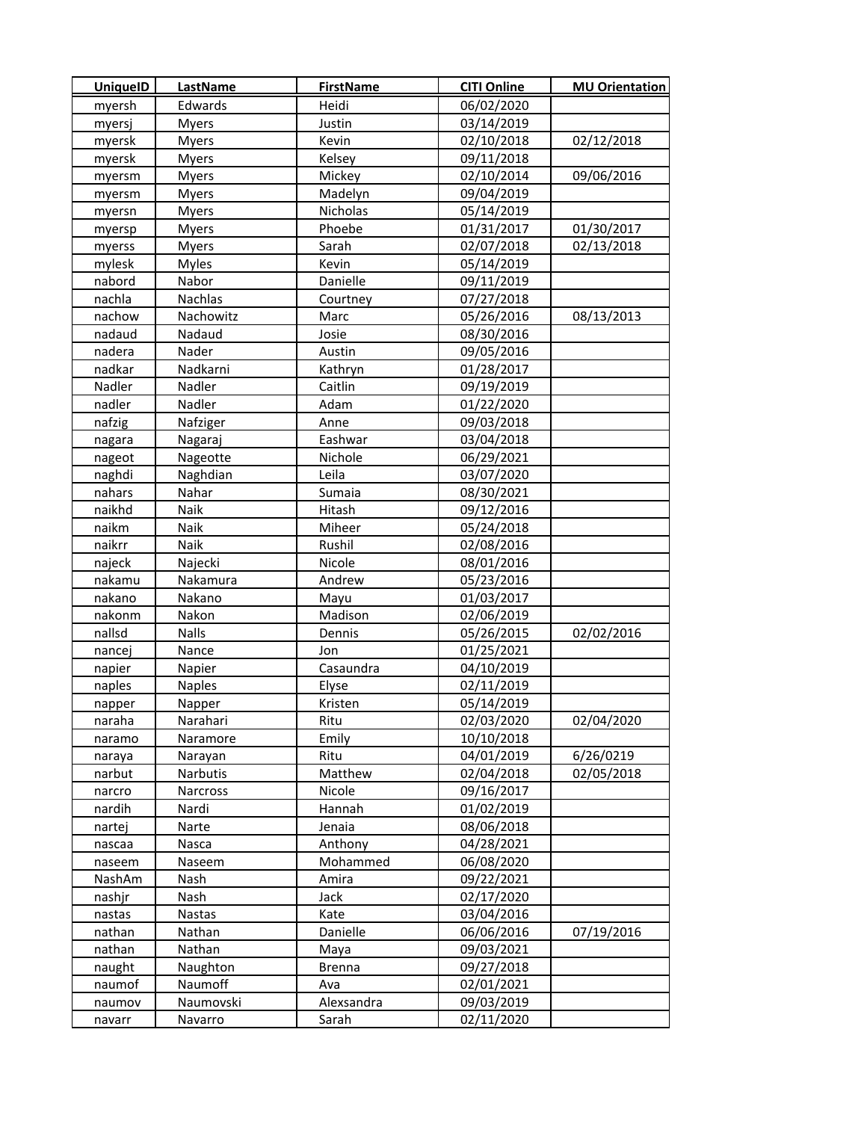| <b>UniquelD</b> | LastName      | <b>FirstName</b> | <b>CITI Online</b> | <b>MU Orientation</b> |
|-----------------|---------------|------------------|--------------------|-----------------------|
| myersh          | Edwards       | Heidi            | 06/02/2020         |                       |
| myersj          | <b>Myers</b>  | Justin           | 03/14/2019         |                       |
| myersk          | <b>Myers</b>  | Kevin            | 02/10/2018         | 02/12/2018            |
| myersk          | <b>Myers</b>  | Kelsey           | 09/11/2018         |                       |
| myersm          | <b>Myers</b>  | Mickey           | 02/10/2014         | 09/06/2016            |
| myersm          | <b>Myers</b>  | Madelyn          | 09/04/2019         |                       |
| myersn          | <b>Myers</b>  | Nicholas         | 05/14/2019         |                       |
| myersp          | <b>Myers</b>  | Phoebe           | 01/31/2017         | 01/30/2017            |
| myerss          | <b>Myers</b>  | Sarah            | 02/07/2018         | 02/13/2018            |
| mylesk          | <b>Myles</b>  | Kevin            | 05/14/2019         |                       |
| nabord          | Nabor         | Danielle         | 09/11/2019         |                       |
| nachla          | Nachlas       | Courtney         | 07/27/2018         |                       |
| nachow          | Nachowitz     | Marc             | 05/26/2016         | 08/13/2013            |
| nadaud          | Nadaud        | Josie            | 08/30/2016         |                       |
| nadera          | Nader         | Austin           | 09/05/2016         |                       |
| nadkar          | Nadkarni      | Kathryn          | 01/28/2017         |                       |
| Nadler          | Nadler        | Caitlin          | 09/19/2019         |                       |
| nadler          | Nadler        | Adam             | 01/22/2020         |                       |
| nafzig          | Nafziger      | Anne             | 09/03/2018         |                       |
| nagara          | Nagaraj       | Eashwar          | 03/04/2018         |                       |
| nageot          | Nageotte      | Nichole          | 06/29/2021         |                       |
| naghdi          | Naghdian      | Leila            | 03/07/2020         |                       |
| nahars          | Nahar         | Sumaia           | 08/30/2021         |                       |
| naikhd          | Naik          | Hitash           | 09/12/2016         |                       |
| naikm           | Naik          | Miheer           | 05/24/2018         |                       |
| naikrr          | Naik          | Rushil           | 02/08/2016         |                       |
| najeck          | Najecki       | Nicole           | 08/01/2016         |                       |
| nakamu          | Nakamura      | Andrew           | 05/23/2016         |                       |
| nakano          | Nakano        | Mayu             | 01/03/2017         |                       |
| nakonm          | Nakon         | Madison          | 02/06/2019         |                       |
| nallsd          | <b>Nalls</b>  | Dennis           | 05/26/2015         | 02/02/2016            |
| nancej          | Nance         | Jon              | 01/25/2021         |                       |
| napier          | Napier        | Casaundra        | 04/10/2019         |                       |
| naples          | <b>Naples</b> | Elyse            | 02/11/2019         |                       |
| napper          | Napper        | Kristen          | 05/14/2019         |                       |
| naraha          | Narahari      | Ritu             | 02/03/2020         | 02/04/2020            |
| naramo          | Naramore      | Emily            | 10/10/2018         |                       |
| naraya          | Narayan       | Ritu             | 04/01/2019         | 6/26/0219             |
| narbut          | Narbutis      | Matthew          | 02/04/2018         | 02/05/2018            |
| narcro          | Narcross      | Nicole           | 09/16/2017         |                       |
| nardih          | Nardi         | Hannah           | 01/02/2019         |                       |
| nartej          | Narte         | Jenaia           | 08/06/2018         |                       |
| nascaa          | Nasca         | Anthony          | 04/28/2021         |                       |
| naseem          | Naseem        | Mohammed         | 06/08/2020         |                       |
| NashAm          | Nash          | Amira            | 09/22/2021         |                       |
| nashjr          | Nash          | Jack             | 02/17/2020         |                       |
| nastas          | Nastas        | Kate             | 03/04/2016         |                       |
| nathan          | Nathan        | Danielle         | 06/06/2016         | 07/19/2016            |
| nathan          | Nathan        | Maya             | 09/03/2021         |                       |
| naught          | Naughton      | <b>Brenna</b>    | 09/27/2018         |                       |
| naumof          | Naumoff       | Ava              | 02/01/2021         |                       |
| naumov          | Naumovski     | Alexsandra       | 09/03/2019         |                       |
| navarr          | Navarro       | Sarah            | 02/11/2020         |                       |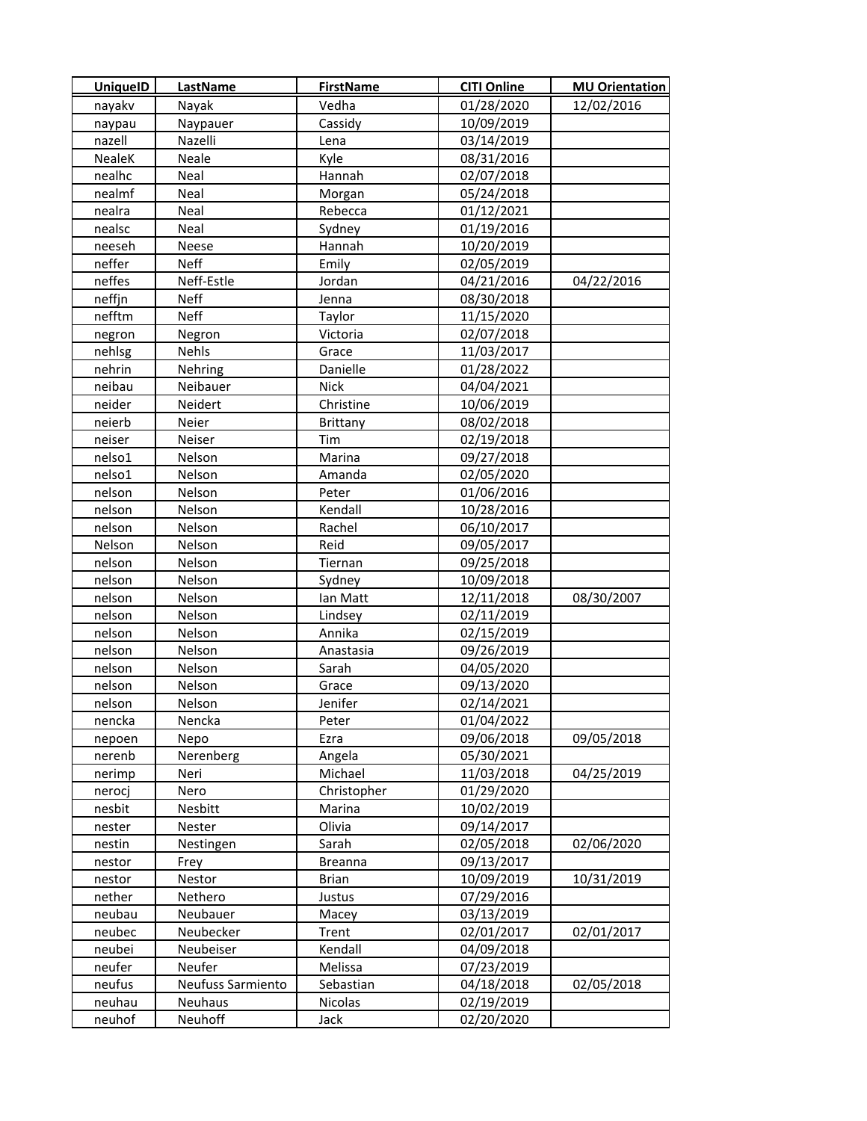| UniquelD      | <b>LastName</b>   | <b>FirstName</b> | <b>CITI Online</b> | <b>MU Orientation</b> |
|---------------|-------------------|------------------|--------------------|-----------------------|
| nayakv        | Nayak             | Vedha            | 01/28/2020         | 12/02/2016            |
| naypau        | Naypauer          | Cassidy          | 10/09/2019         |                       |
| nazell        | Nazelli           | Lena             | 03/14/2019         |                       |
| <b>NealeK</b> | Neale             | Kyle             | 08/31/2016         |                       |
| nealhc        | Neal              | Hannah           | 02/07/2018         |                       |
| nealmf        | Neal              | Morgan           | 05/24/2018         |                       |
| nealra        | Neal              | Rebecca          | 01/12/2021         |                       |
| nealsc        | Neal              | Sydney           | 01/19/2016         |                       |
| neeseh        | Neese             | Hannah           | 10/20/2019         |                       |
| neffer        | <b>Neff</b>       | Emily            | 02/05/2019         |                       |
| neffes        | Neff-Estle        | Jordan           | 04/21/2016         | 04/22/2016            |
| neffjn        | Neff              | Jenna            | 08/30/2018         |                       |
| nefftm        | <b>Neff</b>       | Taylor           | 11/15/2020         |                       |
| negron        | Negron            | Victoria         | 02/07/2018         |                       |
| nehlsg        | Nehls             | Grace            | 11/03/2017         |                       |
| nehrin        | Nehring           | Danielle         | 01/28/2022         |                       |
| neibau        | Neibauer          | Nick             | 04/04/2021         |                       |
| neider        | Neidert           | Christine        | 10/06/2019         |                       |
| neierb        | Neier             | <b>Brittany</b>  | 08/02/2018         |                       |
| neiser        | Neiser            | Tim              | 02/19/2018         |                       |
| nelso1        | Nelson            | Marina           | 09/27/2018         |                       |
| nelso1        | Nelson            | Amanda           | 02/05/2020         |                       |
| nelson        | Nelson            | Peter            | 01/06/2016         |                       |
| nelson        | Nelson            | Kendall          | 10/28/2016         |                       |
| nelson        | Nelson            | Rachel           | 06/10/2017         |                       |
| Nelson        | Nelson            | Reid             | 09/05/2017         |                       |
| nelson        | Nelson            | Tiernan          | 09/25/2018         |                       |
| nelson        | Nelson            | Sydney           | 10/09/2018         |                       |
| nelson        | Nelson            | lan Matt         | 12/11/2018         | 08/30/2007            |
| nelson        | Nelson            | Lindsey          | 02/11/2019         |                       |
| nelson        | Nelson            | Annika           | 02/15/2019         |                       |
| nelson        | Nelson            | Anastasia        | 09/26/2019         |                       |
| nelson        | Nelson            | Sarah            | 04/05/2020         |                       |
| nelson        | Nelson            | Grace            | 09/13/2020         |                       |
| nelson        | Nelson            | Jenifer          | 02/14/2021         |                       |
| nencka        | Nencka            | Peter            | 01/04/2022         |                       |
| nepoen        | Nepo              | Ezra             | 09/06/2018         | 09/05/2018            |
| nerenb        | Nerenberg         | Angela           | 05/30/2021         |                       |
| nerimp        | Neri              | Michael          | 11/03/2018         | 04/25/2019            |
| nerocj        | Nero              | Christopher      | 01/29/2020         |                       |
| nesbit        | Nesbitt           | Marina           | 10/02/2019         |                       |
| nester        | Nester            | Olivia           | 09/14/2017         |                       |
| nestin        | Nestingen         | Sarah            | 02/05/2018         | 02/06/2020            |
| nestor        | Frey              | <b>Breanna</b>   | 09/13/2017         |                       |
| nestor        | Nestor            | <b>Brian</b>     | 10/09/2019         | 10/31/2019            |
| nether        | Nethero           | Justus           | 07/29/2016         |                       |
| neubau        | Neubauer          | Macey            | 03/13/2019         |                       |
| neubec        | Neubecker         | Trent            | 02/01/2017         | 02/01/2017            |
| neubei        | Neubeiser         | Kendall          | 04/09/2018         |                       |
| neufer        | Neufer            | Melissa          | 07/23/2019         |                       |
| neufus        | Neufuss Sarmiento | Sebastian        | 04/18/2018         | 02/05/2018            |
| neuhau        | Neuhaus           | Nicolas          | 02/19/2019         |                       |
| neuhof        | Neuhoff           | Jack             | 02/20/2020         |                       |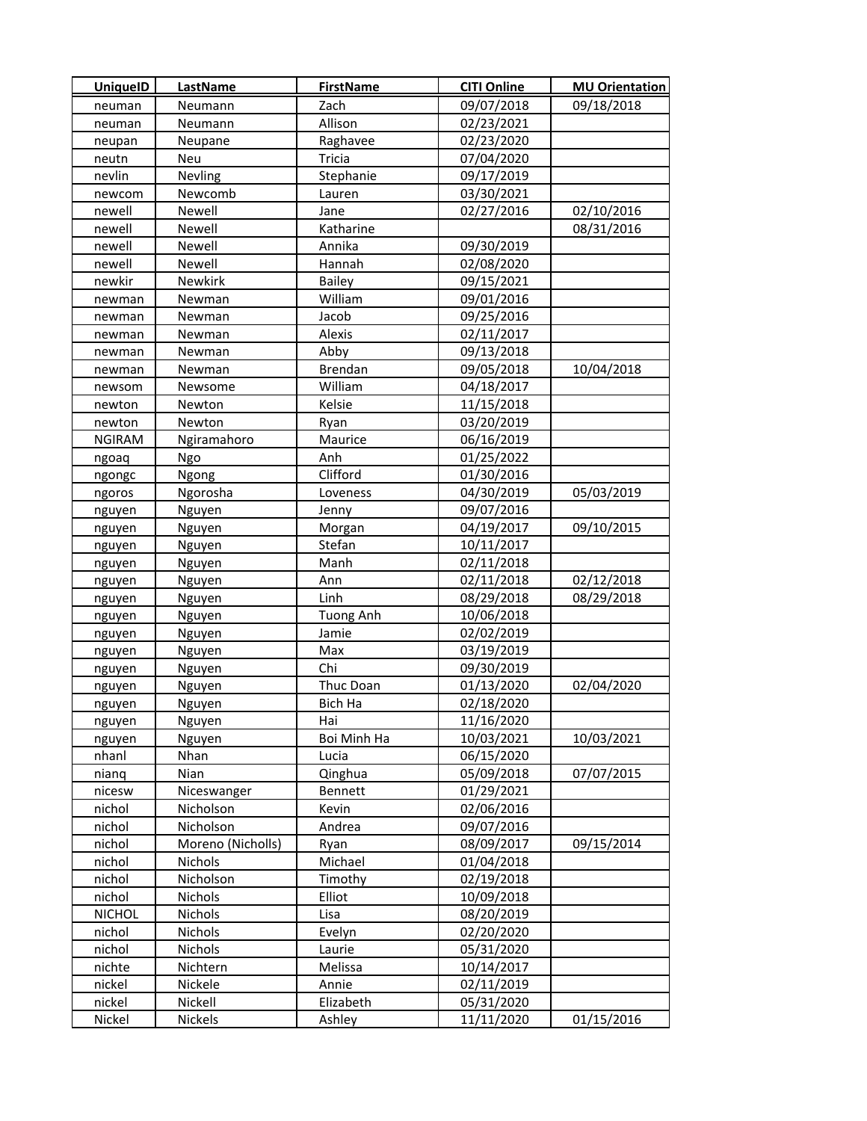| <b>UniquelD</b> | <b>LastName</b>   | <b>FirstName</b> | <b>CITI Online</b> | <b>MU Orientation</b> |
|-----------------|-------------------|------------------|--------------------|-----------------------|
| neuman          | Neumann           | Zach             | 09/07/2018         | 09/18/2018            |
| neuman          | Neumann           | Allison          | 02/23/2021         |                       |
| neupan          | Neupane           | Raghavee         | 02/23/2020         |                       |
| neutn           | Neu               | Tricia           | 07/04/2020         |                       |
| nevlin          | Nevling           | Stephanie        | 09/17/2019         |                       |
| newcom          | Newcomb           | Lauren           | 03/30/2021         |                       |
| newell          | Newell            | Jane             | 02/27/2016         | 02/10/2016            |
| newell          | Newell            | Katharine        |                    | 08/31/2016            |
| newell          | Newell            | Annika           | 09/30/2019         |                       |
| newell          | Newell            | Hannah           | 02/08/2020         |                       |
| newkir          | Newkirk           | Bailey           | 09/15/2021         |                       |
| newman          | Newman            | William          | 09/01/2016         |                       |
| newman          | Newman            | Jacob            | 09/25/2016         |                       |
| newman          | Newman            | Alexis           | 02/11/2017         |                       |
| newman          | Newman            | Abby             | 09/13/2018         |                       |
| newman          | Newman            | Brendan          | 09/05/2018         | 10/04/2018            |
| newsom          | Newsome           | William          | 04/18/2017         |                       |
| newton          | Newton            | Kelsie           | 11/15/2018         |                       |
| newton          | Newton            | Ryan             | 03/20/2019         |                       |
| <b>NGIRAM</b>   | Ngiramahoro       | Maurice          | 06/16/2019         |                       |
| ngoaq           | Ngo               | Anh              | 01/25/2022         |                       |
| ngongc          | Ngong             | Clifford         | 01/30/2016         |                       |
| ngoros          | Ngorosha          | Loveness         | 04/30/2019         | 05/03/2019            |
| nguyen          | Nguyen            | Jenny            | 09/07/2016         |                       |
| nguyen          | Nguyen            | Morgan           | 04/19/2017         | 09/10/2015            |
| nguyen          | Nguyen            | Stefan           | 10/11/2017         |                       |
| nguyen          | Nguyen            | Manh             | 02/11/2018         |                       |
| nguyen          | Nguyen            | Ann              | 02/11/2018         | 02/12/2018            |
| nguyen          | Nguyen            | Linh             | 08/29/2018         | 08/29/2018            |
| nguyen          | Nguyen            | <b>Tuong Anh</b> | 10/06/2018         |                       |
| nguyen          | Nguyen            | Jamie            | 02/02/2019         |                       |
| nguyen          | Nguyen            | Max              | 03/19/2019         |                       |
| nguyen          | Nguyen            | Chi              | 09/30/2019         |                       |
| nguyen          | Nguyen            | Thuc Doan        | 01/13/2020         | 02/04/2020            |
| nguyen          | Nguyen            | Bich Ha          | 02/18/2020         |                       |
| nguyen          | Nguyen            | Hai              | 11/16/2020         |                       |
| nguyen          | Nguyen            | Boi Minh Ha      | 10/03/2021         | 10/03/2021            |
| nhanl           | Nhan              | Lucia            | 06/15/2020         |                       |
| nianq           | Nian              | Qinghua          | 05/09/2018         | 07/07/2015            |
| nicesw          | Niceswanger       | Bennett          | 01/29/2021         |                       |
| nichol          | Nicholson         | Kevin            | 02/06/2016         |                       |
| nichol          | Nicholson         | Andrea           | 09/07/2016         |                       |
| nichol          | Moreno (Nicholls) | Ryan             | 08/09/2017         | 09/15/2014            |
| nichol          | Nichols           | Michael          | 01/04/2018         |                       |
| nichol          | Nicholson         | Timothy          | 02/19/2018         |                       |
| nichol          | Nichols           | Elliot           | 10/09/2018         |                       |
| <b>NICHOL</b>   | Nichols           | Lisa             | 08/20/2019         |                       |
| nichol          | Nichols           | Evelyn           | 02/20/2020         |                       |
| nichol          | Nichols           | Laurie           | 05/31/2020         |                       |
| nichte          | Nichtern          | Melissa          | 10/14/2017         |                       |
| nickel          | Nickele           | Annie            | 02/11/2019         |                       |
| nickel          | Nickell           | Elizabeth        | 05/31/2020         |                       |
| Nickel          | Nickels           | Ashley           | 11/11/2020         | 01/15/2016            |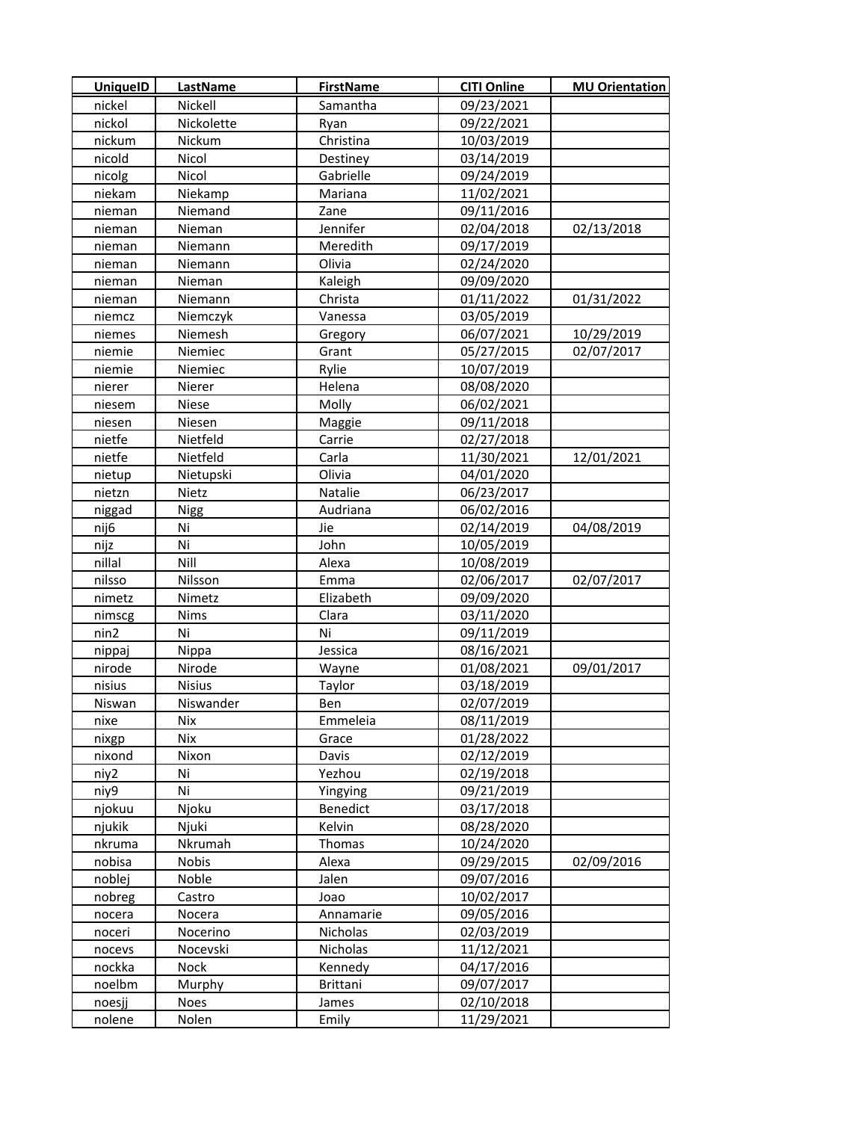| <b>UniquelD</b>  | <b>LastName</b>       | <b>FirstName</b>         | <b>CITI Online</b>       | <b>MU Orientation</b> |
|------------------|-----------------------|--------------------------|--------------------------|-----------------------|
| nickel           | Nickell               | Samantha                 | 09/23/2021               |                       |
| nickol           | Nickolette            | Ryan                     | 09/22/2021               |                       |
| nickum           | Nickum                | Christina                | 10/03/2019               |                       |
| nicold           | Nicol                 | Destiney                 | 03/14/2019               |                       |
| nicolg           | Nicol                 | Gabrielle                | 09/24/2019               |                       |
| niekam           | Niekamp               | Mariana                  | 11/02/2021               |                       |
| nieman           | Niemand               | Zane                     | 09/11/2016               |                       |
| nieman           | Nieman                | Jennifer                 | 02/04/2018               | 02/13/2018            |
| nieman           | Niemann               | Meredith                 | 09/17/2019               |                       |
| nieman           | Niemann               | Olivia                   | 02/24/2020               |                       |
| nieman           | Nieman                | Kaleigh                  | 09/09/2020               |                       |
| nieman           | Niemann               | Christa                  | 01/11/2022               | 01/31/2022            |
| niemcz           | Niemczyk              | Vanessa                  | 03/05/2019               |                       |
| niemes           | Niemesh               | Gregory                  | 06/07/2021               | 10/29/2019            |
| niemie           | Niemiec               | Grant                    | 05/27/2015               | 02/07/2017            |
| niemie           | Niemiec               | Rylie                    | 10/07/2019               |                       |
| nierer           | Nierer                | Helena                   | 08/08/2020               |                       |
| niesem           | <b>Niese</b>          | Molly                    | 06/02/2021               |                       |
| niesen           | Niesen                | Maggie                   | 09/11/2018               |                       |
| nietfe           | Nietfeld              | Carrie                   | 02/27/2018               |                       |
| nietfe           | Nietfeld              | Carla                    | 11/30/2021               | 12/01/2021            |
| nietup           | Nietupski             | Olivia                   | 04/01/2020               |                       |
| nietzn           | Nietz                 | Natalie                  | 06/23/2017               |                       |
| niggad           | <b>Nigg</b>           | Audriana                 | 06/02/2016               |                       |
| nij6             | Ni                    | Jie                      | 02/14/2019               | 04/08/2019            |
| nijz             | Ni                    | John                     | 10/05/2019               |                       |
| nillal           | Nill                  | Alexa                    | 10/08/2019               |                       |
| nilsso           | Nilsson               | Emma                     | 02/06/2017               | 02/07/2017            |
| nimetz           | Nimetz                | Elizabeth                | 09/09/2020               |                       |
| nimscg           | Nims                  | Clara                    | 03/11/2020               |                       |
| nin2             | Ni                    | Ni                       | 09/11/2019               |                       |
| nippaj           | Nippa                 | Jessica                  | 08/16/2021               |                       |
| nirode           | Nirode                | Wayne                    | 01/08/2021               | 09/01/2017            |
| nisius           | <b>Nisius</b>         | Taylor                   | 03/18/2019               |                       |
| Niswan           | Niswander             | Ben                      | 02/07/2019               |                       |
| nixe             | Nix                   | Emmeleia                 | 08/11/2019               |                       |
| nixgp            | Nix                   | Grace                    | 01/28/2022               |                       |
| nixond           | Nixon                 | Davis                    | 02/12/2019               |                       |
| niy2             | Ni                    | Yezhou                   | 02/19/2018               |                       |
| niy9             | Ni                    | Yingying                 | 09/21/2019               |                       |
| njokuu           | Njoku                 | Benedict                 | 03/17/2018               |                       |
| njukik           | Njuki                 | Kelvin                   | 08/28/2020               |                       |
| nkruma           | Nkrumah               | Thomas                   | 10/24/2020               |                       |
| nobisa           | Nobis                 | Alexa                    | 09/29/2015               | 02/09/2016            |
| noblej           | Noble                 | Jalen                    | 09/07/2016               |                       |
| nobreg           | Castro                | Joao                     | 10/02/2017               |                       |
| nocera           | Nocera                | Annamarie                | 09/05/2016               |                       |
| noceri           | Nocerino              | Nicholas                 | 02/03/2019               |                       |
| nocevs           | Nocevski              | Nicholas                 | 11/12/2021               |                       |
| nockka           | Nock                  | Kennedy                  | 04/17/2016               |                       |
| noelbm<br>noesjj | Murphy<br><b>Noes</b> | <b>Brittani</b><br>James | 09/07/2017<br>02/10/2018 |                       |
| nolene           | Nolen                 | Emily                    | 11/29/2021               |                       |
|                  |                       |                          |                          |                       |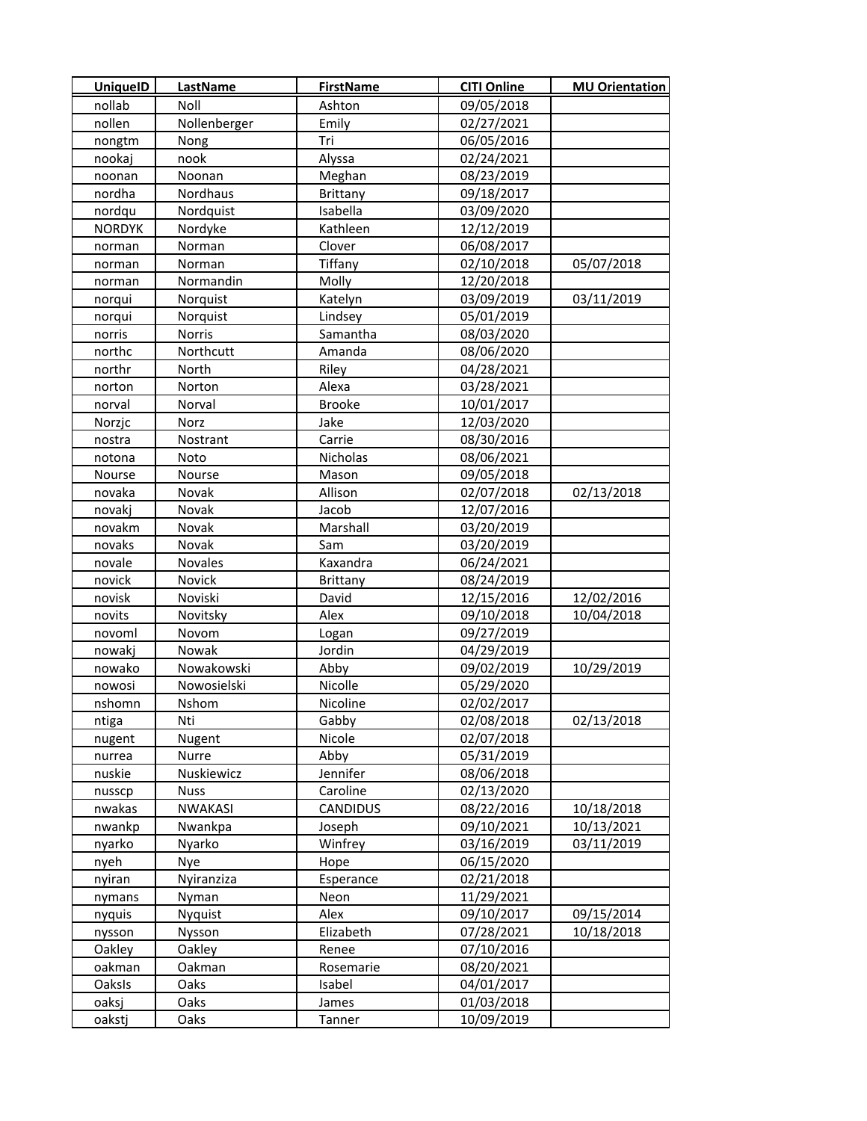| <b>UniquelD</b> | <b>LastName</b> | <b>FirstName</b> | <b>CITI Online</b> | <b>MU Orientation</b> |
|-----------------|-----------------|------------------|--------------------|-----------------------|
| nollab          | Noll            | Ashton           | 09/05/2018         |                       |
| nollen          | Nollenberger    | Emily            | 02/27/2021         |                       |
| nongtm          | Nong            | Tri              | 06/05/2016         |                       |
| nookaj          | nook            | Alyssa           | 02/24/2021         |                       |
| noonan          | Noonan          | Meghan           | 08/23/2019         |                       |
| nordha          | Nordhaus        | <b>Brittany</b>  | 09/18/2017         |                       |
| nordqu          | Nordquist       | Isabella         | 03/09/2020         |                       |
| <b>NORDYK</b>   | Nordyke         | Kathleen         | 12/12/2019         |                       |
| norman          | Norman          | Clover           | 06/08/2017         |                       |
| norman          | Norman          | Tiffany          | 02/10/2018         | 05/07/2018            |
| norman          | Normandin       | Molly            | 12/20/2018         |                       |
| norqui          | Norquist        | Katelyn          | 03/09/2019         | 03/11/2019            |
| norqui          | Norquist        | Lindsey          | 05/01/2019         |                       |
| norris          | Norris          | Samantha         | 08/03/2020         |                       |
| northc          | Northcutt       | Amanda           | 08/06/2020         |                       |
| northr          | North           | Riley            | 04/28/2021         |                       |
| norton          | Norton          | Alexa            | 03/28/2021         |                       |
| norval          | Norval          | <b>Brooke</b>    | 10/01/2017         |                       |
| Norzjc          | Norz            | Jake             | 12/03/2020         |                       |
| nostra          | Nostrant        | Carrie           | 08/30/2016         |                       |
| notona          | Noto            | Nicholas         | 08/06/2021         |                       |
| Nourse          | Nourse          | Mason            | 09/05/2018         |                       |
| novaka          | Novak           | Allison          | 02/07/2018         | 02/13/2018            |
| novakj          | Novak           | Jacob            | 12/07/2016         |                       |
| novakm          | Novak           | Marshall         | 03/20/2019         |                       |
| novaks          | Novak           | Sam              | 03/20/2019         |                       |
| novale          | Novales         | Kaxandra         | 06/24/2021         |                       |
| novick          | Novick          | <b>Brittany</b>  | 08/24/2019         |                       |
| novisk          | Noviski         | David            | 12/15/2016         | 12/02/2016            |
| novits          | Novitsky        | Alex             | 09/10/2018         | 10/04/2018            |
| novoml          | Novom           | Logan            | 09/27/2019         |                       |
| nowakj          | Nowak           | Jordin           | 04/29/2019         |                       |
| nowako          | Nowakowski      | Abby             | 09/02/2019         | 10/29/2019            |
| nowosi          | Nowosielski     | Nicolle          | 05/29/2020         |                       |
| nshomn          | Nshom           | Nicoline         | 02/02/2017         |                       |
| ntiga           | Nti             | Gabby            | 02/08/2018         | 02/13/2018            |
| nugent          | Nugent          | Nicole           | 02/07/2018         |                       |
| nurrea          | Nurre           | Abby             | 05/31/2019         |                       |
| nuskie          | Nuskiewicz      | Jennifer         | 08/06/2018         |                       |
| nusscp          | <b>Nuss</b>     | Caroline         | 02/13/2020         |                       |
| nwakas          | <b>NWAKASI</b>  | <b>CANDIDUS</b>  | 08/22/2016         | 10/18/2018            |
| nwankp          | Nwankpa         | Joseph           | 09/10/2021         | 10/13/2021            |
| nyarko          | Nyarko          | Winfrey          | 03/16/2019         | 03/11/2019            |
| nyeh            | Nye             | Hope             | 06/15/2020         |                       |
| nyiran          | Nyiranziza      | Esperance        | 02/21/2018         |                       |
| nymans          | Nyman           | Neon             | 11/29/2021         |                       |
| nyquis          | Nyquist         | Alex             | 09/10/2017         | 09/15/2014            |
| nysson          | Nysson          | Elizabeth        | 07/28/2021         | 10/18/2018            |
| Oakley          | Oakley          | Renee            | 07/10/2016         |                       |
| oakman          | Oakman          | Rosemarie        | 08/20/2021         |                       |
| Oaksls          | Oaks            | Isabel           | 04/01/2017         |                       |
| oaksj           | Oaks            | James            | 01/03/2018         |                       |
| oakstj          | Oaks            | Tanner           | 10/09/2019         |                       |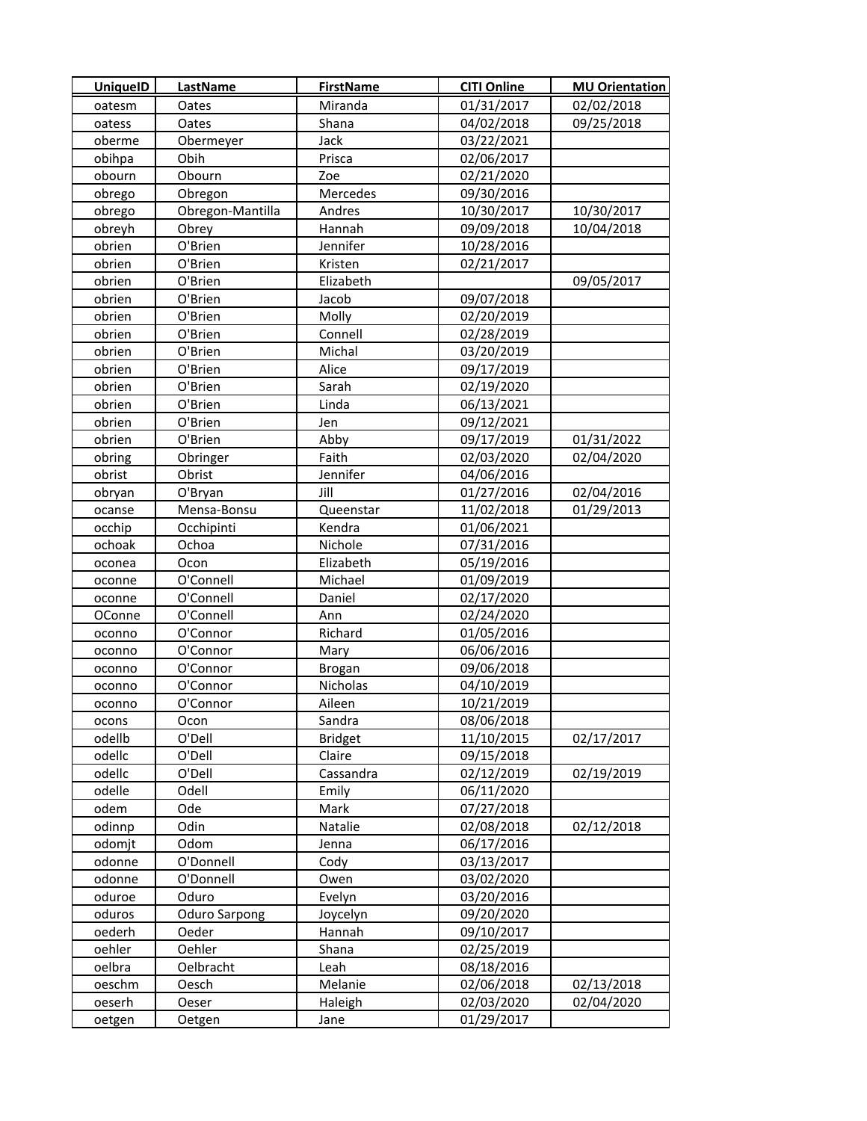| <b>UniquelD</b> | <b>LastName</b>      | <b>FirstName</b> | <b>CITI Online</b> | <b>MU Orientation</b> |
|-----------------|----------------------|------------------|--------------------|-----------------------|
| oatesm          | Oates                | Miranda          | 01/31/2017         | 02/02/2018            |
| oatess          | Oates                | Shana            | 04/02/2018         | 09/25/2018            |
| oberme          | Obermeyer            | Jack             | 03/22/2021         |                       |
| obihpa          | Obih                 | Prisca           | 02/06/2017         |                       |
| obourn          | Obourn               | Zoe              | 02/21/2020         |                       |
| obrego          | Obregon              | Mercedes         | 09/30/2016         |                       |
| obrego          | Obregon-Mantilla     | Andres           | 10/30/2017         | 10/30/2017            |
| obreyh          | Obrey                | Hannah           | 09/09/2018         | 10/04/2018            |
| obrien          | O'Brien              | Jennifer         | 10/28/2016         |                       |
| obrien          | O'Brien              | Kristen          | 02/21/2017         |                       |
| obrien          | O'Brien              | Elizabeth        |                    | 09/05/2017            |
| obrien          | O'Brien              | Jacob            | 09/07/2018         |                       |
| obrien          | O'Brien              | Molly            | 02/20/2019         |                       |
| obrien          | O'Brien              | Connell          | 02/28/2019         |                       |
| obrien          | O'Brien              | Michal           | 03/20/2019         |                       |
| obrien          | O'Brien              | Alice            | 09/17/2019         |                       |
| obrien          | O'Brien              | Sarah            | 02/19/2020         |                       |
| obrien          | O'Brien              | Linda            | 06/13/2021         |                       |
| obrien          | O'Brien              | Jen              | 09/12/2021         |                       |
| obrien          | O'Brien              | Abby             | 09/17/2019         | 01/31/2022            |
| obring          | Obringer             | Faith            | 02/03/2020         | 02/04/2020            |
| obrist          | Obrist               | Jennifer         | 04/06/2016         |                       |
| obryan          | O'Bryan              | Jill             | 01/27/2016         | 02/04/2016            |
| ocanse          | Mensa-Bonsu          | Queenstar        | 11/02/2018         | 01/29/2013            |
| occhip          | Occhipinti           | Kendra           | 01/06/2021         |                       |
| ochoak          | Ochoa                | Nichole          | 07/31/2016         |                       |
| oconea          | Ocon                 | Elizabeth        | 05/19/2016         |                       |
| oconne          | O'Connell            | Michael          | 01/09/2019         |                       |
| oconne          | O'Connell            | Daniel           | 02/17/2020         |                       |
| OConne          | O'Connell            | Ann              | 02/24/2020         |                       |
| oconno          | O'Connor             | Richard          | 01/05/2016         |                       |
| oconno          | O'Connor             | Mary             | 06/06/2016         |                       |
| oconno          | O'Connor             | <b>Brogan</b>    | 09/06/2018         |                       |
| oconno          | O'Connor             | Nicholas         | 04/10/2019         |                       |
| oconno          | O'Connor             | Aileen           | 10/21/2019         |                       |
| ocons           | Ocon                 | Sandra           | 08/06/2018         |                       |
| odellb          | O'Dell               | <b>Bridget</b>   | 11/10/2015         | 02/17/2017            |
| odellc          | O'Dell               | Claire           | 09/15/2018         |                       |
| odellc          | O'Dell               | Cassandra        | 02/12/2019         | 02/19/2019            |
| odelle          | Odell                | Emily            | 06/11/2020         |                       |
| odem            | Ode                  | Mark             | 07/27/2018         |                       |
| odinnp          | Odin                 | Natalie          | 02/08/2018         | 02/12/2018            |
| odomjt          | Odom                 | Jenna            | 06/17/2016         |                       |
| odonne          | O'Donnell            | Cody             | 03/13/2017         |                       |
| odonne          | O'Donnell            | Owen             | 03/02/2020         |                       |
| oduroe          | Oduro                | Evelyn           | 03/20/2016         |                       |
| oduros          | <b>Oduro Sarpong</b> | Joycelyn         | 09/20/2020         |                       |
| oederh          | Oeder                | Hannah           | 09/10/2017         |                       |
| oehler          | Oehler               | Shana            | 02/25/2019         |                       |
| oelbra          | Oelbracht            | Leah             | 08/18/2016         |                       |
| oeschm          | Oesch                | Melanie          | 02/06/2018         | 02/13/2018            |
| oeserh          | Oeser                | Haleigh          | 02/03/2020         | 02/04/2020            |
| oetgen          | Oetgen               | Jane             | 01/29/2017         |                       |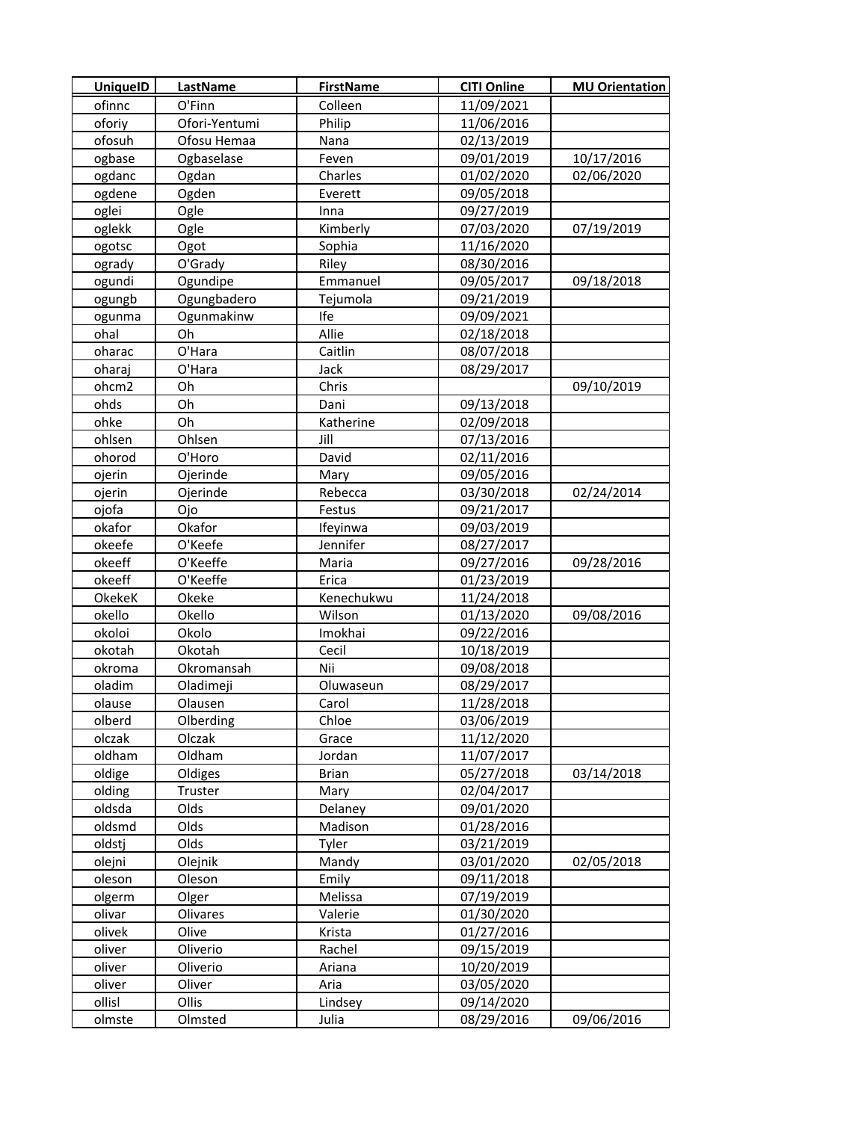| <b>UniquelD</b>  | <b>LastName</b> | <b>FirstName</b> | <b>CITI Online</b> | <b>MU Orientation</b> |
|------------------|-----------------|------------------|--------------------|-----------------------|
| ofinnc           | O'Finn          | Colleen          | 11/09/2021         |                       |
| oforiy           | Ofori-Yentumi   | Philip           | 11/06/2016         |                       |
| ofosuh           | Ofosu Hemaa     | Nana             | 02/13/2019         |                       |
| ogbase           | Ogbaselase      | Feven            | 09/01/2019         | 10/17/2016            |
| ogdanc           | Ogdan           | Charles          | 01/02/2020         | 02/06/2020            |
| ogdene           | Ogden           | Everett          | 09/05/2018         |                       |
| oglei            | Ogle            | Inna             | 09/27/2019         |                       |
| oglekk           | Ogle            | Kimberly         | 07/03/2020         | 07/19/2019            |
| ogotsc           | Ogot            | Sophia           | 11/16/2020         |                       |
| ogrady           | O'Grady         | Riley            | 08/30/2016         |                       |
| ogundi           | Ogundipe        | Emmanuel         | 09/05/2017         | 09/18/2018            |
| ogungb           | Ogungbadero     | Tejumola         | 09/21/2019         |                       |
| ogunma           | Ogunmakinw      | Ife              | 09/09/2021         |                       |
| ohal             | Oh              | Allie            | 02/18/2018         |                       |
| oharac           | O'Hara          | Caitlin          | 08/07/2018         |                       |
| oharaj           | O'Hara          | Jack             | 08/29/2017         |                       |
| ohcm2            | Oh              | Chris            |                    | 09/10/2019            |
| ohds             | Oh              | Dani             | 09/13/2018         |                       |
| ohke             | Oh              | Katherine        | 02/09/2018         |                       |
| ohlsen           | Ohlsen          | Jill             | 07/13/2016         |                       |
| ohorod           | O'Horo          | David            | 02/11/2016         |                       |
| ojerin           | Ojerinde        | Mary             | 09/05/2016         |                       |
| ojerin           | Ojerinde        | Rebecca          | 03/30/2018         | 02/24/2014            |
| ojofa            | Ojo             | Festus           | 09/21/2017         |                       |
| okafor           | Okafor          | Ifeyinwa         | 09/03/2019         |                       |
| okeefe           | O'Keefe         | Jennifer         | 08/27/2017         |                       |
| okeeff           | O'Keeffe        | Maria            | 09/27/2016         | 09/28/2016            |
| okeeff           | O'Keeffe        | Erica            | 01/23/2019         |                       |
| OkekeK           | Okeke           | Kenechukwu       | 11/24/2018         |                       |
| okello           | Okello          | Wilson           | 01/13/2020         | 09/08/2016            |
| okoloi           | Okolo           | Imokhai          | 09/22/2016         |                       |
| okotah           | Okotah          | Cecil            | 10/18/2019         |                       |
| okroma           | Okromansah      | Nii              | 09/08/2018         |                       |
| oladim           | Oladimeji       | Oluwaseun        | 08/29/2017         |                       |
| olause           | Olausen         | Carol            | 11/28/2018         |                       |
| olberd           | Olberding       | Chloe            | 03/06/2019         |                       |
| olczak           | Olczak          | Grace            | 11/12/2020         |                       |
| oldham           | Oldham          | Jordan           | 11/07/2017         |                       |
| oldige           | Oldiges         | <b>Brian</b>     | 05/27/2018         | 03/14/2018            |
| olding           | Truster         | Mary             | 02/04/2017         |                       |
| oldsda           | Olds            | Delaney          | 09/01/2020         |                       |
| oldsmd           | Olds            | Madison          | 01/28/2016         |                       |
| oldstj           | Olds            | Tyler            | 03/21/2019         |                       |
| olejni           | Olejnik         | Mandy            | 03/01/2020         | 02/05/2018            |
| oleson           | Oleson          | Emily            | 09/11/2018         |                       |
| olgerm           | Olger           | Melissa          | 07/19/2019         |                       |
| olivar           | Olivares        | Valerie          | 01/30/2020         |                       |
| olivek           | Olive           | Krista           | 01/27/2016         |                       |
| oliver           | Oliverio        | Rachel           | 09/15/2019         |                       |
| oliver           | Oliverio        | Ariana<br>Aria   | 10/20/2019         |                       |
| oliver<br>ollisl | Oliver<br>Ollis |                  | 03/05/2020         |                       |
|                  |                 | Lindsey          | 09/14/2020         |                       |
| olmste           | Olmsted         | Julia            | 08/29/2016         | 09/06/2016            |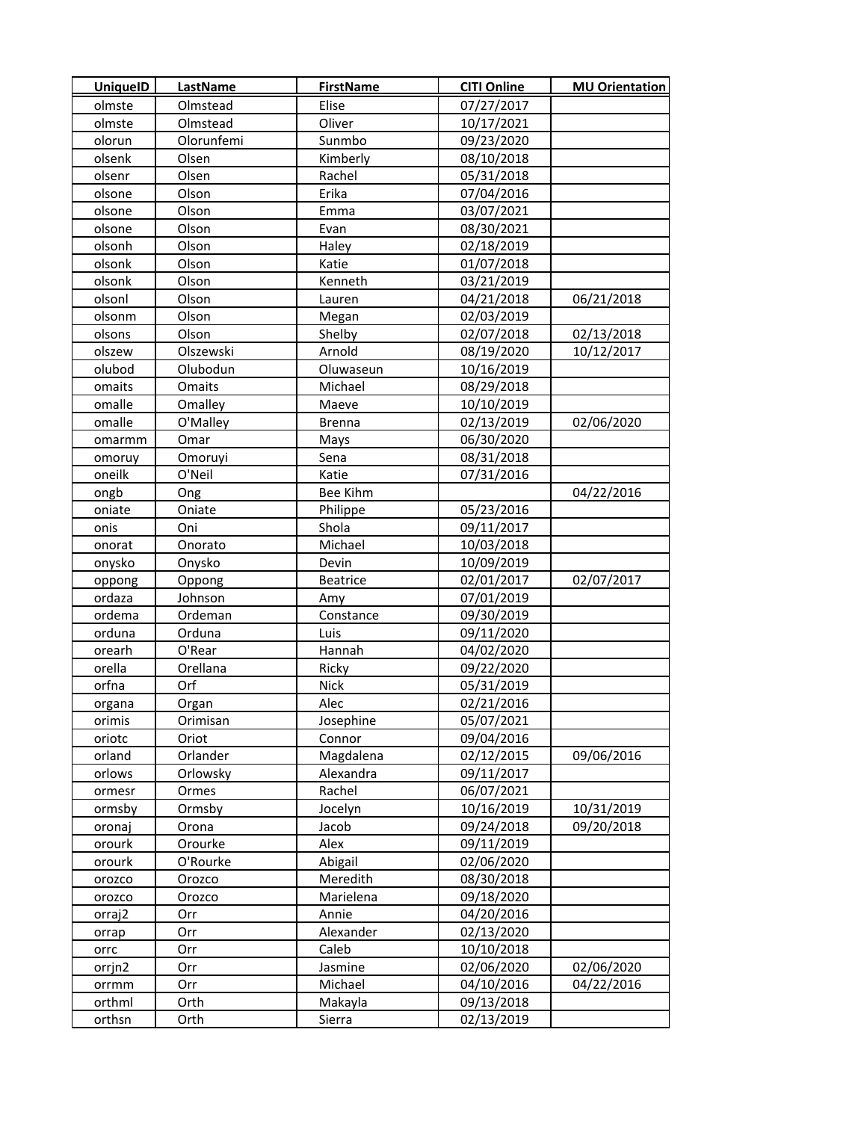| <b>UniquelD</b> | <b>LastName</b> | <b>FirstName</b> | <b>CITI Online</b> | <b>MU Orientation</b> |
|-----------------|-----------------|------------------|--------------------|-----------------------|
| olmste          | Olmstead        | Elise            | 07/27/2017         |                       |
| olmste          | Olmstead        | Oliver           | 10/17/2021         |                       |
| olorun          | Olorunfemi      | Sunmbo           | 09/23/2020         |                       |
| olsenk          | Olsen           | Kimberly         | 08/10/2018         |                       |
| olsenr          | Olsen           | Rachel           | 05/31/2018         |                       |
| olsone          | Olson           | Erika            | 07/04/2016         |                       |
| olsone          | Olson           | Emma             | 03/07/2021         |                       |
| olsone          | Olson           | Evan             | 08/30/2021         |                       |
| olsonh          | Olson           | Haley            | 02/18/2019         |                       |
| olsonk          | Olson           | Katie            | 01/07/2018         |                       |
| olsonk          | Olson           | Kenneth          | 03/21/2019         |                       |
| olsonl          | Olson           | Lauren           | 04/21/2018         | 06/21/2018            |
| olsonm          | Olson           | Megan            | 02/03/2019         |                       |
| olsons          | Olson           | Shelby           | 02/07/2018         | 02/13/2018            |
| olszew          | Olszewski       | Arnold           | 08/19/2020         | 10/12/2017            |
| olubod          | Olubodun        | Oluwaseun        | 10/16/2019         |                       |
| omaits          | Omaits          | Michael          | 08/29/2018         |                       |
| omalle          | Omalley         | Maeve            | 10/10/2019         |                       |
| omalle          | O'Malley        | <b>Brenna</b>    | 02/13/2019         | 02/06/2020            |
| omarmm          | Omar            | Mays             | 06/30/2020         |                       |
| omoruy          | Omoruyi         | Sena             | 08/31/2018         |                       |
| oneilk          | O'Neil          | Katie            | 07/31/2016         |                       |
| ongb            | Ong             | Bee Kihm         |                    | 04/22/2016            |
| oniate          | Oniate          | Philippe         | 05/23/2016         |                       |
| onis            | Oni             | Shola            | 09/11/2017         |                       |
| onorat          | Onorato         | Michael          | 10/03/2018         |                       |
| onysko          | Onysko          | Devin            | 10/09/2019         |                       |
| oppong          | Oppong          | <b>Beatrice</b>  | 02/01/2017         | 02/07/2017            |
| ordaza          | Johnson         | Amy              | 07/01/2019         |                       |
| ordema          | Ordeman         | Constance        | 09/30/2019         |                       |
| orduna          | Orduna          | Luis             | 09/11/2020         |                       |
| orearh          | O'Rear          | Hannah           | 04/02/2020         |                       |
| orella          | Orellana        | Ricky            | 09/22/2020         |                       |
| orfna           | Orf             | <b>Nick</b>      | 05/31/2019         |                       |
| organa          | Organ           | Alec             | 02/21/2016         |                       |
| orimis          | Orimisan        | Josephine        | 05/07/2021         |                       |
| oriotc          | Oriot           | Connor           | 09/04/2016         |                       |
| orland          | Orlander        | Magdalena        | 02/12/2015         | 09/06/2016            |
| orlows          | Orlowsky        | Alexandra        | 09/11/2017         |                       |
| ormesr          | Ormes           | Rachel           | 06/07/2021         |                       |
| ormsby          | Ormsby          | Jocelyn          | 10/16/2019         | 10/31/2019            |
| oronaj          | Orona           | Jacob            | 09/24/2018         | 09/20/2018            |
| orourk          | Orourke         | Alex             | 09/11/2019         |                       |
| orourk          | O'Rourke        | Abigail          | 02/06/2020         |                       |
| orozco          | Orozco          | Meredith         | 08/30/2018         |                       |
| orozco          | Orozco          | Marielena        | 09/18/2020         |                       |
| orraj2          | Orr             | Annie            | 04/20/2016         |                       |
| orrap           | Orr             | Alexander        | 02/13/2020         |                       |
| orrc            | Orr             | Caleb            | 10/10/2018         |                       |
| orrjn2          | Orr             | Jasmine          | 02/06/2020         | 02/06/2020            |
| orrmm           | Orr             | Michael          | 04/10/2016         | 04/22/2016            |
| orthml          | Orth            | Makayla          | 09/13/2018         |                       |
| orthsn          | Orth            | Sierra           | 02/13/2019         |                       |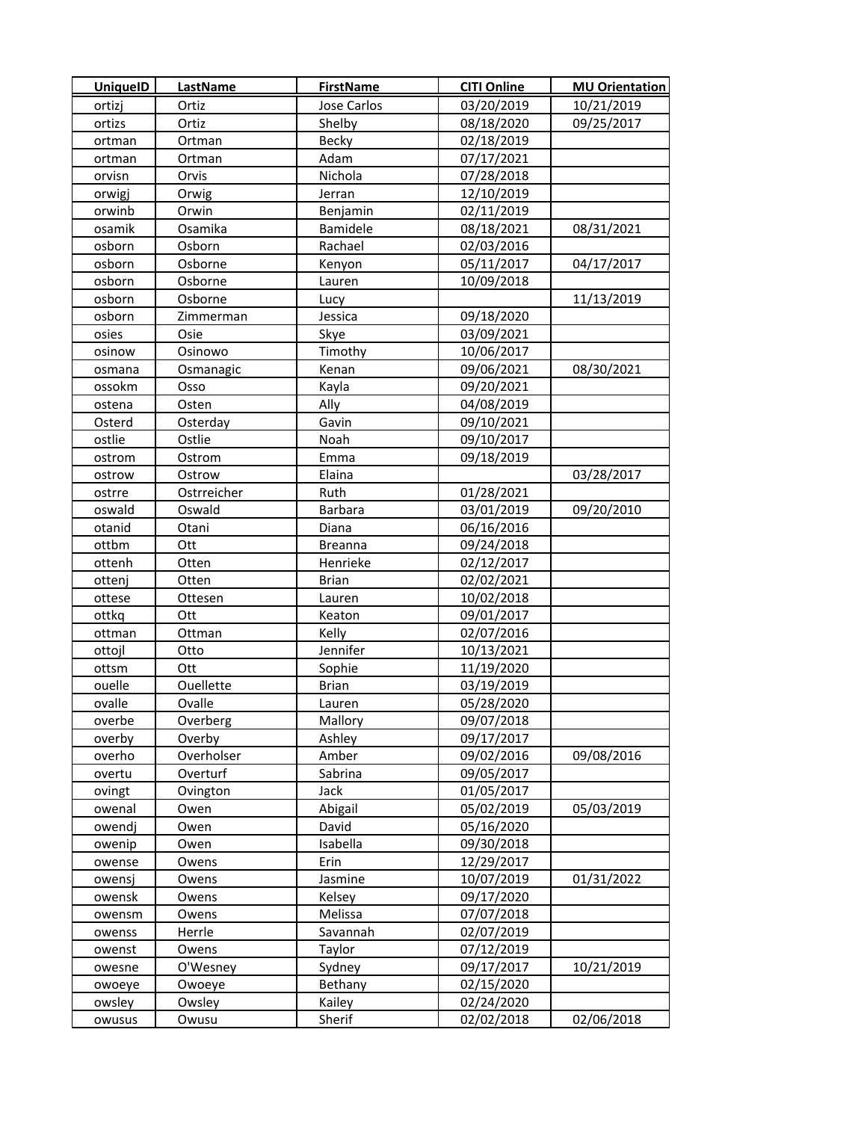| <b>UniquelD</b> | <b>LastName</b> | <b>FirstName</b> | <b>CITI Online</b> | <b>MU Orientation</b> |
|-----------------|-----------------|------------------|--------------------|-----------------------|
| ortizj          | Ortiz           | Jose Carlos      | 03/20/2019         | 10/21/2019            |
| ortizs          | Ortiz           | Shelby           | 08/18/2020         | 09/25/2017            |
| ortman          | Ortman          | Becky            | 02/18/2019         |                       |
| ortman          | Ortman          | Adam             | 07/17/2021         |                       |
| orvisn          | Orvis           | Nichola          | 07/28/2018         |                       |
| orwigj          | Orwig           | Jerran           | 12/10/2019         |                       |
| orwinb          | Orwin           | Benjamin         | 02/11/2019         |                       |
| osamik          | Osamika         | Bamidele         | 08/18/2021         | 08/31/2021            |
| osborn          | Osborn          | Rachael          | 02/03/2016         |                       |
| osborn          | Osborne         | Kenyon           | 05/11/2017         | 04/17/2017            |
| osborn          | Osborne         | Lauren           | 10/09/2018         |                       |
| osborn          | Osborne         | Lucy             |                    | 11/13/2019            |
| osborn          | Zimmerman       | Jessica          | 09/18/2020         |                       |
| osies           | Osie            | Skye             | 03/09/2021         |                       |
| osinow          | Osinowo         | Timothy          | 10/06/2017         |                       |
| osmana          | Osmanagic       | Kenan            | 09/06/2021         | 08/30/2021            |
| ossokm          | Osso            | Kayla            | 09/20/2021         |                       |
| ostena          | Osten           | Ally             | 04/08/2019         |                       |
| Osterd          | Osterday        | Gavin            | 09/10/2021         |                       |
| ostlie          | Ostlie          | Noah             | 09/10/2017         |                       |
| ostrom          | Ostrom          | Emma             | 09/18/2019         |                       |
| ostrow          | Ostrow          | Elaina           |                    | 03/28/2017            |
| ostrre          | Ostrreicher     | Ruth             | 01/28/2021         |                       |
| oswald          | Oswald          | <b>Barbara</b>   | 03/01/2019         | 09/20/2010            |
| otanid          | Otani           | Diana            | 06/16/2016         |                       |
| ottbm           | Ott             | <b>Breanna</b>   | 09/24/2018         |                       |
| ottenh          | Otten           | Henrieke         | 02/12/2017         |                       |
| ottenj          | Otten           | <b>Brian</b>     | 02/02/2021         |                       |
| ottese          | Ottesen         | Lauren           | 10/02/2018         |                       |
| ottkq           | Ott             | Keaton           | 09/01/2017         |                       |
| ottman          | Ottman          | Kelly            | 02/07/2016         |                       |
| ottojl          | Otto            | Jennifer         | 10/13/2021         |                       |
| ottsm           | Ott             | Sophie           | 11/19/2020         |                       |
| ouelle          | Ouellette       | <b>Brian</b>     | 03/19/2019         |                       |
| ovalle          | Ovalle          | Lauren           | 05/28/2020         |                       |
| overbe          | Overberg        | Mallory          | 09/07/2018         |                       |
| overby          | Overby          | Ashley           | 09/17/2017         |                       |
| overho          | Overholser      | Amber            | 09/02/2016         | 09/08/2016            |
| overtu          | Overturf        | Sabrina          | 09/05/2017         |                       |
| ovingt          | Ovington        | Jack             | 01/05/2017         |                       |
| owenal          | Owen            | Abigail          | 05/02/2019         | 05/03/2019            |
| owendj          | Owen            | David            | 05/16/2020         |                       |
| owenip          | Owen            | Isabella         | 09/30/2018         |                       |
| owense          | Owens           | Erin             | 12/29/2017         |                       |
| owensj          | Owens           | Jasmine          | 10/07/2019         | 01/31/2022            |
| owensk          | Owens           | Kelsey           | 09/17/2020         |                       |
| owensm          | Owens           | Melissa          | 07/07/2018         |                       |
| owenss          | Herrle          | Savannah         | 02/07/2019         |                       |
| owenst          | Owens           | <b>Taylor</b>    | 07/12/2019         |                       |
| owesne          | O'Wesney        | Sydney           | 09/17/2017         | 10/21/2019            |
| owoeye          | Owoeye          | Bethany          | 02/15/2020         |                       |
| owsley          | Owsley          | Kailey           | 02/24/2020         |                       |
| owusus          | Owusu           | Sherif           | 02/02/2018         | 02/06/2018            |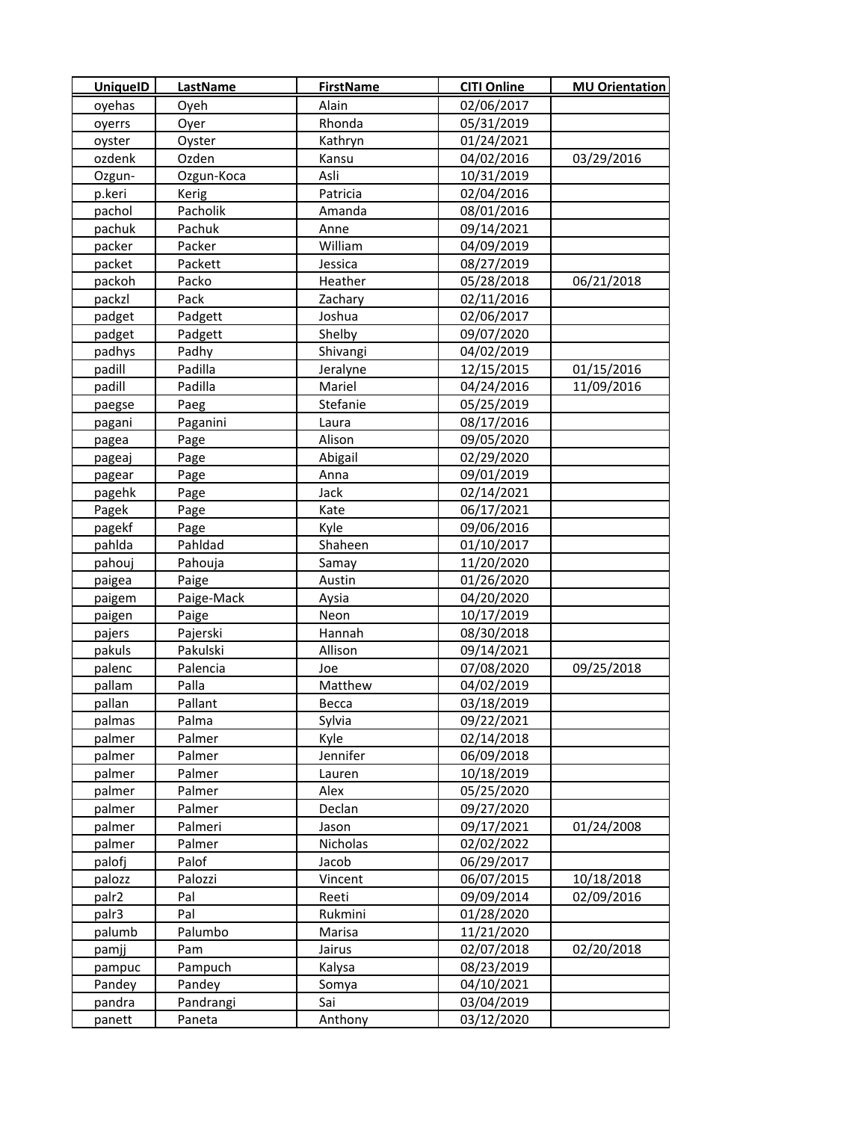| <b>UniquelD</b> | LastName   | <b>FirstName</b> | <b>CITI Online</b> | <b>MU Orientation</b> |
|-----------------|------------|------------------|--------------------|-----------------------|
| oyehas          | Oyeh       | Alain            | 02/06/2017         |                       |
| oyerrs          | Oyer       | Rhonda           | 05/31/2019         |                       |
| oyster          | Oyster     | Kathryn          | 01/24/2021         |                       |
| ozdenk          | Ozden      | Kansu            | 04/02/2016         | 03/29/2016            |
| Ozgun-          | Ozgun-Koca | Asli             | 10/31/2019         |                       |
| p.keri          | Kerig      | Patricia         | 02/04/2016         |                       |
| pachol          | Pacholik   | Amanda           | 08/01/2016         |                       |
| pachuk          | Pachuk     | Anne             | 09/14/2021         |                       |
| packer          | Packer     | William          | 04/09/2019         |                       |
| packet          | Packett    | Jessica          | 08/27/2019         |                       |
| packoh          | Packo      | Heather          | 05/28/2018         | 06/21/2018            |
| packzl          | Pack       | Zachary          | 02/11/2016         |                       |
| padget          | Padgett    | Joshua           | 02/06/2017         |                       |
| padget          | Padgett    | Shelby           | 09/07/2020         |                       |
| padhys          | Padhy      | Shivangi         | 04/02/2019         |                       |
| padill          | Padilla    | Jeralyne         | 12/15/2015         | 01/15/2016            |
| padill          | Padilla    | Mariel           | 04/24/2016         | 11/09/2016            |
| paegse          | Paeg       | Stefanie         | 05/25/2019         |                       |
| pagani          | Paganini   | Laura            | 08/17/2016         |                       |
| pagea           | Page       | Alison           | 09/05/2020         |                       |
| pageaj          | Page       | Abigail          | 02/29/2020         |                       |
| pagear          | Page       | Anna             | 09/01/2019         |                       |
| pagehk          | Page       | Jack             | 02/14/2021         |                       |
| Pagek           | Page       | Kate             | 06/17/2021         |                       |
| pagekf          | Page       | Kyle             | 09/06/2016         |                       |
| pahlda          | Pahldad    | Shaheen          | 01/10/2017         |                       |
| pahouj          | Pahouja    | Samay            | 11/20/2020         |                       |
| paigea          | Paige      | Austin           | 01/26/2020         |                       |
| paigem          | Paige-Mack | Aysia            | 04/20/2020         |                       |
| paigen          | Paige      | Neon             | 10/17/2019         |                       |
| pajers          | Pajerski   | Hannah           | 08/30/2018         |                       |
| pakuls          | Pakulski   | Allison          | 09/14/2021         |                       |
| palenc          | Palencia   | Joe              | 07/08/2020         | 09/25/2018            |
| pallam          | Palla      | Matthew          | 04/02/2019         |                       |
| pallan          | Pallant    | Becca            | 03/18/2019         |                       |
| palmas          | Palma      | Sylvia           | 09/22/2021         |                       |
| palmer          | Palmer     | Kyle             | 02/14/2018         |                       |
| palmer          | Palmer     | Jennifer         | 06/09/2018         |                       |
| palmer          | Palmer     | Lauren           | 10/18/2019         |                       |
| palmer          | Palmer     | Alex             | 05/25/2020         |                       |
| palmer          | Palmer     | Declan           | 09/27/2020         |                       |
| palmer          | Palmeri    | Jason            | 09/17/2021         | 01/24/2008            |
| palmer          | Palmer     | Nicholas         | 02/02/2022         |                       |
| palofj          | Palof      | Jacob            | 06/29/2017         |                       |
| palozz          | Palozzi    | Vincent          | 06/07/2015         | 10/18/2018            |
| palr2           | Pal        | Reeti            | 09/09/2014         | 02/09/2016            |
| palr3           | Pal        | Rukmini          | 01/28/2020         |                       |
| palumb          | Palumbo    | Marisa           | 11/21/2020         |                       |
| pamjj           | Pam        | Jairus           | 02/07/2018         | 02/20/2018            |
| pampuc          | Pampuch    | Kalysa           | 08/23/2019         |                       |
| Pandey          | Pandey     | Somya            | 04/10/2021         |                       |
| pandra          | Pandrangi  | Sai              | 03/04/2019         |                       |
| panett          | Paneta     | Anthony          | 03/12/2020         |                       |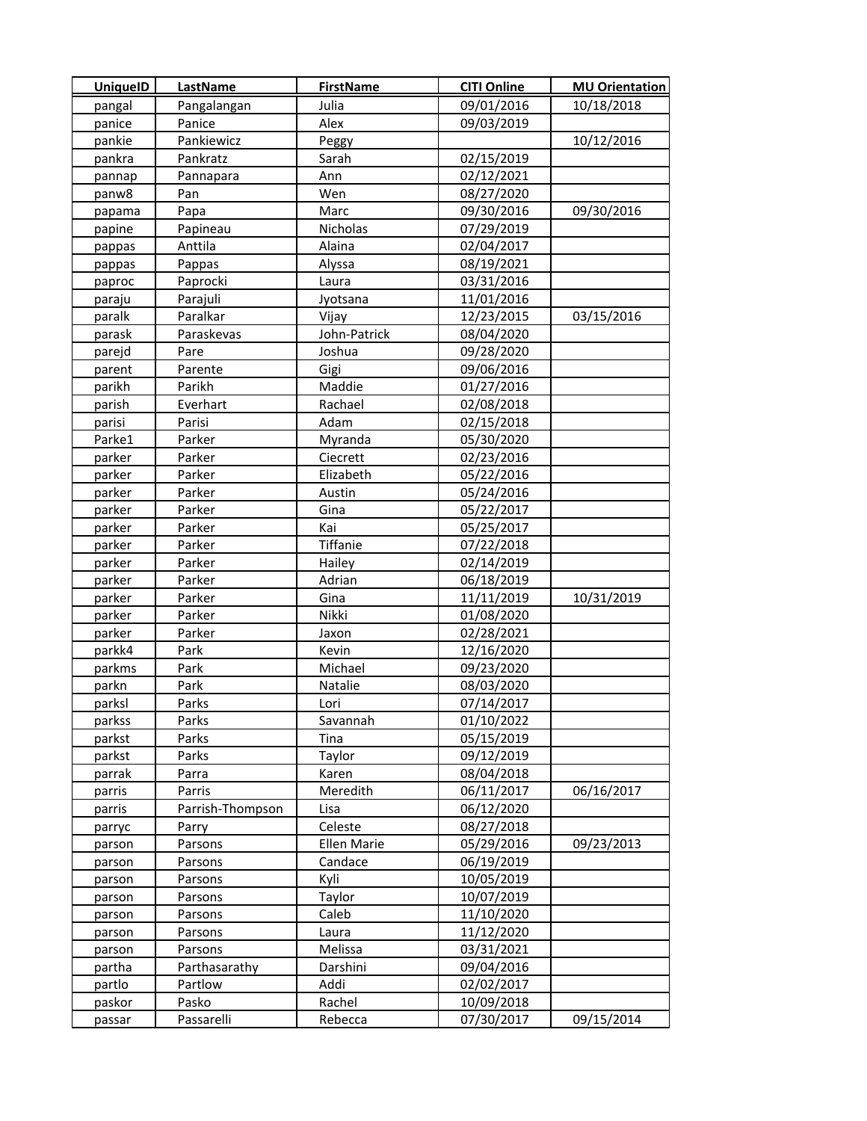| <b>UniquelD</b> | LastName         | <b>FirstName</b>   | <b>CITI Online</b> | <b>MU Orientation</b> |
|-----------------|------------------|--------------------|--------------------|-----------------------|
| pangal          | Pangalangan      | Julia              | 09/01/2016         | 10/18/2018            |
| panice          | Panice           | Alex               | 09/03/2019         |                       |
| pankie          | Pankiewicz       | Peggy              |                    | 10/12/2016            |
| pankra          | Pankratz         | Sarah              | 02/15/2019         |                       |
| pannap          | Pannapara        | Ann                | 02/12/2021         |                       |
| panw8           | Pan              | Wen                | 08/27/2020         |                       |
| papama          | Papa             | Marc               | 09/30/2016         | 09/30/2016            |
| papine          | Papineau         | Nicholas           | 07/29/2019         |                       |
| pappas          | Anttila          | Alaina             | 02/04/2017         |                       |
| pappas          | Pappas           | Alyssa             | 08/19/2021         |                       |
| paproc          | Paprocki         | Laura              | 03/31/2016         |                       |
| paraju          | Parajuli         | Jyotsana           | 11/01/2016         |                       |
| paralk          | Paralkar         | Vijay              | 12/23/2015         | 03/15/2016            |
| parask          | Paraskevas       | John-Patrick       | 08/04/2020         |                       |
| parejd          | Pare             | Joshua             | 09/28/2020         |                       |
| parent          | Parente          | Gigi               | 09/06/2016         |                       |
| parikh          | Parikh           | Maddie             | 01/27/2016         |                       |
| parish          | Everhart         | Rachael            | 02/08/2018         |                       |
| parisi          | Parisi           | Adam               | 02/15/2018         |                       |
| Parke1          | Parker           | Myranda            | 05/30/2020         |                       |
| parker          | Parker           | Ciecrett           | 02/23/2016         |                       |
| parker          | Parker           | Elizabeth          | 05/22/2016         |                       |
| parker          | Parker           | Austin             | 05/24/2016         |                       |
| parker          | Parker           | Gina               | 05/22/2017         |                       |
| parker          | Parker           | Kai                | 05/25/2017         |                       |
| parker          | Parker           | Tiffanie           | 07/22/2018         |                       |
| parker          | Parker           | Hailey             | 02/14/2019         |                       |
| parker          | Parker           | Adrian             | 06/18/2019         |                       |
| parker          | Parker           | Gina               | 11/11/2019         | 10/31/2019            |
| parker          | Parker           | Nikki              | 01/08/2020         |                       |
| parker          | Parker           | Jaxon              | 02/28/2021         |                       |
| parkk4          | Park             | Kevin              | 12/16/2020         |                       |
| parkms          | Park             | Michael            | 09/23/2020         |                       |
| parkn           | Park             | Natalie            | 08/03/2020         |                       |
| parksl          | Parks            | Lori               | 07/14/2017         |                       |
| parkss          | Parks            | Savannah           | 01/10/2022         |                       |
| parkst          | Parks            | Tina               | 05/15/2019         |                       |
| parkst          | Parks            | Taylor             | 09/12/2019         |                       |
| parrak          | Parra            | Karen              | 08/04/2018         |                       |
| parris          | Parris           | Meredith           | 06/11/2017         | 06/16/2017            |
| parris          | Parrish-Thompson | Lisa               | 06/12/2020         |                       |
| parryc          | Parry            | Celeste            | 08/27/2018         |                       |
| parson          | Parsons          | <b>Ellen Marie</b> | 05/29/2016         | 09/23/2013            |
| parson          | Parsons          | Candace            | 06/19/2019         |                       |
| parson          | Parsons          | Kyli               | 10/05/2019         |                       |
| parson          | Parsons          | Taylor             | 10/07/2019         |                       |
| parson          | Parsons          | Caleb              | 11/10/2020         |                       |
| parson          | Parsons          | Laura              | 11/12/2020         |                       |
| parson          | Parsons          | Melissa            | 03/31/2021         |                       |
| partha          | Parthasarathy    | Darshini           | 09/04/2016         |                       |
| partlo          | Partlow          | Addi               | 02/02/2017         |                       |
| paskor          | Pasko            | Rachel             | 10/09/2018         |                       |
| passar          | Passarelli       | Rebecca            | 07/30/2017         | 09/15/2014            |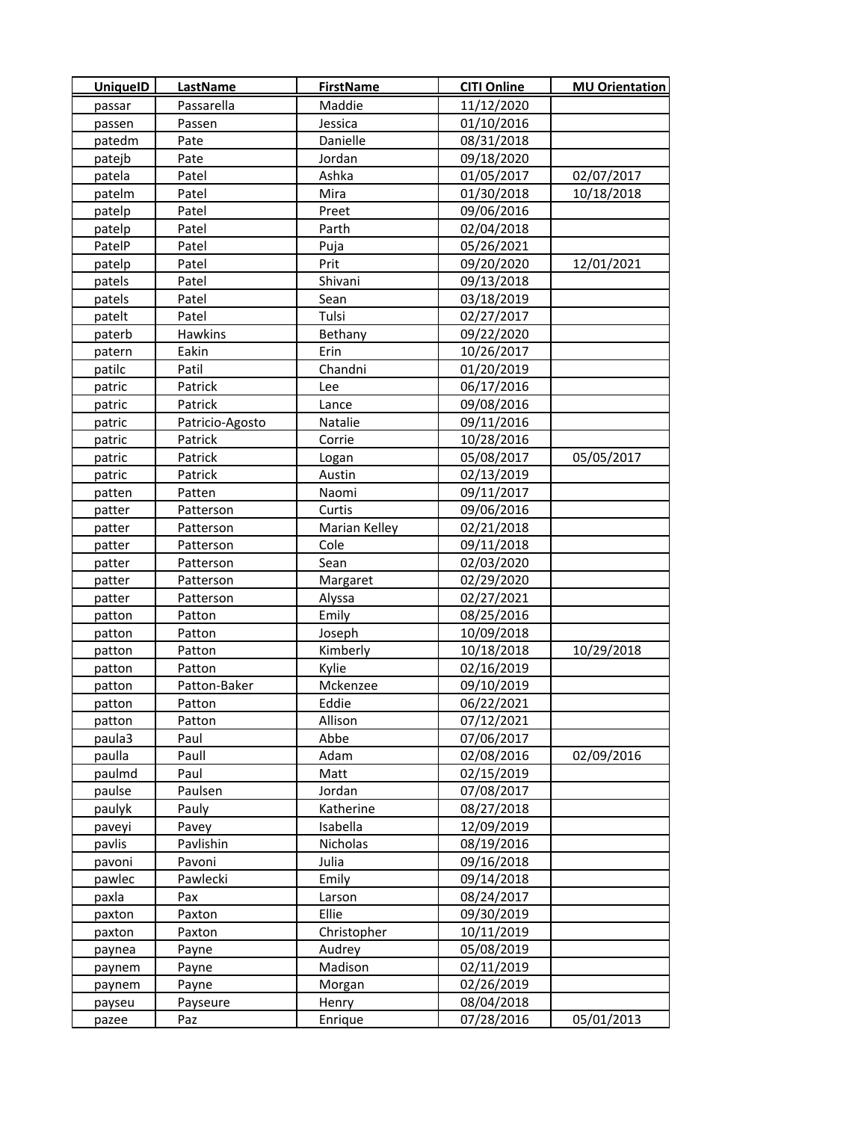| <b>UniquelD</b> | LastName          | <b>FirstName</b> | <b>CITI Online</b>       | <b>MU Orientation</b> |
|-----------------|-------------------|------------------|--------------------------|-----------------------|
| passar          | Passarella        | Maddie           | 11/12/2020               |                       |
| passen          | Passen            | Jessica          | 01/10/2016               |                       |
| patedm          | Pate              | Danielle         | 08/31/2018               |                       |
| patejb          | Pate              | Jordan           | 09/18/2020               |                       |
| patela          | Patel             | Ashka            | 01/05/2017               | 02/07/2017            |
| patelm          | Patel             | Mira             | 01/30/2018               | 10/18/2018            |
| patelp          | Patel             | Preet            | 09/06/2016               |                       |
| patelp          | Patel             | Parth            | 02/04/2018               |                       |
| PatelP          | Patel             | Puja             | 05/26/2021               |                       |
| patelp          | Patel             | Prit             | 09/20/2020               | 12/01/2021            |
| patels          | Patel             | Shivani          | 09/13/2018               |                       |
| patels          | Patel             | Sean             | 03/18/2019               |                       |
| patelt          | Patel             | Tulsi            | 02/27/2017               |                       |
| paterb          | <b>Hawkins</b>    | Bethany          | 09/22/2020               |                       |
| patern          | Eakin             | Erin             | 10/26/2017               |                       |
| patilc          | Patil             | Chandni          | 01/20/2019               |                       |
| patric          | Patrick           | Lee              | 06/17/2016               |                       |
| patric          | Patrick           | Lance            | 09/08/2016               |                       |
| patric          | Patricio-Agosto   | Natalie          | 09/11/2016               |                       |
| patric          | Patrick           | Corrie           | 10/28/2016               |                       |
| patric          | Patrick           | Logan            | 05/08/2017               | 05/05/2017            |
| patric          | Patrick           | Austin           | 02/13/2019               |                       |
| patten          | Patten            | Naomi            | 09/11/2017               |                       |
| patter          | Patterson         | Curtis           | 09/06/2016               |                       |
| patter          | Patterson         | Marian Kelley    | 02/21/2018               |                       |
| patter          | Patterson         | Cole             | 09/11/2018               |                       |
| patter          | Patterson         | Sean             | 02/03/2020               |                       |
| patter          | Patterson         | Margaret         | 02/29/2020               |                       |
| patter          | Patterson         | Alyssa           | 02/27/2021               |                       |
| patton          | Patton            | Emily            | 08/25/2016               |                       |
| patton          | Patton            | Joseph           | 10/09/2018               |                       |
| patton          | Patton            | Kimberly         | 10/18/2018               | 10/29/2018            |
| patton          | Patton            | Kylie            | 02/16/2019               |                       |
| patton          | Patton-Baker      | Mckenzee         | 09/10/2019               |                       |
| patton          | Patton            | Eddie            | 06/22/2021               |                       |
| patton          | Patton            | Allison          | 07/12/2021               |                       |
| paula3          | Paul              | Abbe             | 07/06/2017               |                       |
| paulla          | Paull             | Adam             | 02/08/2016               | 02/09/2016            |
| paulmd          | Paul              | Matt             | 02/15/2019               |                       |
| paulse          | Paulsen           | Jordan           | 07/08/2017               |                       |
| paulyk          | Pauly             | Katherine        | 08/27/2018               |                       |
| paveyi          | Pavey             | Isabella         | 12/09/2019               |                       |
| pavlis          | Pavlishin         | Nicholas         | 08/19/2016               |                       |
| pavoni          | Pavoni            | Julia            | 09/16/2018               |                       |
| pawlec          | Pawlecki          | Emily            | 09/14/2018               |                       |
| paxla           | Pax               | Larson           | 08/24/2017               |                       |
| paxton          | Paxton            | Ellie            | 09/30/2019               |                       |
| paxton          | Paxton            | Christopher      | 10/11/2019               |                       |
| paynea          | Payne             | Audrey           | 05/08/2019               |                       |
| paynem          | Payne             | Madison          | 02/11/2019<br>02/26/2019 |                       |
| paynem          | Payne<br>Payseure | Morgan<br>Henry  | 08/04/2018               |                       |
| payseu<br>pazee | Paz               | Enrique          | 07/28/2016               | 05/01/2013            |
|                 |                   |                  |                          |                       |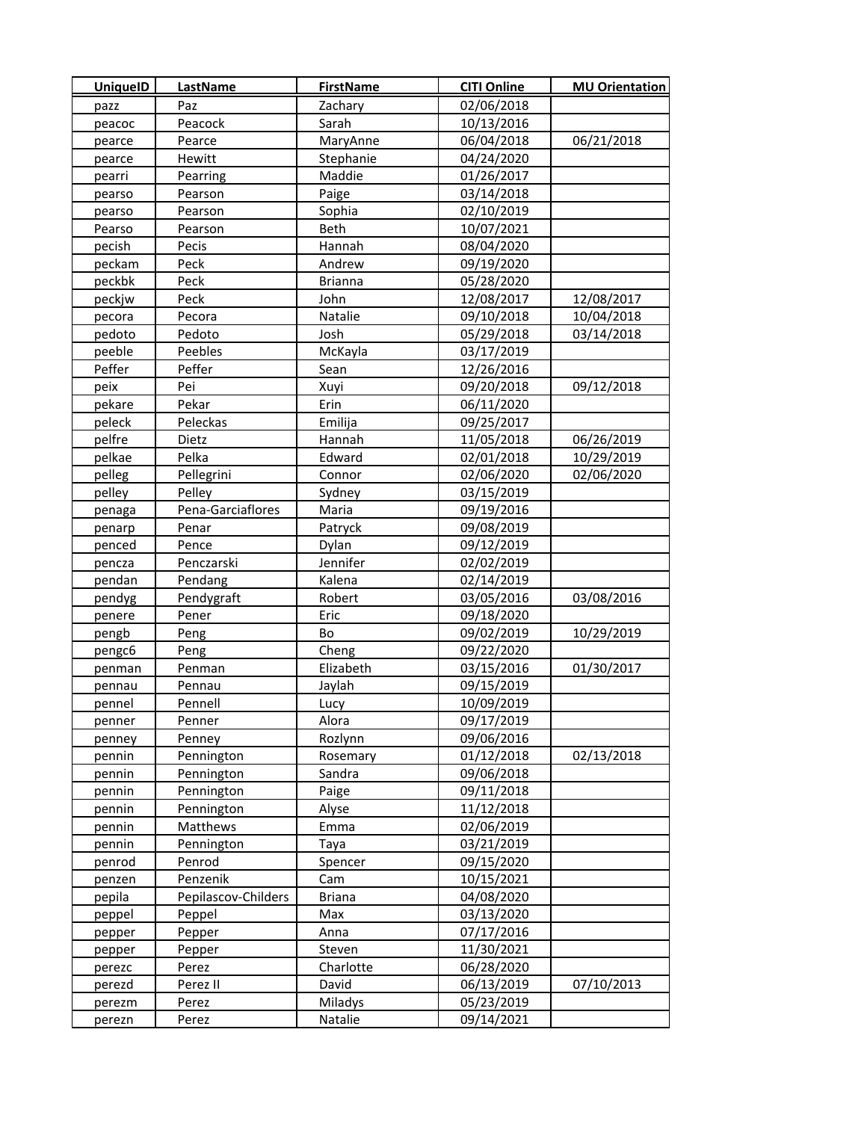| <b>UniquelD</b> | <b>LastName</b>     | <b>FirstName</b> | <b>CITI Online</b> | <b>MU Orientation</b> |
|-----------------|---------------------|------------------|--------------------|-----------------------|
| pazz            | Paz                 | Zachary          | 02/06/2018         |                       |
| peacoc          | Peacock             | Sarah            | 10/13/2016         |                       |
| pearce          | Pearce              | MaryAnne         | 06/04/2018         | 06/21/2018            |
| pearce          | Hewitt              | Stephanie        | 04/24/2020         |                       |
| pearri          | Pearring            | Maddie           | 01/26/2017         |                       |
| pearso          | Pearson             | Paige            | 03/14/2018         |                       |
| pearso          | Pearson             | Sophia           | 02/10/2019         |                       |
| Pearso          | Pearson             | Beth             | 10/07/2021         |                       |
| pecish          | Pecis               | Hannah           | 08/04/2020         |                       |
| peckam          | Peck                | Andrew           | 09/19/2020         |                       |
| peckbk          | Peck                | <b>Brianna</b>   | 05/28/2020         |                       |
| peckjw          | Peck                | John             | 12/08/2017         | 12/08/2017            |
| pecora          | Pecora              | Natalie          | 09/10/2018         | 10/04/2018            |
| pedoto          | Pedoto              | Josh             | 05/29/2018         | 03/14/2018            |
| peeble          | Peebles             | McKayla          | 03/17/2019         |                       |
| Peffer          | Peffer              | Sean             | 12/26/2016         |                       |
| peix            | Pei                 | Xuyi             | 09/20/2018         | 09/12/2018            |
| pekare          | Pekar               | Erin             | 06/11/2020         |                       |
| peleck          | Peleckas            | Emilija          | 09/25/2017         |                       |
| pelfre          | Dietz               | Hannah           | 11/05/2018         | 06/26/2019            |
| pelkae          | Pelka               | Edward           | 02/01/2018         | 10/29/2019            |
| pelleg          | Pellegrini          | Connor           | 02/06/2020         | 02/06/2020            |
| pelley          | Pelley              | Sydney           | 03/15/2019         |                       |
| penaga          | Pena-Garciaflores   | Maria            | 09/19/2016         |                       |
| penarp          | Penar               | Patryck          | 09/08/2019         |                       |
| penced          | Pence               | Dylan            | 09/12/2019         |                       |
| pencza          | Penczarski          | Jennifer         | 02/02/2019         |                       |
| pendan          | Pendang             | Kalena           | 02/14/2019         |                       |
| pendyg          | Pendygraft          | Robert           | 03/05/2016         | 03/08/2016            |
| penere          | Pener               | Eric             | 09/18/2020         |                       |
| pengb           | Peng                | Bo               | 09/02/2019         | 10/29/2019            |
| pengc6          | Peng                | Cheng            | 09/22/2020         |                       |
| penman          | Penman              | Elizabeth        | 03/15/2016         | 01/30/2017            |
| pennau          | Pennau              | Jaylah           | 09/15/2019         |                       |
| pennel          | Pennell             | Lucy             | 10/09/2019         |                       |
| penner          | Penner              | Alora            | 09/17/2019         |                       |
| penney          | Penney              | Rozlynn          | 09/06/2016         |                       |
| pennin          | Pennington          | Rosemary         | 01/12/2018         | 02/13/2018            |
| pennin          | Pennington          | Sandra           | 09/06/2018         |                       |
| pennin          | Pennington          | Paige            | 09/11/2018         |                       |
| pennin          | Pennington          | Alyse            | 11/12/2018         |                       |
| pennin          | Matthews            | Emma             | 02/06/2019         |                       |
| pennin          | Pennington          | Taya             | 03/21/2019         |                       |
| penrod          | Penrod              | Spencer          | 09/15/2020         |                       |
| penzen          | Penzenik            | Cam              | 10/15/2021         |                       |
| pepila          | Pepilascov-Childers | <b>Briana</b>    | 04/08/2020         |                       |
| peppel          | Peppel              | Max              | 03/13/2020         |                       |
| pepper          | Pepper              | Anna             | 07/17/2016         |                       |
| pepper          | Pepper              | <b>Steven</b>    | 11/30/2021         |                       |
| perezc          | Perez               | Charlotte        | 06/28/2020         |                       |
| perezd          | Perez II            | David            | 06/13/2019         | 07/10/2013            |
| perezm          | Perez               | Miladys          | 05/23/2019         |                       |
| perezn          | Perez               | Natalie          | 09/14/2021         |                       |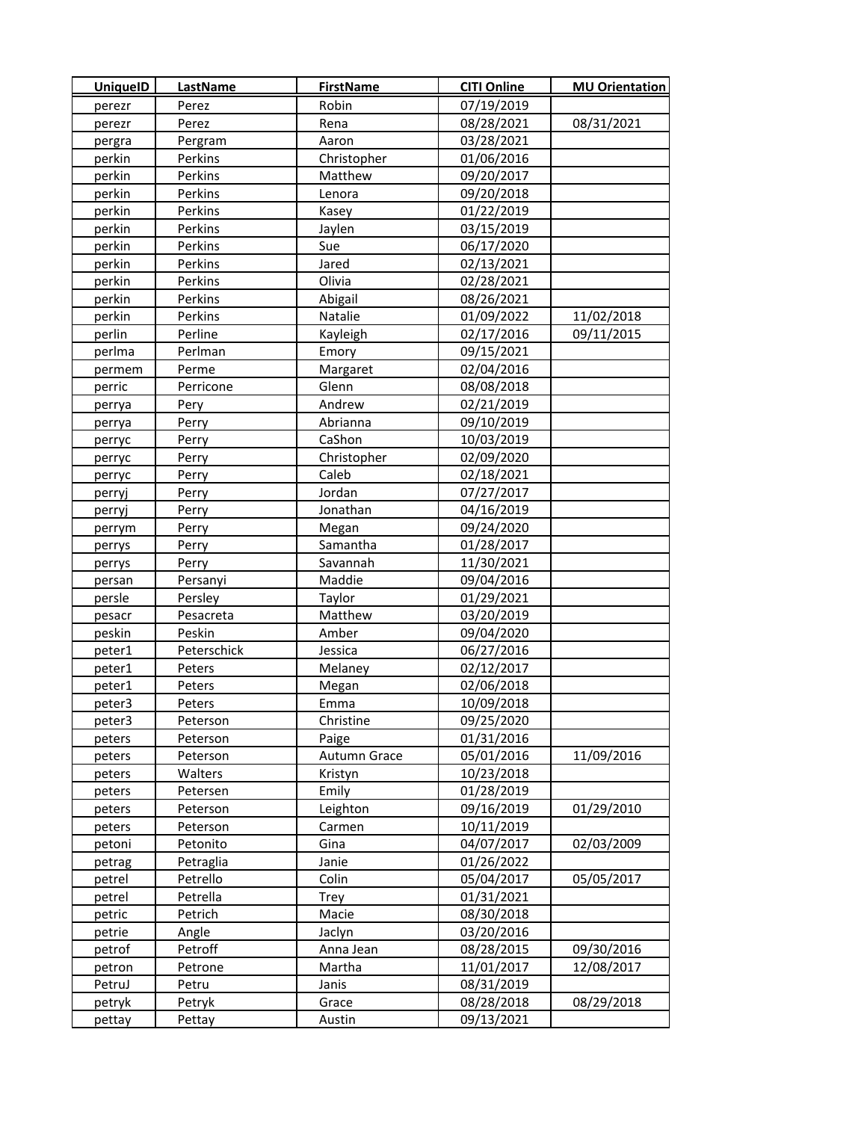| <b>UniquelD</b> | <b>LastName</b> | <b>FirstName</b> | <b>CITI Online</b> | <b>MU Orientation</b> |
|-----------------|-----------------|------------------|--------------------|-----------------------|
| perezr          | Perez           | Robin            | 07/19/2019         |                       |
| perezr          | Perez           | Rena             | 08/28/2021         | 08/31/2021            |
| pergra          | Pergram         | Aaron            | 03/28/2021         |                       |
| perkin          | Perkins         | Christopher      | 01/06/2016         |                       |
| perkin          | Perkins         | Matthew          | 09/20/2017         |                       |
| perkin          | Perkins         | Lenora           | 09/20/2018         |                       |
| perkin          | Perkins         | Kasey            | 01/22/2019         |                       |
| perkin          | Perkins         | Jaylen           | 03/15/2019         |                       |
| perkin          | Perkins         | Sue              | 06/17/2020         |                       |
| perkin          | Perkins         | Jared            | 02/13/2021         |                       |
| perkin          | Perkins         | Olivia           | 02/28/2021         |                       |
| perkin          | Perkins         | Abigail          | 08/26/2021         |                       |
| perkin          | Perkins         | Natalie          | 01/09/2022         | 11/02/2018            |
| perlin          | Perline         | Kayleigh         | 02/17/2016         | 09/11/2015            |
| perlma          | Perlman         | Emory            | 09/15/2021         |                       |
| permem          | Perme           | Margaret         | 02/04/2016         |                       |
| perric          | Perricone       | Glenn            | 08/08/2018         |                       |
| perrya          | Pery            | Andrew           | 02/21/2019         |                       |
| perrya          | Perry           | Abrianna         | 09/10/2019         |                       |
| perryc          | Perry           | CaShon           | 10/03/2019         |                       |
| perryc          | Perry           | Christopher      | 02/09/2020         |                       |
| perryc          | Perry           | Caleb            | 02/18/2021         |                       |
| perryj          | Perry           | Jordan           | 07/27/2017         |                       |
| perryj          | Perry           | Jonathan         | 04/16/2019         |                       |
| perrym          | Perry           | Megan            | 09/24/2020         |                       |
| perrys          | Perry           | Samantha         | 01/28/2017         |                       |
| perrys          | Perry           | Savannah         | 11/30/2021         |                       |
| persan          | Persanyi        | Maddie           | 09/04/2016         |                       |
| persle          | Persley         | Taylor           | 01/29/2021         |                       |
| pesacr          | Pesacreta       | Matthew          | 03/20/2019         |                       |
| peskin          | Peskin          | Amber            | 09/04/2020         |                       |
| peter1          | Peterschick     | Jessica          | 06/27/2016         |                       |
| peter1          | Peters          | Melaney          | 02/12/2017         |                       |
| peter1          | Peters          | Megan            | 02/06/2018         |                       |
| peter3          | Peters          | Emma             | 10/09/2018         |                       |
| peter3          | Peterson        | Christine        | 09/25/2020         |                       |
| peters          | Peterson        | Paige            | 01/31/2016         |                       |
| peters          | Peterson        | Autumn Grace     | 05/01/2016         | 11/09/2016            |
| peters          | Walters         | Kristyn          | 10/23/2018         |                       |
| peters          | Petersen        | Emily            | 01/28/2019         |                       |
| peters          | Peterson        | Leighton         | 09/16/2019         | 01/29/2010            |
| peters          | Peterson        | Carmen           | 10/11/2019         |                       |
| petoni          | Petonito        | Gina             | 04/07/2017         | 02/03/2009            |
| petrag          | Petraglia       | Janie            | 01/26/2022         |                       |
| petrel          | Petrello        | Colin            | 05/04/2017         | 05/05/2017            |
| petrel          | Petrella        | Trey             | 01/31/2021         |                       |
| petric          | Petrich         | Macie            | 08/30/2018         |                       |
| petrie          | Angle           | Jaclyn           | 03/20/2016         |                       |
| petrof          | Petroff         | Anna Jean        | 08/28/2015         | 09/30/2016            |
| petron          | Petrone         | Martha           | 11/01/2017         | 12/08/2017            |
| PetruJ          | Petru           | Janis            | 08/31/2019         |                       |
| petryk          | Petryk          | Grace            | 08/28/2018         | 08/29/2018            |
| pettay          | Pettay          | Austin           | 09/13/2021         |                       |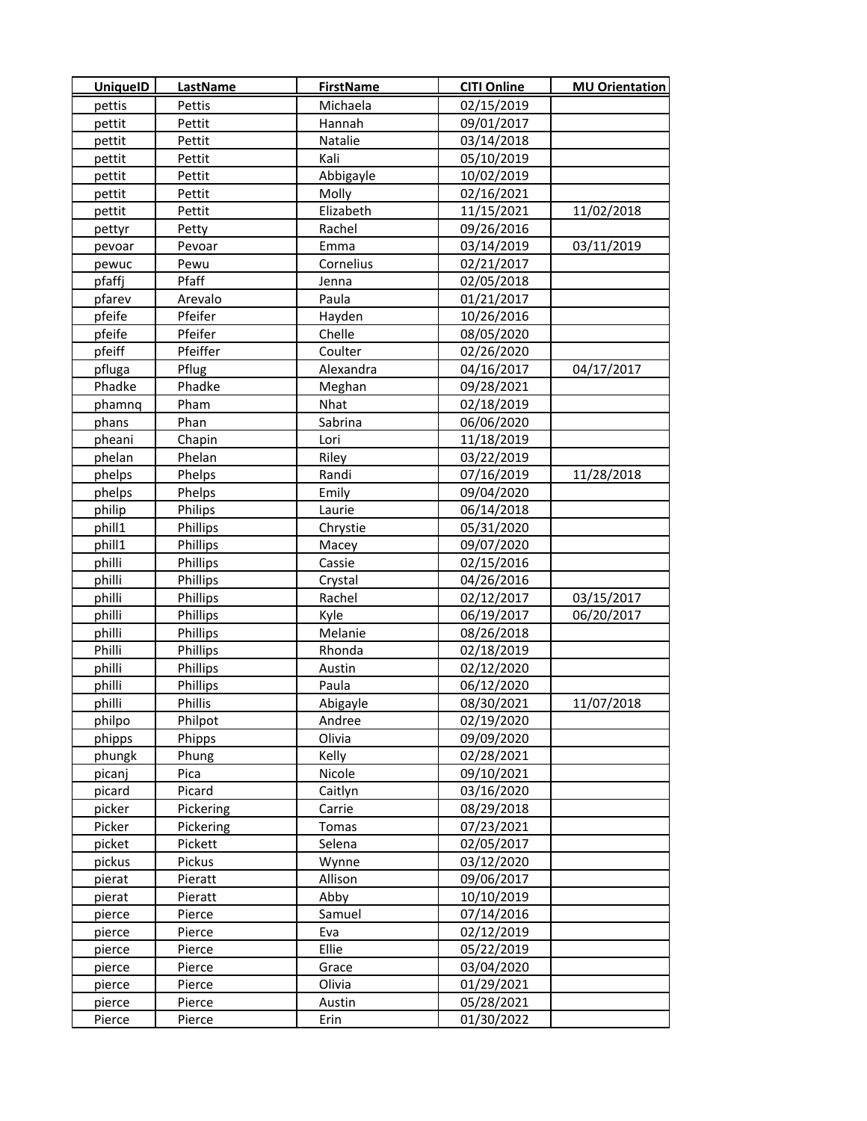| <b>UniquelD</b> | LastName       | <b>FirstName</b> | <b>CITI Online</b> | <b>MU Orientation</b> |
|-----------------|----------------|------------------|--------------------|-----------------------|
| pettis          | Pettis         | Michaela         | 02/15/2019         |                       |
| pettit          | Pettit         | Hannah           | 09/01/2017         |                       |
| pettit          | Pettit         | Natalie          | 03/14/2018         |                       |
| pettit          | Pettit         | Kali             | 05/10/2019         |                       |
| pettit          | Pettit         | Abbigayle        | 10/02/2019         |                       |
| pettit          | Pettit         | Molly            | 02/16/2021         |                       |
| pettit          | <b>Pettit</b>  | Elizabeth        | 11/15/2021         | 11/02/2018            |
| pettyr          | Petty          | Rachel           | 09/26/2016         |                       |
| pevoar          | Pevoar         | Emma             | 03/14/2019         | 03/11/2019            |
| pewuc           | Pewu           | Cornelius        | 02/21/2017         |                       |
| pfaffj          | Pfaff          | Jenna            | 02/05/2018         |                       |
| pfarev          | Arevalo        | Paula            | 01/21/2017         |                       |
| pfeife          | Pfeifer        | Hayden           | 10/26/2016         |                       |
| pfeife          | Pfeifer        | Chelle           | 08/05/2020         |                       |
| pfeiff          | Pfeiffer       | Coulter          | 02/26/2020         |                       |
| pfluga          | Pflug          | Alexandra        | 04/16/2017         | 04/17/2017            |
| Phadke          | Phadke         | Meghan           | 09/28/2021         |                       |
| phamnq          | Pham           | Nhat             | 02/18/2019         |                       |
| phans           | Phan           | Sabrina          | 06/06/2020         |                       |
| pheani          | Chapin         | Lori             | 11/18/2019         |                       |
| phelan          | Phelan         | Riley            | 03/22/2019         |                       |
| phelps          | Phelps         | Randi            | 07/16/2019         | 11/28/2018            |
| phelps          | Phelps         | Emily            | 09/04/2020         |                       |
| philip          | <b>Philips</b> | Laurie           | 06/14/2018         |                       |
| phill1          | Phillips       | Chrystie         | 05/31/2020         |                       |
| phill1          | Phillips       | Macey            | 09/07/2020         |                       |
| philli          | Phillips       | Cassie           | 02/15/2016         |                       |
| philli          | Phillips       | Crystal          | 04/26/2016         |                       |
| philli          | Phillips       | Rachel           | 02/12/2017         | 03/15/2017            |
| philli          | Phillips       | Kyle             | 06/19/2017         | 06/20/2017            |
| philli          | Phillips       | Melanie          | 08/26/2018         |                       |
| Philli          | Phillips       | Rhonda           | 02/18/2019         |                       |
| philli          | Phillips       | Austin           | 02/12/2020         |                       |
| philli          | Phillips       | Paula            | 06/12/2020         |                       |
| philli          | Phillis        | Abigayle         | 08/30/2021         | 11/07/2018            |
| philpo          | Philpot        | Andree           | 02/19/2020         |                       |
| phipps          | Phipps         | Olivia           | 09/09/2020         |                       |
| phungk          | Phung          | Kelly            | 02/28/2021         |                       |
| picanj          | Pica           | Nicole           | 09/10/2021         |                       |
| picard          | Picard         | Caitlyn          | 03/16/2020         |                       |
| picker          | Pickering      | Carrie           | 08/29/2018         |                       |
| Picker          | Pickering      | Tomas            | 07/23/2021         |                       |
| picket          | Pickett        | Selena           | 02/05/2017         |                       |
| pickus          | Pickus         | Wynne            | 03/12/2020         |                       |
| pierat          | Pieratt        | Allison          | 09/06/2017         |                       |
| pierat          | Pieratt        | Abby             | 10/10/2019         |                       |
| pierce          | Pierce         | Samuel           | 07/14/2016         |                       |
| pierce          | Pierce         | Eva              | 02/12/2019         |                       |
| pierce          | Pierce         | Ellie            | 05/22/2019         |                       |
| pierce          | Pierce         | Grace            | 03/04/2020         |                       |
| pierce          | Pierce         | Olivia           | 01/29/2021         |                       |
| pierce          | Pierce         | Austin           | 05/28/2021         |                       |
| Pierce          | Pierce         | Erin             | 01/30/2022         |                       |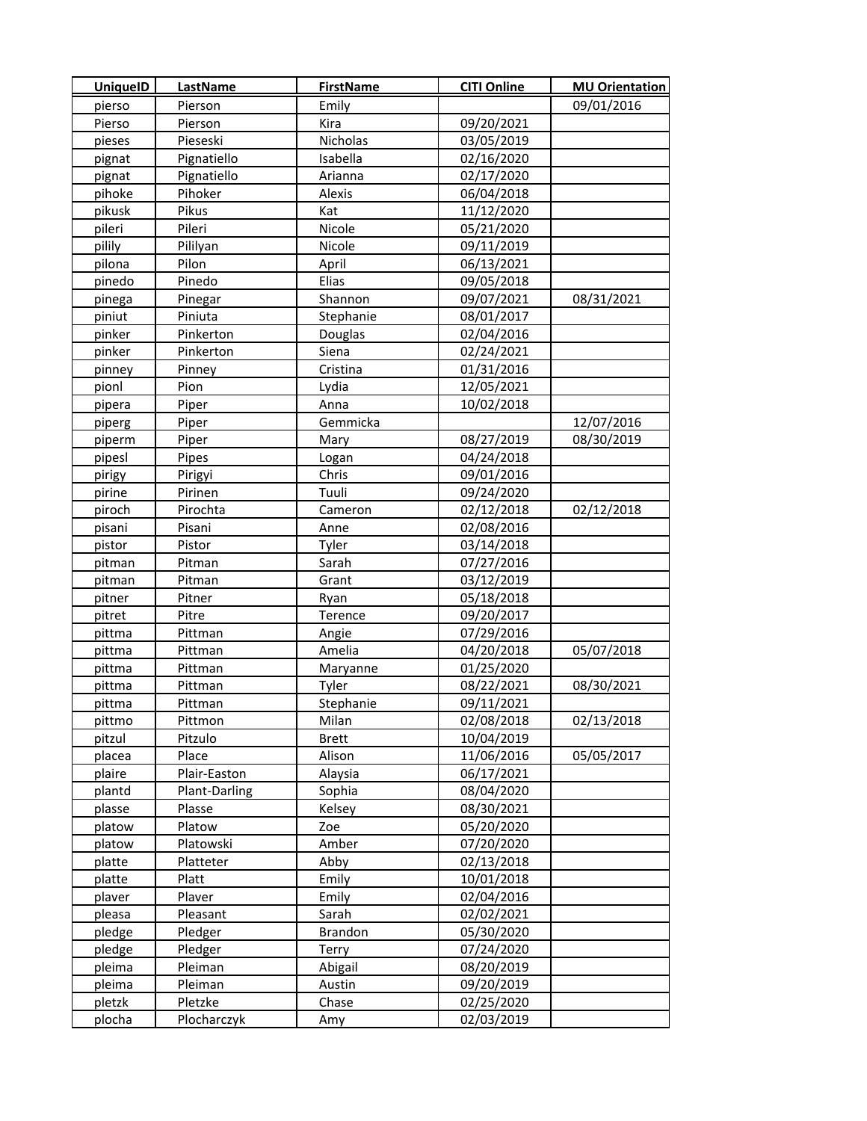| <b>UniquelD</b> | <b>LastName</b>        | <b>FirstName</b> | <b>CITI Online</b> | <b>MU Orientation</b> |
|-----------------|------------------------|------------------|--------------------|-----------------------|
| pierso          | Pierson                | Emily            |                    | 09/01/2016            |
| Pierso          | Pierson                | Kira             | 09/20/2021         |                       |
| pieses          | Pieseski               | Nicholas         | 03/05/2019         |                       |
| pignat          | Pignatiello            | Isabella         | 02/16/2020         |                       |
| pignat          | Pignatiello            | Arianna          | 02/17/2020         |                       |
| pihoke          | Pihoker                | Alexis           | 06/04/2018         |                       |
| pikusk          | Pikus                  | Kat              | 11/12/2020         |                       |
| pileri          | Pileri                 | Nicole           | 05/21/2020         |                       |
| pilily          | Pililyan               | Nicole           | 09/11/2019         |                       |
| pilona          | Pilon                  | April            | 06/13/2021         |                       |
| pinedo          | Pinedo                 | Elias            | 09/05/2018         |                       |
| pinega          | Pinegar                | Shannon          | 09/07/2021         | 08/31/2021            |
| piniut          | Piniuta                | Stephanie        | 08/01/2017         |                       |
| pinker          | Pinkerton              | <b>Douglas</b>   | 02/04/2016         |                       |
| pinker          | Pinkerton              | Siena            | 02/24/2021         |                       |
| pinney          | Pinney                 | Cristina         | 01/31/2016         |                       |
| pionl           | Pion                   | Lydia            | 12/05/2021         |                       |
| pipera          | Piper                  | Anna             | 10/02/2018         |                       |
| piperg          | Piper                  | Gemmicka         |                    | 12/07/2016            |
| piperm          | Piper                  | Mary             | 08/27/2019         | 08/30/2019            |
| pipesl          | Pipes                  | Logan            | 04/24/2018         |                       |
| pirigy          | Pirigyi                | Chris            | 09/01/2016         |                       |
| pirine          | Pirinen                | Tuuli            | 09/24/2020         |                       |
| piroch          | Pirochta               | Cameron          | 02/12/2018         | 02/12/2018            |
| pisani          | Pisani                 | Anne             | 02/08/2016         |                       |
| pistor          | Pistor                 | Tyler            | 03/14/2018         |                       |
| pitman          | Pitman                 | Sarah            | 07/27/2016         |                       |
| pitman          | Pitman                 | Grant            | 03/12/2019         |                       |
| pitner          | Pitner                 | Ryan             | 05/18/2018         |                       |
| pitret          | Pitre                  | Terence          | 09/20/2017         |                       |
| pittma          | Pittman                | Angie            | 07/29/2016         |                       |
| pittma          | Pittman                | Amelia           | 04/20/2018         | 05/07/2018            |
| pittma          | Pittman                | Maryanne         | 01/25/2020         |                       |
| pittma          | Pittman                | Tyler            | 08/22/2021         | 08/30/2021            |
| pittma          | Pittman                | Stephanie        | 09/11/2021         |                       |
| pittmo          | Pittmon                | Milan            | 02/08/2018         | 02/13/2018            |
| pitzul          | Pitzulo                | <b>Brett</b>     | 10/04/2019         |                       |
| placea          | Place                  | Alison           | 11/06/2016         | 05/05/2017            |
| plaire          | Plair-Easton           | Alaysia          | 06/17/2021         |                       |
| plantd          | Plant-Darling          | Sophia           | 08/04/2020         |                       |
| plasse          | Plasse                 | Kelsey           | 08/30/2021         |                       |
| platow          | Platow                 | Zoe              | 05/20/2020         |                       |
| platow          | Platowski              | Amber            | 07/20/2020         |                       |
| platte          | Platteter              | Abby             | 02/13/2018         |                       |
| platte          | Platt                  | Emily            | 10/01/2018         |                       |
| plaver          | Plaver                 | Emily            | 02/04/2016         |                       |
| pleasa          | Pleasant               | Sarah            | 02/02/2021         |                       |
| pledge          | Pledger                | <b>Brandon</b>   | 05/30/2020         |                       |
| pledge          | Pledger                | Terry            | 07/24/2020         |                       |
| pleima          | Pleiman                | Abigail          | 08/20/2019         |                       |
| pleima          | Pleiman                | Austin           | 09/20/2019         |                       |
| pletzk          | Pletzke<br>Plocharczyk | Chase            | 02/25/2020         |                       |
| plocha          |                        | Amy              | 02/03/2019         |                       |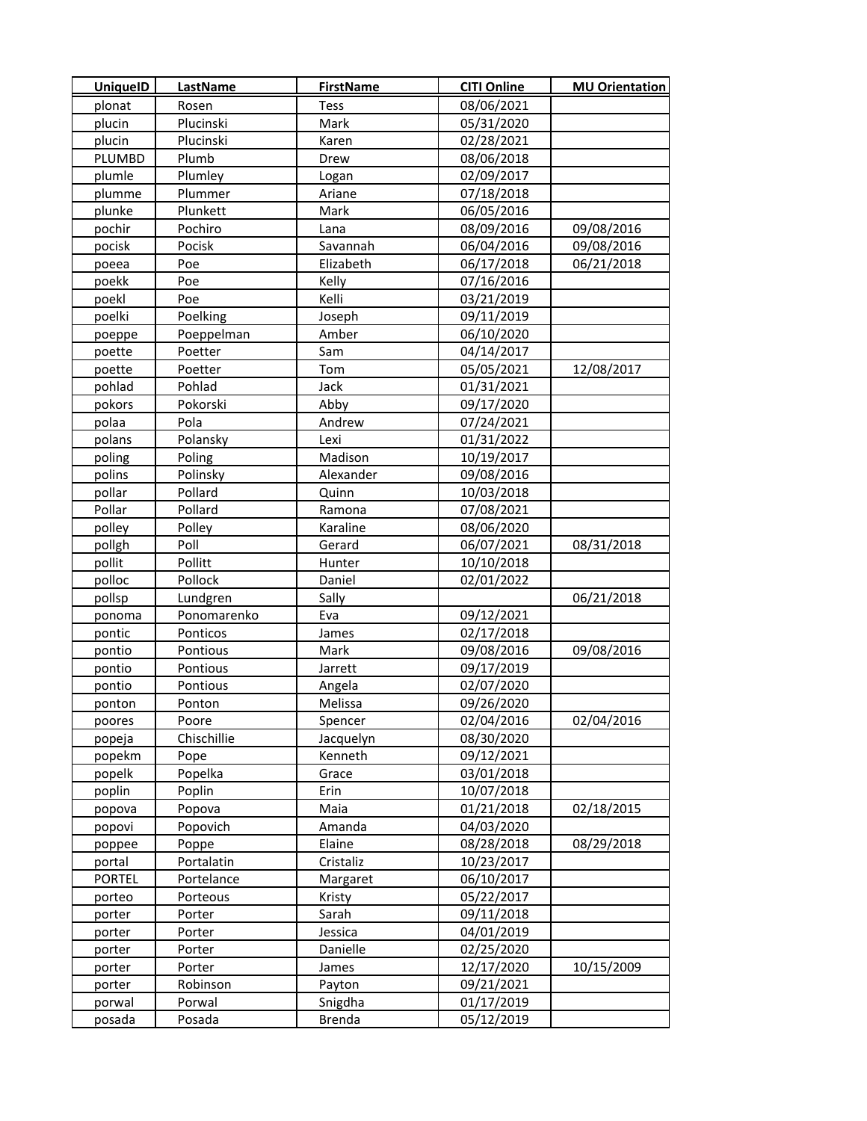| <b>UniquelD</b> | LastName          | <b>FirstName</b> | <b>CITI Online</b>       | <b>MU Orientation</b> |
|-----------------|-------------------|------------------|--------------------------|-----------------------|
| plonat          | Rosen             | <b>Tess</b>      | 08/06/2021               |                       |
| plucin          | Plucinski         | Mark             | 05/31/2020               |                       |
| plucin          | Plucinski         | Karen            | 02/28/2021               |                       |
| PLUMBD          | Plumb             | Drew             | 08/06/2018               |                       |
| plumle          | Plumley           | Logan            | 02/09/2017               |                       |
| plumme          | Plummer           | Ariane           | 07/18/2018               |                       |
| plunke          | Plunkett          | Mark             | 06/05/2016               |                       |
| pochir          | Pochiro           | Lana             | 08/09/2016               | 09/08/2016            |
| pocisk          | Pocisk            | Savannah         | 06/04/2016               | 09/08/2016            |
| poeea           | Poe               | Elizabeth        | 06/17/2018               | 06/21/2018            |
| poekk           | Poe               | Kelly            | 07/16/2016               |                       |
| poekl           | Poe               | Kelli            | 03/21/2019               |                       |
| poelki          | Poelking          | Joseph           | 09/11/2019               |                       |
| poeppe          | Poeppelman        | Amber            | 06/10/2020               |                       |
| poette          | Poetter           | Sam              | 04/14/2017               |                       |
| poette          | Poetter           | Tom              | 05/05/2021               | 12/08/2017            |
| pohlad          | Pohlad            | Jack             | 01/31/2021               |                       |
| pokors          | Pokorski          | Abby             | 09/17/2020               |                       |
| polaa           | Pola              | Andrew           | 07/24/2021               |                       |
| polans          | Polansky          | Lexi             | 01/31/2022               |                       |
| poling          | Poling            | Madison          | 10/19/2017               |                       |
| polins          | Polinsky          | Alexander        | 09/08/2016               |                       |
| pollar          | Pollard           | Quinn            | 10/03/2018               |                       |
| Pollar          | Pollard           | Ramona           | 07/08/2021               |                       |
| polley          | Polley            | Karaline         | 08/06/2020               |                       |
| pollgh          | Poll              | Gerard           | 06/07/2021               | 08/31/2018            |
| pollit          | Pollitt           | Hunter           | 10/10/2018               |                       |
| polloc          | Pollock           | Daniel           | 02/01/2022               |                       |
| pollsp          | Lundgren          | Sally            |                          | 06/21/2018            |
| ponoma          | Ponomarenko       | Eva              | 09/12/2021               |                       |
| pontic          | Ponticos          |                  | 02/17/2018               |                       |
| pontio          | Pontious          | James<br>Mark    | 09/08/2016               | 09/08/2016            |
| pontio          | Pontious          | Jarrett          | 09/17/2019               |                       |
|                 |                   |                  | 02/07/2020               |                       |
| pontio          | Pontious          | Angela           | 09/26/2020               |                       |
| ponton          | Ponton            | Melissa          |                          |                       |
| poores          | Poore             | Spencer          | 02/04/2016               | 02/04/2016            |
| popeja          | Chischillie       | Jacquelyn        | 08/30/2020<br>09/12/2021 |                       |
| popekm          | Pope              | Kenneth          |                          |                       |
| popelk          | Popelka<br>Poplin | Grace            | 03/01/2018               |                       |
| poplin          |                   | Erin             | 10/07/2018               |                       |
| popova          | Popova            | Maia             | 01/21/2018               | 02/18/2015            |
| popovi          | Popovich          | Amanda           | 04/03/2020               |                       |
| poppee          | Poppe             | Elaine           | 08/28/2018               | 08/29/2018            |
| portal          | Portalatin        | Cristaliz        | 10/23/2017               |                       |
| <b>PORTEL</b>   | Portelance        | Margaret         | 06/10/2017               |                       |
| porteo          | Porteous          | Kristy           | 05/22/2017               |                       |
| porter          | Porter            | Sarah            | 09/11/2018               |                       |
| porter          | Porter            | Jessica          | 04/01/2019               |                       |
| porter          | Porter            | Danielle         | 02/25/2020               |                       |
| porter          | Porter            | James            | 12/17/2020               | 10/15/2009            |
| porter          | Robinson          | Payton           | 09/21/2021               |                       |
| porwal          | Porwal            | Snigdha          | 01/17/2019               |                       |
| posada          | Posada            | <b>Brenda</b>    | 05/12/2019               |                       |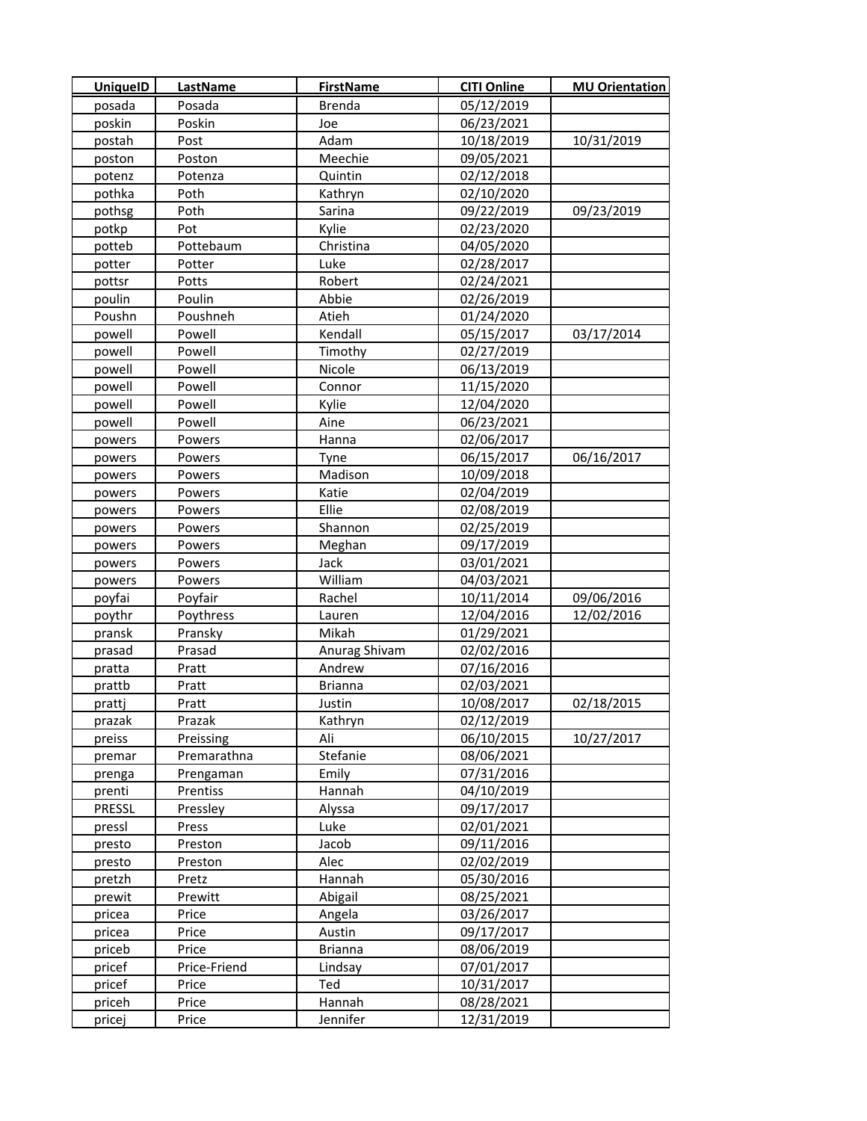| <b>UniquelD</b> | LastName     | <b>FirstName</b> | <b>CITI Online</b> | <b>MU Orientation</b> |
|-----------------|--------------|------------------|--------------------|-----------------------|
| posada          | Posada       | <b>Brenda</b>    | 05/12/2019         |                       |
| poskin          | Poskin       | Joe              | 06/23/2021         |                       |
| postah          | Post         | Adam             | 10/18/2019         | 10/31/2019            |
| poston          | Poston       | Meechie          | 09/05/2021         |                       |
| potenz          | Potenza      | Quintin          | 02/12/2018         |                       |
| pothka          | Poth         | Kathryn          | 02/10/2020         |                       |
| pothsg          | Poth         | Sarina           | 09/22/2019         | 09/23/2019            |
| potkp           | Pot          | Kylie            | 02/23/2020         |                       |
| potteb          | Pottebaum    | Christina        | 04/05/2020         |                       |
| potter          | Potter       | Luke             | 02/28/2017         |                       |
| pottsr          | Potts        | Robert           | 02/24/2021         |                       |
| poulin          | Poulin       | Abbie            | 02/26/2019         |                       |
| Poushn          | Poushneh     | Atieh            | 01/24/2020         |                       |
| powell          | Powell       | Kendall          | 05/15/2017         | 03/17/2014            |
| powell          | Powell       | Timothy          | 02/27/2019         |                       |
| powell          | Powell       | Nicole           | 06/13/2019         |                       |
| powell          | Powell       | Connor           | 11/15/2020         |                       |
| powell          | Powell       | Kylie            | 12/04/2020         |                       |
| powell          | Powell       | Aine             | 06/23/2021         |                       |
| powers          | Powers       | Hanna            | 02/06/2017         |                       |
| powers          | Powers       | Tyne             | 06/15/2017         | 06/16/2017            |
| powers          | Powers       | Madison          | 10/09/2018         |                       |
| powers          | Powers       | Katie            | 02/04/2019         |                       |
| powers          | Powers       | Ellie            | 02/08/2019         |                       |
| powers          | Powers       | Shannon          | 02/25/2019         |                       |
| powers          | Powers       | Meghan           | 09/17/2019         |                       |
| powers          | Powers       | Jack             | 03/01/2021         |                       |
| powers          | Powers       | William          | 04/03/2021         |                       |
| poyfai          | Poyfair      | Rachel           | 10/11/2014         | 09/06/2016            |
| poythr          | Poythress    | Lauren           | 12/04/2016         | 12/02/2016            |
| pransk          | Pransky      | Mikah            | 01/29/2021         |                       |
| prasad          | Prasad       | Anurag Shivam    | 02/02/2016         |                       |
| pratta          | Pratt        | Andrew           | 07/16/2016         |                       |
| prattb          | Pratt        | <b>Brianna</b>   | 02/03/2021         |                       |
| prattj          | Pratt        | Justin           | 10/08/2017         | 02/18/2015            |
| prazak          | Prazak       | Kathryn          | 02/12/2019         |                       |
| preiss          | Preissing    | Ali              | 06/10/2015         | 10/27/2017            |
| premar          | Premarathna  | Stefanie         | 08/06/2021         |                       |
| prenga          | Prengaman    | Emily            | 07/31/2016         |                       |
| prenti          | Prentiss     | Hannah           | 04/10/2019         |                       |
| PRESSL          | Pressley     | Alyssa           | 09/17/2017         |                       |
| pressl          | Press        | Luke             | 02/01/2021         |                       |
| presto          | Preston      | Jacob            | 09/11/2016         |                       |
| presto          | Preston      | Alec             | 02/02/2019         |                       |
| pretzh          | Pretz        | Hannah           | 05/30/2016         |                       |
| prewit          | Prewitt      | Abigail          | 08/25/2021         |                       |
| pricea          | Price        | Angela           | 03/26/2017         |                       |
| pricea          | Price        | Austin           | 09/17/2017         |                       |
| priceb          | Price        | <b>Brianna</b>   | 08/06/2019         |                       |
| pricef          | Price-Friend | Lindsay          | 07/01/2017         |                       |
| pricef          | Price        | Ted              | 10/31/2017         |                       |
| priceh          | Price        | Hannah           | 08/28/2021         |                       |
| pricej          | Price        | Jennifer         | 12/31/2019         |                       |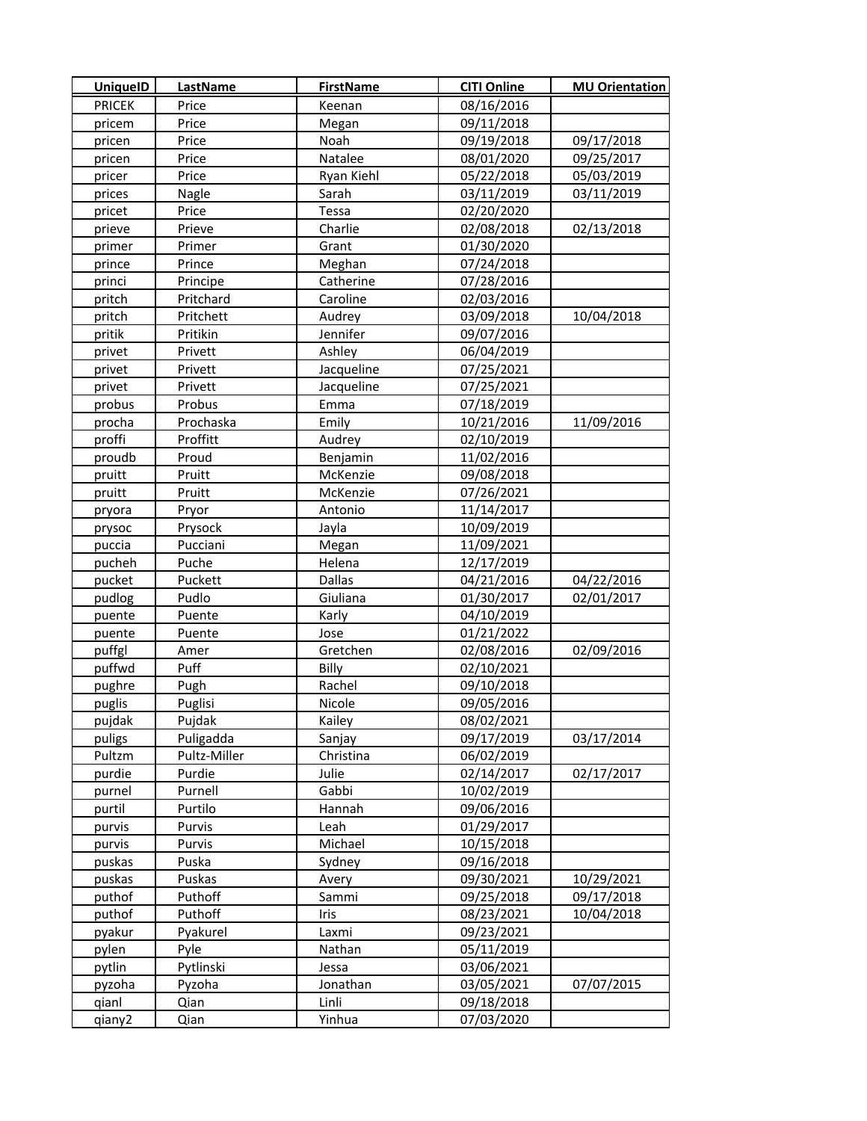| <b>UniquelD</b>  | <b>LastName</b>   | <b>FirstName</b> | <b>CITI Online</b> | <b>MU Orientation</b> |
|------------------|-------------------|------------------|--------------------|-----------------------|
| <b>PRICEK</b>    | Price             | Keenan           | 08/16/2016         |                       |
| pricem           | Price             | Megan            | 09/11/2018         |                       |
| pricen           | Price             | Noah             | 09/19/2018         | 09/17/2018            |
| pricen           | Price             | Natalee          | 08/01/2020         | 09/25/2017            |
| pricer           | Price             | Ryan Kiehl       | 05/22/2018         | 05/03/2019            |
| prices           | Nagle             | Sarah            | 03/11/2019         | 03/11/2019            |
| pricet           | Price             | Tessa            | 02/20/2020         |                       |
| prieve           | Prieve            | Charlie          | 02/08/2018         | 02/13/2018            |
| primer           | Primer            | Grant            | 01/30/2020         |                       |
| prince           | Prince            | Meghan           | 07/24/2018         |                       |
| princi           | Principe          | Catherine        | 07/28/2016         |                       |
| pritch           | Pritchard         | Caroline         | 02/03/2016         |                       |
| pritch           | Pritchett         | Audrey           | 03/09/2018         | 10/04/2018            |
| pritik           | Pritikin          | Jennifer         | 09/07/2016         |                       |
| privet           | Privett           | Ashley           | 06/04/2019         |                       |
| privet           | Privett           | Jacqueline       | 07/25/2021         |                       |
| privet           | Privett           | Jacqueline       | 07/25/2021         |                       |
| probus           | Probus            | Emma             | 07/18/2019         |                       |
| procha           | Prochaska         | Emily            | 10/21/2016         | 11/09/2016            |
| proffi           | Proffitt          | Audrey           | 02/10/2019         |                       |
| proudb           | Proud             | Benjamin         | 11/02/2016         |                       |
| pruitt           | Pruitt            | McKenzie         | 09/08/2018         |                       |
| pruitt           | Pruitt            | McKenzie         | 07/26/2021         |                       |
| pryora           | Pryor             | Antonio          | 11/14/2017         |                       |
| prysoc           | Prysock           | Jayla            | 10/09/2019         |                       |
| puccia           | Pucciani          | Megan            | 11/09/2021         |                       |
| pucheh           | Puche             | Helena           | 12/17/2019         |                       |
| pucket           | Puckett           | Dallas           | 04/21/2016         | 04/22/2016            |
| pudlog           | Pudlo             | Giuliana         | 01/30/2017         | 02/01/2017            |
| puente           | Puente            | Karly            | 04/10/2019         |                       |
| puente           | Puente            | Jose             | 01/21/2022         |                       |
| puffgl           | Amer              | Gretchen         | 02/08/2016         | 02/09/2016            |
| puffwd           | Puff              | Billy            | 02/10/2021         |                       |
| pughre           | Pugh              | Rachel           | 09/10/2018         |                       |
| puglis           | Puglisi           | Nicole           | 09/05/2016         |                       |
| pujdak           | Pujdak            | Kailey           | 08/02/2021         |                       |
| puligs           | Puligadda         | Sanjay           | 09/17/2019         | 03/17/2014            |
| Pultzm           | Pultz-Miller      | Christina        | 06/02/2019         |                       |
| purdie           | Purdie            | Julie            | 02/14/2017         | 02/17/2017            |
| purnel           | Purnell           | Gabbi            | 10/02/2019         |                       |
| purtil           | Purtilo           | Hannah           | 09/06/2016         |                       |
| purvis           | Purvis            | Leah             | 01/29/2017         |                       |
| purvis           | Purvis            | Michael          | 10/15/2018         |                       |
| puskas           | Puska             | Sydney           | 09/16/2018         |                       |
|                  |                   |                  | 09/30/2021         | 10/29/2021            |
| puskas<br>puthof | Puskas<br>Puthoff | Avery<br>Sammi   | 09/25/2018         | 09/17/2018            |
| puthof           | Puthoff           | Iris             | 08/23/2021         | 10/04/2018            |
| pyakur           | Pyakurel          | Laxmi            | 09/23/2021         |                       |
| pylen            | Pyle              | Nathan           | 05/11/2019         |                       |
| pytlin           | Pytlinski         | Jessa            | 03/06/2021         |                       |
| pyzoha           | Pyzoha            | Jonathan         | 03/05/2021         | 07/07/2015            |
| qianl            | Qian              | Linli            | 09/18/2018         |                       |
| qiany2           | Qian              | Yinhua           | 07/03/2020         |                       |
|                  |                   |                  |                    |                       |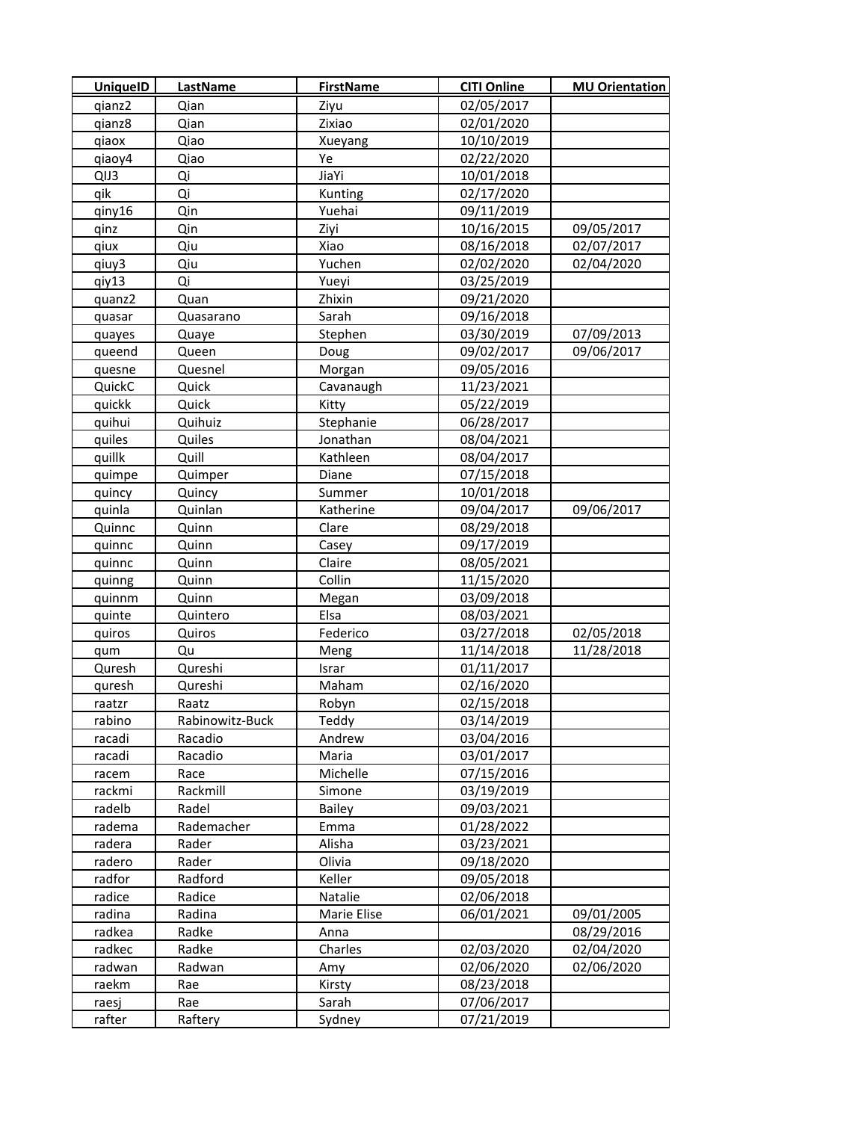| <b>UniquelD</b> | <b>LastName</b> | <b>FirstName</b> | <b>CITI Online</b> | <b>MU Orientation</b> |
|-----------------|-----------------|------------------|--------------------|-----------------------|
| qianz2          | Qian            | Ziyu             | 02/05/2017         |                       |
| gianz8          | Qian            | Zixiao           | 02/01/2020         |                       |
| qiaox           | Qiao            | Xueyang          | 10/10/2019         |                       |
| qiaoy4          | Qiao            | Ye               | 02/22/2020         |                       |
| QIJ3            | Qi              | JiaYi            | 10/01/2018         |                       |
| qik             | Qi              | Kunting          | 02/17/2020         |                       |
| qiny16          | Qin             | Yuehai           | 09/11/2019         |                       |
| qinz            | Qin             | Ziyi             | 10/16/2015         | 09/05/2017            |
| qiux            | Qiu             | Xiao             | 08/16/2018         | 02/07/2017            |
| qiuy3           | Qiu             | Yuchen           | 02/02/2020         | 02/04/2020            |
| qiy13           | Qi              | Yueyi            | 03/25/2019         |                       |
| quanz2          | Quan            | Zhixin           | 09/21/2020         |                       |
| quasar          | Quasarano       | Sarah            | 09/16/2018         |                       |
| quayes          | Quaye           | Stephen          | 03/30/2019         | 07/09/2013            |
| queend          | Queen           | Doug             | 09/02/2017         | 09/06/2017            |
| quesne          | Quesnel         | Morgan           | 09/05/2016         |                       |
| QuickC          | Quick           | Cavanaugh        | 11/23/2021         |                       |
| quickk          | Quick           | Kitty            | 05/22/2019         |                       |
| quihui          | Quihuiz         | Stephanie        | 06/28/2017         |                       |
| quiles          | Quiles          | Jonathan         | 08/04/2021         |                       |
| quillk          | Quill           | Kathleen         | 08/04/2017         |                       |
| quimpe          | Quimper         | Diane            | 07/15/2018         |                       |
| quincy          | Quincy          | Summer           | 10/01/2018         |                       |
| quinla          | Quinlan         | Katherine        | 09/04/2017         | 09/06/2017            |
| Quinnc          | Quinn           | Clare            | 08/29/2018         |                       |
| quinnc          | Quinn           | Casey            | 09/17/2019         |                       |
| quinnc          | Quinn           | Claire           | 08/05/2021         |                       |
| quinng          | Quinn           | Collin           | 11/15/2020         |                       |
| quinnm          | Quinn           | Megan            | 03/09/2018         |                       |
| quinte          | Quintero        | Elsa             | 08/03/2021         |                       |
| quiros          | Quiros          | Federico         | 03/27/2018         | 02/05/2018            |
| qum             | Qu              | Meng             | 11/14/2018         | 11/28/2018            |
| Quresh          | Qureshi         | Israr            | 01/11/2017         |                       |
| quresh          | Qureshi         | Maham            | 02/16/2020         |                       |
| raatzr          | Raatz           | Robyn            | 02/15/2018         |                       |
| rabino          | Rabinowitz-Buck | Teddy            | 03/14/2019         |                       |
| racadi          | Racadio         | Andrew           | 03/04/2016         |                       |
| racadi          | Racadio         | Maria            | 03/01/2017         |                       |
| racem           | Race            | Michelle         | 07/15/2016         |                       |
| rackmi          | Rackmill        | Simone           | 03/19/2019         |                       |
| radelb          | Radel           | Bailey           | 09/03/2021         |                       |
| radema          | Rademacher      | Emma             | 01/28/2022         |                       |
| radera          | Rader           | Alisha           | 03/23/2021         |                       |
| radero          | Rader           | Olivia           | 09/18/2020         |                       |
| radfor          | Radford         | Keller           | 09/05/2018         |                       |
| radice          | Radice          | Natalie          | 02/06/2018         |                       |
| radina          | Radina          | Marie Elise      | 06/01/2021         | 09/01/2005            |
| radkea          | Radke           | Anna             |                    | 08/29/2016            |
| radkec          | Radke           | Charles          | 02/03/2020         | 02/04/2020            |
| radwan          | Radwan          | Amy              | 02/06/2020         | 02/06/2020            |
| raekm           | Rae             | Kirsty           | 08/23/2018         |                       |
| raesj           | Rae             | Sarah            | 07/06/2017         |                       |
| rafter          | Raftery         | Sydney           | 07/21/2019         |                       |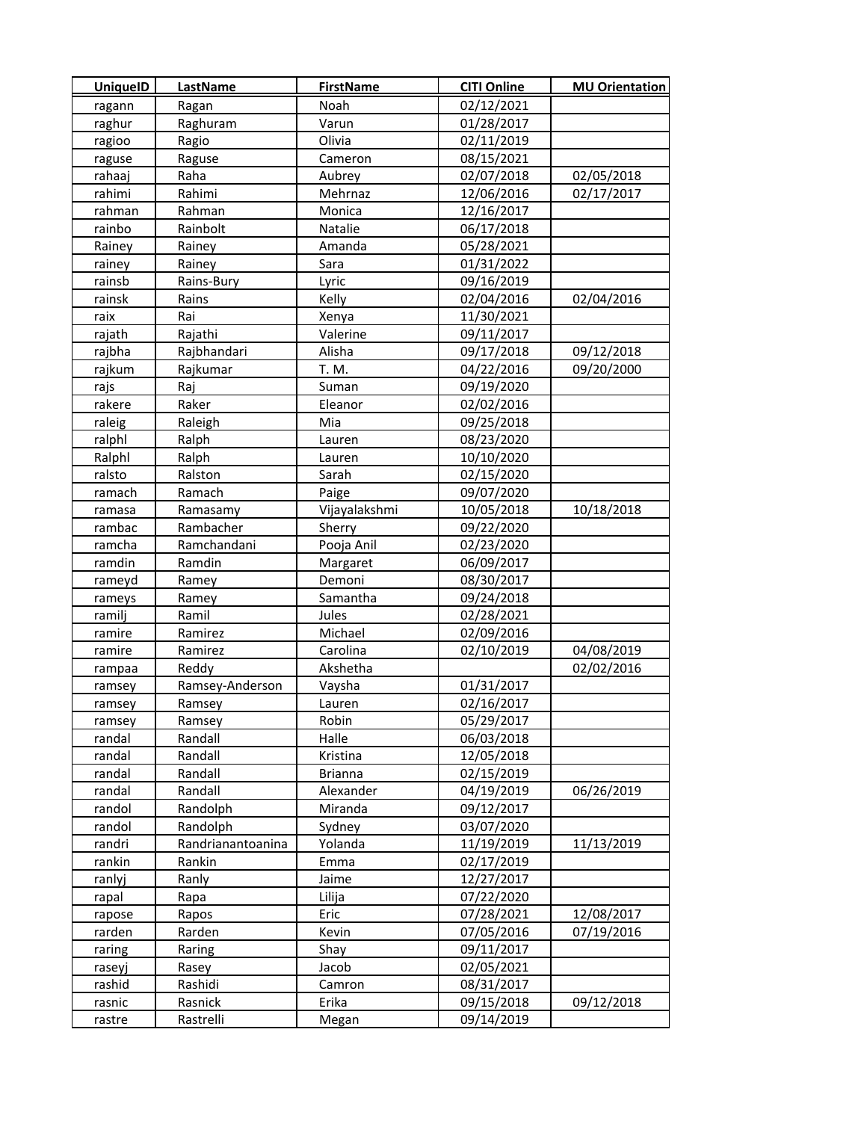| <b>UniquelD</b> | <b>LastName</b>   | <b>FirstName</b> | <b>CITI Online</b> | <b>MU Orientation</b> |
|-----------------|-------------------|------------------|--------------------|-----------------------|
| ragann          | Ragan             | Noah             | 02/12/2021         |                       |
| raghur          | Raghuram          | Varun            | 01/28/2017         |                       |
| ragioo          | Ragio             | Olivia           | 02/11/2019         |                       |
| raguse          | Raguse            | Cameron          | 08/15/2021         |                       |
| rahaaj          | Raha              | Aubrey           | 02/07/2018         | 02/05/2018            |
| rahimi          | Rahimi            | Mehrnaz          | 12/06/2016         | 02/17/2017            |
| rahman          | Rahman            | Monica           | 12/16/2017         |                       |
| rainbo          | Rainbolt          | Natalie          | 06/17/2018         |                       |
| Rainey          | Rainey            | Amanda           | 05/28/2021         |                       |
| rainey          | Rainey            | Sara             | 01/31/2022         |                       |
| rainsb          | Rains-Bury        | Lyric            | 09/16/2019         |                       |
| rainsk          | Rains             | Kelly            | 02/04/2016         | 02/04/2016            |
| raix            | Rai               | Xenya            | 11/30/2021         |                       |
| rajath          | Rajathi           | Valerine         | 09/11/2017         |                       |
| rajbha          | Rajbhandari       | Alisha           | 09/17/2018         | 09/12/2018            |
| rajkum          | Rajkumar          | T. M.            | 04/22/2016         | 09/20/2000            |
| rajs            | Raj               | Suman            | 09/19/2020         |                       |
| rakere          | Raker             | Eleanor          | 02/02/2016         |                       |
| raleig          | Raleigh           | Mia              | 09/25/2018         |                       |
| ralphl          | Ralph             | Lauren           | 08/23/2020         |                       |
| Ralphl          | Ralph             | Lauren           | 10/10/2020         |                       |
| ralsto          | Ralston           | Sarah            | 02/15/2020         |                       |
| ramach          | Ramach            | Paige            | 09/07/2020         |                       |
| ramasa          | Ramasamy          | Vijayalakshmi    | 10/05/2018         | 10/18/2018            |
| rambac          | Rambacher         | Sherry           | 09/22/2020         |                       |
| ramcha          | Ramchandani       | Pooja Anil       | 02/23/2020         |                       |
| ramdin          | Ramdin            | Margaret         | 06/09/2017         |                       |
| rameyd          | Ramey             | Demoni           | 08/30/2017         |                       |
| rameys          | Ramey             | Samantha         | 09/24/2018         |                       |
| ramilj          | Ramil             | Jules            | 02/28/2021         |                       |
| ramire          | Ramirez           | Michael          | 02/09/2016         |                       |
| ramire          | Ramirez           | Carolina         | 02/10/2019         | 04/08/2019            |
| rampaa          | Reddy             | Akshetha         |                    | 02/02/2016            |
| ramsey          | Ramsey-Anderson   | Vaysha           | 01/31/2017         |                       |
| ramsey          | Ramsey            | Lauren           | 02/16/2017         |                       |
| ramsey          | Ramsey            | Robin            | 05/29/2017         |                       |
| randal          | Randall           | Halle            | 06/03/2018         |                       |
| randal          | Randall           | Kristina         | 12/05/2018         |                       |
| randal          | Randall           | <b>Brianna</b>   | 02/15/2019         |                       |
| randal          | Randall           | Alexander        | 04/19/2019         | 06/26/2019            |
| randol          | Randolph          | Miranda          | 09/12/2017         |                       |
| randol          | Randolph          | Sydney           | 03/07/2020         |                       |
| randri          | Randrianantoanina | Yolanda          | 11/19/2019         | 11/13/2019            |
| rankin          | Rankin            | Emma             | 02/17/2019         |                       |
| ranlyj          | Ranly             | Jaime            | 12/27/2017         |                       |
| rapal           | Rapa              | Lilija           | 07/22/2020         |                       |
| rapose          | Rapos             | Eric             | 07/28/2021         | 12/08/2017            |
| rarden          | Rarden            | Kevin            | 07/05/2016         | 07/19/2016            |
| raring          | Raring            | Shay             | 09/11/2017         |                       |
| raseyj          | Rasey             | Jacob            | 02/05/2021         |                       |
| rashid          | Rashidi           | Camron           | 08/31/2017         |                       |
| rasnic          | Rasnick           | Erika            | 09/15/2018         | 09/12/2018            |
| rastre          | Rastrelli         | Megan            | 09/14/2019         |                       |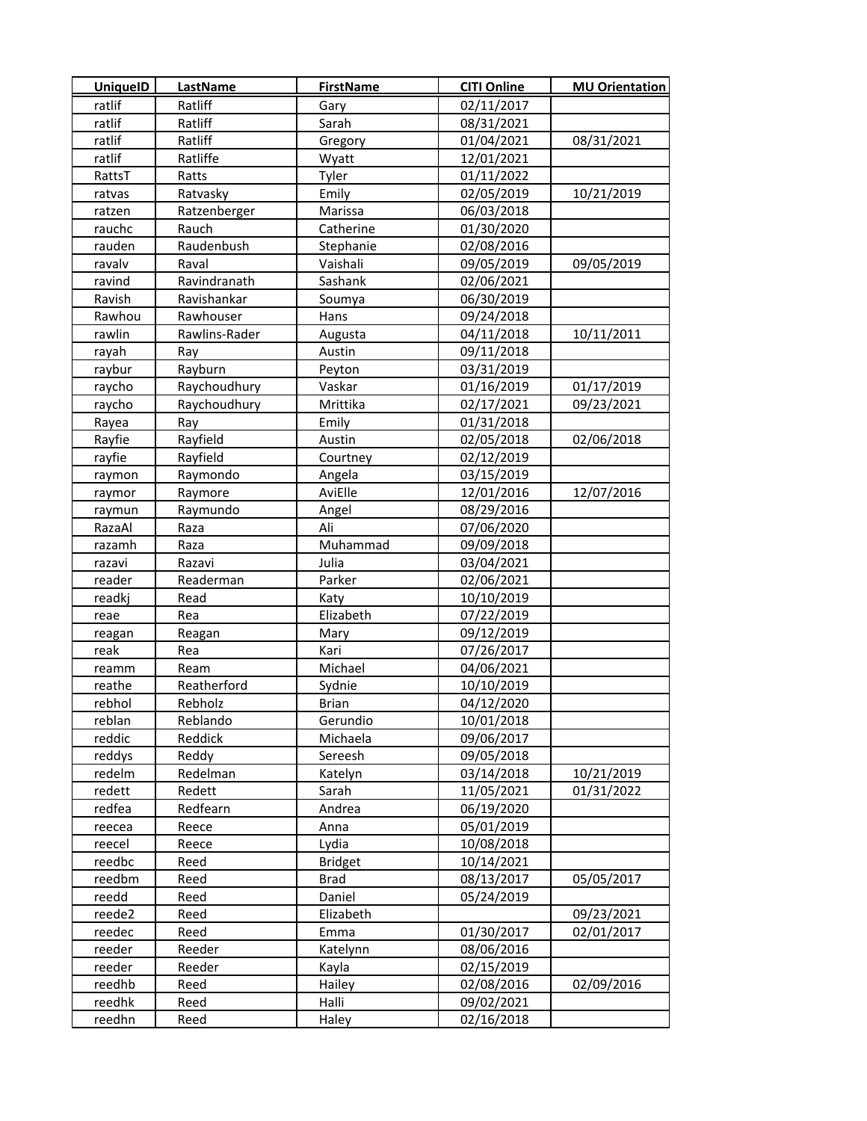| <b>UniquelD</b> | <b>LastName</b> | <b>FirstName</b> | <b>CITI Online</b> | <b>MU Orientation</b> |
|-----------------|-----------------|------------------|--------------------|-----------------------|
| ratlif          | Ratliff         | Gary             | 02/11/2017         |                       |
| ratlif          | Ratliff         | Sarah            | 08/31/2021         |                       |
| ratlif          | Ratliff         | Gregory          | 01/04/2021         | 08/31/2021            |
| ratlif          | Ratliffe        | Wyatt            | 12/01/2021         |                       |
| RattsT          | Ratts           | Tyler            | 01/11/2022         |                       |
| ratvas          | Ratvasky        | Emily            | 02/05/2019         | 10/21/2019            |
| ratzen          | Ratzenberger    | Marissa          | 06/03/2018         |                       |
| rauchc          | Rauch           | Catherine        | 01/30/2020         |                       |
| rauden          | Raudenbush      | Stephanie        | 02/08/2016         |                       |
| ravalv          | Raval           | Vaishali         | 09/05/2019         | 09/05/2019            |
| ravind          | Ravindranath    | Sashank          | 02/06/2021         |                       |
| Ravish          | Ravishankar     | Soumya           | 06/30/2019         |                       |
| Rawhou          | Rawhouser       | Hans             | 09/24/2018         |                       |
| rawlin          | Rawlins-Rader   | Augusta          | 04/11/2018         | 10/11/2011            |
| rayah           | Ray             | Austin           | 09/11/2018         |                       |
| raybur          | Rayburn         | Peyton           | 03/31/2019         |                       |
| raycho          | Raychoudhury    | Vaskar           | 01/16/2019         | 01/17/2019            |
| raycho          | Raychoudhury    | Mrittika         | 02/17/2021         | 09/23/2021            |
| Rayea           | Ray             | Emily            | 01/31/2018         |                       |
| Rayfie          | Rayfield        | Austin           | 02/05/2018         | 02/06/2018            |
| rayfie          | Rayfield        | Courtney         | 02/12/2019         |                       |
| raymon          | Raymondo        | Angela           | 03/15/2019         |                       |
| raymor          | Raymore         | AviElle          | 12/01/2016         | 12/07/2016            |
| raymun          | Raymundo        | Angel            | 08/29/2016         |                       |
| RazaAl          | Raza            | Ali              | 07/06/2020         |                       |
| razamh          | Raza            | Muhammad         | 09/09/2018         |                       |
| razavi          | Razavi          | Julia            | 03/04/2021         |                       |
| reader          | Readerman       | Parker           | 02/06/2021         |                       |
| readkj          | Read            | Katy             | 10/10/2019         |                       |
| reae            | Rea             | Elizabeth        | 07/22/2019         |                       |
| reagan          | Reagan          | Mary             | 09/12/2019         |                       |
| reak            | Rea             | Kari             | 07/26/2017         |                       |
| reamm           | Ream            | Michael          | 04/06/2021         |                       |
| reathe          | Reatherford     | Sydnie           | 10/10/2019         |                       |
| rebhol          | Rebholz         | Brian            | 04/12/2020         |                       |
| reblan          | Reblando        | Gerundio         | 10/01/2018         |                       |
| reddic          | Reddick         | Michaela         | 09/06/2017         |                       |
| reddys          | Reddy           | Sereesh          | 09/05/2018         |                       |
| redelm          | Redelman        | Katelyn          | 03/14/2018         | 10/21/2019            |
| redett          | Redett          | Sarah            | 11/05/2021         | 01/31/2022            |
| redfea          | Redfearn        | Andrea           | 06/19/2020         |                       |
| reecea          | Reece           | Anna             | 05/01/2019         |                       |
| reecel          | Reece           | Lydia            | 10/08/2018         |                       |
| reedbc          | Reed            | <b>Bridget</b>   | 10/14/2021         |                       |
| reedbm          | Reed            | <b>Brad</b>      | 08/13/2017         | 05/05/2017            |
| reedd           | Reed            | Daniel           | 05/24/2019         |                       |
| reede2          | Reed            | Elizabeth        |                    | 09/23/2021            |
| reedec          | Reed            | Emma             | 01/30/2017         | 02/01/2017            |
| reeder          | Reeder          | Katelynn         | 08/06/2016         |                       |
| reeder          | Reeder          | Kayla            | 02/15/2019         |                       |
| reedhb          | Reed            | Hailey           | 02/08/2016         | 02/09/2016            |
| reedhk          | Reed            | Halli            | 09/02/2021         |                       |
| reedhn          | Reed            | Haley            | 02/16/2018         |                       |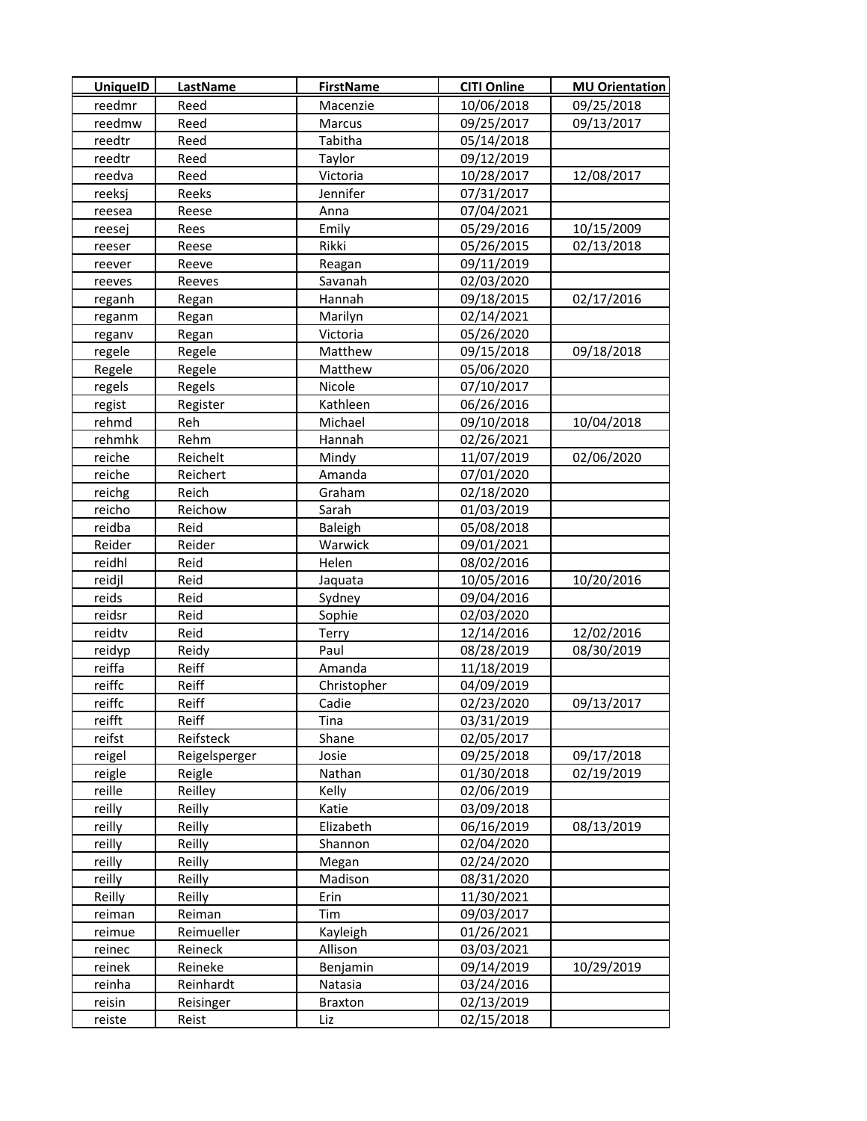| <b>UniquelD</b> | <b>LastName</b> | <b>FirstName</b> | <b>CITI Online</b> | <b>MU Orientation</b> |
|-----------------|-----------------|------------------|--------------------|-----------------------|
| reedmr          | Reed            | Macenzie         | 10/06/2018         | 09/25/2018            |
| reedmw          | Reed            | Marcus           | 09/25/2017         | 09/13/2017            |
| reedtr          | Reed            | Tabitha          | 05/14/2018         |                       |
| reedtr          | Reed            | Taylor           | 09/12/2019         |                       |
| reedva          | Reed            | Victoria         | 10/28/2017         | 12/08/2017            |
| reeksj          | Reeks           | Jennifer         | 07/31/2017         |                       |
| reesea          | Reese           | Anna             | 07/04/2021         |                       |
| reesej          | Rees            | Emily            | 05/29/2016         | 10/15/2009            |
| reeser          | Reese           | Rikki            | 05/26/2015         | 02/13/2018            |
| reever          | Reeve           | Reagan           | 09/11/2019         |                       |
| reeves          | Reeves          | Savanah          | 02/03/2020         |                       |
| reganh          | Regan           | Hannah           | 09/18/2015         | 02/17/2016            |
| reganm          | Regan           | Marilyn          | 02/14/2021         |                       |
| reganv          | Regan           | Victoria         | 05/26/2020         |                       |
| regele          | Regele          | Matthew          | 09/15/2018         | 09/18/2018            |
| Regele          | Regele          | Matthew          | 05/06/2020         |                       |
| regels          | Regels          | Nicole           | 07/10/2017         |                       |
| regist          | Register        | Kathleen         | 06/26/2016         |                       |
| rehmd           | Reh             | Michael          | 09/10/2018         | 10/04/2018            |
| rehmhk          | Rehm            | Hannah           | 02/26/2021         |                       |
| reiche          | Reichelt        | Mindy            | 11/07/2019         | 02/06/2020            |
| reiche          | Reichert        | Amanda           | 07/01/2020         |                       |
| reichg          | Reich           | Graham           | 02/18/2020         |                       |
| reicho          | Reichow         | Sarah            | 01/03/2019         |                       |
| reidba          | Reid            | <b>Baleigh</b>   | 05/08/2018         |                       |
| Reider          | Reider          | Warwick          | 09/01/2021         |                       |
| reidhl          | Reid            | Helen            | 08/02/2016         |                       |
| reidjl          | Reid            | Jaquata          | 10/05/2016         | 10/20/2016            |
| reids           | Reid            | Sydney           | 09/04/2016         |                       |
| reidsr          | Reid            | Sophie           | 02/03/2020         |                       |
| reidtv          | Reid            | Terry            | 12/14/2016         | 12/02/2016            |
| reidyp          | Reidy           | Paul             | 08/28/2019         | 08/30/2019            |
| reiffa          | Reiff           | Amanda           | 11/18/2019         |                       |
| reiffc          | Reiff           | Christopher      | 04/09/2019         |                       |
| reiffc          | Reiff           | Cadie            | 02/23/2020         | 09/13/2017            |
| reifft          | Reiff           | Tina             | 03/31/2019         |                       |
| reifst          | Reifsteck       | Shane            | 02/05/2017         |                       |
| reigel          | Reigelsperger   | Josie            | 09/25/2018         | 09/17/2018            |
| reigle          | Reigle          | Nathan           | 01/30/2018         | 02/19/2019            |
| reille          | Reilley         | Kelly            | 02/06/2019         |                       |
| reilly          | Reilly          | Katie            | 03/09/2018         |                       |
| reilly          | Reilly          | Elizabeth        | 06/16/2019         | 08/13/2019            |
| reilly          | Reilly          | Shannon          | 02/04/2020         |                       |
| reilly          | Reilly          | Megan            | 02/24/2020         |                       |
| reilly          | Reilly          | Madison          | 08/31/2020         |                       |
| Reilly          | Reilly          | Erin             | 11/30/2021         |                       |
| reiman          | Reiman          | Tim              | 09/03/2017         |                       |
| reimue          | Reimueller      | Kayleigh         | 01/26/2021         |                       |
| reinec          | Reineck         | Allison          | 03/03/2021         |                       |
| reinek          | Reineke         | Benjamin         | 09/14/2019         | 10/29/2019            |
| reinha          | Reinhardt       | Natasia          | 03/24/2016         |                       |
| reisin          | Reisinger       | <b>Braxton</b>   | 02/13/2019         |                       |
| reiste          | Reist           | Liz              | 02/15/2018         |                       |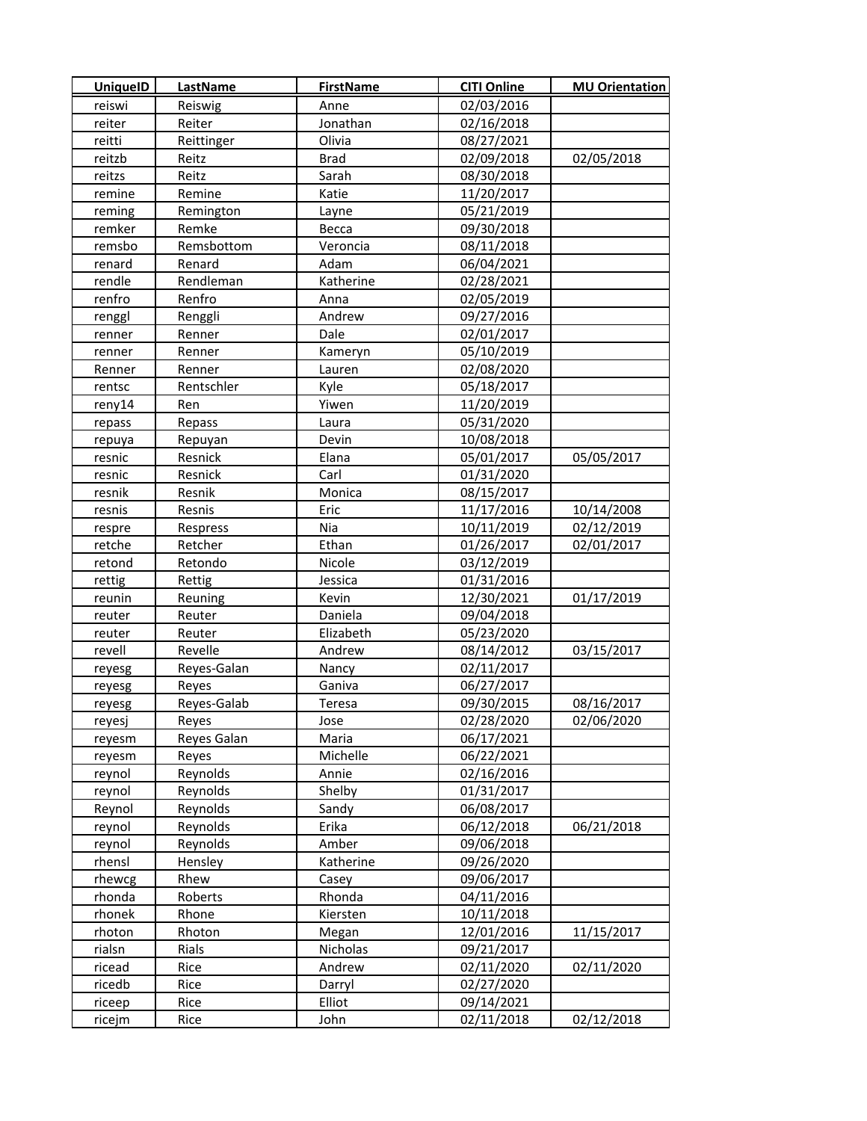| <b>UniquelD</b> | <b>LastName</b> | <b>FirstName</b> | <b>CITI Online</b> | <b>MU Orientation</b> |
|-----------------|-----------------|------------------|--------------------|-----------------------|
| reiswi          | Reiswig         | Anne             | 02/03/2016         |                       |
| reiter          | Reiter          | Jonathan         | 02/16/2018         |                       |
| reitti          | Reittinger      | Olivia           | 08/27/2021         |                       |
| reitzb          | Reitz           | <b>Brad</b>      | 02/09/2018         | 02/05/2018            |
| reitzs          | Reitz           | Sarah            | 08/30/2018         |                       |
| remine          | Remine          | Katie            | 11/20/2017         |                       |
| reming          | Remington       | <b>Layne</b>     | 05/21/2019         |                       |
| remker          | Remke           | Becca            | 09/30/2018         |                       |
| remsbo          | Remsbottom      | Veroncia         | 08/11/2018         |                       |
| renard          | Renard          | Adam             | 06/04/2021         |                       |
| rendle          | Rendleman       | Katherine        | 02/28/2021         |                       |
| renfro          | Renfro          | Anna             | 02/05/2019         |                       |
| renggl          | Renggli         | Andrew           | 09/27/2016         |                       |
| renner          | Renner          | Dale             | 02/01/2017         |                       |
| renner          | Renner          | Kameryn          | 05/10/2019         |                       |
| Renner          | Renner          | Lauren           | 02/08/2020         |                       |
| rentsc          | Rentschler      | Kyle             | 05/18/2017         |                       |
| reny14          | Ren             | Yiwen            | 11/20/2019         |                       |
| repass          | Repass          | Laura            | 05/31/2020         |                       |
| repuya          | Repuyan         | Devin            | 10/08/2018         |                       |
| resnic          | Resnick         | Elana            | 05/01/2017         | 05/05/2017            |
| resnic          | Resnick         | Carl             | 01/31/2020         |                       |
| resnik          | Resnik          | Monica           | 08/15/2017         |                       |
| resnis          | Resnis          | Eric             | 11/17/2016         | 10/14/2008            |
| respre          | Respress        | Nia              | 10/11/2019         | 02/12/2019            |
| retche          | Retcher         | Ethan            | 01/26/2017         | 02/01/2017            |
| retond          | Retondo         | Nicole           | 03/12/2019         |                       |
| rettig          | Rettig          | Jessica          | 01/31/2016         |                       |
| reunin          | Reuning         | Kevin            | 12/30/2021         | 01/17/2019            |
| reuter          | Reuter          | Daniela          | 09/04/2018         |                       |
| reuter          | Reuter          | Elizabeth        | 05/23/2020         |                       |
| revell          | Revelle         | Andrew           | 08/14/2012         | 03/15/2017            |
| reyesg          | Reyes-Galan     | Nancy            | 02/11/2017         |                       |
| reyesg          | Reyes           | Ganiva           | 06/27/2017         |                       |
| reyesg          | Reyes-Galab     | Teresa           | 09/30/2015         | 08/16/2017            |
| reyesj          | Reyes           | Jose             | 02/28/2020         | 02/06/2020            |
| reyesm          | Reyes Galan     | Maria            | 06/17/2021         |                       |
| reyesm          | Reyes           | Michelle         | 06/22/2021         |                       |
| reynol          | Reynolds        | Annie            | 02/16/2016         |                       |
| reynol          | Reynolds        | Shelby           | 01/31/2017         |                       |
| Reynol          | Reynolds        | Sandy            | 06/08/2017         |                       |
| reynol          | Reynolds        | Erika            | 06/12/2018         | 06/21/2018            |
| reynol          | Reynolds        | Amber            | 09/06/2018         |                       |
| rhensl          | Hensley         | Katherine        | 09/26/2020         |                       |
| rhewcg          | Rhew            | Casey            | 09/06/2017         |                       |
| rhonda          | Roberts         | Rhonda           | 04/11/2016         |                       |
| rhonek          | Rhone           | Kiersten         | 10/11/2018         |                       |
| rhoton          | Rhoton          | Megan            | 12/01/2016         | 11/15/2017            |
| rialsn          | Rials           | Nicholas         | 09/21/2017         |                       |
| ricead          | Rice            | Andrew           | 02/11/2020         | 02/11/2020            |
| ricedb          | Rice            | Darryl           | 02/27/2020         |                       |
| riceep          | Rice            | Elliot           | 09/14/2021         |                       |
| ricejm          | Rice            | John             | 02/11/2018         | 02/12/2018            |
|                 |                 |                  |                    |                       |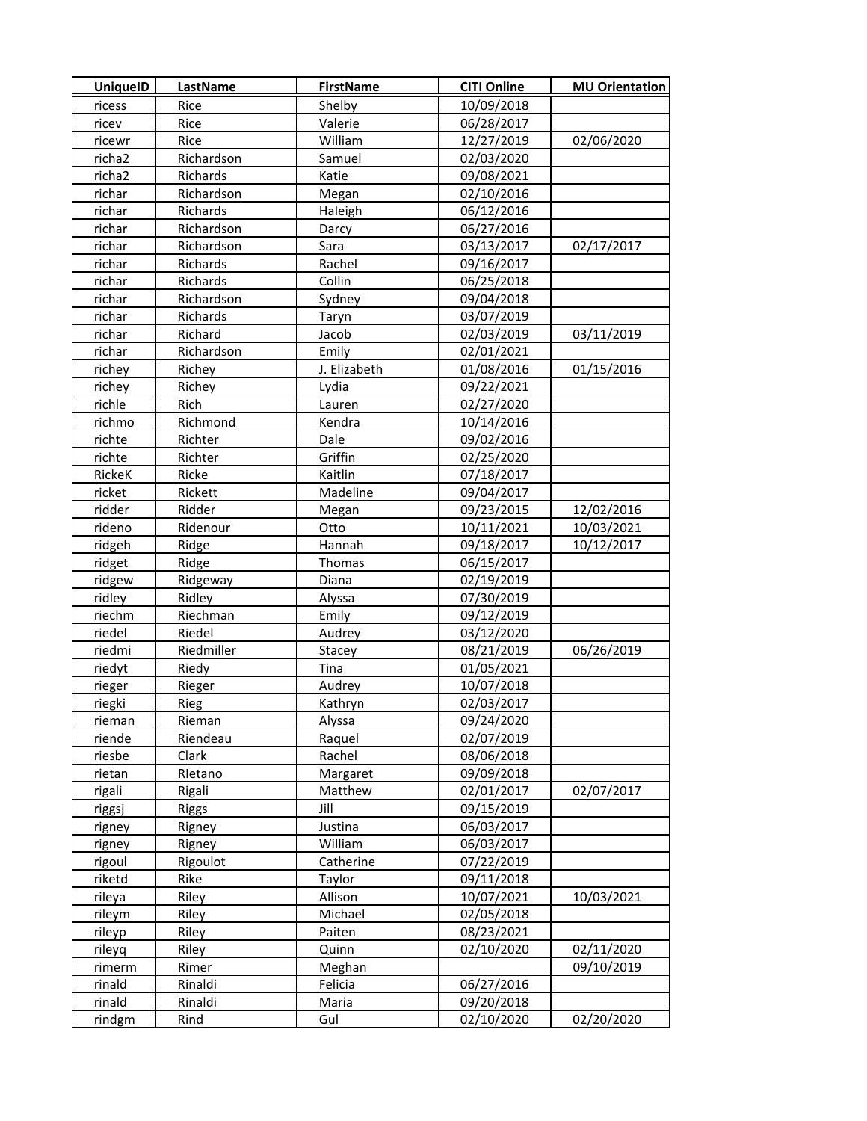| <b>UniquelD</b>    | <b>LastName</b> | <b>FirstName</b> | <b>CITI Online</b> | <b>MU Orientation</b> |
|--------------------|-----------------|------------------|--------------------|-----------------------|
| ricess             | Rice            | Shelby           | 10/09/2018         |                       |
| ricev              | Rice            | Valerie          | 06/28/2017         |                       |
| ricewr             | Rice            | William          | 12/27/2019         | 02/06/2020            |
| richa <sub>2</sub> | Richardson      | Samuel           | 02/03/2020         |                       |
| richa2             | Richards        | Katie            | 09/08/2021         |                       |
| richar             | Richardson      | Megan            | 02/10/2016         |                       |
| richar             | Richards        | Haleigh          | 06/12/2016         |                       |
| richar             | Richardson      | Darcy            | 06/27/2016         |                       |
| richar             | Richardson      | Sara             | 03/13/2017         | 02/17/2017            |
| richar             | Richards        | Rachel           | 09/16/2017         |                       |
| richar             | Richards        | Collin           | 06/25/2018         |                       |
| richar             | Richardson      | Sydney           | 09/04/2018         |                       |
| richar             | Richards        | Taryn            | 03/07/2019         |                       |
| richar             | Richard         | Jacob            | 02/03/2019         | 03/11/2019            |
| richar             | Richardson      | Emily            | 02/01/2021         |                       |
| richey             | Richey          | J. Elizabeth     | 01/08/2016         | 01/15/2016            |
| richey             | Richey          | Lydia            | 09/22/2021         |                       |
| richle             | Rich            | Lauren           | 02/27/2020         |                       |
| richmo             | Richmond        | Kendra           | 10/14/2016         |                       |
| richte             | Richter         | Dale             | 09/02/2016         |                       |
| richte             | Richter         | Griffin          | 02/25/2020         |                       |
| RickeK             | Ricke           | Kaitlin          | 07/18/2017         |                       |
| ricket             | Rickett         | Madeline         | 09/04/2017         |                       |
| ridder             | Ridder          | Megan            | 09/23/2015         | 12/02/2016            |
| rideno             | Ridenour        | Otto             | 10/11/2021         | 10/03/2021            |
| ridgeh             | Ridge           | Hannah           | 09/18/2017         | 10/12/2017            |
| ridget             | Ridge           | Thomas           | 06/15/2017         |                       |
| ridgew             | Ridgeway        | Diana            | 02/19/2019         |                       |
| ridley             | Ridley          | Alyssa           | 07/30/2019         |                       |
| riechm             | Riechman        | Emily            | 09/12/2019         |                       |
| riedel             | Riedel          | Audrey           | 03/12/2020         |                       |
| riedmi             | Riedmiller      | Stacey           | 08/21/2019         | 06/26/2019            |
| riedyt             | Riedy           | Tina             | 01/05/2021         |                       |
| rieger             | Rieger          | Audrey           | 10/07/2018         |                       |
| riegki             | Rieg            | Kathryn          | 02/03/2017         |                       |
| rieman             | Rieman          | Alyssa           | 09/24/2020         |                       |
| riende             | Riendeau        | Raquel           | 02/07/2019         |                       |
| riesbe             | Clark           | Rachel           | 08/06/2018         |                       |
| rietan             | Rletano         | Margaret         | 09/09/2018         |                       |
| rigali             | Rigali          | Matthew          | 02/01/2017         | 02/07/2017            |
| riggsj             | <b>Riggs</b>    | Jill             | 09/15/2019         |                       |
| rigney             | Rigney          | Justina          | 06/03/2017         |                       |
| rigney             | Rigney          | William          | 06/03/2017         |                       |
| rigoul             | Rigoulot        | Catherine        | 07/22/2019         |                       |
| riketd             | Rike            | Taylor           | 09/11/2018         |                       |
| rileya             | Riley           | Allison          | 10/07/2021         | 10/03/2021            |
| rileym             | Riley           | Michael          | 02/05/2018         |                       |
| rileyp             | Riley           | Paiten           | 08/23/2021         |                       |
| rileyq             | Riley           | Quinn            | 02/10/2020         | 02/11/2020            |
| rimerm             | Rimer           | Meghan           |                    | 09/10/2019            |
| rinald             | Rinaldi         | Felicia          | 06/27/2016         |                       |
| rinald             | Rinaldi         | Maria            | 09/20/2018         |                       |
| rindgm             | Rind            | Gul              | 02/10/2020         | 02/20/2020            |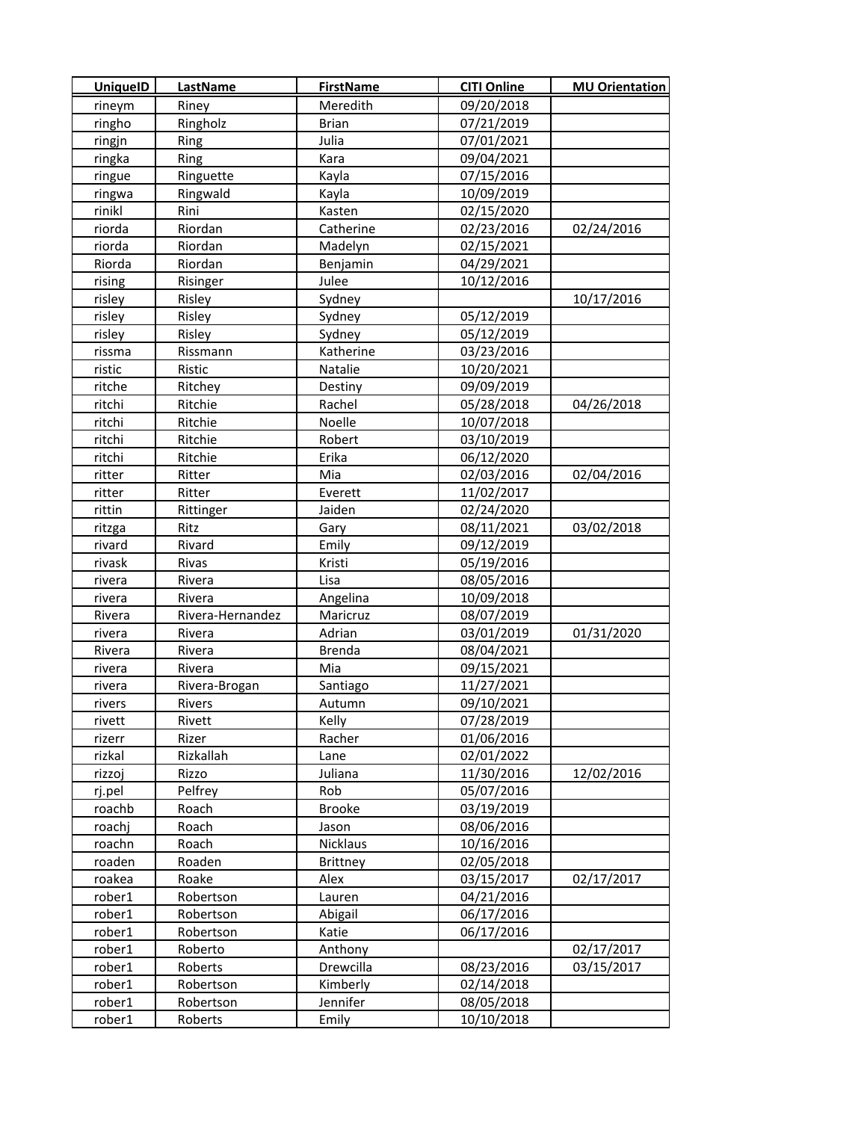| <b>UniquelD</b>  | <b>LastName</b>      | <b>FirstName</b>     | <b>CITI Online</b>       | <b>MU Orientation</b> |
|------------------|----------------------|----------------------|--------------------------|-----------------------|
| rineym           | Riney                | Meredith             | 09/20/2018               |                       |
| ringho           | Ringholz             | <b>Brian</b>         | 07/21/2019               |                       |
| ringjn           | Ring                 | Julia                | 07/01/2021               |                       |
| ringka           | Ring                 | Kara                 | 09/04/2021               |                       |
| ringue           | Ringuette            | Kayla                | 07/15/2016               |                       |
| ringwa           | Ringwald             | Kayla                | 10/09/2019               |                       |
| rinikl           | Rini                 | Kasten               | 02/15/2020               |                       |
| riorda           | Riordan              | Catherine            | 02/23/2016               | 02/24/2016            |
| riorda           | Riordan              | Madelyn              | 02/15/2021               |                       |
| Riorda           | Riordan              | Benjamin             | 04/29/2021               |                       |
| rising           | Risinger             | Julee                | 10/12/2016               |                       |
| risley           | Risley               | Sydney               |                          | 10/17/2016            |
| risley           | Risley               | Sydney               | 05/12/2019               |                       |
| risley           | Risley               | Sydney               | 05/12/2019               |                       |
| rissma           | Rissmann             | Katherine            | 03/23/2016               |                       |
| ristic           | Ristic               | Natalie              | 10/20/2021               |                       |
| ritche           | Ritchey              | Destiny              | 09/09/2019               |                       |
| ritchi           | Ritchie              | Rachel               | 05/28/2018               | 04/26/2018            |
| ritchi           | Ritchie              | Noelle               | 10/07/2018               |                       |
| ritchi           | Ritchie              | Robert               | 03/10/2019               |                       |
| ritchi           | Ritchie              | Erika                | 06/12/2020               |                       |
| ritter           | Ritter               | Mia                  | 02/03/2016               | 02/04/2016            |
| ritter           | Ritter               | Everett              | 11/02/2017               |                       |
| rittin           | Rittinger            | Jaiden               | 02/24/2020               |                       |
| ritzga           | Ritz                 | Gary                 | 08/11/2021               | 03/02/2018            |
| rivard           | Rivard               | Emily                | 09/12/2019               |                       |
| rivask           | Rivas                | Kristi               | 05/19/2016               |                       |
| rivera           | Rivera               | Lisa                 | 08/05/2016               |                       |
| rivera           | Rivera               | Angelina             | 10/09/2018               |                       |
| Rivera           | Rivera-Hernandez     | Maricruz             | 08/07/2019               |                       |
| rivera           | Rivera               | Adrian               | 03/01/2019               | 01/31/2020            |
| Rivera           | Rivera               | <b>Brenda</b>        | 08/04/2021               |                       |
| rivera           | Rivera               | Mia                  | 09/15/2021               |                       |
| rivera           | Rivera-Brogan        | Santiago             | 11/27/2021               |                       |
| rivers           | Rivers               | Autumn               | 09/10/2021               |                       |
| rivett           | Rivett               | Kelly                | 07/28/2019               |                       |
| rizerr           | Rizer                | Racher               | 01/06/2016               |                       |
| rizkal           | Rizkallah            | Lane                 | 02/01/2022               |                       |
| rizzoj           | Rizzo                | Juliana              | 11/30/2016               | 12/02/2016            |
| rj.pel           | Pelfrey              | Rob                  | 05/07/2016               |                       |
| roachb           | Roach                | <b>Brooke</b>        | 03/19/2019               |                       |
| roachj           | Roach                | Jason                | 08/06/2016               |                       |
| roachn           | Roach                | Nicklaus             | 10/16/2016               |                       |
| roaden           | Roaden               | <b>Brittney</b>      | 02/05/2018               |                       |
| roakea           | Roake                | Alex                 | 03/15/2017               | 02/17/2017            |
| rober1           | Robertson            | Lauren               | 04/21/2016               |                       |
| rober1           | Robertson            | Abigail              | 06/17/2016               |                       |
| rober1           | Robertson            | Katie                | 06/17/2016               |                       |
| rober1           | Roberto              | Anthony              |                          | 02/17/2017            |
| rober1           | Roberts<br>Robertson | Drewcilla            | 08/23/2016               | 03/15/2017            |
| rober1<br>rober1 |                      | Kimberly<br>Jennifer | 02/14/2018<br>08/05/2018 |                       |
| rober1           | Robertson<br>Roberts | Emily                | 10/10/2018               |                       |
|                  |                      |                      |                          |                       |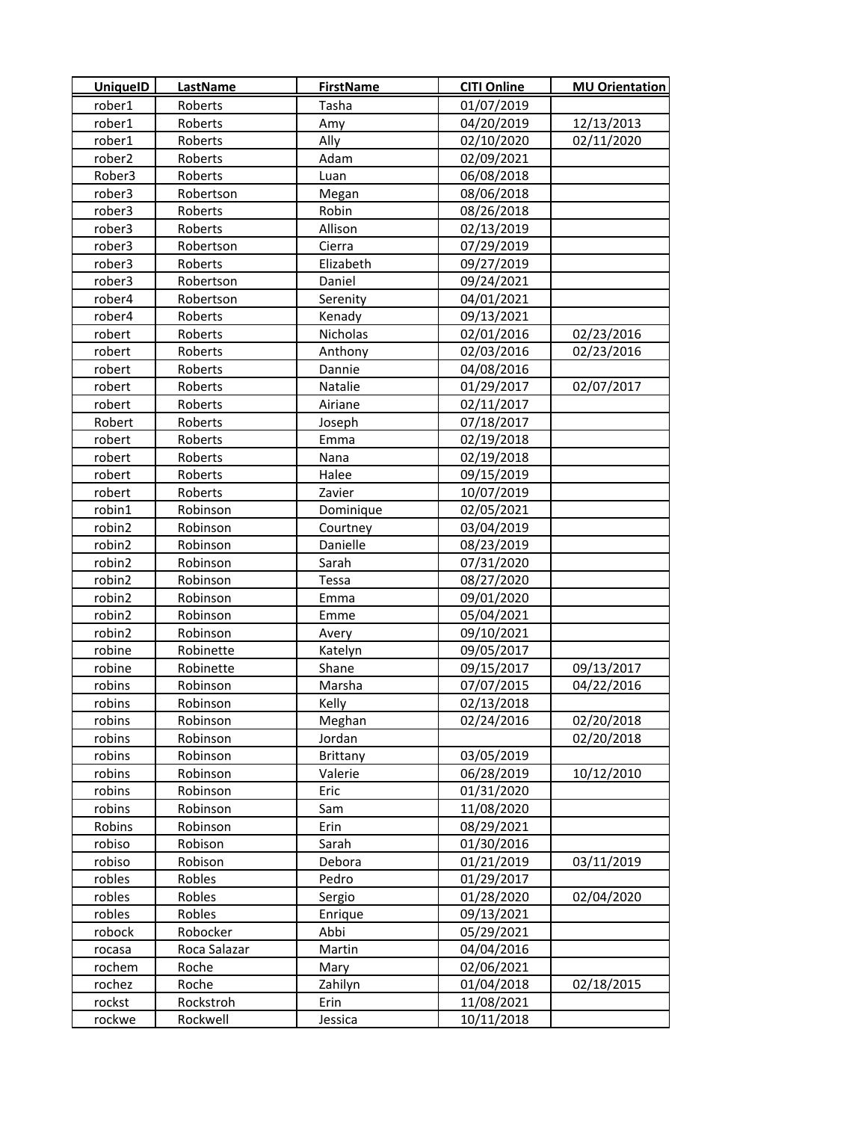| <b>UniquelD</b> | LastName     | <b>FirstName</b> | <b>CITI Online</b> | <b>MU Orientation</b> |
|-----------------|--------------|------------------|--------------------|-----------------------|
| rober1          | Roberts      | Tasha            | 01/07/2019         |                       |
| rober1          | Roberts      | Amy              | 04/20/2019         | 12/13/2013            |
| rober1          | Roberts      | Ally             | 02/10/2020         | 02/11/2020            |
| rober2          | Roberts      | Adam             | 02/09/2021         |                       |
| Rober3          | Roberts      | Luan             | 06/08/2018         |                       |
| rober3          | Robertson    | Megan            | 08/06/2018         |                       |
| rober3          | Roberts      | Robin            | 08/26/2018         |                       |
| rober3          | Roberts      | Allison          | 02/13/2019         |                       |
| rober3          | Robertson    | Cierra           | 07/29/2019         |                       |
| rober3          | Roberts      | Elizabeth        | 09/27/2019         |                       |
| rober3          | Robertson    | Daniel           | 09/24/2021         |                       |
| rober4          | Robertson    | Serenity         | 04/01/2021         |                       |
| rober4          | Roberts      | Kenady           | 09/13/2021         |                       |
| robert          | Roberts      | Nicholas         | 02/01/2016         | 02/23/2016            |
| robert          | Roberts      | Anthony          | 02/03/2016         | 02/23/2016            |
| robert          | Roberts      | Dannie           | 04/08/2016         |                       |
| robert          | Roberts      | Natalie          | 01/29/2017         | 02/07/2017            |
| robert          | Roberts      | Airiane          | 02/11/2017         |                       |
| Robert          | Roberts      | Joseph           | 07/18/2017         |                       |
| robert          | Roberts      | Emma             | 02/19/2018         |                       |
| robert          | Roberts      | Nana             | 02/19/2018         |                       |
| robert          | Roberts      | Halee            | 09/15/2019         |                       |
| robert          | Roberts      | Zavier           | 10/07/2019         |                       |
| robin1          | Robinson     | Dominique        | 02/05/2021         |                       |
| robin2          | Robinson     | Courtney         | 03/04/2019         |                       |
| robin2          | Robinson     | Danielle         | 08/23/2019         |                       |
| robin2          | Robinson     | Sarah            | 07/31/2020         |                       |
| robin2          | Robinson     | Tessa            | 08/27/2020         |                       |
| robin2          | Robinson     | Emma             | 09/01/2020         |                       |
| robin2          | Robinson     | Emme             | 05/04/2021         |                       |
| robin2          | Robinson     | Avery            | 09/10/2021         |                       |
| robine          | Robinette    | Katelyn          | 09/05/2017         |                       |
| robine          | Robinette    | Shane            | 09/15/2017         | 09/13/2017            |
| robins          | Robinson     | Marsha           | 07/07/2015         | 04/22/2016            |
| robins          | Robinson     | Kelly            | 02/13/2018         |                       |
| robins          | Robinson     | Meghan           | 02/24/2016         | 02/20/2018            |
| robins          | Robinson     | Jordan           |                    | 02/20/2018            |
| robins          | Robinson     | <b>Brittany</b>  | 03/05/2019         |                       |
| robins          | Robinson     | Valerie          | 06/28/2019         | 10/12/2010            |
| robins          | Robinson     | Eric             | 01/31/2020         |                       |
| robins          | Robinson     | Sam              | 11/08/2020         |                       |
| Robins          | Robinson     | Erin             | 08/29/2021         |                       |
| robiso          | Robison      | Sarah            | 01/30/2016         |                       |
| robiso          | Robison      | Debora           | 01/21/2019         | 03/11/2019            |
| robles          | Robles       | Pedro            | 01/29/2017         |                       |
| robles          | Robles       | Sergio           | 01/28/2020         | 02/04/2020            |
| robles          | Robles       | Enrique          | 09/13/2021         |                       |
| robock          | Robocker     | Abbi             | 05/29/2021         |                       |
| rocasa          | Roca Salazar | Martin           | 04/04/2016         |                       |
| rochem          | Roche        | Mary             | 02/06/2021         |                       |
| rochez          | Roche        | Zahilyn          | 01/04/2018         | 02/18/2015            |
| rockst          | Rockstroh    | Erin             | 11/08/2021         |                       |
| rockwe          | Rockwell     | Jessica          | 10/11/2018         |                       |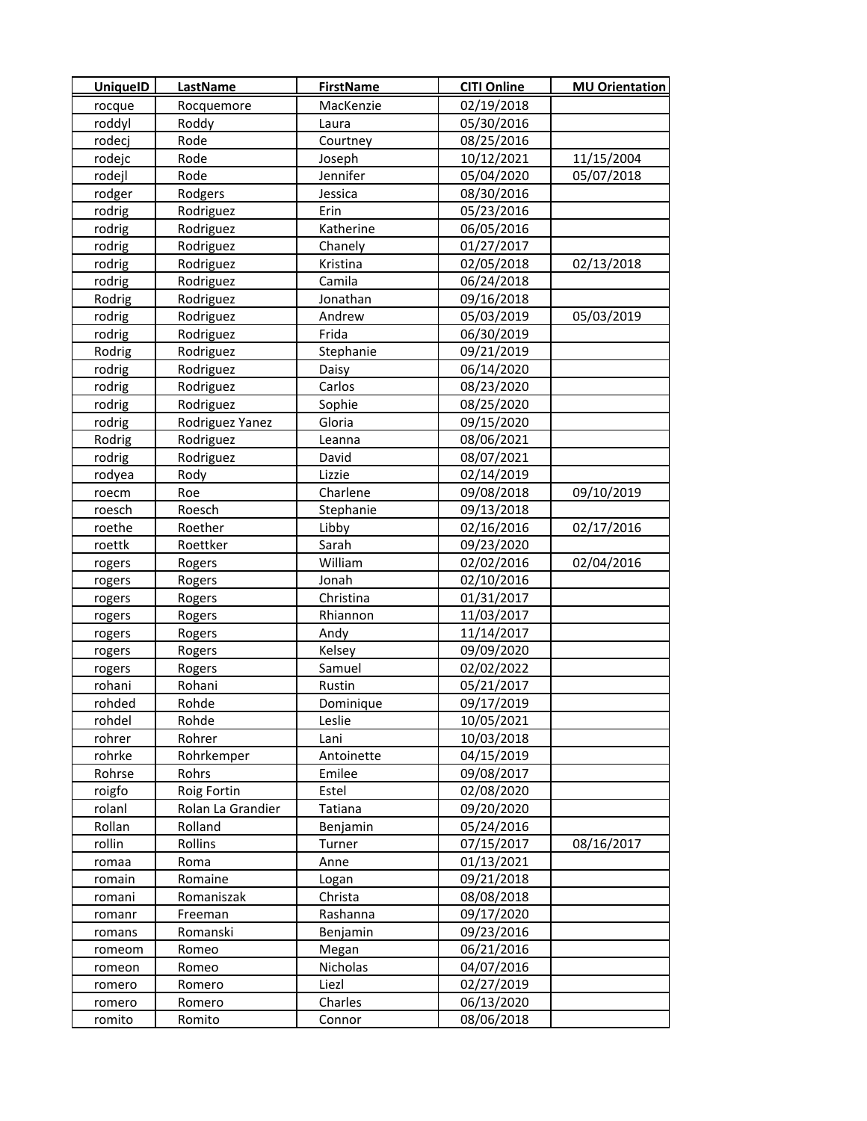| <b>UniquelD</b> | LastName          | <b>FirstName</b> | <b>CITI Online</b> | <b>MU Orientation</b> |
|-----------------|-------------------|------------------|--------------------|-----------------------|
| rocque          | Rocquemore        | MacKenzie        | 02/19/2018         |                       |
| roddyl          | Roddy             | Laura            | 05/30/2016         |                       |
| rodecj          | Rode              | Courtney         | 08/25/2016         |                       |
| rodejc          | Rode              | Joseph           | 10/12/2021         | 11/15/2004            |
| rodejl          | Rode              | Jennifer         | 05/04/2020         | 05/07/2018            |
| rodger          | Rodgers           | Jessica          | 08/30/2016         |                       |
| rodrig          | Rodriguez         | Erin             | 05/23/2016         |                       |
| rodrig          | Rodriguez         | Katherine        | 06/05/2016         |                       |
| rodrig          | Rodriguez         | Chanely          | 01/27/2017         |                       |
| rodrig          | Rodriguez         | Kristina         | 02/05/2018         | 02/13/2018            |
| rodrig          | Rodriguez         | Camila           | 06/24/2018         |                       |
| Rodrig          | Rodriguez         | Jonathan         | 09/16/2018         |                       |
| rodrig          | Rodriguez         | Andrew           | 05/03/2019         | 05/03/2019            |
| rodrig          | Rodriguez         | Frida            | 06/30/2019         |                       |
| Rodrig          | Rodriguez         | Stephanie        | 09/21/2019         |                       |
| rodrig          | Rodriguez         | Daisy            | 06/14/2020         |                       |
| rodrig          | Rodriguez         | Carlos           | 08/23/2020         |                       |
| rodrig          | Rodriguez         | Sophie           | 08/25/2020         |                       |
| rodrig          | Rodriguez Yanez   | Gloria           | 09/15/2020         |                       |
| Rodrig          | Rodriguez         | Leanna           | 08/06/2021         |                       |
| rodrig          | Rodriguez         | David            | 08/07/2021         |                       |
| rodyea          | Rody              | Lizzie           | 02/14/2019         |                       |
| roecm           | Roe               | Charlene         | 09/08/2018         | 09/10/2019            |
| roesch          | Roesch            | Stephanie        | 09/13/2018         |                       |
| roethe          | Roether           | Libby            | 02/16/2016         | 02/17/2016            |
| roettk          | Roettker          | Sarah            | 09/23/2020         |                       |
| rogers          | Rogers            | William          | 02/02/2016         | 02/04/2016            |
| rogers          | Rogers            | Jonah            | 02/10/2016         |                       |
| rogers          | Rogers            | Christina        | 01/31/2017         |                       |
| rogers          | Rogers            | Rhiannon         | 11/03/2017         |                       |
| rogers          | Rogers            | Andy             | 11/14/2017         |                       |
| rogers          | Rogers            | Kelsey           | 09/09/2020         |                       |
| rogers          | Rogers            | Samuel           | 02/02/2022         |                       |
| rohani          | Rohani            | Rustin           | 05/21/2017         |                       |
| rohded          | Rohde             | Dominique        | 09/17/2019         |                       |
| rohdel          | Rohde             | Leslie           | 10/05/2021         |                       |
| rohrer          | Rohrer            | Lani             | 10/03/2018         |                       |
| rohrke          | Rohrkemper        | Antoinette       | 04/15/2019         |                       |
| Rohrse          | Rohrs             | Emilee           | 09/08/2017         |                       |
| roigfo          | Roig Fortin       | Estel            | 02/08/2020         |                       |
| rolanl          | Rolan La Grandier | Tatiana          | 09/20/2020         |                       |
| Rollan          | Rolland           | Benjamin         | 05/24/2016         |                       |
| rollin          | Rollins           | Turner           | 07/15/2017         | 08/16/2017            |
| romaa           | Roma              | Anne             | 01/13/2021         |                       |
| romain          | Romaine           | Logan            | 09/21/2018         |                       |
| romani          | Romaniszak        | Christa          | 08/08/2018         |                       |
| romanr          | Freeman           | Rashanna         | 09/17/2020         |                       |
| romans          | Romanski          | Benjamin         | 09/23/2016         |                       |
| romeom          | Romeo             | Megan            | 06/21/2016         |                       |
| romeon          | Romeo             | Nicholas         | 04/07/2016         |                       |
| romero          | Romero            | Liezl            | 02/27/2019         |                       |
| romero          | Romero            | Charles          | 06/13/2020         |                       |
| romito          | Romito            | Connor           | 08/06/2018         |                       |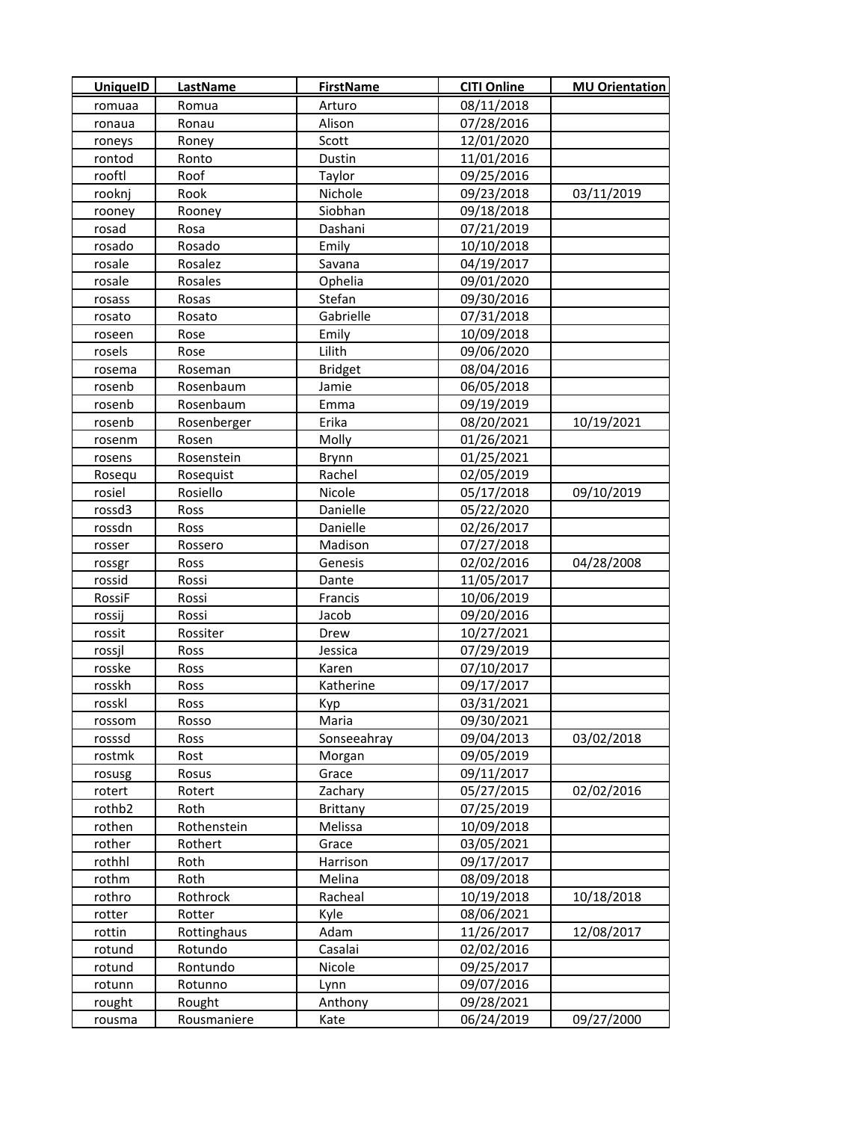| <b>UniquelD</b>  | <b>LastName</b>        | <b>FirstName</b> | <b>CITI Online</b>       | <b>MU Orientation</b> |
|------------------|------------------------|------------------|--------------------------|-----------------------|
| romuaa           | Romua                  | Arturo           | 08/11/2018               |                       |
| ronaua           | Ronau                  | Alison           | 07/28/2016               |                       |
| roneys           | Roney                  | Scott            | 12/01/2020               |                       |
| rontod           | Ronto                  | Dustin           | 11/01/2016               |                       |
| rooftl           | Roof                   | Taylor           | 09/25/2016               |                       |
| rooknj           | Rook                   | Nichole          | 09/23/2018               | 03/11/2019            |
| rooney           | Rooney                 | Siobhan          | 09/18/2018               |                       |
| rosad            | Rosa                   | Dashani          | 07/21/2019               |                       |
| rosado           | Rosado                 | Emily            | 10/10/2018               |                       |
| rosale           | Rosalez                | Savana           | 04/19/2017               |                       |
| rosale           | Rosales                | Ophelia          | 09/01/2020               |                       |
| rosass           | Rosas                  | Stefan           | 09/30/2016               |                       |
| rosato           | Rosato                 | Gabrielle        | 07/31/2018               |                       |
| roseen           | Rose                   | Emily            | 10/09/2018               |                       |
| rosels           | Rose                   | Lilith           | 09/06/2020               |                       |
| rosema           | Roseman                | <b>Bridget</b>   | 08/04/2016               |                       |
| rosenb           | Rosenbaum              | Jamie            | 06/05/2018               |                       |
| rosenb           | Rosenbaum              | Emma             | 09/19/2019               |                       |
| rosenb           | Rosenberger            | Erika            | 08/20/2021               | 10/19/2021            |
| rosenm           | Rosen                  | Molly            | 01/26/2021               |                       |
| rosens           | Rosenstein             | Brynn            | 01/25/2021               |                       |
| Rosequ           | Rosequist              | Rachel           | 02/05/2019               |                       |
| rosiel           | Rosiello               | Nicole           | 05/17/2018               | 09/10/2019            |
| rossd3           | Ross                   | Danielle         | 05/22/2020               |                       |
| rossdn           | Ross                   | Danielle         | 02/26/2017               |                       |
| rosser           | Rossero                | Madison          | 07/27/2018               |                       |
| rossgr           | Ross                   | Genesis          | 02/02/2016               | 04/28/2008            |
| rossid           | Rossi                  | Dante            | 11/05/2017               |                       |
| RossiF           | Rossi                  | Francis          | 10/06/2019               |                       |
| rossij           | Rossi                  | Jacob            | 09/20/2016               |                       |
| rossit           | Rossiter               | Drew             | 10/27/2021               |                       |
| rossjl           | Ross                   | Jessica          | 07/29/2019               |                       |
| rosske           | Ross                   | Karen            | 07/10/2017               |                       |
| rosskh           | Ross                   | Katherine        | 09/17/2017               |                       |
| rosskl           | Ross                   | Kyp              | 03/31/2021               |                       |
| rossom           | Rosso                  | Maria            | 09/30/2021               |                       |
| rosssd           | Ross                   | Sonseeahray      | 09/04/2013               | 03/02/2018            |
| rostmk           | Rost                   | Morgan           | 09/05/2019               |                       |
| rosusg           | Rosus                  | Grace            | 09/11/2017               |                       |
| rotert           | Rotert                 | Zachary          | 05/27/2015               | 02/02/2016            |
| rothb2           | Roth                   | Brittany         | 07/25/2019               |                       |
| rothen           | Rothenstein            | Melissa          | 10/09/2018               |                       |
| rother           | Rothert                | Grace            | 03/05/2021               |                       |
| rothhl           | Roth                   | Harrison         | 09/17/2017               |                       |
| rothm            | Roth                   | Melina           | 08/09/2018               |                       |
| rothro           | Rothrock               | Racheal          | 10/19/2018               | 10/18/2018            |
| rotter           | Rotter                 | Kyle             | 08/06/2021               | 12/08/2017            |
| rottin<br>rotund | Rottinghaus<br>Rotundo | Adam<br>Casalai  | 11/26/2017<br>02/02/2016 |                       |
| rotund           | Rontundo               | Nicole           | 09/25/2017               |                       |
| rotunn           | Rotunno                | Lynn             | 09/07/2016               |                       |
| rought           | Rought                 | Anthony          | 09/28/2021               |                       |
| rousma           | Rousmaniere            | Kate             | 06/24/2019               | 09/27/2000            |
|                  |                        |                  |                          |                       |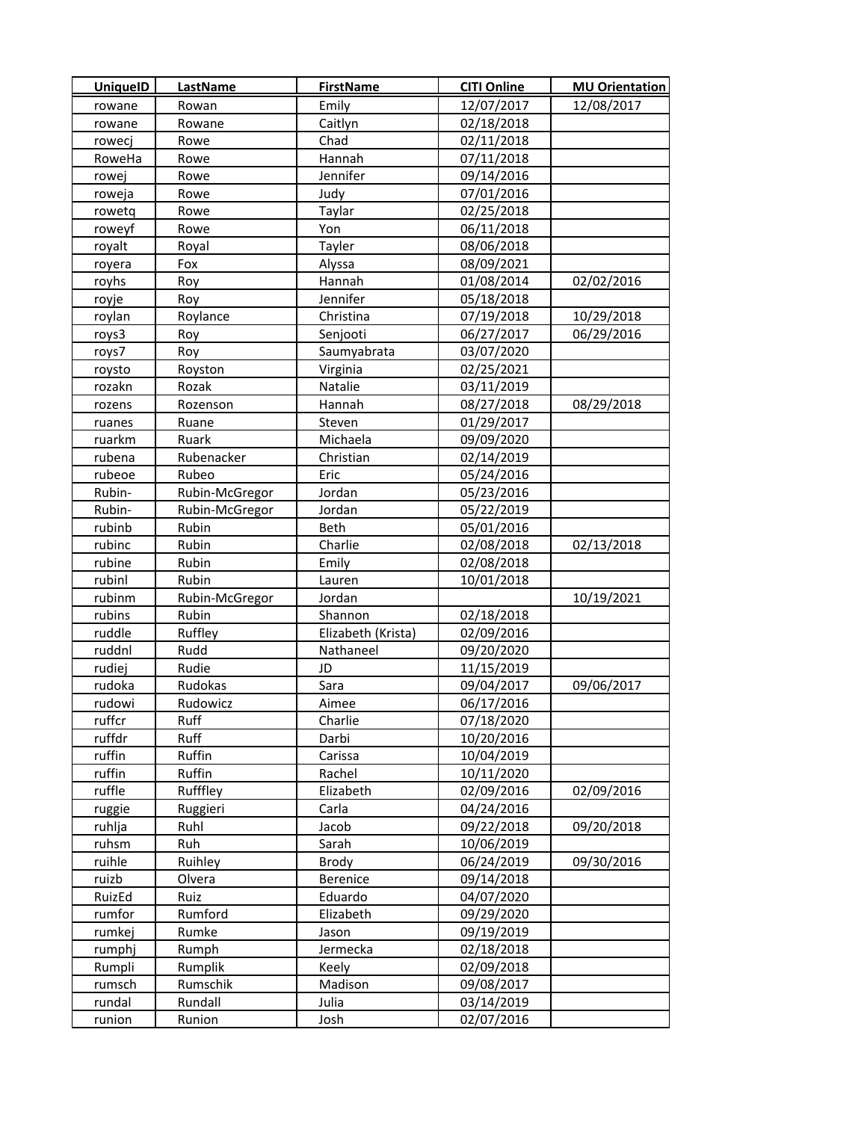| <b>UniquelD</b> | LastName       | <b>FirstName</b>   | <b>CITI Online</b> | <b>MU Orientation</b> |
|-----------------|----------------|--------------------|--------------------|-----------------------|
| rowane          | Rowan          | Emily              | 12/07/2017         | 12/08/2017            |
| rowane          | Rowane         | Caitlyn            | 02/18/2018         |                       |
| rowecj          | Rowe           | Chad               | 02/11/2018         |                       |
| RoweHa          | Rowe           | Hannah             | 07/11/2018         |                       |
| rowej           | Rowe           | Jennifer           | 09/14/2016         |                       |
| roweja          | Rowe           | Judy               | 07/01/2016         |                       |
| rowetq          | Rowe           | Taylar             | 02/25/2018         |                       |
| roweyf          | Rowe           | Yon                | 06/11/2018         |                       |
| royalt          | Royal          | Tayler             | 08/06/2018         |                       |
| royera          | Fox            | Alyssa             | 08/09/2021         |                       |
| royhs           | Roy            | Hannah             | 01/08/2014         | 02/02/2016            |
| royje           | Roy            | Jennifer           | 05/18/2018         |                       |
| roylan          | Roylance       | Christina          | 07/19/2018         | 10/29/2018            |
| roys3           | Roy            | Senjooti           | 06/27/2017         | 06/29/2016            |
| roys7           | Roy            | Saumyabrata        | 03/07/2020         |                       |
| roysto          | Royston        | Virginia           | 02/25/2021         |                       |
| rozakn          | Rozak          | Natalie            | 03/11/2019         |                       |
| rozens          | Rozenson       | Hannah             | 08/27/2018         | 08/29/2018            |
| ruanes          | Ruane          | Steven             | 01/29/2017         |                       |
| ruarkm          | Ruark          | Michaela           | 09/09/2020         |                       |
| rubena          | Rubenacker     | Christian          | 02/14/2019         |                       |
| rubeoe          | Rubeo          | Eric               | 05/24/2016         |                       |
| Rubin-          | Rubin-McGregor | Jordan             | 05/23/2016         |                       |
| Rubin-          | Rubin-McGregor | Jordan             | 05/22/2019         |                       |
| rubinb          | Rubin          | Beth               | 05/01/2016         |                       |
| rubinc          | Rubin          | Charlie            | 02/08/2018         | 02/13/2018            |
| rubine          | Rubin          | Emily              | 02/08/2018         |                       |
| rubinl          | Rubin          | Lauren             | 10/01/2018         |                       |
| rubinm          | Rubin-McGregor | Jordan             |                    | 10/19/2021            |
| rubins          | Rubin          | Shannon            | 02/18/2018         |                       |
| ruddle          | Ruffley        | Elizabeth (Krista) | 02/09/2016         |                       |
| ruddnl          | Rudd           | Nathaneel          | 09/20/2020         |                       |
| rudiej          | Rudie          | JD                 | 11/15/2019         |                       |
| rudoka          | Rudokas        | Sara               | 09/04/2017         | 09/06/2017            |
| rudowi          | Rudowicz       | Aimee              | 06/17/2016         |                       |
| ruffcr          | Ruff           | Charlie            | 07/18/2020         |                       |
| ruffdr          | Ruff           | Darbi              | 10/20/2016         |                       |
| ruffin          | Ruffin         | Carissa            | 10/04/2019         |                       |
| ruffin          | Ruffin         | Rachel             | 10/11/2020         |                       |
| ruffle          | Rufffley       | Elizabeth          | 02/09/2016         | 02/09/2016            |
| ruggie          | Ruggieri       | Carla              | 04/24/2016         |                       |
| ruhlja          | Ruhl           | Jacob              | 09/22/2018         | 09/20/2018            |
| ruhsm           | Ruh            | Sarah              | 10/06/2019         |                       |
| ruihle          | Ruihley        | Brody              | 06/24/2019         | 09/30/2016            |
| ruizb           | Olvera         | Berenice           | 09/14/2018         |                       |
| RuizEd          | Ruiz           | Eduardo            | 04/07/2020         |                       |
| rumfor          | Rumford        | Elizabeth          | 09/29/2020         |                       |
| rumkej          | Rumke          | Jason              | 09/19/2019         |                       |
| rumphj          | Rumph          | Jermecka           | 02/18/2018         |                       |
| Rumpli          | Rumplik        | Keely              | 02/09/2018         |                       |
| rumsch          | Rumschik       | Madison            | 09/08/2017         |                       |
| rundal          | Rundall        | Julia              | 03/14/2019         |                       |
| runion          | Runion         | Josh               | 02/07/2016         |                       |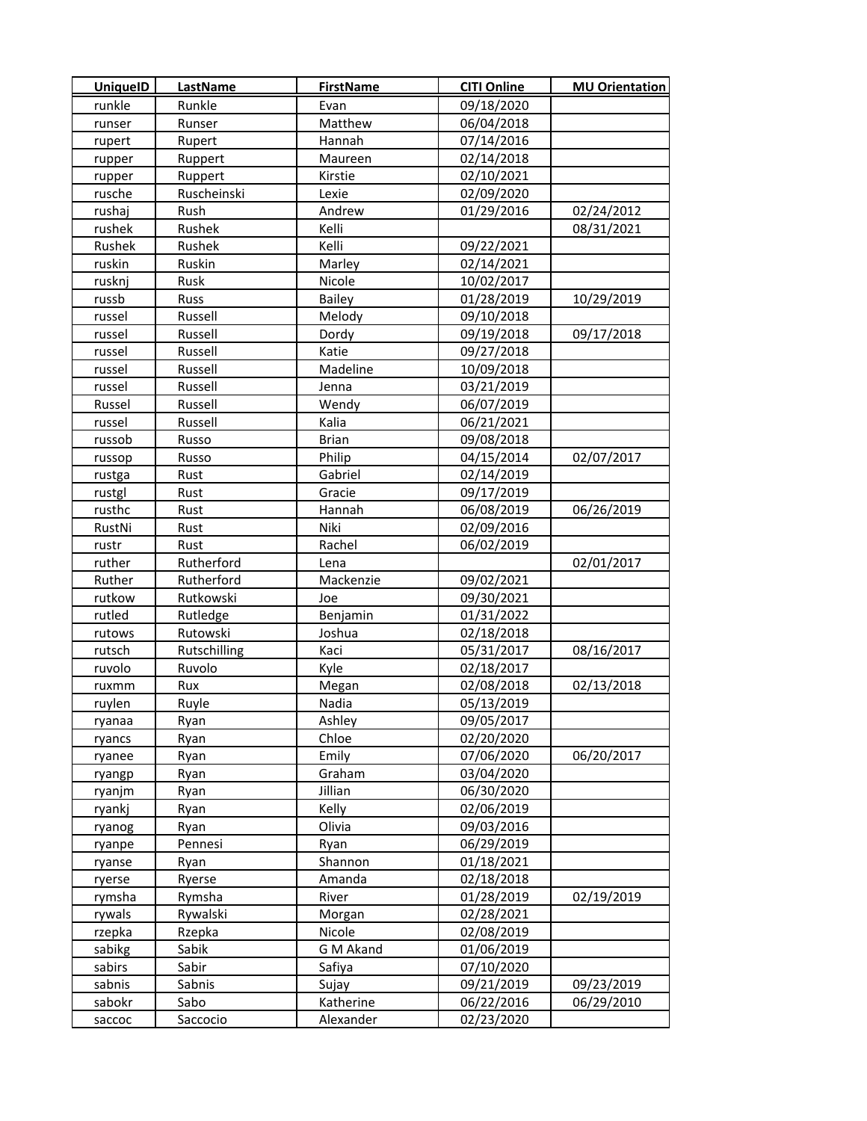| <b>UniquelD</b> | <b>LastName</b> | <b>FirstName</b> | <b>CITI Online</b> | <b>MU Orientation</b> |
|-----------------|-----------------|------------------|--------------------|-----------------------|
| runkle          | Runkle          | Evan             | 09/18/2020         |                       |
| runser          | Runser          | Matthew          | 06/04/2018         |                       |
| rupert          | Rupert          | Hannah           | 07/14/2016         |                       |
| rupper          | Ruppert         | Maureen          | 02/14/2018         |                       |
| rupper          | Ruppert         | Kirstie          | 02/10/2021         |                       |
| rusche          | Ruscheinski     | Lexie            | 02/09/2020         |                       |
| rushaj          | Rush            | Andrew           | 01/29/2016         | 02/24/2012            |
| rushek          | Rushek          | Kelli            |                    | 08/31/2021            |
| Rushek          | Rushek          | Kelli            | 09/22/2021         |                       |
| ruskin          | Ruskin          | Marley           | 02/14/2021         |                       |
| rusknj          | Rusk            | Nicole           | 10/02/2017         |                       |
| russb           | Russ            | Bailey           | 01/28/2019         | 10/29/2019            |
| russel          | Russell         | Melody           | 09/10/2018         |                       |
| russel          | Russell         | Dordy            | 09/19/2018         | 09/17/2018            |
| russel          | Russell         | Katie            | 09/27/2018         |                       |
| russel          | Russell         | Madeline         | 10/09/2018         |                       |
| russel          | Russell         | Jenna            | 03/21/2019         |                       |
| Russel          | Russell         | Wendy            | 06/07/2019         |                       |
| russel          | Russell         | Kalia            | 06/21/2021         |                       |
| russob          | Russo           | <b>Brian</b>     | 09/08/2018         |                       |
| russop          | Russo           | Philip           | 04/15/2014         | 02/07/2017            |
| rustga          | Rust            | Gabriel          | 02/14/2019         |                       |
| rustgl          | Rust            | Gracie           | 09/17/2019         |                       |
| rusthc          | Rust            | Hannah           | 06/08/2019         | 06/26/2019            |
| RustNi          | Rust            | Niki             | 02/09/2016         |                       |
| rustr           | Rust            | Rachel           | 06/02/2019         |                       |
| ruther          | Rutherford      | Lena             |                    | 02/01/2017            |
| Ruther          | Rutherford      | Mackenzie        | 09/02/2021         |                       |
| rutkow          | Rutkowski       | Joe              | 09/30/2021         |                       |
| rutled          | Rutledge        | Benjamin         | 01/31/2022         |                       |
| rutows          | Rutowski        | Joshua           | 02/18/2018         |                       |
| rutsch          | Rutschilling    | Kaci             | 05/31/2017         | 08/16/2017            |
| ruvolo          | Ruvolo          | Kyle             | 02/18/2017         |                       |
| ruxmm           | Rux             | Megan            | 02/08/2018         | 02/13/2018            |
| ruylen          | Ruyle           | Nadia            | 05/13/2019         |                       |
| ryanaa          | Ryan            | Ashley           | 09/05/2017         |                       |
| ryancs          | Ryan            | Chloe            | 02/20/2020         |                       |
| ryanee          | Ryan            | Emily            | 07/06/2020         | 06/20/2017            |
| ryangp          | Ryan            | Graham           | 03/04/2020         |                       |
| ryanjm          | Ryan            | Jillian          | 06/30/2020         |                       |
| ryankj          | Ryan            | Kelly            | 02/06/2019         |                       |
| ryanog          | Ryan            | Olivia           | 09/03/2016         |                       |
| ryanpe          | Pennesi         | Ryan             | 06/29/2019         |                       |
| ryanse          | Ryan            | Shannon          | 01/18/2021         |                       |
| ryerse          | Ryerse          | Amanda           | 02/18/2018         |                       |
| rymsha          | Rymsha          | River            | 01/28/2019         | 02/19/2019            |
| rywals          | Rywalski        | Morgan           | 02/28/2021         |                       |
| rzepka          | Rzepka          | Nicole           | 02/08/2019         |                       |
| sabikg          | Sabik           | G M Akand        | 01/06/2019         |                       |
| sabirs          | Sabir           | Safiya           | 07/10/2020         |                       |
| sabnis          | Sabnis          | Sujay            | 09/21/2019         | 09/23/2019            |
| sabokr          | Sabo            | Katherine        | 06/22/2016         | 06/29/2010            |
| saccoc          | Saccocio        | Alexander        | 02/23/2020         |                       |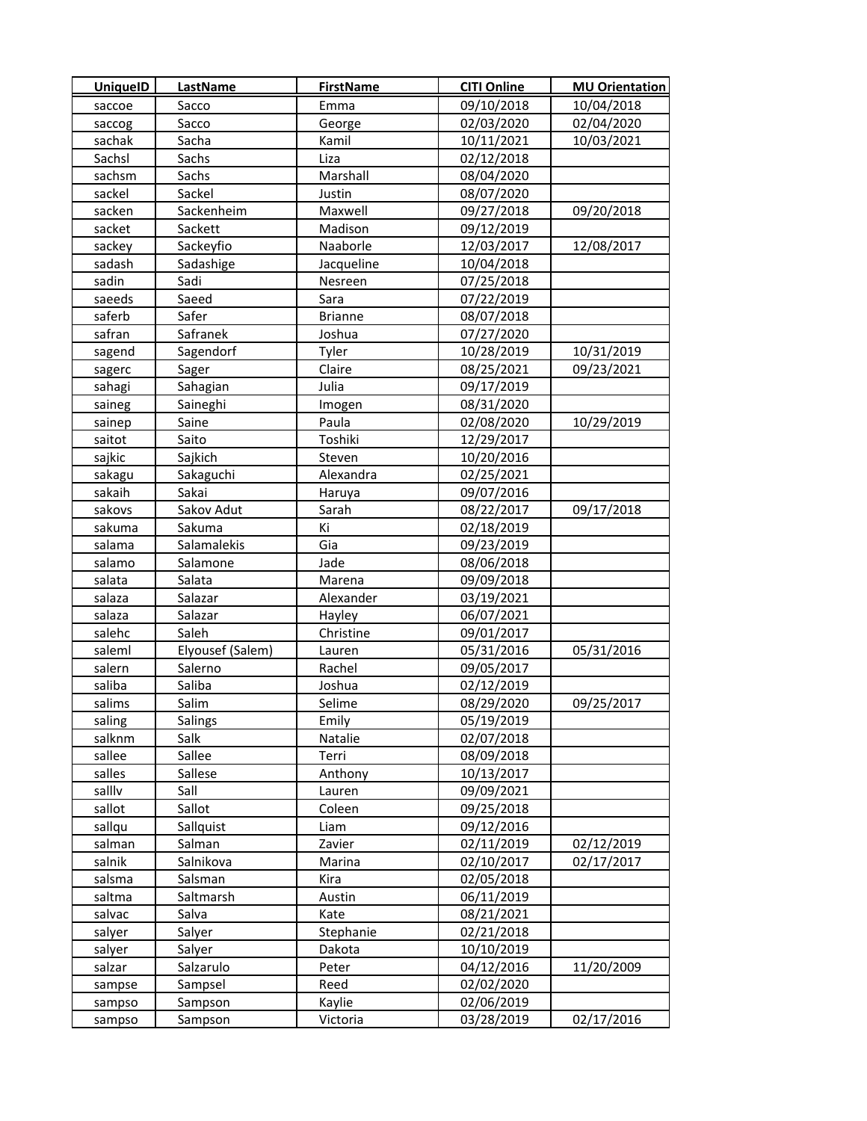| <b>UniquelD</b> | <b>LastName</b>  | <b>FirstName</b> | <b>CITI Online</b> | <b>MU Orientation</b> |
|-----------------|------------------|------------------|--------------------|-----------------------|
| saccoe          | Sacco            | Emma             | 09/10/2018         | 10/04/2018            |
| saccog          | Sacco            | George           | 02/03/2020         | 02/04/2020            |
| sachak          | Sacha            | Kamil            | 10/11/2021         | 10/03/2021            |
| Sachsl          | Sachs            | Liza             | 02/12/2018         |                       |
| sachsm          | Sachs            | Marshall         | 08/04/2020         |                       |
| sackel          | Sackel           | Justin           | 08/07/2020         |                       |
| sacken          | Sackenheim       | Maxwell          | 09/27/2018         | 09/20/2018            |
| sacket          | Sackett          | Madison          | 09/12/2019         |                       |
| sackey          | Sackeyfio        | Naaborle         | 12/03/2017         | 12/08/2017            |
| sadash          | Sadashige        | Jacqueline       | 10/04/2018         |                       |
| sadin           | Sadi             | Nesreen          | 07/25/2018         |                       |
| saeeds          | Saeed            | Sara             | 07/22/2019         |                       |
| saferb          | Safer            | <b>Brianne</b>   | 08/07/2018         |                       |
| safran          | Safranek         | Joshua           | 07/27/2020         |                       |
| sagend          | Sagendorf        | Tyler            | 10/28/2019         | 10/31/2019            |
| sagerc          | Sager            | Claire           | 08/25/2021         | 09/23/2021            |
| sahagi          | Sahagian         | Julia            | 09/17/2019         |                       |
| saineg          | Saineghi         | Imogen           | 08/31/2020         |                       |
| sainep          | Saine            | Paula            | 02/08/2020         | 10/29/2019            |
| saitot          | Saito            | Toshiki          | 12/29/2017         |                       |
| sajkic          | Sajkich          | Steven           | 10/20/2016         |                       |
| sakagu          | Sakaguchi        | Alexandra        | 02/25/2021         |                       |
| sakaih          | Sakai            | Haruya           | 09/07/2016         |                       |
| sakovs          | Sakov Adut       | Sarah            | 08/22/2017         | 09/17/2018            |
| sakuma          | Sakuma           | Κi               | 02/18/2019         |                       |
| salama          | Salamalekis      | Gia              | 09/23/2019         |                       |
| salamo          | Salamone         | Jade             | 08/06/2018         |                       |
| salata          | Salata           | Marena           | 09/09/2018         |                       |
| salaza          | Salazar          | Alexander        | 03/19/2021         |                       |
| salaza          | Salazar          | Hayley           | 06/07/2021         |                       |
| salehc          | Saleh            | Christine        | 09/01/2017         |                       |
| saleml          | Elyousef (Salem) | Lauren           | 05/31/2016         | 05/31/2016            |
| salern          | Salerno          | Rachel           | 09/05/2017         |                       |
| saliba          | Saliba           | Joshua           | 02/12/2019         |                       |
| salims          | Salim            | Selime           | 08/29/2020         | 09/25/2017            |
| saling          | Salings          | Emily            | 05/19/2019         |                       |
| salknm          | Salk             | Natalie          | 02/07/2018         |                       |
| sallee          | Sallee           | Terri            | 08/09/2018         |                       |
| salles          | Sallese          | Anthony          | 10/13/2017         |                       |
| sallly          | Sall             | Lauren           | 09/09/2021         |                       |
| sallot          | Sallot           | Coleen           | 09/25/2018         |                       |
| sallqu          | Sallquist        | Liam             | 09/12/2016         |                       |
| salman          | Salman           | Zavier           | 02/11/2019         | 02/12/2019            |
| salnik          | Salnikova        | Marina           | 02/10/2017         | 02/17/2017            |
| salsma          | Salsman          | Kira             | 02/05/2018         |                       |
| saltma          | Saltmarsh        | Austin           | 06/11/2019         |                       |
| salvac          | Salva            | Kate             | 08/21/2021         |                       |
| salyer          | Salyer           | Stephanie        | 02/21/2018         |                       |
| salyer          | Salyer           | Dakota           | 10/10/2019         |                       |
| salzar          | Salzarulo        | Peter            | 04/12/2016         | 11/20/2009            |
| sampse          | Sampsel          | Reed             | 02/02/2020         |                       |
| sampso          | Sampson          | Kaylie           | 02/06/2019         |                       |
| sampso          | Sampson          | Victoria         | 03/28/2019         | 02/17/2016            |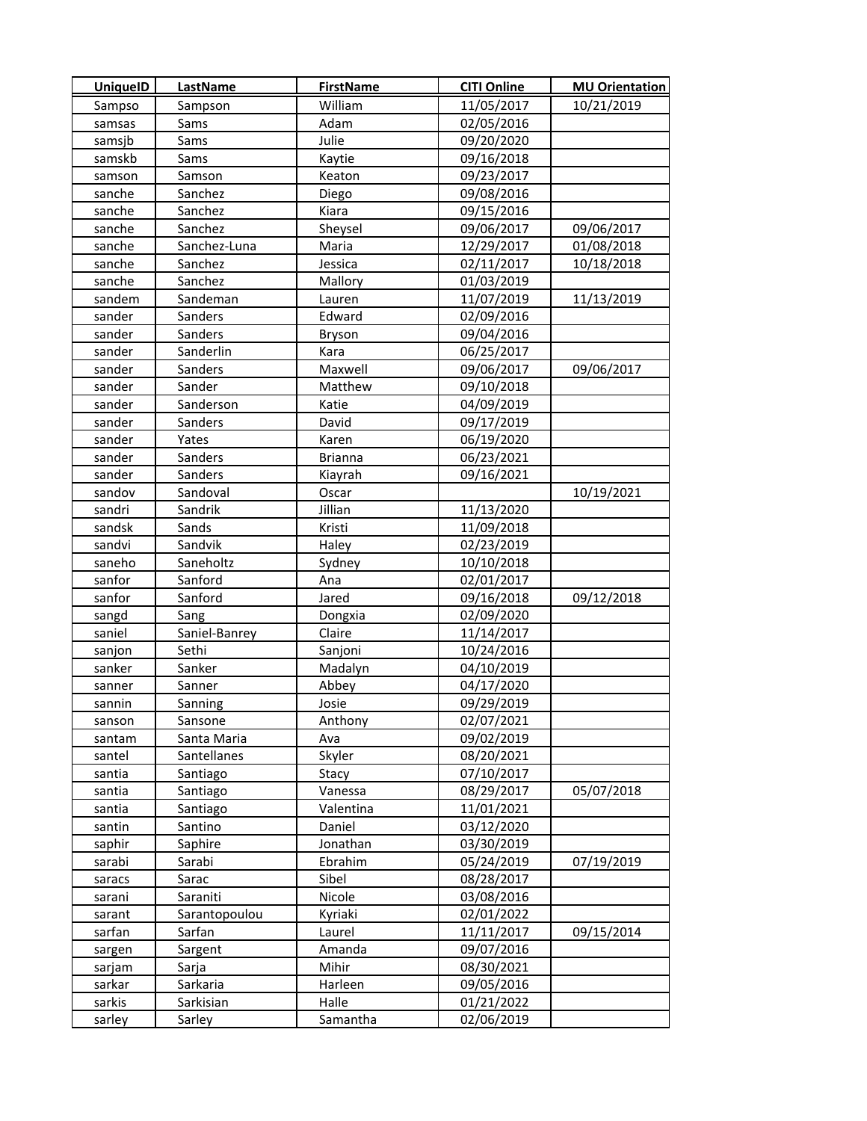| <b>UniquelD</b> | LastName      | <b>FirstName</b> | <b>CITI Online</b> | <b>MU Orientation</b> |
|-----------------|---------------|------------------|--------------------|-----------------------|
| Sampso          | Sampson       | William          | 11/05/2017         | 10/21/2019            |
| samsas          | Sams          | Adam             | 02/05/2016         |                       |
| samsjb          | Sams          | Julie            | 09/20/2020         |                       |
| samskb          | Sams          | Kaytie           | 09/16/2018         |                       |
| samson          | Samson        | Keaton           | 09/23/2017         |                       |
| sanche          | Sanchez       | Diego            | 09/08/2016         |                       |
| sanche          | Sanchez       | Kiara            | 09/15/2016         |                       |
| sanche          | Sanchez       | Sheysel          | 09/06/2017         | 09/06/2017            |
| sanche          | Sanchez-Luna  | Maria            | 12/29/2017         | 01/08/2018            |
| sanche          | Sanchez       | Jessica          | 02/11/2017         | 10/18/2018            |
| sanche          | Sanchez       | Mallory          | 01/03/2019         |                       |
| sandem          | Sandeman      | Lauren           | 11/07/2019         | 11/13/2019            |
| sander          | Sanders       | Edward           | 02/09/2016         |                       |
| sander          | Sanders       | Bryson           | 09/04/2016         |                       |
| sander          | Sanderlin     | Kara             | 06/25/2017         |                       |
| sander          | Sanders       | Maxwell          | 09/06/2017         | 09/06/2017            |
| sander          | Sander        | Matthew          | 09/10/2018         |                       |
| sander          | Sanderson     | Katie            | 04/09/2019         |                       |
| sander          | Sanders       | David            | 09/17/2019         |                       |
| sander          | Yates         | Karen            | 06/19/2020         |                       |
| sander          | Sanders       | <b>Brianna</b>   | 06/23/2021         |                       |
| sander          | Sanders       | Kiayrah          | 09/16/2021         |                       |
| sandov          | Sandoval      | Oscar            |                    | 10/19/2021            |
| sandri          | Sandrik       | Jillian          | 11/13/2020         |                       |
| sandsk          | Sands         | Kristi           | 11/09/2018         |                       |
| sandvi          | Sandvik       | Haley            | 02/23/2019         |                       |
| saneho          | Saneholtz     | Sydney           | 10/10/2018         |                       |
| sanfor          | Sanford       | Ana              | 02/01/2017         |                       |
| sanfor          | Sanford       | Jared            | 09/16/2018         | 09/12/2018            |
| sangd           | Sang          | Dongxia          | 02/09/2020         |                       |
| saniel          | Saniel-Banrey | Claire           | 11/14/2017         |                       |
| sanjon          | Sethi         | Sanjoni          | 10/24/2016         |                       |
| sanker          | Sanker        | Madalyn          | 04/10/2019         |                       |
| sanner          | Sanner        | Abbey            | 04/17/2020         |                       |
| sannin          | Sanning       | Josie            | 09/29/2019         |                       |
| sanson          | Sansone       | Anthony          | 02/07/2021         |                       |
| santam          | Santa Maria   | Ava              | 09/02/2019         |                       |
| santel          | Santellanes   | Skyler           | 08/20/2021         |                       |
| santia          | Santiago      | Stacy            | 07/10/2017         |                       |
| santia          | Santiago      | Vanessa          | 08/29/2017         | 05/07/2018            |
| santia          | Santiago      | Valentina        | 11/01/2021         |                       |
| santin          | Santino       | Daniel           | 03/12/2020         |                       |
| saphir          | Saphire       | Jonathan         | 03/30/2019         |                       |
| sarabi          | Sarabi        | Ebrahim          | 05/24/2019         | 07/19/2019            |
| saracs          | Sarac         | Sibel            | 08/28/2017         |                       |
| sarani          | Saraniti      | Nicole           | 03/08/2016         |                       |
| sarant          | Sarantopoulou | Kyriaki          | 02/01/2022         |                       |
| sarfan          | Sarfan        | Laurel           | 11/11/2017         | 09/15/2014            |
| sargen          | Sargent       | Amanda           | 09/07/2016         |                       |
| sarjam          | Sarja         | Mihir            | 08/30/2021         |                       |
| sarkar          | Sarkaria      | Harleen          | 09/05/2016         |                       |
| sarkis          | Sarkisian     | Halle            | 01/21/2022         |                       |
| sarley          | Sarley        | Samantha         | 02/06/2019         |                       |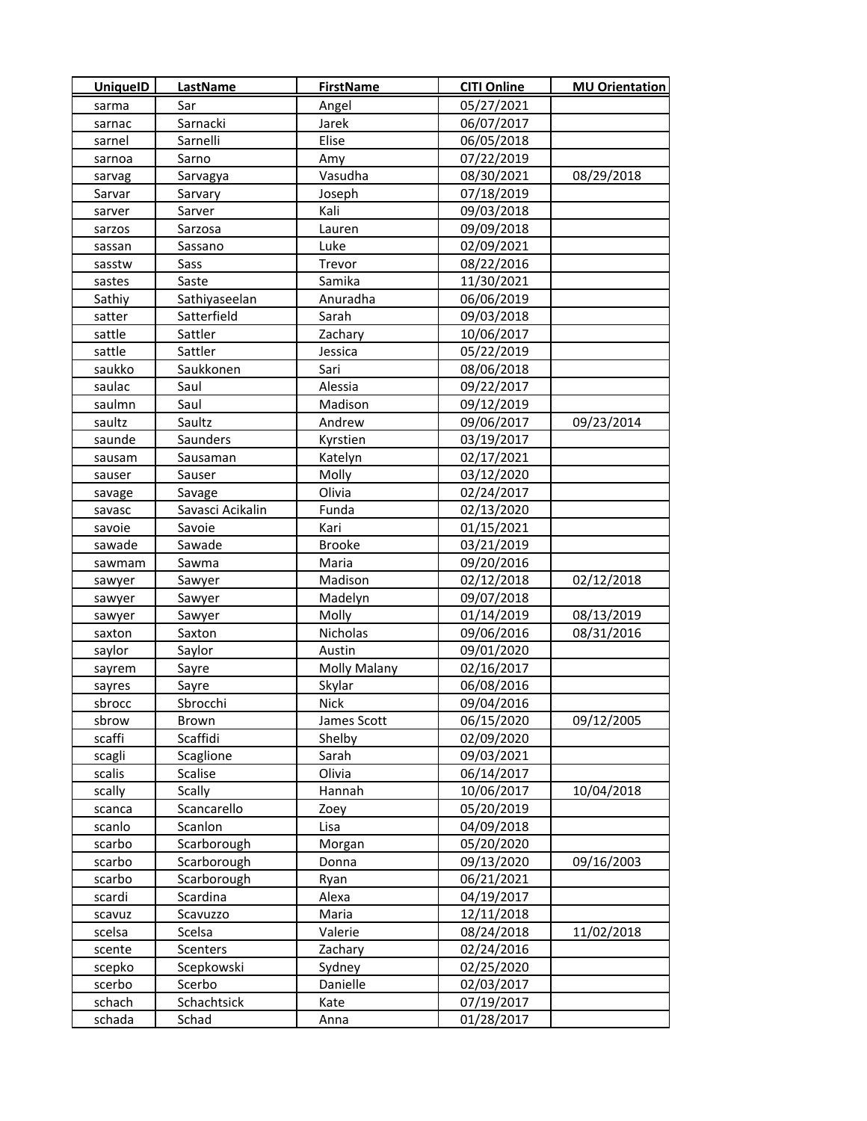| <b>UniquelD</b> | LastName         | <b>FirstName</b> | <b>CITI Online</b> | <b>MU Orientation</b> |
|-----------------|------------------|------------------|--------------------|-----------------------|
| sarma           | Sar              | Angel            | 05/27/2021         |                       |
| sarnac          | Sarnacki         | Jarek            | 06/07/2017         |                       |
| sarnel          | Sarnelli         | Elise            | 06/05/2018         |                       |
| sarnoa          | Sarno            | Amy              | 07/22/2019         |                       |
| sarvag          | Sarvagya         | Vasudha          | 08/30/2021         | 08/29/2018            |
| Sarvar          | Sarvary          | Joseph           | 07/18/2019         |                       |
| sarver          | Sarver           | Kali             | 09/03/2018         |                       |
| sarzos          | Sarzosa          | Lauren           | 09/09/2018         |                       |
| sassan          | Sassano          | Luke             | 02/09/2021         |                       |
| sasstw          | Sass             | Trevor           | 08/22/2016         |                       |
| sastes          | Saste            | Samika           | 11/30/2021         |                       |
| Sathiy          | Sathiyaseelan    | Anuradha         | 06/06/2019         |                       |
| satter          | Satterfield      | Sarah            | 09/03/2018         |                       |
| sattle          | Sattler          | Zachary          | 10/06/2017         |                       |
| sattle          | Sattler          | Jessica          | 05/22/2019         |                       |
| saukko          | Saukkonen        | Sari             | 08/06/2018         |                       |
| saulac          | Saul             | Alessia          | 09/22/2017         |                       |
| saulmn          | Saul             | Madison          | 09/12/2019         |                       |
| saultz          | Saultz           | Andrew           | 09/06/2017         | 09/23/2014            |
| saunde          | Saunders         | Kyrstien         | 03/19/2017         |                       |
| sausam          | Sausaman         | Katelyn          | 02/17/2021         |                       |
| sauser          | Sauser           | Molly            | 03/12/2020         |                       |
| savage          | Savage           | Olivia           | 02/24/2017         |                       |
| savasc          | Savasci Acikalin | Funda            | 02/13/2020         |                       |
| savoie          | Savoie           | Kari             | 01/15/2021         |                       |
| sawade          | Sawade           | <b>Brooke</b>    | 03/21/2019         |                       |
| sawmam          | Sawma            | Maria            | 09/20/2016         |                       |
| sawyer          | Sawyer           | Madison          | 02/12/2018         | 02/12/2018            |
| sawyer          | Sawyer           | Madelyn          | 09/07/2018         |                       |
| sawyer          | Sawyer           | Molly            | 01/14/2019         | 08/13/2019            |
| saxton          | Saxton           | Nicholas         | 09/06/2016         | 08/31/2016            |
| saylor          | Saylor           | Austin           | 09/01/2020         |                       |
| sayrem          | Sayre            | Molly Malany     | 02/16/2017         |                       |
| sayres          | Sayre            | Skylar           | 06/08/2016         |                       |
| sbrocc          | Sbrocchi         | Nick             | 09/04/2016         |                       |
| sbrow           | Brown            | James Scott      | 06/15/2020         | 09/12/2005            |
| scaffi          | Scaffidi         | Shelby           | 02/09/2020         |                       |
| scagli          | Scaglione        | Sarah            | 09/03/2021         |                       |
| scalis          | Scalise          | Olivia           | 06/14/2017         |                       |
| scally          | <b>Scally</b>    | Hannah           | 10/06/2017         | 10/04/2018            |
| scanca          | Scancarello      | Zoey             | 05/20/2019         |                       |
| scanlo          | Scanlon          | Lisa             | 04/09/2018         |                       |
| scarbo          | Scarborough      | Morgan           | 05/20/2020         |                       |
| scarbo          | Scarborough      | Donna            | 09/13/2020         | 09/16/2003            |
| scarbo          | Scarborough      | Ryan             | 06/21/2021         |                       |
| scardi          | Scardina         | Alexa            | 04/19/2017         |                       |
| scavuz          | Scavuzzo         | Maria            | 12/11/2018         |                       |
| scelsa          | Scelsa           | Valerie          | 08/24/2018         | 11/02/2018            |
| scente          | Scenters         | Zachary          | 02/24/2016         |                       |
| scepko          | Scepkowski       | Sydney           | 02/25/2020         |                       |
| scerbo          | Scerbo           | Danielle         | 02/03/2017         |                       |
| schach          | Schachtsick      | Kate             | 07/19/2017         |                       |
| schada          | Schad            | Anna             | 01/28/2017         |                       |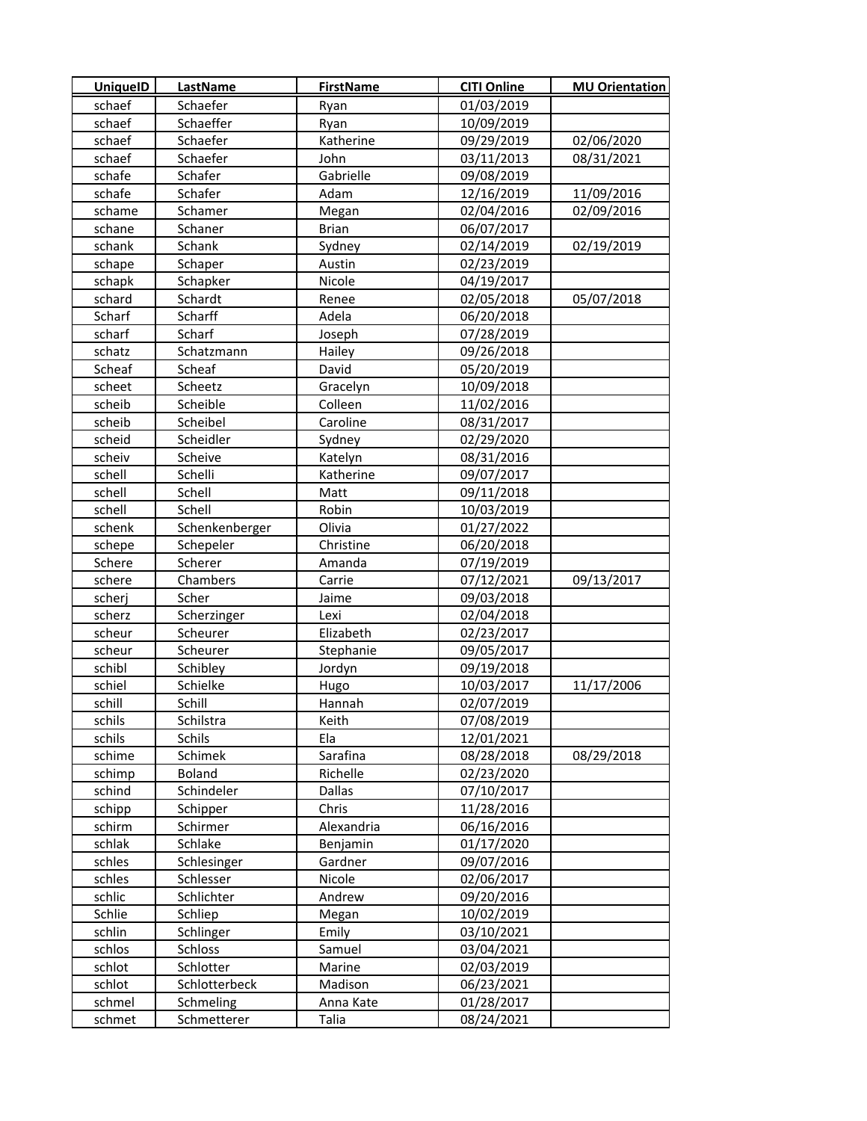| <b>UniquelD</b> | <b>LastName</b> | <b>FirstName</b> | <b>CITI Online</b> | <b>MU Orientation</b> |
|-----------------|-----------------|------------------|--------------------|-----------------------|
| schaef          | Schaefer        | Ryan             | 01/03/2019         |                       |
| schaef          | Schaeffer       | Ryan             | 10/09/2019         |                       |
| schaef          | Schaefer        | Katherine        | 09/29/2019         | 02/06/2020            |
| schaef          | Schaefer        | John             | 03/11/2013         | 08/31/2021            |
| schafe          | Schafer         | Gabrielle        | 09/08/2019         |                       |
| schafe          | Schafer         | Adam             | 12/16/2019         | 11/09/2016            |
| schame          | Schamer         | Megan            | 02/04/2016         | 02/09/2016            |
| schane          | Schaner         | <b>Brian</b>     | 06/07/2017         |                       |
| schank          | Schank          | Sydney           | 02/14/2019         | 02/19/2019            |
| schape          | Schaper         | Austin           | 02/23/2019         |                       |
| schapk          | Schapker        | Nicole           | 04/19/2017         |                       |
| schard          | Schardt         | Renee            | 02/05/2018         | 05/07/2018            |
| Scharf          | Scharff         | Adela            | 06/20/2018         |                       |
| scharf          | Scharf          | Joseph           | 07/28/2019         |                       |
| schatz          | Schatzmann      | Hailey           | 09/26/2018         |                       |
| Scheaf          | Scheaf          | David            | 05/20/2019         |                       |
| scheet          | Scheetz         | Gracelyn         | 10/09/2018         |                       |
| scheib          | Scheible        | Colleen          | 11/02/2016         |                       |
| scheib          | Scheibel        | Caroline         | 08/31/2017         |                       |
| scheid          | Scheidler       | Sydney           | 02/29/2020         |                       |
| scheiv          | Scheive         | Katelyn          | 08/31/2016         |                       |
| schell          | Schelli         | Katherine        | 09/07/2017         |                       |
| schell          | Schell          | Matt             | 09/11/2018         |                       |
| schell          | Schell          | Robin            | 10/03/2019         |                       |
| schenk          | Schenkenberger  | Olivia           | 01/27/2022         |                       |
| schepe          | Schepeler       | Christine        | 06/20/2018         |                       |
| Schere          | Scherer         | Amanda           | 07/19/2019         |                       |
| schere          | Chambers        | Carrie           | 07/12/2021         | 09/13/2017            |
| scherj          | Scher           | Jaime            | 09/03/2018         |                       |
| scherz          | Scherzinger     | Lexi             | 02/04/2018         |                       |
| scheur          | Scheurer        | Elizabeth        | 02/23/2017         |                       |
| scheur          | Scheurer        | Stephanie        | 09/05/2017         |                       |
| schibl          | Schibley        | Jordyn           | 09/19/2018         |                       |
| schiel          | Schielke        | Hugo             | 10/03/2017         | 11/17/2006            |
| schill          | Schill          | Hannah           | 02/07/2019         |                       |
| schils          | Schilstra       | Keith            | 07/08/2019         |                       |
| schils          | Schils          | Ela              | 12/01/2021         |                       |
| schime          | Schimek         | Sarafina         | 08/28/2018         | 08/29/2018            |
| schimp          | Boland          | Richelle         | 02/23/2020         |                       |
| schind          | Schindeler      | Dallas           | 07/10/2017         |                       |
| schipp          | Schipper        | Chris            | 11/28/2016         |                       |
| schirm          | Schirmer        | Alexandria       | 06/16/2016         |                       |
| schlak          | Schlake         | Benjamin         | 01/17/2020         |                       |
| schles          | Schlesinger     | Gardner          | 09/07/2016         |                       |
| schles          | Schlesser       | Nicole           | 02/06/2017         |                       |
| schlic          | Schlichter      | Andrew           | 09/20/2016         |                       |
| Schlie          | Schliep         | Megan            | 10/02/2019         |                       |
| schlin          | Schlinger       | Emily            | 03/10/2021         |                       |
| schlos          | Schloss         | Samuel           | 03/04/2021         |                       |
| schlot          | Schlotter       | Marine           | 02/03/2019         |                       |
| schlot          | Schlotterbeck   | Madison          | 06/23/2021         |                       |
| schmel          | Schmeling       | Anna Kate        | 01/28/2017         |                       |
| schmet          | Schmetterer     | Talia            | 08/24/2021         |                       |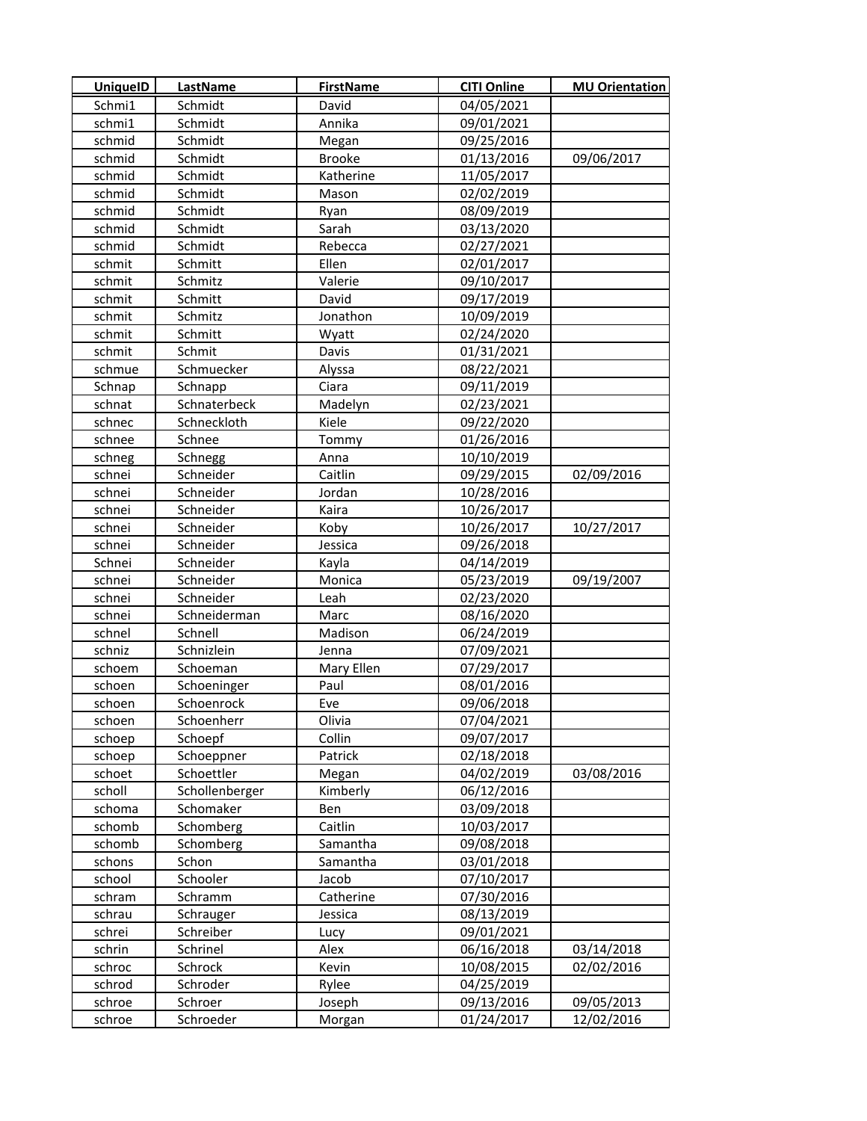| <b>UniquelD</b>  | LastName            | <b>FirstName</b> | <b>CITI Online</b>       | <b>MU Orientation</b> |
|------------------|---------------------|------------------|--------------------------|-----------------------|
| Schmi1           | Schmidt             | David            | 04/05/2021               |                       |
| schmi1           | Schmidt             | Annika           | 09/01/2021               |                       |
| schmid           | Schmidt             | Megan            | 09/25/2016               |                       |
| schmid           | Schmidt             | <b>Brooke</b>    | 01/13/2016               | 09/06/2017            |
| schmid           | Schmidt             | Katherine        | 11/05/2017               |                       |
| schmid           | Schmidt             | Mason            | 02/02/2019               |                       |
| schmid           | Schmidt             | Ryan             | 08/09/2019               |                       |
| schmid           | Schmidt             | Sarah            | 03/13/2020               |                       |
| schmid           | Schmidt             | Rebecca          | 02/27/2021               |                       |
| schmit           | Schmitt             | Ellen            | 02/01/2017               |                       |
| schmit           | Schmitz             | Valerie          | 09/10/2017               |                       |
| schmit           | Schmitt             | David            | 09/17/2019               |                       |
| schmit           | Schmitz             | Jonathon         | 10/09/2019               |                       |
| schmit           | Schmitt             | Wyatt            | 02/24/2020               |                       |
| schmit           | Schmit              | Davis            | 01/31/2021               |                       |
| schmue           | Schmuecker          | Alyssa           | 08/22/2021               |                       |
| Schnap           | Schnapp             | Ciara            | 09/11/2019               |                       |
| schnat           | Schnaterbeck        | Madelyn          | 02/23/2021               |                       |
| schnec           | Schneckloth         | Kiele            | 09/22/2020               |                       |
| schnee           | Schnee              | Tommy            | 01/26/2016               |                       |
| schneg           | Schnegg             | Anna             | 10/10/2019               |                       |
| schnei           | Schneider           | Caitlin          | 09/29/2015               | 02/09/2016            |
| schnei           | Schneider           | Jordan           | 10/28/2016               |                       |
| schnei           | Schneider           | Kaira            | 10/26/2017               |                       |
| schnei           | Schneider           | Koby             | 10/26/2017               | 10/27/2017            |
| schnei           | Schneider           | Jessica          | 09/26/2018               |                       |
| Schnei           | Schneider           | Kayla            | 04/14/2019               |                       |
| schnei           | Schneider           | Monica           | 05/23/2019               | 09/19/2007            |
| schnei           | Schneider           | Leah             | 02/23/2020               |                       |
| schnei           | Schneiderman        | Marc             | 08/16/2020               |                       |
| schnel           | Schnell             | Madison          | 06/24/2019               |                       |
| schniz           | Schnizlein          | Jenna            | 07/09/2021               |                       |
| schoem           | Schoeman            | Mary Ellen       | 07/29/2017               |                       |
| schoen           | Schoeninger         | Paul             | 08/01/2016               |                       |
| schoen           | Schoenrock          | Eve              | 09/06/2018               |                       |
| schoen           | Schoenherr          | Olivia           | 07/04/2021               |                       |
| schoep           | Schoepf             | Collin           | 09/07/2017               |                       |
| schoep           | Schoeppner          | Patrick          | 02/18/2018               |                       |
| schoet           | Schoettler          | Megan            | 04/02/2019               | 03/08/2016            |
| scholl           | Schollenberger      | Kimberly         | 06/12/2016               |                       |
| schoma           | Schomaker           | Ben              | 03/09/2018               |                       |
| schomb           | Schomberg           | Caitlin          | 10/03/2017               |                       |
| schomb           | Schomberg           | Samantha         | 09/08/2018               |                       |
| schons           | Schon               | Samantha         | 03/01/2018               |                       |
| school           | Schooler            | Jacob            | 07/10/2017               |                       |
| schram           | Schramm             | Catherine        | 07/30/2016               |                       |
| schrau           | Schrauger           | Jessica          | 08/13/2019               |                       |
| schrei           | Schreiber           | Lucy             | 09/01/2021               |                       |
| schrin           | Schrinel            | Alex             | 06/16/2018               | 03/14/2018            |
| schroc<br>schrod | Schrock<br>Schroder | Kevin<br>Rylee   | 10/08/2015<br>04/25/2019 | 02/02/2016            |
| schroe           | Schroer             | Joseph           | 09/13/2016               | 09/05/2013            |
| schroe           | Schroeder           | Morgan           | 01/24/2017               | 12/02/2016            |
|                  |                     |                  |                          |                       |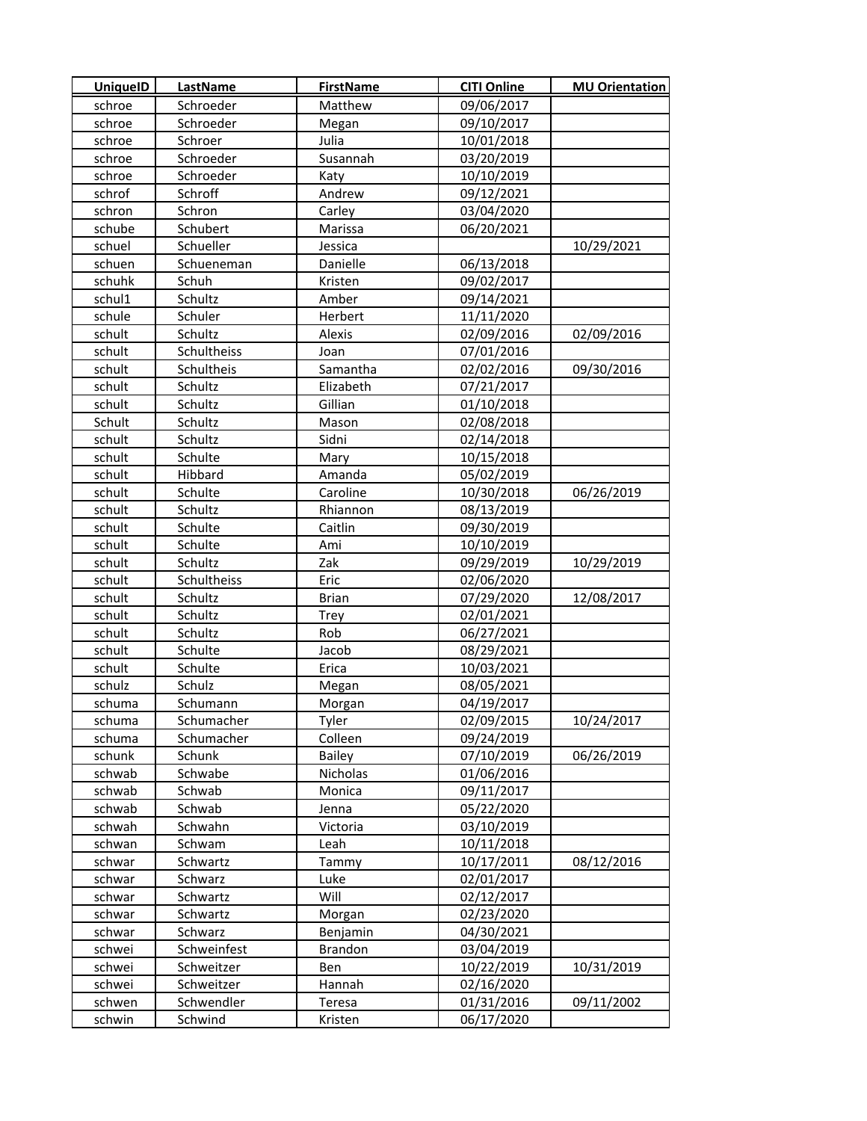| <b>UniquelD</b> | LastName    | <b>FirstName</b> | <b>CITI Online</b> | <b>MU Orientation</b> |
|-----------------|-------------|------------------|--------------------|-----------------------|
| schroe          | Schroeder   | Matthew          | 09/06/2017         |                       |
| schroe          | Schroeder   | Megan            | 09/10/2017         |                       |
| schroe          | Schroer     | Julia            | 10/01/2018         |                       |
| schroe          | Schroeder   | Susannah         | 03/20/2019         |                       |
| schroe          | Schroeder   | Katy             | 10/10/2019         |                       |
| schrof          | Schroff     | Andrew           | 09/12/2021         |                       |
| schron          | Schron      | Carley           | 03/04/2020         |                       |
| schube          | Schubert    | Marissa          | 06/20/2021         |                       |
| schuel          | Schueller   | Jessica          |                    | 10/29/2021            |
| schuen          | Schueneman  | Danielle         | 06/13/2018         |                       |
| schuhk          | Schuh       | Kristen          | 09/02/2017         |                       |
| schul1          | Schultz     | Amber            | 09/14/2021         |                       |
| schule          | Schuler     | Herbert          | 11/11/2020         |                       |
| schult          | Schultz     | Alexis           | 02/09/2016         | 02/09/2016            |
| schult          | Schultheiss | Joan             | 07/01/2016         |                       |
| schult          | Schultheis  | Samantha         | 02/02/2016         | 09/30/2016            |
| schult          | Schultz     | Elizabeth        | 07/21/2017         |                       |
| schult          | Schultz     | Gillian          | 01/10/2018         |                       |
| Schult          | Schultz     | Mason            | 02/08/2018         |                       |
| schult          | Schultz     | Sidni            | 02/14/2018         |                       |
| schult          | Schulte     | Mary             | 10/15/2018         |                       |
| schult          | Hibbard     | Amanda           | 05/02/2019         |                       |
| schult          | Schulte     | Caroline         | 10/30/2018         | 06/26/2019            |
| schult          | Schultz     | Rhiannon         | 08/13/2019         |                       |
| schult          | Schulte     | Caitlin          | 09/30/2019         |                       |
| schult          | Schulte     | Ami              | 10/10/2019         |                       |
| schult          | Schultz     | Zak              | 09/29/2019         | 10/29/2019            |
| schult          | Schultheiss | Eric             | 02/06/2020         |                       |
| schult          | Schultz     | <b>Brian</b>     | 07/29/2020         | 12/08/2017            |
| schult          | Schultz     | Trey             | 02/01/2021         |                       |
| schult          | Schultz     | Rob              | 06/27/2021         |                       |
| schult          | Schulte     | Jacob            | 08/29/2021         |                       |
| schult          | Schulte     | Erica            | 10/03/2021         |                       |
| schulz          | Schulz      | Megan            | 08/05/2021         |                       |
| schuma          | Schumann    | Morgan           | 04/19/2017         |                       |
| schuma          | Schumacher  | Tyler            | 02/09/2015         | 10/24/2017            |
| schuma          | Schumacher  | Colleen          | 09/24/2019         |                       |
| schunk          | Schunk      | <b>Bailey</b>    | 07/10/2019         | 06/26/2019            |
| schwab          | Schwabe     | Nicholas         | 01/06/2016         |                       |
| schwab          | Schwab      | Monica           | 09/11/2017         |                       |
| schwab          | Schwab      | Jenna            | 05/22/2020         |                       |
| schwah          | Schwahn     | Victoria         | 03/10/2019         |                       |
| schwan          | Schwam      | Leah             | 10/11/2018         |                       |
| schwar          | Schwartz    | Tammy            | 10/17/2011         | 08/12/2016            |
| schwar          | Schwarz     | Luke             | 02/01/2017         |                       |
| schwar          | Schwartz    | Will             | 02/12/2017         |                       |
| schwar          | Schwartz    | Morgan           | 02/23/2020         |                       |
| schwar          | Schwarz     | Benjamin         | 04/30/2021         |                       |
| schwei          | Schweinfest | <b>Brandon</b>   | 03/04/2019         |                       |
| schwei          | Schweitzer  | Ben              | 10/22/2019         | 10/31/2019            |
| schwei          | Schweitzer  | Hannah           | 02/16/2020         |                       |
| schwen          | Schwendler  | Teresa           | 01/31/2016         | 09/11/2002            |
| schwin          | Schwind     | Kristen          | 06/17/2020         |                       |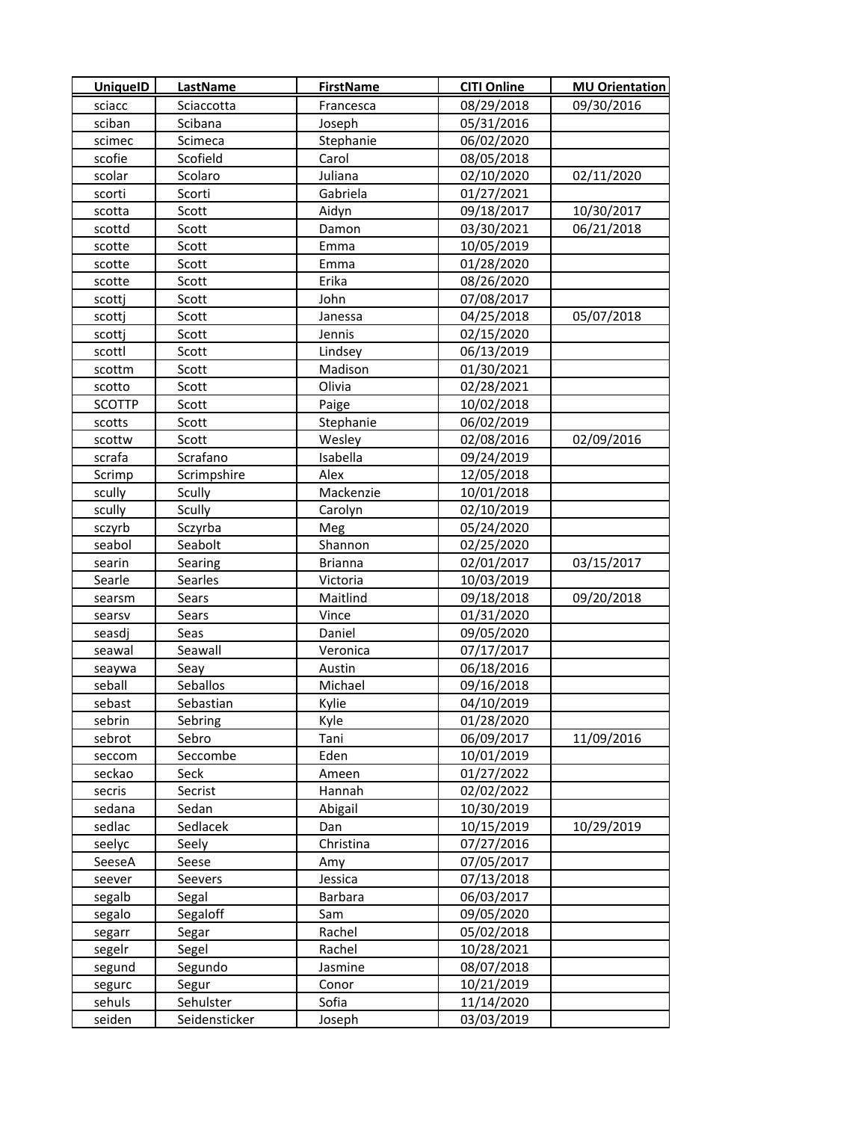| <b>UniquelD</b> | LastName      | <b>FirstName</b> | <b>CITI Online</b> | <b>MU Orientation</b> |
|-----------------|---------------|------------------|--------------------|-----------------------|
| sciacc          | Sciaccotta    | Francesca        | 08/29/2018         | 09/30/2016            |
| sciban          | Scibana       | Joseph           | 05/31/2016         |                       |
| scimec          | Scimeca       | Stephanie        | 06/02/2020         |                       |
| scofie          | Scofield      | Carol            | 08/05/2018         |                       |
| scolar          | Scolaro       | Juliana          | 02/10/2020         | 02/11/2020            |
| scorti          | Scorti        | Gabriela         | 01/27/2021         |                       |
| scotta          | Scott         | Aidyn            | 09/18/2017         | 10/30/2017            |
| scottd          | Scott         | Damon            | 03/30/2021         | 06/21/2018            |
| scotte          | Scott         | Emma             | 10/05/2019         |                       |
| scotte          | Scott         | Emma             | 01/28/2020         |                       |
| scotte          | Scott         | Erika            | 08/26/2020         |                       |
| scottj          | Scott         | John             | 07/08/2017         |                       |
| scottj          | Scott         | Janessa          | 04/25/2018         | 05/07/2018            |
| scottj          | Scott         | Jennis           | 02/15/2020         |                       |
| scottl          | Scott         | Lindsey          | 06/13/2019         |                       |
| scottm          | Scott         | Madison          | 01/30/2021         |                       |
| scotto          | Scott         | Olivia           | 02/28/2021         |                       |
| <b>SCOTTP</b>   | Scott         | Paige            | 10/02/2018         |                       |
| scotts          | Scott         | Stephanie        | 06/02/2019         |                       |
| scottw          | Scott         | Wesley           | 02/08/2016         | 02/09/2016            |
| scrafa          | Scrafano      | Isabella         | 09/24/2019         |                       |
| Scrimp          | Scrimpshire   | Alex             | 12/05/2018         |                       |
| scully          | Scully        | Mackenzie        | 10/01/2018         |                       |
| scully          | Scully        | Carolyn          | 02/10/2019         |                       |
| sczyrb          | Sczyrba       | Meg              | 05/24/2020         |                       |
| seabol          | Seabolt       | Shannon          | 02/25/2020         |                       |
| searin          | Searing       | <b>Brianna</b>   | 02/01/2017         | 03/15/2017            |
| Searle          | Searles       | Victoria         | 10/03/2019         |                       |
| searsm          | Sears         | Maitlind         | 09/18/2018         | 09/20/2018            |
| searsv          | Sears         | Vince            | 01/31/2020         |                       |
| seasdi          | Seas          | Daniel           | 09/05/2020         |                       |
| seawal          | Seawall       | Veronica         | 07/17/2017         |                       |
| seaywa          | Seay          | Austin           | 06/18/2016         |                       |
| seball          | Seballos      | Michael          | 09/16/2018         |                       |
| sebast          | Sebastian     | Kylie            | 04/10/2019         |                       |
| sebrin          | Sebring       | Kyle             | 01/28/2020         |                       |
| sebrot          | Sebro         | Tani             | 06/09/2017         | 11/09/2016            |
| seccom          | Seccombe      | Eden             | 10/01/2019         |                       |
| seckao          | Seck          | Ameen            | 01/27/2022         |                       |
| secris          | Secrist       | Hannah           | 02/02/2022         |                       |
| sedana          | Sedan         | Abigail          | 10/30/2019         |                       |
| sedlac          | Sedlacek      | Dan              | 10/15/2019         | 10/29/2019            |
| seelyc          | Seely         | Christina        | 07/27/2016         |                       |
| SeeseA          | Seese         | Amy              | 07/05/2017         |                       |
| seever          | Seevers       | Jessica          | 07/13/2018         |                       |
| segalb          | Segal         | Barbara          | 06/03/2017         |                       |
| segalo          | Segaloff      | Sam              | 09/05/2020         |                       |
| segarr          | Segar         | Rachel           | 05/02/2018         |                       |
| segelr          | Segel         | Rachel           | 10/28/2021         |                       |
| segund          | Segundo       | Jasmine          | 08/07/2018         |                       |
| segurc          | Segur         | Conor            | 10/21/2019         |                       |
| sehuls          | Sehulster     | Sofia            | 11/14/2020         |                       |
| seiden          | Seidensticker | Joseph           | 03/03/2019         |                       |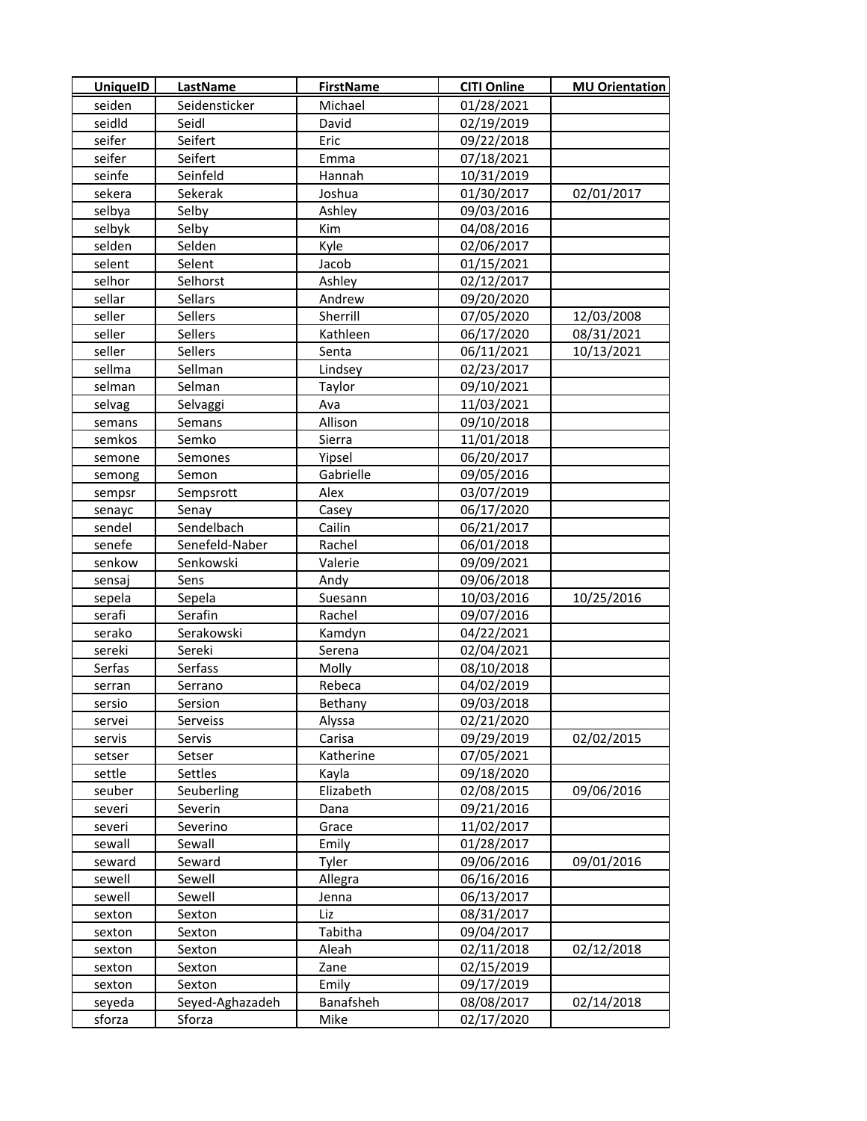| <b>UniquelD</b> | LastName        | <b>FirstName</b> | <b>CITI Online</b> | <b>MU Orientation</b> |
|-----------------|-----------------|------------------|--------------------|-----------------------|
| seiden          | Seidensticker   | Michael          | 01/28/2021         |                       |
| seidld          | Seidl           | David            | 02/19/2019         |                       |
| seifer          | Seifert         | Eric             | 09/22/2018         |                       |
| seifer          | Seifert         | Emma             | 07/18/2021         |                       |
| seinfe          | Seinfeld        | Hannah           | 10/31/2019         |                       |
| sekera          | Sekerak         | Joshua           | 01/30/2017         | 02/01/2017            |
| selbya          | Selby           | Ashley           | 09/03/2016         |                       |
| selbyk          | Selby           | Kim              | 04/08/2016         |                       |
| selden          | Selden          | Kyle             | 02/06/2017         |                       |
| selent          | Selent          | Jacob            | 01/15/2021         |                       |
| selhor          | Selhorst        | Ashley           | 02/12/2017         |                       |
| sellar          | Sellars         | Andrew           | 09/20/2020         |                       |
| seller          | Sellers         | Sherrill         | 07/05/2020         | 12/03/2008            |
| seller          | Sellers         | Kathleen         | 06/17/2020         | 08/31/2021            |
| seller          | Sellers         | Senta            | 06/11/2021         | 10/13/2021            |
| sellma          | Sellman         | Lindsey          | 02/23/2017         |                       |
| selman          | Selman          | Taylor           | 09/10/2021         |                       |
| selvag          | Selvaggi        | Ava              | 11/03/2021         |                       |
| semans          | Semans          | Allison          | 09/10/2018         |                       |
| semkos          | Semko           | Sierra           | 11/01/2018         |                       |
| semone          | Semones         | Yipsel           | 06/20/2017         |                       |
| semong          | Semon           | Gabrielle        | 09/05/2016         |                       |
| sempsr          | Sempsrott       | Alex             | 03/07/2019         |                       |
| senayc          | Senay           | Casey            | 06/17/2020         |                       |
| sendel          | Sendelbach      | Cailin           | 06/21/2017         |                       |
| senefe          | Senefeld-Naber  | Rachel           | 06/01/2018         |                       |
| senkow          | Senkowski       | Valerie          | 09/09/2021         |                       |
| sensaj          | Sens            | Andy             | 09/06/2018         |                       |
| sepela          | Sepela          | Suesann          | 10/03/2016         | 10/25/2016            |
| serafi          | Serafin         | Rachel           | 09/07/2016         |                       |
| serako          | Serakowski      | Kamdyn           | 04/22/2021         |                       |
| sereki          | Sereki          | Serena           | 02/04/2021         |                       |
| Serfas          | Serfass         | Molly            | 08/10/2018         |                       |
| serran          | Serrano         | Rebeca           | 04/02/2019         |                       |
| sersio          | Sersion         | Bethany          | 09/03/2018         |                       |
| servei          | Serveiss        | Alyssa           | 02/21/2020         |                       |
| servis          | Servis          | Carisa           | 09/29/2019         | 02/02/2015            |
| setser          | Setser          | Katherine        | 07/05/2021         |                       |
| settle          | Settles         | Kayla            | 09/18/2020         |                       |
| seuber          | Seuberling      | Elizabeth        | 02/08/2015         | 09/06/2016            |
| severi          | Severin         | Dana             | 09/21/2016         |                       |
| severi          | Severino        | Grace            | 11/02/2017         |                       |
| sewall          | Sewall          | Emily            | 01/28/2017         |                       |
| seward          | Seward          | Tyler            | 09/06/2016         | 09/01/2016            |
| sewell          | Sewell          | Allegra          | 06/16/2016         |                       |
| sewell          | Sewell          | Jenna            | 06/13/2017         |                       |
| sexton          | Sexton          | Liz              | 08/31/2017         |                       |
| sexton          | Sexton          | Tabitha          | 09/04/2017         |                       |
| sexton          | Sexton          | Aleah            | 02/11/2018         | 02/12/2018            |
| sexton          | Sexton          | Zane             | 02/15/2019         |                       |
| sexton          | Sexton          | Emily            | 09/17/2019         |                       |
| seyeda          | Seyed-Aghazadeh | Banafsheh        | 08/08/2017         | 02/14/2018            |
| sforza          | Sforza          | Mike             | 02/17/2020         |                       |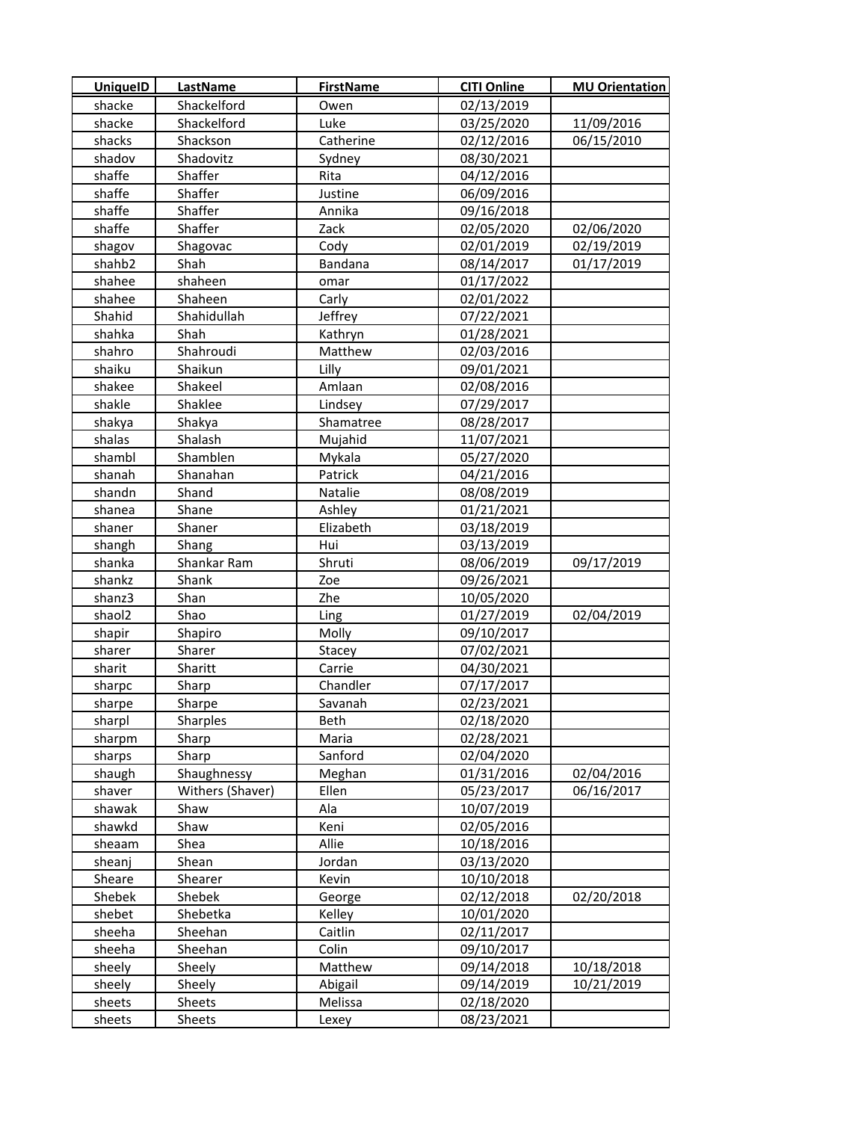| <b>UniquelD</b> | LastName         | <b>FirstName</b> | <b>CITI Online</b> | <b>MU Orientation</b> |
|-----------------|------------------|------------------|--------------------|-----------------------|
| shacke          | Shackelford      | Owen             | 02/13/2019         |                       |
| shacke          | Shackelford      | Luke             | 03/25/2020         | 11/09/2016            |
| shacks          | Shackson         | Catherine        | 02/12/2016         | 06/15/2010            |
| shadov          | Shadovitz        | Sydney           | 08/30/2021         |                       |
| shaffe          | Shaffer          | Rita             | 04/12/2016         |                       |
| shaffe          | Shaffer          | Justine          | 06/09/2016         |                       |
| shaffe          | Shaffer          | Annika           | 09/16/2018         |                       |
| shaffe          | Shaffer          | Zack             | 02/05/2020         | 02/06/2020            |
| shagov          | Shagovac         | Cody             | 02/01/2019         | 02/19/2019            |
| shahb2          | Shah             | Bandana          | 08/14/2017         | 01/17/2019            |
| shahee          | shaheen          | omar             | 01/17/2022         |                       |
| shahee          | Shaheen          | Carly            | 02/01/2022         |                       |
| Shahid          | Shahidullah      | Jeffrey          | 07/22/2021         |                       |
| shahka          | Shah             | Kathryn          | 01/28/2021         |                       |
| shahro          | Shahroudi        | Matthew          | 02/03/2016         |                       |
| shaiku          | Shaikun          | Lilly            | 09/01/2021         |                       |
| shakee          | Shakeel          | Amlaan           | 02/08/2016         |                       |
| shakle          | Shaklee          | Lindsey          | 07/29/2017         |                       |
| shakya          | Shakya           | Shamatree        | 08/28/2017         |                       |
| shalas          | Shalash          | Mujahid          | 11/07/2021         |                       |
| shambl          | Shamblen         | Mykala           | 05/27/2020         |                       |
| shanah          | Shanahan         | Patrick          | 04/21/2016         |                       |
| shandn          | Shand            | Natalie          | 08/08/2019         |                       |
| shanea          | Shane            | Ashley           | 01/21/2021         |                       |
| shaner          | Shaner           | Elizabeth        | 03/18/2019         |                       |
| shangh          | Shang            | Hui              | 03/13/2019         |                       |
| shanka          | Shankar Ram      | Shruti           | 08/06/2019         | 09/17/2019            |
| shankz          | Shank            | Zoe              | 09/26/2021         |                       |
| shanz3          | Shan             | Zhe              | 10/05/2020         |                       |
| shaol2          | Shao             | Ling             | 01/27/2019         | 02/04/2019            |
| shapir          | Shapiro          | Molly            | 09/10/2017         |                       |
| sharer          | Sharer           | Stacey           | 07/02/2021         |                       |
| sharit          | Sharitt          | Carrie           | 04/30/2021         |                       |
| sharpc          | Sharp            | Chandler         | 07/17/2017         |                       |
| sharpe          | Sharpe           | Savanah          | 02/23/2021         |                       |
| sharpl          | Sharples         | Beth             | 02/18/2020         |                       |
| sharpm          | Sharp            | Maria            | 02/28/2021         |                       |
| sharps          | Sharp            | Sanford          | 02/04/2020         |                       |
| shaugh          | Shaughnessy      | Meghan           | 01/31/2016         | 02/04/2016            |
| shaver          | Withers (Shaver) | Ellen            | 05/23/2017         | 06/16/2017            |
| shawak          | Shaw             | Ala              | 10/07/2019         |                       |
| shawkd          | Shaw             | Keni             | 02/05/2016         |                       |
| sheaam          | Shea             | Allie            | 10/18/2016         |                       |
| sheanj          | Shean            | Jordan           | 03/13/2020         |                       |
| Sheare          | Shearer          | Kevin            | 10/10/2018         |                       |
| Shebek          | Shebek           | George           | 02/12/2018         | 02/20/2018            |
| shebet          | Shebetka         | Kelley           | 10/01/2020         |                       |
| sheeha          | Sheehan          | Caitlin          | 02/11/2017         |                       |
| sheeha          | Sheehan          | Colin            | 09/10/2017         |                       |
| sheely          | Sheely           | Matthew          | 09/14/2018         | 10/18/2018            |
| sheely          | Sheely           | Abigail          | 09/14/2019         | 10/21/2019            |
| sheets          | Sheets           | Melissa          | 02/18/2020         |                       |
| sheets          | Sheets           | Lexey            | 08/23/2021         |                       |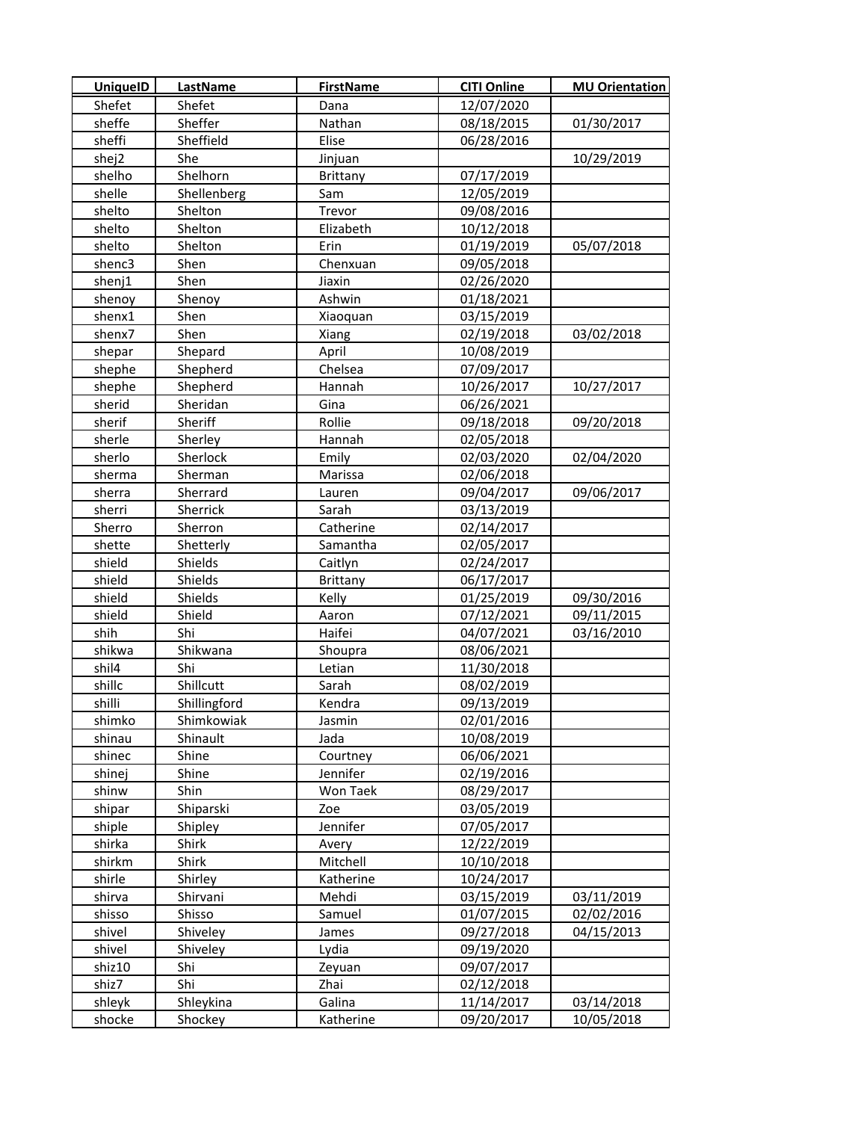| <b>UniquelD</b> | LastName     | <b>FirstName</b> | <b>CITI Online</b> | <b>MU Orientation</b> |
|-----------------|--------------|------------------|--------------------|-----------------------|
| Shefet          | Shefet       | Dana             | 12/07/2020         |                       |
| sheffe          | Sheffer      | Nathan           | 08/18/2015         | 01/30/2017            |
| sheffi          | Sheffield    | Elise            | 06/28/2016         |                       |
| shej2           | She          | Jinjuan          |                    | 10/29/2019            |
| shelho          | Shelhorn     | Brittany         | 07/17/2019         |                       |
| shelle          | Shellenberg  | Sam              | 12/05/2019         |                       |
| shelto          | Shelton      | Trevor           | 09/08/2016         |                       |
| shelto          | Shelton      | Elizabeth        | 10/12/2018         |                       |
| shelto          | Shelton      | Erin             | 01/19/2019         | 05/07/2018            |
| shenc3          | Shen         | Chenxuan         | 09/05/2018         |                       |
| shenj1          | Shen         | Jiaxin           | 02/26/2020         |                       |
| shenoy          | Shenoy       | Ashwin           | 01/18/2021         |                       |
| shenx1          | Shen         | Xiaoquan         | 03/15/2019         |                       |
| shenx7          | Shen         | Xiang            | 02/19/2018         | 03/02/2018            |
| shepar          | Shepard      | April            | 10/08/2019         |                       |
| shephe          | Shepherd     | Chelsea          | 07/09/2017         |                       |
| shephe          | Shepherd     | Hannah           | 10/26/2017         | 10/27/2017            |
| sherid          | Sheridan     | Gina             | 06/26/2021         |                       |
| sherif          | Sheriff      | Rollie           | 09/18/2018         | 09/20/2018            |
| sherle          | Sherley      | Hannah           | 02/05/2018         |                       |
| sherlo          | Sherlock     | Emily            | 02/03/2020         | 02/04/2020            |
| sherma          | Sherman      | Marissa          | 02/06/2018         |                       |
| sherra          | Sherrard     | Lauren           | 09/04/2017         | 09/06/2017            |
| sherri          | Sherrick     | Sarah            | 03/13/2019         |                       |
| Sherro          | Sherron      | Catherine        | 02/14/2017         |                       |
| shette          | Shetterly    | Samantha         | 02/05/2017         |                       |
| shield          | Shields      | Caitlyn          | 02/24/2017         |                       |
| shield          | Shields      | <b>Brittany</b>  | 06/17/2017         |                       |
| shield          | Shields      | Kelly            | 01/25/2019         | 09/30/2016            |
| shield          | Shield       | Aaron            | 07/12/2021         | 09/11/2015            |
| shih            | Shi          | Haifei           | 04/07/2021         | 03/16/2010            |
| shikwa          | Shikwana     | Shoupra          | 08/06/2021         |                       |
| shil4           | Shi          | Letian           | 11/30/2018         |                       |
| shillc          | Shillcutt    | Sarah            | 08/02/2019         |                       |
| shilli          | Shillingford | Kendra           | 09/13/2019         |                       |
| shimko          | Shimkowiak   | Jasmin           | 02/01/2016         |                       |
| shinau          | Shinault     | Jada             | 10/08/2019         |                       |
| shinec          | Shine        | Courtney         | 06/06/2021         |                       |
| shinej          | Shine        | Jennifer         | 02/19/2016         |                       |
| shinw           | Shin         | Won Taek         | 08/29/2017         |                       |
| shipar          | Shiparski    | Zoe              | 03/05/2019         |                       |
| shiple          | Shipley      | Jennifer         | 07/05/2017         |                       |
| shirka          | Shirk        | Avery            | 12/22/2019         |                       |
| shirkm          | Shirk        | Mitchell         | 10/10/2018         |                       |
| shirle          | Shirley      | Katherine        | 10/24/2017         |                       |
| shirva          | Shirvani     | Mehdi            | 03/15/2019         | 03/11/2019            |
| shisso          | Shisso       | Samuel           | 01/07/2015         | 02/02/2016            |
| shivel          | Shiveley     | James            | 09/27/2018         | 04/15/2013            |
| shivel          | Shiveley     | Lydia            | 09/19/2020         |                       |
| shiz10          | Shi          | Zeyuan           | 09/07/2017         |                       |
| shiz7           | Shi          | Zhai             | 02/12/2018         |                       |
| shleyk          | Shleykina    | Galina           | 11/14/2017         | 03/14/2018            |
| shocke          | Shockey      | Katherine        | 09/20/2017         | 10/05/2018            |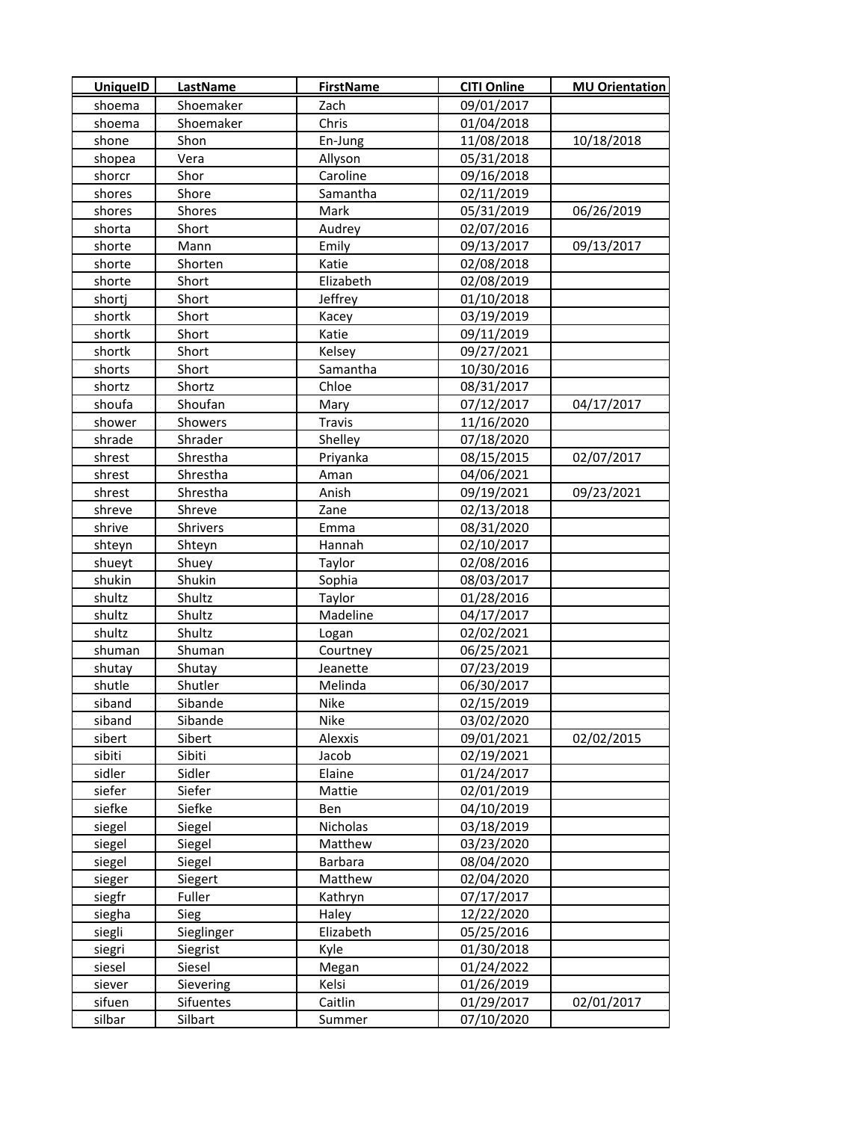| <b>UniquelD</b>  | LastName           | <b>FirstName</b>   | <b>CITI Online</b>       | <b>MU Orientation</b> |
|------------------|--------------------|--------------------|--------------------------|-----------------------|
| shoema           | Shoemaker          | Zach               | 09/01/2017               |                       |
| shoema           | Shoemaker          | Chris              | 01/04/2018               |                       |
| shone            | Shon               | En-Jung            | 11/08/2018               | 10/18/2018            |
| shopea           | Vera               | Allyson            | 05/31/2018               |                       |
| shorcr           | Shor               | Caroline           | 09/16/2018               |                       |
| shores           | Shore              | Samantha           | 02/11/2019               |                       |
| shores           | Shores             | Mark               | 05/31/2019               | 06/26/2019            |
| shorta           | Short              | Audrey             | 02/07/2016               |                       |
| shorte           | Mann               | Emily              | 09/13/2017               | 09/13/2017            |
| shorte           | Shorten            | Katie              | 02/08/2018               |                       |
| shorte           | Short              | Elizabeth          | 02/08/2019               |                       |
| shortj           | Short              | Jeffrey            | 01/10/2018               |                       |
| shortk           | Short              | Kacey              | 03/19/2019               |                       |
| shortk           | Short              | Katie              | 09/11/2019               |                       |
| shortk           | Short              | Kelsey             | 09/27/2021               |                       |
| shorts           | Short              | Samantha           | 10/30/2016               |                       |
| shortz           | Shortz             | Chloe              | 08/31/2017               |                       |
| shoufa           | Shoufan            | Mary               | 07/12/2017               | 04/17/2017            |
| shower           | Showers            | <b>Travis</b>      | 11/16/2020               |                       |
| shrade           | Shrader            | Shelley            | 07/18/2020               |                       |
| shrest           | Shrestha           | Priyanka           | 08/15/2015               | 02/07/2017            |
| shrest           | Shrestha           | Aman               | 04/06/2021               |                       |
| shrest           | Shrestha           | Anish              | 09/19/2021               | 09/23/2021            |
| shreve           | Shreve             | Zane               | 02/13/2018               |                       |
| shrive           | <b>Shrivers</b>    | Emma               | 08/31/2020               |                       |
| shteyn           | Shteyn             | Hannah             | 02/10/2017               |                       |
| shueyt           | Shuey              | Taylor             | 02/08/2016               |                       |
| shukin           | Shukin             | Sophia             | 08/03/2017               |                       |
| shultz           | Shultz             | Taylor             | 01/28/2016               |                       |
| shultz           | Shultz             | Madeline           | 04/17/2017               |                       |
| shultz           | Shultz             | Logan              | 02/02/2021               |                       |
| shuman           | Shuman             | Courtney           | 06/25/2021               |                       |
| shutay           | Shutay             | Jeanette           | 07/23/2019               |                       |
| shutle           | Shutler            | Melinda            | 06/30/2017               |                       |
| siband           | Sibande            | Nike               | 02/15/2019               |                       |
| siband           | Sibande            | Nike               | 03/02/2020               |                       |
| sibert           | Sibert             | Alexxis            | 09/01/2021               | 02/02/2015            |
| sibiti           | Sibiti             | Jacob              | 02/19/2021               |                       |
| sidler           | Sidler             | Elaine             | 01/24/2017               |                       |
| siefer           | Siefer             | Mattie             | 02/01/2019               |                       |
| siefke           | Siefke             | Ben                | 04/10/2019               |                       |
| siegel           | Siegel             | Nicholas           | 03/18/2019               |                       |
| siegel           | Siegel             | Matthew            | 03/23/2020               |                       |
| siegel           | Siegel             | Barbara            | 08/04/2020               |                       |
| sieger           | Siegert            | Matthew            | 02/04/2020               |                       |
| siegfr           | Fuller             | Kathryn            | 07/17/2017               |                       |
| siegha           | Sieg               | Haley<br>Elizabeth | 12/22/2020               |                       |
| siegli           | Sieglinger         |                    | 05/25/2016               |                       |
| siegri<br>siesel | Siegrist<br>Siesel | Kyle               | 01/30/2018<br>01/24/2022 |                       |
| siever           | Sievering          | Megan<br>Kelsi     | 01/26/2019               |                       |
| sifuen           | Sifuentes          | Caitlin            | 01/29/2017               | 02/01/2017            |
| silbar           | Silbart            | Summer             | 07/10/2020               |                       |
|                  |                    |                    |                          |                       |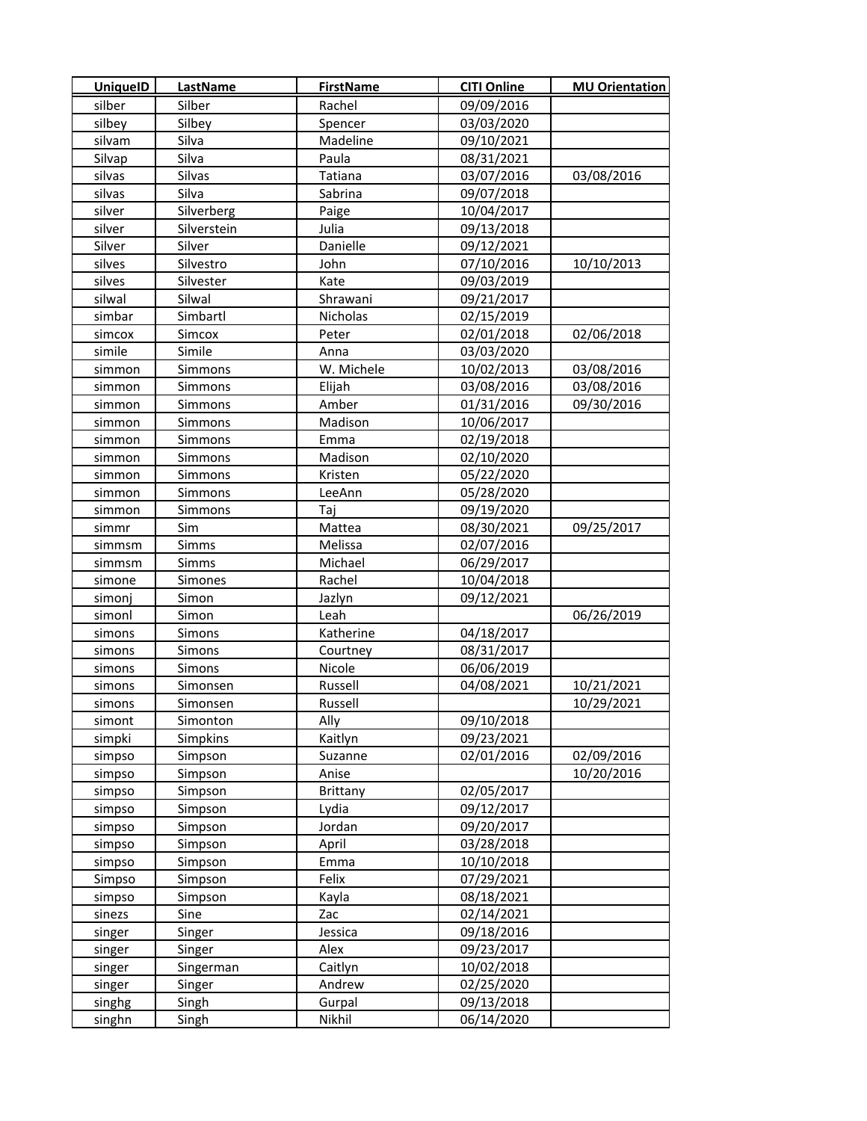| <b>UniquelD</b> | LastName    | <b>FirstName</b> | <b>CITI Online</b> | <b>MU Orientation</b> |
|-----------------|-------------|------------------|--------------------|-----------------------|
| silber          | Silber      | Rachel           | 09/09/2016         |                       |
| silbey          | Silbey      | Spencer          | 03/03/2020         |                       |
| silvam          | Silva       | Madeline         | 09/10/2021         |                       |
| Silvap          | Silva       | Paula            | 08/31/2021         |                       |
| silvas          | Silvas      | Tatiana          | 03/07/2016         | 03/08/2016            |
| silvas          | Silva       | Sabrina          | 09/07/2018         |                       |
| silver          | Silverberg  | Paige            | 10/04/2017         |                       |
| silver          | Silverstein | Julia            | 09/13/2018         |                       |
| Silver          | Silver      | Danielle         | 09/12/2021         |                       |
| silves          | Silvestro   | John             | 07/10/2016         | 10/10/2013            |
| silves          | Silvester   | Kate             | 09/03/2019         |                       |
| silwal          | Silwal      | Shrawani         | 09/21/2017         |                       |
| simbar          | Simbartl    | <b>Nicholas</b>  | 02/15/2019         |                       |
| simcox          | Simcox      | Peter            | 02/01/2018         | 02/06/2018            |
| simile          | Simile      | Anna             | 03/03/2020         |                       |
| simmon          | Simmons     | W. Michele       | 10/02/2013         | 03/08/2016            |
| simmon          | Simmons     | Elijah           | 03/08/2016         | 03/08/2016            |
| simmon          | Simmons     | Amber            | 01/31/2016         | 09/30/2016            |
| simmon          | Simmons     | Madison          | 10/06/2017         |                       |
| simmon          | Simmons     | Emma             | 02/19/2018         |                       |
| simmon          | Simmons     | Madison          | 02/10/2020         |                       |
| simmon          | Simmons     | Kristen          | 05/22/2020         |                       |
| simmon          | Simmons     | LeeAnn           | 05/28/2020         |                       |
| simmon          | Simmons     | Taj              | 09/19/2020         |                       |
| simmr           | Sim         | Mattea           | 08/30/2021         | 09/25/2017            |
| simmsm          | Simms       | Melissa          | 02/07/2016         |                       |
| simmsm          | Simms       | Michael          | 06/29/2017         |                       |
| simone          | Simones     | Rachel           | 10/04/2018         |                       |
| simonj          | Simon       | Jazlyn           | 09/12/2021         |                       |
| simonl          | Simon       | Leah             |                    | 06/26/2019            |
| simons          | Simons      | Katherine        | 04/18/2017         |                       |
| simons          | Simons      | Courtney         | 08/31/2017         |                       |
| simons          | Simons      | Nicole           | 06/06/2019         |                       |
| simons          | Simonsen    | Russell          | 04/08/2021         | 10/21/2021            |
| simons          | Simonsen    | Russell          |                    | 10/29/2021            |
| simont          | Simonton    | Ally             | 09/10/2018         |                       |
| simpki          | Simpkins    | Kaitlyn          | 09/23/2021         |                       |
| simpso          | Simpson     | Suzanne          | 02/01/2016         | 02/09/2016            |
| simpso          | Simpson     | Anise            |                    | 10/20/2016            |
| simpso          | Simpson     | <b>Brittany</b>  | 02/05/2017         |                       |
| simpso          | Simpson     | Lydia            | 09/12/2017         |                       |
| simpso          | Simpson     | Jordan           | 09/20/2017         |                       |
| simpso          | Simpson     | April            | 03/28/2018         |                       |
| simpso          | Simpson     | Emma             | 10/10/2018         |                       |
| Simpso          | Simpson     | Felix            | 07/29/2021         |                       |
| simpso          | Simpson     | Kayla            | 08/18/2021         |                       |
| sinezs          | Sine        | Zac              | 02/14/2021         |                       |
| singer          | Singer      | Jessica          | 09/18/2016         |                       |
| singer          | Singer      | Alex             | 09/23/2017         |                       |
| singer          | Singerman   | Caitlyn          | 10/02/2018         |                       |
| singer          | Singer      | Andrew           | 02/25/2020         |                       |
| singhg          | Singh       | Gurpal           | 09/13/2018         |                       |
| singhn          | Singh       | Nikhil           | 06/14/2020         |                       |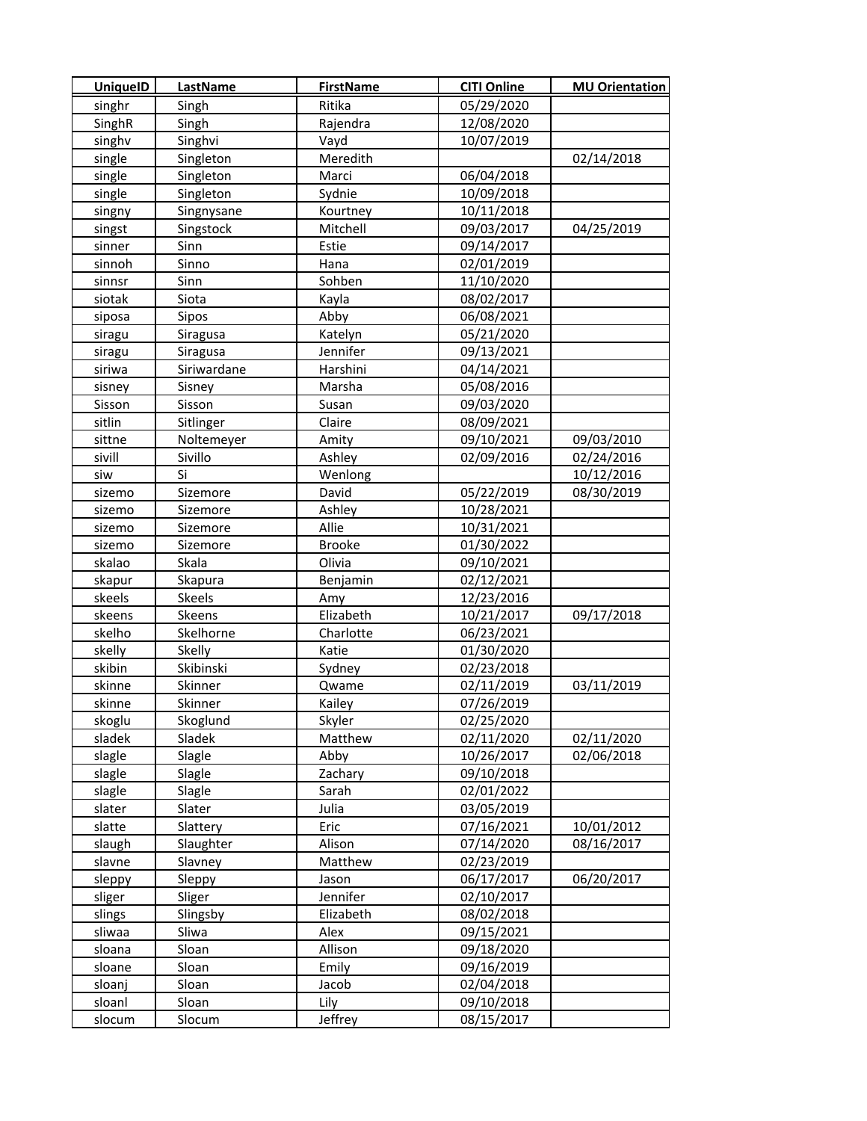| <b>UniquelD</b> | <b>LastName</b> | <b>FirstName</b> | <b>CITI Online</b> | <b>MU Orientation</b> |
|-----------------|-----------------|------------------|--------------------|-----------------------|
| singhr          | Singh           | Ritika           | 05/29/2020         |                       |
| SinghR          | Singh           | Rajendra         | 12/08/2020         |                       |
| singhv          | Singhvi         | Vayd             | 10/07/2019         |                       |
| single          | Singleton       | Meredith         |                    | 02/14/2018            |
| single          | Singleton       | Marci            | 06/04/2018         |                       |
| single          | Singleton       | Sydnie           | 10/09/2018         |                       |
| singny          | Singnysane      | Kourtney         | 10/11/2018         |                       |
| singst          | Singstock       | Mitchell         | 09/03/2017         | 04/25/2019            |
| sinner          | Sinn            | Estie            | 09/14/2017         |                       |
| sinnoh          | Sinno           | Hana             | 02/01/2019         |                       |
| sinnsr          | Sinn            | Sohben           | 11/10/2020         |                       |
| siotak          | Siota           | Kayla            | 08/02/2017         |                       |
| siposa          | Sipos           | Abby             | 06/08/2021         |                       |
| siragu          | Siragusa        | Katelyn          | 05/21/2020         |                       |
| siragu          | Siragusa        | Jennifer         | 09/13/2021         |                       |
| siriwa          | Siriwardane     | Harshini         | 04/14/2021         |                       |
| sisney          | Sisney          | Marsha           | 05/08/2016         |                       |
| Sisson          | Sisson          | Susan            | 09/03/2020         |                       |
| sitlin          | Sitlinger       | Claire           | 08/09/2021         |                       |
| sittne          | Noltemeyer      | Amity            | 09/10/2021         | 09/03/2010            |
| sivill          | Sivillo         | Ashley           | 02/09/2016         | 02/24/2016            |
| siw             | Si              | Wenlong          |                    | 10/12/2016            |
| sizemo          | Sizemore        | David            | 05/22/2019         | 08/30/2019            |
| sizemo          | Sizemore        | Ashley           | 10/28/2021         |                       |
| sizemo          | Sizemore        | Allie            | 10/31/2021         |                       |
| sizemo          | Sizemore        | <b>Brooke</b>    | 01/30/2022         |                       |
| skalao          | Skala           | Olivia           | 09/10/2021         |                       |
| skapur          | Skapura         | Benjamin         | 02/12/2021         |                       |
| skeels          | Skeels          | Amy              | 12/23/2016         |                       |
| skeens          | Skeens          | Elizabeth        | 10/21/2017         | 09/17/2018            |
| skelho          | Skelhorne       | Charlotte        | 06/23/2021         |                       |
| skelly          | Skelly          | Katie            | 01/30/2020         |                       |
| skibin          | Skibinski       | Sydney           | 02/23/2018         |                       |
| skinne          | Skinner         | Qwame            | 02/11/2019         | 03/11/2019            |
| skinne          | Skinner         | Kailey           | 07/26/2019         |                       |
| skoglu          | Skoglund        | Skyler           | 02/25/2020         |                       |
| sladek          | Sladek          | Matthew          | 02/11/2020         | 02/11/2020            |
| slagle          | Slagle          | Abby             | 10/26/2017         | 02/06/2018            |
| slagle          | Slagle          | Zachary          | 09/10/2018         |                       |
| slagle          | Slagle          | Sarah            | 02/01/2022         |                       |
| slater          | Slater          | Julia            | 03/05/2019         |                       |
| slatte          | Slattery        | Eric             | 07/16/2021         | 10/01/2012            |
| slaugh          | Slaughter       | Alison           | 07/14/2020         | 08/16/2017            |
| slavne          | Slavney         | Matthew          | 02/23/2019         |                       |
| sleppy          | Sleppy          | Jason            | 06/17/2017         | 06/20/2017            |
| sliger          | Sliger          | Jennifer         | 02/10/2017         |                       |
| slings          | Slingsby        | Elizabeth        | 08/02/2018         |                       |
| sliwaa          | Sliwa           | Alex             | 09/15/2021         |                       |
| sloana          | Sloan           | Allison          | 09/18/2020         |                       |
| sloane          | Sloan           | Emily            | 09/16/2019         |                       |
| sloanj          | Sloan           | Jacob            | 02/04/2018         |                       |
| sloanl          | Sloan           | Lily             | 09/10/2018         |                       |
| slocum          | Slocum          | Jeffrey          | 08/15/2017         |                       |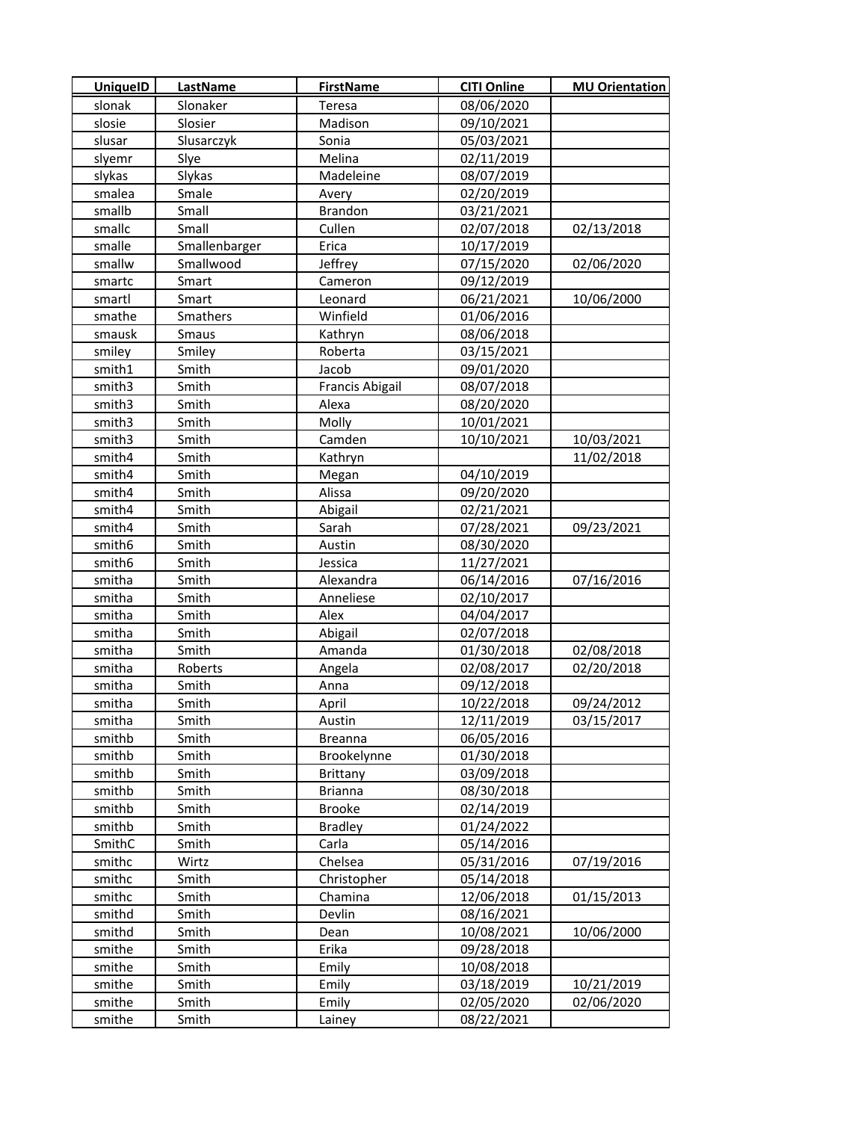| <b>UniquelD</b> | LastName      | <b>FirstName</b>       | <b>CITI Online</b> | <b>MU Orientation</b> |
|-----------------|---------------|------------------------|--------------------|-----------------------|
| slonak          | Slonaker      | Teresa                 | 08/06/2020         |                       |
| slosie          | Slosier       | Madison                | 09/10/2021         |                       |
| slusar          | Slusarczyk    | Sonia                  | 05/03/2021         |                       |
| slyemr          | Slye          | Melina                 | 02/11/2019         |                       |
| slykas          | Slykas        | Madeleine              | 08/07/2019         |                       |
| smalea          | Smale         | Avery                  | 02/20/2019         |                       |
| smallb          | Small         | Brandon                | 03/21/2021         |                       |
| smallc          | Small         | Cullen                 | 02/07/2018         | 02/13/2018            |
| smalle          | Smallenbarger | Erica                  | 10/17/2019         |                       |
| smallw          | Smallwood     | Jeffrey                | 07/15/2020         | 02/06/2020            |
| smartc          | Smart         | Cameron                | 09/12/2019         |                       |
| smartl          | Smart         | Leonard                | 06/21/2021         | 10/06/2000            |
| smathe          | Smathers      | Winfield               | 01/06/2016         |                       |
| smausk          | Smaus         | Kathryn                | 08/06/2018         |                       |
| smiley          | Smiley        | Roberta                | 03/15/2021         |                       |
| smith1          | Smith         | Jacob                  | 09/01/2020         |                       |
| smith3          | Smith         | <b>Francis Abigail</b> | 08/07/2018         |                       |
| smith3          | Smith         | Alexa                  | 08/20/2020         |                       |
| smith3          | Smith         | Molly                  | 10/01/2021         |                       |
| smith3          | Smith         | Camden                 | 10/10/2021         | 10/03/2021            |
| smith4          | Smith         | Kathryn                |                    | 11/02/2018            |
| smith4          | Smith         | Megan                  | 04/10/2019         |                       |
| smith4          | Smith         | Alissa                 | 09/20/2020         |                       |
| smith4          | Smith         | Abigail                | 02/21/2021         |                       |
| smith4          | Smith         | Sarah                  | 07/28/2021         | 09/23/2021            |
| smith6          | Smith         | Austin                 | 08/30/2020         |                       |
| smith6          | Smith         | Jessica                | 11/27/2021         |                       |
| smitha          | Smith         | Alexandra              | 06/14/2016         | 07/16/2016            |
| smitha          | Smith         | Anneliese              | 02/10/2017         |                       |
| smitha          | Smith         | Alex                   | 04/04/2017         |                       |
| smitha          | Smith         | Abigail                | 02/07/2018         |                       |
| smitha          | Smith         | Amanda                 | 01/30/2018         | 02/08/2018            |
| smitha          | Roberts       | Angela                 | 02/08/2017         | 02/20/2018            |
| smitha          | Smith         | Anna                   | 09/12/2018         |                       |
| smitha          | Smith         | April                  | 10/22/2018         | 09/24/2012            |
| smitha          | Smith         | Austin                 | 12/11/2019         | 03/15/2017            |
| smithb          | Smith         | <b>Breanna</b>         | 06/05/2016         |                       |
| smithb          | Smith         | Brookelynne            | 01/30/2018         |                       |
| smithb          | Smith         | Brittany               | 03/09/2018         |                       |
| smithb          | Smith         | <b>Brianna</b>         | 08/30/2018         |                       |
| smithb          | Smith         | <b>Brooke</b>          | 02/14/2019         |                       |
| smithb          | Smith         | <b>Bradley</b>         | 01/24/2022         |                       |
| SmithC          | Smith         | Carla                  | 05/14/2016         |                       |
| smithc          | Wirtz         | Chelsea                | 05/31/2016         | 07/19/2016            |
| smithc          | Smith         | Christopher            | 05/14/2018         |                       |
| smithc          | Smith         | Chamina                | 12/06/2018         | 01/15/2013            |
| smithd          | Smith         | Devlin                 | 08/16/2021         |                       |
| smithd          | Smith         | Dean                   | 10/08/2021         | 10/06/2000            |
| smithe          | Smith         | Erika                  | 09/28/2018         |                       |
| smithe          | Smith         | Emily                  | 10/08/2018         |                       |
| smithe          | Smith         | Emily                  | 03/18/2019         | 10/21/2019            |
| smithe          | Smith         | Emily                  | 02/05/2020         | 02/06/2020            |
| smithe          | Smith         | Lainey                 | 08/22/2021         |                       |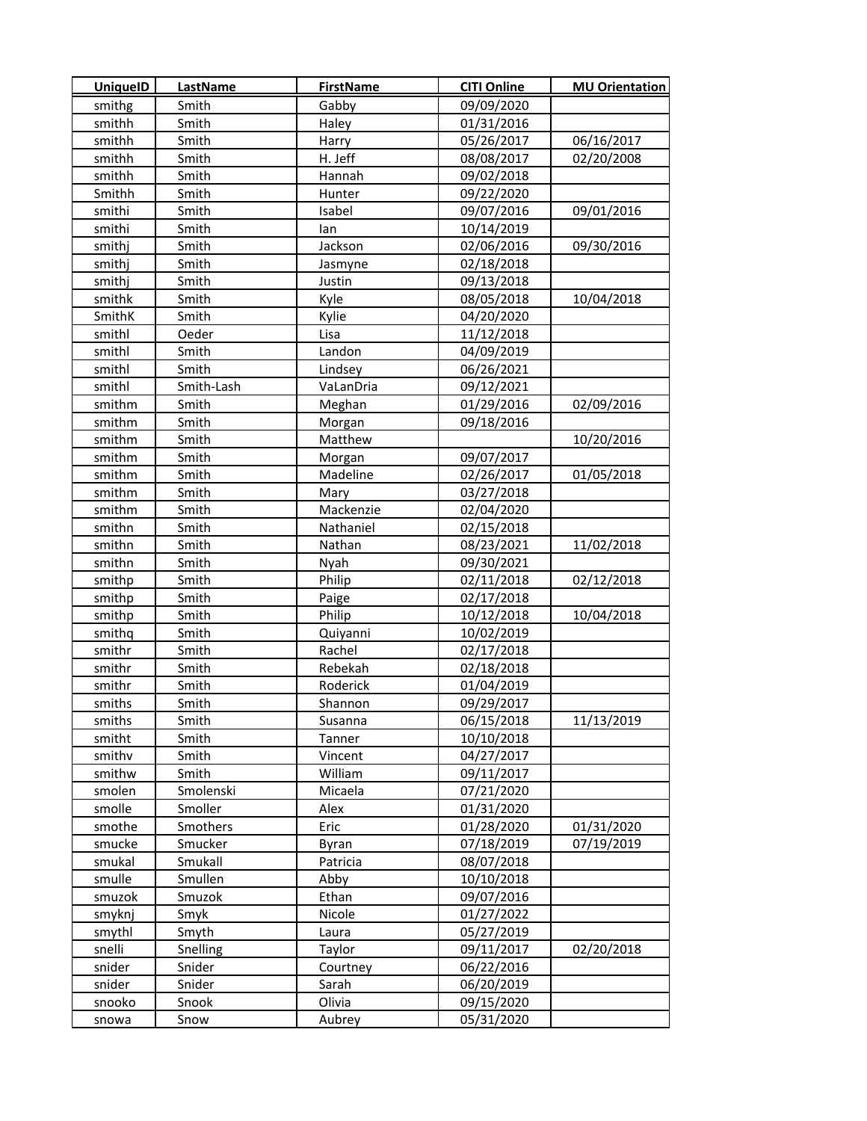| <b>UniquelD</b> | <b>LastName</b> | <b>FirstName</b> | <b>CITI Online</b> | <b>MU Orientation</b> |
|-----------------|-----------------|------------------|--------------------|-----------------------|
| smithg          | Smith           | Gabby            | 09/09/2020         |                       |
| smithh          | Smith           | Haley            | 01/31/2016         |                       |
| smithh          | Smith           | Harry            | 05/26/2017         | 06/16/2017            |
| smithh          | Smith           | H. Jeff          | 08/08/2017         | 02/20/2008            |
| smithh          | Smith           | Hannah           | 09/02/2018         |                       |
| Smithh          | Smith           | Hunter           | 09/22/2020         |                       |
| smithi          | Smith           | Isabel           | 09/07/2016         | 09/01/2016            |
| smithi          | Smith           | lan              | 10/14/2019         |                       |
| smithj          | Smith           | Jackson          | 02/06/2016         | 09/30/2016            |
| smithj          | Smith           | Jasmyne          | 02/18/2018         |                       |
| smithj          | Smith           | Justin           | 09/13/2018         |                       |
| smithk          | Smith           | Kyle             | 08/05/2018         | 10/04/2018            |
| SmithK          | Smith           | Kylie            | 04/20/2020         |                       |
| smithl          | Oeder           | Lisa             | 11/12/2018         |                       |
| smithl          | Smith           | Landon           | 04/09/2019         |                       |
| smithl          | Smith           | Lindsey          | 06/26/2021         |                       |
| smithl          | Smith-Lash      | VaLanDria        | 09/12/2021         |                       |
| smithm          | Smith           | Meghan           | 01/29/2016         | 02/09/2016            |
| smithm          | Smith           | Morgan           | 09/18/2016         |                       |
| smithm          | Smith           | Matthew          |                    | 10/20/2016            |
| smithm          | Smith           | Morgan           | 09/07/2017         |                       |
| smithm          | Smith           | Madeline         | 02/26/2017         | 01/05/2018            |
| smithm          | Smith           | Mary             | 03/27/2018         |                       |
| smithm          | Smith           | Mackenzie        | 02/04/2020         |                       |
| smithn          | Smith           | Nathaniel        | 02/15/2018         |                       |
| smithn          | Smith           | Nathan           | 08/23/2021         | 11/02/2018            |
| smithn          | Smith           | Nyah             | 09/30/2021         |                       |
| smithp          | Smith           | Philip           | 02/11/2018         | 02/12/2018            |
| smithp          | Smith           | Paige            | 02/17/2018         |                       |
| smithp          | Smith           | Philip           | 10/12/2018         | 10/04/2018            |
| smithq          | Smith           | Quiyanni         | 10/02/2019         |                       |
| smithr          | Smith           | Rachel           | 02/17/2018         |                       |
| smithr          | Smith           | Rebekah          | 02/18/2018         |                       |
| smithr          | Smith           | Roderick         | 01/04/2019         |                       |
| smiths          | Smith           | Shannon          | 09/29/2017         |                       |
| smiths          | Smith           | Susanna          | 06/15/2018         | 11/13/2019            |
| smitht          | Smith           | Tanner           | 10/10/2018         |                       |
| smithv          | Smith           | Vincent          | 04/27/2017         |                       |
| smithw          | Smith           | William          | 09/11/2017         |                       |
| smolen          | Smolenski       | Micaela          | 07/21/2020         |                       |
| smolle          | Smoller         | Alex             | 01/31/2020         |                       |
| smothe          | Smothers        | Eric             | 01/28/2020         | 01/31/2020            |
| smucke          | Smucker         | Byran            | 07/18/2019         | 07/19/2019            |
| smukal          | Smukall         | Patricia         | 08/07/2018         |                       |
| smulle          | Smullen         | Abby             | 10/10/2018         |                       |
| smuzok          | Smuzok          | Ethan            | 09/07/2016         |                       |
| smyknj          | Smyk            | Nicole           | 01/27/2022         |                       |
| smythl          | Smyth           | Laura            | 05/27/2019         |                       |
| snelli          | Snelling        | Taylor           | 09/11/2017         | 02/20/2018            |
| snider          | Snider          | Courtney         | 06/22/2016         |                       |
| snider          | Snider          | Sarah            | 06/20/2019         |                       |
| snooko          | Snook           | Olivia           | 09/15/2020         |                       |
| snowa           | Snow            | Aubrey           | 05/31/2020         |                       |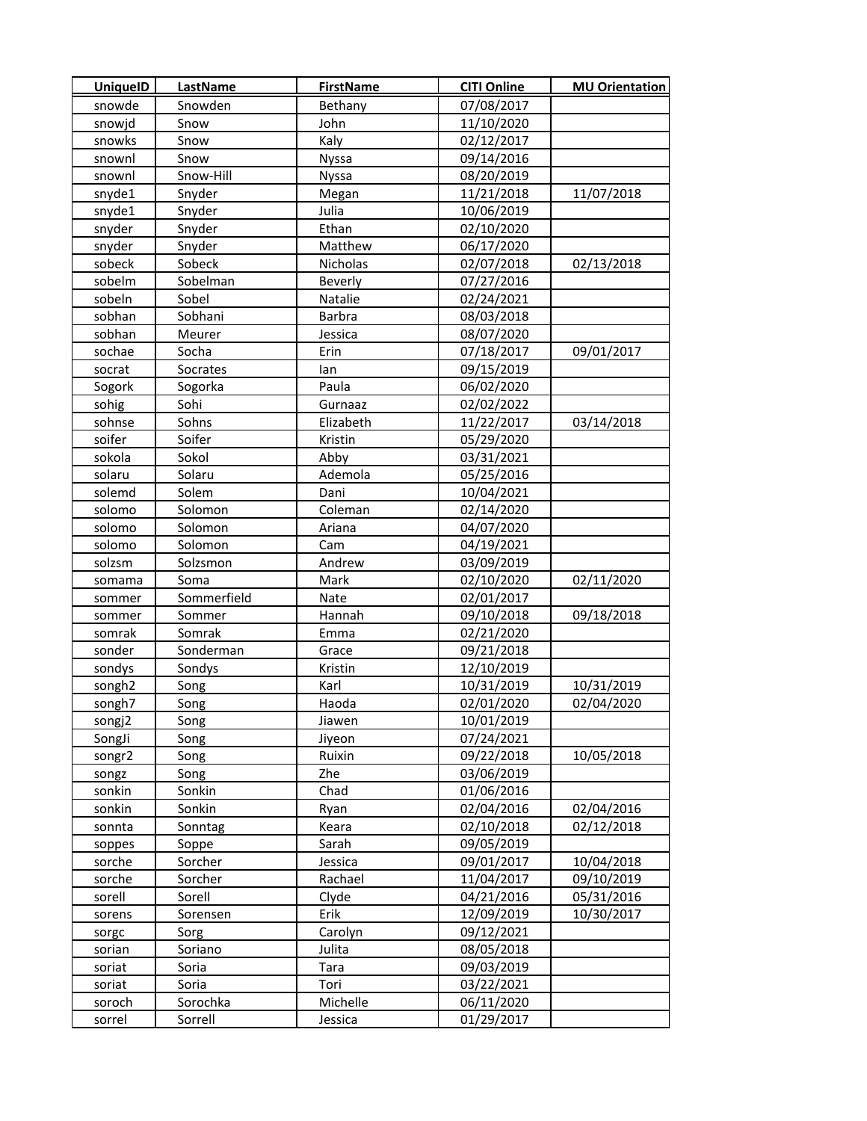| <b>UniquelD</b>    | LastName    | <b>FirstName</b> | <b>CITI Online</b> | <b>MU Orientation</b> |
|--------------------|-------------|------------------|--------------------|-----------------------|
| snowde             | Snowden     | Bethany          | 07/08/2017         |                       |
| snowjd             | Snow        | John             | 11/10/2020         |                       |
| snowks             | Snow        | Kaly             | 02/12/2017         |                       |
| snownl             | Snow        | <b>Nyssa</b>     | 09/14/2016         |                       |
| snownl             | Snow-Hill   | Nyssa            | 08/20/2019         |                       |
| snyde1             | Snyder      | Megan            | 11/21/2018         | 11/07/2018            |
| snyde1             | Snyder      | Julia            | 10/06/2019         |                       |
| snyder             | Snyder      | Ethan            | 02/10/2020         |                       |
| snyder             | Snyder      | Matthew          | 06/17/2020         |                       |
| sobeck             | Sobeck      | Nicholas         | 02/07/2018         | 02/13/2018            |
| sobelm             | Sobelman    | Beverly          | 07/27/2016         |                       |
| sobeln             | Sobel       | Natalie          | 02/24/2021         |                       |
| sobhan             | Sobhani     | Barbra           | 08/03/2018         |                       |
| sobhan             | Meurer      | Jessica          | 08/07/2020         |                       |
| sochae             | Socha       | Erin             | 07/18/2017         | 09/01/2017            |
| socrat             | Socrates    | lan              | 09/15/2019         |                       |
| Sogork             | Sogorka     | Paula            | 06/02/2020         |                       |
| sohig              | Sohi        | Gurnaaz          | 02/02/2022         |                       |
| sohnse             | Sohns       | Elizabeth        | 11/22/2017         | 03/14/2018            |
| soifer             | Soifer      | Kristin          | 05/29/2020         |                       |
| sokola             | Sokol       | Abby             | 03/31/2021         |                       |
| solaru             | Solaru      | Ademola          | 05/25/2016         |                       |
| solemd             | Solem       | Dani             | 10/04/2021         |                       |
| solomo             | Solomon     | Coleman          | 02/14/2020         |                       |
| solomo             | Solomon     | Ariana           | 04/07/2020         |                       |
| solomo             | Solomon     | Cam              | 04/19/2021         |                       |
| solzsm             | Solzsmon    | Andrew           | 03/09/2019         |                       |
| somama             | Soma        | Mark             | 02/10/2020         | 02/11/2020            |
| sommer             | Sommerfield | Nate             | 02/01/2017         |                       |
| sommer             | Sommer      | Hannah           | 09/10/2018         | 09/18/2018            |
| somrak             | Somrak      | Emma             | 02/21/2020         |                       |
| sonder             | Sonderman   | Grace            | 09/21/2018         |                       |
| sondys             | Sondys      | Kristin          | 12/10/2019         |                       |
| songh <sub>2</sub> | Song        | Karl             | 10/31/2019         | 10/31/2019            |
| songh7             | Song        | Haoda            | 02/01/2020         | 02/04/2020            |
| songj2             | Song        | Jiawen           | 10/01/2019         |                       |
| SongJi             | Song        | Jiyeon           | 07/24/2021         |                       |
| songr2             | Song        | Ruixin           | 09/22/2018         | 10/05/2018            |
| songz              | Song        | Zhe              | 03/06/2019         |                       |
| sonkin             | Sonkin      | Chad             | 01/06/2016         |                       |
| sonkin             | Sonkin      | Ryan             | 02/04/2016         | 02/04/2016            |
| sonnta             | Sonntag     | Keara            | 02/10/2018         | 02/12/2018            |
| soppes             | Soppe       | Sarah            | 09/05/2019         |                       |
| sorche             | Sorcher     | Jessica          | 09/01/2017         | 10/04/2018            |
| sorche             | Sorcher     | Rachael          | 11/04/2017         | 09/10/2019            |
| sorell             | Sorell      | Clyde            | 04/21/2016         | 05/31/2016            |
| sorens             | Sorensen    | Erik             | 12/09/2019         | 10/30/2017            |
| sorgc              | Sorg        | Carolyn          | 09/12/2021         |                       |
| sorian             | Soriano     | Julita           | 08/05/2018         |                       |
| soriat             | Soria       | Tara             | 09/03/2019         |                       |
| soriat             | Soria       | Tori             | 03/22/2021         |                       |
| soroch             | Sorochka    | Michelle         | 06/11/2020         |                       |
| sorrel             | Sorrell     | Jessica          | 01/29/2017         |                       |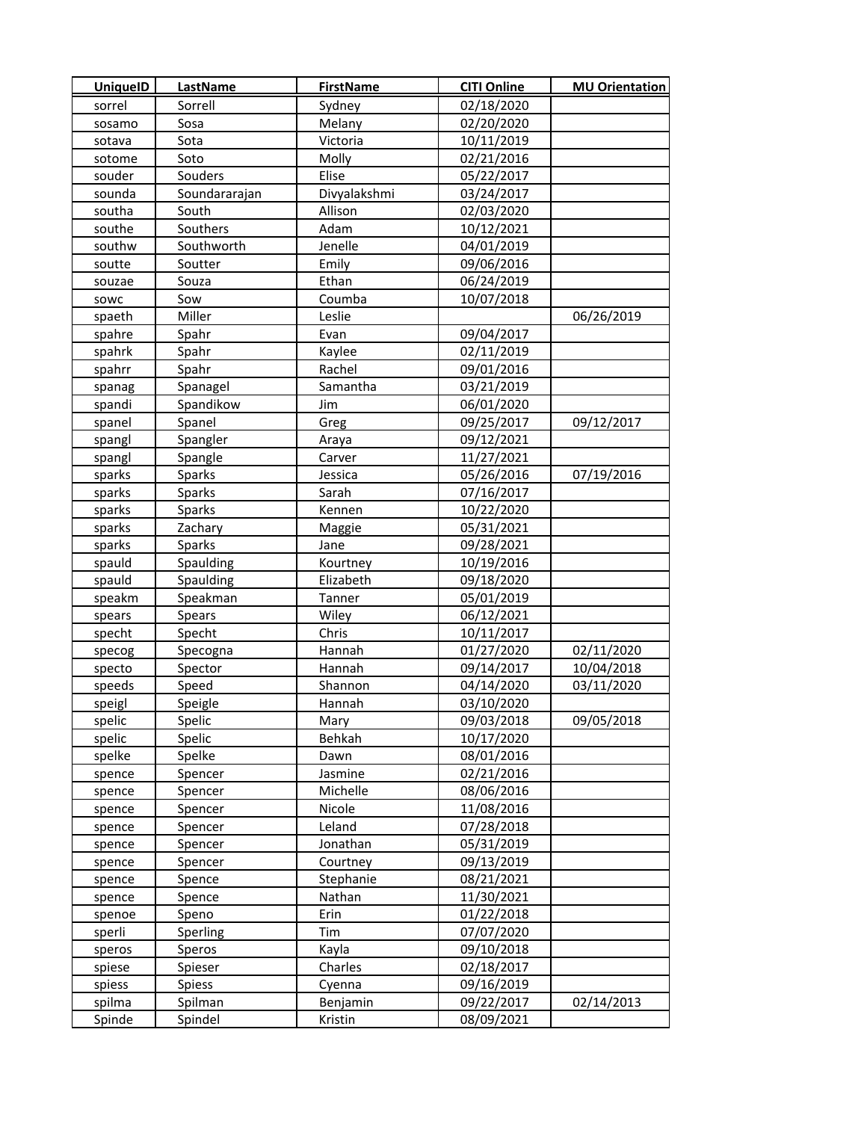| <b>UniquelD</b> | LastName      | <b>FirstName</b> | <b>CITI Online</b> | <b>MU Orientation</b> |
|-----------------|---------------|------------------|--------------------|-----------------------|
| sorrel          | Sorrell       | Sydney           | 02/18/2020         |                       |
| sosamo          | Sosa          | Melany           | 02/20/2020         |                       |
| sotava          | Sota          | Victoria         | 10/11/2019         |                       |
| sotome          | Soto          | Molly            | 02/21/2016         |                       |
| souder          | Souders       | Elise            | 05/22/2017         |                       |
| sounda          | Soundararajan | Divyalakshmi     | 03/24/2017         |                       |
| southa          | South         | Allison          | 02/03/2020         |                       |
| southe          | Southers      | Adam             | 10/12/2021         |                       |
| southw          | Southworth    | Jenelle          | 04/01/2019         |                       |
| soutte          | Soutter       | Emily            | 09/06/2016         |                       |
| souzae          | Souza         | Ethan            | 06/24/2019         |                       |
| sowc            | Sow           | Coumba           | 10/07/2018         |                       |
| spaeth          | Miller        | Leslie           |                    | 06/26/2019            |
| spahre          | Spahr         | Evan             | 09/04/2017         |                       |
| spahrk          | Spahr         | Kaylee           | 02/11/2019         |                       |
| spahrr          | Spahr         | Rachel           | 09/01/2016         |                       |
| spanag          | Spanagel      | Samantha         | 03/21/2019         |                       |
| spandi          | Spandikow     | Jim              | 06/01/2020         |                       |
| spanel          | Spanel        | Greg             | 09/25/2017         | 09/12/2017            |
| spangl          | Spangler      | Araya            | 09/12/2021         |                       |
| spangl          | Spangle       | Carver           | 11/27/2021         |                       |
| sparks          | Sparks        | Jessica          | 05/26/2016         | 07/19/2016            |
| sparks          | Sparks        | Sarah            | 07/16/2017         |                       |
| sparks          | Sparks        | Kennen           | 10/22/2020         |                       |
| sparks          | Zachary       | Maggie           | 05/31/2021         |                       |
| sparks          | Sparks        | Jane             | 09/28/2021         |                       |
| spauld          | Spaulding     | Kourtney         | 10/19/2016         |                       |
| spauld          | Spaulding     | Elizabeth        | 09/18/2020         |                       |
| speakm          | Speakman      | Tanner           | 05/01/2019         |                       |
| spears          | Spears        | Wiley            | 06/12/2021         |                       |
| specht          | Specht        | Chris            | 10/11/2017         |                       |
| specog          | Specogna      | Hannah           | 01/27/2020         | 02/11/2020            |
| specto          | Spector       | Hannah           | 09/14/2017         | 10/04/2018            |
| speeds          | Speed         | Shannon          | 04/14/2020         | 03/11/2020            |
| speigl          | Speigle       | Hannah           | 03/10/2020         |                       |
| spelic          | Spelic        | Mary             | 09/03/2018         | 09/05/2018            |
| spelic          | Spelic        | Behkah           | 10/17/2020         |                       |
| spelke          | Spelke        | Dawn             | 08/01/2016         |                       |
| spence          | Spencer       | Jasmine          | 02/21/2016         |                       |
| spence          | Spencer       | Michelle         | 08/06/2016         |                       |
| spence          | Spencer       | Nicole           | 11/08/2016         |                       |
| spence          | Spencer       | Leland           | 07/28/2018         |                       |
| spence          | Spencer       | Jonathan         | 05/31/2019         |                       |
| spence          | Spencer       | Courtney         | 09/13/2019         |                       |
| spence          | Spence        | Stephanie        | 08/21/2021         |                       |
| spence          | Spence        | Nathan           | 11/30/2021         |                       |
| spenoe          | Speno         | Erin             | 01/22/2018         |                       |
| sperli          | Sperling      | Tim              | 07/07/2020         |                       |
| speros          | Speros        | Kayla            | 09/10/2018         |                       |
| spiese          | Spieser       | Charles          | 02/18/2017         |                       |
| spiess          | Spiess        | Cyenna           | 09/16/2019         |                       |
| spilma          | Spilman       | Benjamin         | 09/22/2017         | 02/14/2013            |
| Spinde          | Spindel       | Kristin          | 08/09/2021         |                       |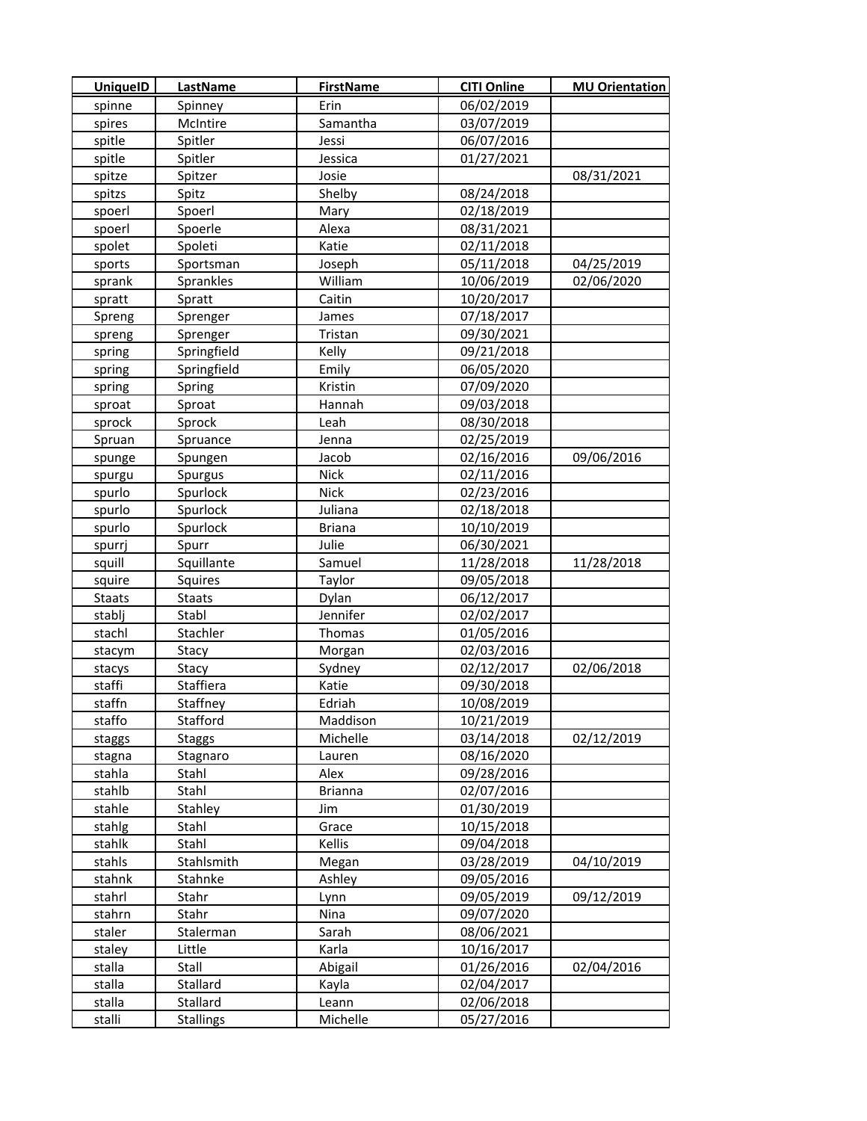| <b>UniquelD</b> | <b>LastName</b>  | <b>FirstName</b> | <b>CITI Online</b> | <b>MU Orientation</b> |
|-----------------|------------------|------------------|--------------------|-----------------------|
| spinne          | Spinney          | Erin             | 06/02/2019         |                       |
| spires          | McIntire         | Samantha         | 03/07/2019         |                       |
| spitle          | Spitler          | Jessi            | 06/07/2016         |                       |
| spitle          | Spitler          | Jessica          | 01/27/2021         |                       |
| spitze          | Spitzer          | Josie            |                    | 08/31/2021            |
| spitzs          | Spitz            | Shelby           | 08/24/2018         |                       |
| spoerl          | Spoerl           | Mary             | 02/18/2019         |                       |
| spoerl          | Spoerle          | Alexa            | 08/31/2021         |                       |
| spolet          | Spoleti          | Katie            | 02/11/2018         |                       |
| sports          | Sportsman        | Joseph           | 05/11/2018         | 04/25/2019            |
| sprank          | Sprankles        | William          | 10/06/2019         | 02/06/2020            |
| spratt          | Spratt           | Caitin           | 10/20/2017         |                       |
| Spreng          | Sprenger         | James            | 07/18/2017         |                       |
| spreng          | Sprenger         | Tristan          | 09/30/2021         |                       |
| spring          | Springfield      | Kelly            | 09/21/2018         |                       |
| spring          | Springfield      | Emily            | 06/05/2020         |                       |
| spring          | Spring           | Kristin          | 07/09/2020         |                       |
| sproat          | Sproat           | Hannah           | 09/03/2018         |                       |
| sprock          | Sprock           | Leah             | 08/30/2018         |                       |
| Spruan          | Spruance         | Jenna            | 02/25/2019         |                       |
| spunge          | Spungen          | Jacob            | 02/16/2016         | 09/06/2016            |
| spurgu          | Spurgus          | Nick             | 02/11/2016         |                       |
| spurlo          | Spurlock         | <b>Nick</b>      | 02/23/2016         |                       |
| spurlo          | Spurlock         | Juliana          | 02/18/2018         |                       |
| spurlo          | Spurlock         | <b>Briana</b>    | 10/10/2019         |                       |
| spurrj          | Spurr            | Julie            | 06/30/2021         |                       |
| squill          | Squillante       | Samuel           | 11/28/2018         | 11/28/2018            |
| squire          | Squires          | Taylor           | 09/05/2018         |                       |
| <b>Staats</b>   | <b>Staats</b>    | Dylan            | 06/12/2017         |                       |
| stablj          | Stabl            | Jennifer         | 02/02/2017         |                       |
| stachl          | Stachler         | Thomas           | 01/05/2016         |                       |
| stacym          | Stacy            | Morgan           | 02/03/2016         |                       |
| stacys          | Stacy            | Sydney           | 02/12/2017         | 02/06/2018            |
| staffi          | Staffiera        | Katie            | 09/30/2018         |                       |
| staffn          | Staffney         | Edriah           | 10/08/2019         |                       |
| staffo          | Stafford         | Maddison         | 10/21/2019         |                       |
| staggs          | <b>Staggs</b>    | Michelle         | 03/14/2018         | 02/12/2019            |
| stagna          | Stagnaro         | Lauren           | 08/16/2020         |                       |
| stahla          | Stahl            | Alex             | 09/28/2016         |                       |
| stahlb          | Stahl            | <b>Brianna</b>   | 02/07/2016         |                       |
| stahle          | Stahley          | Jim              | 01/30/2019         |                       |
| stahlg          | Stahl            | Grace            | 10/15/2018         |                       |
| stahlk          | Stahl            | Kellis           | 09/04/2018         |                       |
| stahls          | Stahlsmith       | Megan            | 03/28/2019         | 04/10/2019            |
| stahnk          | Stahnke          | Ashley           | 09/05/2016         |                       |
| stahrl          | Stahr            | Lynn             | 09/05/2019         | 09/12/2019            |
| stahrn          | Stahr            | Nina             | 09/07/2020         |                       |
| staler          | Stalerman        | Sarah            | 08/06/2021         |                       |
| staley          | Little           | Karla            | 10/16/2017         |                       |
| stalla          | Stall            | Abigail          | 01/26/2016         | 02/04/2016            |
| stalla          | Stallard         | Kayla            | 02/04/2017         |                       |
| stalla          | Stallard         | Leann            | 02/06/2018         |                       |
| stalli          | <b>Stallings</b> | Michelle         | 05/27/2016         |                       |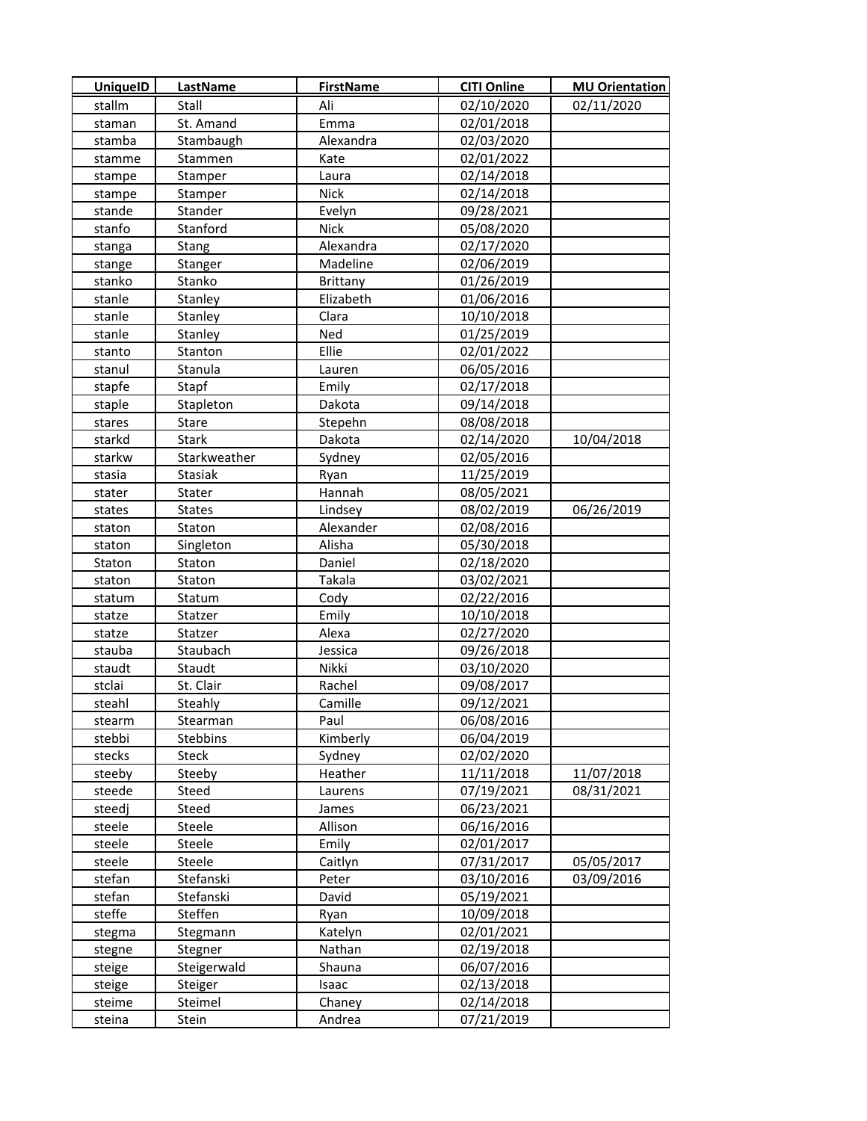| <b>UniquelD</b> | <b>LastName</b> | <b>FirstName</b> | <b>CITI Online</b> | <b>MU Orientation</b> |
|-----------------|-----------------|------------------|--------------------|-----------------------|
| stallm          | Stall           | Ali              | 02/10/2020         | 02/11/2020            |
| staman          | St. Amand       | Emma             | 02/01/2018         |                       |
| stamba          | Stambaugh       | Alexandra        | 02/03/2020         |                       |
| stamme          | Stammen         | Kate             | 02/01/2022         |                       |
| stampe          | Stamper         | Laura            | 02/14/2018         |                       |
| stampe          | Stamper         | Nick             | 02/14/2018         |                       |
| stande          | Stander         | Evelyn           | 09/28/2021         |                       |
| stanfo          | Stanford        | <b>Nick</b>      | 05/08/2020         |                       |
| stanga          | Stang           | Alexandra        | 02/17/2020         |                       |
| stange          | Stanger         | Madeline         | 02/06/2019         |                       |
| stanko          | Stanko          | <b>Brittany</b>  | 01/26/2019         |                       |
| stanle          | Stanley         | Elizabeth        | 01/06/2016         |                       |
| stanle          | Stanley         | Clara            | 10/10/2018         |                       |
| stanle          | Stanley         | Ned              | 01/25/2019         |                       |
| stanto          | Stanton         | Ellie            | 02/01/2022         |                       |
| stanul          | Stanula         | Lauren           | 06/05/2016         |                       |
| stapfe          | Stapf           | Emily            | 02/17/2018         |                       |
| staple          | Stapleton       | Dakota           | 09/14/2018         |                       |
| stares          | Stare           | Stepehn          | 08/08/2018         |                       |
| starkd          | <b>Stark</b>    | Dakota           | 02/14/2020         | 10/04/2018            |
| starkw          | Starkweather    | Sydney           | 02/05/2016         |                       |
| stasia          | Stasiak         | Ryan             | 11/25/2019         |                       |
| stater          | Stater          | Hannah           | 08/05/2021         |                       |
| states          | <b>States</b>   | Lindsey          | 08/02/2019         | 06/26/2019            |
| staton          | Staton          | Alexander        | 02/08/2016         |                       |
| staton          | Singleton       | Alisha           | 05/30/2018         |                       |
| Staton          | Staton          | Daniel           | 02/18/2020         |                       |
| staton          | Staton          | Takala           | 03/02/2021         |                       |
| statum          | Statum          | Cody             | 02/22/2016         |                       |
| statze          | Statzer         | Emily            | 10/10/2018         |                       |
| statze          | Statzer         | Alexa            | 02/27/2020         |                       |
| stauba          | Staubach        | Jessica          | 09/26/2018         |                       |
| staudt          | Staudt          | Nikki            | 03/10/2020         |                       |
| stclai          | St. Clair       | Rachel           | 09/08/2017         |                       |
| steahl          | Steahly         | Camille          | 09/12/2021         |                       |
| stearm          | Stearman        | Paul             | 06/08/2016         |                       |
| stebbi          | Stebbins        | Kimberly         | 06/04/2019         |                       |
| stecks          | Steck           | Sydney           | 02/02/2020         |                       |
| steeby          | Steeby          | Heather          | 11/11/2018         | 11/07/2018            |
| steede          | Steed           | Laurens          | 07/19/2021         | 08/31/2021            |
| steedj          | Steed           | James            | 06/23/2021         |                       |
| steele          | Steele          | Allison          | 06/16/2016         |                       |
| steele          | Steele          | Emily            | 02/01/2017         |                       |
| steele          | Steele          | Caitlyn          | 07/31/2017         | 05/05/2017            |
| stefan          | Stefanski       | Peter            | 03/10/2016         | 03/09/2016            |
| stefan          | Stefanski       | David            | 05/19/2021         |                       |
| steffe          | Steffen         | Ryan             | 10/09/2018         |                       |
| stegma          | Stegmann        | Katelyn          | 02/01/2021         |                       |
| stegne          | Stegner         | Nathan           | 02/19/2018         |                       |
| steige          | Steigerwald     | Shauna           | 06/07/2016         |                       |
| steige          | Steiger         | Isaac            | 02/13/2018         |                       |
| steime          | Steimel         | Chaney           | 02/14/2018         |                       |
| steina          | Stein           | Andrea           | 07/21/2019         |                       |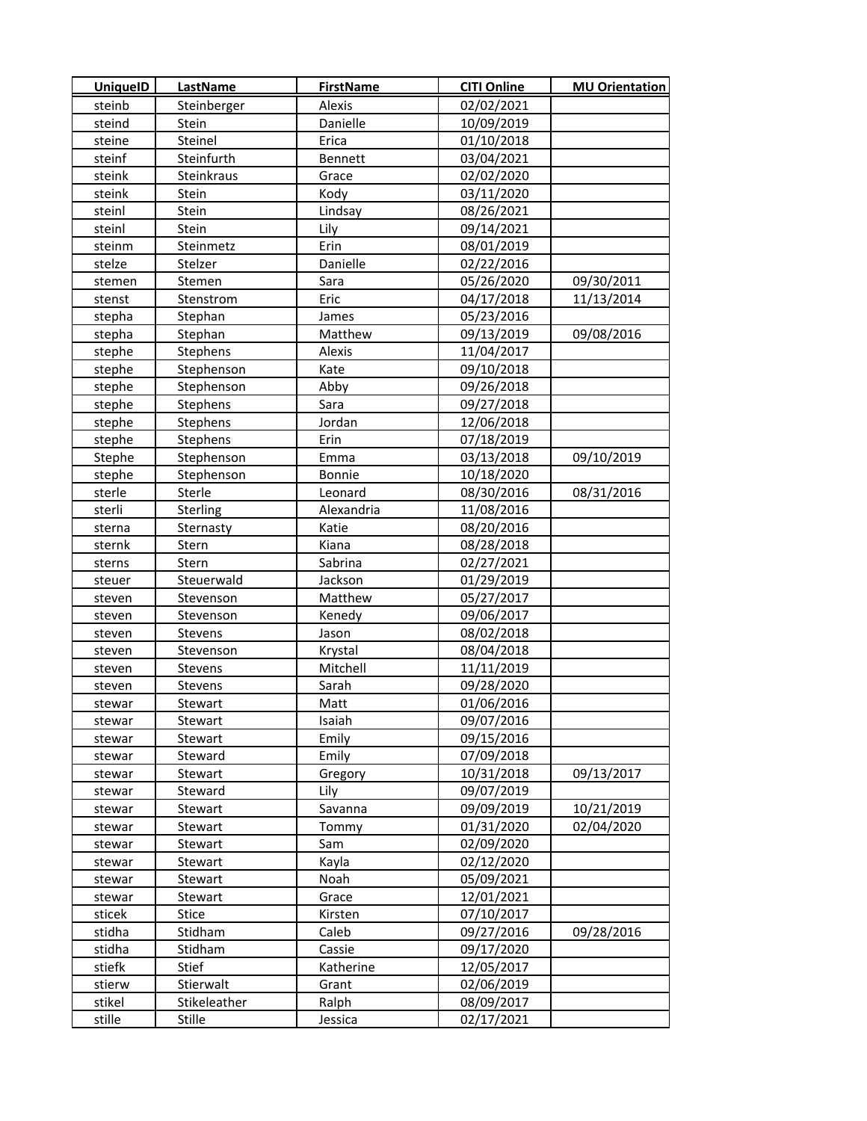| <b>UniquelD</b> | <b>LastName</b> | <b>FirstName</b> | <b>CITI Online</b> | <b>MU Orientation</b> |
|-----------------|-----------------|------------------|--------------------|-----------------------|
| steinb          | Steinberger     | Alexis           | 02/02/2021         |                       |
| steind          | Stein           | Danielle         | 10/09/2019         |                       |
| steine          | Steinel         | Erica            | 01/10/2018         |                       |
| steinf          | Steinfurth      | Bennett          | 03/04/2021         |                       |
| steink          | Steinkraus      | Grace            | 02/02/2020         |                       |
| steink          | Stein           | Kody             | 03/11/2020         |                       |
| steinl          | Stein           | Lindsay          | 08/26/2021         |                       |
| steinl          | Stein           | Lily             | 09/14/2021         |                       |
| steinm          | Steinmetz       | Erin             | 08/01/2019         |                       |
| stelze          | Stelzer         | Danielle         | 02/22/2016         |                       |
| stemen          | Stemen          | Sara             | 05/26/2020         | 09/30/2011            |
| stenst          | Stenstrom       | Eric             | 04/17/2018         | 11/13/2014            |
| stepha          | Stephan         | James            | 05/23/2016         |                       |
| stepha          | Stephan         | Matthew          | 09/13/2019         | 09/08/2016            |
| stephe          | Stephens        | Alexis           | 11/04/2017         |                       |
| stephe          | Stephenson      | Kate             | 09/10/2018         |                       |
| stephe          | Stephenson      | Abby             | 09/26/2018         |                       |
| stephe          | Stephens        | Sara             | 09/27/2018         |                       |
| stephe          | Stephens        | Jordan           | 12/06/2018         |                       |
| stephe          | Stephens        | Erin             | 07/18/2019         |                       |
| Stephe          | Stephenson      | Emma             | 03/13/2018         | 09/10/2019            |
| stephe          | Stephenson      | Bonnie           | 10/18/2020         |                       |
| sterle          | Sterle          | Leonard          | 08/30/2016         | 08/31/2016            |
| sterli          | Sterling        | Alexandria       | 11/08/2016         |                       |
| sterna          | Sternasty       | Katie            | 08/20/2016         |                       |
| sternk          | Stern           | Kiana            | 08/28/2018         |                       |
| sterns          | Stern           | Sabrina          | 02/27/2021         |                       |
| steuer          | Steuerwald      | Jackson          | 01/29/2019         |                       |
| steven          | Stevenson       | Matthew          | 05/27/2017         |                       |
| steven          | Stevenson       | Kenedy           | 09/06/2017         |                       |
| steven          | Stevens         | Jason            | 08/02/2018         |                       |
| steven          | Stevenson       | Krystal          | 08/04/2018         |                       |
| steven          | Stevens         | Mitchell         | 11/11/2019         |                       |
| steven          | Stevens         | Sarah            | 09/28/2020         |                       |
| stewar          | Stewart         | Matt             | 01/06/2016         |                       |
| stewar          | Stewart         | Isaiah           | 09/07/2016         |                       |
| stewar          | Stewart         | Emily            | 09/15/2016         |                       |
| stewar          | Steward         | Emily            | 07/09/2018         |                       |
| stewar          | Stewart         | Gregory          | 10/31/2018         | 09/13/2017            |
| stewar          | Steward         | Lily             | 09/07/2019         |                       |
| stewar          | Stewart         | Savanna          | 09/09/2019         | 10/21/2019            |
| stewar          | Stewart         | Tommy            | 01/31/2020         | 02/04/2020            |
| stewar          | Stewart         | Sam              | 02/09/2020         |                       |
| stewar          | Stewart         | Kayla            | 02/12/2020         |                       |
| stewar          | Stewart         | Noah             | 05/09/2021         |                       |
| stewar          | Stewart         | Grace            | 12/01/2021         |                       |
| sticek          | Stice           | Kirsten          | 07/10/2017         |                       |
| stidha          | Stidham         | Caleb            | 09/27/2016         | 09/28/2016            |
| stidha          | Stidham         | Cassie           | 09/17/2020         |                       |
| stiefk          | Stief           | Katherine        | 12/05/2017         |                       |
| stierw          | Stierwalt       | Grant            | 02/06/2019         |                       |
| stikel          | Stikeleather    | Ralph            | 08/09/2017         |                       |
| stille          | Stille          | Jessica          | 02/17/2021         |                       |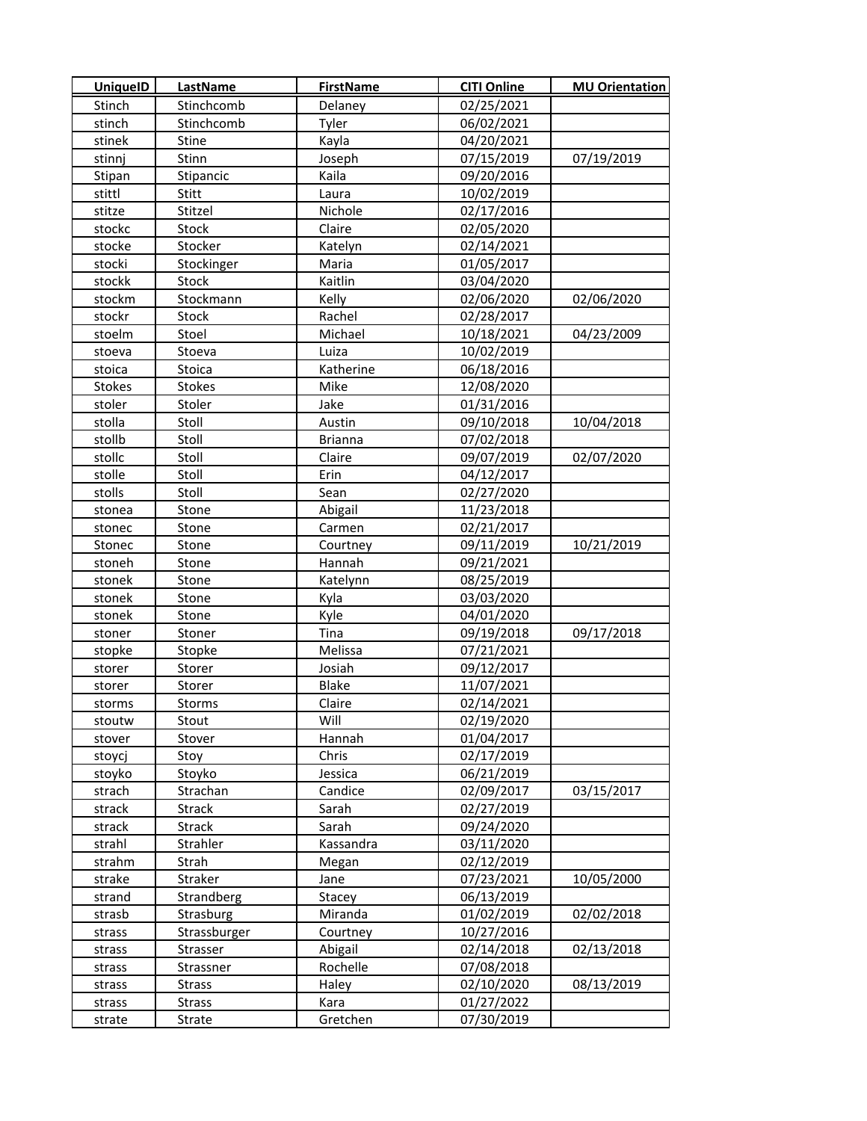| <b>UniquelD</b> | LastName      | <b>FirstName</b> | <b>CITI Online</b> | <b>MU Orientation</b> |
|-----------------|---------------|------------------|--------------------|-----------------------|
| Stinch          | Stinchcomb    | Delaney          | 02/25/2021         |                       |
| stinch          | Stinchcomb    | Tyler            | 06/02/2021         |                       |
| stinek          | Stine         | Kayla            | 04/20/2021         |                       |
| stinnj          | Stinn         | Joseph           | 07/15/2019         | 07/19/2019            |
| Stipan          | Stipancic     | Kaila            | 09/20/2016         |                       |
| stittl          | Stitt         | Laura            | 10/02/2019         |                       |
| stitze          | Stitzel       | Nichole          | 02/17/2016         |                       |
| stockc          | Stock         | Claire           | 02/05/2020         |                       |
| stocke          | Stocker       | Katelyn          | 02/14/2021         |                       |
| stocki          | Stockinger    | Maria            | 01/05/2017         |                       |
| stockk          | Stock         | Kaitlin          | 03/04/2020         |                       |
| stockm          | Stockmann     | Kelly            | 02/06/2020         | 02/06/2020            |
| stockr          | Stock         | Rachel           | 02/28/2017         |                       |
| stoelm          | Stoel         | Michael          | 10/18/2021         | 04/23/2009            |
| stoeva          | Stoeva        | Luiza            | 10/02/2019         |                       |
| stoica          | Stoica        | Katherine        | 06/18/2016         |                       |
| <b>Stokes</b>   | Stokes        | Mike             | 12/08/2020         |                       |
| stoler          | Stoler        | Jake             | 01/31/2016         |                       |
| stolla          | Stoll         | Austin           | 09/10/2018         | 10/04/2018            |
| stollb          | Stoll         | <b>Brianna</b>   | 07/02/2018         |                       |
| stollc          | Stoll         | Claire           | 09/07/2019         | 02/07/2020            |
| stolle          | Stoll         | Erin             | 04/12/2017         |                       |
| stolls          | Stoll         | Sean             | 02/27/2020         |                       |
| stonea          | Stone         | Abigail          | 11/23/2018         |                       |
| stonec          | Stone         | Carmen           | 02/21/2017         |                       |
| Stonec          | Stone         | Courtney         | 09/11/2019         | 10/21/2019            |
| stoneh          | Stone         | Hannah           | 09/21/2021         |                       |
| stonek          | Stone         | Katelynn         | 08/25/2019         |                       |
| stonek          | Stone         | Kyla             | 03/03/2020         |                       |
| stonek          | Stone         | Kyle             | 04/01/2020         |                       |
| stoner          | Stoner        | Tina             | 09/19/2018         | 09/17/2018            |
| stopke          | Stopke        | Melissa          | 07/21/2021         |                       |
| storer          | Storer        | Josiah           | 09/12/2017         |                       |
| storer          | Storer        | Blake            | 11/07/2021         |                       |
| storms          | Storms        | Claire           | 02/14/2021         |                       |
| stoutw          | Stout         | Will             | 02/19/2020         |                       |
| stover          | Stover        | Hannah           | 01/04/2017         |                       |
| stoycj          | Stoy          | Chris            | 02/17/2019         |                       |
| stoyko          | Stoyko        | Jessica          | 06/21/2019         |                       |
| strach          | Strachan      | Candice          | 02/09/2017         | 03/15/2017            |
| strack          | Strack        | Sarah            | 02/27/2019         |                       |
| strack          | <b>Strack</b> | Sarah            | 09/24/2020         |                       |
| strahl          | Strahler      | Kassandra        | 03/11/2020         |                       |
| strahm          | Strah         | Megan            | 02/12/2019         |                       |
| strake          | Straker       | Jane             | 07/23/2021         | 10/05/2000            |
| strand          | Strandberg    | Stacey           | 06/13/2019         |                       |
| strasb          | Strasburg     | Miranda          | 01/02/2019         | 02/02/2018            |
| strass          | Strassburger  | Courtney         | 10/27/2016         |                       |
| strass          | Strasser      | Abigail          | 02/14/2018         | 02/13/2018            |
| strass          | Strassner     | Rochelle         | 07/08/2018         |                       |
| strass          | <b>Strass</b> | Haley            | 02/10/2020         | 08/13/2019            |
| strass          | <b>Strass</b> | Kara             | 01/27/2022         |                       |
| strate          | Strate        | Gretchen         | 07/30/2019         |                       |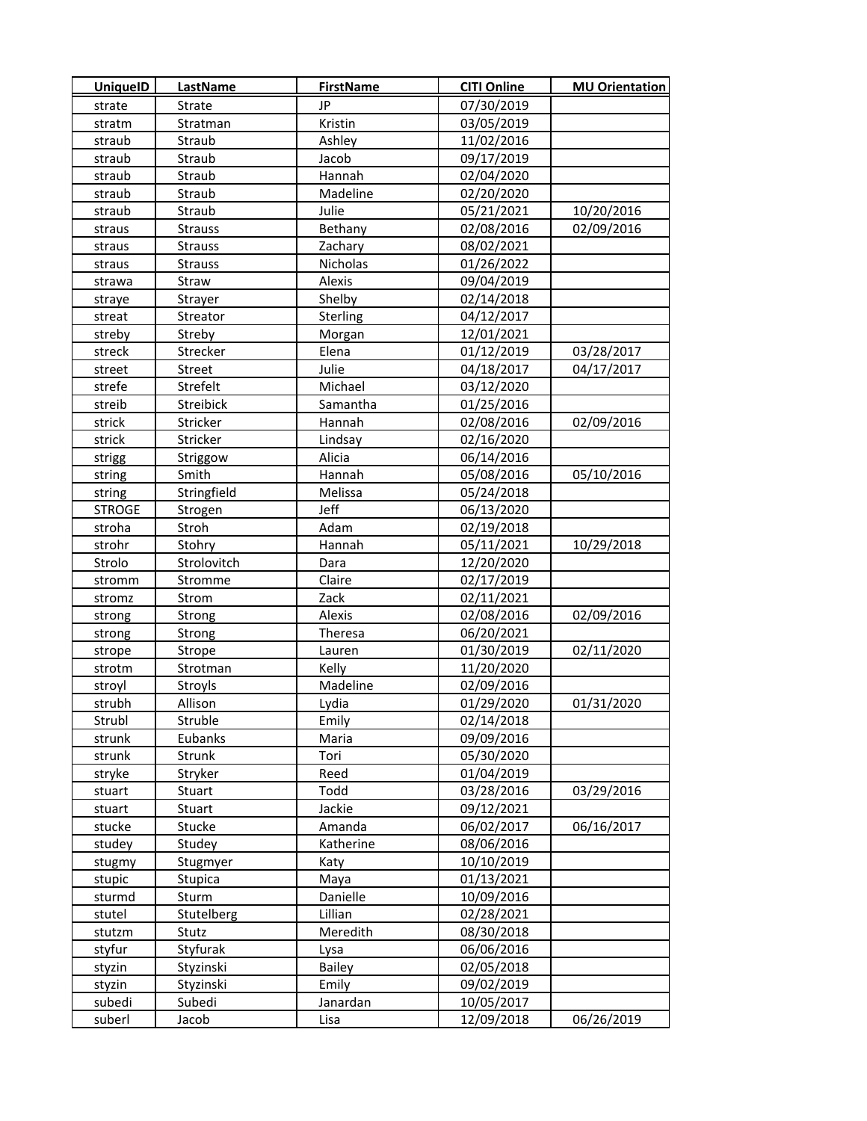| <b>UniquelD</b>  | LastName               | <b>FirstName</b>       | <b>CITI Online</b>       | <b>MU Orientation</b> |
|------------------|------------------------|------------------------|--------------------------|-----------------------|
| strate           | Strate                 | JP.                    | 07/30/2019               |                       |
| stratm           | Stratman               | Kristin                | 03/05/2019               |                       |
| straub           | Straub                 | Ashley                 | 11/02/2016               |                       |
| straub           | Straub                 | Jacob                  | 09/17/2019               |                       |
| straub           | Straub                 | Hannah                 | 02/04/2020               |                       |
| straub           | Straub                 | Madeline               | 02/20/2020               |                       |
| straub           | Straub                 | Julie                  | 05/21/2021               | 10/20/2016            |
| straus           | <b>Strauss</b>         | Bethany                | 02/08/2016               | 02/09/2016            |
| straus           | <b>Strauss</b>         | Zachary                | 08/02/2021               |                       |
| straus           | <b>Strauss</b>         | Nicholas               | 01/26/2022               |                       |
| strawa           | Straw                  | Alexis                 | 09/04/2019               |                       |
| straye           | Strayer                | Shelby                 | 02/14/2018               |                       |
| streat           | Streator               | Sterling               | 04/12/2017               |                       |
| streby           | Streby                 | Morgan                 | 12/01/2021               |                       |
| streck           | Strecker               | Elena                  | 01/12/2019               | 03/28/2017            |
| street           | Street                 | Julie                  | 04/18/2017               | 04/17/2017            |
| strefe           | Strefelt               | Michael                | 03/12/2020               |                       |
| streib           | Streibick              | Samantha               | 01/25/2016               |                       |
| strick           | Stricker               | Hannah                 | 02/08/2016               | 02/09/2016            |
| strick           | Stricker               | Lindsay                | 02/16/2020               |                       |
| strigg           | Striggow               | Alicia                 | 06/14/2016               |                       |
| string           | Smith                  | Hannah                 | 05/08/2016               | 05/10/2016            |
| string           | Stringfield            | Melissa                | 05/24/2018               |                       |
| <b>STROGE</b>    | Strogen                | Jeff                   | 06/13/2020               |                       |
| stroha           | Stroh                  | Adam                   | 02/19/2018               |                       |
| strohr           | Stohry                 | Hannah                 | 05/11/2021               | 10/29/2018            |
| Strolo           | Strolovitch            | Dara                   | 12/20/2020               |                       |
| stromm           | Stromme                | Claire                 | 02/17/2019               |                       |
| stromz           | Strom                  | Zack                   | 02/11/2021               |                       |
| strong           | Strong                 | Alexis                 | 02/08/2016               | 02/09/2016            |
| strong           | Strong                 | Theresa                | 06/20/2021               |                       |
| strope           | Strope                 | Lauren                 | 01/30/2019               | 02/11/2020            |
| strotm           | Strotman               | Kelly                  | 11/20/2020               |                       |
| stroyl           | <b>Stroyls</b>         | Madeline               | 02/09/2016               |                       |
| strubh           | Allison                | Lydia                  | 01/29/2020               | 01/31/2020            |
| Strubl           | Struble                | Emily                  | 02/14/2018               |                       |
| strunk           | Eubanks                | Maria                  | 09/09/2016               |                       |
| strunk           | Strunk                 | Tori                   | 05/30/2020               |                       |
| stryke           | Stryker                | Reed                   | 01/04/2019               |                       |
| stuart           | Stuart                 | Todd                   | 03/28/2016               | 03/29/2016            |
| stuart           | Stuart                 | Jackie                 | 09/12/2021               |                       |
| stucke           | Stucke                 | Amanda                 | 06/02/2017               | 06/16/2017            |
| studey           | Studey                 | Katherine              | 08/06/2016               |                       |
| stugmy           | Stugmyer               | Katy                   | 10/10/2019               |                       |
| stupic           | Stupica                | Maya                   | 01/13/2021               |                       |
| sturmd           | Sturm                  | Danielle               | 10/09/2016               |                       |
| stutel           | Stutelberg             | Lillian                | 02/28/2021               |                       |
| stutzm           | Stutz                  | Meredith               | 08/30/2018               |                       |
| styfur           | Styfurak               | Lysa                   | 06/06/2016               |                       |
| styzin<br>styzin | Styzinski<br>Styzinski | <b>Bailey</b><br>Emily | 02/05/2018<br>09/02/2019 |                       |
| subedi           | Subedi                 | Janardan               | 10/05/2017               |                       |
| suberl           | Jacob                  | Lisa                   | 12/09/2018               | 06/26/2019            |
|                  |                        |                        |                          |                       |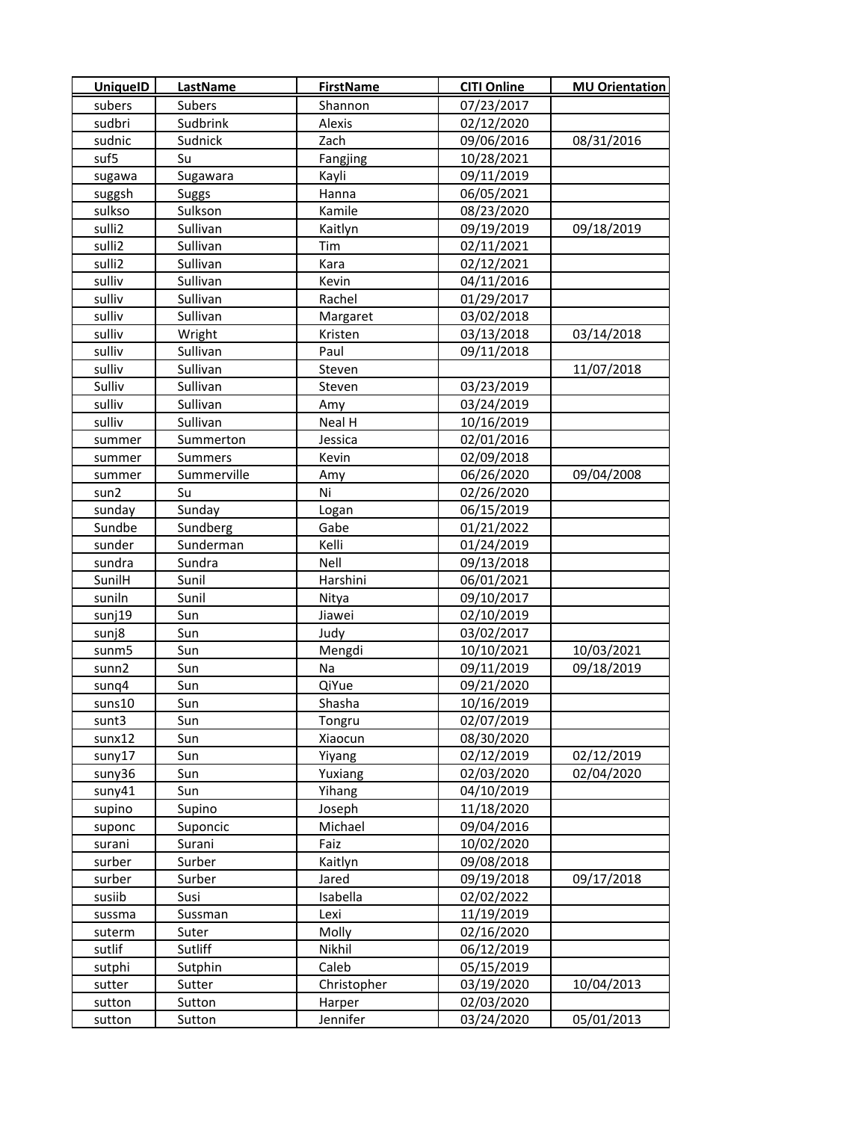| <b>UniquelD</b> | LastName       | <b>FirstName</b> | <b>CITI Online</b> | <b>MU Orientation</b> |
|-----------------|----------------|------------------|--------------------|-----------------------|
| subers          | Subers         | Shannon          | 07/23/2017         |                       |
| sudbri          | Sudbrink       | Alexis           | 02/12/2020         |                       |
| sudnic          | Sudnick        | Zach             | 09/06/2016         | 08/31/2016            |
| suf5            | Su             | Fangjing         | 10/28/2021         |                       |
| sugawa          | Sugawara       | Kayli            | 09/11/2019         |                       |
| suggsh          | <b>Suggs</b>   | Hanna            | 06/05/2021         |                       |
| sulkso          | Sulkson        | Kamile           | 08/23/2020         |                       |
| sulli2          | Sullivan       | Kaitlyn          | 09/19/2019         | 09/18/2019            |
| sulli2          | Sullivan       | Tim              | 02/11/2021         |                       |
| sulli2          | Sullivan       | Kara             | 02/12/2021         |                       |
| sulliv          | Sullivan       | Kevin            | 04/11/2016         |                       |
| sulliv          | Sullivan       | Rachel           | 01/29/2017         |                       |
| sulliv          | Sullivan       | Margaret         | 03/02/2018         |                       |
| sulliv          | Wright         | Kristen          | 03/13/2018         | 03/14/2018            |
| sulliv          | Sullivan       | Paul             | 09/11/2018         |                       |
| sulliv          | Sullivan       | Steven           |                    | 11/07/2018            |
| Sulliv          | Sullivan       | Steven           | 03/23/2019         |                       |
| sulliv          | Sullivan       | Amy              | 03/24/2019         |                       |
| sulliv          | Sullivan       | Neal H           | 10/16/2019         |                       |
| summer          | Summerton      | Jessica          | 02/01/2016         |                       |
| summer          | <b>Summers</b> | Kevin            | 02/09/2018         |                       |
| summer          | Summerville    | Amy              | 06/26/2020         | 09/04/2008            |
| sun2            | Su             | Ni               | 02/26/2020         |                       |
| sunday          | Sunday         | Logan            | 06/15/2019         |                       |
| Sundbe          | Sundberg       | Gabe             | 01/21/2022         |                       |
| sunder          | Sunderman      | Kelli            | 01/24/2019         |                       |
| sundra          | Sundra         | Nell             | 09/13/2018         |                       |
| SunilH          | Sunil          | Harshini         | 06/01/2021         |                       |
| suniln          | Sunil          | Nitya            | 09/10/2017         |                       |
| sunj19          | Sun            | Jiawei           | 02/10/2019         |                       |
| sunj8           | Sun            | Judy             | 03/02/2017         |                       |
| sunm5           | Sun            | Mengdi           | 10/10/2021         | 10/03/2021            |
| sunn2           | Sun            | Na               | 09/11/2019         | 09/18/2019            |
| sunq4           | Sun            | QiYue            | 09/21/2020         |                       |
| suns10          | Sun            | Shasha           | 10/16/2019         |                       |
| sunt3           | Sun            | Tongru           | 02/07/2019         |                       |
| sunx12          | Sun            | Xiaocun          | 08/30/2020         |                       |
| suny17          | Sun            | Yiyang           | 02/12/2019         | 02/12/2019            |
| suny36          | Sun            | Yuxiang          | 02/03/2020         | 02/04/2020            |
| suny41          | Sun            | Yihang           | 04/10/2019         |                       |
| supino          | Supino         | Joseph           | 11/18/2020         |                       |
| suponc          | Suponcic       | Michael          | 09/04/2016         |                       |
| surani          | Surani         | Faiz             | 10/02/2020         |                       |
| surber          | Surber         | Kaitlyn          | 09/08/2018         |                       |
| surber          | Surber         | Jared            | 09/19/2018         | 09/17/2018            |
| susiib          | Susi           | Isabella         | 02/02/2022         |                       |
| sussma          | Sussman        | Lexi             | 11/19/2019         |                       |
| suterm          | Suter          | Molly            | 02/16/2020         |                       |
| sutlif          | Sutliff        | Nikhil           | 06/12/2019         |                       |
| sutphi          | Sutphin        | Caleb            | 05/15/2019         |                       |
| sutter          | Sutter         | Christopher      | 03/19/2020         | 10/04/2013            |
| sutton          | Sutton         | Harper           | 02/03/2020         |                       |
| sutton          | Sutton         | Jennifer         | 03/24/2020         | 05/01/2013            |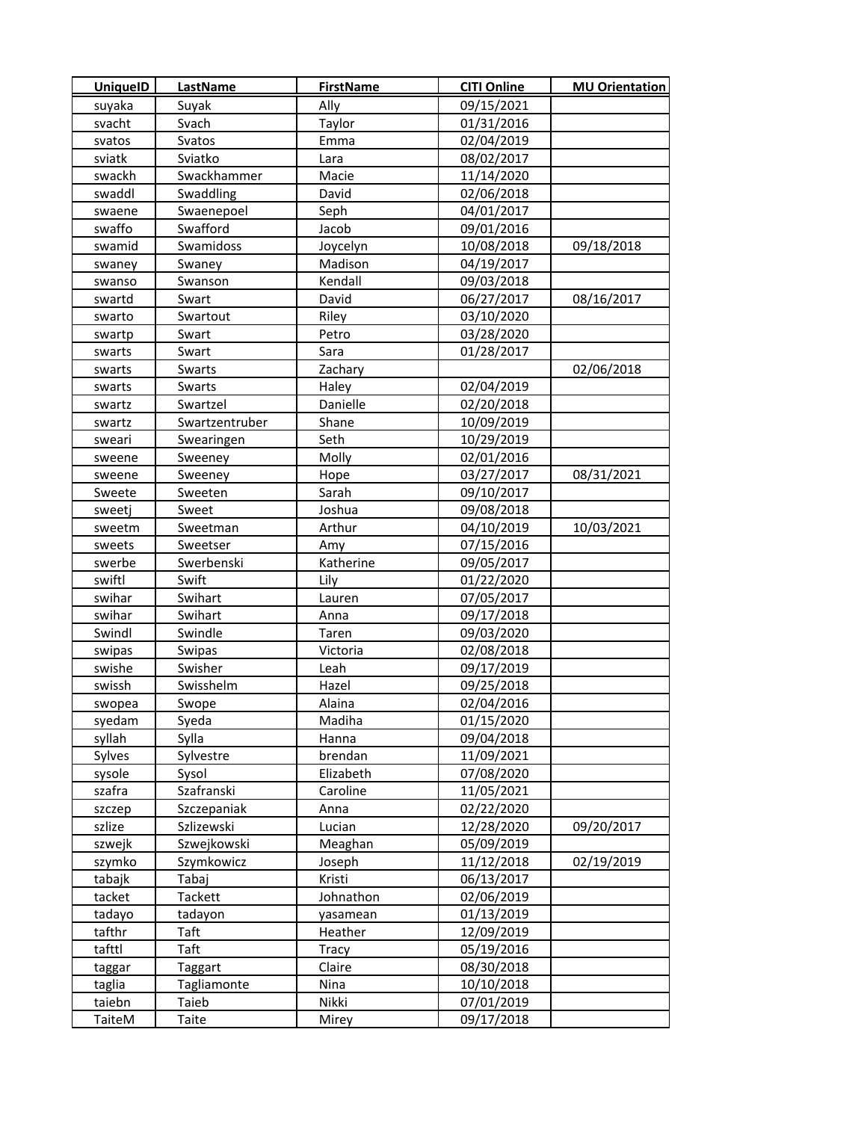| <b>UniquelD</b> | LastName       | <b>FirstName</b> | <b>CITI Online</b> | <b>MU Orientation</b> |
|-----------------|----------------|------------------|--------------------|-----------------------|
| suyaka          | Suyak          | Ally             | 09/15/2021         |                       |
| svacht          | Svach          | Taylor           | 01/31/2016         |                       |
| svatos          | Svatos         | Emma             | 02/04/2019         |                       |
| sviatk          | Sviatko        | Lara             | 08/02/2017         |                       |
| swackh          | Swackhammer    | Macie            | 11/14/2020         |                       |
| swaddl          | Swaddling      | David            | 02/06/2018         |                       |
| swaene          | Swaenepoel     | Seph             | 04/01/2017         |                       |
| swaffo          | Swafford       | Jacob            | 09/01/2016         |                       |
| swamid          | Swamidoss      | Joycelyn         | 10/08/2018         | 09/18/2018            |
| swaney          | Swaney         | Madison          | 04/19/2017         |                       |
| swanso          | Swanson        | Kendall          | 09/03/2018         |                       |
| swartd          | Swart          | David            | 06/27/2017         | 08/16/2017            |
| swarto          | Swartout       | Riley            | 03/10/2020         |                       |
| swartp          | Swart          | Petro            | 03/28/2020         |                       |
| swarts          | Swart          | Sara             | 01/28/2017         |                       |
| swarts          | Swarts         | Zachary          |                    | 02/06/2018            |
| swarts          | Swarts         | Haley            | 02/04/2019         |                       |
| swartz          | Swartzel       | Danielle         | 02/20/2018         |                       |
| swartz          | Swartzentruber | Shane            | 10/09/2019         |                       |
| sweari          | Swearingen     | Seth             | 10/29/2019         |                       |
| sweene          | Sweeney        | Molly            | 02/01/2016         |                       |
| sweene          | Sweeney        | Hope             | 03/27/2017         | 08/31/2021            |
| Sweete          | Sweeten        | Sarah            | 09/10/2017         |                       |
| sweetj          | Sweet          | Joshua           | 09/08/2018         |                       |
| sweetm          | Sweetman       | Arthur           | 04/10/2019         | 10/03/2021            |
| sweets          | Sweetser       | Amy              | 07/15/2016         |                       |
| swerbe          | Swerbenski     | Katherine        | 09/05/2017         |                       |
| swiftl          | Swift          | Lily             | 01/22/2020         |                       |
| swihar          | Swihart        | Lauren           | 07/05/2017         |                       |
| swihar          | Swihart        | Anna             | 09/17/2018         |                       |
| Swindl          | Swindle        | Taren            | 09/03/2020         |                       |
| swipas          | Swipas         | Victoria         | 02/08/2018         |                       |
| swishe          | Swisher        | Leah             | 09/17/2019         |                       |
| swissh          | Swisshelm      | Hazel            | 09/25/2018         |                       |
| swopea          | Swope          | Alaina           | 02/04/2016         |                       |
| syedam          | Syeda          | Madiha           | 01/15/2020         |                       |
| syllah          | Sylla          | Hanna            | 09/04/2018         |                       |
| Sylves          | Sylvestre      | brendan          | 11/09/2021         |                       |
| sysole          | Sysol          | Elizabeth        | 07/08/2020         |                       |
| szafra          | Szafranski     | Caroline         | 11/05/2021         |                       |
| szczep          | Szczepaniak    | Anna             | 02/22/2020         |                       |
| szlize          | Szlizewski     | Lucian           | 12/28/2020         | 09/20/2017            |
| szwejk          | Szwejkowski    | Meaghan          | 05/09/2019         |                       |
| szymko          | Szymkowicz     | Joseph           | 11/12/2018         | 02/19/2019            |
| tabajk          | Tabaj          | Kristi           | 06/13/2017         |                       |
| tacket          | Tackett        | Johnathon        | 02/06/2019         |                       |
| tadayo          | tadayon        | yasamean         | 01/13/2019         |                       |
| tafthr          | Taft           | Heather          | 12/09/2019         |                       |
| tafttl          | Taft           | <b>Tracy</b>     | 05/19/2016         |                       |
| taggar          | Taggart        | Claire           | 08/30/2018         |                       |
| taglia          | Tagliamonte    | Nina             | 10/10/2018         |                       |
| taiebn          | Taieb          | Nikki            | 07/01/2019         |                       |
| TaiteM          | Taite          | Mirey            | 09/17/2018         |                       |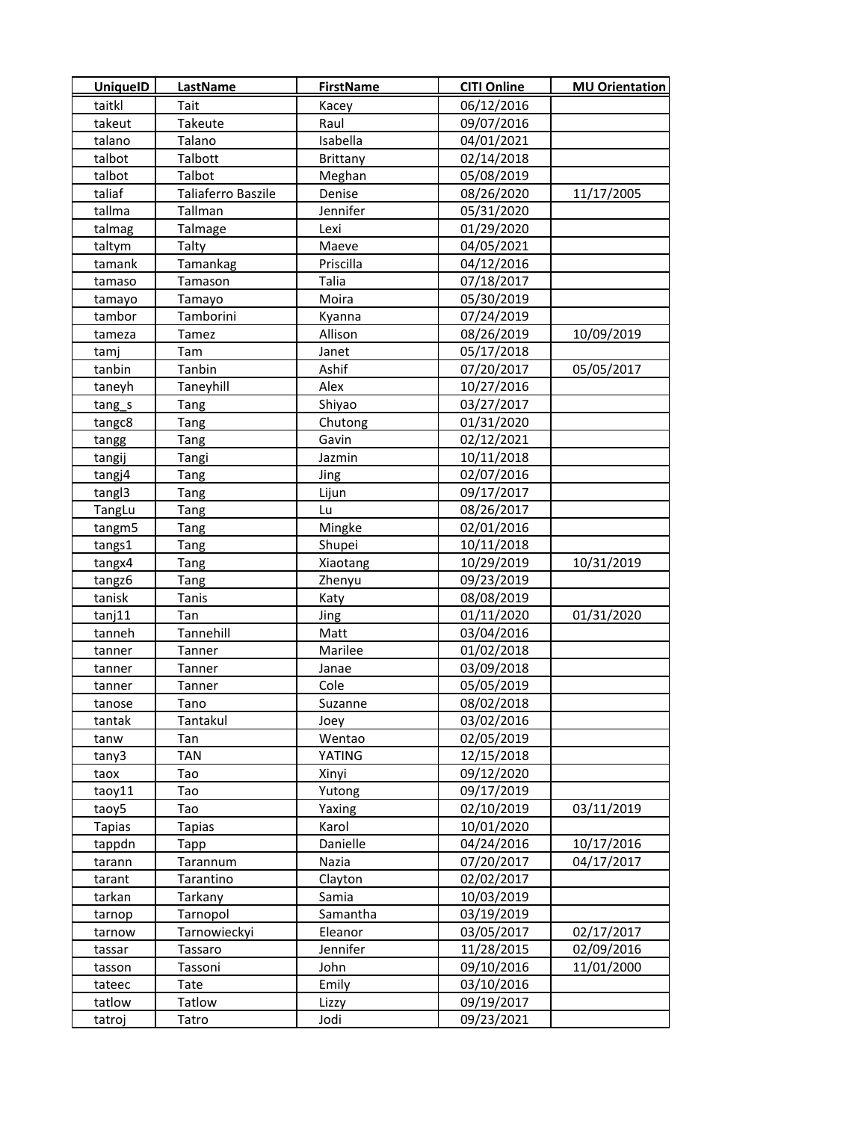| <b>UniquelD</b> | LastName           | <b>FirstName</b> | <b>CITI Online</b> | <b>MU Orientation</b> |
|-----------------|--------------------|------------------|--------------------|-----------------------|
| taitkl          | Tait               | Kacey            | 06/12/2016         |                       |
| takeut          | Takeute            | Raul             | 09/07/2016         |                       |
| talano          | Talano             | Isabella         | 04/01/2021         |                       |
| talbot          | Talbott            | Brittany         | 02/14/2018         |                       |
| talbot          | Talbot             | Meghan           | 05/08/2019         |                       |
| taliaf          | Taliaferro Baszile | Denise           | 08/26/2020         | 11/17/2005            |
| tallma          | Tallman            | Jennifer         | 05/31/2020         |                       |
| talmag          | Talmage            | Lexi             | 01/29/2020         |                       |
| taltym          | Talty              | Maeve            | 04/05/2021         |                       |
| tamank          | Tamankag           | Priscilla        | 04/12/2016         |                       |
| tamaso          | Tamason            | Talia            | 07/18/2017         |                       |
| tamayo          | Tamayo             | Moira            | 05/30/2019         |                       |
| tambor          | Tamborini          | Kyanna           | 07/24/2019         |                       |
| tameza          | Tamez              | Allison          | 08/26/2019         | 10/09/2019            |
| tamj            | Tam                | Janet            | 05/17/2018         |                       |
| tanbin          | Tanbin             | Ashif            | 07/20/2017         | 05/05/2017            |
| taneyh          | Taneyhill          | Alex             | 10/27/2016         |                       |
| tang_s          | Tang               | Shiyao           | 03/27/2017         |                       |
| tangc8          | Tang               | Chutong          | 01/31/2020         |                       |
| tangg           | Tang               | Gavin            | 02/12/2021         |                       |
| tangij          | Tangi              | Jazmin           | 10/11/2018         |                       |
| tangj4          | Tang               | Jing             | 02/07/2016         |                       |
| tangl3          | Tang               | Lijun            | 09/17/2017         |                       |
| TangLu          | Tang               | Lu               | 08/26/2017         |                       |
| tangm5          | Tang               | Mingke           | 02/01/2016         |                       |
| tangs1          | Tang               | Shupei           | 10/11/2018         |                       |
| tangx4          | Tang               | Xiaotang         | 10/29/2019         | 10/31/2019            |
| tangz6          | Tang               | Zhenyu           | 09/23/2019         |                       |
| tanisk          | Tanis              | Katy             | 08/08/2019         |                       |
| tanj11          | Tan                | Jing             | 01/11/2020         | 01/31/2020            |
| tanneh          | Tannehill          | Matt             | 03/04/2016         |                       |
| tanner          | Tanner             | Marilee          | 01/02/2018         |                       |
| tanner          | Tanner             | Janae            | 03/09/2018         |                       |
| tanner          | Tanner             | Cole             | 05/05/2019         |                       |
| tanose          | Tano               | Suzanne          | 08/02/2018         |                       |
| tantak          | Tantakul           | Joey             | 03/02/2016         |                       |
| tanw            | Tan                | Wentao           | 02/05/2019         |                       |
| tany3           | TAN                | YATING           | 12/15/2018         |                       |
| taox            | Tao                | Xinyi            | 09/12/2020         |                       |
| taoy11          | Tao                | Yutong           | 09/17/2019         |                       |
| taoy5           | Tao                | Yaxing           | 02/10/2019         | 03/11/2019            |
| <b>Tapias</b>   | <b>Tapias</b>      | Karol            | 10/01/2020         |                       |
| tappdn          | Tapp               | Danielle         | 04/24/2016         | 10/17/2016            |
| tarann          | Tarannum           | Nazia            | 07/20/2017         | 04/17/2017            |
| tarant          | Tarantino          | Clayton          | 02/02/2017         |                       |
| tarkan          | Tarkany            | Samia            | 10/03/2019         |                       |
| tarnop          | Tarnopol           | Samantha         | 03/19/2019         |                       |
| tarnow          | Tarnowieckyi       | Eleanor          | 03/05/2017         | 02/17/2017            |
| tassar          | Tassaro            | Jennifer         | 11/28/2015         | 02/09/2016            |
| tasson          | Tassoni            | John             | 09/10/2016         | 11/01/2000            |
| tateec          | Tate               | Emily            | 03/10/2016         |                       |
| tatlow          | Tatlow             | Lizzy            | 09/19/2017         |                       |
| tatroj          | Tatro              | Jodi             | 09/23/2021         |                       |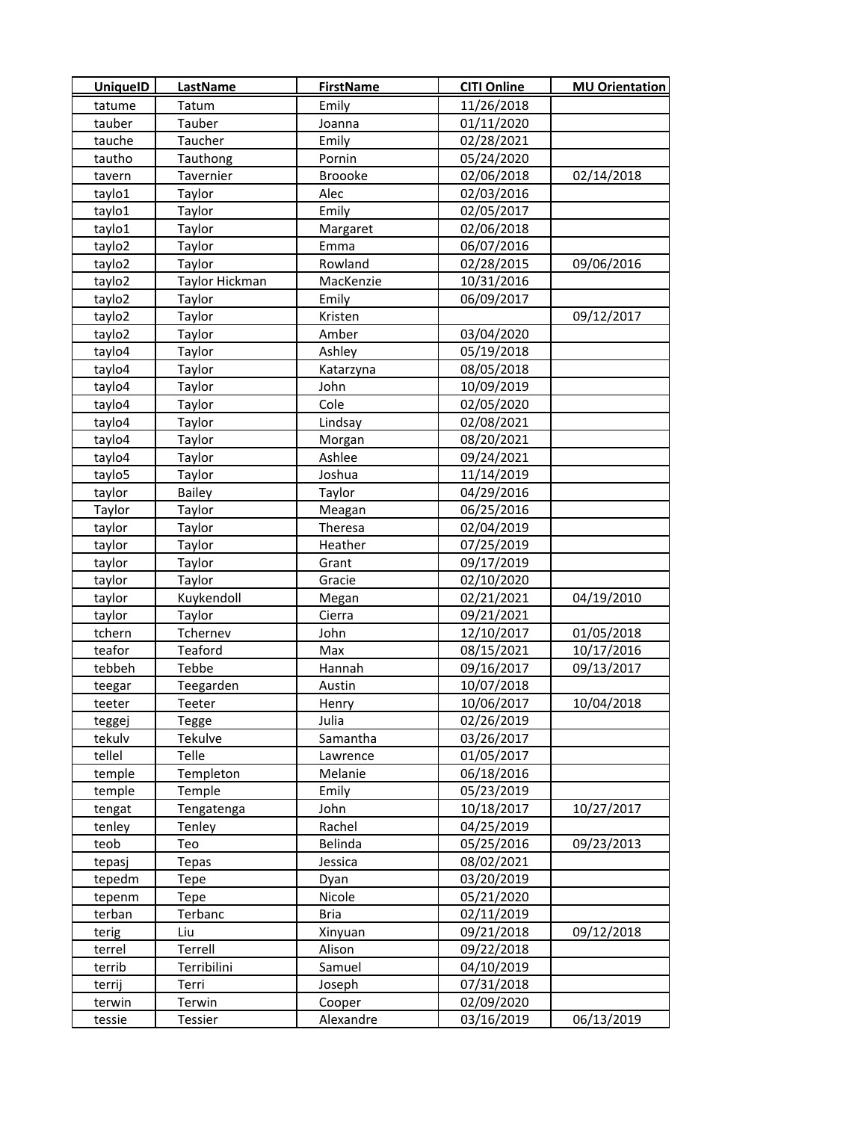| <b>UniquelD</b> | LastName       | <b>FirstName</b> | <b>CITI Online</b> | <b>MU Orientation</b> |
|-----------------|----------------|------------------|--------------------|-----------------------|
| tatume          | Tatum          | Emily            | 11/26/2018         |                       |
| tauber          | Tauber         | Joanna           | 01/11/2020         |                       |
| tauche          | Taucher        | Emily            | 02/28/2021         |                       |
| tautho          | Tauthong       | Pornin           | 05/24/2020         |                       |
| tavern          | Tavernier      | Broooke          | 02/06/2018         | 02/14/2018            |
| taylo1          | Taylor         | Alec             | 02/03/2016         |                       |
| taylo1          | Taylor         | Emily            | 02/05/2017         |                       |
| taylo1          | Taylor         | Margaret         | 02/06/2018         |                       |
| taylo2          | Taylor         | Emma             | 06/07/2016         |                       |
| taylo2          | Taylor         | Rowland          | 02/28/2015         | 09/06/2016            |
| taylo2          | Taylor Hickman | MacKenzie        | 10/31/2016         |                       |
| taylo2          | Taylor         | Emily            | 06/09/2017         |                       |
| taylo2          | Taylor         | Kristen          |                    | 09/12/2017            |
| taylo2          | Taylor         | Amber            | 03/04/2020         |                       |
| taylo4          | Taylor         | Ashley           | 05/19/2018         |                       |
| taylo4          | Taylor         | Katarzyna        | 08/05/2018         |                       |
| taylo4          | Taylor         | John             | 10/09/2019         |                       |
| taylo4          | Taylor         | Cole             | 02/05/2020         |                       |
| taylo4          | Taylor         | Lindsay          | 02/08/2021         |                       |
| taylo4          | Taylor         | Morgan           | 08/20/2021         |                       |
| taylo4          | Taylor         | Ashlee           | 09/24/2021         |                       |
| taylo5          | Taylor         | Joshua           | 11/14/2019         |                       |
| taylor          | <b>Bailey</b>  | Taylor           | 04/29/2016         |                       |
| Taylor          | Taylor         | Meagan           | 06/25/2016         |                       |
| taylor          | Taylor         | Theresa          | 02/04/2019         |                       |
| taylor          | Taylor         | Heather          | 07/25/2019         |                       |
| taylor          | Taylor         | Grant            | 09/17/2019         |                       |
| taylor          | Taylor         | Gracie           | 02/10/2020         |                       |
| taylor          | Kuykendoll     | Megan            | 02/21/2021         | 04/19/2010            |
| taylor          | Taylor         | Cierra           | 09/21/2021         |                       |
| tchern          | Tchernev       | John             | 12/10/2017         | 01/05/2018            |
| teafor          | Teaford        | Max              | 08/15/2021         | 10/17/2016            |
| tebbeh          | Tebbe          | Hannah           | 09/16/2017         | 09/13/2017            |
| teegar          | Teegarden      | Austin           | 10/07/2018         |                       |
| teeter          | Teeter         | Henry            | 10/06/2017         | 10/04/2018            |
| teggej          | Tegge          | Julia            | 02/26/2019         |                       |
| tekulv          | Tekulve        | Samantha         | 03/26/2017         |                       |
| tellel          | Telle          | Lawrence         | 01/05/2017         |                       |
| temple          | Templeton      | Melanie          | 06/18/2016         |                       |
| temple          | Temple         | Emily            | 05/23/2019         |                       |
| tengat          | Tengatenga     | John             | 10/18/2017         | 10/27/2017            |
| tenley          | Tenley         | Rachel           | 04/25/2019         |                       |
| teob            | Teo            | Belinda          | 05/25/2016         | 09/23/2013            |
| tepasj          | Tepas          | Jessica          | 08/02/2021         |                       |
| tepedm          | Tepe           | Dyan             | 03/20/2019         |                       |
| tepenm          | Tepe           | Nicole           | 05/21/2020         |                       |
| terban          | Terbanc        | <b>Bria</b>      | 02/11/2019         |                       |
| terig           | Liu            | Xinyuan          | 09/21/2018         | 09/12/2018            |
| terrel          | Terrell        | Alison           | 09/22/2018         |                       |
| terrib          | Terribilini    | Samuel           | 04/10/2019         |                       |
| terrij          | Terri          | Joseph           | 07/31/2018         |                       |
| terwin          | Terwin         | Cooper           | 02/09/2020         |                       |
| tessie          | Tessier        | Alexandre        | 03/16/2019         | 06/13/2019            |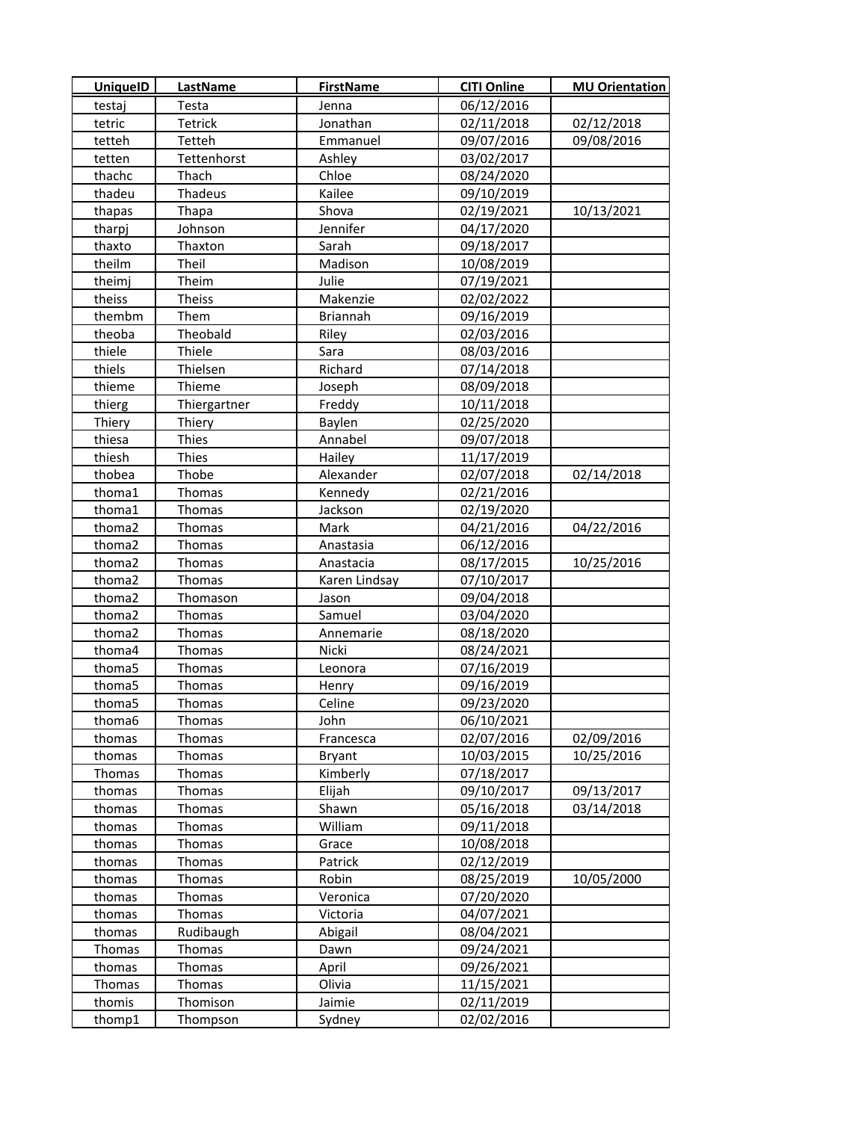| <b>UniquelD</b> | LastName     | <b>FirstName</b> | <b>CITI Online</b> | <b>MU Orientation</b> |
|-----------------|--------------|------------------|--------------------|-----------------------|
| testaj          | Testa        | Jenna            | 06/12/2016         |                       |
| tetric          | Tetrick      | Jonathan         | 02/11/2018         | 02/12/2018            |
| tetteh          | Tetteh       | Emmanuel         | 09/07/2016         | 09/08/2016            |
| tetten          | Tettenhorst  | Ashley           | 03/02/2017         |                       |
| thachc          | Thach        | Chloe            | 08/24/2020         |                       |
| thadeu          | Thadeus      | Kailee           | 09/10/2019         |                       |
| thapas          | Thapa        | Shova            | 02/19/2021         | 10/13/2021            |
| tharpj          | Johnson      | Jennifer         | 04/17/2020         |                       |
| thaxto          | Thaxton      | Sarah            | 09/18/2017         |                       |
| theilm          | Theil        | Madison          | 10/08/2019         |                       |
| theimj          | Theim        | Julie            | 07/19/2021         |                       |
| theiss          | Theiss       | Makenzie         | 02/02/2022         |                       |
| thembm          | Them         | <b>Briannah</b>  | 09/16/2019         |                       |
| theoba          | Theobald     | Riley            | 02/03/2016         |                       |
| thiele          | Thiele       | Sara             | 08/03/2016         |                       |
| thiels          | Thielsen     | Richard          | 07/14/2018         |                       |
| thieme          | Thieme       | Joseph           | 08/09/2018         |                       |
| thierg          | Thiergartner | Freddy           | 10/11/2018         |                       |
| Thiery          | Thiery       | Baylen           | 02/25/2020         |                       |
| thiesa          | Thies        | Annabel          | 09/07/2018         |                       |
| thiesh          | Thies        | Hailey           | 11/17/2019         |                       |
| thobea          | Thobe        | Alexander        | 02/07/2018         | 02/14/2018            |
| thoma1          | Thomas       | Kennedy          | 02/21/2016         |                       |
| thoma1          | Thomas       | Jackson          | 02/19/2020         |                       |
| thoma2          | Thomas       | Mark             | 04/21/2016         | 04/22/2016            |
| thoma2          | Thomas       | Anastasia        | 06/12/2016         |                       |
| thoma2          | Thomas       | Anastacia        | 08/17/2015         | 10/25/2016            |
| thoma2          | Thomas       | Karen Lindsay    | 07/10/2017         |                       |
| thoma2          | Thomason     | Jason            | 09/04/2018         |                       |
| thoma2          | Thomas       | Samuel           | 03/04/2020         |                       |
| thoma2          | Thomas       | Annemarie        | 08/18/2020         |                       |
| thoma4          | Thomas       | Nicki            | 08/24/2021         |                       |
| thoma5          | Thomas       | Leonora          | 07/16/2019         |                       |
| thoma5          | Thomas       | Henry            | 09/16/2019         |                       |
| thoma5          | Thomas       | Celine           | 09/23/2020         |                       |
| thoma6          | Thomas       | John             | 06/10/2021         |                       |
| thomas          | Thomas       | Francesca        | 02/07/2016         | 02/09/2016            |
| thomas          | Thomas       | <b>Bryant</b>    | 10/03/2015         | 10/25/2016            |
| Thomas          | Thomas       | Kimberly         | 07/18/2017         |                       |
| thomas          | Thomas       | Elijah           | 09/10/2017         | 09/13/2017            |
| thomas          | Thomas       | Shawn            | 05/16/2018         | 03/14/2018            |
| thomas          | Thomas       | William          | 09/11/2018         |                       |
| thomas          | Thomas       | Grace            | 10/08/2018         |                       |
| thomas          | Thomas       | Patrick          | 02/12/2019         |                       |
| thomas          | Thomas       | Robin            | 08/25/2019         | 10/05/2000            |
| thomas          | Thomas       | Veronica         | 07/20/2020         |                       |
| thomas          | Thomas       | Victoria         | 04/07/2021         |                       |
| thomas          | Rudibaugh    | Abigail          | 08/04/2021         |                       |
| <b>Thomas</b>   | Thomas       | Dawn             | 09/24/2021         |                       |
| thomas          | Thomas       | April            | 09/26/2021         |                       |
| Thomas          | Thomas       | Olivia           | 11/15/2021         |                       |
| thomis          | Thomison     | Jaimie           | 02/11/2019         |                       |
| thomp1          | Thompson     | Sydney           | 02/02/2016         |                       |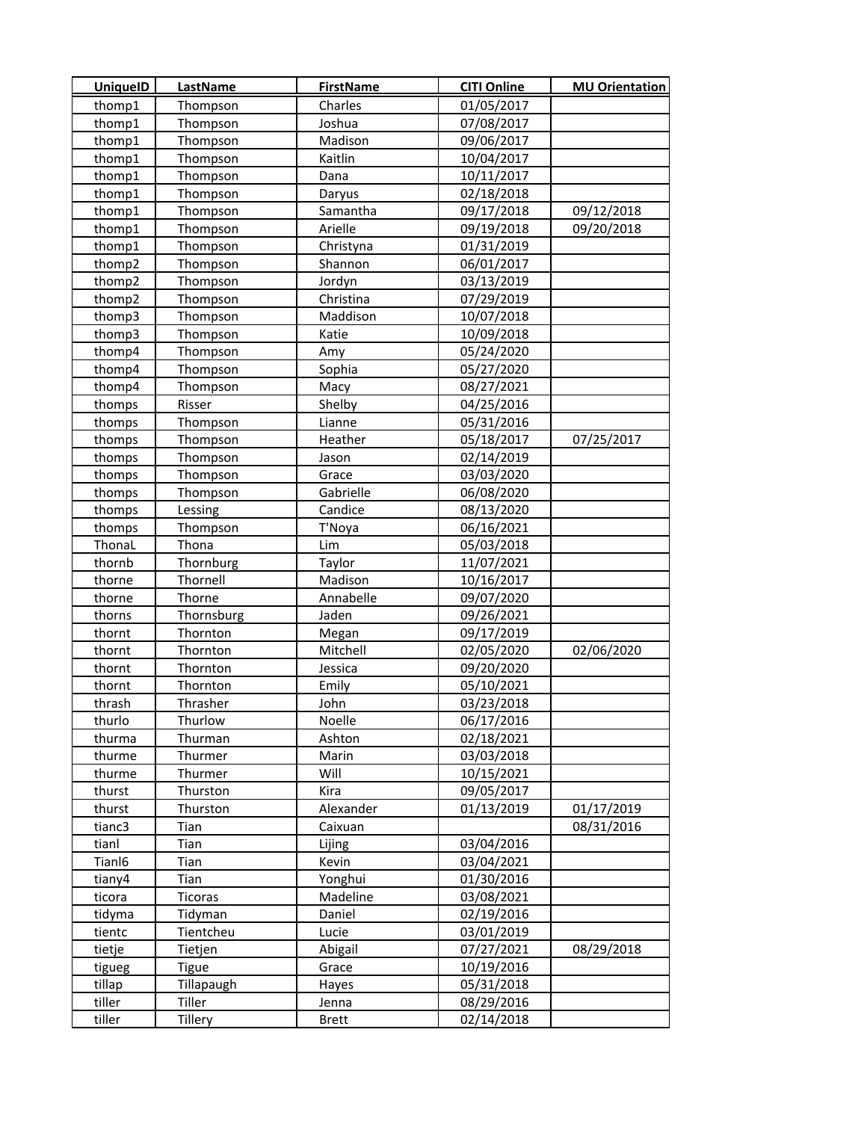| 01/05/2017<br>thomp1<br>Charles<br>Thompson<br>thomp1<br>Joshua<br>07/08/2017<br>Thompson<br>thomp1<br>Thompson<br>Madison<br>09/06/2017<br>thomp1<br>Thompson<br>10/04/2017<br>Kaitlin<br>thomp1<br>Thompson<br>Dana<br>10/11/2017<br>thomp1<br>02/18/2018<br>Thompson<br>Daryus<br>thomp1<br>Thompson<br>Samantha<br>09/17/2018<br>09/12/2018<br>thomp1<br>09/19/2018<br>09/20/2018<br>Thompson<br>Arielle<br>thomp1<br>Thompson<br>01/31/2019<br>Christyna<br>thomp2<br>Thompson<br>Shannon<br>06/01/2017<br>thomp2<br>03/13/2019<br>Thompson<br>Jordyn<br>thomp2<br>Christina<br>07/29/2019<br>Thompson<br>thomp3<br>Maddison<br>10/07/2018<br>Thompson<br>thomp3<br>Thompson<br>10/09/2018<br>Katie<br>thomp4<br>Thompson<br>05/24/2020<br>Amy<br>thomp4<br>Thompson<br>05/27/2020<br>Sophia<br>thomp4<br>Thompson<br>Macy<br>08/27/2021<br>Shelby<br>04/25/2016<br>thomps<br>Risser<br>thomps<br>Thompson<br>Lianne<br>05/31/2016<br>05/18/2017<br>07/25/2017<br>thomps<br>Thompson<br>Heather<br>02/14/2019<br>thomps<br>Thompson<br>Jason<br>03/03/2020<br>thomps<br>Thompson<br>Grace<br>Gabrielle<br>06/08/2020<br>thomps<br>Thompson<br>thomps<br>Lessing<br>Candice<br>08/13/2020<br>thomps<br>Thompson<br>T'Noya<br>06/16/2021<br>ThonaL<br>05/03/2018<br>Thona<br>Lim<br>thornb<br>Thornburg<br>Taylor<br>11/07/2021<br>thorne<br>Thornell<br>Madison<br>10/16/2017<br>thorne<br>Thorne<br>Annabelle<br>09/07/2020<br>thorns<br>Thornsburg<br>Jaden<br>09/26/2021<br>thornt<br>Thornton<br>09/17/2019<br>Megan<br>thornt<br>Thornton<br>Mitchell<br>02/05/2020<br>02/06/2020<br>09/20/2020<br>thornt<br>Thornton<br>Jessica<br>05/10/2021<br>thornt<br>Thornton<br>Emily<br>03/23/2018<br>Thrasher<br>John<br>thrash<br>thurlo<br>Noelle<br>Thurlow<br>06/17/2016<br>02/18/2021<br>thurma<br>Thurman<br>Ashton<br>thurme<br>Thurmer<br>Marin<br>03/03/2018<br>Thurmer<br>Will<br>10/15/2021<br>thurme<br>Kira<br>09/05/2017<br>thurst<br>Thurston<br>Alexander<br>thurst<br>Thurston<br>01/13/2019<br>01/17/2019<br>tianc3<br>08/31/2016<br>Tian<br>Caixuan<br>03/04/2016<br>tianl<br>Tian<br>Lijing<br>Tianl6<br>Tian<br>Kevin<br>03/04/2021<br>tiany4<br>Tian<br>Yonghui<br>01/30/2016<br>ticora<br>Ticoras<br>Madeline<br>03/08/2021<br>Daniel<br>02/19/2016<br>tidyma<br>Tidyman<br>Tientcheu<br>03/01/2019<br>tientc<br>Lucie<br>Abigail<br>07/27/2021<br>08/29/2018<br>tietje<br>Tietjen<br><b>Tigue</b><br>10/19/2016<br>tigueg<br>Grace<br>Tillapaugh<br>tillap<br>05/31/2018<br>Hayes<br>tiller<br>Tiller<br>08/29/2016<br>Jenna<br>tiller<br>Tillery<br>02/14/2018<br><b>Brett</b> | <b>UniquelD</b> | <b>LastName</b> | <b>FirstName</b> | <b>CITI Online</b> | <b>MU Orientation</b> |
|------------------------------------------------------------------------------------------------------------------------------------------------------------------------------------------------------------------------------------------------------------------------------------------------------------------------------------------------------------------------------------------------------------------------------------------------------------------------------------------------------------------------------------------------------------------------------------------------------------------------------------------------------------------------------------------------------------------------------------------------------------------------------------------------------------------------------------------------------------------------------------------------------------------------------------------------------------------------------------------------------------------------------------------------------------------------------------------------------------------------------------------------------------------------------------------------------------------------------------------------------------------------------------------------------------------------------------------------------------------------------------------------------------------------------------------------------------------------------------------------------------------------------------------------------------------------------------------------------------------------------------------------------------------------------------------------------------------------------------------------------------------------------------------------------------------------------------------------------------------------------------------------------------------------------------------------------------------------------------------------------------------------------------------------------------------------------------------------------------------------------------------------------------------------------------------------------------------------------------------------------------------------------------------------------------------------------------------------------------------------------------------------------------------------------------------------------------------------------------------------------------------------------------------------------------------------------------------------------------|-----------------|-----------------|------------------|--------------------|-----------------------|
|                                                                                                                                                                                                                                                                                                                                                                                                                                                                                                                                                                                                                                                                                                                                                                                                                                                                                                                                                                                                                                                                                                                                                                                                                                                                                                                                                                                                                                                                                                                                                                                                                                                                                                                                                                                                                                                                                                                                                                                                                                                                                                                                                                                                                                                                                                                                                                                                                                                                                                                                                                                                            |                 |                 |                  |                    |                       |
|                                                                                                                                                                                                                                                                                                                                                                                                                                                                                                                                                                                                                                                                                                                                                                                                                                                                                                                                                                                                                                                                                                                                                                                                                                                                                                                                                                                                                                                                                                                                                                                                                                                                                                                                                                                                                                                                                                                                                                                                                                                                                                                                                                                                                                                                                                                                                                                                                                                                                                                                                                                                            |                 |                 |                  |                    |                       |
|                                                                                                                                                                                                                                                                                                                                                                                                                                                                                                                                                                                                                                                                                                                                                                                                                                                                                                                                                                                                                                                                                                                                                                                                                                                                                                                                                                                                                                                                                                                                                                                                                                                                                                                                                                                                                                                                                                                                                                                                                                                                                                                                                                                                                                                                                                                                                                                                                                                                                                                                                                                                            |                 |                 |                  |                    |                       |
|                                                                                                                                                                                                                                                                                                                                                                                                                                                                                                                                                                                                                                                                                                                                                                                                                                                                                                                                                                                                                                                                                                                                                                                                                                                                                                                                                                                                                                                                                                                                                                                                                                                                                                                                                                                                                                                                                                                                                                                                                                                                                                                                                                                                                                                                                                                                                                                                                                                                                                                                                                                                            |                 |                 |                  |                    |                       |
|                                                                                                                                                                                                                                                                                                                                                                                                                                                                                                                                                                                                                                                                                                                                                                                                                                                                                                                                                                                                                                                                                                                                                                                                                                                                                                                                                                                                                                                                                                                                                                                                                                                                                                                                                                                                                                                                                                                                                                                                                                                                                                                                                                                                                                                                                                                                                                                                                                                                                                                                                                                                            |                 |                 |                  |                    |                       |
|                                                                                                                                                                                                                                                                                                                                                                                                                                                                                                                                                                                                                                                                                                                                                                                                                                                                                                                                                                                                                                                                                                                                                                                                                                                                                                                                                                                                                                                                                                                                                                                                                                                                                                                                                                                                                                                                                                                                                                                                                                                                                                                                                                                                                                                                                                                                                                                                                                                                                                                                                                                                            |                 |                 |                  |                    |                       |
|                                                                                                                                                                                                                                                                                                                                                                                                                                                                                                                                                                                                                                                                                                                                                                                                                                                                                                                                                                                                                                                                                                                                                                                                                                                                                                                                                                                                                                                                                                                                                                                                                                                                                                                                                                                                                                                                                                                                                                                                                                                                                                                                                                                                                                                                                                                                                                                                                                                                                                                                                                                                            |                 |                 |                  |                    |                       |
|                                                                                                                                                                                                                                                                                                                                                                                                                                                                                                                                                                                                                                                                                                                                                                                                                                                                                                                                                                                                                                                                                                                                                                                                                                                                                                                                                                                                                                                                                                                                                                                                                                                                                                                                                                                                                                                                                                                                                                                                                                                                                                                                                                                                                                                                                                                                                                                                                                                                                                                                                                                                            |                 |                 |                  |                    |                       |
|                                                                                                                                                                                                                                                                                                                                                                                                                                                                                                                                                                                                                                                                                                                                                                                                                                                                                                                                                                                                                                                                                                                                                                                                                                                                                                                                                                                                                                                                                                                                                                                                                                                                                                                                                                                                                                                                                                                                                                                                                                                                                                                                                                                                                                                                                                                                                                                                                                                                                                                                                                                                            |                 |                 |                  |                    |                       |
|                                                                                                                                                                                                                                                                                                                                                                                                                                                                                                                                                                                                                                                                                                                                                                                                                                                                                                                                                                                                                                                                                                                                                                                                                                                                                                                                                                                                                                                                                                                                                                                                                                                                                                                                                                                                                                                                                                                                                                                                                                                                                                                                                                                                                                                                                                                                                                                                                                                                                                                                                                                                            |                 |                 |                  |                    |                       |
|                                                                                                                                                                                                                                                                                                                                                                                                                                                                                                                                                                                                                                                                                                                                                                                                                                                                                                                                                                                                                                                                                                                                                                                                                                                                                                                                                                                                                                                                                                                                                                                                                                                                                                                                                                                                                                                                                                                                                                                                                                                                                                                                                                                                                                                                                                                                                                                                                                                                                                                                                                                                            |                 |                 |                  |                    |                       |
|                                                                                                                                                                                                                                                                                                                                                                                                                                                                                                                                                                                                                                                                                                                                                                                                                                                                                                                                                                                                                                                                                                                                                                                                                                                                                                                                                                                                                                                                                                                                                                                                                                                                                                                                                                                                                                                                                                                                                                                                                                                                                                                                                                                                                                                                                                                                                                                                                                                                                                                                                                                                            |                 |                 |                  |                    |                       |
|                                                                                                                                                                                                                                                                                                                                                                                                                                                                                                                                                                                                                                                                                                                                                                                                                                                                                                                                                                                                                                                                                                                                                                                                                                                                                                                                                                                                                                                                                                                                                                                                                                                                                                                                                                                                                                                                                                                                                                                                                                                                                                                                                                                                                                                                                                                                                                                                                                                                                                                                                                                                            |                 |                 |                  |                    |                       |
|                                                                                                                                                                                                                                                                                                                                                                                                                                                                                                                                                                                                                                                                                                                                                                                                                                                                                                                                                                                                                                                                                                                                                                                                                                                                                                                                                                                                                                                                                                                                                                                                                                                                                                                                                                                                                                                                                                                                                                                                                                                                                                                                                                                                                                                                                                                                                                                                                                                                                                                                                                                                            |                 |                 |                  |                    |                       |
|                                                                                                                                                                                                                                                                                                                                                                                                                                                                                                                                                                                                                                                                                                                                                                                                                                                                                                                                                                                                                                                                                                                                                                                                                                                                                                                                                                                                                                                                                                                                                                                                                                                                                                                                                                                                                                                                                                                                                                                                                                                                                                                                                                                                                                                                                                                                                                                                                                                                                                                                                                                                            |                 |                 |                  |                    |                       |
|                                                                                                                                                                                                                                                                                                                                                                                                                                                                                                                                                                                                                                                                                                                                                                                                                                                                                                                                                                                                                                                                                                                                                                                                                                                                                                                                                                                                                                                                                                                                                                                                                                                                                                                                                                                                                                                                                                                                                                                                                                                                                                                                                                                                                                                                                                                                                                                                                                                                                                                                                                                                            |                 |                 |                  |                    |                       |
|                                                                                                                                                                                                                                                                                                                                                                                                                                                                                                                                                                                                                                                                                                                                                                                                                                                                                                                                                                                                                                                                                                                                                                                                                                                                                                                                                                                                                                                                                                                                                                                                                                                                                                                                                                                                                                                                                                                                                                                                                                                                                                                                                                                                                                                                                                                                                                                                                                                                                                                                                                                                            |                 |                 |                  |                    |                       |
|                                                                                                                                                                                                                                                                                                                                                                                                                                                                                                                                                                                                                                                                                                                                                                                                                                                                                                                                                                                                                                                                                                                                                                                                                                                                                                                                                                                                                                                                                                                                                                                                                                                                                                                                                                                                                                                                                                                                                                                                                                                                                                                                                                                                                                                                                                                                                                                                                                                                                                                                                                                                            |                 |                 |                  |                    |                       |
|                                                                                                                                                                                                                                                                                                                                                                                                                                                                                                                                                                                                                                                                                                                                                                                                                                                                                                                                                                                                                                                                                                                                                                                                                                                                                                                                                                                                                                                                                                                                                                                                                                                                                                                                                                                                                                                                                                                                                                                                                                                                                                                                                                                                                                                                                                                                                                                                                                                                                                                                                                                                            |                 |                 |                  |                    |                       |
|                                                                                                                                                                                                                                                                                                                                                                                                                                                                                                                                                                                                                                                                                                                                                                                                                                                                                                                                                                                                                                                                                                                                                                                                                                                                                                                                                                                                                                                                                                                                                                                                                                                                                                                                                                                                                                                                                                                                                                                                                                                                                                                                                                                                                                                                                                                                                                                                                                                                                                                                                                                                            |                 |                 |                  |                    |                       |
|                                                                                                                                                                                                                                                                                                                                                                                                                                                                                                                                                                                                                                                                                                                                                                                                                                                                                                                                                                                                                                                                                                                                                                                                                                                                                                                                                                                                                                                                                                                                                                                                                                                                                                                                                                                                                                                                                                                                                                                                                                                                                                                                                                                                                                                                                                                                                                                                                                                                                                                                                                                                            |                 |                 |                  |                    |                       |
|                                                                                                                                                                                                                                                                                                                                                                                                                                                                                                                                                                                                                                                                                                                                                                                                                                                                                                                                                                                                                                                                                                                                                                                                                                                                                                                                                                                                                                                                                                                                                                                                                                                                                                                                                                                                                                                                                                                                                                                                                                                                                                                                                                                                                                                                                                                                                                                                                                                                                                                                                                                                            |                 |                 |                  |                    |                       |
|                                                                                                                                                                                                                                                                                                                                                                                                                                                                                                                                                                                                                                                                                                                                                                                                                                                                                                                                                                                                                                                                                                                                                                                                                                                                                                                                                                                                                                                                                                                                                                                                                                                                                                                                                                                                                                                                                                                                                                                                                                                                                                                                                                                                                                                                                                                                                                                                                                                                                                                                                                                                            |                 |                 |                  |                    |                       |
|                                                                                                                                                                                                                                                                                                                                                                                                                                                                                                                                                                                                                                                                                                                                                                                                                                                                                                                                                                                                                                                                                                                                                                                                                                                                                                                                                                                                                                                                                                                                                                                                                                                                                                                                                                                                                                                                                                                                                                                                                                                                                                                                                                                                                                                                                                                                                                                                                                                                                                                                                                                                            |                 |                 |                  |                    |                       |
|                                                                                                                                                                                                                                                                                                                                                                                                                                                                                                                                                                                                                                                                                                                                                                                                                                                                                                                                                                                                                                                                                                                                                                                                                                                                                                                                                                                                                                                                                                                                                                                                                                                                                                                                                                                                                                                                                                                                                                                                                                                                                                                                                                                                                                                                                                                                                                                                                                                                                                                                                                                                            |                 |                 |                  |                    |                       |
|                                                                                                                                                                                                                                                                                                                                                                                                                                                                                                                                                                                                                                                                                                                                                                                                                                                                                                                                                                                                                                                                                                                                                                                                                                                                                                                                                                                                                                                                                                                                                                                                                                                                                                                                                                                                                                                                                                                                                                                                                                                                                                                                                                                                                                                                                                                                                                                                                                                                                                                                                                                                            |                 |                 |                  |                    |                       |
|                                                                                                                                                                                                                                                                                                                                                                                                                                                                                                                                                                                                                                                                                                                                                                                                                                                                                                                                                                                                                                                                                                                                                                                                                                                                                                                                                                                                                                                                                                                                                                                                                                                                                                                                                                                                                                                                                                                                                                                                                                                                                                                                                                                                                                                                                                                                                                                                                                                                                                                                                                                                            |                 |                 |                  |                    |                       |
|                                                                                                                                                                                                                                                                                                                                                                                                                                                                                                                                                                                                                                                                                                                                                                                                                                                                                                                                                                                                                                                                                                                                                                                                                                                                                                                                                                                                                                                                                                                                                                                                                                                                                                                                                                                                                                                                                                                                                                                                                                                                                                                                                                                                                                                                                                                                                                                                                                                                                                                                                                                                            |                 |                 |                  |                    |                       |
|                                                                                                                                                                                                                                                                                                                                                                                                                                                                                                                                                                                                                                                                                                                                                                                                                                                                                                                                                                                                                                                                                                                                                                                                                                                                                                                                                                                                                                                                                                                                                                                                                                                                                                                                                                                                                                                                                                                                                                                                                                                                                                                                                                                                                                                                                                                                                                                                                                                                                                                                                                                                            |                 |                 |                  |                    |                       |
|                                                                                                                                                                                                                                                                                                                                                                                                                                                                                                                                                                                                                                                                                                                                                                                                                                                                                                                                                                                                                                                                                                                                                                                                                                                                                                                                                                                                                                                                                                                                                                                                                                                                                                                                                                                                                                                                                                                                                                                                                                                                                                                                                                                                                                                                                                                                                                                                                                                                                                                                                                                                            |                 |                 |                  |                    |                       |
|                                                                                                                                                                                                                                                                                                                                                                                                                                                                                                                                                                                                                                                                                                                                                                                                                                                                                                                                                                                                                                                                                                                                                                                                                                                                                                                                                                                                                                                                                                                                                                                                                                                                                                                                                                                                                                                                                                                                                                                                                                                                                                                                                                                                                                                                                                                                                                                                                                                                                                                                                                                                            |                 |                 |                  |                    |                       |
|                                                                                                                                                                                                                                                                                                                                                                                                                                                                                                                                                                                                                                                                                                                                                                                                                                                                                                                                                                                                                                                                                                                                                                                                                                                                                                                                                                                                                                                                                                                                                                                                                                                                                                                                                                                                                                                                                                                                                                                                                                                                                                                                                                                                                                                                                                                                                                                                                                                                                                                                                                                                            |                 |                 |                  |                    |                       |
|                                                                                                                                                                                                                                                                                                                                                                                                                                                                                                                                                                                                                                                                                                                                                                                                                                                                                                                                                                                                                                                                                                                                                                                                                                                                                                                                                                                                                                                                                                                                                                                                                                                                                                                                                                                                                                                                                                                                                                                                                                                                                                                                                                                                                                                                                                                                                                                                                                                                                                                                                                                                            |                 |                 |                  |                    |                       |
|                                                                                                                                                                                                                                                                                                                                                                                                                                                                                                                                                                                                                                                                                                                                                                                                                                                                                                                                                                                                                                                                                                                                                                                                                                                                                                                                                                                                                                                                                                                                                                                                                                                                                                                                                                                                                                                                                                                                                                                                                                                                                                                                                                                                                                                                                                                                                                                                                                                                                                                                                                                                            |                 |                 |                  |                    |                       |
|                                                                                                                                                                                                                                                                                                                                                                                                                                                                                                                                                                                                                                                                                                                                                                                                                                                                                                                                                                                                                                                                                                                                                                                                                                                                                                                                                                                                                                                                                                                                                                                                                                                                                                                                                                                                                                                                                                                                                                                                                                                                                                                                                                                                                                                                                                                                                                                                                                                                                                                                                                                                            |                 |                 |                  |                    |                       |
|                                                                                                                                                                                                                                                                                                                                                                                                                                                                                                                                                                                                                                                                                                                                                                                                                                                                                                                                                                                                                                                                                                                                                                                                                                                                                                                                                                                                                                                                                                                                                                                                                                                                                                                                                                                                                                                                                                                                                                                                                                                                                                                                                                                                                                                                                                                                                                                                                                                                                                                                                                                                            |                 |                 |                  |                    |                       |
|                                                                                                                                                                                                                                                                                                                                                                                                                                                                                                                                                                                                                                                                                                                                                                                                                                                                                                                                                                                                                                                                                                                                                                                                                                                                                                                                                                                                                                                                                                                                                                                                                                                                                                                                                                                                                                                                                                                                                                                                                                                                                                                                                                                                                                                                                                                                                                                                                                                                                                                                                                                                            |                 |                 |                  |                    |                       |
|                                                                                                                                                                                                                                                                                                                                                                                                                                                                                                                                                                                                                                                                                                                                                                                                                                                                                                                                                                                                                                                                                                                                                                                                                                                                                                                                                                                                                                                                                                                                                                                                                                                                                                                                                                                                                                                                                                                                                                                                                                                                                                                                                                                                                                                                                                                                                                                                                                                                                                                                                                                                            |                 |                 |                  |                    |                       |
|                                                                                                                                                                                                                                                                                                                                                                                                                                                                                                                                                                                                                                                                                                                                                                                                                                                                                                                                                                                                                                                                                                                                                                                                                                                                                                                                                                                                                                                                                                                                                                                                                                                                                                                                                                                                                                                                                                                                                                                                                                                                                                                                                                                                                                                                                                                                                                                                                                                                                                                                                                                                            |                 |                 |                  |                    |                       |
|                                                                                                                                                                                                                                                                                                                                                                                                                                                                                                                                                                                                                                                                                                                                                                                                                                                                                                                                                                                                                                                                                                                                                                                                                                                                                                                                                                                                                                                                                                                                                                                                                                                                                                                                                                                                                                                                                                                                                                                                                                                                                                                                                                                                                                                                                                                                                                                                                                                                                                                                                                                                            |                 |                 |                  |                    |                       |
|                                                                                                                                                                                                                                                                                                                                                                                                                                                                                                                                                                                                                                                                                                                                                                                                                                                                                                                                                                                                                                                                                                                                                                                                                                                                                                                                                                                                                                                                                                                                                                                                                                                                                                                                                                                                                                                                                                                                                                                                                                                                                                                                                                                                                                                                                                                                                                                                                                                                                                                                                                                                            |                 |                 |                  |                    |                       |
|                                                                                                                                                                                                                                                                                                                                                                                                                                                                                                                                                                                                                                                                                                                                                                                                                                                                                                                                                                                                                                                                                                                                                                                                                                                                                                                                                                                                                                                                                                                                                                                                                                                                                                                                                                                                                                                                                                                                                                                                                                                                                                                                                                                                                                                                                                                                                                                                                                                                                                                                                                                                            |                 |                 |                  |                    |                       |
|                                                                                                                                                                                                                                                                                                                                                                                                                                                                                                                                                                                                                                                                                                                                                                                                                                                                                                                                                                                                                                                                                                                                                                                                                                                                                                                                                                                                                                                                                                                                                                                                                                                                                                                                                                                                                                                                                                                                                                                                                                                                                                                                                                                                                                                                                                                                                                                                                                                                                                                                                                                                            |                 |                 |                  |                    |                       |
|                                                                                                                                                                                                                                                                                                                                                                                                                                                                                                                                                                                                                                                                                                                                                                                                                                                                                                                                                                                                                                                                                                                                                                                                                                                                                                                                                                                                                                                                                                                                                                                                                                                                                                                                                                                                                                                                                                                                                                                                                                                                                                                                                                                                                                                                                                                                                                                                                                                                                                                                                                                                            |                 |                 |                  |                    |                       |
|                                                                                                                                                                                                                                                                                                                                                                                                                                                                                                                                                                                                                                                                                                                                                                                                                                                                                                                                                                                                                                                                                                                                                                                                                                                                                                                                                                                                                                                                                                                                                                                                                                                                                                                                                                                                                                                                                                                                                                                                                                                                                                                                                                                                                                                                                                                                                                                                                                                                                                                                                                                                            |                 |                 |                  |                    |                       |
|                                                                                                                                                                                                                                                                                                                                                                                                                                                                                                                                                                                                                                                                                                                                                                                                                                                                                                                                                                                                                                                                                                                                                                                                                                                                                                                                                                                                                                                                                                                                                                                                                                                                                                                                                                                                                                                                                                                                                                                                                                                                                                                                                                                                                                                                                                                                                                                                                                                                                                                                                                                                            |                 |                 |                  |                    |                       |
|                                                                                                                                                                                                                                                                                                                                                                                                                                                                                                                                                                                                                                                                                                                                                                                                                                                                                                                                                                                                                                                                                                                                                                                                                                                                                                                                                                                                                                                                                                                                                                                                                                                                                                                                                                                                                                                                                                                                                                                                                                                                                                                                                                                                                                                                                                                                                                                                                                                                                                                                                                                                            |                 |                 |                  |                    |                       |
|                                                                                                                                                                                                                                                                                                                                                                                                                                                                                                                                                                                                                                                                                                                                                                                                                                                                                                                                                                                                                                                                                                                                                                                                                                                                                                                                                                                                                                                                                                                                                                                                                                                                                                                                                                                                                                                                                                                                                                                                                                                                                                                                                                                                                                                                                                                                                                                                                                                                                                                                                                                                            |                 |                 |                  |                    |                       |
|                                                                                                                                                                                                                                                                                                                                                                                                                                                                                                                                                                                                                                                                                                                                                                                                                                                                                                                                                                                                                                                                                                                                                                                                                                                                                                                                                                                                                                                                                                                                                                                                                                                                                                                                                                                                                                                                                                                                                                                                                                                                                                                                                                                                                                                                                                                                                                                                                                                                                                                                                                                                            |                 |                 |                  |                    |                       |
|                                                                                                                                                                                                                                                                                                                                                                                                                                                                                                                                                                                                                                                                                                                                                                                                                                                                                                                                                                                                                                                                                                                                                                                                                                                                                                                                                                                                                                                                                                                                                                                                                                                                                                                                                                                                                                                                                                                                                                                                                                                                                                                                                                                                                                                                                                                                                                                                                                                                                                                                                                                                            |                 |                 |                  |                    |                       |
|                                                                                                                                                                                                                                                                                                                                                                                                                                                                                                                                                                                                                                                                                                                                                                                                                                                                                                                                                                                                                                                                                                                                                                                                                                                                                                                                                                                                                                                                                                                                                                                                                                                                                                                                                                                                                                                                                                                                                                                                                                                                                                                                                                                                                                                                                                                                                                                                                                                                                                                                                                                                            |                 |                 |                  |                    |                       |
|                                                                                                                                                                                                                                                                                                                                                                                                                                                                                                                                                                                                                                                                                                                                                                                                                                                                                                                                                                                                                                                                                                                                                                                                                                                                                                                                                                                                                                                                                                                                                                                                                                                                                                                                                                                                                                                                                                                                                                                                                                                                                                                                                                                                                                                                                                                                                                                                                                                                                                                                                                                                            |                 |                 |                  |                    |                       |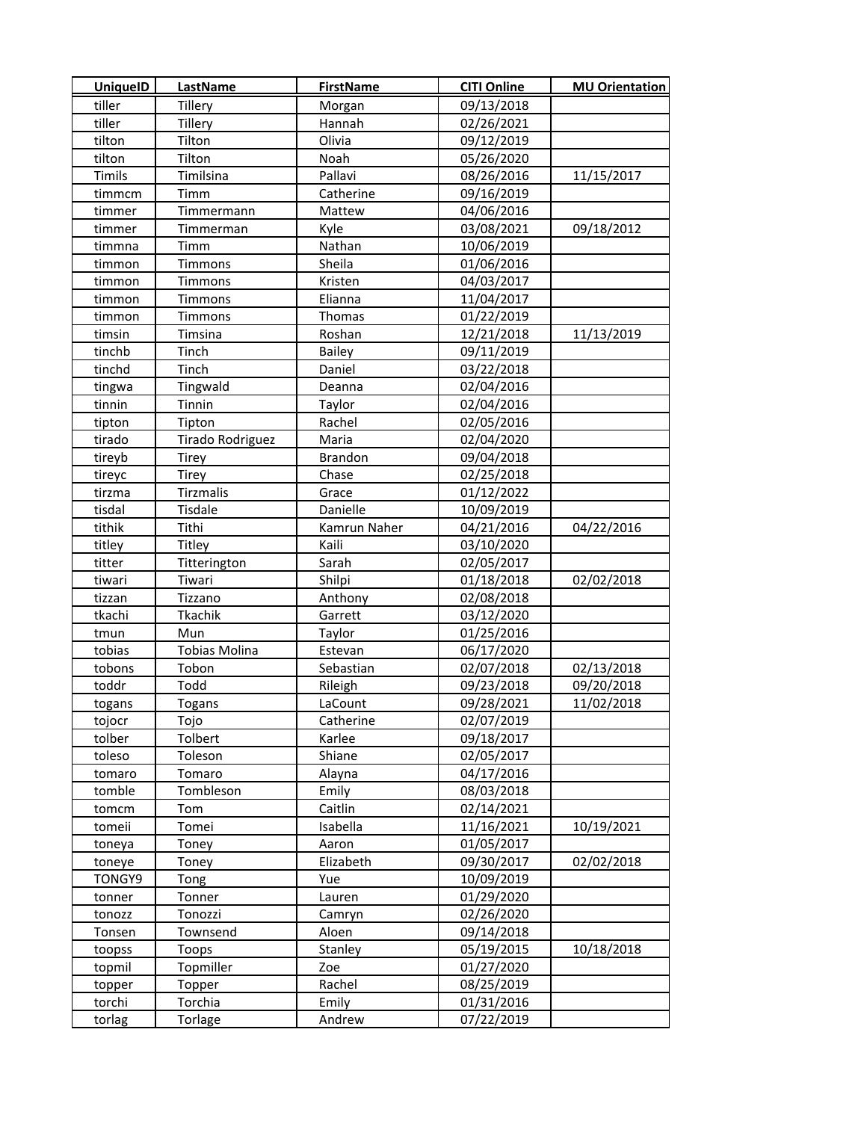| <b>UniquelD</b> | <b>LastName</b>      | <b>FirstName</b> | <b>CITI Online</b> | <b>MU Orientation</b> |
|-----------------|----------------------|------------------|--------------------|-----------------------|
| tiller          | Tillery              | Morgan           | 09/13/2018         |                       |
| tiller          | Tillery              | Hannah           | 02/26/2021         |                       |
| tilton          | Tilton               | Olivia           | 09/12/2019         |                       |
| tilton          | Tilton               | Noah             | 05/26/2020         |                       |
| Timils          | Timilsina            | Pallavi          | 08/26/2016         | 11/15/2017            |
| timmcm          | Timm                 | Catherine        | 09/16/2019         |                       |
| timmer          | Timmermann           | Mattew           | 04/06/2016         |                       |
| timmer          | Timmerman            | Kyle             | 03/08/2021         | 09/18/2012            |
| timmna          | Timm                 | Nathan           | 10/06/2019         |                       |
| timmon          | Timmons              | Sheila           | 01/06/2016         |                       |
| timmon          | Timmons              | Kristen          | 04/03/2017         |                       |
| timmon          | Timmons              | Elianna          | 11/04/2017         |                       |
| timmon          | Timmons              | Thomas           | 01/22/2019         |                       |
| timsin          | Timsina              | Roshan           | 12/21/2018         | 11/13/2019            |
| tinchb          | Tinch                | Bailey           | 09/11/2019         |                       |
| tinchd          | Tinch                | Daniel           | 03/22/2018         |                       |
| tingwa          | Tingwald             | Deanna           | 02/04/2016         |                       |
| tinnin          | Tinnin               | Taylor           | 02/04/2016         |                       |
| tipton          | Tipton               | Rachel           | 02/05/2016         |                       |
| tirado          | Tirado Rodriguez     | Maria            | 02/04/2020         |                       |
| tireyb          | Tirey                | <b>Brandon</b>   | 09/04/2018         |                       |
| tireyc          | Tirey                | Chase            | 02/25/2018         |                       |
| tirzma          | Tirzmalis            | Grace            | 01/12/2022         |                       |
| tisdal          | Tisdale              | Danielle         | 10/09/2019         |                       |
| tithik          | Tithi                | Kamrun Naher     | 04/21/2016         | 04/22/2016            |
| titley          | Titley               | Kaili            | 03/10/2020         |                       |
| titter          | Titterington         | Sarah            | 02/05/2017         |                       |
| tiwari          | Tiwari               | Shilpi           | 01/18/2018         | 02/02/2018            |
| tizzan          | Tizzano              | Anthony          | 02/08/2018         |                       |
| tkachi          | Tkachik              | Garrett          | 03/12/2020         |                       |
| tmun            | Mun                  | Taylor           | 01/25/2016         |                       |
| tobias          | <b>Tobias Molina</b> | Estevan          | 06/17/2020         |                       |
| tobons          | Tobon                | Sebastian        | 02/07/2018         | 02/13/2018            |
| toddr           | Todd                 | Rileigh          | 09/23/2018         | 09/20/2018            |
| togans          | Togans               | LaCount          | 09/28/2021         | 11/02/2018            |
| tojocr          | Tojo                 | Catherine        | 02/07/2019         |                       |
| tolber          | Tolbert              | Karlee           | 09/18/2017         |                       |
| toleso          | Toleson              | Shiane           | 02/05/2017         |                       |
| tomaro          | Tomaro               | Alayna           | 04/17/2016         |                       |
| tomble          | Tombleson            | Emily            | 08/03/2018         |                       |
| tomcm           | Tom                  | Caitlin          | 02/14/2021         |                       |
| tomeii          | Tomei                | Isabella         | 11/16/2021         | 10/19/2021            |
| toneya          | Toney                | Aaron            | 01/05/2017         |                       |
| toneye          | Toney                | Elizabeth        | 09/30/2017         | 02/02/2018            |
| TONGY9          | Tong                 | Yue              | 10/09/2019         |                       |
| tonner          | Tonner               | Lauren           | 01/29/2020         |                       |
| tonozz          | Tonozzi              | Camryn           | 02/26/2020         |                       |
| Tonsen          | Townsend             | Aloen            | 09/14/2018         |                       |
| toopss          | Toops                | Stanley          | 05/19/2015         | 10/18/2018            |
| topmil          | Topmiller            | Zoe              | 01/27/2020         |                       |
| topper          | Topper               | Rachel           | 08/25/2019         |                       |
| torchi          | Torchia              | Emily            | 01/31/2016         |                       |
| torlag          | Torlage              | Andrew           | 07/22/2019         |                       |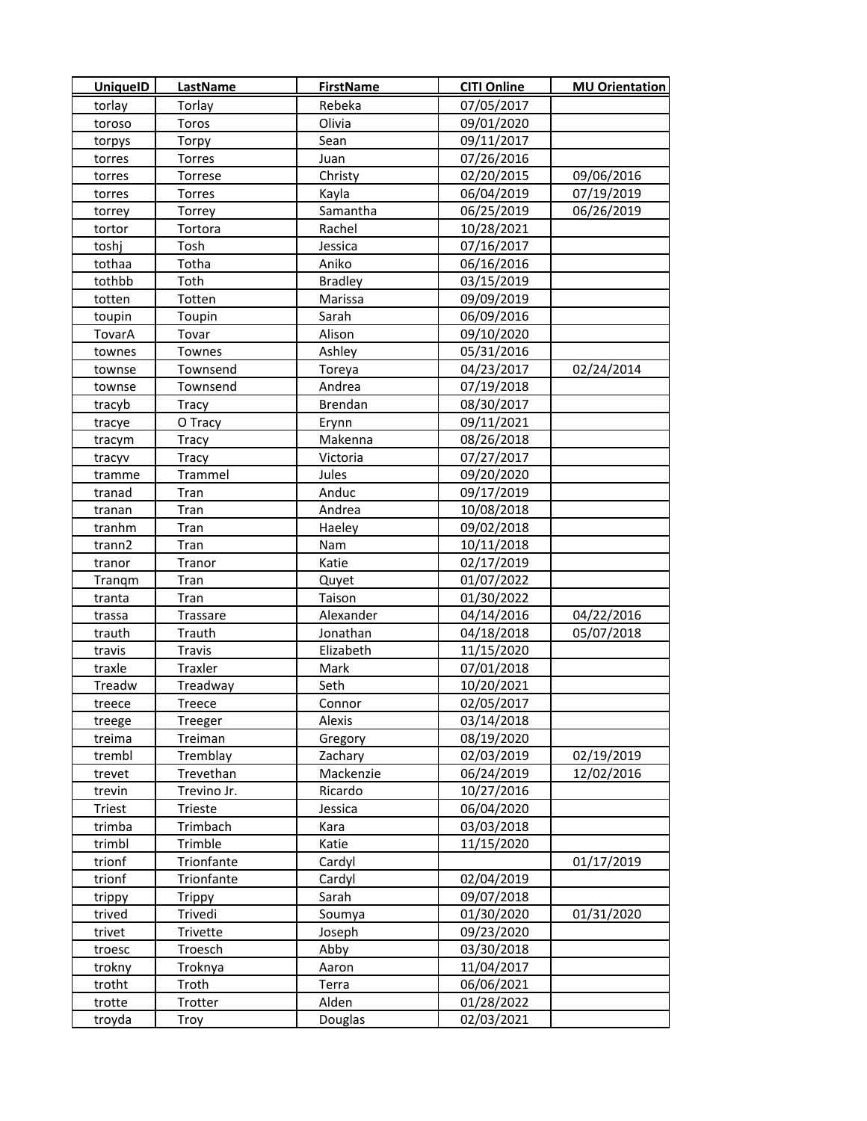| <b>UniquelD</b>  | LastName         | <b>FirstName</b> | <b>CITI Online</b>       | <b>MU Orientation</b> |
|------------------|------------------|------------------|--------------------------|-----------------------|
| torlay           | Torlay           | Rebeka           | 07/05/2017               |                       |
| toroso           | Toros            | Olivia           | 09/01/2020               |                       |
| torpys           | Torpy            | Sean             | 09/11/2017               |                       |
| torres           | Torres           | Juan             | 07/26/2016               |                       |
| torres           | Torrese          | Christy          | 02/20/2015               | 09/06/2016            |
| torres           | Torres           | Kayla            | 06/04/2019               | 07/19/2019            |
| torrey           | Torrey           | Samantha         | 06/25/2019               | 06/26/2019            |
| tortor           | Tortora          | Rachel           | 10/28/2021               |                       |
| toshj            | Tosh             | Jessica          | 07/16/2017               |                       |
| tothaa           | Totha            | Aniko            | 06/16/2016               |                       |
| tothbb           | Toth             | <b>Bradley</b>   | 03/15/2019               |                       |
| totten           | Totten           | Marissa          | 09/09/2019               |                       |
| toupin           | Toupin           | Sarah            | 06/09/2016               |                       |
| TovarA           | Tovar            | Alison           | 09/10/2020               |                       |
| townes           | Townes           | Ashley           | 05/31/2016               |                       |
| townse           | Townsend         | Toreya           | 04/23/2017               | 02/24/2014            |
| townse           | Townsend         | Andrea           | 07/19/2018               |                       |
| tracyb           | Tracy            | Brendan          | 08/30/2017               |                       |
| tracye           | O Tracy          | Erynn            | 09/11/2021               |                       |
| tracym           | Tracy            | Makenna          | 08/26/2018               |                       |
| tracyv           | Tracy            | Victoria         | 07/27/2017               |                       |
| tramme           | Trammel          | Jules            | 09/20/2020               |                       |
| tranad           | Tran             | Anduc            | 09/17/2019               |                       |
| tranan           | Tran             | Andrea           | 10/08/2018               |                       |
| tranhm           | Tran             | Haeley           | 09/02/2018               |                       |
| trann2           | Tran             | Nam              | 10/11/2018               |                       |
| tranor           | Tranor           | Katie            | 02/17/2019               |                       |
| Trangm           | Tran             | Quyet            | 01/07/2022               |                       |
| tranta           | Tran             | Taison           | 01/30/2022               |                       |
| trassa           | Trassare         | Alexander        | 04/14/2016               | 04/22/2016            |
| trauth           | Trauth           | Jonathan         | 04/18/2018               | 05/07/2018            |
| travis           | Travis           | Elizabeth        | 11/15/2020               |                       |
| traxle           | Traxler          | Mark             | 07/01/2018               |                       |
| Treadw           | Treadway         | Seth             | 10/20/2021               |                       |
| treece           | Treece           | Connor           | 02/05/2017               |                       |
| treege           | Treeger          | Alexis           | 03/14/2018               |                       |
| treima           | Treiman          | Gregory          | 08/19/2020               |                       |
| trembl           | Tremblay         | Zachary          | 02/03/2019               | 02/19/2019            |
| trevet           | Trevethan        | Mackenzie        | 06/24/2019               | 12/02/2016            |
| trevin           | Trevino Jr.      | Ricardo          | 10/27/2016               |                       |
| Triest           | Trieste          | Jessica          | 06/04/2020               |                       |
| trimba           | Trimbach         | Kara             | 03/03/2018               |                       |
| trimbl           | Trimble          | Katie            | 11/15/2020               |                       |
| trionf           | Trionfante       | Cardyl           |                          | 01/17/2019            |
| trionf           | Trionfante       | Cardyl           | 02/04/2019               |                       |
| trippy           | <b>Trippy</b>    | Sarah            | 09/07/2018               |                       |
| trived           | Trivedi          | Soumya           | 01/30/2020               | 01/31/2020            |
| trivet           | Trivette         | Joseph           | 09/23/2020               |                       |
| troesc           | Troesch          | Abby             | 03/30/2018               |                       |
| trokny<br>trotht | Troknya<br>Troth | Aaron            | 11/04/2017               |                       |
| trotte           | Trotter          | Terra<br>Alden   | 06/06/2021<br>01/28/2022 |                       |
| troyda           |                  | Douglas          | 02/03/2021               |                       |
|                  | Troy             |                  |                          |                       |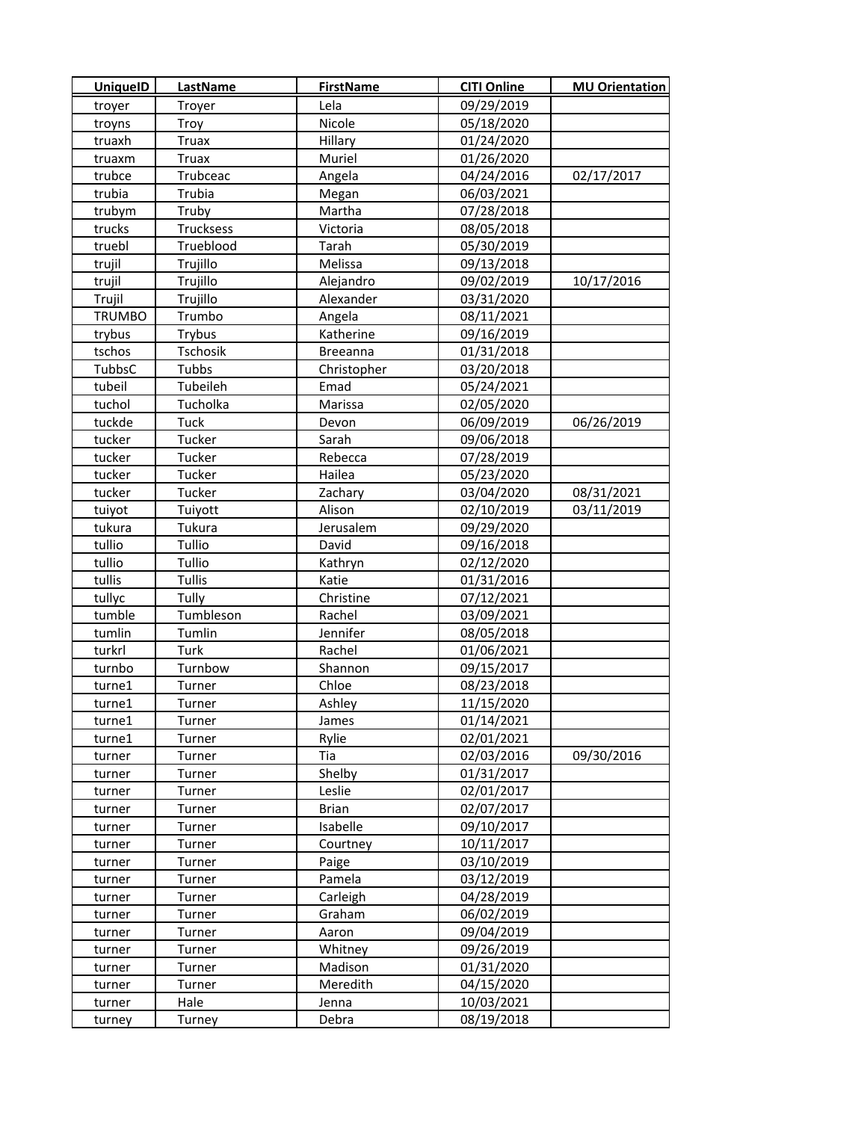| <b>UniquelD</b> | LastName     | <b>FirstName</b> | <b>CITI Online</b> | <b>MU Orientation</b> |
|-----------------|--------------|------------------|--------------------|-----------------------|
| troyer          | Troyer       | Lela             | 09/29/2019         |                       |
| troyns          | Troy         | Nicole           | 05/18/2020         |                       |
| truaxh          | <b>Truax</b> | Hillary          | 01/24/2020         |                       |
| truaxm          | <b>Truax</b> | Muriel           | 01/26/2020         |                       |
| trubce          | Trubceac     | Angela           | 04/24/2016         | 02/17/2017            |
| trubia          | Trubia       | Megan            | 06/03/2021         |                       |
| trubym          | Truby        | Martha           | 07/28/2018         |                       |
| trucks          | Trucksess    | Victoria         | 08/05/2018         |                       |
| truebl          | Trueblood    | Tarah            | 05/30/2019         |                       |
| trujil          | Trujillo     | Melissa          | 09/13/2018         |                       |
| trujil          | Trujillo     | Alejandro        | 09/02/2019         | 10/17/2016            |
| Trujil          | Trujillo     | Alexander        | 03/31/2020         |                       |
| <b>TRUMBO</b>   | Trumbo       | Angela           | 08/11/2021         |                       |
| trybus          | Trybus       | Katherine        | 09/16/2019         |                       |
| tschos          | Tschosik     | <b>Breeanna</b>  | 01/31/2018         |                       |
| TubbsC          | Tubbs        | Christopher      | 03/20/2018         |                       |
| tubeil          | Tubeileh     | Emad             | 05/24/2021         |                       |
| tuchol          | Tucholka     | Marissa          | 02/05/2020         |                       |
| tuckde          | Tuck         | Devon            | 06/09/2019         | 06/26/2019            |
| tucker          | Tucker       | Sarah            | 09/06/2018         |                       |
| tucker          | Tucker       | Rebecca          | 07/28/2019         |                       |
| tucker          | Tucker       | Hailea           | 05/23/2020         |                       |
| tucker          | Tucker       | Zachary          | 03/04/2020         | 08/31/2021            |
| tuiyot          | Tuiyott      | Alison           | 02/10/2019         | 03/11/2019            |
| tukura          | Tukura       | Jerusalem        | 09/29/2020         |                       |
| tullio          | Tullio       | David            | 09/16/2018         |                       |
| tullio          | Tullio       | Kathryn          | 02/12/2020         |                       |
| tullis          | Tullis       | Katie            | 01/31/2016         |                       |
| tullyc          | Tully        | Christine        | 07/12/2021         |                       |
| tumble          | Tumbleson    | Rachel           | 03/09/2021         |                       |
| tumlin          | Tumlin       | Jennifer         | 08/05/2018         |                       |
| turkrl          | Turk         | Rachel           | 01/06/2021         |                       |
| turnbo          | Turnbow      | Shannon          | 09/15/2017         |                       |
| turne1          | Turner       | Chloe            | 08/23/2018         |                       |
| turne1          | Turner       | Ashley           | 11/15/2020         |                       |
| turne1          | Turner       | James            | 01/14/2021         |                       |
| turne1          | Turner       | Rylie            | 02/01/2021         |                       |
| turner          | Turner       | Tia              | 02/03/2016         | 09/30/2016            |
| turner          | Turner       | Shelby           | 01/31/2017         |                       |
| turner          | Turner       | Leslie           | 02/01/2017         |                       |
| turner          | Turner       | <b>Brian</b>     | 02/07/2017         |                       |
| turner          | Turner       | Isabelle         | 09/10/2017         |                       |
| turner          | Turner       | Courtney         | 10/11/2017         |                       |
| turner          | Turner       | Paige            | 03/10/2019         |                       |
| turner          | Turner       | Pamela           | 03/12/2019         |                       |
| turner          | Turner       | Carleigh         | 04/28/2019         |                       |
| turner          | Turner       | Graham           | 06/02/2019         |                       |
| turner          | Turner       | Aaron            | 09/04/2019         |                       |
| turner          | Turner       | Whitney          | 09/26/2019         |                       |
| turner          | Turner       | Madison          | 01/31/2020         |                       |
| turner          | Turner       | Meredith         | 04/15/2020         |                       |
| turner          | Hale         | Jenna            | 10/03/2021         |                       |
| turney          | Turney       | Debra            | 08/19/2018         |                       |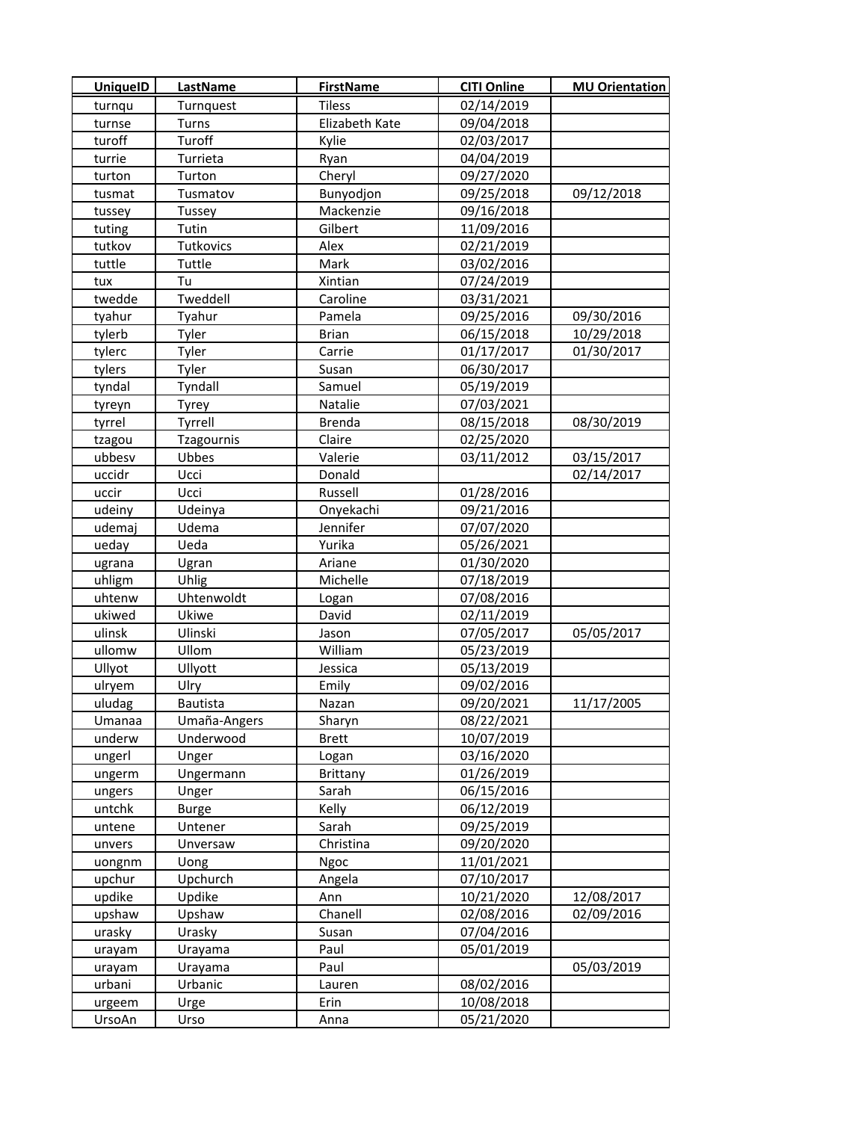| <b>UniquelD</b> | <b>LastName</b> | <b>FirstName</b> | <b>CITI Online</b> | <b>MU Orientation</b> |
|-----------------|-----------------|------------------|--------------------|-----------------------|
| turnqu          | Turnquest       | <b>Tiless</b>    | 02/14/2019         |                       |
| turnse          | Turns           | Elizabeth Kate   | 09/04/2018         |                       |
| turoff          | Turoff          | Kylie            | 02/03/2017         |                       |
| turrie          | Turrieta        | Ryan             | 04/04/2019         |                       |
| turton          | Turton          | Cheryl           | 09/27/2020         |                       |
| tusmat          | Tusmatov        | Bunyodjon        | 09/25/2018         | 09/12/2018            |
| tussey          | Tussey          | Mackenzie        | 09/16/2018         |                       |
| tuting          | Tutin           | Gilbert          | 11/09/2016         |                       |
| tutkov          | Tutkovics       | Alex             | 02/21/2019         |                       |
| tuttle          | Tuttle          | Mark             | 03/02/2016         |                       |
| tux             | Tu              | Xintian          | 07/24/2019         |                       |
| twedde          | Tweddell        | Caroline         | 03/31/2021         |                       |
| tyahur          | Tyahur          | Pamela           | 09/25/2016         | 09/30/2016            |
| tylerb          | Tyler           | <b>Brian</b>     | 06/15/2018         | 10/29/2018            |
| tylerc          | Tyler           | Carrie           | 01/17/2017         | 01/30/2017            |
| tylers          | Tyler           | Susan            | 06/30/2017         |                       |
| tyndal          | Tyndall         | Samuel           | 05/19/2019         |                       |
| tyreyn          | Tyrey           | Natalie          | 07/03/2021         |                       |
| tyrrel          | Tyrrell         | Brenda           | 08/15/2018         | 08/30/2019            |
| tzagou          | Tzagournis      | Claire           | 02/25/2020         |                       |
| ubbesv          | Ubbes           | Valerie          | 03/11/2012         | 03/15/2017            |
| uccidr          | Ucci            | Donald           |                    | 02/14/2017            |
| uccir           | Ucci            | Russell          | 01/28/2016         |                       |
| udeiny          | Udeinya         | Onyekachi        | 09/21/2016         |                       |
| udemaj          | Udema           | Jennifer         | 07/07/2020         |                       |
| ueday           | Ueda            | Yurika           | 05/26/2021         |                       |
| ugrana          | Ugran           | Ariane           | 01/30/2020         |                       |
| uhligm          | Uhlig           | Michelle         | 07/18/2019         |                       |
| uhtenw          | Uhtenwoldt      | Logan            | 07/08/2016         |                       |
| ukiwed          | Ukiwe           | David            | 02/11/2019         |                       |
| ulinsk          | Ulinski         | Jason            | 07/05/2017         | 05/05/2017            |
| ullomw          | Ullom           | William          | 05/23/2019         |                       |
| Ullyot          | Ullyott         | Jessica          | 05/13/2019         |                       |
| ulryem          | Ulry            | Emily            | 09/02/2016         |                       |
| uludag          | Bautista        | Nazan            | 09/20/2021         | 11/17/2005            |
| Umanaa          | Umaña-Angers    | Sharyn           | 08/22/2021         |                       |
| underw          | Underwood       | <b>Brett</b>     | 10/07/2019         |                       |
| ungerl          | Unger           | Logan            | 03/16/2020         |                       |
| ungerm          | Ungermann       | Brittany         | 01/26/2019         |                       |
| ungers          | Unger           | Sarah            | 06/15/2016         |                       |
| untchk          | <b>Burge</b>    | Kelly            | 06/12/2019         |                       |
| untene          | Untener         | Sarah            | 09/25/2019         |                       |
| unvers          | Unversaw        | Christina        | 09/20/2020         |                       |
| uongnm          | Uong            | Ngoc             | 11/01/2021         |                       |
| upchur          | Upchurch        | Angela           | 07/10/2017         |                       |
| updike          | Updike          | Ann              | 10/21/2020         | 12/08/2017            |
| upshaw          | Upshaw          | Chanell          | 02/08/2016         | 02/09/2016            |
| urasky          | Urasky          | Susan            | 07/04/2016         |                       |
| urayam          | Urayama         | Paul             | 05/01/2019         |                       |
| urayam          | Urayama         | Paul             |                    | 05/03/2019            |
| urbani          | Urbanic         | Lauren           | 08/02/2016         |                       |
| urgeem          | Urge            | Erin             | 10/08/2018         |                       |
| UrsoAn          | Urso            | Anna             | 05/21/2020         |                       |
|                 |                 |                  |                    |                       |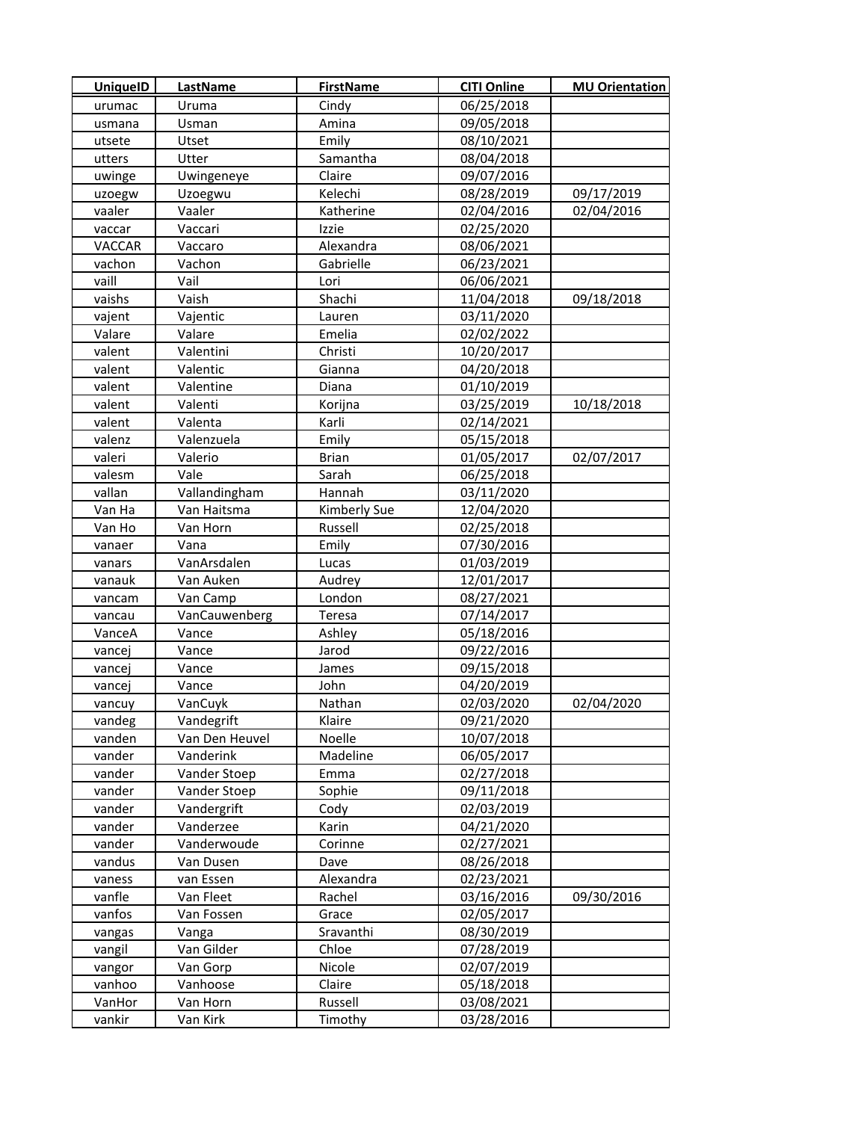| <b>UniquelD</b>  | LastName               | <b>FirstName</b>    | <b>CITI Online</b>       | <b>MU Orientation</b> |
|------------------|------------------------|---------------------|--------------------------|-----------------------|
| urumac           | Uruma                  | Cindy               | 06/25/2018               |                       |
| usmana           | Usman                  | Amina               | 09/05/2018               |                       |
| utsete           | Utset                  | Emily               | 08/10/2021               |                       |
| utters           | Utter                  | Samantha            | 08/04/2018               |                       |
| uwinge           | Uwingeneye             | Claire              | 09/07/2016               |                       |
| uzoegw           | Uzoegwu                | Kelechi             | 08/28/2019               | 09/17/2019            |
| vaaler           | Vaaler                 | Katherine           | 02/04/2016               | 02/04/2016            |
| vaccar           | Vaccari                | Izzie               | 02/25/2020               |                       |
| VACCAR           | Vaccaro                | Alexandra           | 08/06/2021               |                       |
| vachon           | Vachon                 | Gabrielle           | 06/23/2021               |                       |
| vaill            | Vail                   | Lori                | 06/06/2021               |                       |
| vaishs           | Vaish                  | Shachi              | 11/04/2018               | 09/18/2018            |
| vajent           | Vajentic               | Lauren              | 03/11/2020               |                       |
| Valare           | Valare                 | Emelia              | 02/02/2022               |                       |
| valent           | Valentini              | Christi             | 10/20/2017               |                       |
| valent           | Valentic               | Gianna              | 04/20/2018               |                       |
| valent           | Valentine              | Diana               | 01/10/2019               |                       |
| valent           | Valenti                | Korijna             | 03/25/2019               | 10/18/2018            |
| valent           | Valenta                | Karli               | 02/14/2021               |                       |
| valenz           | Valenzuela             | Emily               | 05/15/2018               |                       |
| valeri           | Valerio                | <b>Brian</b>        | 01/05/2017               | 02/07/2017            |
| valesm           | Vale                   | Sarah               | 06/25/2018               |                       |
| vallan           | Vallandingham          | Hannah              | 03/11/2020               |                       |
| Van Ha           | Van Haitsma            | Kimberly Sue        | 12/04/2020               |                       |
| Van Ho           | Van Horn               | Russell             | 02/25/2018               |                       |
| vanaer           | Vana                   | Emily               | 07/30/2016               |                       |
| vanars           | VanArsdalen            | Lucas               | 01/03/2019               |                       |
| vanauk           | Van Auken              | Audrey              | 12/01/2017               |                       |
| vancam           | Van Camp               | London              | 08/27/2021               |                       |
| vancau           | VanCauwenberg          | Teresa              | 07/14/2017               |                       |
| VanceA           | Vance                  | Ashley              | 05/18/2016               |                       |
| vancej           | Vance                  | Jarod               | 09/22/2016               |                       |
| vancej           | Vance                  | James               | 09/15/2018               |                       |
| vancej           | Vance                  | John                | 04/20/2019               |                       |
| vancuy           | VanCuyk                | Nathan              | 02/03/2020               | 02/04/2020            |
| vandeg           | Vandegrift             | Klaire              | 09/21/2020               |                       |
| vanden           | Van Den Heuvel         | Noelle              | 10/07/2018               |                       |
| vander           | Vanderink              | Madeline            | 06/05/2017               |                       |
| vander           | Vander Stoep           | Emma                | 02/27/2018               |                       |
| vander           | Vander Stoep           | Sophie              | 09/11/2018               |                       |
| vander           | Vandergrift            | Cody                | 02/03/2019               |                       |
| vander           | Vanderzee              | Karin               | 04/21/2020               |                       |
| vander           | Vanderwoude            | Corinne             | 02/27/2021               |                       |
| vandus           | Van Dusen              | Dave                | 08/26/2018               |                       |
| vaness<br>vanfle | van Essen<br>Van Fleet | Alexandra<br>Rachel | 02/23/2021<br>03/16/2016 | 09/30/2016            |
|                  |                        |                     |                          |                       |
| vanfos           | Van Fossen             | Grace               | 02/05/2017               |                       |
| vangas           | Vanga                  | Sravanthi           | 08/30/2019               |                       |
| vangil           | Van Gilder             | Chloe<br>Nicole     | 07/28/2019               |                       |
| vangor<br>vanhoo | Van Gorp<br>Vanhoose   | Claire              | 02/07/2019<br>05/18/2018 |                       |
| VanHor           | Van Horn               | Russell             | 03/08/2021               |                       |
| vankir           | Van Kirk               | Timothy             | 03/28/2016               |                       |
|                  |                        |                     |                          |                       |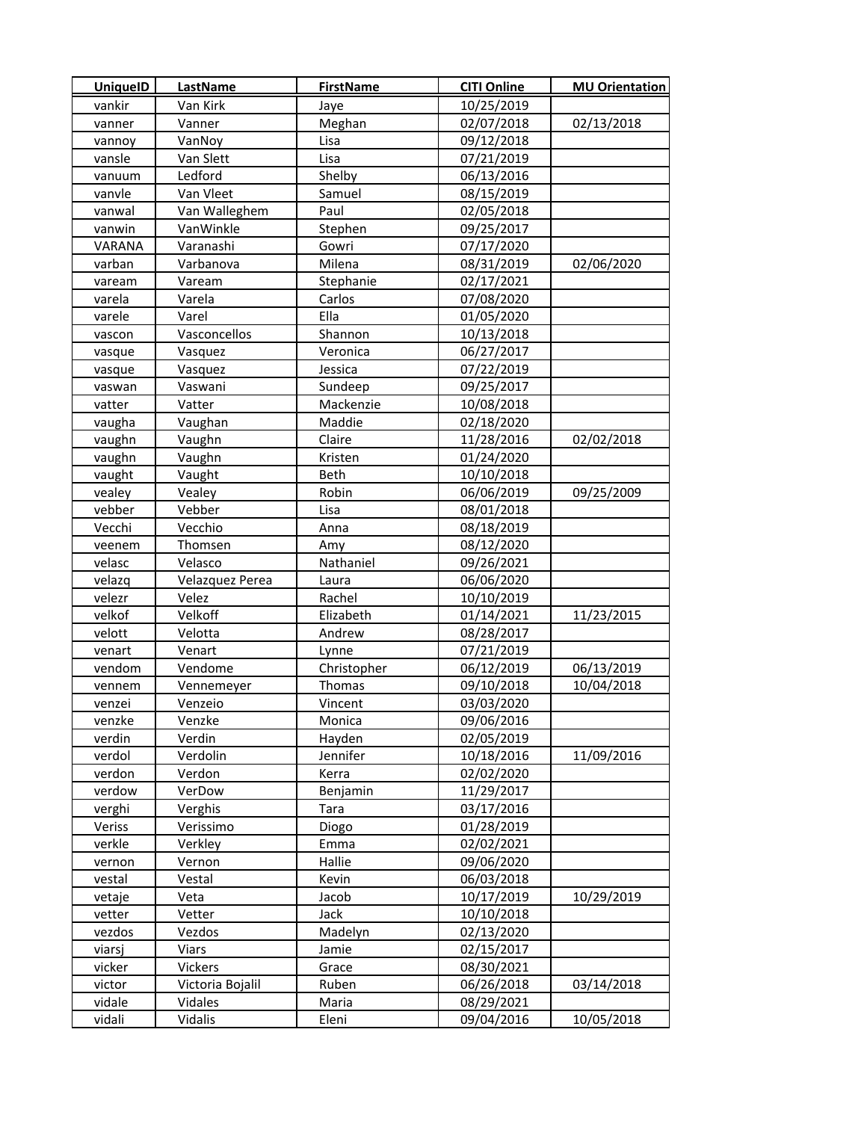| <b>UniquelD</b> | LastName         | <b>FirstName</b> | <b>CITI Online</b> | <b>MU Orientation</b> |
|-----------------|------------------|------------------|--------------------|-----------------------|
| vankir          | Van Kirk         | Jaye             | 10/25/2019         |                       |
| vanner          | Vanner           | Meghan           | 02/07/2018         | 02/13/2018            |
| vannoy          | VanNoy           | Lisa             | 09/12/2018         |                       |
| vansle          | Van Slett        | Lisa             | 07/21/2019         |                       |
| vanuum          | Ledford          | Shelby           | 06/13/2016         |                       |
| vanvle          | Van Vleet        | Samuel           | 08/15/2019         |                       |
| vanwal          | Van Walleghem    | Paul             | 02/05/2018         |                       |
| vanwin          | VanWinkle        | Stephen          | 09/25/2017         |                       |
| VARANA          | Varanashi        | Gowri            | 07/17/2020         |                       |
| varban          | Varbanova        | Milena           | 08/31/2019         | 02/06/2020            |
| vaream          | Vaream           | Stephanie        | 02/17/2021         |                       |
| varela          | Varela           | Carlos           | 07/08/2020         |                       |
| varele          | Varel            | Ella             | 01/05/2020         |                       |
| vascon          | Vasconcellos     | Shannon          | 10/13/2018         |                       |
| vasque          | Vasquez          | Veronica         | 06/27/2017         |                       |
| vasque          | Vasquez          | Jessica          | 07/22/2019         |                       |
| vaswan          | Vaswani          | Sundeep          | 09/25/2017         |                       |
| vatter          | Vatter           | Mackenzie        | 10/08/2018         |                       |
| vaugha          | Vaughan          | Maddie           | 02/18/2020         |                       |
| vaughn          | Vaughn           | Claire           | 11/28/2016         | 02/02/2018            |
| vaughn          | Vaughn           | Kristen          | 01/24/2020         |                       |
| vaught          | Vaught           | Beth             | 10/10/2018         |                       |
| vealey          | Vealey           | Robin            | 06/06/2019         | 09/25/2009            |
| vebber          | Vebber           | Lisa             | 08/01/2018         |                       |
| Vecchi          | Vecchio          | Anna             | 08/18/2019         |                       |
| veenem          | Thomsen          | Amy              | 08/12/2020         |                       |
| velasc          | Velasco          | Nathaniel        | 09/26/2021         |                       |
| velazq          | Velazquez Perea  | Laura            | 06/06/2020         |                       |
| velezr          | Velez            | Rachel           | 10/10/2019         |                       |
| velkof          | Velkoff          | Elizabeth        | 01/14/2021         | 11/23/2015            |
| velott          | Velotta          | Andrew           | 08/28/2017         |                       |
| venart          | Venart           | Lynne            | 07/21/2019         |                       |
| vendom          | Vendome          | Christopher      | 06/12/2019         | 06/13/2019            |
| vennem          | Vennemeyer       | Thomas           | 09/10/2018         | 10/04/2018            |
| venzei          | Venzeio          | Vincent          | 03/03/2020         |                       |
| venzke          | Venzke           | Monica           | 09/06/2016         |                       |
| verdin          | Verdin           | Hayden           | 02/05/2019         |                       |
| verdol          | Verdolin         | Jennifer         | 10/18/2016         | 11/09/2016            |
| verdon          | Verdon           | Kerra            | 02/02/2020         |                       |
| verdow          | VerDow           | Benjamin         | 11/29/2017         |                       |
| verghi          | Verghis          | Tara             | 03/17/2016         |                       |
| Veriss          | Verissimo        | Diogo            | 01/28/2019         |                       |
| verkle          | Verkley          | Emma             | 02/02/2021         |                       |
| vernon          | Vernon           | Hallie           | 09/06/2020         |                       |
| vestal          | Vestal           | Kevin            | 06/03/2018         |                       |
| vetaje          | Veta             | Jacob            | 10/17/2019         | 10/29/2019            |
| vetter          | Vetter           | Jack             | 10/10/2018         |                       |
| vezdos          | Vezdos           | Madelyn          | 02/13/2020         |                       |
| viarsj          | <b>Viars</b>     | Jamie            | 02/15/2017         |                       |
| vicker          | Vickers          | Grace            | 08/30/2021         |                       |
| victor          | Victoria Bojalil | Ruben            | 06/26/2018         | 03/14/2018            |
| vidale          | Vidales          | Maria            | 08/29/2021         |                       |
| vidali          | Vidalis          | Eleni            | 09/04/2016         | 10/05/2018            |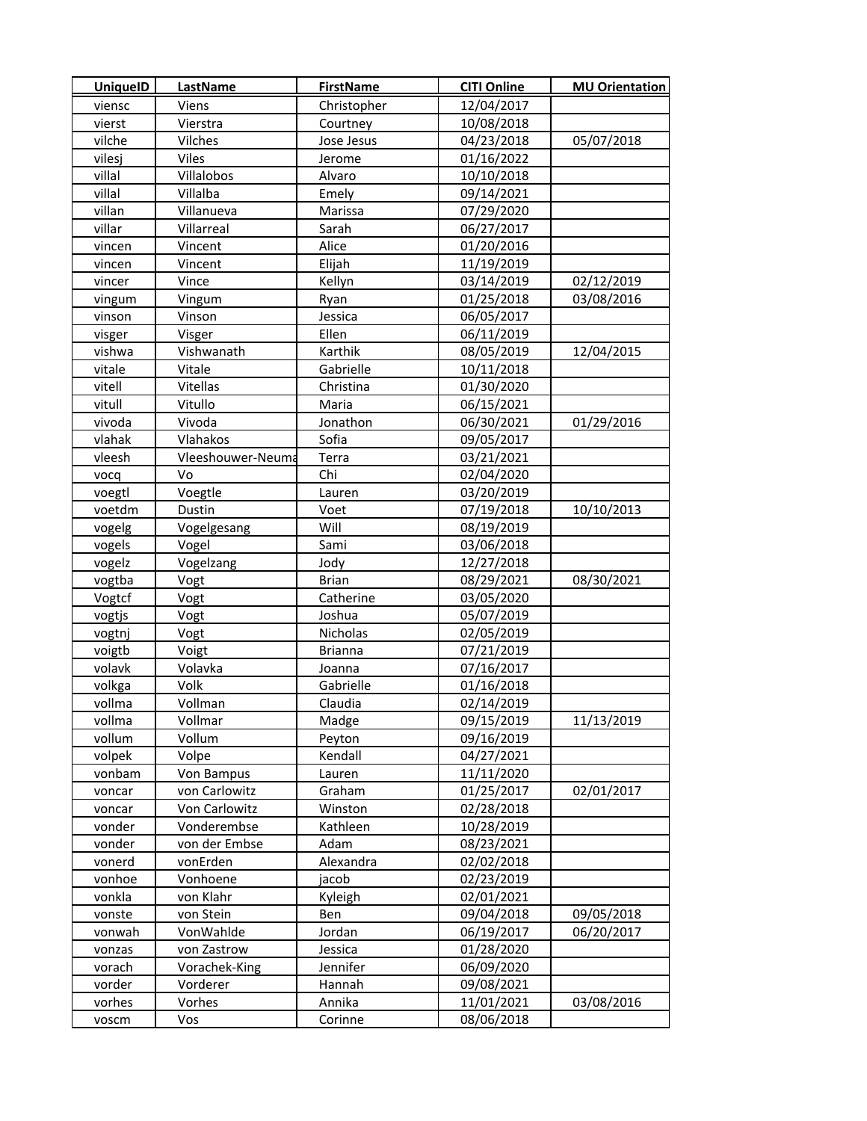| <b>UniquelD</b> | <b>LastName</b>   | <b>FirstName</b> | <b>CITI Online</b> | <b>MU Orientation</b> |
|-----------------|-------------------|------------------|--------------------|-----------------------|
| viensc          | Viens             | Christopher      | 12/04/2017         |                       |
| vierst          | Vierstra          | Courtney         | 10/08/2018         |                       |
| vilche          | Vilches           | Jose Jesus       | 04/23/2018         | 05/07/2018            |
| vilesj          | Viles             | Jerome           | 01/16/2022         |                       |
| villal          | Villalobos        | Alvaro           | 10/10/2018         |                       |
| villal          | Villalba          | Emely            | 09/14/2021         |                       |
| villan          | Villanueva        | Marissa          | 07/29/2020         |                       |
| villar          | Villarreal        | Sarah            | 06/27/2017         |                       |
| vincen          | Vincent           | Alice            | 01/20/2016         |                       |
| vincen          | Vincent           | Elijah           | 11/19/2019         |                       |
| vincer          | Vince             | Kellyn           | 03/14/2019         | 02/12/2019            |
| vingum          | Vingum            | Ryan             | 01/25/2018         | 03/08/2016            |
| vinson          | Vinson            | Jessica          | 06/05/2017         |                       |
| visger          | Visger            | Ellen            | 06/11/2019         |                       |
| vishwa          | Vishwanath        | Karthik          | 08/05/2019         | 12/04/2015            |
| vitale          | Vitale            | Gabrielle        | 10/11/2018         |                       |
| vitell          | Vitellas          | Christina        | 01/30/2020         |                       |
| vitull          | Vitullo           | Maria            | 06/15/2021         |                       |
| vivoda          | Vivoda            | Jonathon         | 06/30/2021         | 01/29/2016            |
| vlahak          | Vlahakos          | Sofia            | 09/05/2017         |                       |
| vleesh          | Vleeshouwer-Neuma | Terra            | 03/21/2021         |                       |
| vocq            | Vo                | Chi              | 02/04/2020         |                       |
| voegtl          | Voegtle           | Lauren           | 03/20/2019         |                       |
| voetdm          | Dustin            | Voet             | 07/19/2018         | 10/10/2013            |
| vogelg          | Vogelgesang       | Will             | 08/19/2019         |                       |
| vogels          | Vogel             | Sami             | 03/06/2018         |                       |
| vogelz          | Vogelzang         | Jody             | 12/27/2018         |                       |
| vogtba          | Vogt              | <b>Brian</b>     | 08/29/2021         | 08/30/2021            |
| Vogtcf          | Vogt              | Catherine        | 03/05/2020         |                       |
| vogtjs          | Vogt              | Joshua           | 05/07/2019         |                       |
| vogtnj          | Vogt              | Nicholas         | 02/05/2019         |                       |
| voigtb          | Voigt             | <b>Brianna</b>   | 07/21/2019         |                       |
| volavk          | Volavka           | Joanna           | 07/16/2017         |                       |
| volkga          | Volk              | Gabrielle        | 01/16/2018         |                       |
| vollma          | Vollman           | Claudia          | 02/14/2019         |                       |
| vollma          | Vollmar           | Madge            | 09/15/2019         | 11/13/2019            |
| vollum          | Vollum            | Peyton           | 09/16/2019         |                       |
| volpek          | Volpe             | Kendall          | 04/27/2021         |                       |
| vonbam          | Von Bampus        | Lauren           | 11/11/2020         |                       |
| voncar          | von Carlowitz     | Graham           | 01/25/2017         | 02/01/2017            |
| voncar          | Von Carlowitz     | Winston          | 02/28/2018         |                       |
| vonder          | Vonderembse       | Kathleen         | 10/28/2019         |                       |
| vonder          | von der Embse     | Adam             | 08/23/2021         |                       |
| vonerd          | vonErden          | Alexandra        | 02/02/2018         |                       |
| vonhoe          | Vonhoene          | jacob            | 02/23/2019         |                       |
| vonkla          | von Klahr         | Kyleigh          | 02/01/2021         |                       |
| vonste          | von Stein         | Ben              | 09/04/2018         | 09/05/2018            |
| vonwah          | VonWahlde         | Jordan           | 06/19/2017         | 06/20/2017            |
| vonzas          | von Zastrow       | Jessica          | 01/28/2020         |                       |
| vorach          | Vorachek-King     | Jennifer         | 06/09/2020         |                       |
| vorder          | Vorderer          | Hannah           | 09/08/2021         |                       |
| vorhes          | Vorhes            | Annika           | 11/01/2021         | 03/08/2016            |
| voscm           | Vos               | Corinne          | 08/06/2018         |                       |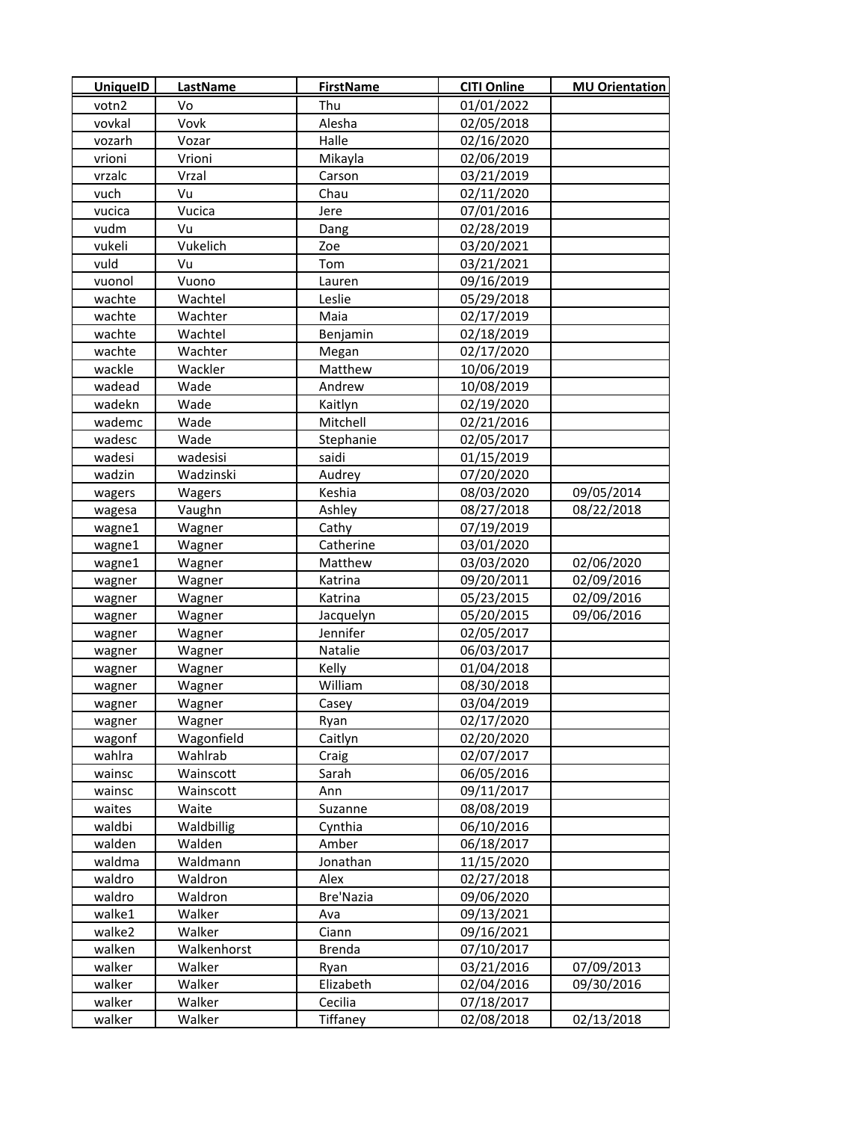| <b>UniquelD</b> | <b>LastName</b> | <b>FirstName</b> | <b>CITI Online</b> | <b>MU Orientation</b> |
|-----------------|-----------------|------------------|--------------------|-----------------------|
| votn2           | ۷o              | Thu              | 01/01/2022         |                       |
| vovkal          | Vovk            | Alesha           | 02/05/2018         |                       |
| vozarh          | Vozar           | Halle            | 02/16/2020         |                       |
| vrioni          | Vrioni          | Mikayla          | 02/06/2019         |                       |
| vrzalc          | Vrzal           | Carson           | 03/21/2019         |                       |
| vuch            | Vu              | Chau             | 02/11/2020         |                       |
| vucica          | Vucica          | Jere             | 07/01/2016         |                       |
| vudm            | Vu              | Dang             | 02/28/2019         |                       |
| vukeli          | Vukelich        | Zoe              | 03/20/2021         |                       |
| vuld            | Vu              | Tom              | 03/21/2021         |                       |
| vuonol          | Vuono           | Lauren           | 09/16/2019         |                       |
| wachte          | Wachtel         | Leslie           | 05/29/2018         |                       |
| wachte          | Wachter         | Maia             | 02/17/2019         |                       |
| wachte          | Wachtel         | Benjamin         | 02/18/2019         |                       |
| wachte          | Wachter         | Megan            | 02/17/2020         |                       |
| wackle          | Wackler         | Matthew          | 10/06/2019         |                       |
| wadead          | Wade            | Andrew           | 10/08/2019         |                       |
| wadekn          | Wade            | Kaitlyn          | 02/19/2020         |                       |
| wademc          | Wade            | Mitchell         | 02/21/2016         |                       |
| wadesc          | Wade            | Stephanie        | 02/05/2017         |                       |
| wadesi          | wadesisi        | saidi            | 01/15/2019         |                       |
| wadzin          | Wadzinski       | Audrey           | 07/20/2020         |                       |
| wagers          | Wagers          | Keshia           | 08/03/2020         | 09/05/2014            |
| wagesa          | Vaughn          | Ashley           | 08/27/2018         | 08/22/2018            |
| wagne1          | Wagner          | Cathy            | 07/19/2019         |                       |
| wagne1          | Wagner          | Catherine        | 03/01/2020         |                       |
| wagne1          | Wagner          | Matthew          | 03/03/2020         | 02/06/2020            |
| wagner          | Wagner          | Katrina          | 09/20/2011         | 02/09/2016            |
| wagner          | Wagner          | Katrina          | 05/23/2015         | 02/09/2016            |
| wagner          | Wagner          | Jacquelyn        | 05/20/2015         | 09/06/2016            |
| wagner          | Wagner          | Jennifer         | 02/05/2017         |                       |
| wagner          | Wagner          | Natalie          | 06/03/2017         |                       |
| wagner          | Wagner          | Kelly            | 01/04/2018         |                       |
| wagner          | Wagner          | William          | 08/30/2018         |                       |
| wagner          | Wagner          | Casey            | 03/04/2019         |                       |
| wagner          | Wagner          | Ryan             | 02/17/2020         |                       |
| wagonf          | Wagonfield      | Caitlyn          | 02/20/2020         |                       |
| wahlra          | Wahlrab         | Craig            | 02/07/2017         |                       |
| wainsc          | Wainscott       | Sarah            | 06/05/2016         |                       |
| wainsc          | Wainscott       | Ann              | 09/11/2017         |                       |
| waites          | Waite           | Suzanne          | 08/08/2019         |                       |
| waldbi          | Waldbillig      | Cynthia          | 06/10/2016         |                       |
| walden          | Walden          | Amber            | 06/18/2017         |                       |
| waldma          | Waldmann        | Jonathan         | 11/15/2020         |                       |
| waldro          | Waldron         | Alex             | 02/27/2018         |                       |
| waldro          | Waldron         | Bre'Nazia        | 09/06/2020         |                       |
| walke1          | Walker          | Ava              | 09/13/2021         |                       |
| walke2          | Walker          | Ciann            | 09/16/2021         |                       |
| walken          | Walkenhorst     | <b>Brenda</b>    | 07/10/2017         |                       |
| walker          | Walker          | Ryan             | 03/21/2016         | 07/09/2013            |
| walker          | Walker          | Elizabeth        | 02/04/2016         | 09/30/2016            |
| walker          | Walker          | Cecilia          | 07/18/2017         |                       |
| walker          | Walker          | <b>Tiffaney</b>  | 02/08/2018         | 02/13/2018            |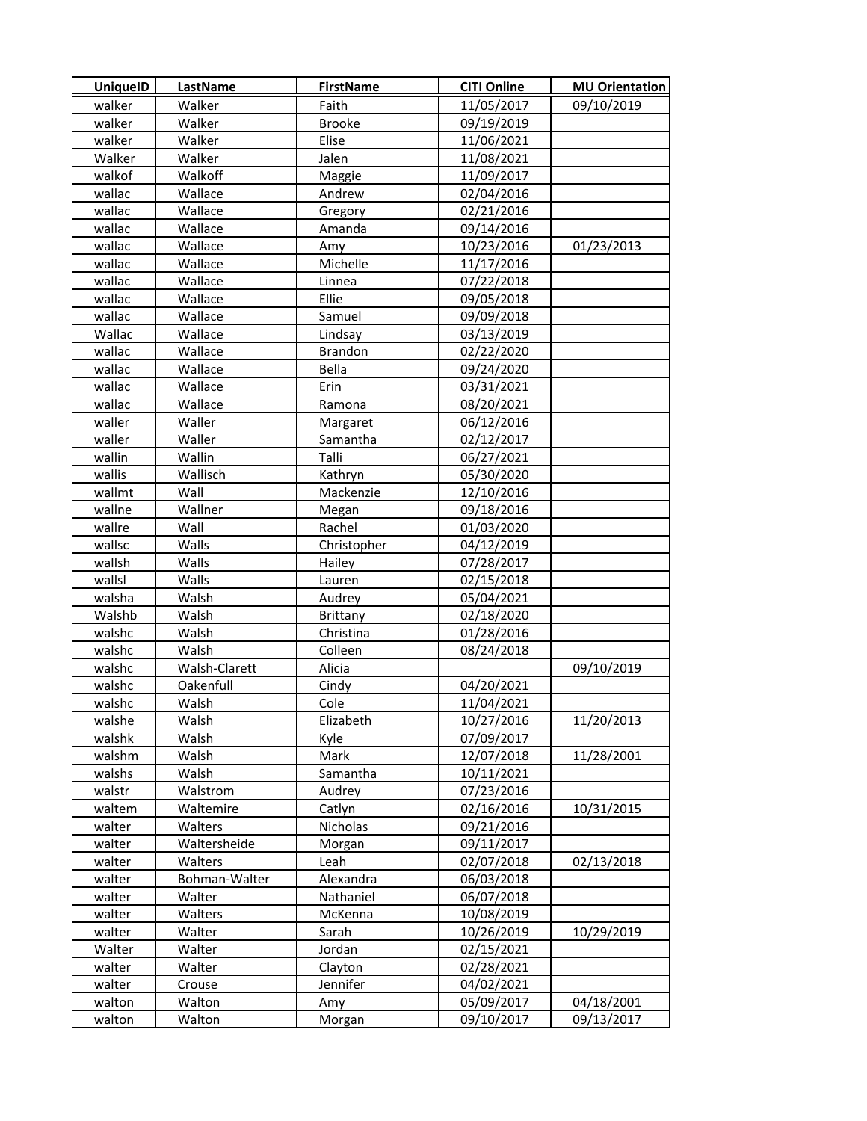| <b>UniquelD</b> | LastName         | <b>FirstName</b> | <b>CITI Online</b> | <b>MU Orientation</b> |
|-----------------|------------------|------------------|--------------------|-----------------------|
| walker          | Walker           | Faith            | 11/05/2017         | 09/10/2019            |
| walker          | Walker           | <b>Brooke</b>    | 09/19/2019         |                       |
| walker          | Walker           | Elise            | 11/06/2021         |                       |
| Walker          | Walker           | Jalen            | 11/08/2021         |                       |
| walkof          | Walkoff          | Maggie           | 11/09/2017         |                       |
| wallac          | Wallace          | Andrew           | 02/04/2016         |                       |
| wallac          | Wallace          | Gregory          | 02/21/2016         |                       |
| wallac          | Wallace          | Amanda           | 09/14/2016         |                       |
| wallac          | Wallace          | Amy              | 10/23/2016         | 01/23/2013            |
| wallac          | Wallace          | Michelle         | 11/17/2016         |                       |
| wallac          | Wallace          | Linnea           | 07/22/2018         |                       |
| wallac          | Wallace          | Ellie            | 09/05/2018         |                       |
| wallac          | Wallace          | Samuel           | 09/09/2018         |                       |
| Wallac          | Wallace          | Lindsay          | 03/13/2019         |                       |
| wallac          | Wallace          | <b>Brandon</b>   | 02/22/2020         |                       |
| wallac          | Wallace          | Bella            | 09/24/2020         |                       |
| wallac          | Wallace          | Erin             | 03/31/2021         |                       |
| wallac          | Wallace          | Ramona           | 08/20/2021         |                       |
| waller          | Waller           | Margaret         | 06/12/2016         |                       |
| waller          | Waller           | Samantha         | 02/12/2017         |                       |
| wallin          | Wallin           | Talli            | 06/27/2021         |                       |
| wallis          | Wallisch         | Kathryn          | 05/30/2020         |                       |
| wallmt          | Wall             | Mackenzie        | 12/10/2016         |                       |
| wallne          | Wallner          | Megan            | 09/18/2016         |                       |
| wallre          | Wall             | Rachel           | 01/03/2020         |                       |
| wallsc          | Walls            | Christopher      | 04/12/2019         |                       |
| wallsh          | Walls            | Hailey           | 07/28/2017         |                       |
| wallsl          | Walls            | Lauren           | 02/15/2018         |                       |
| walsha          | Walsh            | Audrey           | 05/04/2021         |                       |
| Walshb          | Walsh            | Brittany         | 02/18/2020         |                       |
| walshc          | Walsh            | Christina        | 01/28/2016         |                       |
| walshc          | Walsh            | Colleen          | 08/24/2018         |                       |
| walshc          | Walsh-Clarett    | Alicia           |                    | 09/10/2019            |
| walshc          | Oakenfull        | Cindy            | 04/20/2021         |                       |
| walshc          | Walsh            | Cole             | 11/04/2021         |                       |
| walshe          | Walsh            | Elizabeth        | 10/27/2016         | 11/20/2013            |
| walshk          | Walsh            | Kyle             | 07/09/2017         |                       |
| walshm          | Walsh            | Mark             | 12/07/2018         | 11/28/2001            |
| walshs          | Walsh            | Samantha         | 10/11/2021         |                       |
| walstr          | Walstrom         | Audrey           | 07/23/2016         |                       |
| waltem          | Waltemire        | Catlyn           | 02/16/2016         | 10/31/2015            |
| walter          | Walters          | Nicholas         | 09/21/2016         |                       |
| walter          | Waltersheide     | Morgan           | 09/11/2017         |                       |
| walter          | Walters          | Leah             | 02/07/2018         | 02/13/2018            |
| walter          | Bohman-Walter    | Alexandra        | 06/03/2018         |                       |
| walter          | Walter           | Nathaniel        | 06/07/2018         |                       |
| walter          | Walters          | McKenna          | 10/08/2019         |                       |
| walter          | Walter           | Sarah            | 10/26/2019         | 10/29/2019            |
| Walter          | Walter           | Jordan           | 02/15/2021         |                       |
| walter          | Walter           | Clayton          | 02/28/2021         |                       |
| walter          | Crouse<br>Walton | Jennifer         | 04/02/2021         |                       |
| walton          |                  | Amy              | 05/09/2017         | 04/18/2001            |
| walton          | Walton           | Morgan           | 09/10/2017         | 09/13/2017            |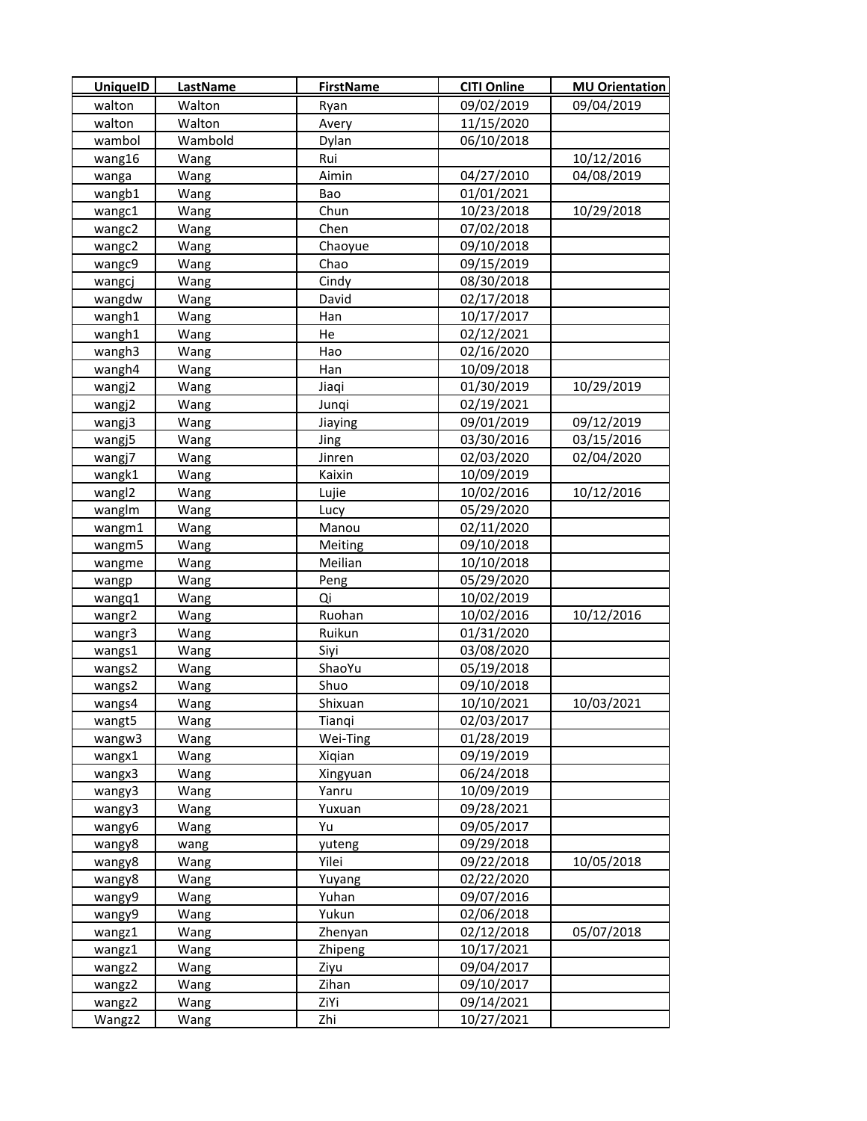| <b>UniquelD</b>    | LastName | <b>FirstName</b> | <b>CITI Online</b> | <b>MU Orientation</b> |
|--------------------|----------|------------------|--------------------|-----------------------|
| walton             | Walton   | Ryan             | 09/02/2019         | 09/04/2019            |
| walton             | Walton   | Avery            | 11/15/2020         |                       |
| wambol             | Wambold  | Dylan            | 06/10/2018         |                       |
| wang16             | Wang     | Rui              |                    | 10/12/2016            |
| wanga              | Wang     | Aimin            | 04/27/2010         | 04/08/2019            |
| wangb1             | Wang     | Bao              | 01/01/2021         |                       |
| wangc1             | Wang     | Chun             | 10/23/2018         | 10/29/2018            |
| wangc2             | Wang     | Chen             | 07/02/2018         |                       |
| wangc2             | Wang     | Chaoyue          | 09/10/2018         |                       |
| wangc9             | Wang     | Chao             | 09/15/2019         |                       |
| wangcj             | Wang     | Cindy            | 08/30/2018         |                       |
| wangdw             | Wang     | David            | 02/17/2018         |                       |
| wangh1             | Wang     | Han              | 10/17/2017         |                       |
| wangh1             | Wang     | He               | 02/12/2021         |                       |
| wangh3             | Wang     | Hao              | 02/16/2020         |                       |
| wangh4             | Wang     | Han              | 10/09/2018         |                       |
| wangj2             | Wang     | Jiaqi            | 01/30/2019         | 10/29/2019            |
| wangj2             | Wang     | Junqi            | 02/19/2021         |                       |
| wangj3             | Wang     | Jiaying          | 09/01/2019         | 09/12/2019            |
| wangj5             | Wang     | Jing             | 03/30/2016         | 03/15/2016            |
| wangj7             | Wang     | Jinren           | 02/03/2020         | 02/04/2020            |
| wangk1             | Wang     | Kaixin           | 10/09/2019         |                       |
| wangl <sub>2</sub> | Wang     | Lujie            | 10/02/2016         | 10/12/2016            |
| wanglm             | Wang     | Lucy             | 05/29/2020         |                       |
| wangm1             | Wang     | Manou            | 02/11/2020         |                       |
| wangm5             | Wang     | Meiting          | 09/10/2018         |                       |
| wangme             | Wang     | Meilian          | 10/10/2018         |                       |
| wangp              | Wang     | Peng             | 05/29/2020         |                       |
| wangq1             | Wang     | Qi               | 10/02/2019         |                       |
| wangr2             | Wang     | Ruohan           | 10/02/2016         | 10/12/2016            |
| wangr3             | Wang     | Ruikun           | 01/31/2020         |                       |
| wangs1             | Wang     | Siyi             | 03/08/2020         |                       |
| wangs2             | Wang     | ShaoYu           | 05/19/2018         |                       |
| wangs2             | Wang     | Shuo             | 09/10/2018         |                       |
| wangs4             | Wang     | Shixuan          | 10/10/2021         | 10/03/2021            |
| wangt5             | Wang     | Tianqi           | 02/03/2017         |                       |
| wangw3             | Wang     | Wei-Ting         | 01/28/2019         |                       |
| wangx1             | Wang     | Xigian           | 09/19/2019         |                       |
| wangx3             | Wang     | Xingyuan         | 06/24/2018         |                       |
| wangy3             | Wang     | Yanru            | 10/09/2019         |                       |
| wangy3             | Wang     | Yuxuan           | 09/28/2021         |                       |
| wangy6             | Wang     | Yu               | 09/05/2017         |                       |
| wangy8             | wang     | yuteng           | 09/29/2018         |                       |
| wangy8             | Wang     | Yilei            | 09/22/2018         | 10/05/2018            |
| wangy8             | Wang     | Yuyang           | 02/22/2020         |                       |
| wangy9             | Wang     | Yuhan            | 09/07/2016         |                       |
| wangy9             | Wang     | Yukun            | 02/06/2018         |                       |
| wangz1             | Wang     | Zhenyan          | 02/12/2018         | 05/07/2018            |
| wangz1             | Wang     | Zhipeng          | 10/17/2021         |                       |
| wangz2             | Wang     | Ziyu             | 09/04/2017         |                       |
| wangz2             | Wang     | Zihan            | 09/10/2017         |                       |
| wangz2             | Wang     | ZiYi             | 09/14/2021         |                       |
| Wangz <sub>2</sub> | Wang     | Zhi              | 10/27/2021         |                       |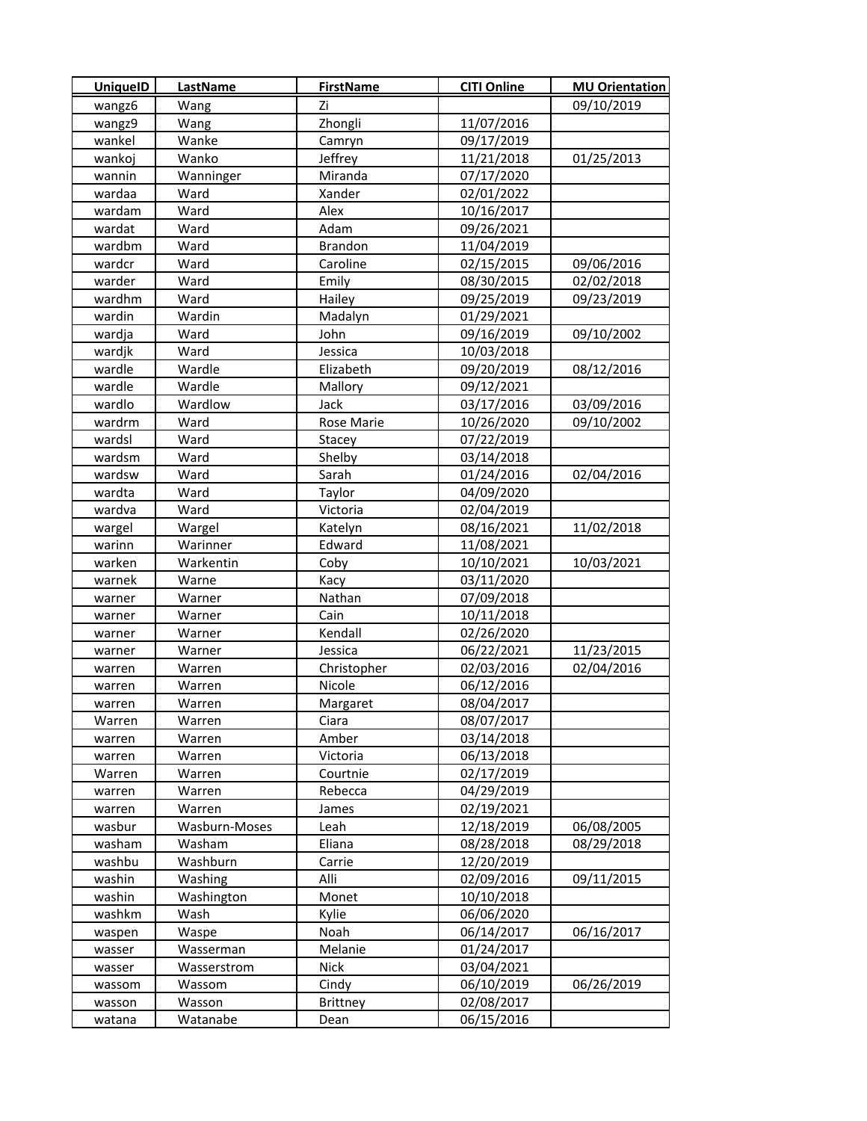| <b>UniquelD</b> | LastName      | <b>FirstName</b> | <b>CITI Online</b> | <b>MU Orientation</b> |
|-----------------|---------------|------------------|--------------------|-----------------------|
| wangz6          | Wang          | Zi               |                    | 09/10/2019            |
| wangz9          | Wang          | Zhongli          | 11/07/2016         |                       |
| wankel          | Wanke         | Camryn           | 09/17/2019         |                       |
| wankoj          | Wanko         | Jeffrey          | 11/21/2018         | 01/25/2013            |
| wannin          | Wanninger     | Miranda          | 07/17/2020         |                       |
| wardaa          | Ward          | Xander           | 02/01/2022         |                       |
| wardam          | Ward          | Alex             | 10/16/2017         |                       |
| wardat          | Ward          | Adam             | 09/26/2021         |                       |
| wardbm          | Ward          | <b>Brandon</b>   | 11/04/2019         |                       |
| wardcr          | Ward          | Caroline         | 02/15/2015         | 09/06/2016            |
| warder          | Ward          | Emily            | 08/30/2015         | 02/02/2018            |
| wardhm          | Ward          | Hailey           | 09/25/2019         | 09/23/2019            |
| wardin          | Wardin        | Madalyn          | 01/29/2021         |                       |
| wardja          | Ward          | John             | 09/16/2019         | 09/10/2002            |
| wardjk          | Ward          | Jessica          | 10/03/2018         |                       |
| wardle          | Wardle        | Elizabeth        | 09/20/2019         | 08/12/2016            |
| wardle          | Wardle        | Mallory          | 09/12/2021         |                       |
| wardlo          | Wardlow       | Jack             | 03/17/2016         | 03/09/2016            |
| wardrm          | Ward          | Rose Marie       | 10/26/2020         | 09/10/2002            |
| wardsl          | Ward          | Stacey           | 07/22/2019         |                       |
| wardsm          | Ward          | Shelby           | 03/14/2018         |                       |
| wardsw          | Ward          | Sarah            | 01/24/2016         | 02/04/2016            |
| wardta          | Ward          | Taylor           | 04/09/2020         |                       |
| wardva          | Ward          | Victoria         | 02/04/2019         |                       |
| wargel          | Wargel        | Katelyn          | 08/16/2021         | 11/02/2018            |
| warinn          | Warinner      | Edward           | 11/08/2021         |                       |
| warken          | Warkentin     | Coby             | 10/10/2021         | 10/03/2021            |
| warnek          | Warne         | Kacy             | 03/11/2020         |                       |
| warner          | Warner        | Nathan           | 07/09/2018         |                       |
| warner          | Warner        | Cain             | 10/11/2018         |                       |
| warner          | Warner        | Kendall          | 02/26/2020         |                       |
| warner          | Warner        | Jessica          | 06/22/2021         | 11/23/2015            |
| warren          | Warren        | Christopher      | 02/03/2016         | 02/04/2016            |
| warren          | Warren        | Nicole           | 06/12/2016         |                       |
| warren          | Warren        | Margaret         | 08/04/2017         |                       |
| Warren          | Warren        | Ciara            | 08/07/2017         |                       |
| warren          | Warren        | Amber            | 03/14/2018         |                       |
| warren          | Warren        | Victoria         | 06/13/2018         |                       |
| Warren          | Warren        | Courtnie         | 02/17/2019         |                       |
| warren          | Warren        | Rebecca          | 04/29/2019         |                       |
| warren          | Warren        | James            | 02/19/2021         |                       |
| wasbur          | Wasburn-Moses | Leah             | 12/18/2019         | 06/08/2005            |
| washam          | Washam        | Eliana           | 08/28/2018         | 08/29/2018            |
| washbu          | Washburn      | Carrie           | 12/20/2019         |                       |
| washin          | Washing       | Alli             | 02/09/2016         | 09/11/2015            |
| washin          | Washington    | Monet            | 10/10/2018         |                       |
| washkm          | Wash          | Kylie            | 06/06/2020         |                       |
| waspen          | Waspe         | Noah             | 06/14/2017         | 06/16/2017            |
| wasser          | Wasserman     | Melanie          | 01/24/2017         |                       |
| wasser          | Wasserstrom   | Nick             | 03/04/2021         |                       |
| wassom          | Wassom        | Cindy            | 06/10/2019         | 06/26/2019            |
| wasson          | Wasson        | <b>Brittney</b>  | 02/08/2017         |                       |
| watana          | Watanabe      | Dean             | 06/15/2016         |                       |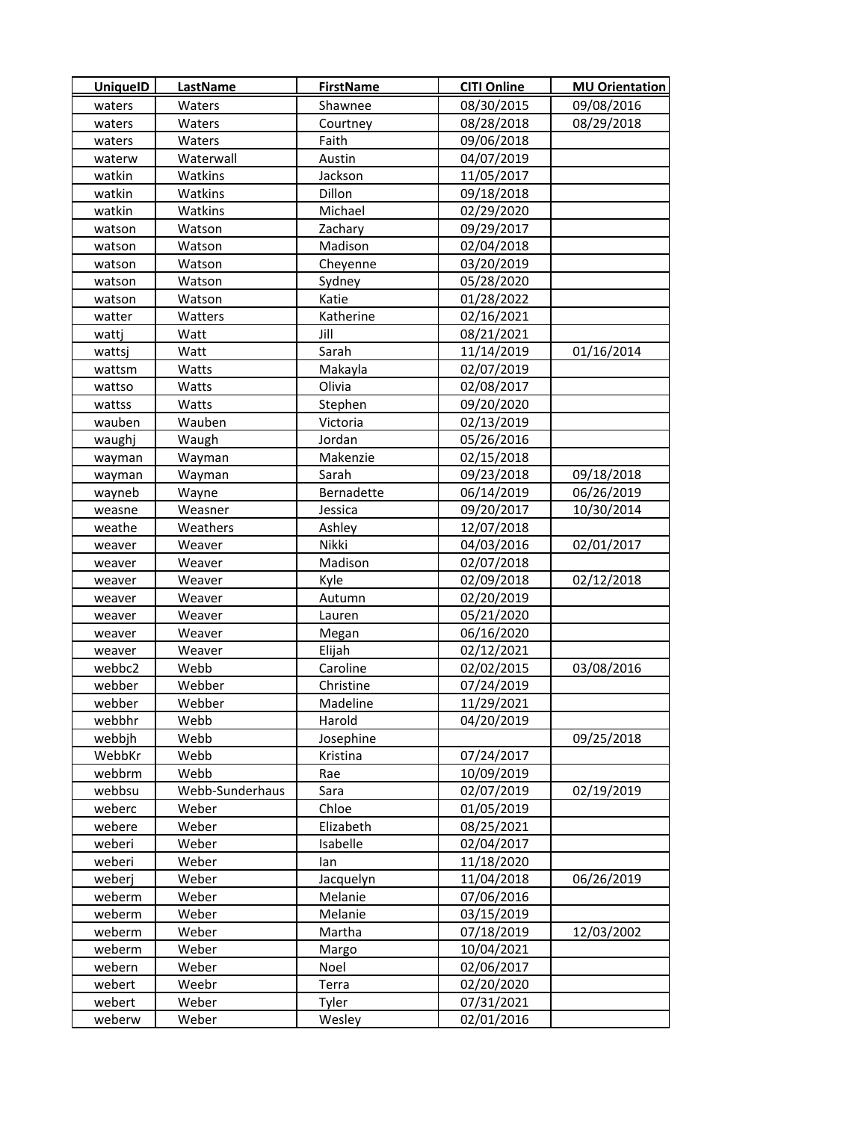| <b>UniquelD</b> | LastName        | <b>FirstName</b> | <b>CITI Online</b> | <b>MU Orientation</b> |
|-----------------|-----------------|------------------|--------------------|-----------------------|
| waters          | Waters          | Shawnee          | 08/30/2015         | 09/08/2016            |
| waters          | Waters          | Courtney         | 08/28/2018         | 08/29/2018            |
| waters          | Waters          | Faith            | 09/06/2018         |                       |
| waterw          | Waterwall       | Austin           | 04/07/2019         |                       |
| watkin          | Watkins         | Jackson          | 11/05/2017         |                       |
| watkin          | Watkins         | Dillon           | 09/18/2018         |                       |
| watkin          | Watkins         | Michael          | 02/29/2020         |                       |
| watson          | Watson          | Zachary          | 09/29/2017         |                       |
| watson          | Watson          | Madison          | 02/04/2018         |                       |
| watson          | Watson          | Cheyenne         | 03/20/2019         |                       |
| watson          | Watson          | Sydney           | 05/28/2020         |                       |
| watson          | Watson          | Katie            | 01/28/2022         |                       |
| watter          | Watters         | Katherine        | 02/16/2021         |                       |
| watti           | Watt            | Jill             | 08/21/2021         |                       |
| wattsi          | Watt            | Sarah            | 11/14/2019         | 01/16/2014            |
| wattsm          | Watts           | Makayla          | 02/07/2019         |                       |
| wattso          | Watts           | Olivia           | 02/08/2017         |                       |
| wattss          | Watts           | Stephen          | 09/20/2020         |                       |
| wauben          | Wauben          | Victoria         | 02/13/2019         |                       |
| waughi          | Waugh           | Jordan           | 05/26/2016         |                       |
| wayman          | Wayman          | Makenzie         | 02/15/2018         |                       |
| wayman          | Wayman          | Sarah            | 09/23/2018         | 09/18/2018            |
| wayneb          | Wayne           | Bernadette       | 06/14/2019         | 06/26/2019            |
| weasne          | Weasner         | Jessica          | 09/20/2017         | 10/30/2014            |
| weathe          | Weathers        | Ashley           | 12/07/2018         |                       |
| weaver          | Weaver          | Nikki            | 04/03/2016         | 02/01/2017            |
| weaver          | Weaver          | Madison          | 02/07/2018         |                       |
| weaver          | Weaver          | Kyle             | 02/09/2018         | 02/12/2018            |
| weaver          | Weaver          | Autumn           | 02/20/2019         |                       |
| weaver          | Weaver          | Lauren           | 05/21/2020         |                       |
| weaver          | Weaver          | Megan            | 06/16/2020         |                       |
| weaver          | Weaver          | Elijah           | 02/12/2021         |                       |
| webbc2          | Webb            | Caroline         | 02/02/2015         | 03/08/2016            |
| webber          | Webber          | Christine        | 07/24/2019         |                       |
| webber          | Webber          | Madeline         | 11/29/2021         |                       |
| webbhr          | Webb            | Harold           | 04/20/2019         |                       |
| webbjh          | Webb            | Josephine        |                    | 09/25/2018            |
| WebbKr          | Webb            | Kristina         | 07/24/2017         |                       |
| webbrm          | Webb            | Rae              | 10/09/2019         |                       |
| webbsu          | Webb-Sunderhaus | Sara             | 02/07/2019         | 02/19/2019            |
| weberc          | Weber           | Chloe            | 01/05/2019         |                       |
| webere          | Weber           | Elizabeth        | 08/25/2021         |                       |
| weberi          | Weber           | Isabelle         | 02/04/2017         |                       |
| weberi          | Weber           | lan              | 11/18/2020         |                       |
| weberj          | Weber           | Jacquelyn        | 11/04/2018         | 06/26/2019            |
| weberm          | Weber           | Melanie          | 07/06/2016         |                       |
| weberm          | Weber           | Melanie          | 03/15/2019         |                       |
| weberm          | Weber           | Martha           | 07/18/2019         | 12/03/2002            |
| weberm          | Weber           | Margo            | 10/04/2021         |                       |
| webern          | Weber           | Noel             | 02/06/2017         |                       |
| webert          | Weebr           | Terra            | 02/20/2020         |                       |
| webert          | Weber           | Tyler            | 07/31/2021         |                       |
| weberw          | Weber           | Wesley           | 02/01/2016         |                       |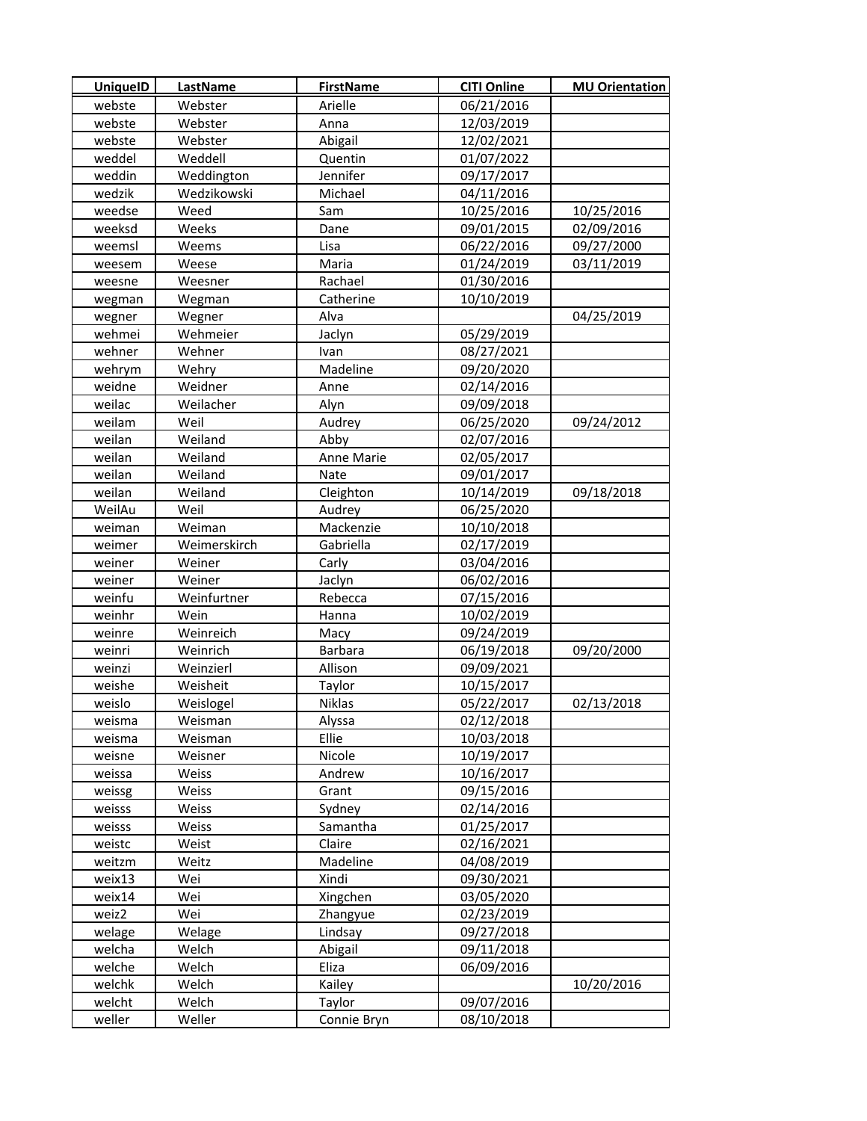| webste<br>Webster<br>Arielle<br>06/21/2016<br>webste<br>Webster<br>Anna<br>12/03/2019<br>webste<br>Webster<br>Abigail<br>12/02/2021<br>Weddell<br>01/07/2022<br>weddel<br>Quentin<br>Jennifer<br>Weddington<br>09/17/2017<br>weddin<br>wedzik<br>Wedzikowski<br>Michael<br>04/11/2016<br>Weed<br>10/25/2016<br>10/25/2016<br>weedse<br>Sam<br>09/01/2015<br>weeksd<br>Weeks<br>Dane<br>02/09/2016<br>Lisa<br>06/22/2016<br>09/27/2000<br>weemsl<br>Weems<br>01/24/2019<br>03/11/2019<br>Weese<br>Maria<br>weesem<br>01/30/2016<br>Weesner<br>Rachael<br>weesne<br>10/10/2019<br>Catherine<br>Wegman<br>wegman<br>Wegner<br>Alva<br>04/25/2019<br>wegner<br>wehmei<br>Wehmeier<br>05/29/2019<br>Jaclyn<br>wehner<br>Wehner<br>08/27/2021<br>Ivan<br>Wehry<br>Madeline<br>wehrym<br>09/20/2020<br>weidne<br>Weidner<br>02/14/2016<br>Anne<br>weilac<br>09/09/2018<br>Weilacher<br>Alyn<br>09/24/2012<br>weilam<br>Weil<br>Audrey<br>06/25/2020<br>Weiland<br>02/07/2016<br>weilan<br>Abby<br>weilan<br>Weiland<br>Anne Marie<br>02/05/2017<br>weilan<br>Weiland<br>09/01/2017<br><b>Nate</b><br>weilan<br>09/18/2018<br>Weiland<br>Cleighton<br>10/14/2019<br>WeilAu<br>Weil<br>Audrey<br>06/25/2020<br>Mackenzie<br>Weiman<br>10/10/2018<br>weiman<br>Weimerskirch<br>Gabriella<br>02/17/2019<br>weimer<br>weiner<br>Weiner<br>Carly<br>03/04/2016<br>06/02/2016<br>weiner<br>Weiner<br>Jaclyn<br>weinfu<br>Weinfurtner<br>Rebecca<br>07/15/2016<br>weinhr<br>Wein<br>10/02/2019<br>Hanna<br>Weinreich<br>weinre<br>Macy<br>09/24/2019<br>Weinrich<br>Barbara<br>06/19/2018<br>09/20/2000<br>weinri<br>Allison<br>09/09/2021<br>weinzi<br>Weinzierl<br>10/15/2017<br>weishe<br>Weisheit<br>Taylor<br>05/22/2017<br>02/13/2018<br>weislo<br>Weislogel<br>Niklas<br>02/12/2018<br>Weisman<br>Alyssa<br>weisma<br>Ellie<br>10/03/2018<br>weisma<br>Weisman<br>Nicole<br>10/19/2017<br>weisne<br>Weisner<br>Andrew<br>10/16/2017<br>weissa<br>Weiss<br>Weiss<br>Grant<br>09/15/2016<br>weissg<br>weisss<br>Weiss<br>Sydney<br>02/14/2016<br>Samantha<br>01/25/2017<br>weisss<br>Weiss<br>02/16/2021<br>weistc<br>Weist<br>Claire<br>Madeline<br>04/08/2019<br>weitzm<br>Weitz<br>Xindi<br>weix13<br>Wei<br>09/30/2021<br>weix14<br>Wei<br>Xingchen<br>03/05/2020<br>weiz2<br>Wei<br>Zhangyue<br>02/23/2019<br>Lindsay<br>09/27/2018<br>welage<br>Welage<br>Abigail<br>09/11/2018<br>welcha<br>Welch<br>Welch<br>Eliza<br>06/09/2016<br>welche<br>welchk<br>Welch<br>Kailey<br>10/20/2016<br>welcht<br>Welch<br>Taylor<br>09/07/2016 | <b>UniquelD</b> | LastName | <b>FirstName</b> | <b>CITI Online</b> | <b>MU Orientation</b> |
|--------------------------------------------------------------------------------------------------------------------------------------------------------------------------------------------------------------------------------------------------------------------------------------------------------------------------------------------------------------------------------------------------------------------------------------------------------------------------------------------------------------------------------------------------------------------------------------------------------------------------------------------------------------------------------------------------------------------------------------------------------------------------------------------------------------------------------------------------------------------------------------------------------------------------------------------------------------------------------------------------------------------------------------------------------------------------------------------------------------------------------------------------------------------------------------------------------------------------------------------------------------------------------------------------------------------------------------------------------------------------------------------------------------------------------------------------------------------------------------------------------------------------------------------------------------------------------------------------------------------------------------------------------------------------------------------------------------------------------------------------------------------------------------------------------------------------------------------------------------------------------------------------------------------------------------------------------------------------------------------------------------------------------------------------------------------------------------------------------------------------------------------------------------------------------------------------------------------------------------------------------------------------------------------------------------------------------------------------------------------------------------------------------------------------------------------------------------------------------------------------------------------------------|-----------------|----------|------------------|--------------------|-----------------------|
|                                                                                                                                                                                                                                                                                                                                                                                                                                                                                                                                                                                                                                                                                                                                                                                                                                                                                                                                                                                                                                                                                                                                                                                                                                                                                                                                                                                                                                                                                                                                                                                                                                                                                                                                                                                                                                                                                                                                                                                                                                                                                                                                                                                                                                                                                                                                                                                                                                                                                                                                |                 |          |                  |                    |                       |
|                                                                                                                                                                                                                                                                                                                                                                                                                                                                                                                                                                                                                                                                                                                                                                                                                                                                                                                                                                                                                                                                                                                                                                                                                                                                                                                                                                                                                                                                                                                                                                                                                                                                                                                                                                                                                                                                                                                                                                                                                                                                                                                                                                                                                                                                                                                                                                                                                                                                                                                                |                 |          |                  |                    |                       |
|                                                                                                                                                                                                                                                                                                                                                                                                                                                                                                                                                                                                                                                                                                                                                                                                                                                                                                                                                                                                                                                                                                                                                                                                                                                                                                                                                                                                                                                                                                                                                                                                                                                                                                                                                                                                                                                                                                                                                                                                                                                                                                                                                                                                                                                                                                                                                                                                                                                                                                                                |                 |          |                  |                    |                       |
|                                                                                                                                                                                                                                                                                                                                                                                                                                                                                                                                                                                                                                                                                                                                                                                                                                                                                                                                                                                                                                                                                                                                                                                                                                                                                                                                                                                                                                                                                                                                                                                                                                                                                                                                                                                                                                                                                                                                                                                                                                                                                                                                                                                                                                                                                                                                                                                                                                                                                                                                |                 |          |                  |                    |                       |
|                                                                                                                                                                                                                                                                                                                                                                                                                                                                                                                                                                                                                                                                                                                                                                                                                                                                                                                                                                                                                                                                                                                                                                                                                                                                                                                                                                                                                                                                                                                                                                                                                                                                                                                                                                                                                                                                                                                                                                                                                                                                                                                                                                                                                                                                                                                                                                                                                                                                                                                                |                 |          |                  |                    |                       |
|                                                                                                                                                                                                                                                                                                                                                                                                                                                                                                                                                                                                                                                                                                                                                                                                                                                                                                                                                                                                                                                                                                                                                                                                                                                                                                                                                                                                                                                                                                                                                                                                                                                                                                                                                                                                                                                                                                                                                                                                                                                                                                                                                                                                                                                                                                                                                                                                                                                                                                                                |                 |          |                  |                    |                       |
|                                                                                                                                                                                                                                                                                                                                                                                                                                                                                                                                                                                                                                                                                                                                                                                                                                                                                                                                                                                                                                                                                                                                                                                                                                                                                                                                                                                                                                                                                                                                                                                                                                                                                                                                                                                                                                                                                                                                                                                                                                                                                                                                                                                                                                                                                                                                                                                                                                                                                                                                |                 |          |                  |                    |                       |
|                                                                                                                                                                                                                                                                                                                                                                                                                                                                                                                                                                                                                                                                                                                                                                                                                                                                                                                                                                                                                                                                                                                                                                                                                                                                                                                                                                                                                                                                                                                                                                                                                                                                                                                                                                                                                                                                                                                                                                                                                                                                                                                                                                                                                                                                                                                                                                                                                                                                                                                                |                 |          |                  |                    |                       |
|                                                                                                                                                                                                                                                                                                                                                                                                                                                                                                                                                                                                                                                                                                                                                                                                                                                                                                                                                                                                                                                                                                                                                                                                                                                                                                                                                                                                                                                                                                                                                                                                                                                                                                                                                                                                                                                                                                                                                                                                                                                                                                                                                                                                                                                                                                                                                                                                                                                                                                                                |                 |          |                  |                    |                       |
|                                                                                                                                                                                                                                                                                                                                                                                                                                                                                                                                                                                                                                                                                                                                                                                                                                                                                                                                                                                                                                                                                                                                                                                                                                                                                                                                                                                                                                                                                                                                                                                                                                                                                                                                                                                                                                                                                                                                                                                                                                                                                                                                                                                                                                                                                                                                                                                                                                                                                                                                |                 |          |                  |                    |                       |
|                                                                                                                                                                                                                                                                                                                                                                                                                                                                                                                                                                                                                                                                                                                                                                                                                                                                                                                                                                                                                                                                                                                                                                                                                                                                                                                                                                                                                                                                                                                                                                                                                                                                                                                                                                                                                                                                                                                                                                                                                                                                                                                                                                                                                                                                                                                                                                                                                                                                                                                                |                 |          |                  |                    |                       |
|                                                                                                                                                                                                                                                                                                                                                                                                                                                                                                                                                                                                                                                                                                                                                                                                                                                                                                                                                                                                                                                                                                                                                                                                                                                                                                                                                                                                                                                                                                                                                                                                                                                                                                                                                                                                                                                                                                                                                                                                                                                                                                                                                                                                                                                                                                                                                                                                                                                                                                                                |                 |          |                  |                    |                       |
|                                                                                                                                                                                                                                                                                                                                                                                                                                                                                                                                                                                                                                                                                                                                                                                                                                                                                                                                                                                                                                                                                                                                                                                                                                                                                                                                                                                                                                                                                                                                                                                                                                                                                                                                                                                                                                                                                                                                                                                                                                                                                                                                                                                                                                                                                                                                                                                                                                                                                                                                |                 |          |                  |                    |                       |
|                                                                                                                                                                                                                                                                                                                                                                                                                                                                                                                                                                                                                                                                                                                                                                                                                                                                                                                                                                                                                                                                                                                                                                                                                                                                                                                                                                                                                                                                                                                                                                                                                                                                                                                                                                                                                                                                                                                                                                                                                                                                                                                                                                                                                                                                                                                                                                                                                                                                                                                                |                 |          |                  |                    |                       |
|                                                                                                                                                                                                                                                                                                                                                                                                                                                                                                                                                                                                                                                                                                                                                                                                                                                                                                                                                                                                                                                                                                                                                                                                                                                                                                                                                                                                                                                                                                                                                                                                                                                                                                                                                                                                                                                                                                                                                                                                                                                                                                                                                                                                                                                                                                                                                                                                                                                                                                                                |                 |          |                  |                    |                       |
|                                                                                                                                                                                                                                                                                                                                                                                                                                                                                                                                                                                                                                                                                                                                                                                                                                                                                                                                                                                                                                                                                                                                                                                                                                                                                                                                                                                                                                                                                                                                                                                                                                                                                                                                                                                                                                                                                                                                                                                                                                                                                                                                                                                                                                                                                                                                                                                                                                                                                                                                |                 |          |                  |                    |                       |
|                                                                                                                                                                                                                                                                                                                                                                                                                                                                                                                                                                                                                                                                                                                                                                                                                                                                                                                                                                                                                                                                                                                                                                                                                                                                                                                                                                                                                                                                                                                                                                                                                                                                                                                                                                                                                                                                                                                                                                                                                                                                                                                                                                                                                                                                                                                                                                                                                                                                                                                                |                 |          |                  |                    |                       |
|                                                                                                                                                                                                                                                                                                                                                                                                                                                                                                                                                                                                                                                                                                                                                                                                                                                                                                                                                                                                                                                                                                                                                                                                                                                                                                                                                                                                                                                                                                                                                                                                                                                                                                                                                                                                                                                                                                                                                                                                                                                                                                                                                                                                                                                                                                                                                                                                                                                                                                                                |                 |          |                  |                    |                       |
|                                                                                                                                                                                                                                                                                                                                                                                                                                                                                                                                                                                                                                                                                                                                                                                                                                                                                                                                                                                                                                                                                                                                                                                                                                                                                                                                                                                                                                                                                                                                                                                                                                                                                                                                                                                                                                                                                                                                                                                                                                                                                                                                                                                                                                                                                                                                                                                                                                                                                                                                |                 |          |                  |                    |                       |
|                                                                                                                                                                                                                                                                                                                                                                                                                                                                                                                                                                                                                                                                                                                                                                                                                                                                                                                                                                                                                                                                                                                                                                                                                                                                                                                                                                                                                                                                                                                                                                                                                                                                                                                                                                                                                                                                                                                                                                                                                                                                                                                                                                                                                                                                                                                                                                                                                                                                                                                                |                 |          |                  |                    |                       |
|                                                                                                                                                                                                                                                                                                                                                                                                                                                                                                                                                                                                                                                                                                                                                                                                                                                                                                                                                                                                                                                                                                                                                                                                                                                                                                                                                                                                                                                                                                                                                                                                                                                                                                                                                                                                                                                                                                                                                                                                                                                                                                                                                                                                                                                                                                                                                                                                                                                                                                                                |                 |          |                  |                    |                       |
|                                                                                                                                                                                                                                                                                                                                                                                                                                                                                                                                                                                                                                                                                                                                                                                                                                                                                                                                                                                                                                                                                                                                                                                                                                                                                                                                                                                                                                                                                                                                                                                                                                                                                                                                                                                                                                                                                                                                                                                                                                                                                                                                                                                                                                                                                                                                                                                                                                                                                                                                |                 |          |                  |                    |                       |
|                                                                                                                                                                                                                                                                                                                                                                                                                                                                                                                                                                                                                                                                                                                                                                                                                                                                                                                                                                                                                                                                                                                                                                                                                                                                                                                                                                                                                                                                                                                                                                                                                                                                                                                                                                                                                                                                                                                                                                                                                                                                                                                                                                                                                                                                                                                                                                                                                                                                                                                                |                 |          |                  |                    |                       |
|                                                                                                                                                                                                                                                                                                                                                                                                                                                                                                                                                                                                                                                                                                                                                                                                                                                                                                                                                                                                                                                                                                                                                                                                                                                                                                                                                                                                                                                                                                                                                                                                                                                                                                                                                                                                                                                                                                                                                                                                                                                                                                                                                                                                                                                                                                                                                                                                                                                                                                                                |                 |          |                  |                    |                       |
|                                                                                                                                                                                                                                                                                                                                                                                                                                                                                                                                                                                                                                                                                                                                                                                                                                                                                                                                                                                                                                                                                                                                                                                                                                                                                                                                                                                                                                                                                                                                                                                                                                                                                                                                                                                                                                                                                                                                                                                                                                                                                                                                                                                                                                                                                                                                                                                                                                                                                                                                |                 |          |                  |                    |                       |
|                                                                                                                                                                                                                                                                                                                                                                                                                                                                                                                                                                                                                                                                                                                                                                                                                                                                                                                                                                                                                                                                                                                                                                                                                                                                                                                                                                                                                                                                                                                                                                                                                                                                                                                                                                                                                                                                                                                                                                                                                                                                                                                                                                                                                                                                                                                                                                                                                                                                                                                                |                 |          |                  |                    |                       |
|                                                                                                                                                                                                                                                                                                                                                                                                                                                                                                                                                                                                                                                                                                                                                                                                                                                                                                                                                                                                                                                                                                                                                                                                                                                                                                                                                                                                                                                                                                                                                                                                                                                                                                                                                                                                                                                                                                                                                                                                                                                                                                                                                                                                                                                                                                                                                                                                                                                                                                                                |                 |          |                  |                    |                       |
|                                                                                                                                                                                                                                                                                                                                                                                                                                                                                                                                                                                                                                                                                                                                                                                                                                                                                                                                                                                                                                                                                                                                                                                                                                                                                                                                                                                                                                                                                                                                                                                                                                                                                                                                                                                                                                                                                                                                                                                                                                                                                                                                                                                                                                                                                                                                                                                                                                                                                                                                |                 |          |                  |                    |                       |
|                                                                                                                                                                                                                                                                                                                                                                                                                                                                                                                                                                                                                                                                                                                                                                                                                                                                                                                                                                                                                                                                                                                                                                                                                                                                                                                                                                                                                                                                                                                                                                                                                                                                                                                                                                                                                                                                                                                                                                                                                                                                                                                                                                                                                                                                                                                                                                                                                                                                                                                                |                 |          |                  |                    |                       |
|                                                                                                                                                                                                                                                                                                                                                                                                                                                                                                                                                                                                                                                                                                                                                                                                                                                                                                                                                                                                                                                                                                                                                                                                                                                                                                                                                                                                                                                                                                                                                                                                                                                                                                                                                                                                                                                                                                                                                                                                                                                                                                                                                                                                                                                                                                                                                                                                                                                                                                                                |                 |          |                  |                    |                       |
|                                                                                                                                                                                                                                                                                                                                                                                                                                                                                                                                                                                                                                                                                                                                                                                                                                                                                                                                                                                                                                                                                                                                                                                                                                                                                                                                                                                                                                                                                                                                                                                                                                                                                                                                                                                                                                                                                                                                                                                                                                                                                                                                                                                                                                                                                                                                                                                                                                                                                                                                |                 |          |                  |                    |                       |
|                                                                                                                                                                                                                                                                                                                                                                                                                                                                                                                                                                                                                                                                                                                                                                                                                                                                                                                                                                                                                                                                                                                                                                                                                                                                                                                                                                                                                                                                                                                                                                                                                                                                                                                                                                                                                                                                                                                                                                                                                                                                                                                                                                                                                                                                                                                                                                                                                                                                                                                                |                 |          |                  |                    |                       |
|                                                                                                                                                                                                                                                                                                                                                                                                                                                                                                                                                                                                                                                                                                                                                                                                                                                                                                                                                                                                                                                                                                                                                                                                                                                                                                                                                                                                                                                                                                                                                                                                                                                                                                                                                                                                                                                                                                                                                                                                                                                                                                                                                                                                                                                                                                                                                                                                                                                                                                                                |                 |          |                  |                    |                       |
|                                                                                                                                                                                                                                                                                                                                                                                                                                                                                                                                                                                                                                                                                                                                                                                                                                                                                                                                                                                                                                                                                                                                                                                                                                                                                                                                                                                                                                                                                                                                                                                                                                                                                                                                                                                                                                                                                                                                                                                                                                                                                                                                                                                                                                                                                                                                                                                                                                                                                                                                |                 |          |                  |                    |                       |
|                                                                                                                                                                                                                                                                                                                                                                                                                                                                                                                                                                                                                                                                                                                                                                                                                                                                                                                                                                                                                                                                                                                                                                                                                                                                                                                                                                                                                                                                                                                                                                                                                                                                                                                                                                                                                                                                                                                                                                                                                                                                                                                                                                                                                                                                                                                                                                                                                                                                                                                                |                 |          |                  |                    |                       |
|                                                                                                                                                                                                                                                                                                                                                                                                                                                                                                                                                                                                                                                                                                                                                                                                                                                                                                                                                                                                                                                                                                                                                                                                                                                                                                                                                                                                                                                                                                                                                                                                                                                                                                                                                                                                                                                                                                                                                                                                                                                                                                                                                                                                                                                                                                                                                                                                                                                                                                                                |                 |          |                  |                    |                       |
|                                                                                                                                                                                                                                                                                                                                                                                                                                                                                                                                                                                                                                                                                                                                                                                                                                                                                                                                                                                                                                                                                                                                                                                                                                                                                                                                                                                                                                                                                                                                                                                                                                                                                                                                                                                                                                                                                                                                                                                                                                                                                                                                                                                                                                                                                                                                                                                                                                                                                                                                |                 |          |                  |                    |                       |
|                                                                                                                                                                                                                                                                                                                                                                                                                                                                                                                                                                                                                                                                                                                                                                                                                                                                                                                                                                                                                                                                                                                                                                                                                                                                                                                                                                                                                                                                                                                                                                                                                                                                                                                                                                                                                                                                                                                                                                                                                                                                                                                                                                                                                                                                                                                                                                                                                                                                                                                                |                 |          |                  |                    |                       |
|                                                                                                                                                                                                                                                                                                                                                                                                                                                                                                                                                                                                                                                                                                                                                                                                                                                                                                                                                                                                                                                                                                                                                                                                                                                                                                                                                                                                                                                                                                                                                                                                                                                                                                                                                                                                                                                                                                                                                                                                                                                                                                                                                                                                                                                                                                                                                                                                                                                                                                                                |                 |          |                  |                    |                       |
|                                                                                                                                                                                                                                                                                                                                                                                                                                                                                                                                                                                                                                                                                                                                                                                                                                                                                                                                                                                                                                                                                                                                                                                                                                                                                                                                                                                                                                                                                                                                                                                                                                                                                                                                                                                                                                                                                                                                                                                                                                                                                                                                                                                                                                                                                                                                                                                                                                                                                                                                |                 |          |                  |                    |                       |
|                                                                                                                                                                                                                                                                                                                                                                                                                                                                                                                                                                                                                                                                                                                                                                                                                                                                                                                                                                                                                                                                                                                                                                                                                                                                                                                                                                                                                                                                                                                                                                                                                                                                                                                                                                                                                                                                                                                                                                                                                                                                                                                                                                                                                                                                                                                                                                                                                                                                                                                                |                 |          |                  |                    |                       |
|                                                                                                                                                                                                                                                                                                                                                                                                                                                                                                                                                                                                                                                                                                                                                                                                                                                                                                                                                                                                                                                                                                                                                                                                                                                                                                                                                                                                                                                                                                                                                                                                                                                                                                                                                                                                                                                                                                                                                                                                                                                                                                                                                                                                                                                                                                                                                                                                                                                                                                                                |                 |          |                  |                    |                       |
|                                                                                                                                                                                                                                                                                                                                                                                                                                                                                                                                                                                                                                                                                                                                                                                                                                                                                                                                                                                                                                                                                                                                                                                                                                                                                                                                                                                                                                                                                                                                                                                                                                                                                                                                                                                                                                                                                                                                                                                                                                                                                                                                                                                                                                                                                                                                                                                                                                                                                                                                |                 |          |                  |                    |                       |
|                                                                                                                                                                                                                                                                                                                                                                                                                                                                                                                                                                                                                                                                                                                                                                                                                                                                                                                                                                                                                                                                                                                                                                                                                                                                                                                                                                                                                                                                                                                                                                                                                                                                                                                                                                                                                                                                                                                                                                                                                                                                                                                                                                                                                                                                                                                                                                                                                                                                                                                                |                 |          |                  |                    |                       |
|                                                                                                                                                                                                                                                                                                                                                                                                                                                                                                                                                                                                                                                                                                                                                                                                                                                                                                                                                                                                                                                                                                                                                                                                                                                                                                                                                                                                                                                                                                                                                                                                                                                                                                                                                                                                                                                                                                                                                                                                                                                                                                                                                                                                                                                                                                                                                                                                                                                                                                                                |                 |          |                  |                    |                       |
|                                                                                                                                                                                                                                                                                                                                                                                                                                                                                                                                                                                                                                                                                                                                                                                                                                                                                                                                                                                                                                                                                                                                                                                                                                                                                                                                                                                                                                                                                                                                                                                                                                                                                                                                                                                                                                                                                                                                                                                                                                                                                                                                                                                                                                                                                                                                                                                                                                                                                                                                |                 |          |                  |                    |                       |
|                                                                                                                                                                                                                                                                                                                                                                                                                                                                                                                                                                                                                                                                                                                                                                                                                                                                                                                                                                                                                                                                                                                                                                                                                                                                                                                                                                                                                                                                                                                                                                                                                                                                                                                                                                                                                                                                                                                                                                                                                                                                                                                                                                                                                                                                                                                                                                                                                                                                                                                                |                 |          |                  |                    |                       |
|                                                                                                                                                                                                                                                                                                                                                                                                                                                                                                                                                                                                                                                                                                                                                                                                                                                                                                                                                                                                                                                                                                                                                                                                                                                                                                                                                                                                                                                                                                                                                                                                                                                                                                                                                                                                                                                                                                                                                                                                                                                                                                                                                                                                                                                                                                                                                                                                                                                                                                                                |                 |          |                  |                    |                       |
|                                                                                                                                                                                                                                                                                                                                                                                                                                                                                                                                                                                                                                                                                                                                                                                                                                                                                                                                                                                                                                                                                                                                                                                                                                                                                                                                                                                                                                                                                                                                                                                                                                                                                                                                                                                                                                                                                                                                                                                                                                                                                                                                                                                                                                                                                                                                                                                                                                                                                                                                |                 |          |                  |                    |                       |
|                                                                                                                                                                                                                                                                                                                                                                                                                                                                                                                                                                                                                                                                                                                                                                                                                                                                                                                                                                                                                                                                                                                                                                                                                                                                                                                                                                                                                                                                                                                                                                                                                                                                                                                                                                                                                                                                                                                                                                                                                                                                                                                                                                                                                                                                                                                                                                                                                                                                                                                                |                 |          |                  |                    |                       |
|                                                                                                                                                                                                                                                                                                                                                                                                                                                                                                                                                                                                                                                                                                                                                                                                                                                                                                                                                                                                                                                                                                                                                                                                                                                                                                                                                                                                                                                                                                                                                                                                                                                                                                                                                                                                                                                                                                                                                                                                                                                                                                                                                                                                                                                                                                                                                                                                                                                                                                                                |                 |          |                  |                    |                       |
|                                                                                                                                                                                                                                                                                                                                                                                                                                                                                                                                                                                                                                                                                                                                                                                                                                                                                                                                                                                                                                                                                                                                                                                                                                                                                                                                                                                                                                                                                                                                                                                                                                                                                                                                                                                                                                                                                                                                                                                                                                                                                                                                                                                                                                                                                                                                                                                                                                                                                                                                | weller          | Weller   | Connie Bryn      | 08/10/2018         |                       |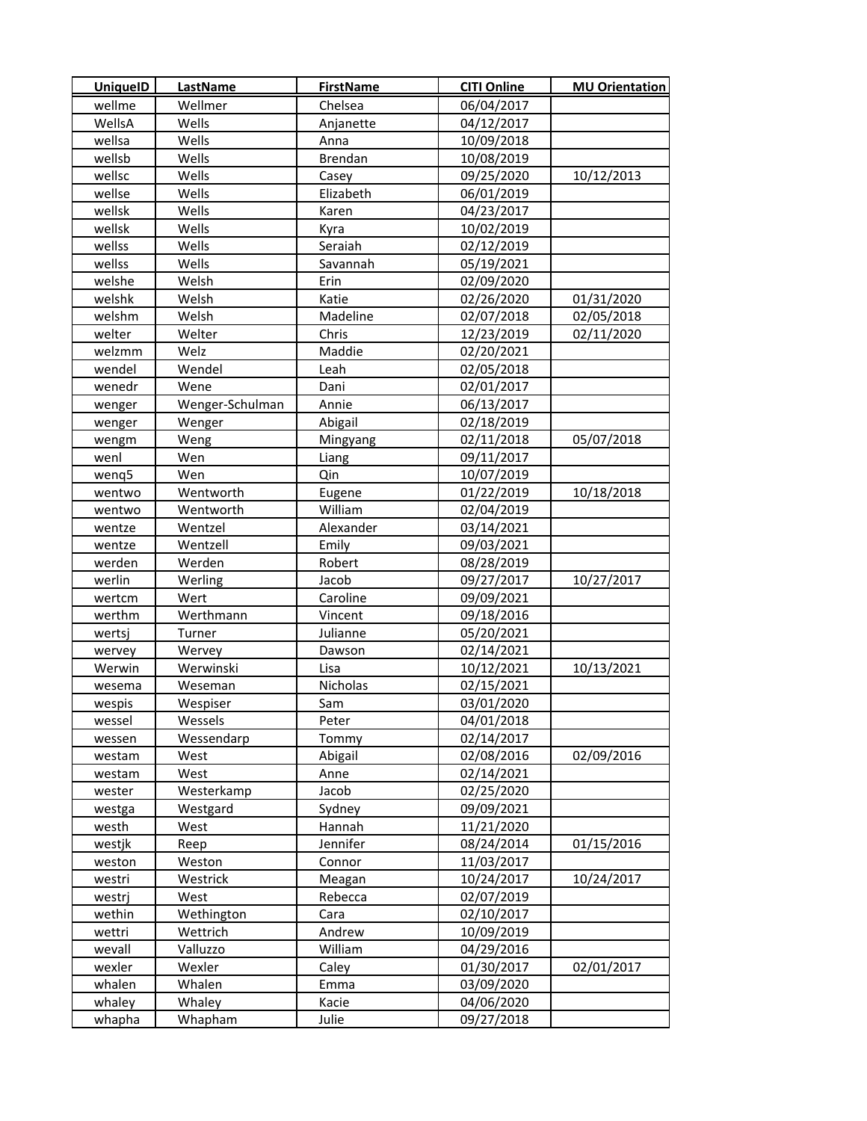| <b>UniquelD</b> | <b>LastName</b> | <b>FirstName</b> | <b>CITI Online</b> | <b>MU Orientation</b> |
|-----------------|-----------------|------------------|--------------------|-----------------------|
| wellme          | Wellmer         | Chelsea          | 06/04/2017         |                       |
| WellsA          | Wells           | Anjanette        | 04/12/2017         |                       |
| wellsa          | Wells           | Anna             | 10/09/2018         |                       |
| wellsb          | Wells           | <b>Brendan</b>   | 10/08/2019         |                       |
| wellsc          | Wells           | Casey            | 09/25/2020         | 10/12/2013            |
| wellse          | Wells           | Elizabeth        | 06/01/2019         |                       |
| wellsk          | Wells           | Karen            | 04/23/2017         |                       |
| wellsk          | Wells           | Kyra             | 10/02/2019         |                       |
| wellss          | Wells           | Seraiah          | 02/12/2019         |                       |
| wellss          | Wells           | Savannah         | 05/19/2021         |                       |
| welshe          | Welsh           | Erin             | 02/09/2020         |                       |
| welshk          | Welsh           | Katie            | 02/26/2020         | 01/31/2020            |
| welshm          | Welsh           | Madeline         | 02/07/2018         | 02/05/2018            |
| welter          | Welter          | Chris            | 12/23/2019         | 02/11/2020            |
| welzmm          | Welz            | Maddie           | 02/20/2021         |                       |
| wendel          | Wendel          | Leah             | 02/05/2018         |                       |
| wenedr          | Wene            | Dani             | 02/01/2017         |                       |
| wenger          | Wenger-Schulman | Annie            | 06/13/2017         |                       |
| wenger          | Wenger          | Abigail          | 02/18/2019         |                       |
| wengm           | Weng            | Mingyang         | 02/11/2018         | 05/07/2018            |
| wenl            | Wen             | Liang            | 09/11/2017         |                       |
| wenq5           | Wen             | Qin              | 10/07/2019         |                       |
| wentwo          | Wentworth       | Eugene           | 01/22/2019         | 10/18/2018            |
| wentwo          | Wentworth       | William          | 02/04/2019         |                       |
| wentze          | Wentzel         | Alexander        | 03/14/2021         |                       |
| wentze          | Wentzell        | Emily            | 09/03/2021         |                       |
| werden          | Werden          | Robert           | 08/28/2019         |                       |
| werlin          | Werling         | Jacob            | 09/27/2017         | 10/27/2017            |
| wertcm          | Wert            | Caroline         | 09/09/2021         |                       |
| werthm          | Werthmann       | Vincent          | 09/18/2016         |                       |
| wertsj          | Turner          | Julianne         | 05/20/2021         |                       |
| wervey          | Wervey          | Dawson           | 02/14/2021         |                       |
| Werwin          | Werwinski       | Lisa             | 10/12/2021         | 10/13/2021            |
| wesema          | Weseman         | Nicholas         | 02/15/2021         |                       |
| wespis          | Wespiser        | Sam              | 03/01/2020         |                       |
| wessel          | Wessels         | Peter            | 04/01/2018         |                       |
| wessen          | Wessendarp      | Tommy            | 02/14/2017         |                       |
| westam          | West            | Abigail          | 02/08/2016         | 02/09/2016            |
| westam          | West            | Anne             | 02/14/2021         |                       |
| wester          | Westerkamp      | Jacob            | 02/25/2020         |                       |
| westga          | Westgard        | Sydney           | 09/09/2021         |                       |
| westh           | West            | Hannah           | 11/21/2020         |                       |
| westjk          | Reep            | Jennifer         | 08/24/2014         | 01/15/2016            |
| weston          | Weston          | Connor           | 11/03/2017         |                       |
| westri          | Westrick        | Meagan           | 10/24/2017         | 10/24/2017            |
| westrj          | West            | Rebecca          | 02/07/2019         |                       |
| wethin          | Wethington      | Cara             | 02/10/2017         |                       |
| wettri          | Wettrich        | Andrew           | 10/09/2019         |                       |
| wevall          | Valluzzo        | William          | 04/29/2016         |                       |
| wexler          | Wexler          | Caley            | 01/30/2017         | 02/01/2017            |
| whalen          | Whalen          | Emma             | 03/09/2020         |                       |
| whaley          | Whaley          | Kacie            | 04/06/2020         |                       |
| whapha          | Whapham         | Julie            | 09/27/2018         |                       |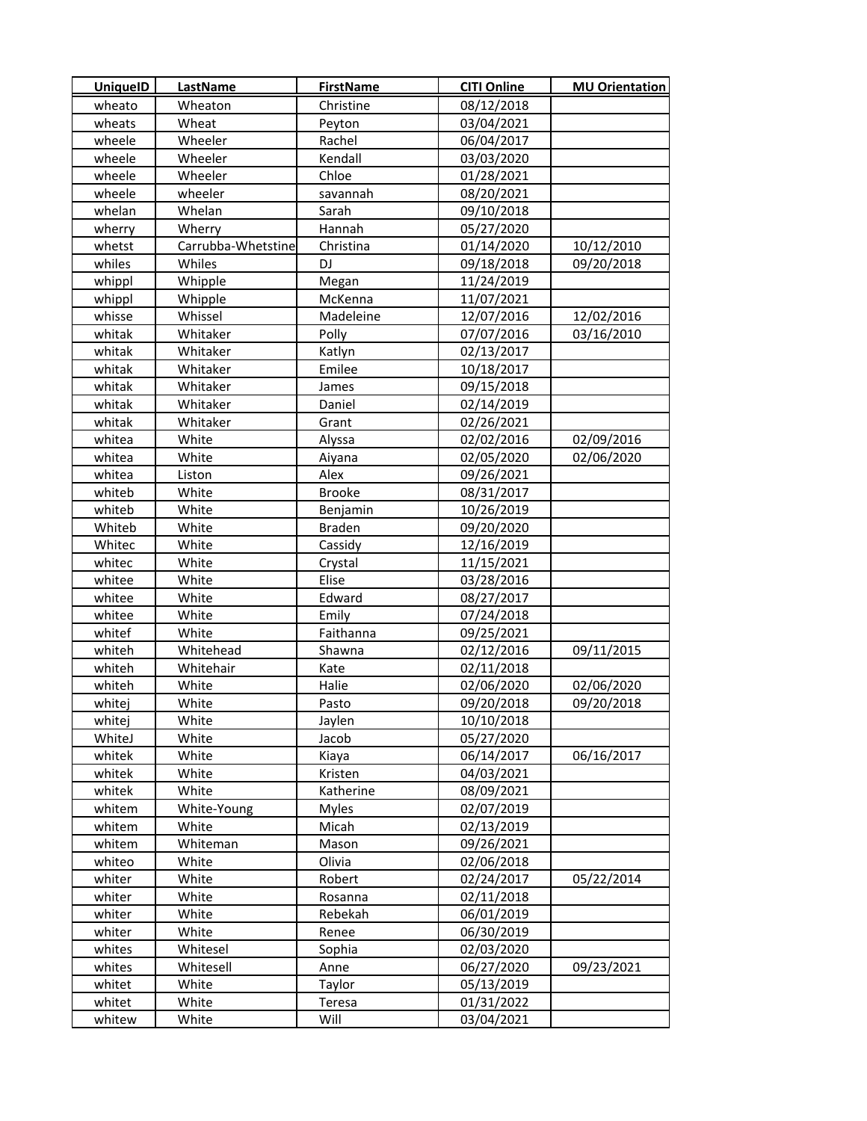| <b>UniquelD</b> | LastName           | <b>FirstName</b> | <b>CITI Online</b> | <b>MU Orientation</b> |
|-----------------|--------------------|------------------|--------------------|-----------------------|
| wheato          | Wheaton            | Christine        | 08/12/2018         |                       |
| wheats          | Wheat              | Peyton           | 03/04/2021         |                       |
| wheele          | Wheeler            | Rachel           | 06/04/2017         |                       |
| wheele          | Wheeler            | Kendall          | 03/03/2020         |                       |
| wheele          | Wheeler            | Chloe            | 01/28/2021         |                       |
| wheele          | wheeler            | savannah         | 08/20/2021         |                       |
| whelan          | Whelan             | Sarah            | 09/10/2018         |                       |
| wherry          | Wherry             | Hannah           | 05/27/2020         |                       |
| whetst          | Carrubba-Whetstine | Christina        | 01/14/2020         | 10/12/2010            |
| whiles          | Whiles             | DJ               | 09/18/2018         | 09/20/2018            |
| whippl          | Whipple            | Megan            | 11/24/2019         |                       |
| whippl          | Whipple            | McKenna          | 11/07/2021         |                       |
| whisse          | Whissel            | Madeleine        | 12/07/2016         | 12/02/2016            |
| whitak          | Whitaker           | Polly            | 07/07/2016         | 03/16/2010            |
| whitak          | Whitaker           | Katlyn           | 02/13/2017         |                       |
| whitak          | Whitaker           | Emilee           | 10/18/2017         |                       |
| whitak          | Whitaker           | James            | 09/15/2018         |                       |
| whitak          | Whitaker           | Daniel           | 02/14/2019         |                       |
| whitak          | Whitaker           | Grant            | 02/26/2021         |                       |
| whitea          | White              | Alyssa           | 02/02/2016         | 02/09/2016            |
| whitea          | White              | Aiyana           | 02/05/2020         | 02/06/2020            |
| whitea          | Liston             | Alex             | 09/26/2021         |                       |
| whiteb          | White              | <b>Brooke</b>    | 08/31/2017         |                       |
| whiteb          | White              | Benjamin         | 10/26/2019         |                       |
| Whiteb          | White              | <b>Braden</b>    | 09/20/2020         |                       |
| Whitec          | White              | Cassidy          | 12/16/2019         |                       |
| whitec          | White              | Crystal          | 11/15/2021         |                       |
| whitee          | White              | Elise            | 03/28/2016         |                       |
| whitee          | White              | Edward           | 08/27/2017         |                       |
| whitee          | White              | Emily            | 07/24/2018         |                       |
| whitef          | White              | Faithanna        | 09/25/2021         |                       |
| whiteh          | Whitehead          | Shawna           | 02/12/2016         | 09/11/2015            |
| whiteh          | Whitehair          | Kate             | 02/11/2018         |                       |
| whiteh          | White              | Halie            | 02/06/2020         | 02/06/2020            |
| whitej          | White              | Pasto            | 09/20/2018         | 09/20/2018            |
| whitej          | White              | Jaylen           | 10/10/2018         |                       |
| WhiteJ          | White              | Jacob            | 05/27/2020         |                       |
| whitek          | White              | Kiaya            | 06/14/2017         | 06/16/2017            |
| whitek          | White              | Kristen          | 04/03/2021         |                       |
| whitek          | White              | Katherine        | 08/09/2021         |                       |
| whitem          | White-Young        | <b>Myles</b>     | 02/07/2019         |                       |
| whitem          | White              | Micah            | 02/13/2019         |                       |
| whitem          | Whiteman           | Mason            | 09/26/2021         |                       |
| whiteo          | White              | Olivia           | 02/06/2018         |                       |
| whiter          | White              | Robert           | 02/24/2017         | 05/22/2014            |
| whiter          | White              | Rosanna          | 02/11/2018         |                       |
| whiter          | White              | Rebekah          | 06/01/2019         |                       |
| whiter          | White              | Renee            | 06/30/2019         |                       |
| whites          | Whitesel           | Sophia           | 02/03/2020         |                       |
| whites          | Whitesell          | Anne             | 06/27/2020         | 09/23/2021            |
| whitet          | White              | Taylor           | 05/13/2019         |                       |
| whitet          | White              | Teresa           | 01/31/2022         |                       |
| whitew          | White              | Will             | 03/04/2021         |                       |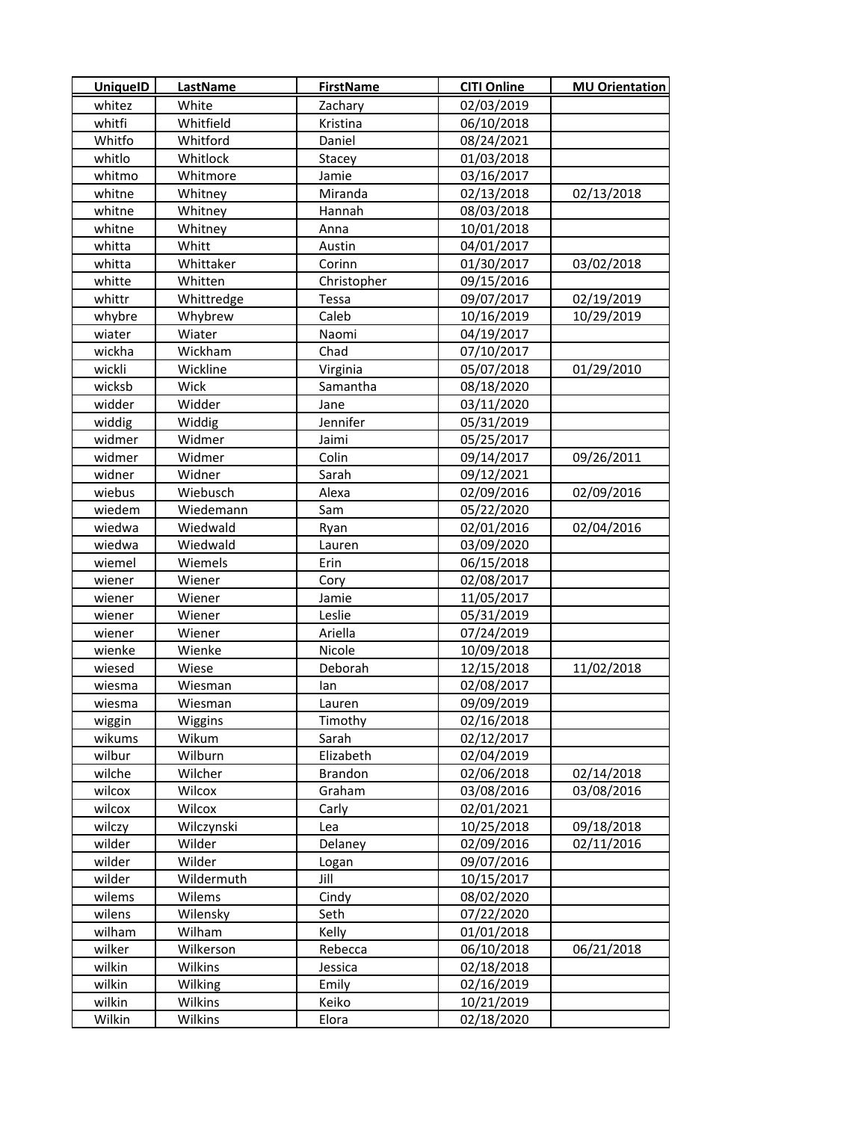| <b>UniquelD</b> | <b>LastName</b> | <b>FirstName</b> | <b>CITI Online</b> | <b>MU Orientation</b> |
|-----------------|-----------------|------------------|--------------------|-----------------------|
| whitez          | White           | Zachary          | 02/03/2019         |                       |
| whitfi          | Whitfield       | Kristina         | 06/10/2018         |                       |
| Whitfo          | Whitford        | Daniel           | 08/24/2021         |                       |
| whitlo          | Whitlock        | Stacey           | 01/03/2018         |                       |
| whitmo          | Whitmore        | Jamie            | 03/16/2017         |                       |
| whitne          | Whitney         | Miranda          | 02/13/2018         | 02/13/2018            |
| whitne          | Whitney         | Hannah           | 08/03/2018         |                       |
| whitne          | Whitney         | Anna             | 10/01/2018         |                       |
| whitta          | Whitt           | Austin           | 04/01/2017         |                       |
| whitta          | Whittaker       | Corinn           | 01/30/2017         | 03/02/2018            |
| whitte          | Whitten         | Christopher      | 09/15/2016         |                       |
| whittr          | Whittredge      | Tessa            | 09/07/2017         | 02/19/2019            |
| whybre          | Whybrew         | Caleb            | 10/16/2019         | 10/29/2019            |
| wiater          | Wiater          | Naomi            | 04/19/2017         |                       |
| wickha          | Wickham         | Chad             | 07/10/2017         |                       |
| wickli          | Wickline        | Virginia         | 05/07/2018         | 01/29/2010            |
| wicksb          | Wick            | Samantha         | 08/18/2020         |                       |
| widder          | Widder          | Jane             | 03/11/2020         |                       |
| widdig          | Widdig          | Jennifer         | 05/31/2019         |                       |
| widmer          | Widmer          | Jaimi            | 05/25/2017         |                       |
| widmer          | Widmer          | Colin            | 09/14/2017         | 09/26/2011            |
| widner          | Widner          | Sarah            | 09/12/2021         |                       |
| wiebus          | Wiebusch        | Alexa            | 02/09/2016         | 02/09/2016            |
| wiedem          | Wiedemann       | Sam              | 05/22/2020         |                       |
| wiedwa          | Wiedwald        | Ryan             | 02/01/2016         | 02/04/2016            |
| wiedwa          | Wiedwald        | Lauren           | 03/09/2020         |                       |
| wiemel          | Wiemels         | Erin             | 06/15/2018         |                       |
| wiener          | Wiener          | Cory             | 02/08/2017         |                       |
| wiener          | Wiener          | Jamie            | 11/05/2017         |                       |
| wiener          | Wiener          | Leslie           | 05/31/2019         |                       |
| wiener          | Wiener          | Ariella          | 07/24/2019         |                       |
| wienke          | Wienke          | Nicole           | 10/09/2018         |                       |
| wiesed          | Wiese           | Deborah          | 12/15/2018         | 11/02/2018            |
| wiesma          | Wiesman         | lan              | 02/08/2017         |                       |
| wiesma          | Wiesman         | Lauren           | 09/09/2019         |                       |
| wiggin          | Wiggins         | Timothy          | 02/16/2018         |                       |
| wikums          | Wikum           | Sarah            | 02/12/2017         |                       |
| wilbur          | Wilburn         | Elizabeth        | 02/04/2019         |                       |
| wilche          | Wilcher         | <b>Brandon</b>   | 02/06/2018         | 02/14/2018            |
| wilcox          | Wilcox          | Graham           | 03/08/2016         | 03/08/2016            |
| wilcox          | Wilcox          | Carly            | 02/01/2021         |                       |
| wilczy          | Wilczynski      | Lea              | 10/25/2018         | 09/18/2018            |
| wilder          | Wilder          | Delaney          | 02/09/2016         | 02/11/2016            |
| wilder          | Wilder          | Logan            | 09/07/2016         |                       |
| wilder          | Wildermuth      | Jill             | 10/15/2017         |                       |
| wilems          | Wilems          | Cindy            | 08/02/2020         |                       |
| wilens          | Wilensky        | Seth             | 07/22/2020         |                       |
| wilham          | Wilham          | Kelly            | 01/01/2018         |                       |
| wilker          | Wilkerson       | Rebecca          | 06/10/2018         | 06/21/2018            |
| wilkin          | Wilkins         | Jessica          | 02/18/2018         |                       |
| wilkin          | Wilking         | Emily            | 02/16/2019         |                       |
| wilkin          | Wilkins         | Keiko            | 10/21/2019         |                       |
| Wilkin          | Wilkins         | Elora            | 02/18/2020         |                       |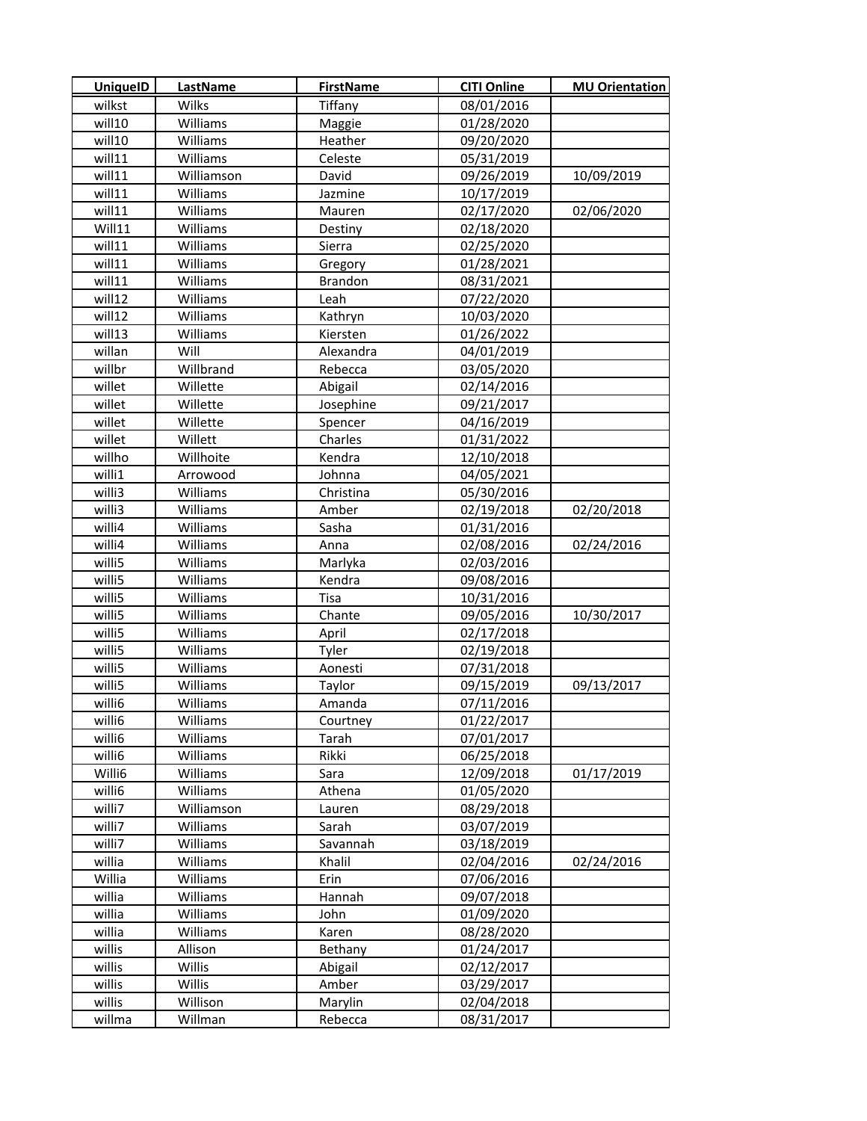| <b>UniquelD</b> | LastName   | <b>FirstName</b> | <b>CITI Online</b> | <b>MU Orientation</b> |
|-----------------|------------|------------------|--------------------|-----------------------|
| wilkst          | Wilks      | Tiffany          | 08/01/2016         |                       |
| will10          | Williams   | Maggie           | 01/28/2020         |                       |
| will10          | Williams   | Heather          | 09/20/2020         |                       |
| will11          | Williams   | Celeste          | 05/31/2019         |                       |
| will11          | Williamson | David            | 09/26/2019         | 10/09/2019            |
| will11          | Williams   | Jazmine          | 10/17/2019         |                       |
| will11          | Williams   | Mauren           | 02/17/2020         | 02/06/2020            |
| Will11          | Williams   | Destiny          | 02/18/2020         |                       |
| will11          | Williams   | Sierra           | 02/25/2020         |                       |
| will11          | Williams   | Gregory          | 01/28/2021         |                       |
| will11          | Williams   | <b>Brandon</b>   | 08/31/2021         |                       |
| will12          | Williams   | Leah             | 07/22/2020         |                       |
| will12          | Williams   | Kathryn          | 10/03/2020         |                       |
| will13          | Williams   | Kiersten         | 01/26/2022         |                       |
| willan          | Will       | Alexandra        | 04/01/2019         |                       |
| willbr          | Willbrand  | Rebecca          | 03/05/2020         |                       |
| willet          | Willette   | Abigail          | 02/14/2016         |                       |
| willet          | Willette   | Josephine        | 09/21/2017         |                       |
| willet          | Willette   | Spencer          | 04/16/2019         |                       |
| willet          | Willett    | Charles          | 01/31/2022         |                       |
| willho          | Willhoite  | Kendra           | 12/10/2018         |                       |
| willi1          | Arrowood   | Johnna           | 04/05/2021         |                       |
| willi3          | Williams   | Christina        | 05/30/2016         |                       |
| willi3          | Williams   | Amber            | 02/19/2018         | 02/20/2018            |
| willi4          | Williams   | Sasha            | 01/31/2016         |                       |
| willi4          | Williams   | Anna             | 02/08/2016         | 02/24/2016            |
| willi5          | Williams   | Marlyka          | 02/03/2016         |                       |
| willi5          | Williams   | Kendra           | 09/08/2016         |                       |
| willi5          | Williams   | Tisa             | 10/31/2016         |                       |
| willi5          | Williams   | Chante           | 09/05/2016         | 10/30/2017            |
| willi5          | Williams   | April            | 02/17/2018         |                       |
| willi5          | Williams   | Tyler            | 02/19/2018         |                       |
| willi5          | Williams   | Aonesti          | 07/31/2018         |                       |
| willi5          | Williams   | Taylor           | 09/15/2019         | 09/13/2017            |
| willi6          | Williams   | Amanda           | 07/11/2016         |                       |
| willi6          | Williams   | Courtney         | 01/22/2017         |                       |
| willi6          | Williams   | Tarah            | 07/01/2017         |                       |
| willi6          | Williams   | Rikki            | 06/25/2018         |                       |
| Willi6          | Williams   | Sara             | 12/09/2018         | 01/17/2019            |
| willi6          | Williams   | Athena           | 01/05/2020         |                       |
| willi7          | Williamson | Lauren           | 08/29/2018         |                       |
| willi7          | Williams   | Sarah            | 03/07/2019         |                       |
| willi7          | Williams   | Savannah         | 03/18/2019         |                       |
| willia          | Williams   | Khalil           | 02/04/2016         | 02/24/2016            |
| Willia          | Williams   | Erin             | 07/06/2016         |                       |
| willia          | Williams   | Hannah           | 09/07/2018         |                       |
| willia          | Williams   | John             | 01/09/2020         |                       |
| willia          | Williams   | Karen            | 08/28/2020         |                       |
| willis          | Allison    | Bethany          | 01/24/2017         |                       |
| willis          | Willis     | Abigail          | 02/12/2017         |                       |
| willis          | Willis     | Amber            | 03/29/2017         |                       |
| willis          | Willison   | Marylin          | 02/04/2018         |                       |
| willma          | Willman    | Rebecca          | 08/31/2017         |                       |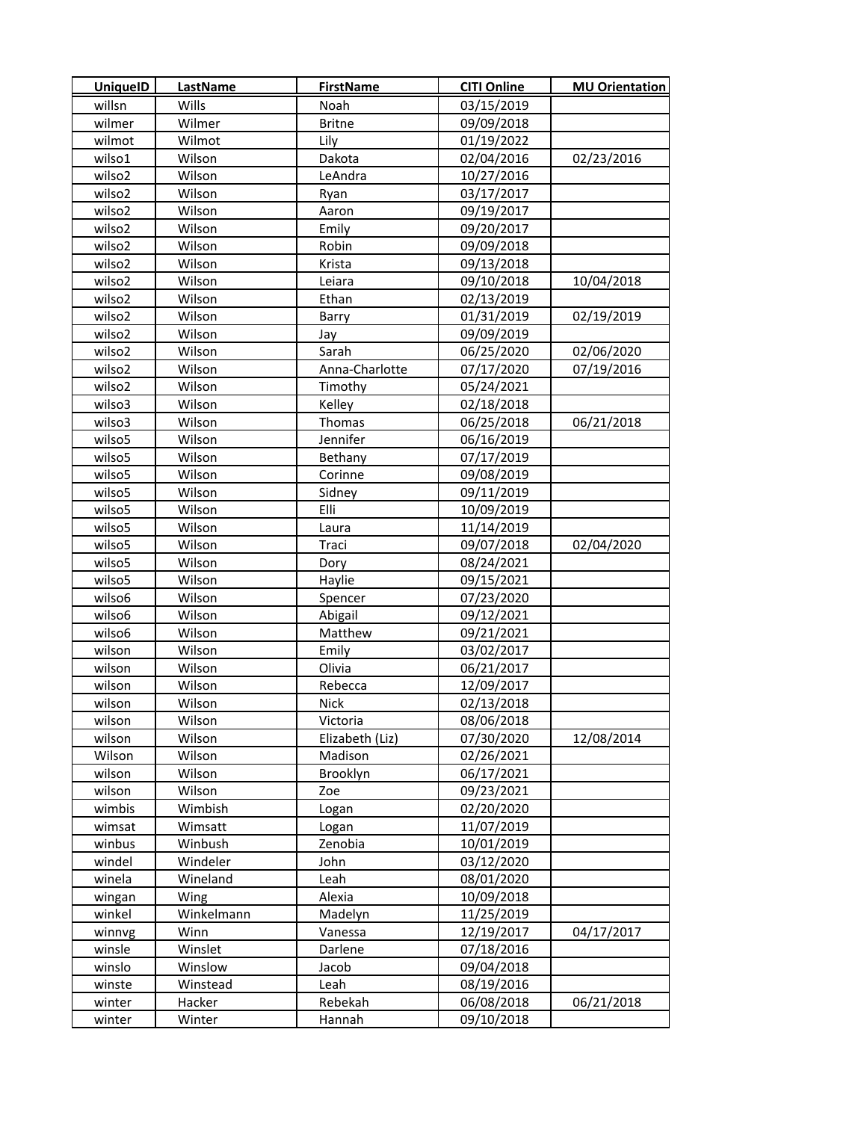| <b>UniquelD</b> | <b>LastName</b> | <b>FirstName</b> | <b>CITI Online</b> | <b>MU Orientation</b> |
|-----------------|-----------------|------------------|--------------------|-----------------------|
| willsn          | Wills           | Noah             | 03/15/2019         |                       |
| wilmer          | Wilmer          | <b>Britne</b>    | 09/09/2018         |                       |
| wilmot          | Wilmot          | Lily             | 01/19/2022         |                       |
| wilso1          | Wilson          | Dakota           | 02/04/2016         | 02/23/2016            |
| wilso2          | Wilson          | LeAndra          | 10/27/2016         |                       |
| wilso2          | Wilson          | Ryan             | 03/17/2017         |                       |
| wilso2          | Wilson          | Aaron            | 09/19/2017         |                       |
| wilso2          | Wilson          | Emily            | 09/20/2017         |                       |
| wilso2          | Wilson          | Robin            | 09/09/2018         |                       |
| wilso2          | Wilson          | Krista           | 09/13/2018         |                       |
| wilso2          | Wilson          | Leiara           | 09/10/2018         | 10/04/2018            |
| wilso2          | Wilson          | Ethan            | 02/13/2019         |                       |
| wilso2          | Wilson          | Barry            | 01/31/2019         | 02/19/2019            |
| wilso2          | Wilson          | Jay              | 09/09/2019         |                       |
| wilso2          | Wilson          | Sarah            | 06/25/2020         | 02/06/2020            |
| wilso2          | Wilson          | Anna-Charlotte   | 07/17/2020         | 07/19/2016            |
| wilso2          | Wilson          | Timothy          | 05/24/2021         |                       |
| wilso3          | Wilson          | Kelley           | 02/18/2018         |                       |
| wilso3          | Wilson          | Thomas           | 06/25/2018         | 06/21/2018            |
| wilso5          | Wilson          | Jennifer         | 06/16/2019         |                       |
| wilso5          | Wilson          | Bethany          | 07/17/2019         |                       |
| wilso5          | Wilson          | Corinne          | 09/08/2019         |                       |
| wilso5          | Wilson          | Sidney           | 09/11/2019         |                       |
| wilso5          | Wilson          | Elli             | 10/09/2019         |                       |
| wilso5          | Wilson          | Laura            | 11/14/2019         |                       |
| wilso5          | Wilson          | Traci            | 09/07/2018         | 02/04/2020            |
| wilso5          | Wilson          | Dory             | 08/24/2021         |                       |
| wilso5          | Wilson          | Haylie           | 09/15/2021         |                       |
| wilso6          | Wilson          | Spencer          | 07/23/2020         |                       |
| wilso6          | Wilson          | Abigail          | 09/12/2021         |                       |
| wilso6          | Wilson          | Matthew          | 09/21/2021         |                       |
| wilson          | Wilson          | Emily            | 03/02/2017         |                       |
| wilson          | Wilson          | Olivia           | 06/21/2017         |                       |
| wilson          | Wilson          | Rebecca          | 12/09/2017         |                       |
| wilson          | Wilson          | <b>Nick</b>      | 02/13/2018         |                       |
| wilson          | Wilson          | Victoria         | 08/06/2018         |                       |
| wilson          | Wilson          | Elizabeth (Liz)  | 07/30/2020         | 12/08/2014            |
| Wilson          | Wilson          | Madison          | 02/26/2021         |                       |
| wilson          | Wilson          | Brooklyn         | 06/17/2021         |                       |
| wilson          | Wilson          | Zoe              | 09/23/2021         |                       |
| wimbis          | Wimbish         | Logan            | 02/20/2020         |                       |
| wimsat          | Wimsatt         | Logan            | 11/07/2019         |                       |
| winbus          | Winbush         | Zenobia          | 10/01/2019         |                       |
| windel          | Windeler        | John             | 03/12/2020         |                       |
| winela          | Wineland        | Leah             | 08/01/2020         |                       |
| wingan          | Wing            | Alexia           | 10/09/2018         |                       |
| winkel          | Winkelmann      | Madelyn          | 11/25/2019         |                       |
| winnvg          | Winn            | Vanessa          | 12/19/2017         | 04/17/2017            |
| winsle          | Winslet         | Darlene          | 07/18/2016         |                       |
| winslo          | Winslow         | Jacob            | 09/04/2018         |                       |
| winste          | Winstead        | Leah             | 08/19/2016         |                       |
| winter          | Hacker          | Rebekah          | 06/08/2018         | 06/21/2018            |
| winter          | Winter          | Hannah           | 09/10/2018         |                       |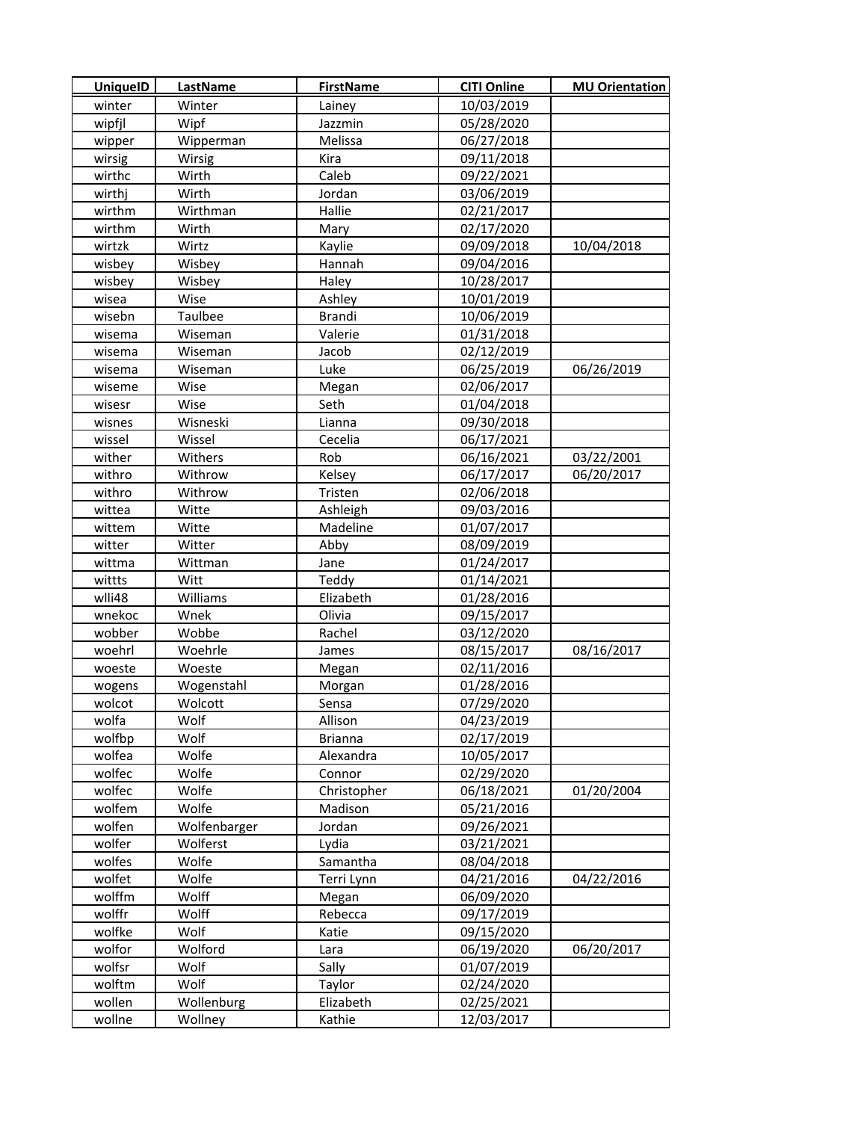| <b>UniquelD</b> | LastName     | <b>FirstName</b> | <b>CITI Online</b> | <b>MU Orientation</b> |
|-----------------|--------------|------------------|--------------------|-----------------------|
| winter          | Winter       | Lainey           | 10/03/2019         |                       |
| wipfil          | Wipf         | Jazzmin          | 05/28/2020         |                       |
| wipper          | Wipperman    | Melissa          | 06/27/2018         |                       |
| wirsig          | Wirsig       | <b>Kira</b>      | 09/11/2018         |                       |
| wirthc          | Wirth        | Caleb            | 09/22/2021         |                       |
| wirthj          | Wirth        | Jordan           | 03/06/2019         |                       |
| wirthm          | Wirthman     | Hallie           | 02/21/2017         |                       |
| wirthm          | Wirth        | Mary             | 02/17/2020         |                       |
| wirtzk          | Wirtz        | Kaylie           | 09/09/2018         | 10/04/2018            |
| wisbey          | Wisbey       | Hannah           | 09/04/2016         |                       |
| wisbey          | Wisbey       | Haley            | 10/28/2017         |                       |
| wisea           | Wise         | Ashley           | 10/01/2019         |                       |
| wisebn          | Taulbee      | Brandi           | 10/06/2019         |                       |
| wisema          | Wiseman      | Valerie          | 01/31/2018         |                       |
| wisema          | Wiseman      | Jacob            | 02/12/2019         |                       |
| wisema          | Wiseman      | Luke             | 06/25/2019         | 06/26/2019            |
| wiseme          | Wise         | Megan            | 02/06/2017         |                       |
| wisesr          | Wise         | Seth             | 01/04/2018         |                       |
| wisnes          | Wisneski     | Lianna           | 09/30/2018         |                       |
| wissel          | Wissel       | Cecelia          | 06/17/2021         |                       |
| wither          | Withers      | Rob              | 06/16/2021         | 03/22/2001            |
| withro          | Withrow      | Kelsey           | 06/17/2017         | 06/20/2017            |
| withro          | Withrow      | Tristen          | 02/06/2018         |                       |
| wittea          | Witte        | Ashleigh         | 09/03/2016         |                       |
| wittem          | Witte        | Madeline         | 01/07/2017         |                       |
| witter          | Witter       | Abby             | 08/09/2019         |                       |
| wittma          | Wittman      | Jane             | 01/24/2017         |                       |
| wittts          | Witt         | Teddy            | 01/14/2021         |                       |
| wlli48          | Williams     | Elizabeth        | 01/28/2016         |                       |
| wnekoc          | Wnek         | Olivia           | 09/15/2017         |                       |
| wobber          | Wobbe        | Rachel           | 03/12/2020         |                       |
| woehrl          | Woehrle      | James            | 08/15/2017         | 08/16/2017            |
| woeste          | Woeste       | Megan            | 02/11/2016         |                       |
| wogens          | Wogenstahl   | Morgan           | 01/28/2016         |                       |
| wolcot          | Wolcott      | Sensa            | 07/29/2020         |                       |
| wolfa           | Wolf         | Allison          | 04/23/2019         |                       |
| wolfbp          | Wolf         | <b>Brianna</b>   | 02/17/2019         |                       |
| wolfea          | Wolfe        | Alexandra        | 10/05/2017         |                       |
| wolfec          | Wolfe        | Connor           | 02/29/2020         |                       |
| wolfec          | Wolfe        | Christopher      | 06/18/2021         | 01/20/2004            |
| wolfem          | Wolfe        | Madison          | 05/21/2016         |                       |
| wolfen          | Wolfenbarger | Jordan           | 09/26/2021         |                       |
| wolfer          | Wolferst     | Lydia            | 03/21/2021         |                       |
| wolfes          | Wolfe        | Samantha         | 08/04/2018         |                       |
| wolfet          | Wolfe        | Terri Lynn       | 04/21/2016         | 04/22/2016            |
| wolffm          | Wolff        | Megan            | 06/09/2020         |                       |
| wolffr          | Wolff        | Rebecca          | 09/17/2019         |                       |
| wolfke          | Wolf         | Katie            | 09/15/2020         |                       |
| wolfor          | Wolford      | Lara             | 06/19/2020         | 06/20/2017            |
| wolfsr          | Wolf         | Sally            | 01/07/2019         |                       |
| wolftm          | Wolf         | Taylor           | 02/24/2020         |                       |
| wollen          | Wollenburg   | Elizabeth        | 02/25/2021         |                       |
| wollne          | Wollney      | Kathie           | 12/03/2017         |                       |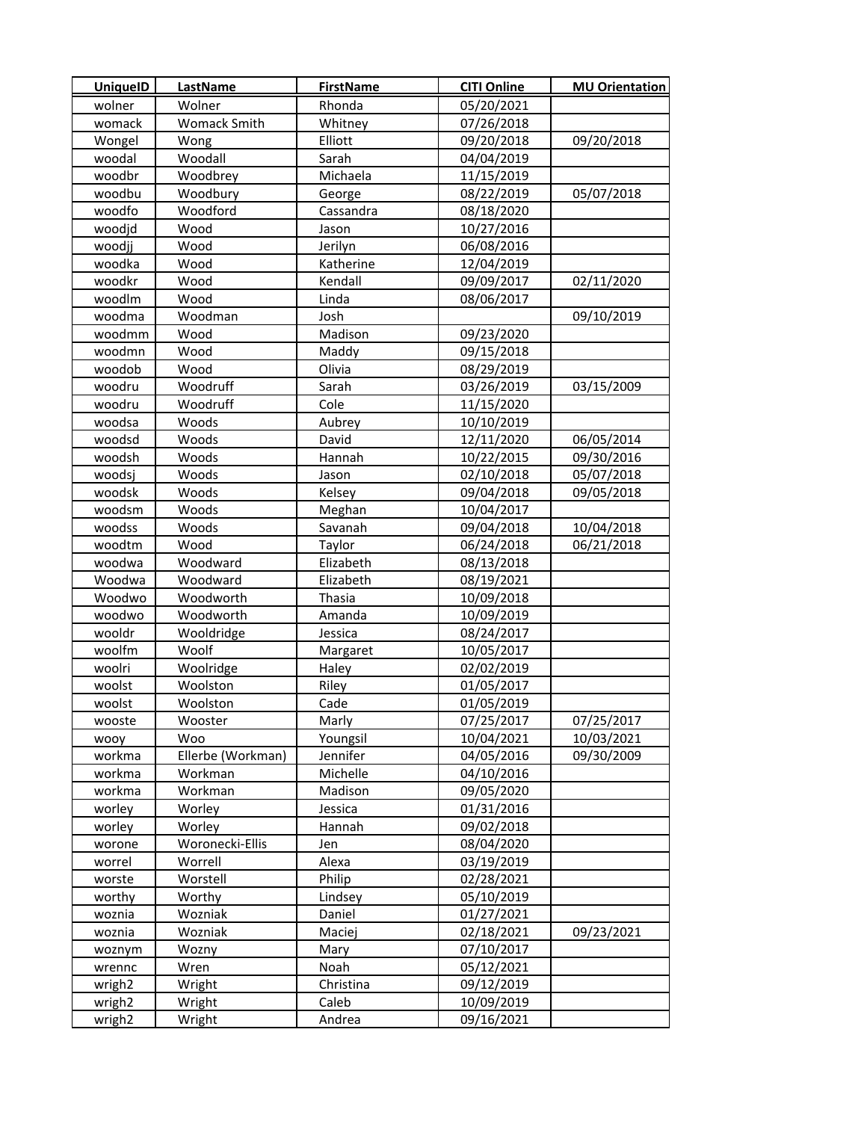| <b>UniquelD</b>    | <b>LastName</b>   | <b>FirstName</b> | <b>CITI Online</b> | <b>MU Orientation</b> |
|--------------------|-------------------|------------------|--------------------|-----------------------|
| wolner             | Wolner            | Rhonda           | 05/20/2021         |                       |
| womack             | Womack Smith      | Whitney          | 07/26/2018         |                       |
| Wongel             | Wong              | Elliott          | 09/20/2018         | 09/20/2018            |
| woodal             | Woodall           | Sarah            | 04/04/2019         |                       |
| woodbr             | Woodbrey          | Michaela         | 11/15/2019         |                       |
| woodbu             | Woodbury          | George           | 08/22/2019         | 05/07/2018            |
| woodfo             | Woodford          | Cassandra        | 08/18/2020         |                       |
| woodjd             | Wood              | Jason            | 10/27/2016         |                       |
| woodjj             | Wood              | Jerilyn          | 06/08/2016         |                       |
| woodka             | Wood              | Katherine        | 12/04/2019         |                       |
| woodkr             | Wood              | Kendall          | 09/09/2017         | 02/11/2020            |
| woodlm             | Wood              | Linda            | 08/06/2017         |                       |
| woodma             | Woodman           | Josh             |                    | 09/10/2019            |
| woodmm             | Wood              | Madison          | 09/23/2020         |                       |
| woodmn             | Wood              | Maddy            | 09/15/2018         |                       |
| woodob             | Wood              | Olivia           | 08/29/2019         |                       |
| woodru             | Woodruff          | Sarah            | 03/26/2019         | 03/15/2009            |
| woodru             | Woodruff          | Cole             | 11/15/2020         |                       |
| woodsa             | Woods             | Aubrey           | 10/10/2019         |                       |
| woodsd             | Woods             | David            | 12/11/2020         | 06/05/2014            |
| woodsh             | Woods             | Hannah           | 10/22/2015         | 09/30/2016            |
| woodsj             | Woods             | Jason            | 02/10/2018         | 05/07/2018            |
| woodsk             | Woods             | Kelsey           | 09/04/2018         | 09/05/2018            |
| woodsm             | Woods             | Meghan           | 10/04/2017         |                       |
| woodss             | Woods             | Savanah          | 09/04/2018         | 10/04/2018            |
| woodtm             | Wood              | Taylor           | 06/24/2018         | 06/21/2018            |
| woodwa             | Woodward          | Elizabeth        | 08/13/2018         |                       |
| Woodwa             | Woodward          | Elizabeth        | 08/19/2021         |                       |
| Woodwo             | Woodworth         | Thasia           | 10/09/2018         |                       |
| woodwo             | Woodworth         | Amanda           | 10/09/2019         |                       |
| wooldr             | Wooldridge        | Jessica          | 08/24/2017         |                       |
| woolfm             | Woolf             | Margaret         | 10/05/2017         |                       |
| woolri             | Woolridge         | Haley            | 02/02/2019         |                       |
| woolst             | Woolston          | Riley            | 01/05/2017         |                       |
| woolst             | Woolston          | Cade             | 01/05/2019         |                       |
| wooste             | Wooster           | Marly            | 07/25/2017         | 07/25/2017            |
| wooy               | Woo               | Youngsil         | 10/04/2021         | 10/03/2021            |
| workma             | Ellerbe (Workman) | Jennifer         | 04/05/2016         | 09/30/2009            |
| workma             | Workman           | Michelle         | 04/10/2016         |                       |
| workma             | Workman           | Madison          | 09/05/2020         |                       |
| worley             | Worley            | Jessica          | 01/31/2016         |                       |
| worley             | Worley            | Hannah           | 09/02/2018         |                       |
| worone             | Woronecki-Ellis   | Jen              | 08/04/2020         |                       |
| worrel             | Worrell           | Alexa            | 03/19/2019         |                       |
| worste             | Worstell          | Philip           | 02/28/2021         |                       |
| worthy             | Worthy            | Lindsey          | 05/10/2019         |                       |
| woznia             | Wozniak           | Daniel           | 01/27/2021         |                       |
| woznia             | Wozniak           | Maciej           | 02/18/2021         | 09/23/2021            |
| woznym             | Wozny             | Mary             | 07/10/2017         |                       |
| wrennc             | Wren              | Noah             | 05/12/2021         |                       |
| wrigh <sub>2</sub> | Wright            | Christina        | 09/12/2019         |                       |
| wrigh <sub>2</sub> | Wright            | Caleb            | 10/09/2019         |                       |
| wrigh <sub>2</sub> | Wright            | Andrea           | 09/16/2021         |                       |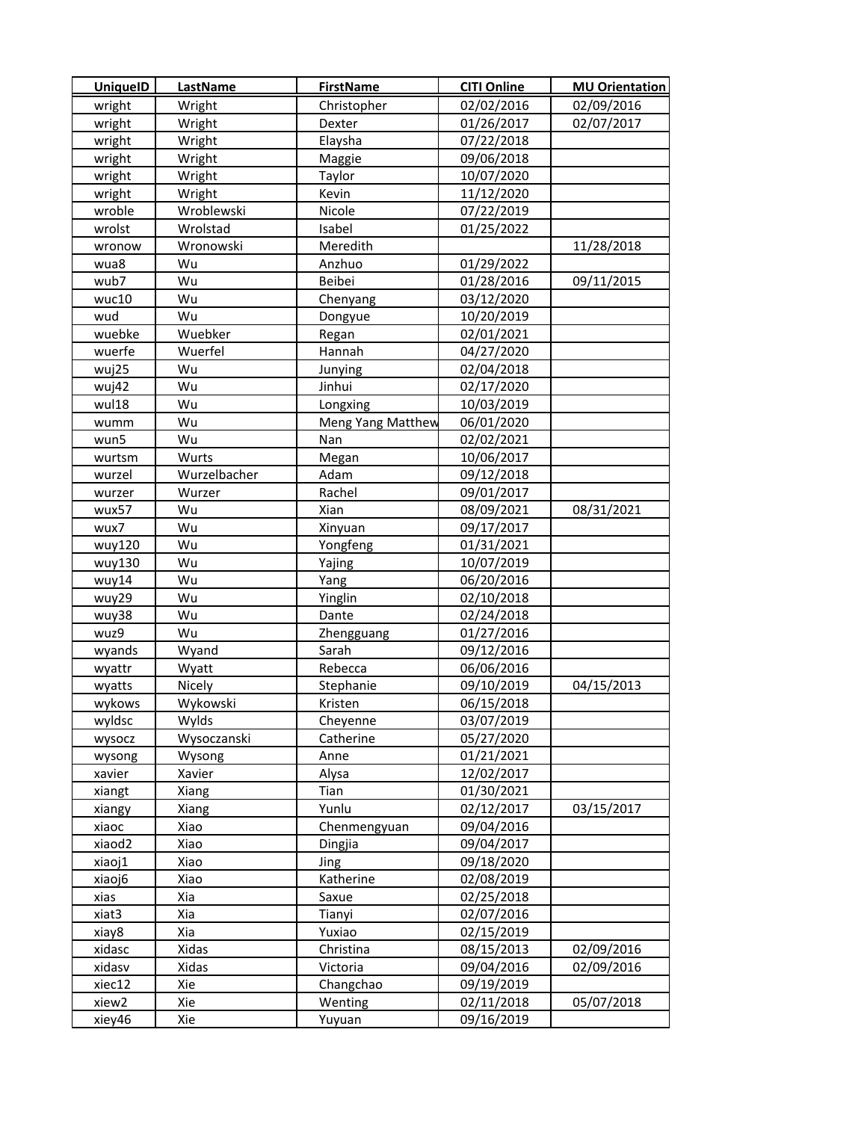| <b>UniquelD</b> | LastName     | <b>FirstName</b>  | <b>CITI Online</b> | <b>MU Orientation</b> |
|-----------------|--------------|-------------------|--------------------|-----------------------|
| wright          | Wright       | Christopher       | 02/02/2016         | 02/09/2016            |
| wright          | Wright       | Dexter            | 01/26/2017         | 02/07/2017            |
| wright          | Wright       | Elaysha           | 07/22/2018         |                       |
| wright          | Wright       | Maggie            | 09/06/2018         |                       |
| wright          | Wright       | Taylor            | 10/07/2020         |                       |
| wright          | Wright       | Kevin             | 11/12/2020         |                       |
| wroble          | Wroblewski   | Nicole            | 07/22/2019         |                       |
| wrolst          | Wrolstad     | Isabel            | 01/25/2022         |                       |
| wronow          | Wronowski    | Meredith          |                    | 11/28/2018            |
| wua8            | Wu           | Anzhuo            | 01/29/2022         |                       |
| wub7            | Wu           | Beibei            | 01/28/2016         | 09/11/2015            |
| wuc10           | Wu           | Chenyang          | 03/12/2020         |                       |
| wud             | Wu           | Dongyue           | 10/20/2019         |                       |
| wuebke          | Wuebker      | Regan             | 02/01/2021         |                       |
| wuerfe          | Wuerfel      | Hannah            | 04/27/2020         |                       |
| wuj25           | Wu           | Junying           | 02/04/2018         |                       |
| wuj42           | Wu           | Jinhui            | 02/17/2020         |                       |
| wul18           | Wu           | Longxing          | 10/03/2019         |                       |
| wumm            | Wu           | Meng Yang Matthew | 06/01/2020         |                       |
| wun5            | Wu           | Nan               | 02/02/2021         |                       |
| wurtsm          | Wurts        | Megan             | 10/06/2017         |                       |
| wurzel          | Wurzelbacher | Adam              | 09/12/2018         |                       |
| wurzer          | Wurzer       | Rachel            | 09/01/2017         |                       |
| wux57           | Wu           | Xian              | 08/09/2021         | 08/31/2021            |
| wux7            | Wu           | Xinyuan           | 09/17/2017         |                       |
| wuy120          | Wu           | Yongfeng          | 01/31/2021         |                       |
| wuy130          | Wu           | Yajing            | 10/07/2019         |                       |
| wuy14           | Wu           | Yang              | 06/20/2016         |                       |
| wuy29           | Wu           | Yinglin           | 02/10/2018         |                       |
| wuy38           | Wu           | Dante             | 02/24/2018         |                       |
| wuz9            | Wu           | Zhengguang        | 01/27/2016         |                       |
| wyands          | Wyand        | Sarah             | 09/12/2016         |                       |
| wyattr          | Wyatt        | Rebecca           | 06/06/2016         |                       |
| wyatts          | Nicely       | Stephanie         | 09/10/2019         | 04/15/2013            |
| wykows          | Wykowski     | Kristen           | 06/15/2018         |                       |
| wyldsc          | Wylds        | Cheyenne          | 03/07/2019         |                       |
| wysocz          | Wysoczanski  | Catherine         | 05/27/2020         |                       |
| wysong          | Wysong       | Anne              | 01/21/2021         |                       |
| xavier          | Xavier       | Alysa             | 12/02/2017         |                       |
| xiangt          | Xiang        | Tian              | 01/30/2021         |                       |
| xiangy          | Xiang        | Yunlu             | 02/12/2017         | 03/15/2017            |
| xiaoc           | Xiao         | Chenmengyuan      | 09/04/2016         |                       |
| xiaod2          | Xiao         | Dingjia           | 09/04/2017         |                       |
| xiaoj1          | Xiao         | Jing              | 09/18/2020         |                       |
| xiaoj6          | Xiao         | Katherine         | 02/08/2019         |                       |
| xias            | Xia          | Saxue             | 02/25/2018         |                       |
| xiat3           | Xia          | Tianyi            | 02/07/2016         |                       |
| xiay8           | Xia          | Yuxiao            | 02/15/2019         |                       |
| xidasc          | Xidas        | Christina         | 08/15/2013         | 02/09/2016            |
| xidasv          | Xidas        | Victoria          | 09/04/2016         | 02/09/2016            |
| xiec12          | Xie          | Changchao         | 09/19/2019         |                       |
| xiew2           | Xie          | Wenting           | 02/11/2018         | 05/07/2018            |
| xiey46          | Xie          | Yuyuan            | 09/16/2019         |                       |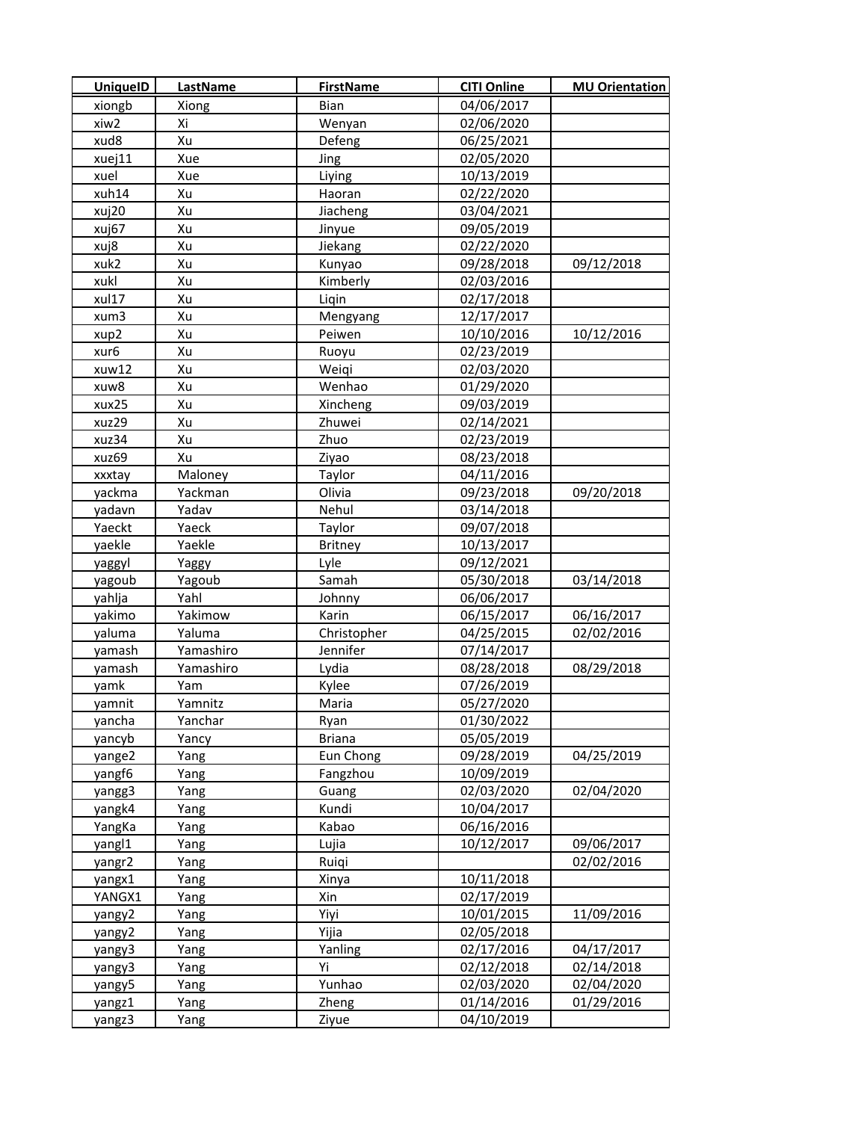| <b>UniquelD</b> | <b>LastName</b> | <b>FirstName</b> | <b>CITI Online</b> | <b>MU Orientation</b> |
|-----------------|-----------------|------------------|--------------------|-----------------------|
| xiongb          | Xiong           | Bian             | 04/06/2017         |                       |
| xiw2            | Xi              | Wenyan           | 02/06/2020         |                       |
| xud8            | Xu              | Defeng           | 06/25/2021         |                       |
| xuej11          | Xue             | Jing             | 02/05/2020         |                       |
| xuel            | Xue             | Liying           | 10/13/2019         |                       |
| xuh14           | Xu              | Haoran           | 02/22/2020         |                       |
| xuj20           | Xu              | Jiacheng         | 03/04/2021         |                       |
| xuj67           | Xu              | Jinyue           | 09/05/2019         |                       |
| xuj8            | Xu              | Jiekang          | 02/22/2020         |                       |
| xuk2            | Xu              | Kunyao           | 09/28/2018         | 09/12/2018            |
| xukl            | Xu              | Kimberly         | 02/03/2016         |                       |
| xul17           | Xu              | Liqin            | 02/17/2018         |                       |
| xum3            | Xu              | Mengyang         | 12/17/2017         |                       |
| xup2            | Xu              | Peiwen           | 10/10/2016         | 10/12/2016            |
| xur6            | Xu              | Ruoyu            | 02/23/2019         |                       |
| xuw12           | Xu              | Weigi            | 02/03/2020         |                       |
| xuw8            | Xu              | Wenhao           | 01/29/2020         |                       |
| xux25           | Xu              | Xincheng         | 09/03/2019         |                       |
| xuz29           | Xu              | Zhuwei           | 02/14/2021         |                       |
| xuz34           | Xu              | Zhuo             | 02/23/2019         |                       |
| xuz69           | Xu              | Ziyao            | 08/23/2018         |                       |
| xxxtay          | Maloney         | Taylor           | 04/11/2016         |                       |
| yackma          | Yackman         | Olivia           | 09/23/2018         | 09/20/2018            |
| yadavn          | Yadav           | Nehul            | 03/14/2018         |                       |
| Yaeckt          | Yaeck           | Taylor           | 09/07/2018         |                       |
| yaekle          | Yaekle          | Britney          | 10/13/2017         |                       |
| yaggyl          | Yaggy           | Lyle             | 09/12/2021         |                       |
| yagoub          | Yagoub          | Samah            | 05/30/2018         | 03/14/2018            |
| yahlja          | Yahl            | Johnny           | 06/06/2017         |                       |
| yakimo          | Yakimow         | Karin            | 06/15/2017         | 06/16/2017            |
| yaluma          | Yaluma          | Christopher      | 04/25/2015         | 02/02/2016            |
| yamash          | Yamashiro       | Jennifer         | 07/14/2017         |                       |
| yamash          | Yamashiro       | Lydia            | 08/28/2018         | 08/29/2018            |
| yamk            | Yam             | Kylee            | 07/26/2019         |                       |
| yamnit          | Yamnitz         | Maria            | 05/27/2020         |                       |
| yancha          | Yanchar         | Ryan             | 01/30/2022         |                       |
| yancyb          | Yancy           | <b>Briana</b>    | 05/05/2019         |                       |
| yange2          | Yang            | Eun Chong        | 09/28/2019         | 04/25/2019            |
| yangf6          | Yang            | Fangzhou         | 10/09/2019         |                       |
| yangg3          | Yang            | Guang            | 02/03/2020         | 02/04/2020            |
| yangk4          | Yang            | Kundi            | 10/04/2017         |                       |
| YangKa          | Yang            | Kabao            | 06/16/2016         |                       |
| yangl1          | Yang            | Lujia            | 10/12/2017         | 09/06/2017            |
| yangr2          | Yang            | Ruiqi            |                    | 02/02/2016            |
| yangx1          | Yang            | Xinya            | 10/11/2018         |                       |
| YANGX1          | Yang            | Xin              | 02/17/2019         |                       |
| yangy2          | Yang            | Yiyi             | 10/01/2015         | 11/09/2016            |
| yangy2          | Yang            | Yijia            | 02/05/2018         |                       |
| yangy3          | Yang            | Yanling          | 02/17/2016         | 04/17/2017            |
| yangy3          | Yang            | Yi               | 02/12/2018         | 02/14/2018            |
| yangy5          | Yang            | Yunhao           | 02/03/2020         | 02/04/2020            |
| yangz1          | Yang            | Zheng            | 01/14/2016         | 01/29/2016            |
| yangz3          | Yang            | Ziyue            | 04/10/2019         |                       |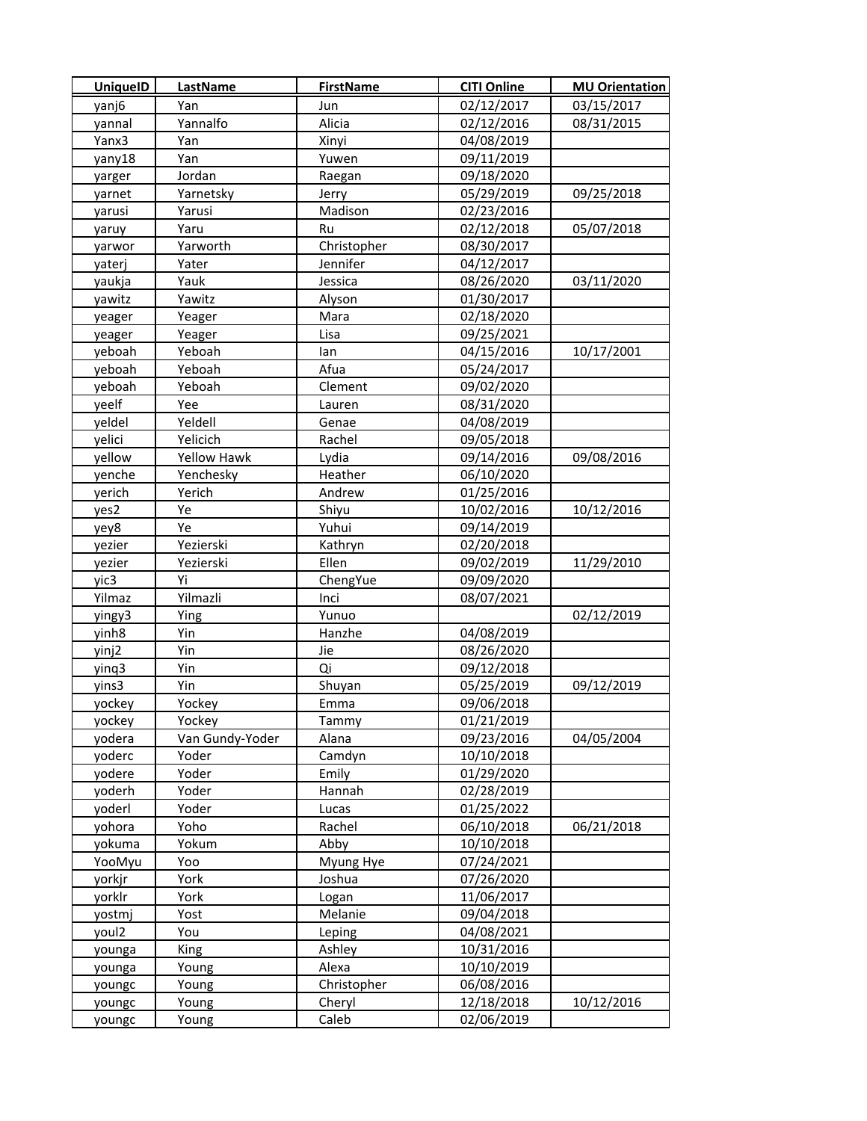| <b>UniquelD</b> | <b>LastName</b> | <b>FirstName</b> | <b>CITI Online</b> | <b>MU Orientation</b> |
|-----------------|-----------------|------------------|--------------------|-----------------------|
| yanj6           | Yan             | Jun              | 02/12/2017         | 03/15/2017            |
| yannal          | Yannalfo        | Alicia           | 02/12/2016         | 08/31/2015            |
| Yanx3           | Yan             | Xinyi            | 04/08/2019         |                       |
| yany18          | Yan             | Yuwen            | 09/11/2019         |                       |
| yarger          | Jordan          | Raegan           | 09/18/2020         |                       |
| yarnet          | Yarnetsky       | Jerry            | 05/29/2019         | 09/25/2018            |
| yarusi          | Yarusi          | Madison          | 02/23/2016         |                       |
| yaruy           | Yaru            | Ru               | 02/12/2018         | 05/07/2018            |
| yarwor          | Yarworth        | Christopher      | 08/30/2017         |                       |
| yaterj          | Yater           | Jennifer         | 04/12/2017         |                       |
| yaukja          | Yauk            | Jessica          | 08/26/2020         | 03/11/2020            |
| yawitz          | Yawitz          | Alyson           | 01/30/2017         |                       |
| yeager          | Yeager          | Mara             | 02/18/2020         |                       |
| yeager          | Yeager          | Lisa             | 09/25/2021         |                       |
| yeboah          | Yeboah          | lan              | 04/15/2016         | 10/17/2001            |
| yeboah          | Yeboah          | Afua             | 05/24/2017         |                       |
| yeboah          | Yeboah          | Clement          | 09/02/2020         |                       |
| yeelf           | Yee             | Lauren           | 08/31/2020         |                       |
| yeldel          | Yeldell         | Genae            | 04/08/2019         |                       |
| yelici          | Yelicich        | Rachel           | 09/05/2018         |                       |
| yellow          | Yellow Hawk     | Lydia            | 09/14/2016         | 09/08/2016            |
| yenche          | Yenchesky       | Heather          | 06/10/2020         |                       |
| yerich          | Yerich          | Andrew           | 01/25/2016         |                       |
| yes2            | Ye              | Shiyu            | 10/02/2016         | 10/12/2016            |
| yey8            | Ye              | Yuhui            | 09/14/2019         |                       |
| yezier          | Yezierski       | Kathryn          | 02/20/2018         |                       |
| yezier          | Yezierski       | Ellen            | 09/02/2019         | 11/29/2010            |
| yic3            | Yi              | ChengYue         | 09/09/2020         |                       |
| Yilmaz          | Yilmazli        | Inci             | 08/07/2021         |                       |
| yingy3          | Ying            | Yunuo            |                    | 02/12/2019            |
| yinh8           | Yin             | Hanzhe           | 04/08/2019         |                       |
| yinj2           | Yin             | Jie              | 08/26/2020         |                       |
| yinq3           | Yin             | Qi               | 09/12/2018         |                       |
| yins3           | Yin             | Shuyan           | 05/25/2019         | 09/12/2019            |
| yockey          | Yockey          | Emma             | 09/06/2018         |                       |
| yockey          | Yockey          | Tammy            | 01/21/2019         |                       |
| yodera          | Van Gundy-Yoder | Alana            | 09/23/2016         | 04/05/2004            |
| yoderc          | Yoder           | Camdyn           | 10/10/2018         |                       |
| yodere          | Yoder           | Emily            | 01/29/2020         |                       |
| yoderh          | Yoder           | Hannah           | 02/28/2019         |                       |
| yoderl          | Yoder           | Lucas            | 01/25/2022         |                       |
| yohora          | Yoho            | Rachel           | 06/10/2018         | 06/21/2018            |
| yokuma          | Yokum           | Abby             | 10/10/2018         |                       |
| YooMyu          | Yoo             | Myung Hye        | 07/24/2021         |                       |
| yorkjr          | York            | Joshua           | 07/26/2020         |                       |
| yorklr          | York            | Logan            | 11/06/2017         |                       |
| yostmj          | Yost            | Melanie          | 09/04/2018         |                       |
| youl2           | You             | Leping           | 04/08/2021         |                       |
| younga          | King            | Ashley           | 10/31/2016         |                       |
| younga          | Young           | Alexa            | 10/10/2019         |                       |
| youngc          | Young           | Christopher      | 06/08/2016         |                       |
| youngc          | Young           | Cheryl           | 12/18/2018         | 10/12/2016            |
| youngc          | Young           | Caleb            | 02/06/2019         |                       |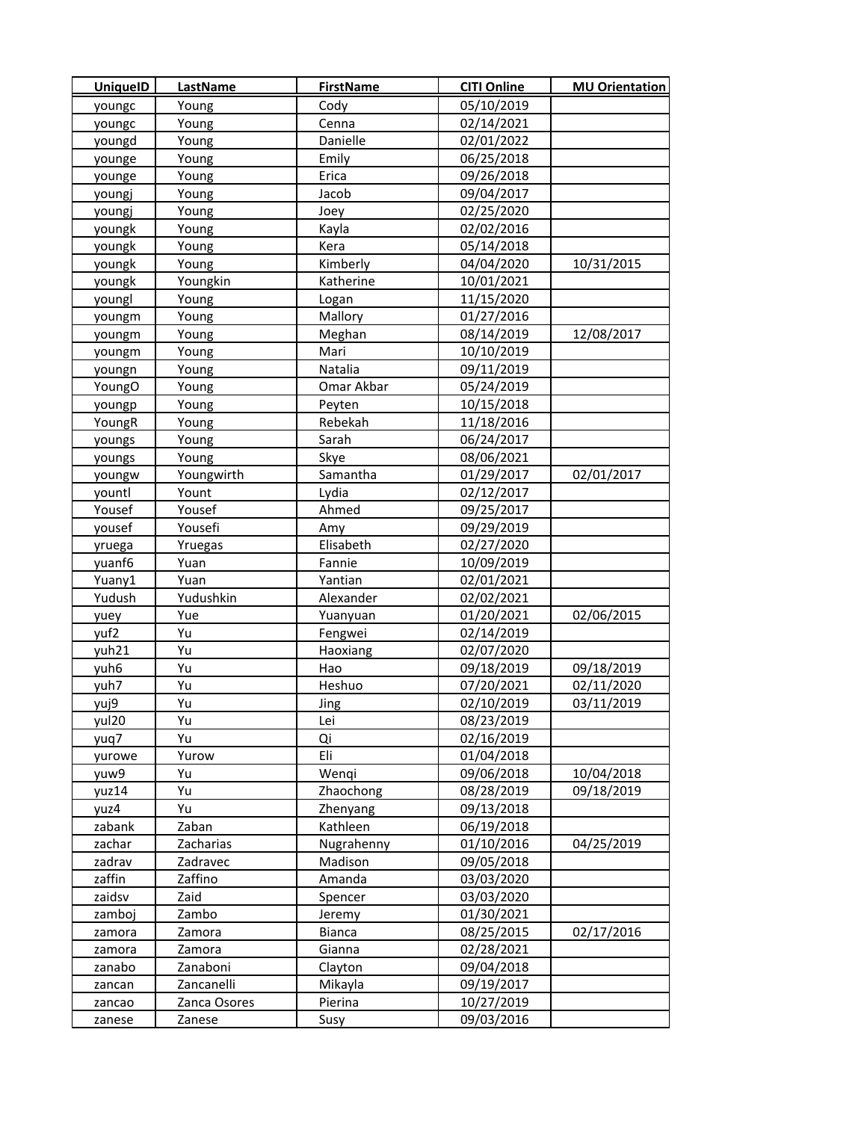| <b>UniquelD</b> | LastName     | <b>FirstName</b> | <b>CITI Online</b> | <b>MU Orientation</b> |
|-----------------|--------------|------------------|--------------------|-----------------------|
| youngc          | Young        | Cody             | 05/10/2019         |                       |
| youngc          | Young        | Cenna            | 02/14/2021         |                       |
| youngd          | Young        | Danielle         | 02/01/2022         |                       |
| younge          | Young        | Emily            | 06/25/2018         |                       |
| younge          | Young        | Erica            | 09/26/2018         |                       |
| youngj          | Young        | Jacob            | 09/04/2017         |                       |
| youngj          | Young        | Joey             | 02/25/2020         |                       |
| youngk          | Young        | Kayla            | 02/02/2016         |                       |
| youngk          | Young        | Kera             | 05/14/2018         |                       |
| youngk          | Young        | Kimberly         | 04/04/2020         | 10/31/2015            |
| youngk          | Youngkin     | Katherine        | 10/01/2021         |                       |
| youngl          | Young        | Logan            | 11/15/2020         |                       |
| youngm          | Young        | Mallory          | 01/27/2016         |                       |
| youngm          | Young        | Meghan           | 08/14/2019         | 12/08/2017            |
| youngm          | Young        | Mari             | 10/10/2019         |                       |
| youngn          | Young        | Natalia          | 09/11/2019         |                       |
| YoungO          | Young        | Omar Akbar       | 05/24/2019         |                       |
| youngp          | Young        | Peyten           | 10/15/2018         |                       |
| YoungR          | Young        | Rebekah          | 11/18/2016         |                       |
| youngs          | Young        | Sarah            | 06/24/2017         |                       |
| youngs          | Young        | Skye             | 08/06/2021         |                       |
| youngw          | Youngwirth   | Samantha         | 01/29/2017         | 02/01/2017            |
| yountl          | Yount        | Lydia            | 02/12/2017         |                       |
| Yousef          | Yousef       | Ahmed            | 09/25/2017         |                       |
| yousef          | Yousefi      | Amy              | 09/29/2019         |                       |
| yruega          | Yruegas      | Elisabeth        | 02/27/2020         |                       |
| yuanf6          | Yuan         | Fannie           | 10/09/2019         |                       |
| Yuany1          | Yuan         | Yantian          | 02/01/2021         |                       |
| Yudush          | Yudushkin    | Alexander        | 02/02/2021         |                       |
| yuey            | Yue          | Yuanyuan         | 01/20/2021         | 02/06/2015            |
| yuf2            | Yu           | Fengwei          | 02/14/2019         |                       |
| yuh21           | Yu           | Haoxiang         | 02/07/2020         |                       |
| yuh6            | Yu           | Hao              | 09/18/2019         | 09/18/2019            |
| yuh7            | Yu           | Heshuo           | 07/20/2021         | 02/11/2020            |
| yuj9            | Yu           | Jing             | 02/10/2019         | 03/11/2019            |
| yul20           | Yu           | Lei              | 08/23/2019         |                       |
| yuq7            | Yu           | Qi               | 02/16/2019         |                       |
| yurowe          | Yurow        | Eli              | 01/04/2018         |                       |
| yuw9            | Yu           | Wenqi            | 09/06/2018         | 10/04/2018            |
| yuz14           | Yu           | Zhaochong        | 08/28/2019         | 09/18/2019            |
| yuz4            | Yu           | Zhenyang         | 09/13/2018         |                       |
| zabank          | Zaban        | Kathleen         | 06/19/2018         |                       |
| zachar          | Zacharias    | Nugrahenny       | 01/10/2016         | 04/25/2019            |
| zadrav          | Zadravec     | Madison          | 09/05/2018         |                       |
| zaffin          | Zaffino      | Amanda           | 03/03/2020         |                       |
| zaidsv          | Zaid         | Spencer          | 03/03/2020         |                       |
| zamboj          | Zambo        | Jeremy           | 01/30/2021         |                       |
| zamora          | Zamora       | Bianca           | 08/25/2015         | 02/17/2016            |
| zamora          | Zamora       | Gianna           | 02/28/2021         |                       |
| zanabo          | Zanaboni     | Clayton          | 09/04/2018         |                       |
| zancan          | Zancanelli   | Mikayla          | 09/19/2017         |                       |
| zancao          | Zanca Osores | Pierina          | 10/27/2019         |                       |
| zanese          | Zanese       | Susy             | 09/03/2016         |                       |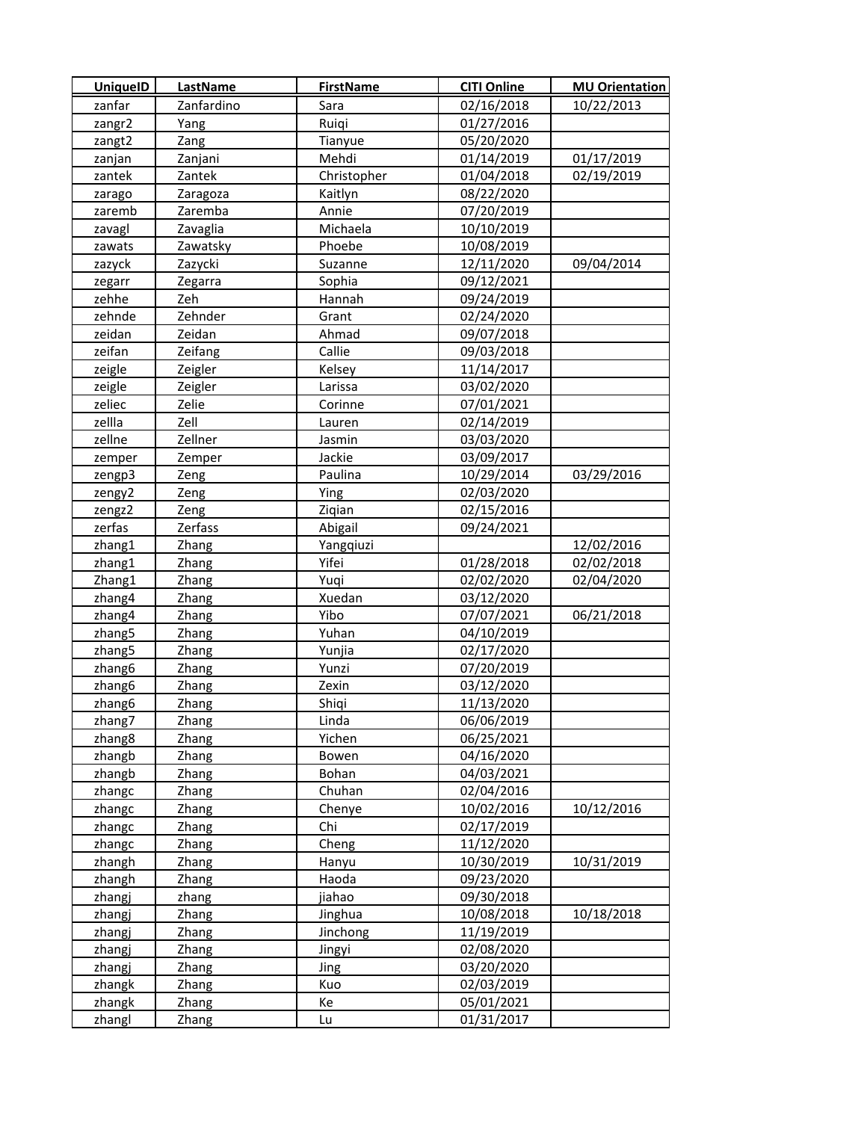| <b>UniquelD</b> | LastName     | <b>FirstName</b> | <b>CITI Online</b> | <b>MU Orientation</b> |
|-----------------|--------------|------------------|--------------------|-----------------------|
| zanfar          | Zanfardino   | Sara             | 02/16/2018         | 10/22/2013            |
| zangr2          | Yang         | Ruigi            | 01/27/2016         |                       |
| zangt2          | Zang         | Tianyue          | 05/20/2020         |                       |
| zanjan          | Zanjani      | Mehdi            | 01/14/2019         | 01/17/2019            |
| zantek          | Zantek       | Christopher      | 01/04/2018         | 02/19/2019            |
| zarago          | Zaragoza     | Kaitlyn          | 08/22/2020         |                       |
| zaremb          | Zaremba      | Annie            | 07/20/2019         |                       |
| zavagl          | Zavaglia     | Michaela         | 10/10/2019         |                       |
| zawats          | Zawatsky     | Phoebe           | 10/08/2019         |                       |
| zazyck          | Zazycki      | Suzanne          | 12/11/2020         | 09/04/2014            |
| zegarr          | Zegarra      | Sophia           | 09/12/2021         |                       |
| zehhe           | Zeh          | Hannah           | 09/24/2019         |                       |
| zehnde          | Zehnder      | Grant            | 02/24/2020         |                       |
| zeidan          | Zeidan       | Ahmad            | 09/07/2018         |                       |
| zeifan          | Zeifang      | Callie           | 09/03/2018         |                       |
| zeigle          | Zeigler      | Kelsey           | 11/14/2017         |                       |
| zeigle          | Zeigler      | Larissa          | 03/02/2020         |                       |
| zeliec          | Zelie        | Corinne          | 07/01/2021         |                       |
| zellla          | Zell         | Lauren           | 02/14/2019         |                       |
| zellne          | Zellner      | Jasmin           | 03/03/2020         |                       |
| zemper          | Zemper       | Jackie           | 03/09/2017         |                       |
| zengp3          | Zeng         | Paulina          | 10/29/2014         | 03/29/2016            |
| zengy2          | Zeng         | Ying             | 02/03/2020         |                       |
| zengz2          | Zeng         | Ziqian           | 02/15/2016         |                       |
| zerfas          | Zerfass      | Abigail          | 09/24/2021         |                       |
| zhang1          | Zhang        | Yangqiuzi        |                    | 12/02/2016            |
| zhang1          | Zhang        | Yifei            | 01/28/2018         | 02/02/2018            |
| Zhang1          | Zhang        | Yuqi             | 02/02/2020         | 02/04/2020            |
| zhang4          | Zhang        | Xuedan           | 03/12/2020         |                       |
| zhang4          | Zhang        | Yibo             | 07/07/2021         | 06/21/2018            |
| zhang5          | Zhang        | Yuhan            | 04/10/2019         |                       |
| zhang5          | Zhang        | Yunjia           | 02/17/2020         |                       |
| zhang6          | Zhang        | Yunzi            | 07/20/2019         |                       |
| zhang6          | Zhang        | Zexin            | 03/12/2020         |                       |
| zhang6          | Zhang        | Shiqi            | 11/13/2020         |                       |
| zhang7          | Zhang        | Linda            | 06/06/2019         |                       |
| zhang8          | Zhang        | Yichen           | 06/25/2021         |                       |
| zhangb          | Zhang        | Bowen            | 04/16/2020         |                       |
| zhangb          | Zhang        | Bohan            | 04/03/2021         |                       |
| zhangc          | Zhang        | Chuhan           | 02/04/2016         |                       |
| zhangc          | Zhang        | Chenye           | 10/02/2016         | 10/12/2016            |
| zhangc          | Zhang        | Chi              | 02/17/2019         |                       |
| zhangc          | Zhang        | Cheng            | 11/12/2020         |                       |
| zhangh          | Zhang        | Hanyu            | 10/30/2019         | 10/31/2019            |
| zhangh          | Zhang        | Haoda            | 09/23/2020         |                       |
| zhangj          | zhang        | jiahao           | 09/30/2018         |                       |
| zhangj          | Zhang        | Jinghua          | 10/08/2018         | 10/18/2018            |
| zhangj          | <b>Zhang</b> | Jinchong         | 11/19/2019         |                       |
| zhangj          | Zhang        | Jingyi           | 02/08/2020         |                       |
| zhangj          | Zhang        | Jing             | 03/20/2020         |                       |
| zhangk          | Zhang        | Kuo              | 02/03/2019         |                       |
| zhangk          | Zhang        | Кe               | 05/01/2021         |                       |
| zhangl          | Zhang        | Lu               | 01/31/2017         |                       |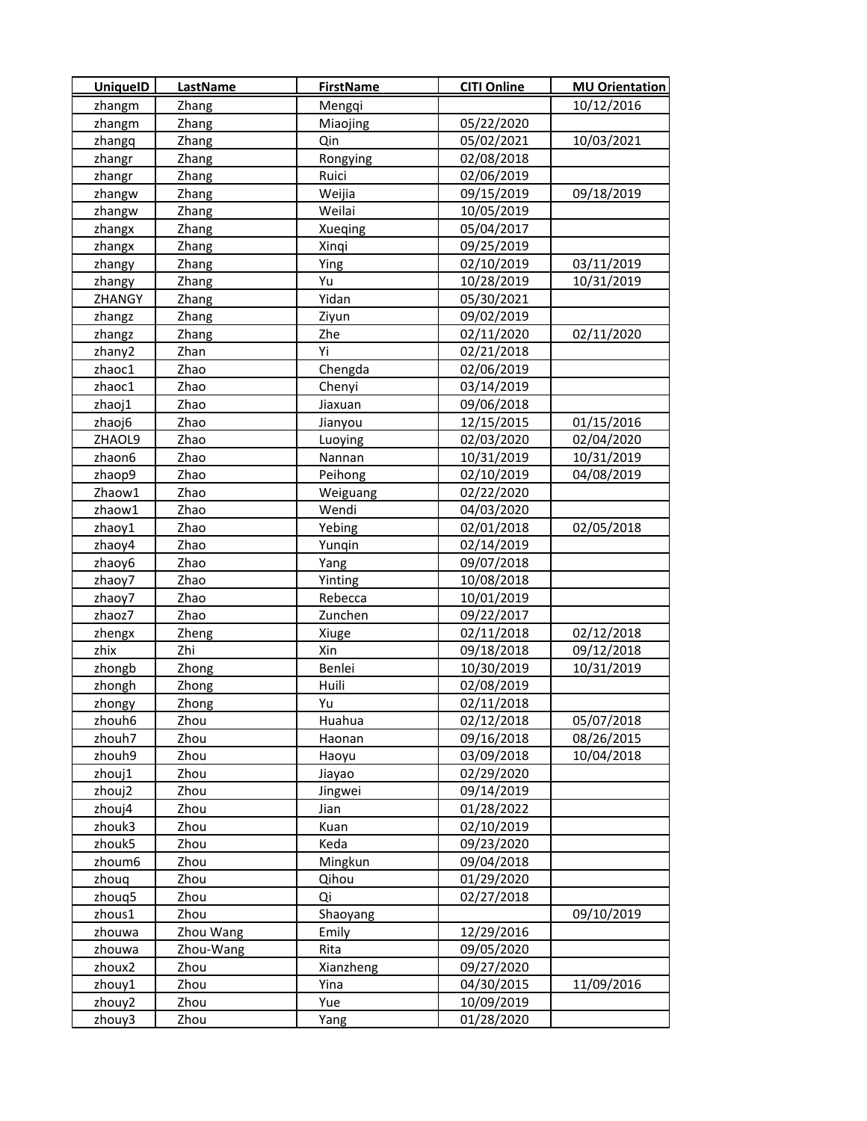| <b>UniquelD</b> | <b>LastName</b> | <b>FirstName</b> | <b>CITI Online</b> | <b>MU Orientation</b> |
|-----------------|-----------------|------------------|--------------------|-----------------------|
| zhangm          | Zhang           | Mengqi           |                    | 10/12/2016            |
| zhangm          | Zhang           | Miaojing         | 05/22/2020         |                       |
| zhangq          | Zhang           | Qin              | 05/02/2021         | 10/03/2021            |
| zhangr          | Zhang           | Rongying         | 02/08/2018         |                       |
| zhangr          | Zhang           | Ruici            | 02/06/2019         |                       |
| zhangw          | Zhang           | Weijia           | 09/15/2019         | 09/18/2019            |
| zhangw          | Zhang           | Weilai           | 10/05/2019         |                       |
| zhangx          | Zhang           | Xueqing          | 05/04/2017         |                       |
| zhangx          | Zhang           | Xinqi            | 09/25/2019         |                       |
| zhangy          | Zhang           | Ying             | 02/10/2019         | 03/11/2019            |
| zhangy          | Zhang           | Yu               | 10/28/2019         | 10/31/2019            |
| ZHANGY          | Zhang           | Yidan            | 05/30/2021         |                       |
| zhangz          | Zhang           | Ziyun            | 09/02/2019         |                       |
| zhangz          | Zhang           | Zhe              | 02/11/2020         | 02/11/2020            |
| zhany2          | Zhan            | Yi               | 02/21/2018         |                       |
| zhaoc1          | Zhao            | Chengda          | 02/06/2019         |                       |
| zhaoc1          | Zhao            | Chenyi           | 03/14/2019         |                       |
| zhaoj1          | Zhao            | Jiaxuan          | 09/06/2018         |                       |
| zhaoj6          | Zhao            | Jianyou          | 12/15/2015         | 01/15/2016            |
| ZHAOL9          | Zhao            | Luoying          | 02/03/2020         | 02/04/2020            |
| zhaon6          | Zhao            | Nannan           | 10/31/2019         | 10/31/2019            |
| zhaop9          | Zhao            | Peihong          | 02/10/2019         | 04/08/2019            |
| Zhaow1          | Zhao            | Weiguang         | 02/22/2020         |                       |
| zhaow1          | Zhao            | Wendi            | 04/03/2020         |                       |
| zhaoy1          | Zhao            | Yebing           | 02/01/2018         | 02/05/2018            |
| zhaoy4          | Zhao            | Yunqin           | 02/14/2019         |                       |
| zhaoy6          | Zhao            | Yang             | 09/07/2018         |                       |
| zhaoy7          | Zhao            | Yinting          | 10/08/2018         |                       |
| zhaoy7          | Zhao            | Rebecca          | 10/01/2019         |                       |
| zhaoz7          | Zhao            | Zunchen          | 09/22/2017         |                       |
| zhengx          | Zheng           | Xiuge            | 02/11/2018         | 02/12/2018            |
| zhix            | Zhi             | Xin              | 09/18/2018         | 09/12/2018            |
| zhongb          | Zhong           | Benlei           | 10/30/2019         | 10/31/2019            |
| zhongh          | Zhong           | Huili            | 02/08/2019         |                       |
| zhongy          | Zhong           | Yu               | 02/11/2018         |                       |
| zhouh6          | Zhou            | Huahua           | 02/12/2018         | 05/07/2018            |
| zhouh7          | Zhou            | Haonan           | 09/16/2018         | 08/26/2015            |
| zhouh9          | Zhou            | Haoyu            | 03/09/2018         | 10/04/2018            |
| zhouj1          | Zhou            | Jiayao           | 02/29/2020         |                       |
| zhouj2          | Zhou            | Jingwei          | 09/14/2019         |                       |
| zhouj4          | Zhou            | Jian             | 01/28/2022         |                       |
| zhouk3          | Zhou            | Kuan             | 02/10/2019         |                       |
| zhouk5          | Zhou            | Keda             | 09/23/2020         |                       |
| zhoum6          | Zhou            | Mingkun          | 09/04/2018         |                       |
| zhouq           | Zhou            | Qihou            | 01/29/2020         |                       |
| zhouq5          | Zhou            | Qi               | 02/27/2018         |                       |
| zhous1          | Zhou            | Shaoyang         |                    | 09/10/2019            |
| zhouwa          | Zhou Wang       | Emily            | 12/29/2016         |                       |
| zhouwa          | Zhou-Wang       | Rita             | 09/05/2020         |                       |
| zhoux2          | Zhou            | Xianzheng        | 09/27/2020         |                       |
| zhouy1          | Zhou            | Yina             | 04/30/2015         | 11/09/2016            |
| zhouy2          | Zhou            | Yue              | 10/09/2019         |                       |
| zhouy3          | Zhou            | Yang             | 01/28/2020         |                       |